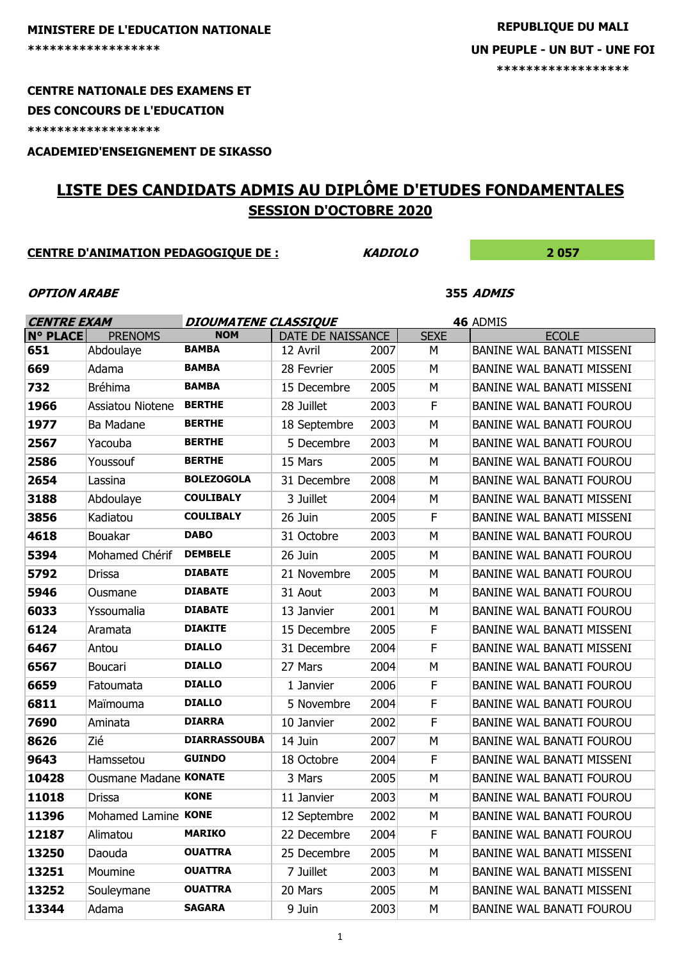# **MINISTERE DE L'EDUCATION NATIONALE**

### **CENTRE NATIONALE DES EXAMENS ET**

#### **DES CONCOURS DE L'EDUCATION**

**\*\*\*\*\*\*\*\*\*\*\*\*\*\*\*\*\*\***

**ACADEMIED'ENSEIGNEMENT DE SIKASSO**

# **LISTE DES CANDIDATS ADMIS AU DIPLÔME D'ETUDES FONDAMENTALES SESSION D'OCTOBRE 2020**

### **CENTRE D'ANIMATION PEDAGOGIQUE DE : KADIOLO 2 057**

#### **OPTION ARABE 355 ADMIS**

| <b>CENTRE EXAM</b> |                       | <b>DIOUMATENE CLASSIQUE</b> |                   |      | 46 ADMIS    |                                  |  |
|--------------------|-----------------------|-----------------------------|-------------------|------|-------------|----------------------------------|--|
| <b>N° PLACE</b>    | <b>PRENOMS</b>        | <b>NOM</b>                  | DATE DE NAISSANCE |      | <b>SEXE</b> | <b>ECOLE</b>                     |  |
| 651                | Abdoulaye             | <b>BAMBA</b>                | 12 Avril          | 2007 | М           | BANINE WAL BANATI MISSENI        |  |
| 669                | Adama                 | <b>BAMBA</b>                | 28 Fevrier        | 2005 | M           | BANINE WAL BANATI MISSENI        |  |
| 732                | <b>Bréhima</b>        | <b>BAMBA</b>                | 15 Decembre       | 2005 | М           | <b>BANINE WAL BANATI MISSENI</b> |  |
| 1966               | Assiatou Niotene      | <b>BERTHE</b>               | 28 Juillet        | 2003 | F           | <b>BANINE WAL BANATI FOUROU</b>  |  |
| 1977               | Ba Madane             | <b>BERTHE</b>               | 18 Septembre      | 2003 | M           | BANINE WAL BANATI FOUROU         |  |
| 2567               | Yacouba               | <b>BERTHE</b>               | 5 Decembre        | 2003 | M           | <b>BANINE WAL BANATI FOUROU</b>  |  |
| 2586               | Youssouf              | <b>BERTHE</b>               | 15 Mars           | 2005 | M           | <b>BANINE WAL BANATI FOUROU</b>  |  |
| 2654               | Lassina               | <b>BOLEZOGOLA</b>           | 31 Decembre       | 2008 | M           | <b>BANINE WAL BANATI FOUROU</b>  |  |
| 3188               | Abdoulaye             | <b>COULIBALY</b>            | 3 Juillet         | 2004 | M           | BANINE WAL BANATI MISSENI        |  |
| 3856               | Kadiatou              | <b>COULIBALY</b>            | 26 Juin           | 2005 | F           | <b>BANINE WAL BANATI MISSENI</b> |  |
| 4618               | Bouakar               | <b>DABO</b>                 | 31 Octobre        | 2003 | M           | <b>BANINE WAL BANATI FOUROU</b>  |  |
| 5394               | Mohamed Chérif        | <b>DEMBELE</b>              | 26 Juin           | 2005 | M           | BANINE WAL BANATI FOUROU         |  |
| 5792               | Drissa                | <b>DIABATE</b>              | 21 Novembre       | 2005 | M           | <b>BANINE WAL BANATI FOUROU</b>  |  |
| 5946               | Ousmane               | <b>DIABATE</b>              | 31 Aout           | 2003 | M           | <b>BANINE WAL BANATI FOUROU</b>  |  |
| 6033               | Yssoumalia            | <b>DIABATE</b>              | 13 Janvier        | 2001 | M           | <b>BANINE WAL BANATI FOUROU</b>  |  |
| 6124               | Aramata               | <b>DIAKITE</b>              | 15 Decembre       | 2005 | F           | <b>BANINE WAL BANATI MISSENI</b> |  |
| 6467               | Antou                 | <b>DIALLO</b>               | 31 Decembre       | 2004 | F           | <b>BANINE WAL BANATI MISSENI</b> |  |
| 6567               | Boucari               | <b>DIALLO</b>               | 27 Mars           | 2004 | M           | <b>BANINE WAL BANATI FOUROU</b>  |  |
| 6659               | Fatoumata             | <b>DIALLO</b>               | 1 Janvier         | 2006 | F           | BANINE WAL BANATI FOUROU         |  |
| 6811               | Maïmouma              | <b>DIALLO</b>               | 5 Novembre        | 2004 | F           | BANINE WAL BANATI FOUROU         |  |
| 7690               | Aminata               | <b>DIARRA</b>               | 10 Janvier        | 2002 | F           | <b>BANINE WAL BANATI FOUROU</b>  |  |
| 8626               | Zié                   | <b>DIARRASSOUBA</b>         | 14 Juin           | 2007 | M           | BANINE WAL BANATI FOUROU         |  |
| 9643               | Hamssetou             | <b>GUINDO</b>               | 18 Octobre        | 2004 | F           | BANINE WAL BANATI MISSENI        |  |
| 10428              | Ousmane Madane KONATE |                             | 3 Mars            | 2005 | M           | <b>BANINE WAL BANATI FOUROU</b>  |  |
| 11018              | <b>Drissa</b>         | <b>KONE</b>                 | 11 Janvier        | 2003 | M           | <b>BANINE WAL BANATI FOUROU</b>  |  |
| 11396              | Mohamed Lamine KONE   |                             | 12 Septembre      | 2002 | M           | <b>BANINE WAL BANATI FOUROU</b>  |  |
| 12187              | Alimatou              | <b>MARIKO</b>               | 22 Decembre       | 2004 | F           | <b>BANINE WAL BANATI FOUROU</b>  |  |
| 13250              | Daouda                | <b>OUATTRA</b>              | 25 Decembre       | 2005 | М           | BANINE WAL BANATI MISSENI        |  |
| 13251              | Moumine               | <b>OUATTRA</b>              | 7 Juillet         | 2003 | M           | BANINE WAL BANATI MISSENI        |  |
| 13252              | Souleymane            | <b>OUATTRA</b>              | 20 Mars           | 2005 | М           | BANINE WAL BANATI MISSENI        |  |
| 13344              | Adama                 | <b>SAGARA</b>               | 9 Juin            | 2003 | М           | <b>BANINE WAL BANATI FOUROU</b>  |  |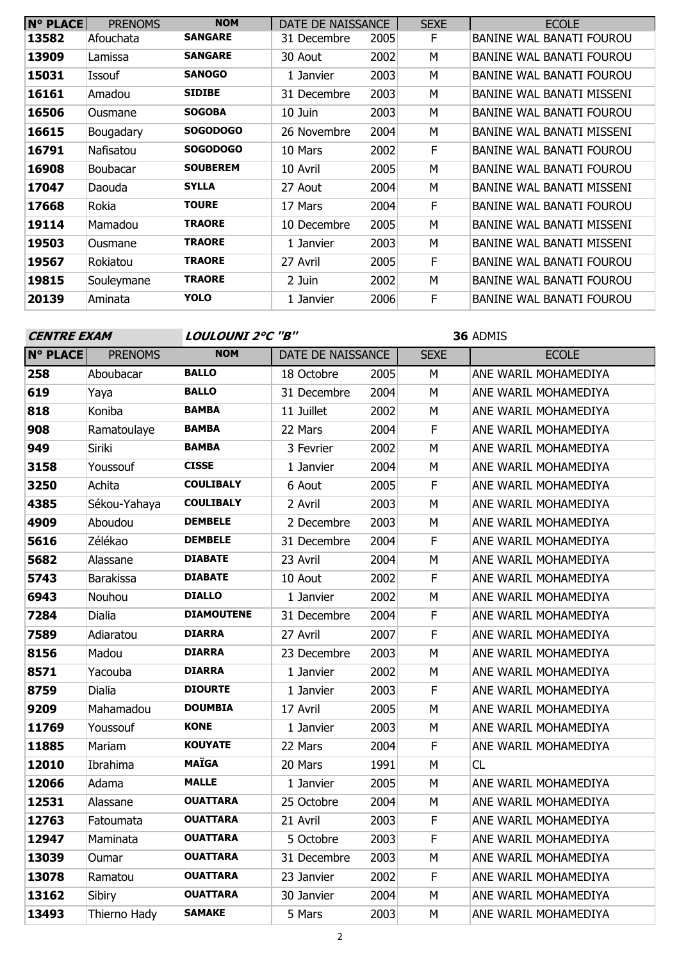| <b>N° PLACE</b> | <b>PRENOMS</b>  | <b>NOM</b>      | DATE DE NAISSANCE |      | <b>SEXE</b> | <b>ECOLE</b>                    |
|-----------------|-----------------|-----------------|-------------------|------|-------------|---------------------------------|
| 13582           | Afouchata       | <b>SANGARE</b>  | 31 Decembre       | 2005 | F           | <b>BANINE WAL BANATI FOUROU</b> |
| 13909           | Lamissa         | <b>SANGARE</b>  | 30 Aout           | 2002 | М           | <b>BANINE WAL BANATI FOUROU</b> |
| 15031           | Issouf          | <b>SANOGO</b>   | 1 Janvier         | 2003 | м           | BANINE WAL BANATI FOUROU        |
| 16161           | Amadou          | <b>SIDIBE</b>   | 31 Decembre       | 2003 | м           | BANINE WAL BANATI MISSENI       |
| 16506           | Ousmane         | <b>SOGOBA</b>   | 10 Juin           | 2003 | м           | <b>BANINE WAL BANATI FOUROU</b> |
| 16615           | Bougadary       | <b>SOGODOGO</b> | 26 Novembre       | 2004 | M           | BANINE WAL BANATI MISSENI       |
| 16791           | Nafisatou       | <b>SOGODOGO</b> | 10 Mars           | 2002 | F           | <b>BANINE WAL BANATI FOUROU</b> |
| 16908           | <b>Boubacar</b> | <b>SOUBEREM</b> | 10 Avril          | 2005 | M           | <b>BANINE WAL BANATI FOUROU</b> |
| 17047           | Daouda          | <b>SYLLA</b>    | 27 Aout           | 2004 | M           | BANINE WAL BANATI MISSENI       |
| 17668           | Rokia           | <b>TOURE</b>    | 17 Mars           | 2004 | F           | BANINE WAL BANATI FOUROU        |
| 19114           | Mamadou         | <b>TRAORE</b>   | 10 Decembre       | 2005 | M           | BANINE WAL BANATI MISSENI       |
| 19503           | Ousmane         | <b>TRAORE</b>   | 1 Janvier         | 2003 | м           | BANINE WAL BANATI MISSENI       |
| 19567           | Rokiatou        | <b>TRAORE</b>   | 27 Avril          | 2005 | F           | BANINE WAL BANATI FOUROU        |
| 19815           | Souleymane      | <b>TRAORE</b>   | 2 Juin            | 2002 | M           | BANINE WAL BANATI FOUROU        |
| 20139           | Aminata         | <b>YOLO</b>     | 1 Janvier         | 2006 | F           | BANINE WAL BANATI FOUROU        |

| <b>CENTRE EXAM</b> |                  | LOULOUNI 2°C "B"  |                   |      | 36 ADMIS     |                      |  |
|--------------------|------------------|-------------------|-------------------|------|--------------|----------------------|--|
| <b>N° PLACE</b>    | <b>PRENOMS</b>   | <b>NOM</b>        | DATE DE NAISSANCE |      | <b>SEXE</b>  | <b>ECOLE</b>         |  |
| 258                | Aboubacar        | <b>BALLO</b>      | 18 Octobre        | 2005 | M            | ANE WARIL MOHAMEDIYA |  |
| 619                | Yaya             | <b>BALLO</b>      | 31 Decembre       | 2004 | M            | ANE WARIL MOHAMEDIYA |  |
| 818                | Koniba           | <b>BAMBA</b>      | 11 Juillet        | 2002 | M            | ANE WARIL MOHAMEDIYA |  |
| 908                | Ramatoulaye      | <b>BAMBA</b>      | 22 Mars           | 2004 | F            | ANE WARIL MOHAMEDIYA |  |
| 949                | Siriki           | <b>BAMBA</b>      | 3 Fevrier         | 2002 | M            | ANE WARIL MOHAMEDIYA |  |
| 3158               | Youssouf         | <b>CISSE</b>      | 1 Janvier         | 2004 | M            | ANE WARIL MOHAMEDIYA |  |
| 3250               | Achita           | <b>COULIBALY</b>  | 6 Aout            | 2005 | F            | ANE WARIL MOHAMEDIYA |  |
| 4385               | Sékou-Yahaya     | <b>COULIBALY</b>  | 2 Avril           | 2003 | M            | ANE WARIL MOHAMEDIYA |  |
| 4909               | Aboudou          | <b>DEMBELE</b>    | 2 Decembre        | 2003 | M            | ANE WARIL MOHAMEDIYA |  |
| 5616               | Zélékao          | <b>DEMBELE</b>    | 31 Decembre       | 2004 | F            | ANE WARIL MOHAMEDIYA |  |
| 5682               | Alassane         | <b>DIABATE</b>    | 23 Avril          | 2004 | M            | ANE WARIL MOHAMEDIYA |  |
| 5743               | <b>Barakissa</b> | <b>DIABATE</b>    | 10 Aout           | 2002 | F            | ANE WARIL MOHAMEDIYA |  |
| 6943               | Nouhou           | <b>DIALLO</b>     | 1 Janvier         | 2002 | M            | ANE WARIL MOHAMEDIYA |  |
| 7284               | <b>Dialia</b>    | <b>DIAMOUTENE</b> | 31 Decembre       | 2004 | $\mathsf F$  | ANE WARIL MOHAMEDIYA |  |
| 7589               | Adiaratou        | <b>DIARRA</b>     | 27 Avril          | 2007 | $\mathsf{F}$ | ANE WARIL MOHAMEDIYA |  |
| 8156               | Madou            | <b>DIARRA</b>     | 23 Decembre       | 2003 | M            | ANE WARIL MOHAMEDIYA |  |
| 8571               | Yacouba          | <b>DIARRA</b>     | 1 Janvier         | 2002 | M            | ANE WARIL MOHAMEDIYA |  |
| 8759               | Dialia           | <b>DIOURTE</b>    | 1 Janvier         | 2003 | $\mathsf{F}$ | ANE WARIL MOHAMEDIYA |  |
| 9209               | Mahamadou        | <b>DOUMBIA</b>    | 17 Avril          | 2005 | M            | ANE WARIL MOHAMEDIYA |  |
| 11769              | Youssouf         | <b>KONE</b>       | 1 Janvier         | 2003 | M            | ANE WARIL MOHAMEDIYA |  |
| 11885              | Mariam           | <b>KOUYATE</b>    | 22 Mars           | 2004 | $\mathsf{F}$ | ANE WARIL MOHAMEDIYA |  |
| 12010              | Ibrahima         | <b>MAÏGA</b>      | 20 Mars           | 1991 | M            | CL                   |  |
| 12066              | Adama            | <b>MALLE</b>      | 1 Janvier         | 2005 | M            | ANE WARIL MOHAMEDIYA |  |
| 12531              | Alassane         | <b>OUATTARA</b>   | 25 Octobre        | 2004 | M            | ANE WARIL MOHAMEDIYA |  |
| 12763              | Fatoumata        | <b>OUATTARA</b>   | 21 Avril          | 2003 | $\mathsf F$  | ANE WARIL MOHAMEDIYA |  |
| 12947              | Maminata         | <b>OUATTARA</b>   | 5 Octobre         | 2003 | F            | ANE WARIL MOHAMEDIYA |  |
| 13039              | Oumar            | <b>OUATTARA</b>   | 31 Decembre       | 2003 | M            | ANE WARIL MOHAMEDIYA |  |
| 13078              | Ramatou          | <b>OUATTARA</b>   | 23 Janvier        | 2002 | F            | ANE WARIL MOHAMEDIYA |  |
| 13162              | Sibiry           | <b>OUATTARA</b>   | 30 Janvier        | 2004 | M            | ANE WARIL MOHAMEDIYA |  |
| 13493              | Thierno Hady     | <b>SAMAKE</b>     | 5 Mars            | 2003 | M            | ANE WARIL MOHAMEDIYA |  |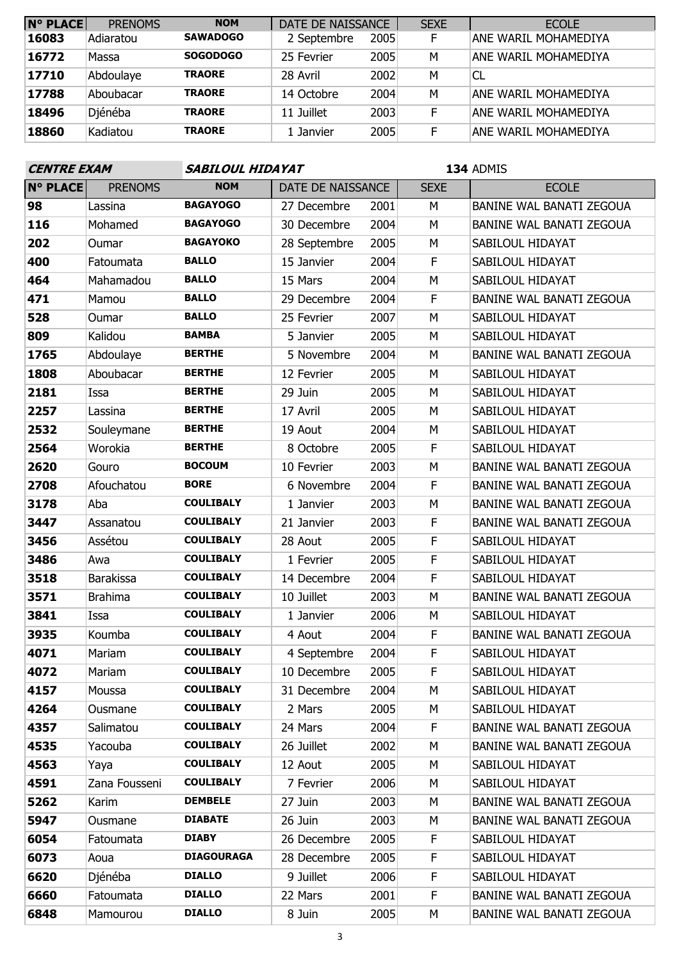| <b>N° PLACE</b> | <b>PRENOMS</b> | <b>NOM</b>      | DATE DE NAISSANCE |      | <b>SEXE</b> | <b>ECOLE</b>         |
|-----------------|----------------|-----------------|-------------------|------|-------------|----------------------|
| 16083           | Adiaratou      | <b>SAWADOGO</b> | 2 Septembre       | 2005 | F           | ANE WARIL MOHAMEDIYA |
| 16772           | Massa          | <b>SOGODOGO</b> | 25 Fevrier        | 2005 | M           | ANE WARIL MOHAMEDIYA |
| 17710           | Abdoulaye      | <b>TRAORE</b>   | 28 Avril          | 2002 | M           | <sup>CL</sup>        |
| 17788           | Aboubacar      | <b>TRAORE</b>   | 14 Octobre        | 2004 | M           | ANE WARIL MOHAMEDIYA |
| 18496           | Djénéba        | <b>TRAORE</b>   | 11 Juillet        | 2003 | F           | ANE WARIL MOHAMEDIYA |
| 18860           | Kadiatou       | <b>TRAORE</b>   | 1 Janvier         | 2005 | F           | ANE WARTL MOHAMEDIYA |

## **CENTRE EXAM SABILOUL HIDAYAT**

| <b>N° PLACE</b> | <b>PRENOMS</b>   | <b>NOM</b>        | DATE DE NAISSANCE |      | <b>SEXE</b> | <b>ECOLE</b>             |
|-----------------|------------------|-------------------|-------------------|------|-------------|--------------------------|
| 98              | Lassina          | <b>BAGAYOGO</b>   | 27 Decembre       | 2001 | M           | BANINE WAL BANATI ZEGOUA |
| 116             | Mohamed          | <b>BAGAYOGO</b>   | 30 Decembre       | 2004 | M           | BANINE WAL BANATI ZEGOUA |
| 202             | Oumar            | <b>BAGAYOKO</b>   | 28 Septembre      | 2005 | M           | SABILOUL HIDAYAT         |
| 400             | Fatoumata        | <b>BALLO</b>      | 15 Janvier        | 2004 | F           | SABILOUL HIDAYAT         |
| 464             | Mahamadou        | <b>BALLO</b>      | 15 Mars           | 2004 | M           | SABILOUL HIDAYAT         |
| 471             | Mamou            | <b>BALLO</b>      | 29 Decembre       | 2004 | F           | BANINE WAL BANATI ZEGOUA |
| 528             | Oumar            | <b>BALLO</b>      | 25 Fevrier        | 2007 | M           | SABILOUL HIDAYAT         |
| 809             | Kalidou          | <b>BAMBA</b>      | 5 Janvier         | 2005 | M           | SABILOUL HIDAYAT         |
| 1765            | Abdoulaye        | <b>BERTHE</b>     | 5 Novembre        | 2004 | M           | BANINE WAL BANATI ZEGOUA |
| 1808            | Aboubacar        | <b>BERTHE</b>     | 12 Fevrier        | 2005 | M           | SABILOUL HIDAYAT         |
| 2181            | Issa             | <b>BERTHE</b>     | 29 Juin           | 2005 | М           | SABILOUL HIDAYAT         |
| 2257            | Lassina          | <b>BERTHE</b>     | 17 Avril          | 2005 | M           | SABILOUL HIDAYAT         |
| 2532            | Souleymane       | <b>BERTHE</b>     | 19 Aout           | 2004 | M           | SABILOUL HIDAYAT         |
| 2564            | Worokia          | <b>BERTHE</b>     | 8 Octobre         | 2005 | F           | SABILOUL HIDAYAT         |
| 2620            | Gouro            | <b>BOCOUM</b>     | 10 Fevrier        | 2003 | M           | BANINE WAL BANATI ZEGOUA |
| 2708            | Afouchatou       | <b>BORE</b>       | 6 Novembre        | 2004 | F           | BANINE WAL BANATI ZEGOUA |
| 3178            | Aba              | <b>COULIBALY</b>  | 1 Janvier         | 2003 | М           | BANINE WAL BANATI ZEGOUA |
| 3447            | Assanatou        | <b>COULIBALY</b>  | 21 Janvier        | 2003 | F           | BANINE WAL BANATI ZEGOUA |
| 3456            | Assétou          | <b>COULIBALY</b>  | 28 Aout           | 2005 | F           | SABILOUL HIDAYAT         |
| 3486            | Awa              | <b>COULIBALY</b>  | 1 Fevrier         | 2005 | F           | SABILOUL HIDAYAT         |
| 3518            | <b>Barakissa</b> | <b>COULIBALY</b>  | 14 Decembre       | 2004 | F           | SABILOUL HIDAYAT         |
| 3571            | <b>Brahima</b>   | <b>COULIBALY</b>  | 10 Juillet        | 2003 | M           | BANINE WAL BANATI ZEGOUA |
| 3841            | Issa             | <b>COULIBALY</b>  | 1 Janvier         | 2006 | M           | SABILOUL HIDAYAT         |
| 3935            | Koumba           | <b>COULIBALY</b>  | 4 Aout            | 2004 | F           | BANINE WAL BANATI ZEGOUA |
| 4071            | Mariam           | <b>COULIBALY</b>  | 4 Septembre       | 2004 | F           | SABILOUL HIDAYAT         |
| 4072            | Mariam           | <b>COULIBALY</b>  | 10 Decembre       | 2005 | F           | SABILOUL HIDAYAT         |
| 4157            | Moussa           | <b>COULIBALY</b>  | 31 Decembre       | 2004 | M           | SABILOUL HIDAYAT         |
| 4264            | Ousmane          | <b>COULIBALY</b>  | 2 Mars            | 2005 | М           | SABILOUL HIDAYAT         |
| 4357            | Salimatou        | <b>COULIBALY</b>  | 24 Mars           | 2004 | F           | BANINE WAL BANATI ZEGOUA |
| 4535            | Yacouba          | <b>COULIBALY</b>  | 26 Juillet        | 2002 | М           | BANINE WAL BANATI ZEGOUA |
| 4563            | Yaya             | <b>COULIBALY</b>  | 12 Aout           | 2005 | М           | SABILOUL HIDAYAT         |
| 4591            | Zana Fousseni    | <b>COULIBALY</b>  | 7 Fevrier         | 2006 | M           | SABILOUL HIDAYAT         |
| 5262            | Karim            | <b>DEMBELE</b>    | 27 Juin           | 2003 | M           | BANINE WAL BANATI ZEGOUA |
| 5947            | Ousmane          | <b>DIABATE</b>    | 26 Juin           | 2003 | M           | BANINE WAL BANATI ZEGOUA |
| 6054            | Fatoumata        | <b>DIABY</b>      | 26 Decembre       | 2005 | F           | SABILOUL HIDAYAT         |
| 6073            | Aoua             | <b>DIAGOURAGA</b> | 28 Decembre       | 2005 | F           | SABILOUL HIDAYAT         |
| 6620            | Djénéba          | <b>DIALLO</b>     | 9 Juillet         | 2006 | F           | SABILOUL HIDAYAT         |
| 6660            | Fatoumata        | <b>DIALLO</b>     | 22 Mars           | 2001 | F           | BANINE WAL BANATI ZEGOUA |
| 6848            | Mamourou         | <b>DIALLO</b>     | 8 Juin            | 2005 | М           | BANINE WAL BANATI ZEGOUA |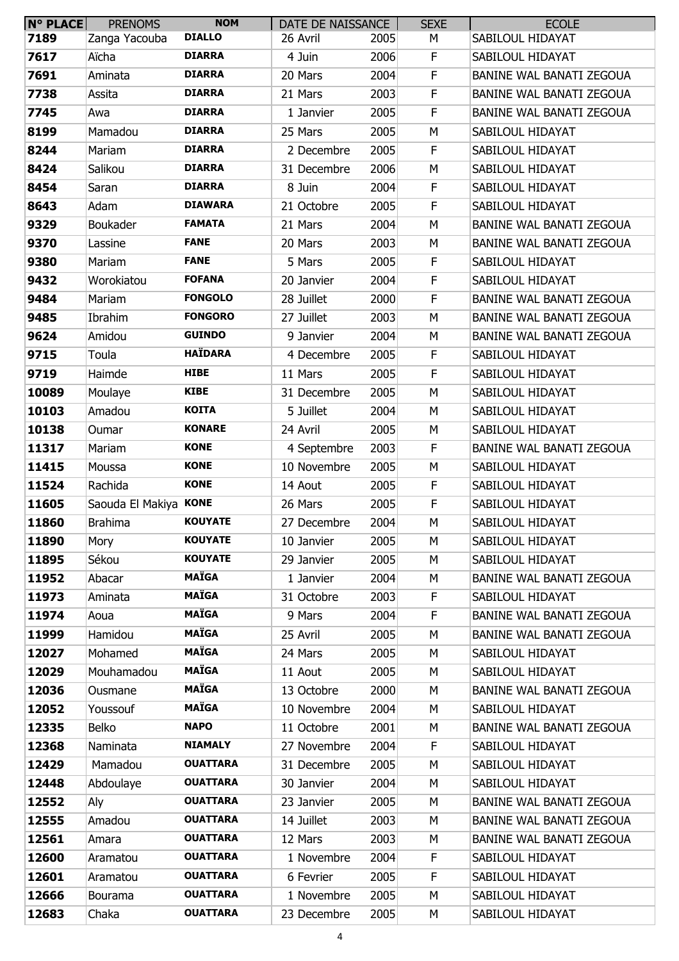| N° PLACE | <b>PRENOMS</b>        | <b>NOM</b>      | DATE DE NAISSANCE |      | <b>SEXE</b> | <b>ECOLE</b>                    |
|----------|-----------------------|-----------------|-------------------|------|-------------|---------------------------------|
| 7189     | Zanga Yacouba         | <b>DIALLO</b>   | 26 Avril          | 2005 | М           | SABILOUL HIDAYAT                |
| 7617     | Aïcha                 | <b>DIARRA</b>   | 4 Juin            | 2006 | F           | SABILOUL HIDAYAT                |
| 7691     | Aminata               | <b>DIARRA</b>   | 20 Mars           | 2004 | F           | BANINE WAL BANATI ZEGOUA        |
| 7738     | Assita                | <b>DIARRA</b>   | 21 Mars           | 2003 | F           | BANINE WAL BANATI ZEGOUA        |
| 7745     | Awa                   | <b>DIARRA</b>   | 1 Janvier         | 2005 | $\mathsf F$ | BANINE WAL BANATI ZEGOUA        |
| 8199     | Mamadou               | <b>DIARRA</b>   | 25 Mars           | 2005 | М           | SABILOUL HIDAYAT                |
| 8244     | Mariam                | <b>DIARRA</b>   | 2 Decembre        | 2005 | F           | SABILOUL HIDAYAT                |
| 8424     | Salikou               | <b>DIARRA</b>   | 31 Decembre       | 2006 | М           | SABILOUL HIDAYAT                |
| 8454     | Saran                 | <b>DIARRA</b>   | 8 Juin            | 2004 | $\mathsf F$ | SABILOUL HIDAYAT                |
| 8643     | Adam                  | <b>DIAWARA</b>  | 21 Octobre        | 2005 | F           | SABILOUL HIDAYAT                |
| 9329     | Boukader              | <b>FAMATA</b>   | 21 Mars           | 2004 | М           | BANINE WAL BANATI ZEGOUA        |
| 9370     | Lassine               | <b>FANE</b>     | 20 Mars           | 2003 | M           | BANINE WAL BANATI ZEGOUA        |
| 9380     | Mariam                | <b>FANE</b>     | 5 Mars            | 2005 | F           | SABILOUL HIDAYAT                |
| 9432     | Worokiatou            | <b>FOFANA</b>   | 20 Janvier        | 2004 | F           | SABILOUL HIDAYAT                |
| 9484     | Mariam                | <b>FONGOLO</b>  | 28 Juillet        | 2000 | F           | BANINE WAL BANATI ZEGOUA        |
| 9485     | Ibrahim               | <b>FONGORO</b>  | 27 Juillet        | 2003 | М           | BANINE WAL BANATI ZEGOUA        |
| 9624     | Amidou                | <b>GUINDO</b>   | 9 Janvier         | 2004 | М           | BANINE WAL BANATI ZEGOUA        |
| 9715     | Toula                 | <b>HAÏDARA</b>  | 4 Decembre        | 2005 | F           | SABILOUL HIDAYAT                |
| 9719     | Haimde                | <b>HIBE</b>     | 11 Mars           | 2005 | $\mathsf F$ | SABILOUL HIDAYAT                |
| 10089    | Moulaye               | <b>KIBE</b>     | 31 Decembre       | 2005 | М           | SABILOUL HIDAYAT                |
| 10103    | Amadou                | <b>KOITA</b>    | 5 Juillet         | 2004 | М           | SABILOUL HIDAYAT                |
| 10138    | Oumar                 | <b>KONARE</b>   | 24 Avril          | 2005 | М           | SABILOUL HIDAYAT                |
| 11317    | Mariam                | <b>KONE</b>     | 4 Septembre       | 2003 | F           | BANINE WAL BANATI ZEGOUA        |
| 11415    | Moussa                | <b>KONE</b>     | 10 Novembre       | 2005 | М           | SABILOUL HIDAYAT                |
| 11524    | Rachida               | <b>KONE</b>     | 14 Aout           | 2005 | F           | SABILOUL HIDAYAT                |
| 11605    | Saouda El Makiya KONE |                 | 26 Mars           | 2005 | F           | SABILOUL HIDAYAT                |
| 11860    | <b>Brahima</b>        | <b>KOUYATE</b>  | 27 Decembre       | 2004 | M           | SABILOUL HIDAYAT                |
| 11890    | Mory                  | <b>KOUYATE</b>  | 10 Janvier        | 2005 | М           | SABILOUL HIDAYAT                |
| 11895    | Sékou                 | <b>KOUYATE</b>  | 29 Janvier        | 2005 | M           | SABILOUL HIDAYAT                |
| 11952    | Abacar                | <b>MAÏGA</b>    | 1 Janvier         | 2004 | М           | BANINE WAL BANATI ZEGOUA        |
| 11973    | Aminata               | <b>MAÏGA</b>    | 31 Octobre        | 2003 | $\mathsf F$ | SABILOUL HIDAYAT                |
| 11974    | Aoua                  | <b>MAÏGA</b>    | 9 Mars            | 2004 | F           | <b>BANINE WAL BANATI ZEGOUA</b> |
| 11999    | Hamidou               | <b>MAÏGA</b>    | 25 Avril          | 2005 | М           | BANINE WAL BANATI ZEGOUA        |
| 12027    | Mohamed               | <b>MAÏGA</b>    | 24 Mars           | 2005 | M           | SABILOUL HIDAYAT                |
| 12029    | Mouhamadou            | <b>MAÏGA</b>    | 11 Aout           | 2005 | М           | SABILOUL HIDAYAT                |
| 12036    | Ousmane               | <b>MAÏGA</b>    | 13 Octobre        | 2000 | M           | BANINE WAL BANATI ZEGOUA        |
| 12052    | Youssouf              | <b>MAÏGA</b>    | 10 Novembre       | 2004 | М           | SABILOUL HIDAYAT                |
| 12335    | Belko                 | <b>NAPO</b>     | 11 Octobre        | 2001 | М           | BANINE WAL BANATI ZEGOUA        |
| 12368    | Naminata              | <b>NIAMALY</b>  | 27 Novembre       | 2004 | F           | SABILOUL HIDAYAT                |
| 12429    | Mamadou               | <b>OUATTARA</b> | 31 Decembre       | 2005 | М           | SABILOUL HIDAYAT                |
| 12448    | Abdoulaye             | <b>OUATTARA</b> | 30 Janvier        | 2004 | M           | SABILOUL HIDAYAT                |
| 12552    | Aly                   | <b>OUATTARA</b> | 23 Janvier        | 2005 | М           | BANINE WAL BANATI ZEGOUA        |
| 12555    | Amadou                | <b>OUATTARA</b> | 14 Juillet        | 2003 | М           | BANINE WAL BANATI ZEGOUA        |
| 12561    | Amara                 | <b>OUATTARA</b> | 12 Mars           | 2003 | М           | BANINE WAL BANATI ZEGOUA        |
| 12600    | Aramatou              | <b>OUATTARA</b> | 1 Novembre        | 2004 | F           | SABILOUL HIDAYAT                |
| 12601    | Aramatou              | <b>OUATTARA</b> | 6 Fevrier         | 2005 | F           | SABILOUL HIDAYAT                |
| 12666    | Bourama               | <b>OUATTARA</b> | 1 Novembre        | 2005 | М           | SABILOUL HIDAYAT                |
| 12683    | Chaka                 | <b>OUATTARA</b> | 23 Decembre       | 2005 | М           | SABILOUL HIDAYAT                |
|          |                       |                 |                   |      |             |                                 |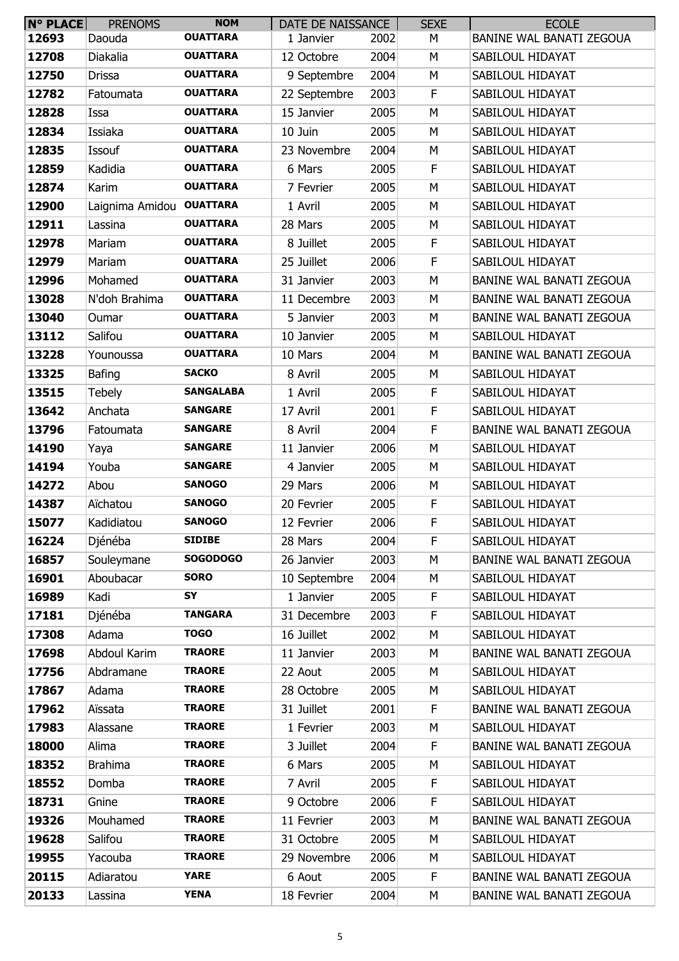| <b>N° PLACE</b> | <b>PRENOMS</b>  | <b>NOM</b>       | DATE DE NAISSANCE |      | <b>SEXE</b> | <b>ECOLE</b>             |
|-----------------|-----------------|------------------|-------------------|------|-------------|--------------------------|
| 12693           | Daouda          | <b>OUATTARA</b>  | 1 Janvier         | 2002 | М           | BANINE WAL BANATI ZEGOUA |
| 12708           | Diakalia        | <b>OUATTARA</b>  | 12 Octobre        | 2004 | М           | SABILOUL HIDAYAT         |
| 12750           | Drissa          | <b>OUATTARA</b>  | 9 Septembre       | 2004 | М           | SABILOUL HIDAYAT         |
| 12782           | Fatoumata       | <b>OUATTARA</b>  | 22 Septembre      | 2003 | F           | SABILOUL HIDAYAT         |
| 12828           | Issa            | <b>OUATTARA</b>  | 15 Janvier        | 2005 | М           | SABILOUL HIDAYAT         |
| 12834           | Issiaka         | <b>OUATTARA</b>  | 10 Juin           | 2005 | М           | SABILOUL HIDAYAT         |
| 12835           | Issouf          | <b>OUATTARA</b>  | 23 Novembre       | 2004 | М           | SABILOUL HIDAYAT         |
| 12859           | Kadidia         | <b>OUATTARA</b>  | 6 Mars            | 2005 | F.          | SABILOUL HIDAYAT         |
| 12874           | Karim           | <b>OUATTARA</b>  | 7 Fevrier         | 2005 | M           | SABILOUL HIDAYAT         |
| 12900           | Laignima Amidou | <b>OUATTARA</b>  | 1 Avril           | 2005 | М           | SABILOUL HIDAYAT         |
| 12911           | Lassina         | <b>OUATTARA</b>  | 28 Mars           | 2005 | М           | SABILOUL HIDAYAT         |
| 12978           | Mariam          | <b>OUATTARA</b>  | 8 Juillet         | 2005 | F           | SABILOUL HIDAYAT         |
| 12979           | Mariam          | <b>OUATTARA</b>  | 25 Juillet        | 2006 | F           | SABILOUL HIDAYAT         |
| 12996           | Mohamed         | <b>OUATTARA</b>  | 31 Janvier        | 2003 | М           | BANINE WAL BANATI ZEGOUA |
| 13028           | N'doh Brahima   | <b>OUATTARA</b>  | 11 Decembre       | 2003 | M           | BANINE WAL BANATI ZEGOUA |
| 13040           | Oumar           | <b>OUATTARA</b>  | 5 Janvier         | 2003 | M           | BANINE WAL BANATI ZEGOUA |
| 13112           | Salifou         | <b>OUATTARA</b>  | 10 Janvier        | 2005 | М           | SABILOUL HIDAYAT         |
| 13228           | Younoussa       | <b>OUATTARA</b>  | 10 Mars           | 2004 | М           | BANINE WAL BANATI ZEGOUA |
| 13325           | Bafing          | <b>SACKO</b>     | 8 Avril           | 2005 | М           | SABILOUL HIDAYAT         |
| 13515           | <b>Tebely</b>   | <b>SANGALABA</b> | 1 Avril           | 2005 | F           | SABILOUL HIDAYAT         |
| 13642           | Anchata         | <b>SANGARE</b>   | 17 Avril          | 2001 | F           | SABILOUL HIDAYAT         |
| 13796           | Fatoumata       | <b>SANGARE</b>   | 8 Avril           | 2004 | F           | BANINE WAL BANATI ZEGOUA |
| 14190           | Yaya            | <b>SANGARE</b>   | 11 Janvier        | 2006 | М           | SABILOUL HIDAYAT         |
| 14194           | Youba           | <b>SANGARE</b>   | 4 Janvier         | 2005 | М           | SABILOUL HIDAYAT         |
| 14272           | Abou            | <b>SANOGO</b>    | 29 Mars           | 2006 | М           | SABILOUL HIDAYAT         |
| 14387           | Aïchatou        | <b>SANOGO</b>    | 20 Fevrier        | 2005 | F           | SABILOUL HIDAYAT         |
| 15077           | Kadidiatou      | <b>SANOGO</b>    | 12 Fevrier        | 2006 | F           | SABILOUL HIDAYAT         |
| 16224           | Djénéba         | <b>SIDIBE</b>    | 28 Mars           | 2004 | F           | SABILOUL HIDAYAT         |
| 16857           | Souleymane      | <b>SOGODOGO</b>  | 26 Janvier        | 2003 | М           | BANINE WAL BANATI ZEGOUA |
| 16901           | Aboubacar       | <b>SORO</b>      | 10 Septembre      | 2004 | М           | SABILOUL HIDAYAT         |
| 16989           | Kadi            | SY               | 1 Janvier         | 2005 | $\mathsf F$ | SABILOUL HIDAYAT         |
| 17181           | Djénéba         | <b>TANGARA</b>   | 31 Decembre       | 2003 | $\mathsf F$ | SABILOUL HIDAYAT         |
| 17308           | Adama           | <b>TOGO</b>      | 16 Juillet        | 2002 | М           | SABILOUL HIDAYAT         |
| 17698           | Abdoul Karim    | <b>TRAORE</b>    | 11 Janvier        | 2003 | M           | BANINE WAL BANATI ZEGOUA |
| 17756           | Abdramane       | <b>TRAORE</b>    | 22 Aout           | 2005 | M           | SABILOUL HIDAYAT         |
| 17867           | Adama           | <b>TRAORE</b>    | 28 Octobre        | 2005 | М           | SABILOUL HIDAYAT         |
| 17962           | Aïssata         | <b>TRAORE</b>    | 31 Juillet        | 2001 | $\mathsf F$ | BANINE WAL BANATI ZEGOUA |
| 17983           | Alassane        | <b>TRAORE</b>    | 1 Fevrier         | 2003 | М           | SABILOUL HIDAYAT         |
| 18000           | Alima           | <b>TRAORE</b>    | 3 Juillet         | 2004 | F           | BANINE WAL BANATI ZEGOUA |
| 18352           | <b>Brahima</b>  | <b>TRAORE</b>    | 6 Mars            | 2005 | М           | SABILOUL HIDAYAT         |
| 18552           | Domba           | <b>TRAORE</b>    | 7 Avril           | 2005 | F           | SABILOUL HIDAYAT         |
| 18731           | Gnine           | <b>TRAORE</b>    | 9 Octobre         | 2006 | F           | SABILOUL HIDAYAT         |
| 19326           | Mouhamed        | <b>TRAORE</b>    | 11 Fevrier        | 2003 | М           | BANINE WAL BANATI ZEGOUA |
| 19628           | Salifou         | <b>TRAORE</b>    | 31 Octobre        | 2005 | M           | SABILOUL HIDAYAT         |
| 19955           | Yacouba         | <b>TRAORE</b>    | 29 Novembre       | 2006 | M           | SABILOUL HIDAYAT         |
| 20115           | Adiaratou       | <b>YARE</b>      | 6 Aout            | 2005 | F           | BANINE WAL BANATI ZEGOUA |
| 20133           | Lassina         | <b>YENA</b>      | 18 Fevrier        | 2004 | М           | BANINE WAL BANATI ZEGOUA |
|                 |                 |                  |                   |      |             |                          |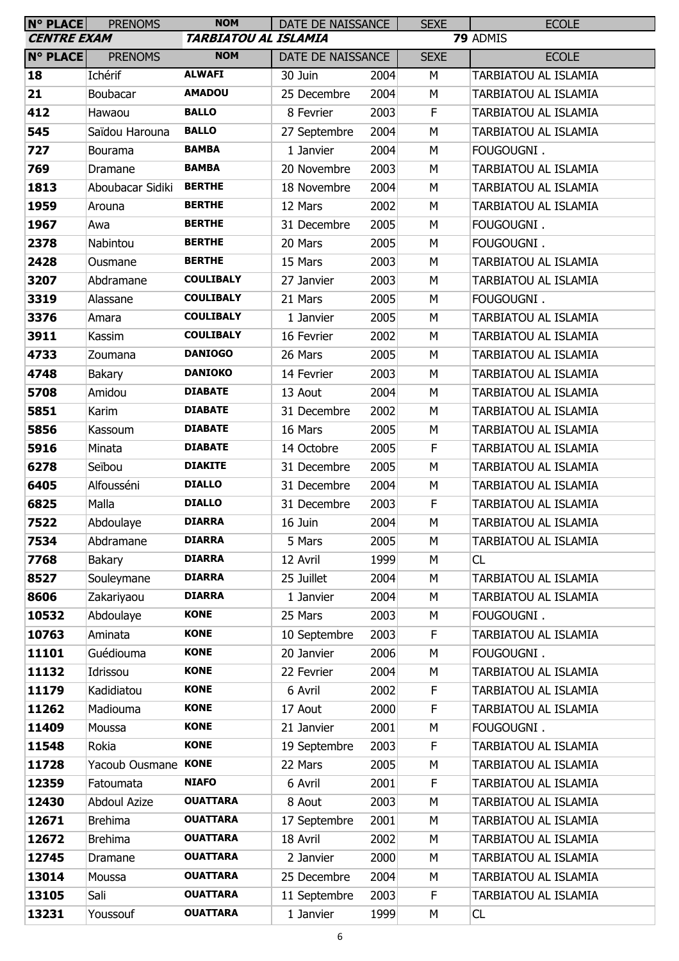| <b>N° PLACE</b>    | <b>PRENOMS</b>      | <b>NOM</b>                  | DATE DE NAISSANCE |      | <b>SEXE</b> | <b>ECOLE</b>         |
|--------------------|---------------------|-----------------------------|-------------------|------|-------------|----------------------|
| <b>CENTRE EXAM</b> |                     | <b>TARBIATOU AL ISLAMIA</b> |                   |      |             | 79 ADMIS             |
| <b>N° PLACE</b>    | <b>PRENOMS</b>      | <b>NOM</b>                  | DATE DE NAISSANCE |      | <b>SEXE</b> | <b>ECOLE</b>         |
| 18                 | Ichérif             | <b>ALWAFI</b>               | 30 Juin           | 2004 | M           | TARBIATOU AL ISLAMIA |
| 21                 | Boubacar            | <b>AMADOU</b>               | 25 Decembre       | 2004 | M           | TARBIATOU AL ISLAMIA |
| 412                | Hawaou              | <b>BALLO</b>                | 8 Fevrier         | 2003 | F           | TARBIATOU AL ISLAMIA |
| 545                | Saïdou Harouna      | <b>BALLO</b>                | 27 Septembre      | 2004 | M           | TARBIATOU AL ISLAMIA |
| 727                | Bourama             | <b>BAMBA</b>                | 1 Janvier         | 2004 | M           | FOUGOUGNI.           |
| 769                | Dramane             | <b>BAMBA</b>                | 20 Novembre       | 2003 | M           | TARBIATOU AL ISLAMIA |
| 1813               | Aboubacar Sidiki    | <b>BERTHE</b>               | 18 Novembre       | 2004 | M           | TARBIATOU AL ISLAMIA |
| 1959               | Arouna              | <b>BERTHE</b>               | 12 Mars           | 2002 | M           | TARBIATOU AL ISLAMIA |
| 1967               | Awa                 | <b>BERTHE</b>               | 31 Decembre       | 2005 | M           | FOUGOUGNI.           |
| 2378               | Nabintou            | <b>BERTHE</b>               | 20 Mars           | 2005 | M           | FOUGOUGNI.           |
| 2428               | Ousmane             | <b>BERTHE</b>               | 15 Mars           | 2003 | M           | TARBIATOU AL ISLAMIA |
| 3207               | Abdramane           | <b>COULIBALY</b>            | 27 Janvier        | 2003 | M           | TARBIATOU AL ISLAMIA |
| 3319               | Alassane            | <b>COULIBALY</b>            | 21 Mars           | 2005 | M           | FOUGOUGNI.           |
| 3376               | Amara               | <b>COULIBALY</b>            | 1 Janvier         | 2005 | M           | TARBIATOU AL ISLAMIA |
| 3911               | Kassim              | <b>COULIBALY</b>            | 16 Fevrier        | 2002 | M           | TARBIATOU AL ISLAMIA |
| 4733               | Zoumana             | <b>DANIOGO</b>              | 26 Mars           | 2005 | M           | TARBIATOU AL ISLAMIA |
| 4748               | Bakary              | <b>DANIOKO</b>              | 14 Fevrier        | 2003 | M           | TARBIATOU AL ISLAMIA |
| 5708               | Amidou              | <b>DIABATE</b>              | 13 Aout           | 2004 | M           | TARBIATOU AL ISLAMIA |
| 5851               | Karim               | <b>DIABATE</b>              | 31 Decembre       | 2002 | M           | TARBIATOU AL ISLAMIA |
| 5856               | Kassoum             | <b>DIABATE</b>              | 16 Mars           | 2005 | M           | TARBIATOU AL ISLAMIA |
| 5916               | Minata              | <b>DIABATE</b>              | 14 Octobre        | 2005 | F           | TARBIATOU AL ISLAMIA |
| 6278               | Seïbou              | <b>DIAKITE</b>              | 31 Decembre       | 2005 | M           | TARBIATOU AL ISLAMIA |
| 6405               | Alfousséni          | <b>DIALLO</b>               | 31 Decembre       | 2004 | M           | TARBIATOU AL ISLAMIA |
| 6825               | Malla               | <b>DIALLO</b>               | 31 Decembre       | 2003 | F           | TARBIATOU AL ISLAMIA |
| 7522               | Abdoulaye           | <b>DIARRA</b>               | 16 Juin           | 2004 | M           | TARBIATOU AL ISLAMIA |
| 7534               | Abdramane           | <b>DIARRA</b>               | 5 Mars            | 2005 | М           | TARBIATOU AL ISLAMIA |
| 7768               | Bakary              | <b>DIARRA</b>               | 12 Avril          | 1999 | M           | CL                   |
| 8527               | Souleymane          | <b>DIARRA</b>               | 25 Juillet        | 2004 | M           | TARBIATOU AL ISLAMIA |
| 8606               | Zakariyaou          | <b>DIARRA</b>               | 1 Janvier         | 2004 | М           | TARBIATOU AL ISLAMIA |
| 10532              | Abdoulaye           | <b>KONE</b>                 | 25 Mars           | 2003 | M           | FOUGOUGNI.           |
| 10763              | Aminata             | <b>KONE</b>                 | 10 Septembre      | 2003 | F.          | TARBIATOU AL ISLAMIA |
| 11101              | Guédiouma           | <b>KONE</b>                 | 20 Janvier        | 2006 | M           | FOUGOUGNI.           |
| 11132              | Idrissou            | <b>KONE</b>                 | 22 Fevrier        | 2004 | M           | TARBIATOU AL ISLAMIA |
| 11179              | Kadidiatou          | <b>KONE</b>                 | 6 Avril           | 2002 | F           | TARBIATOU AL ISLAMIA |
| 11262              | Madiouma            | <b>KONE</b>                 | 17 Aout           | 2000 | F.          | TARBIATOU AL ISLAMIA |
| 11409              | Moussa              | <b>KONE</b>                 | 21 Janvier        | 2001 | M           | FOUGOUGNI.           |
| 11548              | Rokia               | <b>KONE</b>                 | 19 Septembre      | 2003 | F.          | TARBIATOU AL ISLAMIA |
| 11728              | Yacoub Ousmane KONE |                             | 22 Mars           | 2005 | M           | TARBIATOU AL ISLAMIA |
| 12359              | Fatoumata           | <b>NIAFO</b>                | 6 Avril           | 2001 | F           | TARBIATOU AL ISLAMIA |
| 12430              | <b>Abdoul Azize</b> | <b>OUATTARA</b>             | 8 Aout            | 2003 | M           | TARBIATOU AL ISLAMIA |
| 12671              | <b>Brehima</b>      | <b>OUATTARA</b>             | 17 Septembre      | 2001 | M           | TARBIATOU AL ISLAMIA |
| 12672              | <b>Brehima</b>      | <b>OUATTARA</b>             | 18 Avril          | 2002 | M           | TARBIATOU AL ISLAMIA |
| 12745              | Dramane             | <b>OUATTARA</b>             | 2 Janvier         | 2000 | M           | TARBIATOU AL ISLAMIA |
| 13014              | Moussa              | <b>OUATTARA</b>             | 25 Decembre       | 2004 | M           | TARBIATOU AL ISLAMIA |
| 13105              | Sali                | <b>OUATTARA</b>             | 11 Septembre      | 2003 | F.          | TARBIATOU AL ISLAMIA |
| 13231              | Youssouf            | <b>OUATTARA</b>             | 1 Janvier         | 1999 | М           | <b>CL</b>            |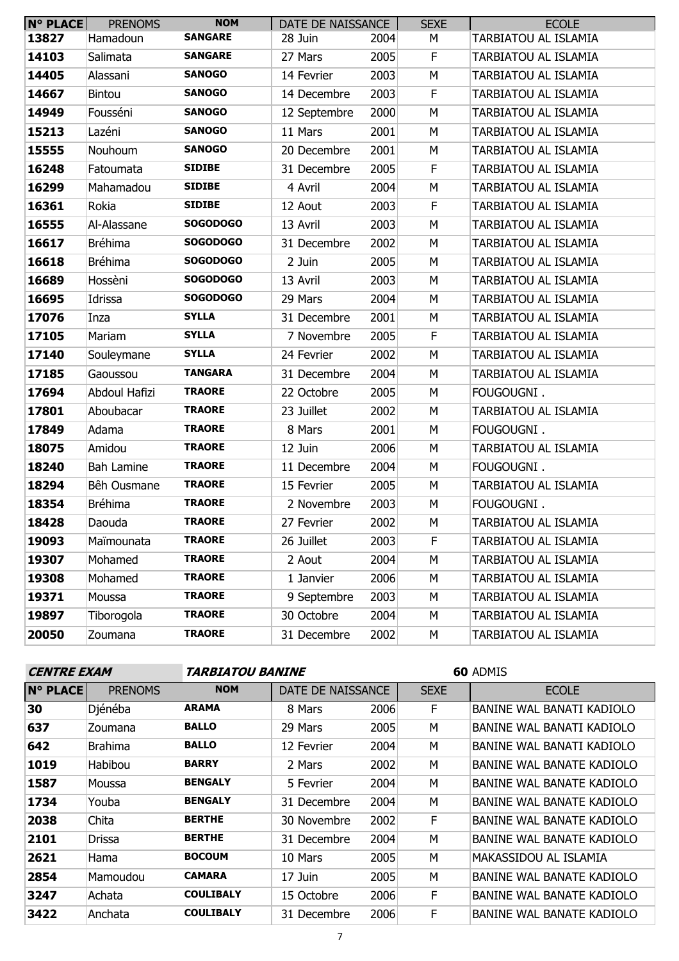| <b>N° PLACE</b> | <b>PRENOMS</b>    | <b>NOM</b>      | DATE DE NAISSANCE |      | <b>SEXE</b> | <b>ECOLE</b>         |
|-----------------|-------------------|-----------------|-------------------|------|-------------|----------------------|
| 13827           | Hamadoun          | <b>SANGARE</b>  | 28 Juin           | 2004 | М           | TARBIATOU AL ISLAMIA |
| 14103           | Salimata          | <b>SANGARE</b>  | 27 Mars           | 2005 | F.          | TARBIATOU AL ISLAMIA |
| 14405           | Alassani          | <b>SANOGO</b>   | 14 Fevrier        | 2003 | M           | TARBIATOU AL ISLAMIA |
| 14667           | Bintou            | <b>SANOGO</b>   | 14 Decembre       | 2003 | F           | TARBIATOU AL ISLAMIA |
| 14949           | Fousséni          | <b>SANOGO</b>   | 12 Septembre      | 2000 | M           | TARBIATOU AL ISLAMIA |
| 15213           | Lazéni            | <b>SANOGO</b>   | 11 Mars           | 2001 | M           | TARBIATOU AL ISLAMIA |
| 15555           | Nouhoum           | <b>SANOGO</b>   | 20 Decembre       | 2001 | М           | TARBIATOU AL ISLAMIA |
| 16248           | Fatoumata         | <b>SIDIBE</b>   | 31 Decembre       | 2005 | F           | TARBIATOU AL ISLAMIA |
| 16299           | Mahamadou         | <b>SIDIBE</b>   | 4 Avril           | 2004 | М           | TARBIATOU AL ISLAMIA |
| 16361           | Rokia             | <b>SIDIBE</b>   | 12 Aout           | 2003 | F           | TARBIATOU AL ISLAMIA |
| 16555           | Al-Alassane       | <b>SOGODOGO</b> | 13 Avril          | 2003 | M           | TARBIATOU AL ISLAMIA |
| 16617           | <b>Bréhima</b>    | <b>SOGODOGO</b> | 31 Decembre       | 2002 | M           | TARBIATOU AL ISLAMIA |
| 16618           | <b>Bréhima</b>    | <b>SOGODOGO</b> | 2 Juin            | 2005 | М           | TARBIATOU AL ISLAMIA |
| 16689           | Hossèni           | <b>SOGODOGO</b> | 13 Avril          | 2003 | M           | TARBIATOU AL ISLAMIA |
| 16695           | Idrissa           | <b>SOGODOGO</b> | 29 Mars           | 2004 | M           | TARBIATOU AL ISLAMIA |
| 17076           | Inza              | <b>SYLLA</b>    | 31 Decembre       | 2001 | М           | TARBIATOU AL ISLAMIA |
| 17105           | Mariam            | <b>SYLLA</b>    | 7 Novembre        | 2005 | F           | TARBIATOU AL ISLAMIA |
| 17140           | Souleymane        | <b>SYLLA</b>    | 24 Fevrier        | 2002 | M           | TARBIATOU AL ISLAMIA |
| 17185           | Gaoussou          | <b>TANGARA</b>  | 31 Decembre       | 2004 | M           | TARBIATOU AL ISLAMIA |
| 17694           | Abdoul Hafizi     | <b>TRAORE</b>   | 22 Octobre        | 2005 | М           | FOUGOUGNI.           |
| 17801           | Aboubacar         | <b>TRAORE</b>   | 23 Juillet        | 2002 | M           | TARBIATOU AL ISLAMIA |
| 17849           | Adama             | <b>TRAORE</b>   | 8 Mars            | 2001 | M           | FOUGOUGNI.           |
| 18075           | Amidou            | <b>TRAORE</b>   | 12 Juin           | 2006 | M           | TARBIATOU AL ISLAMIA |
| 18240           | <b>Bah Lamine</b> | <b>TRAORE</b>   | 11 Decembre       | 2004 | М           | FOUGOUGNI.           |
| 18294           | Bêh Ousmane       | <b>TRAORE</b>   | 15 Fevrier        | 2005 | М           | TARBIATOU AL ISLAMIA |
| 18354           | <b>Bréhima</b>    | <b>TRAORE</b>   | 2 Novembre        | 2003 | М           | FOUGOUGNI.           |
| 18428           | Daouda            | <b>TRAORE</b>   | 27 Fevrier        | 2002 | М           | TARBIATOU AL ISLAMIA |
| 19093           | Maïmounata        | <b>TRAORE</b>   | 26 Juillet        | 2003 | F.          | TARBIATOU AL ISLAMIA |
| 19307           | Mohamed           | <b>TRAORE</b>   | 2 Aout            | 2004 | М           | TARBIATOU AL ISLAMIA |
| 19308           | Mohamed           | <b>TRAORE</b>   | 1 Janvier         | 2006 | М           | TARBIATOU AL ISLAMIA |
| 19371           | Moussa            | <b>TRAORE</b>   | 9 Septembre       | 2003 | М           | TARBIATOU AL ISLAMIA |
| 19897           | Tiborogola        | <b>TRAORE</b>   | 30 Octobre        | 2004 | М           | TARBIATOU AL ISLAMIA |
| 20050           | Zoumana           | <b>TRAORE</b>   | 31 Decembre       | 2002 | М           | TARBIATOU AL ISLAMIA |

| <b>CENTRE EXAM</b> |                | <i><b>TARBIATOU BANINE</b></i> |                   |      | <b>60 ADMIS</b> |                                  |  |
|--------------------|----------------|--------------------------------|-------------------|------|-----------------|----------------------------------|--|
| <b>N° PLACE</b>    | <b>PRENOMS</b> | <b>NOM</b>                     | DATE DE NAISSANCE |      | <b>SEXE</b>     | <b>ECOLE</b>                     |  |
| 30                 | Djénéba        | <b>ARAMA</b>                   | 8 Mars            | 2006 | F               | BANINE WAL BANATI KADIOLO        |  |
| 637                | Zoumana        | <b>BALLO</b>                   | 29 Mars           | 2005 | M               | BANINE WAL BANATI KADIOLO        |  |
| 642                | <b>Brahima</b> | <b>BALLO</b>                   | 12 Fevrier        | 2004 | м               | BANINE WAL BANATI KADIOLO        |  |
| 1019               | Habibou        | <b>BARRY</b>                   | 2 Mars            | 2002 | м               | BANINE WAL BANATE KADIOLO        |  |
| 1587               | Moussa         | <b>BENGALY</b>                 | 5 Fevrier         | 2004 | M               | BANINE WAL BANATE KADIOLO        |  |
| 1734               | Youba          | <b>BENGALY</b>                 | 31 Decembre       | 2004 | м               | BANINE WAL BANATE KADIOLO        |  |
| 2038               | Chita          | <b>BERTHE</b>                  | 30 Novembre       | 2002 | F               | BANINE WAL BANATE KADIOLO        |  |
| 2101               | Drissa         | <b>BERTHE</b>                  | 31 Decembre       | 2004 | M               | <b>BANINE WAL BANATE KADIOLO</b> |  |
| 2621               | Hama           | <b>BOCOUM</b>                  | 10 Mars           | 2005 | M               | MAKASSIDOU AL ISLAMIA            |  |
| 2854               | Mamoudou       | <b>CAMARA</b>                  | 17 Juin           | 2005 | м               | BANINE WAL BANATE KADIOLO        |  |
| 3247               | Achata         | <b>COULIBALY</b>               | 15 Octobre        | 2006 | F               | BANINE WAL BANATE KADIOLO        |  |
| 3422               | Anchata        | <b>COULIBALY</b>               | 31 Decembre       | 2006 | F               | BANINE WAL BANATE KADIOLO        |  |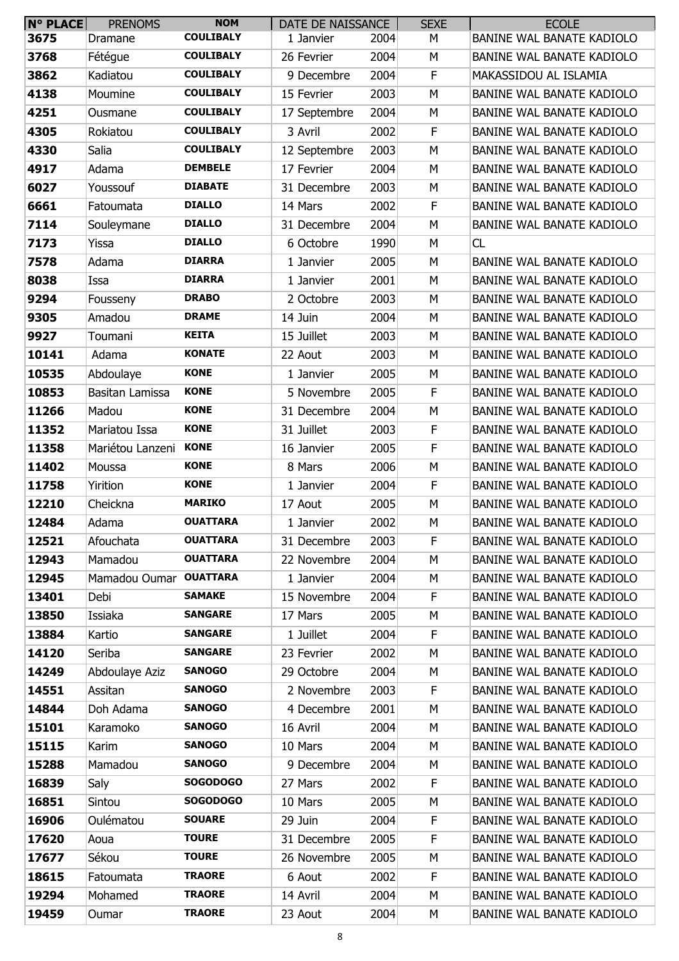| $N^{\circ}$ PLACE | <b>PRENOMS</b>         | <b>NOM</b>       | DATE DE NAISSANCE |      | <b>SEXE</b> | <b>ECOLE</b>                     |
|-------------------|------------------------|------------------|-------------------|------|-------------|----------------------------------|
| 3675              | Dramane                | <b>COULIBALY</b> | 1 Janvier         | 2004 | М           | BANINE WAL BANATE KADIOLO        |
| 3768              | Fétégue                | <b>COULIBALY</b> | 26 Fevrier        | 2004 | M           | BANINE WAL BANATE KADIOLO        |
| 3862              | Kadiatou               | <b>COULIBALY</b> | 9 Decembre        | 2004 | F           | MAKASSIDOU AL ISLAMIA            |
| 4138              | Moumine                | <b>COULIBALY</b> | 15 Fevrier        | 2003 | M           | BANINE WAL BANATE KADIOLO        |
| 4251              | Ousmane                | <b>COULIBALY</b> | 17 Septembre      | 2004 | М           | BANINE WAL BANATE KADIOLO        |
| 4305              | Rokiatou               | <b>COULIBALY</b> | 3 Avril           | 2002 | F           | BANINE WAL BANATE KADIOLO        |
| 4330              | Salia                  | <b>COULIBALY</b> | 12 Septembre      | 2003 | M           | BANINE WAL BANATE KADIOLO        |
| 4917              | Adama                  | <b>DEMBELE</b>   | 17 Fevrier        | 2004 | М           | BANINE WAL BANATE KADIOLO        |
| 6027              | Youssouf               | <b>DIABATE</b>   | 31 Decembre       | 2003 | M           | BANINE WAL BANATE KADIOLO        |
| 6661              | Fatoumata              | <b>DIALLO</b>    | 14 Mars           | 2002 | F           | BANINE WAL BANATE KADIOLO        |
| 7114              | Souleymane             | <b>DIALLO</b>    | 31 Decembre       | 2004 | М           | BANINE WAL BANATE KADIOLO        |
| 7173              | Yissa                  | <b>DIALLO</b>    | 6 Octobre         | 1990 | М           | CL                               |
| 7578              | Adama                  | <b>DIARRA</b>    | 1 Janvier         | 2005 | М           | <b>BANINE WAL BANATE KADIOLO</b> |
| 8038              | Issa                   | <b>DIARRA</b>    | 1 Janvier         | 2001 | М           | BANINE WAL BANATE KADIOLO        |
| 9294              | Fousseny               | <b>DRABO</b>     | 2 Octobre         | 2003 | М           | BANINE WAL BANATE KADIOLO        |
| 9305              | Amadou                 | <b>DRAME</b>     | 14 Juin           | 2004 | М           | BANINE WAL BANATE KADIOLO        |
| 9927              | Toumani                | <b>KEITA</b>     | 15 Juillet        | 2003 | M           | BANINE WAL BANATE KADIOLO        |
| 10141             | Adama                  | <b>KONATE</b>    | 22 Aout           | 2003 | М           | BANINE WAL BANATE KADIOLO        |
| 10535             | Abdoulaye              | <b>KONE</b>      | 1 Janvier         | 2005 | М           | BANINE WAL BANATE KADIOLO        |
|                   |                        | <b>KONE</b>      |                   |      | F           | BANINE WAL BANATE KADIOLO        |
| 10853             | Basitan Lamissa        | <b>KONE</b>      | 5 Novembre        | 2005 |             |                                  |
| 11266             | Madou                  |                  | 31 Decembre       | 2004 | М           | BANINE WAL BANATE KADIOLO        |
| 11352             | Mariatou Issa          | <b>KONE</b>      | 31 Juillet        | 2003 | F           | BANINE WAL BANATE KADIOLO        |
| 11358             | Mariétou Lanzeni       | <b>KONE</b>      | 16 Janvier        | 2005 | F           | BANINE WAL BANATE KADIOLO        |
| 11402             | Moussa                 | <b>KONE</b>      | 8 Mars            | 2006 | М           | BANINE WAL BANATE KADIOLO        |
| 11758             | Yirition               | <b>KONE</b>      | 1 Janvier         | 2004 | F           | BANINE WAL BANATE KADIOLO        |
| 12210             | Cheickna               | <b>MARIKO</b>    | 17 Aout           | 2005 | М           | BANINE WAL BANATE KADIOLO        |
| 12484             | Adama                  | <b>OUATTARA</b>  | 1 Janvier         | 2002 | M           | <b>BANINE WAL BANATE KADIOLO</b> |
| 12521             | Afouchata              | <b>OUATTARA</b>  | 31 Decembre       | 2003 | F           | BANINE WAL BANATE KADIOLO        |
| 12943             | Mamadou                | <b>OUATTARA</b>  | 22 Novembre       | 2004 | М           | BANINE WAL BANATE KADIOLO        |
| 12945             | Mamadou Oumar OUATTARA |                  | 1 Janvier         | 2004 | М           | BANINE WAL BANATE KADIOLO        |
| 13401             | Debi                   | <b>SAMAKE</b>    | 15 Novembre       | 2004 | F           | BANINE WAL BANATE KADIOLO        |
| 13850             | Issiaka                | <b>SANGARE</b>   | 17 Mars           | 2005 | М           | BANINE WAL BANATE KADIOLO        |
| 13884             | Kartio                 | <b>SANGARE</b>   | 1 Juillet         | 2004 | F           | BANINE WAL BANATE KADIOLO        |
| 14120             | Seriba                 | <b>SANGARE</b>   | 23 Fevrier        | 2002 | M           | BANINE WAL BANATE KADIOLO        |
| 14249             | Abdoulaye Aziz         | <b>SANOGO</b>    | 29 Octobre        | 2004 | М           | BANINE WAL BANATE KADIOLO        |
| 14551             | Assitan                | <b>SANOGO</b>    | 2 Novembre        | 2003 | F           | BANINE WAL BANATE KADIOLO        |
| 14844             | Doh Adama              | <b>SANOGO</b>    | 4 Decembre        | 2001 | М           | BANINE WAL BANATE KADIOLO        |
| 15101             | Karamoko               | <b>SANOGO</b>    | 16 Avril          | 2004 | М           | BANINE WAL BANATE KADIOLO        |
| 15115             | Karim                  | <b>SANOGO</b>    | 10 Mars           | 2004 | М           | BANINE WAL BANATE KADIOLO        |
| 15288             | Mamadou                | <b>SANOGO</b>    | 9 Decembre        | 2004 | М           | BANINE WAL BANATE KADIOLO        |
| 16839             | Saly                   | <b>SOGODOGO</b>  | 27 Mars           | 2002 | F           | BANINE WAL BANATE KADIOLO        |
| 16851             | Sintou                 | <b>SOGODOGO</b>  | 10 Mars           | 2005 | М           | BANINE WAL BANATE KADIOLO        |
| 16906             | Oulématou              | <b>SOUARE</b>    | 29 Juin           | 2004 | F           | BANINE WAL BANATE KADIOLO        |
| 17620             | Aoua                   | <b>TOURE</b>     | 31 Decembre       | 2005 | F           | BANINE WAL BANATE KADIOLO        |
| 17677             | Sékou                  | <b>TOURE</b>     | 26 Novembre       | 2005 | М           | BANINE WAL BANATE KADIOLO        |
| 18615             | Fatoumata              | <b>TRAORE</b>    | 6 Aout            | 2002 | F           | BANINE WAL BANATE KADIOLO        |
| 19294             | Mohamed                | <b>TRAORE</b>    | 14 Avril          | 2004 | М           | BANINE WAL BANATE KADIOLO        |
| 19459             | Oumar                  | <b>TRAORE</b>    | 23 Aout           | 2004 | М           | BANINE WAL BANATE KADIOLO        |
|                   |                        |                  |                   |      |             |                                  |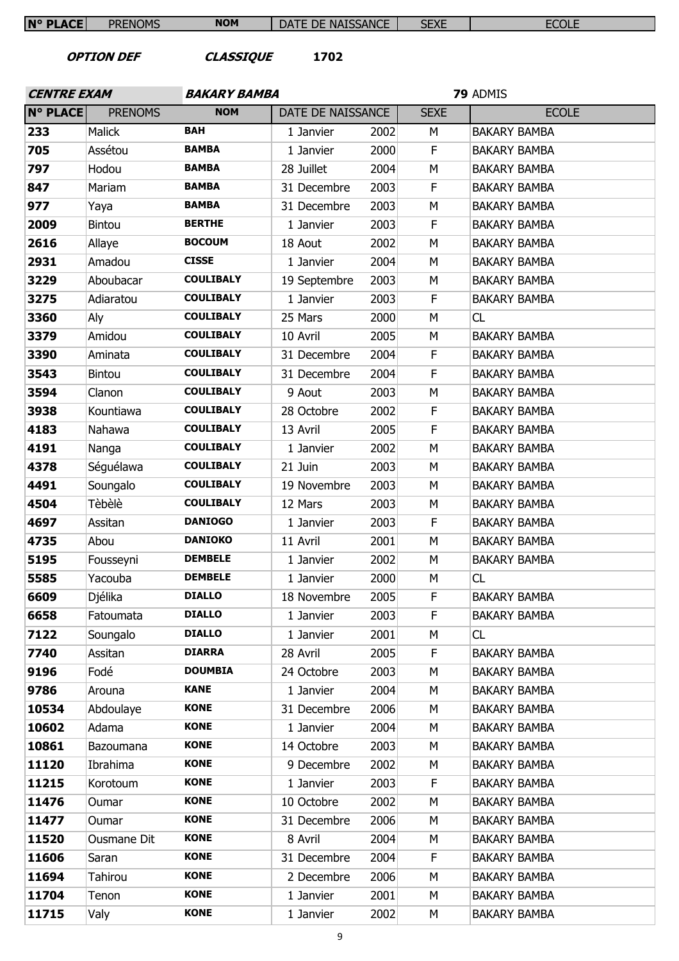| $N^{\circ}$ PLACE                             | <b>PRENOMS</b> | <b>NOM</b>          | DATE DE NAISSANCE |          | <b>SEXE</b> | <b>ECOLE</b>        |  |
|-----------------------------------------------|----------------|---------------------|-------------------|----------|-------------|---------------------|--|
| <b>CLASSIQUE</b><br>1702<br><b>OPTION DEF</b> |                |                     |                   |          |             |                     |  |
| <b>CENTRE EXAM</b>                            |                | <b>BAKARY BAMBA</b> |                   | 79 ADMIS |             |                     |  |
| <b>N° PLACE</b>                               | <b>PRENOMS</b> | <b>NOM</b>          | DATE DE NAISSANCE |          | <b>SEXE</b> | <b>ECOLE</b>        |  |
| 233                                           | Malick         | <b>BAH</b>          | 1 Janvier         | 2002     | М           | <b>BAKARY BAMBA</b> |  |
| 705                                           | Assétou        | <b>BAMBA</b>        | 1 Janvier         | 2000     | $\mathsf F$ | <b>BAKARY BAMBA</b> |  |
| 797                                           | Hodou          | <b>BAMBA</b>        | 28 Juillet        | 2004     | M           | <b>BAKARY BAMBA</b> |  |
| 847                                           | Mariam         | <b>BAMBA</b>        | 31 Decembre       | 2003     | F           | <b>BAKARY BAMBA</b> |  |
| 977                                           | Yaya           | <b>BAMBA</b>        | 31 Decembre       | 2003     | M           | <b>BAKARY BAMBA</b> |  |
| 2009                                          | <b>Bintou</b>  | <b>BERTHE</b>       | 1 Janvier         | 2003     | $\mathsf F$ | <b>BAKARY BAMBA</b> |  |
| 2616                                          | Allaye         | <b>BOCOUM</b>       | 18 Aout           | 2002     | М           | <b>BAKARY BAMBA</b> |  |
| 2931                                          | Amadou         | <b>CISSE</b>        | 1 Janvier         | 2004     | М           | <b>BAKARY BAMBA</b> |  |
| 3229                                          | Aboubacar      | <b>COULIBALY</b>    | 19 Septembre      | 2003     | M           | <b>BAKARY BAMBA</b> |  |
| 3275                                          | Adiaratou      | <b>COULIBALY</b>    | 1 Janvier         | 2003     | F           | <b>BAKARY BAMBA</b> |  |
| 3360                                          | Aly            | <b>COULIBALY</b>    | 25 Mars           | 2000     | M           | CL                  |  |
| 3379                                          | Amidou         | <b>COULIBALY</b>    | 10 Avril          | 2005     | М           | <b>BAKARY BAMBA</b> |  |
| 3390                                          | Aminata        | <b>COULIBALY</b>    | 31 Decembre       | 2004     | $\mathsf F$ | <b>BAKARY BAMBA</b> |  |
| 3543                                          | Bintou         | <b>COULIBALY</b>    | 31 Decembre       | 2004     | F           | <b>BAKARY BAMBA</b> |  |
| 3594                                          | Clanon         | <b>COULIBALY</b>    | 9 Aout            | 2003     | М           | <b>BAKARY BAMBA</b> |  |
| 3938                                          | Kountiawa      | <b>COULIBALY</b>    | 28 Octobre        | 2002     | $\mathsf F$ | <b>BAKARY BAMBA</b> |  |
| 4183                                          | Nahawa         | <b>COULIBALY</b>    | 13 Avril          | 2005     | F           | <b>BAKARY BAMBA</b> |  |
| 4191                                          | Nanga          | <b>COULIBALY</b>    | 1 Janvier         | 2002     | M           | <b>BAKARY BAMBA</b> |  |
| 4378                                          | Séguélawa      | <b>COULIBALY</b>    | 21 Juin           | 2003     | М           | <b>BAKARY BAMBA</b> |  |
| 4491                                          | Soungalo       | <b>COULIBALY</b>    | 19 Novembre       | 2003     | М           | <b>BAKARY BAMBA</b> |  |
| 4504                                          | Tèbèlè         | <b>COULIBALY</b>    | 12 Mars           | 2003     | М           | <b>BAKARY BAMBA</b> |  |
| 4697                                          | Assitan        | <b>DANIOGO</b>      | 1 Janvier         | 2003     | F           | <b>BAKARY BAMBA</b> |  |
| 4735                                          | Abou           | <b>DANIOKO</b>      | 11 Avril          | 2001     | м           | <b>BAKARY BAMBA</b> |  |
| 5195                                          | Fousseyni      | <b>DEMBELE</b>      | 1 Janvier         | 2002     | М           | <b>BAKARY BAMBA</b> |  |
| 5585                                          | Yacouba        | <b>DEMBELE</b>      | 1 Janvier         | 2000     | М           | CL                  |  |
| 6609                                          | Djélika        | <b>DIALLO</b>       | 18 Novembre       | 2005     | F.          | <b>BAKARY BAMBA</b> |  |
| 6658                                          | Fatoumata      | <b>DIALLO</b>       | 1 Janvier         | 2003     | $\mathsf F$ | <b>BAKARY BAMBA</b> |  |
| 7122                                          | Soungalo       | <b>DIALLO</b>       | 1 Janvier         | 2001     | М           | CL                  |  |
| 7740                                          | Assitan        | <b>DIARRA</b>       | 28 Avril          | 2005     | F.          | <b>BAKARY BAMBA</b> |  |
| 9196                                          | Fodé           | <b>DOUMBIA</b>      | 24 Octobre        | 2003     | М           | <b>BAKARY BAMBA</b> |  |
| 9786                                          | Arouna         | <b>KANE</b>         | 1 Janvier         | 2004     | М           | <b>BAKARY BAMBA</b> |  |
| 10534                                         | Abdoulaye      | <b>KONE</b>         | 31 Decembre       | 2006     | М           | <b>BAKARY BAMBA</b> |  |
| 10602                                         | Adama          | <b>KONE</b>         | 1 Janvier         | 2004     | М           | <b>BAKARY BAMBA</b> |  |
| 10861                                         | Bazoumana      | <b>KONE</b>         | 14 Octobre        | 2003     | М           | <b>BAKARY BAMBA</b> |  |
| 11120                                         | Ibrahima       | <b>KONE</b>         | 9 Decembre        | 2002     | М           | <b>BAKARY BAMBA</b> |  |
| 11215                                         | Korotoum       | <b>KONE</b>         | 1 Janvier         | 2003     | F           | <b>BAKARY BAMBA</b> |  |
| 11476                                         | Oumar          | <b>KONE</b>         | 10 Octobre        | 2002     | М           | <b>BAKARY BAMBA</b> |  |
| 11477                                         | Oumar          | <b>KONE</b>         | 31 Decembre       | 2006     | M           | <b>BAKARY BAMBA</b> |  |
| 11520                                         | Ousmane Dit    | <b>KONE</b>         | 8 Avril           | 2004     | М           | <b>BAKARY BAMBA</b> |  |
| 11606                                         | Saran          | <b>KONE</b>         | 31 Decembre       | 2004     | F.          | <b>BAKARY BAMBA</b> |  |
| 11694                                         | Tahirou        | <b>KONE</b>         | 2 Decembre        | 2006     | М           | <b>BAKARY BAMBA</b> |  |
| 11704                                         | Tenon          | <b>KONE</b>         | 1 Janvier         | 2001     | M           | <b>BAKARY BAMBA</b> |  |
| 11715                                         | Valy           | <b>KONE</b>         | 1 Janvier         | 2002     | М           | <b>BAKARY BAMBA</b> |  |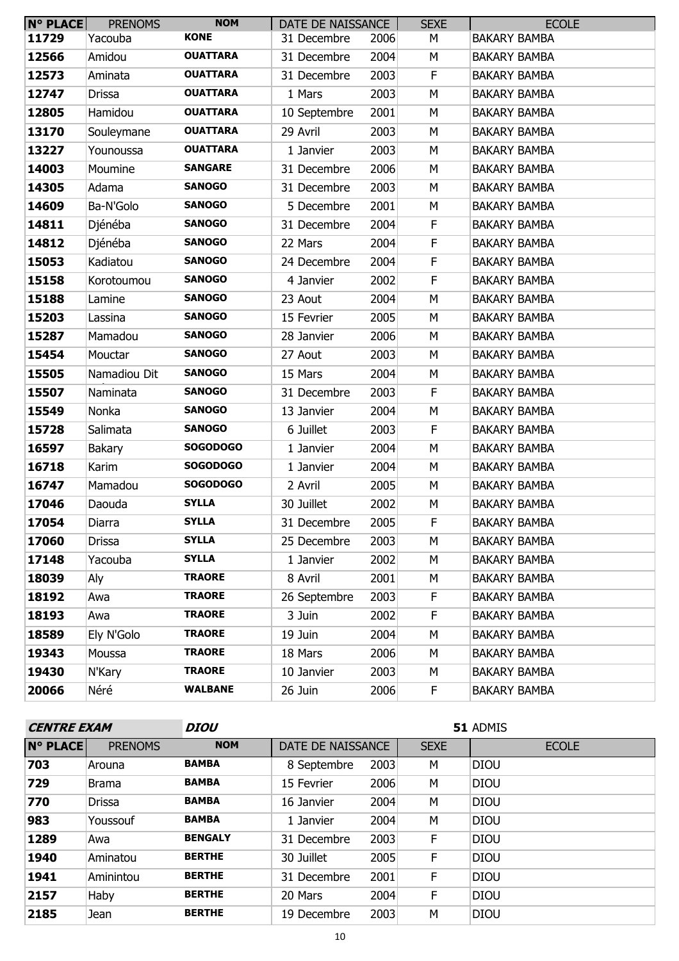| <b>N° PLACE</b> | <b>PRENOMS</b> | <b>NOM</b>      | DATE DE NAISSANCE |      | <b>SEXE</b> | <b>ECOLE</b>        |
|-----------------|----------------|-----------------|-------------------|------|-------------|---------------------|
| 11729           | Yacouba        | <b>KONE</b>     | 31 Decembre       | 2006 | М           | <b>BAKARY BAMBA</b> |
| 12566           | Amidou         | <b>OUATTARA</b> | 31 Decembre       | 2004 | М           | <b>BAKARY BAMBA</b> |
| 12573           | Aminata        | <b>OUATTARA</b> | 31 Decembre       | 2003 | $\mathsf F$ | <b>BAKARY BAMBA</b> |
| 12747           | <b>Drissa</b>  | <b>OUATTARA</b> | 1 Mars            | 2003 | M           | <b>BAKARY BAMBA</b> |
| 12805           | Hamidou        | <b>OUATTARA</b> | 10 Septembre      | 2001 | M           | <b>BAKARY BAMBA</b> |
| 13170           | Souleymane     | <b>OUATTARA</b> | 29 Avril          | 2003 | M           | <b>BAKARY BAMBA</b> |
| 13227           | Younoussa      | <b>OUATTARA</b> | 1 Janvier         | 2003 | М           | <b>BAKARY BAMBA</b> |
| 14003           | Moumine        | <b>SANGARE</b>  | 31 Decembre       | 2006 | M           | <b>BAKARY BAMBA</b> |
| 14305           | Adama          | <b>SANOGO</b>   | 31 Decembre       | 2003 | М           | <b>BAKARY BAMBA</b> |
| 14609           | Ba-N'Golo      | <b>SANOGO</b>   | 5 Decembre        | 2001 | M           | <b>BAKARY BAMBA</b> |
| 14811           | Djénéba        | <b>SANOGO</b>   | 31 Decembre       | 2004 | $\mathsf F$ | <b>BAKARY BAMBA</b> |
| 14812           | Djénéba        | <b>SANOGO</b>   | 22 Mars           | 2004 | F           | <b>BAKARY BAMBA</b> |
| 15053           | Kadiatou       | <b>SANOGO</b>   | 24 Decembre       | 2004 | F           | <b>BAKARY BAMBA</b> |
| 15158           | Korotoumou     | <b>SANOGO</b>   | 4 Janvier         | 2002 | $\mathsf F$ | <b>BAKARY BAMBA</b> |
| 15188           | Lamine         | <b>SANOGO</b>   | 23 Aout           | 2004 | М           | <b>BAKARY BAMBA</b> |
| 15203           | Lassina        | <b>SANOGO</b>   | 15 Fevrier        | 2005 | M           | <b>BAKARY BAMBA</b> |
| 15287           | Mamadou        | <b>SANOGO</b>   | 28 Janvier        | 2006 | М           | <b>BAKARY BAMBA</b> |
| 15454           | Mouctar        | <b>SANOGO</b>   | 27 Aout           | 2003 | М           | <b>BAKARY BAMBA</b> |
| 15505           | Namadiou Dit   | <b>SANOGO</b>   | 15 Mars           | 2004 | М           | <b>BAKARY BAMBA</b> |
| 15507           | Naminata       | <b>SANOGO</b>   | 31 Decembre       | 2003 | F           | <b>BAKARY BAMBA</b> |
| 15549           | Nonka          | <b>SANOGO</b>   | 13 Janvier        | 2004 | M           | <b>BAKARY BAMBA</b> |
| 15728           | Salimata       | <b>SANOGO</b>   | 6 Juillet         | 2003 | $\mathsf F$ | <b>BAKARY BAMBA</b> |
| 16597           | Bakary         | <b>SOGODOGO</b> | 1 Janvier         | 2004 | М           | <b>BAKARY BAMBA</b> |
| 16718           | Karim          | <b>SOGODOGO</b> | 1 Janvier         | 2004 | М           | <b>BAKARY BAMBA</b> |
| 16747           | Mamadou        | <b>SOGODOGO</b> | 2 Avril           | 2005 | М           | <b>BAKARY BAMBA</b> |
| 17046           | Daouda         | <b>SYLLA</b>    | 30 Juillet        | 2002 | М           | <b>BAKARY BAMBA</b> |
| 17054           | Diarra         | <b>SYLLA</b>    | 31 Decembre       | 2005 | F           | <b>BAKARY BAMBA</b> |
| 17060           | Drissa         | <b>SYLLA</b>    | 25 Decembre       | 2003 | М           | <b>BAKARY BAMBA</b> |
| 17148           | Yacouba        | <b>SYLLA</b>    | 1 Janvier         | 2002 | М           | <b>BAKARY BAMBA</b> |
| 18039           | Aly            | <b>TRAORE</b>   | 8 Avril           | 2001 | М           | <b>BAKARY BAMBA</b> |
| 18192           | Awa            | <b>TRAORE</b>   | 26 Septembre      | 2003 | F.          | <b>BAKARY BAMBA</b> |
| 18193           | Awa            | <b>TRAORE</b>   | 3 Juin            | 2002 | F           | <b>BAKARY BAMBA</b> |
| 18589           | Ely N'Golo     | <b>TRAORE</b>   | 19 Juin           | 2004 | М           | <b>BAKARY BAMBA</b> |
| 19343           | Moussa         | <b>TRAORE</b>   | 18 Mars           | 2006 | М           | <b>BAKARY BAMBA</b> |
| 19430           | N'Kary         | <b>TRAORE</b>   | 10 Janvier        | 2003 | М           | <b>BAKARY BAMBA</b> |
| 20066           | Néré           | <b>WALBANE</b>  | 26 Juin           | 2006 | F.          | <b>BAKARY BAMBA</b> |

| <b>CENTRE EXAM</b> |                | <b>DIOU</b>    | 51 ADMIS          |      |             |              |  |  |
|--------------------|----------------|----------------|-------------------|------|-------------|--------------|--|--|
| <b>N° PLACE</b>    | <b>PRENOMS</b> | <b>NOM</b>     | DATE DE NAISSANCE |      | <b>SEXE</b> | <b>ECOLE</b> |  |  |
| 703                | Arouna         | <b>BAMBA</b>   | 8 Septembre       | 2003 | М           | <b>DIOU</b>  |  |  |
| 729                | <b>Brama</b>   | <b>BAMBA</b>   | 15 Fevrier        | 2006 | м           | <b>DIOU</b>  |  |  |
| 770                | <b>Drissa</b>  | <b>BAMBA</b>   | 16 Janvier        | 2004 | М           | <b>DIOU</b>  |  |  |
| 983                | Youssouf       | <b>BAMBA</b>   | 1 Janvier         | 2004 | M           | <b>DIOU</b>  |  |  |
| 1289               | Awa            | <b>BENGALY</b> | 31 Decembre       | 2003 | F           | <b>DIOU</b>  |  |  |
| 1940               | Aminatou       | <b>BERTHE</b>  | 30 Juillet        | 2005 | F           | <b>DIOU</b>  |  |  |
| 1941               | Aminintou      | <b>BERTHE</b>  | 31 Decembre       | 2001 | F           | <b>DIOU</b>  |  |  |
| 2157               | Haby           | <b>BERTHE</b>  | 20 Mars           | 2004 | F.          | <b>DIOU</b>  |  |  |
| 2185               | Jean           | <b>BERTHE</b>  | 19 Decembre       | 2003 | М           | <b>DIOU</b>  |  |  |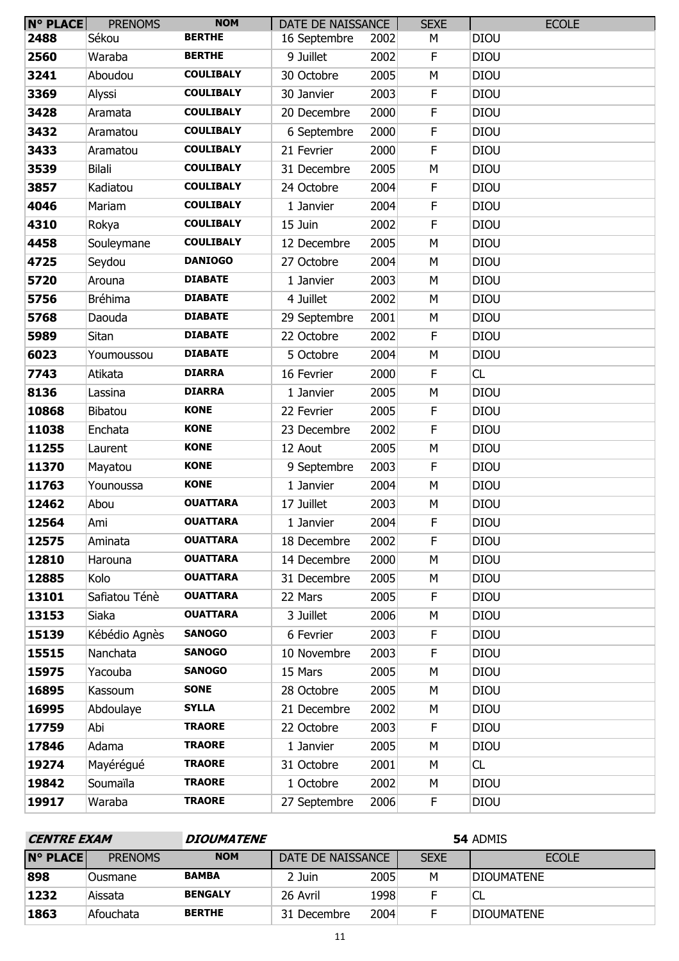| $N^{\circ}$ PLACE | <b>PRENOMS</b> | <b>NOM</b>       | DATE DE NAISSANCE |      | <b>SEXE</b> | <b>ECOLE</b> |
|-------------------|----------------|------------------|-------------------|------|-------------|--------------|
| 2488              | Sékou          | <b>BERTHE</b>    | 16 Septembre      | 2002 | М           | <b>DIOU</b>  |
| 2560              | Waraba         | <b>BERTHE</b>    | 9 Juillet         | 2002 | F           | <b>DIOU</b>  |
| 3241              | Aboudou        | <b>COULIBALY</b> | 30 Octobre        | 2005 | M           | <b>DIOU</b>  |
| 3369              | Alyssi         | <b>COULIBALY</b> | 30 Janvier        | 2003 | F           | <b>DIOU</b>  |
| 3428              | Aramata        | <b>COULIBALY</b> | 20 Decembre       | 2000 | F           | <b>DIOU</b>  |
| 3432              | Aramatou       | <b>COULIBALY</b> | 6 Septembre       | 2000 | $\mathsf F$ | <b>DIOU</b>  |
| 3433              | Aramatou       | <b>COULIBALY</b> | 21 Fevrier        | 2000 | F           | <b>DIOU</b>  |
| 3539              | <b>Bilali</b>  | <b>COULIBALY</b> | 31 Decembre       | 2005 | M           | <b>DIOU</b>  |
| 3857              | Kadiatou       | <b>COULIBALY</b> | 24 Octobre        | 2004 | F           | <b>DIOU</b>  |
| 4046              | Mariam         | <b>COULIBALY</b> | 1 Janvier         | 2004 | $\mathsf F$ | <b>DIOU</b>  |
| 4310              | Rokya          | <b>COULIBALY</b> | 15 Juin           | 2002 | F           | <b>DIOU</b>  |
| 4458              | Souleymane     | <b>COULIBALY</b> | 12 Decembre       | 2005 | M           | <b>DIOU</b>  |
| 4725              | Seydou         | <b>DANIOGO</b>   | 27 Octobre        | 2004 | M           | <b>DIOU</b>  |
| 5720              | Arouna         | <b>DIABATE</b>   | 1 Janvier         | 2003 | M           | <b>DIOU</b>  |
| 5756              | <b>Bréhima</b> | <b>DIABATE</b>   | 4 Juillet         | 2002 | M           | <b>DIOU</b>  |
| 5768              | Daouda         | <b>DIABATE</b>   | 29 Septembre      | 2001 | М           | <b>DIOU</b>  |
| 5989              | Sitan          | <b>DIABATE</b>   | 22 Octobre        | 2002 | $\mathsf F$ | <b>DIOU</b>  |
| 6023              | Youmoussou     | <b>DIABATE</b>   | 5 Octobre         | 2004 | M           | <b>DIOU</b>  |
| 7743              | Atikata        | <b>DIARRA</b>    | 16 Fevrier        | 2000 | $\mathsf F$ | CL           |
| 8136              | Lassina        | <b>DIARRA</b>    | 1 Janvier         | 2005 | M           | <b>DIOU</b>  |
| 10868             | Bibatou        | <b>KONE</b>      | 22 Fevrier        | 2005 | $\mathsf F$ | <b>DIOU</b>  |
| 11038             | Enchata        | <b>KONE</b>      | 23 Decembre       | 2002 | F           | <b>DIOU</b>  |
| 11255             | Laurent        | <b>KONE</b>      | 12 Aout           | 2005 | М           | <b>DIOU</b>  |
| 11370             | Mayatou        | <b>KONE</b>      | 9 Septembre       | 2003 | $\mathsf F$ | <b>DIOU</b>  |
| 11763             | Younoussa      | <b>KONE</b>      | 1 Janvier         | 2004 | M           | <b>DIOU</b>  |
| 12462             | Abou           | <b>OUATTARA</b>  | 17 Juillet        | 2003 | M           | <b>DIOU</b>  |
| 12564             | Ami            | <b>OUATTARA</b>  | 1 Janvier         | 2004 | F           | <b>DIOU</b>  |
| 12575             | Aminata        | <b>OUATTARA</b>  | 18 Decembre       | 2002 | F           | <b>DIOU</b>  |
| 12810             | Harouna        | <b>OUATTARA</b>  | 14 Decembre       | 2000 | M           | <b>DIOU</b>  |
| 12885             | Kolo           | <b>OUATTARA</b>  | 31 Decembre       | 2005 | М           | <b>DIOU</b>  |
| 13101             | Safiatou Ténè  | <b>OUATTARA</b>  | 22 Mars           | 2005 | F           | <b>DIOU</b>  |
| 13153             | Siaka          | <b>OUATTARA</b>  | 3 Juillet         | 2006 | M           | <b>DIOU</b>  |
| 15139             | Kébédio Agnès  | <b>SANOGO</b>    | 6 Fevrier         | 2003 | F           | <b>DIOU</b>  |
| 15515             | Nanchata       | <b>SANOGO</b>    | 10 Novembre       | 2003 | F           | <b>DIOU</b>  |
| 15975             | Yacouba        | <b>SANOGO</b>    | 15 Mars           | 2005 | M           | <b>DIOU</b>  |
| 16895             | Kassoum        | <b>SONE</b>      | 28 Octobre        | 2005 | М           | <b>DIOU</b>  |
| 16995             | Abdoulaye      | <b>SYLLA</b>     | 21 Decembre       | 2002 | М           | <b>DIOU</b>  |
| 17759             | Abi            | <b>TRAORE</b>    | 22 Octobre        | 2003 | F           | <b>DIOU</b>  |
| 17846             | Adama          | <b>TRAORE</b>    | 1 Janvier         | 2005 | M           | <b>DIOU</b>  |
| 19274             | Mayérégué      | <b>TRAORE</b>    | 31 Octobre        | 2001 | M           | CL           |
| 19842             | Soumaïla       | <b>TRAORE</b>    | 1 Octobre         | 2002 | M           | <b>DIOU</b>  |
| 19917             | Waraba         | <b>TRAORE</b>    | 27 Septembre      | 2006 | F           | <b>DIOU</b>  |

| <b>CENTRE EXAM</b><br><b>DIOUMATENE</b> |                |                |                   | 54 ADMIS |             |                   |  |
|-----------------------------------------|----------------|----------------|-------------------|----------|-------------|-------------------|--|
| <b>N° PLACE</b>                         | <b>PRENOMS</b> | <b>NOM</b>     | DATE DE NAISSANCE |          | <b>SEXE</b> | ECOLE             |  |
| 898                                     | Ousmane        | <b>BAMBA</b>   | 2 Juin            | 2005     | М           | DIOUMATENE        |  |
| 1232                                    | Aissata        | <b>BENGALY</b> | 26 Avril          | 1998     |             |                   |  |
| 1863                                    | Afouchata      | <b>BERTHE</b>  | 31 Decembre       | 2004     |             | <b>DIOUMATENE</b> |  |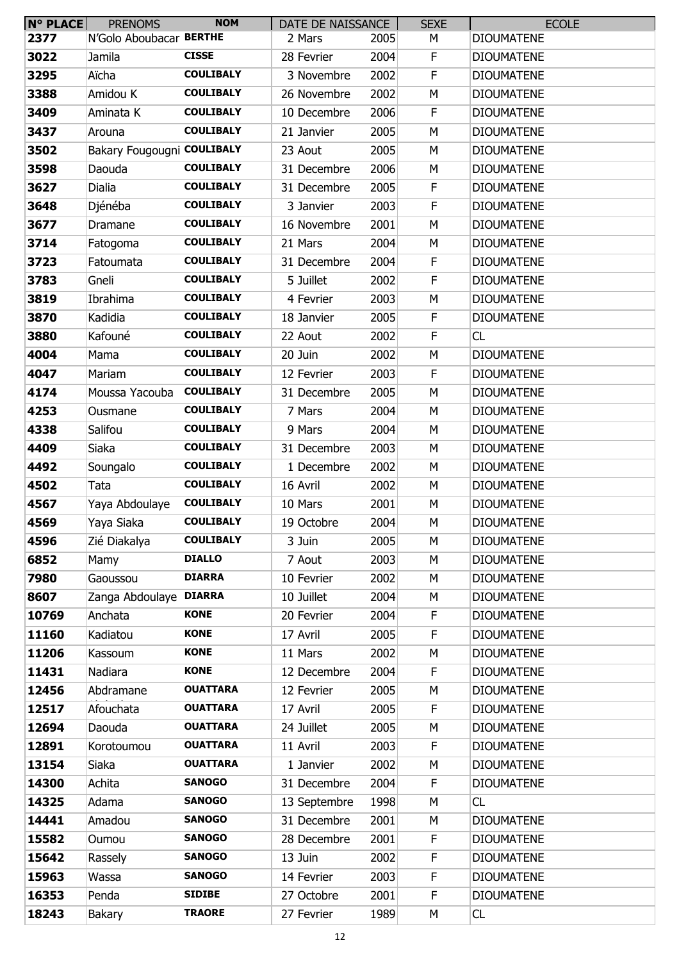| N° PLACE | <b>PRENOMS</b>             | <b>NOM</b>       | DATE DE NAISSANCE |      | <b>SEXE</b> | <b>ECOLE</b>      |
|----------|----------------------------|------------------|-------------------|------|-------------|-------------------|
| 2377     | N'Golo Aboubacar BERTHE    |                  | 2 Mars            | 2005 | М           | <b>DIOUMATENE</b> |
| 3022     | Jamila                     | <b>CISSE</b>     | 28 Fevrier        | 2004 | F           | <b>DIOUMATENE</b> |
| 3295     | Aïcha                      | <b>COULIBALY</b> | 3 Novembre        | 2002 | F           | <b>DIOUMATENE</b> |
| 3388     | Amidou K                   | <b>COULIBALY</b> | 26 Novembre       | 2002 | М           | <b>DIOUMATENE</b> |
| 3409     | Aminata K                  | <b>COULIBALY</b> | 10 Decembre       | 2006 | F           | <b>DIOUMATENE</b> |
| 3437     | Arouna                     | <b>COULIBALY</b> | 21 Janvier        | 2005 | M           | <b>DIOUMATENE</b> |
| 3502     | Bakary Fougougni COULIBALY |                  | 23 Aout           | 2005 | М           | <b>DIOUMATENE</b> |
| 3598     | Daouda                     | <b>COULIBALY</b> | 31 Decembre       | 2006 | М           | <b>DIOUMATENE</b> |
| 3627     | Dialia                     | <b>COULIBALY</b> | 31 Decembre       | 2005 | F           | <b>DIOUMATENE</b> |
| 3648     | Djénéba                    | <b>COULIBALY</b> | 3 Janvier         | 2003 | F           | <b>DIOUMATENE</b> |
| 3677     | Dramane                    | <b>COULIBALY</b> | 16 Novembre       | 2001 | M           | <b>DIOUMATENE</b> |
| 3714     | Fatogoma                   | <b>COULIBALY</b> | 21 Mars           | 2004 | М           | <b>DIOUMATENE</b> |
| 3723     | Fatoumata                  | <b>COULIBALY</b> | 31 Decembre       | 2004 | F           | <b>DIOUMATENE</b> |
| 3783     | Gneli                      | <b>COULIBALY</b> | 5 Juillet         | 2002 | F           | <b>DIOUMATENE</b> |
| 3819     | Ibrahima                   | <b>COULIBALY</b> | 4 Fevrier         | 2003 | М           | <b>DIOUMATENE</b> |
| 3870     | Kadidia                    | <b>COULIBALY</b> | 18 Janvier        | 2005 | F           | <b>DIOUMATENE</b> |
| 3880     | Kafouné                    | <b>COULIBALY</b> | 22 Aout           | 2002 | F           | CL                |
| 4004     | Mama                       | <b>COULIBALY</b> | 20 Juin           | 2002 | М           | <b>DIOUMATENE</b> |
| 4047     | Mariam                     | <b>COULIBALY</b> | 12 Fevrier        | 2003 | F           | <b>DIOUMATENE</b> |
| 4174     | Moussa Yacouba             | <b>COULIBALY</b> | 31 Decembre       | 2005 | M           | <b>DIOUMATENE</b> |
| 4253     | Ousmane                    | <b>COULIBALY</b> | 7 Mars            | 2004 | M           | <b>DIOUMATENE</b> |
| 4338     | Salifou                    | <b>COULIBALY</b> | 9 Mars            | 2004 | М           | <b>DIOUMATENE</b> |
| 4409     | Siaka                      | <b>COULIBALY</b> | 31 Decembre       | 2003 | М           | <b>DIOUMATENE</b> |
| 4492     | Soungalo                   | <b>COULIBALY</b> | 1 Decembre        | 2002 | М           | <b>DIOUMATENE</b> |
| 4502     | Tata                       | <b>COULIBALY</b> | 16 Avril          | 2002 | М           | <b>DIOUMATENE</b> |
| 4567     | Yaya Abdoulaye             | <b>COULIBALY</b> | 10 Mars           | 2001 | М           | <b>DIOUMATENE</b> |
| 4569     | Yaya Siaka                 | <b>COULIBALY</b> | 19 Octobre        | 2004 | M           | <b>DIOUMATENE</b> |
| 4596     | Zié Diakalya               | <b>COULIBALY</b> | 3 Juin            | 2005 | M           | <b>DIOUMATENE</b> |
| 6852     | Mamy                       | <b>DIALLO</b>    | 7 Aout            | 2003 | M           | <b>DIOUMATENE</b> |
| 7980     | Gaoussou                   | <b>DIARRA</b>    | 10 Fevrier        | 2002 | М           | <b>DIOUMATENE</b> |
| 8607     | Zanga Abdoulaye            | <b>DIARRA</b>    | 10 Juillet        | 2004 | М           | <b>DIOUMATENE</b> |
| 10769    | Anchata                    | <b>KONE</b>      | 20 Fevrier        | 2004 | F           | <b>DIOUMATENE</b> |
| 11160    | Kadiatou                   | <b>KONE</b>      | 17 Avril          | 2005 | F           | <b>DIOUMATENE</b> |
| 11206    | Kassoum                    | <b>KONE</b>      | 11 Mars           | 2002 | М           | <b>DIOUMATENE</b> |
| 11431    | Nadiara                    | <b>KONE</b>      | 12 Decembre       | 2004 | F.          | <b>DIOUMATENE</b> |
| 12456    | Abdramane                  | <b>OUATTARA</b>  | 12 Fevrier        | 2005 | М           | <b>DIOUMATENE</b> |
| 12517    | Afouchata                  | <b>OUATTARA</b>  | 17 Avril          | 2005 | F           | <b>DIOUMATENE</b> |
| 12694    | Daouda                     | <b>OUATTARA</b>  | 24 Juillet        | 2005 | M           | <b>DIOUMATENE</b> |
| 12891    | Korotoumou                 | <b>OUATTARA</b>  | 11 Avril          | 2003 | F           | <b>DIOUMATENE</b> |
| 13154    | Siaka                      | <b>OUATTARA</b>  | 1 Janvier         | 2002 | М           | <b>DIOUMATENE</b> |
| 14300    | Achita                     | <b>SANOGO</b>    | 31 Decembre       | 2004 | F           | <b>DIOUMATENE</b> |
| 14325    | Adama                      | <b>SANOGO</b>    | 13 Septembre      | 1998 | M           | CL                |
| 14441    | Amadou                     | <b>SANOGO</b>    | 31 Decembre       | 2001 | M           | <b>DIOUMATENE</b> |
| 15582    | Oumou                      | <b>SANOGO</b>    | 28 Decembre       | 2001 | F.          | <b>DIOUMATENE</b> |
| 15642    | Rassely                    | <b>SANOGO</b>    | 13 Juin           | 2002 | F           | <b>DIOUMATENE</b> |
| 15963    | Wassa                      | <b>SANOGO</b>    | 14 Fevrier        | 2003 | F           | <b>DIOUMATENE</b> |
| 16353    | Penda                      | <b>SIDIBE</b>    | 27 Octobre        | 2001 | F           | <b>DIOUMATENE</b> |
| 18243    | Bakary                     | <b>TRAORE</b>    | 27 Fevrier        | 1989 | М           | <b>CL</b>         |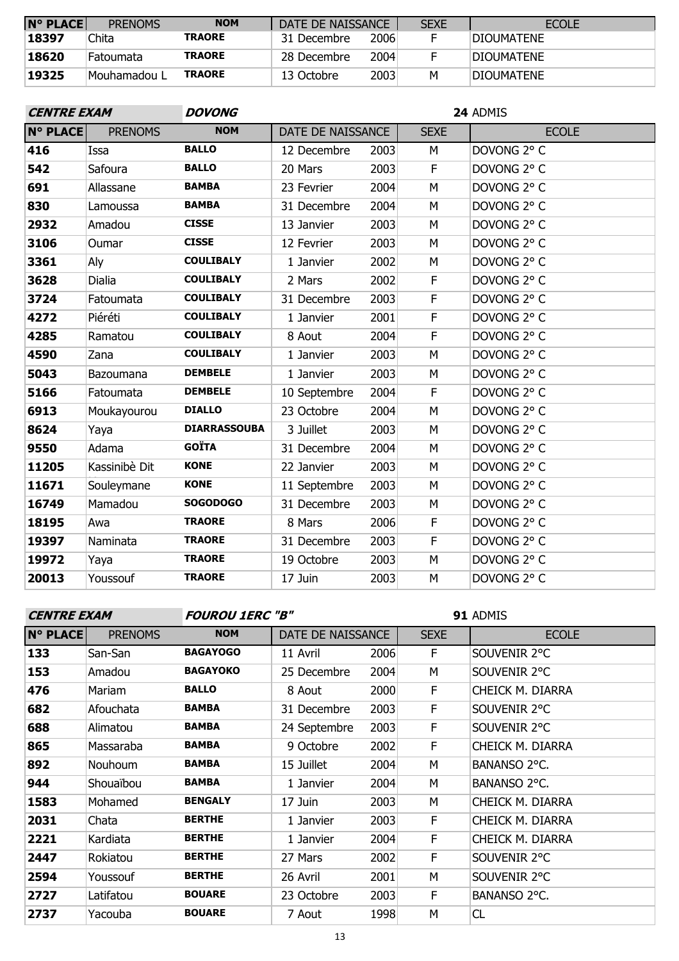| $N^{\circ}$ PLACE | <b>PRENOMS</b> | <b>NOM</b>    | DATE DE NAISSANCE |      | <b>SEXE</b> | <b>ECOLE</b>       |
|-------------------|----------------|---------------|-------------------|------|-------------|--------------------|
| 18397             | Chita          | <b>TRAORE</b> | 31 Decembre       | 2006 |             | <b>IDIOUMATENE</b> |
| 18620             | Fatoumata      | <b>TRAORE</b> | 28 Decembre       | 2004 |             | <b>IDIOUMATENE</b> |
| 19325             | Mouhamadou L   | <b>TRAORE</b> | 13 Octobre        | 2003 | м           | <b>IDIOUMATENE</b> |

| <b>CENTRE EXAM</b> |                | <b>DOVONG</b><br>24 ADMIS |                   |      |             |              |  |  |
|--------------------|----------------|---------------------------|-------------------|------|-------------|--------------|--|--|
| <b>N° PLACE</b>    | <b>PRENOMS</b> | <b>NOM</b>                | DATE DE NAISSANCE |      | <b>SEXE</b> | <b>ECOLE</b> |  |  |
| 416                | Issa           | <b>BALLO</b>              | 12 Decembre       | 2003 | M           | DOVONG 2° C  |  |  |
| 542                | Safoura        | <b>BALLO</b>              | 20 Mars           | 2003 | F           | DOVONG 2° C  |  |  |
| 691                | Allassane      | <b>BAMBA</b>              | 23 Fevrier        | 2004 | М           | DOVONG 2° C  |  |  |
| 830                | Lamoussa       | <b>BAMBA</b>              | 31 Decembre       | 2004 | M           | DOVONG 2° C  |  |  |
| 2932               | Amadou         | <b>CISSE</b>              | 13 Janvier        | 2003 | M           | DOVONG 2° C  |  |  |
| 3106               | Oumar          | <b>CISSE</b>              | 12 Fevrier        | 2003 | M           | DOVONG 2° C  |  |  |
| 3361               | Aly            | <b>COULIBALY</b>          | 1 Janvier         | 2002 | M           | DOVONG 2° C  |  |  |
| 3628               | <b>Dialia</b>  | <b>COULIBALY</b>          | 2 Mars            | 2002 | F           | DOVONG 2° C  |  |  |
| 3724               | Fatoumata      | <b>COULIBALY</b>          | 31 Decembre       | 2003 | F           | DOVONG 2° C  |  |  |
| 4272               | Piéréti        | <b>COULIBALY</b>          | 1 Janvier         | 2001 | F           | DOVONG 2° C  |  |  |
| 4285               | Ramatou        | <b>COULIBALY</b>          | 8 Aout            | 2004 | F           | DOVONG 2° C  |  |  |
| 4590               | Zana           | <b>COULIBALY</b>          | 1 Janvier         | 2003 | M           | DOVONG 2° C  |  |  |
| 5043               | Bazoumana      | <b>DEMBELE</b>            | 1 Janvier         | 2003 | M           | DOVONG 2° C  |  |  |
| 5166               | Fatoumata      | <b>DEMBELE</b>            | 10 Septembre      | 2004 | $\mathsf F$ | DOVONG 2° C  |  |  |
| 6913               | Moukayourou    | <b>DIALLO</b>             | 23 Octobre        | 2004 | M           | DOVONG 2° C  |  |  |
| 8624               | Yaya           | <b>DIARRASSOUBA</b>       | 3 Juillet         | 2003 | M           | DOVONG 2° C  |  |  |
| 9550               | Adama          | <b>GOÏTA</b>              | 31 Decembre       | 2004 | M           | DOVONG 2° C  |  |  |
| 11205              | Kassinibè Dit  | <b>KONE</b>               | 22 Janvier        | 2003 | M           | DOVONG 2° C  |  |  |
| 11671              | Souleymane     | <b>KONE</b>               | 11 Septembre      | 2003 | M           | DOVONG 2° C  |  |  |
| 16749              | Mamadou        | <b>SOGODOGO</b>           | 31 Decembre       | 2003 | M           | DOVONG 2° C  |  |  |
| 18195              | Awa            | <b>TRAORE</b>             | 8 Mars            | 2006 | F           | DOVONG 2° C  |  |  |
| 19397              | Naminata       | <b>TRAORE</b>             | 31 Decembre       | 2003 | F           | DOVONG 2° C  |  |  |
| 19972              | Yaya           | <b>TRAORE</b>             | 19 Octobre        | 2003 | M           | DOVONG 2° C  |  |  |
| 20013              | Youssouf       | <b>TRAORE</b>             | 17 Juin           | 2003 | M           | DOVONG 2° C  |  |  |

| <b>CENTRE EXAM</b> |                | <b>FOUROU 1ERC "B"</b> |                   |      | 91 ADMIS    |                  |  |
|--------------------|----------------|------------------------|-------------------|------|-------------|------------------|--|
| <b>N° PLACE</b>    | <b>PRENOMS</b> | <b>NOM</b>             | DATE DE NAISSANCE |      | <b>SEXE</b> | <b>ECOLE</b>     |  |
| 133                | San-San        | <b>BAGAYOGO</b>        | 11 Avril          | 2006 | F.          | SOUVENIR 2°C     |  |
| 153                | Amadou         | <b>BAGAYOKO</b>        | 25 Decembre       | 2004 | м           | SOUVENIR 2°C     |  |
| 476                | Mariam         | <b>BALLO</b>           | 8 Aout            | 2000 | F.          | CHEICK M. DIARRA |  |
| 682                | Afouchata      | <b>BAMBA</b>           | 31 Decembre       | 2003 | F           | SOUVENIR 2°C     |  |
| 688                | Alimatou       | <b>BAMBA</b>           | 24 Septembre      | 2003 | F.          | SOUVENIR 2°C     |  |
| 865                | Massaraba      | <b>BAMBA</b>           | 9 Octobre         | 2002 | F.          | CHEICK M. DIARRA |  |
| 892                | <b>Nouhoum</b> | <b>BAMBA</b>           | 15 Juillet        | 2004 | M           | BANANSO 2°C.     |  |
| 944                | Shouaïbou      | <b>BAMBA</b>           | 1 Janvier         | 2004 | М           | BANANSO 2°C.     |  |
| 1583               | Mohamed        | <b>BENGALY</b>         | 17 Juin           | 2003 | м           | CHEICK M. DIARRA |  |
| 2031               | Chata          | <b>BERTHE</b>          | 1 Janvier         | 2003 | F           | CHEICK M. DIARRA |  |
| 2221               | Kardiata       | <b>BERTHE</b>          | 1 Janvier         | 2004 | F.          | CHEICK M. DIARRA |  |
| 2447               | Rokiatou       | <b>BERTHE</b>          | 27 Mars           | 2002 | F           | SOUVENIR 2°C     |  |
| 2594               | Youssouf       | <b>BERTHE</b>          | 26 Avril          | 2001 | м           | SOUVENIR 2°C     |  |
| 2727               | Latifatou      | <b>BOUARE</b>          | 23 Octobre        | 2003 | F           | BANANSO 2°C.     |  |
| 2737               | Yacouba        | <b>BOUARE</b>          | 7 Aout            | 1998 | М           | CL               |  |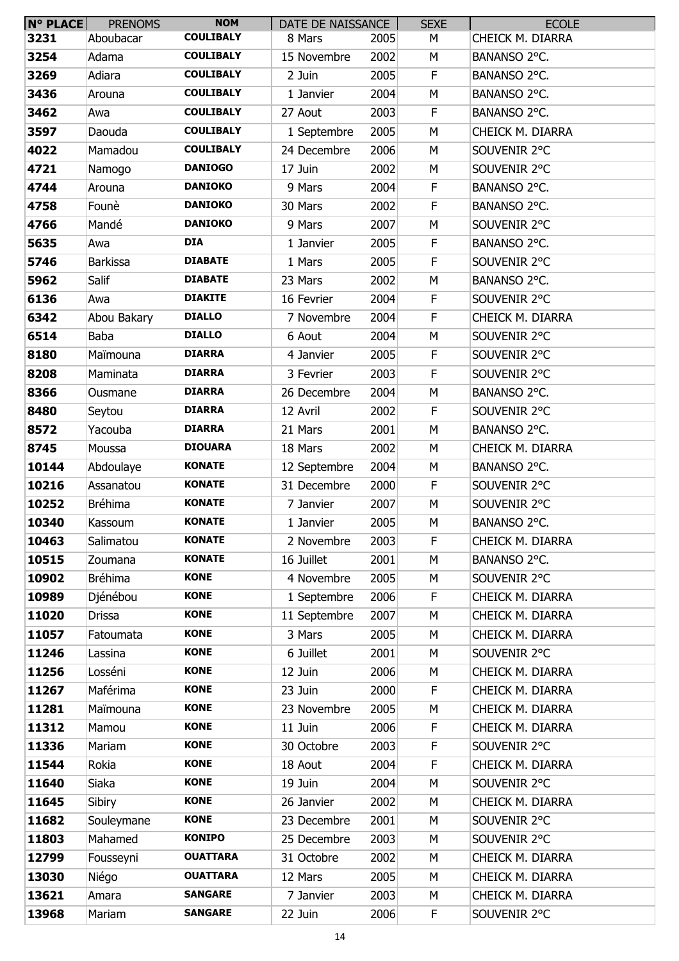| N° PLACE | <b>PRENOMS</b>  | <b>NOM</b>       | DATE DE NAISSANCE |      | <b>SEXE</b> | <b>ECOLE</b>     |
|----------|-----------------|------------------|-------------------|------|-------------|------------------|
| 3231     | Aboubacar       | <b>COULIBALY</b> | 8 Mars            | 2005 | М           | CHEICK M. DIARRA |
| 3254     | Adama           | <b>COULIBALY</b> | 15 Novembre       | 2002 | М           | BANANSO 2°C.     |
| 3269     | Adiara          | <b>COULIBALY</b> | 2 Juin            | 2005 | F           | BANANSO 2°C.     |
| 3436     | Arouna          | <b>COULIBALY</b> | 1 Janvier         | 2004 | М           | BANANSO 2°C.     |
| 3462     | Awa             | <b>COULIBALY</b> | 27 Aout           | 2003 | F           | BANANSO 2°C.     |
| 3597     | Daouda          | <b>COULIBALY</b> | 1 Septembre       | 2005 | M           | CHEICK M. DIARRA |
| 4022     | Mamadou         | <b>COULIBALY</b> | 24 Decembre       | 2006 | М           | SOUVENIR 2°C     |
| 4721     | Namogo          | <b>DANIOGO</b>   | 17 Juin           | 2002 | М           | SOUVENIR 2°C     |
| 4744     | Arouna          | <b>DANIOKO</b>   | 9 Mars            | 2004 | F           | BANANSO 2°C.     |
| 4758     | Founè           | <b>DANIOKO</b>   | 30 Mars           | 2002 | F           | BANANSO 2°C.     |
| 4766     | Mandé           | <b>DANIOKO</b>   | 9 Mars            | 2007 | М           | SOUVENIR 2°C     |
| 5635     | Awa             | <b>DIA</b>       | 1 Janvier         | 2005 | F           | BANANSO 2°C.     |
| 5746     | <b>Barkissa</b> | <b>DIABATE</b>   | 1 Mars            | 2005 | F           | SOUVENIR 2°C     |
| 5962     | Salif           | <b>DIABATE</b>   | 23 Mars           | 2002 | M           | BANANSO 2°C.     |
| 6136     | Awa             | <b>DIAKITE</b>   | 16 Fevrier        | 2004 | F.          | SOUVENIR 2°C     |
| 6342     | Abou Bakary     | <b>DIALLO</b>    | 7 Novembre        | 2004 | F           | CHEICK M. DIARRA |
| 6514     | Baba            | <b>DIALLO</b>    | 6 Aout            | 2004 | M           | SOUVENIR 2°C     |
| 8180     | Maïmouna        | <b>DIARRA</b>    | 4 Janvier         | 2005 | F           | SOUVENIR 2°C     |
| 8208     | Maminata        | <b>DIARRA</b>    | 3 Fevrier         | 2003 | F.          | SOUVENIR 2°C     |
| 8366     | Ousmane         | <b>DIARRA</b>    | 26 Decembre       | 2004 | M           | BANANSO 2°C.     |
| 8480     | Seytou          | <b>DIARRA</b>    | 12 Avril          | 2002 | F           | SOUVENIR 2°C     |
| 8572     | Yacouba         | <b>DIARRA</b>    | 21 Mars           | 2001 | М           | BANANSO 2°C.     |
| 8745     | Moussa          | <b>DIOUARA</b>   | 18 Mars           | 2002 | M           | CHEICK M. DIARRA |
| 10144    | Abdoulaye       | <b>KONATE</b>    | 12 Septembre      | 2004 | М           | BANANSO 2°C.     |
| 10216    | Assanatou       | <b>KONATE</b>    | 31 Decembre       | 2000 | F           | SOUVENIR 2°C     |
| 10252    | <b>Bréhima</b>  | <b>KONATE</b>    | 7 Janvier         | 2007 | М           | SOUVENIR 2°C     |
| 10340    | Kassoum         | <b>KONATE</b>    | 1 Janvier         | 2005 | M           | BANANSO 2°C.     |
| 10463    | Salimatou       | <b>KONATE</b>    | 2 Novembre        | 2003 | F           | CHEICK M. DIARRA |
| 10515    | Zoumana         | <b>KONATE</b>    | 16 Juillet        | 2001 | М           | BANANSO 2°C.     |
| 10902    | <b>Bréhima</b>  | <b>KONE</b>      | 4 Novembre        | 2005 | M           | SOUVENIR 2°C     |
| 10989    | Djénébou        | <b>KONE</b>      | 1 Septembre       | 2006 | F           | CHEICK M. DIARRA |
| 11020    | <b>Drissa</b>   | <b>KONE</b>      | 11 Septembre      | 2007 | M           | CHEICK M. DIARRA |
| 11057    | Fatoumata       | <b>KONE</b>      | 3 Mars            | 2005 | М           | CHEICK M. DIARRA |
| 11246    | Lassina         | <b>KONE</b>      | 6 Juillet         | 2001 | M           | SOUVENIR 2°C     |
| 11256    | Losséni         | <b>KONE</b>      | 12 Juin           | 2006 | M           | CHEICK M. DIARRA |
| 11267    | Maférima        | <b>KONE</b>      | 23 Juin           | 2000 | F           | CHEICK M. DIARRA |
| 11281    | Maïmouna        | <b>KONE</b>      | 23 Novembre       | 2005 | М           | CHEICK M. DIARRA |
| 11312    | Mamou           | <b>KONE</b>      | 11 Juin           | 2006 | F           | CHEICK M. DIARRA |
| 11336    | Mariam          | <b>KONE</b>      | 30 Octobre        | 2003 | F           | SOUVENIR 2°C     |
| 11544    | Rokia           | <b>KONE</b>      | 18 Aout           | 2004 | F           | CHEICK M. DIARRA |
| 11640    | Siaka           | <b>KONE</b>      | 19 Juin           | 2004 | M           | SOUVENIR 2°C     |
| 11645    |                 | <b>KONE</b>      | 26 Janvier        | 2002 | M           | CHEICK M. DIARRA |
|          | Sibiry          | <b>KONE</b>      |                   |      |             | SOUVENIR 2°C     |
| 11682    | Souleymane      | <b>KONIPO</b>    | 23 Decembre       | 2001 | M           |                  |
| 11803    | Mahamed         | <b>OUATTARA</b>  | 25 Decembre       | 2003 | М           | SOUVENIR 2°C     |
| 12799    | Fousseyni       |                  | 31 Octobre        | 2002 | М           | CHEICK M. DIARRA |
| 13030    | Niégo           | <b>OUATTARA</b>  | 12 Mars           | 2005 | M           | CHEICK M. DIARRA |
| 13621    | Amara           | <b>SANGARE</b>   | 7 Janvier         | 2003 | М           | CHEICK M. DIARRA |
| 13968    | Mariam          | <b>SANGARE</b>   | 22 Juin           | 2006 | F           | SOUVENIR 2°C     |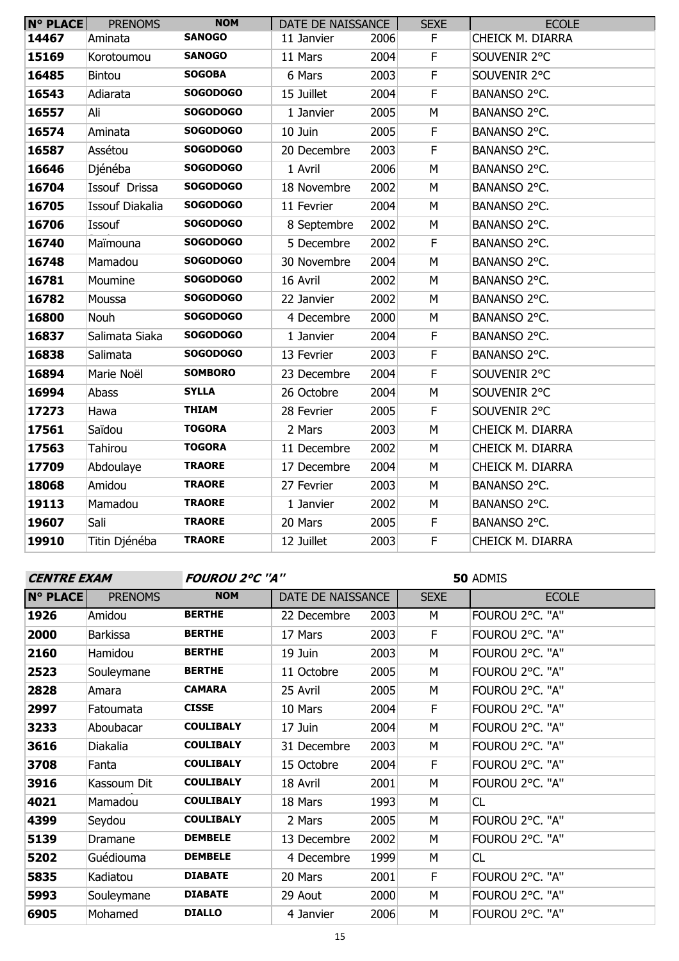| <b>N° PLACE</b> | <b>PRENOMS</b>         | <b>NOM</b>      | DATE DE NAISSANCE |      | <b>SEXE</b>    | <b>ECOLE</b>     |
|-----------------|------------------------|-----------------|-------------------|------|----------------|------------------|
| 14467           | Aminata                | <b>SANOGO</b>   | 11 Janvier        | 2006 | F.             | CHEICK M. DIARRA |
| 15169           | Korotoumou             | <b>SANOGO</b>   | 11 Mars           | 2004 | $\mathsf F$    | SOUVENIR 2°C     |
| 16485           | <b>Bintou</b>          | <b>SOGOBA</b>   | 6 Mars            | 2003 | $\mathsf F$    | SOUVENIR 2°C     |
| 16543           | Adiarata               | <b>SOGODOGO</b> | 15 Juillet        | 2004 | $\mathsf F$    | BANANSO 2°C.     |
| 16557           | Ali                    | <b>SOGODOGO</b> | 1 Janvier         | 2005 | M              | BANANSO 2°C.     |
| 16574           | Aminata                | <b>SOGODOGO</b> | 10 Juin           | 2005 | $\mathsf F$    | BANANSO 2°C.     |
| 16587           | Assétou                | <b>SOGODOGO</b> | 20 Decembre       | 2003 | $\overline{F}$ | BANANSO 2°C.     |
| 16646           | Djénéba                | <b>SOGODOGO</b> | 1 Avril           | 2006 | M              | BANANSO 2°C.     |
| 16704           | Issouf Drissa          | <b>SOGODOGO</b> | 18 Novembre       | 2002 | M              | BANANSO 2°C.     |
| 16705           | <b>Issouf Diakalia</b> | <b>SOGODOGO</b> | 11 Fevrier        | 2004 | M              | BANANSO 2°C.     |
| 16706           | Issouf                 | <b>SOGODOGO</b> | 8 Septembre       | 2002 | M              | BANANSO 2°C.     |
| 16740           | Maïmouna               | <b>SOGODOGO</b> | 5 Decembre        | 2002 | $\mathsf F$    | BANANSO 2°C.     |
| 16748           | Mamadou                | <b>SOGODOGO</b> | 30 Novembre       | 2004 | M              | BANANSO 2°C.     |
| 16781           | Moumine                | <b>SOGODOGO</b> | 16 Avril          | 2002 | M              | BANANSO 2°C.     |
| 16782           | Moussa                 | <b>SOGODOGO</b> | 22 Janvier        | 2002 | M              | BANANSO 2°C.     |
| 16800           | Nouh                   | <b>SOGODOGO</b> | 4 Decembre        | 2000 | M              | BANANSO 2°C.     |
| 16837           | Salimata Siaka         | <b>SOGODOGO</b> | 1 Janvier         | 2004 | $\mathsf F$    | BANANSO 2°C.     |
| 16838           | Salimata               | <b>SOGODOGO</b> | 13 Fevrier        | 2003 | $\mathsf F$    | BANANSO 2°C.     |
| 16894           | Marie Noël             | <b>SOMBORO</b>  | 23 Decembre       | 2004 | F              | SOUVENIR 2°C     |
| 16994           | Abass                  | <b>SYLLA</b>    | 26 Octobre        | 2004 | M              | SOUVENIR 2°C     |
| 17273           | Hawa                   | <b>THIAM</b>    | 28 Fevrier        | 2005 | $\mathsf F$    | SOUVENIR 2°C     |
| 17561           | Saïdou                 | <b>TOGORA</b>   | 2 Mars            | 2003 | M              | CHEICK M. DIARRA |
| 17563           | Tahirou                | <b>TOGORA</b>   | 11 Decembre       | 2002 | M              | CHEICK M. DIARRA |
| 17709           | Abdoulaye              | <b>TRAORE</b>   | 17 Decembre       | 2004 | M              | CHEICK M. DIARRA |
| 18068           | Amidou                 | <b>TRAORE</b>   | 27 Fevrier        | 2003 | M              | BANANSO 2°C.     |
| 19113           | Mamadou                | <b>TRAORE</b>   | 1 Janvier         | 2002 | M              | BANANSO 2°C.     |
| 19607           | Sali                   | <b>TRAORE</b>   | 20 Mars           | 2005 | F.             | BANANSO 2°C.     |
| 19910           | Titin Djénéba          | <b>TRAORE</b>   | 12 Juillet        | 2003 | $\mathsf F$    | CHEICK M. DIARRA |

**CENTRE EXAM FOUROU 2°C ''A''**

| <b>N° PLACE</b> | <b>PRENOMS</b>  | <b>NOM</b>       | DATE DE NAISSANCE |      | <b>SEXE</b> | <b>ECOLE</b>    |
|-----------------|-----------------|------------------|-------------------|------|-------------|-----------------|
| 1926            | Amidou          | <b>BERTHE</b>    | 22 Decembre       | 2003 | M           | FOUROU 2°C. "A" |
| 2000            | <b>Barkissa</b> | <b>BERTHE</b>    | 17 Mars           | 2003 | F.          | FOUROU 2°C. "A" |
| 2160            | Hamidou         | <b>BERTHE</b>    | 19 Juin           | 2003 | М           | FOUROU 2°C. "A" |
| 2523            | Souleymane      | <b>BERTHE</b>    | 11 Octobre        | 2005 | M           | FOUROU 2°C. "A" |
| 2828            | Amara           | <b>CAMARA</b>    | 25 Avril          | 2005 | M           | FOUROU 2°C. "A" |
| 2997            | Fatoumata       | <b>CISSE</b>     | 10 Mars           | 2004 | F           | FOUROU 2°C. "A" |
| 3233            | Aboubacar       | <b>COULIBALY</b> | 17 Juin           | 2004 | M           | FOUROU 2°C. "A" |
| 3616            | Diakalia        | <b>COULIBALY</b> | 31 Decembre       | 2003 | М           | FOUROU 2°C. "A" |
| 3708            | Fanta           | <b>COULIBALY</b> | 15 Octobre        | 2004 | F           | FOUROU 2°C. "A" |
| 3916            | Kassoum Dit     | <b>COULIBALY</b> | 18 Avril          | 2001 | М           | FOUROU 2°C. "A" |
| 4021            | Mamadou         | <b>COULIBALY</b> | 18 Mars           | 1993 | M           | CL              |
| 4399            | Seydou          | <b>COULIBALY</b> | 2 Mars            | 2005 | M           | FOUROU 2°C. "A" |
| 5139            | Dramane         | <b>DEMBELE</b>   | 13 Decembre       | 2002 | M           | FOUROU 2°C. "A" |
| 5202            | Guédiouma       | <b>DEMBELE</b>   | 4 Decembre        | 1999 | M           | CL              |
| 5835            | Kadiatou        | <b>DIABATE</b>   | 20 Mars           | 2001 | F           | FOUROU 2°C. "A" |
| 5993            | Souleymane      | <b>DIABATE</b>   | 29 Aout           | 2000 | M           | FOUROU 2°C. "A" |
| 6905            | Mohamed         | <b>DIALLO</b>    | 4 Janvier         | 2006 | M           | FOUROU 2°C. "A" |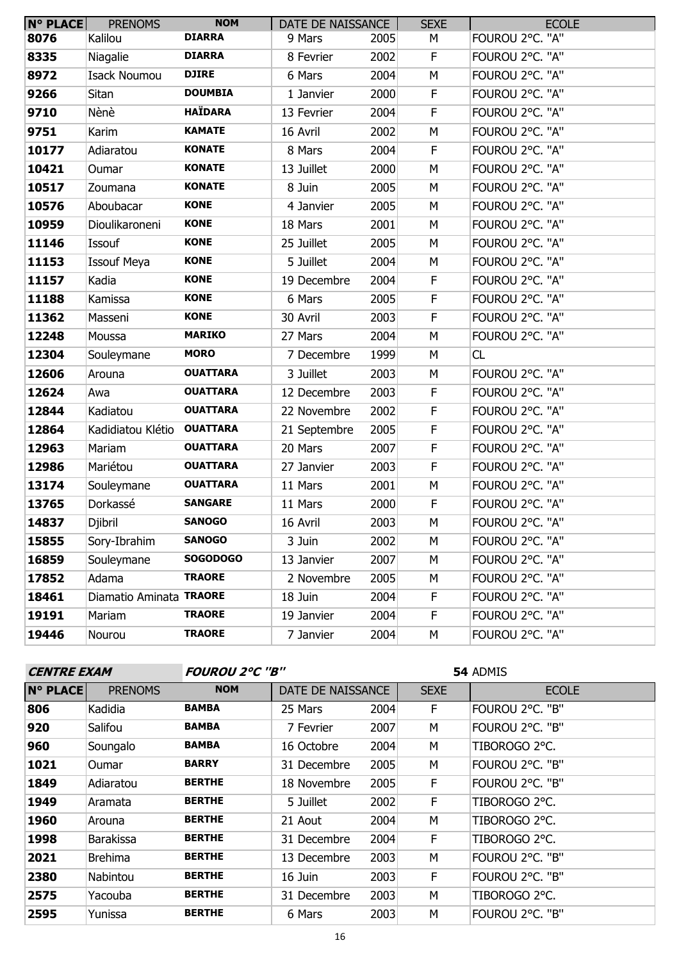| $N^{\circ}$ PLACE | <b>PRENOMS</b>          | <b>NOM</b>      | DATE DE NAISSANCE |      | <b>SEXE</b> | <b>ECOLE</b>    |
|-------------------|-------------------------|-----------------|-------------------|------|-------------|-----------------|
| 8076              | Kalilou                 | <b>DIARRA</b>   | 9 Mars            | 2005 | М           | FOUROU 2°C. "A" |
| 8335              | Niagalie                | <b>DIARRA</b>   | 8 Fevrier         | 2002 | $\mathsf F$ | FOUROU 2°C. "A" |
| 8972              | <b>Isack Noumou</b>     | <b>DJIRE</b>    | 6 Mars            | 2004 | M           | FOUROU 2°C. "A" |
| 9266              | Sitan                   | <b>DOUMBIA</b>  | 1 Janvier         | 2000 | F           | FOUROU 2°C. "A" |
| 9710              | Nènè                    | <b>HAÏDARA</b>  | 13 Fevrier        | 2004 | F.          | FOUROU 2°C. "A" |
| 9751              | Karim                   | <b>KAMATE</b>   | 16 Avril          | 2002 | M           | FOUROU 2°C. "A" |
| 10177             | Adiaratou               | <b>KONATE</b>   | 8 Mars            | 2004 | F.          | FOUROU 2°C. "A" |
| 10421             | Oumar                   | <b>KONATE</b>   | 13 Juillet        | 2000 | M           | FOUROU 2°C. "A" |
| 10517             | Zoumana                 | <b>KONATE</b>   | 8 Juin            | 2005 | M           | FOUROU 2°C. "A" |
| 10576             | Aboubacar               | <b>KONE</b>     | 4 Janvier         | 2005 | M           | FOUROU 2°C. "A" |
| 10959             | Dioulikaroneni          | <b>KONE</b>     | 18 Mars           | 2001 | M           | FOUROU 2°C. "A" |
| 11146             | Issouf                  | <b>KONE</b>     | 25 Juillet        | 2005 | M           | FOUROU 2°C. "A" |
| 11153             | <b>Issouf Meya</b>      | <b>KONE</b>     | 5 Juillet         | 2004 | M           | FOUROU 2°C. "A" |
| 11157             | Kadia                   | <b>KONE</b>     | 19 Decembre       | 2004 | F           | FOUROU 2°C. "A" |
| 11188             | Kamissa                 | <b>KONE</b>     | 6 Mars            | 2005 | F           | FOUROU 2°C. "A" |
| 11362             | Masseni                 | <b>KONE</b>     | 30 Avril          | 2003 | $\mathsf F$ | FOUROU 2°C. "A" |
| 12248             | Moussa                  | <b>MARIKO</b>   | 27 Mars           | 2004 | M           | FOUROU 2°C. "A" |
| 12304             | Souleymane              | <b>MORO</b>     | 7 Decembre        | 1999 | M           | CL              |
| 12606             | Arouna                  | <b>OUATTARA</b> | 3 Juillet         | 2003 | M           | FOUROU 2°C. "A" |
| 12624             | Awa                     | <b>OUATTARA</b> | 12 Decembre       | 2003 | F.          | FOUROU 2°C. "A" |
| 12844             | Kadiatou                | <b>OUATTARA</b> | 22 Novembre       | 2002 | F           | FOUROU 2°C. "A" |
| 12864             | Kadidiatou Klétio       | <b>OUATTARA</b> | 21 Septembre      | 2005 | F           | FOUROU 2°C. "A" |
| 12963             | Mariam                  | <b>OUATTARA</b> | 20 Mars           | 2007 | F           | FOUROU 2°C. "A" |
| 12986             | Mariétou                | <b>OUATTARA</b> | 27 Janvier        | 2003 | $\mathsf F$ | FOUROU 2°C. "A" |
| 13174             | Souleymane              | <b>OUATTARA</b> | 11 Mars           | 2001 | M           | FOUROU 2°C. "A" |
| 13765             | Dorkassé                | <b>SANGARE</b>  | 11 Mars           | 2000 | F           | FOUROU 2°C. "A" |
| 14837             | Djibril                 | <b>SANOGO</b>   | 16 Avril          | 2003 | M           | FOUROU 2°C. "A" |
| 15855             | Sory-Ibrahim            | <b>SANOGO</b>   | 3 Juin            | 2002 | М           | FOUROU 2°C. "A" |
| 16859             | Souleymane              | <b>SOGODOGO</b> | 13 Janvier        | 2007 | М           | FOUROU 2°C. "A" |
| 17852             | Adama                   | <b>TRAORE</b>   | 2 Novembre        | 2005 | М           | FOUROU 2°C. "A" |
| 18461             | Diamatio Aminata TRAORE |                 | 18 Juin           | 2004 | F           | FOUROU 2°C. "A" |
| 19191             | Mariam                  | <b>TRAORE</b>   | 19 Janvier        | 2004 | F.          | FOUROU 2°C. "A" |
| 19446             | Nourou                  | <b>TRAORE</b>   | 7 Janvier         | 2004 | М           | FOUROU 2°C. "A" |

**CENTRE EXAM FOUROU 2°C ''B''**

| <b>N° PLACE</b> | <b>PRENOMS</b>   | <b>NOM</b>    | DATE DE NAISSANCE |      | <b>SEXE</b> | <b>ECOLE</b>    |  |  |  |
|-----------------|------------------|---------------|-------------------|------|-------------|-----------------|--|--|--|
| 806             | Kadidia          | <b>BAMBA</b>  | 25 Mars           | 2004 | F.          | FOUROU 2°C. "B" |  |  |  |
| 920             | Salifou          | <b>BAMBA</b>  | 7 Fevrier         | 2007 | М           | FOUROU 2°C. "B" |  |  |  |
| 960             | Soungalo         | <b>BAMBA</b>  | 16 Octobre        | 2004 | M           | TIBOROGO 2°C.   |  |  |  |
| 1021            | <b>Oumar</b>     | <b>BARRY</b>  | 31 Decembre       | 2005 | M           | FOUROU 2°C. "B" |  |  |  |
| 1849            | Adiaratou        | <b>BERTHE</b> | 18 Novembre       | 2005 | F.          | FOUROU 2°C. "B" |  |  |  |
| 1949            | Aramata          | <b>BERTHE</b> | 5 Juillet         | 2002 | F           | TIBOROGO 2°C.   |  |  |  |
| 1960            | Arouna           | <b>BERTHE</b> | 21 Aout           | 2004 | М           | TIBOROGO 2°C.   |  |  |  |
| 1998            | <b>Barakissa</b> | <b>BERTHE</b> | 31 Decembre       | 2004 | F.          | TIBOROGO 2°C.   |  |  |  |
| 2021            | <b>Brehima</b>   | <b>BERTHE</b> | 13 Decembre       | 2003 | M           | FOUROU 2°C. "B" |  |  |  |
| 2380            | Nabintou         | <b>BERTHE</b> | 16 Juin           | 2003 | F           | FOUROU 2°C. "B" |  |  |  |
| 2575            | Yacouba          | <b>BERTHE</b> | 31 Decembre       | 2003 | M           | TIBOROGO 2°C.   |  |  |  |
| 2595            | Yunissa          | <b>BERTHE</b> | 6 Mars            | 2003 | М           | FOUROU 2°C. "B" |  |  |  |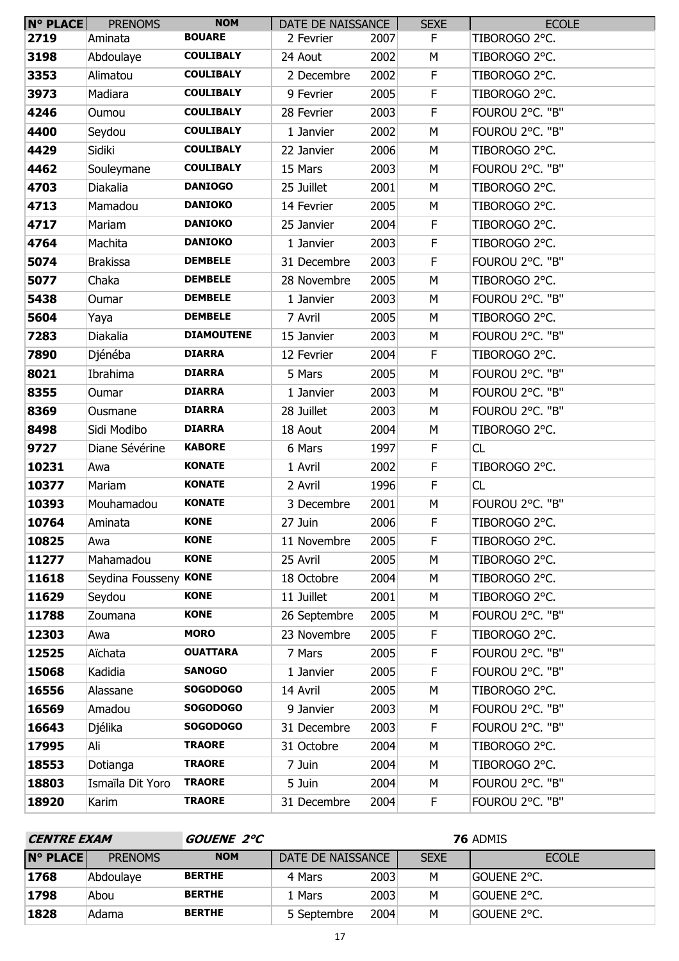| $N^{\circ}$ PLACE | <b>PRENOMS</b>        | <b>NOM</b>        | DATE DE NAISSANCE |      | <b>SEXE</b> | <b>ECOLE</b>    |
|-------------------|-----------------------|-------------------|-------------------|------|-------------|-----------------|
| 2719              | Aminata               | <b>BOUARE</b>     | 2 Fevrier         | 2007 | F.          | TIBOROGO 2°C.   |
| 3198              | Abdoulaye             | <b>COULIBALY</b>  | 24 Aout           | 2002 | М           | TIBOROGO 2°C.   |
| 3353              | Alimatou              | <b>COULIBALY</b>  | 2 Decembre        | 2002 | F           | TIBOROGO 2°C.   |
| 3973              | Madiara               | <b>COULIBALY</b>  | 9 Fevrier         | 2005 | F           | TIBOROGO 2°C.   |
| 4246              | Oumou                 | <b>COULIBALY</b>  | 28 Fevrier        | 2003 | F           | FOUROU 2°C. "B" |
| 4400              | Seydou                | <b>COULIBALY</b>  | 1 Janvier         | 2002 | M           | FOUROU 2°C. "B" |
| 4429              | Sidiki                | <b>COULIBALY</b>  | 22 Janvier        | 2006 | M           | TIBOROGO 2°C.   |
| 4462              | Souleymane            | <b>COULIBALY</b>  | 15 Mars           | 2003 | М           | FOUROU 2°C. "B" |
| 4703              | Diakalia              | <b>DANIOGO</b>    | 25 Juillet        | 2001 | M           | TIBOROGO 2°C.   |
| 4713              | Mamadou               | <b>DANIOKO</b>    | 14 Fevrier        | 2005 | M           | TIBOROGO 2°C.   |
| 4717              | Mariam                | <b>DANIOKO</b>    | 25 Janvier        | 2004 | $\mathsf F$ | TIBOROGO 2°C.   |
| 4764              | Machita               | <b>DANIOKO</b>    | 1 Janvier         | 2003 | F           | TIBOROGO 2°C.   |
| 5074              | <b>Brakissa</b>       | <b>DEMBELE</b>    | 31 Decembre       | 2003 | F           | FOUROU 2°C. "B" |
| 5077              | Chaka                 | <b>DEMBELE</b>    | 28 Novembre       | 2005 | M           | TIBOROGO 2°C.   |
| 5438              | Oumar                 | <b>DEMBELE</b>    | 1 Janvier         | 2003 | M           | FOUROU 2°C. "B" |
| 5604              | Yaya                  | <b>DEMBELE</b>    | 7 Avril           | 2005 | M           | TIBOROGO 2°C.   |
| 7283              | Diakalia              | <b>DIAMOUTENE</b> | 15 Janvier        | 2003 | M           | FOUROU 2°C. "B" |
| 7890              | Djénéba               | <b>DIARRA</b>     | 12 Fevrier        | 2004 | F.          | TIBOROGO 2°C.   |
| 8021              | Ibrahima              | <b>DIARRA</b>     | 5 Mars            | 2005 | M           | FOUROU 2°C. "B" |
| 8355              | Oumar                 | <b>DIARRA</b>     | 1 Janvier         | 2003 | M           | FOUROU 2°C. "B" |
| 8369              | Ousmane               | <b>DIARRA</b>     | 28 Juillet        | 2003 | M           | FOUROU 2°C. "B" |
| 8498              | Sidi Modibo           | <b>DIARRA</b>     | 18 Aout           | 2004 | М           | TIBOROGO 2°C.   |
| 9727              | Diane Sévérine        | <b>KABORE</b>     | 6 Mars            | 1997 | F.          | CL              |
| 10231             | Awa                   | <b>KONATE</b>     | 1 Avril           | 2002 | F           | TIBOROGO 2°C.   |
| 10377             | Mariam                | <b>KONATE</b>     | 2 Avril           | 1996 | F           | CL              |
| 10393             | Mouhamadou            | <b>KONATE</b>     | 3 Decembre        | 2001 | М           | FOUROU 2°C. "B" |
| 10764             | Aminata               | <b>KONE</b>       | 27 Juin           | 2006 | F           | TIBOROGO 2°C.   |
| 10825             | Awa                   | <b>KONE</b>       | 11 Novembre       | 2005 | F           | TIBOROGO 2°C.   |
| 11277             | Mahamadou             | <b>KONE</b>       | 25 Avril          | 2005 | М           | TIBOROGO 2°C.   |
| 11618             | Seydina Fousseny KONE |                   | 18 Octobre        | 2004 | М           | TIBOROGO 2°C.   |
| 11629             | Seydou                | <b>KONE</b>       | 11 Juillet        | 2001 | М           | TIBOROGO 2°C.   |
| 11788             | Zoumana               | <b>KONE</b>       | 26 Septembre      | 2005 | M           | FOUROU 2°C. "B" |
| 12303             | Awa                   | <b>MORO</b>       | 23 Novembre       | 2005 | F           | TIBOROGO 2°C.   |
| 12525             | Aïchata               | <b>OUATTARA</b>   | 7 Mars            | 2005 | F           | FOUROU 2°C. "B" |
| 15068             | Kadidia               | <b>SANOGO</b>     | 1 Janvier         | 2005 | F           | FOUROU 2°C. "B" |
| 16556             | Alassane              | <b>SOGODOGO</b>   | 14 Avril          | 2005 | M           | TIBOROGO 2°C.   |
| 16569             | Amadou                | <b>SOGODOGO</b>   | 9 Janvier         | 2003 | М           | FOUROU 2°C. "B" |
| 16643             | Djélika               | <b>SOGODOGO</b>   | 31 Decembre       | 2003 | $\mathsf F$ | FOUROU 2°C. "B" |
| 17995             | Ali                   | <b>TRAORE</b>     | 31 Octobre        | 2004 | М           | TIBOROGO 2°C.   |
| 18553             | Dotianga              | <b>TRAORE</b>     | 7 Juin            | 2004 | М           | TIBOROGO 2°C.   |
| 18803             | Ismaïla Dit Yoro      | <b>TRAORE</b>     | 5 Juin            | 2004 | М           | FOUROU 2°C. "B" |
| 18920             | Karim                 | <b>TRAORE</b>     | 31 Decembre       | 2004 | F           | FOUROU 2°C. "B" |

| <b>CENTRE EXAM</b> |                | <i>GOUENE 2°C</i> | <b>76 ADMIS</b>   |      |             |                |
|--------------------|----------------|-------------------|-------------------|------|-------------|----------------|
| <b>N° PLACE</b>    | <b>PRENOMS</b> | <b>NOM</b>        | DATE DE NAISSANCE |      | <b>SEXE</b> | <b>ECOLE</b>   |
| 1768               | Abdoulaye      | <b>BERTHE</b>     | 4 Mars            | 2003 | M           | Gouene 2°C.    |
| 1798               | Abou           | <b>BERTHE</b>     | 1 Mars            | 2003 | м           | Gouene 2°C.    |
| 1828               | Adama          | <b>BERTHE</b>     | 5 Septembre       | 2004 | м           | igouene 2°C. I |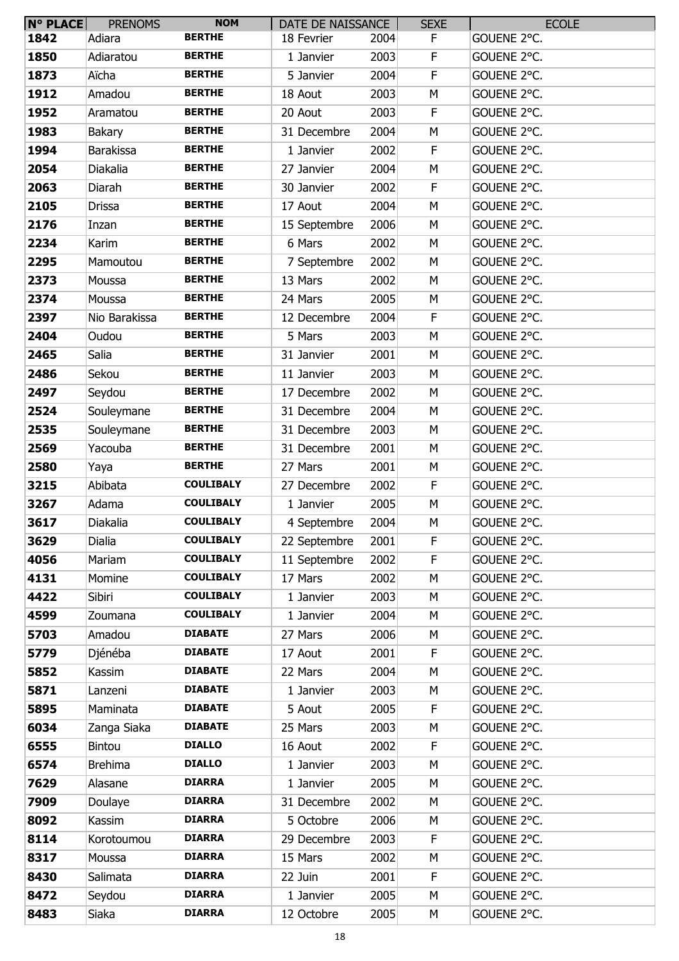| $N^{\circ}$ PLACE | <b>PRENOMS</b>        | <b>NOM</b>       | DATE DE NAISSANCE  |      | <b>SEXE</b> | <b>ECOLE</b> |
|-------------------|-----------------------|------------------|--------------------|------|-------------|--------------|
| 1842              | Adiara                | <b>BERTHE</b>    | 18 Fevrier         | 2004 | F           | GOUENE 2°C.  |
| 1850              | Adiaratou             | <b>BERTHE</b>    | 1 Janvier          | 2003 | F           | GOUENE 2°C.  |
| 1873              | Aïcha                 | <b>BERTHE</b>    | 5 Janvier          | 2004 | F           | GOUENE 2°C.  |
| 1912              | Amadou                | <b>BERTHE</b>    | 18 Aout            | 2003 | M           | GOUENE 2°C.  |
| 1952              | Aramatou              | <b>BERTHE</b>    | 20 Aout            | 2003 | F.          | GOUENE 2°C.  |
| 1983              | Bakary                | <b>BERTHE</b>    | 31 Decembre        | 2004 | M           | GOUENE 2°C.  |
| 1994              | <b>Barakissa</b>      | <b>BERTHE</b>    | 1 Janvier          | 2002 | F           | GOUENE 2°C.  |
| 2054              | Diakalia              | <b>BERTHE</b>    | 27 Janvier         | 2004 | M           | GOUENE 2°C.  |
| 2063              | Diarah                | <b>BERTHE</b>    | 30 Janvier         | 2002 | F           | GOUENE 2°C.  |
| 2105              | Drissa                | <b>BERTHE</b>    | 17 Aout            | 2004 | M           | GOUENE 2°C.  |
| 2176              | Inzan                 | <b>BERTHE</b>    | 15 Septembre       | 2006 | M           | GOUENE 2°C.  |
| 2234              | Karim                 | <b>BERTHE</b>    | 6 Mars             | 2002 | M           | GOUENE 2°C.  |
| 2295              | Mamoutou              | <b>BERTHE</b>    | 7 Septembre        | 2002 | M           | GOUENE 2°C.  |
| 2373              | Moussa                | <b>BERTHE</b>    | 13 Mars            | 2002 | M           | GOUENE 2°C.  |
| 2374              | Moussa                | <b>BERTHE</b>    | 24 Mars            | 2005 | М           | GOUENE 2°C.  |
| 2397              | Nio Barakissa         | <b>BERTHE</b>    | 12 Decembre        | 2004 | F.          | GOUENE 2°C.  |
| 2404              | Oudou                 | <b>BERTHE</b>    | 5 Mars             | 2003 | M           | GOUENE 2°C.  |
| 2465              | Salia                 | <b>BERTHE</b>    | 31 Janvier         | 2001 | M           | GOUENE 2°C.  |
| 2486              | Sekou                 | <b>BERTHE</b>    | 11 Janvier         | 2003 | M           | GOUENE 2°C.  |
| 2497              | Seydou                | <b>BERTHE</b>    | 17 Decembre        | 2002 | M           | GOUENE 2°C.  |
| 2524              | Souleymane            | <b>BERTHE</b>    | 31 Decembre        | 2004 | M           | GOUENE 2°C.  |
| 2535              | Souleymane            | <b>BERTHE</b>    | 31 Decembre        | 2003 | M           | GOUENE 2°C.  |
| 2569              | Yacouba               | <b>BERTHE</b>    | 31 Decembre        | 2001 | M           | GOUENE 2°C.  |
| 2580              | Yaya                  | <b>BERTHE</b>    | 27 Mars            | 2001 | М           | GOUENE 2°C.  |
| 3215              | Abibata               | <b>COULIBALY</b> | 27 Decembre        | 2002 | F.          | GOUENE 2°C.  |
| 3267              | Adama                 | <b>COULIBALY</b> | 1 Janvier          | 2005 | М           | GOUENE 2°C.  |
| 3617              | Diakalia              | <b>COULIBALY</b> | 4 Septembre        | 2004 | M           | GOUENE 2°C.  |
| 3629              | Dialia                | <b>COULIBALY</b> | 22 Septembre       | 2001 | F           | GOUENE 2°C.  |
| 4056              | Mariam                | <b>COULIBALY</b> | 11 Septembre       | 2002 | F           | GOUENE 2°C.  |
| 4131              | Momine                | <b>COULIBALY</b> | 17 Mars            | 2002 | М           | GOUENE 2°C.  |
| 4422              | Sibiri                | <b>COULIBALY</b> | 1 Janvier          | 2003 | M           | GOUENE 2°C.  |
| 4599              | Zoumana               | <b>COULIBALY</b> | 1 Janvier          | 2004 | M           | GOUENE 2°C.  |
| 5703              | Amadou                | <b>DIABATE</b>   | 27 Mars            | 2006 | М           | GOUENE 2°C.  |
| 5779              | Djénéba               | <b>DIABATE</b>   | 17 Aout            | 2001 | F           | GOUENE 2°C.  |
| 5852              | Kassim                | <b>DIABATE</b>   | 22 Mars            | 2004 | M           | GOUENE 2°C.  |
| 5871              | Lanzeni               | <b>DIABATE</b>   | 1 Janvier          | 2003 | М           | GOUENE 2°C.  |
| 5895              | Maminata              | <b>DIABATE</b>   | 5 Aout             | 2005 | F           | GOUENE 2°C.  |
| 6034              |                       | <b>DIABATE</b>   |                    | 2003 | M           | GOUENE 2°C.  |
| 6555              | Zanga Siaka<br>Bintou | <b>DIALLO</b>    | 25 Mars<br>16 Aout | 2002 | F.          | GOUENE 2°C.  |
| 6574              | <b>Brehima</b>        | <b>DIALLO</b>    | 1 Janvier          | 2003 | М           | GOUENE 2°C.  |
|                   |                       | <b>DIARRA</b>    |                    |      |             |              |
| 7629              | Alasane               | <b>DIARRA</b>    | 1 Janvier          | 2005 | М           | GOUENE 2°C.  |
| 7909              | Doulaye               |                  | 31 Decembre        | 2002 | M           | GOUENE 2°C.  |
| 8092              | Kassim                | <b>DIARRA</b>    | 5 Octobre          | 2006 | M           | GOUENE 2°C.  |
| 8114              | Korotoumou            | <b>DIARRA</b>    | 29 Decembre        | 2003 | F           | GOUENE 2°C.  |
| 8317              | Moussa                | <b>DIARRA</b>    | 15 Mars            | 2002 | M           | GOUENE 2°C.  |
| 8430              | Salimata              | <b>DIARRA</b>    | 22 Juin            | 2001 | F           | GOUENE 2°C.  |
| 8472              | Seydou                | <b>DIARRA</b>    | 1 Janvier          | 2005 | М           | GOUENE 2°C.  |
| 8483              | Siaka                 | <b>DIARRA</b>    | 12 Octobre         | 2005 | М           | GOUENE 2°C.  |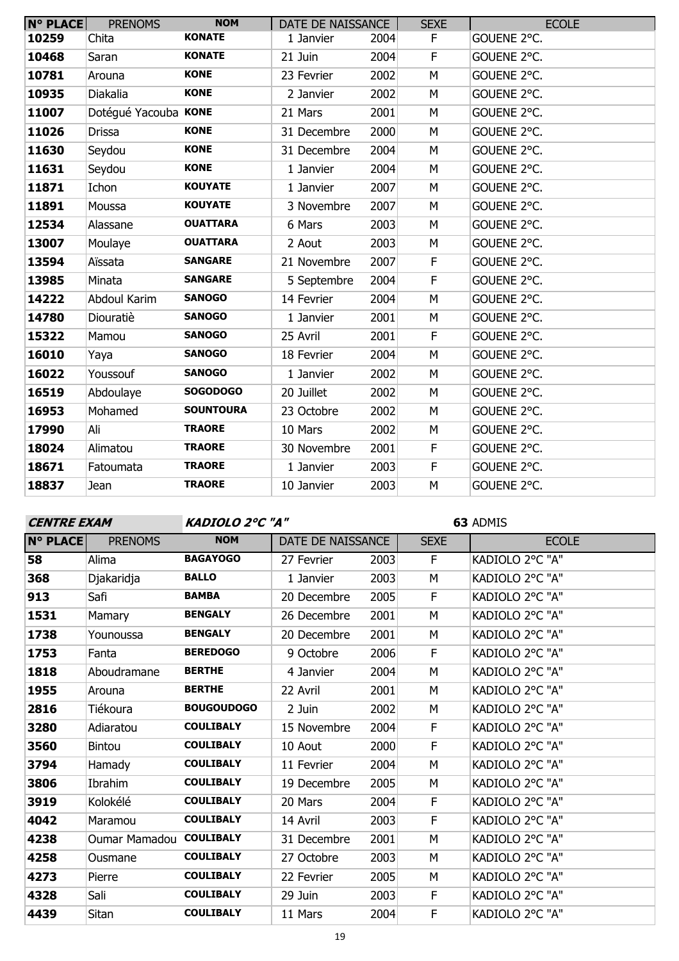| <b>N° PLACE</b> | <b>PRENOMS</b>       | <b>NOM</b>       | DATE DE NAISSANCE |      | <b>SEXE</b> | <b>ECOLE</b> |
|-----------------|----------------------|------------------|-------------------|------|-------------|--------------|
| 10259           | Chita                | <b>KONATE</b>    | 1 Janvier         | 2004 | F.          | GOUENE 2°C.  |
| 10468           | Saran                | <b>KONATE</b>    | 21 Juin           | 2004 | F           | GOUENE 2°C.  |
| 10781           | Arouna               | <b>KONE</b>      | 23 Fevrier        | 2002 | М           | GOUENE 2°C.  |
| 10935           | Diakalia             | <b>KONE</b>      | 2 Janvier         | 2002 | M           | GOUENE 2°C.  |
| 11007           | Dotégué Yacouba KONE |                  | 21 Mars           | 2001 | M           | GOUENE 2°C.  |
| 11026           | Drissa               | <b>KONE</b>      | 31 Decembre       | 2000 | M           | GOUENE 2°C.  |
| 11630           | Seydou               | <b>KONE</b>      | 31 Decembre       | 2004 | M           | GOUENE 2°C.  |
| 11631           | Seydou               | <b>KONE</b>      | 1 Janvier         | 2004 | M           | GOUENE 2°C.  |
| 11871           | Ichon                | <b>KOUYATE</b>   | 1 Janvier         | 2007 | M           | GOUENE 2°C.  |
| 11891           | Moussa               | <b>KOUYATE</b>   | 3 Novembre        | 2007 | M           | GOUENE 2°C.  |
| 12534           | Alassane             | <b>OUATTARA</b>  | 6 Mars            | 2003 | M           | GOUENE 2°C.  |
| 13007           | Moulaye              | <b>OUATTARA</b>  | 2 Aout            | 2003 | M           | GOUENE 2°C.  |
| 13594           | Aïssata              | <b>SANGARE</b>   | 21 Novembre       | 2007 | F           | GOUENE 2°C.  |
| 13985           | Minata               | <b>SANGARE</b>   | 5 Septembre       | 2004 | $\mathsf F$ | GOUENE 2°C.  |
| 14222           | Abdoul Karim         | <b>SANOGO</b>    | 14 Fevrier        | 2004 | M           | GOUENE 2°C.  |
| 14780           | Diouratiè            | <b>SANOGO</b>    | 1 Janvier         | 2001 | M           | GOUENE 2°C.  |
| 15322           | Mamou                | <b>SANOGO</b>    | 25 Avril          | 2001 | $\mathsf F$ | GOUENE 2°C.  |
| 16010           | Yaya                 | <b>SANOGO</b>    | 18 Fevrier        | 2004 | M           | GOUENE 2°C.  |
| 16022           | Youssouf             | <b>SANOGO</b>    | 1 Janvier         | 2002 | M           | GOUENE 2°C.  |
| 16519           | Abdoulaye            | <b>SOGODOGO</b>  | 20 Juillet        | 2002 | M           | GOUENE 2°C.  |
| 16953           | Mohamed              | <b>SOUNTOURA</b> | 23 Octobre        | 2002 | M           | GOUENE 2°C.  |
| 17990           | Ali                  | <b>TRAORE</b>    | 10 Mars           | 2002 | M           | GOUENE 2°C.  |
| 18024           | Alimatou             | <b>TRAORE</b>    | 30 Novembre       | 2001 | F           | GOUENE 2°C.  |
| 18671           | Fatoumata            | <b>TRAORE</b>    | 1 Janvier         | 2003 | $\mathsf F$ | GOUENE 2°C.  |
| 18837           | Jean                 | <b>TRAORE</b>    | 10 Janvier        | 2003 | M           | GOUENE 2°C.  |

| <b>CENTRE EXAM</b> |                         |                   | KADIOLO 2°C "A"   |      |             | 63 ADMIS        |  |  |
|--------------------|-------------------------|-------------------|-------------------|------|-------------|-----------------|--|--|
| <b>N° PLACE</b>    | <b>PRENOMS</b>          | <b>NOM</b>        | DATE DE NAISSANCE |      | <b>SEXE</b> | <b>ECOLE</b>    |  |  |
| 58                 | Alima                   | <b>BAGAYOGO</b>   | 27 Fevrier        | 2003 | F           | KADIOLO 2°C "A" |  |  |
| 368                | Djakaridja              | <b>BALLO</b>      | 1 Janvier         | 2003 | M           | KADIOLO 2°C "A" |  |  |
| 913                | Safi                    | <b>BAMBA</b>      | 20 Decembre       | 2005 | F           | KADIOLO 2°C "A" |  |  |
| 1531               | Mamary                  | <b>BENGALY</b>    | 26 Decembre       | 2001 | M           | KADIOLO 2°C "A" |  |  |
| 1738               | Younoussa               | <b>BENGALY</b>    | 20 Decembre       | 2001 | M           | KADIOLO 2°C "A" |  |  |
| 1753               | Fanta                   | <b>BEREDOGO</b>   | 9 Octobre         | 2006 | F           | KADIOLO 2°C "A" |  |  |
| 1818               | Aboudramane             | <b>BERTHE</b>     | 4 Janvier         | 2004 | M           | KADIOLO 2°C "A" |  |  |
| 1955               | Arouna                  | <b>BERTHE</b>     | 22 Avril          | 2001 | M           | KADIOLO 2°C "A" |  |  |
| 2816               | Tiékoura                | <b>BOUGOUDOGO</b> | 2 Juin            | 2002 | M           | KADIOLO 2°C "A" |  |  |
| 3280               | Adiaratou               | <b>COULIBALY</b>  | 15 Novembre       | 2004 | F           | KADIOLO 2°C "A" |  |  |
| 3560               | <b>Bintou</b>           | <b>COULIBALY</b>  | 10 Aout           | 2000 | F           | KADIOLO 2°C "A" |  |  |
| 3794               | Hamady                  | <b>COULIBALY</b>  | 11 Fevrier        | 2004 | M           | KADIOLO 2°C "A" |  |  |
| 3806               | Ibrahim                 | <b>COULIBALY</b>  | 19 Decembre       | 2005 | M           | KADIOLO 2°C "A" |  |  |
| 3919               | Kolokélé                | <b>COULIBALY</b>  | 20 Mars           | 2004 | F.          | KADIOLO 2°C "A" |  |  |
| 4042               | Maramou                 | <b>COULIBALY</b>  | 14 Avril          | 2003 | F           | KADIOLO 2°C "A" |  |  |
| 4238               | Oumar Mamadou COULIBALY |                   | 31 Decembre       | 2001 | M           | KADIOLO 2°C "A" |  |  |
| 4258               | Ousmane                 | <b>COULIBALY</b>  | 27 Octobre        | 2003 | M           | KADIOLO 2°C "A" |  |  |
| 4273               | Pierre                  | <b>COULIBALY</b>  | 22 Fevrier        | 2005 | М           | KADIOLO 2°C "A" |  |  |
| 4328               | Sali                    | <b>COULIBALY</b>  | 29 Juin           | 2003 | F.          | KADIOLO 2°C "A" |  |  |
| 4439               | Sitan                   | <b>COULIBALY</b>  | 11 Mars           | 2004 | F           | KADIOLO 2°C "A" |  |  |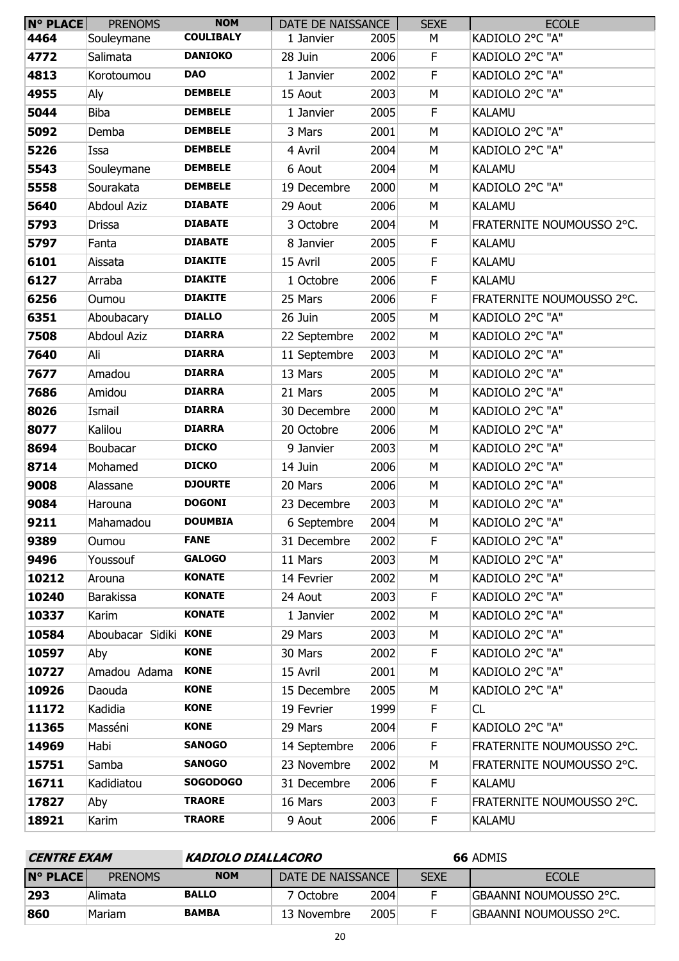| <b>N° PLACE</b> | <b>PRENOMS</b>        | <b>NOM</b>       | DATE DE NAISSANCE |      | <b>SEXE</b> | <b>ECOLE</b>              |
|-----------------|-----------------------|------------------|-------------------|------|-------------|---------------------------|
| 4464            | Souleymane            | <b>COULIBALY</b> | 1 Janvier         | 2005 | М           | KADIOLO 2°C "A"           |
| 4772            | Salimata              | <b>DANIOKO</b>   | 28 Juin           | 2006 | F           | KADIOLO 2°C "A"           |
| 4813            | Korotoumou            | <b>DAO</b>       | 1 Janvier         | 2002 | $\mathsf F$ | KADIOLO 2°C "A"           |
| 4955            | Aly                   | <b>DEMBELE</b>   | 15 Aout           | 2003 | M           | KADIOLO 2°C "A"           |
| 5044            | Biba                  | <b>DEMBELE</b>   | 1 Janvier         | 2005 | F           | <b>KALAMU</b>             |
| 5092            | Demba                 | <b>DEMBELE</b>   | 3 Mars            | 2001 | M           | KADIOLO 2°C "A"           |
| 5226            | Issa                  | <b>DEMBELE</b>   | 4 Avril           | 2004 | M           | KADIOLO 2°C "A"           |
| 5543            | Souleymane            | <b>DEMBELE</b>   | 6 Aout            | 2004 | М           | <b>KALAMU</b>             |
| 5558            | Sourakata             | <b>DEMBELE</b>   | 19 Decembre       | 2000 | M           | KADIOLO 2°C "A"           |
| 5640            | <b>Abdoul Aziz</b>    | <b>DIABATE</b>   | 29 Aout           | 2006 | M           | <b>KALAMU</b>             |
| 5793            | Drissa                | <b>DIABATE</b>   | 3 Octobre         | 2004 | M           | FRATERNITE NOUMOUSSO 2°C. |
| 5797            | Fanta                 | <b>DIABATE</b>   | 8 Janvier         | 2005 | F           | <b>KALAMU</b>             |
| 6101            | Aissata               | <b>DIAKITE</b>   | 15 Avril          | 2005 | F           | <b>KALAMU</b>             |
| 6127            | Arraba                | <b>DIAKITE</b>   | 1 Octobre         | 2006 | F           | <b>KALAMU</b>             |
| 6256            | Oumou                 | <b>DIAKITE</b>   | 25 Mars           | 2006 | F           | FRATERNITE NOUMOUSSO 2°C. |
| 6351            | Aboubacary            | <b>DIALLO</b>    | 26 Juin           | 2005 | M           | KADIOLO 2°C "A"           |
| 7508            | <b>Abdoul Aziz</b>    | <b>DIARRA</b>    | 22 Septembre      | 2002 | M           | KADIOLO 2°C "A"           |
| 7640            | Ali                   | <b>DIARRA</b>    | 11 Septembre      | 2003 | M           | KADIOLO 2°C "A"           |
| 7677            | Amadou                | <b>DIARRA</b>    | 13 Mars           | 2005 | M           | KADIOLO 2°C "A"           |
| 7686            | Amidou                | <b>DIARRA</b>    | 21 Mars           | 2005 | M           | KADIOLO 2°C "A"           |
| 8026            | Ismail                | <b>DIARRA</b>    | 30 Decembre       | 2000 | M           | KADIOLO 2°C "A"           |
| 8077            | Kalilou               | <b>DIARRA</b>    | 20 Octobre        | 2006 | M           | KADIOLO 2°C "A"           |
| 8694            | Boubacar              | <b>DICKO</b>     | 9 Janvier         | 2003 | М           | KADIOLO 2°C "A"           |
| 8714            | Mohamed               | <b>DICKO</b>     | 14 Juin           | 2006 | M           | KADIOLO 2°C "A"           |
| 9008            | Alassane              | <b>DJOURTE</b>   | 20 Mars           | 2006 | M           | KADIOLO 2°C "A"           |
| 9084            | Harouna               | <b>DOGONI</b>    | 23 Decembre       | 2003 | М           | KADIOLO 2°C "A"           |
| 9211            | Mahamadou             | <b>DOUMBIA</b>   | 6 Septembre       | 2004 | M           | KADIOLO 2°C "A"           |
| 9389            | Oumou                 | <b>FANE</b>      | 31 Decembre       | 2002 | F           | KADIOLO 2°C "A"           |
| 9496            | Youssouf              | <b>GALOGO</b>    | 11 Mars           | 2003 | М           | KADIOLO 2°C "A"           |
| 10212           | Arouna                | <b>KONATE</b>    | 14 Fevrier        | 2002 | М           | KADIOLO 2°C "A"           |
| 10240           | <b>Barakissa</b>      | <b>KONATE</b>    | 24 Aout           | 2003 | F           | KADIOLO 2°C "A"           |
| 10337           | Karim                 | <b>KONATE</b>    | 1 Janvier         | 2002 | M           | KADIOLO 2°C "A"           |
| 10584           | Aboubacar Sidiki KONE |                  | 29 Mars           | 2003 | М           | KADIOLO 2°C "A"           |
| 10597           | Aby                   | <b>KONE</b>      | 30 Mars           | 2002 | F           | KADIOLO 2°C "A"           |
| 10727           | Amadou Adama          | <b>KONE</b>      | 15 Avril          | 2001 | M           | KADIOLO 2°C "A"           |
| 10926           | Daouda                | <b>KONE</b>      | 15 Decembre       | 2005 | М           | KADIOLO 2°C "A"           |
| 11172           | Kadidia               | <b>KONE</b>      | 19 Fevrier        | 1999 | F.          | CL                        |
| 11365           | Masséni               | <b>KONE</b>      | 29 Mars           | 2004 | F           | KADIOLO 2°C "A"           |
| 14969           | Habi                  | <b>SANOGO</b>    | 14 Septembre      | 2006 | F           | FRATERNITE NOUMOUSSO 2°C. |
| 15751           | Samba                 | <b>SANOGO</b>    | 23 Novembre       | 2002 | M           | FRATERNITE NOUMOUSSO 2°C. |
| 16711           | Kadidiatou            | <b>SOGODOGO</b>  | 31 Decembre       | 2006 | F           | <b>KALAMU</b>             |
| 17827           | Aby                   | <b>TRAORE</b>    | 16 Mars           | 2003 | F           | FRATERNITE NOUMOUSSO 2°C. |
| 18921           | Karim                 | <b>TRAORE</b>    | 9 Aout            | 2006 | F.          | <b>KALAMU</b>             |

| <i><b>CENTRE EXAM</b></i> |                | KADIOLO DIALLACORO |                   |      |             | 66 ADMIS               |
|---------------------------|----------------|--------------------|-------------------|------|-------------|------------------------|
| $N^{\circ}$ PLACE         | <b>PRENOMS</b> | <b>NOM</b>         | DATE DE NAISSANCE |      | <b>SEXE</b> | <b>ECOLE</b>           |
| 293                       | Alimata        | <b>BALLO</b>       | 7 Octobre.        | 2004 |             | GBAANNI NOUMOUSSO 2°C. |
| 860                       | Mariam         | <b>BAMBA</b>       | 13 Novembre       | 2005 |             | GBAANNI NOUMOUSSO 2°C. |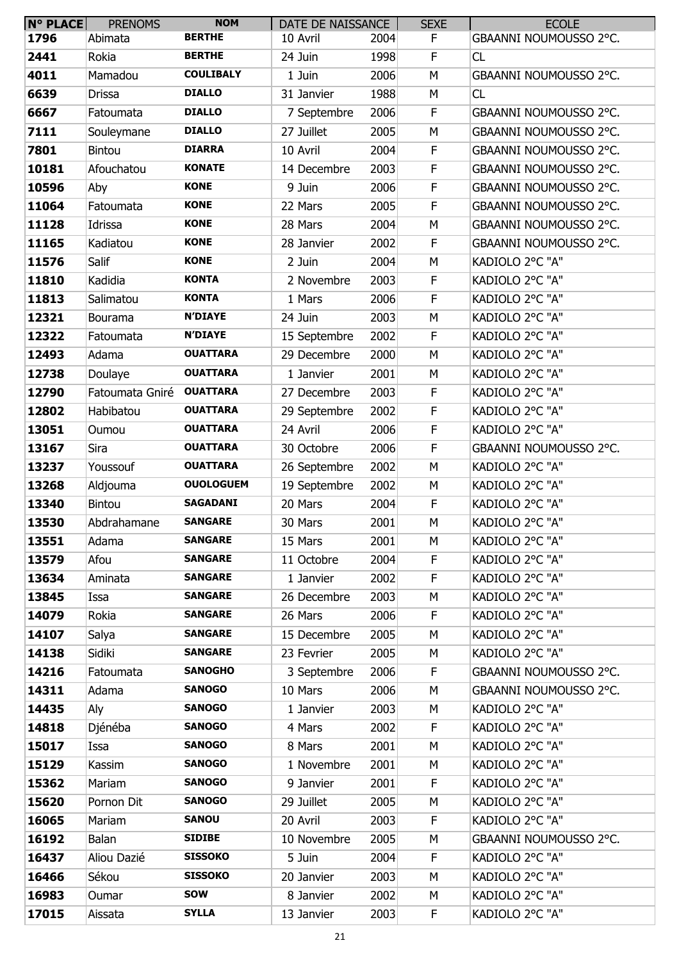| <b>N° PLACE</b> | <b>PRENOMS</b>  | <b>NOM</b>       | DATE DE NAISSANCE |      | <b>SEXE</b> | <b>ECOLE</b>           |
|-----------------|-----------------|------------------|-------------------|------|-------------|------------------------|
| 1796            | Abimata         | <b>BERTHE</b>    | 10 Avril          | 2004 | F           | GBAANNI NOUMOUSSO 2°C. |
| 2441            | Rokia           | <b>BERTHE</b>    | 24 Juin           | 1998 | F           | CL                     |
| 4011            | Mamadou         | <b>COULIBALY</b> | 1 Juin            | 2006 | M           | GBAANNI NOUMOUSSO 2°C. |
| 6639            | Drissa          | <b>DIALLO</b>    | 31 Janvier        | 1988 | М           | CL                     |
| 6667            | Fatoumata       | <b>DIALLO</b>    | 7 Septembre       | 2006 | F           | GBAANNI NOUMOUSSO 2°C. |
| 7111            | Souleymane      | <b>DIALLO</b>    | 27 Juillet        | 2005 | M           | GBAANNI NOUMOUSSO 2°C. |
| 7801            | <b>Bintou</b>   | <b>DIARRA</b>    | 10 Avril          | 2004 | F           | GBAANNI NOUMOUSSO 2°C. |
| 10181           | Afouchatou      | <b>KONATE</b>    | 14 Decembre       | 2003 | F           | GBAANNI NOUMOUSSO 2°C. |
| 10596           | Aby             | <b>KONE</b>      | 9 Juin            | 2006 | F           | GBAANNI NOUMOUSSO 2°C. |
| 11064           | Fatoumata       | <b>KONE</b>      | 22 Mars           | 2005 | F           | GBAANNI NOUMOUSSO 2°C. |
| 11128           | Idrissa         | <b>KONE</b>      | 28 Mars           | 2004 | M           | GBAANNI NOUMOUSSO 2°C. |
| 11165           | Kadiatou        | <b>KONE</b>      | 28 Janvier        | 2002 | F           | GBAANNI NOUMOUSSO 2°C. |
| 11576           | Salif           | <b>KONE</b>      | 2 Juin            | 2004 | M           | KADIOLO 2°C "A"        |
| 11810           | Kadidia         | <b>KONTA</b>     | 2 Novembre        | 2003 | F           | KADIOLO 2°C "A"        |
| 11813           | Salimatou       | <b>KONTA</b>     | 1 Mars            | 2006 | F           | KADIOLO 2°C "A"        |
| 12321           | Bourama         | <b>N'DIAYE</b>   | 24 Juin           | 2003 | M           | KADIOLO 2°C "A"        |
| 12322           | Fatoumata       | <b>N'DIAYE</b>   | 15 Septembre      | 2002 | F           | KADIOLO 2°C "A"        |
| 12493           | Adama           | <b>OUATTARA</b>  | 29 Decembre       | 2000 | M           | KADIOLO 2°C "A"        |
| 12738           | Doulaye         | <b>OUATTARA</b>  | 1 Janvier         | 2001 | М           | KADIOLO 2°C "A"        |
| 12790           | Fatoumata Gniré | <b>OUATTARA</b>  | 27 Decembre       | 2003 | $\mathsf F$ | KADIOLO 2°C "A"        |
| 12802           | Habibatou       | <b>OUATTARA</b>  | 29 Septembre      | 2002 | F           | KADIOLO 2°C "A"        |
| 13051           | Oumou           | <b>OUATTARA</b>  | 24 Avril          | 2006 | F           | KADIOLO 2°C "A"        |
| 13167           | Sira            | <b>OUATTARA</b>  | 30 Octobre        | 2006 | $\mathsf F$ | GBAANNI NOUMOUSSO 2°C. |
| 13237           | Youssouf        | <b>OUATTARA</b>  | 26 Septembre      | 2002 | M           | KADIOLO 2°C "A"        |
| 13268           | Aldjouma        | <b>OUOLOGUEM</b> | 19 Septembre      | 2002 | M           | KADIOLO 2°C "A"        |
| 13340           | <b>Bintou</b>   | <b>SAGADANI</b>  | 20 Mars           | 2004 | F           | KADIOLO 2°C "A"        |
| 13530           | Abdrahamane     | <b>SANGARE</b>   | 30 Mars           | 2001 | M           | KADIOLO 2°C "A"        |
| 13551           | Adama           | <b>SANGARE</b>   | 15 Mars           | 2001 | М           | KADIOLO 2°C "A"        |
| 13579           | Afou            | <b>SANGARE</b>   | 11 Octobre        | 2004 | F.          | KADIOLO 2°C "A"        |
| 13634           | Aminata         | <b>SANGARE</b>   | 1 Janvier         | 2002 | F           | KADIOLO 2°C "A"        |
| 13845           | Issa            | <b>SANGARE</b>   | 26 Decembre       | 2003 | М           | KADIOLO 2°C "A"        |
| 14079           | Rokia           | <b>SANGARE</b>   | 26 Mars           | 2006 | F.          | KADIOLO 2°C "A"        |
| 14107           | Salya           | <b>SANGARE</b>   | 15 Decembre       | 2005 | М           | KADIOLO 2°C "A"        |
| 14138           | Sidiki          | <b>SANGARE</b>   | 23 Fevrier        | 2005 | М           | KADIOLO 2°C "A"        |
| 14216           | Fatoumata       | <b>SANOGHO</b>   | 3 Septembre       | 2006 | F           | GBAANNI NOUMOUSSO 2°C. |
| 14311           | Adama           | <b>SANOGO</b>    | 10 Mars           | 2006 | М           | GBAANNI NOUMOUSSO 2°C. |
| 14435           | Aly             | <b>SANOGO</b>    | 1 Janvier         | 2003 | М           | KADIOLO 2°C "A"        |
| 14818           | Djénéba         | <b>SANOGO</b>    | 4 Mars            | 2002 | F.          | KADIOLO 2°C "A"        |
| 15017           | Issa            | <b>SANOGO</b>    | 8 Mars            | 2001 | М           | KADIOLO 2°C "A"        |
| 15129           | Kassim          | <b>SANOGO</b>    | 1 Novembre        | 2001 | М           | KADIOLO 2°C "A"        |
| 15362           | Mariam          | <b>SANOGO</b>    | 9 Janvier         | 2001 | F.          | KADIOLO 2°C "A"        |
| 15620           | Pornon Dit      | <b>SANOGO</b>    | 29 Juillet        | 2005 | М           | KADIOLO 2°C "A"        |
| 16065           | Mariam          | <b>SANOU</b>     | 20 Avril          | 2003 | F.          | KADIOLO 2°C "A"        |
| 16192           | Balan           | <b>SIDIBE</b>    | 10 Novembre       | 2005 | М           | GBAANNI NOUMOUSSO 2°C. |
| 16437           | Aliou Dazié     | <b>SISSOKO</b>   | 5 Juin            | 2004 | F.          | KADIOLO 2°C "A"        |
| 16466           | Sékou           | <b>SISSOKO</b>   | 20 Janvier        | 2003 | М           | KADIOLO 2°C "A"        |
| 16983           | Oumar           | <b>SOW</b>       | 8 Janvier         | 2002 | M           | KADIOLO 2°C "A"        |
| 17015           | Aissata         | <b>SYLLA</b>     | 13 Janvier        | 2003 | F.          | KADIOLO 2°C "A"        |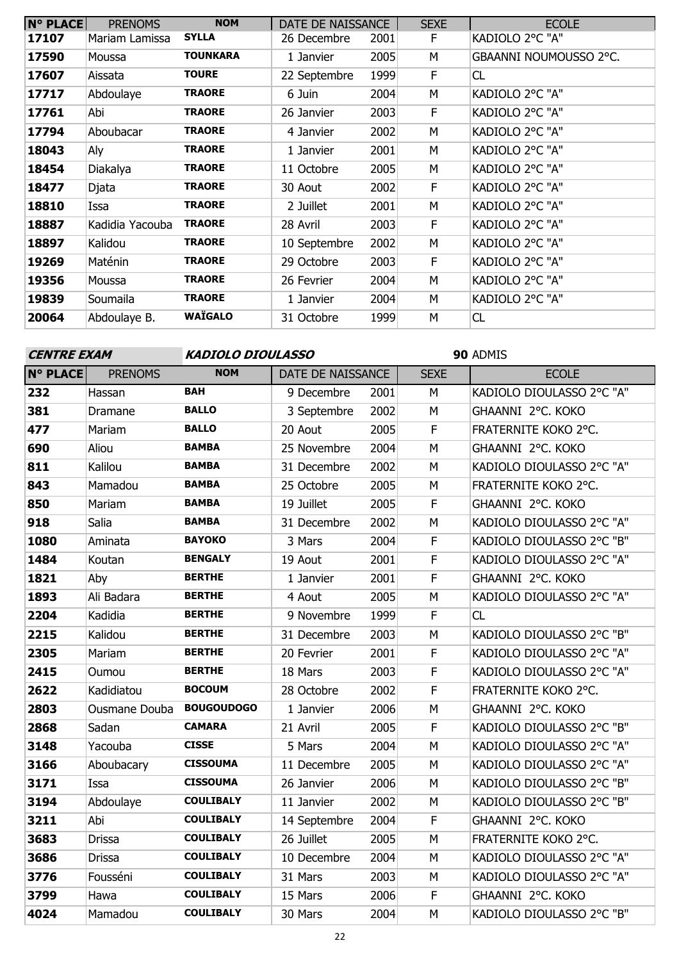| <b>N° PLACE</b> | <b>PRENOMS</b>  | <b>NOM</b>      | DATE DE NAISSANCE |      | <b>SEXE</b> | <b>ECOLE</b>           |
|-----------------|-----------------|-----------------|-------------------|------|-------------|------------------------|
| 17107           | Mariam Lamissa  | <b>SYLLA</b>    | 26 Decembre       | 2001 | F.          | KADIOLO 2°C "A"        |
| 17590           | Moussa          | <b>TOUNKARA</b> | 1 Janvier         | 2005 | M           | GBAANNI NOUMOUSSO 2°C. |
| 17607           | Aissata         | <b>TOURE</b>    | 22 Septembre      | 1999 | F.          | CL                     |
| 17717           | Abdoulaye       | <b>TRAORE</b>   | 6 Juin            | 2004 | M           | KADIOLO 2°C "A"        |
| 17761           | Abi             | <b>TRAORE</b>   | 26 Janvier        | 2003 | F.          | KADIOLO 2°C "A"        |
| 17794           | Aboubacar       | <b>TRAORE</b>   | 4 Janvier         | 2002 | M           | KADIOLO 2°C "A"        |
| 18043           | Aly             | <b>TRAORE</b>   | 1 Janvier         | 2001 | M           | KADIOLO 2°C "A"        |
| 18454           | Diakalya        | <b>TRAORE</b>   | 11 Octobre        | 2005 | M           | KADIOLO 2°C "A"        |
| 18477           | Djata           | <b>TRAORE</b>   | 30 Aout           | 2002 | F.          | KADIOLO 2°C "A"        |
| 18810           | Issa            | <b>TRAORE</b>   | 2 Juillet         | 2001 | M           | KADIOLO 2°C "A"        |
| 18887           | Kadidia Yacouba | <b>TRAORE</b>   | 28 Avril          | 2003 | F           | KADIOLO 2°C "A"        |
| 18897           | Kalidou         | <b>TRAORE</b>   | 10 Septembre      | 2002 | M           | KADIOLO 2°C "A"        |
| 19269           | Maténin         | <b>TRAORE</b>   | 29 Octobre        | 2003 | F           | KADIOLO 2°C "A"        |
| 19356           | Moussa          | <b>TRAORE</b>   | 26 Fevrier        | 2004 | M           | KADIOLO 2°C "A"        |
| 19839           | Soumaila        | <b>TRAORE</b>   | 1 Janvier         | 2004 | м           | KADIOLO 2°C "A"        |
| 20064           | Abdoulaye B.    | <b>WAÏGALO</b>  | 31 Octobre        | 1999 | M           | CL                     |

# **CENTRE EXAM KADIOLO DIOULASSO**

| <b>N° PLACE</b> | <b>PRENOMS</b> | <b>NOM</b>        | DATE DE NAISSANCE |      | <b>SEXE</b> | <b>ECOLE</b>              |
|-----------------|----------------|-------------------|-------------------|------|-------------|---------------------------|
| 232             | Hassan         | <b>BAH</b>        | 9 Decembre        | 2001 | M           | KADIOLO DIOULASSO 2°C "A" |
| 381             | Dramane        | <b>BALLO</b>      | 3 Septembre       | 2002 | M           | GHAANNI 2°C. KOKO         |
| 477             | Mariam         | <b>BALLO</b>      | 20 Aout           | 2005 | F           | FRATERNITE KOKO 2°C.      |
| 690             | Aliou          | <b>BAMBA</b>      | 25 Novembre       | 2004 | M           | GHAANNI 2°C. KOKO         |
| 811             | Kalilou        | <b>BAMBA</b>      | 31 Decembre       | 2002 | M           | KADIOLO DIOULASSO 2°C "A" |
| 843             | Mamadou        | <b>BAMBA</b>      | 25 Octobre        | 2005 | M           | FRATERNITE KOKO 2°C.      |
| 850             | Mariam         | <b>BAMBA</b>      | 19 Juillet        | 2005 | F           | GHAANNI 2°C. KOKO         |
| 918             | Salia          | <b>BAMBA</b>      | 31 Decembre       | 2002 | M           | KADIOLO DIOULASSO 2°C "A" |
| 1080            | Aminata        | <b>BAYOKO</b>     | 3 Mars            | 2004 | F           | KADIOLO DIOULASSO 2°C "B" |
| 1484            | Koutan         | <b>BENGALY</b>    | 19 Aout           | 2001 | F           | KADIOLO DIOULASSO 2°C "A" |
| 1821            | Aby            | <b>BERTHE</b>     | 1 Janvier         | 2001 | F           | GHAANNI 2°C. KOKO         |
| 1893            | Ali Badara     | <b>BERTHE</b>     | 4 Aout            | 2005 | M           | KADIOLO DIOULASSO 2°C "A" |
| 2204            | Kadidia        | <b>BERTHE</b>     | 9 Novembre        | 1999 | F           | CL                        |
| 2215            | Kalidou        | <b>BERTHE</b>     | 31 Decembre       | 2003 | M           | KADIOLO DIOULASSO 2°C "B" |
| 2305            | Mariam         | <b>BERTHE</b>     | 20 Fevrier        | 2001 | F           | KADIOLO DIOULASSO 2°C "A" |
| 2415            | Oumou          | <b>BERTHE</b>     | 18 Mars           | 2003 | $\mathsf F$ | KADIOLO DIOULASSO 2°C "A" |
| 2622            | Kadidiatou     | <b>BOCOUM</b>     | 28 Octobre        | 2002 | F           | FRATERNITE KOKO 2°C.      |
| 2803            | Ousmane Douba  | <b>BOUGOUDOGO</b> | 1 Janvier         | 2006 | M           | GHAANNI 2°C. KOKO         |
| 2868            | Sadan          | <b>CAMARA</b>     | 21 Avril          | 2005 | F           | KADIOLO DIOULASSO 2°C "B" |
| 3148            | Yacouba        | <b>CISSE</b>      | 5 Mars            | 2004 | M           | KADIOLO DIOULASSO 2°C "A" |
| 3166            | Aboubacary     | <b>CISSOUMA</b>   | 11 Decembre       | 2005 | M           | KADIOLO DIOULASSO 2°C "A" |
| 3171            | Issa           | <b>CISSOUMA</b>   | 26 Janvier        | 2006 | M           | KADIOLO DIOULASSO 2°C "B" |
| 3194            | Abdoulaye      | <b>COULIBALY</b>  | 11 Janvier        | 2002 | M           | KADIOLO DIOULASSO 2°C "B" |
| 3211            | Abi            | <b>COULIBALY</b>  | 14 Septembre      | 2004 | F           | GHAANNI 2°C. KOKO         |
| 3683            | <b>Drissa</b>  | <b>COULIBALY</b>  | 26 Juillet        | 2005 | M           | FRATERNITE KOKO 2°C.      |
| 3686            | <b>Drissa</b>  | <b>COULIBALY</b>  | 10 Decembre       | 2004 | M           | KADIOLO DIOULASSO 2°C "A" |
| 3776            | Fousséni       | <b>COULIBALY</b>  | 31 Mars           | 2003 | M           | KADIOLO DIOULASSO 2°C "A" |
| 3799            | Hawa           | <b>COULIBALY</b>  | 15 Mars           | 2006 | F           | GHAANNI 2°C. KOKO         |
| 4024            | Mamadou        | <b>COULIBALY</b>  | 30 Mars           | 2004 | M           | KADIOLO DIOULASSO 2°C "B" |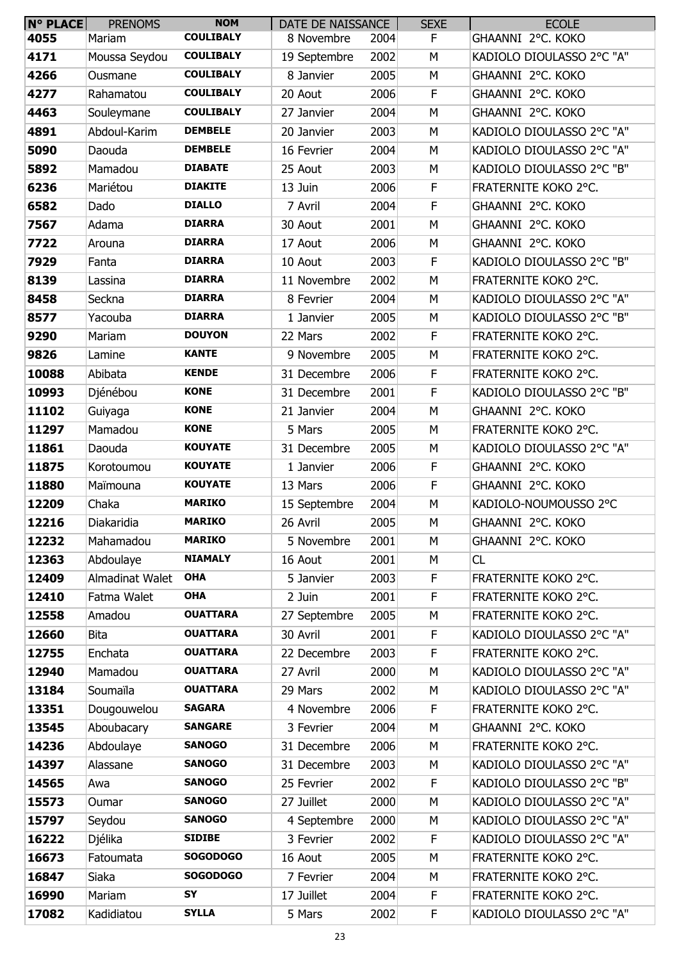| <b>N° PLACE</b> | <b>PRENOMS</b>  | <b>NOM</b>       | DATE DE NAISSANCE |      | <b>SEXE</b> | <b>ECOLE</b>              |
|-----------------|-----------------|------------------|-------------------|------|-------------|---------------------------|
| 4055            | Mariam          | <b>COULIBALY</b> | 8 Novembre        | 2004 | F           | GHAANNI 2°C. KOKO         |
| 4171            | Moussa Seydou   | <b>COULIBALY</b> | 19 Septembre      | 2002 | М           | KADIOLO DIOULASSO 2°C "A" |
| 4266            | Ousmane         | <b>COULIBALY</b> | 8 Janvier         | 2005 | M           | GHAANNI 2°C. KOKO         |
| 4277            | Rahamatou       | <b>COULIBALY</b> | 20 Aout           | 2006 | F           | GHAANNI 2°C. KOKO         |
| 4463            | Souleymane      | <b>COULIBALY</b> | 27 Janvier        | 2004 | M           | GHAANNI 2°C. KOKO         |
| 4891            | Abdoul-Karim    | <b>DEMBELE</b>   | 20 Janvier        | 2003 | M           | KADIOLO DIOULASSO 2°C "A" |
| 5090            | Daouda          | <b>DEMBELE</b>   | 16 Fevrier        | 2004 | М           | KADIOLO DIOULASSO 2°C "A" |
| 5892            | Mamadou         | <b>DIABATE</b>   | 25 Aout           | 2003 | М           | KADIOLO DIOULASSO 2°C "B" |
| 6236            | Mariétou        | <b>DIAKITE</b>   | 13 Juin           | 2006 | F           | FRATERNITE KOKO 2°C.      |
| 6582            | Dado            | <b>DIALLO</b>    | 7 Avril           | 2004 | F           | GHAANNI 2°C. KOKO         |
| 7567            | Adama           | <b>DIARRA</b>    | 30 Aout           | 2001 | M           | GHAANNI 2°C. KOKO         |
| 7722            | Arouna          | <b>DIARRA</b>    | 17 Aout           | 2006 | М           | GHAANNI 2°C. KOKO         |
| 7929            | Fanta           | <b>DIARRA</b>    | 10 Aout           | 2003 | $\mathsf F$ | KADIOLO DIOULASSO 2°C "B" |
| 8139            | Lassina         | <b>DIARRA</b>    | 11 Novembre       | 2002 | M           | FRATERNITE KOKO 2°C.      |
| 8458            | Seckna          | <b>DIARRA</b>    | 8 Fevrier         | 2004 | М           | KADIOLO DIOULASSO 2°C "A" |
| 8577            | Yacouba         | <b>DIARRA</b>    | 1 Janvier         | 2005 | М           | KADIOLO DIOULASSO 2°C "B" |
| 9290            | Mariam          | <b>DOUYON</b>    | 22 Mars           | 2002 | F           | FRATERNITE KOKO 2°C.      |
| 9826            | Lamine          | <b>KANTE</b>     | 9 Novembre        | 2005 | М           | FRATERNITE KOKO 2°C.      |
| 10088           | Abibata         | <b>KENDE</b>     | 31 Decembre       | 2006 | F           | FRATERNITE KOKO 2°C.      |
| 10993           | Djénébou        | <b>KONE</b>      | 31 Decembre       | 2001 | $\mathsf F$ | KADIOLO DIOULASSO 2°C "B" |
| 11102           | Guiyaga         | <b>KONE</b>      | 21 Janvier        | 2004 | M           | GHAANNI 2°C. KOKO         |
| 11297           | Mamadou         | <b>KONE</b>      | 5 Mars            | 2005 | М           | FRATERNITE KOKO 2°C.      |
| 11861           | Daouda          | <b>KOUYATE</b>   | 31 Decembre       | 2005 | М           | KADIOLO DIOULASSO 2°C "A" |
| 11875           | Korotoumou      | <b>KOUYATE</b>   | 1 Janvier         | 2006 | F           | GHAANNI 2°C. KOKO         |
| 11880           | Maïmouna        | <b>KOUYATE</b>   | 13 Mars           | 2006 | F           | GHAANNI 2°C. KOKO         |
| 12209           | Chaka           | <b>MARIKO</b>    | 15 Septembre      | 2004 | М           | KADIOLO-NOUMOUSSO 2°C     |
| 12216           | Diakaridia      | <b>MARIKO</b>    | 26 Avril          | 2005 | М           | GHAANNI 2°C. KOKO         |
| 12232           | Mahamadou       | <b>MARIKO</b>    | 5 Novembre        | 2001 | M           | GHAANNI 2°C. KOKO         |
| 12363           | Abdoulaye       | <b>NIAMALY</b>   | 16 Aout           | 2001 | М           | CL                        |
| 12409           | Almadinat Walet | <b>OHA</b>       | 5 Janvier         | 2003 | F           | FRATERNITE KOKO 2°C.      |
| 12410           | Fatma Walet     | <b>OHA</b>       | 2 Juin            | 2001 | F           | FRATERNITE KOKO 2°C.      |
| 12558           | Amadou          | <b>OUATTARA</b>  | 27 Septembre      | 2005 | М           | FRATERNITE KOKO 2°C.      |
| 12660           | <b>Bita</b>     | <b>OUATTARA</b>  | 30 Avril          | 2001 | F           | KADIOLO DIOULASSO 2°C "A" |
| 12755           | Enchata         | <b>OUATTARA</b>  | 22 Decembre       | 2003 | F           | FRATERNITE KOKO 2°C.      |
| 12940           | Mamadou         | <b>OUATTARA</b>  | 27 Avril          | 2000 | M           | KADIOLO DIOULASSO 2°C "A" |
| 13184           | Soumaïla        | <b>OUATTARA</b>  | 29 Mars           | 2002 | М           | KADIOLO DIOULASSO 2°C "A" |
| 13351           | Dougouwelou     | <b>SAGARA</b>    | 4 Novembre        | 2006 | F           | FRATERNITE KOKO 2°C.      |
| 13545           | Aboubacary      | <b>SANGARE</b>   | 3 Fevrier         | 2004 | M           | GHAANNI 2°C. KOKO         |
| 14236           | Abdoulaye       | <b>SANOGO</b>    | 31 Decembre       | 2006 | М           | FRATERNITE KOKO 2°C.      |
| 14397           | Alassane        | <b>SANOGO</b>    | 31 Decembre       | 2003 | М           | KADIOLO DIOULASSO 2°C "A" |
| 14565           | Awa             | <b>SANOGO</b>    | 25 Fevrier        | 2002 | F           | KADIOLO DIOULASSO 2°C "B" |
| 15573           | Oumar           | <b>SANOGO</b>    | 27 Juillet        | 2000 | М           | KADIOLO DIOULASSO 2°C "A" |
| 15797           | Seydou          | <b>SANOGO</b>    | 4 Septembre       | 2000 | М           | KADIOLO DIOULASSO 2°C "A" |
| 16222           | Djélika         | <b>SIDIBE</b>    | 3 Fevrier         | 2002 | F           | KADIOLO DIOULASSO 2°C "A" |
| 16673           | Fatoumata       | <b>SOGODOGO</b>  | 16 Aout           | 2005 | M           | FRATERNITE KOKO 2°C.      |
| 16847           | Siaka           | <b>SOGODOGO</b>  | 7 Fevrier         | 2004 | М           | FRATERNITE KOKO 2°C.      |
| 16990           | Mariam          | SY               | 17 Juillet        | 2004 | F           | FRATERNITE KOKO 2°C.      |
| 17082           | Kadidiatou      | <b>SYLLA</b>     | 5 Mars            | 2002 | F           | KADIOLO DIOULASSO 2°C "A" |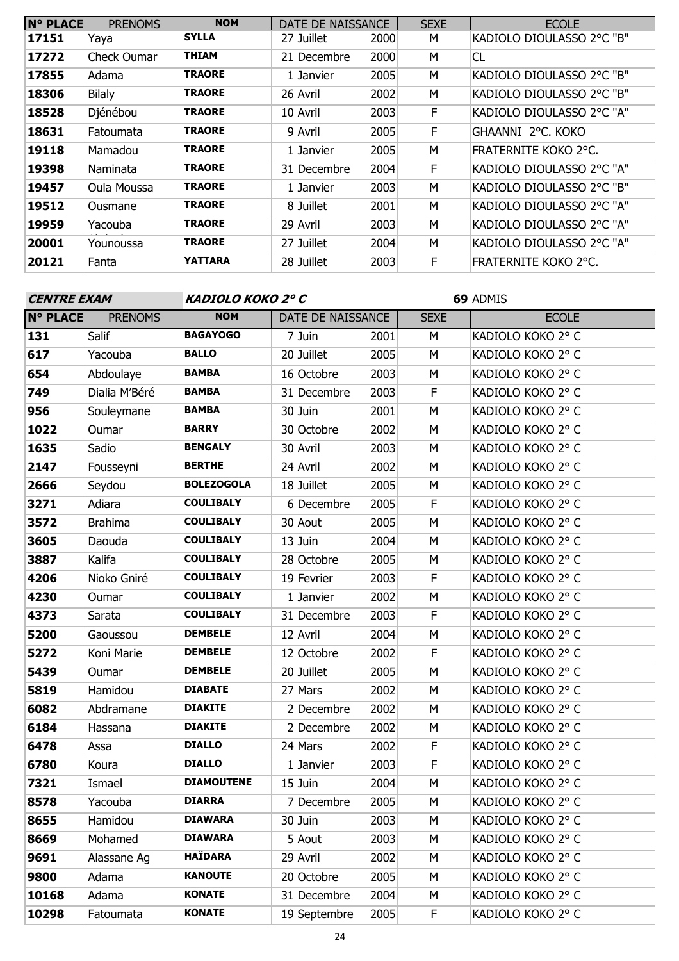| <b>N° PLACE</b> | <b>PRENOMS</b> | <b>NOM</b>    | DATE DE NAISSANCE |      | <b>SEXE</b> | <b>ECOLE</b>              |
|-----------------|----------------|---------------|-------------------|------|-------------|---------------------------|
| 17151           | Yaya           | <b>SYLLA</b>  | 27 Juillet        | 2000 | М           | KADIOLO DIOULASSO 2°C "B" |
| 17272           | Check Oumar    | <b>THIAM</b>  | 21 Decembre       | 2000 | М           | CL                        |
| 17855           | Adama          | <b>TRAORE</b> | 1 Janvier         | 2005 | M           | KADIOLO DIOULASSO 2°C "B" |
| 18306           | <b>Bilaly</b>  | <b>TRAORE</b> | 26 Avril          | 2002 | M           | KADIOLO DIOULASSO 2°C "B" |
| 18528           | Djénébou       | <b>TRAORE</b> | 10 Avril          | 2003 | F           | KADIOLO DIOULASSO 2°C "A" |
| 18631           | Fatoumata      | <b>TRAORE</b> | 9 Avril           | 2005 | F           | GHAANNI 2°C. KOKO         |
| 19118           | Mamadou        | <b>TRAORE</b> | 1 Janvier         | 2005 | М           | FRATERNITE KOKO 2°C.      |
| 19398           | Naminata       | <b>TRAORE</b> | 31 Decembre       | 2004 | F           | KADIOLO DIOULASSO 2°C "A" |
| 19457           | Oula Moussa    | <b>TRAORE</b> | 1 Janvier         | 2003 | M           | KADIOLO DIOULASSO 2°C "B" |
| 19512           | Ousmane        | <b>TRAORE</b> | 8 Juillet         | 2001 | M           | KADIOLO DIOULASSO 2°C "A" |
| 19959           | Yacouba        | <b>TRAORE</b> | 29 Avril          | 2003 | M           | KADIOLO DIOULASSO 2°C "A" |
| 20001           | Younoussa      | <b>TRAORE</b> | 27 Juillet        | 2004 | M           | KADIOLO DIOULASSO 2°C "A" |
| 20121           | Fanta          | YATTARA       | 28 Juillet        | 2003 | F           | FRATERNITE KOKO 2°C.      |

| <b>CENTRE EXAM</b> |                | KADIOLO KOKO 2º C |                   |      | 69 ADMIS    |                   |  |
|--------------------|----------------|-------------------|-------------------|------|-------------|-------------------|--|
| <b>N° PLACE</b>    | <b>PRENOMS</b> | <b>NOM</b>        | DATE DE NAISSANCE |      | <b>SEXE</b> | <b>ECOLE</b>      |  |
| 131                | Salif          | <b>BAGAYOGO</b>   | 7 Juin            | 2001 | M           | KADIOLO KOKO 2° C |  |
| 617                | Yacouba        | <b>BALLO</b>      | 20 Juillet        | 2005 | M           | KADIOLO KOKO 2° C |  |
| 654                | Abdoulaye      | <b>BAMBA</b>      | 16 Octobre        | 2003 | M           | KADIOLO KOKO 2° C |  |
| 749                | Dialia M'Béré  | <b>BAMBA</b>      | 31 Decembre       | 2003 | F           | KADIOLO KOKO 2° C |  |
| 956                | Souleymane     | <b>BAMBA</b>      | 30 Juin           | 2001 | M           | KADIOLO KOKO 2° C |  |
| 1022               | Oumar          | <b>BARRY</b>      | 30 Octobre        | 2002 | M           | KADIOLO KOKO 2° C |  |
| 1635               | Sadio          | <b>BENGALY</b>    | 30 Avril          | 2003 | M           | KADIOLO KOKO 2° C |  |
| 2147               | Fousseyni      | <b>BERTHE</b>     | 24 Avril          | 2002 | M           | KADIOLO KOKO 2° C |  |
| 2666               | Seydou         | <b>BOLEZOGOLA</b> | 18 Juillet        | 2005 | М           | KADIOLO KOKO 2° C |  |
| 3271               | Adiara         | <b>COULIBALY</b>  | 6 Decembre        | 2005 | F           | KADIOLO KOKO 2° C |  |
| 3572               | <b>Brahima</b> | <b>COULIBALY</b>  | 30 Aout           | 2005 | М           | KADIOLO KOKO 2° C |  |
| 3605               | Daouda         | <b>COULIBALY</b>  | 13 Juin           | 2004 | M           | KADIOLO KOKO 2° C |  |
| 3887               | Kalifa         | <b>COULIBALY</b>  | 28 Octobre        | 2005 | M           | KADIOLO KOKO 2° C |  |
| 4206               | Nioko Gniré    | <b>COULIBALY</b>  | 19 Fevrier        | 2003 | F           | KADIOLO KOKO 2° C |  |
| 4230               | Oumar          | <b>COULIBALY</b>  | 1 Janvier         | 2002 | M           | KADIOLO KOKO 2° C |  |
| 4373               | Sarata         | <b>COULIBALY</b>  | 31 Decembre       | 2003 | $\mathsf F$ | KADIOLO KOKO 2° C |  |
| 5200               | Gaoussou       | <b>DEMBELE</b>    | 12 Avril          | 2004 | M           | KADIOLO KOKO 2° C |  |
| 5272               | Koni Marie     | <b>DEMBELE</b>    | 12 Octobre        | 2002 | F           | KADIOLO KOKO 2° C |  |
| 5439               | Oumar          | <b>DEMBELE</b>    | 20 Juillet        | 2005 | M           | KADIOLO KOKO 2° C |  |
| 5819               | Hamidou        | <b>DIABATE</b>    | 27 Mars           | 2002 | M           | KADIOLO KOKO 2° C |  |
| 6082               | Abdramane      | <b>DIAKITE</b>    | 2 Decembre        | 2002 | M           | KADIOLO KOKO 2° C |  |
| 6184               | Hassana        | <b>DIAKITE</b>    | 2 Decembre        | 2002 | М           | KADIOLO KOKO 2° C |  |
| 6478               | Assa           | <b>DIALLO</b>     | 24 Mars           | 2002 | $\mathsf F$ | KADIOLO KOKO 2° C |  |
| 6780               | Koura          | <b>DIALLO</b>     | 1 Janvier         | 2003 | $\mathsf F$ | KADIOLO KOKO 2° C |  |
| 7321               | Ismael         | <b>DIAMOUTENE</b> | 15 Juin           | 2004 | М           | KADIOLO KOKO 2° C |  |
| 8578               | Yacouba        | <b>DIARRA</b>     | 7 Decembre        | 2005 | M           | KADIOLO KOKO 2° C |  |
| 8655               | Hamidou        | <b>DIAWARA</b>    | 30 Juin           | 2003 | М           | KADIOLO KOKO 2° C |  |
| 8669               | Mohamed        | <b>DIAWARA</b>    | 5 Aout            | 2003 | М           | KADIOLO KOKO 2° C |  |
| 9691               | Alassane Ag    | <b>HAÏDARA</b>    | 29 Avril          | 2002 | М           | KADIOLO KOKO 2° C |  |
| 9800               | Adama          | <b>KANOUTE</b>    | 20 Octobre        | 2005 | М           | KADIOLO KOKO 2° C |  |
| 10168              | Adama          | <b>KONATE</b>     | 31 Decembre       | 2004 | М           | KADIOLO KOKO 2° C |  |
| 10298              | Fatoumata      | <b>KONATE</b>     | 19 Septembre      | 2005 | F           | KADIOLO KOKO 2° C |  |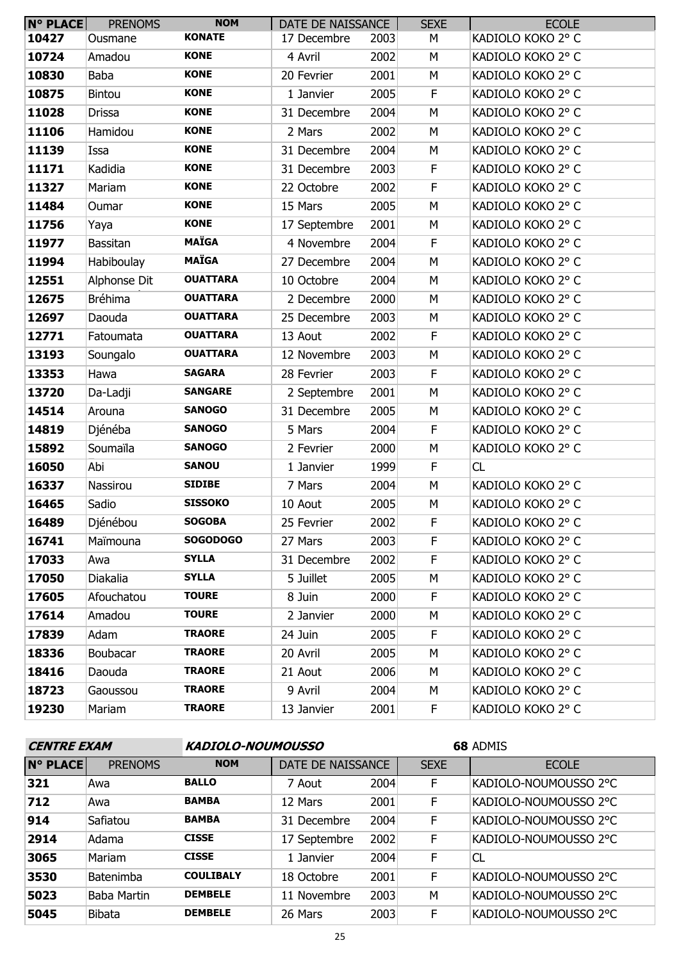| <b>N° PLACE</b> | <b>PRENOMS</b>  | <b>NOM</b>      | DATE DE NAISSANCE |      | <b>SEXE</b> | <b>ECOLE</b>      |
|-----------------|-----------------|-----------------|-------------------|------|-------------|-------------------|
| 10427           | Ousmane         | <b>KONATE</b>   | 17 Decembre       | 2003 | М           | KADIOLO KOKO 2° C |
| 10724           | Amadou          | <b>KONE</b>     | 4 Avril           | 2002 | M           | KADIOLO KOKO 2° C |
| 10830           | Baba            | <b>KONE</b>     | 20 Fevrier        | 2001 | M           | KADIOLO KOKO 2° C |
| 10875           | <b>Bintou</b>   | <b>KONE</b>     | 1 Janvier         | 2005 | F           | KADIOLO KOKO 2° C |
| 11028           | <b>Drissa</b>   | <b>KONE</b>     | 31 Decembre       | 2004 | M           | KADIOLO KOKO 2° C |
| 11106           | Hamidou         | <b>KONE</b>     | 2 Mars            | 2002 | M           | KADIOLO KOKO 2° C |
| 11139           | Issa            | <b>KONE</b>     | 31 Decembre       | 2004 | M           | KADIOLO KOKO 2° C |
| 11171           | Kadidia         | <b>KONE</b>     | 31 Decembre       | 2003 | F           | KADIOLO KOKO 2° C |
| 11327           | Mariam          | <b>KONE</b>     | 22 Octobre        | 2002 | F           | KADIOLO KOKO 2° C |
| 11484           | Oumar           | <b>KONE</b>     | 15 Mars           | 2005 | M           | KADIOLO KOKO 2° C |
| 11756           | Yaya            | <b>KONE</b>     | 17 Septembre      | 2001 | M           | KADIOLO KOKO 2° C |
| 11977           | <b>Bassitan</b> | <b>MAÏGA</b>    | 4 Novembre        | 2004 | F           | KADIOLO KOKO 2° C |
| 11994           | Habiboulay      | <b>MAÏGA</b>    | 27 Decembre       | 2004 | M           | KADIOLO KOKO 2° C |
| 12551           | Alphonse Dit    | <b>OUATTARA</b> | 10 Octobre        | 2004 | M           | KADIOLO KOKO 2° C |
| 12675           | Bréhima         | <b>OUATTARA</b> | 2 Decembre        | 2000 | M           | KADIOLO KOKO 2° C |
| 12697           | Daouda          | <b>OUATTARA</b> | 25 Decembre       | 2003 | M           | KADIOLO KOKO 2° C |
| 12771           | Fatoumata       | <b>OUATTARA</b> | 13 Aout           | 2002 | F           | KADIOLO KOKO 2° C |
| 13193           | Soungalo        | <b>OUATTARA</b> | 12 Novembre       | 2003 | M           | KADIOLO KOKO 2° C |
| 13353           | Hawa            | <b>SAGARA</b>   | 28 Fevrier        | 2003 | F           | KADIOLO KOKO 2° C |
| 13720           | Da-Ladji        | <b>SANGARE</b>  | 2 Septembre       | 2001 | M           | KADIOLO KOKO 2° C |
| 14514           | Arouna          | <b>SANOGO</b>   | 31 Decembre       | 2005 | M           | KADIOLO KOKO 2° C |
| 14819           | Djénéba         | <b>SANOGO</b>   | 5 Mars            | 2004 | F           | KADIOLO KOKO 2° C |
| 15892           | Soumaïla        | <b>SANOGO</b>   | 2 Fevrier         | 2000 | M           | KADIOLO KOKO 2° C |
| 16050           | Abi             | <b>SANOU</b>    | 1 Janvier         | 1999 | F.          | CL                |
| 16337           | Nassirou        | <b>SIDIBE</b>   | 7 Mars            | 2004 | M           | KADIOLO KOKO 2° C |
| 16465           | Sadio           | <b>SISSOKO</b>  | 10 Aout           | 2005 | М           | KADIOLO KOKO 2° C |
| 16489           | Djénébou        | <b>SOGOBA</b>   | 25 Fevrier        | 2002 | F           | KADIOLO KOKO 2° C |
| 16741           | Maïmouna        | <b>SOGODOGO</b> | 27 Mars           | 2003 | F.          | KADIOLO KOKO 2° C |
| 17033           | Awa             | <b>SYLLA</b>    | 31 Decembre       | 2002 | F.          | KADIOLO KOKO 2° C |
| 17050           | Diakalia        | <b>SYLLA</b>    | 5 Juillet         | 2005 | М           | KADIOLO KOKO 2° C |
| 17605           | Afouchatou      | <b>TOURE</b>    | 8 Juin            | 2000 | F.          | KADIOLO KOKO 2° C |
| 17614           | Amadou          | <b>TOURE</b>    | 2 Janvier         | 2000 | М           | KADIOLO KOKO 2° C |
| 17839           | Adam            | <b>TRAORE</b>   | 24 Juin           | 2005 | F.          | KADIOLO KOKO 2° C |
| 18336           | Boubacar        | <b>TRAORE</b>   | 20 Avril          | 2005 | М           | KADIOLO KOKO 2° C |
| 18416           | Daouda          | <b>TRAORE</b>   | 21 Aout           | 2006 | М           | KADIOLO KOKO 2° C |
| 18723           | Gaoussou        | <b>TRAORE</b>   | 9 Avril           | 2004 | М           | KADIOLO KOKO 2° C |
| 19230           | Mariam          | <b>TRAORE</b>   | 13 Janvier        | 2001 | F.          | KADIOLO KOKO 2° C |

| <b>CENTRE EXAM</b> |                | <b>KADIOLO-NOUMOUSSO</b> |                   |      | 68 ADMIS    |                       |  |
|--------------------|----------------|--------------------------|-------------------|------|-------------|-----------------------|--|
| <b>N° PLACE</b>    | <b>PRENOMS</b> | <b>NOM</b>               | DATE DE NAISSANCE |      | <b>SEXE</b> | <b>ECOLE</b>          |  |
| 321                | Awa            | <b>BALLO</b>             | 7 Aout            | 2004 | F           | KADIOLO-NOUMOUSSO 2°C |  |
| 712                | Awa            | <b>BAMBA</b>             | 12 Mars           | 2001 | F           | KADIOLO-NOUMOUSSO 2°C |  |
| 914                | Safiatou       | <b>BAMBA</b>             | 31 Decembre       | 2004 | F           | KADIOLO-NOUMOUSSO 2°C |  |
| 2914               | Adama          | <b>CISSE</b>             | 17 Septembre      | 2002 | F           | KADIOLO-NOUMOUSSO 2°C |  |
| 3065               | Mariam         | <b>CISSE</b>             | 1 Janvier         | 2004 | F           | <b>CL</b>             |  |
| 3530               | Batenimba      | <b>COULIBALY</b>         | 18 Octobre        | 2001 | F           | KADIOLO-NOUMOUSSO 2°C |  |
| 5023               | Baba Martin    | <b>DEMBELE</b>           | 11 Novembre       | 2003 | M           | KADIOLO-NOUMOUSSO 2°C |  |
| 5045               | Bibata         | <b>DEMBELE</b>           | 26 Mars           | 2003 | F           | KADIOLO-NOUMOUSSO 2°C |  |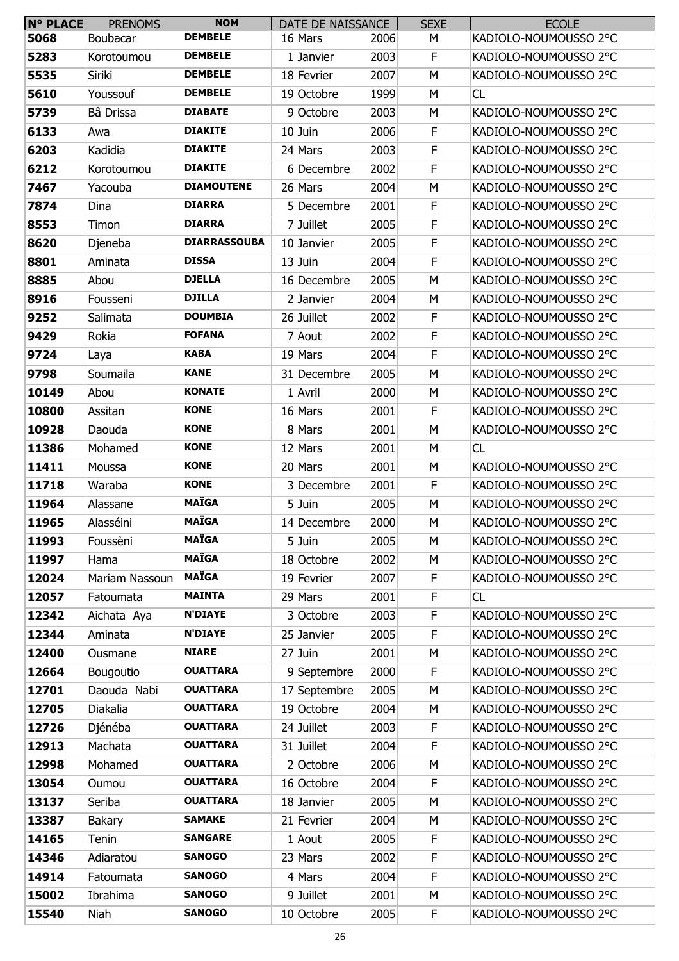| <b>N° PLACE</b> | <b>PRENOMS</b> | <b>NOM</b>          | DATE DE NAISSANCE |      | <b>SEXE</b> | <b>ECOLE</b>          |
|-----------------|----------------|---------------------|-------------------|------|-------------|-----------------------|
| 5068            | Boubacar       | <b>DEMBELE</b>      | 16 Mars           | 2006 | М           | KADIOLO-NOUMOUSSO 2°C |
| 5283            | Korotoumou     | <b>DEMBELE</b>      | 1 Janvier         | 2003 | F           | KADIOLO-NOUMOUSSO 2°C |
| 5535            | Siriki         | <b>DEMBELE</b>      | 18 Fevrier        | 2007 | М           | KADIOLO-NOUMOUSSO 2°C |
| 5610            | Youssouf       | <b>DEMBELE</b>      | 19 Octobre        | 1999 | М           | CL                    |
| 5739            | Bâ Drissa      | <b>DIABATE</b>      | 9 Octobre         | 2003 | М           | KADIOLO-NOUMOUSSO 2°C |
| 6133            | Awa            | <b>DIAKITE</b>      | 10 Juin           | 2006 | F           | KADIOLO-NOUMOUSSO 2°C |
| 6203            | Kadidia        | <b>DIAKITE</b>      | 24 Mars           | 2003 | F           | KADIOLO-NOUMOUSSO 2°C |
| 6212            | Korotoumou     | <b>DIAKITE</b>      | 6 Decembre        | 2002 | F           | KADIOLO-NOUMOUSSO 2°C |
| 7467            | Yacouba        | <b>DIAMOUTENE</b>   | 26 Mars           | 2004 | М           | KADIOLO-NOUMOUSSO 2°C |
| 7874            | Dina           | <b>DIARRA</b>       | 5 Decembre        | 2001 | F           | KADIOLO-NOUMOUSSO 2°C |
| 8553            | Timon          | <b>DIARRA</b>       | 7 Juillet         | 2005 | F           | KADIOLO-NOUMOUSSO 2°C |
| 8620            | Djeneba        | <b>DIARRASSOUBA</b> | 10 Janvier        | 2005 | F           | KADIOLO-NOUMOUSSO 2°C |
| 8801            | Aminata        | <b>DISSA</b>        | 13 Juin           | 2004 | F           | KADIOLO-NOUMOUSSO 2°C |
| 8885            | Abou           | <b>DJELLA</b>       | 16 Decembre       | 2005 | М           | KADIOLO-NOUMOUSSO 2°C |
| 8916            | Fousseni       | <b>DJILLA</b>       | 2 Janvier         | 2004 | М           | KADIOLO-NOUMOUSSO 2°C |
| 9252            | Salimata       | <b>DOUMBIA</b>      | 26 Juillet        | 2002 | F           | KADIOLO-NOUMOUSSO 2°C |
| 9429            | Rokia          | <b>FOFANA</b>       | 7 Aout            | 2002 | F           | KADIOLO-NOUMOUSSO 2°C |
| 9724            | Laya           | <b>KABA</b>         | 19 Mars           | 2004 | F           | KADIOLO-NOUMOUSSO 2°C |
| 9798            | Soumaila       | <b>KANE</b>         | 31 Decembre       | 2005 | М           | KADIOLO-NOUMOUSSO 2°C |
| 10149           | Abou           | <b>KONATE</b>       | 1 Avril           | 2000 | М           | KADIOLO-NOUMOUSSO 2°C |
| 10800           | Assitan        | <b>KONE</b>         | 16 Mars           | 2001 | F           | KADIOLO-NOUMOUSSO 2°C |
| 10928           | Daouda         | <b>KONE</b>         | 8 Mars            | 2001 | М           | KADIOLO-NOUMOUSSO 2°C |
| 11386           | Mohamed        | <b>KONE</b>         | 12 Mars           | 2001 | М           | CL                    |
| 11411           | Moussa         | <b>KONE</b>         | 20 Mars           | 2001 | М           | KADIOLO-NOUMOUSSO 2°C |
| 11718           | Waraba         | <b>KONE</b>         | 3 Decembre        | 2001 | F           | KADIOLO-NOUMOUSSO 2°C |
| 11964           | Alassane       | <b>MAÏGA</b>        | 5 Juin            | 2005 | М           | KADIOLO-NOUMOUSSO 2°C |
| 11965           | Alasséini      | <b>MAÏGA</b>        | 14 Decembre       | 2000 | М           | KADIOLO-NOUMOUSSO 2°C |
| 11993           | Foussèni       | <b>MAÏGA</b>        | 5 Juin            | 2005 | M           | KADIOLO-NOUMOUSSO 2°C |
| 11997           | Hama           | <b>MAÏGA</b>        | 18 Octobre        | 2002 | М           | KADIOLO-NOUMOUSSO 2°C |
| 12024           | Mariam Nassoun | <b>MAÏGA</b>        | 19 Fevrier        | 2007 | F           | KADIOLO-NOUMOUSSO 2°C |
| 12057           | Fatoumata      | <b>MAINTA</b>       | 29 Mars           | 2001 | F           | CL                    |
| 12342           | Aichata Aya    | <b>N'DIAYE</b>      | 3 Octobre         | 2003 | F           | KADIOLO-NOUMOUSSO 2°C |
| 12344           | Aminata        | <b>N'DIAYE</b>      | 25 Janvier        | 2005 | F           | KADIOLO-NOUMOUSSO 2°C |
| 12400           | Ousmane        | <b>NIARE</b>        | 27 Juin           | 2001 | М           | KADIOLO-NOUMOUSSO 2°C |
| 12664           | Bougoutio      | <b>OUATTARA</b>     | 9 Septembre       | 2000 | F           | KADIOLO-NOUMOUSSO 2°C |
| 12701           | Daouda Nabi    | <b>OUATTARA</b>     | 17 Septembre      | 2005 | М           | KADIOLO-NOUMOUSSO 2°C |
| 12705           | Diakalia       | <b>OUATTARA</b>     | 19 Octobre        | 2004 | М           | KADIOLO-NOUMOUSSO 2°C |
| 12726           | Djénéba        | <b>OUATTARA</b>     | 24 Juillet        | 2003 | F           | KADIOLO-NOUMOUSSO 2°C |
| 12913           | Machata        | <b>OUATTARA</b>     | 31 Juillet        | 2004 | F           | KADIOLO-NOUMOUSSO 2°C |
| 12998           | Mohamed        | <b>OUATTARA</b>     | 2 Octobre         | 2006 | М           | KADIOLO-NOUMOUSSO 2°C |
| 13054           | Oumou          | <b>OUATTARA</b>     | 16 Octobre        | 2004 | F           | KADIOLO-NOUMOUSSO 2°C |
| 13137           | Seriba         | <b>OUATTARA</b>     | 18 Janvier        | 2005 | M           | KADIOLO-NOUMOUSSO 2°C |
| 13387           | <b>Bakary</b>  | <b>SAMAKE</b>       | 21 Fevrier        | 2004 | М           | KADIOLO-NOUMOUSSO 2°C |
| 14165           | Tenin          | <b>SANGARE</b>      | 1 Aout            | 2005 | F           | KADIOLO-NOUMOUSSO 2°C |
| 14346           | Adiaratou      | <b>SANOGO</b>       | 23 Mars           | 2002 | F           | KADIOLO-NOUMOUSSO 2°C |
| 14914           | Fatoumata      | <b>SANOGO</b>       | 4 Mars            | 2004 | F           | KADIOLO-NOUMOUSSO 2°C |
| 15002           | Ibrahima       | <b>SANOGO</b>       | 9 Juillet         | 2001 | М           | KADIOLO-NOUMOUSSO 2°C |
| 15540           | Niah           | <b>SANOGO</b>       | 10 Octobre        | 2005 | F           | KADIOLO-NOUMOUSSO 2°C |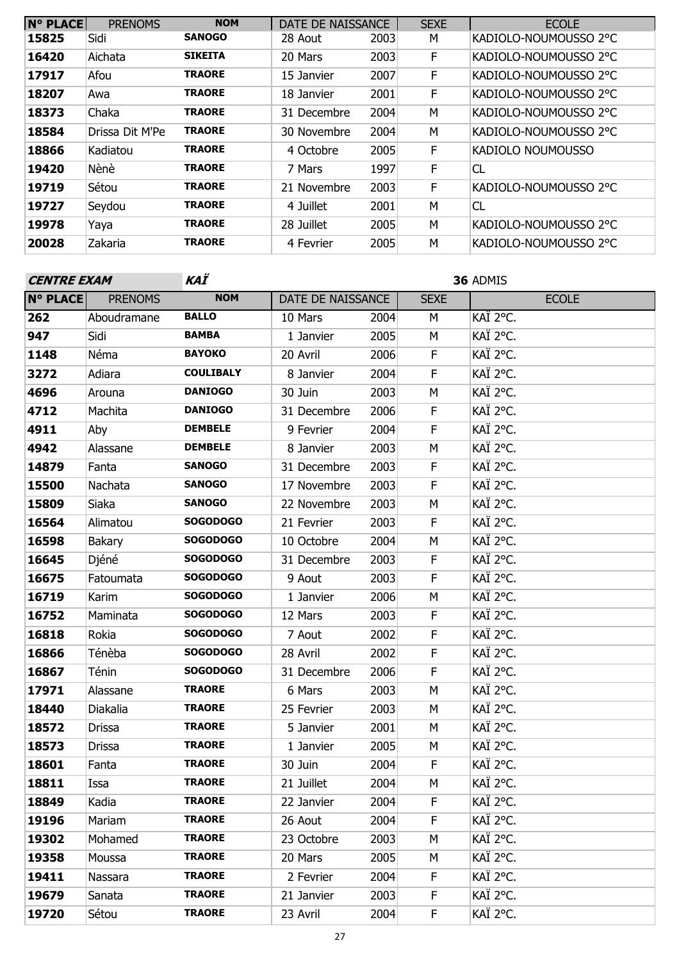| <b>N° PLACE</b> | <b>PRENOMS</b>  | <b>NOM</b>     | DATE DE NAISSANCE |      | <b>SEXE</b> | <b>ECOLE</b>          |
|-----------------|-----------------|----------------|-------------------|------|-------------|-----------------------|
| 15825           | Sidi            | <b>SANOGO</b>  | 28 Aout           | 2003 | М           | KADIOLO-NOUMOUSSO 2°C |
| 16420           | Aichata         | <b>SIKEITA</b> | 20 Mars           | 2003 | F           | KADIOLO-NOUMOUSSO 2°C |
| 17917           | Afou            | <b>TRAORE</b>  | 15 Janvier        | 2007 | F           | KADIOLO-NOUMOUSSO 2°C |
| 18207           | Awa             | <b>TRAORE</b>  | 18 Janvier        | 2001 | F           | KADIOLO-NOUMOUSSO 2°C |
| 18373           | Chaka           | <b>TRAORE</b>  | 31 Decembre       | 2004 | M           | KADIOLO-NOUMOUSSO 2°C |
| 18584           | Drissa Dit M'Pe | <b>TRAORE</b>  | 30 Novembre       | 2004 | M           | KADIOLO-NOUMOUSSO 2°C |
| 18866           | Kadiatou        | <b>TRAORE</b>  | 4 Octobre         | 2005 | F           | KADIOLO NOUMOUSSO     |
| 19420           | Nènè            | <b>TRAORE</b>  | 7 Mars            | 1997 | F           | CL                    |
| 19719           | Sétou           | <b>TRAORE</b>  | 21 Novembre       | 2003 | F           | KADIOLO-NOUMOUSSO 2°C |
| 19727           | Seydou          | <b>TRAORE</b>  | 4 Juillet         | 2001 | M           | CL                    |
| 19978           | Yaya            | <b>TRAORE</b>  | 28 Juillet        | 2005 | М           | KADIOLO-NOUMOUSSO 2°C |
| 20028           | Zakaria         | <b>TRAORE</b>  | 4 Fevrier         | 2005 | M           | KADIOLO-NOUMOUSSO 2°C |

| <b>CENTRE EXAM</b> |                | KAÏ              | 36 ADMIS          |      |             |              |  |  |
|--------------------|----------------|------------------|-------------------|------|-------------|--------------|--|--|
| <b>N° PLACE</b>    | <b>PRENOMS</b> | <b>NOM</b>       | DATE DE NAISSANCE |      | <b>SEXE</b> | <b>ECOLE</b> |  |  |
| 262                | Aboudramane    | <b>BALLO</b>     | 10 Mars           | 2004 | M           | KAÏ 2°C.     |  |  |
| 947                | Sidi           | <b>BAMBA</b>     | 1 Janvier         | 2005 | M           | KAÏ 2°C.     |  |  |
| 1148               | Néma           | <b>BAYOKO</b>    | 20 Avril          | 2006 | F           | KAÏ 2°C.     |  |  |
| 3272               | Adiara         | <b>COULIBALY</b> | 8 Janvier         | 2004 | F           | KAÏ 2°C.     |  |  |
| 4696               | Arouna         | <b>DANIOGO</b>   | 30 Juin           | 2003 | М           | KAÏ 2°C.     |  |  |
| 4712               | Machita        | <b>DANIOGO</b>   | 31 Decembre       | 2006 | F           | KAÏ 2°C.     |  |  |
| 4911               | Aby            | <b>DEMBELE</b>   | 9 Fevrier         | 2004 | F           | KAÏ 2°C.     |  |  |
| 4942               | Alassane       | <b>DEMBELE</b>   | 8 Janvier         | 2003 | М           | KAÏ 2°C.     |  |  |
| 14879              | Fanta          | <b>SANOGO</b>    | 31 Decembre       | 2003 | F           | KAÏ 2°C.     |  |  |
| 15500              | Nachata        | <b>SANOGO</b>    | 17 Novembre       | 2003 | F           | KAÏ 2°C.     |  |  |
| 15809              | Siaka          | <b>SANOGO</b>    | 22 Novembre       | 2003 | М           | KAÏ 2°C.     |  |  |
| 16564              | Alimatou       | <b>SOGODOGO</b>  | 21 Fevrier        | 2003 | F           | KAÏ 2°C.     |  |  |
| 16598              | Bakary         | <b>SOGODOGO</b>  | 10 Octobre        | 2004 | M           | KAÏ 2°C.     |  |  |
| 16645              | Djéné          | <b>SOGODOGO</b>  | 31 Decembre       | 2003 | F           | KAÏ 2°C.     |  |  |
| 16675              | Fatoumata      | <b>SOGODOGO</b>  | 9 Aout            | 2003 | F           | KAÏ 2°C.     |  |  |
| 16719              | Karim          | <b>SOGODOGO</b>  | 1 Janvier         | 2006 | M           | KAÏ 2°C.     |  |  |
| 16752              | Maminata       | <b>SOGODOGO</b>  | 12 Mars           | 2003 | F           | KAÏ 2°C.     |  |  |
| 16818              | Rokia          | <b>SOGODOGO</b>  | 7 Aout            | 2002 | F           | KAÏ 2°C.     |  |  |
| 16866              | Ténèba         | <b>SOGODOGO</b>  | 28 Avril          | 2002 | F           | KAÏ 2°C.     |  |  |
| 16867              | Ténin          | <b>SOGODOGO</b>  | 31 Decembre       | 2006 | $\mathsf F$ | KAÏ 2°C.     |  |  |
| 17971              | Alassane       | <b>TRAORE</b>    | 6 Mars            | 2003 | М           | KAÏ 2°C.     |  |  |
| 18440              | Diakalia       | <b>TRAORE</b>    | 25 Fevrier        | 2003 | М           | KAÏ 2°C.     |  |  |
| 18572              | <b>Drissa</b>  | <b>TRAORE</b>    | 5 Janvier         | 2001 | М           | KAÏ 2°C.     |  |  |
| 18573              | <b>Drissa</b>  | <b>TRAORE</b>    | 1 Janvier         | 2005 | М           | KAÏ 2°C.     |  |  |
| 18601              | Fanta          | <b>TRAORE</b>    | 30 Juin           | 2004 | F           | KAÏ 2°C.     |  |  |
| 18811              | Issa           | <b>TRAORE</b>    | 21 Juillet        | 2004 | М           | KAÏ 2°C.     |  |  |
| 18849              | Kadia          | <b>TRAORE</b>    | 22 Janvier        | 2004 | F           | KAÏ 2°C.     |  |  |
| 19196              | Mariam         | <b>TRAORE</b>    | 26 Aout           | 2004 | F           | KAÏ 2°C.     |  |  |
| 19302              | Mohamed        | <b>TRAORE</b>    | 23 Octobre        | 2003 | М           | KAÏ 2°C.     |  |  |
| 19358              | Moussa         | <b>TRAORE</b>    | 20 Mars           | 2005 | М           | KAÏ 2°C.     |  |  |
| 19411              | Nassara        | <b>TRAORE</b>    | 2 Fevrier         | 2004 | F           | KAÏ 2°C.     |  |  |
| 19679              | Sanata         | <b>TRAORE</b>    | 21 Janvier        | 2003 | F           | KAÏ 2°C.     |  |  |
| 19720              | Sétou          | <b>TRAORE</b>    | 23 Avril          | 2004 | F.          | KAÏ 2°C.     |  |  |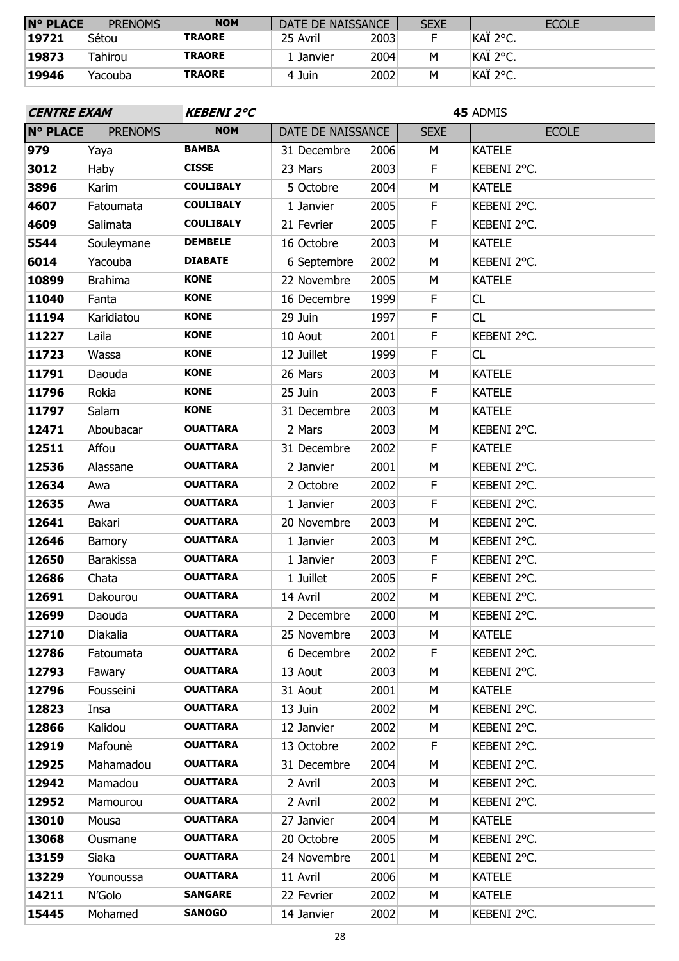| <b>N° PLACE</b> | <b>PRENOMS</b> | <b>NOM</b>    | DATE DE NAISSANCE |      | <b>SEXE</b> | <b>ECOLE</b> |
|-----------------|----------------|---------------|-------------------|------|-------------|--------------|
| 19721           | Sétou          | <b>TRAORE</b> | 25 Avril          | 2003 |             | ∣KAÏ 2°C.    |
| 19873           | Tahirou        | <b>TRAORE</b> | 1 Janvier         | 2004 | M           | ∣KAÏ 2°C.    |
| 19946           | Yacouba        | <b>TRAORE</b> | 4 Juin            | 2002 | м           | ∣KAÏ 2°C.    |

| <b>CENTRE EXAM</b> |                  | <b>KEBENI 2°C</b> |                   |      | 45 ADMIS    |               |  |
|--------------------|------------------|-------------------|-------------------|------|-------------|---------------|--|
| <b>N° PLACE</b>    | <b>PRENOMS</b>   | <b>NOM</b>        | DATE DE NAISSANCE |      | <b>SEXE</b> | <b>ECOLE</b>  |  |
| 979                | Yaya             | <b>BAMBA</b>      | 31 Decembre       | 2006 | M           | <b>KATELE</b> |  |
| 3012               | <b>Haby</b>      | <b>CISSE</b>      | 23 Mars           | 2003 | $\mathsf F$ | KEBENI 2°C.   |  |
| 3896               | Karim            | <b>COULIBALY</b>  | 5 Octobre         | 2004 | M           | <b>KATELE</b> |  |
| 4607               | Fatoumata        | <b>COULIBALY</b>  | 1 Janvier         | 2005 | F           | KEBENI 2°C.   |  |
| 4609               | Salimata         | <b>COULIBALY</b>  | 21 Fevrier        | 2005 | $\mathsf F$ | KEBENI 2°C.   |  |
| 5544               | Souleymane       | <b>DEMBELE</b>    | 16 Octobre        | 2003 | M           | <b>KATELE</b> |  |
| 6014               | Yacouba          | <b>DIABATE</b>    | 6 Septembre       | 2002 | М           | KEBENI 2°C.   |  |
| 10899              | <b>Brahima</b>   | <b>KONE</b>       | 22 Novembre       | 2005 | М           | <b>KATELE</b> |  |
| 11040              | Fanta            | <b>KONE</b>       | 16 Decembre       | 1999 | $\mathsf F$ | CL            |  |
| 11194              | Karidiatou       | <b>KONE</b>       | 29 Juin           | 1997 | F           | CL            |  |
| 11227              | Laila            | <b>KONE</b>       | 10 Aout           | 2001 | F           | KEBENI 2°C.   |  |
| 11723              | Wassa            | <b>KONE</b>       | 12 Juillet        | 1999 | $\mathsf F$ | CL            |  |
| 11791              | Daouda           | <b>KONE</b>       | 26 Mars           | 2003 | M           | <b>KATELE</b> |  |
| 11796              | Rokia            | <b>KONE</b>       | 25 Juin           | 2003 | $\mathsf F$ | <b>KATELE</b> |  |
| 11797              | Salam            | <b>KONE</b>       | 31 Decembre       | 2003 | M           | <b>KATELE</b> |  |
| 12471              | Aboubacar        | <b>OUATTARA</b>   | 2 Mars            | 2003 | M           | KEBENI 2°C.   |  |
| 12511              | Affou            | <b>OUATTARA</b>   | 31 Decembre       | 2002 | F           | <b>KATELE</b> |  |
| 12536              | Alassane         | <b>OUATTARA</b>   | 2 Janvier         | 2001 | М           | KEBENI 2°C.   |  |
| 12634              | Awa              | <b>OUATTARA</b>   | 2 Octobre         | 2002 | $\mathsf F$ | KEBENI 2°C.   |  |
| 12635              | Awa              | <b>OUATTARA</b>   | 1 Janvier         | 2003 | $\mathsf F$ | KEBENI 2°C.   |  |
| 12641              | Bakari           | <b>OUATTARA</b>   | 20 Novembre       | 2003 | M           | KEBENI 2°C.   |  |
| 12646              | Bamory           | <b>OUATTARA</b>   | 1 Janvier         | 2003 | М           | KEBENI 2°C.   |  |
| 12650              | <b>Barakissa</b> | <b>OUATTARA</b>   | 1 Janvier         | 2003 | $\mathsf F$ | KEBENI 2°C.   |  |
| 12686              | Chata            | <b>OUATTARA</b>   | 1 Juillet         | 2005 | F           | KEBENI 2°C.   |  |
| 12691              | Dakourou         | <b>OUATTARA</b>   | 14 Avril          | 2002 | М           | KEBENI 2°C.   |  |
| 12699              | Daouda           | <b>OUATTARA</b>   | 2 Decembre        | 2000 | M           | KEBENI 2°C.   |  |
| 12710              | Diakalia         | <b>OUATTARA</b>   | 25 Novembre       | 2003 | М           | <b>KATELE</b> |  |
| 12786              | Fatoumata        | <b>OUATTARA</b>   | 6 Decembre        | 2002 | F           | KEBENI 2°C.   |  |
| 12793              | Fawary           | <b>OUATTARA</b>   | 13 Aout           | 2003 | М           | KEBENI 2°C.   |  |
| 12796              | Fousseini        | <b>OUATTARA</b>   | 31 Aout           | 2001 | М           | <b>KATELE</b> |  |
| 12823              | Insa             | <b>OUATTARA</b>   | 13 Juin           | 2002 | М           | KEBENI 2°C.   |  |
| 12866              | Kalidou          | <b>OUATTARA</b>   | 12 Janvier        | 2002 | М           | KEBENI 2°C.   |  |
| 12919              | Mafounè          | <b>OUATTARA</b>   | 13 Octobre        | 2002 | F           | KEBENI 2°C.   |  |
| 12925              | Mahamadou        | <b>OUATTARA</b>   | 31 Decembre       | 2004 | М           | KEBENI 2°C.   |  |
| 12942              | Mamadou          | <b>OUATTARA</b>   | 2 Avril           | 2003 | М           | KEBENI 2°C.   |  |
| 12952              | Mamourou         | <b>OUATTARA</b>   | 2 Avril           | 2002 | М           | KEBENI 2°C.   |  |
| 13010              | Mousa            | <b>OUATTARA</b>   | 27 Janvier        | 2004 | М           | <b>KATELE</b> |  |
| 13068              | Ousmane          | <b>OUATTARA</b>   | 20 Octobre        | 2005 | М           | KEBENI 2°C.   |  |
| 13159              | Siaka            | <b>OUATTARA</b>   | 24 Novembre       | 2001 | М           | KEBENI 2°C.   |  |
| 13229              | Younoussa        | <b>OUATTARA</b>   | 11 Avril          | 2006 | М           | <b>KATELE</b> |  |
| 14211              | N'Golo           | <b>SANGARE</b>    | 22 Fevrier        | 2002 | М           | <b>KATELE</b> |  |
| 15445              | Mohamed          | <b>SANOGO</b>     | 14 Janvier        | 2002 | М           | KEBENI 2°C.   |  |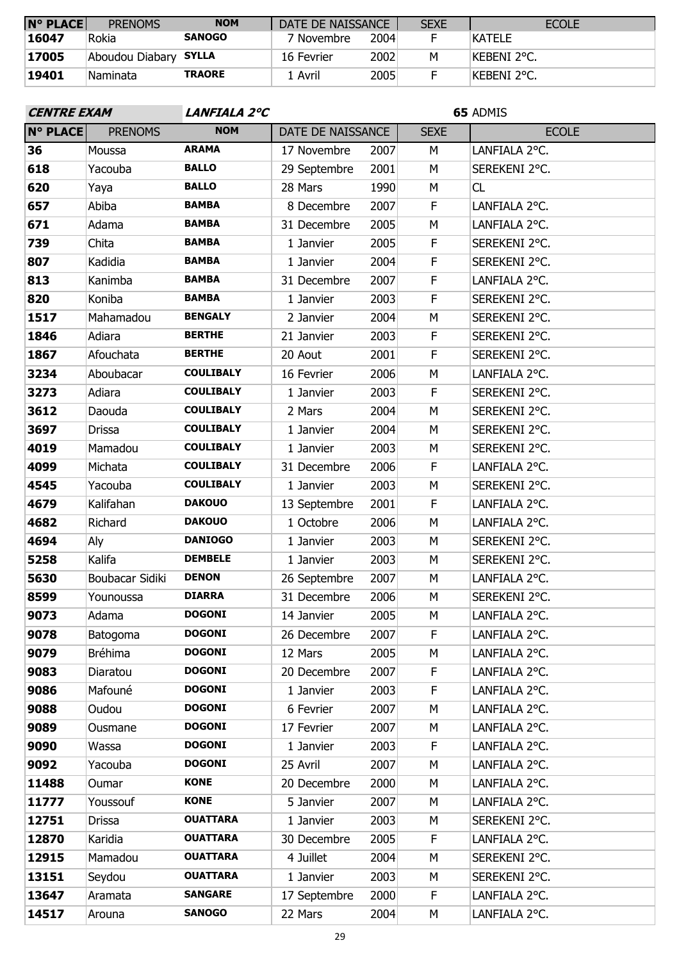| <b>N° PLACE</b> | <b>PRENOMS</b>        | <b>NOM</b>    | DATE DE NAISSANCE |      | <b>SEXE</b> | <b>ECOLE</b>  |
|-----------------|-----------------------|---------------|-------------------|------|-------------|---------------|
| 16047           | Rokia                 | <b>SANOGO</b> | 7 Novembre        | 2004 |             | <b>KATELE</b> |
| 17005           | Aboudou Diabary SYLLA |               | 16 Fevrier        | 2002 | М           | Kebeni 2°C.   |
| 19401           | Naminata              | <b>TRAORE</b> | 1 Avril           | 2005 |             | Kebeni 2°C.   |

| <b>CENTRE EXAM</b> |                 | LANFIALA 2°C     |                   |      | 65 ADMIS    |               |  |
|--------------------|-----------------|------------------|-------------------|------|-------------|---------------|--|
| <b>N° PLACE</b>    | <b>PRENOMS</b>  | <b>NOM</b>       | DATE DE NAISSANCE |      | <b>SEXE</b> | <b>ECOLE</b>  |  |
| 36                 | Moussa          | <b>ARAMA</b>     | 17 Novembre       | 2007 | М           | LANFIALA 2°C. |  |
| 618                | Yacouba         | <b>BALLO</b>     | 29 Septembre      | 2001 | M           | SEREKENI 2°C. |  |
| 620                | Yaya            | <b>BALLO</b>     | 28 Mars           | 1990 | М           | CL            |  |
| 657                | Abiba           | <b>BAMBA</b>     | 8 Decembre        | 2007 | $\mathsf F$ | LANFIALA 2°C. |  |
| 671                | Adama           | <b>BAMBA</b>     | 31 Decembre       | 2005 | M           | LANFIALA 2°C. |  |
| 739                | Chita           | <b>BAMBA</b>     | 1 Janvier         | 2005 | F           | SEREKENI 2°C. |  |
| 807                | Kadidia         | <b>BAMBA</b>     | 1 Janvier         | 2004 | F           | SEREKENI 2°C. |  |
| 813                | Kanimba         | <b>BAMBA</b>     | 31 Decembre       | 2007 | F           | LANFIALA 2°C. |  |
| 820                | Koniba          | <b>BAMBA</b>     | 1 Janvier         | 2003 | F           | SEREKENI 2°C. |  |
| 1517               | Mahamadou       | <b>BENGALY</b>   | 2 Janvier         | 2004 | M           | SEREKENI 2°C. |  |
| 1846               | Adiara          | <b>BERTHE</b>    | 21 Janvier        | 2003 | F           | SEREKENI 2°C. |  |
| 1867               | Afouchata       | <b>BERTHE</b>    | 20 Aout           | 2001 | $\mathsf F$ | SEREKENI 2°C. |  |
| 3234               | Aboubacar       | <b>COULIBALY</b> | 16 Fevrier        | 2006 | M           | LANFIALA 2°C. |  |
| 3273               | Adiara          | <b>COULIBALY</b> | 1 Janvier         | 2003 | F           | SEREKENI 2°C. |  |
| 3612               | Daouda          | <b>COULIBALY</b> | 2 Mars            | 2004 | M           | SEREKENI 2°C. |  |
| 3697               | <b>Drissa</b>   | <b>COULIBALY</b> | 1 Janvier         | 2004 | M           | SEREKENI 2°C. |  |
| 4019               | Mamadou         | <b>COULIBALY</b> | 1 Janvier         | 2003 | M           | SEREKENI 2°C. |  |
| 4099               | Michata         | <b>COULIBALY</b> | 31 Decembre       | 2006 | F           | LANFIALA 2°C. |  |
| 4545               | Yacouba         | <b>COULIBALY</b> | 1 Janvier         | 2003 | M           | SEREKENI 2°C. |  |
| 4679               | Kalifahan       | <b>DAKOUO</b>    | 13 Septembre      | 2001 | F           | LANFIALA 2°C. |  |
| 4682               | Richard         | <b>DAKOUO</b>    | 1 Octobre         | 2006 | М           | LANFIALA 2°C. |  |
| 4694               | Aly             | <b>DANIOGO</b>   | 1 Janvier         | 2003 | M           | SEREKENI 2°C. |  |
| 5258               | Kalifa          | <b>DEMBELE</b>   | 1 Janvier         | 2003 | M           | SEREKENI 2°C. |  |
| 5630               | Boubacar Sidiki | <b>DENON</b>     | 26 Septembre      | 2007 | М           | LANFIALA 2°C. |  |
| 8599               | Younoussa       | <b>DIARRA</b>    | 31 Decembre       | 2006 | M           | SEREKENI 2°C. |  |
| 9073               | Adama           | <b>DOGONI</b>    | 14 Janvier        | 2005 | M           | LANFIALA 2°C. |  |
| 9078               | Batogoma        | <b>DOGONI</b>    | 26 Decembre       | 2007 | F           | LANFIALA 2°C. |  |
| 9079               | <b>Bréhima</b>  | <b>DOGONI</b>    | 12 Mars           | 2005 | М           | LANFIALA 2°C. |  |
| 9083               | Diaratou        | <b>DOGONI</b>    | 20 Decembre       | 2007 | F           | LANFIALA 2°C. |  |
| 9086               | Mafouné         | <b>DOGONI</b>    | 1 Janvier         | 2003 | F           | LANFIALA 2°C. |  |
| 9088               | Oudou           | <b>DOGONI</b>    | 6 Fevrier         | 2007 | М           | LANFIALA 2°C. |  |
| 9089               | Ousmane         | <b>DOGONI</b>    | 17 Fevrier        | 2007 | М           | LANFIALA 2°C. |  |
| 9090               | Wassa           | <b>DOGONI</b>    | 1 Janvier         | 2003 | F           | LANFIALA 2°C. |  |
| 9092               | Yacouba         | <b>DOGONI</b>    | 25 Avril          | 2007 | М           | LANFIALA 2°C. |  |
| 11488              | Oumar           | <b>KONE</b>      | 20 Decembre       | 2000 | М           | LANFIALA 2°C. |  |
| 11777              | Youssouf        | <b>KONE</b>      | 5 Janvier         | 2007 | М           | LANFIALA 2°C. |  |
| 12751              | <b>Drissa</b>   | <b>OUATTARA</b>  | 1 Janvier         | 2003 | М           | SEREKENI 2°C. |  |
| 12870              | Karidia         | <b>OUATTARA</b>  | 30 Decembre       | 2005 | F           | LANFIALA 2°C. |  |
| 12915              | Mamadou         | <b>OUATTARA</b>  | 4 Juillet         | 2004 | М           | SEREKENI 2°C. |  |
| 13151              | Seydou          | <b>OUATTARA</b>  | 1 Janvier         | 2003 | М           | SEREKENI 2°C. |  |
| 13647              | Aramata         | <b>SANGARE</b>   | 17 Septembre      | 2000 | F           | LANFIALA 2°C. |  |
| 14517              | Arouna          | <b>SANOGO</b>    | 22 Mars           | 2004 | М           | LANFIALA 2°C. |  |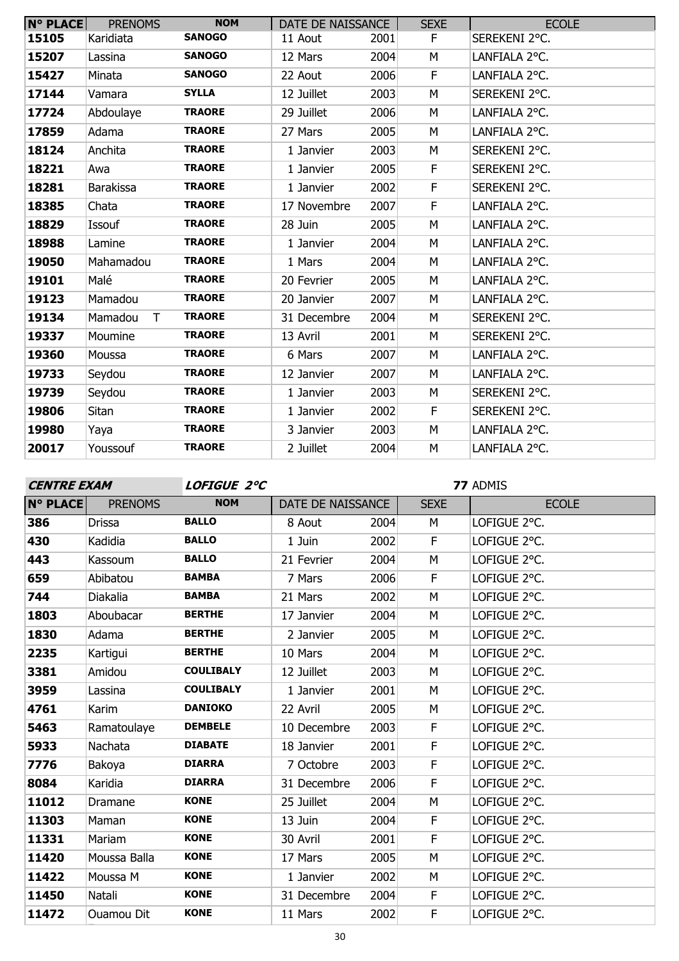| <b>N° PLACE</b> | <b>PRENOMS</b>    | <b>NOM</b>    | DATE DE NAISSANCE |      | <b>SEXE</b> | <b>ECOLE</b>  |
|-----------------|-------------------|---------------|-------------------|------|-------------|---------------|
| 15105           | Karidiata         | <b>SANOGO</b> | 11 Aout           | 2001 | F.          | SEREKENI 2°C. |
| 15207           | Lassina           | <b>SANOGO</b> | 12 Mars           | 2004 | М           | LANFIALA 2°C. |
| 15427           | Minata            | <b>SANOGO</b> | 22 Aout           | 2006 | $\mathsf F$ | LANFIALA 2°C. |
| 17144           | Vamara            | <b>SYLLA</b>  | 12 Juillet        | 2003 | M           | SEREKENI 2°C. |
| 17724           | Abdoulaye         | <b>TRAORE</b> | 29 Juillet        | 2006 | M           | LANFIALA 2°C. |
| 17859           | Adama             | <b>TRAORE</b> | 27 Mars           | 2005 | M           | LANFIALA 2°C. |
| 18124           | Anchita           | <b>TRAORE</b> | 1 Janvier         | 2003 | M           | SEREKENI 2°C. |
| 18221           | Awa               | <b>TRAORE</b> | 1 Janvier         | 2005 | F           | SEREKENI 2°C. |
| 18281           | <b>Barakissa</b>  | <b>TRAORE</b> | 1 Janvier         | 2002 | F           | SEREKENI 2°C. |
| 18385           | Chata             | <b>TRAORE</b> | 17 Novembre       | 2007 | F.          | LANFIALA 2°C. |
| 18829           | Issouf            | <b>TRAORE</b> | 28 Juin           | 2005 | M           | LANFIALA 2°C. |
| 18988           | Lamine            | <b>TRAORE</b> | 1 Janvier         | 2004 | M           | LANFIALA 2°C. |
| 19050           | Mahamadou         | <b>TRAORE</b> | 1 Mars            | 2004 | М           | LANFIALA 2°C. |
| 19101           | Malé              | <b>TRAORE</b> | 20 Fevrier        | 2005 | M           | LANFIALA 2°C. |
| 19123           | Mamadou           | <b>TRAORE</b> | 20 Janvier        | 2007 | M           | LANFIALA 2°C. |
| 19134           | Mamadou<br>$\top$ | <b>TRAORE</b> | 31 Decembre       | 2004 | M           | SEREKENI 2°C. |
| 19337           | Moumine           | <b>TRAORE</b> | 13 Avril          | 2001 | M           | SEREKENI 2°C. |
| 19360           | Moussa            | <b>TRAORE</b> | 6 Mars            | 2007 | M           | LANFIALA 2°C. |
| 19733           | Seydou            | <b>TRAORE</b> | 12 Janvier        | 2007 | M           | LANFIALA 2°C. |
| 19739           | Seydou            | <b>TRAORE</b> | 1 Janvier         | 2003 | М           | SEREKENI 2°C. |
| 19806           | Sitan             | <b>TRAORE</b> | 1 Janvier         | 2002 | F           | SEREKENI 2°C. |
| 19980           | Yaya              | <b>TRAORE</b> | 3 Janvier         | 2003 | М           | LANFIALA 2°C. |
| 20017           | Youssouf          | <b>TRAORE</b> | 2 Juillet         | 2004 | M           | LANFIALA 2°C. |

**CENTRE EXAM LOFIGUE 2°C**

| <b>N° PLACE</b> | <b>PRENOMS</b>    | <b>NOM</b>       | DATE DE NAISSANCE |      | <b>SEXE</b> | <b>ECOLE</b> |
|-----------------|-------------------|------------------|-------------------|------|-------------|--------------|
| 386             | <b>Drissa</b>     | <b>BALLO</b>     | 8 Aout            | 2004 | M           | LOFIGUE 2°C. |
| 430             | Kadidia           | <b>BALLO</b>     | 1 Juin            | 2002 | F           | LOFIGUE 2°C. |
| 443             | Kassoum           | <b>BALLO</b>     | 21 Fevrier        | 2004 | M           | LOFIGUE 2°C. |
| 659             | Abibatou          | <b>BAMBA</b>     | 7 Mars            | 2006 | F           | LOFIGUE 2°C. |
| 744             | Diakalia          | <b>BAMBA</b>     | 21 Mars           | 2002 | M           | LOFIGUE 2°C. |
| 1803            | Aboubacar         | <b>BERTHE</b>    | 17 Janvier        | 2004 | M           | LOFIGUE 2°C. |
| 1830            | Adama             | <b>BERTHE</b>    | 2 Janvier         | 2005 | M           | LOFIGUE 2°C. |
| 2235            | Kartigui          | <b>BERTHE</b>    | 10 Mars           | 2004 | M           | LOFIGUE 2°C. |
| 3381            | Amidou            | <b>COULIBALY</b> | 12 Juillet        | 2003 | M           | LOFIGUE 2°C. |
| 3959            | Lassina           | <b>COULIBALY</b> | 1 Janvier         | 2001 | M           | LOFIGUE 2°C. |
| 4761            | Karim             | <b>DANIOKO</b>   | 22 Avril          | 2005 | M           | LOFIGUE 2°C. |
| 5463            | Ramatoulaye       | <b>DEMBELE</b>   | 10 Decembre       | 2003 | F           | LOFIGUE 2°C. |
| 5933            | Nachata           | <b>DIABATE</b>   | 18 Janvier        | 2001 | F           | LOFIGUE 2°C. |
| 7776            | Bakoya            | <b>DIARRA</b>    | 7 Octobre         | 2003 | F           | LOFIGUE 2°C. |
| 8084            | Karidia           | <b>DIARRA</b>    | 31 Decembre       | 2006 | F           | LOFIGUE 2°C. |
| 11012           | Dramane           | <b>KONE</b>      | 25 Juillet        | 2004 | M           | LOFIGUE 2°C. |
| 11303           | Maman             | <b>KONE</b>      | 13 Juin           | 2004 | F           | LOFIGUE 2°C. |
| 11331           | Mariam            | <b>KONE</b>      | 30 Avril          | 2001 | F           | LOFIGUE 2°C. |
| 11420           | Moussa Balla      | <b>KONE</b>      | 17 Mars           | 2005 | M           | LOFIGUE 2°C. |
| 11422           | Moussa M          | <b>KONE</b>      | 1 Janvier         | 2002 | М           | LOFIGUE 2°C. |
| 11450           | Natali            | <b>KONE</b>      | 31 Decembre       | 2004 | F.          | LOFIGUE 2°C. |
| 11472           | <b>Ouamou Dit</b> | <b>KONE</b>      | 11 Mars           | 2002 | F           | LOFIGUE 2°C. |
|                 |                   |                  | $\sim$            |      |             |              |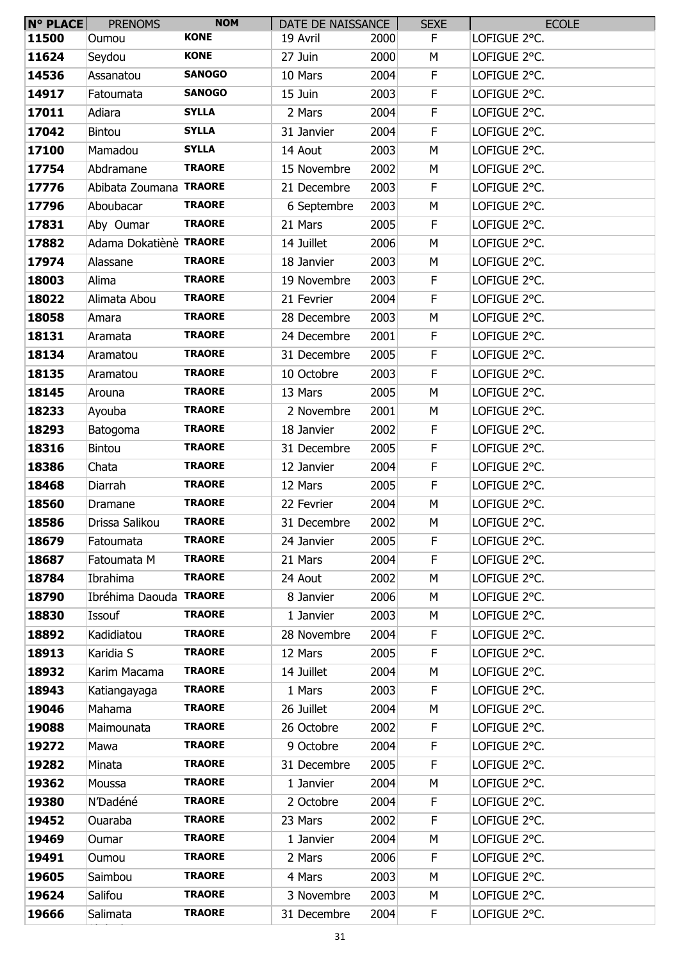| <b>N° PLACE</b> | <b>PRENOMS</b>         | <b>NOM</b>    | DATE DE NAISSANCE |      | <b>SEXE</b> | <b>ECOLE</b> |
|-----------------|------------------------|---------------|-------------------|------|-------------|--------------|
| 11500           | Oumou                  | <b>KONE</b>   | 19 Avril          | 2000 | F.          | LOFIGUE 2°C. |
| 11624           | Seydou                 | <b>KONE</b>   | 27 Juin           | 2000 | M           | LOFIGUE 2°C. |
| 14536           | Assanatou              | <b>SANOGO</b> | 10 Mars           | 2004 | F.          | LOFIGUE 2°C. |
| 14917           | Fatoumata              | <b>SANOGO</b> | 15 Juin           | 2003 | F           | LOFIGUE 2°C. |
| 17011           | Adiara                 | <b>SYLLA</b>  | 2 Mars            | 2004 | F.          | LOFIGUE 2°C. |
| 17042           | Bintou                 | <b>SYLLA</b>  | 31 Janvier        | 2004 | F           | LOFIGUE 2°C. |
| 17100           | Mamadou                | <b>SYLLA</b>  | 14 Aout           | 2003 | M           | LOFIGUE 2°C. |
| 17754           | Abdramane              | <b>TRAORE</b> | 15 Novembre       | 2002 | М           | LOFIGUE 2°C. |
| 17776           | Abibata Zoumana TRAORE |               | 21 Decembre       | 2003 | F           | LOFIGUE 2°C. |
| 17796           | Aboubacar              | <b>TRAORE</b> | 6 Septembre       | 2003 | M           | LOFIGUE 2°C. |
| 17831           | Aby Oumar              | <b>TRAORE</b> | 21 Mars           | 2005 | F           | LOFIGUE 2°C. |
| 17882           | Adama Dokatiènè TRAORE |               | 14 Juillet        | 2006 | M           | LOFIGUE 2°C. |
| 17974           | Alassane               | <b>TRAORE</b> | 18 Janvier        | 2003 | M           | LOFIGUE 2°C. |
| 18003           | Alima                  | <b>TRAORE</b> | 19 Novembre       | 2003 | F.          | LOFIGUE 2°C. |
| 18022           | Alimata Abou           | <b>TRAORE</b> | 21 Fevrier        | 2004 | F           | LOFIGUE 2°C. |
| 18058           | Amara                  | <b>TRAORE</b> | 28 Decembre       | 2003 | M           | LOFIGUE 2°C. |
| 18131           | Aramata                | <b>TRAORE</b> | 24 Decembre       | 2001 | F           | LOFIGUE 2°C. |
| 18134           | Aramatou               | <b>TRAORE</b> | 31 Decembre       | 2005 | F           | LOFIGUE 2°C. |
| 18135           | Aramatou               | <b>TRAORE</b> | 10 Octobre        | 2003 | F           | LOFIGUE 2°C. |
| 18145           | Arouna                 | <b>TRAORE</b> | 13 Mars           | 2005 | M           | LOFIGUE 2°C. |
| 18233           | Ayouba                 | <b>TRAORE</b> | 2 Novembre        | 2001 | M           | LOFIGUE 2°C. |
| 18293           | Batogoma               | <b>TRAORE</b> | 18 Janvier        | 2002 | F           | LOFIGUE 2°C. |
| 18316           | <b>Bintou</b>          | <b>TRAORE</b> | 31 Decembre       | 2005 | F           | LOFIGUE 2°C. |
| 18386           | Chata                  | <b>TRAORE</b> | 12 Janvier        | 2004 | F           | LOFIGUE 2°C. |
| 18468           | Diarrah                | <b>TRAORE</b> | 12 Mars           | 2005 | F           | LOFIGUE 2°C. |
| 18560           | Dramane                | <b>TRAORE</b> | 22 Fevrier        | 2004 | М           | LOFIGUE 2°C. |
| 18586           | Drissa Salikou         | <b>TRAORE</b> | 31 Decembre       | 2002 | M           | LOFIGUE 2°C. |
| 18679           | Fatoumata              | <b>TRAORE</b> | 24 Janvier        | 2005 | F           | LOFIGUE 2°C. |
| 18687           | Fatoumata M            | <b>TRAORE</b> | 21 Mars           | 2004 | F           | LOFIGUE 2°C. |
| 18784           | Ibrahima               | <b>TRAORE</b> | 24 Aout           | 2002 | М           | LOFIGUE 2°C. |
| 18790           | Ibréhima Daouda TRAORE |               | 8 Janvier         | 2006 | M           | LOFIGUE 2°C. |
| 18830           | Issouf                 | <b>TRAORE</b> | 1 Janvier         | 2003 | M           | LOFIGUE 2°C. |
| 18892           | Kadidiatou             | <b>TRAORE</b> | 28 Novembre       | 2004 | F           | LOFIGUE 2°C. |
| 18913           | Karidia S              | <b>TRAORE</b> | 12 Mars           | 2005 | F           | LOFIGUE 2°C. |
| 18932           | Karim Macama           | <b>TRAORE</b> | 14 Juillet        | 2004 | M           | LOFIGUE 2°C. |
| 18943           | Katiangayaga           | <b>TRAORE</b> | 1 Mars            | 2003 | F           | LOFIGUE 2°C. |
| 19046           | Mahama                 | <b>TRAORE</b> | 26 Juillet        | 2004 | М           | LOFIGUE 2°C. |
| 19088           | Maimounata             | <b>TRAORE</b> | 26 Octobre        | 2002 | F           | LOFIGUE 2°C. |
| 19272           | Mawa                   | <b>TRAORE</b> | 9 Octobre         | 2004 | F           | LOFIGUE 2°C. |
| 19282           | Minata                 | <b>TRAORE</b> | 31 Decembre       | 2005 | F           | LOFIGUE 2°C. |
| 19362           | Moussa                 | <b>TRAORE</b> | 1 Janvier         | 2004 | М           | LOFIGUE 2°C. |
| 19380           | N'Dadéné               | <b>TRAORE</b> | 2 Octobre         | 2004 | F           | LOFIGUE 2°C. |
| 19452           | Ouaraba                | <b>TRAORE</b> | 23 Mars           | 2002 | F           | LOFIGUE 2°C. |
| 19469           | Oumar                  | <b>TRAORE</b> | 1 Janvier         | 2004 | М           | LOFIGUE 2°C. |
| 19491           | Oumou                  | <b>TRAORE</b> | 2 Mars            | 2006 | F           | LOFIGUE 2°C. |
| 19605           | Saimbou                | <b>TRAORE</b> | 4 Mars            | 2003 | M           | LOFIGUE 2°C. |
| 19624           | Salifou                | <b>TRAORE</b> | 3 Novembre        | 2003 | М           | LOFIGUE 2°C. |
| 19666           | Salimata               | <b>TRAORE</b> | 31 Decembre       | 2004 | F.          | LOFIGUE 2°C. |
|                 |                        |               |                   |      |             |              |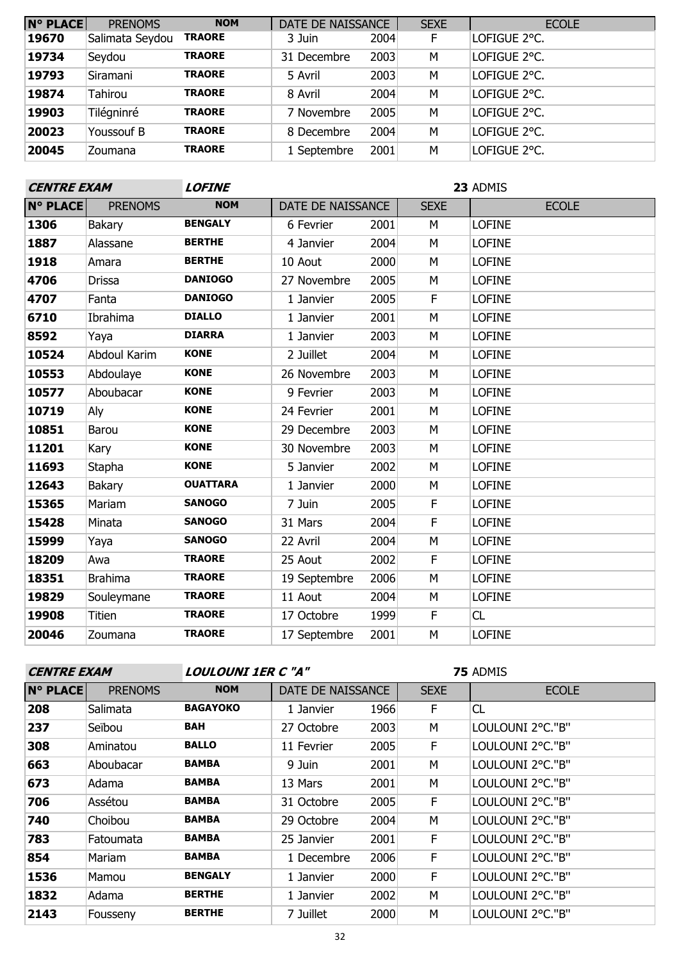| <b>N° PLACE</b> | <b>PRENOMS</b>  | <b>NOM</b>    | DATE DE NAISSANCE |      | <b>SEXE</b> | <b>ECOLE</b> |
|-----------------|-----------------|---------------|-------------------|------|-------------|--------------|
| 19670           | Salimata Seydou | <b>TRAORE</b> | 3 Juin            | 2004 | F.          | LOFIGUE 2°C. |
| 19734           | Seydou          | <b>TRAORE</b> | 31 Decembre       | 2003 | M           | LOFIGUE 2°C. |
| 19793           | Siramani        | <b>TRAORE</b> | 5 Avril           | 2003 | M           | LOFIGUE 2°C. |
| 19874           | Tahirou         | <b>TRAORE</b> | 8 Avril           | 2004 | M           | LOFIGUE 2°C. |
| 19903           | Tilégninré      | <b>TRAORE</b> | 7 Novembre        | 2005 | M           | LOFIGUE 2°C. |
| 20023           | Youssouf B      | <b>TRAORE</b> | 8 Decembre        | 2004 | M           | LOFIGUE 2°C. |
| 20045           | Zoumana         | <b>TRAORE</b> | 1 Septembre       | 2001 | M           | LOFIGUE 2°C. |

| <b>CENTRE EXAM</b> |                     | <b>LOFINE</b>   | 23 ADMIS          |      |             |               |  |
|--------------------|---------------------|-----------------|-------------------|------|-------------|---------------|--|
| <b>N° PLACE</b>    | <b>PRENOMS</b>      | <b>NOM</b>      | DATE DE NAISSANCE |      | <b>SEXE</b> | <b>ECOLE</b>  |  |
| 1306               | <b>Bakary</b>       | <b>BENGALY</b>  | 6 Fevrier         | 2001 | M           | <b>LOFINE</b> |  |
| 1887               | Alassane            | <b>BERTHE</b>   | 4 Janvier         | 2004 | M           | <b>LOFINE</b> |  |
| 1918               | Amara               | <b>BERTHE</b>   | 10 Aout           | 2000 | M           | <b>LOFINE</b> |  |
| 4706               | <b>Drissa</b>       | <b>DANIOGO</b>  | 27 Novembre       | 2005 | M           | <b>LOFINE</b> |  |
| 4707               | Fanta               | <b>DANIOGO</b>  | 1 Janvier         | 2005 | F           | <b>LOFINE</b> |  |
| 6710               | Ibrahima            | <b>DIALLO</b>   | 1 Janvier         | 2001 | M           | <b>LOFINE</b> |  |
| 8592               | Yaya                | <b>DIARRA</b>   | 1 Janvier         | 2003 | M           | <b>LOFINE</b> |  |
| 10524              | <b>Abdoul Karim</b> | <b>KONE</b>     | 2 Juillet         | 2004 | M           | <b>LOFINE</b> |  |
| 10553              | Abdoulaye           | <b>KONE</b>     | 26 Novembre       | 2003 | M           | <b>LOFINE</b> |  |
| 10577              | Aboubacar           | <b>KONE</b>     | 9 Fevrier         | 2003 | M           | <b>LOFINE</b> |  |
| 10719              | Aly                 | <b>KONE</b>     | 24 Fevrier        | 2001 | M           | <b>LOFINE</b> |  |
| 10851              | Barou               | <b>KONE</b>     | 29 Decembre       | 2003 | M           | <b>LOFINE</b> |  |
| 11201              | Kary                | <b>KONE</b>     | 30 Novembre       | 2003 | M           | <b>LOFINE</b> |  |
| 11693              | Stapha              | <b>KONE</b>     | 5 Janvier         | 2002 | M           | <b>LOFINE</b> |  |
| 12643              | <b>Bakary</b>       | <b>OUATTARA</b> | 1 Janvier         | 2000 | M           | <b>LOFINE</b> |  |
| 15365              | Mariam              | <b>SANOGO</b>   | 7 Juin            | 2005 | F           | <b>LOFINE</b> |  |
| 15428              | Minata              | <b>SANOGO</b>   | 31 Mars           | 2004 | F           | <b>LOFINE</b> |  |
| 15999              | Yaya                | <b>SANOGO</b>   | 22 Avril          | 2004 | M           | <b>LOFINE</b> |  |
| 18209              | Awa                 | <b>TRAORE</b>   | 25 Aout           | 2002 | F.          | <b>LOFINE</b> |  |
| 18351              | <b>Brahima</b>      | <b>TRAORE</b>   | 19 Septembre      | 2006 | M           | <b>LOFINE</b> |  |
| 19829              | Souleymane          | <b>TRAORE</b>   | 11 Aout           | 2004 | M           | <b>LOFINE</b> |  |
| 19908              | <b>Titien</b>       | <b>TRAORE</b>   | 17 Octobre        | 1999 | F           | CL            |  |
| 20046              | Zoumana             | <b>TRAORE</b>   | 17 Septembre      | 2001 | M           | <b>LOFINE</b> |  |

**CENTRE EXAM LOULOUNI 1ER C "A"**

| <b>N° PLACE</b> | <b>PRENOMS</b> | <b>NOM</b>      | DATE DE NAISSANCE |      | <b>SEXE</b> | <b>ECOLE</b>     |
|-----------------|----------------|-----------------|-------------------|------|-------------|------------------|
| 208             | Salimata       | <b>BAGAYOKO</b> | 1 Janvier         | 1966 | F           | CL               |
| 237             | Seïbou         | <b>BAH</b>      | 27 Octobre        | 2003 | M           | LOULOUNI 2°C."B" |
| 308             | Aminatou       | <b>BALLO</b>    | 11 Fevrier        | 2005 | F           | LOULOUNI 2°C."B" |
| 663             | Aboubacar      | <b>BAMBA</b>    | 9 Juin            | 2001 | M           | LOULOUNI 2°C."B" |
| 673             | Adama          | <b>BAMBA</b>    | 13 Mars           | 2001 | M           | LOULOUNI 2°C."B" |
| 706             | Assétou        | <b>BAMBA</b>    | 31 Octobre        | 2005 | F           | LOULOUNI 2°C."B" |
| 740             | Choibou        | <b>BAMBA</b>    | 29 Octobre        | 2004 | M           | LOULOUNI 2°C."B" |
| 783             | Fatoumata      | <b>BAMBA</b>    | 25 Janvier        | 2001 | F           | LOULOUNI 2°C."B" |
| 854             | Mariam         | <b>BAMBA</b>    | 1 Decembre        | 2006 | F           | LOULOUNI 2°C."B" |
| 1536            | Mamou          | <b>BENGALY</b>  | 1 Janvier         | 2000 | F           | LOULOUNI 2°C."B" |
| 1832            | Adama          | <b>BERTHE</b>   | 1 Janvier         | 2002 | M           | LOULOUNI 2°C."B" |
| 2143            | Fousseny       | <b>BERTHE</b>   | 7 Juillet         | 2000 | M           | LOULOUNI 2°C."B" |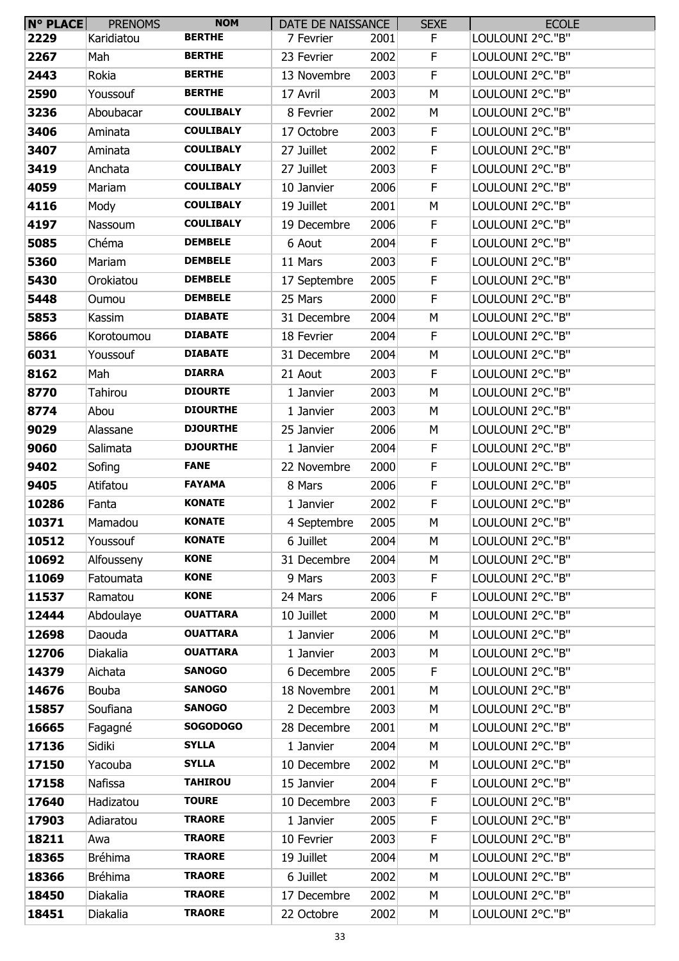| N° PLACE | <b>PRENOMS</b> | <b>NOM</b>       | DATE DE NAISSANCE       |      | <b>SEXE</b> | <b>ECOLE</b>     |
|----------|----------------|------------------|-------------------------|------|-------------|------------------|
| 2229     | Karidiatou     | <b>BERTHE</b>    | 7 Fevrier               | 2001 | F.          | LOULOUNI 2°C."B" |
| 2267     | Mah            | <b>BERTHE</b>    | 23 Fevrier              | 2002 | F           | LOULOUNI 2°C."B" |
| 2443     | Rokia          | <b>BERTHE</b>    | 13 Novembre             | 2003 | F           | LOULOUNI 2°C."B" |
| 2590     | Youssouf       | <b>BERTHE</b>    | 17 Avril                | 2003 | М           | LOULOUNI 2°C."B" |
| 3236     | Aboubacar      | <b>COULIBALY</b> | 8 Fevrier               | 2002 | М           | LOULOUNI 2°C."B" |
| 3406     | Aminata        | <b>COULIBALY</b> | 17 Octobre              | 2003 | F           | LOULOUNI 2°C."B" |
| 3407     | Aminata        | <b>COULIBALY</b> | 27 Juillet              | 2002 | F           | LOULOUNI 2°C."B" |
| 3419     | Anchata        | <b>COULIBALY</b> | 27 Juillet              | 2003 | F           | LOULOUNI 2°C."B" |
| 4059     | Mariam         | <b>COULIBALY</b> | 10 Janvier              | 2006 | F           | LOULOUNI 2°C."B" |
| 4116     | Mody           | <b>COULIBALY</b> | 19 Juillet              | 2001 | М           | LOULOUNI 2°C."B" |
| 4197     | Nassoum        | <b>COULIBALY</b> | 19 Decembre             | 2006 | F           | LOULOUNI 2°C."B" |
| 5085     | Chéma          | <b>DEMBELE</b>   | 6 Aout                  | 2004 | F           | LOULOUNI 2°C."B" |
| 5360     | Mariam         | <b>DEMBELE</b>   | 11 Mars                 | 2003 | F           | LOULOUNI 2°C."B" |
| 5430     | Orokiatou      | <b>DEMBELE</b>   | 17 Septembre            | 2005 | F           | LOULOUNI 2°C."B" |
| 5448     | Oumou          | <b>DEMBELE</b>   | 25 Mars                 | 2000 | F           | LOULOUNI 2°C."B" |
| 5853     | Kassim         | <b>DIABATE</b>   | 31 Decembre             | 2004 | М           | LOULOUNI 2°C."B" |
| 5866     | Korotoumou     | <b>DIABATE</b>   | 18 Fevrier              | 2004 | F           | LOULOUNI 2°C."B" |
| 6031     | Youssouf       | <b>DIABATE</b>   | 31 Decembre             | 2004 | М           | LOULOUNI 2°C."B" |
| 8162     | Mah            | <b>DIARRA</b>    | 21 Aout                 | 2003 | F           | LOULOUNI 2°C."B" |
| 8770     | Tahirou        | <b>DIOURTE</b>   | 1 Janvier               | 2003 | M           | LOULOUNI 2°C."B" |
| 8774     |                | <b>DIOURTHE</b>  |                         | 2003 | M           | LOULOUNI 2°C."B" |
| 9029     | Abou           | <b>DJOURTHE</b>  | 1 Janvier<br>25 Janvier | 2006 | М           | LOULOUNI 2°C."B" |
|          | Alassane       | <b>DJOURTHE</b>  |                         |      |             |                  |
| 9060     | Salimata       |                  | 1 Janvier               | 2004 | F           | LOULOUNI 2°C."B" |
| 9402     | Sofing         | <b>FANE</b>      | 22 Novembre             | 2000 | F           | LOULOUNI 2°C."B" |
| 9405     | Atifatou       | <b>FAYAMA</b>    | 8 Mars                  | 2006 | F           | LOULOUNI 2°C."B" |
| 10286    | Fanta          | <b>KONATE</b>    | 1 Janvier               | 2002 | F           | LOULOUNI 2°C."B" |
| 10371    | Mamadou        | <b>KONATE</b>    | 4 Septembre             | 2005 | M           | LOULOUNI 2°C."B" |
| 10512    | Youssouf       | <b>KONATE</b>    | 6 Juillet               | 2004 | M           | LOULOUNI 2°C."B" |
| 10692    | Alfousseny     | <b>KONE</b>      | 31 Decembre             | 2004 | M           | LOULOUNI 2°C."B" |
| 11069    | Fatoumata      | <b>KONE</b>      | 9 Mars                  | 2003 | F           | LOULOUNI 2°C."B" |
| 11537    | Ramatou        | <b>KONE</b>      | 24 Mars                 | 2006 | F           | LOULOUNI 2°C."B" |
| 12444    | Abdoulaye      | <b>OUATTARA</b>  | 10 Juillet              | 2000 | M           | LOULOUNI 2°C."B" |
| 12698    | Daouda         | <b>OUATTARA</b>  | 1 Janvier               | 2006 | М           | LOULOUNI 2°C."B" |
| 12706    | Diakalia       | <b>OUATTARA</b>  | 1 Janvier               | 2003 | М           | LOULOUNI 2°C."B" |
| 14379    | Aichata        | <b>SANOGO</b>    | 6 Decembre              | 2005 | F           | LOULOUNI 2°C."B" |
| 14676    | Bouba          | <b>SANOGO</b>    | 18 Novembre             | 2001 | M           | LOULOUNI 2°C."B" |
| 15857    | Soufiana       | <b>SANOGO</b>    | 2 Decembre              | 2003 | M           | LOULOUNI 2°C."B" |
| 16665    | Fagagné        | <b>SOGODOGO</b>  | 28 Decembre             | 2001 | M           | LOULOUNI 2°C."B" |
| 17136    | Sidiki         | <b>SYLLA</b>     | 1 Janvier               | 2004 | M           | LOULOUNI 2°C."B" |
| 17150    | Yacouba        | <b>SYLLA</b>     | 10 Decembre             | 2002 | М           | LOULOUNI 2°C."B" |
| 17158    | Nafissa        | <b>TAHIROU</b>   | 15 Janvier              | 2004 | F           | LOULOUNI 2°C."B" |
| 17640    | Hadizatou      | <b>TOURE</b>     | 10 Decembre             | 2003 | F           | LOULOUNI 2°C."B" |
| 17903    | Adiaratou      | <b>TRAORE</b>    | 1 Janvier               | 2005 | F           | LOULOUNI 2°C."B" |
| 18211    | Awa            | <b>TRAORE</b>    | 10 Fevrier              | 2003 | F           | LOULOUNI 2°C."B" |
| 18365    | <b>Bréhima</b> | <b>TRAORE</b>    | 19 Juillet              | 2004 | M           | LOULOUNI 2°C."B" |
| 18366    | <b>Bréhima</b> | <b>TRAORE</b>    | 6 Juillet               | 2002 | M           | LOULOUNI 2°C."B" |
| 18450    | Diakalia       | <b>TRAORE</b>    | 17 Decembre             | 2002 | М           | LOULOUNI 2°C."B" |
| 18451    | Diakalia       | <b>TRAORE</b>    | 22 Octobre              | 2002 | М           | LOULOUNI 2°C."B" |
|          |                |                  |                         |      |             |                  |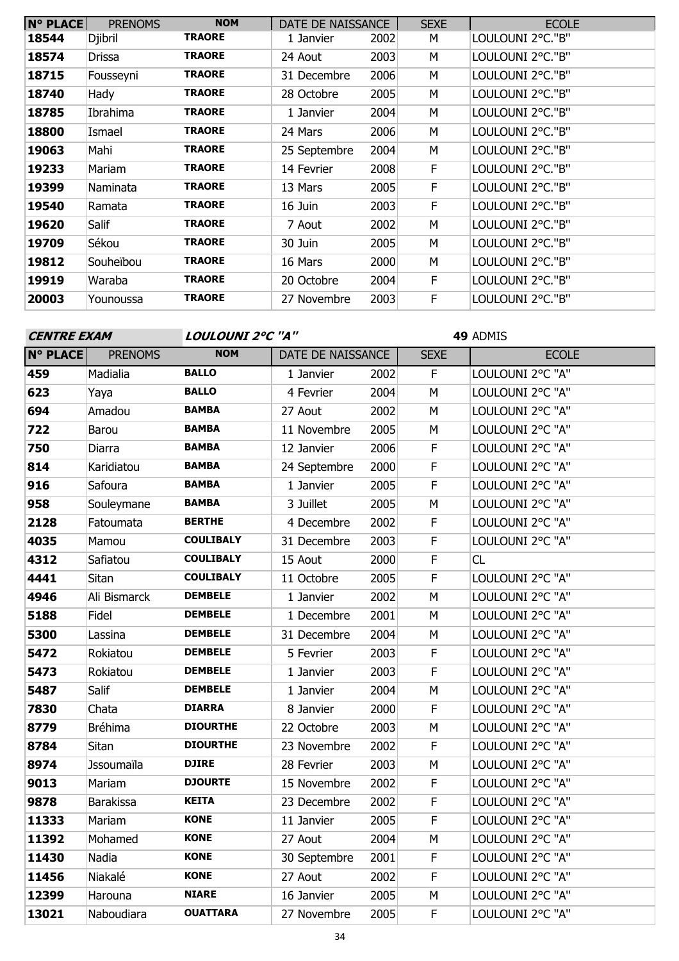| <b>N° PLACE</b> | <b>PRENOMS</b> | <b>NOM</b>    | DATE DE NAISSANCE |      | <b>SEXE</b> | <b>ECOLE</b>     |
|-----------------|----------------|---------------|-------------------|------|-------------|------------------|
| 18544           | Djibril        | <b>TRAORE</b> | 1 Janvier         | 2002 | M           | LOULOUNI 2°C."B" |
| 18574           | <b>Drissa</b>  | <b>TRAORE</b> | 24 Aout           | 2003 | м           | LOULOUNI 2°C."B" |
| 18715           | Fousseyni      | <b>TRAORE</b> | 31 Decembre       | 2006 | М           | LOULOUNI 2°C."B" |
| 18740           | Hady           | <b>TRAORE</b> | 28 Octobre        | 2005 | м           | LOULOUNI 2°C."B" |
| 18785           | Ibrahima       | <b>TRAORE</b> | 1 Janvier         | 2004 | М           | LOULOUNI 2°C."B" |
| 18800           | Ismael         | <b>TRAORE</b> | 24 Mars           | 2006 | М           | LOULOUNI 2°C."B" |
| 19063           | Mahi           | <b>TRAORE</b> | 25 Septembre      | 2004 | М           | LOULOUNI 2°C."B" |
| 19233           | Mariam         | <b>TRAORE</b> | 14 Fevrier        | 2008 | F.          | LOULOUNI 2°C."B" |
| 19399           | Naminata       | <b>TRAORE</b> | 13 Mars           | 2005 | F.          | LOULOUNI 2°C."B" |
| 19540           | Ramata         | <b>TRAORE</b> | 16 Juin           | 2003 | F.          | LOULOUNI 2°C."B" |
| 19620           | Salif          | <b>TRAORE</b> | 7 Aout            | 2002 | М           | LOULOUNI 2°C."B" |
| 19709           | Sékou          | <b>TRAORE</b> | 30 Juin           | 2005 | M           | LOULOUNI 2°C."B" |
| 19812           | Souheïbou      | <b>TRAORE</b> | 16 Mars           | 2000 | М           | LOULOUNI 2°C."B" |
| 19919           | Waraba         | <b>TRAORE</b> | 20 Octobre        | 2004 | F           | LOULOUNI 2°C."B" |
| 20003           | Younoussa      | <b>TRAORE</b> | 27 Novembre       | 2003 | F.          | LOULOUNI 2°C."B" |

| <b>CENTRE EXAM</b> |                   | LOULOUNI 2°C "A" |                   |      |                         | 49 ADMIS         |
|--------------------|-------------------|------------------|-------------------|------|-------------------------|------------------|
| <b>N° PLACE</b>    | <b>PRENOMS</b>    | <b>NOM</b>       | DATE DE NAISSANCE |      | <b>SEXE</b>             | <b>ECOLE</b>     |
| 459                | Madialia          | <b>BALLO</b>     | 1 Janvier         | 2002 | $\overline{F}$          | LOULOUNI 2°C "A" |
| 623                | Yaya              | <b>BALLO</b>     | 4 Fevrier         | 2004 | M                       | LOULOUNI 2°C "A" |
| 694                | Amadou            | <b>BAMBA</b>     | 27 Aout           | 2002 | M                       | LOULOUNI 2°C "A" |
| 722                | Barou             | <b>BAMBA</b>     | 11 Novembre       | 2005 | M                       | LOULOUNI 2°C "A" |
| 750                | Diarra            | <b>BAMBA</b>     | 12 Janvier        | 2006 | $\mathsf F$             | LOULOUNI 2°C "A" |
| 814                | Karidiatou        | <b>BAMBA</b>     | 24 Septembre      | 2000 | $\mathsf F$             | LOULOUNI 2°C "A" |
| 916                | Safoura           | <b>BAMBA</b>     | 1 Janvier         | 2005 | $\mathsf F$             | LOULOUNI 2°C "A" |
| 958                | Souleymane        | <b>BAMBA</b>     | 3 Juillet         | 2005 | M                       | LOULOUNI 2°C "A" |
| 2128               | Fatoumata         | <b>BERTHE</b>    | 4 Decembre        | 2002 | $\mathsf F$             | LOULOUNI 2°C "A" |
| 4035               | Mamou             | <b>COULIBALY</b> | 31 Decembre       | 2003 | $\overline{\mathsf{F}}$ | LOULOUNI 2°C "A" |
| 4312               | Safiatou          | <b>COULIBALY</b> | 15 Aout           | 2000 | $\mathsf F$             | CL               |
| 4441               | Sitan             | <b>COULIBALY</b> | 11 Octobre        | 2005 | $\mathsf F$             | LOULOUNI 2°C "A" |
| 4946               | Ali Bismarck      | <b>DEMBELE</b>   | 1 Janvier         | 2002 | M                       | LOULOUNI 2°C "A" |
| 5188               | Fidel             | <b>DEMBELE</b>   | 1 Decembre        | 2001 | M                       | LOULOUNI 2°C "A" |
| 5300               | Lassina           | <b>DEMBELE</b>   | 31 Decembre       | 2004 | M                       | LOULOUNI 2°C "A" |
| 5472               | Rokiatou          | <b>DEMBELE</b>   | 5 Fevrier         | 2003 | $\overline{\mathsf{F}}$ | LOULOUNI 2°C "A" |
| 5473               | Rokiatou          | <b>DEMBELE</b>   | 1 Janvier         | 2003 | $\mathsf F$             | LOULOUNI 2°C "A" |
| 5487               | Salif             | <b>DEMBELE</b>   | 1 Janvier         | 2004 | M                       | LOULOUNI 2°C "A" |
| 7830               | Chata             | <b>DIARRA</b>    | 8 Janvier         | 2000 | $\overline{\mathsf{F}}$ | LOULOUNI 2°C "A" |
| 8779               | <b>Bréhima</b>    | <b>DIOURTHE</b>  | 22 Octobre        | 2003 | M                       | LOULOUNI 2°C "A" |
| 8784               | Sitan             | <b>DIOURTHE</b>  | 23 Novembre       | 2002 | $\mathsf F$             | LOULOUNI 2°C "A" |
| 8974               | <b>Jssoumaïla</b> | <b>DJIRE</b>     | 28 Fevrier        | 2003 | M                       | LOULOUNI 2°C "A" |
| 9013               | Mariam            | <b>DJOURTE</b>   | 15 Novembre       | 2002 | $\mathsf F$             | LOULOUNI 2°C "A" |
| 9878               | Barakissa         | <b>KEITA</b>     | 23 Decembre       | 2002 | $\mathsf F$             | LOULOUNI 2°C "A" |
| 11333              | Mariam            | <b>KONE</b>      | 11 Janvier        | 2005 | F                       | LOULOUNI 2°C "A" |
| 11392              | Mohamed           | <b>KONE</b>      | 27 Aout           | 2004 | M                       | LOULOUNI 2°C "A" |
| 11430              | Nadia             | <b>KONE</b>      | 30 Septembre      | 2001 | $\mathsf F$             | LOULOUNI 2°C "A" |
| 11456              | Niakalé           | <b>KONE</b>      | 27 Aout           | 2002 | $\overline{\mathsf{F}}$ | LOULOUNI 2°C "A" |
| 12399              | Harouna           | <b>NIARE</b>     | 16 Janvier        | 2005 | M                       | LOULOUNI 2°C "A" |
| 13021              | Naboudiara        | <b>OUATTARA</b>  | 27 Novembre       | 2005 | $\mathsf F$             | LOULOUNI 2°C "A" |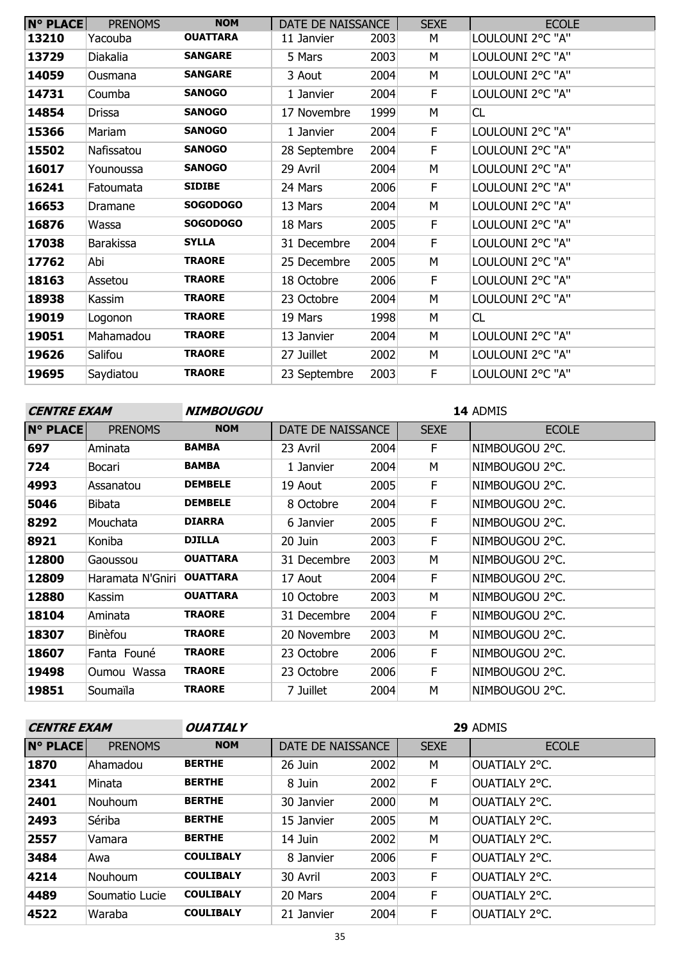| <b>N° PLACE</b> | <b>PRENOMS</b>   | <b>NOM</b>      | DATE DE NAISSANCE |      | <b>SEXE</b> | <b>ECOLE</b>     |
|-----------------|------------------|-----------------|-------------------|------|-------------|------------------|
| 13210           | Yacouba          | <b>OUATTARA</b> | 11 Janvier        | 2003 | М           | LOULOUNI 2°C "A" |
| 13729           | Diakalia         | <b>SANGARE</b>  | 5 Mars            | 2003 | M           | LOULOUNI 2°C "A" |
| 14059           | Ousmana          | <b>SANGARE</b>  | 3 Aout            | 2004 | М           | LOULOUNI 2°C "A" |
| 14731           | Coumba           | <b>SANOGO</b>   | 1 Janvier         | 2004 | F           | LOULOUNI 2°C "A" |
| 14854           | <b>Drissa</b>    | <b>SANOGO</b>   | 17 Novembre       | 1999 | М           | CL               |
| 15366           | Mariam           | <b>SANOGO</b>   | 1 Janvier         | 2004 | F           | LOULOUNI 2°C "A" |
| 15502           | Nafissatou       | <b>SANOGO</b>   | 28 Septembre      | 2004 | F           | LOULOUNI 2°C "A" |
| 16017           | Younoussa        | <b>SANOGO</b>   | 29 Avril          | 2004 | M           | LOULOUNI 2°C "A" |
| 16241           | Fatoumata        | <b>SIDIBE</b>   | 24 Mars           | 2006 | F           | LOULOUNI 2°C "A" |
| 16653           | Dramane          | <b>SOGODOGO</b> | 13 Mars           | 2004 | М           | LOULOUNI 2°C "A" |
| 16876           | Wassa            | <b>SOGODOGO</b> | 18 Mars           | 2005 | F           | LOULOUNI 2°C "A" |
| 17038           | <b>Barakissa</b> | <b>SYLLA</b>    | 31 Decembre       | 2004 | F           | LOULOUNI 2°C "A" |
| 17762           | Abi              | <b>TRAORE</b>   | 25 Decembre       | 2005 | М           | LOULOUNI 2°C "A" |
| 18163           | Assetou          | <b>TRAORE</b>   | 18 Octobre        | 2006 | F           | LOULOUNI 2°C "A" |
| 18938           | Kassim           | <b>TRAORE</b>   | 23 Octobre        | 2004 | M           | LOULOUNI 2°C "A" |
| 19019           | Logonon          | <b>TRAORE</b>   | 19 Mars           | 1998 | M           | CL               |
| 19051           | Mahamadou        | <b>TRAORE</b>   | 13 Janvier        | 2004 | М           | LOULOUNI 2°C "A" |
| 19626           | Salifou          | <b>TRAORE</b>   | 27 Juillet        | 2002 | M           | LOULOUNI 2°C "A" |
| 19695           | Saydiatou        | <b>TRAORE</b>   | 23 Septembre      | 2003 | F           | LOULOUNI 2°C "A" |

| <b>CENTRE EXAM</b> |                  | <b>NIMBOUGOU</b> | 14 ADMIS          |      |             |                |              |  |
|--------------------|------------------|------------------|-------------------|------|-------------|----------------|--------------|--|
| <b>N° PLACE</b>    | <b>PRENOMS</b>   | <b>NOM</b>       | DATE DE NAISSANCE |      | <b>SEXE</b> |                | <b>ECOLE</b> |  |
| 697                | Aminata          | <b>BAMBA</b>     | 23 Avril          | 2004 | F.          | NIMBOUGOU 2°C. |              |  |
| 724                | Bocari           | <b>BAMBA</b>     | 1 Janvier         | 2004 | М           | NIMBOUGOU 2°C. |              |  |
| 4993               | Assanatou        | <b>DEMBELE</b>   | 19 Aout           | 2005 | F.          | NIMBOUGOU 2°C. |              |  |
| 5046               | Bibata           | <b>DEMBELE</b>   | 8 Octobre         | 2004 | F.          | NIMBOUGOU 2°C. |              |  |
| 8292               | Mouchata         | <b>DIARRA</b>    | 6 Janvier         | 2005 | F.          | NIMBOUGOU 2°C. |              |  |
| 8921               | Koniba           | <b>DJILLA</b>    | 20 Juin           | 2003 | F           | NIMBOUGOU 2°C. |              |  |
| 12800              | Gaoussou         | <b>OUATTARA</b>  | 31 Decembre       | 2003 | м           | NIMBOUGOU 2°C. |              |  |
| 12809              | Haramata N'Gniri | <b>OUATTARA</b>  | 17 Aout           | 2004 | F.          | NIMBOUGOU 2°C. |              |  |
| 12880              | Kassim           | <b>OUATTARA</b>  | 10 Octobre        | 2003 | м           | NIMBOUGOU 2°C. |              |  |
| 18104              | Aminata          | <b>TRAORE</b>    | 31 Decembre       | 2004 | F.          | NIMBOUGOU 2°C. |              |  |
| 18307              | Binèfou          | <b>TRAORE</b>    | 20 Novembre       | 2003 | м           | NIMBOUGOU 2°C. |              |  |
| 18607              | Fanta Founé      | <b>TRAORE</b>    | 23 Octobre        | 2006 | F.          | NIMBOUGOU 2°C. |              |  |
| 19498              | Oumou Wassa      | <b>TRAORE</b>    | 23 Octobre        | 2006 | F           | NIMBOUGOU 2°C. |              |  |
| 19851              | Soumaïla         | <b>TRAORE</b>    | 7 Juillet         | 2004 | М           | NIMBOUGOU 2°C. |              |  |
|                    |                  |                  |                   |      |             |                |              |  |

| <b>CENTRE EXAM</b> |                | <b>OUATIALY</b>  | 29 ADMIS          |      |             |               |  |
|--------------------|----------------|------------------|-------------------|------|-------------|---------------|--|
| <b>N° PLACE</b>    | <b>PRENOMS</b> | <b>NOM</b>       | DATE DE NAISSANCE |      | <b>SEXE</b> | <b>ECOLE</b>  |  |
| 1870               | Ahamadou       | <b>BERTHE</b>    | 26 Juin           | 2002 | M           | OUATIALY 2°C. |  |
| 2341               | Minata         | <b>BERTHE</b>    | 8 Juin            | 2002 | F.          | OUATIALY 2°C. |  |
| 2401               | Nouhoum        | <b>BERTHE</b>    | 30 Janvier        | 2000 | M           | OUATIALY 2°C. |  |
| 2493               | Sériba         | <b>BERTHE</b>    | 15 Janvier        | 2005 | M           | OUATIALY 2°C. |  |
| 2557               | Vamara         | <b>BERTHE</b>    | 14 Juin           | 2002 | M           | OUATIALY 2°C. |  |
| 3484               | Awa            | <b>COULIBALY</b> | 8 Janvier         | 2006 | F           | OUATIALY 2°C. |  |
| 4214               | Nouhoum        | <b>COULIBALY</b> | 30 Avril          | 2003 | F           | OUATIALY 2°C. |  |
| 4489               | Soumatio Lucie | <b>COULIBALY</b> | 20 Mars           | 2004 | F.          | OUATIALY 2°C. |  |
| 4522               | Waraba         | <b>COULIBALY</b> | 21 Janvier        | 2004 | F.          | OUATIALY 2°C. |  |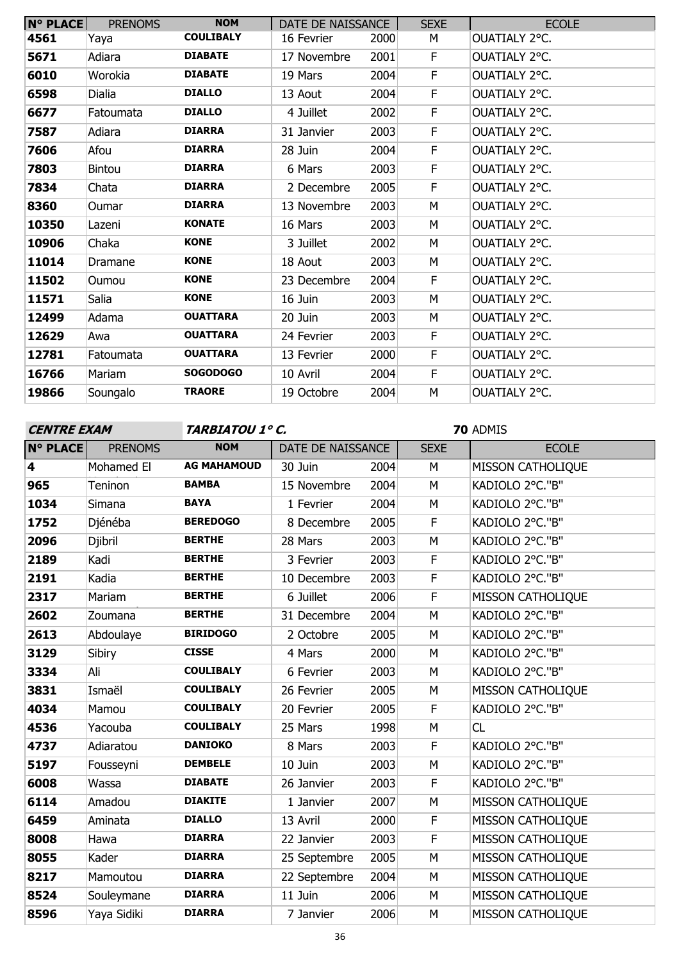| <b>N° PLACE</b> | <b>PRENOMS</b> | <b>NOM</b>       | DATE DE NAISSANCE |      | <b>SEXE</b> | <b>ECOLE</b>  |
|-----------------|----------------|------------------|-------------------|------|-------------|---------------|
| 4561            | Yaya           | <b>COULIBALY</b> | 16 Fevrier        | 2000 | м           | OUATIALY 2°C. |
| 5671            | Adiara         | <b>DIABATE</b>   | 17 Novembre       | 2001 | F           | OUATIALY 2°C. |
| 6010            | Worokia        | <b>DIABATE</b>   | 19 Mars           | 2004 | F           | OUATIALY 2°C. |
| 6598            | <b>Dialia</b>  | <b>DIALLO</b>    | 13 Aout           | 2004 | F           | OUATIALY 2°C. |
| 6677            | Fatoumata      | <b>DIALLO</b>    | 4 Juillet         | 2002 | F           | OUATIALY 2°C. |
| 7587            | Adiara         | <b>DIARRA</b>    | 31 Janvier        | 2003 | F           | OUATIALY 2°C. |
| 7606            | Afou           | <b>DIARRA</b>    | 28 Juin           | 2004 | F           | OUATIALY 2°C. |
| 7803            | <b>Bintou</b>  | <b>DIARRA</b>    | 6 Mars            | 2003 | F           | OUATIALY 2°C. |
| 7834            | Chata          | <b>DIARRA</b>    | 2 Decembre        | 2005 | F           | OUATIALY 2°C. |
| 8360            | Oumar          | <b>DIARRA</b>    | 13 Novembre       | 2003 | M           | OUATIALY 2°C. |
| 10350           | Lazeni         | <b>KONATE</b>    | 16 Mars           | 2003 | М           | OUATIALY 2°C. |
| 10906           | Chaka          | <b>KONE</b>      | 3 Juillet         | 2002 | M           | OUATIALY 2°C. |
| 11014           | Dramane        | <b>KONE</b>      | 18 Aout           | 2003 | М           | OUATIALY 2°C. |
| 11502           | Oumou          | <b>KONE</b>      | 23 Decembre       | 2004 | F           | OUATIALY 2°C. |
| 11571           | Salia          | <b>KONE</b>      | 16 Juin           | 2003 | М           | OUATIALY 2°C. |
| 12499           | Adama          | <b>OUATTARA</b>  | 20 Juin           | 2003 | М           | OUATIALY 2°C. |
| 12629           | Awa            | <b>OUATTARA</b>  | 24 Fevrier        | 2003 | F           | OUATIALY 2°C. |
| 12781           | Fatoumata      | <b>OUATTARA</b>  | 13 Fevrier        | 2000 | F           | OUATIALY 2°C. |
| 16766           | Mariam         | <b>SOGODOGO</b>  | 10 Avril          | 2004 | F.          | OUATIALY 2°C. |
| 19866           | Soungalo       | <b>TRAORE</b>    | 19 Octobre        | 2004 | М           | OUATIALY 2°C. |

**CENTRE EXAM TARBIATOU 1° C.**

| N° PLACE                | <b>PRENOMS</b> | <b>NOM</b>         | DATE DE NAISSANCE |      | <b>SEXE</b> | <b>ECOLE</b>             |
|-------------------------|----------------|--------------------|-------------------|------|-------------|--------------------------|
| $\overline{\mathbf{4}}$ | Mohamed El     | <b>AG MAHAMOUD</b> | 30 Juin           | 2004 | M           | <b>MISSON CATHOLIQUE</b> |
| 965                     | Teninon        | <b>BAMBA</b>       | 15 Novembre       | 2004 | M           | KADIOLO 2°C."B"          |
| 1034                    | Simana         | <b>BAYA</b>        | 1 Fevrier         | 2004 | M           | KADIOLO 2°C."B"          |
| 1752                    | Djénéba        | <b>BEREDOGO</b>    | 8 Decembre        | 2005 | F           | KADIOLO 2°C."B"          |
| 2096                    | Djibril        | <b>BERTHE</b>      | 28 Mars           | 2003 | M           | KADIOLO 2°C."B"          |
| 2189                    | Kadi           | <b>BERTHE</b>      | 3 Fevrier         | 2003 | F           | KADIOLO 2°C."B"          |
| 2191                    | Kadia          | <b>BERTHE</b>      | 10 Decembre       | 2003 | F           | KADIOLO 2°C."B"          |
| 2317                    | Mariam         | <b>BERTHE</b>      | 6 Juillet         | 2006 | F           | MISSON CATHOLIQUE        |
| 2602                    | Zoumana        | <b>BERTHE</b>      | 31 Decembre       | 2004 | M           | KADIOLO 2°C."B"          |
| 2613                    | Abdoulaye      | <b>BIRIDOGO</b>    | 2 Octobre         | 2005 | M           | KADIOLO 2°C."B"          |
| 3129                    | Sibiry         | <b>CISSE</b>       | 4 Mars            | 2000 | M           | KADIOLO 2°C."B"          |
| 3334                    | Ali            | <b>COULIBALY</b>   | 6 Fevrier         | 2003 | M           | KADIOLO 2°C."B"          |
| 3831                    | Ismaël         | <b>COULIBALY</b>   | 26 Fevrier        | 2005 | M           | <b>MISSON CATHOLIQUE</b> |
| 4034                    | Mamou          | <b>COULIBALY</b>   | 20 Fevrier        | 2005 | F           | KADIOLO 2°C."B"          |
| 4536                    | Yacouba        | <b>COULIBALY</b>   | 25 Mars           | 1998 | M           | CL                       |
| 4737                    | Adiaratou      | <b>DANIOKO</b>     | 8 Mars            | 2003 | F           | KADIOLO 2°C."B"          |
| 5197                    | Fousseyni      | <b>DEMBELE</b>     | 10 Juin           | 2003 | M           | KADIOLO 2°C."B"          |
| 6008                    | Wassa          | <b>DIABATE</b>     | 26 Janvier        | 2003 | $\mathsf F$ | KADIOLO 2°C."B"          |
| 6114                    | Amadou         | <b>DIAKITE</b>     | 1 Janvier         | 2007 | M           | MISSON CATHOLIQUE        |
| 6459                    | Aminata        | <b>DIALLO</b>      | 13 Avril          | 2000 | F           | MISSON CATHOLIQUE        |
| 8008                    | Hawa           | <b>DIARRA</b>      | 22 Janvier        | 2003 | F           | <b>MISSON CATHOLIQUE</b> |
| 8055                    | Kader          | <b>DIARRA</b>      | 25 Septembre      | 2005 | M           | MISSON CATHOLIQUE        |
| 8217                    | Mamoutou       | <b>DIARRA</b>      | 22 Septembre      | 2004 | M           | MISSON CATHOLIQUE        |
| 8524                    | Souleymane     | <b>DIARRA</b>      | 11 Juin           | 2006 | M           | MISSON CATHOLIQUE        |
| 8596                    | Yaya Sidiki    | <b>DIARRA</b>      | 7 Janvier         | 2006 | M           | <b>MISSON CATHOLIQUE</b> |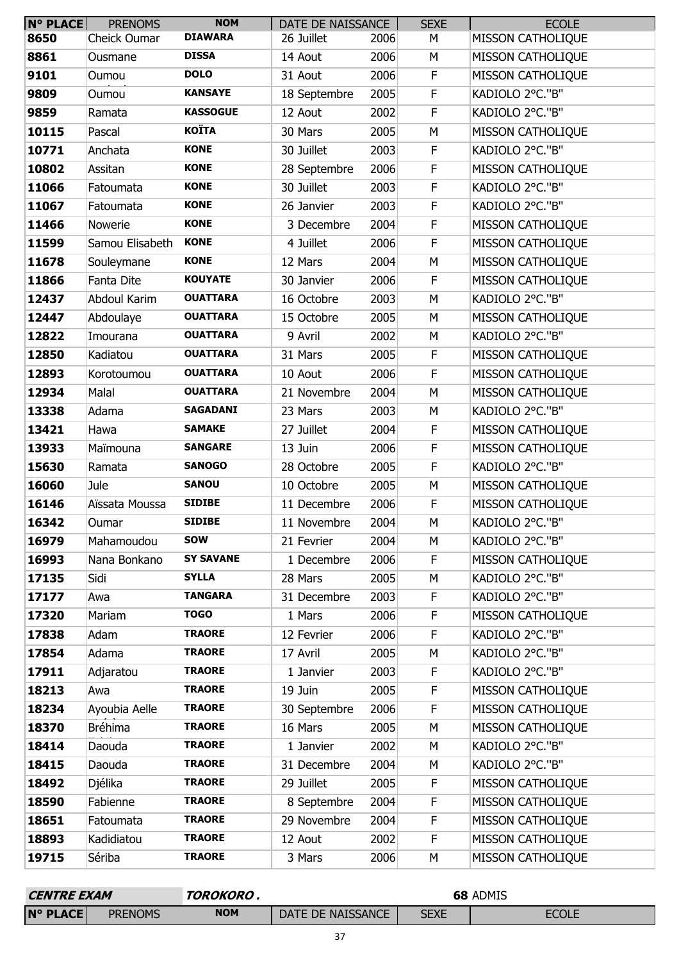| <b>N° PLACE</b> | <b>PRENOMS</b>  | <b>NOM</b>       | DATE DE NAISSANCE |      | <b>SEXE</b> | <b>ECOLE</b>             |
|-----------------|-----------------|------------------|-------------------|------|-------------|--------------------------|
| 8650            | Cheick Oumar    | <b>DIAWARA</b>   | 26 Juillet        | 2006 | М           | MISSON CATHOLIQUE        |
| 8861            | Ousmane         | <b>DISSA</b>     | 14 Aout           | 2006 | М           | <b>MISSON CATHOLIQUE</b> |
| 9101            | Oumou           | <b>DOLO</b>      | 31 Aout           | 2006 | $\mathsf F$ | <b>MISSON CATHOLIQUE</b> |
| 9809            | Oumou           | <b>KANSAYE</b>   | 18 Septembre      | 2005 | $\mathsf F$ | KADIOLO 2°C."B"          |
| 9859            | Ramata          | <b>KASSOGUE</b>  | 12 Aout           | 2002 | $\mathsf F$ | KADIOLO 2°C."B"          |
| 10115           | Pascal          | <b>KOÏTA</b>     | 30 Mars           | 2005 | M           | <b>MISSON CATHOLIQUE</b> |
| 10771           | Anchata         | <b>KONE</b>      | 30 Juillet        | 2003 | $\mathsf F$ | KADIOLO 2°C."B"          |
| 10802           | Assitan         | <b>KONE</b>      | 28 Septembre      | 2006 | F           | MISSON CATHOLIQUE        |
| 11066           | Fatoumata       | <b>KONE</b>      | 30 Juillet        | 2003 | $\mathsf F$ | KADIOLO 2°C."B"          |
| 11067           | Fatoumata       | <b>KONE</b>      | 26 Janvier        | 2003 | $\mathsf F$ | KADIOLO 2°C."B"          |
| 11466           | Nowerie         | <b>KONE</b>      | 3 Decembre        | 2004 | $\mathsf F$ | MISSON CATHOLIQUE        |
| 11599           | Samou Elisabeth | <b>KONE</b>      | 4 Juillet         | 2006 | $\mathsf F$ | <b>MISSON CATHOLIQUE</b> |
| 11678           | Souleymane      | <b>KONE</b>      | 12 Mars           | 2004 | M           | MISSON CATHOLIQUE        |
| 11866           | Fanta Dite      | <b>KOUYATE</b>   | 30 Janvier        | 2006 | F           | MISSON CATHOLIQUE        |
| 12437           | Abdoul Karim    | <b>OUATTARA</b>  | 16 Octobre        | 2003 | M           | KADIOLO 2°C."B"          |
| 12447           | Abdoulaye       | <b>OUATTARA</b>  | 15 Octobre        | 2005 | M           | <b>MISSON CATHOLIQUE</b> |
| 12822           | Imourana        | <b>OUATTARA</b>  | 9 Avril           | 2002 | M           | KADIOLO 2°C."B"          |
| 12850           | Kadiatou        | <b>OUATTARA</b>  | 31 Mars           | 2005 | F           | <b>MISSON CATHOLIQUE</b> |
| 12893           | Korotoumou      | <b>OUATTARA</b>  | 10 Aout           | 2006 | F           | MISSON CATHOLIQUE        |
| 12934           | Malal           | <b>OUATTARA</b>  | 21 Novembre       | 2004 | M           | <b>MISSON CATHOLIQUE</b> |
| 13338           | Adama           | <b>SAGADANI</b>  | 23 Mars           | 2003 | M           | KADIOLO 2°C."B"          |
| 13421           | Hawa            | <b>SAMAKE</b>    | 27 Juillet        | 2004 | F           | <b>MISSON CATHOLIQUE</b> |
| 13933           | Maïmouna        | <b>SANGARE</b>   | 13 Juin           | 2006 | $\mathsf F$ | <b>MISSON CATHOLIQUE</b> |
| 15630           | Ramata          | <b>SANOGO</b>    | 28 Octobre        | 2005 | $\mathsf F$ | KADIOLO 2°C."B"          |
| 16060           | Jule            | <b>SANOU</b>     | 10 Octobre        | 2005 | M           | MISSON CATHOLIQUE        |
| 16146           | Aïssata Moussa  | <b>SIDIBE</b>    | 11 Decembre       | 2006 | F           | MISSON CATHOLIQUE        |
| 16342           | Oumar           | <b>SIDIBE</b>    | 11 Novembre       | 2004 | M           | KADIOLO 2°C."B"          |
| 16979           | Mahamoudou      | <b>SOW</b>       | 21 Fevrier        | 2004 | М           | KADIOLO 2°C."B"          |
| 16993           | Nana Bonkano    | <b>SY SAVANE</b> | 1 Decembre        | 2006 | $\mathsf F$ | MISSON CATHOLIQUE        |
| 17135           | Sidi            | <b>SYLLA</b>     | 28 Mars           | 2005 | M           | KADIOLO 2°C."B"          |
| 17177           | Awa             | <b>TANGARA</b>   | 31 Decembre       | 2003 | $\mathsf F$ | KADIOLO 2°C."B"          |
| 17320           | Mariam          | <b>TOGO</b>      | 1 Mars            | 2006 | $\mathsf F$ | MISSON CATHOLIQUE        |
| 17838           | Adam            | <b>TRAORE</b>    | 12 Fevrier        | 2006 | F           | KADIOLO 2°C."B"          |
| 17854           | Adama           | <b>TRAORE</b>    | 17 Avril          | 2005 | M           | KADIOLO 2°C."B"          |
| 17911           | Adjaratou       | <b>TRAORE</b>    | 1 Janvier         | 2003 | $\mathsf F$ | KADIOLO 2°C."B"          |
| 18213           | Awa             | <b>TRAORE</b>    | 19 Juin           | 2005 | F           | MISSON CATHOLIQUE        |
| 18234           | Ayoubia Aelle   | <b>TRAORE</b>    | 30 Septembre      | 2006 | F           | MISSON CATHOLIQUE        |
| 18370           | <b>Bréhima</b>  | <b>TRAORE</b>    | 16 Mars           | 2005 | M           | MISSON CATHOLIQUE        |
| 18414           | Daouda          | <b>TRAORE</b>    | 1 Janvier         | 2002 | M           | KADIOLO 2°C."B"          |
| 18415           | Daouda          | <b>TRAORE</b>    | 31 Decembre       | 2004 | М           | KADIOLO 2°C."B"          |
| 18492           | Djélika         | <b>TRAORE</b>    | 29 Juillet        | 2005 | F           | <b>MISSON CATHOLIQUE</b> |
| 18590           | Fabienne        | <b>TRAORE</b>    | 8 Septembre       | 2004 | $\mathsf F$ | MISSON CATHOLIQUE        |
| 18651           | Fatoumata       | <b>TRAORE</b>    | 29 Novembre       | 2004 | F           | MISSON CATHOLIQUE        |
| 18893           | Kadidiatou      | <b>TRAORE</b>    | 12 Aout           | 2002 | F           | MISSON CATHOLIQUE        |
| 19715           | Sériba          | <b>TRAORE</b>    | 3 Mars            | 2006 | М           | MISSON CATHOLIQUE        |

| <b>CENTRE EXAM</b> |                | TOROKORO,  |                   | 68 ADMIS |              |  |
|--------------------|----------------|------------|-------------------|----------|--------------|--|
| <b>N° PLACE</b>    | <b>PRENOMS</b> | <b>NOM</b> | DATE DE NAISSANCE | SEXE     | <b>ECOLE</b> |  |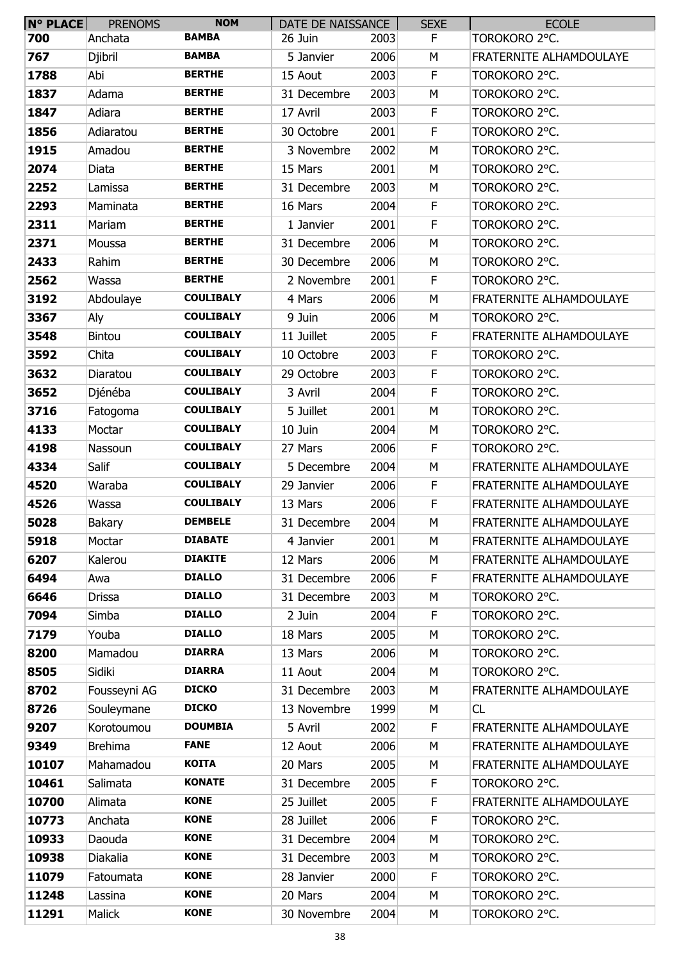| <b>N° PLACE</b> | <b>PRENOMS</b> | <b>NOM</b>       | DATE DE NAISSANCE |      | <b>SEXE</b> | <b>ECOLE</b>            |
|-----------------|----------------|------------------|-------------------|------|-------------|-------------------------|
| 700             | Anchata        | <b>BAMBA</b>     | 26 Juin           | 2003 | F           | TOROKORO 2°C.           |
| 767             | <b>Djibril</b> | <b>BAMBA</b>     | 5 Janvier         | 2006 | М           | FRATERNITE ALHAMDOULAYE |
| 1788            | Abi            | <b>BERTHE</b>    | 15 Aout           | 2003 | F           | TOROKORO 2°C.           |
| 1837            | Adama          | <b>BERTHE</b>    | 31 Decembre       | 2003 | М           | TOROKORO 2°C.           |
| 1847            | Adiara         | <b>BERTHE</b>    | 17 Avril          | 2003 | $\mathsf F$ | TOROKORO 2°C.           |
| 1856            | Adiaratou      | <b>BERTHE</b>    | 30 Octobre        | 2001 | $\mathsf F$ | TOROKORO 2°C.           |
| 1915            | Amadou         | <b>BERTHE</b>    | 3 Novembre        | 2002 | М           | TOROKORO 2°C.           |
| 2074            | Diata          | <b>BERTHE</b>    | 15 Mars           | 2001 | М           | TOROKORO 2°C.           |
| 2252            | Lamissa        | <b>BERTHE</b>    | 31 Decembre       | 2003 | М           | TOROKORO 2°C.           |
| 2293            | Maminata       | <b>BERTHE</b>    | 16 Mars           | 2004 | F           | TOROKORO 2°C.           |
| 2311            | Mariam         | <b>BERTHE</b>    | 1 Janvier         | 2001 | $\mathsf F$ | TOROKORO 2°C.           |
| 2371            | Moussa         | <b>BERTHE</b>    | 31 Decembre       | 2006 | М           | TOROKORO 2°C.           |
| 2433            | Rahim          | <b>BERTHE</b>    | 30 Decembre       | 2006 | М           | TOROKORO 2°C.           |
| 2562            | Wassa          | <b>BERTHE</b>    | 2 Novembre        | 2001 | F           | TOROKORO 2°C.           |
| 3192            | Abdoulaye      | <b>COULIBALY</b> | 4 Mars            | 2006 | М           | FRATERNITE ALHAMDOULAYE |
| 3367            | Aly            | <b>COULIBALY</b> | 9 Juin            | 2006 | М           | TOROKORO 2°C.           |
| 3548            | <b>Bintou</b>  | <b>COULIBALY</b> | 11 Juillet        | 2005 | F           | FRATERNITE ALHAMDOULAYE |
| 3592            | Chita          | <b>COULIBALY</b> | 10 Octobre        | 2003 | F           | TOROKORO 2°C.           |
| 3632            | Diaratou       | <b>COULIBALY</b> | 29 Octobre        | 2003 | F           | TOROKORO 2°C.           |
| 3652            | Djénéba        | <b>COULIBALY</b> | 3 Avril           | 2004 | $\mathsf F$ | TOROKORO 2°C.           |
| 3716            | Fatogoma       | <b>COULIBALY</b> | 5 Juillet         | 2001 | M           | TOROKORO 2°C.           |
| 4133            | Moctar         | <b>COULIBALY</b> | 10 Juin           | 2004 | М           | TOROKORO 2°C.           |
| 4198            | Nassoun        | <b>COULIBALY</b> | 27 Mars           | 2006 | F           | TOROKORO 2°C.           |
| 4334            | Salif          | <b>COULIBALY</b> | 5 Decembre        | 2004 | М           | FRATERNITE ALHAMDOULAYE |
| 4520            | Waraba         | <b>COULIBALY</b> | 29 Janvier        | 2006 | F           | FRATERNITE ALHAMDOULAYE |
| 4526            | Wassa          | <b>COULIBALY</b> | 13 Mars           | 2006 | F           | FRATERNITE ALHAMDOULAYE |
| 5028            | <b>Bakary</b>  | <b>DEMBELE</b>   | 31 Decembre       | 2004 | М           | FRATERNITE ALHAMDOULAYE |
| 5918            | Moctar         | <b>DIABATE</b>   | 4 Janvier         | 2001 | М           | FRATERNITE ALHAMDOULAYE |
| 6207            | Kalerou        | <b>DIAKITE</b>   | 12 Mars           | 2006 | М           | FRATERNITE ALHAMDOULAYE |
| 6494            | Awa            | <b>DIALLO</b>    | 31 Decembre       | 2006 | F           | FRATERNITE ALHAMDOULAYE |
| 6646            | Drissa         | <b>DIALLO</b>    | 31 Decembre       | 2003 | М           | TOROKORO 2°C.           |
| 7094            | Simba          | <b>DIALLO</b>    | 2 Juin            | 2004 | F.          | TOROKORO 2°C.           |
| 7179            | Youba          | <b>DIALLO</b>    | 18 Mars           | 2005 | М           | TOROKORO 2°C.           |
| 8200            | Mamadou        | <b>DIARRA</b>    | 13 Mars           | 2006 | М           | TOROKORO 2°C.           |
| 8505            | Sidiki         | <b>DIARRA</b>    | 11 Aout           | 2004 | M           | TOROKORO 2°C.           |
| 8702            | Fousseyni AG   | <b>DICKO</b>     | 31 Decembre       | 2003 | М           | FRATERNITE ALHAMDOULAYE |
| 8726            | Souleymane     | <b>DICKO</b>     | 13 Novembre       | 1999 | М           | CL                      |
| 9207            | Korotoumou     | <b>DOUMBIA</b>   | 5 Avril           | 2002 | F           | FRATERNITE ALHAMDOULAYE |
| 9349            | <b>Brehima</b> | <b>FANE</b>      | 12 Aout           | 2006 | М           | FRATERNITE ALHAMDOULAYE |
| 10107           | Mahamadou      | <b>KOITA</b>     | 20 Mars           | 2005 | М           | FRATERNITE ALHAMDOULAYE |
| 10461           | Salimata       | <b>KONATE</b>    | 31 Decembre       | 2005 | F           | TOROKORO 2°C.           |
| 10700           | Alimata        | <b>KONE</b>      | 25 Juillet        | 2005 | F           | FRATERNITE ALHAMDOULAYE |
| 10773           | Anchata        | <b>KONE</b>      | 28 Juillet        | 2006 | F           | TOROKORO 2°C.           |
| 10933           | Daouda         | <b>KONE</b>      | 31 Decembre       | 2004 | М           | TOROKORO 2°C.           |
| 10938           | Diakalia       | <b>KONE</b>      | 31 Decembre       | 2003 | М           | TOROKORO 2°C.           |
| 11079           | Fatoumata      | <b>KONE</b>      | 28 Janvier        | 2000 | F           | TOROKORO 2°C.           |
| 11248           | Lassina        | <b>KONE</b>      | 20 Mars           | 2004 | М           | TOROKORO 2°C.           |
| 11291           | Malick         | <b>KONE</b>      | 30 Novembre       | 2004 | М           | TOROKORO 2°C.           |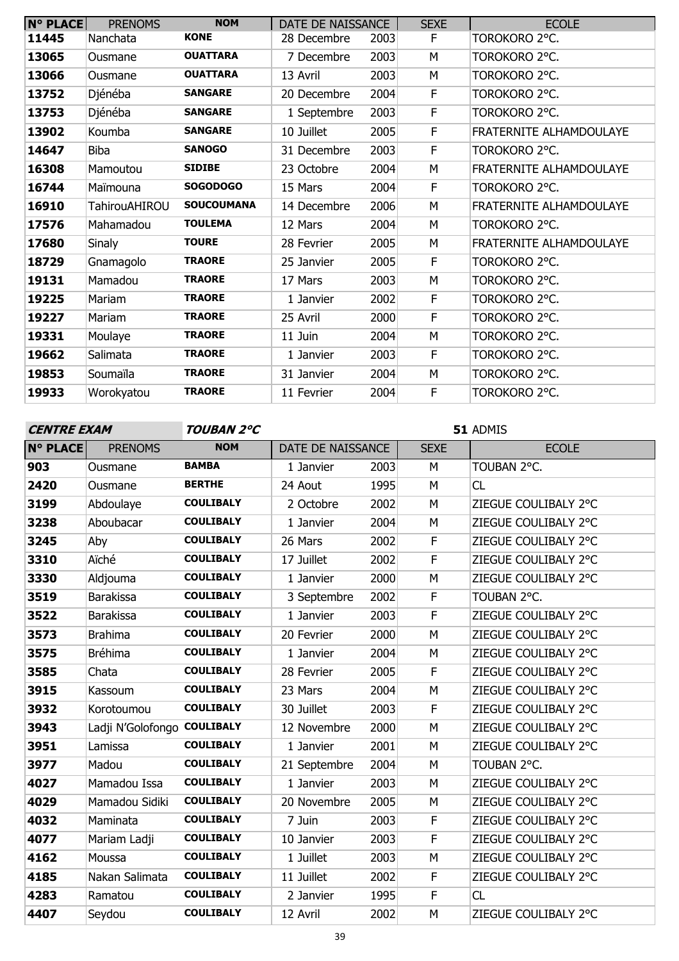| <b>N° PLACE</b> | <b>PRENOMS</b>       | <b>NOM</b>        | DATE DE NAISSANCE |      | <b>SEXE</b> | <b>ECOLE</b>                   |
|-----------------|----------------------|-------------------|-------------------|------|-------------|--------------------------------|
| 11445           | Nanchata             | <b>KONE</b>       | 28 Decembre       | 2003 | F           | TOROKORO 2°C.                  |
| 13065           | Ousmane              | <b>OUATTARA</b>   | 7 Decembre        | 2003 | M           | TOROKORO 2°C.                  |
| 13066           | Ousmane              | <b>OUATTARA</b>   | 13 Avril          | 2003 | M           | TOROKORO 2°C.                  |
| 13752           | Djénéba              | <b>SANGARE</b>    | 20 Decembre       | 2004 | F           | TOROKORO 2°C.                  |
| 13753           | Djénéba              | <b>SANGARE</b>    | 1 Septembre       | 2003 | F           | TOROKORO 2°C.                  |
| 13902           | Koumba               | <b>SANGARE</b>    | 10 Juillet        | 2005 | F           | <b>FRATERNITE ALHAMDOULAYE</b> |
| 14647           | <b>Biba</b>          | <b>SANOGO</b>     | 31 Decembre       | 2003 | F           | TOROKORO 2°C.                  |
| 16308           | Mamoutou             | <b>SIDIBE</b>     | 23 Octobre        | 2004 | M           | <b>FRATERNITE ALHAMDOULAYE</b> |
| 16744           | Maïmouna             | <b>SOGODOGO</b>   | 15 Mars           | 2004 | F           | TOROKORO 2°C.                  |
| 16910           | <b>TahirouAHIROU</b> | <b>SOUCOUMANA</b> | 14 Decembre       | 2006 | M           | <b>FRATERNITE ALHAMDOULAYE</b> |
| 17576           | Mahamadou            | <b>TOULEMA</b>    | 12 Mars           | 2004 | М           | TOROKORO 2°C.                  |
| 17680           | <b>Sinaly</b>        | <b>TOURE</b>      | 28 Fevrier        | 2005 | M           | <b>FRATERNITE ALHAMDOULAYE</b> |
| 18729           | Gnamagolo            | <b>TRAORE</b>     | 25 Janvier        | 2005 | F           | Torokoro 2°C.                  |
| 19131           | Mamadou              | <b>TRAORE</b>     | 17 Mars           | 2003 | M           | TOROKORO 2°C.                  |
| 19225           | Mariam               | <b>TRAORE</b>     | 1 Janvier         | 2002 | F           | TOROKORO 2°C.                  |
| 19227           | Mariam               | <b>TRAORE</b>     | 25 Avril          | 2000 | F           | TOROKORO 2°C.                  |
| 19331           | Moulaye              | <b>TRAORE</b>     | 11 Juin           | 2004 | М           | TOROKORO 2°C.                  |
| 19662           | Salimata             | <b>TRAORE</b>     | 1 Janvier         | 2003 | F           | TOROKORO 2°C.                  |
| 19853           | Soumaïla             | <b>TRAORE</b>     | 31 Janvier        | 2004 | M           | TOROKORO 2°C.                  |
| 19933           | Worokyatou           | <b>TRAORE</b>     | 11 Fevrier        | 2004 | F           | TOROKORO 2°C.                  |

**CENTRE EXAM TOUBAN 2°C**

| <b>N° PLACE</b> | <b>PRENOMS</b>              | <b>NOM</b>       | DATE DE NAISSANCE |      | <b>SEXE</b>             | <b>ECOLE</b>         |
|-----------------|-----------------------------|------------------|-------------------|------|-------------------------|----------------------|
| 903             | Ousmane                     | <b>BAMBA</b>     | 1 Janvier         | 2003 | M                       | TOUBAN 2°C.          |
| 2420            | Ousmane                     | <b>BERTHE</b>    | 24 Aout           | 1995 | M                       | CL                   |
| 3199            | Abdoulaye                   | <b>COULIBALY</b> | 2 Octobre         | 2002 | M                       | ZIEGUE COULIBALY 2°C |
| 3238            | Aboubacar                   | <b>COULIBALY</b> | 1 Janvier         | 2004 | M                       | ZIEGUE COULIBALY 2°C |
| 3245            | Aby                         | <b>COULIBALY</b> | 26 Mars           | 2002 | F                       | ZIEGUE COULIBALY 2°C |
| 3310            | Aïché                       | <b>COULIBALY</b> | 17 Juillet        | 2002 | $\mathsf F$             | ZIEGUE COULIBALY 2°C |
| 3330            | Aldjouma                    | <b>COULIBALY</b> | 1 Janvier         | 2000 | M                       | ZIEGUE COULIBALY 2°C |
| 3519            | <b>Barakissa</b>            | <b>COULIBALY</b> | 3 Septembre       | 2002 | F                       | TOUBAN 2°C.          |
| 3522            | <b>Barakissa</b>            | <b>COULIBALY</b> | 1 Janvier         | 2003 | $\mathsf F$             | ZIEGUE COULIBALY 2°C |
| 3573            | <b>Brahima</b>              | <b>COULIBALY</b> | 20 Fevrier        | 2000 | M                       | ZIEGUE COULIBALY 2°C |
| 3575            | <b>Bréhima</b>              | <b>COULIBALY</b> | 1 Janvier         | 2004 | M                       | ZIEGUE COULIBALY 2°C |
| 3585            | Chata                       | <b>COULIBALY</b> | 28 Fevrier        | 2005 | F                       | ZIEGUE COULIBALY 2°C |
| 3915            | Kassoum                     | <b>COULIBALY</b> | 23 Mars           | 2004 | M                       | ZIEGUE COULIBALY 2°C |
| 3932            | Korotoumou                  | <b>COULIBALY</b> | 30 Juillet        | 2003 | F                       | ZIEGUE COULIBALY 2°C |
| 3943            | Ladji N'Golofongo COULIBALY |                  | 12 Novembre       | 2000 | M                       | ZIEGUE COULIBALY 2°C |
| 3951            | Lamissa                     | <b>COULIBALY</b> | 1 Janvier         | 2001 | M                       | ZIEGUE COULIBALY 2°C |
| 3977            | Madou                       | <b>COULIBALY</b> | 21 Septembre      | 2004 | M                       | TOUBAN 2°C.          |
| 4027            | Mamadou Issa                | <b>COULIBALY</b> | 1 Janvier         | 2003 | M                       | ZIEGUE COULIBALY 2°C |
| 4029            | Mamadou Sidiki              | <b>COULIBALY</b> | 20 Novembre       | 2005 | M                       | ZIEGUE COULIBALY 2°C |
| 4032            | Maminata                    | <b>COULIBALY</b> | 7 Juin            | 2003 | F                       | ZIEGUE COULIBALY 2°C |
| 4077            | Mariam Ladji                | <b>COULIBALY</b> | 10 Janvier        | 2003 | F                       | ZIEGUE COULIBALY 2°C |
| 4162            | Moussa                      | <b>COULIBALY</b> | 1 Juillet         | 2003 | M                       | ZIEGUE COULIBALY 2°C |
| 4185            | Nakan Salimata              | <b>COULIBALY</b> | 11 Juillet        | 2002 | F                       | ZIEGUE COULIBALY 2°C |
| 4283            | Ramatou                     | <b>COULIBALY</b> | 2 Janvier         | 1995 | $\overline{\mathsf{F}}$ | CL                   |
| 4407            | Seydou                      | <b>COULIBALY</b> | 12 Avril          | 2002 | M                       | ZIEGUE COULIBALY 2°C |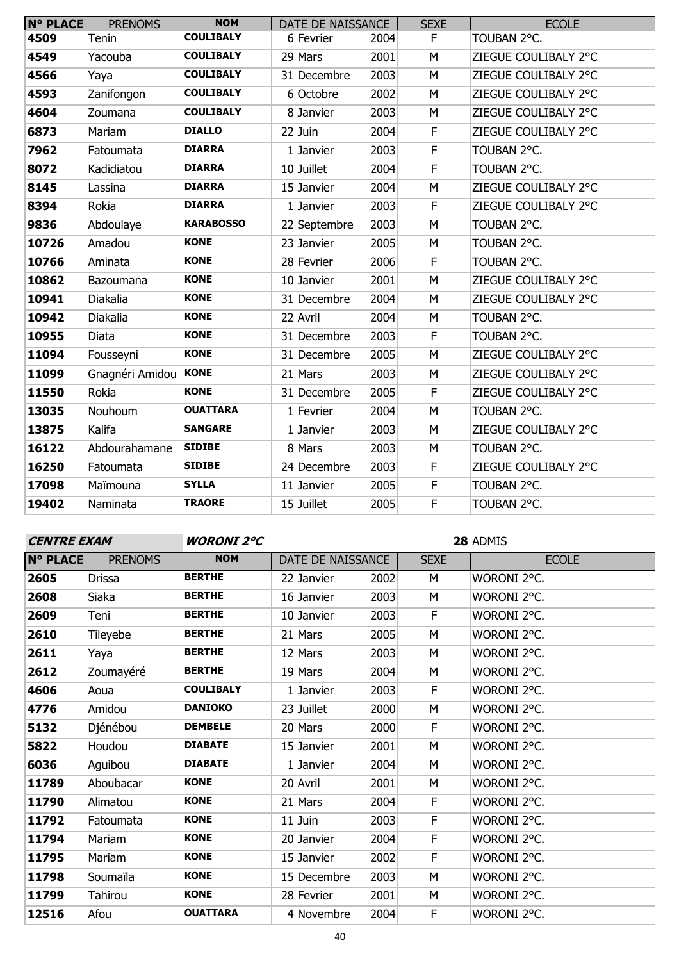| <b>N° PLACE</b> | <b>PRENOMS</b>       | <b>NOM</b>       | DATE DE NAISSANCE |      | <b>SEXE</b> | <b>ECOLE</b>         |
|-----------------|----------------------|------------------|-------------------|------|-------------|----------------------|
| 4509            | Tenin                | <b>COULIBALY</b> | 6 Fevrier         | 2004 | F           | TOUBAN 2°C.          |
| 4549            | Yacouba              | <b>COULIBALY</b> | 29 Mars           | 2001 | M           | ZIEGUE COULIBALY 2°C |
| 4566            | Yaya                 | <b>COULIBALY</b> | 31 Decembre       | 2003 | M           | ZIEGUE COULIBALY 2°C |
| 4593            | Zanifongon           | <b>COULIBALY</b> | 6 Octobre         | 2002 | M           | ZIEGUE COULIBALY 2°C |
| 4604            | Zoumana              | <b>COULIBALY</b> | 8 Janvier         | 2003 | M           | ZIEGUE COULIBALY 2°C |
| 6873            | Mariam               | <b>DIALLO</b>    | 22 Juin           | 2004 | F           | ZIEGUE COULIBALY 2°C |
| 7962            | Fatoumata            | <b>DIARRA</b>    | 1 Janvier         | 2003 | F           | TOUBAN 2°C.          |
| 8072            | Kadidiatou           | <b>DIARRA</b>    | 10 Juillet        | 2004 | $\mathsf F$ | TOUBAN 2°C.          |
| 8145            | Lassina              | <b>DIARRA</b>    | 15 Janvier        | 2004 | M           | ZIEGUE COULIBALY 2°C |
| 8394            | Rokia                | <b>DIARRA</b>    | 1 Janvier         | 2003 | F           | ZIEGUE COULIBALY 2°C |
| 9836            | Abdoulaye            | <b>KARABOSSO</b> | 22 Septembre      | 2003 | M           | TOUBAN 2°C.          |
| 10726           | Amadou               | <b>KONE</b>      | 23 Janvier        | 2005 | M           | TOUBAN 2°C.          |
| 10766           | Aminata              | <b>KONE</b>      | 28 Fevrier        | 2006 | F           | TOUBAN 2°C.          |
| 10862           | <b>Bazoumana</b>     | <b>KONE</b>      | 10 Janvier        | 2001 | M           | ZIEGUE COULIBALY 2°C |
| 10941           | Diakalia             | <b>KONE</b>      | 31 Decembre       | 2004 | M           | ZIEGUE COULIBALY 2°C |
| 10942           | Diakalia             | <b>KONE</b>      | 22 Avril          | 2004 | M           | TOUBAN 2°C.          |
| 10955           | Diata                | <b>KONE</b>      | 31 Decembre       | 2003 | F           | TOUBAN 2°C.          |
| 11094           | Fousseyni            | <b>KONE</b>      | 31 Decembre       | 2005 | M           | ZIEGUE COULIBALY 2°C |
| 11099           | Gnagnéri Amidou KONE |                  | 21 Mars           | 2003 | M           | ZIEGUE COULIBALY 2°C |
| 11550           | Rokia                | <b>KONE</b>      | 31 Decembre       | 2005 | F           | ZIEGUE COULIBALY 2°C |
| 13035           | Nouhoum              | <b>OUATTARA</b>  | 1 Fevrier         | 2004 | M           | TOUBAN 2°C.          |
| 13875           | Kalifa               | <b>SANGARE</b>   | 1 Janvier         | 2003 | M           | ZIEGUE COULIBALY 2°C |
| 16122           | Abdourahamane        | <b>SIDIBE</b>    | 8 Mars            | 2003 | M           | TOUBAN 2°C.          |
| 16250           | Fatoumata            | <b>SIDIBE</b>    | 24 Decembre       | 2003 | F           | ZIEGUE COULIBALY 2°C |
| 17098           | Maïmouna             | <b>SYLLA</b>     | 11 Janvier        | 2005 | F           | TOUBAN 2°C.          |
| 19402           | Naminata             | <b>TRAORE</b>    | 15 Juillet        | 2005 | F           | TOUBAN 2°C.          |

| <b>CENTRE EXAM</b> |                | <b>WORONI 2°C</b> |                   |      | 28 ADMIS    |              |  |
|--------------------|----------------|-------------------|-------------------|------|-------------|--------------|--|
| <b>N° PLACE</b>    | <b>PRENOMS</b> | <b>NOM</b>        | DATE DE NAISSANCE |      | <b>SEXE</b> | <b>ECOLE</b> |  |
| 2605               | <b>Drissa</b>  | <b>BERTHE</b>     | 22 Janvier        | 2002 | M           | WORONI 2°C.  |  |
| 2608               | Siaka          | <b>BERTHE</b>     | 16 Janvier        | 2003 | M           | WORONI 2°C.  |  |
| 2609               | Teni           | <b>BERTHE</b>     | 10 Janvier        | 2003 | F           | WORONI 2°C.  |  |
| 2610               | Tileyebe       | <b>BERTHE</b>     | 21 Mars           | 2005 | М           | WORONI 2°C.  |  |
| 2611               | Yaya           | <b>BERTHE</b>     | 12 Mars           | 2003 | M           | WORONI 2°C.  |  |
| 2612               | Zoumayéré      | <b>BERTHE</b>     | 19 Mars           | 2004 | М           | WORONI 2°C.  |  |
| 4606               | Aoua           | <b>COULIBALY</b>  | 1 Janvier         | 2003 | F           | WORONI 2°C.  |  |
| 4776               | Amidou         | <b>DANIOKO</b>    | 23 Juillet        | 2000 | М           | WORONI 2°C.  |  |
| 5132               | Djénébou       | <b>DEMBELE</b>    | 20 Mars           | 2000 | F           | WORONI 2°C.  |  |
| 5822               | Houdou         | <b>DIABATE</b>    | 15 Janvier        | 2001 | М           | WORONI 2°C.  |  |
| 6036               | Aguibou        | <b>DIABATE</b>    | 1 Janvier         | 2004 | М           | WORONI 2°C.  |  |
| 11789              | Aboubacar      | <b>KONE</b>       | 20 Avril          | 2001 | M           | WORONI 2°C.  |  |
| 11790              | Alimatou       | <b>KONE</b>       | 21 Mars           | 2004 | F           | WORONI 2°C.  |  |
| 11792              | Fatoumata      | <b>KONE</b>       | 11 Juin           | 2003 | F           | WORONI 2°C.  |  |
| 11794              | Mariam         | <b>KONE</b>       | 20 Janvier        | 2004 | F           | WORONI 2°C.  |  |
| 11795              | Mariam         | <b>KONE</b>       | 15 Janvier        | 2002 | F           | WORONI 2°C.  |  |
| 11798              | Soumaïla       | <b>KONE</b>       | 15 Decembre       | 2003 | М           | WORONI 2°C.  |  |
| 11799              | Tahirou        | <b>KONE</b>       | 28 Fevrier        | 2001 | M           | WORONI 2°C.  |  |
| 12516              | Afou           | <b>OUATTARA</b>   | 4 Novembre        | 2004 | F           | WORONI 2°C.  |  |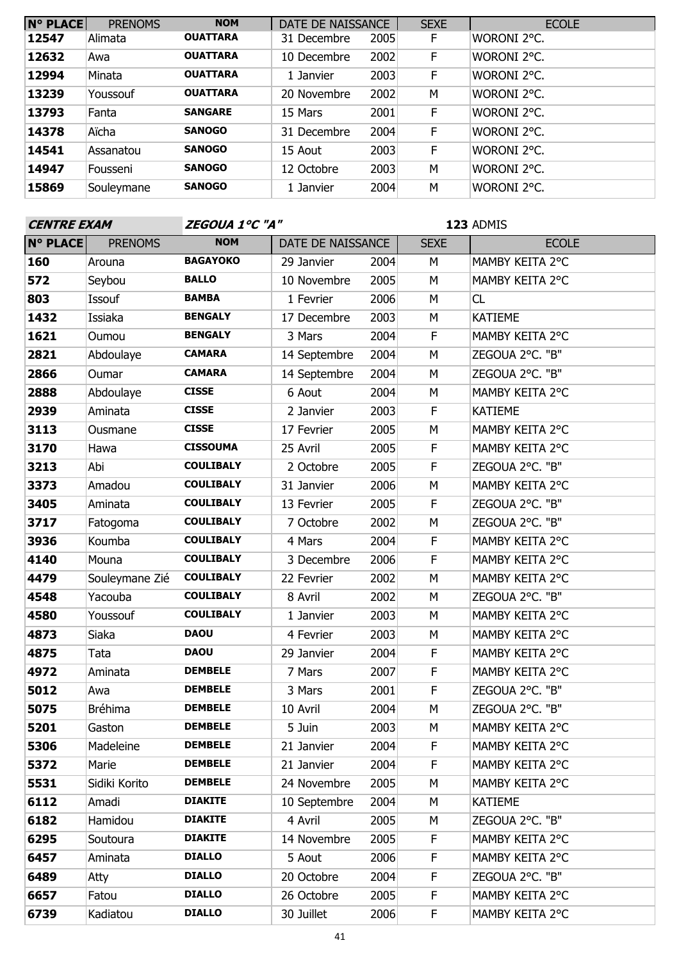| <b>N° PLACE</b> | <b>PRENOMS</b> | <b>NOM</b>      | DATE DE NAISSANCE |      | <b>SEXE</b> | <b>ECOLE</b> |
|-----------------|----------------|-----------------|-------------------|------|-------------|--------------|
| 12547           | Alimata        | <b>OUATTARA</b> | 31 Decembre       | 2005 | F.          | WORONI 2°C.  |
| 12632           | Awa            | <b>OUATTARA</b> | 10 Decembre       | 2002 | F           | WORONI 2°C.  |
| 12994           | Minata         | <b>OUATTARA</b> | 1 Janvier         | 2003 | F           | WORONI 2°C.  |
| 13239           | Youssouf       | <b>OUATTARA</b> | 20 Novembre       | 2002 | M           | WORONI 2°C.  |
| 13793           | Fanta          | <b>SANGARE</b>  | 15 Mars           | 2001 | F           | WORONI 2°C.  |
| 14378           | Aïcha          | <b>SANOGO</b>   | 31 Decembre       | 2004 | F           | WORONI 2°C.  |
| 14541           | Assanatou      | <b>SANOGO</b>   | 15 Aout           | 2003 | F           | WORONI 2°C.  |
| 14947           | Fousseni       | <b>SANOGO</b>   | 12 Octobre        | 2003 | M           | WORONI 2°C.  |
| 15869           | Souleymane     | <b>SANOGO</b>   | 1 Janvier         | 2004 | М           | WORONI 2°C.  |

| <b>CENTRE EXAM</b> |                | ZEGOUA 1°C "A"   |                   |      | 123 ADMIS   |                 |  |
|--------------------|----------------|------------------|-------------------|------|-------------|-----------------|--|
| <b>N° PLACE</b>    | <b>PRENOMS</b> | <b>NOM</b>       | DATE DE NAISSANCE |      | <b>SEXE</b> | <b>ECOLE</b>    |  |
| 160                | Arouna         | <b>BAGAYOKO</b>  | 29 Janvier        | 2004 | М           | MAMBY KEITA 2°C |  |
| 572                | Seybou         | <b>BALLO</b>     | 10 Novembre       | 2005 | M           | MAMBY KEITA 2°C |  |
| 803                | Issouf         | <b>BAMBA</b>     | 1 Fevrier         | 2006 | M           | CL              |  |
| 1432               | Issiaka        | <b>BENGALY</b>   | 17 Decembre       | 2003 | M           | <b>KATIEME</b>  |  |
| 1621               | Oumou          | <b>BENGALY</b>   | 3 Mars            | 2004 | F           | MAMBY KEITA 2°C |  |
| 2821               | Abdoulaye      | <b>CAMARA</b>    | 14 Septembre      | 2004 | M           | ZEGOUA 2°C. "B" |  |
| 2866               | Oumar          | <b>CAMARA</b>    | 14 Septembre      | 2004 | M           | ZEGOUA 2°C. "B" |  |
| 2888               | Abdoulaye      | <b>CISSE</b>     | 6 Aout            | 2004 | М           | MAMBY KEITA 2°C |  |
| 2939               | Aminata        | <b>CISSE</b>     | 2 Janvier         | 2003 | F           | <b>KATIEME</b>  |  |
| 3113               | Ousmane        | <b>CISSE</b>     | 17 Fevrier        | 2005 | M           | MAMBY KEITA 2°C |  |
| 3170               | Hawa           | <b>CISSOUMA</b>  | 25 Avril          | 2005 | F           | MAMBY KEITA 2°C |  |
| 3213               | Abi            | <b>COULIBALY</b> | 2 Octobre         | 2005 | F           | ZEGOUA 2°C. "B" |  |
| 3373               | Amadou         | <b>COULIBALY</b> | 31 Janvier        | 2006 | M           | MAMBY KEITA 2°C |  |
| 3405               | Aminata        | <b>COULIBALY</b> | 13 Fevrier        | 2005 | F           | ZEGOUA 2°C. "B" |  |
| 3717               | Fatogoma       | <b>COULIBALY</b> | 7 Octobre         | 2002 | M           | ZEGOUA 2°C. "B" |  |
| 3936               | Koumba         | <b>COULIBALY</b> | 4 Mars            | 2004 | F           | MAMBY KEITA 2°C |  |
| 4140               | Mouna          | <b>COULIBALY</b> | 3 Decembre        | 2006 | F           | MAMBY KEITA 2°C |  |
| 4479               | Souleymane Zié | <b>COULIBALY</b> | 22 Fevrier        | 2002 | M           | MAMBY KEITA 2°C |  |
| 4548               | Yacouba        | <b>COULIBALY</b> | 8 Avril           | 2002 | M           | ZEGOUA 2°C. "B" |  |
| 4580               | Youssouf       | <b>COULIBALY</b> | 1 Janvier         | 2003 | M           | MAMBY KEITA 2°C |  |
| 4873               | Siaka          | <b>DAOU</b>      | 4 Fevrier         | 2003 | M           | MAMBY KEITA 2°C |  |
| 4875               | Tata           | <b>DAOU</b>      | 29 Janvier        | 2004 | F           | MAMBY KEITA 2°C |  |
| 4972               | Aminata        | <b>DEMBELE</b>   | 7 Mars            | 2007 | F           | MAMBY KEITA 2°C |  |
| 5012               | Awa            | <b>DEMBELE</b>   | 3 Mars            | 2001 | F           | ZEGOUA 2°C. "B" |  |
| 5075               | Bréhima        | <b>DEMBELE</b>   | 10 Avril          | 2004 | M           | ZEGOUA 2°C. "B" |  |
| 5201               | Gaston         | <b>DEMBELE</b>   | 5 Juin            | 2003 | M           | MAMBY KEITA 2°C |  |
| 5306               | Madeleine      | <b>DEMBELE</b>   | 21 Janvier        | 2004 | F.          | MAMBY KEITA 2°C |  |
| 5372               | Marie          | <b>DEMBELE</b>   | 21 Janvier        | 2004 | F.          | MAMBY KEITA 2°C |  |
| 5531               | Sidiki Korito  | <b>DEMBELE</b>   | 24 Novembre       | 2005 | М           | MAMBY KEITA 2°C |  |
| 6112               | Amadi          | <b>DIAKITE</b>   | 10 Septembre      | 2004 | М           | KATIEME         |  |
| 6182               | Hamidou        | <b>DIAKITE</b>   | 4 Avril           | 2005 | М           | ZEGOUA 2°C. "B" |  |
| 6295               | Soutoura       | <b>DIAKITE</b>   | 14 Novembre       | 2005 | F.          | MAMBY KEITA 2°C |  |
| 6457               | Aminata        | <b>DIALLO</b>    | 5 Aout            | 2006 | F.          | MAMBY KEITA 2°C |  |
| 6489               | Atty           | <b>DIALLO</b>    | 20 Octobre        | 2004 | F.          | ZEGOUA 2°C. "B" |  |
| 6657               | Fatou          | <b>DIALLO</b>    | 26 Octobre        | 2005 | F.          | MAMBY KEITA 2°C |  |
| 6739               | Kadiatou       | <b>DIALLO</b>    | 30 Juillet        | 2006 | F.          | MAMBY KEITA 2°C |  |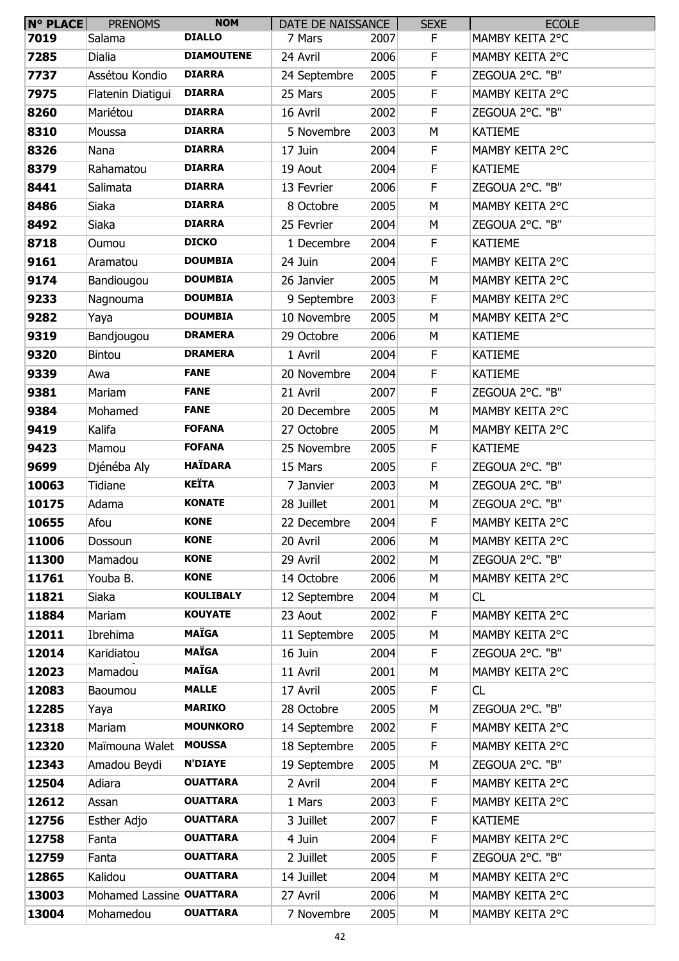| $N^{\circ}$ PLACE | <b>PRENOMS</b>           | <b>NOM</b>        | DATE DE NAISSANCE |      | <b>SEXE</b> | <b>ECOLE</b>    |
|-------------------|--------------------------|-------------------|-------------------|------|-------------|-----------------|
| 7019              | Salama                   | <b>DIALLO</b>     | 7 Mars            | 2007 | F           | MAMBY KEITA 2°C |
| 7285              | Dialia                   | <b>DIAMOUTENE</b> | 24 Avril          | 2006 | F           | MAMBY KEITA 2°C |
| 7737              | Assétou Kondio           | <b>DIARRA</b>     | 24 Septembre      | 2005 | F           | ZEGOUA 2°C. "B" |
| 7975              | Flatenin Diatigui        | <b>DIARRA</b>     | 25 Mars           | 2005 | F           | MAMBY KEITA 2°C |
| 8260              | Mariétou                 | <b>DIARRA</b>     | 16 Avril          | 2002 | F.          | ZEGOUA 2°C. "B" |
| 8310              | Moussa                   | <b>DIARRA</b>     | 5 Novembre        | 2003 | M           | <b>KATIEME</b>  |
| 8326              | Nana                     | <b>DIARRA</b>     | 17 Juin           | 2004 | F           | MAMBY KEITA 2°C |
| 8379              | Rahamatou                | <b>DIARRA</b>     | 19 Aout           | 2004 | F           | <b>KATIEME</b>  |
| 8441              | Salimata                 | <b>DIARRA</b>     | 13 Fevrier        | 2006 | F           | ZEGOUA 2°C. "B" |
| 8486              | Siaka                    | <b>DIARRA</b>     | 8 Octobre         | 2005 | M           | MAMBY KEITA 2°C |
| 8492              | Siaka                    | <b>DIARRA</b>     | 25 Fevrier        | 2004 | M           | ZEGOUA 2°C. "B" |
| 8718              | Oumou                    | <b>DICKO</b>      | 1 Decembre        | 2004 | F.          | <b>KATIEME</b>  |
| 9161              | Aramatou                 | <b>DOUMBIA</b>    | 24 Juin           | 2004 | F           | MAMBY KEITA 2°C |
| 9174              | Bandiougou               | <b>DOUMBIA</b>    | 26 Janvier        | 2005 | M           | MAMBY KEITA 2°C |
| 9233              | Nagnouma                 | <b>DOUMBIA</b>    | 9 Septembre       | 2003 | F           | MAMBY KEITA 2°C |
| 9282              | Yaya                     | <b>DOUMBIA</b>    | 10 Novembre       | 2005 | M           | MAMBY KEITA 2°C |
| 9319              | Bandjougou               | <b>DRAMERA</b>    | 29 Octobre        | 2006 | M           | <b>KATIEME</b>  |
| 9320              | Bintou                   | <b>DRAMERA</b>    | 1 Avril           | 2004 | F           | <b>KATIEME</b>  |
| 9339              | Awa                      | <b>FANE</b>       | 20 Novembre       | 2004 | F           | <b>KATIEME</b>  |
| 9381              | Mariam                   | <b>FANE</b>       | 21 Avril          | 2007 | $\mathsf F$ | ZEGOUA 2°C. "B" |
| 9384              | Mohamed                  | <b>FANE</b>       | 20 Decembre       | 2005 | M           | MAMBY KEITA 2°C |
| 9419              | Kalifa                   | <b>FOFANA</b>     | 27 Octobre        | 2005 | M           | MAMBY KEITA 2°C |
| 9423              | Mamou                    | <b>FOFANA</b>     | 25 Novembre       | 2005 | F.          | <b>KATIEME</b>  |
| 9699              | Djénéba Aly              | <b>HAÏDARA</b>    | 15 Mars           | 2005 | F           | ZEGOUA 2°C. "B" |
| 10063             | Tidiane                  | <b>KEÏTA</b>      | 7 Janvier         | 2003 | M           | ZEGOUA 2°C. "B" |
| 10175             | Adama                    | <b>KONATE</b>     | 28 Juillet        | 2001 | M           | ZEGOUA 2°C. "B" |
| 10655             | Afou                     | <b>KONE</b>       | 22 Decembre       | 2004 | F           | MAMBY KEITA 2°C |
| 11006             | Dossoun                  | <b>KONE</b>       | 20 Avril          | 2006 | M           | MAMBY KEITA 2°C |
| 11300             | Mamadou                  | <b>KONE</b>       | 29 Avril          | 2002 | M           | ZEGOUA 2°C. "B" |
| 11761             | Youba B.                 | <b>KONE</b>       | 14 Octobre        | 2006 | М           | MAMBY KEITA 2°C |
| 11821             | Siaka                    | <b>KOULIBALY</b>  | 12 Septembre      | 2004 | M           | CL              |
| 11884             | Mariam                   | <b>KOUYATE</b>    | 23 Aout           | 2002 | F           | MAMBY KEITA 2°C |
| 12011             | Ibrehima                 | <b>MAÏGA</b>      | 11 Septembre      | 2005 | M           | MAMBY KEITA 2°C |
| 12014             | Karidiatou               | <b>MAÏGA</b>      | 16 Juin           | 2004 | F           | ZEGOUA 2°C. "B" |
| 12023             | Mamadou                  | <b>MAÏGA</b>      | 11 Avril          | 2001 | M           | MAMBY KEITA 2°C |
| 12083             | Baoumou                  | <b>MALLE</b>      | 17 Avril          | 2005 | F           | CL              |
| 12285             | Yaya                     | <b>MARIKO</b>     | 28 Octobre        | 2005 | M           | ZEGOUA 2°C. "B" |
| 12318             | Mariam                   | <b>MOUNKORO</b>   | 14 Septembre      | 2002 | F           | MAMBY KEITA 2°C |
| 12320             | Maïmouna Walet           | <b>MOUSSA</b>     | 18 Septembre      | 2005 | F           | MAMBY KEITA 2°C |
| 12343             | Amadou Beydi             | <b>N'DIAYE</b>    | 19 Septembre      | 2005 | M           | ZEGOUA 2°C. "B" |
| 12504             | Adiara                   | <b>OUATTARA</b>   | 2 Avril           | 2004 | F           | MAMBY KEITA 2°C |
| 12612             | Assan                    | <b>OUATTARA</b>   | 1 Mars            | 2003 | F           | MAMBY KEITA 2°C |
| 12756             | Esther Adjo              | <b>OUATTARA</b>   | 3 Juillet         | 2007 | F           | <b>KATIEME</b>  |
| 12758             | Fanta                    | <b>OUATTARA</b>   | 4 Juin            | 2004 | F           | MAMBY KEITA 2°C |
| 12759             | Fanta                    | <b>OUATTARA</b>   | 2 Juillet         | 2005 | F           | ZEGOUA 2°C. "B" |
| 12865             | Kalidou                  | <b>OUATTARA</b>   | 14 Juillet        | 2004 | M           | MAMBY KEITA 2°C |
| 13003             | Mohamed Lassine OUATTARA |                   | 27 Avril          | 2006 | М           | MAMBY KEITA 2°C |
| 13004             | Mohamedou                | <b>OUATTARA</b>   | 7 Novembre        | 2005 | М           | MAMBY KEITA 2°C |
|                   |                          |                   |                   |      |             |                 |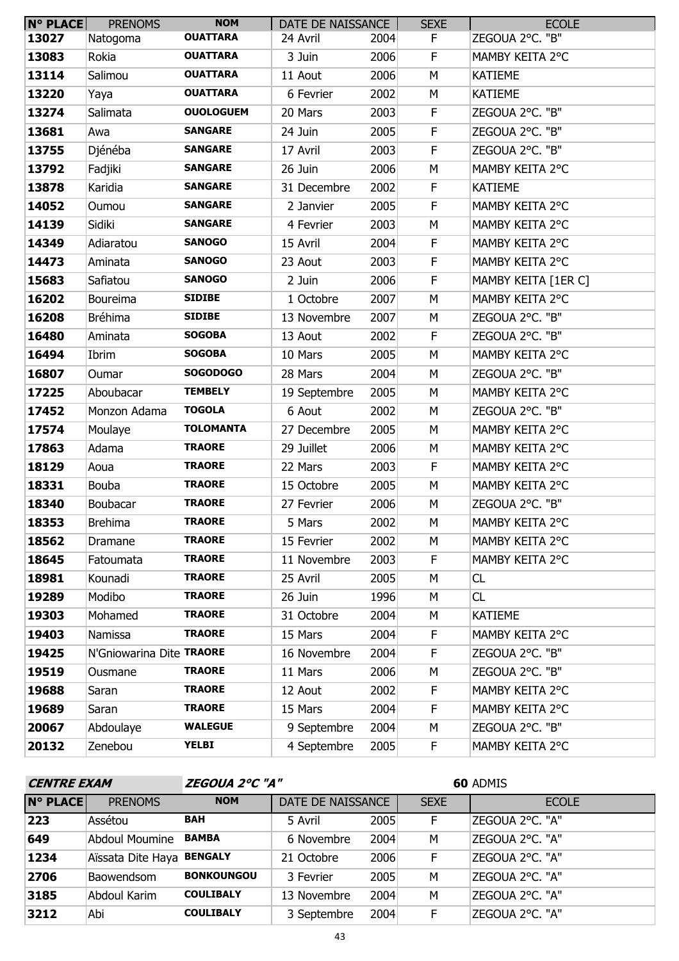| <b>N° PLACE</b> | <b>PRENOMS</b>           | <b>NOM</b>       | DATE DE NAISSANCE |      | <b>SEXE</b> | <b>ECOLE</b>        |
|-----------------|--------------------------|------------------|-------------------|------|-------------|---------------------|
| 13027           | Natogoma                 | <b>OUATTARA</b>  | 24 Avril          | 2004 | F.          | ZEGOUA 2°C. "B"     |
| 13083           | Rokia                    | <b>OUATTARA</b>  | 3 Juin            | 2006 | F.          | MAMBY KEITA 2°C     |
| 13114           | Salimou                  | <b>OUATTARA</b>  | 11 Aout           | 2006 | M           | <b>KATIEME</b>      |
| 13220           | Yaya                     | <b>OUATTARA</b>  | 6 Fevrier         | 2002 | M           | <b>KATIEME</b>      |
| 13274           | Salimata                 | <b>OUOLOGUEM</b> | 20 Mars           | 2003 | $\mathsf F$ | ZEGOUA 2°C. "B"     |
| 13681           | Awa                      | <b>SANGARE</b>   | 24 Juin           | 2005 | $\mathsf F$ | ZEGOUA 2°C. "B"     |
| 13755           | Djénéba                  | <b>SANGARE</b>   | 17 Avril          | 2003 | F           | ZEGOUA 2°C. "B"     |
| 13792           | Fadjiki                  | <b>SANGARE</b>   | 26 Juin           | 2006 | M           | MAMBY KEITA 2°C     |
| 13878           | Karidia                  | <b>SANGARE</b>   | 31 Decembre       | 2002 | F.          | <b>KATIEME</b>      |
| 14052           | Oumou                    | <b>SANGARE</b>   | 2 Janvier         | 2005 | $\mathsf F$ | MAMBY KEITA 2°C     |
| 14139           | Sidiki                   | <b>SANGARE</b>   | 4 Fevrier         | 2003 | M           | MAMBY KEITA 2°C     |
| 14349           | Adiaratou                | <b>SANOGO</b>    | 15 Avril          | 2004 | F           | MAMBY KEITA 2°C     |
| 14473           | Aminata                  | <b>SANOGO</b>    | 23 Aout           | 2003 | $\mathsf F$ | MAMBY KEITA 2°C     |
| 15683           | Safiatou                 | <b>SANOGO</b>    | 2 Juin            | 2006 | $\mathsf F$ | MAMBY KEITA [1ER C] |
| 16202           | <b>Boureima</b>          | <b>SIDIBE</b>    | 1 Octobre         | 2007 | M           | MAMBY KEITA 2°C     |
| 16208           | <b>Bréhima</b>           | <b>SIDIBE</b>    | 13 Novembre       | 2007 | М           | ZEGOUA 2°C. "B"     |
| 16480           | Aminata                  | <b>SOGOBA</b>    | 13 Aout           | 2002 | F           | ZEGOUA 2°C. "B"     |
| 16494           | Ibrim                    | <b>SOGOBA</b>    | 10 Mars           | 2005 | M           | MAMBY KEITA 2°C     |
| 16807           | Oumar                    | <b>SOGODOGO</b>  | 28 Mars           | 2004 | М           | ZEGOUA 2°C. "B"     |
| 17225           | Aboubacar                | <b>TEMBELY</b>   | 19 Septembre      | 2005 | М           | MAMBY KEITA 2°C     |
| 17452           | Monzon Adama             | <b>TOGOLA</b>    | 6 Aout            | 2002 | M           | ZEGOUA 2°C. "B"     |
| 17574           | Moulaye                  | <b>TOLOMANTA</b> | 27 Decembre       | 2005 | M           | MAMBY KEITA 2°C     |
| 17863           | Adama                    | <b>TRAORE</b>    | 29 Juillet        | 2006 | М           | MAMBY KEITA 2°C     |
| 18129           | Aoua                     | <b>TRAORE</b>    | 22 Mars           | 2003 | F           | MAMBY KEITA 2°C     |
| 18331           | <b>Bouba</b>             | <b>TRAORE</b>    | 15 Octobre        | 2005 | М           | MAMBY KEITA 2°C     |
| 18340           | Boubacar                 | <b>TRAORE</b>    | 27 Fevrier        | 2006 | М           | ZEGOUA 2°C. "B"     |
| 18353           | <b>Brehima</b>           | <b>TRAORE</b>    | 5 Mars            | 2002 | М           | MAMBY KEITA 2°C     |
| 18562           | Dramane                  | <b>TRAORE</b>    | 15 Fevrier        | 2002 | M           | MAMBY KEITA 2°C     |
| 18645           | Fatoumata                | <b>TRAORE</b>    | 11 Novembre       | 2003 | F.          | MAMBY KEITA 2°C     |
| 18981           | Kounadi                  | <b>TRAORE</b>    | 25 Avril          | 2005 | М           | CL                  |
| 19289           | Modibo                   | <b>TRAORE</b>    | 26 Juin           | 1996 | M           | CL                  |
| 19303           | Mohamed                  | <b>TRAORE</b>    | 31 Octobre        | 2004 | М           | <b>KATIEME</b>      |
| 19403           | Namissa                  | <b>TRAORE</b>    | 15 Mars           | 2004 | F.          | MAMBY KEITA 2°C     |
| 19425           | N'Gniowarina Dite TRAORE |                  | 16 Novembre       | 2004 | F.          | ZEGOUA 2°C. "B"     |
| 19519           | Ousmane                  | <b>TRAORE</b>    | 11 Mars           | 2006 | М           | ZEGOUA 2°C. "B"     |
| 19688           | Saran                    | <b>TRAORE</b>    | 12 Aout           | 2002 | F.          | MAMBY KEITA 2°C     |
| 19689           | Saran                    | <b>TRAORE</b>    | 15 Mars           | 2004 | F.          | MAMBY KEITA 2°C     |
| 20067           | Abdoulaye                | <b>WALEGUE</b>   | 9 Septembre       | 2004 | М           | ZEGOUA 2°C. "B"     |
| 20132           | Zenebou                  | <b>YELBI</b>     | 4 Septembre       | 2005 | F.          | MAMBY KEITA 2°C     |

| <b>CENTRE EXAM</b> |                           | ZEGOUA 2°C "A"    |                   |      |             | 60 ADMIS        |
|--------------------|---------------------------|-------------------|-------------------|------|-------------|-----------------|
| <b>N° PLACE</b>    | <b>PRENOMS</b>            | <b>NOM</b>        | DATE DE NAISSANCE |      | <b>SEXE</b> | <b>ECOLE</b>    |
| 223                | Assétou                   | <b>BAH</b>        | 5 Avril           | 2005 | F           | ZEGOUA 2°C. "A" |
| 649                | <b>Abdoul Moumine</b>     | <b>BAMBA</b>      | 6 Novembre        | 2004 | M           | ZEGOUA 2°C. "A" |
| 1234               | Aïssata Dite Haya BENGALY |                   | 21 Octobre        | 2006 | F           | ZEGOUA 2°C. "A" |
| 2706               | Baowendsom                | <b>BONKOUNGOU</b> | 3 Fevrier         | 2005 | M           | ZEGOUA 2°C. "A" |
| 3185               | Abdoul Karim              | <b>COULIBALY</b>  | 13 Novembre       | 2004 | M           | ZEGOUA 2°C. "A" |
| 3212               | Abi                       | <b>COULIBALY</b>  | 3 Septembre       | 2004 | F           | ZEGOUA 2°C. "A" |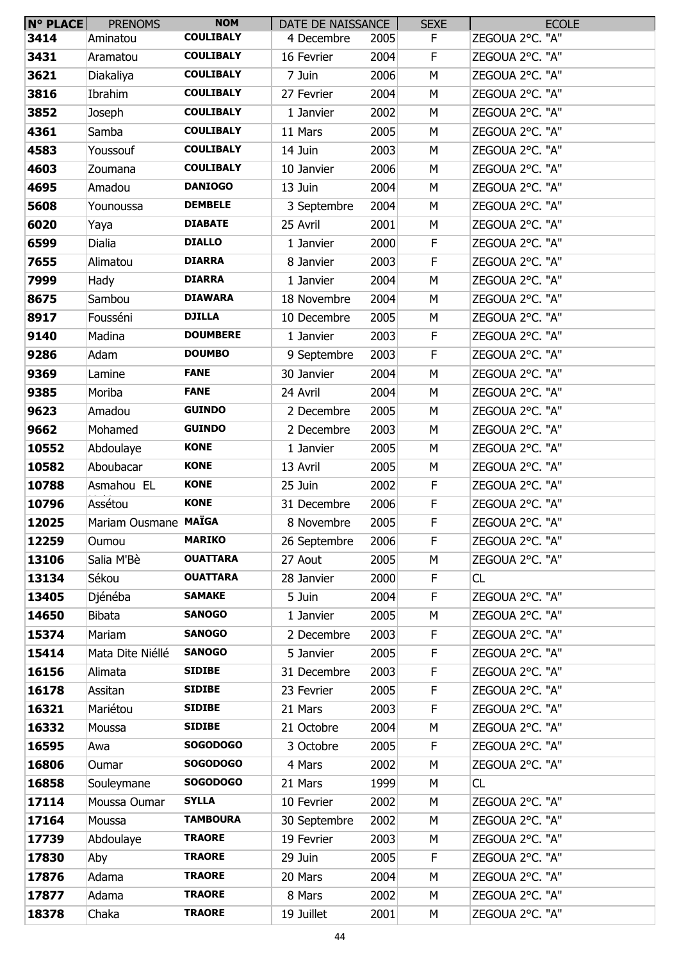| $N^{\circ}$ PLACE | <b>PRENOMS</b>       | <b>NOM</b>       | DATE DE NAISSANCE |      | <b>SEXE</b> | <b>ECOLE</b>    |
|-------------------|----------------------|------------------|-------------------|------|-------------|-----------------|
| 3414              | Aminatou             | <b>COULIBALY</b> | 4 Decembre        | 2005 | F.          | ZEGOUA 2°C. "A" |
| 3431              | Aramatou             | <b>COULIBALY</b> | 16 Fevrier        | 2004 | F           | ZEGOUA 2°C. "A" |
| 3621              | Diakaliya            | <b>COULIBALY</b> | 7 Juin            | 2006 | M           | ZEGOUA 2°C. "A" |
| 3816              | Ibrahim              | <b>COULIBALY</b> | 27 Fevrier        | 2004 | М           | ZEGOUA 2°C. "A" |
| 3852              | Joseph               | <b>COULIBALY</b> | 1 Janvier         | 2002 | M           | ZEGOUA 2°C. "A" |
| 4361              | Samba                | <b>COULIBALY</b> | 11 Mars           | 2005 | M           | ZEGOUA 2°C. "A" |
| 4583              | Youssouf             | <b>COULIBALY</b> | 14 Juin           | 2003 | M           | ZEGOUA 2°C. "A" |
| 4603              | Zoumana              | <b>COULIBALY</b> | 10 Janvier        | 2006 | M           | ZEGOUA 2°C. "A" |
| 4695              | Amadou               | <b>DANIOGO</b>   | 13 Juin           | 2004 | M           | ZEGOUA 2°C. "A" |
| 5608              | Younoussa            | <b>DEMBELE</b>   | 3 Septembre       | 2004 | М           | ZEGOUA 2°C. "A" |
| 6020              | Yaya                 | <b>DIABATE</b>   | 25 Avril          | 2001 | M           | ZEGOUA 2°C. "A" |
| 6599              | Dialia               | <b>DIALLO</b>    | 1 Janvier         | 2000 | F           | ZEGOUA 2°C. "A" |
| 7655              | Alimatou             | <b>DIARRA</b>    | 8 Janvier         | 2003 | $\mathsf F$ | ZEGOUA 2°C. "A" |
| 7999              | Hady                 | <b>DIARRA</b>    | 1 Janvier         | 2004 | M           | ZEGOUA 2°C. "A" |
| 8675              | Sambou               | <b>DIAWARA</b>   | 18 Novembre       | 2004 | M           | ZEGOUA 2°C. "A" |
| 8917              | Fousséni             | <b>DJILLA</b>    | 10 Decembre       | 2005 | M           | ZEGOUA 2°C. "A" |
| 9140              | Madina               | <b>DOUMBERE</b>  | 1 Janvier         | 2003 | $\mathsf F$ | ZEGOUA 2°C. "A" |
| 9286              | Adam                 | <b>DOUMBO</b>    | 9 Septembre       | 2003 | $\mathsf F$ | ZEGOUA 2°C. "A" |
| 9369              | Lamine               | <b>FANE</b>      | 30 Janvier        | 2004 | M           | ZEGOUA 2°C. "A" |
| 9385              | Moriba               | <b>FANE</b>      | 24 Avril          | 2004 | M           | ZEGOUA 2°C. "A" |
| 9623              | Amadou               | <b>GUINDO</b>    | 2 Decembre        | 2005 | M           | ZEGOUA 2°C. "A" |
| 9662              | Mohamed              | <b>GUINDO</b>    | 2 Decembre        | 2003 | М           | ZEGOUA 2°C. "A" |
| 10552             | Abdoulaye            | <b>KONE</b>      | 1 Janvier         | 2005 | M           | ZEGOUA 2°C. "A" |
| 10582             | Aboubacar            | <b>KONE</b>      | 13 Avril          | 2005 | M           | ZEGOUA 2°C. "A" |
| 10788             | Asmahou EL           | <b>KONE</b>      | 25 Juin           | 2002 | F           | ZEGOUA 2°C. "A" |
| 10796             | Assétou              | <b>KONE</b>      | 31 Decembre       | 2006 | F.          | ZEGOUA 2°C. "A" |
| 12025             | Mariam Ousmane MAÏGA |                  | 8 Novembre        | 2005 | F           | ZEGOUA 2°C. "A" |
| 12259             | Oumou                | <b>MARIKO</b>    | 26 Septembre      | 2006 | $\mathsf F$ | ZEGOUA 2°C. "A" |
| 13106             | Salia M'Bè           | <b>OUATTARA</b>  | 27 Aout           | 2005 | M           | ZEGOUA 2°C. "A" |
| 13134             | Sékou                | <b>OUATTARA</b>  | 28 Janvier        | 2000 | F           | CL              |
| 13405             | Djénéba              | <b>SAMAKE</b>    | 5 Juin            | 2004 | $\mathsf F$ | ZEGOUA 2°C. "A" |
| 14650             | <b>Bibata</b>        | <b>SANOGO</b>    | 1 Janvier         | 2005 | M           | ZEGOUA 2°C. "A" |
| 15374             | Mariam               | <b>SANOGO</b>    | 2 Decembre        | 2003 | F.          | ZEGOUA 2°C. "A" |
| 15414             | Mata Dite Niéllé     | <b>SANOGO</b>    | 5 Janvier         | 2005 | F           | ZEGOUA 2°C. "A" |
| 16156             | Alimata              | <b>SIDIBE</b>    | 31 Decembre       | 2003 | $\mathsf F$ | ZEGOUA 2°C. "A" |
| 16178             | Assitan              | <b>SIDIBE</b>    | 23 Fevrier        | 2005 | $\mathsf F$ | ZEGOUA 2°C. "A" |
| 16321             | Mariétou             | <b>SIDIBE</b>    | 21 Mars           | 2003 | F           | ZEGOUA 2°C. "A" |
| 16332             | Moussa               | <b>SIDIBE</b>    | 21 Octobre        | 2004 | M           | ZEGOUA 2°C. "A" |
| 16595             | Awa                  | <b>SOGODOGO</b>  | 3 Octobre         | 2005 | F           | ZEGOUA 2°C. "A" |
| 16806             | Oumar                | <b>SOGODOGO</b>  | 4 Mars            | 2002 | M           | ZEGOUA 2°C. "A" |
| 16858             | Souleymane           | <b>SOGODOGO</b>  | 21 Mars           | 1999 | M           | CL              |
| 17114             | Moussa Oumar         | <b>SYLLA</b>     | 10 Fevrier        | 2002 | M           | ZEGOUA 2°C. "A" |
| 17164             | Moussa               | <b>TAMBOURA</b>  | 30 Septembre      | 2002 | M           | ZEGOUA 2°C. "A" |
| 17739             | Abdoulaye            | <b>TRAORE</b>    | 19 Fevrier        | 2003 | М           | ZEGOUA 2°C. "A" |
| 17830             | Aby                  | <b>TRAORE</b>    | 29 Juin           | 2005 | $\mathsf F$ | ZEGOUA 2°C. "A" |
| 17876             | Adama                | <b>TRAORE</b>    | 20 Mars           | 2004 | M           | ZEGOUA 2°C. "A" |
| 17877             | Adama                | <b>TRAORE</b>    | 8 Mars            | 2002 | М           | ZEGOUA 2°C. "A" |
| 18378             | Chaka                | <b>TRAORE</b>    | 19 Juillet        | 2001 | М           | ZEGOUA 2°C. "A" |
|                   |                      |                  |                   |      |             |                 |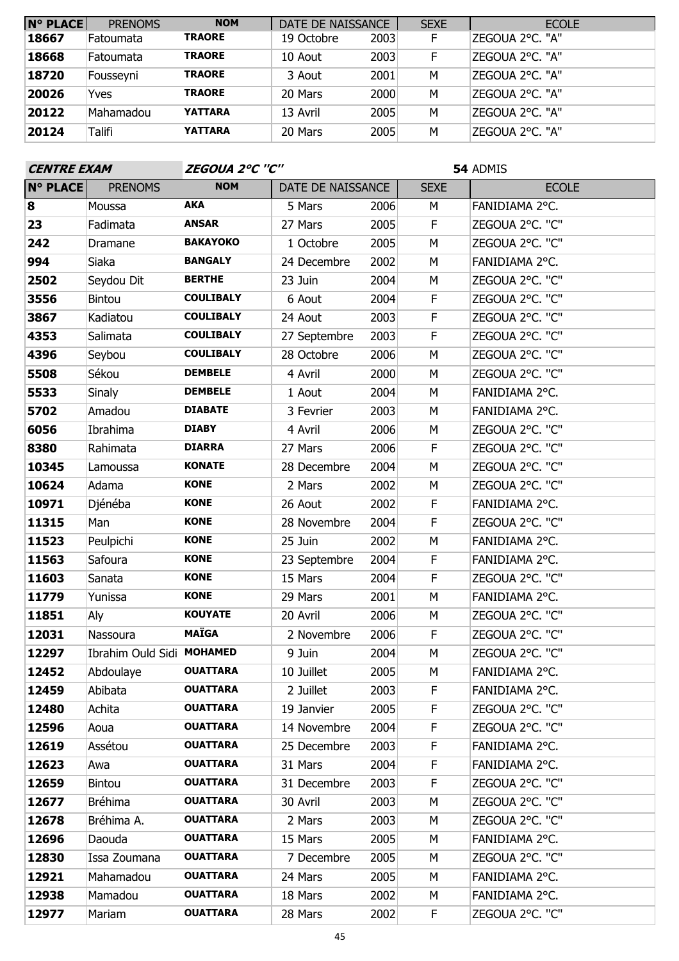| $N^{\circ}$ PLACE | <b>PRENOMS</b> | <b>NOM</b>     | DATE DE NAISSANCE |      | <b>SEXE</b> | <b>ECOLE</b>     |
|-------------------|----------------|----------------|-------------------|------|-------------|------------------|
| 18667             | Fatoumata      | <b>TRAORE</b>  | 19 Octobre        | 2003 | F           | ZEGOUA 2°C. "A"  |
| 18668             | Fatoumata      | <b>TRAORE</b>  | 10 Aout           | 2003 | F           | IZEGOUA 2°C. "A" |
| 18720             | Fousseyni      | <b>TRAORE</b>  | 3 Aout            | 2001 | M           | ZEGOUA 2°C. "A"  |
| 20026             | Yves           | <b>TRAORE</b>  | 20 Mars           | 2000 | M           | IZEGOUA 2°C. "A" |
| 20122             | Mahamadou      | <b>YATTARA</b> | 13 Avril          | 2005 | М           | IZEGOUA 2°C. "A" |
| 20124             | Talifi         | <b>YATTARA</b> | 20 Mars           | 2005 | M           | ZEGOUA 2°C. "A"  |

| <b>CENTRE EXAM</b> |                           | ZEGOUA 2°C "C"   |                   |      |             | 54 ADMIS        |
|--------------------|---------------------------|------------------|-------------------|------|-------------|-----------------|
| <b>N° PLACE</b>    | <b>PRENOMS</b>            | <b>NOM</b>       | DATE DE NAISSANCE |      | <b>SEXE</b> | <b>ECOLE</b>    |
| 8                  | Moussa                    | <b>AKA</b>       | 5 Mars            | 2006 | M           | FANIDIAMA 2°C.  |
| 23                 | Fadimata                  | <b>ANSAR</b>     | 27 Mars           | 2005 | F           | ZEGOUA 2°C. "C" |
| 242                | Dramane                   | <b>BAKAYOKO</b>  | 1 Octobre         | 2005 | M           | ZEGOUA 2°C. "C" |
| 994                | Siaka                     | <b>BANGALY</b>   | 24 Decembre       | 2002 | M           | FANIDIAMA 2°C.  |
| 2502               | Seydou Dit                | <b>BERTHE</b>    | 23 Juin           | 2004 | M           | ZEGOUA 2°C. "C" |
| 3556               | Bintou                    | <b>COULIBALY</b> | 6 Aout            | 2004 | F           | ZEGOUA 2°C. "C" |
| 3867               | Kadiatou                  | <b>COULIBALY</b> | 24 Aout           | 2003 | F           | ZEGOUA 2°C. "C" |
| 4353               | Salimata                  | <b>COULIBALY</b> | 27 Septembre      | 2003 | F           | ZEGOUA 2°C. "C" |
| 4396               | Seybou                    | <b>COULIBALY</b> | 28 Octobre        | 2006 | M           | ZEGOUA 2°C. "C" |
| 5508               | Sékou                     | <b>DEMBELE</b>   | 4 Avril           | 2000 | M           | ZEGOUA 2°C. "C" |
| 5533               | Sinaly                    | <b>DEMBELE</b>   | 1 Aout            | 2004 | M           | FANIDIAMA 2°C.  |
| 5702               | Amadou                    | <b>DIABATE</b>   | 3 Fevrier         | 2003 | M           | FANIDIAMA 2°C.  |
| 6056               | Ibrahima                  | <b>DIABY</b>     | 4 Avril           | 2006 | M           | ZEGOUA 2°C. "C" |
| 8380               | Rahimata                  | <b>DIARRA</b>    | 27 Mars           | 2006 | F           | ZEGOUA 2°C. "C" |
| 10345              | Lamoussa                  | <b>KONATE</b>    | 28 Decembre       | 2004 | M           | ZEGOUA 2°C. "C" |
| 10624              | Adama                     | <b>KONE</b>      | 2 Mars            | 2002 | M           | ZEGOUA 2°C. "C" |
| 10971              | Djénéba                   | <b>KONE</b>      | 26 Aout           | 2002 | F           | FANIDIAMA 2°C.  |
| 11315              | Man                       | <b>KONE</b>      | 28 Novembre       | 2004 | F           | ZEGOUA 2°C. "C" |
| 11523              | Peulpichi                 | <b>KONE</b>      | 25 Juin           | 2002 | M           | FANIDIAMA 2°C.  |
| 11563              | Safoura                   | <b>KONE</b>      | 23 Septembre      | 2004 | F           | FANIDIAMA 2°C.  |
| 11603              | Sanata                    | <b>KONE</b>      | 15 Mars           | 2004 | F           | ZEGOUA 2°C. "C" |
| 11779              | Yunissa                   | <b>KONE</b>      | 29 Mars           | 2001 | M           | FANIDIAMA 2°C.  |
| 11851              | Aly                       | <b>KOUYATE</b>   | 20 Avril          | 2006 | M           | ZEGOUA 2°C. "C" |
| 12031              | Nassoura                  | <b>MAÏGA</b>     | 2 Novembre        | 2006 | F           | ZEGOUA 2°C. "C" |
| 12297              | Ibrahim Ould Sidi MOHAMED |                  | 9 Juin            | 2004 | M           | ZEGOUA 2°C. "C" |
| 12452              | Abdoulaye                 | <b>OUATTARA</b>  | 10 Juillet        | 2005 | M           | FANIDIAMA 2°C.  |
| 12459              | Abibata                   | <b>OUATTARA</b>  | 2 Juillet         | 2003 | F.          | FANIDIAMA 2°C.  |
| 12480              | Achita                    | <b>OUATTARA</b>  | 19 Janvier        | 2005 | F           | ZEGOUA 2°C. "C" |
| 12596              | Aoua                      | <b>OUATTARA</b>  | 14 Novembre       | 2004 | F           | ZEGOUA 2°C. "C" |
| 12619              | Assétou                   | <b>OUATTARA</b>  | 25 Decembre       | 2003 | F           | FANIDIAMA 2°C.  |
| 12623              | Awa                       | <b>OUATTARA</b>  | 31 Mars           | 2004 | F           | FANIDIAMA 2°C.  |
| 12659              | <b>Bintou</b>             | <b>OUATTARA</b>  | 31 Decembre       | 2003 | F           | ZEGOUA 2°C. "C" |
| 12677              | <b>Bréhima</b>            | <b>OUATTARA</b>  | 30 Avril          | 2003 | М           | ZEGOUA 2°C. "C" |
| 12678              | Bréhima A.                | <b>OUATTARA</b>  | 2 Mars            | 2003 | М           | ZEGOUA 2°C. "C" |
| 12696              | Daouda                    | <b>OUATTARA</b>  | 15 Mars           | 2005 | M           | FANIDIAMA 2°C.  |
| 12830              | Issa Zoumana              | <b>OUATTARA</b>  | 7 Decembre        | 2005 | М           | ZEGOUA 2°C. "C" |
| 12921              | Mahamadou                 | <b>OUATTARA</b>  | 24 Mars           | 2005 | М           | FANIDIAMA 2°C.  |
| 12938              | Mamadou                   | <b>OUATTARA</b>  | 18 Mars           | 2002 | М           | FANIDIAMA 2°C.  |
| 12977              | Mariam                    | <b>OUATTARA</b>  | 28 Mars           | 2002 | F           | ZEGOUA 2°C. "C" |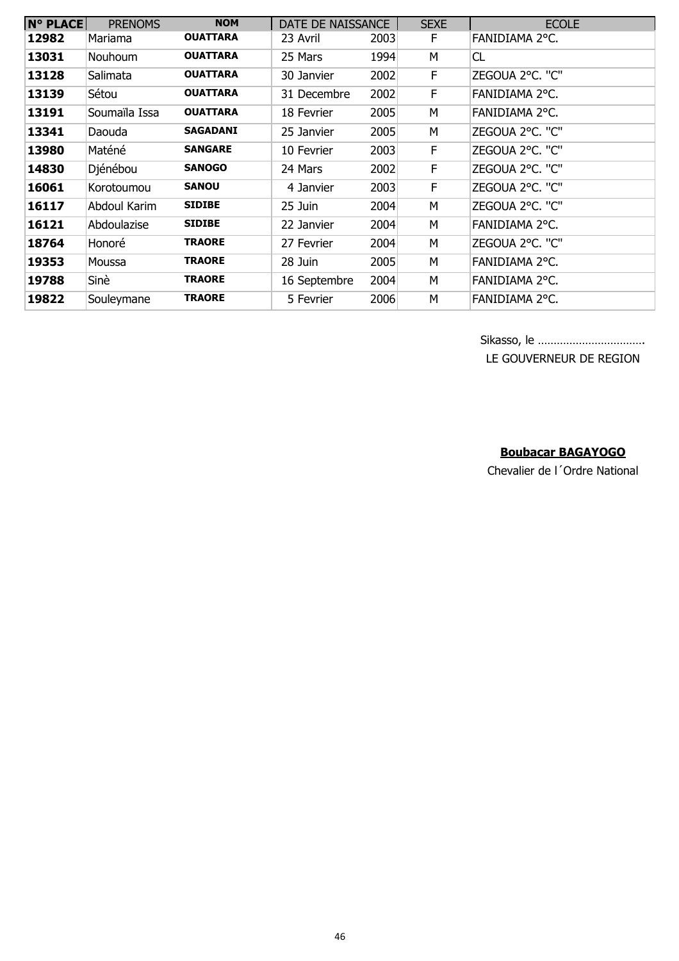| <b>N° PLACE</b> | <b>PRENOMS</b> | <b>NOM</b>      | DATE DE NAISSANCE |      | <b>SEXE</b> | <b>ECOLE</b>    |
|-----------------|----------------|-----------------|-------------------|------|-------------|-----------------|
| 12982           | Mariama        | <b>OUATTARA</b> | 23 Avril          | 2003 | E           | FANIDIAMA 2°C.  |
| 13031           | Nouhoum        | <b>OUATTARA</b> | 25 Mars           | 1994 | М           | CL              |
| 13128           | Salimata       | <b>OUATTARA</b> | 30 Janvier        | 2002 | F           | ZEGOUA 2°C. "C" |
| 13139           | Sétou          | <b>OUATTARA</b> | 31 Decembre       | 2002 | F           | FANIDIAMA 2°C.  |
| 13191           | Soumaïla Issa  | <b>OUATTARA</b> | 18 Fevrier        | 2005 | М           | FANIDIAMA 2°C.  |
| 13341           | Daouda         | <b>SAGADANI</b> | 25 Janvier        | 2005 | м           | ZEGOUA 2°C. "C" |
| 13980           | Maténé         | <b>SANGARE</b>  | 10 Fevrier        | 2003 | E           | ZEGOUA 2°C. "C" |
| 14830           | Djénébou       | <b>SANOGO</b>   | 24 Mars           | 2002 | F           | ZEGOUA 2°C. "C" |
| 16061           | Korotoumou     | <b>SANOU</b>    | 4 Janvier         | 2003 | F.          | ZEGOUA 2°C. "C" |
| 16117           | Abdoul Karim   | <b>SIDIBE</b>   | 25 Juin           | 2004 | M           | ZEGOUA 2°C. "C" |
| 16121           | Abdoulazise    | <b>SIDIBE</b>   | 22 Janvier        | 2004 | M           | FANIDIAMA 2°C.  |
| 18764           | Honoré         | <b>TRAORE</b>   | 27 Fevrier        | 2004 | М           | ZEGOUA 2°C. "C" |
| 19353           | Moussa         | <b>TRAORE</b>   | 28 Juin           | 2005 | M           | FANIDIAMA 2°C.  |
| 19788           | Sinè           | <b>TRAORE</b>   | 16 Septembre      | 2004 | M           | FANIDIAMA 2°C.  |
| 19822           | Souleymane     | <b>TRAORE</b>   | 5 Fevrier         | 2006 | M           | FANIDIAMA 2°C.  |

Sikasso, le ……………………………. LE GOUVERNEUR DE REGION

## **Boubacar BAGAYOGO**

Chevalier de l´Ordre National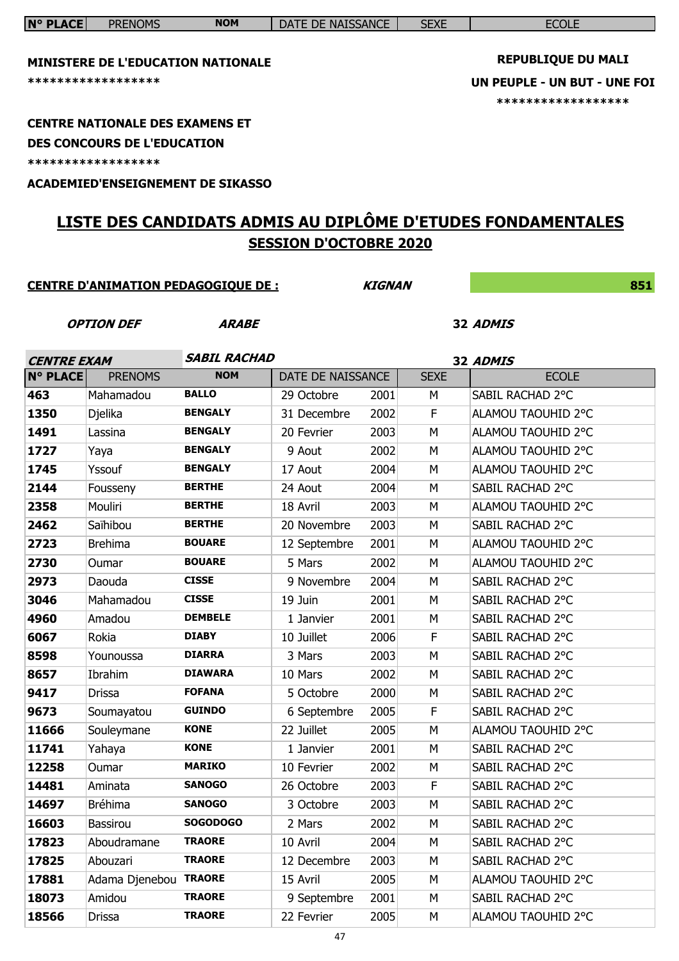| <b>N° PLACE</b>                         | <b>PRENOMS</b>                             | <b>NOM</b>          | DATE DE NAISSANCE             |               | <b>SEXE</b> | <b>ECOLE</b>                                                |
|-----------------------------------------|--------------------------------------------|---------------------|-------------------------------|---------------|-------------|-------------------------------------------------------------|
|                                         |                                            |                     |                               |               |             |                                                             |
|                                         | <b>MINISTERE DE L'EDUCATION NATIONALE</b>  |                     |                               |               |             | <b>REPUBLIQUE DU MALI</b>                                   |
|                                         | ******************                         |                     |                               |               |             | UN PEUPLE - UN BUT - UNE FOI                                |
|                                         |                                            |                     |                               |               |             | ******************                                          |
|                                         | <b>CENTRE NATIONALE DES EXAMENS ET</b>     |                     |                               |               |             |                                                             |
|                                         | <b>DES CONCOURS DE L'EDUCATION</b>         |                     |                               |               |             |                                                             |
|                                         | ******************                         |                     |                               |               |             |                                                             |
|                                         | <b>ACADEMIED'ENSEIGNEMENT DE SIKASSO</b>   |                     |                               |               |             |                                                             |
|                                         |                                            |                     |                               |               |             |                                                             |
|                                         |                                            |                     |                               |               |             | LISTE DES CANDIDATS ADMIS AU DIPLÔME D'ETUDES FONDAMENTALES |
|                                         |                                            |                     | <b>SESSION D'OCTOBRE 2020</b> |               |             |                                                             |
|                                         |                                            |                     |                               |               |             |                                                             |
|                                         | <b>CENTRE D'ANIMATION PEDAGOGIQUE DE :</b> |                     |                               | <b>KIGNAN</b> |             | 851                                                         |
|                                         |                                            |                     |                               |               |             |                                                             |
|                                         | <b>OPTION DEF</b>                          | <b>ARABE</b>        |                               |               |             | 32 ADMIS                                                    |
|                                         |                                            | <b>SABIL RACHAD</b> |                               |               |             |                                                             |
| <b>CENTRE EXAM</b><br>$N^{\circ}$ PLACE | <b>PRENOMS</b>                             | <b>NOM</b>          | DATE DE NAISSANCE             |               | <b>SEXE</b> | 32 ADMIS<br><b>ECOLE</b>                                    |
| 463                                     | Mahamadou                                  | <b>BALLO</b>        | 29 Octobre                    | 2001          | м           | SABIL RACHAD 2°C                                            |
| 1350                                    | Djelika                                    | <b>BENGALY</b>      | 31 Decembre                   | 2002          | F           | ALAMOU TAOUHID 2°C                                          |
| 1491                                    | Lassina                                    | <b>BENGALY</b>      | 20 Fevrier                    | 2003          | M           | ALAMOU TAOUHID 2°C                                          |
| 1727                                    | Yaya                                       | <b>BENGALY</b>      | 9 Aout                        | 2002          | M           | ALAMOU TAOUHID 2°C                                          |
| 1745                                    | Yssouf                                     | <b>BENGALY</b>      | 17 Aout                       | 2004          | M           | ALAMOU TAOUHID 2°C                                          |
| 2144                                    | Fousseny                                   | <b>BERTHE</b>       | 24 Aout                       | 2004          | М           | SABIL RACHAD 2°C                                            |
| 2358                                    | Mouliri                                    | <b>BERTHE</b>       | 18 Avril                      | 2003          | м           | ALAMOU TAOUHID 2°C                                          |
| 2462                                    | Saïhibou                                   | <b>BERTHE</b>       | 20 Novembre                   | 2003          | M           | SABIL RACHAD 2°C                                            |
| 2723                                    | <b>Brehima</b>                             | <b>BOUARE</b>       | 12 Septembre                  | 2001          | М           | ALAMOU TAOUHID 2°C                                          |
| 2730                                    | Oumar                                      | <b>BOUARE</b>       | 5 Mars                        | 2002          | М           | ALAMOU TAOUHID 2°C                                          |
| 2973                                    | Daouda                                     | <b>CISSE</b>        | 9 Novembre                    | 2004          | М           | SABIL RACHAD 2°C                                            |
| 3046                                    | Mahamadou                                  | <b>CISSE</b>        | 19 Juin                       | 2001          | M           | SABIL RACHAD 2°C                                            |
| 4960                                    | Amadou                                     | <b>DEMBELE</b>      | 1 Janvier                     | 2001          | M           | SABIL RACHAD 2°C                                            |
| 6067                                    | Rokia                                      | <b>DIABY</b>        | 10 Juillet                    | 2006          | F           | SABIL RACHAD 2°C                                            |
| 8598                                    | Younoussa                                  | <b>DIARRA</b>       | 3 Mars                        | 2003          | M           | SABIL RACHAD 2°C                                            |
| 8657                                    | Ibrahim                                    | <b>DIAWARA</b>      | 10 Mars                       | 2002          | M           | SABIL RACHAD 2°C                                            |
| 9417                                    | Drissa                                     | <b>FOFANA</b>       | 5 Octobre                     | 2000          | М           | SABIL RACHAD 2°C                                            |
| 9673                                    | Soumayatou                                 | <b>GUINDO</b>       | 6 Septembre                   | 2005          | F           | SABIL RACHAD 2°C                                            |
| 11666                                   | Souleymane                                 | <b>KONE</b>         | 22 Juillet                    | 2005          | M           | ALAMOU TAOUHID 2°C                                          |
| 11741                                   | Yahaya                                     | <b>KONE</b>         | 1 Janvier                     | 2001          | M           | SABIL RACHAD 2°C                                            |
| 12258                                   | Oumar                                      | <b>MARIKO</b>       | 10 Fevrier                    | 2002          | М           | SABIL RACHAD 2°C                                            |
| 14481                                   | Aminata                                    | <b>SANOGO</b>       | 26 Octobre                    | 2003          | F           | SABIL RACHAD 2°C                                            |
| 14697                                   | <b>Bréhima</b>                             | <b>SANOGO</b>       | 3 Octobre                     | 2003          | M           | SABIL RACHAD 2°C                                            |
| 16603                                   | <b>Bassirou</b>                            | <b>SOGODOGO</b>     | 2 Mars                        | 2002          | М           | SABIL RACHAD 2°C                                            |
| 17823                                   | Aboudramane                                | <b>TRAORE</b>       | 10 Avril                      | 2004          | М           | SABIL RACHAD 2°C                                            |
| 17825                                   | Abouzari                                   | <b>TRAORE</b>       | 12 Decembre                   | 2003          | М           | SABIL RACHAD 2°C                                            |
| 17881                                   | Adama Djenebou TRAORE                      |                     | 15 Avril                      | 2005          | М           | ALAMOU TAOUHID 2°C                                          |
| 18073                                   | Amidou                                     | <b>TRAORE</b>       | 9 Septembre                   | 2001          | M           | SABIL RACHAD 2°C                                            |
| 18566                                   | Drissa                                     | <b>TRAORE</b>       | 22 Fevrier                    | 2005          | М           | ALAMOU TAOUHID 2°C                                          |

 $\overline{\phantom{a}}$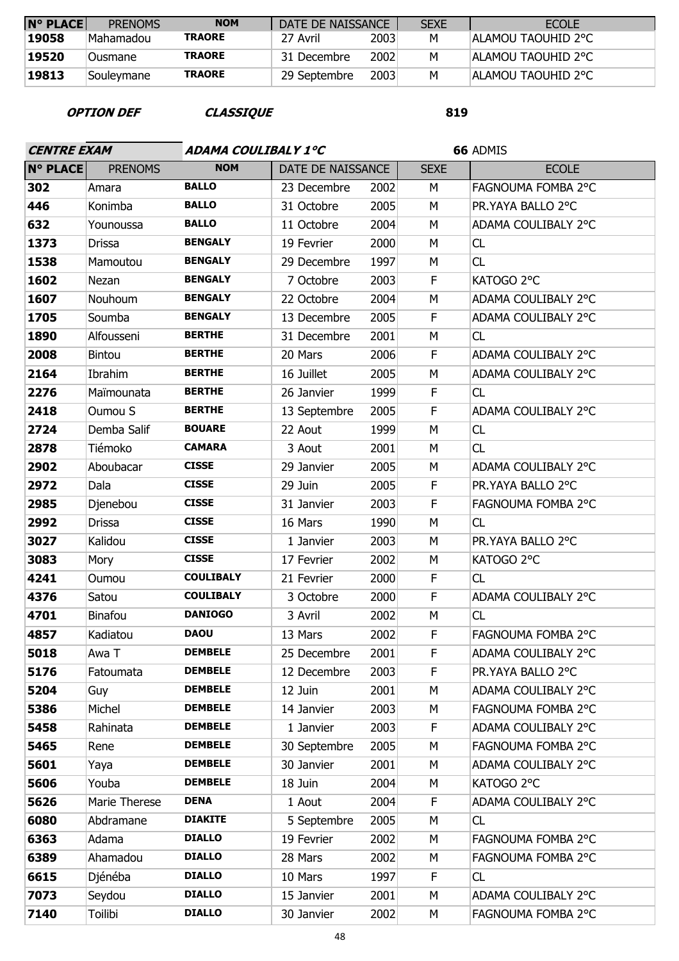| <b>N° PLACE</b> | <b>PRENOMS</b> | <b>NOM</b>    | DATE DE NAISSANCE |      | <b>SEXE</b> | <b>ECOLE</b>               |
|-----------------|----------------|---------------|-------------------|------|-------------|----------------------------|
| 19058           | Mahamadou      | <b>TRAORE</b> | 27 Avril          | 2003 | M           | ALAMOU TAOUHID 2°C         |
| 19520           | Ousmane        | <b>TRAORE</b> | 31 Decembre       | 2002 | M           | <b>IALAMOU TAOUHID 2°C</b> |
| 19813           | Soulevmane     | <b>TRAORE</b> | 29 Septembre      | 2003 | М           | <b>ALAMOU TAOUHID 2°C</b>  |

**OPTION DEF CLASSIQUE**

| <b>CENTRE EXAM</b> |                | ADAMA COULIBALY 1°C |                   |      |             | 66 ADMIS            |
|--------------------|----------------|---------------------|-------------------|------|-------------|---------------------|
| <b>N° PLACE</b>    | <b>PRENOMS</b> | <b>NOM</b>          | DATE DE NAISSANCE |      | <b>SEXE</b> | <b>ECOLE</b>        |
| 302                | Amara          | <b>BALLO</b>        | 23 Decembre       | 2002 | M           | FAGNOUMA FOMBA 2°C  |
| 446                | Konimba        | <b>BALLO</b>        | 31 Octobre        | 2005 | M           | PR.YAYA BALLO 2°C   |
| 632                | Younoussa      | <b>BALLO</b>        | 11 Octobre        | 2004 | M           | ADAMA COULIBALY 2°C |
| 1373               | <b>Drissa</b>  | <b>BENGALY</b>      | 19 Fevrier        | 2000 | M           | CL                  |
| 1538               | Mamoutou       | <b>BENGALY</b>      | 29 Decembre       | 1997 | М           | CL                  |
| 1602               | Nezan          | <b>BENGALY</b>      | 7 Octobre         | 2003 | F           | KATOGO 2°C          |
| 1607               | Nouhoum        | <b>BENGALY</b>      | 22 Octobre        | 2004 | M           | ADAMA COULIBALY 2°C |
| 1705               | Soumba         | <b>BENGALY</b>      | 13 Decembre       | 2005 | F           | ADAMA COULIBALY 2°C |
| 1890               | Alfousseni     | <b>BERTHE</b>       | 31 Decembre       | 2001 | M           | CL                  |
| 2008               | <b>Bintou</b>  | <b>BERTHE</b>       | 20 Mars           | 2006 | F           | ADAMA COULIBALY 2°C |
| 2164               | Ibrahim        | <b>BERTHE</b>       | 16 Juillet        | 2005 | M           | ADAMA COULIBALY 2°C |
| 2276               | Maïmounata     | <b>BERTHE</b>       | 26 Janvier        | 1999 | F           | CL                  |
| 2418               | Oumou S        | <b>BERTHE</b>       | 13 Septembre      | 2005 | F           | ADAMA COULIBALY 2°C |
| 2724               | Demba Salif    | <b>BOUARE</b>       | 22 Aout           | 1999 | M           | CL                  |
| 2878               | Tiémoko        | <b>CAMARA</b>       | 3 Aout            | 2001 | М           | CL                  |
| 2902               | Aboubacar      | <b>CISSE</b>        | 29 Janvier        | 2005 | M           | ADAMA COULIBALY 2°C |
| 2972               | Dala           | <b>CISSE</b>        | 29 Juin           | 2005 | F           | PR.YAYA BALLO 2°C   |
| 2985               | Djenebou       | <b>CISSE</b>        | 31 Janvier        | 2003 | F           | FAGNOUMA FOMBA 2°C  |
| 2992               | <b>Drissa</b>  | <b>CISSE</b>        | 16 Mars           | 1990 | М           | CL                  |
| 3027               | Kalidou        | <b>CISSE</b>        | 1 Janvier         | 2003 | M           | PR.YAYA BALLO 2°C   |
| 3083               | Mory           | <b>CISSE</b>        | 17 Fevrier        | 2002 | M           | KATOGO 2°C          |
| 4241               | Oumou          | <b>COULIBALY</b>    | 21 Fevrier        | 2000 | F           | CL                  |
| 4376               | Satou          | <b>COULIBALY</b>    | 3 Octobre         | 2000 | F           | ADAMA COULIBALY 2°C |
| 4701               | Binafou        | <b>DANIOGO</b>      | 3 Avril           | 2002 | M           | CL                  |
| 4857               | Kadiatou       | <b>DAOU</b>         | 13 Mars           | 2002 | F           | FAGNOUMA FOMBA 2°C  |
| 5018               | Awa T          | <b>DEMBELE</b>      | 25 Decembre       | 2001 | F           | ADAMA COULIBALY 2°C |
| 5176               | Fatoumata      | <b>DEMBELE</b>      | 12 Decembre       | 2003 | F           | PR.YAYA BALLO 2°C   |
| 5204               | Guy            | <b>DEMBELE</b>      | 12 Juin           | 2001 | M           | ADAMA COULIBALY 2°C |
| 5386               | Michel         | <b>DEMBELE</b>      | 14 Janvier        | 2003 | М           | FAGNOUMA FOMBA 2°C  |
| 5458               | Rahinata       | <b>DEMBELE</b>      | 1 Janvier         | 2003 | F           | ADAMA COULIBALY 2°C |
| 5465               | Rene           | <b>DEMBELE</b>      | 30 Septembre      | 2005 | M           | FAGNOUMA FOMBA 2°C  |
| 5601               | Yaya           | <b>DEMBELE</b>      | 30 Janvier        | 2001 | M           | ADAMA COULIBALY 2°C |
| 5606               | Youba          | <b>DEMBELE</b>      | 18 Juin           | 2004 | М           | KATOGO 2°C          |
| 5626               | Marie Therese  | <b>DENA</b>         | 1 Aout            | 2004 | F           | ADAMA COULIBALY 2°C |
| 6080               | Abdramane      | <b>DIAKITE</b>      | 5 Septembre       | 2005 | М           | CL                  |
| 6363               | Adama          | <b>DIALLO</b>       | 19 Fevrier        | 2002 | М           | FAGNOUMA FOMBA 2°C  |
| 6389               | Ahamadou       | <b>DIALLO</b>       | 28 Mars           | 2002 | M           | FAGNOUMA FOMBA 2°C  |
| 6615               | Djénéba        | <b>DIALLO</b>       | 10 Mars           | 1997 | F           | CL                  |
| 7073               | Seydou         | <b>DIALLO</b>       | 15 Janvier        | 2001 | М           | ADAMA COULIBALY 2°C |
| 7140               | Toilibi        | <b>DIALLO</b>       | 30 Janvier        | 2002 | М           | FAGNOUMA FOMBA 2°C  |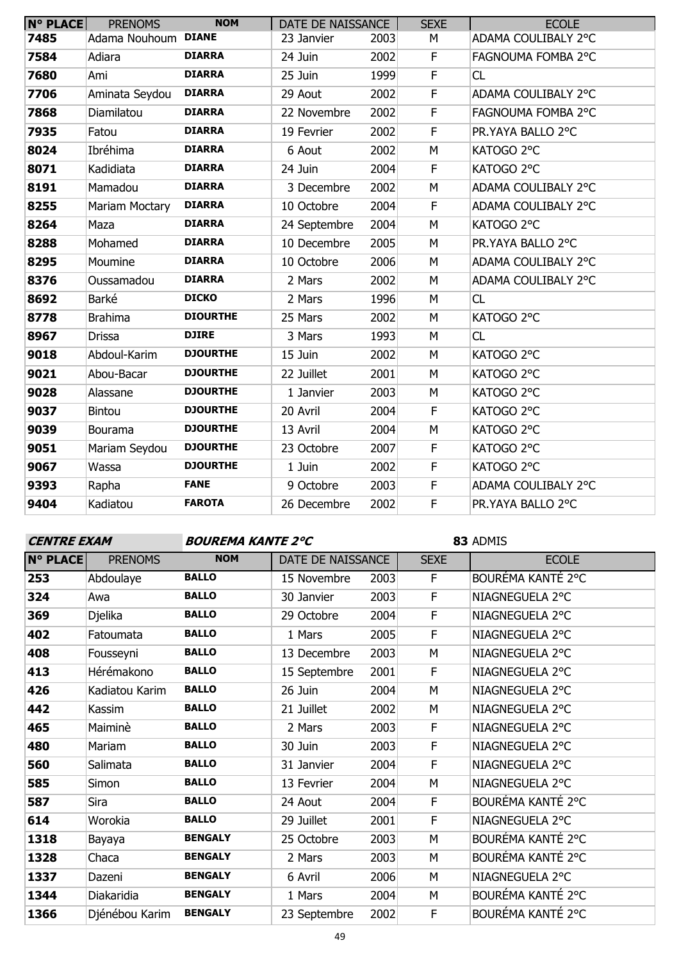| <b>N° PLACE</b> | <b>PRENOMS</b> | <b>NOM</b>      | DATE DE NAISSANCE |      | <b>SEXE</b>  | <b>ECOLE</b>        |
|-----------------|----------------|-----------------|-------------------|------|--------------|---------------------|
| 7485            | Adama Nouhoum  | <b>DIANE</b>    | 23 Janvier        | 2003 | M            | ADAMA COULIBALY 2°C |
| 7584            | Adiara         | <b>DIARRA</b>   | 24 Juin           | 2002 | F            | FAGNOUMA FOMBA 2°C  |
| 7680            | Ami            | <b>DIARRA</b>   | 25 Juin           | 1999 | $\mathsf F$  | <b>CL</b>           |
| 7706            | Aminata Seydou | <b>DIARRA</b>   | 29 Aout           | 2002 | $\mathsf F$  | ADAMA COULIBALY 2°C |
| 7868            | Diamilatou     | <b>DIARRA</b>   | 22 Novembre       | 2002 | $\mathsf F$  | FAGNOUMA FOMBA 2°C  |
| 7935            | Fatou          | <b>DIARRA</b>   | 19 Fevrier        | 2002 | $\mathsf F$  | PR.YAYA BALLO 2°C   |
| 8024            | Ibréhima       | <b>DIARRA</b>   | 6 Aout            | 2002 | M            | KATOGO 2°C          |
| 8071            | Kadidiata      | <b>DIARRA</b>   | 24 Juin           | 2004 | $\mathsf F$  | KATOGO 2°C          |
| 8191            | Mamadou        | <b>DIARRA</b>   | 3 Decembre        | 2002 | M            | ADAMA COULIBALY 2°C |
| 8255            | Mariam Moctary | <b>DIARRA</b>   | 10 Octobre        | 2004 | $\mathsf{F}$ | ADAMA COULIBALY 2°C |
| 8264            | Maza           | <b>DIARRA</b>   | 24 Septembre      | 2004 | M            | KATOGO 2°C          |
| 8288            | Mohamed        | <b>DIARRA</b>   | 10 Decembre       | 2005 | M            | PR.YAYA BALLO 2°C   |
| 8295            | Moumine        | <b>DIARRA</b>   | 10 Octobre        | 2006 | M            | ADAMA COULIBALY 2°C |
| 8376            | Oussamadou     | <b>DIARRA</b>   | 2 Mars            | 2002 | M            | ADAMA COULIBALY 2°C |
| 8692            | Barké          | <b>DICKO</b>    | 2 Mars            | 1996 | M            | <b>CL</b>           |
| 8778            | <b>Brahima</b> | <b>DIOURTHE</b> | 25 Mars           | 2002 | M            | KATOGO 2°C          |
| 8967            | <b>Drissa</b>  | <b>DJIRE</b>    | 3 Mars            | 1993 | M            | CL                  |
| 9018            | Abdoul-Karim   | <b>DJOURTHE</b> | 15 Juin           | 2002 | M            | KATOGO 2°C          |
| 9021            | Abou-Bacar     | <b>DJOURTHE</b> | 22 Juillet        | 2001 | M            | KATOGO 2°C          |
| 9028            | Alassane       | <b>DJOURTHE</b> | 1 Janvier         | 2003 | M            | KATOGO 2°C          |
| 9037            | <b>Bintou</b>  | <b>DJOURTHE</b> | 20 Avril          | 2004 | F            | KATOGO 2°C          |
| 9039            | Bourama        | <b>DJOURTHE</b> | 13 Avril          | 2004 | M            | KATOGO 2°C          |
| 9051            | Mariam Seydou  | <b>DJOURTHE</b> | 23 Octobre        | 2007 | $\mathsf F$  | KATOGO 2°C          |
| 9067            | Wassa          | <b>DJOURTHE</b> | 1 Juin            | 2002 | F            | KATOGO 2°C          |
| 9393            | Rapha          | <b>FANE</b>     | 9 Octobre         | 2003 | $\mathsf F$  | ADAMA COULIBALY 2°C |
| 9404            | Kadiatou       | <b>FAROTA</b>   | 26 Decembre       | 2002 | F            | PR.YAYA BALLO 2°C   |

| <b>CENTRE EXAM</b> |                | <b>BOUREMA KANTE 2°C</b> |                   |      | 83 ADMIS    |                   |
|--------------------|----------------|--------------------------|-------------------|------|-------------|-------------------|
| <b>N° PLACE</b>    | <b>PRENOMS</b> | <b>NOM</b>               | DATE DE NAISSANCE |      | <b>SEXE</b> | <b>ECOLE</b>      |
| 253                | Abdoulaye      | <b>BALLO</b>             | 15 Novembre       | 2003 | F.          | BOURÉMA KANTÉ 2°C |
| 324                | Awa            | <b>BALLO</b>             | 30 Janvier        | 2003 | F           | NIAGNEGUELA 2°C   |
| 369                | Djelika        | <b>BALLO</b>             | 29 Octobre        | 2004 | F           | NIAGNEGUELA 2°C   |
| 402                | Fatoumata      | <b>BALLO</b>             | 1 Mars            | 2005 | F           | NIAGNEGUELA 2°C   |
| 408                | Fousseyni      | <b>BALLO</b>             | 13 Decembre       | 2003 | М           | NIAGNEGUELA 2°C   |
| 413                | Hérémakono     | <b>BALLO</b>             | 15 Septembre      | 2001 | F           | NIAGNEGUELA 2°C   |
| 426                | Kadiatou Karim | <b>BALLO</b>             | 26 Juin           | 2004 | М           | NIAGNEGUELA 2°C   |
| 442                | Kassim         | <b>BALLO</b>             | 21 Juillet        | 2002 | М           | NIAGNEGUELA 2°C   |
| 465                | Maiminè        | <b>BALLO</b>             | 2 Mars            | 2003 | F           | NIAGNEGUELA 2°C   |
| 480                | Mariam         | <b>BALLO</b>             | 30 Juin           | 2003 | F           | NIAGNEGUELA 2°C   |
| 560                | Salimata       | <b>BALLO</b>             | 31 Janvier        | 2004 | F           | NIAGNEGUELA 2°C   |
| 585                | Simon          | <b>BALLO</b>             | 13 Fevrier        | 2004 | М           | NIAGNEGUELA 2°C   |
| 587                | Sira           | <b>BALLO</b>             | 24 Aout           | 2004 | F           | BOURÉMA KANTÉ 2°C |
| 614                | Worokia        | <b>BALLO</b>             | 29 Juillet        | 2001 | F           | NIAGNEGUELA 2°C   |
| 1318               | Bayaya         | <b>BENGALY</b>           | 25 Octobre        | 2003 | М           | BOURÉMA KANTÉ 2°C |
| 1328               | Chaca          | <b>BENGALY</b>           | 2 Mars            | 2003 | М           | BOURÉMA KANTÉ 2°C |
| 1337               | Dazeni         | <b>BENGALY</b>           | 6 Avril           | 2006 | М           | NIAGNEGUELA 2°C   |
| 1344               | Diakaridia     | <b>BENGALY</b>           | 1 Mars            | 2004 | М           | BOURÉMA KANTÉ 2°C |
| 1366               | Djénébou Karim | <b>BENGALY</b>           | 23 Septembre      | 2002 | F           | BOURÉMA KANTÉ 2°C |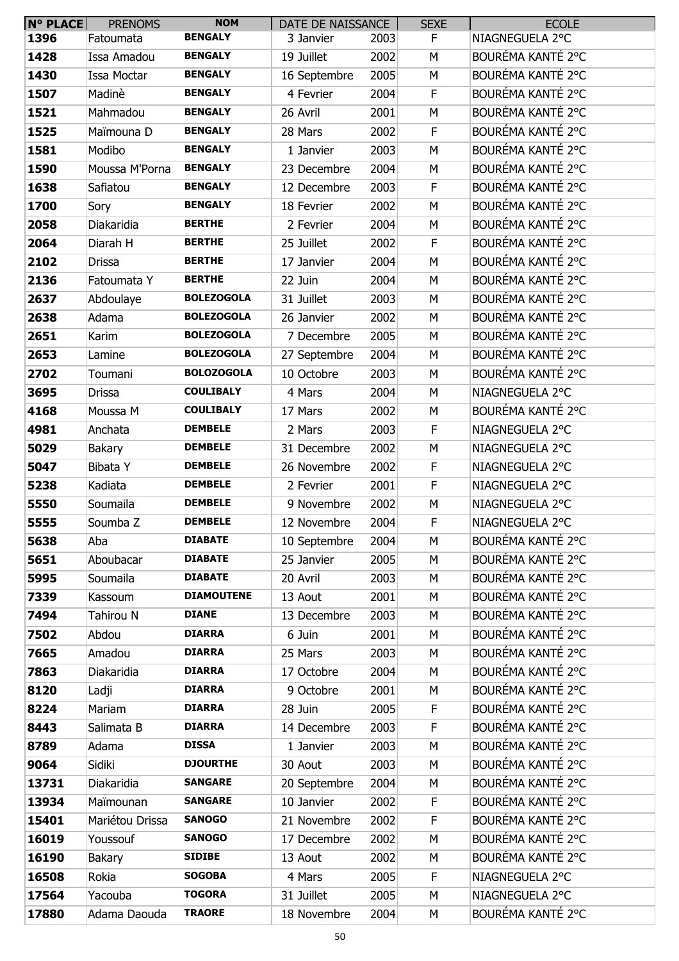| $N^{\circ}$ PLACE | <b>PRENOMS</b>  | <b>NOM</b>        | DATE DE NAISSANCE |      | <b>SEXE</b> | <b>ECOLE</b>      |
|-------------------|-----------------|-------------------|-------------------|------|-------------|-------------------|
| 1396              | Fatoumata       | <b>BENGALY</b>    | 3 Janvier         | 2003 | F.          | NIAGNEGUELA 2°C   |
| 1428              | Issa Amadou     | <b>BENGALY</b>    | 19 Juillet        | 2002 | M           | BOURÉMA KANTÉ 2°C |
| 1430              | Issa Moctar     | <b>BENGALY</b>    | 16 Septembre      | 2005 | M           | BOURÉMA KANTÉ 2°C |
| 1507              | Madinè          | <b>BENGALY</b>    | 4 Fevrier         | 2004 | F           | BOURÉMA KANTÉ 2°C |
| 1521              | Mahmadou        | <b>BENGALY</b>    | 26 Avril          | 2001 | M           | BOURÉMA KANTÉ 2°C |
| 1525              | Maïmouna D      | <b>BENGALY</b>    | 28 Mars           | 2002 | F           | BOURÉMA KANTÉ 2°C |
| 1581              | Modibo          | <b>BENGALY</b>    | 1 Janvier         | 2003 | M           | BOURÉMA KANTÉ 2°C |
| 1590              | Moussa M'Porna  | <b>BENGALY</b>    | 23 Decembre       | 2004 | M           | BOURÉMA KANTÉ 2°C |
| 1638              | Safiatou        | <b>BENGALY</b>    | 12 Decembre       | 2003 | F           | BOURÉMA KANTÉ 2°C |
| 1700              | Sory            | <b>BENGALY</b>    | 18 Fevrier        | 2002 | M           | BOURÉMA KANTÉ 2°C |
| 2058              | Diakaridia      | <b>BERTHE</b>     | 2 Fevrier         | 2004 | M           | BOURÉMA KANTÉ 2°C |
| 2064              | Diarah H        | <b>BERTHE</b>     | 25 Juillet        | 2002 | F           | BOURÉMA KANTÉ 2°C |
| 2102              | <b>Drissa</b>   | <b>BERTHE</b>     | 17 Janvier        | 2004 | M           | BOURÉMA KANTÉ 2°C |
| 2136              | Fatoumata Y     | <b>BERTHE</b>     | 22 Juin           | 2004 | M           | BOURÉMA KANTÉ 2°C |
| 2637              | Abdoulaye       | <b>BOLEZOGOLA</b> | 31 Juillet        | 2003 | М           | BOURÉMA KANTÉ 2°C |
| 2638              | Adama           | <b>BOLEZOGOLA</b> | 26 Janvier        | 2002 | M           | BOURÉMA KANTÉ 2°C |
| 2651              | Karim           | <b>BOLEZOGOLA</b> | 7 Decembre        | 2005 | M           | BOURÉMA KANTÉ 2°C |
| 2653              | Lamine          | <b>BOLEZOGOLA</b> | 27 Septembre      | 2004 | M           | BOURÉMA KANTÉ 2°C |
| 2702              | Toumani         | <b>BOLOZOGOLA</b> | 10 Octobre        | 2003 | M           | BOURÉMA KANTÉ 2°C |
| 3695              | Drissa          | <b>COULIBALY</b>  | 4 Mars            | 2004 | M           | NIAGNEGUELA 2°C   |
| 4168              | Moussa M        | <b>COULIBALY</b>  | 17 Mars           | 2002 | M           | BOURÉMA KANTÉ 2°C |
| 4981              | Anchata         | <b>DEMBELE</b>    | 2 Mars            | 2003 | F           | NIAGNEGUELA 2°C   |
| 5029              | Bakary          | <b>DEMBELE</b>    | 31 Decembre       | 2002 | M           | NIAGNEGUELA 2°C   |
| 5047              | Bibata Y        | <b>DEMBELE</b>    | 26 Novembre       | 2002 | F           | NIAGNEGUELA 2°C   |
| 5238              | Kadiata         | <b>DEMBELE</b>    | 2 Fevrier         | 2001 | F           | NIAGNEGUELA 2°C   |
| 5550              | Soumaila        | <b>DEMBELE</b>    | 9 Novembre        | 2002 | M           | NIAGNEGUELA 2°C   |
| 5555              | Soumba Z        | <b>DEMBELE</b>    | 12 Novembre       | 2004 | F           | NIAGNEGUELA 2°C   |
| 5638              | Aba             | <b>DIABATE</b>    | 10 Septembre      | 2004 | M           | BOURÉMA KANTÉ 2°C |
| 5651              | Aboubacar       | <b>DIABATE</b>    | 25 Janvier        | 2005 | M           | BOURÉMA KANTÉ 2°C |
| 5995              | Soumaila        | <b>DIABATE</b>    | 20 Avril          | 2003 | М           | BOURÉMA KANTÉ 2°C |
| 7339              | Kassoum         | <b>DIAMOUTENE</b> | 13 Aout           | 2001 | M           | BOURÉMA KANTÉ 2°C |
| 7494              | Tahirou N       | <b>DIANE</b>      | 13 Decembre       | 2003 | M           | BOURÉMA KANTÉ 2°C |
| 7502              | Abdou           | <b>DIARRA</b>     | 6 Juin            | 2001 | M           | BOURÉMA KANTÉ 2°C |
| 7665              | Amadou          | <b>DIARRA</b>     | 25 Mars           | 2003 | M           | BOURÉMA KANTÉ 2°C |
| 7863              | Diakaridia      | <b>DIARRA</b>     | 17 Octobre        | 2004 | M           | BOURÉMA KANTÉ 2°C |
| 8120              | Ladji           | <b>DIARRA</b>     | 9 Octobre         | 2001 | M           | BOURÉMA KANTÉ 2°C |
| 8224              | Mariam          | <b>DIARRA</b>     | 28 Juin           | 2005 | F           | BOURÉMA KANTÉ 2°C |
| 8443              | Salimata B      | <b>DIARRA</b>     | 14 Decembre       | 2003 | F           | BOURÉMA KANTÉ 2°C |
| 8789              | Adama           | <b>DISSA</b>      | 1 Janvier         | 2003 | M           | BOURÉMA KANTÉ 2°C |
| 9064              | Sidiki          | <b>DJOURTHE</b>   | 30 Aout           | 2003 | M           | BOURÉMA KANTÉ 2°C |
| 13731             | Diakaridia      | <b>SANGARE</b>    | 20 Septembre      | 2004 | M           | BOURÉMA KANTÉ 2°C |
| 13934             | Maïmounan       | <b>SANGARE</b>    | 10 Janvier        | 2002 | F           | BOURÉMA KANTÉ 2°C |
| 15401             | Mariétou Drissa | <b>SANOGO</b>     | 21 Novembre       | 2002 | F           | BOURÉMA KANTÉ 2°C |
| 16019             | Youssouf        | <b>SANOGO</b>     | 17 Decembre       | 2002 | М           | BOURÉMA KANTÉ 2°C |
| 16190             | <b>Bakary</b>   | <b>SIDIBE</b>     | 13 Aout           | 2002 | M           | BOURÉMA KANTÉ 2°C |
| 16508             | Rokia           | <b>SOGOBA</b>     | 4 Mars            | 2005 | F           | NIAGNEGUELA 2°C   |
| 17564             | Yacouba         | <b>TOGORA</b>     | 31 Juillet        | 2005 | M           | NIAGNEGUELA 2°C   |
| 17880             | Adama Daouda    | <b>TRAORE</b>     | 18 Novembre       | 2004 | М           | BOURÉMA KANTÉ 2°C |
|                   |                 |                   |                   |      |             |                   |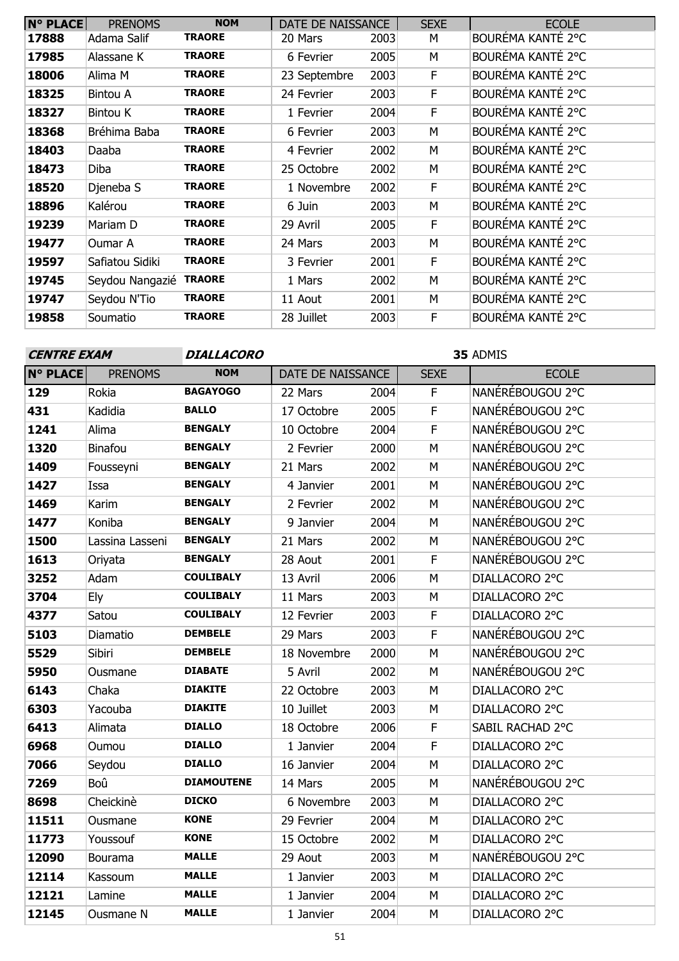| <b>N° PLACE</b> | <b>PRENOMS</b>  | <b>NOM</b>    | DATE DE NAISSANCE |      | <b>SEXE</b> | <b>ECOLE</b>      |
|-----------------|-----------------|---------------|-------------------|------|-------------|-------------------|
| 17888           | Adama Salif     | <b>TRAORE</b> | 20 Mars           | 2003 | М           | BOURÉMA KANTÉ 2°C |
| 17985           | Alassane K      | <b>TRAORE</b> | 6 Fevrier         | 2005 | M           | BOURÉMA KANTÉ 2°C |
| 18006           | Alima M         | <b>TRAORE</b> | 23 Septembre      | 2003 | F.          | BOURÉMA KANTÉ 2°C |
| 18325           | <b>Bintou A</b> | <b>TRAORE</b> | 24 Fevrier        | 2003 | F           | BOURÉMA KANTÉ 2°C |
| 18327           | <b>Bintou K</b> | <b>TRAORE</b> | 1 Fevrier         | 2004 | F.          | BOURÉMA KANTÉ 2°C |
| 18368           | Bréhima Baba    | <b>TRAORE</b> | 6 Fevrier         | 2003 | M           | BOURÉMA KANTÉ 2°C |
| 18403           | Daaba           | <b>TRAORE</b> | 4 Fevrier         | 2002 | M           | BOURÉMA KANTÉ 2°C |
| 18473           | Diba            | <b>TRAORE</b> | 25 Octobre        | 2002 | M           | BOURÉMA KANTÉ 2°C |
| 18520           | Djeneba S       | <b>TRAORE</b> | 1 Novembre        | 2002 | F.          | BOURÉMA KANTÉ 2°C |
| 18896           | Kalérou         | <b>TRAORE</b> | 6 Juin            | 2003 | M           | BOURÉMA KANTÉ 2°C |
| 19239           | Mariam D        | <b>TRAORE</b> | 29 Avril          | 2005 | F           | BOURÉMA KANTÉ 2°C |
| 19477           | Oumar A         | <b>TRAORE</b> | 24 Mars           | 2003 | M           | BOURÉMA KANTÉ 2°C |
| 19597           | Safiatou Sidiki | <b>TRAORE</b> | 3 Fevrier         | 2001 | F           | BOURÉMA KANTÉ 2°C |
| 19745           | Seydou Nangazié | <b>TRAORE</b> | 1 Mars            | 2002 | M           | BOURÉMA KANTÉ 2°C |
| 19747           | Seydou N'Tio    | <b>TRAORE</b> | 11 Aout           | 2001 | M           | BOURÉMA KANTÉ 2°C |
| 19858           | Soumatio        | <b>TRAORE</b> | 28 Juillet        | 2003 | F           | BOURÉMA KANTÉ 2°C |

# ADMIS **N° PLACE** PRENOMS **NOM** | DATE DE NAISSANCE | SEXE | ECOLE Rokia **BAGAYOGO** 22 Mars 2004 F NANÉRÉBOUGOU 2°C Kadidia **BALLO** 17 Octobre 2005 F NANÉRÉBOUGOU 2°C Alima **BENGALY** 10 Octobre 2004 F NANÉRÉBOUGOU 2°C Binafou **BENGALY** 2 Fevrier 2000 M NANÉRÉBOUGOU 2°C Fousseyni **BENGALY** 21 Mars 2002 M NANÉRÉBOUGOU 2°C Issa **BENGALY** 4 Janvier 2001 M NANÉRÉBOUGOU 2°C Karim **BENGALY** 2 Fevrier 2002 M NANÉRÉBOUGOU 2°C Koniba **BENGALY** 9 Janvier 2004 M NANÉRÉBOUGOU 2°C Lassina Lasseni **BENGALY** 21 Mars 2002 M NANÉRÉBOUGOU 2°C Oriyata **BENGALY** 28 Aout 2001 F NANÉRÉBOUGOU 2°C Adam **COULIBALY** 13 Avril 2006 M DIALLACORO 2°C Ely **COULIBALY** 11 Mars 2003 M DIALLACORO 2°C Satou **COULIBALY** 12 Fevrier 2003 F DIALLACORO 2°C Diamatio **DEMBELE** 29 Mars 2003 F NANÉRÉBOUGOU 2°C Sibiri **DEMBELE** 18 Novembre 2000 M NANÉRÉBOUGOU 2°C Ousmane **DIABATE** 5 Avril 2002 M NANÉRÉBOUGOU 2°C Chaka **DIAKITE** 22 Octobre 2003 M DIALLACORO 2°C Yacouba **DIAKITE** 10 Juillet 2003 M DIALLACORO 2°C Alimata **DIALLO** 18 Octobre 2006 F SABIL RACHAD 2°C Oumou **DIALLO** 1 Janvier 2004 F DIALLACORO 2°C Seydou **DIALLO** 16 Janvier 2004 M DIALLACORO 2°C Boû **DIAMOUTENE** 14 Mars 2005 M NANÉRÉBOUGOU 2°C Cheickinè **DICKO** 6 Novembre 2003 M DIALLACORO 2°C Ousmane **KONE** 29 Fevrier 2004 M DIALLACORO 2°C Youssouf **KONE** 15 Octobre 2002 M DIALLACORO 2°C Bourama **MALLE** 29 Aout 2003 M NANÉRÉBOUGOU 2°C Kassoum MALLE 1 Janvier 2003 M DIALLACORO 2°C Lamine **MALLE** 1 Janvier 2004 M DIALLACORO 2°C Ousmane N **MALLE** 1 Janvier 2004 M DIALLACORO 2°C **CENTRE EXAM DIALLACORO**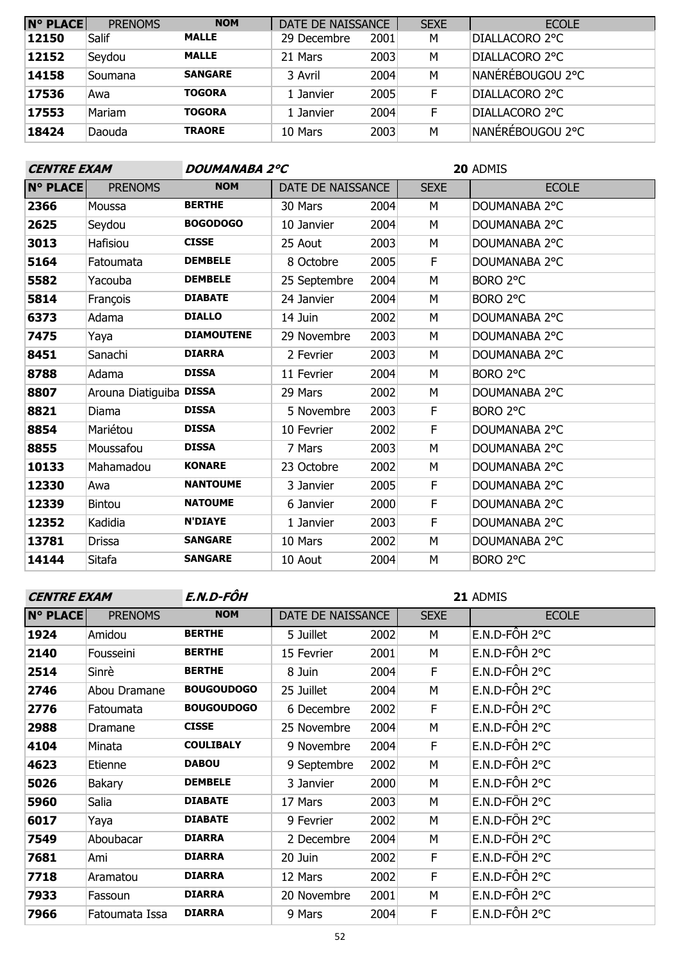| <b>N° PLACE</b> | <b>PRENOMS</b> | <b>NOM</b>     | DATE DE NAISSANCE |      | <b>SEXE</b> | <b>ECOLE</b>            |
|-----------------|----------------|----------------|-------------------|------|-------------|-------------------------|
| 12150           | Salif          | <b>MALLE</b>   | 29 Decembre       | 2001 | M           | DIALLACORO 2°C          |
| 12152           | Seydou         | <b>MALLE</b>   | 21 Mars           | 2003 | М           | DIALLACORO 2°C          |
| 14158           | Soumana        | <b>SANGARE</b> | 3 Avril           | 2004 | M           | NANÉRÉBOUGOU 2°C        |
| 17536           | Awa            | <b>TOGORA</b>  | 1 Janvier         | 2005 | F           | DIALLACORO 2°C          |
| 17553           | Mariam         | <b>TOGORA</b>  | 1 Janvier         | 2004 | F           | DIALLACORO 2°C          |
| 18424           | Daouda         | <b>TRAORE</b>  | 10 Mars           | 2003 | M           | <b>NANÉRÉBOUGOU 2°C</b> |

| <b>CENTRE EXAM</b> |                         | <b>DOUMANABA 2°C</b> |                   |      | <b>20 ADMIS</b> |               |  |
|--------------------|-------------------------|----------------------|-------------------|------|-----------------|---------------|--|
| <b>N° PLACE</b>    | <b>PRENOMS</b>          | <b>NOM</b>           | DATE DE NAISSANCE |      | <b>SEXE</b>     | <b>ECOLE</b>  |  |
| 2366               | Moussa                  | <b>BERTHE</b>        | 30 Mars           | 2004 | M               | DOUMANABA 2°C |  |
| 2625               | Seydou                  | <b>BOGODOGO</b>      | 10 Janvier        | 2004 | М               | DOUMANABA 2°C |  |
| 3013               | Hafisiou                | <b>CISSE</b>         | 25 Aout           | 2003 | M               | DOUMANABA 2°C |  |
| 5164               | Fatoumata               | <b>DEMBELE</b>       | 8 Octobre         | 2005 | F               | DOUMANABA 2°C |  |
| 5582               | Yacouba                 | <b>DEMBELE</b>       | 25 Septembre      | 2004 | М               | BORO 2°C      |  |
| 5814               | François                | <b>DIABATE</b>       | 24 Janvier        | 2004 | М               | BORO 2°C      |  |
| 6373               | Adama                   | <b>DIALLO</b>        | 14 Juin           | 2002 | М               | DOUMANABA 2°C |  |
| 7475               | Yaya                    | <b>DIAMOUTENE</b>    | 29 Novembre       | 2003 | М               | DOUMANABA 2°C |  |
| 8451               | Sanachi                 | <b>DIARRA</b>        | 2 Fevrier         | 2003 | М               | DOUMANABA 2°C |  |
| 8788               | Adama                   | <b>DISSA</b>         | 11 Fevrier        | 2004 | М               | BORO 2°C      |  |
| 8807               | Arouna Diatiguiba DISSA |                      | 29 Mars           | 2002 | М               | DOUMANABA 2°C |  |
| 8821               | Diama                   | <b>DISSA</b>         | 5 Novembre        | 2003 | F               | BORO 2°C      |  |
| 8854               | Mariétou                | <b>DISSA</b>         | 10 Fevrier        | 2002 | F               | DOUMANABA 2°C |  |
| 8855               | Moussafou               | <b>DISSA</b>         | 7 Mars            | 2003 | М               | DOUMANABA 2°C |  |
| 10133              | Mahamadou               | <b>KONARE</b>        | 23 Octobre        | 2002 | М               | DOUMANABA 2°C |  |
| 12330              | Awa                     | <b>NANTOUME</b>      | 3 Janvier         | 2005 | F               | DOUMANABA 2°C |  |
| 12339              | <b>Bintou</b>           | <b>NATOUME</b>       | 6 Janvier         | 2000 | F               | DOUMANABA 2°C |  |
| 12352              | Kadidia                 | <b>N'DIAYE</b>       | 1 Janvier         | 2003 | F               | DOUMANABA 2°C |  |
| 13781              | Drissa                  | <b>SANGARE</b>       | 10 Mars           | 2002 | М               | DOUMANABA 2°C |  |
| 14144              | Sitafa                  | <b>SANGARE</b>       | 10 Aout           | 2004 | M               | BORO 2°C      |  |

| <b>CENTRE EXAM</b> |                | E.N.D-FÔH         |                   |      | 21 ADMIS    |                 |  |
|--------------------|----------------|-------------------|-------------------|------|-------------|-----------------|--|
| N° PLACE           | <b>PRENOMS</b> | <b>NOM</b>        | DATE DE NAISSANCE |      | <b>SEXE</b> | <b>ECOLE</b>    |  |
| 1924               | Amidou         | <b>BERTHE</b>     | 5 Juillet         | 2002 | М           | $E.N.D-FÔH 2°C$ |  |
| 2140               | Fousseini      | <b>BERTHE</b>     | 15 Fevrier        | 2001 | М           | E.N.D-FÔH 2°C   |  |
| 2514               | Sinrè          | <b>BERTHE</b>     | 8 Juin            | 2004 | F           | E.N.D-FÔH 2°C   |  |
| 2746               | Abou Dramane   | <b>BOUGOUDOGO</b> | 25 Juillet        | 2004 | M           | E.N.D-FÔH 2°C   |  |
| 2776               | Fatoumata      | <b>BOUGOUDOGO</b> | 6 Decembre        | 2002 | F           | E.N.D-FÔH 2°C   |  |
| 2988               | Dramane        | <b>CISSE</b>      | 25 Novembre       | 2004 | М           | E.N.D-FÔH 2°C   |  |
| 4104               | Minata         | <b>COULIBALY</b>  | 9 Novembre        | 2004 | F           | E.N.D-FÔH 2°C   |  |
| 4623               | Etienne        | <b>DABOU</b>      | 9 Septembre       | 2002 | М           | E.N.D-FÔH 2°C   |  |
| 5026               | <b>Bakary</b>  | <b>DEMBELE</b>    | 3 Janvier         | 2000 | М           | E.N.D-FÔH 2°C   |  |
| 5960               | Salia          | <b>DIABATE</b>    | 17 Mars           | 2003 | M           | $E.N.D-FÔH 2°C$ |  |
| 6017               | Yaya           | <b>DIABATE</b>    | 9 Fevrier         | 2002 | M           | E.N.D-FÔH 2°C   |  |
| 7549               | Aboubacar      | <b>DIARRA</b>     | 2 Decembre        | 2004 | М           | $E.N.D-FÔH 2°C$ |  |
| 7681               | Ami            | <b>DIARRA</b>     | 20 Juin           | 2002 | F           | E.N.D-FÔH 2°C   |  |
| 7718               | Aramatou       | <b>DIARRA</b>     | 12 Mars           | 2002 | F           | E.N.D-FÔH 2°C   |  |
| 7933               | Fassoun        | <b>DIARRA</b>     | 20 Novembre       | 2001 | М           | E.N.D-FÔH 2°C   |  |
| 7966               | Fatoumata Issa | <b>DIARRA</b>     | 9 Mars            | 2004 | F           | E.N.D-FÔH 2°C   |  |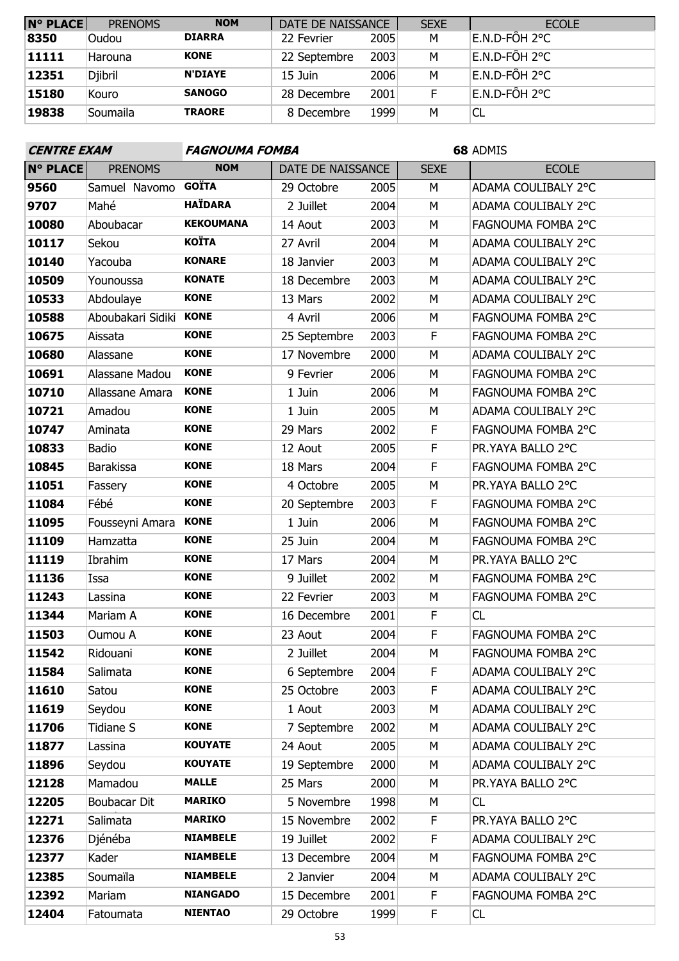| <b>N° PLACE</b> | <b>PRENOMS</b> | <b>NOM</b>     | DATE DE NAISSANCE |      | <b>SEXE</b> | <b>ECOLE</b>  |
|-----------------|----------------|----------------|-------------------|------|-------------|---------------|
| 8350            | Oudou          | <b>DIARRA</b>  | 22 Fevrier        | 2005 | M           | E.N.D-FÔH 2°C |
| 11111           | Harouna        | <b>KONE</b>    | 22 Septembre      | 2003 | M           | E.N.D-FÔH 2°C |
| 12351           | <b>Djibril</b> | <b>N'DIAYE</b> | 15 Juin           | 2006 | M           | E.N.D-FÔH 2°C |
| 15180           | Kouro          | <b>SANOGO</b>  | 28 Decembre       | 2001 | F           | E.N.D-FÔH 2°C |
| 19838           | Soumaila       | <b>TRAORE</b>  | 8 Decembre        | 1999 | M           | 'CL           |

| <b>CENTRE EXAM</b> |                     | <b>FAGNOUMA FOMBA</b> |                   |      | 68 ADMIS    |                     |  |
|--------------------|---------------------|-----------------------|-------------------|------|-------------|---------------------|--|
| <b>N° PLACE</b>    | <b>PRENOMS</b>      | <b>NOM</b>            | DATE DE NAISSANCE |      | <b>SEXE</b> | <b>ECOLE</b>        |  |
| 9560               | Samuel Navomo GOÏTA |                       | 29 Octobre        | 2005 | M           | ADAMA COULIBALY 2°C |  |
| 9707               | Mahé                | <b>HAÏDARA</b>        | 2 Juillet         | 2004 | M           | ADAMA COULIBALY 2°C |  |
| 10080              | Aboubacar           | <b>KEKOUMANA</b>      | 14 Aout           | 2003 | M           | FAGNOUMA FOMBA 2°C  |  |
| 10117              | Sekou               | <b>KOÏTA</b>          | 27 Avril          | 2004 | M           | ADAMA COULIBALY 2°C |  |
| 10140              | Yacouba             | <b>KONARE</b>         | 18 Janvier        | 2003 | М           | ADAMA COULIBALY 2°C |  |
| 10509              | Younoussa           | <b>KONATE</b>         | 18 Decembre       | 2003 | M           | ADAMA COULIBALY 2°C |  |
| 10533              | Abdoulaye           | <b>KONE</b>           | 13 Mars           | 2002 | M           | ADAMA COULIBALY 2°C |  |
| 10588              | Aboubakari Sidiki   | <b>KONE</b>           | 4 Avril           | 2006 | M           | FAGNOUMA FOMBA 2°C  |  |
| 10675              | Aissata             | <b>KONE</b>           | 25 Septembre      | 2003 | F           | FAGNOUMA FOMBA 2°C  |  |
| 10680              | Alassane            | <b>KONE</b>           | 17 Novembre       | 2000 | M           | ADAMA COULIBALY 2°C |  |
| 10691              | Alassane Madou      | <b>KONE</b>           | 9 Fevrier         | 2006 | M           | FAGNOUMA FOMBA 2°C  |  |
| 10710              | Allassane Amara     | <b>KONE</b>           | 1 Juin            | 2006 | M           | FAGNOUMA FOMBA 2°C  |  |
| 10721              | Amadou              | <b>KONE</b>           | 1 Juin            | 2005 | М           | ADAMA COULIBALY 2°C |  |
| 10747              | Aminata             | <b>KONE</b>           | 29 Mars           | 2002 | F           | FAGNOUMA FOMBA 2°C  |  |
| 10833              | Badio               | <b>KONE</b>           | 12 Aout           | 2005 | F           | PR.YAYA BALLO 2°C   |  |
| 10845              | <b>Barakissa</b>    | <b>KONE</b>           | 18 Mars           | 2004 | F           | FAGNOUMA FOMBA 2°C  |  |
| 11051              | Fassery             | <b>KONE</b>           | 4 Octobre         | 2005 | M           | PR.YAYA BALLO 2°C   |  |
| 11084              | Fébé                | <b>KONE</b>           | 20 Septembre      | 2003 | F           | FAGNOUMA FOMBA 2°C  |  |
| 11095              | Fousseyni Amara     | <b>KONE</b>           | 1 Juin            | 2006 | M           | FAGNOUMA FOMBA 2°C  |  |
| 11109              | Hamzatta            | <b>KONE</b>           | 25 Juin           | 2004 | M           | FAGNOUMA FOMBA 2°C  |  |
| 11119              | Ibrahim             | <b>KONE</b>           | 17 Mars           | 2004 | M           | PR.YAYA BALLO 2°C   |  |
| 11136              | Issa                | <b>KONE</b>           | 9 Juillet         | 2002 | M           | FAGNOUMA FOMBA 2°C  |  |
| 11243              | Lassina             | <b>KONE</b>           | 22 Fevrier        | 2003 | М           | FAGNOUMA FOMBA 2°C  |  |
| 11344              | Mariam A            | <b>KONE</b>           | 16 Decembre       | 2001 | F           | <b>CL</b>           |  |
| 11503              | Oumou A             | <b>KONE</b>           | 23 Aout           | 2004 | F           | FAGNOUMA FOMBA 2°C  |  |
| 11542              | Ridouani            | <b>KONE</b>           | 2 Juillet         | 2004 | М           | FAGNOUMA FOMBA 2°C  |  |
| 11584              | Salimata            | <b>KONE</b>           | 6 Septembre       | 2004 | F.          | ADAMA COULIBALY 2°C |  |
| 11610              | Satou               | <b>KONE</b>           | 25 Octobre        | 2003 | F           | ADAMA COULIBALY 2°C |  |
| 11619              | Seydou              | <b>KONE</b>           | 1 Aout            | 2003 | М           | ADAMA COULIBALY 2°C |  |
| 11706              | <b>Tidiane S</b>    | <b>KONE</b>           | 7 Septembre       | 2002 | М           | ADAMA COULIBALY 2°C |  |
| 11877              | Lassina             | <b>KOUYATE</b>        | 24 Aout           | 2005 | М           | ADAMA COULIBALY 2°C |  |
| 11896              | Seydou              | <b>KOUYATE</b>        | 19 Septembre      | 2000 | М           | ADAMA COULIBALY 2°C |  |
| 12128              | Mamadou             | <b>MALLE</b>          | 25 Mars           | 2000 | М           | PR.YAYA BALLO 2°C   |  |
| 12205              | <b>Boubacar Dit</b> | <b>MARIKO</b>         | 5 Novembre        | 1998 | М           | CL                  |  |
| 12271              | Salimata            | <b>MARIKO</b>         | 15 Novembre       | 2002 | F           | PR.YAYA BALLO 2°C   |  |
| 12376              | Djénéba             | <b>NIAMBELE</b>       | 19 Juillet        | 2002 | F           | ADAMA COULIBALY 2°C |  |
| 12377              | Kader               | <b>NIAMBELE</b>       | 13 Decembre       | 2004 | М           | FAGNOUMA FOMBA 2°C  |  |
| 12385              | Soumaïla            | <b>NIAMBELE</b>       | 2 Janvier         | 2004 | М           | ADAMA COULIBALY 2°C |  |
| 12392              | Mariam              | <b>NIANGADO</b>       | 15 Decembre       | 2001 | F           | FAGNOUMA FOMBA 2°C  |  |
| 12404              | Fatoumata           | <b>NIENTAO</b>        | 29 Octobre        | 1999 | F           | CL                  |  |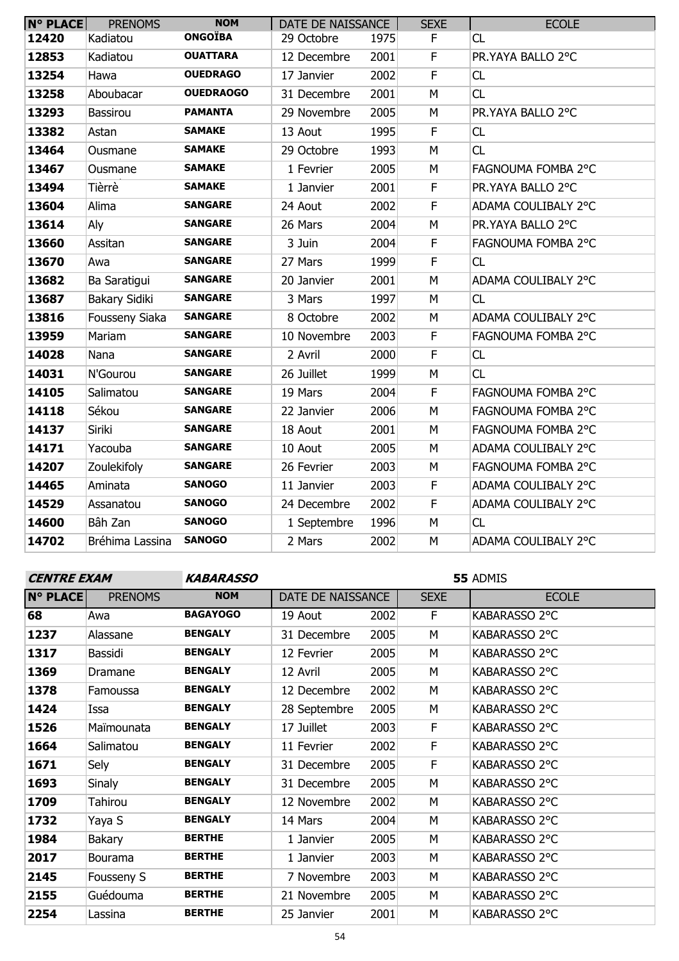| <b>N° PLACE</b> | <b>PRENOMS</b>       | <b>NOM</b>       | DATE DE NAISSANCE |      | <b>SEXE</b> | <b>ECOLE</b>        |
|-----------------|----------------------|------------------|-------------------|------|-------------|---------------------|
| 12420           | Kadiatou             | <b>ONGOÏBA</b>   | 29 Octobre        | 1975 | F           | CL                  |
| 12853           | Kadiatou             | <b>OUATTARA</b>  | 12 Decembre       | 2001 | $\mathsf F$ | PR.YAYA BALLO 2°C   |
| 13254           | Hawa                 | <b>OUEDRAGO</b>  | 17 Janvier        | 2002 | F           | CL                  |
| 13258           | Aboubacar            | <b>OUEDRAOGO</b> | 31 Decembre       | 2001 | M           | CL                  |
| 13293           | Bassirou             | <b>PAMANTA</b>   | 29 Novembre       | 2005 | M           | PR.YAYA BALLO 2°C   |
| 13382           | Astan                | <b>SAMAKE</b>    | 13 Aout           | 1995 | $\mathsf F$ | CL                  |
| 13464           | Ousmane              | <b>SAMAKE</b>    | 29 Octobre        | 1993 | M           | <b>CL</b>           |
| 13467           | Ousmane              | <b>SAMAKE</b>    | 1 Fevrier         | 2005 | M           | FAGNOUMA FOMBA 2°C  |
| 13494           | Tièrrè               | <b>SAMAKE</b>    | 1 Janvier         | 2001 | $\mathsf F$ | PR.YAYA BALLO 2°C   |
| 13604           | Alima                | <b>SANGARE</b>   | 24 Aout           | 2002 | F           | ADAMA COULIBALY 2°C |
| 13614           | Aly                  | <b>SANGARE</b>   | 26 Mars           | 2004 | M           | PR.YAYA BALLO 2°C   |
| 13660           | Assitan              | <b>SANGARE</b>   | 3 Juin            | 2004 | F           | FAGNOUMA FOMBA 2°C  |
| 13670           | Awa                  | <b>SANGARE</b>   | 27 Mars           | 1999 | F           | CL                  |
| 13682           | Ba Saratigui         | <b>SANGARE</b>   | 20 Janvier        | 2001 | M           | ADAMA COULIBALY 2°C |
| 13687           | <b>Bakary Sidiki</b> | <b>SANGARE</b>   | 3 Mars            | 1997 | M           | CL                  |
| 13816           | Fousseny Siaka       | <b>SANGARE</b>   | 8 Octobre         | 2002 | M           | ADAMA COULIBALY 2°C |
| 13959           | Mariam               | <b>SANGARE</b>   | 10 Novembre       | 2003 | F           | FAGNOUMA FOMBA 2°C  |
| 14028           | Nana                 | <b>SANGARE</b>   | 2 Avril           | 2000 | F           | CL                  |
| 14031           | N'Gourou             | <b>SANGARE</b>   | 26 Juillet        | 1999 | M           | CL                  |
| 14105           | Salimatou            | <b>SANGARE</b>   | 19 Mars           | 2004 | F           | FAGNOUMA FOMBA 2°C  |
| 14118           | Sékou                | <b>SANGARE</b>   | 22 Janvier        | 2006 | M           | FAGNOUMA FOMBA 2°C  |
| 14137           | Siriki               | <b>SANGARE</b>   | 18 Aout           | 2001 | M           | FAGNOUMA FOMBA 2°C  |
| 14171           | Yacouba              | <b>SANGARE</b>   | 10 Aout           | 2005 | M           | ADAMA COULIBALY 2°C |
| 14207           | Zoulekifoly          | <b>SANGARE</b>   | 26 Fevrier        | 2003 | M           | FAGNOUMA FOMBA 2°C  |
| 14465           | Aminata              | <b>SANOGO</b>    | 11 Janvier        | 2003 | $\mathsf F$ | ADAMA COULIBALY 2°C |
| 14529           | Assanatou            | <b>SANOGO</b>    | 24 Decembre       | 2002 | F           | ADAMA COULIBALY 2°C |
| 14600           | Bâh Zan              | <b>SANOGO</b>    | 1 Septembre       | 1996 | M           | CL                  |
| 14702           | Bréhima Lassina      | <b>SANOGO</b>    | 2 Mars            | 2002 | M           | ADAMA COULIBALY 2°C |
|                 |                      |                  |                   |      |             |                     |

**CENTRE EXAM KABARASSO**

| <b>N° PLACE</b> | <b>PRENOMS</b> | <b>NOM</b>      | DATE DE NAISSANCE |      | <b>SEXE</b> | <b>ECOLE</b>  |
|-----------------|----------------|-----------------|-------------------|------|-------------|---------------|
| 68              | Awa            | <b>BAGAYOGO</b> | 19 Aout           | 2002 | F           | KABARASSO 2°C |
| 1237            | Alassane       | <b>BENGALY</b>  | 31 Decembre       | 2005 | м           | KABARASSO 2°C |
| 1317            | Bassidi        | <b>BENGALY</b>  | 12 Fevrier        | 2005 | м           | KABARASSO 2°C |
| 1369            | Dramane        | <b>BENGALY</b>  | 12 Avril          | 2005 | м           | KABARASSO 2°C |
| 1378            | Famoussa       | <b>BENGALY</b>  | 12 Decembre       | 2002 | М           | KABARASSO 2°C |
| 1424            | Issa           | <b>BENGALY</b>  | 28 Septembre      | 2005 | М           | KABARASSO 2°C |
| 1526            | Maïmounata     | <b>BENGALY</b>  | 17 Juillet        | 2003 | F           | KABARASSO 2°C |
| 1664            | Salimatou      | <b>BENGALY</b>  | 11 Fevrier        | 2002 | F           | KABARASSO 2°C |
| 1671            | Sely           | <b>BENGALY</b>  | 31 Decembre       | 2005 | F.          | KABARASSO 2°C |
| 1693            | <b>Sinaly</b>  | <b>BENGALY</b>  | 31 Decembre       | 2005 | М           | KABARASSO 2°C |
| 1709            | Tahirou        | <b>BENGALY</b>  | 12 Novembre       | 2002 | м           | KABARASSO 2°C |
| 1732            | Yaya S         | <b>BENGALY</b>  | 14 Mars           | 2004 | М           | KABARASSO 2°C |
| 1984            | <b>Bakary</b>  | <b>BERTHE</b>   | 1 Janvier         | 2005 | м           | KABARASSO 2°C |
| 2017            | <b>Bourama</b> | <b>BERTHE</b>   | 1 Janvier         | 2003 | M           | KABARASSO 2°C |
| 2145            | Fousseny S     | <b>BERTHE</b>   | 7 Novembre        | 2003 | M           | KABARASSO 2°C |
| 2155            | Guédouma       | <b>BERTHE</b>   | 21 Novembre       | 2005 | M           | KABARASSO 2°C |
| 2254            | Lassina        | <b>BERTHE</b>   | 25 Janvier        | 2001 | М           | KABARASSO 2°C |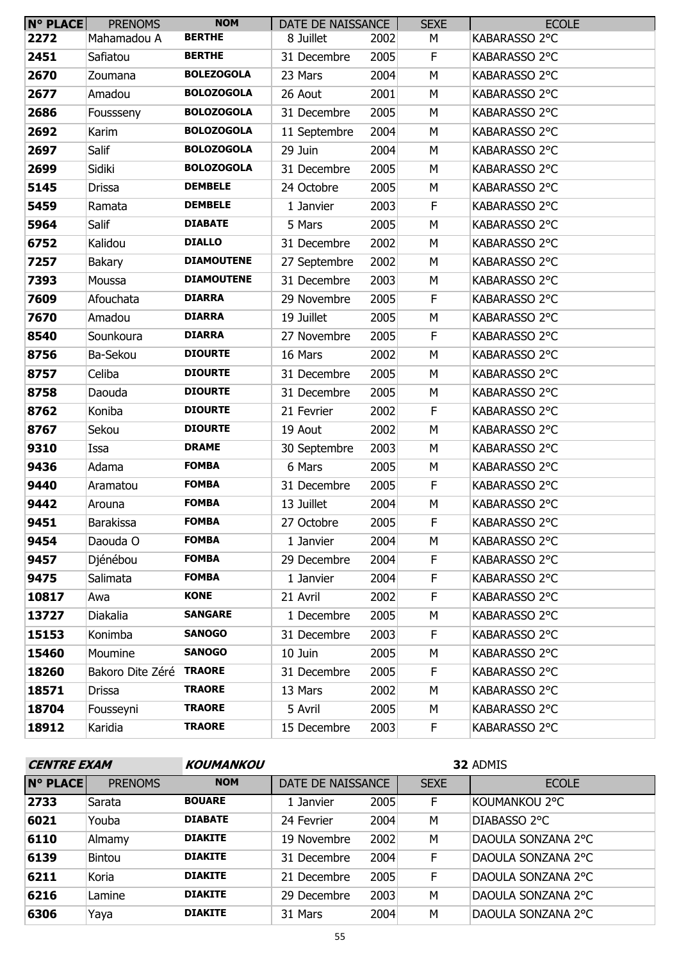| N° PLACE | <b>PRENOMS</b>          | <b>NOM</b>        | DATE DE NAISSANCE |      | <b>SEXE</b> | <b>ECOLE</b>  |
|----------|-------------------------|-------------------|-------------------|------|-------------|---------------|
| 2272     | Mahamadou A             | <b>BERTHE</b>     | 8 Juillet         | 2002 | М           | KABARASSO 2°C |
| 2451     | Safiatou                | <b>BERTHE</b>     | 31 Decembre       | 2005 | F.          | KABARASSO 2°C |
| 2670     | Zoumana                 | <b>BOLEZOGOLA</b> | 23 Mars           | 2004 | M           | KABARASSO 2°C |
| 2677     | Amadou                  | <b>BOLOZOGOLA</b> | 26 Aout           | 2001 | M           | KABARASSO 2°C |
| 2686     | Foussseny               | <b>BOLOZOGOLA</b> | 31 Decembre       | 2005 | М           | KABARASSO 2°C |
| 2692     | Karim                   | <b>BOLOZOGOLA</b> | 11 Septembre      | 2004 | M           | KABARASSO 2°C |
| 2697     | Salif                   | <b>BOLOZOGOLA</b> | 29 Juin           | 2004 | М           | KABARASSO 2°C |
| 2699     | Sidiki                  | <b>BOLOZOGOLA</b> | 31 Decembre       | 2005 | M           | KABARASSO 2°C |
| 5145     | Drissa                  | <b>DEMBELE</b>    | 24 Octobre        | 2005 | М           | KABARASSO 2°C |
| 5459     | Ramata                  | <b>DEMBELE</b>    | 1 Janvier         | 2003 | F           | KABARASSO 2°C |
| 5964     | Salif                   | <b>DIABATE</b>    | 5 Mars            | 2005 | M           | KABARASSO 2°C |
| 6752     | Kalidou                 | <b>DIALLO</b>     | 31 Decembre       | 2002 | М           | KABARASSO 2°C |
| 7257     | Bakary                  | <b>DIAMOUTENE</b> | 27 Septembre      | 2002 | М           | KABARASSO 2°C |
| 7393     | Moussa                  | <b>DIAMOUTENE</b> | 31 Decembre       | 2003 | M           | KABARASSO 2°C |
| 7609     | Afouchata               | <b>DIARRA</b>     | 29 Novembre       | 2005 | F           | KABARASSO 2°C |
| 7670     | Amadou                  | <b>DIARRA</b>     | 19 Juillet        | 2005 | М           | KABARASSO 2°C |
| 8540     | Sounkoura               | <b>DIARRA</b>     | 27 Novembre       | 2005 | F           | KABARASSO 2°C |
| 8756     | Ba-Sekou                | <b>DIOURTE</b>    | 16 Mars           | 2002 | M           | KABARASSO 2°C |
| 8757     | Celiba                  | <b>DIOURTE</b>    | 31 Decembre       | 2005 | M           | KABARASSO 2°C |
| 8758     | Daouda                  | <b>DIOURTE</b>    | 31 Decembre       | 2005 | М           | KABARASSO 2°C |
| 8762     | Koniba                  | <b>DIOURTE</b>    | 21 Fevrier        | 2002 | $\mathsf F$ | KABARASSO 2°C |
| 8767     | Sekou                   | <b>DIOURTE</b>    | 19 Aout           | 2002 | M           | KABARASSO 2°C |
| 9310     | Issa                    | <b>DRAME</b>      | 30 Septembre      | 2003 | М           | KABARASSO 2°C |
| 9436     | Adama                   | <b>FOMBA</b>      | 6 Mars            | 2005 | М           | KABARASSO 2°C |
| 9440     | Aramatou                | <b>FOMBA</b>      | 31 Decembre       | 2005 | F           | KABARASSO 2°C |
| 9442     | Arouna                  | <b>FOMBA</b>      | 13 Juillet        | 2004 | M           | KABARASSO 2°C |
| 9451     | <b>Barakissa</b>        | <b>FOMBA</b>      | 27 Octobre        | 2005 | F           | KABARASSO 2°C |
| 9454     | Daouda O                | <b>FOMBA</b>      | 1 Janvier         | 2004 | м           | KABARASSO 2°C |
| 9457     | Djénébou                | <b>FOMBA</b>      | 29 Decembre       | 2004 | F.          | KABARASSO 2°C |
| 9475     | Salimata                | <b>FOMBA</b>      | 1 Janvier         | 2004 | F           | KABARASSO 2°C |
| 10817    | Awa                     | <b>KONE</b>       | 21 Avril          | 2002 | F.          | KABARASSO 2°C |
| 13727    | Diakalia                | <b>SANGARE</b>    | 1 Decembre        | 2005 | М           | KABARASSO 2°C |
| 15153    | Konimba                 | <b>SANOGO</b>     | 31 Decembre       | 2003 | F           | KABARASSO 2°C |
| 15460    | Moumine                 | <b>SANOGO</b>     | 10 Juin           | 2005 | М           | KABARASSO 2°C |
| 18260    | Bakoro Dite Zéré TRAORE |                   | 31 Decembre       | 2005 | F.          | KABARASSO 2°C |
| 18571    | <b>Drissa</b>           | <b>TRAORE</b>     | 13 Mars           | 2002 | м           | KABARASSO 2°C |
| 18704    | Fousseyni               | <b>TRAORE</b>     | 5 Avril           | 2005 | М           | KABARASSO 2°C |
| 18912    | Karidia                 | <b>TRAORE</b>     | 15 Decembre       | 2003 | F.          | KABARASSO 2°C |

| <b>CENTRE EXAM</b> |                | <b>KOUMANKOU</b> | 32 ADMIS          |      |             |                    |  |  |  |
|--------------------|----------------|------------------|-------------------|------|-------------|--------------------|--|--|--|
| <b>N° PLACE</b>    | <b>PRENOMS</b> | <b>NOM</b>       | DATE DE NAISSANCE |      | <b>SEXE</b> | <b>ECOLE</b>       |  |  |  |
| 2733               | Sarata         | <b>BOUARE</b>    | 1 Janvier         | 2005 | F.          | KOUMANKOU 2°C      |  |  |  |
| 6021               | Youba          | <b>DIABATE</b>   | 24 Fevrier        | 2004 | M           | DIABASSO 2°C       |  |  |  |
| 6110               | Almamy         | <b>DIAKITE</b>   | 19 Novembre       | 2002 | M           | DAOULA SONZANA 2°C |  |  |  |
| 6139               | <b>Bintou</b>  | <b>DIAKITE</b>   | 31 Decembre       | 2004 | F           | DAOULA SONZANA 2°C |  |  |  |
| 6211               | Koria          | <b>DIAKITE</b>   | 21 Decembre       | 2005 | F           | DAOULA SONZANA 2°C |  |  |  |
| 6216               | Lamine         | <b>DIAKITE</b>   | 29 Decembre       | 2003 | M           | DAOULA SONZANA 2°C |  |  |  |
| 6306               | Yaya           | <b>DIAKITE</b>   | 31 Mars           | 2004 | М           | DAOULA SONZANA 2°C |  |  |  |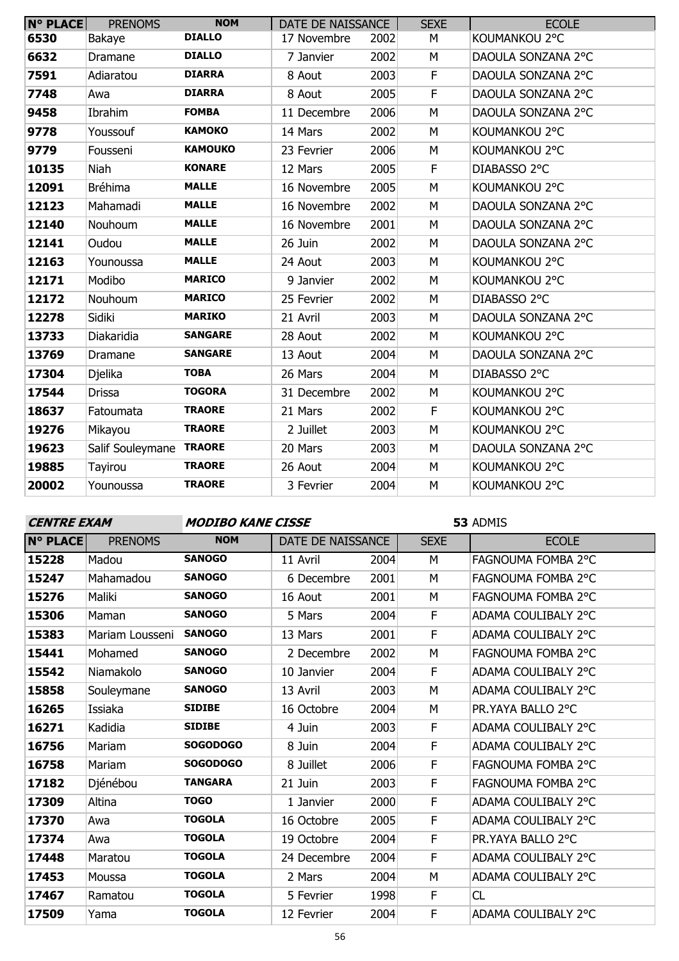| $N°$ PLACE | <b>PRENOMS</b>   | <b>NOM</b>     | DATE DE NAISSANCE |      | <b>SEXE</b> | <b>ECOLE</b>       |
|------------|------------------|----------------|-------------------|------|-------------|--------------------|
| 6530       | Bakaye           | <b>DIALLO</b>  | 17 Novembre       | 2002 | M           | KOUMANKOU 2°C      |
| 6632       | Dramane          | <b>DIALLO</b>  | 7 Janvier         | 2002 | M           | DAOULA SONZANA 2°C |
| 7591       | Adiaratou        | <b>DIARRA</b>  | 8 Aout            | 2003 | $\mathsf F$ | DAOULA SONZANA 2°C |
| 7748       | Awa              | <b>DIARRA</b>  | 8 Aout            | 2005 | F           | DAOULA SONZANA 2°C |
| 9458       | Ibrahim          | <b>FOMBA</b>   | 11 Decembre       | 2006 | M           | DAOULA SONZANA 2°C |
| 9778       | Youssouf         | <b>KAMOKO</b>  | 14 Mars           | 2002 | M           | KOUMANKOU 2°C      |
| 9779       | Fousseni         | <b>KAMOUKO</b> | 23 Fevrier        | 2006 | M           | KOUMANKOU 2°C      |
| 10135      | Niah             | <b>KONARE</b>  | 12 Mars           | 2005 | $\mathsf F$ | DIABASSO 2°C       |
| 12091      | <b>Bréhima</b>   | <b>MALLE</b>   | 16 Novembre       | 2005 | M           | KOUMANKOU 2°C      |
| 12123      | Mahamadi         | <b>MALLE</b>   | 16 Novembre       | 2002 | M           | DAOULA SONZANA 2°C |
| 12140      | Nouhoum          | <b>MALLE</b>   | 16 Novembre       | 2001 | M           | DAOULA SONZANA 2°C |
| 12141      | Oudou            | <b>MALLE</b>   | 26 Juin           | 2002 | M           | DAOULA SONZANA 2°C |
| 12163      | Younoussa        | <b>MALLE</b>   | 24 Aout           | 2003 | M           | KOUMANKOU 2°C      |
| 12171      | Modibo           | <b>MARICO</b>  | 9 Janvier         | 2002 | M           | KOUMANKOU 2°C      |
| 12172      | Nouhoum          | <b>MARICO</b>  | 25 Fevrier        | 2002 | M           | DIABASSO 2°C       |
| 12278      | Sidiki           | <b>MARIKO</b>  | 21 Avril          | 2003 | M           | DAOULA SONZANA 2°C |
| 13733      | Diakaridia       | <b>SANGARE</b> | 28 Aout           | 2002 | M           | KOUMANKOU 2°C      |
| 13769      | Dramane          | <b>SANGARE</b> | 13 Aout           | 2004 | M           | DAOULA SONZANA 2°C |
| 17304      | <b>Djelika</b>   | <b>TOBA</b>    | 26 Mars           | 2004 | M           | DIABASSO 2°C       |
| 17544      | <b>Drissa</b>    | <b>TOGORA</b>  | 31 Decembre       | 2002 | M           | KOUMANKOU 2°C      |
| 18637      | Fatoumata        | <b>TRAORE</b>  | 21 Mars           | 2002 | F.          | KOUMANKOU 2°C      |
| 19276      | Mikayou          | <b>TRAORE</b>  | 2 Juillet         | 2003 | M           | KOUMANKOU 2°C      |
| 19623      | Salif Souleymane | <b>TRAORE</b>  | 20 Mars           | 2003 | M           | DAOULA SONZANA 2°C |
| 19885      | Tayirou          | <b>TRAORE</b>  | 26 Aout           | 2004 | M           | KOUMANKOU 2°C      |
| 20002      | Younoussa        | <b>TRAORE</b>  | 3 Fevrier         | 2004 | M           | KOUMANKOU 2°C      |

| <b>CENTRE EXAM</b> |                 | <b>MODIBO KANE CISSE</b> |                   |      | 53 ADMIS    |                            |  |
|--------------------|-----------------|--------------------------|-------------------|------|-------------|----------------------------|--|
| <b>N° PLACE</b>    | <b>PRENOMS</b>  | <b>NOM</b>               | DATE DE NAISSANCE |      | <b>SEXE</b> | <b>ECOLE</b>               |  |
| 15228              | Madou           | <b>SANOGO</b>            | 11 Avril          | 2004 | M           | FAGNOUMA FOMBA 2°C         |  |
| 15247              | Mahamadou       | <b>SANOGO</b>            | 6 Decembre        | 2001 | М           | FAGNOUMA FOMBA 2°C         |  |
| 15276              | Maliki          | <b>SANOGO</b>            | 16 Aout           | 2001 | M           | FAGNOUMA FOMBA 2°C         |  |
| 15306              | Maman           | <b>SANOGO</b>            | 5 Mars            | 2004 | F           | ADAMA COULIBALY 2°C        |  |
| 15383              | Mariam Lousseni | <b>SANOGO</b>            | 13 Mars           | 2001 | F           | <b>ADAMA COULIBALY 2°C</b> |  |
| 15441              | Mohamed         | <b>SANOGO</b>            | 2 Decembre        | 2002 | М           | FAGNOUMA FOMBA 2°C         |  |
| 15542              | Niamakolo       | <b>SANOGO</b>            | 10 Janvier        | 2004 | F           | ADAMA COULIBALY 2°C        |  |
| 15858              | Souleymane      | <b>SANOGO</b>            | 13 Avril          | 2003 | M           | ADAMA COULIBALY 2°C        |  |
| 16265              | Issiaka         | <b>SIDIBE</b>            | 16 Octobre        | 2004 | М           | PR.YAYA BALLO 2°C          |  |
| 16271              | Kadidia         | <b>SIDIBE</b>            | 4 Juin            | 2003 | F           | ADAMA COULIBALY 2°C        |  |
| 16756              | Mariam          | <b>SOGODOGO</b>          | 8 Juin            | 2004 | F           | ADAMA COULIBALY 2°C        |  |
| 16758              | Mariam          | <b>SOGODOGO</b>          | 8 Juillet         | 2006 | F           | <b>FAGNOUMA FOMBA 2°C</b>  |  |
| 17182              | Djénébou        | <b>TANGARA</b>           | 21 Juin           | 2003 | F           | FAGNOUMA FOMBA 2°C         |  |
| 17309              | Altina          | <b>TOGO</b>              | 1 Janvier         | 2000 | F           | ADAMA COULIBALY 2°C        |  |
| 17370              | Awa             | <b>TOGOLA</b>            | 16 Octobre        | 2005 | F           | ADAMA COULIBALY 2°C        |  |
| 17374              | Awa             | <b>TOGOLA</b>            | 19 Octobre        | 2004 | F           | PR.YAYA BALLO 2°C          |  |
| 17448              | Maratou         | <b>TOGOLA</b>            | 24 Decembre       | 2004 | F           | ADAMA COULIBALY 2°C        |  |
| 17453              | Moussa          | <b>TOGOLA</b>            | 2 Mars            | 2004 | М           | ADAMA COULIBALY 2°C        |  |
| 17467              | Ramatou         | <b>TOGOLA</b>            | 5 Fevrier         | 1998 | F           | CL                         |  |
| 17509              | Yama            | <b>TOGOLA</b>            | 12 Fevrier        | 2004 | F           | ADAMA COULIBALY 2°C        |  |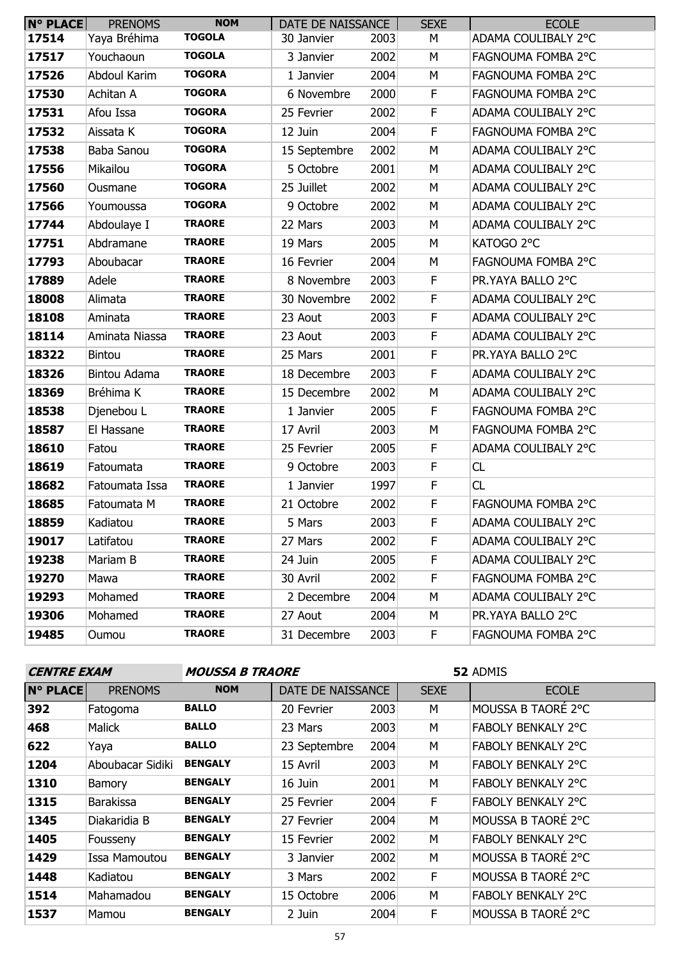| $N^{\circ}$ PLACE | <b>PRENOMS</b> | <b>NOM</b>    | DATE DE NAISSANCE |      | <b>SEXE</b> | <b>ECOLE</b>        |
|-------------------|----------------|---------------|-------------------|------|-------------|---------------------|
| 17514             | Yaya Bréhima   | <b>TOGOLA</b> | 30 Janvier        | 2003 | М           | ADAMA COULIBALY 2°C |
| 17517             | Youchaoun      | <b>TOGOLA</b> | 3 Janvier         | 2002 | М           | FAGNOUMA FOMBA 2°C  |
| 17526             | Abdoul Karim   | <b>TOGORA</b> | 1 Janvier         | 2004 | M           | FAGNOUMA FOMBA 2°C  |
| 17530             | Achitan A      | <b>TOGORA</b> | 6 Novembre        | 2000 | F           | FAGNOUMA FOMBA 2°C  |
| 17531             | Afou Issa      | <b>TOGORA</b> | 25 Fevrier        | 2002 | F           | ADAMA COULIBALY 2°C |
| 17532             | Aissata K      | <b>TOGORA</b> | 12 Juin           | 2004 | $\mathsf F$ | FAGNOUMA FOMBA 2°C  |
| 17538             | Baba Sanou     | <b>TOGORA</b> | 15 Septembre      | 2002 | M           | ADAMA COULIBALY 2°C |
| 17556             | Mikailou       | <b>TOGORA</b> | 5 Octobre         | 2001 | M           | ADAMA COULIBALY 2°C |
| 17560             | Ousmane        | <b>TOGORA</b> | 25 Juillet        | 2002 | М           | ADAMA COULIBALY 2°C |
| 17566             | Youmoussa      | <b>TOGORA</b> | 9 Octobre         | 2002 | M           | ADAMA COULIBALY 2°C |
| 17744             | Abdoulaye I    | <b>TRAORE</b> | 22 Mars           | 2003 | M           | ADAMA COULIBALY 2°C |
| 17751             | Abdramane      | <b>TRAORE</b> | 19 Mars           | 2005 | М           | KATOGO 2°C          |
| 17793             | Aboubacar      | <b>TRAORE</b> | 16 Fevrier        | 2004 | М           | FAGNOUMA FOMBA 2°C  |
| 17889             | Adele          | <b>TRAORE</b> | 8 Novembre        | 2003 | $\mathsf F$ | PR.YAYA BALLO 2°C   |
| 18008             | Alimata        | <b>TRAORE</b> | 30 Novembre       | 2002 | F           | ADAMA COULIBALY 2°C |
| 18108             | Aminata        | <b>TRAORE</b> | 23 Aout           | 2003 | $\mathsf F$ | ADAMA COULIBALY 2°C |
| 18114             | Aminata Niassa | <b>TRAORE</b> | 23 Aout           | 2003 | $\mathsf F$ | ADAMA COULIBALY 2°C |
| 18322             | <b>Bintou</b>  | <b>TRAORE</b> | 25 Mars           | 2001 | F           | PR.YAYA BALLO 2°C   |
| 18326             | Bintou Adama   | <b>TRAORE</b> | 18 Decembre       | 2003 | $\mathsf F$ | ADAMA COULIBALY 2°C |
| 18369             | Bréhima K      | <b>TRAORE</b> | 15 Decembre       | 2002 | M           | ADAMA COULIBALY 2°C |
| 18538             | Djenebou L     | <b>TRAORE</b> | 1 Janvier         | 2005 | $\mathsf F$ | FAGNOUMA FOMBA 2°C  |
| 18587             | El Hassane     | <b>TRAORE</b> | 17 Avril          | 2003 | M           | FAGNOUMA FOMBA 2°C  |
| 18610             | Fatou          | <b>TRAORE</b> | 25 Fevrier        | 2005 | F           | ADAMA COULIBALY 2°C |
| 18619             | Fatoumata      | <b>TRAORE</b> | 9 Octobre         | 2003 | $\mathsf F$ | CL                  |
| 18682             | Fatoumata Issa | <b>TRAORE</b> | 1 Janvier         | 1997 | F           | CL                  |
| 18685             | Fatoumata M    | <b>TRAORE</b> | 21 Octobre        | 2002 | F           | FAGNOUMA FOMBA 2°C  |
| 18859             | Kadiatou       | <b>TRAORE</b> | 5 Mars            | 2003 | F           | ADAMA COULIBALY 2°C |
| 19017             | Latifatou      | <b>TRAORE</b> | 27 Mars           | 2002 | F.          | ADAMA COULIBALY 2°C |
| 19238             | Mariam B       | <b>TRAORE</b> | 24 Juin           | 2005 | F.          | ADAMA COULIBALY 2°C |
| 19270             | Mawa           | <b>TRAORE</b> | 30 Avril          | 2002 | F           | FAGNOUMA FOMBA 2°C  |
| 19293             | Mohamed        | <b>TRAORE</b> | 2 Decembre        | 2004 | М           | ADAMA COULIBALY 2°C |
| 19306             | Mohamed        | <b>TRAORE</b> | 27 Aout           | 2004 | М           | PR.YAYA BALLO 2°C   |
| 19485             | Oumou          | <b>TRAORE</b> | 31 Decembre       | 2003 | F.          | FAGNOUMA FOMBA 2°C  |

| <b>CENTRE EXAM</b> |                  | <i><b>MOUSSA B TRAORE</b></i> |                   | 52 ADMIS |             |                           |  |
|--------------------|------------------|-------------------------------|-------------------|----------|-------------|---------------------------|--|
| <b>N° PLACE</b>    | <b>PRENOMS</b>   | <b>NOM</b>                    | DATE DE NAISSANCE |          | <b>SEXE</b> | <b>ECOLE</b>              |  |
| 392                | Fatogoma         | <b>BALLO</b>                  | 20 Fevrier        | 2003     | M           | MOUSSA B TAORÉ 2°C        |  |
| 468                | Malick           | <b>BALLO</b>                  | 23 Mars           | 2003     | M           | <b>FABOLY BENKALY 2°C</b> |  |
| 622                | Yaya             | <b>BALLO</b>                  | 23 Septembre      | 2004     | M           | <b>FABOLY BENKALY 2°C</b> |  |
| 1204               | Aboubacar Sidiki | <b>BENGALY</b>                | 15 Avril          | 2003     | M           | <b>FABOLY BENKALY 2°C</b> |  |
| 1310               | <b>Bamory</b>    | <b>BENGALY</b>                | 16 Juin           | 2001     | M           | <b>FABOLY BENKALY 2°C</b> |  |
| 1315               | <b>Barakissa</b> | <b>BENGALY</b>                | 25 Fevrier        | 2004     | F           | <b>FABOLY BENKALY 2°C</b> |  |
| 1345               | Diakaridia B     | <b>BENGALY</b>                | 27 Fevrier        | 2004     | M           | MOUSSA B TAORE 2°C        |  |
| 1405               | Fousseny         | <b>BENGALY</b>                | 15 Fevrier        | 2002     | M           | <b>FABOLY BENKALY 2°C</b> |  |
| 1429               | Issa Mamoutou    | <b>BENGALY</b>                | 3 Janvier         | 2002     | M           | MOUSSA B TAORÉ 2°C        |  |
| 1448               | Kadiatou         | <b>BENGALY</b>                | 3 Mars            | 2002     | F           | MOUSSA B TAORÉ 2°C        |  |
| 1514               | Mahamadou        | <b>BENGALY</b>                | 15 Octobre        | 2006     | М           | <b>FABOLY BENKALY 2°C</b> |  |
| 1537               | Mamou            | <b>BENGALY</b>                | 2 Juin            | 2004     | F           | MOUSSA B TAORE 2°C        |  |
| 57                 |                  |                               |                   |          |             |                           |  |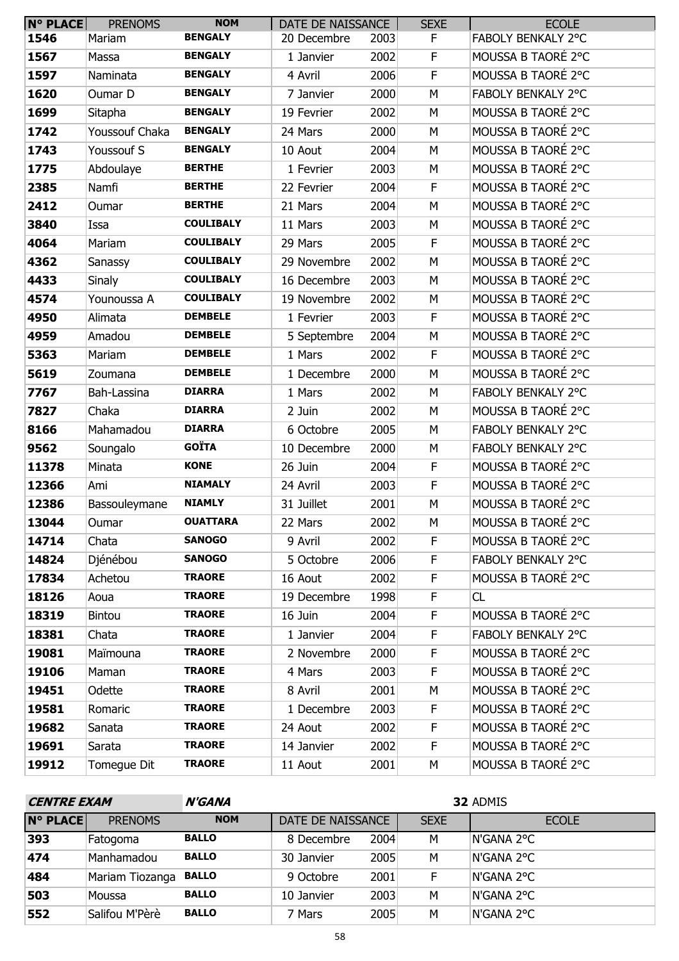| <b>N° PLACE</b> | <b>PRENOMS</b> | <b>NOM</b>       | DATE DE NAISSANCE |      | <b>SEXE</b> | <b>ECOLE</b>       |
|-----------------|----------------|------------------|-------------------|------|-------------|--------------------|
| 1546            | Mariam         | <b>BENGALY</b>   | 20 Decembre       | 2003 | F           | FABOLY BENKALY 2°C |
| 1567            | Massa          | <b>BENGALY</b>   | 1 Janvier         | 2002 | F           | MOUSSA B TAORÉ 2°C |
| 1597            | Naminata       | <b>BENGALY</b>   | 4 Avril           | 2006 | F           | MOUSSA B TAORÉ 2°C |
| 1620            | Oumar D        | <b>BENGALY</b>   | 7 Janvier         | 2000 | M           | FABOLY BENKALY 2°C |
| 1699            | Sitapha        | <b>BENGALY</b>   | 19 Fevrier        | 2002 | M           | MOUSSA B TAORÉ 2°C |
| 1742            | Youssouf Chaka | <b>BENGALY</b>   | 24 Mars           | 2000 | М           | MOUSSA B TAORÉ 2°C |
| 1743            | Youssouf S     | <b>BENGALY</b>   | 10 Aout           | 2004 | M           | MOUSSA B TAORÉ 2°C |
| 1775            | Abdoulaye      | <b>BERTHE</b>    | 1 Fevrier         | 2003 | M           | MOUSSA B TAORÉ 2°C |
| 2385            | Namfi          | <b>BERTHE</b>    | 22 Fevrier        | 2004 | F           | MOUSSA B TAORÉ 2°C |
| 2412            | Oumar          | <b>BERTHE</b>    | 21 Mars           | 2004 | M           | MOUSSA B TAORÉ 2°C |
| 3840            | Issa           | <b>COULIBALY</b> | 11 Mars           | 2003 | M           | MOUSSA B TAORÉ 2°C |
| 4064            | Mariam         | <b>COULIBALY</b> | 29 Mars           | 2005 | F           | MOUSSA B TAORÉ 2°C |
| 4362            | Sanassy        | <b>COULIBALY</b> | 29 Novembre       | 2002 | M           | MOUSSA B TAORÉ 2°C |
| 4433            | <b>Sinaly</b>  | <b>COULIBALY</b> | 16 Decembre       | 2003 | M           | MOUSSA B TAORÉ 2°C |
| 4574            | Younoussa A    | <b>COULIBALY</b> | 19 Novembre       | 2002 | M           | MOUSSA B TAORÉ 2°C |
| 4950            | Alimata        | <b>DEMBELE</b>   | 1 Fevrier         | 2003 | F           | MOUSSA B TAORÉ 2°C |
| 4959            | Amadou         | <b>DEMBELE</b>   | 5 Septembre       | 2004 | M           | MOUSSA B TAORÉ 2°C |
| 5363            | Mariam         | <b>DEMBELE</b>   | 1 Mars            | 2002 | F           | MOUSSA B TAORÉ 2°C |
| 5619            | Zoumana        | <b>DEMBELE</b>   | 1 Decembre        | 2000 | M           | MOUSSA B TAORÉ 2°C |
| 7767            | Bah-Lassina    | <b>DIARRA</b>    | 1 Mars            | 2002 | M           | FABOLY BENKALY 2°C |
| 7827            | Chaka          | <b>DIARRA</b>    | 2 Juin            | 2002 | M           | MOUSSA B TAORÉ 2°C |
| 8166            | Mahamadou      | <b>DIARRA</b>    | 6 Octobre         | 2005 | M           | FABOLY BENKALY 2°C |
| 9562            | Soungalo       | <b>GOÏTA</b>     | 10 Decembre       | 2000 | М           | FABOLY BENKALY 2°C |
| 11378           | Minata         | <b>KONE</b>      | 26 Juin           | 2004 | F           | MOUSSA B TAORÉ 2°C |
| 12366           | Ami            | <b>NIAMALY</b>   | 24 Avril          | 2003 | $\mathsf F$ | MOUSSA B TAORÉ 2°C |
| 12386           | Bassouleymane  | <b>NIAMLY</b>    | 31 Juillet        | 2001 | M           | MOUSSA B TAORÉ 2°C |
| 13044           | Oumar          | <b>OUATTARA</b>  | 22 Mars           | 2002 | М           | MOUSSA B TAORÉ 2°C |
| 14714           | Chata          | <b>SANOGO</b>    | 9 Avril           | 2002 | F.          | MOUSSA B TAORÉ 2°C |
| 14824           | Djénébou       | <b>SANOGO</b>    | 5 Octobre         | 2006 | F           | FABOLY BENKALY 2°C |
| 17834           | Achetou        | <b>TRAORE</b>    | 16 Aout           | 2002 | F           | MOUSSA B TAORÉ 2°C |
| 18126           | Aoua           | <b>TRAORE</b>    | 19 Decembre       | 1998 | F.          | CL                 |
| 18319           | Bintou         | <b>TRAORE</b>    | 16 Juin           | 2004 | F           | MOUSSA B TAORÉ 2°C |
| 18381           | Chata          | <b>TRAORE</b>    | 1 Janvier         | 2004 | F           | FABOLY BENKALY 2°C |
| 19081           | Maïmouna       | <b>TRAORE</b>    | 2 Novembre        | 2000 | F           | MOUSSA B TAORÉ 2°C |
| 19106           | Maman          | <b>TRAORE</b>    | 4 Mars            | 2003 | F           | MOUSSA B TAORÉ 2°C |
| 19451           | Odette         | <b>TRAORE</b>    | 8 Avril           | 2001 | М           | MOUSSA B TAORÉ 2°C |
| 19581           | Romaric        | <b>TRAORE</b>    | 1 Decembre        | 2003 | F           | MOUSSA B TAORÉ 2°C |
| 19682           | Sanata         | <b>TRAORE</b>    | 24 Aout           | 2002 | F           | MOUSSA B TAORÉ 2°C |
| 19691           | Sarata         | <b>TRAORE</b>    | 14 Janvier        | 2002 | F.          | MOUSSA B TAORÉ 2°C |
| 19912           | Tomegue Dit    | <b>TRAORE</b>    | 11 Aout           | 2001 | М           | MOUSSA B TAORÉ 2°C |

| <b>CENTRE EXAM</b> |                 | <b>N'GANA</b> | 32 ADMIS          |      |             |              |  |  |  |
|--------------------|-----------------|---------------|-------------------|------|-------------|--------------|--|--|--|
| <b>N° PLACE</b>    | <b>PRENOMS</b>  | <b>NOM</b>    | DATE DE NAISSANCE |      | <b>SEXE</b> | <b>ECOLE</b> |  |  |  |
| 393                | Fatogoma        | <b>BALLO</b>  | 8 Decembre        | 2004 | М           | N'GANA 2°C   |  |  |  |
| 474                | Manhamadou      | <b>BALLO</b>  | 30 Janvier        | 2005 | M           | N'GANA 2°C   |  |  |  |
| 484                | Mariam Tiozanga | <b>BALLO</b>  | 9 Octobre         | 2001 | E           | N'GANA 2°C   |  |  |  |
| 503                | Moussa          | <b>BALLO</b>  | 10 Janvier        | 2003 | M           | N'GANA 2°C   |  |  |  |
| 552                | Salifou M'Pèrè  | <b>BALLO</b>  | 7 Mars            | 2005 | M           | N'GANA 2°C   |  |  |  |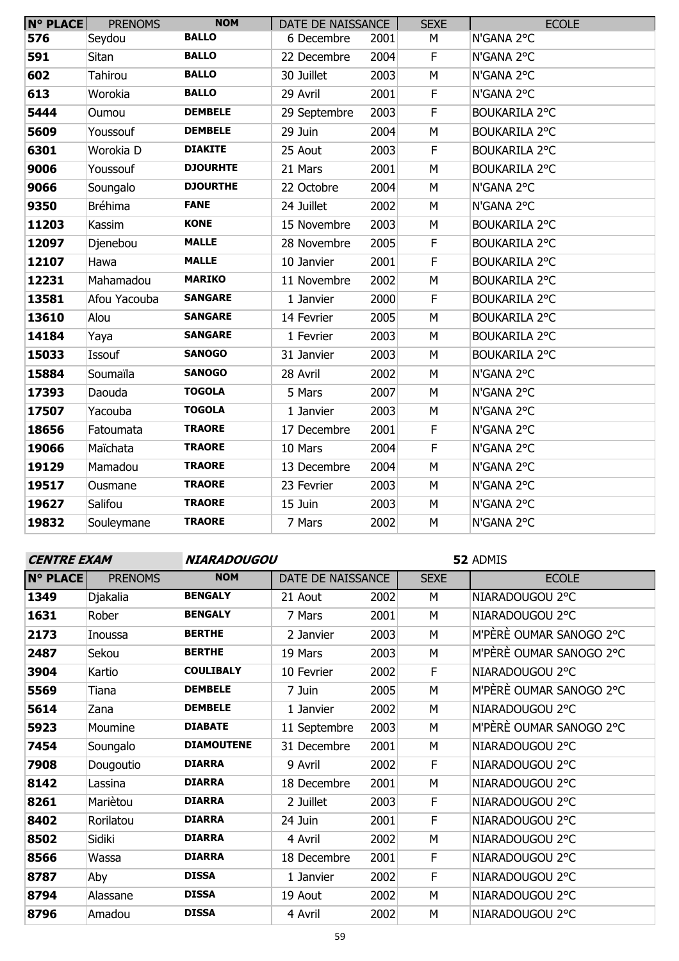| <b>N° PLACE</b> | <b>PRENOMS</b> | <b>NOM</b>      | DATE DE NAISSANCE |      | <b>SEXE</b> | <b>ECOLE</b>         |
|-----------------|----------------|-----------------|-------------------|------|-------------|----------------------|
| 576             | Seydou         | <b>BALLO</b>    | 6 Decembre        | 2001 | M           | N'GANA 2°C           |
| 591             | Sitan          | <b>BALLO</b>    | 22 Decembre       | 2004 | $\mathsf F$ | N'GANA 2°C           |
| 602             | <b>Tahirou</b> | <b>BALLO</b>    | 30 Juillet        | 2003 | M           | N'GANA 2°C           |
| 613             | Worokia        | <b>BALLO</b>    | 29 Avril          | 2001 | $\mathsf F$ | N'GANA 2°C           |
| 5444            | Oumou          | <b>DEMBELE</b>  | 29 Septembre      | 2003 | $\mathsf F$ | <b>BOUKARILA 2°C</b> |
| 5609            | Youssouf       | <b>DEMBELE</b>  | 29 Juin           | 2004 | M           | <b>BOUKARILA 2°C</b> |
| 6301            | Worokia D      | <b>DIAKITE</b>  | 25 Aout           | 2003 | $\mathsf F$ | <b>BOUKARILA 2°C</b> |
| 9006            | Youssouf       | <b>DJOURHTE</b> | 21 Mars           | 2001 | M           | <b>BOUKARILA 2°C</b> |
| 9066            | Soungalo       | <b>DJOURTHE</b> | 22 Octobre        | 2004 | M           | N'GANA 2°C           |
| 9350            | <b>Bréhima</b> | <b>FANE</b>     | 24 Juillet        | 2002 | M           | N'GANA 2°C           |
| 11203           | Kassim         | <b>KONE</b>     | 15 Novembre       | 2003 | M           | <b>BOUKARILA 2°C</b> |
| 12097           | Djenebou       | <b>MALLE</b>    | 28 Novembre       | 2005 | $\mathsf F$ | <b>BOUKARILA 2°C</b> |
| 12107           | Hawa           | <b>MALLE</b>    | 10 Janvier        | 2001 | $\mathsf F$ | <b>BOUKARILA 2°C</b> |
| 12231           | Mahamadou      | <b>MARIKO</b>   | 11 Novembre       | 2002 | M           | <b>BOUKARILA 2°C</b> |
| 13581           | Afou Yacouba   | <b>SANGARE</b>  | 1 Janvier         | 2000 | F.          | <b>BOUKARILA 2°C</b> |
| 13610           | Alou           | <b>SANGARE</b>  | 14 Fevrier        | 2005 | M           | <b>BOUKARILA 2°C</b> |
| 14184           | Yaya           | <b>SANGARE</b>  | 1 Fevrier         | 2003 | M           | <b>BOUKARILA 2°C</b> |
| 15033           | Issouf         | <b>SANOGO</b>   | 31 Janvier        | 2003 | M           | <b>BOUKARILA 2°C</b> |
| 15884           | Soumaïla       | <b>SANOGO</b>   | 28 Avril          | 2002 | M           | N'GANA 2°C           |
| 17393           | Daouda         | <b>TOGOLA</b>   | 5 Mars            | 2007 | M           | N'GANA 2°C           |
| 17507           | Yacouba        | <b>TOGOLA</b>   | 1 Janvier         | 2003 | M           | N'GANA 2°C           |
| 18656           | Fatoumata      | <b>TRAORE</b>   | 17 Decembre       | 2001 | F           | N'GANA 2°C           |
| 19066           | Maïchata       | <b>TRAORE</b>   | 10 Mars           | 2004 | $\mathsf F$ | N'GANA 2°C           |
| 19129           | Mamadou        | <b>TRAORE</b>   | 13 Decembre       | 2004 | M           | N'GANA 2°C           |
| 19517           | Ousmane        | <b>TRAORE</b>   | 23 Fevrier        | 2003 | M           | N'GANA 2°C           |
| 19627           | Salifou        | <b>TRAORE</b>   | 15 Juin           | 2003 | M           | N'GANA 2°C           |
| 19832           | Souleymane     | <b>TRAORE</b>   | 7 Mars            | 2002 | M           | N'GANA 2°C           |

| <b>CENTRE EXAM</b> |                | <b>NIARADOUGOU</b> |                   |      | 52 ADMIS    |                         |  |
|--------------------|----------------|--------------------|-------------------|------|-------------|-------------------------|--|
| <b>N° PLACE</b>    | <b>PRENOMS</b> | <b>NOM</b>         | DATE DE NAISSANCE |      | <b>SEXE</b> | <b>ECOLE</b>            |  |
| 1349               | Djakalia       | <b>BENGALY</b>     | 21 Aout           | 2002 | M           | NIARADOUGOU 2°C         |  |
| 1631               | Rober          | <b>BENGALY</b>     | 7 Mars            | 2001 | м           | NIARADOUGOU 2°C         |  |
| 2173               | Inoussa        | <b>BERTHE</b>      | 2 Janvier         | 2003 | М           | M'PÈRÈ OUMAR SANOGO 2°C |  |
| 2487               | Sekou          | <b>BERTHE</b>      | 19 Mars           | 2003 | M           | M'PÈRÈ OUMAR SANOGO 2°C |  |
| 3904               | Kartio         | <b>COULIBALY</b>   | 10 Fevrier        | 2002 | F           | NIARADOUGOU 2°C         |  |
| 5569               | Tiana          | <b>DEMBELE</b>     | 7 Juin            | 2005 | м           | M'PÈRÈ OUMAR SANOGO 2°C |  |
| 5614               | Zana           | <b>DEMBELE</b>     | 1 Janvier         | 2002 | M           | NIARADOUGOU 2°C         |  |
| 5923               | Moumine        | <b>DIABATE</b>     | 11 Septembre      | 2003 | M           | M'PÈRÈ OUMAR SANOGO 2°C |  |
| 7454               | Soungalo       | <b>DIAMOUTENE</b>  | 31 Decembre       | 2001 | М           | NIARADOUGOU 2°C         |  |
| 7908               | Dougoutio      | <b>DIARRA</b>      | 9 Avril           | 2002 | F.          | NIARADOUGOU 2°C         |  |
| 8142               | Lassina        | <b>DIARRA</b>      | 18 Decembre       | 2001 | М           | NIARADOUGOU 2°C         |  |
| 8261               | Mariètou       | <b>DIARRA</b>      | 2 Juillet         | 2003 | F           | NIARADOUGOU 2°C         |  |
| 8402               | Rorilatou      | <b>DIARRA</b>      | 24 Juin           | 2001 | F           | NIARADOUGOU 2°C         |  |
| 8502               | Sidiki         | <b>DIARRA</b>      | 4 Avril           | 2002 | М           | NIARADOUGOU 2°C         |  |
| 8566               | Wassa          | <b>DIARRA</b>      | 18 Decembre       | 2001 | E           | NIARADOUGOU 2°C         |  |
| 8787               | Aby            | <b>DISSA</b>       | 1 Janvier         | 2002 | F           | NIARADOUGOU 2°C         |  |
| 8794               | Alassane       | <b>DISSA</b>       | 19 Aout           | 2002 | M           | NIARADOUGOU 2°C         |  |
| 8796               | Amadou         | <b>DISSA</b>       | 4 Avril           | 2002 | М           | NIARADOUGOU 2°C         |  |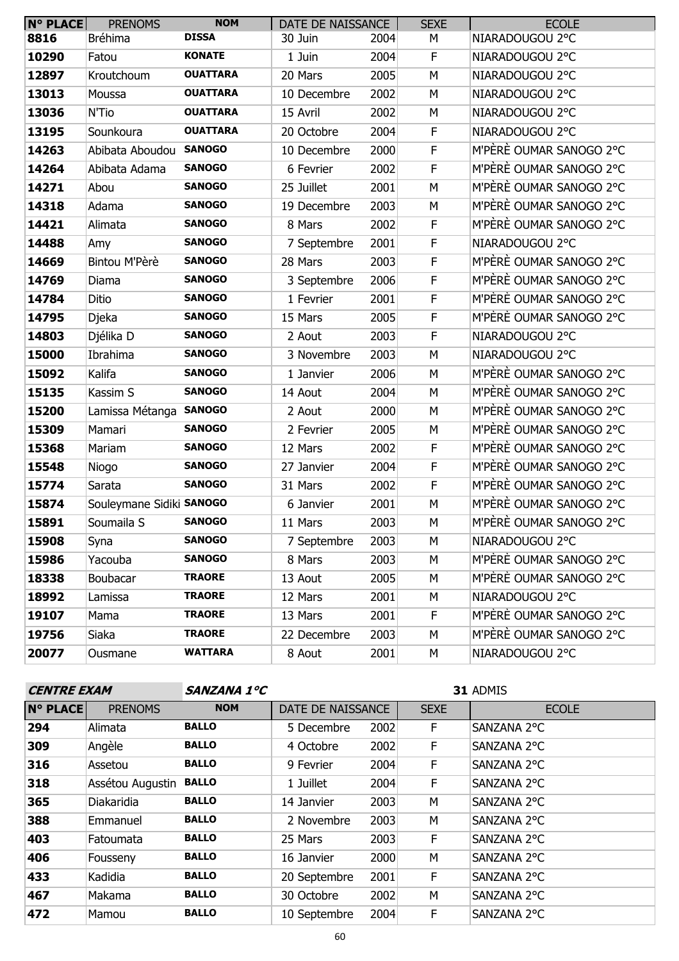| $N^{\circ}$ PLACE | <b>PRENOMS</b>           | <b>NOM</b>      | DATE DE NAISSANCE |      | <b>SEXE</b> | <b>ECOLE</b>            |
|-------------------|--------------------------|-----------------|-------------------|------|-------------|-------------------------|
| 8816              | Bréhima                  | <b>DISSA</b>    | 30 Juin           | 2004 | М           | NIARADOUGOU 2°C         |
| 10290             | Fatou                    | <b>KONATE</b>   | 1 Juin            | 2004 | F           | NIARADOUGOU 2°C         |
| 12897             | Kroutchoum               | <b>OUATTARA</b> | 20 Mars           | 2005 | M           | NIARADOUGOU 2°C         |
| 13013             | Moussa                   | <b>OUATTARA</b> | 10 Decembre       | 2002 | M           | NIARADOUGOU 2°C         |
| 13036             | N'Tio                    | <b>OUATTARA</b> | 15 Avril          | 2002 | M           | NIARADOUGOU 2°C         |
| 13195             | Sounkoura                | <b>OUATTARA</b> | 20 Octobre        | 2004 | F           | NIARADOUGOU 2°C         |
| 14263             | Abibata Aboudou          | <b>SANOGO</b>   | 10 Decembre       | 2000 | F           | M'PÈRÈ OUMAR SANOGO 2°C |
| 14264             | Abibata Adama            | <b>SANOGO</b>   | 6 Fevrier         | 2002 | F           | M'PÈRÈ OUMAR SANOGO 2°C |
| 14271             | Abou                     | <b>SANOGO</b>   | 25 Juillet        | 2001 | М           | M'PÈRÈ OUMAR SANOGO 2°C |
| 14318             | Adama                    | <b>SANOGO</b>   | 19 Decembre       | 2003 | M           | M'PÈRÈ OUMAR SANOGO 2°C |
| 14421             | Alimata                  | <b>SANOGO</b>   | 8 Mars            | 2002 | F           | M'PÈRÈ OUMAR SANOGO 2°C |
| 14488             | Amy                      | <b>SANOGO</b>   | 7 Septembre       | 2001 | F           | NIARADOUGOU 2°C         |
| 14669             | Bintou M'Pèrè            | <b>SANOGO</b>   | 28 Mars           | 2003 | F           | M'PÈRÈ OUMAR SANOGO 2°C |
| 14769             | Diama                    | <b>SANOGO</b>   | 3 Septembre       | 2006 | F           | M'PÈRÈ OUMAR SANOGO 2°C |
| 14784             | Ditio                    | <b>SANOGO</b>   | 1 Fevrier         | 2001 | F           | M'PÈRÈ OUMAR SANOGO 2°C |
| 14795             | Djeka                    | <b>SANOGO</b>   | 15 Mars           | 2005 | F           | M'PÈRÈ OUMAR SANOGO 2°C |
| 14803             | Djélika D                | <b>SANOGO</b>   | 2 Aout            | 2003 | F           | NIARADOUGOU 2°C         |
| 15000             | Ibrahima                 | <b>SANOGO</b>   | 3 Novembre        | 2003 | M           | NIARADOUGOU 2°C         |
| 15092             | Kalifa                   | <b>SANOGO</b>   | 1 Janvier         | 2006 | M           | M'PÈRÈ OUMAR SANOGO 2°C |
| 15135             | Kassim S                 | <b>SANOGO</b>   | 14 Aout           | 2004 | М           | M'PÈRÈ OUMAR SANOGO 2°C |
| 15200             | Lamissa Métanga SANOGO   |                 | 2 Aout            | 2000 | M           | M'PÈRÈ OUMAR SANOGO 2°C |
| 15309             | Mamari                   | <b>SANOGO</b>   | 2 Fevrier         | 2005 | M           | M'PÈRÈ OUMAR SANOGO 2°C |
| 15368             | Mariam                   | <b>SANOGO</b>   | 12 Mars           | 2002 | F           | M'PÈRÈ OUMAR SANOGO 2°C |
| 15548             | Niogo                    | <b>SANOGO</b>   | 27 Janvier        | 2004 | F           | M'PÈRÈ OUMAR SANOGO 2°C |
| 15774             | Sarata                   | <b>SANOGO</b>   | 31 Mars           | 2002 | F           | M'PÈRÈ OUMAR SANOGO 2°C |
| 15874             | Souleymane Sidiki SANOGO |                 | 6 Janvier         | 2001 | M           | M'PÈRÈ OUMAR SANOGO 2°C |
| 15891             | Soumaila S               | <b>SANOGO</b>   | 11 Mars           | 2003 | М           | M'PÈRÈ OUMAR SANOGO 2°C |
| 15908             | Syna                     | <b>SANOGO</b>   | 7 Septembre       | 2003 | М           | NIARADOUGOU 2°C         |
| 15986             | Yacouba                  | <b>SANOGO</b>   | 8 Mars            | 2003 | M           | M'PÈRÈ OUMAR SANOGO 2°C |
| 18338             | Boubacar                 | <b>TRAORE</b>   | 13 Aout           | 2005 | М           | M'PÈRÈ OUMAR SANOGO 2°C |
| 18992             | Lamissa                  | <b>TRAORE</b>   | 12 Mars           | 2001 | М           | NIARADOUGOU 2°C         |
| 19107             | Mama                     | <b>TRAORE</b>   | 13 Mars           | 2001 | F           | M'PÈRÈ OUMAR SANOGO 2°C |
| 19756             | Siaka                    | <b>TRAORE</b>   | 22 Decembre       | 2003 | М           | M'PÈRÈ OUMAR SANOGO 2°C |
| 20077             | Ousmane                  | <b>WATTARA</b>  | 8 Aout            | 2001 | М           | NIARADOUGOU 2°C         |

| <b>CENTRE EXAM</b> |                  | <b>SANZANA 1°C</b> |                   | 31 ADMIS |             |              |
|--------------------|------------------|--------------------|-------------------|----------|-------------|--------------|
| <b>N° PLACE</b>    | <b>PRENOMS</b>   | <b>NOM</b>         | DATE DE NAISSANCE |          | <b>SEXE</b> | <b>ECOLE</b> |
| 294                | Alimata          | <b>BALLO</b>       | 5 Decembre        | 2002     | F.          | SANZANA 2°C  |
| 309                | Angèle           | <b>BALLO</b>       | 4 Octobre         | 2002     | F           | SANZANA 2°C  |
| 316                | Assetou          | <b>BALLO</b>       | 9 Fevrier         | 2004     | F.          | SANZANA 2°C  |
| 318                | Assétou Augustin | <b>BALLO</b>       | 1 Juillet         | 2004     | F           | SANZANA 2°C  |
| 365                | Diakaridia       | <b>BALLO</b>       | 14 Janvier        | 2003     | М           | SANZANA 2°C  |
| 388                | Emmanuel         | <b>BALLO</b>       | 2 Novembre        | 2003     | М           | SANZANA 2°C  |
| 403                | Fatoumata        | <b>BALLO</b>       | 25 Mars           | 2003     | F.          | SANZANA 2°C  |
| 406                | Fousseny         | <b>BALLO</b>       | 16 Janvier        | 2000     | M           | SANZANA 2°C  |
| 433                | Kadidia          | <b>BALLO</b>       | 20 Septembre      | 2001     | F.          | SANZANA 2°C  |
| 467                | Makama           | <b>BALLO</b>       | 30 Octobre        | 2002     | М           | SANZANA 2°C  |
| 472                | Mamou            | <b>BALLO</b>       | 10 Septembre      | 2004     | F           | SANZANA 2°C  |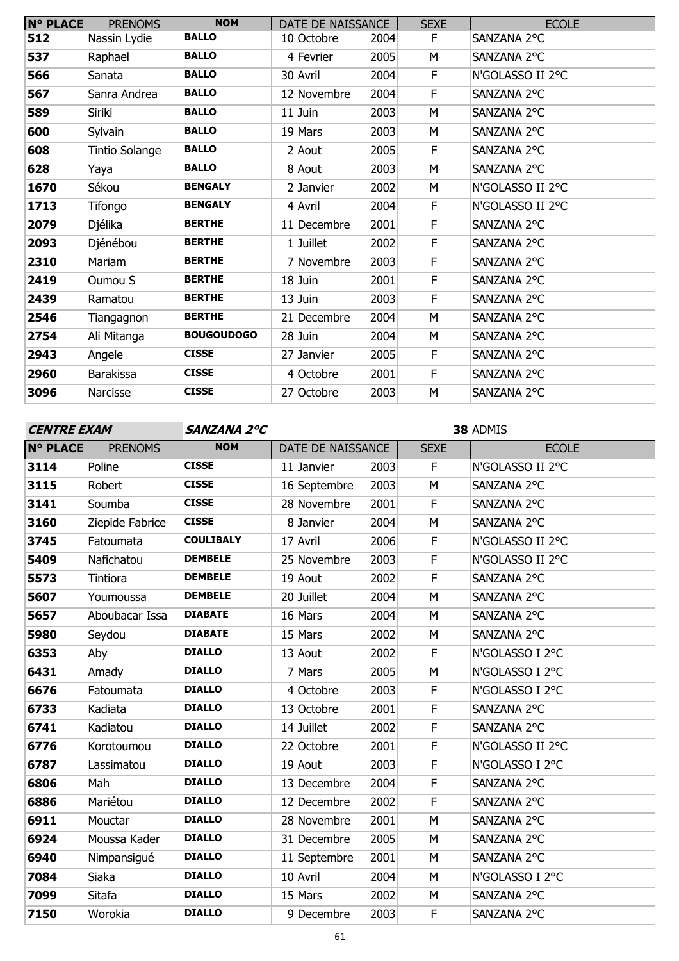| <b>N° PLACE</b> | <b>PRENOMS</b> | <b>NOM</b>        | DATE DE NAISSANCE |      | <b>SEXE</b> | <b>ECOLE</b>     |
|-----------------|----------------|-------------------|-------------------|------|-------------|------------------|
| 512             | Nassin Lydie   | <b>BALLO</b>      | 10 Octobre        | 2004 | F           | SANZANA 2°C      |
| 537             | Raphael        | <b>BALLO</b>      | 4 Fevrier         | 2005 | M           | SANZANA 2°C      |
| 566             | Sanata         | <b>BALLO</b>      | 30 Avril          | 2004 | F.          | N'GOLASSO II 2°C |
| 567             | Sanra Andrea   | <b>BALLO</b>      | 12 Novembre       | 2004 | F           | SANZANA 2°C      |
| 589             | Siriki         | <b>BALLO</b>      | 11 Juin           | 2003 | M           | SANZANA 2°C      |
| 600             | Sylvain        | <b>BALLO</b>      | 19 Mars           | 2003 | M           | SANZANA 2°C      |
| 608             | Tintio Solange | <b>BALLO</b>      | 2 Aout            | 2005 | F           | SANZANA 2°C      |
| 628             | Yaya           | <b>BALLO</b>      | 8 Aout            | 2003 | M           | SANZANA 2°C      |
| 1670            | Sékou          | <b>BENGALY</b>    | 2 Janvier         | 2002 | M           | N'GOLASSO II 2°C |
| 1713            | Tifongo        | <b>BENGALY</b>    | 4 Avril           | 2004 | F.          | N'GOLASSO II 2°C |
| 2079            | Djélika        | <b>BERTHE</b>     | 11 Decembre       | 2001 | F           | SANZANA 2°C      |
| 2093            | Djénébou       | <b>BERTHE</b>     | 1 Juillet         | 2002 | F           | SANZANA 2°C      |
| 2310            | Mariam         | <b>BERTHE</b>     | 7 Novembre        | 2003 | F           | SANZANA 2°C      |
| 2419            | Oumou S        | <b>BERTHE</b>     | 18 Juin           | 2001 | F           | SANZANA 2°C      |
| 2439            | Ramatou        | <b>BERTHE</b>     | 13 Juin           | 2003 | F           | SANZANA 2°C      |
| 2546            | Tiangagnon     | <b>BERTHE</b>     | 21 Decembre       | 2004 | M           | SANZANA 2°C      |
| 2754            | Ali Mitanga    | <b>BOUGOUDOGO</b> | 28 Juin           | 2004 | M           | SANZANA 2°C      |
| 2943            | Angele         | <b>CISSE</b>      | 27 Janvier        | 2005 | F           | SANZANA 2°C      |
| 2960            | Barakissa      | <b>CISSE</b>      | 4 Octobre         | 2001 | F           | SANZANA 2°C      |
| 3096            | Narcisse       | <b>CISSE</b>      | 27 Octobre        | 2003 | M           | SANZANA 2°C      |

**CENTRE EXAM SANZANA 2°C**

| <b>N° PLACE</b> | <b>PRENOMS</b>  | <b>NOM</b>       | DATE DE NAISSANCE |      | <b>SEXE</b> | <b>ECOLE</b>     |
|-----------------|-----------------|------------------|-------------------|------|-------------|------------------|
| 3114            | Poline          | <b>CISSE</b>     | 11 Janvier        | 2003 | F           | N'GOLASSO II 2°C |
| 3115            | Robert          | <b>CISSE</b>     | 16 Septembre      | 2003 | M           | SANZANA 2°C      |
| 3141            | Soumba          | <b>CISSE</b>     | 28 Novembre       | 2001 | F           | SANZANA 2°C      |
| 3160            | Ziepide Fabrice | <b>CISSE</b>     | 8 Janvier         | 2004 | M           | SANZANA 2°C      |
| 3745            | Fatoumata       | <b>COULIBALY</b> | 17 Avril          | 2006 | F           | N'GOLASSO II 2°C |
| 5409            | Nafichatou      | <b>DEMBELE</b>   | 25 Novembre       | 2003 | F           | N'GOLASSO II 2°C |
| 5573            | Tintiora        | <b>DEMBELE</b>   | 19 Aout           | 2002 | F           | SANZANA 2°C      |
| 5607            | Youmoussa       | <b>DEMBELE</b>   | 20 Juillet        | 2004 | M           | SANZANA 2°C      |
| 5657            | Aboubacar Issa  | <b>DIABATE</b>   | 16 Mars           | 2004 | M           | SANZANA 2°C      |
| 5980            | Seydou          | <b>DIABATE</b>   | 15 Mars           | 2002 | M           | SANZANA 2°C      |
| 6353            | Aby             | <b>DIALLO</b>    | 13 Aout           | 2002 | $\mathsf F$ | N'GOLASSO I 2°C  |
| 6431            | Amady           | <b>DIALLO</b>    | 7 Mars            | 2005 | M           | N'GOLASSO I 2°C  |
| 6676            | Fatoumata       | <b>DIALLO</b>    | 4 Octobre         | 2003 | F           | N'GOLASSO I 2°C  |
| 6733            | Kadiata         | <b>DIALLO</b>    | 13 Octobre        | 2001 | F           | SANZANA 2°C      |
| 6741            | Kadiatou        | <b>DIALLO</b>    | 14 Juillet        | 2002 | F           | SANZANA 2°C      |
| 6776            | Korotoumou      | <b>DIALLO</b>    | 22 Octobre        | 2001 | F           | N'GOLASSO II 2°C |
| 6787            | Lassimatou      | <b>DIALLO</b>    | 19 Aout           | 2003 | F           | N'GOLASSO I 2°C  |
| 6806            | Mah             | <b>DIALLO</b>    | 13 Decembre       | 2004 | F           | SANZANA 2°C      |
| 6886            | Mariétou        | <b>DIALLO</b>    | 12 Decembre       | 2002 | F           | SANZANA 2°C      |
| 6911            | Mouctar         | <b>DIALLO</b>    | 28 Novembre       | 2001 | M           | SANZANA 2°C      |
| 6924            | Moussa Kader    | <b>DIALLO</b>    | 31 Decembre       | 2005 | M           | SANZANA 2°C      |
| 6940            | Nimpansigué     | <b>DIALLO</b>    | 11 Septembre      | 2001 | M           | SANZANA 2°C      |
| 7084            | Siaka           | <b>DIALLO</b>    | 10 Avril          | 2004 | M           | N'GOLASSO I 2°C  |
| 7099            | Sitafa          | <b>DIALLO</b>    | 15 Mars           | 2002 | M           | SANZANA 2°C      |
| 7150            | Worokia         | <b>DIALLO</b>    | 9 Decembre        | 2003 | F           | SANZANA 2°C      |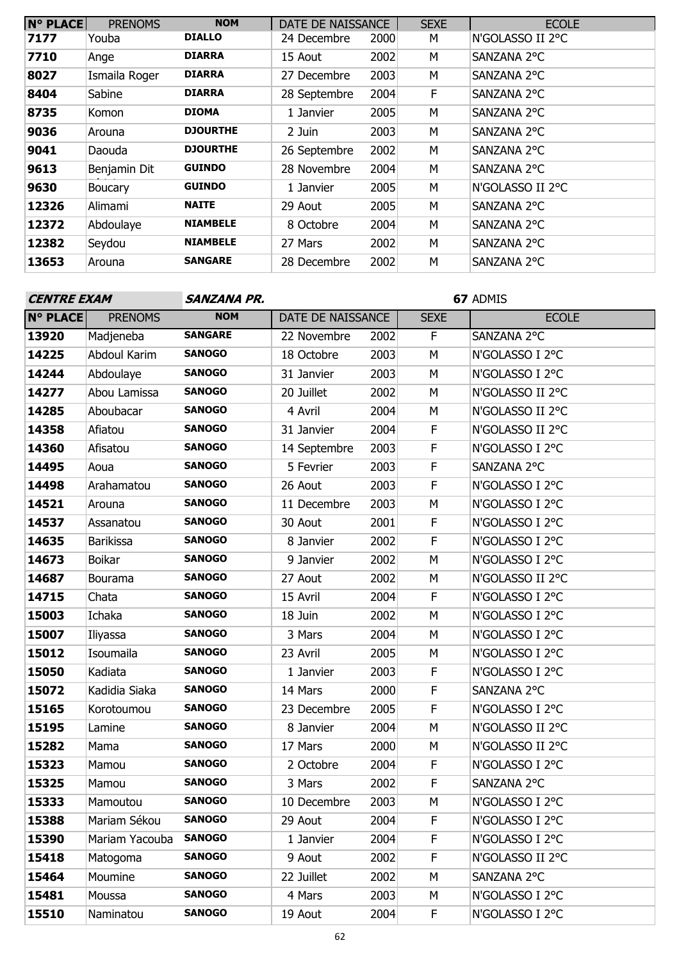| <b>N° PLACE</b> | <b>PRENOMS</b> | <b>NOM</b>      | DATE DE NAISSANCE |      | <b>SEXE</b> | <b>ECOLE</b>     |
|-----------------|----------------|-----------------|-------------------|------|-------------|------------------|
| 7177            | Youba          | <b>DIALLO</b>   | 24 Decembre       | 2000 | М           | N'GOLASSO II 2°C |
| 7710            | Ange           | <b>DIARRA</b>   | 15 Aout           | 2002 | М           | SANZANA 2°C      |
| 8027            | Ismaila Roger  | <b>DIARRA</b>   | 27 Decembre       | 2003 | M           | SANZANA 2°C      |
| 8404            | Sabine         | <b>DIARRA</b>   | 28 Septembre      | 2004 | F           | SANZANA 2°C      |
| 8735            | Komon          | <b>DIOMA</b>    | 1 Janvier         | 2005 | M           | SANZANA 2°C      |
| 9036            | Arouna         | <b>DJOURTHE</b> | 2 Juin            | 2003 | M           | SANZANA 2°C      |
| 9041            | Daouda         | <b>DJOURTHE</b> | 26 Septembre      | 2002 | М           | SANZANA 2°C      |
| 9613            | Benjamin Dit   | <b>GUINDO</b>   | 28 Novembre       | 2004 | M           | SANZANA 2°C      |
| 9630            | <b>Boucary</b> | <b>GUINDO</b>   | 1 Janvier         | 2005 | М           | N'GOLASSO II 2°C |
| 12326           | Alimami        | <b>NAITE</b>    | 29 Aout           | 2005 | M           | SANZANA 2°C      |
| 12372           | Abdoulaye      | <b>NIAMBELE</b> | 8 Octobre         | 2004 | M           | SANZANA 2°C      |
| 12382           | Seydou         | <b>NIAMBELE</b> | 27 Mars           | 2002 | M           | SANZANA 2°C      |
| 13653           | Arouna         | <b>SANGARE</b>  | 28 Decembre       | 2002 | M           | SANZANA 2°C      |

| <b>CENTRE EXAM</b> |                  | SANZANA PR.    |                   |      |             | 67 ADMIS         |  |  |  |
|--------------------|------------------|----------------|-------------------|------|-------------|------------------|--|--|--|
| <b>N° PLACE</b>    | <b>PRENOMS</b>   | <b>NOM</b>     | DATE DE NAISSANCE |      | <b>SEXE</b> | <b>ECOLE</b>     |  |  |  |
| 13920              | Madjeneba        | <b>SANGARE</b> | 22 Novembre       | 2002 | F.          | SANZANA 2°C      |  |  |  |
| 14225              | Abdoul Karim     | <b>SANOGO</b>  | 18 Octobre        | 2003 | M           | N'GOLASSO I 2°C  |  |  |  |
| 14244              | Abdoulaye        | <b>SANOGO</b>  | 31 Janvier        | 2003 | M           | N'GOLASSO I 2°C  |  |  |  |
| 14277              | Abou Lamissa     | <b>SANOGO</b>  | 20 Juillet        | 2002 | М           | N'GOLASSO II 2°C |  |  |  |
| 14285              | Aboubacar        | <b>SANOGO</b>  | 4 Avril           | 2004 | M           | N'GOLASSO II 2°C |  |  |  |
| 14358              | Afiatou          | <b>SANOGO</b>  | 31 Janvier        | 2004 | F           | N'GOLASSO II 2°C |  |  |  |
| 14360              | Afisatou         | <b>SANOGO</b>  | 14 Septembre      | 2003 | F           | N'GOLASSO I 2°C  |  |  |  |
| 14495              | Aoua             | <b>SANOGO</b>  | 5 Fevrier         | 2003 | F           | SANZANA 2°C      |  |  |  |
| 14498              | Arahamatou       | <b>SANOGO</b>  | 26 Aout           | 2003 | F           | N'GOLASSO I 2°C  |  |  |  |
| 14521              | Arouna           | <b>SANOGO</b>  | 11 Decembre       | 2003 | M           | N'GOLASSO I 2°C  |  |  |  |
| 14537              | Assanatou        | <b>SANOGO</b>  | 30 Aout           | 2001 | F           | N'GOLASSO I 2°C  |  |  |  |
| 14635              | <b>Barikissa</b> | <b>SANOGO</b>  | 8 Janvier         | 2002 | F           | N'GOLASSO I 2°C  |  |  |  |
| 14673              | <b>Boikar</b>    | <b>SANOGO</b>  | 9 Janvier         | 2002 | M           | N'GOLASSO I 2°C  |  |  |  |
| 14687              | Bourama          | <b>SANOGO</b>  | 27 Aout           | 2002 | М           | N'GOLASSO II 2°C |  |  |  |
| 14715              | Chata            | <b>SANOGO</b>  | 15 Avril          | 2004 | F           | N'GOLASSO I 2°C  |  |  |  |
| 15003              | Ichaka           | <b>SANOGO</b>  | 18 Juin           | 2002 | M           | N'GOLASSO I 2°C  |  |  |  |
| 15007              | Iliyassa         | <b>SANOGO</b>  | 3 Mars            | 2004 | M           | N'GOLASSO I 2°C  |  |  |  |
| 15012              | Isoumaila        | <b>SANOGO</b>  | 23 Avril          | 2005 | М           | N'GOLASSO I 2°C  |  |  |  |
| 15050              | Kadiata          | <b>SANOGO</b>  | 1 Janvier         | 2003 | F           | N'GOLASSO I 2°C  |  |  |  |
| 15072              | Kadidia Siaka    | <b>SANOGO</b>  | 14 Mars           | 2000 | F           | SANZANA 2°C      |  |  |  |
| 15165              | Korotoumou       | <b>SANOGO</b>  | 23 Decembre       | 2005 | F           | N'GOLASSO I 2°C  |  |  |  |
| 15195              | Lamine           | <b>SANOGO</b>  | 8 Janvier         | 2004 | М           | N'GOLASSO II 2°C |  |  |  |
| 15282              | Mama             | <b>SANOGO</b>  | 17 Mars           | 2000 | М           | N'GOLASSO II 2°C |  |  |  |
| 15323              | Mamou            | <b>SANOGO</b>  | 2 Octobre         | 2004 | F           | N'GOLASSO I 2°C  |  |  |  |
| 15325              | Mamou            | <b>SANOGO</b>  | 3 Mars            | 2002 | F           | SANZANA 2°C      |  |  |  |
| 15333              | Mamoutou         | <b>SANOGO</b>  | 10 Decembre       | 2003 | M           | N'GOLASSO I 2°C  |  |  |  |
| 15388              | Mariam Sékou     | <b>SANOGO</b>  | 29 Aout           | 2004 | F           | N'GOLASSO I 2°C  |  |  |  |
| 15390              | Mariam Yacouba   | <b>SANOGO</b>  | 1 Janvier         | 2004 | F.          | N'GOLASSO I 2°C  |  |  |  |
| 15418              | Matogoma         | <b>SANOGO</b>  | 9 Aout            | 2002 | F           | N'GOLASSO II 2°C |  |  |  |
| 15464              | Moumine          | <b>SANOGO</b>  | 22 Juillet        | 2002 | М           | SANZANA 2°C      |  |  |  |
| 15481              | Moussa           | <b>SANOGO</b>  | 4 Mars            | 2003 | М           | N'GOLASSO I 2°C  |  |  |  |
| 15510              | Naminatou        | <b>SANOGO</b>  | 19 Aout           | 2004 | F.          | N'GOLASSO I 2°C  |  |  |  |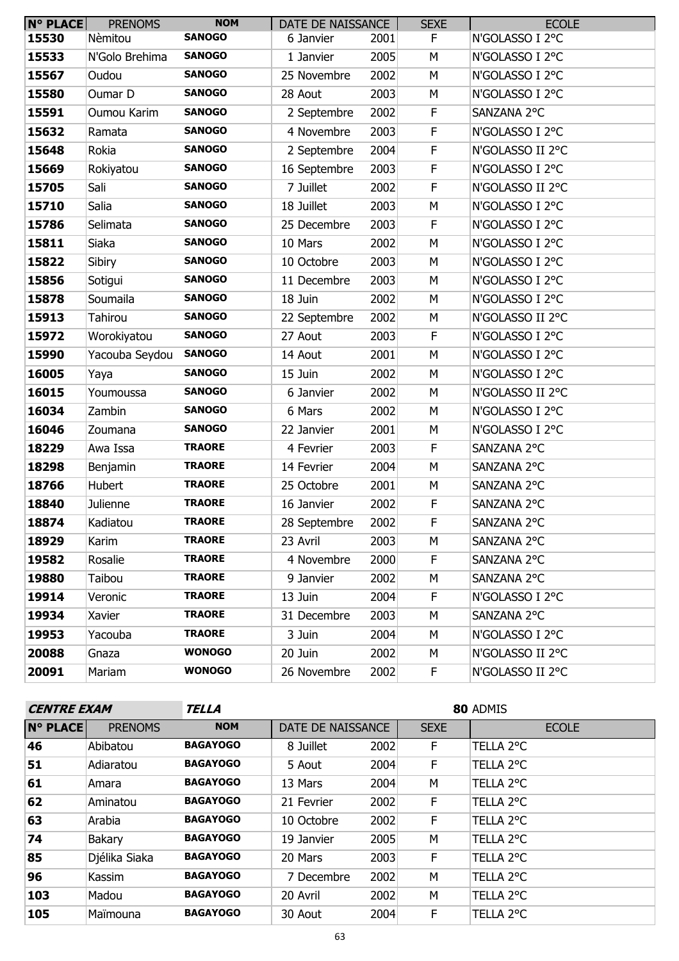| $N^{\circ}$ PLACE | <b>PRENOMS</b> | <b>NOM</b>    | DATE DE NAISSANCE |      | <b>SEXE</b> | <b>ECOLE</b>     |
|-------------------|----------------|---------------|-------------------|------|-------------|------------------|
| 15530             | Nèmitou        | <b>SANOGO</b> | 6 Janvier         | 2001 | F.          | N'GOLASSO I 2°C  |
| 15533             | N'Golo Brehima | <b>SANOGO</b> | 1 Janvier         | 2005 | М           | N'GOLASSO I 2°C  |
| 15567             | Oudou          | <b>SANOGO</b> | 25 Novembre       | 2002 | M           | N'GOLASSO I 2°C  |
| 15580             | Oumar D        | <b>SANOGO</b> | 28 Aout           | 2003 | M           | N'GOLASSO I 2°C  |
| 15591             | Oumou Karim    | <b>SANOGO</b> | 2 Septembre       | 2002 | $\mathsf F$ | SANZANA 2°C      |
| 15632             | Ramata         | <b>SANOGO</b> | 4 Novembre        | 2003 | F           | N'GOLASSO I 2°C  |
| 15648             | Rokia          | <b>SANOGO</b> | 2 Septembre       | 2004 | $\mathsf F$ | N'GOLASSO II 2°C |
| 15669             | Rokiyatou      | <b>SANOGO</b> | 16 Septembre      | 2003 | $\mathsf F$ | N'GOLASSO I 2°C  |
| 15705             | Sali           | <b>SANOGO</b> | 7 Juillet         | 2002 | $\mathsf F$ | N'GOLASSO II 2°C |
| 15710             | Salia          | <b>SANOGO</b> | 18 Juillet        | 2003 | M           | N'GOLASSO I 2°C  |
| 15786             | Selimata       | <b>SANOGO</b> | 25 Decembre       | 2003 | $\mathsf F$ | N'GOLASSO I 2°C  |
| 15811             | Siaka          | <b>SANOGO</b> | 10 Mars           | 2002 | M           | N'GOLASSO I 2°C  |
| 15822             | Sibiry         | <b>SANOGO</b> | 10 Octobre        | 2003 | М           | N'GOLASSO I 2°C  |
| 15856             | Sotigui        | <b>SANOGO</b> | 11 Decembre       | 2003 | M           | N'GOLASSO I 2°C  |
| 15878             | Soumaila       | <b>SANOGO</b> | 18 Juin           | 2002 | M           | N'GOLASSO I 2°C  |
| 15913             | <b>Tahirou</b> | <b>SANOGO</b> | 22 Septembre      | 2002 | M           | N'GOLASSO II 2°C |
| 15972             | Worokiyatou    | <b>SANOGO</b> | 27 Aout           | 2003 | $\mathsf F$ | N'GOLASSO I 2°C  |
| 15990             | Yacouba Seydou | <b>SANOGO</b> | 14 Aout           | 2001 | M           | N'GOLASSO I 2°C  |
| 16005             | Yaya           | <b>SANOGO</b> | 15 Juin           | 2002 | M           | N'GOLASSO I 2°C  |
| 16015             | Youmoussa      | <b>SANOGO</b> | 6 Janvier         | 2002 | М           | N'GOLASSO II 2°C |
| 16034             | Zambin         | <b>SANOGO</b> | 6 Mars            | 2002 | M           | N'GOLASSO I 2°C  |
| 16046             | Zoumana        | <b>SANOGO</b> | 22 Janvier        | 2001 | M           | N'GOLASSO I 2°C  |
| 18229             | Awa Issa       | <b>TRAORE</b> | 4 Fevrier         | 2003 | F           | SANZANA 2°C      |
| 18298             | Benjamin       | <b>TRAORE</b> | 14 Fevrier        | 2004 | M           | SANZANA 2°C      |
| 18766             | Hubert         | <b>TRAORE</b> | 25 Octobre        | 2001 | M           | SANZANA 2°C      |
| 18840             | Julienne       | <b>TRAORE</b> | 16 Janvier        | 2002 | F           | SANZANA 2°C      |
| 18874             | Kadiatou       | <b>TRAORE</b> | 28 Septembre      | 2002 | F           | SANZANA 2°C      |
| 18929             | Karim          | <b>TRAORE</b> | 23 Avril          | 2003 | M           | SANZANA 2°C      |
| 19582             | Rosalie        | <b>TRAORE</b> | 4 Novembre        | 2000 | F.          | SANZANA 2°C      |
| 19880             | Taibou         | <b>TRAORE</b> | 9 Janvier         | 2002 | М           | SANZANA 2°C      |
| 19914             | Veronic        | <b>TRAORE</b> | 13 Juin           | 2004 | F.          | N'GOLASSO I 2°C  |
| 19934             | Xavier         | <b>TRAORE</b> | 31 Decembre       | 2003 | М           | SANZANA 2°C      |
| 19953             | Yacouba        | <b>TRAORE</b> | 3 Juin            | 2004 | М           | N'GOLASSO I 2°C  |
| 20088             | Gnaza          | <b>WONOGO</b> | 20 Juin           | 2002 | м           | N'GOLASSO II 2°C |
| 20091             | Mariam         | <b>WONOGO</b> | 26 Novembre       | 2002 | F.          | N'GOLASSO II 2°C |

| <b>CENTRE EXAM</b> |                | TELLA           | 80 ADMIS          |      |             |              |  |  |  |
|--------------------|----------------|-----------------|-------------------|------|-------------|--------------|--|--|--|
| <b>N° PLACE</b>    | <b>PRENOMS</b> | <b>NOM</b>      | DATE DE NAISSANCE |      | <b>SEXE</b> | <b>ECOLE</b> |  |  |  |
| 46                 | Abibatou       | <b>BAGAYOGO</b> | 8 Juillet         | 2002 | F.          | TELLA 2°C    |  |  |  |
| 51                 | Adiaratou      | <b>BAGAYOGO</b> | 5 Aout            | 2004 | F.          | TELLA 2°C    |  |  |  |
| 61                 | Amara          | <b>BAGAYOGO</b> | 13 Mars           | 2004 | M           | TELLA 2°C    |  |  |  |
| 62                 | Aminatou       | <b>BAGAYOGO</b> | 21 Fevrier        | 2002 | F.          | TELLA 2°C    |  |  |  |
| 63                 | Arabia         | <b>BAGAYOGO</b> | 10 Octobre        | 2002 | F.          | TELLA 2°C    |  |  |  |
| 74                 | <b>Bakary</b>  | <b>BAGAYOGO</b> | 19 Janvier        | 2005 | M           | TELLA 2°C    |  |  |  |
| 85                 | Djélika Siaka  | <b>BAGAYOGO</b> | 20 Mars           | 2003 | F.          | TELLA 2°C    |  |  |  |
| 96                 | Kassim         | <b>BAGAYOGO</b> | 7 Decembre        | 2002 | M           | TELLA 2°C    |  |  |  |
| 103                | Madou          | <b>BAGAYOGO</b> | 20 Avril          | 2002 | M           | TELLA 2°C    |  |  |  |
| 105                | Maïmouna       | <b>BAGAYOGO</b> | 30 Aout           | 2004 | F.          | TELLA 2°C    |  |  |  |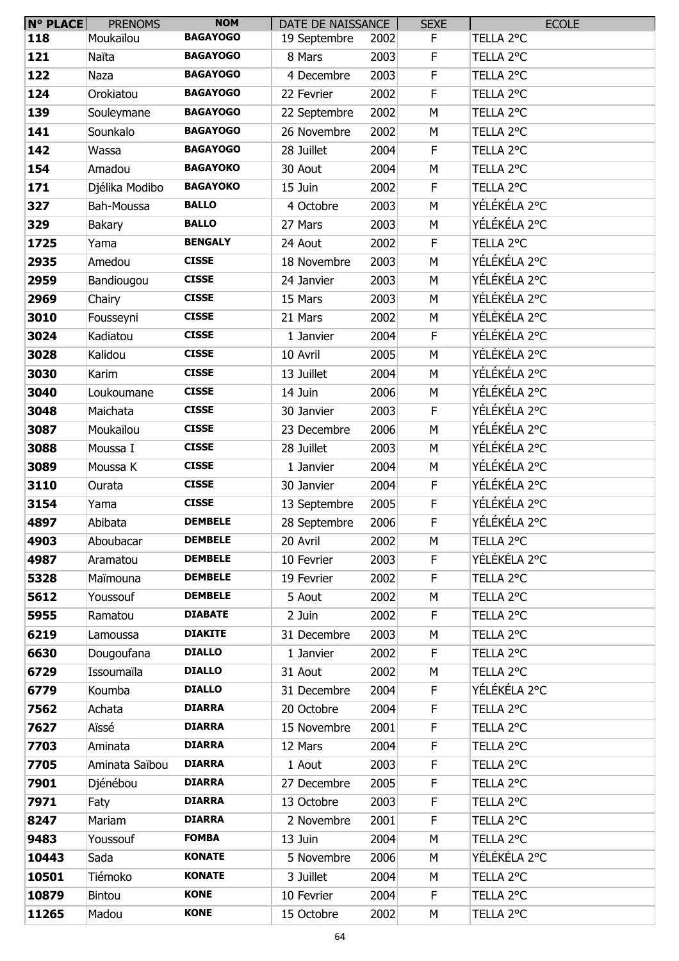| <b>N° PLACE</b> | <b>PRENOMS</b> | <b>NOM</b>      | DATE DE NAISSANCE |      | <b>SEXE</b> | <b>ECOLE</b> |
|-----------------|----------------|-----------------|-------------------|------|-------------|--------------|
| 118             | Moukaïlou      | <b>BAGAYOGO</b> | 19 Septembre      | 2002 | F.          | TELLA 2°C    |
| 121             | Naïta          | <b>BAGAYOGO</b> | 8 Mars            | 2003 | F           | TELLA 2°C    |
| 122             | Naza           | <b>BAGAYOGO</b> | 4 Decembre        | 2003 | F           | TELLA 2°C    |
| 124             | Orokiatou      | <b>BAGAYOGO</b> | 22 Fevrier        | 2002 | F           | TELLA 2°C    |
| 139             | Souleymane     | <b>BAGAYOGO</b> | 22 Septembre      | 2002 | M           | TELLA 2°C    |
| 141             | Sounkalo       | <b>BAGAYOGO</b> | 26 Novembre       | 2002 | M           | TELLA 2°C    |
| 142             | Wassa          | <b>BAGAYOGO</b> | 28 Juillet        | 2004 | F.          | TELLA 2°C    |
| 154             | Amadou         | <b>BAGAYOKO</b> | 30 Aout           | 2004 | M           | TELLA 2°C    |
| 171             | Djélika Modibo | <b>BAGAYOKO</b> | 15 Juin           | 2002 | F           | TELLA 2°C    |
| 327             | Bah-Moussa     | <b>BALLO</b>    | 4 Octobre         | 2003 | M           | YÉLÉKÉLA 2°C |
| 329             | Bakary         | <b>BALLO</b>    | 27 Mars           | 2003 | M           | YÉLÉKÉLA 2°C |
| 1725            | Yama           | <b>BENGALY</b>  | 24 Aout           | 2002 | F           | TELLA 2°C    |
| 2935            | Amedou         | <b>CISSE</b>    | 18 Novembre       | 2003 | M           | YÉLÉKÉLA 2°C |
| 2959            | Bandiougou     | <b>CISSE</b>    | 24 Janvier        | 2003 | M           | YÉLÉKÉLA 2°C |
| 2969            | Chairy         | <b>CISSE</b>    | 15 Mars           | 2003 | M           | YÉLÉKÉLA 2°C |
| 3010            | Fousseyni      | <b>CISSE</b>    | 21 Mars           | 2002 | M           | YÉLÉKÉLA 2°C |
| 3024            | Kadiatou       | <b>CISSE</b>    | 1 Janvier         | 2004 | F.          | YÉLÉKÉLA 2°C |
| 3028            | Kalidou        | <b>CISSE</b>    | 10 Avril          | 2005 | M           | YÉLÉKÉLA 2°C |
| 3030            | Karim          | <b>CISSE</b>    | 13 Juillet        | 2004 | M           | YÉLÉKÉLA 2°C |
| 3040            | Loukoumane     | <b>CISSE</b>    | 14 Juin           | 2006 | M           | YÉLÉKÉLA 2°C |
| 3048            | Maichata       | <b>CISSE</b>    | 30 Janvier        | 2003 | F           | YÉLÉKÉLA 2°C |
| 3087            | Moukaïlou      | <b>CISSE</b>    | 23 Decembre       | 2006 | M           | YÉLÉKÉLA 2°C |
| 3088            | Moussa I       | <b>CISSE</b>    | 28 Juillet        | 2003 | M           | YÉLÉKÉLA 2°C |
| 3089            | Moussa K       | <b>CISSE</b>    | 1 Janvier         | 2004 | M           | YÉLÉKÉLA 2°C |
| 3110            | Ourata         | <b>CISSE</b>    | 30 Janvier        | 2004 | F           | YÉLÉKÉLA 2°C |
| 3154            | Yama           | <b>CISSE</b>    | 13 Septembre      | 2005 | F           | YÉLÉKÉLA 2°C |
| 4897            | Abibata        | <b>DEMBELE</b>  | 28 Septembre      | 2006 | F           | YÉLÉKÉLA 2°C |
| 4903            | Aboubacar      | <b>DEMBELE</b>  | 20 Avril          | 2002 | М           | TELLA 2°C    |
| 4987            | Aramatou       | <b>DEMBELE</b>  | 10 Fevrier        | 2003 | F           | YÉLÉKÉLA 2°C |
| 5328            | Maïmouna       | <b>DEMBELE</b>  | 19 Fevrier        | 2002 | F           | TELLA 2°C    |
| 5612            | Youssouf       | <b>DEMBELE</b>  | 5 Aout            | 2002 | M           | TELLA 2°C    |
| 5955            | Ramatou        | <b>DIABATE</b>  | 2 Juin            | 2002 | F           | TELLA 2°C    |
| 6219            | Lamoussa       | <b>DIAKITE</b>  | 31 Decembre       | 2003 | M           | TELLA 2°C    |
| 6630            | Dougoufana     | <b>DIALLO</b>   | 1 Janvier         | 2002 | F           | TELLA 2°C    |
| 6729            | Issoumaïla     | <b>DIALLO</b>   | 31 Aout           | 2002 | M           | TELLA 2°C    |
| 6779            | Koumba         | <b>DIALLO</b>   | 31 Decembre       | 2004 | F           | YÉLÉKÉLA 2°C |
| 7562            | Achata         | <b>DIARRA</b>   | 20 Octobre        | 2004 | F.          | TELLA 2°C    |
| 7627            | Aïssé          | <b>DIARRA</b>   | 15 Novembre       | 2001 | F           | TELLA 2°C    |
| 7703            | Aminata        | <b>DIARRA</b>   | 12 Mars           | 2004 | F           | TELLA 2°C    |
| 7705            | Aminata Saïbou | <b>DIARRA</b>   | 1 Aout            | 2003 | F           | TELLA 2°C    |
| 7901            | Djénébou       | <b>DIARRA</b>   | 27 Decembre       | 2005 | $\mathsf F$ | TELLA 2°C    |
| 7971            | Faty           | <b>DIARRA</b>   | 13 Octobre        | 2003 | F           | TELLA 2°C    |
| 8247            | Mariam         | <b>DIARRA</b>   | 2 Novembre        | 2001 | F           | TELLA 2°C    |
| 9483            | Youssouf       | <b>FOMBA</b>    | 13 Juin           | 2004 | M           | TELLA 2°C    |
| 10443           | Sada           | <b>KONATE</b>   | 5 Novembre        | 2006 | M           | YÉLÉKÉLA 2°C |
| 10501           | Tiémoko        | <b>KONATE</b>   | 3 Juillet         | 2004 | M           | TELLA 2°C    |
| 10879           | <b>Bintou</b>  | <b>KONE</b>     | 10 Fevrier        | 2004 | F           | TELLA 2°C    |
| 11265           | Madou          | <b>KONE</b>     | 15 Octobre        | 2002 | M           | TELLA 2°C    |
|                 |                |                 |                   |      |             |              |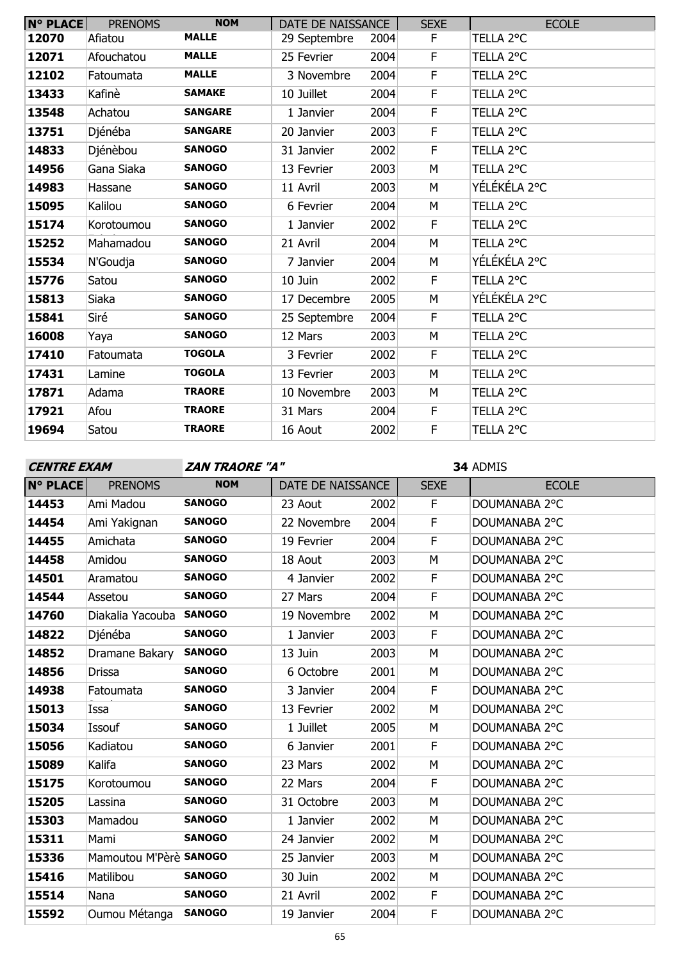| <b>N° PLACE</b> | <b>PRENOMS</b> | <b>NOM</b>     | DATE DE NAISSANCE |      | <b>SEXE</b> | <b>ECOLE</b> |
|-----------------|----------------|----------------|-------------------|------|-------------|--------------|
| 12070           | Afiatou        | <b>MALLE</b>   | 29 Septembre      | 2004 | F.          | TELLA 2°C    |
| 12071           | Afouchatou     | <b>MALLE</b>   | 25 Fevrier        | 2004 | F           | TELLA 2°C    |
| 12102           | Fatoumata      | <b>MALLE</b>   | 3 Novembre        | 2004 | F.          | TELLA 2°C    |
| 13433           | Kafinè         | <b>SAMAKE</b>  | 10 Juillet        | 2004 | F           | TELLA 2°C    |
| 13548           | Achatou        | <b>SANGARE</b> | 1 Janvier         | 2004 | F           | TELLA 2°C    |
| 13751           | Djénéba        | <b>SANGARE</b> | 20 Janvier        | 2003 | F           | TELLA 2°C    |
| 14833           | Djénèbou       | <b>SANOGO</b>  | 31 Janvier        | 2002 | F           | TELLA 2°C    |
| 14956           | Gana Siaka     | <b>SANOGO</b>  | 13 Fevrier        | 2003 | M           | TELLA 2°C    |
| 14983           | Hassane        | <b>SANOGO</b>  | 11 Avril          | 2003 | M           | YÉLÉKÉLA 2°C |
| 15095           | Kalilou        | <b>SANOGO</b>  | 6 Fevrier         | 2004 | М           | TELLA 2°C    |
| 15174           | Korotoumou     | <b>SANOGO</b>  | 1 Janvier         | 2002 | F           | TELLA 2°C    |
| 15252           | Mahamadou      | <b>SANOGO</b>  | 21 Avril          | 2004 | M           | TELLA 2°C    |
| 15534           | N'Goudja       | <b>SANOGO</b>  | 7 Janvier         | 2004 | М           | YÉLÉKÉLA 2°C |
| 15776           | Satou          | <b>SANOGO</b>  | 10 Juin           | 2002 | F           | TELLA 2°C    |
| 15813           | Siaka          | <b>SANOGO</b>  | 17 Decembre       | 2005 | M           | YÉLÉKÉLA 2°C |
| 15841           | Siré           | <b>SANOGO</b>  | 25 Septembre      | 2004 | F           | TELLA 2°C    |
| 16008           | Yaya           | <b>SANOGO</b>  | 12 Mars           | 2003 | M           | TELLA 2°C    |
| 17410           | Fatoumata      | <b>TOGOLA</b>  | 3 Fevrier         | 2002 | F           | TELLA 2°C    |
| 17431           | Lamine         | <b>TOGOLA</b>  | 13 Fevrier        | 2003 | M           | TELLA 2°C    |
| 17871           | Adama          | <b>TRAORE</b>  | 10 Novembre       | 2003 | M           | TELLA 2°C    |
| 17921           | Afou           | <b>TRAORE</b>  | 31 Mars           | 2004 | F.          | TELLA 2°C    |
| 19694           | Satou          | <b>TRAORE</b>  | 16 Aout           | 2002 | F           | TELLA 2°C    |

**CENTRE EXAM ZAN TRAORE "A"**

| <b>N° PLACE</b> | <b>PRENOMS</b>          | <b>NOM</b>    | DATE DE NAISSANCE |      | <b>SEXE</b> | <b>ECOLE</b>  |
|-----------------|-------------------------|---------------|-------------------|------|-------------|---------------|
| 14453           | Ami Madou               | <b>SANOGO</b> | 23 Aout           | 2002 | F.          | DOUMANABA 2°C |
| 14454           | Ami Yakignan            | <b>SANOGO</b> | 22 Novembre       | 2004 | F           | DOUMANABA 2°C |
| 14455           | Amichata                | <b>SANOGO</b> | 19 Fevrier        | 2004 | F           | DOUMANABA 2°C |
| 14458           | Amidou                  | <b>SANOGO</b> | 18 Aout           | 2003 | M           | DOUMANABA 2°C |
| 14501           | Aramatou                | <b>SANOGO</b> | 4 Janvier         | 2002 | F.          | DOUMANABA 2°C |
| 14544           | Assetou                 | <b>SANOGO</b> | 27 Mars           | 2004 | F           | DOUMANABA 2°C |
| 14760           | Diakalia Yacouba SANOGO |               | 19 Novembre       | 2002 | M           | DOUMANABA 2°C |
| 14822           | Djénéba                 | <b>SANOGO</b> | 1 Janvier         | 2003 | F           | DOUMANABA 2°C |
| 14852           | Dramane Bakary          | <b>SANOGO</b> | 13 Juin           | 2003 | M           | DOUMANABA 2°C |
| 14856           | <b>Drissa</b>           | <b>SANOGO</b> | 6 Octobre         | 2001 | M           | DOUMANABA 2°C |
| 14938           | Fatoumata               | <b>SANOGO</b> | 3 Janvier         | 2004 | F           | DOUMANABA 2°C |
| 15013           | Issa                    | <b>SANOGO</b> | 13 Fevrier        | 2002 | M           | DOUMANABA 2°C |
| 15034           | Issouf                  | <b>SANOGO</b> | 1 Juillet         | 2005 | M           | DOUMANABA 2°C |
| 15056           | Kadiatou                | <b>SANOGO</b> | 6 Janvier         | 2001 | F           | DOUMANABA 2°C |
| 15089           | Kalifa                  | <b>SANOGO</b> | 23 Mars           | 2002 | M           | DOUMANABA 2°C |
| 15175           | Korotoumou              | <b>SANOGO</b> | 22 Mars           | 2004 | F           | DOUMANABA 2°C |
| 15205           | Lassina                 | <b>SANOGO</b> | 31 Octobre        | 2003 | M           | DOUMANABA 2°C |
| 15303           | Mamadou                 | <b>SANOGO</b> | 1 Janvier         | 2002 | M           | DOUMANABA 2°C |
| 15311           | Mami                    | <b>SANOGO</b> | 24 Janvier        | 2002 | M           | DOUMANABA 2°C |
| 15336           | Mamoutou M'Pèrè SANOGO  |               | 25 Janvier        | 2003 | M           | DOUMANABA 2°C |
| 15416           | Matilibou               | <b>SANOGO</b> | 30 Juin           | 2002 | М           | DOUMANABA 2°C |
| 15514           | Nana                    | <b>SANOGO</b> | 21 Avril          | 2002 | F           | DOUMANABA 2°C |
| 15592           | Oumou Métanga           | <b>SANOGO</b> | 19 Janvier        | 2004 | F           | DOUMANABA 2°C |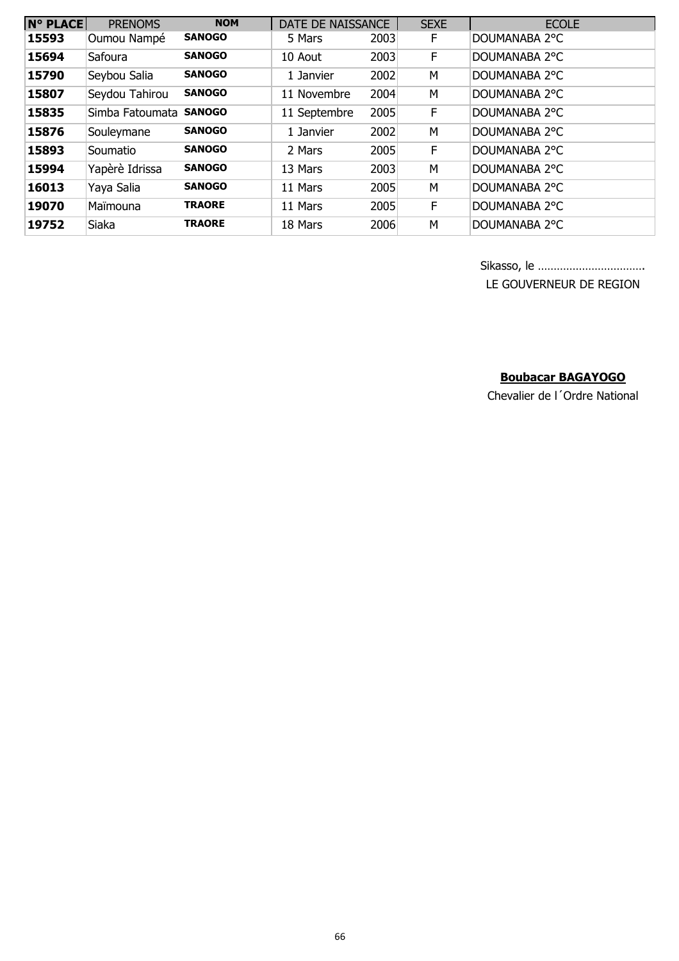| <b>N° PLACE</b> | <b>PRENOMS</b>  | <b>NOM</b>    | DATE DE NAISSANCE |      | <b>SEXE</b> | <b>ECOLE</b>  |
|-----------------|-----------------|---------------|-------------------|------|-------------|---------------|
| 15593           | Oumou Nampé     | <b>SANOGO</b> | 5 Mars            | 2003 | F           | DOUMANABA 2°C |
| 15694           | Safoura         | <b>SANOGO</b> | 10 Aout           | 2003 | F.          | DOUMANABA 2°C |
| 15790           | Seybou Salia    | <b>SANOGO</b> | 1 Janvier         | 2002 | M           | DOUMANABA 2°C |
| 15807           | Seydou Tahirou  | <b>SANOGO</b> | 11 Novembre       | 2004 | M           | DOUMANABA 2°C |
| 15835           | Simba Fatoumata | <b>SANOGO</b> | 11 Septembre      | 2005 | F.          | DOUMANABA 2°C |
| 15876           | Souleymane      | <b>SANOGO</b> | 1 Janvier         | 2002 | M           | DOUMANABA 2°C |
| 15893           | Soumatio        | <b>SANOGO</b> | 2 Mars            | 2005 | F           | DOUMANABA 2°C |
| 15994           | Yapèrè Idrissa  | <b>SANOGO</b> | 13 Mars           | 2003 | M           | DOUMANABA 2°C |
| 16013           | Yaya Salia      | <b>SANOGO</b> | 11 Mars           | 2005 | M           | DOUMANABA 2°C |
| 19070           | Maïmouna        | <b>TRAORE</b> | 11 Mars           | 2005 | F           | DOUMANABA 2°C |
| 19752           | <b>Siaka</b>    | TRAORE        | 18 Mars           | 2006 | M           | DOUMANABA 2°C |

Sikasso, le …………………………….

LE GOUVERNEUR DE REGION

# **Boubacar BAGAYOGO**

Chevalier de l´Ordre National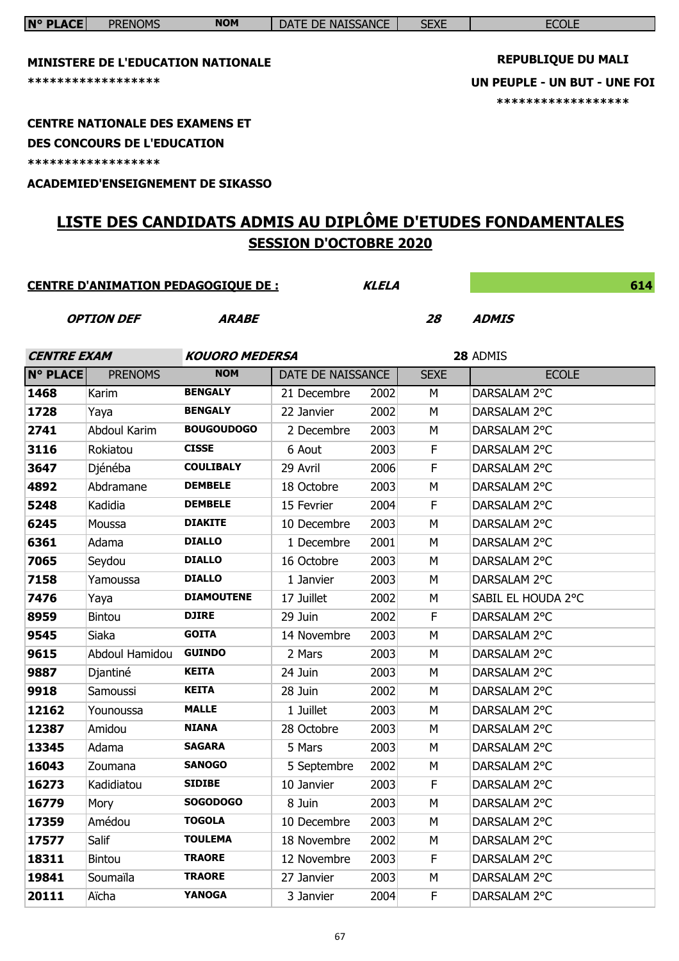| <b>N° PLACE</b>    | <b>PRENOMS</b>                                                  | <b>NOM</b>            | DATE DE NAISSANCE             |              | <b>SEXE</b> | <b>ECOLE</b>                                                                    |  |
|--------------------|-----------------------------------------------------------------|-----------------------|-------------------------------|--------------|-------------|---------------------------------------------------------------------------------|--|
|                    | <b>MINISTERE DE L'EDUCATION NATIONALE</b><br>****************** |                       |                               |              |             | <b>REPUBLIQUE DU MALI</b><br>UN PEUPLE - UN BUT - UNE FOI<br>****************** |  |
|                    | <b>CENTRE NATIONALE DES EXAMENS ET</b>                          |                       |                               |              |             |                                                                                 |  |
|                    | <b>DES CONCOURS DE L'EDUCATION</b>                              |                       |                               |              |             |                                                                                 |  |
|                    | *****************                                               |                       |                               |              |             |                                                                                 |  |
|                    | <b>ACADEMIED'ENSEIGNEMENT DE SIKASSO</b>                        |                       |                               |              |             |                                                                                 |  |
|                    |                                                                 |                       |                               |              |             | LISTE DES CANDIDATS ADMIS AU DIPLÔME D'ETUDES FONDAMENTALES                     |  |
|                    |                                                                 |                       | <b>SESSION D'OCTOBRE 2020</b> |              |             |                                                                                 |  |
|                    |                                                                 |                       |                               |              |             |                                                                                 |  |
|                    | <b>CENTRE D'ANIMATION PEDAGOGIQUE DE :</b>                      |                       |                               | <b>KLELA</b> |             | 614                                                                             |  |
|                    |                                                                 |                       |                               |              |             |                                                                                 |  |
|                    | <b>OPTION DEF</b>                                               | <b>ARABE</b>          |                               |              | 28          | <b>ADMIS</b>                                                                    |  |
| <b>CENTRE EXAM</b> |                                                                 | <b>KOUORO MEDERSA</b> |                               |              |             | 28 ADMIS                                                                        |  |
| <b>N° PLACE</b>    | <b>PRENOMS</b>                                                  | <b>NOM</b>            | DATE DE NAISSANCE             |              | <b>SEXE</b> | <b>ECOLE</b>                                                                    |  |
| 1468               | Karim                                                           | <b>BENGALY</b>        | 21 Decembre                   | 2002         | M           | DARSALAM 2°C                                                                    |  |
| 1728               | Yaya                                                            | <b>BENGALY</b>        | 22 Janvier                    | 2002         | M           | DARSALAM 2°C                                                                    |  |
| 2741               | <b>Abdoul Karim</b>                                             | <b>BOUGOUDOGO</b>     | 2 Decembre                    | 2003         | M           | DARSALAM 2°C                                                                    |  |
| 3116               | Rokiatou                                                        | <b>CISSE</b>          | 6 Aout                        | 2003         | F           | DARSALAM 2°C                                                                    |  |
| 3647               | Djénéba                                                         | <b>COULIBALY</b>      | 29 Avril                      | 2006         | F           | DARSALAM 2°C                                                                    |  |
| 4892               | Abdramane                                                       | <b>DEMBELE</b>        | 18 Octobre                    | 2003         | M           | DARSALAM 2°C                                                                    |  |
| 5248               | Kadidia                                                         | <b>DEMBELE</b>        | 15 Fevrier                    | 2004         | F           | DARSALAM 2°C                                                                    |  |
| 6245               | Moussa                                                          | <b>DIAKITE</b>        | 10 Decembre                   | 2003         | M           | DARSALAM 2°C                                                                    |  |
| 6361               | Adama                                                           | <b>DIALLO</b>         | 1 Decembre                    | 2001         | M           | DARSALAM 2°C                                                                    |  |
| 7065               | Seydou                                                          | <b>DIALLO</b>         | 16 Octobre                    | 2003         | M           | DARSALAM 2°C                                                                    |  |
| 7158               | Yamoussa                                                        | <b>DIALLO</b>         | 1 Janvier                     | 2003         | М           | DARSALAM 2°C                                                                    |  |
| 7476               | Yaya                                                            | <b>DIAMOUTENE</b>     | 17 Juillet                    | 2002         | М           | SABIL EL HOUDA 2°C                                                              |  |
| 8959               | <b>Bintou</b>                                                   | <b>DJIRE</b>          | 29 Juin                       | 2002         | F           | DARSALAM 2°C                                                                    |  |
| 9545               | Siaka                                                           | <b>GOITA</b>          | 14 Novembre                   | 2003         | M           | DARSALAM 2°C                                                                    |  |
| 9615               | Abdoul Hamidou                                                  | <b>GUINDO</b>         | 2 Mars                        | 2003         | M           | DARSALAM 2°C                                                                    |  |
| 9887               | Djantiné                                                        | <b>KEITA</b>          | 24 Juin                       | 2003         | M           | DARSALAM 2°C                                                                    |  |
| 9918               | Samoussi                                                        | <b>KEITA</b>          | 28 Juin                       | 2002         | M           | DARSALAM 2°C                                                                    |  |
| 12162              | Younoussa                                                       | <b>MALLE</b>          | 1 Juillet                     | 2003         | M           | DARSALAM 2°C                                                                    |  |
| 12387              | Amidou                                                          | <b>NIANA</b>          | 28 Octobre                    | 2003         | М           | DARSALAM 2°C                                                                    |  |
| 13345              | Adama                                                           | <b>SAGARA</b>         | 5 Mars                        | 2003         | M           | DARSALAM 2°C                                                                    |  |
| 16043              | Zoumana                                                         | <b>SANOGO</b>         | 5 Septembre                   | 2002         | M           | DARSALAM 2°C                                                                    |  |
| 16273              | Kadidiatou                                                      | <b>SIDIBE</b>         | 10 Janvier                    | 2003         | F           | DARSALAM 2°C                                                                    |  |
| 16779              | Mory                                                            | <b>SOGODOGO</b>       | 8 Juin                        | 2003         | M           | DARSALAM 2°C                                                                    |  |
| 17359              | Amédou                                                          | <b>TOGOLA</b>         | 10 Decembre                   | 2003         | M           | DARSALAM 2°C                                                                    |  |
| 17577              | Salif                                                           | <b>TOULEMA</b>        | 18 Novembre                   | 2002         | М           | DARSALAM 2°C                                                                    |  |
| 18311              | <b>Bintou</b>                                                   | <b>TRAORE</b>         | 12 Novembre                   | 2003         | F           | DARSALAM 2°C                                                                    |  |
| 19841              | Soumaïla                                                        | <b>TRAORE</b>         | 27 Janvier                    | 2003         | M           | DARSALAM 2°C                                                                    |  |
| 20111              | Aïcha                                                           | <b>YANOGA</b>         | 3 Janvier                     | 2004         | F           | DARSALAM 2°C                                                                    |  |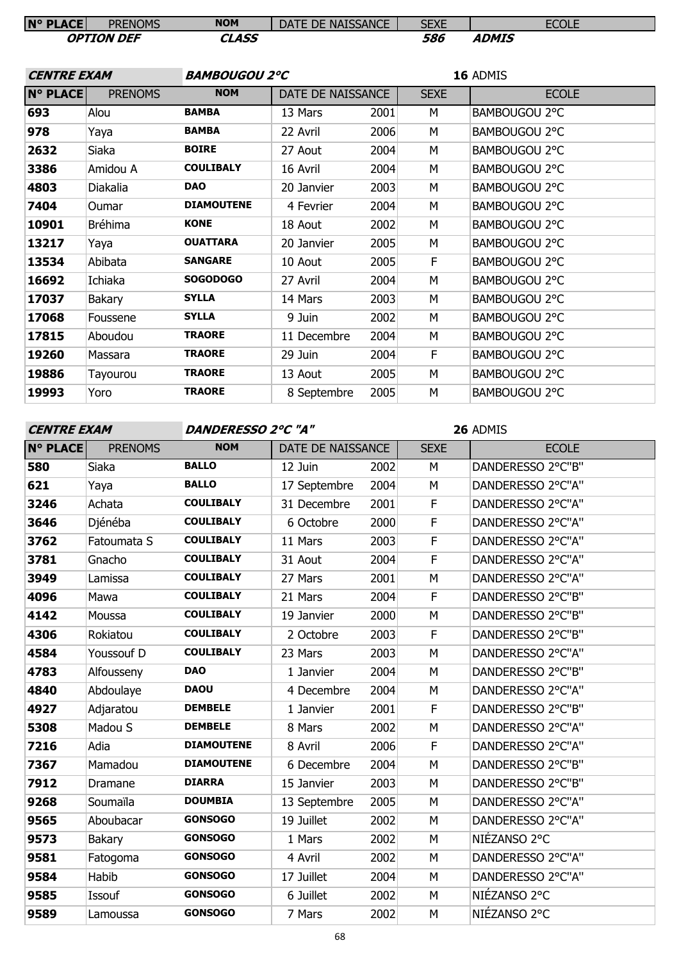| <b>N° PLACE</b>    | <b>PRENOMS</b>    | <b>NOM</b>        | DATE DE NAISSANCE    |      | <b>SEXE</b> | <b>ECOLE</b>  |
|--------------------|-------------------|-------------------|----------------------|------|-------------|---------------|
|                    | <b>OPTION DEF</b> | <b>CLASS</b>      |                      |      | 586         | <b>ADMIS</b>  |
|                    |                   |                   |                      |      |             |               |
| <b>CENTRE EXAM</b> |                   |                   | <b>BAMBOUGOU 2°C</b> |      |             | 16 ADMIS      |
| <b>N° PLACE</b>    | <b>PRENOMS</b>    | <b>NOM</b>        | DATE DE NAISSANCE    |      | <b>SEXE</b> | <b>ECOLE</b>  |
| 693                | Alou              | <b>BAMBA</b>      | 13 Mars              | 2001 | M           | BAMBOUGOU 2°C |
| 978                | Yaya              | <b>BAMBA</b>      | 22 Avril             | 2006 | М           | BAMBOUGOU 2°C |
| 2632               | Siaka             | <b>BOIRE</b>      | 27 Aout              | 2004 | M           | BAMBOUGOU 2°C |
| 3386               | Amidou A          | <b>COULIBALY</b>  | 16 Avril             | 2004 | М           | BAMBOUGOU 2°C |
| 4803               | Diakalia          | <b>DAO</b>        | 20 Janvier           | 2003 | M           | BAMBOUGOU 2°C |
| 7404               | Oumar             | <b>DIAMOUTENE</b> | 4 Fevrier            | 2004 | М           | BAMBOUGOU 2°C |
| 10901              | <b>Bréhima</b>    | <b>KONE</b>       | 18 Aout              | 2002 | M           | BAMBOUGOU 2°C |
| 13217              | Yaya              | <b>OUATTARA</b>   | 20 Janvier           | 2005 | M           | BAMBOUGOU 2°C |
| 13534              | Abibata           | <b>SANGARE</b>    | 10 Aout              | 2005 | F           | BAMBOUGOU 2°C |
| 16692              | Ichiaka           | <b>SOGODOGO</b>   | 27 Avril             | 2004 | M           | BAMBOUGOU 2°C |
| 17037              | Bakary            | <b>SYLLA</b>      | 14 Mars              | 2003 | M           | BAMBOUGOU 2°C |
| 17068              | Foussene          | <b>SYLLA</b>      | 9 Juin               | 2002 | M           | BAMBOUGOU 2°C |
| 17815              | Aboudou           | <b>TRAORE</b>     | 11 Decembre          | 2004 | M           | BAMBOUGOU 2°C |
| 19260              | Massara           | <b>TRAORE</b>     | 29 Juin              | 2004 | F           | BAMBOUGOU 2°C |
| 19886              | Tayourou          | <b>TRAORE</b>     | 13 Aout              | 2005 | M           | BAMBOUGOU 2°C |
| 19993              | Yoro              | <b>TRAORE</b>     | 8 Septembre          | 2005 | М           | BAMBOUGOU 2°C |
|                    |                   |                   |                      |      |             |               |

### **CENTRE EXAM DANDERESSO 2°C "A"**

| <b>N° PLACE</b> | <b>PRENOMS</b> | <b>NOM</b>        | DATE DE NAISSANCE |      | <b>SEXE</b>  | <b>ECOLE</b>      |
|-----------------|----------------|-------------------|-------------------|------|--------------|-------------------|
| 580             | Siaka          | <b>BALLO</b>      | 12 Juin           | 2002 | M            | DANDERESSO 2°C"B" |
| 621             | Yaya           | <b>BALLO</b>      | 17 Septembre      | 2004 | M            | DANDERESSO 2°C"A" |
| 3246            | Achata         | <b>COULIBALY</b>  | 31 Decembre       | 2001 | F            | DANDERESSO 2°C"A" |
| 3646            | Djénéba        | <b>COULIBALY</b>  | 6 Octobre         | 2000 | $\mathsf F$  | DANDERESSO 2°C"A" |
| 3762            | Fatoumata S    | <b>COULIBALY</b>  | 11 Mars           | 2003 | F            | DANDERESSO 2°C"A" |
| 3781            | Gnacho         | <b>COULIBALY</b>  | 31 Aout           | 2004 | $\mathsf F$  | DANDERESSO 2°C"A" |
| 3949            | Lamissa        | <b>COULIBALY</b>  | 27 Mars           | 2001 | M            | DANDERESSO 2°C"A" |
| 4096            | Mawa           | <b>COULIBALY</b>  | 21 Mars           | 2004 | $\mathsf{F}$ | DANDERESSO 2°C"B" |
| 4142            | Moussa         | <b>COULIBALY</b>  | 19 Janvier        | 2000 | M            | DANDERESSO 2°C"B" |
| 4306            | Rokiatou       | <b>COULIBALY</b>  | 2 Octobre         | 2003 | F            | DANDERESSO 2°C"B" |
| 4584            | Youssouf D     | <b>COULIBALY</b>  | 23 Mars           | 2003 | M            | DANDERESSO 2°C"A" |
| 4783            | Alfousseny     | <b>DAO</b>        | 1 Janvier         | 2004 | M            | DANDERESSO 2°C"B" |
| 4840            | Abdoulaye      | <b>DAOU</b>       | 4 Decembre        | 2004 | M            | DANDERESSO 2°C"A" |
| 4927            | Adjaratou      | <b>DEMBELE</b>    | 1 Janvier         | 2001 | F            | DANDERESSO 2°C"B" |
| 5308            | Madou S        | <b>DEMBELE</b>    | 8 Mars            | 2002 | M            | DANDERESSO 2°C"A" |
| 7216            | Adia           | <b>DIAMOUTENE</b> | 8 Avril           | 2006 | F            | DANDERESSO 2°C"A" |
| 7367            | Mamadou        | <b>DIAMOUTENE</b> | 6 Decembre        | 2004 | M            | DANDERESSO 2°C"B" |
| 7912            | Dramane        | <b>DIARRA</b>     | 15 Janvier        | 2003 | M            | DANDERESSO 2°C"B" |
| 9268            | Soumaïla       | <b>DOUMBIA</b>    | 13 Septembre      | 2005 | M            | DANDERESSO 2°C"A" |
| 9565            | Aboubacar      | <b>GONSOGO</b>    | 19 Juillet        | 2002 | M            | DANDERESSO 2°C"A" |
| 9573            | Bakary         | <b>GONSOGO</b>    | 1 Mars            | 2002 | M            | NIÉZANSO 2°C      |
| 9581            | Fatogoma       | <b>GONSOGO</b>    | 4 Avril           | 2002 | M            | DANDERESSO 2°C"A" |
| 9584            | Habib          | <b>GONSOGO</b>    | 17 Juillet        | 2004 | M            | DANDERESSO 2°C"A" |
| 9585            | Issouf         | <b>GONSOGO</b>    | 6 Juillet         | 2002 | M            | NIÉZANSO 2°C      |
| 9589            | Lamoussa       | <b>GONSOGO</b>    | 7 Mars            | 2002 | M            | NIÉZANSO 2°C      |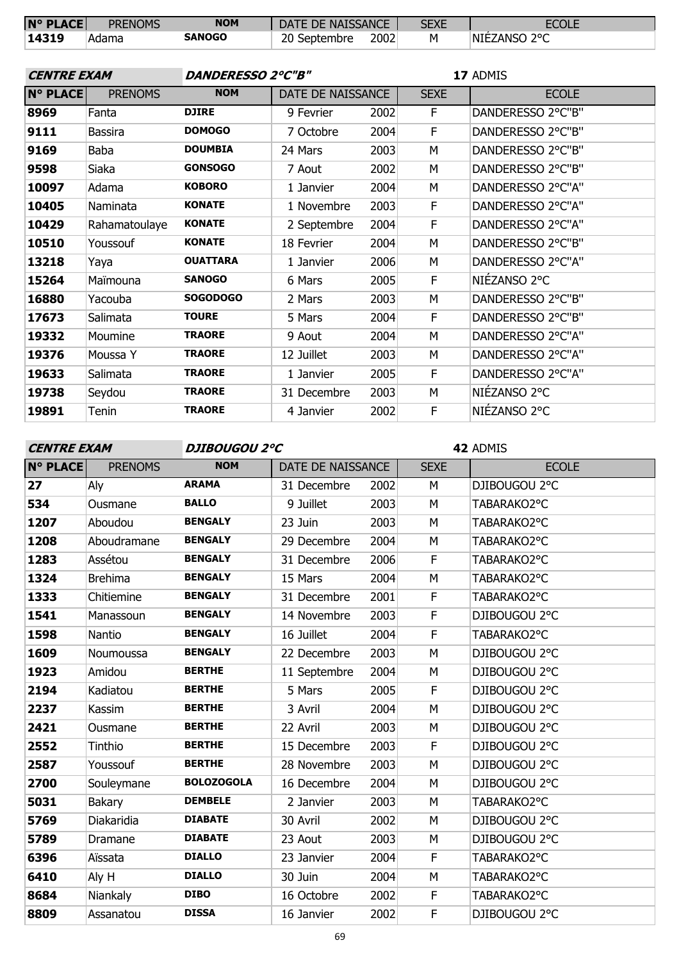| <b>N° PLACE</b> | <b>PRENOMS</b> | <b>NOM</b> | DATE DE NAISSANCE |      | SEXE | <b>ECOLE</b>  |
|-----------------|----------------|------------|-------------------|------|------|---------------|
| 14319           | Adama          | SANOGO     | 20 Septembre      | 2002 |      | INIEZANSO 2°C |

| <b>CENTRE EXAM</b> |                | <b>DANDERESSO 2°C"B"</b> |                   |      | 17 ADMIS    |                   |  |
|--------------------|----------------|--------------------------|-------------------|------|-------------|-------------------|--|
| <b>N° PLACE</b>    | <b>PRENOMS</b> | <b>NOM</b>               | DATE DE NAISSANCE |      | <b>SEXE</b> | <b>ECOLE</b>      |  |
| 8969               | Fanta          | <b>DJIRE</b>             | 9 Fevrier         | 2002 | F           | DANDERESSO 2°C"B" |  |
| 9111               | <b>Bassira</b> | <b>DOMOGO</b>            | 7 Octobre         | 2004 | F           | DANDERESSO 2°C"B" |  |
| 9169               | Baba           | <b>DOUMBIA</b>           | 24 Mars           | 2003 | M           | DANDERESSO 2°C"B" |  |
| 9598               | Siaka          | <b>GONSOGO</b>           | 7 Aout            | 2002 | M           | DANDERESSO 2°C"B" |  |
| 10097              | Adama          | <b>KOBORO</b>            | 1 Janvier         | 2004 | M           | DANDERESSO 2°C"A" |  |
| 10405              | Naminata       | <b>KONATE</b>            | 1 Novembre        | 2003 | F           | DANDERESSO 2°C"A" |  |
| 10429              | Rahamatoulaye  | <b>KONATE</b>            | 2 Septembre       | 2004 | F           | DANDERESSO 2°C"A" |  |
| 10510              | Youssouf       | <b>KONATE</b>            | 18 Fevrier        | 2004 | М           | DANDERESSO 2°C"B" |  |
| 13218              | Yaya           | <b>OUATTARA</b>          | 1 Janvier         | 2006 | М           | DANDERESSO 2°C"A" |  |
| 15264              | Maïmouna       | <b>SANOGO</b>            | 6 Mars            | 2005 | F           | NIÉZANSO 2°C      |  |
| 16880              | Yacouba        | <b>SOGODOGO</b>          | 2 Mars            | 2003 | M           | DANDERESSO 2°C"B" |  |
| 17673              | Salimata       | <b>TOURE</b>             | 5 Mars            | 2004 | F           | DANDERESSO 2°C"B" |  |
| 19332              | Moumine        | <b>TRAORE</b>            | 9 Aout            | 2004 | M           | DANDERESSO 2°C"A" |  |
| 19376              | Moussa Y       | <b>TRAORE</b>            | 12 Juillet        | 2003 | M           | DANDERESSO 2°C"A" |  |
| 19633              | Salimata       | <b>TRAORE</b>            | 1 Janvier         | 2005 | F           | DANDERESSO 2°C"A" |  |
| 19738              | Seydou         | <b>TRAORE</b>            | 31 Decembre       | 2003 | М           | NIÉZANSO 2°C      |  |
| 19891              | Tenin          | <b>TRAORE</b>            | 4 Janvier         | 2002 | F           | NIÉZANSO 2°C      |  |

**CENTRE EXAM DJIBOUGOU 2°C**

| <b>N° PLACE</b> | <b>PRENOMS</b> | <b>NOM</b>        | DATE DE NAISSANCE |      | <b>SEXE</b> | <b>ECOLE</b>  |
|-----------------|----------------|-------------------|-------------------|------|-------------|---------------|
| 27              | Aly            | <b>ARAMA</b>      | 31 Decembre       | 2002 | M           | DJIBOUGOU 2°C |
| 534             | Ousmane        | <b>BALLO</b>      | 9 Juillet         | 2003 | M           | TABARAKO2°C   |
| 1207            | Aboudou        | <b>BENGALY</b>    | 23 Juin           | 2003 | M           | TABARAKO2°C   |
| 1208            | Aboudramane    | <b>BENGALY</b>    | 29 Decembre       | 2004 | M           | TABARAKO2°C   |
| 1283            | Assétou        | <b>BENGALY</b>    | 31 Decembre       | 2006 | F           | TABARAKO2°C   |
| 1324            | <b>Brehima</b> | <b>BENGALY</b>    | 15 Mars           | 2004 | M           | TABARAKO2°C   |
| 1333            | Chitiemine     | <b>BENGALY</b>    | 31 Decembre       | 2001 | F           | TABARAKO2°C   |
| 1541            | Manassoun      | <b>BENGALY</b>    | 14 Novembre       | 2003 | F           | DJIBOUGOU 2°C |
| 1598            | Nantio         | <b>BENGALY</b>    | 16 Juillet        | 2004 | F           | TABARAKO2°C   |
| 1609            | Noumoussa      | <b>BENGALY</b>    | 22 Decembre       | 2003 | M           | DJIBOUGOU 2°C |
| 1923            | Amidou         | <b>BERTHE</b>     | 11 Septembre      | 2004 | M           | DJIBOUGOU 2°C |
| 2194            | Kadiatou       | <b>BERTHE</b>     | 5 Mars            | 2005 | F           | DJIBOUGOU 2°C |
| 2237            | Kassim         | <b>BERTHE</b>     | 3 Avril           | 2004 | M           | DJIBOUGOU 2°C |
| 2421            | Ousmane        | <b>BERTHE</b>     | 22 Avril          | 2003 | M           | DJIBOUGOU 2°C |
| 2552            | Tinthio        | <b>BERTHE</b>     | 15 Decembre       | 2003 | F           | DJIBOUGOU 2°C |
| 2587            | Youssouf       | <b>BERTHE</b>     | 28 Novembre       | 2003 | M           | DJIBOUGOU 2°C |
| 2700            | Souleymane     | <b>BOLOZOGOLA</b> | 16 Decembre       | 2004 | M           | DJIBOUGOU 2°C |
| 5031            | Bakary         | <b>DEMBELE</b>    | 2 Janvier         | 2003 | M           | TABARAKO2°C   |
| 5769            | Diakaridia     | <b>DIABATE</b>    | 30 Avril          | 2002 | M           | DJIBOUGOU 2°C |
| 5789            | Dramane        | <b>DIABATE</b>    | 23 Aout           | 2003 | M           | DJIBOUGOU 2°C |
| 6396            | Aïssata        | <b>DIALLO</b>     | 23 Janvier        | 2004 | F           | TABARAKO2°C   |
| 6410            | Aly H          | <b>DIALLO</b>     | 30 Juin           | 2004 | M           | TABARAKO2°C   |
| 8684            | Niankaly       | <b>DIBO</b>       | 16 Octobre        | 2002 | F           | TABARAKO2°C   |
| 8809            | Assanatou      | <b>DISSA</b>      | 16 Janvier        | 2002 | $\mathsf F$ | DJIBOUGOU 2°C |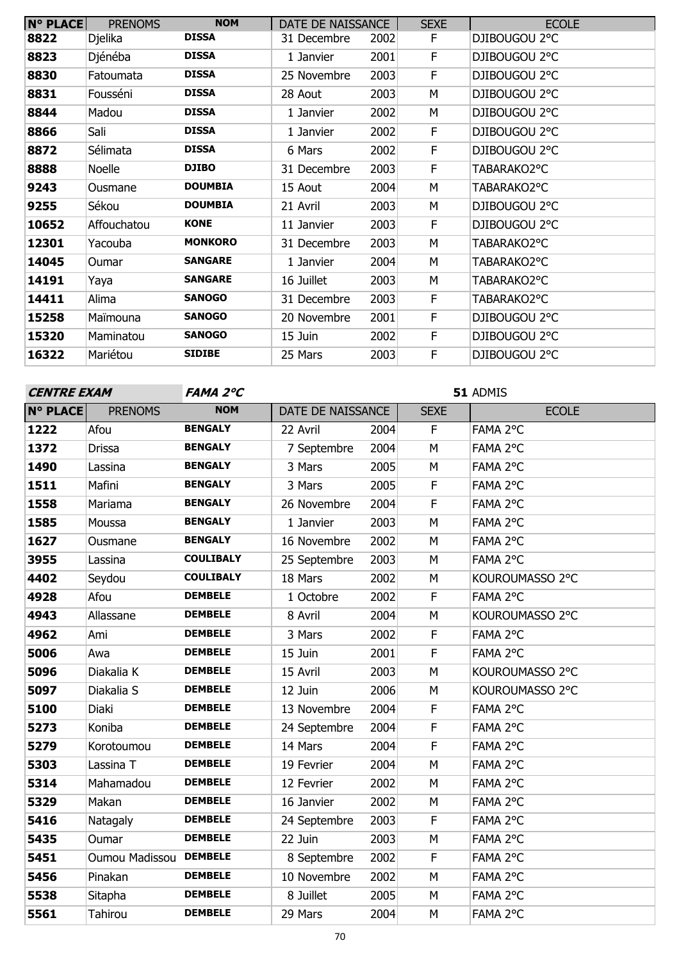| <b>N° PLACE</b> | <b>PRENOMS</b> | <b>NOM</b>     | DATE DE NAISSANCE |      | <b>SEXE</b> | <b>ECOLE</b>  |
|-----------------|----------------|----------------|-------------------|------|-------------|---------------|
| 8822            | Djelika        | <b>DISSA</b>   | 31 Decembre       | 2002 | F.          | DJIBOUGOU 2°C |
| 8823            | Djénéba        | <b>DISSA</b>   | 1 Janvier         | 2001 | F           | DJIBOUGOU 2°C |
| 8830            | Fatoumata      | <b>DISSA</b>   | 25 Novembre       | 2003 | F           | DJIBOUGOU 2°C |
| 8831            | Fousséni       | <b>DISSA</b>   | 28 Aout           | 2003 | M           | DJIBOUGOU 2°C |
| 8844            | Madou          | <b>DISSA</b>   | 1 Janvier         | 2002 | M           | DJIBOUGOU 2°C |
| 8866            | Sali           | <b>DISSA</b>   | 1 Janvier         | 2002 | F.          | DJIBOUGOU 2°C |
| 8872            | Sélimata       | <b>DISSA</b>   | 6 Mars            | 2002 | F           | DJIBOUGOU 2°C |
| 8888            | Noelle         | <b>DJIBO</b>   | 31 Decembre       | 2003 | F.          | TABARAKO2°C   |
| 9243            | Ousmane        | <b>DOUMBIA</b> | 15 Aout           | 2004 | М           | TABARAKO2°C   |
| 9255            | Sékou          | <b>DOUMBIA</b> | 21 Avril          | 2003 | м           | DJIBOUGOU 2°C |
| 10652           | Affouchatou    | <b>KONE</b>    | 11 Janvier        | 2003 | F.          | DJIBOUGOU 2°C |
| 12301           | Yacouba        | <b>MONKORO</b> | 31 Decembre       | 2003 | м           | TABARAKO2°C   |
| 14045           | Oumar          | <b>SANGARE</b> | 1 Janvier         | 2004 | М           | TABARAKO2°C   |
| 14191           | Yaya           | <b>SANGARE</b> | 16 Juillet        | 2003 | М           | TABARAKO2°C   |
| 14411           | Alima          | <b>SANOGO</b>  | 31 Decembre       | 2003 | F.          | TABARAKO2°C   |
| 15258           | Maïmouna       | <b>SANOGO</b>  | 20 Novembre       | 2001 | F.          | DJIBOUGOU 2°C |
| 15320           | Maminatou      | <b>SANOGO</b>  | 15 Juin           | 2002 | F           | DJIBOUGOU 2°C |
| 16322           | Mariétou       | <b>SIDIBE</b>  | 25 Mars           | 2003 | F           | DJIBOUGOU 2°C |

| <b>CENTRE EXAM</b> |                 | FAMA 2°C         |                   |      | 51 ADMIS                |                 |  |
|--------------------|-----------------|------------------|-------------------|------|-------------------------|-----------------|--|
| <b>N° PLACE</b>    | <b>PRENOMS</b>  | <b>NOM</b>       | DATE DE NAISSANCE |      | <b>SEXE</b>             | <b>ECOLE</b>    |  |
| 1222               | Afou            | <b>BENGALY</b>   | 22 Avril          | 2004 | $\mathsf F$             | FAMA 2°C        |  |
| 1372               | <b>Drissa</b>   | <b>BENGALY</b>   | 7 Septembre       | 2004 | M                       | FAMA 2°C        |  |
| 1490               | Lassina         | <b>BENGALY</b>   | 3 Mars            | 2005 | M                       | FAMA 2°C        |  |
| 1511               | Mafini          | <b>BENGALY</b>   | 3 Mars            | 2005 | $\mathsf F$             | FAMA 2°C        |  |
| 1558               | Mariama         | <b>BENGALY</b>   | 26 Novembre       | 2004 | $\mathsf F$             | FAMA 2°C        |  |
| 1585               | Moussa          | <b>BENGALY</b>   | 1 Janvier         | 2003 | M                       | FAMA 2°C        |  |
| 1627               | Ousmane         | <b>BENGALY</b>   | 16 Novembre       | 2002 | M                       | FAMA 2°C        |  |
| 3955               | Lassina         | <b>COULIBALY</b> | 25 Septembre      | 2003 | M                       | FAMA 2°C        |  |
| 4402               | Seydou          | <b>COULIBALY</b> | 18 Mars           | 2002 | M                       | KOUROUMASSO 2°C |  |
| 4928               | Afou            | <b>DEMBELE</b>   | 1 Octobre         | 2002 | $\mathsf F$             | FAMA 2°C        |  |
| 4943               | Allassane       | <b>DEMBELE</b>   | 8 Avril           | 2004 | M                       | KOUROUMASSO 2°C |  |
| 4962               | Ami             | <b>DEMBELE</b>   | 3 Mars            | 2002 | $\mathsf F$             | FAMA 2°C        |  |
| 5006               | Awa             | <b>DEMBELE</b>   | 15 Juin           | 2001 | $\overline{\mathsf{F}}$ | FAMA 2°C        |  |
| 5096               | Diakalia K      | <b>DEMBELE</b>   | 15 Avril          | 2003 | M                       | KOUROUMASSO 2°C |  |
| 5097               | Diakalia S      | <b>DEMBELE</b>   | 12 Juin           | 2006 | M                       | KOUROUMASSO 2°C |  |
| 5100               | Diaki           | <b>DEMBELE</b>   | 13 Novembre       | 2004 | $\mathsf F$             | FAMA 2°C        |  |
| 5273               | Koniba          | <b>DEMBELE</b>   | 24 Septembre      | 2004 | $\mathsf F$             | FAMA 2°C        |  |
| 5279               | Korotoumou      | <b>DEMBELE</b>   | 14 Mars           | 2004 | $\mathsf F$             | FAMA 2°C        |  |
| 5303               | Lassina T       | <b>DEMBELE</b>   | 19 Fevrier        | 2004 | M                       | FAMA 2°C        |  |
| 5314               | Mahamadou       | <b>DEMBELE</b>   | 12 Fevrier        | 2002 | M                       | FAMA 2°C        |  |
| 5329               | Makan           | <b>DEMBELE</b>   | 16 Janvier        | 2002 | M                       | FAMA 2°C        |  |
| 5416               | <b>Natagaly</b> | <b>DEMBELE</b>   | 24 Septembre      | 2003 | $\mathsf F$             | FAMA 2°C        |  |
| 5435               | Oumar           | <b>DEMBELE</b>   | 22 Juin           | 2003 | M                       | FAMA 2°C        |  |
| 5451               | Oumou Madissou  | <b>DEMBELE</b>   | 8 Septembre       | 2002 | F                       | FAMA 2°C        |  |
| 5456               | Pinakan         | <b>DEMBELE</b>   | 10 Novembre       | 2002 | M                       | FAMA 2°C        |  |
| 5538               | Sitapha         | <b>DEMBELE</b>   | 8 Juillet         | 2005 | M                       | FAMA 2°C        |  |
| 5561               | <b>Tahirou</b>  | <b>DEMBELE</b>   | 29 Mars           | 2004 | M                       | FAMA 2°C        |  |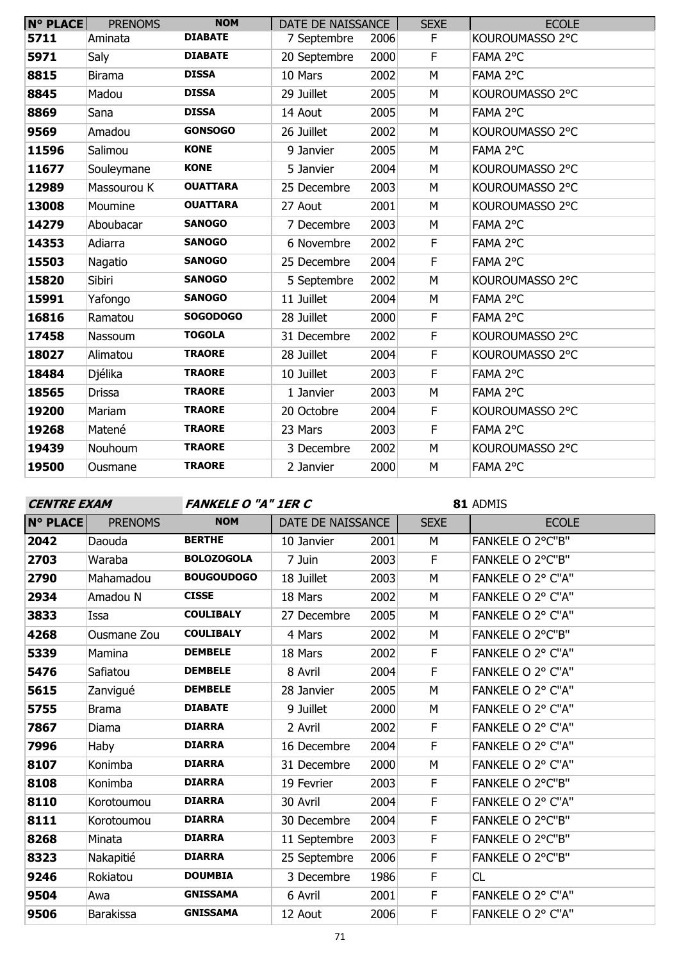| $N^{\circ}$ PLACE | <b>PRENOMS</b> | <b>NOM</b>      | DATE DE NAISSANCE |      | <b>SEXE</b> | <b>ECOLE</b>    |
|-------------------|----------------|-----------------|-------------------|------|-------------|-----------------|
| 5711              | Aminata        | <b>DIABATE</b>  | 7 Septembre       | 2006 | F           | KOUROUMASSO 2°C |
| 5971              | Saly           | <b>DIABATE</b>  | 20 Septembre      | 2000 | F           | FAMA 2°C        |
| 8815              | <b>Birama</b>  | <b>DISSA</b>    | 10 Mars           | 2002 | M           | FAMA 2°C        |
| 8845              | Madou          | <b>DISSA</b>    | 29 Juillet        | 2005 | M           | KOUROUMASSO 2°C |
| 8869              | Sana           | <b>DISSA</b>    | 14 Aout           | 2005 | M           | FAMA 2°C        |
| 9569              | Amadou         | <b>GONSOGO</b>  | 26 Juillet        | 2002 | M           | KOUROUMASSO 2°C |
| 11596             | Salimou        | <b>KONE</b>     | 9 Janvier         | 2005 | M           | FAMA 2°C        |
| 11677             | Souleymane     | <b>KONE</b>     | 5 Janvier         | 2004 | M           | KOUROUMASSO 2°C |
| 12989             | Massourou K    | <b>OUATTARA</b> | 25 Decembre       | 2003 | M           | KOUROUMASSO 2°C |
| 13008             | Moumine        | <b>OUATTARA</b> | 27 Aout           | 2001 | M           | KOUROUMASSO 2°C |
| 14279             | Aboubacar      | <b>SANOGO</b>   | 7 Decembre        | 2003 | M           | FAMA 2°C        |
| 14353             | Adiarra        | <b>SANOGO</b>   | 6 Novembre        | 2002 | F           | FAMA 2°C        |
| 15503             | Nagatio        | <b>SANOGO</b>   | 25 Decembre       | 2004 | F           | FAMA 2°C        |
| 15820             | Sibiri         | <b>SANOGO</b>   | 5 Septembre       | 2002 | M           | KOUROUMASSO 2°C |
| 15991             | Yafongo        | <b>SANOGO</b>   | 11 Juillet        | 2004 | M           | FAMA 2°C        |
| 16816             | Ramatou        | <b>SOGODOGO</b> | 28 Juillet        | 2000 | F           | FAMA 2°C        |
| 17458             | Nassoum        | <b>TOGOLA</b>   | 31 Decembre       | 2002 | F           | KOUROUMASSO 2°C |
| 18027             | Alimatou       | <b>TRAORE</b>   | 28 Juillet        | 2004 | F           | KOUROUMASSO 2°C |
| 18484             | Djélika        | <b>TRAORE</b>   | 10 Juillet        | 2003 | F           | FAMA 2°C        |
| 18565             | <b>Drissa</b>  | <b>TRAORE</b>   | 1 Janvier         | 2003 | M           | FAMA 2°C        |
| 19200             | Mariam         | <b>TRAORE</b>   | 20 Octobre        | 2004 | F           | KOUROUMASSO 2°C |
| 19268             | Matené         | <b>TRAORE</b>   | 23 Mars           | 2003 | F           | FAMA 2°C        |
| 19439             | Nouhoum        | <b>TRAORE</b>   | 3 Decembre        | 2002 | M           | KOUROUMASSO 2°C |
| 19500             | Ousmane        | <b>TRAORE</b>   | 2 Janvier         | 2000 | M           | FAMA 2°C        |

**CENTRE EXAM FANKELE O "A" 1ER C**

| <b>N° PLACE</b> | <b>PRENOMS</b>   | <b>NOM</b>        | DATE DE NAISSANCE |      | <b>SEXE</b> | <b>ECOLE</b>      |
|-----------------|------------------|-------------------|-------------------|------|-------------|-------------------|
| 2042            | Daouda           | <b>BERTHE</b>     | 10 Janvier        | 2001 | M           | FANKELE O 2°C"B"  |
| 2703            | Waraba           | <b>BOLOZOGOLA</b> | 7 Juin            | 2003 | F           | FANKELE O 2°C"B"  |
| 2790            | Mahamadou        | <b>BOUGOUDOGO</b> | 18 Juillet        | 2003 | M           | FANKELE O 2° C"A" |
| 2934            | Amadou N         | <b>CISSE</b>      | 18 Mars           | 2002 | M           | FANKELE O 2° C"A" |
| 3833            | Issa             | <b>COULIBALY</b>  | 27 Decembre       | 2005 | M           | FANKELE O 2° C"A" |
| 4268            | Ousmane Zou      | <b>COULIBALY</b>  | 4 Mars            | 2002 | M           | FANKELE O 2°C"B"  |
| 5339            | Mamina           | <b>DEMBELE</b>    | 18 Mars           | 2002 | F           | FANKELE O 2° C"A" |
| 5476            | Safiatou         | <b>DEMBELE</b>    | 8 Avril           | 2004 | F           | FANKELE O 2° C"A" |
| 5615            | Zanvigué         | <b>DEMBELE</b>    | 28 Janvier        | 2005 | M           | FANKELE O 2° C"A" |
| 5755            | <b>Brama</b>     | <b>DIABATE</b>    | 9 Juillet         | 2000 | M           | FANKELE O 2° C"A" |
| 7867            | Diama            | <b>DIARRA</b>     | 2 Avril           | 2002 | F           | FANKELE O 2° C"A" |
| 7996            | Haby             | <b>DIARRA</b>     | 16 Decembre       | 2004 | F           | FANKELE O 2° C"A" |
| 8107            | Konimba          | <b>DIARRA</b>     | 31 Decembre       | 2000 | M           | FANKELE O 2° C"A" |
| 8108            | Konimba          | <b>DIARRA</b>     | 19 Fevrier        | 2003 | F           | FANKELE O 2°C"B"  |
| 8110            | Korotoumou       | <b>DIARRA</b>     | 30 Avril          | 2004 | F           | FANKELE O 2° C"A" |
| 8111            | Korotoumou       | <b>DIARRA</b>     | 30 Decembre       | 2004 | F           | FANKELE O 2°C"B"  |
| 8268            | Minata           | <b>DIARRA</b>     | 11 Septembre      | 2003 | F           | FANKELE O 2°C"B"  |
| 8323            | Nakapitié        | <b>DIARRA</b>     | 25 Septembre      | 2006 | F           | FANKELE O 2°C"B"  |
| 9246            | Rokiatou         | <b>DOUMBIA</b>    | 3 Decembre        | 1986 | F           | CL                |
| 9504            | Awa              | <b>GNISSAMA</b>   | 6 Avril           | 2001 | F           | FANKELE O 2° C"A" |
| 9506            | <b>Barakissa</b> | <b>GNISSAMA</b>   | 12 Aout           | 2006 | F           | FANKELE O 2° C"A" |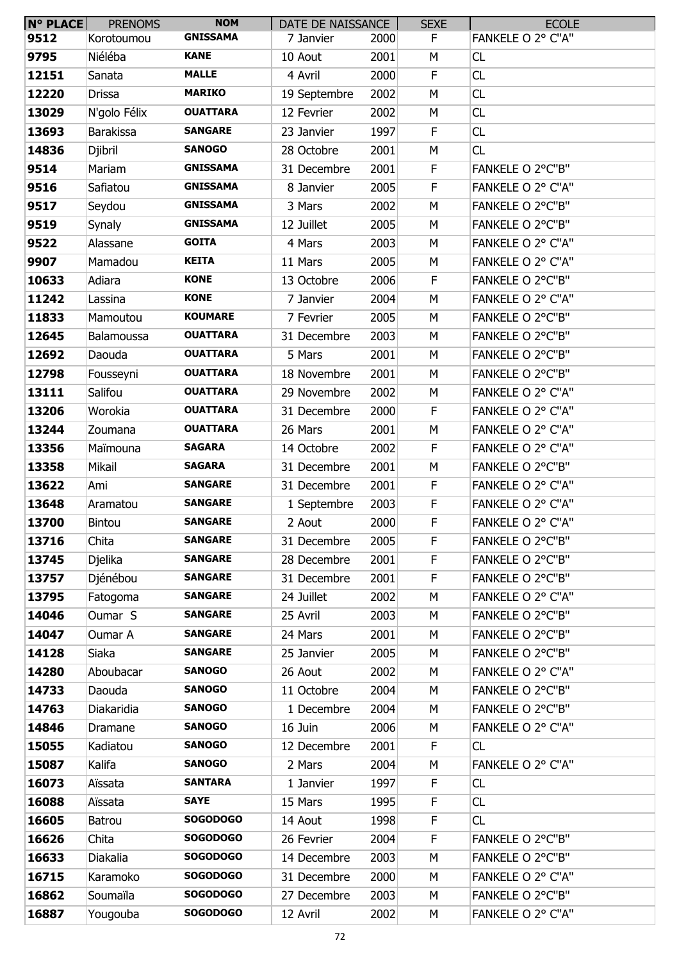| $N^{\circ}$ PLACE | <b>PRENOMS</b>   | <b>NOM</b>      | DATE DE NAISSANCE |      | <b>SEXE</b> | <b>ECOLE</b>      |
|-------------------|------------------|-----------------|-------------------|------|-------------|-------------------|
| 9512              | Korotoumou       | <b>GNISSAMA</b> | 7 Janvier         | 2000 | F.          | FANKELE O 2° C"A" |
| 9795              | Niéléba          | <b>KANE</b>     | 10 Aout           | 2001 | M           | CL                |
| 12151             | Sanata           | <b>MALLE</b>    | 4 Avril           | 2000 | F           | CL                |
| 12220             | Drissa           | <b>MARIKO</b>   | 19 Septembre      | 2002 | М           | CL                |
| 13029             | N'golo Félix     | <b>OUATTARA</b> | 12 Fevrier        | 2002 | М           | CL                |
| 13693             | <b>Barakissa</b> | <b>SANGARE</b>  | 23 Janvier        | 1997 | F           | CL                |
| 14836             | Djibril          | <b>SANOGO</b>   | 28 Octobre        | 2001 | М           | CL                |
| 9514              | Mariam           | <b>GNISSAMA</b> | 31 Decembre       | 2001 | F           | FANKELE O 2°C"B"  |
| 9516              | Safiatou         | <b>GNISSAMA</b> | 8 Janvier         | 2005 | F           | FANKELE O 2° C"A" |
| 9517              | Seydou           | <b>GNISSAMA</b> | 3 Mars            | 2002 | M           | FANKELE O 2°C"B"  |
| 9519              | Synaly           | <b>GNISSAMA</b> | 12 Juillet        | 2005 | М           | FANKELE O 2°C"B"  |
| 9522              | Alassane         | <b>GOITA</b>    | 4 Mars            | 2003 | М           | FANKELE O 2° C"A" |
| 9907              | Mamadou          | <b>KEITA</b>    | 11 Mars           | 2005 | M           | FANKELE O 2° C"A" |
| 10633             | Adiara           | <b>KONE</b>     | 13 Octobre        | 2006 | F           | FANKELE O 2°C"B"  |
| 11242             | Lassina          | <b>KONE</b>     | 7 Janvier         | 2004 | М           | FANKELE O 2° C"A" |
| 11833             | Mamoutou         | <b>KOUMARE</b>  | 7 Fevrier         | 2005 | M           | FANKELE O 2°C"B"  |
| 12645             | Balamoussa       | <b>OUATTARA</b> | 31 Decembre       | 2003 | М           | FANKELE O 2°C"B"  |
| 12692             | Daouda           | <b>OUATTARA</b> | 5 Mars            | 2001 | М           | FANKELE O 2°C"B"  |
| 12798             | Fousseyni        | <b>OUATTARA</b> | 18 Novembre       | 2001 | М           | FANKELE O 2°C"B"  |
| 13111             | Salifou          | <b>OUATTARA</b> | 29 Novembre       | 2002 | M           | FANKELE O 2° C"A" |
| 13206             | Worokia          | <b>OUATTARA</b> | 31 Decembre       | 2000 | F           | FANKELE O 2° C"A" |
| 13244             | Zoumana          | <b>OUATTARA</b> | 26 Mars           | 2001 | М           | FANKELE O 2° C"A" |
| 13356             | Maïmouna         | <b>SAGARA</b>   | 14 Octobre        | 2002 | F           | FANKELE O 2° C"A" |
| 13358             | Mikail           | <b>SAGARA</b>   | 31 Decembre       | 2001 | M           | FANKELE O 2°C"B"  |
| 13622             | Ami              | <b>SANGARE</b>  | 31 Decembre       | 2001 | F           | FANKELE O 2° C"A" |
| 13648             | Aramatou         | <b>SANGARE</b>  | 1 Septembre       | 2003 | F           | FANKELE O 2° C"A" |
| 13700             | Bintou           | <b>SANGARE</b>  | 2 Aout            | 2000 | F           | FANKELE O 2° C"A" |
| 13716             | Chita            | <b>SANGARE</b>  | 31 Decembre       | 2005 | F           | FANKELE O 2°C"B"  |
| 13745             | Djelika          | <b>SANGARE</b>  | 28 Decembre       | 2001 | F           | FANKELE O 2°C"B"  |
| 13757             | Djénébou         | <b>SANGARE</b>  | 31 Decembre       | 2001 | F           | FANKELE O 2°C"B"  |
| 13795             | Fatogoma         | <b>SANGARE</b>  | 24 Juillet        | 2002 | M           | FANKELE O 2° C"A" |
| 14046             | Oumar S          | <b>SANGARE</b>  | 25 Avril          | 2003 | M           | FANKELE O 2°C"B"  |
| 14047             | Oumar A          | <b>SANGARE</b>  | 24 Mars           | 2001 | М           | FANKELE O 2°C"B"  |
| 14128             | Siaka            | <b>SANGARE</b>  | 25 Janvier        | 2005 | М           | FANKELE O 2°C"B"  |
| 14280             | Aboubacar        | <b>SANOGO</b>   | 26 Aout           | 2002 | M           | FANKELE O 2° C"A" |
| 14733             | Daouda           | <b>SANOGO</b>   | 11 Octobre        | 2004 | М           | FANKELE O 2°C"B"  |
| 14763             | Diakaridia       | <b>SANOGO</b>   | 1 Decembre        | 2004 | М           | FANKELE O 2°C"B"  |
| 14846             | Dramane          | <b>SANOGO</b>   | 16 Juin           | 2006 | M           | FANKELE O 2° C"A" |
| 15055             | Kadiatou         | <b>SANOGO</b>   | 12 Decembre       | 2001 | F           | CL                |
| 15087             | Kalifa           | <b>SANOGO</b>   | 2 Mars            | 2004 | М           | FANKELE O 2° C"A" |
| 16073             | Aïssata          | <b>SANTARA</b>  | 1 Janvier         | 1997 | F           | CL                |
| 16088             | Aïssata          | <b>SAYE</b>     | 15 Mars           | 1995 | F           | CL                |
| 16605             | Batrou           | <b>SOGODOGO</b> | 14 Aout           | 1998 | F           | CL                |
| 16626             | Chita            | <b>SOGODOGO</b> | 26 Fevrier        | 2004 | F           | FANKELE O 2°C"B"  |
| 16633             | Diakalia         | <b>SOGODOGO</b> | 14 Decembre       | 2003 | M           | FANKELE O 2°C"B"  |
| 16715             | Karamoko         | <b>SOGODOGO</b> | 31 Decembre       | 2000 | M           | FANKELE O 2° C"A" |
| 16862             | Soumaïla         | <b>SOGODOGO</b> | 27 Decembre       | 2003 | М           | FANKELE O 2°C"B"  |
| 16887             | Yougouba         | <b>SOGODOGO</b> | 12 Avril          | 2002 | М           | FANKELE O 2° C"A" |
|                   |                  |                 |                   |      |             |                   |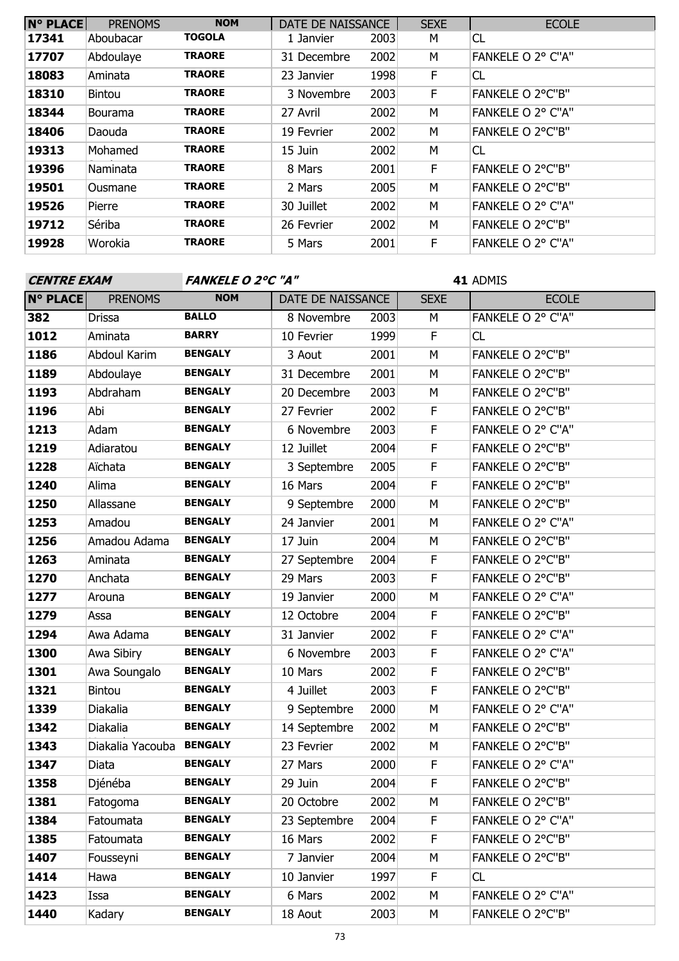| N° PLACE | <b>PRENOMS</b> | <b>NOM</b>    | DATE DE NAISSANCE |      | <b>SEXE</b> | <b>ECOLE</b>      |
|----------|----------------|---------------|-------------------|------|-------------|-------------------|
| 17341    | Aboubacar      | <b>TOGOLA</b> | 1 Janvier         | 2003 | M           | CL                |
| 17707    | Abdoulaye      | <b>TRAORE</b> | 31 Decembre       | 2002 | м           | FANKELE O 2° C"A" |
| 18083    | Aminata        | <b>TRAORE</b> | 23 Janvier        | 1998 | F           | CL                |
| 18310    | <b>Bintou</b>  | <b>TRAORE</b> | 3 Novembre        | 2003 | F           | FANKELE O 2°C"B"  |
| 18344    | <b>Bourama</b> | <b>TRAORE</b> | 27 Avril          | 2002 | M           | FANKELE O 2° C"A" |
| 18406    | Daouda         | <b>TRAORE</b> | 19 Fevrier        | 2002 | M           | FANKELE O 2°C"B"  |
| 19313    | Mohamed        | <b>TRAORE</b> | 15 Juin           | 2002 | М           | CL                |
| 19396    | Naminata       | <b>TRAORE</b> | 8 Mars            | 2001 | F           | FANKELE O 2°C"B"  |
| 19501    | Ousmane        | <b>TRAORE</b> | 2 Mars            | 2005 | M           | FANKELE O 2°C"B"  |
| 19526    | Pierre         | <b>TRAORE</b> | 30 Juillet        | 2002 | M           | FANKELE O 2° C"A" |
| 19712    | Sériba         | <b>TRAORE</b> | 26 Fevrier        | 2002 | М           | FANKELE O 2°C"B"  |
| 19928    | Worokia        | <b>TRAORE</b> | 5 Mars            | 2001 | F           | FANKELE O 2° C"A" |

| <b>CENTRE EXAM</b> |                  | <b>FANKELE O 2°C "A"</b> |                   |      | 41 ADMIS    |                   |  |
|--------------------|------------------|--------------------------|-------------------|------|-------------|-------------------|--|
| N° PLACE           | <b>PRENOMS</b>   | <b>NOM</b>               | DATE DE NAISSANCE |      | <b>SEXE</b> | <b>ECOLE</b>      |  |
| 382                | <b>Drissa</b>    | <b>BALLO</b>             | 8 Novembre        | 2003 | M           | FANKELE O 2° C"A" |  |
| 1012               | Aminata          | <b>BARRY</b>             | 10 Fevrier        | 1999 | F           | CL                |  |
| 1186               | Abdoul Karim     | <b>BENGALY</b>           | 3 Aout            | 2001 | M           | FANKELE O 2°C"B"  |  |
| 1189               | Abdoulaye        | <b>BENGALY</b>           | 31 Decembre       | 2001 | M           | FANKELE O 2°C"B"  |  |
| 1193               | Abdraham         | <b>BENGALY</b>           | 20 Decembre       | 2003 | M           | FANKELE O 2°C"B"  |  |
| 1196               | Abi              | <b>BENGALY</b>           | 27 Fevrier        | 2002 | F           | FANKELE O 2°C"B"  |  |
| 1213               | Adam             | <b>BENGALY</b>           | 6 Novembre        | 2003 | F           | FANKELE O 2° C"A" |  |
| 1219               | Adiaratou        | <b>BENGALY</b>           | 12 Juillet        | 2004 | F           | FANKELE O 2°C"B"  |  |
| 1228               | Aïchata          | <b>BENGALY</b>           | 3 Septembre       | 2005 | F           | FANKELE O 2°C"B"  |  |
| 1240               | Alima            | <b>BENGALY</b>           | 16 Mars           | 2004 | F           | FANKELE O 2°C"B"  |  |
| 1250               | Allassane        | <b>BENGALY</b>           | 9 Septembre       | 2000 | М           | FANKELE O 2°C"B"  |  |
| 1253               | Amadou           | <b>BENGALY</b>           | 24 Janvier        | 2001 | M           | FANKELE O 2° C"A" |  |
| 1256               | Amadou Adama     | <b>BENGALY</b>           | 17 Juin           | 2004 | M           | FANKELE O 2°C"B"  |  |
| 1263               | Aminata          | <b>BENGALY</b>           | 27 Septembre      | 2004 | F           | FANKELE O 2°C"B"  |  |
| 1270               | Anchata          | <b>BENGALY</b>           | 29 Mars           | 2003 | F           | FANKELE O 2°C"B"  |  |
| 1277               | Arouna           | <b>BENGALY</b>           | 19 Janvier        | 2000 | M           | FANKELE O 2° C"A" |  |
| 1279               | Assa             | <b>BENGALY</b>           | 12 Octobre        | 2004 | F           | FANKELE O 2°C"B"  |  |
| 1294               | Awa Adama        | <b>BENGALY</b>           | 31 Janvier        | 2002 | F           | FANKELE O 2° C"A" |  |
| 1300               | Awa Sibiry       | <b>BENGALY</b>           | 6 Novembre        | 2003 | F           | FANKELE O 2° C"A" |  |
| 1301               | Awa Soungalo     | <b>BENGALY</b>           | 10 Mars           | 2002 | F           | FANKELE O 2°C"B"  |  |
| 1321               | <b>Bintou</b>    | <b>BENGALY</b>           | 4 Juillet         | 2003 | F           | FANKELE O 2°C"B"  |  |
| 1339               | Diakalia         | <b>BENGALY</b>           | 9 Septembre       | 2000 | M           | FANKELE O 2° C"A" |  |
| 1342               | Diakalia         | <b>BENGALY</b>           | 14 Septembre      | 2002 | M           | FANKELE O 2°C"B"  |  |
| 1343               | Diakalia Yacouba | <b>BENGALY</b>           | 23 Fevrier        | 2002 | M           | FANKELE O 2°C"B"  |  |
| 1347               | Diata            | <b>BENGALY</b>           | 27 Mars           | 2000 | F           | FANKELE O 2° C"A" |  |
| 1358               | Djénéba          | <b>BENGALY</b>           | 29 Juin           | 2004 | F           | FANKELE O 2°C"B"  |  |
| 1381               | Fatogoma         | <b>BENGALY</b>           | 20 Octobre        | 2002 | М           | FANKELE O 2°C"B"  |  |
| 1384               | Fatoumata        | <b>BENGALY</b>           | 23 Septembre      | 2004 | F           | FANKELE O 2° C"A" |  |
| 1385               | Fatoumata        | <b>BENGALY</b>           | 16 Mars           | 2002 | F           | FANKELE O 2°C"B"  |  |
| 1407               | Fousseyni        | <b>BENGALY</b>           | 7 Janvier         | 2004 | М           | FANKELE O 2°C"B"  |  |
| 1414               | Hawa             | <b>BENGALY</b>           | 10 Janvier        | 1997 | F           | CL                |  |
| 1423               | Issa             | <b>BENGALY</b>           | 6 Mars            | 2002 | М           | FANKELE O 2° C"A" |  |
| 1440               | Kadary           | <b>BENGALY</b>           | 18 Aout           | 2003 | М           | FANKELE O 2°C"B"  |  |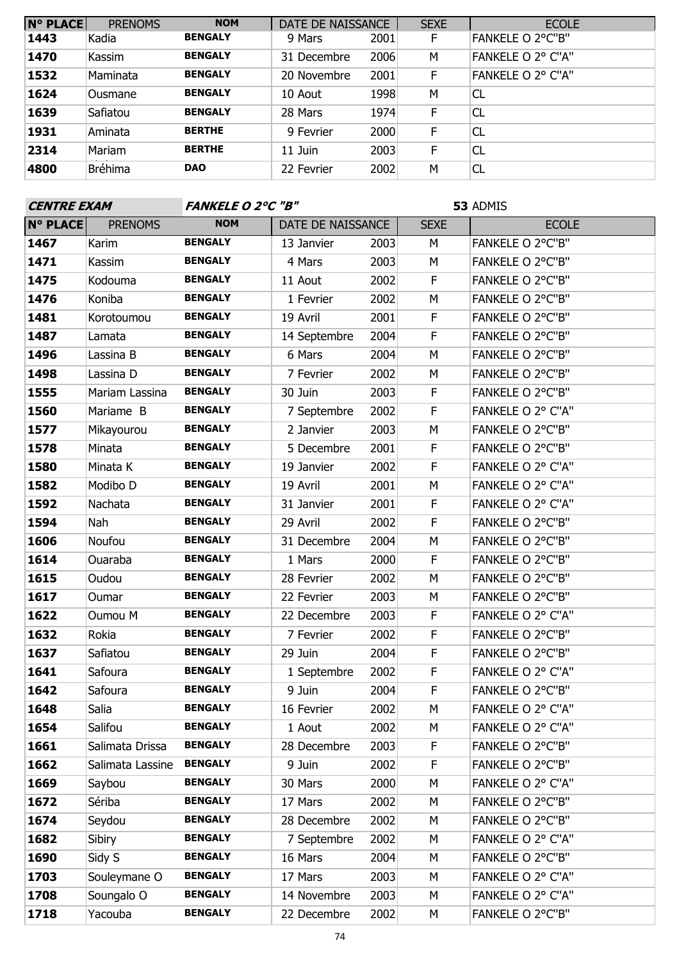| <b>N° PLACE</b> | <b>PRENOMS</b> | <b>NOM</b>     | DATE DE NAISSANCE |      | <b>SEXE</b> | <b>ECOLE</b>            |
|-----------------|----------------|----------------|-------------------|------|-------------|-------------------------|
| 1443            | Kadia          | <b>BENGALY</b> | 9 Mars            | 2001 | F           | <b>FANKELE O 2°C"B"</b> |
| 1470            | Kassim         | <b>BENGALY</b> | 31 Decembre       | 2006 | M           | FANKELE O 2° C"A"       |
| 1532            | Maminata       | <b>BENGALY</b> | 20 Novembre       | 2001 | F.          | FANKELE O 2° C"A"       |
| 1624            | <b>Ousmane</b> | <b>BENGALY</b> | 10 Aout           | 1998 | M           | CL                      |
| 1639            | Safiatou       | <b>BENGALY</b> | 28 Mars           | 1974 | F.          | <b>CL</b>               |
| 1931            | Aminata        | <b>BERTHE</b>  | 9 Fevrier         | 2000 | F           | <b>CL</b>               |
| 2314            | Mariam         | <b>BERTHE</b>  | 11 Juin           | 2003 | F           | <b>CL</b>               |
| 4800            | <b>Bréhima</b> | <b>DAO</b>     | 22 Fevrier        | 2002 | M           | <b>CL</b>               |

| <b>CENTRE EXAM</b> |                  | <b>FANKELE O 2°C "B"</b> |                   |      | 53 ADMIS    |                   |  |
|--------------------|------------------|--------------------------|-------------------|------|-------------|-------------------|--|
| <b>N° PLACE</b>    | <b>PRENOMS</b>   | <b>NOM</b>               | DATE DE NAISSANCE |      | <b>SEXE</b> | <b>ECOLE</b>      |  |
| 1467               | Karim            | <b>BENGALY</b>           | 13 Janvier        | 2003 | M           | FANKELE O 2°C"B"  |  |
| 1471               | Kassim           | <b>BENGALY</b>           | 4 Mars            | 2003 | M           | FANKELE O 2°C"B"  |  |
| 1475               | Kodouma          | <b>BENGALY</b>           | 11 Aout           | 2002 | F           | FANKELE O 2°C"B"  |  |
| 1476               | Koniba           | <b>BENGALY</b>           | 1 Fevrier         | 2002 | M           | FANKELE O 2°C"B"  |  |
| 1481               | Korotoumou       | <b>BENGALY</b>           | 19 Avril          | 2001 | $\mathsf F$ | FANKELE O 2°C"B"  |  |
| 1487               | Lamata           | <b>BENGALY</b>           | 14 Septembre      | 2004 | $\mathsf F$ | FANKELE O 2°C"B"  |  |
| 1496               | Lassina B        | <b>BENGALY</b>           | 6 Mars            | 2004 | M           | FANKELE O 2°C"B"  |  |
| 1498               | Lassina D        | <b>BENGALY</b>           | 7 Fevrier         | 2002 | M           | FANKELE O 2°C"B"  |  |
| 1555               | Mariam Lassina   | <b>BENGALY</b>           | 30 Juin           | 2003 | F           | FANKELE O 2°C"B"  |  |
| 1560               | Mariame B        | <b>BENGALY</b>           | 7 Septembre       | 2002 | F           | FANKELE O 2° C"A" |  |
| 1577               | Mikayourou       | <b>BENGALY</b>           | 2 Janvier         | 2003 | M           | FANKELE O 2°C"B"  |  |
| 1578               | Minata           | <b>BENGALY</b>           | 5 Decembre        | 2001 | $\mathsf F$ | FANKELE O 2°C"B"  |  |
| 1580               | Minata K         | <b>BENGALY</b>           | 19 Janvier        | 2002 | F           | FANKELE O 2° C"A" |  |
| 1582               | Modibo D         | <b>BENGALY</b>           | 19 Avril          | 2001 | M           | FANKELE O 2° C"A" |  |
| 1592               | Nachata          | <b>BENGALY</b>           | 31 Janvier        | 2001 | $\mathsf F$ | FANKELE O 2° C"A" |  |
| 1594               | Nah              | <b>BENGALY</b>           | 29 Avril          | 2002 | F           | FANKELE O 2°C"B"  |  |
| 1606               | Noufou           | <b>BENGALY</b>           | 31 Decembre       | 2004 | M           | FANKELE O 2°C"B"  |  |
| 1614               | Ouaraba          | <b>BENGALY</b>           | 1 Mars            | 2000 | F           | FANKELE O 2°C"B"  |  |
| 1615               | Oudou            | <b>BENGALY</b>           | 28 Fevrier        | 2002 | M           | FANKELE O 2°C"B"  |  |
| 1617               | Oumar            | <b>BENGALY</b>           | 22 Fevrier        | 2003 | M           | FANKELE O 2°C"B"  |  |
| 1622               | Oumou M          | <b>BENGALY</b>           | 22 Decembre       | 2003 | F.          | FANKELE O 2° C"A" |  |
| 1632               | Rokia            | <b>BENGALY</b>           | 7 Fevrier         | 2002 | $\mathsf F$ | FANKELE O 2°C"B"  |  |
| 1637               | Safiatou         | <b>BENGALY</b>           | 29 Juin           | 2004 | F           | FANKELE O 2°C"B"  |  |
| 1641               | Safoura          | <b>BENGALY</b>           | 1 Septembre       | 2002 | F           | FANKELE O 2° C"A" |  |
| 1642               | Safoura          | <b>BENGALY</b>           | 9 Juin            | 2004 | $\mathsf F$ | FANKELE O 2°C"B"  |  |
| 1648               | Salia            | <b>BENGALY</b>           | 16 Fevrier        | 2002 | M           | FANKELE O 2° C"A" |  |
| 1654               | Salifou          | <b>BENGALY</b>           | 1 Aout            | 2002 | M           | FANKELE O 2° C"A" |  |
| 1661               | Salimata Drissa  | <b>BENGALY</b>           | 28 Decembre       | 2003 | F           | FANKELE O 2°C"B"  |  |
| 1662               | Salimata Lassine | <b>BENGALY</b>           | 9 Juin            | 2002 | F           | FANKELE O 2°C"B"  |  |
| 1669               | Saybou           | <b>BENGALY</b>           | 30 Mars           | 2000 | M           | FANKELE O 2° C"A" |  |
| 1672               | Sériba           | <b>BENGALY</b>           | 17 Mars           | 2002 | M           | FANKELE O 2°C"B"  |  |
| 1674               | Seydou           | <b>BENGALY</b>           | 28 Decembre       | 2002 | М           | FANKELE O 2°C"B"  |  |
| 1682               | Sibiry           | <b>BENGALY</b>           | 7 Septembre       | 2002 | M           | FANKELE O 2° C"A" |  |
| 1690               | Sidy S           | <b>BENGALY</b>           | 16 Mars           | 2004 | M           | FANKELE O 2°C"B"  |  |
| 1703               | Souleymane O     | <b>BENGALY</b>           | 17 Mars           | 2003 | М           | FANKELE O 2° C"A" |  |
| 1708               | Soungalo O       | <b>BENGALY</b>           | 14 Novembre       | 2003 | М           | FANKELE O 2° C"A" |  |
| 1718               | Yacouba          | <b>BENGALY</b>           | 22 Decembre       | 2002 | М           | FANKELE O 2°C"B"  |  |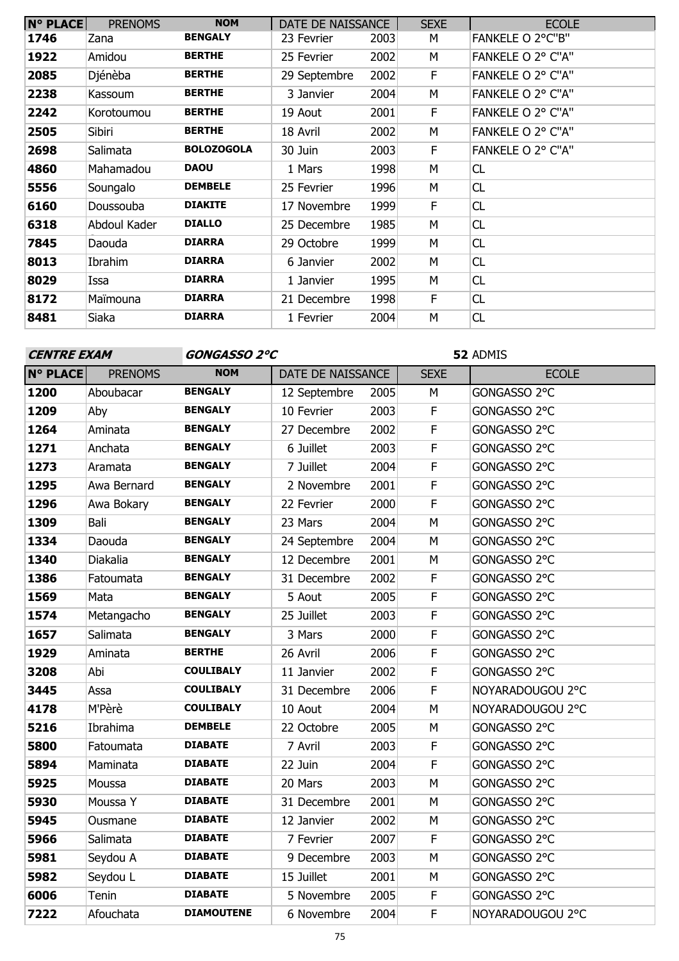| $N^{\circ}$ PLACE | <b>PRENOMS</b> | <b>NOM</b>        | DATE DE NAISSANCE |      | <b>SEXE</b> | <b>ECOLE</b>      |
|-------------------|----------------|-------------------|-------------------|------|-------------|-------------------|
| 1746              | Zana           | <b>BENGALY</b>    | 23 Fevrier        | 2003 | М           | FANKELE O 2°C"B"  |
| 1922              | Amidou         | <b>BERTHE</b>     | 25 Fevrier        | 2002 | М           | FANKELE O 2° C"A" |
| 2085              | Djénèba        | <b>BERTHE</b>     | 29 Septembre      | 2002 | F.          | FANKELE O 2° C"A" |
| 2238              | Kassoum        | <b>BERTHE</b>     | 3 Janvier         | 2004 | М           | FANKELE O 2° C"A" |
| 2242              | Korotoumou     | <b>BERTHE</b>     | 19 Aout           | 2001 | F.          | FANKELE O 2° C"A" |
| 2505              | Sibiri         | <b>BERTHE</b>     | 18 Avril          | 2002 | М           | FANKELE O 2° C"A" |
| 2698              | Salimata       | <b>BOLOZOGOLA</b> | 30 Juin           | 2003 | F           | FANKELE O 2° C"A" |
| 4860              | Mahamadou      | <b>DAOU</b>       | 1 Mars            | 1998 | М           | <b>CL</b>         |
| 5556              | Soungalo       | <b>DEMBELE</b>    | 25 Fevrier        | 1996 | M           | CL                |
| 6160              | Doussouba      | <b>DIAKITE</b>    | 17 Novembre       | 1999 | F           | CL                |
| 6318              | Abdoul Kader   | <b>DIALLO</b>     | 25 Decembre       | 1985 | М           | CL                |
| 7845              | Daouda         | <b>DIARRA</b>     | 29 Octobre        | 1999 | M           | CL                |
| 8013              | Ibrahim        | <b>DIARRA</b>     | 6 Janvier         | 2002 | м           | CL                |
| 8029              | Issa           | <b>DIARRA</b>     | 1 Janvier         | 1995 | М           | CL                |
| 8172              | Maïmouna       | <b>DIARRA</b>     | 21 Decembre       | 1998 | F           | CL                |
| 8481              | Siaka          | <b>DIARRA</b>     | 1 Fevrier         | 2004 | M           | CL                |

### **CENTRE EXAM GONGASSO 2°C**

| <b>N° PLACE</b> | <b>PRENOMS</b> | <b>NOM</b>        | DATE DE NAISSANCE |      | <b>SEXE</b> | <b>ECOLE</b>     |
|-----------------|----------------|-------------------|-------------------|------|-------------|------------------|
| 1200            | Aboubacar      | <b>BENGALY</b>    | 12 Septembre      | 2005 | М           | GONGASSO 2°C     |
| 1209            | Aby            | <b>BENGALY</b>    | 10 Fevrier        | 2003 | F           | GONGASSO 2°C     |
| 1264            | Aminata        | <b>BENGALY</b>    | 27 Decembre       | 2002 | F           | GONGASSO 2°C     |
| 1271            | Anchata        | <b>BENGALY</b>    | 6 Juillet         | 2003 | F           | GONGASSO 2°C     |
| 1273            | Aramata        | <b>BENGALY</b>    | 7 Juillet         | 2004 | F           | GONGASSO 2°C     |
| 1295            | Awa Bernard    | <b>BENGALY</b>    | 2 Novembre        | 2001 | F           | GONGASSO 2°C     |
| 1296            | Awa Bokary     | <b>BENGALY</b>    | 22 Fevrier        | 2000 | F           | GONGASSO 2°C     |
| 1309            | Bali           | <b>BENGALY</b>    | 23 Mars           | 2004 | M           | GONGASSO 2°C     |
| 1334            | Daouda         | <b>BENGALY</b>    | 24 Septembre      | 2004 | M           | GONGASSO 2°C     |
| 1340            | Diakalia       | <b>BENGALY</b>    | 12 Decembre       | 2001 | M           | GONGASSO 2°C     |
| 1386            | Fatoumata      | <b>BENGALY</b>    | 31 Decembre       | 2002 | $\mathsf F$ | GONGASSO 2°C     |
| 1569            | Mata           | <b>BENGALY</b>    | 5 Aout            | 2005 | F           | GONGASSO 2°C     |
| 1574            | Metangacho     | <b>BENGALY</b>    | 25 Juillet        | 2003 | $\mathsf F$ | GONGASSO 2°C     |
| 1657            | Salimata       | <b>BENGALY</b>    | 3 Mars            | 2000 | F           | GONGASSO 2°C     |
| 1929            | Aminata        | <b>BERTHE</b>     | 26 Avril          | 2006 | $\mathsf F$ | GONGASSO 2°C     |
| 3208            | Abi            | <b>COULIBALY</b>  | 11 Janvier        | 2002 | F           | GONGASSO 2°C     |
| 3445            | Assa           | <b>COULIBALY</b>  | 31 Decembre       | 2006 | F           | NOYARADOUGOU 2°C |
| 4178            | M'Pèrè         | <b>COULIBALY</b>  | 10 Aout           | 2004 | M           | NOYARADOUGOU 2°C |
| 5216            | Ibrahima       | <b>DEMBELE</b>    | 22 Octobre        | 2005 | M           | GONGASSO 2°C     |
| 5800            | Fatoumata      | <b>DIABATE</b>    | 7 Avril           | 2003 | F           | GONGASSO 2°C     |
| 5894            | Maminata       | <b>DIABATE</b>    | 22 Juin           | 2004 | $\mathsf F$ | GONGASSO 2°C     |
| 5925            | Moussa         | <b>DIABATE</b>    | 20 Mars           | 2003 | M           | GONGASSO 2°C     |
| 5930            | Moussa Y       | <b>DIABATE</b>    | 31 Decembre       | 2001 | M           | GONGASSO 2°C     |
| 5945            | Ousmane        | <b>DIABATE</b>    | 12 Janvier        | 2002 | M           | GONGASSO 2°C     |
| 5966            | Salimata       | <b>DIABATE</b>    | 7 Fevrier         | 2007 | F           | GONGASSO 2°C     |
| 5981            | Seydou A       | <b>DIABATE</b>    | 9 Decembre        | 2003 | M           | GONGASSO 2°C     |
| 5982            | Seydou L       | <b>DIABATE</b>    | 15 Juillet        | 2001 | M           | GONGASSO 2°C     |
| 6006            | Tenin          | <b>DIABATE</b>    | 5 Novembre        | 2005 | F           | GONGASSO 2°C     |
| 7222            | Afouchata      | <b>DIAMOUTENE</b> | 6 Novembre        | 2004 | F           | NOYARADOUGOU 2°C |
|                 |                |                   |                   |      |             |                  |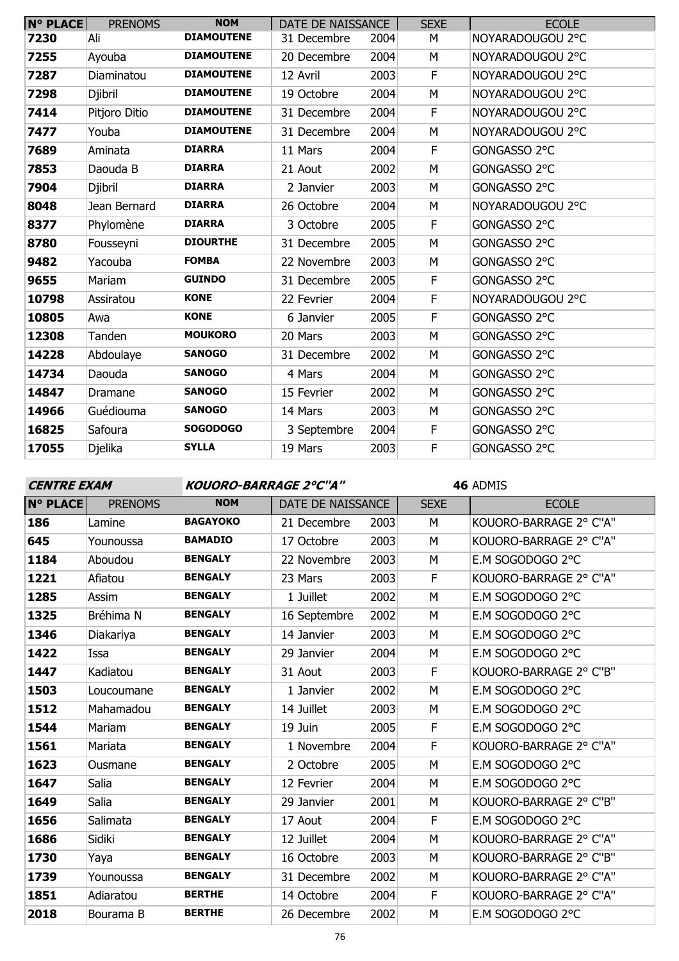| <b>N° PLACE</b> | <b>PRENOMS</b> | <b>NOM</b>        | DATE DE NAISSANCE |      | <b>SEXE</b> | <b>ECOLE</b>     |
|-----------------|----------------|-------------------|-------------------|------|-------------|------------------|
| 7230            | Ali            | <b>DIAMOUTENE</b> | 31 Decembre       | 2004 | М           | NOYARADOUGOU 2°C |
| 7255            | Ayouba         | <b>DIAMOUTENE</b> | 20 Decembre       | 2004 | M           | NOYARADOUGOU 2°C |
| 7287            | Diaminatou     | <b>DIAMOUTENE</b> | 12 Avril          | 2003 | F           | NOYARADOUGOU 2°C |
| 7298            | Djibril        | <b>DIAMOUTENE</b> | 19 Octobre        | 2004 | М           | NOYARADOUGOU 2°C |
| 7414            | Pitjoro Ditio  | <b>DIAMOUTENE</b> | 31 Decembre       | 2004 | F           | NOYARADOUGOU 2°C |
| 7477            | Youba          | <b>DIAMOUTENE</b> | 31 Decembre       | 2004 | M           | NOYARADOUGOU 2°C |
| 7689            | Aminata        | <b>DIARRA</b>     | 11 Mars           | 2004 | F           | GONGASSO 2°C     |
| 7853            | Daouda B       | <b>DIARRA</b>     | 21 Aout           | 2002 | M           | GONGASSO 2°C     |
| 7904            | Djibril        | <b>DIARRA</b>     | 2 Janvier         | 2003 | M           | GONGASSO 2°C     |
| 8048            | Jean Bernard   | <b>DIARRA</b>     | 26 Octobre        | 2004 | М           | NOYARADOUGOU 2°C |
| 8377            | Phylomène      | <b>DIARRA</b>     | 3 Octobre         | 2005 | F           | GONGASSO 2°C     |
| 8780            | Fousseyni      | <b>DIOURTHE</b>   | 31 Decembre       | 2005 | M           | GONGASSO 2°C     |
| 9482            | Yacouba        | <b>FOMBA</b>      | 22 Novembre       | 2003 | M           | GONGASSO 2°C     |
| 9655            | Mariam         | <b>GUINDO</b>     | 31 Decembre       | 2005 | F           | GONGASSO 2°C     |
| 10798           | Assiratou      | <b>KONE</b>       | 22 Fevrier        | 2004 | F           | NOYARADOUGOU 2°C |
| 10805           | Awa            | <b>KONE</b>       | 6 Janvier         | 2005 | F           | GONGASSO 2°C     |
| 12308           | Tanden         | <b>MOUKORO</b>    | 20 Mars           | 2003 | M           | GONGASSO 2°C     |
| 14228           | Abdoulaye      | <b>SANOGO</b>     | 31 Decembre       | 2002 | М           | GONGASSO 2°C     |
| 14734           | Daouda         | <b>SANOGO</b>     | 4 Mars            | 2004 | M           | GONGASSO 2°C     |
| 14847           | Dramane        | <b>SANOGO</b>     | 15 Fevrier        | 2002 | M           | GONGASSO 2°C     |
| 14966           | Guédiouma      | <b>SANOGO</b>     | 14 Mars           | 2003 | М           | GONGASSO 2°C     |
| 16825           | Safoura        | <b>SOGODOGO</b>   | 3 Septembre       | 2004 | F           | GONGASSO 2°C     |
| 17055           | Djelika        | <b>SYLLA</b>      | 19 Mars           | 2003 | F           | GONGASSO 2°C     |
|                 |                |                   |                   |      |             |                  |

**CENTRE EXAM KOUORO-BARRAGE 2°C''A''**

| <b>N° PLACE</b> | <b>PRENOMS</b> | <b>NOM</b>      | DATE DE NAISSANCE |      | <b>SEXE</b> | <b>ECOLE</b>           |
|-----------------|----------------|-----------------|-------------------|------|-------------|------------------------|
| 186             | Lamine         | <b>BAGAYOKO</b> | 21 Decembre       | 2003 | M           | KOUORO-BARRAGE 2° C"A" |
| 645             | Younoussa      | <b>BAMADIO</b>  | 17 Octobre        | 2003 | M           | KOUORO-BARRAGE 2° C"A" |
| 1184            | Aboudou        | <b>BENGALY</b>  | 22 Novembre       | 2003 | M           | E.M SOGODOGO 2°C       |
| 1221            | Afiatou        | <b>BENGALY</b>  | 23 Mars           | 2003 | F           | KOUORO-BARRAGE 2° C"A" |
| 1285            | Assim          | <b>BENGALY</b>  | 1 Juillet         | 2002 | M           | E.M SOGODOGO 2°C       |
| 1325            | Bréhima N      | <b>BENGALY</b>  | 16 Septembre      | 2002 | M           | E.M SOGODOGO 2°C       |
| 1346            | Diakariya      | <b>BENGALY</b>  | 14 Janvier        | 2003 | M           | E.M SOGODOGO 2°C       |
| 1422            | Issa           | <b>BENGALY</b>  | 29 Janvier        | 2004 | M           | E.M SOGODOGO 2°C       |
| 1447            | Kadiatou       | <b>BENGALY</b>  | 31 Aout           | 2003 | F           | KOUORO-BARRAGE 2° C"B" |
| 1503            | Loucoumane     | <b>BENGALY</b>  | 1 Janvier         | 2002 | M           | E.M SOGODOGO 2°C       |
| 1512            | Mahamadou      | <b>BENGALY</b>  | 14 Juillet        | 2003 | M           | E.M SOGODOGO 2°C       |
| 1544            | Mariam         | <b>BENGALY</b>  | 19 Juin           | 2005 | $\mathsf F$ | E.M SOGODOGO 2°C       |
| 1561            | Mariata        | <b>BENGALY</b>  | 1 Novembre        | 2004 | F           | KOUORO-BARRAGE 2° C"A" |
| 1623            | Ousmane        | <b>BENGALY</b>  | 2 Octobre         | 2005 | M           | E.M SOGODOGO 2°C       |
| 1647            | Salia          | <b>BENGALY</b>  | 12 Fevrier        | 2004 | M           | E.M SOGODOGO 2°C       |
| 1649            | Salia          | <b>BENGALY</b>  | 29 Janvier        | 2001 | M           | KOUORO-BARRAGE 2° C"B" |
| 1656            | Salimata       | <b>BENGALY</b>  | 17 Aout           | 2004 | F           | E.M SOGODOGO 2°C       |
| 1686            | Sidiki         | <b>BENGALY</b>  | 12 Juillet        | 2004 | M           | KOUORO-BARRAGE 2° C"A" |
| 1730            | Yaya           | <b>BENGALY</b>  | 16 Octobre        | 2003 | M           | KOUORO-BARRAGE 2° C"B" |
| 1739            | Younoussa      | <b>BENGALY</b>  | 31 Decembre       | 2002 | M           | KOUORO-BARRAGE 2° C"A" |
| 1851            | Adiaratou      | <b>BERTHE</b>   | 14 Octobre        | 2004 | F           | KOUORO-BARRAGE 2° C"A" |
| 2018            | Bourama B      | <b>BERTHE</b>   | 26 Decembre       | 2002 | M           | E.M SOGODOGO 2°C       |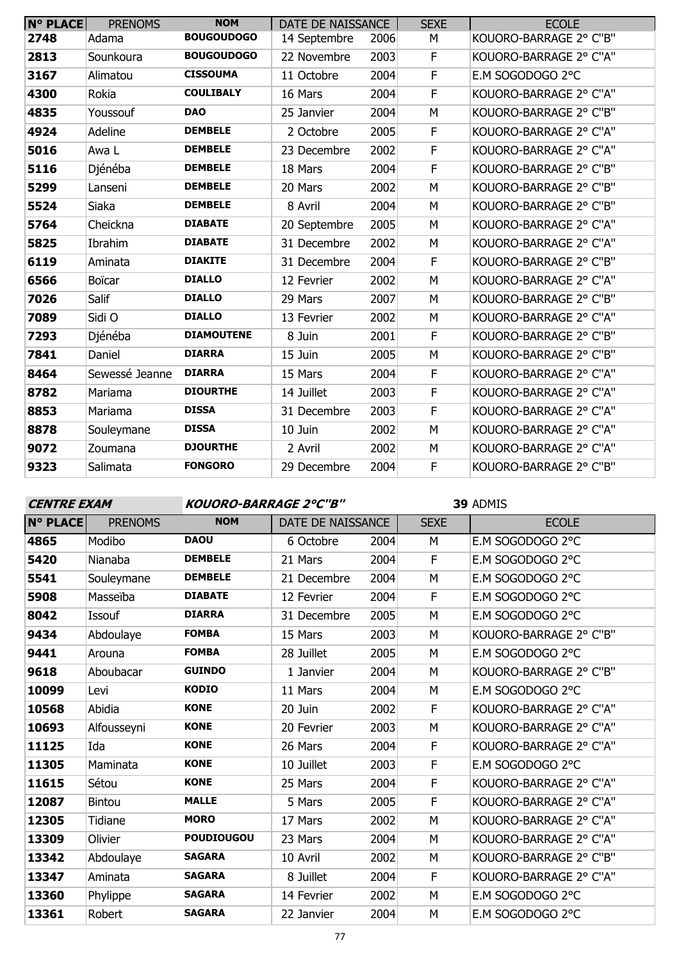| <b>N° PLACE</b> | <b>PRENOMS</b> | <b>NOM</b>        | DATE DE NAISSANCE |      | <b>SEXE</b> | <b>ECOLE</b>           |
|-----------------|----------------|-------------------|-------------------|------|-------------|------------------------|
| 2748            | Adama          | <b>BOUGOUDOGO</b> | 14 Septembre      | 2006 | М           | KOUORO-BARRAGE 2° C"B" |
| 2813            | Sounkoura      | <b>BOUGOUDOGO</b> | 22 Novembre       | 2003 | F           | KOUORO-BARRAGE 2° C"A" |
| 3167            | Alimatou       | <b>CISSOUMA</b>   | 11 Octobre        | 2004 | F           | E.M SOGODOGO 2°C       |
| 4300            | Rokia          | <b>COULIBALY</b>  | 16 Mars           | 2004 | F           | KOUORO-BARRAGE 2° C"A" |
| 4835            | Youssouf       | <b>DAO</b>        | 25 Janvier        | 2004 | M           | KOUORO-BARRAGE 2° C"B" |
| 4924            | Adeline        | <b>DEMBELE</b>    | 2 Octobre         | 2005 | F           | KOUORO-BARRAGE 2° C"A" |
| 5016            | Awa L          | <b>DEMBELE</b>    | 23 Decembre       | 2002 | F           | KOUORO-BARRAGE 2° C"A" |
| 5116            | Djénéba        | <b>DEMBELE</b>    | 18 Mars           | 2004 | F           | KOUORO-BARRAGE 2° C"B" |
| 5299            | Lanseni        | <b>DEMBELE</b>    | 20 Mars           | 2002 | M           | KOUORO-BARRAGE 2° C"B" |
| 5524            | Siaka          | <b>DEMBELE</b>    | 8 Avril           | 2004 | M           | KOUORO-BARRAGE 2° C"B" |
| 5764            | Cheickna       | <b>DIABATE</b>    | 20 Septembre      | 2005 | M           | KOUORO-BARRAGE 2° C"A" |
| 5825            | Ibrahim        | <b>DIABATE</b>    | 31 Decembre       | 2002 | M           | KOUORO-BARRAGE 2° C"A" |
| 6119            | Aminata        | <b>DIAKITE</b>    | 31 Decembre       | 2004 | F           | KOUORO-BARRAGE 2° C"B" |
| 6566            | Boïcar         | <b>DIALLO</b>     | 12 Fevrier        | 2002 | M           | KOUORO-BARRAGE 2° C"A" |
| 7026            | Salif          | <b>DIALLO</b>     | 29 Mars           | 2007 | M           | KOUORO-BARRAGE 2° C"B" |
| 7089            | Sidi O         | <b>DIALLO</b>     | 13 Fevrier        | 2002 | M           | KOUORO-BARRAGE 2° C"A" |
| 7293            | Djénéba        | <b>DIAMOUTENE</b> | 8 Juin            | 2001 | F           | KOUORO-BARRAGE 2° C"B" |
| 7841            | Daniel         | <b>DIARRA</b>     | 15 Juin           | 2005 | M           | KOUORO-BARRAGE 2° C"B" |
| 8464            | Sewessé Jeanne | <b>DIARRA</b>     | 15 Mars           | 2004 | F           | KOUORO-BARRAGE 2° C"A" |
| 8782            | Mariama        | <b>DIOURTHE</b>   | 14 Juillet        | 2003 | F           | KOUORO-BARRAGE 2° C"A" |
| 8853            | Mariama        | <b>DISSA</b>      | 31 Decembre       | 2003 | F           | KOUORO-BARRAGE 2° C"A" |
| 8878            | Souleymane     | <b>DISSA</b>      | 10 Juin           | 2002 | M           | KOUORO-BARRAGE 2° C"A" |
| 9072            | Zoumana        | <b>DJOURTHE</b>   | 2 Avril           | 2002 | M           | KOUORO-BARRAGE 2° C"A" |
| 9323            | Salimata       | <b>FONGORO</b>    | 29 Decembre       | 2004 | F           | KOUORO-BARRAGE 2° C"B" |

**CENTRE EXAM KOUORO-BARRAGE 2°C''B''**

| <b>N° PLACE</b> | <b>PRENOMS</b> | <b>NOM</b>        | DATE DE NAISSANCE |      | <b>SEXE</b> | <b>ECOLE</b>           |
|-----------------|----------------|-------------------|-------------------|------|-------------|------------------------|
| 4865            | Modibo         | <b>DAOU</b>       | 6 Octobre         | 2004 | M           | E.M SOGODOGO 2°C       |
| 5420            | Nianaba        | <b>DEMBELE</b>    | 21 Mars           | 2004 | F           | E.M SOGODOGO 2°C       |
| 5541            | Souleymane     | <b>DEMBELE</b>    | 21 Decembre       | 2004 | M           | E.M SOGODOGO 2°C       |
| 5908            | Masseïba       | <b>DIABATE</b>    | 12 Fevrier        | 2004 | F           | E.M SOGODOGO 2°C       |
| 8042            | Issouf         | <b>DIARRA</b>     | 31 Decembre       | 2005 | M           | E.M SOGODOGO 2°C       |
| 9434            | Abdoulaye      | <b>FOMBA</b>      | 15 Mars           | 2003 | M           | KOUORO-BARRAGE 2° C"B" |
| 9441            | Arouna         | <b>FOMBA</b>      | 28 Juillet        | 2005 | M           | E.M SOGODOGO 2°C       |
| 9618            | Aboubacar      | <b>GUINDO</b>     | 1 Janvier         | 2004 | M           | KOUORO-BARRAGE 2° C"B" |
| 10099           | Levi           | <b>KODIO</b>      | 11 Mars           | 2004 | M           | E.M SOGODOGO 2°C       |
| 10568           | Abidia         | <b>KONE</b>       | 20 Juin           | 2002 | F           | KOUORO-BARRAGE 2° C"A" |
| 10693           | Alfousseyni    | <b>KONE</b>       | 20 Fevrier        | 2003 | M           | KOUORO-BARRAGE 2° C"A" |
| 11125           | Ida            | <b>KONE</b>       | 26 Mars           | 2004 | $\mathsf F$ | KOUORO-BARRAGE 2° C"A" |
| 11305           | Maminata       | <b>KONE</b>       | 10 Juillet        | 2003 | F           | E.M SOGODOGO 2°C       |
| 11615           | Sétou          | <b>KONE</b>       | 25 Mars           | 2004 | F           | KOUORO-BARRAGE 2° C"A" |
| 12087           | <b>Bintou</b>  | <b>MALLE</b>      | 5 Mars            | 2005 | F           | KOUORO-BARRAGE 2° C"A" |
| 12305           | Tidiane        | <b>MORO</b>       | 17 Mars           | 2002 | M           | KOUORO-BARRAGE 2° C"A" |
| 13309           | Olivier        | <b>POUDIOUGOU</b> | 23 Mars           | 2004 | M           | KOUORO-BARRAGE 2° C"A" |
| 13342           | Abdoulaye      | <b>SAGARA</b>     | 10 Avril          | 2002 | M           | KOUORO-BARRAGE 2° C"B" |
| 13347           | Aminata        | <b>SAGARA</b>     | 8 Juillet         | 2004 | F           | KOUORO-BARRAGE 2° C"A" |
| 13360           | Phylippe       | <b>SAGARA</b>     | 14 Fevrier        | 2002 | M           | E.M SOGODOGO 2°C       |
| 13361           | Robert         | <b>SAGARA</b>     | 22 Janvier        | 2004 | M           | E.M SOGODOGO 2°C       |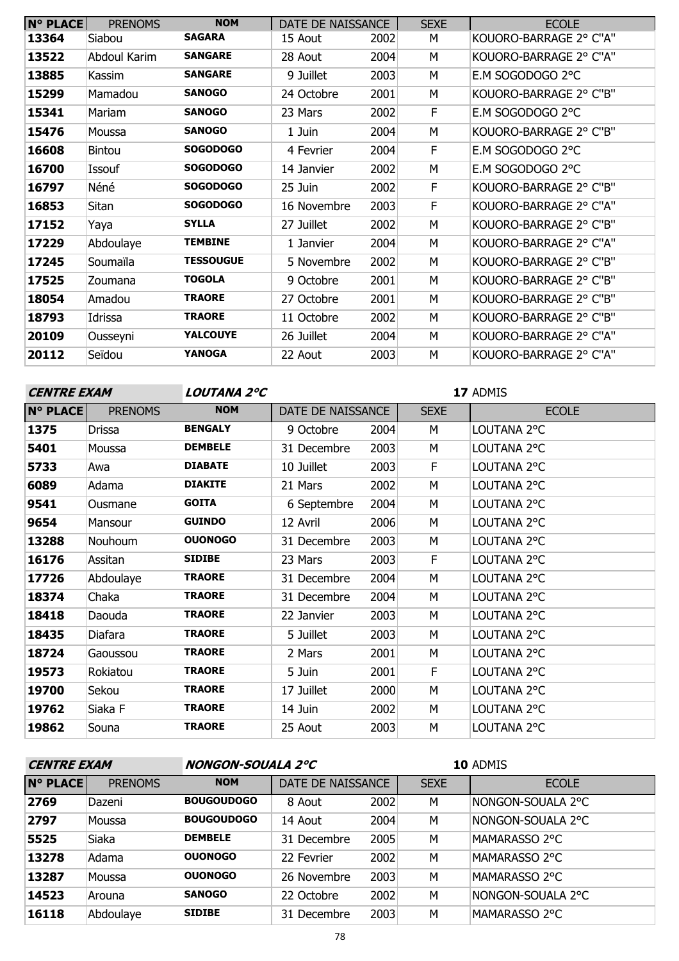| <b>N° PLACE</b> | <b>PRENOMS</b> | <b>NOM</b>       | DATE DE NAISSANCE |      | <b>SEXE</b> | <b>ECOLE</b>           |
|-----------------|----------------|------------------|-------------------|------|-------------|------------------------|
| 13364           | Siabou         | <b>SAGARA</b>    | 15 Aout           | 2002 | M           | KOUORO-BARRAGE 2° C"A" |
| 13522           | Abdoul Karim   | <b>SANGARE</b>   | 28 Aout           | 2004 | М           | KOUORO-BARRAGE 2° C"A" |
| 13885           | Kassim         | <b>SANGARE</b>   | 9 Juillet         | 2003 | M           | E.M SOGODOGO 2°C       |
| 15299           | Mamadou        | <b>SANOGO</b>    | 24 Octobre        | 2001 | M           | KOUORO-BARRAGE 2° C"B" |
| 15341           | Mariam         | <b>SANOGO</b>    | 23 Mars           | 2002 | F.          | E.M SOGODOGO 2°C       |
| 15476           | Moussa         | <b>SANOGO</b>    | 1 Juin            | 2004 | М           | KOUORO-BARRAGE 2° C"B" |
| 16608           | <b>Bintou</b>  | <b>SOGODOGO</b>  | 4 Fevrier         | 2004 | F.          | E.M SOGODOGO 2°C       |
| 16700           | Issouf         | <b>SOGODOGO</b>  | 14 Janvier        | 2002 | м           | E.M SOGODOGO 2°C       |
| 16797           | Néné           | <b>SOGODOGO</b>  | 25 Juin           | 2002 | F           | KOUORO-BARRAGE 2° C"B" |
| 16853           | Sitan          | <b>SOGODOGO</b>  | 16 Novembre       | 2003 | E           | KOUORO-BARRAGE 2° C"A" |
| 17152           | Yaya           | <b>SYLLA</b>     | 27 Juillet        | 2002 | м           | KOUORO-BARRAGE 2° C"B" |
| 17229           | Abdoulaye      | <b>TEMBINE</b>   | 1 Janvier         | 2004 | М           | KOUORO-BARRAGE 2° C"A" |
| 17245           | Soumaïla       | <b>TESSOUGUE</b> | 5 Novembre        | 2002 | M           | KOUORO-BARRAGE 2° C"B" |
| 17525           | Zoumana        | <b>TOGOLA</b>    | 9 Octobre         | 2001 | M           | KOUORO-BARRAGE 2° C"B" |
| 18054           | Amadou         | <b>TRAORE</b>    | 27 Octobre        | 2001 | м           | KOUORO-BARRAGE 2° C"B" |
| 18793           | Idrissa        | <b>TRAORE</b>    | 11 Octobre        | 2002 | M           | KOUORO-BARRAGE 2° C"B" |
| 20109           | Ousseyni       | <b>YALCOUYE</b>  | 26 Juillet        | 2004 | М           | KOUORO-BARRAGE 2° C"A" |
| 20112           | Seïdou         | <b>YANOGA</b>    | 22 Aout           | 2003 | M           | KOUORO-BARRAGE 2° C"A" |

| <b>CENTRE EXAM</b> |                | <b>LOUTANA 2°C</b> |                   |      | 17 ADMIS    |              |  |
|--------------------|----------------|--------------------|-------------------|------|-------------|--------------|--|
| <b>N° PLACE</b>    | <b>PRENOMS</b> | <b>NOM</b>         | DATE DE NAISSANCE |      | <b>SEXE</b> | <b>ECOLE</b> |  |
| 1375               | Drissa         | <b>BENGALY</b>     | 9 Octobre         | 2004 | М           | LOUTANA 2°C  |  |
| 5401               | Moussa         | <b>DEMBELE</b>     | 31 Decembre       | 2003 | М           | LOUTANA 2°C  |  |
| 5733               | Awa            | <b>DIABATE</b>     | 10 Juillet        | 2003 | F           | LOUTANA 2°C  |  |
| 6089               | Adama          | <b>DIAKITE</b>     | 21 Mars           | 2002 | М           | LOUTANA 2°C  |  |
| 9541               | Ousmane        | <b>GOITA</b>       | 6 Septembre       | 2004 | М           | LOUTANA 2°C  |  |
| 9654               | Mansour        | <b>GUINDO</b>      | 12 Avril          | 2006 | М           | LOUTANA 2°C  |  |
| 13288              | Nouhoum        | <b>OUONOGO</b>     | 31 Decembre       | 2003 | М           | LOUTANA 2°C  |  |
| 16176              | Assitan        | <b>SIDIBE</b>      | 23 Mars           | 2003 | F           | LOUTANA 2°C  |  |
| 17726              | Abdoulaye      | <b>TRAORE</b>      | 31 Decembre       | 2004 | M           | LOUTANA 2°C  |  |
| 18374              | Chaka          | <b>TRAORE</b>      | 31 Decembre       | 2004 | M           | LOUTANA 2°C  |  |
| 18418              | Daouda         | <b>TRAORE</b>      | 22 Janvier        | 2003 | М           | LOUTANA 2°C  |  |
| 18435              | Diafara        | <b>TRAORE</b>      | 5 Juillet         | 2003 | М           | LOUTANA 2°C  |  |
| 18724              | Gaoussou       | <b>TRAORE</b>      | 2 Mars            | 2001 | М           | LOUTANA 2°C  |  |
| 19573              | Rokiatou       | <b>TRAORE</b>      | 5 Juin            | 2001 | F           | LOUTANA 2°C  |  |
| 19700              | Sekou          | <b>TRAORE</b>      | 17 Juillet        | 2000 | М           | LOUTANA 2°C  |  |
| 19762              | Siaka F        | <b>TRAORE</b>      | 14 Juin           | 2002 | М           | LOUTANA 2°C  |  |
| 19862              | Souna          | <b>TRAORE</b>      | 25 Aout           | 2003 | М           | LOUTANA 2°C  |  |

| <b>CENTRE EXAM</b> |                | <b>NONGON-SOUALA 2°C</b> |                   |      |             | 10 ADMIS          |
|--------------------|----------------|--------------------------|-------------------|------|-------------|-------------------|
| <b>N° PLACE</b>    | <b>PRENOMS</b> | <b>NOM</b>               | DATE DE NAISSANCE |      | <b>SEXE</b> | <b>ECOLE</b>      |
| 2769               | Dazeni         | <b>BOUGOUDOGO</b>        | 8 Aout            | 2002 | M           | NONGON-SOUALA 2°C |
| 2797               | Moussa         | <b>BOUGOUDOGO</b>        | 14 Aout           | 2004 | M           | NONGON-SOUALA 2°C |
| 5525               | <b>Siaka</b>   | <b>DEMBELE</b>           | 31 Decembre       | 2005 | M           | MAMARASSO 2°C     |
| 13278              | Adama          | <b>OUONOGO</b>           | 22 Fevrier        | 2002 | M           | MAMARASSO 2°C     |
| 13287              | Moussa         | <b>OUONOGO</b>           | 26 Novembre       | 2003 | M           | MAMARASSO 2°C     |
| 14523              | Arouna         | <b>SANOGO</b>            | 22 Octobre        | 2002 | M           | NONGON-SOUALA 2°C |
| 16118              | Abdoulaye      | <b>SIDIBE</b>            | 31 Decembre       | 2003 | М           | MAMARASSO 2°C     |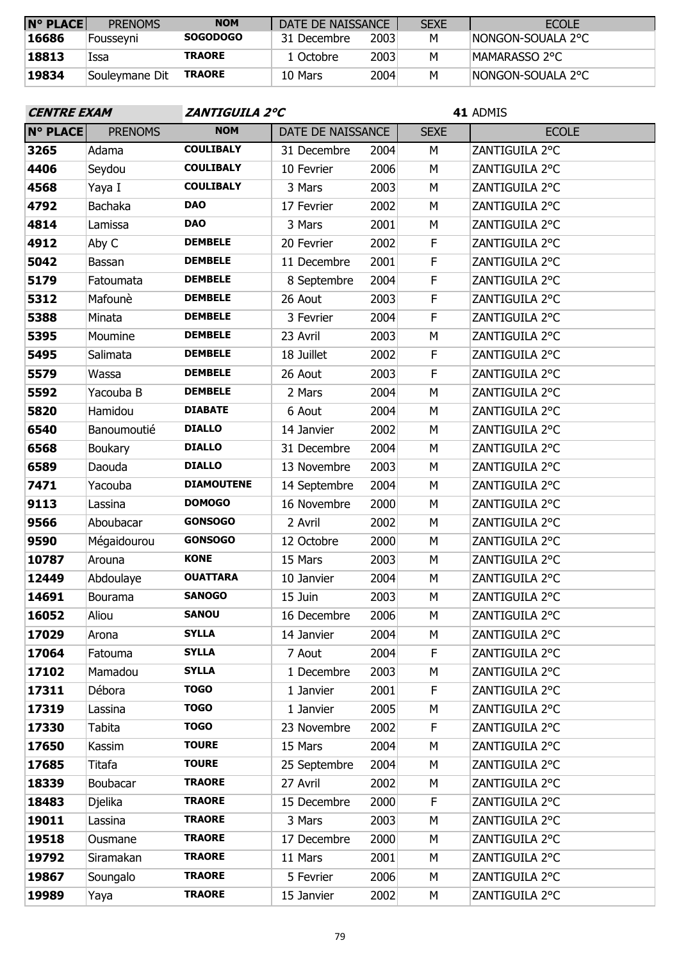| <b>N° PLACE</b> | <b>PRENOMS</b> | <b>NOM</b>      | DATE DE NAISSANCE |      | <b>SEXE</b> | <b>ECOLE</b>       |
|-----------------|----------------|-----------------|-------------------|------|-------------|--------------------|
| 16686           | Foussevni      | <b>SOGODOGO</b> | 31 Decembre       | 2003 | M           | INONGON-SOUALA 2°C |
| 18813           | Issa           | <b>TRAORE</b>   | 1 Octobre         | 2003 | М           | IMAMARASSO 2°C     |
| 19834           | Souleymane Dit | <b>TRAORE</b>   | 10 Mars           | 2004 | M           | INONGON-SOUALA 2°C |
|                 |                |                 |                   |      |             |                    |

| <b>CENTRE EXAM</b> |                | <b>ZANTIGUILA 2°C</b> |                   |      | 41 ADMIS    |                |  |  |
|--------------------|----------------|-----------------------|-------------------|------|-------------|----------------|--|--|
| N° PLACE           | <b>PRENOMS</b> | <b>NOM</b>            | DATE DE NAISSANCE |      | <b>SEXE</b> | <b>ECOLE</b>   |  |  |
| 3265               | Adama          | <b>COULIBALY</b>      | 31 Decembre       | 2004 | M           | ZANTIGUILA 2°C |  |  |
| 4406               | Seydou         | <b>COULIBALY</b>      | 10 Fevrier        | 2006 | M           | ZANTIGUILA 2°C |  |  |
| 4568               | Yaya I         | <b>COULIBALY</b>      | 3 Mars            | 2003 | M           | ZANTIGUILA 2°C |  |  |
| 4792               | Bachaka        | <b>DAO</b>            | 17 Fevrier        | 2002 | М           | ZANTIGUILA 2°C |  |  |
| 4814               | Lamissa        | <b>DAO</b>            | 3 Mars            | 2001 | M           | ZANTIGUILA 2°C |  |  |
| 4912               | Aby C          | <b>DEMBELE</b>        | 20 Fevrier        | 2002 | F           | ZANTIGUILA 2°C |  |  |
| 5042               | Bassan         | <b>DEMBELE</b>        | 11 Decembre       | 2001 | $\mathsf F$ | ZANTIGUILA 2°C |  |  |
| 5179               | Fatoumata      | <b>DEMBELE</b>        | 8 Septembre       | 2004 | F           | ZANTIGUILA 2°C |  |  |
| 5312               | Mafounè        | <b>DEMBELE</b>        | 26 Aout           | 2003 | $\mathsf F$ | ZANTIGUILA 2°C |  |  |
| 5388               | Minata         | <b>DEMBELE</b>        | 3 Fevrier         | 2004 | F           | ZANTIGUILA 2°C |  |  |
| 5395               | Moumine        | <b>DEMBELE</b>        | 23 Avril          | 2003 | М           | ZANTIGUILA 2°C |  |  |
| 5495               | Salimata       | <b>DEMBELE</b>        | 18 Juillet        | 2002 | F           | ZANTIGUILA 2°C |  |  |
| 5579               | Wassa          | <b>DEMBELE</b>        | 26 Aout           | 2003 | $\mathsf F$ | ZANTIGUILA 2°C |  |  |
| 5592               | Yacouba B      | <b>DEMBELE</b>        | 2 Mars            | 2004 | M           | ZANTIGUILA 2°C |  |  |
| 5820               | Hamidou        | <b>DIABATE</b>        | 6 Aout            | 2004 | M           | ZANTIGUILA 2°C |  |  |
| 6540               | Banoumoutié    | <b>DIALLO</b>         | 14 Janvier        | 2002 | M           | ZANTIGUILA 2°C |  |  |
| 6568               | <b>Boukary</b> | <b>DIALLO</b>         | 31 Decembre       | 2004 | M           | ZANTIGUILA 2°C |  |  |
| 6589               | Daouda         | <b>DIALLO</b>         | 13 Novembre       | 2003 | М           | ZANTIGUILA 2°C |  |  |
| 7471               | Yacouba        | <b>DIAMOUTENE</b>     | 14 Septembre      | 2004 | M           | ZANTIGUILA 2°C |  |  |
| 9113               | Lassina        | <b>DOMOGO</b>         | 16 Novembre       | 2000 | M           | ZANTIGUILA 2°C |  |  |
| 9566               | Aboubacar      | <b>GONSOGO</b>        | 2 Avril           | 2002 | M           | ZANTIGUILA 2°C |  |  |
| 9590               | Mégaidourou    | <b>GONSOGO</b>        | 12 Octobre        | 2000 | М           | ZANTIGUILA 2°C |  |  |
| 10787              | Arouna         | <b>KONE</b>           | 15 Mars           | 2003 | M           | ZANTIGUILA 2°C |  |  |
| 12449              | Abdoulaye      | <b>OUATTARA</b>       | 10 Janvier        | 2004 | M           | ZANTIGUILA 2°C |  |  |
| 14691              | Bourama        | <b>SANOGO</b>         | 15 Juin           | 2003 | М           | ZANTIGUILA 2°C |  |  |
| 16052              | Aliou          | <b>SANOU</b>          | 16 Decembre       | 2006 | M           | ZANTIGUILA 2°C |  |  |
| 17029              | Arona          | <b>SYLLA</b>          | 14 Janvier        | 2004 | М           | ZANTIGUILA 2°C |  |  |
| 17064              | Fatouma        | <b>SYLLA</b>          | 7 Aout            | 2004 | F           | ZANTIGUILA 2°C |  |  |
| 17102              | Mamadou        | <b>SYLLA</b>          | 1 Decembre        | 2003 | М           | ZANTIGUILA 2°C |  |  |
| 17311              | Débora         | <b>TOGO</b>           | 1 Janvier         | 2001 | F           | ZANTIGUILA 2°C |  |  |
| 17319              | Lassina        | <b>TOGO</b>           | 1 Janvier         | 2005 | M           | ZANTIGUILA 2°C |  |  |
| 17330              | Tabita         | <b>TOGO</b>           | 23 Novembre       | 2002 | F           | ZANTIGUILA 2°C |  |  |
| 17650              | Kassim         | <b>TOURE</b>          | 15 Mars           | 2004 | М           | ZANTIGUILA 2°C |  |  |
| 17685              | Titafa         | <b>TOURE</b>          | 25 Septembre      | 2004 | M           | ZANTIGUILA 2°C |  |  |
| 18339              | Boubacar       | <b>TRAORE</b>         | 27 Avril          | 2002 | М           | ZANTIGUILA 2°C |  |  |
| 18483              | Djelika        | <b>TRAORE</b>         | 15 Decembre       | 2000 | F           | ZANTIGUILA 2°C |  |  |
| 19011              | Lassina        | <b>TRAORE</b>         | 3 Mars            | 2003 | М           | ZANTIGUILA 2°C |  |  |
| 19518              | Ousmane        | <b>TRAORE</b>         | 17 Decembre       | 2000 | М           | ZANTIGUILA 2°C |  |  |
| 19792              | Siramakan      | <b>TRAORE</b>         | 11 Mars           | 2001 | М           | ZANTIGUILA 2°C |  |  |
| 19867              | Soungalo       | <b>TRAORE</b>         | 5 Fevrier         | 2006 | М           | ZANTIGUILA 2°C |  |  |
| 19989              | Yaya           | <b>TRAORE</b>         | 15 Janvier        | 2002 | М           | ZANTIGUILA 2°C |  |  |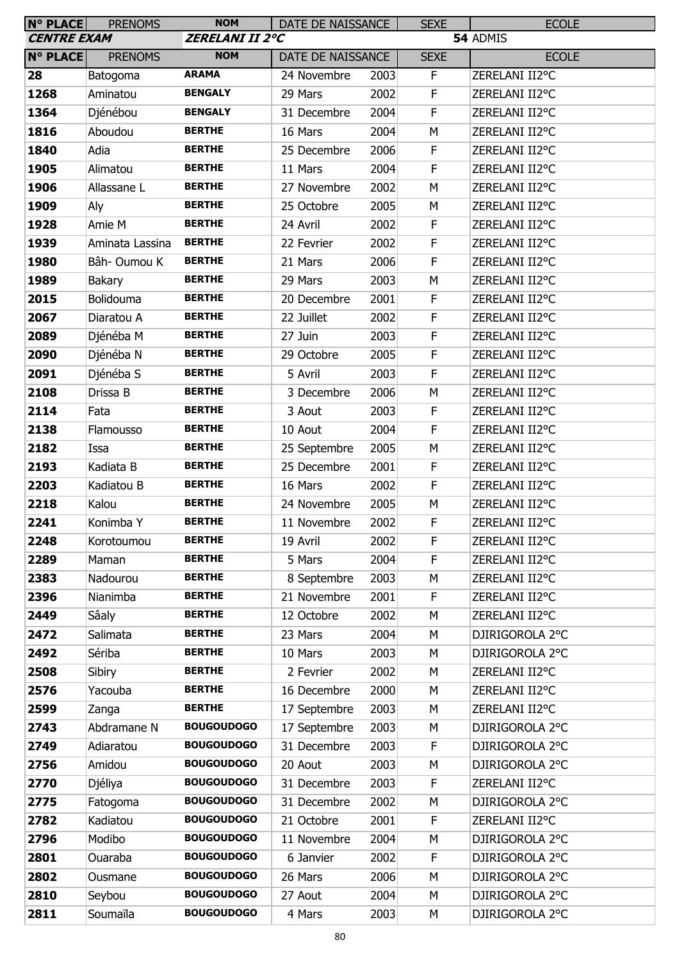| <b>N° PLACE</b>    | <b>PRENOMS</b>  | <b>NOM</b>             | DATE DE NAISSANCE |      | <b>SEXE</b> | <b>ECOLE</b>    |
|--------------------|-----------------|------------------------|-------------------|------|-------------|-----------------|
| <b>CENTRE EXAM</b> |                 | <b>ZERELANI II 2°C</b> |                   |      |             | 54 ADMIS        |
| <b>N° PLACE</b>    | <b>PRENOMS</b>  | <b>NOM</b>             | DATE DE NAISSANCE |      | <b>SEXE</b> | <b>ECOLE</b>    |
| 28                 | Batogoma        | <b>ARAMA</b>           | 24 Novembre       | 2003 | F           | ZERELANI II2°C  |
| 1268               | Aminatou        | <b>BENGALY</b>         | 29 Mars           | 2002 | F           | ZERELANI II2°C  |
| 1364               | Djénébou        | <b>BENGALY</b>         | 31 Decembre       | 2004 | F           | ZERELANI II2°C  |
| 1816               | Aboudou         | <b>BERTHE</b>          | 16 Mars           | 2004 | М           | ZERELANI II2°C  |
| 1840               | Adia            | <b>BERTHE</b>          | 25 Decembre       | 2006 | F           | ZERELANI II2°C  |
| 1905               | Alimatou        | <b>BERTHE</b>          | 11 Mars           | 2004 | F           | ZERELANI II2°C  |
| 1906               | Allassane L     | <b>BERTHE</b>          | 27 Novembre       | 2002 | M           | ZERELANI II2°C  |
| 1909               | Aly             | <b>BERTHE</b>          | 25 Octobre        | 2005 | М           | ZERELANI II2°C  |
| 1928               | Amie M          | <b>BERTHE</b>          | 24 Avril          | 2002 | F           | ZERELANI II2°C  |
| 1939               | Aminata Lassina | <b>BERTHE</b>          | 22 Fevrier        | 2002 | F           | ZERELANI II2°C  |
| 1980               | Bâh- Oumou K    | <b>BERTHE</b>          | 21 Mars           | 2006 | F           | ZERELANI II2°C  |
| 1989               | Bakary          | <b>BERTHE</b>          | 29 Mars           | 2003 | M           | ZERELANI II2°C  |
| 2015               | Bolidouma       | <b>BERTHE</b>          | 20 Decembre       | 2001 | F           | ZERELANI II2°C  |
| 2067               | Diaratou A      | <b>BERTHE</b>          | 22 Juillet        | 2002 | F           | ZERELANI II2°C  |
| 2089               | Djénéba M       | <b>BERTHE</b>          | 27 Juin           | 2003 | F           | ZERELANI II2°C  |
| 2090               | Djénéba N       | <b>BERTHE</b>          | 29 Octobre        | 2005 | F           | ZERELANI II2°C  |
| 2091               | Djénéba S       | <b>BERTHE</b>          | 5 Avril           | 2003 | F           | ZERELANI II2°C  |
| 2108               | Drissa B        | <b>BERTHE</b>          | 3 Decembre        | 2006 | M           | ZERELANI II2°C  |
| 2114               | Fata            | <b>BERTHE</b>          | 3 Aout            | 2003 | F           | ZERELANI II2°C  |
| 2138               | Flamousso       | <b>BERTHE</b>          | 10 Aout           | 2004 | F           | ZERELANI II2°C  |
| 2182               | Issa            | <b>BERTHE</b>          | 25 Septembre      | 2005 | M           | ZERELANI II2°C  |
| 2193               | Kadiata B       | <b>BERTHE</b>          | 25 Decembre       | 2001 | F           | ZERELANI II2°C  |
| 2203               | Kadiatou B      | <b>BERTHE</b>          | 16 Mars           | 2002 | $\mathsf F$ | ZERELANI II2°C  |
| 2218               | Kalou           | <b>BERTHE</b>          | 24 Novembre       | 2005 | M           | ZERELANI II2°C  |
| 2241               | Konimba Y       | <b>BERTHE</b>          | 11 Novembre       | 2002 | E           | ZERELANI II2°C  |
| 2248               | Korotoumou      | <b>BERTHE</b>          | 19 Avril          | 2002 | F           | ZERELANI II2°C  |
| 2289               | Maman           | <b>BERTHE</b>          | 5 Mars            | 2004 | F           | ZERELANI II2°C  |
| 2383               | Nadourou        | <b>BERTHE</b>          | 8 Septembre       | 2003 | M           | ZERELANI II2°C  |
| 2396               | Nianimba        | <b>BERTHE</b>          | 21 Novembre       | 2001 | F           | ZERELANI II2°C  |
| 2449               | Sâaly           | <b>BERTHE</b>          | 12 Octobre        | 2002 | M           | ZERELANI II2°C  |
| 2472               | Salimata        | <b>BERTHE</b>          | 23 Mars           | 2004 | M           | DJIRIGOROLA 2°C |
| 2492               | Sériba          | <b>BERTHE</b>          | 10 Mars           | 2003 | M           | DJIRIGOROLA 2°C |
| 2508               | Sibiry          | <b>BERTHE</b>          | 2 Fevrier         | 2002 | М           | ZERELANI II2°C  |
| 2576               | Yacouba         | <b>BERTHE</b>          | 16 Decembre       | 2000 | M           | ZERELANI II2°C  |
| 2599               | Zanga           | <b>BERTHE</b>          | 17 Septembre      | 2003 | M           | ZERELANI II2°C  |
| 2743               | Abdramane N     | <b>BOUGOUDOGO</b>      | 17 Septembre      | 2003 | М           | DJIRIGOROLA 2°C |
| 2749               | Adiaratou       | <b>BOUGOUDOGO</b>      | 31 Decembre       | 2003 | F           | DJIRIGOROLA 2°C |
| 2756               | Amidou          | <b>BOUGOUDOGO</b>      | 20 Aout           | 2003 | M           | DJIRIGOROLA 2°C |
| 2770               | Djéliya         | <b>BOUGOUDOGO</b>      | 31 Decembre       | 2003 | F           | ZERELANI II2°C  |
| 2775               | Fatogoma        | <b>BOUGOUDOGO</b>      | 31 Decembre       | 2002 | M           | DJIRIGOROLA 2°C |
| 2782               | Kadiatou        | <b>BOUGOUDOGO</b>      | 21 Octobre        | 2001 | F           | ZERELANI II2°C  |
| 2796               | Modibo          | <b>BOUGOUDOGO</b>      | 11 Novembre       | 2004 | M           | DJIRIGOROLA 2°C |
| 2801               | Ouaraba         | <b>BOUGOUDOGO</b>      | 6 Janvier         | 2002 | F           | DJIRIGOROLA 2°C |
| 2802               | Ousmane         | <b>BOUGOUDOGO</b>      | 26 Mars           | 2006 | М           | DJIRIGOROLA 2°C |
| 2810               | Seybou          | <b>BOUGOUDOGO</b>      | 27 Aout           | 2004 | M           | DJIRIGOROLA 2°C |
| 2811               | Soumaïla        | <b>BOUGOUDOGO</b>      | 4 Mars            | 2003 | М           | DJIRIGOROLA 2°C |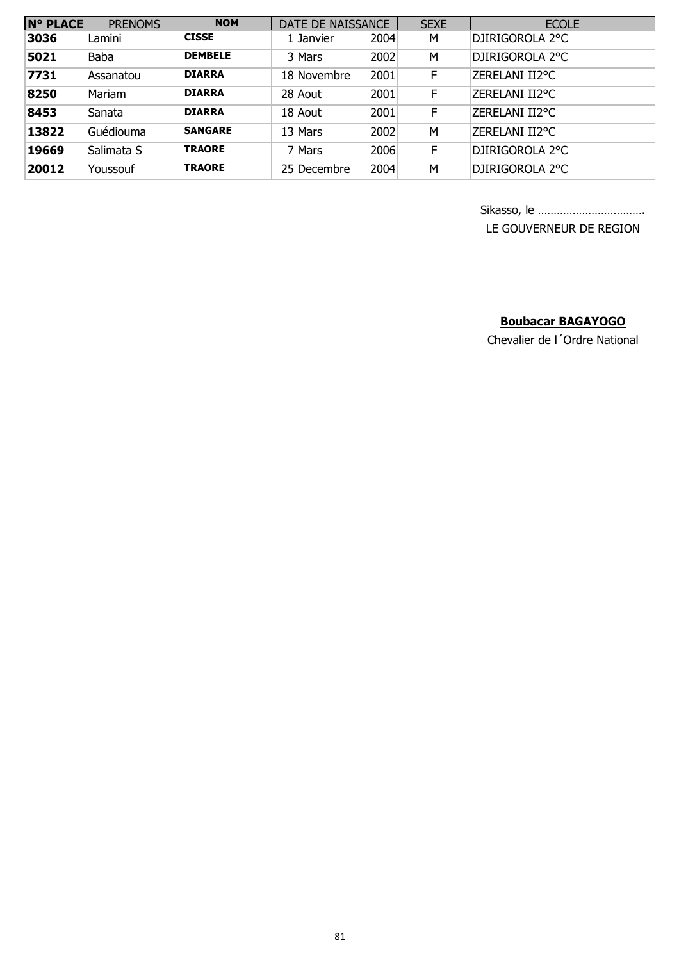| <b>N° PLACE</b> | <b>PRENOMS</b> | <b>NOM</b>     | DATE DE NAISSANCE |      | <b>SEXE</b> | <b>ECOLE</b>    |
|-----------------|----------------|----------------|-------------------|------|-------------|-----------------|
| 3036            | Lamini         | <b>CISSE</b>   | 1 Janvier         | 2004 | M           | DJIRIGOROLA 2°C |
| 5021            | <b>Baba</b>    | <b>DEMBELE</b> | 3 Mars            | 2002 | M           | DJIRIGOROLA 2°C |
| 7731            | Assanatou      | <b>DIARRA</b>  | 18 Novembre       | 2001 | F           | ZERELANI II2°C  |
| 8250            | Mariam         | <b>DIARRA</b>  | 28 Aout           | 2001 | F           | ZERELANI II2°C  |
| 8453            | Sanata         | <b>DIARRA</b>  | 18 Aout           | 2001 | F           | ZERELANI II2°C  |
| 13822           | Guédiouma      | <b>SANGARE</b> | 13 Mars           | 2002 | M           | ZERELANI II2°C  |
| 19669           | Salimata S     | <b>TRAORE</b>  | 7 Mars            | 2006 | F           | DJIRIGOROLA 2°C |
| 20012           | Youssouf       | <b>TRAORE</b>  | 25 Decembre       | 2004 | M           | DJIRIGOROLA 2°C |

Sikasso, le ……………………………. LE GOUVERNEUR DE REGION

### **Boubacar BAGAYOGO**

Chevalier de l´Ordre National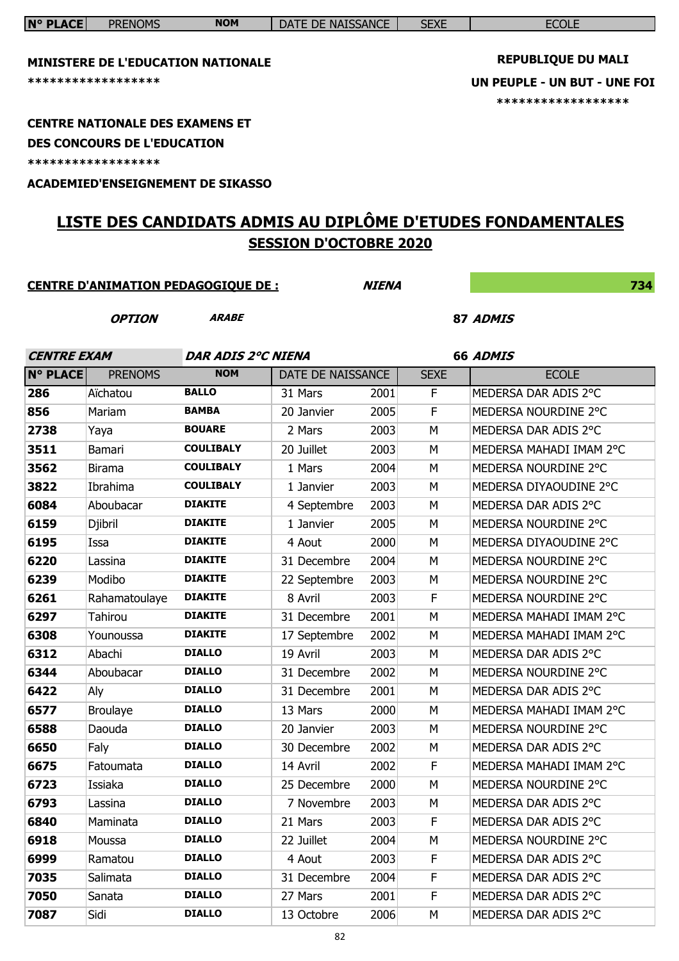|                    | ******************<br><b>CENTRE NATIONALE DES EXAMENS ET</b><br><b>DES CONCOURS DE L'EDUCATION</b><br>****************** | <b>MINISTERE DE L'EDUCATION NATIONALE</b><br><b>ACADEMIED'ENSEIGNEMENT DE SIKASSO</b> |                               |              | <b>REPUBLIQUE DU MALI</b><br>UN PEUPLE - UN BUT - UNE FOI<br>****************** |                                                             |
|--------------------|--------------------------------------------------------------------------------------------------------------------------|---------------------------------------------------------------------------------------|-------------------------------|--------------|---------------------------------------------------------------------------------|-------------------------------------------------------------|
|                    |                                                                                                                          |                                                                                       | <b>SESSION D'OCTOBRE 2020</b> |              |                                                                                 | LISTE DES CANDIDATS ADMIS AU DIPLÔME D'ETUDES FONDAMENTALES |
|                    |                                                                                                                          | <b>CENTRE D'ANIMATION PEDAGOGIQUE DE :</b>                                            |                               | <b>NIENA</b> |                                                                                 | 734                                                         |
|                    | <b>OPTION</b>                                                                                                            | <b>ARABE</b>                                                                          |                               |              |                                                                                 | 87 ADMIS                                                    |
| <b>CENTRE EXAM</b> |                                                                                                                          | <b>DAR ADIS 2°C NIENA</b>                                                             |                               |              |                                                                                 | 66 ADMIS                                                    |
| <b>N° PLACE</b>    | <b>PRENOMS</b>                                                                                                           | <b>NOM</b>                                                                            | DATE DE NAISSANCE             |              | <b>SEXE</b>                                                                     | <b>ECOLE</b>                                                |
| 286                | Aïchatou                                                                                                                 | <b>BALLO</b>                                                                          | 31 Mars                       | 2001         | F.                                                                              | MEDERSA DAR ADIS 2°C                                        |
| 856                | Mariam                                                                                                                   | <b>BAMBA</b>                                                                          | 20 Janvier                    | 2005         | F                                                                               | MEDERSA NOURDINE 2°C                                        |
| 2738               | Yaya                                                                                                                     | <b>BOUARE</b>                                                                         | 2 Mars                        | 2003         | M                                                                               | MEDERSA DAR ADIS 2°C                                        |
| 3511               | Bamari                                                                                                                   | <b>COULIBALY</b>                                                                      | 20 Juillet                    | 2003         | М                                                                               | MEDERSA MAHADI IMAM 2°C                                     |
| 3562               | <b>Birama</b>                                                                                                            | <b>COULIBALY</b>                                                                      | 1 Mars                        | 2004         | М                                                                               | MEDERSA NOURDINE 2°C                                        |
| 3822               | Ibrahima                                                                                                                 | <b>COULIBALY</b>                                                                      | 1 Janvier                     | 2003         | М                                                                               | MEDERSA DIYAOUDINE 2°C                                      |
| 6084               | Aboubacar                                                                                                                | <b>DIAKITE</b>                                                                        | 4 Septembre                   | 2003         | м                                                                               | MEDERSA DAR ADIS 2°C                                        |
| 6159               | Djibril                                                                                                                  | <b>DIAKITE</b><br><b>DIAKITE</b>                                                      | 1 Janvier                     | 2005         | М                                                                               | MEDERSA NOURDINE 2°C                                        |
| 6195<br>6220       | Issa                                                                                                                     | <b>DIAKITE</b>                                                                        | 4 Aout<br>31 Decembre         | 2000<br>2004 | М<br>M                                                                          | MEDERSA DIYAOUDINE 2°C<br>MEDERSA NOURDINE 2°C              |
| 6239               | Lassina<br>Modibo                                                                                                        | <b>DIAKITE</b>                                                                        | 22 Septembre                  | 2003         | M                                                                               | MEDERSA NOURDINE 2°C                                        |
| 6261               | Rahamatoulaye                                                                                                            | <b>DIAKITE</b>                                                                        | 8 Avril                       | 2003         | F.                                                                              | MEDERSA NOURDINE 2°C                                        |
| 6297               | <b>Tahirou</b>                                                                                                           | <b>DIAKITE</b>                                                                        | 31 Decembre                   | 2001         | M                                                                               | MEDERSA MAHADI IMAM 2°C                                     |
| 6308               | Younoussa                                                                                                                | <b>DIAKITE</b>                                                                        | 17 Septembre                  | 2002         | M                                                                               | MEDERSA MAHADI IMAM 2°C                                     |
| 6312               | Abachi                                                                                                                   | <b>DIALLO</b>                                                                         | 19 Avril                      | 2003         | M                                                                               | MEDERSA DAR ADIS 2°C                                        |
| 6344               | Aboubacar                                                                                                                | <b>DIALLO</b>                                                                         | 31 Decembre                   | 2002         | М                                                                               | MEDERSA NOURDINE 2°C                                        |
| 6422               | Aly                                                                                                                      | <b>DIALLO</b>                                                                         | 31 Decembre                   | 2001         | M                                                                               | MEDERSA DAR ADIS 2°C                                        |
| 6577               | <b>Broulaye</b>                                                                                                          | <b>DIALLO</b>                                                                         | 13 Mars                       | 2000         | M                                                                               | MEDERSA MAHADI IMAM 2°C                                     |
| 6588               | Daouda                                                                                                                   | <b>DIALLO</b>                                                                         | 20 Janvier                    | 2003         | М                                                                               | MEDERSA NOURDINE 2°C                                        |
| 6650               | Faly                                                                                                                     | <b>DIALLO</b>                                                                         | 30 Decembre                   | 2002         | M                                                                               | MEDERSA DAR ADIS 2°C                                        |
| 6675               | Fatoumata                                                                                                                | <b>DIALLO</b>                                                                         | 14 Avril                      | 2002         | F                                                                               | MEDERSA MAHADI IMAM 2°C                                     |
| 6723               | Issiaka                                                                                                                  | <b>DIALLO</b>                                                                         | 25 Decembre                   | 2000         | M                                                                               | MEDERSA NOURDINE 2°C                                        |
| 6793               | Lassina                                                                                                                  | <b>DIALLO</b>                                                                         | 7 Novembre                    | 2003         | M                                                                               | MEDERSA DAR ADIS 2°C                                        |
| 6840               | Maminata                                                                                                                 | <b>DIALLO</b>                                                                         | 21 Mars                       | 2003         | F                                                                               | MEDERSA DAR ADIS 2°C                                        |
| 6918               | Moussa                                                                                                                   | <b>DIALLO</b>                                                                         | 22 Juillet                    | 2004         | M                                                                               | MEDERSA NOURDINE 2°C                                        |
| 6999               | Ramatou                                                                                                                  | <b>DIALLO</b>                                                                         | 4 Aout                        | 2003         | F                                                                               | MEDERSA DAR ADIS 2°C                                        |
| 7035               | Salimata                                                                                                                 | <b>DIALLO</b>                                                                         | 31 Decembre                   | 2004         | F                                                                               | MEDERSA DAR ADIS 2°C                                        |
| 7050               | Sanata                                                                                                                   | <b>DIALLO</b>                                                                         | 27 Mars                       | 2001         | F                                                                               | MEDERSA DAR ADIS 2°C                                        |
| 7087               | Sidi                                                                                                                     | <b>DIALLO</b>                                                                         | 13 Octobre                    | 2006         | М                                                                               | MEDERSA DAR ADIS 2°C                                        |

**N° PLACE** PRENOMS **NOM** DATE DE NAISSANCE SEXE SEXE ECOLE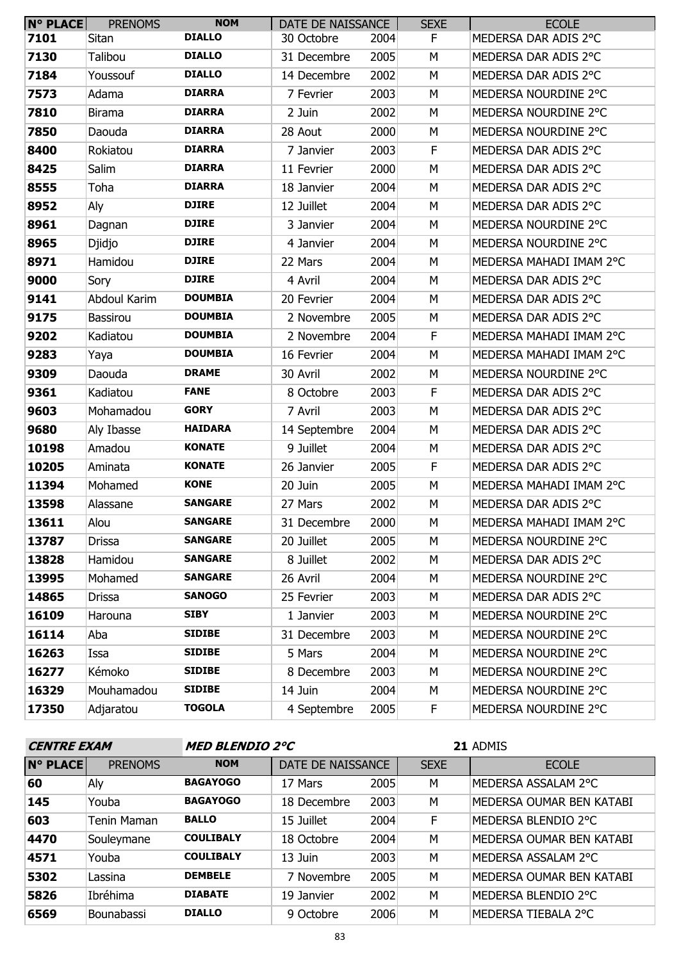| <b>N° PLACE</b> | <b>PRENOMS</b>  | <b>NOM</b>     | DATE DE NAISSANCE |      | <b>SEXE</b> | <b>ECOLE</b>            |
|-----------------|-----------------|----------------|-------------------|------|-------------|-------------------------|
| 7101            | Sitan           | <b>DIALLO</b>  | 30 Octobre        | 2004 | F           | MEDERSA DAR ADIS 2°C    |
| 7130            | Talibou         | <b>DIALLO</b>  | 31 Decembre       | 2005 | М           | MEDERSA DAR ADIS 2°C    |
| 7184            | Youssouf        | <b>DIALLO</b>  | 14 Decembre       | 2002 | M           | MEDERSA DAR ADIS 2°C    |
| 7573            | Adama           | <b>DIARRA</b>  | 7 Fevrier         | 2003 | M           | MEDERSA NOURDINE 2°C    |
| 7810            | <b>Birama</b>   | <b>DIARRA</b>  | 2 Juin            | 2002 | M           | MEDERSA NOURDINE 2°C    |
| 7850            | Daouda          | <b>DIARRA</b>  | 28 Aout           | 2000 | М           | MEDERSA NOURDINE 2°C    |
| 8400            | Rokiatou        | <b>DIARRA</b>  | 7 Janvier         | 2003 | F           | MEDERSA DAR ADIS 2°C    |
| 8425            | Salim           | <b>DIARRA</b>  | 11 Fevrier        | 2000 | M           | MEDERSA DAR ADIS 2°C    |
| 8555            | Toha            | <b>DIARRA</b>  | 18 Janvier        | 2004 | M           | MEDERSA DAR ADIS 2°C    |
| 8952            | Aly             | <b>DJIRE</b>   | 12 Juillet        | 2004 | M           | MEDERSA DAR ADIS 2°C    |
| 8961            | Dagnan          | <b>DJIRE</b>   | 3 Janvier         | 2004 | M           | MEDERSA NOURDINE 2°C    |
| 8965            | Djidjo          | <b>DJIRE</b>   | 4 Janvier         | 2004 | M           | MEDERSA NOURDINE 2°C    |
| 8971            | Hamidou         | <b>DJIRE</b>   | 22 Mars           | 2004 | M           | MEDERSA MAHADI IMAM 2°C |
| 9000            | Sory            | <b>DJIRE</b>   | 4 Avril           | 2004 | M           | MEDERSA DAR ADIS 2°C    |
| 9141            | Abdoul Karim    | <b>DOUMBIA</b> | 20 Fevrier        | 2004 | M           | MEDERSA DAR ADIS 2°C    |
| 9175            | <b>Bassirou</b> | <b>DOUMBIA</b> | 2 Novembre        | 2005 | М           | MEDERSA DAR ADIS 2°C    |
| 9202            | Kadiatou        | <b>DOUMBIA</b> | 2 Novembre        | 2004 | F           | MEDERSA MAHADI IMAM 2°C |
| 9283            | Yaya            | <b>DOUMBIA</b> | 16 Fevrier        | 2004 | M           | MEDERSA MAHADI IMAM 2°C |
| 9309            | Daouda          | <b>DRAME</b>   | 30 Avril          | 2002 | M           | MEDERSA NOURDINE 2°C    |
| 9361            | Kadiatou        | <b>FANE</b>    | 8 Octobre         | 2003 | F.          | MEDERSA DAR ADIS 2°C    |
| 9603            | Mohamadou       | <b>GORY</b>    | 7 Avril           | 2003 | M           | MEDERSA DAR ADIS 2°C    |
| 9680            | Aly Ibasse      | <b>HAIDARA</b> | 14 Septembre      | 2004 | M           | MEDERSA DAR ADIS 2°C    |
| 10198           | Amadou          | <b>KONATE</b>  | 9 Juillet         | 2004 | M           | MEDERSA DAR ADIS 2°C    |
| 10205           | Aminata         | <b>KONATE</b>  | 26 Janvier        | 2005 | F.          | MEDERSA DAR ADIS 2°C    |
| 11394           | Mohamed         | <b>KONE</b>    | 20 Juin           | 2005 | M           | MEDERSA MAHADI IMAM 2°C |
| 13598           | Alassane        | <b>SANGARE</b> | 27 Mars           | 2002 | M           | MEDERSA DAR ADIS 2°C    |
| 13611           | Alou            | <b>SANGARE</b> | 31 Decembre       | 2000 | М           | MEDERSA MAHADI IMAM 2°C |
| 13787           | Drissa          | <b>SANGARE</b> | 20 Juillet        | 2005 | М           | MEDERSA NOURDINE 2°C    |
| 13828           | Hamidou         | <b>SANGARE</b> | 8 Juillet         | 2002 | М           | MEDERSA DAR ADIS 2°C    |
| 13995           | Mohamed         | <b>SANGARE</b> | 26 Avril          | 2004 | М           | MEDERSA NOURDINE 2°C    |
| 14865           | Drissa          | <b>SANOGO</b>  | 25 Fevrier        | 2003 | м           | MEDERSA DAR ADIS 2°C    |
| 16109           | Harouna         | <b>SIBY</b>    | 1 Janvier         | 2003 | M           | MEDERSA NOURDINE 2°C    |
| 16114           | Aba             | <b>SIDIBE</b>  | 31 Decembre       | 2003 | М           | MEDERSA NOURDINE 2°C    |
| 16263           | Issa            | <b>SIDIBE</b>  | 5 Mars            | 2004 | М           | MEDERSA NOURDINE 2°C    |
| 16277           | Kémoko          | <b>SIDIBE</b>  | 8 Decembre        | 2003 | M           | MEDERSA NOURDINE 2°C    |
| 16329           | Mouhamadou      | <b>SIDIBE</b>  | 14 Juin           | 2004 | М           | MEDERSA NOURDINE 2°C    |
| 17350           | Adjaratou       | <b>TOGOLA</b>  | 4 Septembre       | 2005 | F.          | MEDERSA NOURDINE 2°C    |

| <b>CENTRE EXAM</b> |                | <b>MED BLENDIO 2°C</b> |                   |      |             | 21 ADMIS                 |
|--------------------|----------------|------------------------|-------------------|------|-------------|--------------------------|
| <b>N° PLACE</b>    | <b>PRENOMS</b> | <b>NOM</b>             | DATE DE NAISSANCE |      | <b>SEXE</b> | <b>ECOLE</b>             |
| 60                 | Aly            | <b>BAGAYOGO</b>        | 17 Mars           | 2005 | М           | MEDERSA ASSALAM 2°C      |
| 145                | Youba          | <b>BAGAYOGO</b>        | 18 Decembre       | 2003 | M           | MEDERSA OUMAR BEN KATABI |
| 603                | Tenin Maman    | <b>BALLO</b>           | 15 Juillet        | 2004 | F           | MEDERSA BLENDIO 2°C      |
| 4470               | Souleymane     | <b>COULIBALY</b>       | 18 Octobre        | 2004 | M           | MEDERSA OUMAR BEN KATABI |
| 4571               | Youba          | <b>COULIBALY</b>       | 13 Juin           | 2003 | M           | MEDERSA ASSALAM 2°C      |
| 5302               | Lassina        | <b>DEMBELE</b>         | 7 Novembre        | 2005 | M           | MEDERSA OUMAR BEN KATABI |
| 5826               | Ibréhima       | <b>DIABATE</b>         | 19 Janvier        | 2002 | M           | MEDERSA BLENDIO 2°C      |
| 6569               | Bounabassi     | <b>DIALLO</b>          | 9 Octobre         | 2006 | M           | MEDERSA TIEBALA 2°C      |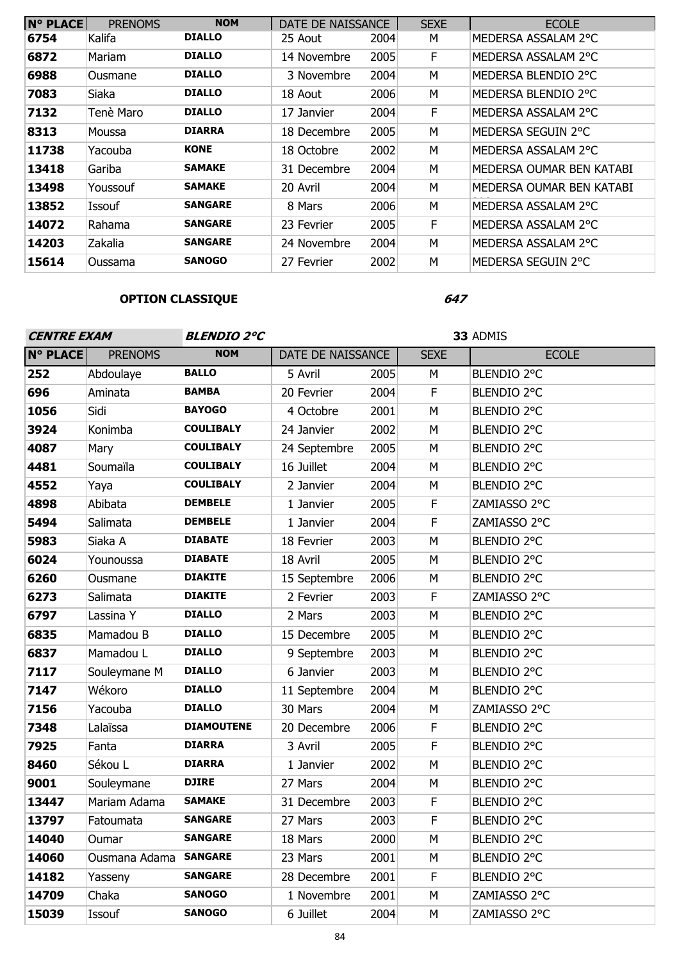| <b>N° PLACE</b> | <b>PRENOMS</b> | <b>NOM</b>     | DATE DE NAISSANCE |      | <b>SEXE</b> | <b>ECOLE</b>             |
|-----------------|----------------|----------------|-------------------|------|-------------|--------------------------|
| 6754            | Kalifa         | <b>DIALLO</b>  | 25 Aout           | 2004 | М           | MEDERSA ASSALAM 2°C      |
| 6872            | Mariam         | <b>DIALLO</b>  | 14 Novembre       | 2005 | F.          | MEDERSA ASSALAM 2°C      |
| 6988            | Ousmane        | <b>DIALLO</b>  | 3 Novembre        | 2004 | М           | MEDERSA BLENDIO 2°C      |
| 7083            | Siaka          | <b>DIALLO</b>  | 18 Aout           | 2006 | м           | MEDERSA BLENDIO 2°C      |
| 7132            | Tenè Maro      | <b>DIALLO</b>  | 17 Janvier        | 2004 | F.          | MEDERSA ASSALAM 2°C      |
| 8313            | Moussa         | <b>DIARRA</b>  | 18 Decembre       | 2005 | M           | MEDERSA SEGUIN 2°C       |
| 11738           | Yacouba        | <b>KONE</b>    | 18 Octobre        | 2002 | М           | MEDERSA ASSALAM 2°C      |
| 13418           | Gariba         | <b>SAMAKE</b>  | 31 Decembre       | 2004 | М           | MEDERSA OUMAR BEN KATABI |
| 13498           | Youssouf       | <b>SAMAKE</b>  | 20 Avril          | 2004 | M           | MEDERSA OUMAR BEN KATABI |
| 13852           | Issouf         | <b>SANGARE</b> | 8 Mars            | 2006 | M           | MEDERSA ASSALAM 2°C      |
| 14072           | Rahama         | <b>SANGARE</b> | 23 Fevrier        | 2005 | F           | MEDERSA ASSALAM 2°C      |
| 14203           | Zakalia        | <b>SANGARE</b> | 24 Novembre       | 2004 | M           | MEDERSA ASSALAM 2°C      |
| 15614           | Oussama        | <b>SANOGO</b>  | 27 Fevrier        | 2002 | M           | MEDERSA SEGUIN 2°C       |

# **OPTION CLASSIQUE**

| <b>CENTRE EXAM</b> |                | <b>BLENDIO 2°C</b> |                   |      | 33 ADMIS    |              |  |
|--------------------|----------------|--------------------|-------------------|------|-------------|--------------|--|
| <b>N° PLACE</b>    | <b>PRENOMS</b> | <b>NOM</b>         | DATE DE NAISSANCE |      | <b>SEXE</b> | <b>ECOLE</b> |  |
| 252                | Abdoulaye      | <b>BALLO</b>       | 5 Avril           | 2005 | M           | BLENDIO 2°C  |  |
| 696                | Aminata        | <b>BAMBA</b>       | 20 Fevrier        | 2004 | F           | BLENDIO 2°C  |  |
| 1056               | Sidi           | <b>BAYOGO</b>      | 4 Octobre         | 2001 | M           | BLENDIO 2°C  |  |
| 3924               | Konimba        | <b>COULIBALY</b>   | 24 Janvier        | 2002 | M           | BLENDIO 2°C  |  |
| 4087               | Mary           | <b>COULIBALY</b>   | 24 Septembre      | 2005 | M           | BLENDIO 2°C  |  |
| 4481               | Soumaïla       | <b>COULIBALY</b>   | 16 Juillet        | 2004 | M           | BLENDIO 2°C  |  |
| 4552               | Yaya           | <b>COULIBALY</b>   | 2 Janvier         | 2004 | М           | BLENDIO 2°C  |  |
| 4898               | Abibata        | <b>DEMBELE</b>     | 1 Janvier         | 2005 | F           | ZAMIASSO 2°C |  |
| 5494               | Salimata       | <b>DEMBELE</b>     | 1 Janvier         | 2004 | F           | ZAMIASSO 2°C |  |
| 5983               | Siaka A        | <b>DIABATE</b>     | 18 Fevrier        | 2003 | M           | BLENDIO 2°C  |  |
| 6024               | Younoussa      | <b>DIABATE</b>     | 18 Avril          | 2005 | M           | BLENDIO 2°C  |  |
| 6260               | Ousmane        | <b>DIAKITE</b>     | 15 Septembre      | 2006 | M           | BLENDIO 2°C  |  |
| 6273               | Salimata       | <b>DIAKITE</b>     | 2 Fevrier         | 2003 | F           | ZAMIASSO 2°C |  |
| 6797               | Lassina Y      | <b>DIALLO</b>      | 2 Mars            | 2003 | M           | BLENDIO 2°C  |  |
| 6835               | Mamadou B      | <b>DIALLO</b>      | 15 Decembre       | 2005 | M           | BLENDIO 2°C  |  |
| 6837               | Mamadou L      | <b>DIALLO</b>      | 9 Septembre       | 2003 | M           | BLENDIO 2°C  |  |
| 7117               | Souleymane M   | <b>DIALLO</b>      | 6 Janvier         | 2003 | M           | BLENDIO 2°C  |  |
| 7147               | Wékoro         | <b>DIALLO</b>      | 11 Septembre      | 2004 | M           | BLENDIO 2°C  |  |
| 7156               | Yacouba        | <b>DIALLO</b>      | 30 Mars           | 2004 | M           | ZAMIASSO 2°C |  |
| 7348               | Lalaïssa       | <b>DIAMOUTENE</b>  | 20 Decembre       | 2006 | F           | BLENDIO 2°C  |  |
| 7925               | Fanta          | <b>DIARRA</b>      | 3 Avril           | 2005 | F           | BLENDIO 2°C  |  |
| 8460               | Sékou L        | <b>DIARRA</b>      | 1 Janvier         | 2002 | M           | BLENDIO 2°C  |  |
| 9001               | Souleymane     | <b>DJIRE</b>       | 27 Mars           | 2004 | M           | BLENDIO 2°C  |  |
| 13447              | Mariam Adama   | <b>SAMAKE</b>      | 31 Decembre       | 2003 | F           | BLENDIO 2°C  |  |
| 13797              | Fatoumata      | <b>SANGARE</b>     | 27 Mars           | 2003 | F.          | BLENDIO 2°C  |  |
| 14040              | Oumar          | <b>SANGARE</b>     | 18 Mars           | 2000 | M           | BLENDIO 2°C  |  |
| 14060              | Ousmana Adama  | <b>SANGARE</b>     | 23 Mars           | 2001 | M           | BLENDIO 2°C  |  |
| 14182              | Yasseny        | <b>SANGARE</b>     | 28 Decembre       | 2001 | F           | BLENDIO 2°C  |  |
| 14709              | Chaka          | <b>SANOGO</b>      | 1 Novembre        | 2001 | M           | ZAMIASSO 2°C |  |
| 15039              | Issouf         | <b>SANOGO</b>      | 6 Juillet         | 2004 | М           | ZAMIASSO 2°C |  |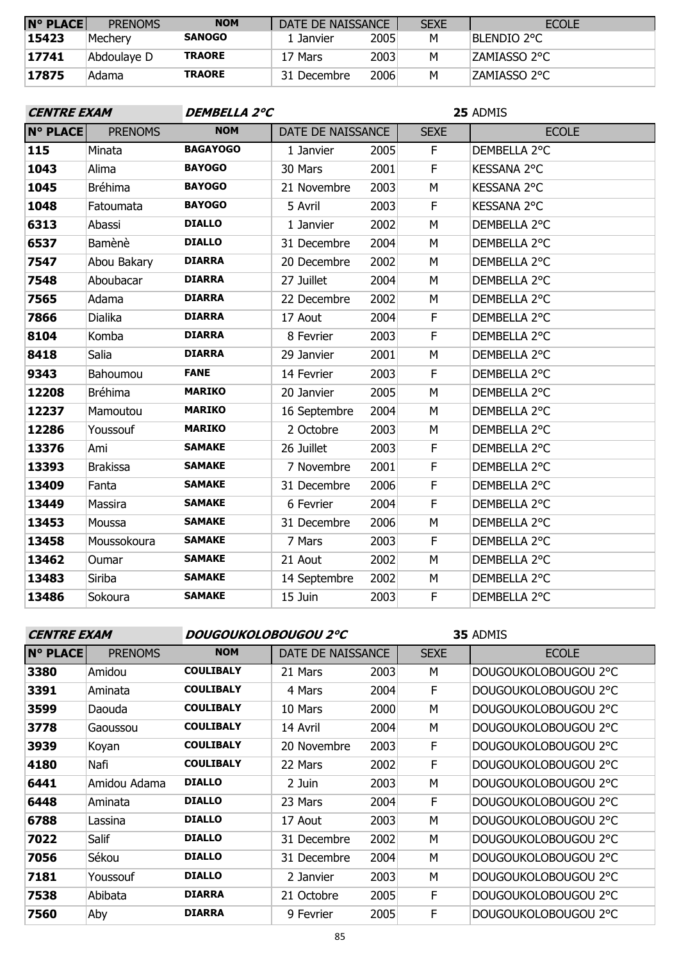| $N^{\circ}$ PLACE | <b>PRENOMS</b> | <b>NOM</b>    | DATE DE NAISSANCE |      | <b>SEXE</b> | <b>ECOLE</b>  |
|-------------------|----------------|---------------|-------------------|------|-------------|---------------|
| 15423             | Mecherv        | <b>SANOGO</b> | 1 Janvier         | 2005 | М           | Blendio 2°C   |
| 17741             | Abdoulaye D    | <b>TRAORE</b> | 17 Mars           | 2003 | м           | IZAMIASSO 2°C |
| 17875             | Adama          | <b>TRAORE</b> | 31 Decembre       | 2006 | м           | IZAMIASSO 2°C |

| <b>CENTRE EXAM</b> |                 | DEMBELLA 2°C    |                   |      | 25 ADMIS    |                    |  |
|--------------------|-----------------|-----------------|-------------------|------|-------------|--------------------|--|
| <b>N° PLACE</b>    | <b>PRENOMS</b>  | <b>NOM</b>      | DATE DE NAISSANCE |      | <b>SEXE</b> | <b>ECOLE</b>       |  |
| 115                | Minata          | <b>BAGAYOGO</b> | 1 Janvier         | 2005 | F           | DEMBELLA 2°C       |  |
| 1043               | Alima           | <b>BAYOGO</b>   | 30 Mars           | 2001 | F           | <b>KESSANA 2°C</b> |  |
| 1045               | <b>Bréhima</b>  | <b>BAYOGO</b>   | 21 Novembre       | 2003 | M           | <b>KESSANA 2°C</b> |  |
| 1048               | Fatoumata       | <b>BAYOGO</b>   | 5 Avril           | 2003 | F           | <b>KESSANA 2°C</b> |  |
| 6313               | Abassi          | <b>DIALLO</b>   | 1 Janvier         | 2002 | M           | DEMBELLA 2°C       |  |
| 6537               | Bamènè          | <b>DIALLO</b>   | 31 Decembre       | 2004 | M           | DEMBELLA 2°C       |  |
| 7547               | Abou Bakary     | <b>DIARRA</b>   | 20 Decembre       | 2002 | M           | DEMBELLA 2°C       |  |
| 7548               | Aboubacar       | <b>DIARRA</b>   | 27 Juillet        | 2004 | М           | DEMBELLA 2°C       |  |
| 7565               | Adama           | <b>DIARRA</b>   | 22 Decembre       | 2002 | M           | DEMBELLA 2°C       |  |
| 7866               | Dialika         | <b>DIARRA</b>   | 17 Aout           | 2004 | F           | DEMBELLA 2°C       |  |
| 8104               | Komba           | <b>DIARRA</b>   | 8 Fevrier         | 2003 | F.          | DEMBELLA 2°C       |  |
| 8418               | Salia           | <b>DIARRA</b>   | 29 Janvier        | 2001 | M           | DEMBELLA 2°C       |  |
| 9343               | Bahoumou        | <b>FANE</b>     | 14 Fevrier        | 2003 | F           | DEMBELLA 2°C       |  |
| 12208              | <b>Bréhima</b>  | <b>MARIKO</b>   | 20 Janvier        | 2005 | M           | DEMBELLA 2°C       |  |
| 12237              | Mamoutou        | <b>MARIKO</b>   | 16 Septembre      | 2004 | M           | DEMBELLA 2°C       |  |
| 12286              | Youssouf        | <b>MARIKO</b>   | 2 Octobre         | 2003 | M           | DEMBELLA 2°C       |  |
| 13376              | Ami             | <b>SAMAKE</b>   | 26 Juillet        | 2003 | F           | DEMBELLA 2°C       |  |
| 13393              | <b>Brakissa</b> | <b>SAMAKE</b>   | 7 Novembre        | 2001 | F           | DEMBELLA 2°C       |  |
| 13409              | Fanta           | <b>SAMAKE</b>   | 31 Decembre       | 2006 | F           | DEMBELLA 2°C       |  |
| 13449              | Massira         | <b>SAMAKE</b>   | 6 Fevrier         | 2004 | F           | DEMBELLA 2°C       |  |
| 13453              | Moussa          | <b>SAMAKE</b>   | 31 Decembre       | 2006 | M           | DEMBELLA 2°C       |  |
| 13458              | Moussokoura     | <b>SAMAKE</b>   | 7 Mars            | 2003 | F           | DEMBELLA 2°C       |  |
| 13462              | Oumar           | <b>SAMAKE</b>   | 21 Aout           | 2002 | M           | DEMBELLA 2°C       |  |
| 13483              | Siriba          | <b>SAMAKE</b>   | 14 Septembre      | 2002 | M           | DEMBELLA 2°C       |  |
| 13486              | Sokoura         | <b>SAMAKE</b>   | 15 Juin           | 2003 | F           | DEMBELLA 2°C       |  |

**CENTRE EXAM DOUGOUKOLOBOUGOU 2°C**

| <b>N° PLACE</b> | <b>PRENOMS</b> | <b>NOM</b>       | DATE DE NAISSANCE |      | <b>SEXE</b> | <b>ECOLE</b>         |
|-----------------|----------------|------------------|-------------------|------|-------------|----------------------|
| 3380            | Amidou         | <b>COULIBALY</b> | 21 Mars           | 2003 | М           | DOUGOUKOLOBOUGOU 2°C |
| 3391            | Aminata        | <b>COULIBALY</b> | 4 Mars            | 2004 | F           | DOUGOUKOLOBOUGOU 2°C |
| 3599            | Daouda         | <b>COULIBALY</b> | 10 Mars           | 2000 | M           | DOUGOUKOLOBOUGOU 2°C |
| 3778            | Gaoussou       | <b>COULIBALY</b> | 14 Avril          | 2004 | M           | DOUGOUKOLOBOUGOU 2°C |
| 3939            | Koyan          | <b>COULIBALY</b> | 20 Novembre       | 2003 | F           | DOUGOUKOLOBOUGOU 2°C |
| 4180            | Nafi           | <b>COULIBALY</b> | 22 Mars           | 2002 | F           | DOUGOUKOLOBOUGOU 2°C |
| 6441            | Amidou Adama   | <b>DIALLO</b>    | 2 Juin            | 2003 | M           | DOUGOUKOLOBOUGOU 2°C |
| 6448            | Aminata        | <b>DIALLO</b>    | 23 Mars           | 2004 | F           | DOUGOUKOLOBOUGOU 2°C |
| 6788            | Lassina        | <b>DIALLO</b>    | 17 Aout           | 2003 | M           | DOUGOUKOLOBOUGOU 2°C |
| 7022            | Salif          | <b>DIALLO</b>    | 31 Decembre       | 2002 | M           | DOUGOUKOLOBOUGOU 2°C |
| 7056            | Sékou          | <b>DIALLO</b>    | 31 Decembre       | 2004 | M           | DOUGOUKOLOBOUGOU 2°C |
| 7181            | Youssouf       | <b>DIALLO</b>    | 2 Janvier         | 2003 | M           | DOUGOUKOLOBOUGOU 2°C |
| 7538            | Abibata        | <b>DIARRA</b>    | 21 Octobre        | 2005 | F           | DOUGOUKOLOBOUGOU 2°C |
| 7560            | Aby            | <b>DIARRA</b>    | 9 Fevrier         | 2005 | F           | DOUGOUKOLOBOUGOU 2°C |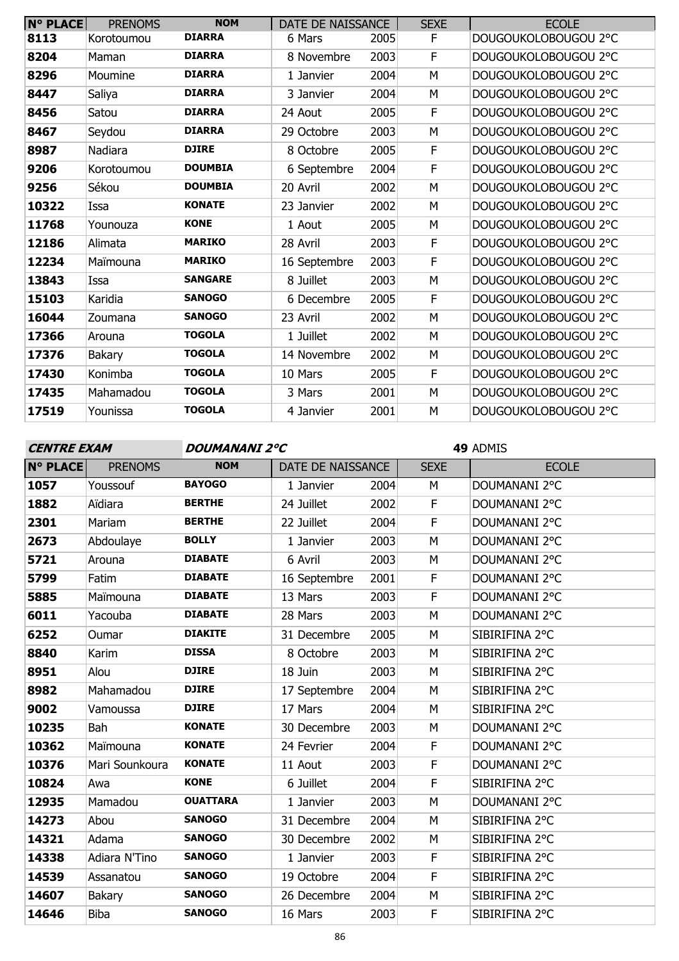| <b>N° PLACE</b> | <b>PRENOMS</b> | <b>NOM</b>     | DATE DE NAISSANCE |      | <b>SEXE</b> | <b>ECOLE</b>         |
|-----------------|----------------|----------------|-------------------|------|-------------|----------------------|
| 8113            | Korotoumou     | <b>DIARRA</b>  | 6 Mars            | 2005 | F           | DOUGOUKOLOBOUGOU 2°C |
| 8204            | Maman          | <b>DIARRA</b>  | 8 Novembre        | 2003 | F           | DOUGOUKOLOBOUGOU 2°C |
| 8296            | Moumine        | <b>DIARRA</b>  | 1 Janvier         | 2004 | M           | DOUGOUKOLOBOUGOU 2°C |
| 8447            | Saliya         | <b>DIARRA</b>  | 3 Janvier         | 2004 | M           | DOUGOUKOLOBOUGOU 2°C |
| 8456            | Satou          | <b>DIARRA</b>  | 24 Aout           | 2005 | F           | DOUGOUKOLOBOUGOU 2°C |
| 8467            | Seydou         | <b>DIARRA</b>  | 29 Octobre        | 2003 | M           | DOUGOUKOLOBOUGOU 2°C |
| 8987            | Nadiara        | <b>DJIRE</b>   | 8 Octobre         | 2005 | F           | DOUGOUKOLOBOUGOU 2°C |
| 9206            | Korotoumou     | <b>DOUMBIA</b> | 6 Septembre       | 2004 | F           | DOUGOUKOLOBOUGOU 2°C |
| 9256            | Sékou          | <b>DOUMBIA</b> | 20 Avril          | 2002 | M           | DOUGOUKOLOBOUGOU 2°C |
| 10322           | Issa           | <b>KONATE</b>  | 23 Janvier        | 2002 | M           | DOUGOUKOLOBOUGOU 2°C |
| 11768           | Younouza       | <b>KONE</b>    | 1 Aout            | 2005 | M           | DOUGOUKOLOBOUGOU 2°C |
| 12186           | Alimata        | <b>MARIKO</b>  | 28 Avril          | 2003 | F           | DOUGOUKOLOBOUGOU 2°C |
| 12234           | Maïmouna       | <b>MARIKO</b>  | 16 Septembre      | 2003 | F           | DOUGOUKOLOBOUGOU 2°C |
| 13843           | Issa           | <b>SANGARE</b> | 8 Juillet         | 2003 | M           | DOUGOUKOLOBOUGOU 2°C |
| 15103           | Karidia        | <b>SANOGO</b>  | 6 Decembre        | 2005 | F           | DOUGOUKOLOBOUGOU 2°C |
| 16044           | Zoumana        | <b>SANOGO</b>  | 23 Avril          | 2002 | M           | DOUGOUKOLOBOUGOU 2°C |
| 17366           | Arouna         | <b>TOGOLA</b>  | 1 Juillet         | 2002 | M           | DOUGOUKOLOBOUGOU 2°C |
| 17376           | <b>Bakary</b>  | <b>TOGOLA</b>  | 14 Novembre       | 2002 | M           | DOUGOUKOLOBOUGOU 2°C |
| 17430           | Konimba        | <b>TOGOLA</b>  | 10 Mars           | 2005 | F           | DOUGOUKOLOBOUGOU 2°C |
| 17435           | Mahamadou      | <b>TOGOLA</b>  | 3 Mars            | 2001 | M           | DOUGOUKOLOBOUGOU 2°C |
| 17519           | Younissa       | <b>TOGOLA</b>  | 4 Janvier         | 2001 | M           | DOUGOUKOLOBOUGOU 2°C |

**CENTRE EXAM DOUMANANI 2°C**

| <b>N° PLACE</b> | <b>PRENOMS</b> | <b>NOM</b>      | DATE DE NAISSANCE |      | <b>SEXE</b> | <b>ECOLE</b>   |
|-----------------|----------------|-----------------|-------------------|------|-------------|----------------|
| 1057            | Youssouf       | <b>BAYOGO</b>   | 1 Janvier         | 2004 | M           | DOUMANANI 2°C  |
| 1882            | Aïdiara        | <b>BERTHE</b>   | 24 Juillet        | 2002 | F           | DOUMANANI 2°C  |
| 2301            | Mariam         | <b>BERTHE</b>   | 22 Juillet        | 2004 | F           | DOUMANANI 2°C  |
| 2673            | Abdoulaye      | <b>BOLLY</b>    | 1 Janvier         | 2003 | M           | DOUMANANI 2°C  |
| 5721            | Arouna         | <b>DIABATE</b>  | 6 Avril           | 2003 | M           | DOUMANANI 2°C  |
| 5799            | Fatim          | <b>DIABATE</b>  | 16 Septembre      | 2001 | F           | DOUMANANI 2°C  |
| 5885            | Maïmouna       | <b>DIABATE</b>  | 13 Mars           | 2003 | F           | DOUMANANI 2°C  |
| 6011            | Yacouba        | <b>DIABATE</b>  | 28 Mars           | 2003 | M           | DOUMANANI 2°C  |
| 6252            | Oumar          | <b>DIAKITE</b>  | 31 Decembre       | 2005 | M           | SIBIRIFINA 2°C |
| 8840            | Karim          | <b>DISSA</b>    | 8 Octobre         | 2003 | M           | SIBIRIFINA 2°C |
| 8951            | Alou           | <b>DJIRE</b>    | 18 Juin           | 2003 | M           | SIBIRIFINA 2°C |
| 8982            | Mahamadou      | <b>DJIRE</b>    | 17 Septembre      | 2004 | M           | SIBIRIFINA 2°C |
| 9002            | Vamoussa       | <b>DJIRE</b>    | 17 Mars           | 2004 | M           | SIBIRIFINA 2°C |
| 10235           | Bah            | <b>KONATE</b>   | 30 Decembre       | 2003 | M           | DOUMANANI 2°C  |
| 10362           | Maïmouna       | <b>KONATE</b>   | 24 Fevrier        | 2004 | F           | DOUMANANI 2°C  |
| 10376           | Mari Sounkoura | <b>KONATE</b>   | 11 Aout           | 2003 | F           | DOUMANANI 2°C  |
| 10824           | Awa            | <b>KONE</b>     | 6 Juillet         | 2004 | F           | SIBIRIFINA 2°C |
| 12935           | Mamadou        | <b>OUATTARA</b> | 1 Janvier         | 2003 | M           | DOUMANANI 2°C  |
| 14273           | Abou           | <b>SANOGO</b>   | 31 Decembre       | 2004 | M           | SIBIRIFINA 2°C |
| 14321           | Adama          | <b>SANOGO</b>   | 30 Decembre       | 2002 | M           | SIBIRIFINA 2°C |
| 14338           | Adiara N'Tino  | <b>SANOGO</b>   | 1 Janvier         | 2003 | F           | SIBIRIFINA 2°C |
| 14539           | Assanatou      | <b>SANOGO</b>   | 19 Octobre        | 2004 | $\mathsf F$ | SIBIRIFINA 2°C |
| 14607           | Bakary         | <b>SANOGO</b>   | 26 Decembre       | 2004 | M           | SIBIRIFINA 2°C |
| 14646           | <b>Biba</b>    | <b>SANOGO</b>   | 16 Mars           | 2003 | F           | SIBIRIFINA 2°C |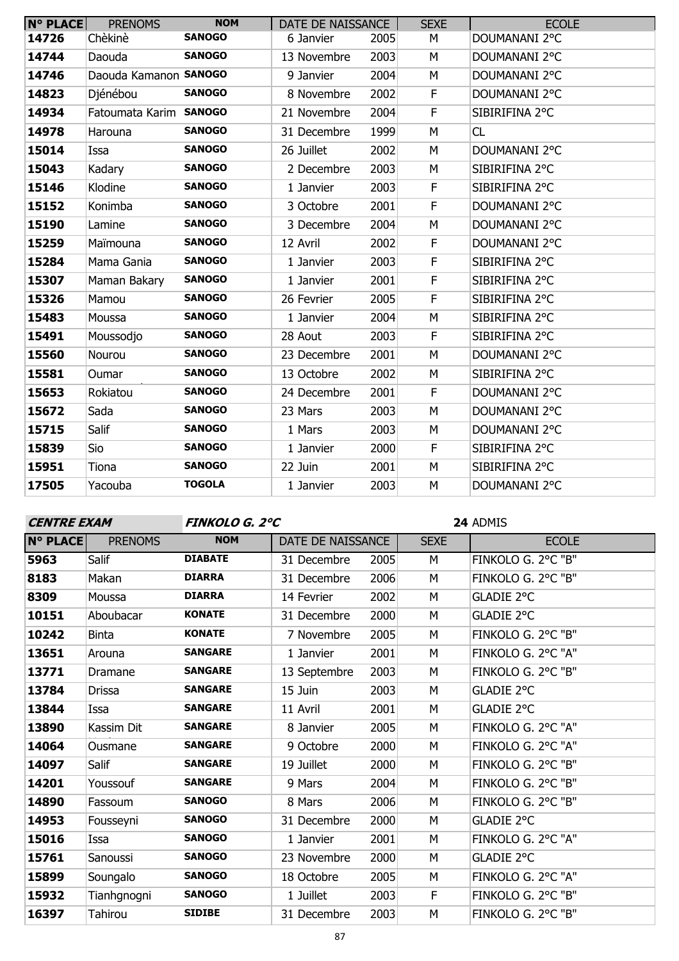| $N^{\circ}$ PLACE | <b>PRENOMS</b>         | <b>NOM</b>    | DATE DE NAISSANCE |      | <b>SEXE</b> | <b>ECOLE</b>   |
|-------------------|------------------------|---------------|-------------------|------|-------------|----------------|
| 14726             | Chèkinè                | <b>SANOGO</b> | 6 Janvier         | 2005 | М           | DOUMANANI 2°C  |
| 14744             | Daouda                 | <b>SANOGO</b> | 13 Novembre       | 2003 | М           | DOUMANANI 2°C  |
| 14746             | Daouda Kamanon SANOGO  |               | 9 Janvier         | 2004 | М           | DOUMANANI 2°C  |
| 14823             | Djénébou               | <b>SANOGO</b> | 8 Novembre        | 2002 | F.          | DOUMANANI 2°C  |
| 14934             | Fatoumata Karim SANOGO |               | 21 Novembre       | 2004 | F           | SIBIRIFINA 2°C |
| 14978             | Harouna                | <b>SANOGO</b> | 31 Decembre       | 1999 | M           | CL             |
| 15014             | Issa                   | <b>SANOGO</b> | 26 Juillet        | 2002 | M           | DOUMANANI 2°C  |
| 15043             | Kadary                 | <b>SANOGO</b> | 2 Decembre        | 2003 | М           | SIBIRIFINA 2°C |
| 15146             | Klodine                | <b>SANOGO</b> | 1 Janvier         | 2003 | F           | SIBIRIFINA 2°C |
| 15152             | Konimba                | <b>SANOGO</b> | 3 Octobre         | 2001 | F           | DOUMANANI 2°C  |
| 15190             | Lamine                 | <b>SANOGO</b> | 3 Decembre        | 2004 | M           | DOUMANANI 2°C  |
| 15259             | Maïmouna               | <b>SANOGO</b> | 12 Avril          | 2002 | F           | DOUMANANI 2°C  |
| 15284             | Mama Gania             | <b>SANOGO</b> | 1 Janvier         | 2003 | F           | SIBIRIFINA 2°C |
| 15307             | Maman Bakary           | <b>SANOGO</b> | 1 Janvier         | 2001 | $\mathsf F$ | SIBIRIFINA 2°C |
| 15326             | Mamou                  | <b>SANOGO</b> | 26 Fevrier        | 2005 | F           | SIBIRIFINA 2°C |
| 15483             | Moussa                 | <b>SANOGO</b> | 1 Janvier         | 2004 | M           | SIBIRIFINA 2°C |
| 15491             | Moussodjo              | <b>SANOGO</b> | 28 Aout           | 2003 | F           | SIBIRIFINA 2°C |
| 15560             | Nourou                 | <b>SANOGO</b> | 23 Decembre       | 2001 | M           | DOUMANANI 2°C  |
| 15581             | Oumar                  | <b>SANOGO</b> | 13 Octobre        | 2002 | M           | SIBIRIFINA 2°C |
| 15653             | Rokiatou               | <b>SANOGO</b> | 24 Decembre       | 2001 | F           | DOUMANANI 2°C  |
| 15672             | Sada                   | <b>SANOGO</b> | 23 Mars           | 2003 | M           | DOUMANANI 2°C  |
| 15715             | Salif                  | <b>SANOGO</b> | 1 Mars            | 2003 | М           | DOUMANANI 2°C  |
| 15839             | Sio                    | <b>SANOGO</b> | 1 Janvier         | 2000 | $\mathsf F$ | SIBIRIFINA 2°C |
| 15951             | Tiona                  | <b>SANOGO</b> | 22 Juin           | 2001 | М           | SIBIRIFINA 2°C |
| 17505             | Yacouba                | <b>TOGOLA</b> | 1 Janvier         | 2003 | M           | DOUMANANI 2°C  |

| <b>CENTRE EXAM</b> |                |                | <b>FINKOLO G. 2°C</b> |      |             | 24 ADMIS           |
|--------------------|----------------|----------------|-----------------------|------|-------------|--------------------|
| <b>N° PLACE</b>    | <b>PRENOMS</b> | <b>NOM</b>     | DATE DE NAISSANCE     |      | <b>SEXE</b> | <b>ECOLE</b>       |
| 5963               | Salif          | <b>DIABATE</b> | 31 Decembre           | 2005 | M           | FINKOLO G. 2°C "B" |
| 8183               | Makan          | <b>DIARRA</b>  | 31 Decembre           | 2006 | М           | FINKOLO G. 2°C "B" |
| 8309               | Moussa         | <b>DIARRA</b>  | 14 Fevrier            | 2002 | M           | GLADIE 2°C         |
| 10151              | Aboubacar      | <b>KONATE</b>  | 31 Decembre           | 2000 | М           | <b>GLADIE 2°C</b>  |
| 10242              | <b>Binta</b>   | <b>KONATE</b>  | 7 Novembre            | 2005 | М           | FINKOLO G. 2°C "B" |
| 13651              | Arouna         | <b>SANGARE</b> | 1 Janvier             | 2001 | M           | FINKOLO G. 2°C "A" |
| 13771              | Dramane        | <b>SANGARE</b> | 13 Septembre          | 2003 | M           | FINKOLO G. 2°C "B" |
| 13784              | <b>Drissa</b>  | <b>SANGARE</b> | 15 Juin               | 2003 | M           | GLADIE 2°C         |
| 13844              | Issa           | <b>SANGARE</b> | 11 Avril              | 2001 | М           | GLADIE 2°C         |
| 13890              | Kassim Dit     | <b>SANGARE</b> | 8 Janvier             | 2005 | M           | FINKOLO G. 2°C "A" |
| 14064              | Ousmane        | <b>SANGARE</b> | 9 Octobre             | 2000 | М           | FINKOLO G. 2°C "A" |
| 14097              | Salif          | <b>SANGARE</b> | 19 Juillet            | 2000 | M           | FINKOLO G. 2°C "B" |
| 14201              | Youssouf       | <b>SANGARE</b> | 9 Mars                | 2004 | M           | FINKOLO G. 2°C "B" |
| 14890              | Fassoum        | <b>SANOGO</b>  | 8 Mars                | 2006 | M           | FINKOLO G. 2°C "B" |
| 14953              | Fousseyni      | <b>SANOGO</b>  | 31 Decembre           | 2000 | M           | GLADIE 2°C         |
| 15016              | Issa           | <b>SANOGO</b>  | 1 Janvier             | 2001 | M           | FINKOLO G. 2°C "A" |
| 15761              | Sanoussi       | <b>SANOGO</b>  | 23 Novembre           | 2000 | М           | GLADIE 2°C         |
| 15899              | Soungalo       | <b>SANOGO</b>  | 18 Octobre            | 2005 | М           | FINKOLO G. 2°C "A" |
| 15932              | Tianhgnogni    | <b>SANOGO</b>  | 1 Juillet             | 2003 | F           | FINKOLO G. 2°C "B" |
| 16397              | Tahirou        | <b>SIDIBE</b>  | 31 Decembre           | 2003 | M           | FINKOLO G. 2°C "B" |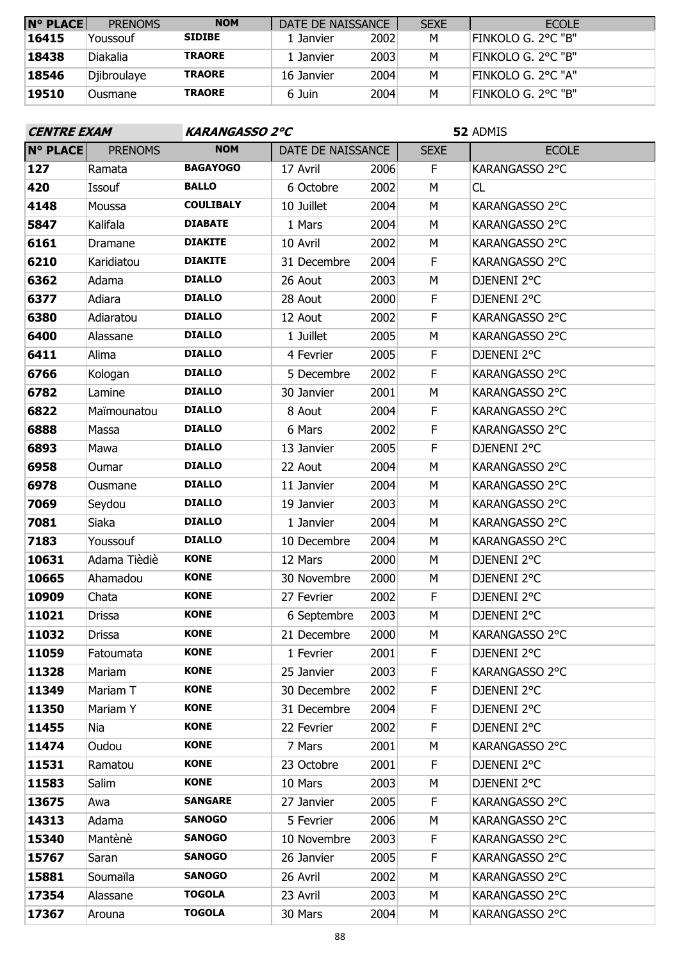| <b>N° PLACE</b> | <b>PRENOMS</b> | <b>NOM</b>    | DATE DE NAISSANCE |      | <b>SEXE</b> | <b>ECOLE</b>              |
|-----------------|----------------|---------------|-------------------|------|-------------|---------------------------|
| 16415           | Youssouf       | <b>SIDIBE</b> | 1 Janvier         | 2002 | M           | <b>FINKOLO G. 2°C "B"</b> |
| 18438           | Diakalia       | <b>TRAORE</b> | 1 Janvier         | 2003 | М           | FINKOLO G. 2°C "B"        |
| 18546           | Djibroulaye    | <b>TRAORE</b> | 16 Janvier        | 2004 | м           | FINKOLO G. 2°C "A"        |
| 19510           | Ousmane        | <b>TRAORE</b> | 6 Juin            | 2004 | м           | ifinkolo G. 2°C "B"       |

| <b>CENTRE EXAM</b> |                |                  | <b>KARANGASSO 2°C</b> |      |             | 52 ADMIS       |  |  |
|--------------------|----------------|------------------|-----------------------|------|-------------|----------------|--|--|
| N° PLACE           | <b>PRENOMS</b> | <b>NOM</b>       | DATE DE NAISSANCE     |      | <b>SEXE</b> | <b>ECOLE</b>   |  |  |
| 127                | Ramata         | <b>BAGAYOGO</b>  | 17 Avril              | 2006 | F           | KARANGASSO 2°C |  |  |
| 420                | Issouf         | <b>BALLO</b>     | 6 Octobre             | 2002 | M           | CL             |  |  |
| 4148               | Moussa         | <b>COULIBALY</b> | 10 Juillet            | 2004 | M           | KARANGASSO 2°C |  |  |
| 5847               | Kalifala       | <b>DIABATE</b>   | 1 Mars                | 2004 | М           | KARANGASSO 2°C |  |  |
| 6161               | Dramane        | <b>DIAKITE</b>   | 10 Avril              | 2002 | M           | KARANGASSO 2°C |  |  |
| 6210               | Karidiatou     | <b>DIAKITE</b>   | 31 Decembre           | 2004 | F           | KARANGASSO 2°C |  |  |
| 6362               | Adama          | <b>DIALLO</b>    | 26 Aout               | 2003 | M           | DJENENI 2°C    |  |  |
| 6377               | Adiara         | <b>DIALLO</b>    | 28 Aout               | 2000 | F           | DJENENI 2°C    |  |  |
| 6380               | Adiaratou      | <b>DIALLO</b>    | 12 Aout               | 2002 | F           | KARANGASSO 2°C |  |  |
| 6400               | Alassane       | <b>DIALLO</b>    | 1 Juillet             | 2005 | M           | KARANGASSO 2°C |  |  |
| 6411               | Alima          | <b>DIALLO</b>    | 4 Fevrier             | 2005 | F           | DJENENI 2°C    |  |  |
| 6766               | Kologan        | <b>DIALLO</b>    | 5 Decembre            | 2002 | $\mathsf F$ | KARANGASSO 2°C |  |  |
| 6782               | Lamine         | <b>DIALLO</b>    | 30 Janvier            | 2001 | M           | KARANGASSO 2°C |  |  |
| 6822               | Maïmounatou    | <b>DIALLO</b>    | 8 Aout                | 2004 | F           | KARANGASSO 2°C |  |  |
| 6888               | Massa          | <b>DIALLO</b>    | 6 Mars                | 2002 | F           | KARANGASSO 2°C |  |  |
| 6893               | Mawa           | <b>DIALLO</b>    | 13 Janvier            | 2005 | $\mathsf F$ | DJENENI 2°C    |  |  |
| 6958               | Oumar          | <b>DIALLO</b>    | 22 Aout               | 2004 | M           | KARANGASSO 2°C |  |  |
| 6978               | Ousmane        | <b>DIALLO</b>    | 11 Janvier            | 2004 | М           | KARANGASSO 2°C |  |  |
| 7069               | Seydou         | <b>DIALLO</b>    | 19 Janvier            | 2003 | М           | KARANGASSO 2°C |  |  |
| 7081               | Siaka          | <b>DIALLO</b>    | 1 Janvier             | 2004 | М           | KARANGASSO 2°C |  |  |
| 7183               | Youssouf       | <b>DIALLO</b>    | 10 Decembre           | 2004 | М           | KARANGASSO 2°C |  |  |
| 10631              | Adama Tièdiè   | <b>KONE</b>      | 12 Mars               | 2000 | М           | DJENENI 2°C    |  |  |
| 10665              | Ahamadou       | <b>KONE</b>      | 30 Novembre           | 2000 | М           | DJENENI 2°C    |  |  |
| 10909              | Chata          | <b>KONE</b>      | 27 Fevrier            | 2002 | F           | DJENENI 2°C    |  |  |
| 11021              | Drissa         | <b>KONE</b>      | 6 Septembre           | 2003 | М           | DJENENI 2°C    |  |  |
| 11032              | Drissa         | <b>KONE</b>      | 21 Decembre           | 2000 | M           | KARANGASSO 2°C |  |  |
| 11059              | Fatoumata      | <b>KONE</b>      | 1 Fevrier             | 2001 | F.          | DJENENI 2°C    |  |  |
| 11328              | Mariam         | <b>KONE</b>      | 25 Janvier            | 2003 | F.          | KARANGASSO 2°C |  |  |
| 11349              | Mariam T       | <b>KONE</b>      | 30 Decembre           | 2002 | F           | DJENENI 2°C    |  |  |
| 11350              | Mariam Y       | <b>KONE</b>      | 31 Decembre           | 2004 | F           | DJENENI 2°C    |  |  |
| 11455              | Nia            | <b>KONE</b>      | 22 Fevrier            | 2002 | F           | DJENENI 2°C    |  |  |
| 11474              | Oudou          | <b>KONE</b>      | 7 Mars                | 2001 | М           | KARANGASSO 2°C |  |  |
| 11531              | Ramatou        | <b>KONE</b>      | 23 Octobre            | 2001 | F           | DJENENI 2°C    |  |  |
| 11583              | Salim          | <b>KONE</b>      | 10 Mars               | 2003 | М           | DJENENI 2°C    |  |  |
| 13675              | Awa            | <b>SANGARE</b>   | 27 Janvier            | 2005 | F           | KARANGASSO 2°C |  |  |
| 14313              | Adama          | <b>SANOGO</b>    | 5 Fevrier             | 2006 | М           | KARANGASSO 2°C |  |  |
| 15340              | Mantènè        | <b>SANOGO</b>    | 10 Novembre           | 2003 | F           | KARANGASSO 2°C |  |  |
| 15767              | Saran          | <b>SANOGO</b>    | 26 Janvier            | 2005 | F           | KARANGASSO 2°C |  |  |
| 15881              | Soumaïla       | <b>SANOGO</b>    | 26 Avril              | 2002 | М           | KARANGASSO 2°C |  |  |
| 17354              | Alassane       | <b>TOGOLA</b>    | 23 Avril              | 2003 | М           | KARANGASSO 2°C |  |  |
| 17367              | Arouna         | <b>TOGOLA</b>    | 30 Mars               | 2004 | М           | KARANGASSO 2°C |  |  |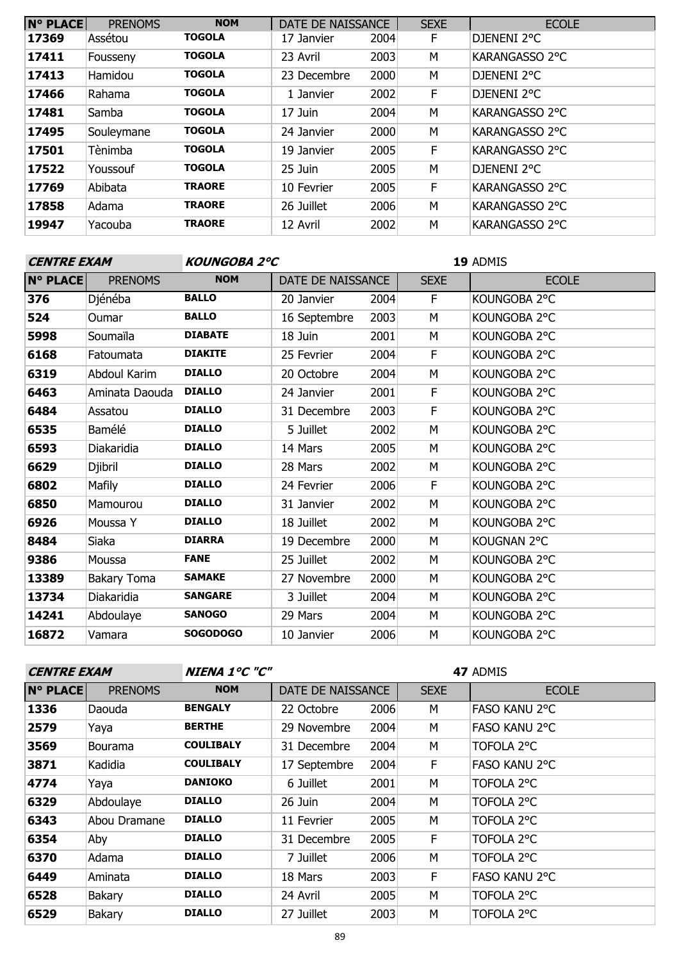| <b>N° PLACE</b> | <b>PRENOMS</b> | <b>NOM</b>    | DATE DE NAISSANCE |      | <b>SEXE</b> | <b>ECOLE</b>          |
|-----------------|----------------|---------------|-------------------|------|-------------|-----------------------|
| 17369           | Assétou        | <b>TOGOLA</b> | 17 Janvier        | 2004 | F           | DJENENI 2°C           |
| 17411           | Fousseny       | <b>TOGOLA</b> | 23 Avril          | 2003 | M           | KARANGASSO 2°C        |
| 17413           | Hamidou        | <b>TOGOLA</b> | 23 Decembre       | 2000 | M           | DJENENI 2°C           |
| 17466           | Rahama         | <b>TOGOLA</b> | 1 Janvier         | 2002 | F           | DJENENI 2°C           |
| 17481           | Samba          | <b>TOGOLA</b> | 17 Juin           | 2004 | M           | KARANGASSO 2°C        |
| 17495           | Souleymane     | <b>TOGOLA</b> | 24 Janvier        | 2000 | M           | KARANGASSO 2°C        |
| 17501           | Tènimba        | <b>TOGOLA</b> | 19 Janvier        | 2005 | F           | <b>KARANGASSO 2°C</b> |
| 17522           | Youssouf       | <b>TOGOLA</b> | 25 Juin           | 2005 | M           | DJENENI 2°C           |
| 17769           | Abibata        | <b>TRAORE</b> | 10 Fevrier        | 2005 | F           | KARANGASSO 2°C        |
| 17858           | Adama          | <b>TRAORE</b> | 26 Juillet        | 2006 | M           | KARANGASSO 2°C        |
| 19947           | Yacouba        | <b>TRAORE</b> | 12 Avril          | 2002 | M           | KARANGASSO 2°C        |

| <b>CENTRE EXAM</b>                |                 |              |      | 19 ADMIS          |              |  |
|-----------------------------------|-----------------|--------------|------|-------------------|--------------|--|
| <b>N° PLACE</b><br><b>PRENOMS</b> | <b>NOM</b>      |              |      | <b>SEXE</b>       | <b>ECOLE</b> |  |
| Djénéba                           | <b>BALLO</b>    | 20 Janvier   | 2004 | F.                | KOUNGOBA 2°C |  |
| Oumar                             | <b>BALLO</b>    | 16 Septembre | 2003 | M                 | KOUNGOBA 2°C |  |
| Soumaïla                          | <b>DIABATE</b>  | 18 Juin      | 2001 | М                 | KOUNGOBA 2°C |  |
| Fatoumata                         | <b>DIAKITE</b>  | 25 Fevrier   | 2004 | F                 | KOUNGOBA 2°C |  |
| Abdoul Karim                      | <b>DIALLO</b>   | 20 Octobre   | 2004 | М                 | KOUNGOBA 2°C |  |
| Aminata Daouda                    | <b>DIALLO</b>   | 24 Janvier   | 2001 | F                 | KOUNGOBA 2°C |  |
| Assatou                           | <b>DIALLO</b>   | 31 Decembre  | 2003 | F                 | KOUNGOBA 2°C |  |
| Bamélé                            | <b>DIALLO</b>   | 5 Juillet    | 2002 | М                 | KOUNGOBA 2°C |  |
| Diakaridia                        | <b>DIALLO</b>   | 14 Mars      | 2005 | M                 | KOUNGOBA 2°C |  |
| Djibril                           | <b>DIALLO</b>   | 28 Mars      | 2002 | М                 | KOUNGOBA 2°C |  |
| Mafily                            | <b>DIALLO</b>   | 24 Fevrier   | 2006 | F                 | KOUNGOBA 2°C |  |
| Mamourou                          | <b>DIALLO</b>   | 31 Janvier   | 2002 | M                 | KOUNGOBA 2°C |  |
| Moussa Y                          | <b>DIALLO</b>   | 18 Juillet   | 2002 | M                 | KOUNGOBA 2°C |  |
| Siaka                             | <b>DIARRA</b>   | 19 Decembre  | 2000 | M                 | KOUGNAN 2°C  |  |
| Moussa                            | <b>FANE</b>     | 25 Juillet   | 2002 | М                 | KOUNGOBA 2°C |  |
| Bakary Toma                       | <b>SAMAKE</b>   | 27 Novembre  | 2000 | M                 | KOUNGOBA 2°C |  |
| Diakaridia                        | <b>SANGARE</b>  | 3 Juillet    | 2004 | M                 | KOUNGOBA 2°C |  |
| Abdoulaye                         | <b>SANOGO</b>   | 29 Mars      | 2004 | М                 | KOUNGOBA 2°C |  |
| Vamara                            | <b>SOGODOGO</b> | 10 Janvier   | 2006 | M                 | KOUNGOBA 2°C |  |
|                                   |                 |              |      | DATE DE NAISSANCE | KOUNGOBA 2°C |  |

| <b>CENTRE EXAM</b> |                | <b>NIENA 1°C "C"</b> |                   |      |             | 47 ADMIS             |
|--------------------|----------------|----------------------|-------------------|------|-------------|----------------------|
| <b>N° PLACE</b>    | <b>PRENOMS</b> | <b>NOM</b>           | DATE DE NAISSANCE |      | <b>SEXE</b> | <b>ECOLE</b>         |
| 1336               | Daouda         | <b>BENGALY</b>       | 22 Octobre        | 2006 | M           | <b>FASO KANU 2°C</b> |
| 2579               | Yaya           | <b>BERTHE</b>        | 29 Novembre       | 2004 | M           | <b>FASO KANU 2°C</b> |
| 3569               | <b>Bourama</b> | <b>COULIBALY</b>     | 31 Decembre       | 2004 | M           | TOFOLA 2°C           |
| 3871               | Kadidia        | <b>COULIBALY</b>     | 17 Septembre      | 2004 | F.          | <b>FASO KANU 2°C</b> |
| 4774               | Yaya           | <b>DANIOKO</b>       | 6 Juillet         | 2001 | M           | TOFOLA 2°C           |
| 6329               | Abdoulaye      | <b>DIALLO</b>        | 26 Juin           | 2004 | M           | TOFOLA 2°C           |
| 6343               | Abou Dramane   | <b>DIALLO</b>        | 11 Fevrier        | 2005 | М           | TOFOLA 2°C           |
| 6354               | Aby            | <b>DIALLO</b>        | 31 Decembre       | 2005 | F           | TOFOLA 2°C           |
| 6370               | Adama          | <b>DIALLO</b>        | 7 Juillet         | 2006 | M           | TOFOLA 2°C           |
| 6449               | Aminata        | <b>DIALLO</b>        | 18 Mars           | 2003 | F           | FASO KANU 2°C        |
| 6528               | Bakary         | <b>DIALLO</b>        | 24 Avril          | 2005 | м           | TOFOLA 2°C           |
| 6529               | <b>Bakary</b>  | <b>DIALLO</b>        | 27 Juillet        | 2003 | M           | TOFOLA 2°C           |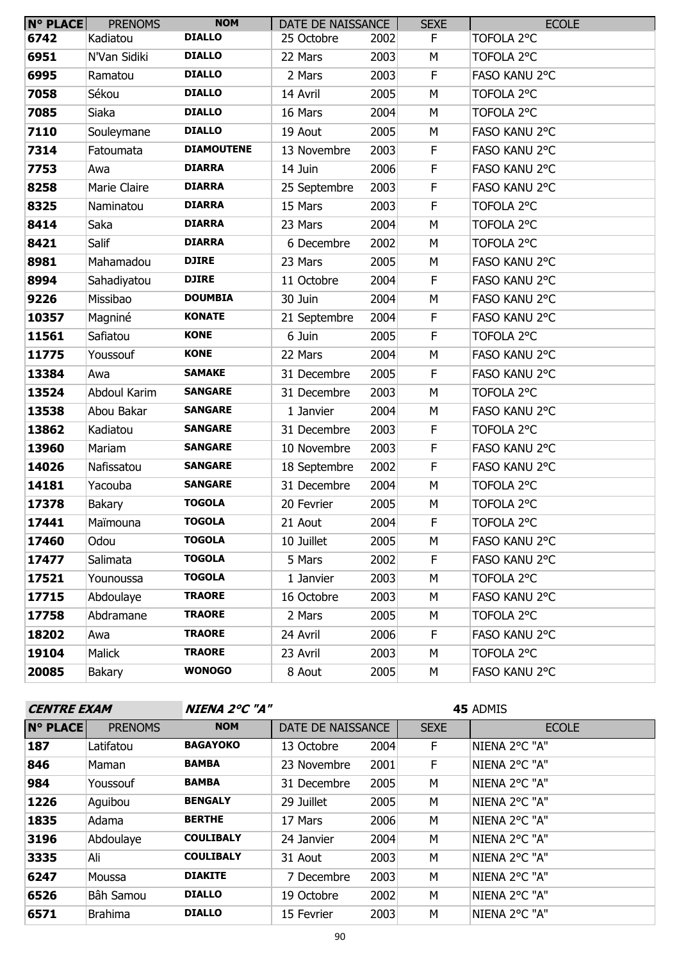| <b>N° PLACE</b> | <b>PRENOMS</b> | <b>NOM</b>        | DATE DE NAISSANCE |      | <b>SEXE</b> | <b>ECOLE</b>  |
|-----------------|----------------|-------------------|-------------------|------|-------------|---------------|
| 6742            | Kadiatou       | <b>DIALLO</b>     | 25 Octobre        | 2002 | F.          | TOFOLA 2°C    |
| 6951            | N'Van Sidiki   | <b>DIALLO</b>     | 22 Mars           | 2003 | М           | TOFOLA 2°C    |
| 6995            | Ramatou        | <b>DIALLO</b>     | 2 Mars            | 2003 | $\mathsf F$ | FASO KANU 2°C |
| 7058            | Sékou          | <b>DIALLO</b>     | 14 Avril          | 2005 | M           | TOFOLA 2°C    |
| 7085            | Siaka          | <b>DIALLO</b>     | 16 Mars           | 2004 | М           | TOFOLA 2°C    |
| 7110            | Souleymane     | <b>DIALLO</b>     | 19 Aout           | 2005 | M           | FASO KANU 2°C |
| 7314            | Fatoumata      | <b>DIAMOUTENE</b> | 13 Novembre       | 2003 | F           | FASO KANU 2°C |
| 7753            | Awa            | <b>DIARRA</b>     | 14 Juin           | 2006 | F           | FASO KANU 2°C |
| 8258            | Marie Claire   | <b>DIARRA</b>     | 25 Septembre      | 2003 | F           | FASO KANU 2°C |
| 8325            | Naminatou      | <b>DIARRA</b>     | 15 Mars           | 2003 | $\mathsf F$ | TOFOLA 2°C    |
| 8414            | Saka           | <b>DIARRA</b>     | 23 Mars           | 2004 | M           | TOFOLA 2°C    |
| 8421            | Salif          | <b>DIARRA</b>     | 6 Decembre        | 2002 | М           | TOFOLA 2°C    |
| 8981            | Mahamadou      | <b>DJIRE</b>      | 23 Mars           | 2005 | М           | FASO KANU 2°C |
| 8994            | Sahadiyatou    | <b>DJIRE</b>      | 11 Octobre        | 2004 | F           | FASO KANU 2°C |
| 9226            | Missibao       | <b>DOUMBIA</b>    | 30 Juin           | 2004 | M           | FASO KANU 2°C |
| 10357           | Magniné        | <b>KONATE</b>     | 21 Septembre      | 2004 | F           | FASO KANU 2°C |
| 11561           | Safiatou       | <b>KONE</b>       | 6 Juin            | 2005 | $\mathsf F$ | TOFOLA 2°C    |
| 11775           | Youssouf       | <b>KONE</b>       | 22 Mars           | 2004 | M           | FASO KANU 2°C |
| 13384           | Awa            | <b>SAMAKE</b>     | 31 Decembre       | 2005 | F           | FASO KANU 2°C |
| 13524           | Abdoul Karim   | <b>SANGARE</b>    | 31 Decembre       | 2003 | М           | TOFOLA 2°C    |
| 13538           | Abou Bakar     | <b>SANGARE</b>    | 1 Janvier         | 2004 | M           | FASO KANU 2°C |
| 13862           | Kadiatou       | <b>SANGARE</b>    | 31 Decembre       | 2003 | F           | TOFOLA 2°C    |
| 13960           | Mariam         | <b>SANGARE</b>    | 10 Novembre       | 2003 | F           | FASO KANU 2°C |
| 14026           | Nafissatou     | <b>SANGARE</b>    | 18 Septembre      | 2002 | $\mathsf F$ | FASO KANU 2°C |
| 14181           | Yacouba        | <b>SANGARE</b>    | 31 Decembre       | 2004 | M           | TOFOLA 2°C    |
| 17378           | Bakary         | <b>TOGOLA</b>     | 20 Fevrier        | 2005 | M           | TOFOLA 2°C    |
| 17441           | Maïmouna       | <b>TOGOLA</b>     | 21 Aout           | 2004 | F           | TOFOLA 2°C    |
| 17460           | Odou           | <b>TOGOLA</b>     | 10 Juillet        | 2005 | М           | FASO KANU 2°C |
| 17477           | Salimata       | <b>TOGOLA</b>     | 5 Mars            | 2002 | F.          | FASO KANU 2°C |
| 17521           | Younoussa      | <b>TOGOLA</b>     | 1 Janvier         | 2003 | М           | TOFOLA 2°C    |
| 17715           | Abdoulaye      | <b>TRAORE</b>     | 16 Octobre        | 2003 | М           | FASO KANU 2°C |
| 17758           | Abdramane      | <b>TRAORE</b>     | 2 Mars            | 2005 | М           | TOFOLA 2°C    |
| 18202           | Awa            | <b>TRAORE</b>     | 24 Avril          | 2006 | F.          | FASO KANU 2°C |
| 19104           | Malick         | <b>TRAORE</b>     | 23 Avril          | 2003 | М           | TOFOLA 2°C    |
| 20085           | Bakary         | <b>WONOGO</b>     | 8 Aout            | 2005 | М           | FASO KANU 2°C |

| <b>CENTRE EXAM</b> |                | <b>NIENA 2°C "A"</b> |                   |      | 45 ADMIS    |               |  |
|--------------------|----------------|----------------------|-------------------|------|-------------|---------------|--|
| <b>N° PLACE</b>    | <b>PRENOMS</b> | <b>NOM</b>           | DATE DE NAISSANCE |      | <b>SEXE</b> | <b>ECOLE</b>  |  |
| 187                | Latifatou      | <b>BAGAYOKO</b>      | 13 Octobre        | 2004 | F           | NIENA 2°C "A" |  |
| 846                | Maman          | <b>BAMBA</b>         | 23 Novembre       | 2001 | F.          | NIENA 2°C "A" |  |
| 984                | Youssouf       | <b>BAMBA</b>         | 31 Decembre       | 2005 | M           | NIENA 2°C "A" |  |
| 1226               | Aguibou        | <b>BENGALY</b>       | 29 Juillet        | 2005 | M           | NIENA 2°C "A" |  |
| 1835               | Adama          | <b>BERTHE</b>        | 17 Mars           | 2006 | М           | NIENA 2°C "A" |  |
| 3196               | Abdoulaye      | <b>COULIBALY</b>     | 24 Janvier        | 2004 | M           | NIENA 2°C "A" |  |
| 3335               | Ali            | <b>COULIBALY</b>     | 31 Aout           | 2003 | M           | NIENA 2°C "A" |  |
| 6247               | Moussa         | <b>DIAKITE</b>       | 7 Decembre        | 2003 | м           | NIENA 2°C "A" |  |
| 6526               | Bâh Samou      | <b>DIALLO</b>        | 19 Octobre        | 2002 | M           | NIENA 2°C "A" |  |
| 6571               | <b>Brahima</b> | <b>DIALLO</b>        | 15 Fevrier        | 2003 | M           | NIENA 2°C "A" |  |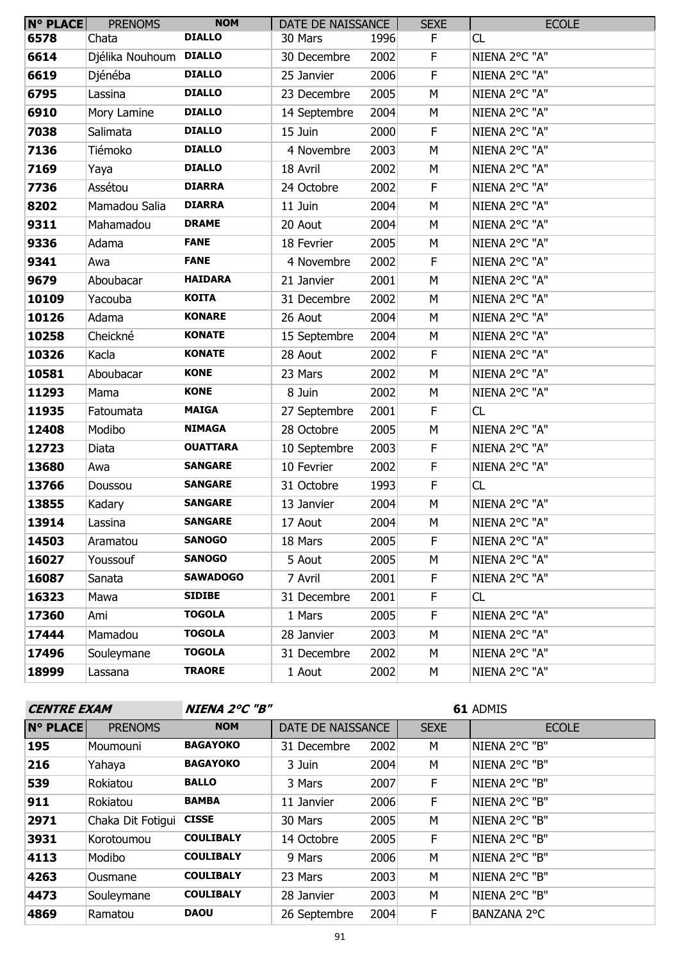| <b>N° PLACE</b> | <b>PRENOMS</b>         | <b>NOM</b>      | DATE DE NAISSANCE |      | <b>SEXE</b> | <b>ECOLE</b>  |
|-----------------|------------------------|-----------------|-------------------|------|-------------|---------------|
| 6578            | Chata                  | <b>DIALLO</b>   | 30 Mars           | 1996 | F.          | CL            |
| 6614            | Djélika Nouhoum DIALLO |                 | 30 Decembre       | 2002 | F           | NIENA 2°C "A" |
| 6619            | Djénéba                | <b>DIALLO</b>   | 25 Janvier        | 2006 | $\mathsf F$ | NIENA 2°C "A" |
| 6795            | Lassina                | <b>DIALLO</b>   | 23 Decembre       | 2005 | M           | NIENA 2°C "A" |
| 6910            | Mory Lamine            | <b>DIALLO</b>   | 14 Septembre      | 2004 | M           | NIENA 2°C "A" |
| 7038            | Salimata               | <b>DIALLO</b>   | 15 Juin           | 2000 | F.          | NIENA 2°C "A" |
| 7136            | Tiémoko                | <b>DIALLO</b>   | 4 Novembre        | 2003 | M           | NIENA 2°C "A" |
| 7169            | Yaya                   | <b>DIALLO</b>   | 18 Avril          | 2002 | M           | NIENA 2°C "A" |
| 7736            | Assétou                | <b>DIARRA</b>   | 24 Octobre        | 2002 | F           | NIENA 2°C "A" |
| 8202            | Mamadou Salia          | <b>DIARRA</b>   | 11 Juin           | 2004 | M           | NIENA 2°C "A" |
| 9311            | Mahamadou              | <b>DRAME</b>    | 20 Aout           | 2004 | M           | NIENA 2°C "A" |
| 9336            | Adama                  | <b>FANE</b>     | 18 Fevrier        | 2005 | M           | NIENA 2°C "A" |
| 9341            | Awa                    | <b>FANE</b>     | 4 Novembre        | 2002 | F.          | NIENA 2°C "A" |
| 9679            | Aboubacar              | <b>HAIDARA</b>  | 21 Janvier        | 2001 | M           | NIENA 2°C "A" |
| 10109           | Yacouba                | <b>KOITA</b>    | 31 Decembre       | 2002 | M           | NIENA 2°C "A" |
| 10126           | Adama                  | <b>KONARE</b>   | 26 Aout           | 2004 | M           | NIENA 2°C "A" |
| 10258           | Cheickné               | <b>KONATE</b>   | 15 Septembre      | 2004 | M           | NIENA 2°C "A" |
| 10326           | Kacla                  | <b>KONATE</b>   | 28 Aout           | 2002 | $\mathsf F$ | NIENA 2°C "A" |
| 10581           | Aboubacar              | <b>KONE</b>     | 23 Mars           | 2002 | M           | NIENA 2°C "A" |
| 11293           | Mama                   | <b>KONE</b>     | 8 Juin            | 2002 | М           | NIENA 2°C "A" |
| 11935           | Fatoumata              | <b>MAIGA</b>    | 27 Septembre      | 2001 | $\mathsf F$ | CL            |
| 12408           | Modibo                 | <b>NIMAGA</b>   | 28 Octobre        | 2005 | M           | NIENA 2°C "A" |
| 12723           | Diata                  | <b>OUATTARA</b> | 10 Septembre      | 2003 | F           | NIENA 2°C "A" |
| 13680           | Awa                    | <b>SANGARE</b>  | 10 Fevrier        | 2002 | F           | NIENA 2°C "A" |
| 13766           | Doussou                | <b>SANGARE</b>  | 31 Octobre        | 1993 | $\mathsf F$ | CL            |
| 13855           | Kadary                 | <b>SANGARE</b>  | 13 Janvier        | 2004 | M           | NIENA 2°C "A" |
| 13914           | Lassina                | <b>SANGARE</b>  | 17 Aout           | 2004 | М           | NIENA 2°C "A" |
| 14503           | Aramatou               | <b>SANOGO</b>   | 18 Mars           | 2005 | F.          | NIENA 2°C "A" |
| 16027           | Youssouf               | <b>SANOGO</b>   | 5 Aout            | 2005 | М           | NIENA 2°C "A" |
| 16087           | Sanata                 | <b>SAWADOGO</b> | 7 Avril           | 2001 | F           | NIENA 2°C "A" |
| 16323           | Mawa                   | <b>SIDIBE</b>   | 31 Decembre       | 2001 | F.          | CL            |
| 17360           | Ami                    | <b>TOGOLA</b>   | 1 Mars            | 2005 | F           | NIENA 2°C "A" |
| 17444           | Mamadou                | <b>TOGOLA</b>   | 28 Janvier        | 2003 | М           | NIENA 2°C "A" |
| 17496           | Souleymane             | <b>TOGOLA</b>   | 31 Decembre       | 2002 | М           | NIENA 2°C "A" |
| 18999           | Lassana                | <b>TRAORE</b>   | 1 Aout            | 2002 | М           | NIENA 2°C "A" |

| <b>CENTRE EXAM</b> |                   | <b>NIENA 2°C "B"</b> |                   |      | 61 ADMIS    |               |  |
|--------------------|-------------------|----------------------|-------------------|------|-------------|---------------|--|
| <b>N° PLACE</b>    | <b>PRENOMS</b>    | <b>NOM</b>           | DATE DE NAISSANCE |      | <b>SEXE</b> | <b>ECOLE</b>  |  |
| 195                | Moumouni          | <b>BAGAYOKO</b>      | 31 Decembre       | 2002 | М           | NIENA 2°C "B" |  |
| 216                | Yahaya            | <b>BAGAYOKO</b>      | 3 Juin            | 2004 | M           | NIENA 2°C "B" |  |
| 539                | Rokiatou          | <b>BALLO</b>         | 3 Mars            | 2007 | F           | NIENA 2°C "B" |  |
| 911                | Rokiatou          | <b>BAMBA</b>         | 11 Janvier        | 2006 | F           | NIENA 2°C "B" |  |
| 2971               | Chaka Dit Fotigui | <b>CISSE</b>         | 30 Mars           | 2005 | M           | NIENA 2°C "B" |  |
| 3931               | Korotoumou        | <b>COULIBALY</b>     | 14 Octobre        | 2005 | F           | NIENA 2°C "B" |  |
| 4113               | Modibo            | <b>COULIBALY</b>     | 9 Mars            | 2006 | M           | NIENA 2°C "B" |  |
| 4263               | Ousmane           | <b>COULIBALY</b>     | 23 Mars           | 2003 | M           | NIENA 2°C "B" |  |
| 4473               | Souleymane        | <b>COULIBALY</b>     | 28 Janvier        | 2003 | M           | NIENA 2°C "B" |  |
| 4869               | Ramatou           | <b>DAOU</b>          | 26 Septembre      | 2004 | F           | BANZANA 2°C   |  |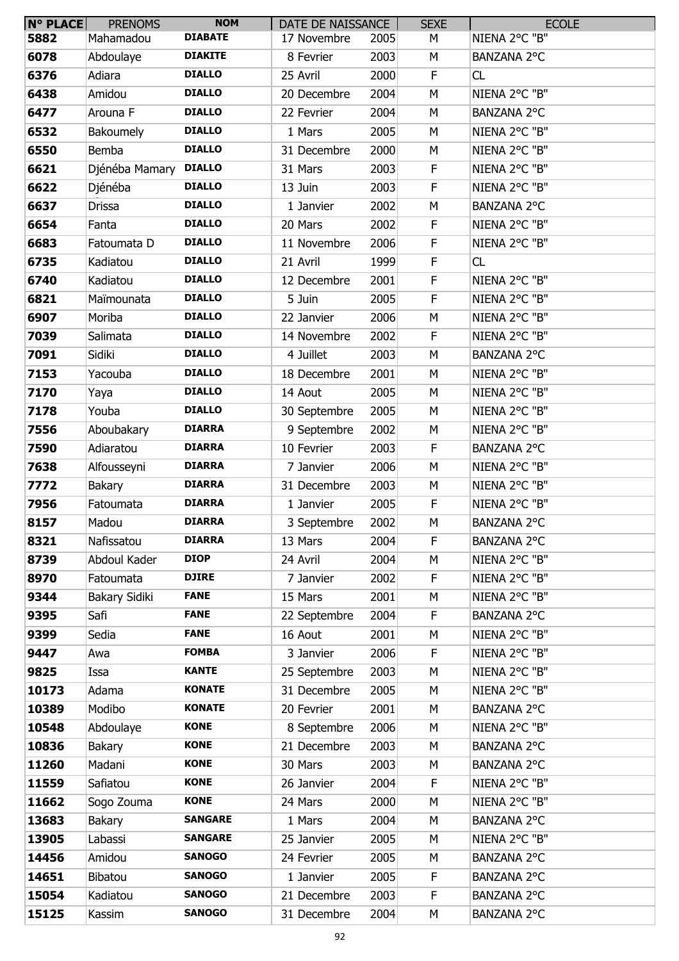| $N^{\circ}$ PLACE | <b>PRENOMS</b>       | <b>NOM</b>     | DATE DE NAISSANCE |      | <b>SEXE</b> | <b>ECOLE</b>  |
|-------------------|----------------------|----------------|-------------------|------|-------------|---------------|
| 5882              | Mahamadou            | <b>DIABATE</b> | 17 Novembre       | 2005 | М           | NIENA 2°C "B" |
| 6078              | Abdoulaye            | <b>DIAKITE</b> | 8 Fevrier         | 2003 | М           | BANZANA 2°C   |
| 6376              | Adiara               | <b>DIALLO</b>  | 25 Avril          | 2000 | F           | CL            |
| 6438              | Amidou               | <b>DIALLO</b>  | 20 Decembre       | 2004 | M           | NIENA 2°C "B" |
| 6477              | Arouna F             | <b>DIALLO</b>  | 22 Fevrier        | 2004 | M           | BANZANA 2°C   |
| 6532              | Bakoumely            | <b>DIALLO</b>  | 1 Mars            | 2005 | M           | NIENA 2°C "B" |
| 6550              | Bemba                | <b>DIALLO</b>  | 31 Decembre       | 2000 | M           | NIENA 2°C "B" |
| 6621              | Djénéba Mamary       | <b>DIALLO</b>  | 31 Mars           | 2003 | F           | NIENA 2°C "B" |
| 6622              | Djénéba              | <b>DIALLO</b>  | 13 Juin           | 2003 | F           | NIENA 2°C "B" |
| 6637              | Drissa               | <b>DIALLO</b>  | 1 Janvier         | 2002 | M           | BANZANA 2°C   |
| 6654              | Fanta                | <b>DIALLO</b>  | 20 Mars           | 2002 | F           | NIENA 2°C "B" |
| 6683              | Fatoumata D          | <b>DIALLO</b>  | 11 Novembre       | 2006 | F           | NIENA 2°C "B" |
| 6735              | Kadiatou             | <b>DIALLO</b>  | 21 Avril          | 1999 | F           | CL            |
| 6740              | Kadiatou             | <b>DIALLO</b>  | 12 Decembre       | 2001 | F           | NIENA 2°C "B" |
| 6821              | Maïmounata           | <b>DIALLO</b>  | 5 Juin            | 2005 | F           | NIENA 2°C "B" |
| 6907              | Moriba               | <b>DIALLO</b>  | 22 Janvier        | 2006 | M           | NIENA 2°C "B" |
| 7039              | Salimata             | <b>DIALLO</b>  | 14 Novembre       | 2002 | F           | NIENA 2°C "B" |
| 7091              | Sidiki               | <b>DIALLO</b>  | 4 Juillet         | 2003 | M           | BANZANA 2°C   |
| 7153              | Yacouba              | <b>DIALLO</b>  | 18 Decembre       | 2001 | М           | NIENA 2°C "B" |
| 7170              | Yaya                 | <b>DIALLO</b>  | 14 Aout           | 2005 | M           | NIENA 2°C "B" |
| 7178              | Youba                | <b>DIALLO</b>  | 30 Septembre      | 2005 | M           | NIENA 2°C "B" |
| 7556              | Aboubakary           | <b>DIARRA</b>  | 9 Septembre       | 2002 | M           | NIENA 2°C "B" |
| 7590              | Adiaratou            | <b>DIARRA</b>  | 10 Fevrier        | 2003 | F.          | BANZANA 2°C   |
| 7638              | Alfousseyni          | <b>DIARRA</b>  | 7 Janvier         | 2006 | M           | NIENA 2°C "B" |
| 7772              | <b>Bakary</b>        | <b>DIARRA</b>  | 31 Decembre       | 2003 | M           | NIENA 2°C "B" |
| 7956              | Fatoumata            | <b>DIARRA</b>  | 1 Janvier         | 2005 | F           | NIENA 2°C "B" |
| 8157              | Madou                | <b>DIARRA</b>  | 3 Septembre       | 2002 | M           | BANZANA 2°C   |
| 8321              | Nafissatou           | <b>DIARRA</b>  | 13 Mars           | 2004 | F           | BANZANA 2°C   |
| 8739              | Abdoul Kader         | <b>DIOP</b>    | 24 Avril          | 2004 | M           | NIENA 2°C "B" |
| 8970              | Fatoumata            | <b>DJIRE</b>   | 7 Janvier         | 2002 | F.          | NIENA 2°C "B" |
| 9344              | <b>Bakary Sidiki</b> | <b>FANE</b>    | 15 Mars           | 2001 | M           | NIENA 2°C "B" |
| 9395              | Safi                 | <b>FANE</b>    | 22 Septembre      | 2004 | F.          | BANZANA 2°C   |
| 9399              | Sedia                | <b>FANE</b>    | 16 Aout           | 2001 | М           | NIENA 2°C "B" |
| 9447              | Awa                  | <b>FOMBA</b>   | 3 Janvier         | 2006 | F           | NIENA 2°C "B" |
| 9825              | Issa                 | <b>KANTE</b>   | 25 Septembre      | 2003 | M           | NIENA 2°C "B" |
| 10173             | Adama                | <b>KONATE</b>  | 31 Decembre       | 2005 | М           | NIENA 2°C "B" |
| 10389             | Modibo               | <b>KONATE</b>  | 20 Fevrier        | 2001 | М           | BANZANA 2°C   |
| 10548             | Abdoulaye            | <b>KONE</b>    | 8 Septembre       | 2006 | M           | NIENA 2°C "B" |
| 10836             | Bakary               | <b>KONE</b>    | 21 Decembre       | 2003 | M           | BANZANA 2°C   |
| 11260             | Madani               | <b>KONE</b>    | 30 Mars           | 2003 | M           | BANZANA 2°C   |
| 11559             | Safiatou             | <b>KONE</b>    | 26 Janvier        | 2004 | F           | NIENA 2°C "B" |
| 11662             | Sogo Zouma           | <b>KONE</b>    | 24 Mars           | 2000 | M           | NIENA 2°C "B" |
| 13683             | Bakary               | <b>SANGARE</b> | 1 Mars            | 2004 | M           | BANZANA 2°C   |
| 13905             | Labassi              | <b>SANGARE</b> | 25 Janvier        | 2005 | М           | NIENA 2°C "B" |
| 14456             | Amidou               | <b>SANOGO</b>  | 24 Fevrier        | 2005 | M           | BANZANA 2°C   |
| 14651             | Bibatou              | <b>SANOGO</b>  | 1 Janvier         | 2005 | F           | BANZANA 2°C   |
| 15054             | Kadiatou             | <b>SANOGO</b>  | 21 Decembre       | 2003 | F           | BANZANA 2°C   |
| 15125             | Kassim               | <b>SANOGO</b>  | 31 Decembre       | 2004 | М           | BANZANA 2°C   |
|                   |                      |                |                   |      |             |               |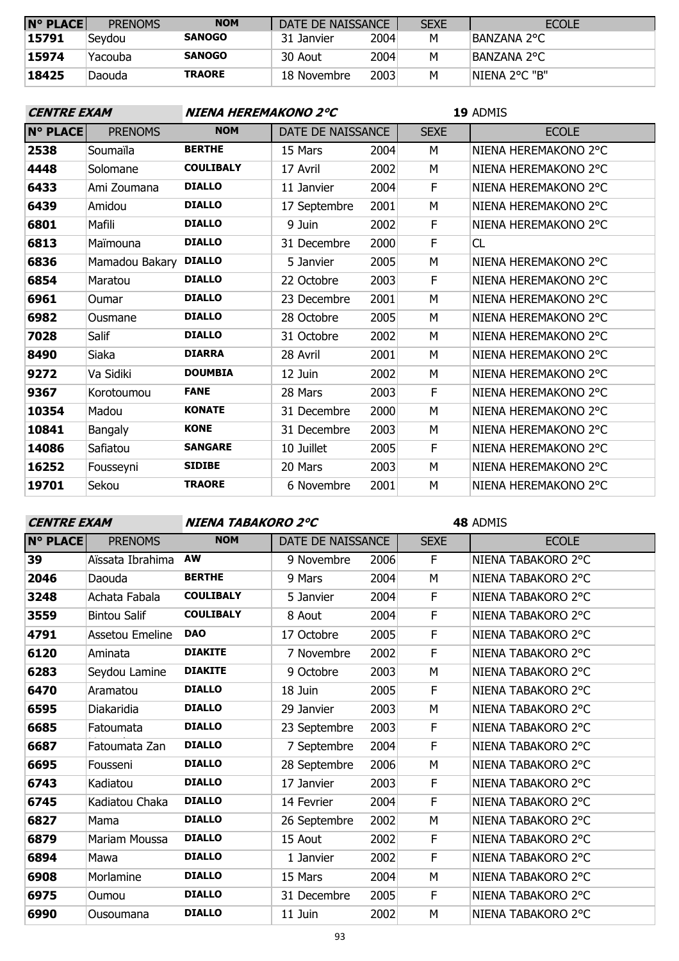| <b>N° PLACE</b> | <b>PRENOMS</b> | <b>NOM</b>    | DATE DE NAISSANCE |      | <b>SEXE</b> | <b>ECOLE</b>  |
|-----------------|----------------|---------------|-------------------|------|-------------|---------------|
| 15791           | Sevdou         | <b>SANOGO</b> | 31 Janvier        | 2004 | M           | BANZANA 2°C   |
| 15974           | Yacouba        | <b>SANOGO</b> | 30 Aout           | 2004 | М           | IBANZANA 2°C  |
| 18425           | Daouda         | <b>TRAORE</b> | 18 Novembre       | 2003 | М           | NIENA 2°C "B" |

| <b>CENTRE EXAM</b> |                | NIENA HEREMAKONO 2°C |                   |      | 19 ADMIS    |                      |  |
|--------------------|----------------|----------------------|-------------------|------|-------------|----------------------|--|
| <b>N° PLACE</b>    | <b>PRENOMS</b> | <b>NOM</b>           | DATE DE NAISSANCE |      | <b>SEXE</b> | <b>ECOLE</b>         |  |
| 2538               | Soumaïla       | <b>BERTHE</b>        | 15 Mars           | 2004 | М           | NIENA HEREMAKONO 2°C |  |
| 4448               | Solomane       | <b>COULIBALY</b>     | 17 Avril          | 2002 | M           | NIENA HEREMAKONO 2°C |  |
| 6433               | Ami Zoumana    | <b>DIALLO</b>        | 11 Janvier        | 2004 | F.          | NIENA HEREMAKONO 2°C |  |
| 6439               | Amidou         | <b>DIALLO</b>        | 17 Septembre      | 2001 | M           | NIENA HEREMAKONO 2°C |  |
| 6801               | Mafili         | <b>DIALLO</b>        | 9 Juin            | 2002 | F           | NIENA HEREMAKONO 2°C |  |
| 6813               | Maïmouna       | <b>DIALLO</b>        | 31 Decembre       | 2000 | F.          | <b>CL</b>            |  |
| 6836               | Mamadou Bakary | <b>DIALLO</b>        | 5 Janvier         | 2005 | M           | NIENA HEREMAKONO 2°C |  |
| 6854               | Maratou        | <b>DIALLO</b>        | 22 Octobre        | 2003 | F           | NIENA HEREMAKONO 2°C |  |
| 6961               | Oumar          | <b>DIALLO</b>        | 23 Decembre       | 2001 | м           | NIENA HEREMAKONO 2°C |  |
| 6982               | Ousmane        | <b>DIALLO</b>        | 28 Octobre        | 2005 | M           | NIENA HEREMAKONO 2°C |  |
| 7028               | Salif          | <b>DIALLO</b>        | 31 Octobre        | 2002 | М           | NIENA HEREMAKONO 2°C |  |
| 8490               | Siaka          | <b>DIARRA</b>        | 28 Avril          | 2001 | M           | NIENA HEREMAKONO 2°C |  |
| 9272               | Va Sidiki      | <b>DOUMBIA</b>       | 12 Juin           | 2002 | М           | NIENA HEREMAKONO 2°C |  |
| 9367               | Korotoumou     | <b>FANE</b>          | 28 Mars           | 2003 | E           | NIENA HEREMAKONO 2°C |  |
| 10354              | Madou          | <b>KONATE</b>        | 31 Decembre       | 2000 | M           | NIENA HEREMAKONO 2°C |  |
| 10841              | <b>Bangaly</b> | <b>KONE</b>          | 31 Decembre       | 2003 | М           | NIENA HEREMAKONO 2°C |  |
| 14086              | Safiatou       | <b>SANGARE</b>       | 10 Juillet        | 2005 | F           | NIENA HEREMAKONO 2°C |  |
| 16252              | Fousseyni      | <b>SIDIBE</b>        | 20 Mars           | 2003 | М           | NIENA HEREMAKONO 2°C |  |
| 19701              | Sekou          | <b>TRAORE</b>        | 6 Novembre        | 2001 | M           | NIENA HEREMAKONO 2°C |  |

**CENTRE EXAM NIENA TABAKORO 2°C**

| $N^{\circ}$ PLACE | <b>PRENOMS</b>       | <b>NOM</b>       | DATE DE NAISSANCE |      | <b>SEXE</b> | <b>ECOLE</b>       |
|-------------------|----------------------|------------------|-------------------|------|-------------|--------------------|
| 39                | Aïssata Ibrahima     | <b>AW</b>        | 9 Novembre        | 2006 | F           | NIENA TABAKORO 2°C |
| 2046              | Daouda               | <b>BERTHE</b>    | 9 Mars            | 2004 | M           | NIENA TABAKORO 2°C |
| 3248              | Achata Fabala        | <b>COULIBALY</b> | 5 Janvier         | 2004 | F           | NIENA TABAKORO 2°C |
| 3559              | <b>Bintou Salif</b>  | <b>COULIBALY</b> | 8 Aout            | 2004 | F           | NIENA TABAKORO 2°C |
| 4791              | Assetou Emeline      | <b>DAO</b>       | 17 Octobre        | 2005 | F           | NIENA TABAKORO 2°C |
| 6120              | Aminata              | <b>DIAKITE</b>   | 7 Novembre        | 2002 | F           | NIENA TABAKORO 2°C |
| 6283              | Seydou Lamine        | <b>DIAKITE</b>   | 9 Octobre         | 2003 | М           | NIENA TABAKORO 2°C |
| 6470              | Aramatou             | <b>DIALLO</b>    | 18 Juin           | 2005 | F           | NIENA TABAKORO 2°C |
| 6595              | Diakaridia           | <b>DIALLO</b>    | 29 Janvier        | 2003 | M           | NIENA TABAKORO 2°C |
| 6685              | Fatoumata            | <b>DIALLO</b>    | 23 Septembre      | 2003 | F           | NIENA TABAKORO 2°C |
| 6687              | Fatoumata Zan        | <b>DIALLO</b>    | 7 Septembre       | 2004 | F           | NIENA TABAKORO 2°C |
| 6695              | Fousseni             | <b>DIALLO</b>    | 28 Septembre      | 2006 | M           | NIENA TABAKORO 2°C |
| 6743              | Kadiatou             | <b>DIALLO</b>    | 17 Janvier        | 2003 | F           | NIENA TABAKORO 2°C |
| 6745              | Kadiatou Chaka       | <b>DIALLO</b>    | 14 Fevrier        | 2004 | F           | NIENA TABAKORO 2°C |
| 6827              | Mama                 | <b>DIALLO</b>    | 26 Septembre      | 2002 | М           | NIENA TABAKORO 2°C |
| 6879              | <b>Mariam Moussa</b> | <b>DIALLO</b>    | 15 Aout           | 2002 | F           | NIENA TABAKORO 2°C |
| 6894              | Mawa                 | <b>DIALLO</b>    | 1 Janvier         | 2002 | F           | NIENA TABAKORO 2°C |
| 6908              | Morlamine            | <b>DIALLO</b>    | 15 Mars           | 2004 | М           | NIENA TABAKORO 2°C |
| 6975              | Oumou                | <b>DIALLO</b>    | 31 Decembre       | 2005 | F           | NIENA TABAKORO 2°C |
| 6990              | Ousoumana            | <b>DIALLO</b>    | 11 Juin           | 2002 | М           | NIENA TABAKORO 2°C |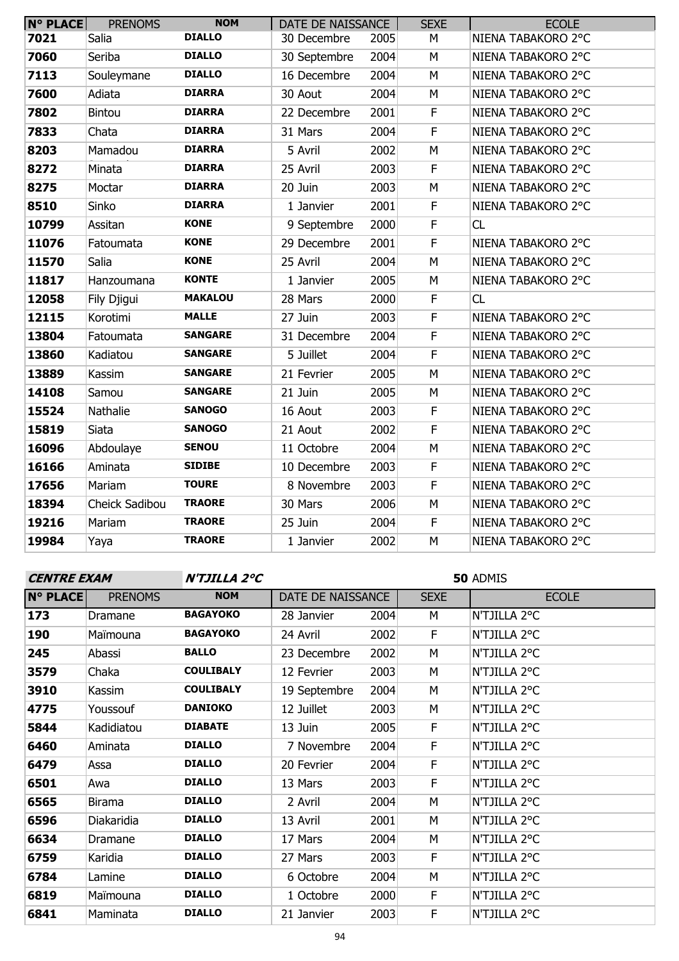| <b>N° PLACE</b> | <b>PRENOMS</b> | <b>NOM</b>     | DATE DE NAISSANCE |      | <b>SEXE</b>             | <b>ECOLE</b>       |
|-----------------|----------------|----------------|-------------------|------|-------------------------|--------------------|
| 7021            | Salia          | <b>DIALLO</b>  | 30 Decembre       | 2005 | M                       | NIENA TABAKORO 2°C |
| 7060            | Seriba         | <b>DIALLO</b>  | 30 Septembre      | 2004 | M                       | NIENA TABAKORO 2°C |
| 7113            | Souleymane     | <b>DIALLO</b>  | 16 Decembre       | 2004 | M                       | NIENA TABAKORO 2°C |
| 7600            | Adiata         | <b>DIARRA</b>  | 30 Aout           | 2004 | M                       | NIENA TABAKORO 2°C |
| 7802            | <b>Bintou</b>  | <b>DIARRA</b>  | 22 Decembre       | 2001 | $\mathsf F$             | NIENA TABAKORO 2°C |
| 7833            | Chata          | <b>DIARRA</b>  | 31 Mars           | 2004 | F                       | NIENA TABAKORO 2°C |
| 8203            | Mamadou        | <b>DIARRA</b>  | 5 Avril           | 2002 | M                       | NIENA TABAKORO 2°C |
| 8272            | Minata         | <b>DIARRA</b>  | 25 Avril          | 2003 | $\mathsf F$             | NIENA TABAKORO 2°C |
| 8275            | Moctar         | <b>DIARRA</b>  | 20 Juin           | 2003 | M                       | NIENA TABAKORO 2°C |
| 8510            | Sinko          | <b>DIARRA</b>  | 1 Janvier         | 2001 | F                       | NIENA TABAKORO 2°C |
| 10799           | Assitan        | <b>KONE</b>    | 9 Septembre       | 2000 | $\mathsf F$             | CL                 |
| 11076           | Fatoumata      | <b>KONE</b>    | 29 Decembre       | 2001 | F                       | NIENA TABAKORO 2°C |
| 11570           | Salia          | <b>KONE</b>    | 25 Avril          | 2004 | M                       | NIENA TABAKORO 2°C |
| 11817           | Hanzoumana     | <b>KONTE</b>   | 1 Janvier         | 2005 | M                       | NIENA TABAKORO 2°C |
| 12058           | Fily Djigui    | <b>MAKALOU</b> | 28 Mars           | 2000 | F                       | CL                 |
| 12115           | Korotimi       | <b>MALLE</b>   | 27 Juin           | 2003 | $\mathsf F$             | NIENA TABAKORO 2°C |
| 13804           | Fatoumata      | <b>SANGARE</b> | 31 Decembre       | 2004 | $\overline{\mathsf{F}}$ | NIENA TABAKORO 2°C |
| 13860           | Kadiatou       | <b>SANGARE</b> | 5 Juillet         | 2004 | $\mathsf F$             | NIENA TABAKORO 2°C |
| 13889           | Kassim         | <b>SANGARE</b> | 21 Fevrier        | 2005 | M                       | NIENA TABAKORO 2°C |
| 14108           | Samou          | <b>SANGARE</b> | 21 Juin           | 2005 | M                       | NIENA TABAKORO 2°C |
| 15524           | Nathalie       | <b>SANOGO</b>  | 16 Aout           | 2003 | $\mathsf F$             | NIENA TABAKORO 2°C |
| 15819           | Siata          | <b>SANOGO</b>  | 21 Aout           | 2002 | $\mathsf F$             | NIENA TABAKORO 2°C |
| 16096           | Abdoulaye      | <b>SENOU</b>   | 11 Octobre        | 2004 | M                       | NIENA TABAKORO 2°C |
| 16166           | Aminata        | <b>SIDIBE</b>  | 10 Decembre       | 2003 | F                       | NIENA TABAKORO 2°C |
| 17656           | Mariam         | <b>TOURE</b>   | 8 Novembre        | 2003 | $\mathsf F$             | NIENA TABAKORO 2°C |
| 18394           | Cheick Sadibou | <b>TRAORE</b>  | 30 Mars           | 2006 | M                       | NIENA TABAKORO 2°C |
| 19216           | Mariam         | <b>TRAORE</b>  | 25 Juin           | 2004 | $\mathsf F$             | NIENA TABAKORO 2°C |
| 19984           | Yaya           | <b>TRAORE</b>  | 1 Janvier         | 2002 | M                       | NIENA TABAKORO 2°C |

### **CENTRE EXAM N'TJILLA 2°C**

| <b>N° PLACE</b> | <b>PRENOMS</b> | <b>NOM</b>       | DATE DE NAISSANCE |      | <b>SEXE</b> | <b>ECOLE</b> |
|-----------------|----------------|------------------|-------------------|------|-------------|--------------|
| 173             | Dramane        | <b>BAGAYOKO</b>  | 28 Janvier        | 2004 | М           | N'TJILLA 2°C |
| 190             | Maïmouna       | <b>BAGAYOKO</b>  | 24 Avril          | 2002 | F.          | N'TJILLA 2°C |
| 245             | Abassi         | <b>BALLO</b>     | 23 Decembre       | 2002 | M           | N'TJILLA 2°C |
| 3579            | Chaka          | <b>COULIBALY</b> | 12 Fevrier        | 2003 | M           | N'TJILLA 2°C |
| 3910            | Kassim         | <b>COULIBALY</b> | 19 Septembre      | 2004 | M           | N'TJILLA 2°C |
| 4775            | Youssouf       | <b>DANIOKO</b>   | 12 Juillet        | 2003 | M           | N'TJILLA 2°C |
| 5844            | Kadidiatou     | <b>DIABATE</b>   | 13 Juin           | 2005 | F           | N'TJILLA 2°C |
| 6460            | Aminata        | <b>DIALLO</b>    | 7 Novembre        | 2004 | F           | N'TJILLA 2°C |
| 6479            | Assa           | <b>DIALLO</b>    | 20 Fevrier        | 2004 | F           | N'TJILLA 2°C |
| 6501            | Awa            | <b>DIALLO</b>    | 13 Mars           | 2003 | F           | N'TJILLA 2°C |
| 6565            | <b>Birama</b>  | <b>DIALLO</b>    | 2 Avril           | 2004 | M           | N'TJILLA 2°C |
| 6596            | Diakaridia     | <b>DIALLO</b>    | 13 Avril          | 2001 | M           | N'TJILLA 2°C |
| 6634            | Dramane        | <b>DIALLO</b>    | 17 Mars           | 2004 | M           | N'TJILLA 2°C |
| 6759            | Karidia        | <b>DIALLO</b>    | 27 Mars           | 2003 | F           | N'TJILLA 2°C |
| 6784            | Lamine         | <b>DIALLO</b>    | 6 Octobre         | 2004 | M           | N'TJILLA 2°C |
| 6819            | Maïmouna       | <b>DIALLO</b>    | 1 Octobre         | 2000 | F           | N'TJILLA 2°C |
| 6841            | Maminata       | <b>DIALLO</b>    | 21 Janvier        | 2003 | F           | N'TJILLA 2°C |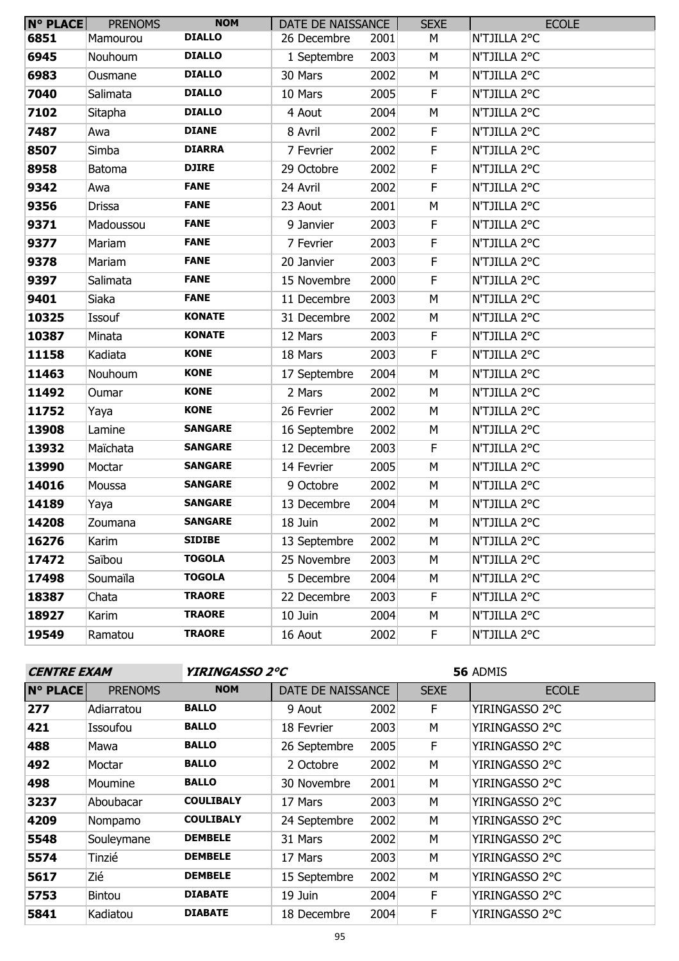| <b>N° PLACE</b> | <b>PRENOMS</b> | <b>NOM</b>     | DATE DE NAISSANCE |      | <b>SEXE</b> | <b>ECOLE</b> |
|-----------------|----------------|----------------|-------------------|------|-------------|--------------|
| 6851            | Mamourou       | <b>DIALLO</b>  | 26 Decembre       | 2001 | М           | N'TJILLA 2°C |
| 6945            | Nouhoum        | <b>DIALLO</b>  | 1 Septembre       | 2003 | М           | N'TJILLA 2°C |
| 6983            | Ousmane        | <b>DIALLO</b>  | 30 Mars           | 2002 | M           | N'TJILLA 2°C |
| 7040            | Salimata       | <b>DIALLO</b>  | 10 Mars           | 2005 | F           | N'TJILLA 2°C |
| 7102            | Sitapha        | <b>DIALLO</b>  | 4 Aout            | 2004 | M           | N'TJILLA 2°C |
| 7487            | Awa            | <b>DIANE</b>   | 8 Avril           | 2002 | F           | N'TJILLA 2°C |
| 8507            | Simba          | <b>DIARRA</b>  | 7 Fevrier         | 2002 | $\mathsf F$ | N'TJILLA 2°C |
| 8958            | <b>Batoma</b>  | <b>DJIRE</b>   | 29 Octobre        | 2002 | $\mathsf F$ | N'TJILLA 2°C |
| 9342            | Awa            | <b>FANE</b>    | 24 Avril          | 2002 | $\mathsf F$ | N'TJILLA 2°C |
| 9356            | <b>Drissa</b>  | <b>FANE</b>    | 23 Aout           | 2001 | M           | N'TJILLA 2°C |
| 9371            | Madoussou      | <b>FANE</b>    | 9 Janvier         | 2003 | $\mathsf F$ | N'TJILLA 2°C |
| 9377            | Mariam         | <b>FANE</b>    | 7 Fevrier         | 2003 | $\mathsf F$ | N'TJILLA 2°C |
| 9378            | Mariam         | <b>FANE</b>    | 20 Janvier        | 2003 | $\mathsf F$ | N'TJILLA 2°C |
| 9397            | Salimata       | <b>FANE</b>    | 15 Novembre       | 2000 | $\mathsf F$ | N'TJILLA 2°C |
| 9401            | Siaka          | <b>FANE</b>    | 11 Decembre       | 2003 | M           | N'TJILLA 2°C |
| 10325           | Issouf         | <b>KONATE</b>  | 31 Decembre       | 2002 | M           | N'TJILLA 2°C |
| 10387           | Minata         | <b>KONATE</b>  | 12 Mars           | 2003 | $\mathsf F$ | N'TJILLA 2°C |
| 11158           | Kadiata        | <b>KONE</b>    | 18 Mars           | 2003 | $\mathsf F$ | N'TJILLA 2°C |
| 11463           | Nouhoum        | <b>KONE</b>    | 17 Septembre      | 2004 | M           | N'TJILLA 2°C |
| 11492           | Oumar          | <b>KONE</b>    | 2 Mars            | 2002 | М           | N'TJILLA 2°C |
| 11752           | Yaya           | <b>KONE</b>    | 26 Fevrier        | 2002 | M           | N'TJILLA 2°C |
| 13908           | Lamine         | <b>SANGARE</b> | 16 Septembre      | 2002 | M           | N'TJILLA 2°C |
| 13932           | Maïchata       | <b>SANGARE</b> | 12 Decembre       | 2003 | F           | N'TJILLA 2°C |
| 13990           | Moctar         | <b>SANGARE</b> | 14 Fevrier        | 2005 | M           | N'TJILLA 2°C |
| 14016           | Moussa         | <b>SANGARE</b> | 9 Octobre         | 2002 | M           | N'TJILLA 2°C |
| 14189           | Yaya           | <b>SANGARE</b> | 13 Decembre       | 2004 | М           | N'TJILLA 2°C |
| 14208           | Zoumana        | <b>SANGARE</b> | 18 Juin           | 2002 | М           | N'TJILLA 2°C |
| 16276           | Karim          | <b>SIDIBE</b>  | 13 Septembre      | 2002 | M           | N'TJILLA 2°C |
| 17472           | Saïbou         | <b>TOGOLA</b>  | 25 Novembre       | 2003 | М           | N'TJILLA 2°C |
| 17498           | Soumaïla       | <b>TOGOLA</b>  | 5 Decembre        | 2004 | М           | N'TJILLA 2°C |
| 18387           | Chata          | <b>TRAORE</b>  | 22 Decembre       | 2003 | F.          | N'TJILLA 2°C |
| 18927           | Karim          | <b>TRAORE</b>  | 10 Juin           | 2004 | М           | N'TJILLA 2°C |
| 19549           | Ramatou        | <b>TRAORE</b>  | 16 Aout           | 2002 | F.          | N'TJILLA 2°C |

| <b>CENTRE EXAM</b> |                | <i><b>YIRINGASSO 2°C</b></i> |                   |      | 56 ADMIS    |                |  |
|--------------------|----------------|------------------------------|-------------------|------|-------------|----------------|--|
| <b>N° PLACE</b>    | <b>PRENOMS</b> | <b>NOM</b>                   | DATE DE NAISSANCE |      | <b>SEXE</b> | <b>ECOLE</b>   |  |
| 277                | Adiarratou     | <b>BALLO</b>                 | 9 Aout            | 2002 | F.          | YIRINGASSO 2°C |  |
| 421                | Issoufou       | <b>BALLO</b>                 | 18 Fevrier        | 2003 | M           | YIRINGASSO 2°C |  |
| 488                | Mawa           | <b>BALLO</b>                 | 26 Septembre      | 2005 | F.          | YIRINGASSO 2°C |  |
| 492                | Moctar         | <b>BALLO</b>                 | 2 Octobre         | 2002 | M           | YIRINGASSO 2°C |  |
| 498                | Moumine        | <b>BALLO</b>                 | 30 Novembre       | 2001 | M           | YIRINGASSO 2°C |  |
| 3237               | Aboubacar      | <b>COULIBALY</b>             | 17 Mars           | 2003 | M           | YIRINGASSO 2°C |  |
| 4209               | Nompamo        | <b>COULIBALY</b>             | 24 Septembre      | 2002 | M           | YIRINGASSO 2°C |  |
| 5548               | Souleymane     | <b>DEMBELE</b>               | 31 Mars           | 2002 | M           | YIRINGASSO 2°C |  |
| 5574               | Tinzié         | <b>DEMBELE</b>               | 17 Mars           | 2003 | M           | YIRINGASSO 2°C |  |
| 5617               | Zié            | <b>DEMBELE</b>               | 15 Septembre      | 2002 | M           | YIRINGASSO 2°C |  |
| 5753               | <b>Bintou</b>  | <b>DIABATE</b>               | 19 Juin           | 2004 | F           | YIRINGASSO 2°C |  |
| 5841               | Kadiatou       | <b>DIABATE</b>               | 18 Decembre       | 2004 | F           | YIRINGASSO 2°C |  |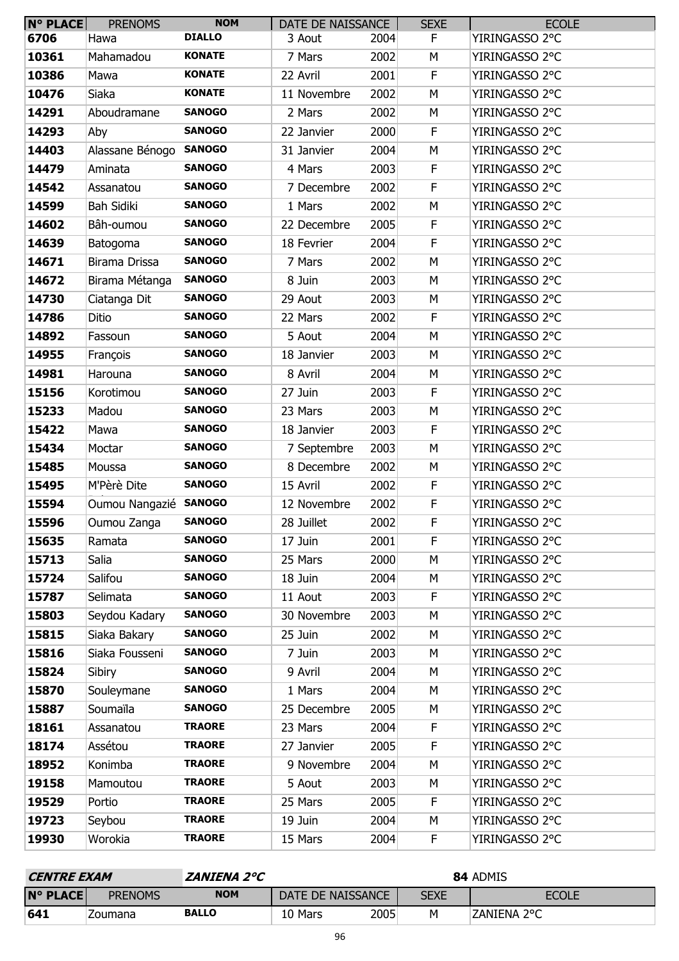| N° PLACE | <b>PRENOMS</b>         | <b>NOM</b>    | DATE DE NAISSANCE |      | <b>SEXE</b> | <b>ECOLE</b>   |
|----------|------------------------|---------------|-------------------|------|-------------|----------------|
| 6706     | Hawa                   | <b>DIALLO</b> | 3 Aout            | 2004 | F.          | YIRINGASSO 2°C |
| 10361    | Mahamadou              | <b>KONATE</b> | 7 Mars            | 2002 | М           | YIRINGASSO 2°C |
| 10386    | Mawa                   | <b>KONATE</b> | 22 Avril          | 2001 | F           | YIRINGASSO 2°C |
| 10476    | Siaka                  | <b>KONATE</b> | 11 Novembre       | 2002 | М           | YIRINGASSO 2°C |
| 14291    | Aboudramane            | <b>SANOGO</b> | 2 Mars            | 2002 | М           | YIRINGASSO 2°C |
| 14293    | Aby                    | <b>SANOGO</b> | 22 Janvier        | 2000 | $\mathsf F$ | YIRINGASSO 2°C |
| 14403    | Alassane Bénogo SANOGO |               | 31 Janvier        | 2004 | M           | YIRINGASSO 2°C |
| 14479    | Aminata                | <b>SANOGO</b> | 4 Mars            | 2003 | F           | YIRINGASSO 2°C |
| 14542    | Assanatou              | <b>SANOGO</b> | 7 Decembre        | 2002 | $\mathsf F$ | YIRINGASSO 2°C |
| 14599    | Bah Sidiki             | <b>SANOGO</b> | 1 Mars            | 2002 | M           | YIRINGASSO 2°C |
| 14602    | Bâh-oumou              | <b>SANOGO</b> | 22 Decembre       | 2005 | $\mathsf F$ | YIRINGASSO 2°C |
| 14639    | Batogoma               | <b>SANOGO</b> | 18 Fevrier        | 2004 | F           | YIRINGASSO 2°C |
| 14671    | Birama Drissa          | <b>SANOGO</b> | 7 Mars            | 2002 | M           | YIRINGASSO 2°C |
| 14672    | Birama Métanga         | <b>SANOGO</b> | 8 Juin            | 2003 | M           | YIRINGASSO 2°C |
| 14730    | Ciatanga Dit           | <b>SANOGO</b> | 29 Aout           | 2003 | М           | YIRINGASSO 2°C |
| 14786    | Ditio                  | <b>SANOGO</b> | 22 Mars           | 2002 | F           | YIRINGASSO 2°C |
| 14892    | Fassoun                | <b>SANOGO</b> | 5 Aout            | 2004 | M           | YIRINGASSO 2°C |
| 14955    | François               | <b>SANOGO</b> | 18 Janvier        | 2003 | M           | YIRINGASSO 2°C |
| 14981    | Harouna                | <b>SANOGO</b> | 8 Avril           | 2004 | М           | YIRINGASSO 2°C |
| 15156    | Korotimou              | <b>SANOGO</b> | 27 Juin           | 2003 | $\mathsf F$ | YIRINGASSO 2°C |
| 15233    | Madou                  | <b>SANOGO</b> | 23 Mars           | 2003 | M           | YIRINGASSO 2°C |
| 15422    | Mawa                   | <b>SANOGO</b> | 18 Janvier        | 2003 | $\mathsf F$ | YIRINGASSO 2°C |
| 15434    | Moctar                 | <b>SANOGO</b> | 7 Septembre       | 2003 | M           | YIRINGASSO 2°C |
| 15485    | Moussa                 | <b>SANOGO</b> | 8 Decembre        | 2002 | М           | YIRINGASSO 2°C |
| 15495    | M'Pèrè Dite            | <b>SANOGO</b> | 15 Avril          | 2002 | F           | YIRINGASSO 2°C |
| 15594    | Oumou Nangazié SANOGO  |               | 12 Novembre       | 2002 | F.          | YIRINGASSO 2°C |
| 15596    | Oumou Zanga            | <b>SANOGO</b> | 28 Juillet        | 2002 | F           | YIRINGASSO 2°C |
| 15635    | Ramata                 | <b>SANOGO</b> | 17 Juin           | 2001 | F           | YIRINGASSO 2°C |
| 15713    | Salia                  | <b>SANOGO</b> | 25 Mars           | 2000 | М           | YIRINGASSO 2°C |
| 15724    | Salifou                | <b>SANOGO</b> | 18 Juin           | 2004 | М           | YIRINGASSO 2°C |
| 15787    | Selimata               | <b>SANOGO</b> | 11 Aout           | 2003 | F           | YIRINGASSO 2°C |
| 15803    | Seydou Kadary          | <b>SANOGO</b> | 30 Novembre       | 2003 | M           | YIRINGASSO 2°C |
| 15815    | Siaka Bakary           | <b>SANOGO</b> | 25 Juin           | 2002 | М           | YIRINGASSO 2°C |
| 15816    | Siaka Fousseni         | <b>SANOGO</b> | 7 Juin            | 2003 | М           | YIRINGASSO 2°C |
| 15824    | Sibiry                 | <b>SANOGO</b> | 9 Avril           | 2004 | M           | YIRINGASSO 2°C |
| 15870    | Souleymane             | <b>SANOGO</b> | 1 Mars            | 2004 | М           | YIRINGASSO 2°C |
| 15887    | Soumaïla               | <b>SANOGO</b> | 25 Decembre       | 2005 | М           | YIRINGASSO 2°C |
| 18161    | Assanatou              | <b>TRAORE</b> | 23 Mars           | 2004 | $\mathsf F$ | YIRINGASSO 2°C |
| 18174    | Assétou                | <b>TRAORE</b> | 27 Janvier        | 2005 | $\mathsf F$ | YIRINGASSO 2°C |
| 18952    | Konimba                | <b>TRAORE</b> | 9 Novembre        | 2004 | М           | YIRINGASSO 2°C |
| 19158    | Mamoutou               | <b>TRAORE</b> | 5 Aout            | 2003 | М           | YIRINGASSO 2°C |
| 19529    | Portio                 | <b>TRAORE</b> | 25 Mars           | 2005 | F           | YIRINGASSO 2°C |
| 19723    | Seybou                 | <b>TRAORE</b> | 19 Juin           | 2004 | М           | YIRINGASSO 2°C |
| 19930    | Worokia                | <b>TRAORE</b> | 15 Mars           | 2004 | F.          | YIRINGASSO 2°C |

| <i><b>CENTRE EXAM</b></i> |                | ZANIENA 2°C  | 84 ADMIS          |      |             |              |  |  |
|---------------------------|----------------|--------------|-------------------|------|-------------|--------------|--|--|
| $N^{\circ}$ PLACE         | <b>PRENOMS</b> | <b>NOM</b>   | DATE DE NAISSANCE |      | <b>SEXE</b> | <b>ECOLE</b> |  |  |
| 641                       | Zoumana        | <b>BALLO</b> | 10 Mars           | 2005 | M           | ZANIENA 2°C  |  |  |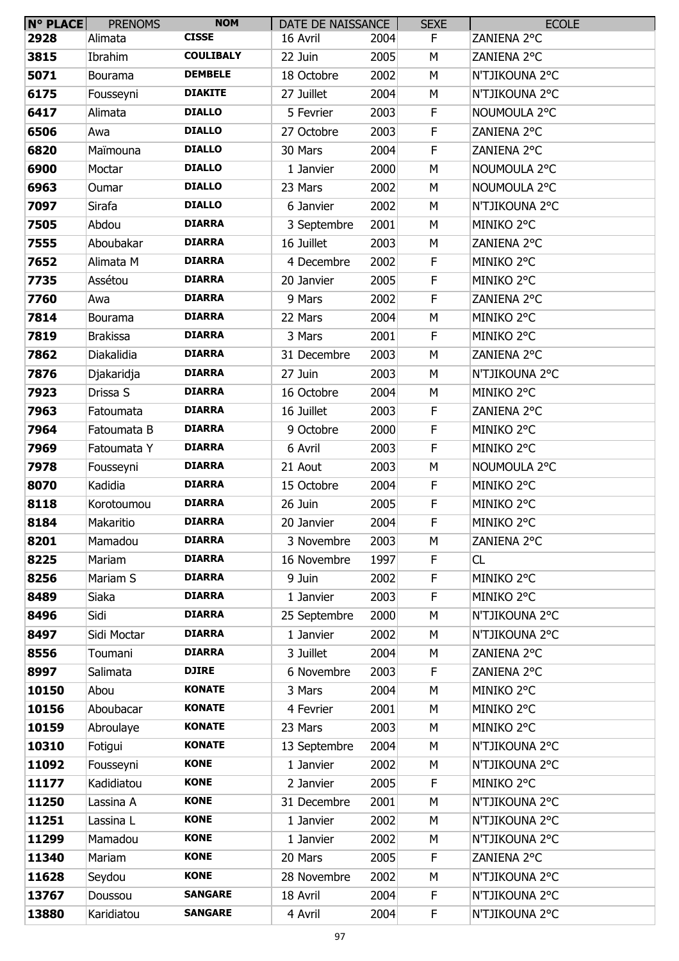| $N^{\circ}$ PLACE | <b>PRENOMS</b>  | <b>NOM</b>       | DATE DE NAISSANCE |      | <b>SEXE</b> | <b>ECOLE</b>   |
|-------------------|-----------------|------------------|-------------------|------|-------------|----------------|
| 2928              | Alimata         | <b>CISSE</b>     | 16 Avril          | 2004 | F.          | ZANIENA 2°C    |
| 3815              | Ibrahim         | <b>COULIBALY</b> | 22 Juin           | 2005 | М           | ZANIENA 2°C    |
| 5071              | Bourama         | <b>DEMBELE</b>   | 18 Octobre        | 2002 | M           | N'TJIKOUNA 2°C |
| 6175              | Fousseyni       | <b>DIAKITE</b>   | 27 Juillet        | 2004 | М           | N'TJIKOUNA 2°C |
| 6417              | Alimata         | <b>DIALLO</b>    | 5 Fevrier         | 2003 | F.          | NOUMOULA 2°C   |
| 6506              | Awa             | <b>DIALLO</b>    | 27 Octobre        | 2003 | F           | ZANIENA 2°C    |
| 6820              | Maïmouna        | <b>DIALLO</b>    | 30 Mars           | 2004 | F           | ZANIENA 2°C    |
| 6900              | Moctar          | <b>DIALLO</b>    | 1 Janvier         | 2000 | М           | NOUMOULA 2°C   |
| 6963              | Oumar           | <b>DIALLO</b>    | 23 Mars           | 2002 | М           | NOUMOULA 2°C   |
| 7097              | Sirafa          | <b>DIALLO</b>    | 6 Janvier         | 2002 | М           | N'TJIKOUNA 2°C |
| 7505              | Abdou           | <b>DIARRA</b>    | 3 Septembre       | 2001 | M           | MINIKO 2°C     |
| 7555              | Aboubakar       | <b>DIARRA</b>    | 16 Juillet        | 2003 | М           | ZANIENA 2°C    |
| 7652              | Alimata M       | <b>DIARRA</b>    | 4 Decembre        | 2002 | F           | MINIKO 2°C     |
| 7735              | Assétou         | <b>DIARRA</b>    | 20 Janvier        | 2005 | F           | MINIKO 2°C     |
| 7760              | Awa             | <b>DIARRA</b>    | 9 Mars            | 2002 | F           | ZANIENA 2°C    |
| 7814              | Bourama         | <b>DIARRA</b>    | 22 Mars           | 2004 | М           | MINIKO 2°C     |
| 7819              | <b>Brakissa</b> | <b>DIARRA</b>    | 3 Mars            | 2001 | F.          | MINIKO 2°C     |
| 7862              | Diakalidia      | <b>DIARRA</b>    | 31 Decembre       | 2003 | M           | ZANIENA 2°C    |
| 7876              | Djakaridja      | <b>DIARRA</b>    | 27 Juin           | 2003 | M           | N'TJIKOUNA 2°C |
| 7923              | Drissa S        | <b>DIARRA</b>    | 16 Octobre        | 2004 | M           | MINIKO 2°C     |
| 7963              | Fatoumata       | <b>DIARRA</b>    | 16 Juillet        | 2003 | F           | ZANIENA 2°C    |
| 7964              | Fatoumata B     | <b>DIARRA</b>    | 9 Octobre         | 2000 | F           | MINIKO 2°C     |
| 7969              | Fatoumata Y     | <b>DIARRA</b>    | 6 Avril           | 2003 | F           | MINIKO 2°C     |
| 7978              | Fousseyni       | <b>DIARRA</b>    | 21 Aout           | 2003 | M           | NOUMOULA 2°C   |
| 8070              | Kadidia         | <b>DIARRA</b>    | 15 Octobre        | 2004 | F           | MINIKO 2°C     |
| 8118              | Korotoumou      | <b>DIARRA</b>    | 26 Juin           | 2005 | F.          | MINIKO 2°C     |
| 8184              | Makaritio       | <b>DIARRA</b>    | 20 Janvier        | 2004 | F           | MINIKO 2°C     |
| 8201              | Mamadou         | <b>DIARRA</b>    | 3 Novembre        | 2003 | M           | ZANIENA 2°C    |
| 8225              | Mariam          | <b>DIARRA</b>    | 16 Novembre       | 1997 | F           | CL             |
| 8256              | Mariam S        | <b>DIARRA</b>    | 9 Juin            | 2002 | F           | MINIKO 2°C     |
| 8489              | Siaka           | <b>DIARRA</b>    | 1 Janvier         | 2003 | F           | MINIKO 2°C     |
| 8496              | Sidi            | <b>DIARRA</b>    | 25 Septembre      | 2000 | M           | N'TJIKOUNA 2°C |
| 8497              | Sidi Moctar     | <b>DIARRA</b>    | 1 Janvier         | 2002 | М           | N'TJIKOUNA 2°C |
| 8556              | Toumani         | <b>DIARRA</b>    | 3 Juillet         | 2004 | М           | ZANIENA 2°C    |
| 8997              | Salimata        | <b>DJIRE</b>     | 6 Novembre        | 2003 | F           | ZANIENA 2°C    |
| 10150             | Abou            | <b>KONATE</b>    | 3 Mars            | 2004 | M           | MINIKO 2°C     |
| 10156             | Aboubacar       | <b>KONATE</b>    | 4 Fevrier         | 2001 | M           | MINIKO 2°C     |
| 10159             | Abroulaye       | <b>KONATE</b>    | 23 Mars           | 2003 | M           | MINIKO 2°C     |
| 10310             | Fotigui         | <b>KONATE</b>    | 13 Septembre      | 2004 | M           | N'TJIKOUNA 2°C |
| 11092             | Fousseyni       | <b>KONE</b>      | 1 Janvier         | 2002 | М           | N'TJIKOUNA 2°C |
| 11177             | Kadidiatou      | <b>KONE</b>      | 2 Janvier         | 2005 | F           | MINIKO 2°C     |
| 11250             | Lassina A       | <b>KONE</b>      | 31 Decembre       | 2001 | M           | N'TJIKOUNA 2°C |
| 11251             | Lassina L       | <b>KONE</b>      | 1 Janvier         | 2002 | M           | N'TJIKOUNA 2°C |
| 11299             | Mamadou         | <b>KONE</b>      | 1 Janvier         | 2002 | М           | N'TJIKOUNA 2°C |
| 11340             | Mariam          | <b>KONE</b>      | 20 Mars           | 2005 | F           | ZANIENA 2°C    |
| 11628             | Seydou          | <b>KONE</b>      | 28 Novembre       | 2002 | М           | N'TJIKOUNA 2°C |
| 13767             | Doussou         | <b>SANGARE</b>   | 18 Avril          | 2004 | F           | N'TJIKOUNA 2°C |
| 13880             | Karidiatou      | <b>SANGARE</b>   | 4 Avril           | 2004 | F           | N'TJIKOUNA 2°C |
|                   |                 |                  |                   |      |             |                |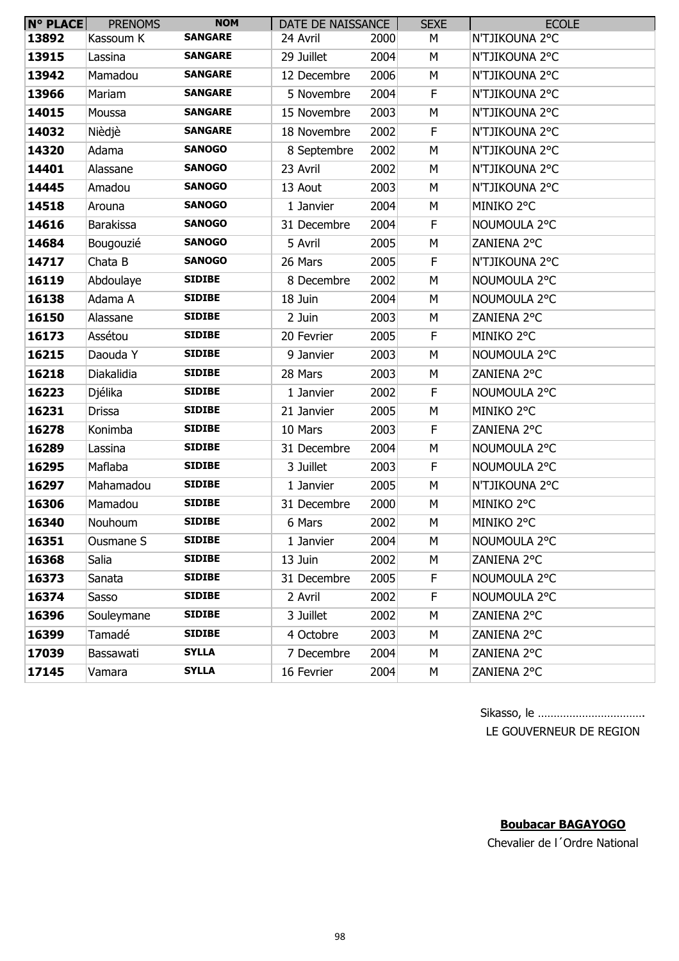| <b>N° PLACE</b> | <b>PRENOMS</b>   | <b>NOM</b>     | DATE DE NAISSANCE |      | <b>SEXE</b> | <b>ECOLE</b>   |
|-----------------|------------------|----------------|-------------------|------|-------------|----------------|
| 13892           | Kassoum K        | <b>SANGARE</b> | 24 Avril          | 2000 | М           | N'TJIKOUNA 2°C |
| 13915           | Lassina          | <b>SANGARE</b> | 29 Juillet        | 2004 | М           | N'TJIKOUNA 2°C |
| 13942           | Mamadou          | <b>SANGARE</b> | 12 Decembre       | 2006 | M           | N'TJIKOUNA 2°C |
| 13966           | Mariam           | <b>SANGARE</b> | 5 Novembre        | 2004 | F           | N'TJIKOUNA 2°C |
| 14015           | Moussa           | <b>SANGARE</b> | 15 Novembre       | 2003 | М           | N'TJIKOUNA 2°C |
| 14032           | Nièdjè           | <b>SANGARE</b> | 18 Novembre       | 2002 | F           | N'TJIKOUNA 2°C |
| 14320           | Adama            | <b>SANOGO</b>  | 8 Septembre       | 2002 | М           | N'TJIKOUNA 2°C |
| 14401           | Alassane         | <b>SANOGO</b>  | 23 Avril          | 2002 | М           | N'TJIKOUNA 2°C |
| 14445           | Amadou           | <b>SANOGO</b>  | 13 Aout           | 2003 | М           | N'TJIKOUNA 2°C |
| 14518           | Arouna           | <b>SANOGO</b>  | 1 Janvier         | 2004 | М           | MINIKO 2°C     |
| 14616           | <b>Barakissa</b> | <b>SANOGO</b>  | 31 Decembre       | 2004 | F           | NOUMOULA 2°C   |
| 14684           | Bougouzié        | <b>SANOGO</b>  | 5 Avril           | 2005 | М           | ZANIENA 2°C    |
| 14717           | Chata B          | <b>SANOGO</b>  | 26 Mars           | 2005 | F           | N'TJIKOUNA 2°C |
| 16119           | Abdoulaye        | <b>SIDIBE</b>  | 8 Decembre        | 2002 | M           | NOUMOULA 2°C   |
| 16138           | Adama A          | <b>SIDIBE</b>  | 18 Juin           | 2004 | М           | NOUMOULA 2°C   |
| 16150           | Alassane         | <b>SIDIBE</b>  | 2 Juin            | 2003 | М           | ZANIENA 2°C    |
| 16173           | Assétou          | <b>SIDIBE</b>  | 20 Fevrier        | 2005 | F.          | MINIKO 2°C     |
| 16215           | Daouda Y         | <b>SIDIBE</b>  | 9 Janvier         | 2003 | М           | NOUMOULA 2°C   |
| 16218           | Diakalidia       | <b>SIDIBE</b>  | 28 Mars           | 2003 | M           | ZANIENA 2°C    |
| 16223           | Djélika          | <b>SIDIBE</b>  | 1 Janvier         | 2002 | F           | NOUMOULA 2°C   |
| 16231           | <b>Drissa</b>    | <b>SIDIBE</b>  | 21 Janvier        | 2005 | M           | MINIKO 2°C     |
| 16278           | Konimba          | <b>SIDIBE</b>  | 10 Mars           | 2003 | F           | ZANIENA 2°C    |
| 16289           | Lassina          | <b>SIDIBE</b>  | 31 Decembre       | 2004 | М           | NOUMOULA 2°C   |
| 16295           | Maflaba          | <b>SIDIBE</b>  | 3 Juillet         | 2003 | F           | NOUMOULA 2°C   |
| 16297           | Mahamadou        | <b>SIDIBE</b>  | 1 Janvier         | 2005 | M           | N'TJIKOUNA 2°C |
| 16306           | Mamadou          | <b>SIDIBE</b>  | 31 Decembre       | 2000 | М           | MINIKO 2°C     |
| 16340           | Nouhoum          | <b>SIDIBE</b>  | 6 Mars            | 2002 | M           | MINIKO 2°C     |
| 16351           | Ousmane S        | <b>SIDIBE</b>  | 1 Janvier         | 2004 | М           | NOUMOULA 2°C   |
| 16368           | Salia            | <b>SIDIBE</b>  | 13 Juin           | 2002 | М           | ZANIENA 2°C    |
| 16373           | Sanata           | <b>SIDIBE</b>  | 31 Decembre       | 2005 | F           | NOUMOULA 2°C   |
| 16374           | Sasso            | <b>SIDIBE</b>  | 2 Avril           | 2002 | F           | NOUMOULA 2°C   |
| 16396           | Souleymane       | <b>SIDIBE</b>  | 3 Juillet         | 2002 | М           | ZANIENA 2°C    |
| 16399           | Tamadé           | <b>SIDIBE</b>  | 4 Octobre         | 2003 | М           | ZANIENA 2°C    |
| 17039           | Bassawati        | <b>SYLLA</b>   | 7 Decembre        | 2004 | М           | ZANIENA 2°C    |
| 17145           | Vamara           | <b>SYLLA</b>   | 16 Fevrier        | 2004 | М           | ZANIENA 2°C    |

| LE COUVEDNEUD DE DECION |  |  |  |  |  |  |
|-------------------------|--|--|--|--|--|--|

LE GOUVERNEUR DE REGION

### **Boubacar BAGAYOGO**

Chevalier de l´Ordre National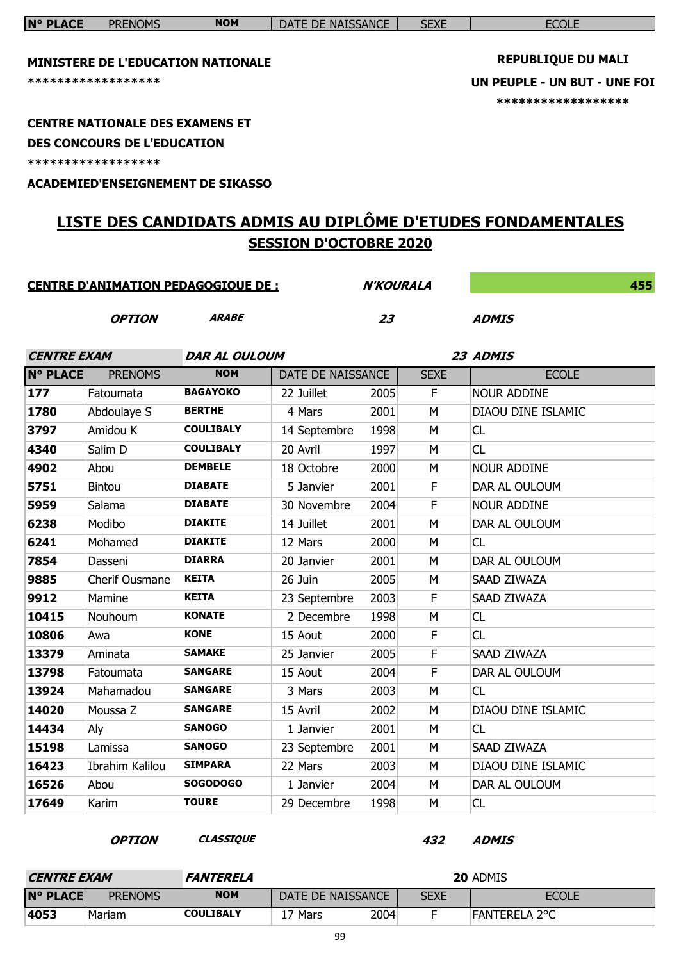| <b>N° PLACE</b>    | <b>PRENOMS</b>                         | <b>NOM</b>                                 | DATE DE NAISSANCE             |                  | <b>SEXE</b> | <b>ECOLE</b>                                                       |
|--------------------|----------------------------------------|--------------------------------------------|-------------------------------|------------------|-------------|--------------------------------------------------------------------|
|                    |                                        |                                            |                               |                  |             | <b>REPUBLIQUE DU MALI</b>                                          |
|                    |                                        | MINISTERE DE L'EDUCATION NATIONALE         |                               |                  |             |                                                                    |
|                    | *****************                      |                                            |                               |                  |             | UN PEUPLE - UN BUT - UNE FOI                                       |
|                    |                                        |                                            |                               |                  |             | *****************                                                  |
|                    | <b>CENTRE NATIONALE DES EXAMENS ET</b> |                                            |                               |                  |             |                                                                    |
|                    | <b>DES CONCOURS DE L'EDUCATION</b>     |                                            |                               |                  |             |                                                                    |
|                    | ******************                     |                                            |                               |                  |             |                                                                    |
|                    |                                        | <b>ACADEMIED'ENSEIGNEMENT DE SIKASSO</b>   |                               |                  |             |                                                                    |
|                    |                                        |                                            |                               |                  |             |                                                                    |
|                    |                                        |                                            |                               |                  |             | <u>LISTE DES CANDIDATS ADMIS AU DIPLÔME D'ETUDES FONDAMENTALES</u> |
|                    |                                        |                                            | <b>SESSION D'OCTOBRE 2020</b> |                  |             |                                                                    |
|                    |                                        |                                            |                               |                  |             |                                                                    |
|                    |                                        | <b>CENTRE D'ANIMATION PEDAGOGIQUE DE :</b> |                               | <b>N'KOURALA</b> |             | 455                                                                |
|                    |                                        |                                            |                               |                  |             |                                                                    |
|                    | <b>OPTION</b>                          | <b>ARABE</b>                               |                               | 23               |             | <b>ADMIS</b>                                                       |
|                    |                                        |                                            |                               |                  |             |                                                                    |
| <b>CENTRE EXAM</b> |                                        | DAR AL OULOUM                              |                               |                  |             | 23 ADMIS                                                           |
| <b>N° PLACE</b>    | <b>PRENOMS</b>                         | <b>NOM</b>                                 | DATE DE NAISSANCE             |                  | <b>SEXE</b> | <b>ECOLE</b>                                                       |
| 177                | Fatoumata                              | <b>BAGAYOKO</b>                            | 22 Juillet                    | 2005             | F.          | <b>NOUR ADDINE</b>                                                 |
| 1780               | Abdoulaye S                            | <b>BERTHE</b>                              | 4 Mars                        | 2001             | M           | DIAOU DINE ISLAMIC                                                 |
| 3797               | Amidou K                               | <b>COULIBALY</b>                           | 14 Septembre                  | 1998             | M           | CL                                                                 |
| 4340               | Salim D                                | <b>COULIBALY</b>                           | 20 Avril                      | 1997             | M           | CL                                                                 |
| 4902               | Abou                                   | <b>DEMBELE</b>                             | 18 Octobre                    | 2000             | М           | <b>NOUR ADDINE</b>                                                 |
| 5751               | <b>Bintou</b>                          | <b>DIABATE</b>                             | 5 Janvier                     | 2001             | F           | DAR AL OULOUM                                                      |
| 5959               | Salama                                 | <b>DIABATE</b>                             | 30 Novembre                   | 2004             | F.          | <b>NOUR ADDINE</b>                                                 |
| 6238               | Modibo                                 | <b>DIAKITE</b>                             | 14 Juillet                    | 2001             | м           | DAR AL OULOUM                                                      |
| 6241               | Mohamed                                | <b>DIAKITE</b>                             | 12 Mars                       | 2000             | М           | CL.                                                                |
| 7854               | Dasseni                                | <b>DIARRA</b>                              | 20 Janvier                    | 2001             | M           | DAR AL OULOUM                                                      |
| 9885               | <b>Cherif Ousmane</b>                  | <b>KEITA</b>                               | 26 Juin                       | 2005             | М           | SAAD ZIWAZA                                                        |
| 9912               | Mamine                                 | <b>KEITA</b>                               | 23 Septembre                  | 2003             | F           | SAAD ZIWAZA                                                        |
| 10415              | Nouhoum                                | <b>KONATE</b>                              | 2 Decembre                    | 1998             | M           | CL                                                                 |
| 10806              | Awa                                    | <b>KONE</b>                                | 15 Aout                       | 2000             | F           | CL                                                                 |
| 13379              | Aminata                                | <b>SAMAKE</b>                              | 25 Janvier                    | 2005             | F           | SAAD ZIWAZA                                                        |
| 13798              | Fatoumata                              | <b>SANGARE</b>                             | 15 Aout                       | 2004             | F           | DAR AL OULOUM                                                      |
| 13924              | Mahamadou                              | <b>SANGARE</b>                             | 3 Mars                        | 2003             | M           | CL                                                                 |
| 14020              | Moussa Z                               | <b>SANGARE</b>                             | 15 Avril                      | 2002             | М           | DIAOU DINE ISLAMIC                                                 |
| 14434              | Aly                                    | <b>SANOGO</b>                              | 1 Janvier                     | 2001             | М           | <b>CL</b>                                                          |
| 15198              | Lamissa                                | <b>SANOGO</b>                              | 23 Septembre                  | 2001             | M           | SAAD ZIWAZA                                                        |
| 16423              | Ibrahim Kalilou                        | <b>SIMPARA</b>                             | 22 Mars                       | 2003             | М           | DIAOU DINE ISLAMIC                                                 |
| 16526              | Abou                                   | <b>SOGODOGO</b>                            | 1 Janvier                     | 2004             | М           | DAR AL OULOUM                                                      |
| 17649              | Karim                                  | <b>TOURE</b>                               | 29 Decembre                   | 1998             | M           | CL                                                                 |

**OPTION CLASSIQUE 432 ADMIS**

| <b>CENTRE EXAM</b> |                | <i><b>FANTERELA</b></i> | 20 ADMIS          |      |             |               |  |  |  |
|--------------------|----------------|-------------------------|-------------------|------|-------------|---------------|--|--|--|
| $N^{\circ}$ PLACE  | <b>PRENOMS</b> | <b>NOM</b>              | DATE DE NAISSANCE |      | <b>SEXE</b> | <b>ECOLE</b>  |  |  |  |
| 4053               | Mariam         | <b>COULIBALY</b>        | Mars              | 2004 |             | FANTERELA 2°C |  |  |  |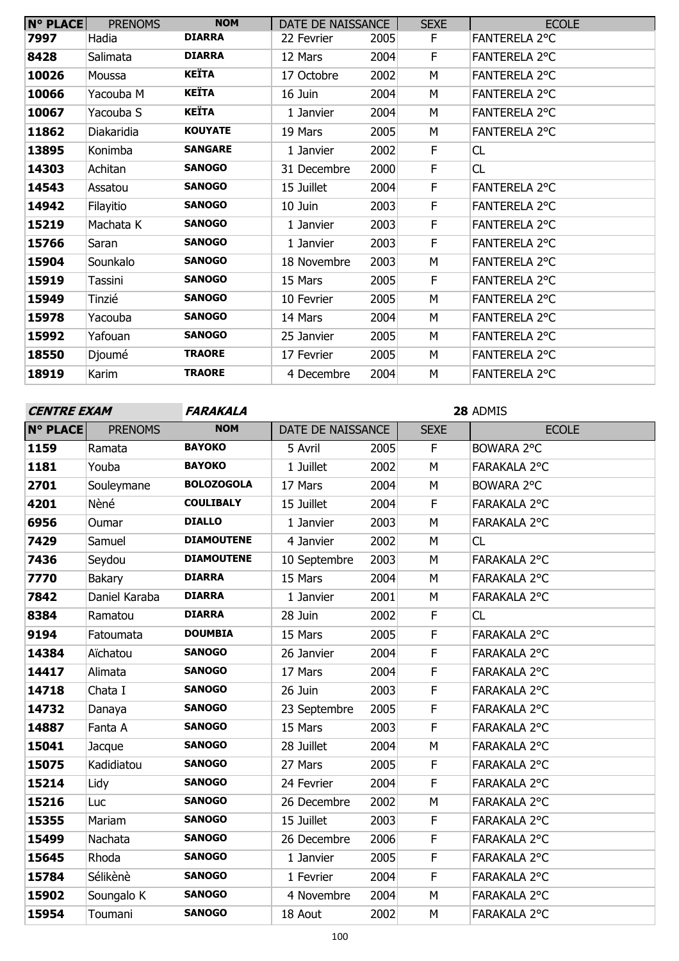| <b>N° PLACE</b> | <b>PRENOMS</b> | <b>NOM</b>     | DATE DE NAISSANCE |      | <b>SEXE</b> | <b>ECOLE</b>         |
|-----------------|----------------|----------------|-------------------|------|-------------|----------------------|
| 7997            | Hadia          | <b>DIARRA</b>  | 22 Fevrier        | 2005 | F           | <b>FANTERELA 2°C</b> |
| 8428            | Salimata       | <b>DIARRA</b>  | 12 Mars           | 2004 | F           | <b>FANTERELA 2°C</b> |
| 10026           | Moussa         | KEÏTA          | 17 Octobre        | 2002 | М           | <b>FANTERELA 2°C</b> |
| 10066           | Yacouba M      | <b>KEÏTA</b>   | 16 Juin           | 2004 | M           | <b>FANTERELA 2°C</b> |
| 10067           | Yacouba S      | KEÏTA          | 1 Janvier         | 2004 | M           | <b>FANTERELA 2°C</b> |
| 11862           | Diakaridia     | <b>KOUYATE</b> | 19 Mars           | 2005 | M           | FANTERELA 2°C        |
| 13895           | Konimba        | <b>SANGARE</b> | 1 Janvier         | 2002 | F           | CL                   |
| 14303           | Achitan        | <b>SANOGO</b>  | 31 Decembre       | 2000 | F           | CL                   |
| 14543           | Assatou        | <b>SANOGO</b>  | 15 Juillet        | 2004 | F           | <b>FANTERELA 2°C</b> |
| 14942           | Filayitio      | <b>SANOGO</b>  | 10 Juin           | 2003 | F           | <b>FANTERELA 2°C</b> |
| 15219           | Machata K      | <b>SANOGO</b>  | 1 Janvier         | 2003 | F           | <b>FANTERELA 2°C</b> |
| 15766           | Saran          | <b>SANOGO</b>  | 1 Janvier         | 2003 | F           | <b>FANTERELA 2°C</b> |
| 15904           | Sounkalo       | <b>SANOGO</b>  | 18 Novembre       | 2003 | M           | <b>FANTERELA 2°C</b> |
| 15919           | Tassini        | <b>SANOGO</b>  | 15 Mars           | 2005 | F           | <b>FANTERELA 2°C</b> |
| 15949           | Tinzié         | <b>SANOGO</b>  | 10 Fevrier        | 2005 | M           | <b>FANTERELA 2°C</b> |
| 15978           | Yacouba        | <b>SANOGO</b>  | 14 Mars           | 2004 | M           | <b>FANTERELA 2°C</b> |
| 15992           | Yafouan        | <b>SANOGO</b>  | 25 Janvier        | 2005 | M           | <b>FANTERELA 2°C</b> |
| 18550           | Djoumé         | <b>TRAORE</b>  | 17 Fevrier        | 2005 | M           | <b>FANTERELA 2°C</b> |
| 18919           | Karim          | <b>TRAORE</b>  | 4 Decembre        | 2004 | M           | <b>FANTERELA 2°C</b> |

| <b>CENTRE EXAM</b> |                | <b>FARAKALA</b>   |                   |      |                | 28 ADMIS            |
|--------------------|----------------|-------------------|-------------------|------|----------------|---------------------|
| <b>N° PLACE</b>    | <b>PRENOMS</b> | <b>NOM</b>        | DATE DE NAISSANCE |      | <b>SEXE</b>    | <b>ECOLE</b>        |
| 1159               | Ramata         | <b>BAYOKO</b>     | 5 Avril           | 2005 | F.             | BOWARA 2°C          |
| 1181               | Youba          | <b>BAYOKO</b>     | 1 Juillet         | 2002 | M              | FARAKALA 2°C        |
| 2701               | Souleymane     | <b>BOLOZOGOLA</b> | 17 Mars           | 2004 | M              | BOWARA 2°C          |
| 4201               | Nèné           | <b>COULIBALY</b>  | 15 Juillet        | 2004 | F              | FARAKALA 2°C        |
| 6956               | Oumar          | <b>DIALLO</b>     | 1 Janvier         | 2003 | M              | FARAKALA 2°C        |
| 7429               | Samuel         | <b>DIAMOUTENE</b> | 4 Janvier         | 2002 | M              | CL                  |
| 7436               | Seydou         | <b>DIAMOUTENE</b> | 10 Septembre      | 2003 | M              | FARAKALA 2°C        |
| 7770               | Bakary         | <b>DIARRA</b>     | 15 Mars           | 2004 | M              | FARAKALA 2°C        |
| 7842               | Daniel Karaba  | <b>DIARRA</b>     | 1 Janvier         | 2001 | M              | FARAKALA 2°C        |
| 8384               | Ramatou        | <b>DIARRA</b>     | 28 Juin           | 2002 | $\overline{F}$ | CL                  |
| 9194               | Fatoumata      | <b>DOUMBIA</b>    | 15 Mars           | 2005 | F              | FARAKALA 2°C        |
| 14384              | Aïchatou       | <b>SANOGO</b>     | 26 Janvier        | 2004 | F              | FARAKALA 2°C        |
| 14417              | Alimata        | <b>SANOGO</b>     | 17 Mars           | 2004 | F              | FARAKALA 2°C        |
| 14718              | Chata I        | <b>SANOGO</b>     | 26 Juin           | 2003 | F              | FARAKALA 2°C        |
| 14732              | Danaya         | <b>SANOGO</b>     | 23 Septembre      | 2005 | F              | FARAKALA 2°C        |
| 14887              | Fanta A        | <b>SANOGO</b>     | 15 Mars           | 2003 | F              | FARAKALA 2°C        |
| 15041              | Jacque         | <b>SANOGO</b>     | 28 Juillet        | 2004 | M              | FARAKALA 2°C        |
| 15075              | Kadidiatou     | <b>SANOGO</b>     | 27 Mars           | 2005 | F              | FARAKALA 2°C        |
| 15214              | Lidy           | <b>SANOGO</b>     | 24 Fevrier        | 2004 | F              | FARAKALA 2°C        |
| 15216              | Luc            | <b>SANOGO</b>     | 26 Decembre       | 2002 | M              | FARAKALA 2°C        |
| 15355              | Mariam         | <b>SANOGO</b>     | 15 Juillet        | 2003 | F              | FARAKALA 2°C        |
| 15499              | Nachata        | <b>SANOGO</b>     | 26 Decembre       | 2006 | F              | <b>FARAKALA 2°C</b> |
| 15645              | Rhoda          | <b>SANOGO</b>     | 1 Janvier         | 2005 | F              | FARAKALA 2°C        |
| 15784              | Sélikènè       | <b>SANOGO</b>     | 1 Fevrier         | 2004 | F              | FARAKALA 2°C        |
| 15902              | Soungalo K     | <b>SANOGO</b>     | 4 Novembre        | 2004 | M              | FARAKALA 2°C        |
| 15954              | Toumani        | <b>SANOGO</b>     | 18 Aout           | 2002 | M              | FARAKALA 2°C        |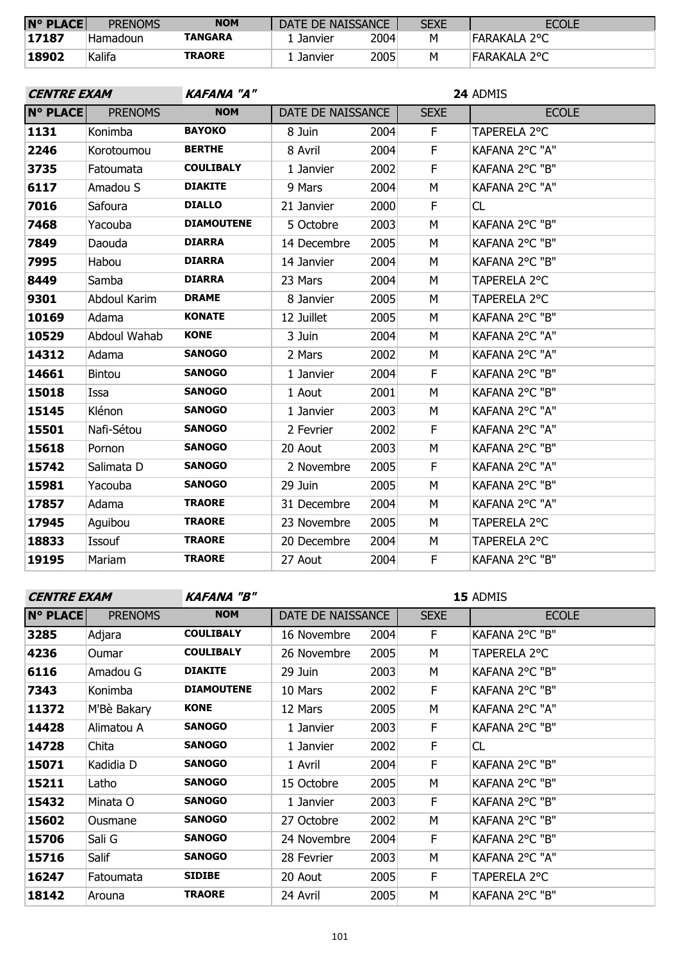| $N^{\circ}$ PLACE | <b>PRENOMS</b> | <b>NOM</b>     | DATE DE NAISSANCE |      | <b>SEXE</b> | <b>ECOLE</b> |
|-------------------|----------------|----------------|-------------------|------|-------------|--------------|
| 17187             | Hamadoun       | <b>TANGARA</b> | . Janvier         | 2004 | м           | FARAKALA 2°C |
| 18902             | Kalifa         | <b>TRAORE</b>  | Janvier           | 2005 | м           | FARAKALA 2°C |

| <b>CENTRE EXAM</b>                |                   |             |      |                   | 24 ADMIS       |  |  |  |
|-----------------------------------|-------------------|-------------|------|-------------------|----------------|--|--|--|
| <b>N° PLACE</b><br><b>PRENOMS</b> | <b>NOM</b>        |             |      | <b>SEXE</b>       | <b>ECOLE</b>   |  |  |  |
| Konimba                           | <b>BAYOKO</b>     | 8 Juin      | 2004 | F.                | TAPERELA 2°C   |  |  |  |
| Korotoumou                        | <b>BERTHE</b>     | 8 Avril     | 2004 | F                 | KAFANA 2°C "A" |  |  |  |
| Fatoumata                         | <b>COULIBALY</b>  | 1 Janvier   | 2002 | F                 | KAFANA 2°C "B" |  |  |  |
| Amadou S                          | <b>DIAKITE</b>    | 9 Mars      | 2004 | М                 | KAFANA 2°C "A" |  |  |  |
| Safoura                           | <b>DIALLO</b>     | 21 Janvier  | 2000 | F                 | CL             |  |  |  |
| Yacouba                           | <b>DIAMOUTENE</b> | 5 Octobre   | 2003 | M                 | KAFANA 2°C "B" |  |  |  |
| Daouda                            | <b>DIARRA</b>     | 14 Decembre | 2005 | M                 | KAFANA 2°C "B" |  |  |  |
| Habou                             | <b>DIARRA</b>     | 14 Janvier  | 2004 | M                 | KAFANA 2°C "B" |  |  |  |
| Samba                             | <b>DIARRA</b>     | 23 Mars     | 2004 | M                 | TAPERELA 2°C   |  |  |  |
| Abdoul Karim                      | <b>DRAME</b>      | 8 Janvier   | 2005 | M                 | TAPERELA 2°C   |  |  |  |
| Adama                             | <b>KONATE</b>     | 12 Juillet  | 2005 | M                 | KAFANA 2°C "B" |  |  |  |
| Abdoul Wahab                      | <b>KONE</b>       | 3 Juin      | 2004 | M                 | KAFANA 2°C "A" |  |  |  |
| Adama                             | <b>SANOGO</b>     | 2 Mars      | 2002 | M                 | KAFANA 2°C "A" |  |  |  |
| Bintou                            | <b>SANOGO</b>     | 1 Janvier   | 2004 | F.                | KAFANA 2°C "B" |  |  |  |
| Issa                              | <b>SANOGO</b>     | 1 Aout      | 2001 | M                 | KAFANA 2°C "B" |  |  |  |
| Klénon                            | <b>SANOGO</b>     | 1 Janvier   | 2003 | M                 | KAFANA 2°C "A" |  |  |  |
| Nafi-Sétou                        | <b>SANOGO</b>     | 2 Fevrier   | 2002 | F                 | KAFANA 2°C "A" |  |  |  |
| Pornon                            | <b>SANOGO</b>     | 20 Aout     | 2003 | M                 | KAFANA 2°C "B" |  |  |  |
| Salimata D                        | <b>SANOGO</b>     | 2 Novembre  | 2005 | F                 | KAFANA 2°C "A" |  |  |  |
| Yacouba                           | <b>SANOGO</b>     | 29 Juin     | 2005 | M                 | KAFANA 2°C "B" |  |  |  |
| Adama                             | <b>TRAORE</b>     | 31 Decembre | 2004 | M                 | KAFANA 2°C "A" |  |  |  |
| Aguibou                           | <b>TRAORE</b>     | 23 Novembre | 2005 | M                 | TAPERELA 2°C   |  |  |  |
| Issouf                            | <b>TRAORE</b>     | 20 Decembre | 2004 | М                 | TAPERELA 2°C   |  |  |  |
| Mariam                            | <b>TRAORE</b>     | 27 Aout     | 2004 | F.                | KAFANA 2°C "B" |  |  |  |
|                                   |                   | KAFANA "A"  |      | DATE DE NAISSANCE |                |  |  |  |

# **CENTRE EXAM KAFANA "B"**

| <b>N° PLACE</b> | <b>PRENOMS</b> | <b>NOM</b>        | DATE DE NAISSANCE |      | <b>SEXE</b> | <b>ECOLE</b>   |
|-----------------|----------------|-------------------|-------------------|------|-------------|----------------|
| 3285            | Adjara         | <b>COULIBALY</b>  | 16 Novembre       | 2004 | F.          | KAFANA 2°C "B" |
| 4236            | Oumar          | <b>COULIBALY</b>  | 26 Novembre       | 2005 | М           | TAPERELA 2°C   |
| 6116            | Amadou G       | <b>DIAKITE</b>    | 29 Juin           | 2003 | М           | KAFANA 2°C "B" |
| 7343            | Konimba        | <b>DIAMOUTENE</b> | 10 Mars           | 2002 | F           | KAFANA 2°C "B" |
| 11372           | M'Bè Bakary    | <b>KONE</b>       | 12 Mars           | 2005 | М           | KAFANA 2°C "A" |
| 14428           | Alimatou A     | <b>SANOGO</b>     | 1 Janvier         | 2003 | F           | KAFANA 2°C "B" |
| 14728           | Chita          | SANOGO            | 1 Janvier         | 2002 | F           | CL             |
| 15071           | Kadidia D      | <b>SANOGO</b>     | 1 Avril           | 2004 | F.          | KAFANA 2°C "B" |
| 15211           | Latho          | SANOGO            | 15 Octobre        | 2005 | М           | KAFANA 2°C "B" |
| 15432           | Minata O       | <b>SANOGO</b>     | 1 Janvier         | 2003 | F           | KAFANA 2°C "B" |
| 15602           | Ousmane        | <b>SANOGO</b>     | 27 Octobre        | 2002 | М           | KAFANA 2°C "B" |
| 15706           | Sali G         | <b>SANOGO</b>     | 24 Novembre       | 2004 | F           | KAFANA 2°C "B" |
| 15716           | Salif          | <b>SANOGO</b>     | 28 Fevrier        | 2003 | M           | KAFANA 2°C "A" |
| 16247           | Fatoumata      | <b>SIDIBE</b>     | 20 Aout           | 2005 | F           | TAPERELA 2°C   |
| 18142           | Arouna         | <b>TRAORE</b>     | 24 Avril          | 2005 | M           | KAFANA 2°C "B" |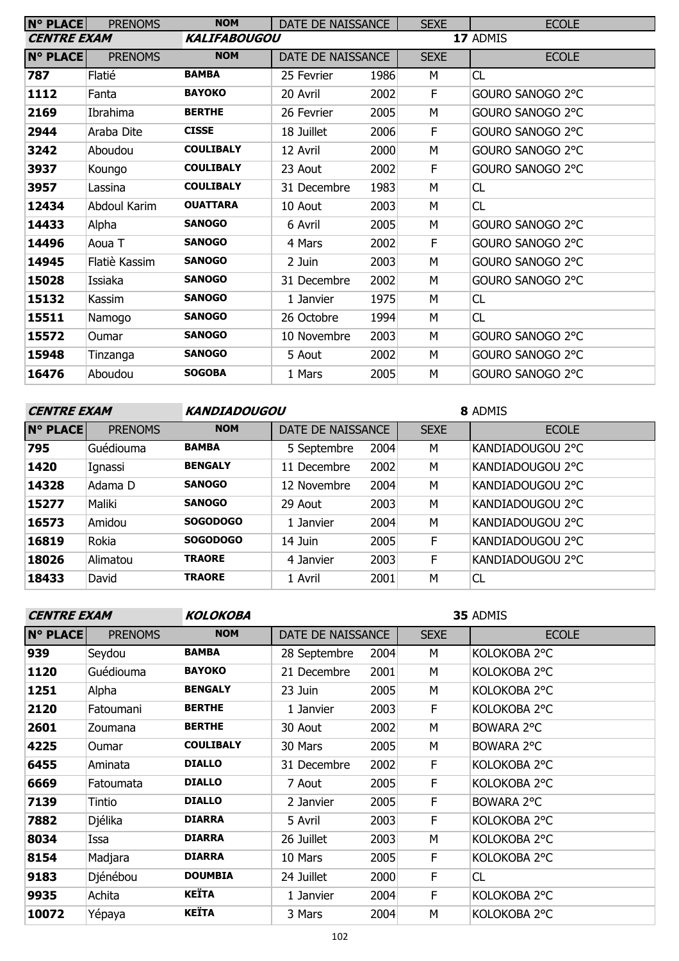| <b>N° PLACE</b>    | <b>PRENOMS</b> | <b>NOM</b>          | DATE DE NAISSANCE |      | <b>SEXE</b> | <b>ECOLE</b>     |  |  |
|--------------------|----------------|---------------------|-------------------|------|-------------|------------------|--|--|
| <b>CENTRE EXAM</b> |                | <b>KALIFABOUGOU</b> |                   |      | 17 ADMIS    |                  |  |  |
| <b>N° PLACE</b>    | <b>PRENOMS</b> | <b>NOM</b>          | DATE DE NAISSANCE |      | <b>SEXE</b> | <b>ECOLE</b>     |  |  |
| 787                | Flatié         | <b>BAMBA</b>        | 25 Fevrier        | 1986 | M           | CL               |  |  |
| 1112               | Fanta          | <b>BAYOKO</b>       | 20 Avril          | 2002 | F           | GOURO SANOGO 2°C |  |  |
| 2169               | Ibrahima       | <b>BERTHE</b>       | 26 Fevrier        | 2005 | М           | GOURO SANOGO 2°C |  |  |
| 2944               | Araba Dite     | <b>CISSE</b>        | 18 Juillet        | 2006 | F           | GOURO SANOGO 2°C |  |  |
| 3242               | Aboudou        | <b>COULIBALY</b>    | 12 Avril          | 2000 | M           | GOURO SANOGO 2°C |  |  |
| 3937               | Koungo         | <b>COULIBALY</b>    | 23 Aout           | 2002 | F           | GOURO SANOGO 2°C |  |  |
| 3957               | Lassina        | <b>COULIBALY</b>    | 31 Decembre       | 1983 | M           | CL               |  |  |
| 12434              | Abdoul Karim   | <b>OUATTARA</b>     | 10 Aout           | 2003 | M           | CL               |  |  |
| 14433              | Alpha          | <b>SANOGO</b>       | 6 Avril           | 2005 | M           | GOURO SANOGO 2°C |  |  |
| 14496              | Aoua T         | <b>SANOGO</b>       | 4 Mars            | 2002 | F           | GOURO SANOGO 2°C |  |  |
| 14945              | Flatiè Kassim  | <b>SANOGO</b>       | 2 Juin            | 2003 | M           | GOURO SANOGO 2°C |  |  |
| 15028              | Issiaka        | <b>SANOGO</b>       | 31 Decembre       | 2002 | M           | GOURO SANOGO 2°C |  |  |
| 15132              | Kassim         | <b>SANOGO</b>       | 1 Janvier         | 1975 | M           | CL               |  |  |
| 15511              | Namogo         | <b>SANOGO</b>       | 26 Octobre        | 1994 | M           | CL               |  |  |
| 15572              | Oumar          | <b>SANOGO</b>       | 10 Novembre       | 2003 | M           | GOURO SANOGO 2°C |  |  |
| 15948              | Tinzanga       | <b>SANOGO</b>       | 5 Aout            | 2002 | M           | GOURO SANOGO 2°C |  |  |
| 16476              | Aboudou        | <b>SOGOBA</b>       | 1 Mars            | 2005 | м           | GOURO SANOGO 2°C |  |  |

### **CENTRE EXAM KANDIADOUGOU**

| <b>N° PLACE</b> | <b>PRENOMS</b> | <b>NOM</b>      | DATE DE NAISSANCE |      | <b>SEXE</b> | <b>ECOLE</b>     |
|-----------------|----------------|-----------------|-------------------|------|-------------|------------------|
| 795             | Guédiouma      | <b>BAMBA</b>    | 5 Septembre       | 2004 | M           | KANDIADOUGOU 2°C |
| 1420            | Ignassi        | <b>BENGALY</b>  | 11 Decembre       | 2002 | M           | KANDIADOUGOU 2°C |
| 14328           | Adama D        | <b>SANOGO</b>   | 12 Novembre       | 2004 | M           | KANDIADOUGOU 2°C |
| 15277           | Maliki         | <b>SANOGO</b>   | 29 Aout           | 2003 | M           | KANDIADOUGOU 2°C |
| 16573           | Amidou         | <b>SOGODOGO</b> | 1 Janvier         | 2004 | M           | KANDIADOUGOU 2°C |
| 16819           | Rokia          | <b>SOGODOGO</b> | 14 Juin           | 2005 | F           | KANDIADOUGOU 2°C |
| 18026           | Alimatou       | <b>TRAORE</b>   | 4 Janvier         | 2003 | F           | KANDIADOUGOU 2°C |
| 18433           | David          | <b>TRAORE</b>   | 1 Avril           | 2001 | M           | <b>CL</b>        |

| <b>CENTRE EXAM</b> |                | <b>KOLOKOBA</b>  | 35 ADMIS          |      |             |              |
|--------------------|----------------|------------------|-------------------|------|-------------|--------------|
| <b>N° PLACE</b>    | <b>PRENOMS</b> | <b>NOM</b>       | DATE DE NAISSANCE |      | <b>SEXE</b> | <b>ECOLE</b> |
| 939                | Seydou         | <b>BAMBA</b>     | 28 Septembre      | 2004 | м           | KOLOKOBA 2°C |
| 1120               | Guédiouma      | <b>BAYOKO</b>    | 21 Decembre       | 2001 | M           | KOLOKOBA 2°C |
| 1251               | Alpha          | <b>BENGALY</b>   | 23 Juin           | 2005 | M           | KOLOKOBA 2°C |
| 2120               | Fatoumani      | <b>BERTHE</b>    | 1 Janvier         | 2003 | F.          | KOLOKOBA 2°C |
| 2601               | Zoumana        | <b>BERTHE</b>    | 30 Aout           | 2002 | M           | BOWARA 2°C   |
| 4225               | <b>Oumar</b>   | <b>COULIBALY</b> | 30 Mars           | 2005 | М           | BOWARA 2°C   |
| 6455               | Aminata        | <b>DIALLO</b>    | 31 Decembre       | 2002 | F.          | KOLOKOBA 2°C |
| 6669               | Fatoumata      | <b>DIALLO</b>    | 7 Aout            | 2005 | F.          | KOLOKOBA 2°C |
| 7139               | Tintio         | <b>DIALLO</b>    | 2 Janvier         | 2005 | F           | BOWARA 2°C   |
| 7882               | Djélika        | <b>DIARRA</b>    | 5 Avril           | 2003 | F           | KOLOKOBA 2°C |
| 8034               | Issa           | <b>DIARRA</b>    | 26 Juillet        | 2003 | M           | KOLOKOBA 2°C |
| 8154               | Madjara        | <b>DIARRA</b>    | 10 Mars           | 2005 | F           | KOLOKOBA 2°C |
| 9183               | Djénébou       | <b>DOUMBIA</b>   | 24 Juillet        | 2000 | F.          | CL           |
| 9935               | Achita         | KEÏTA            | 1 Janvier         | 2004 | F           | KOLOKOBA 2°C |
| 10072              | Yépaya         | <b>KEÏTA</b>     | 3 Mars            | 2004 | М           | KOLOKOBA 2°C |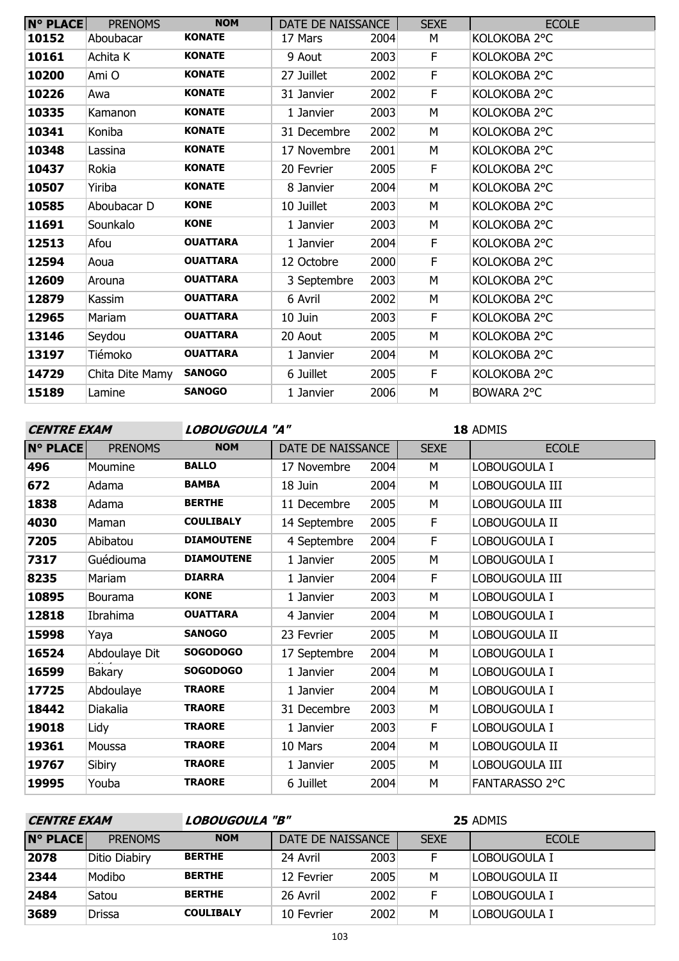| <b>N° PLACE</b> | <b>PRENOMS</b>  | <b>NOM</b>      | DATE DE NAISSANCE |      | <b>SEXE</b> | <b>ECOLE</b> |
|-----------------|-----------------|-----------------|-------------------|------|-------------|--------------|
| 10152           | Aboubacar       | <b>KONATE</b>   | 17 Mars           | 2004 | М           | KOLOKOBA 2°C |
| 10161           | Achita K        | <b>KONATE</b>   | 9 Aout            | 2003 | F           | KOLOKOBA 2°C |
| 10200           | Ami O           | <b>KONATE</b>   | 27 Juillet        | 2002 | F           | KOLOKOBA 2°C |
| 10226           | Awa             | <b>KONATE</b>   | 31 Janvier        | 2002 | F.          | KOLOKOBA 2°C |
| 10335           | Kamanon         | <b>KONATE</b>   | 1 Janvier         | 2003 | М           | KOLOKOBA 2°C |
| 10341           | Koniba          | <b>KONATE</b>   | 31 Decembre       | 2002 | М           | KOLOKOBA 2°C |
| 10348           | Lassina         | <b>KONATE</b>   | 17 Novembre       | 2001 | М           | KOLOKOBA 2°C |
| 10437           | Rokia           | <b>KONATE</b>   | 20 Fevrier        | 2005 | F.          | KOLOKOBA 2°C |
| 10507           | Yiriba          | <b>KONATE</b>   | 8 Janvier         | 2004 | М           | KOLOKOBA 2°C |
| 10585           | Aboubacar D     | <b>KONE</b>     | 10 Juillet        | 2003 | М           | KOLOKOBA 2°C |
| 11691           | Sounkalo        | <b>KONE</b>     | 1 Janvier         | 2003 | М           | KOLOKOBA 2°C |
| 12513           | Afou            | <b>OUATTARA</b> | 1 Janvier         | 2004 | F           | KOLOKOBA 2°C |
| 12594           | Aoua            | <b>OUATTARA</b> | 12 Octobre        | 2000 | F           | KOLOKOBA 2°C |
| 12609           | Arouna          | <b>OUATTARA</b> | 3 Septembre       | 2003 | M           | KOLOKOBA 2°C |
| 12879           | Kassim          | <b>OUATTARA</b> | 6 Avril           | 2002 | М           | KOLOKOBA 2°C |
| 12965           | Mariam          | <b>OUATTARA</b> | 10 Juin           | 2003 | F           | KOLOKOBA 2°C |
| 13146           | Seydou          | <b>OUATTARA</b> | 20 Aout           | 2005 | М           | KOLOKOBA 2°C |
| 13197           | Tiémoko         | <b>OUATTARA</b> | 1 Janvier         | 2004 | М           | KOLOKOBA 2°C |
| 14729           | Chita Dite Mamy | <b>SANOGO</b>   | 6 Juillet         | 2005 | F.          | KOLOKOBA 2°C |
| 15189           | Lamine          | <b>SANOGO</b>   | 1 Janvier         | 2006 | М           | BOWARA 2°C   |
|                 |                 |                 |                   |      |             |              |

**CENTRE EXAM LOBOUGOULA "A"**

| <b>N° PLACE</b> | <b>PRENOMS</b> | <b>NOM</b>        | DATE DE NAISSANCE |      | <b>SEXE</b> | <b>ECOLE</b>          |
|-----------------|----------------|-------------------|-------------------|------|-------------|-----------------------|
| 496             | Moumine        | <b>BALLO</b>      | 17 Novembre       | 2004 | М           | LOBOUGOULA I          |
| 672             | Adama          | <b>BAMBA</b>      | 18 Juin           | 2004 | М           | LOBOUGOULA III        |
| 1838            | Adama          | <b>BERTHE</b>     | 11 Decembre       | 2005 | M           | LOBOUGOULA III        |
| 4030            | Maman          | <b>COULIBALY</b>  | 14 Septembre      | 2005 | F           | LOBOUGOULA II         |
| 7205            | Abibatou       | <b>DIAMOUTENE</b> | 4 Septembre       | 2004 | F           | LOBOUGOULA I          |
| 7317            | Guédiouma      | <b>DIAMOUTENE</b> | 1 Janvier         | 2005 | M           | LOBOUGOULA I          |
| 8235            | Mariam         | <b>DIARRA</b>     | 1 Janvier         | 2004 | F           | LOBOUGOULA III        |
| 10895           | <b>Bourama</b> | <b>KONE</b>       | 1 Janvier         | 2003 | М           | LOBOUGOULA I          |
| 12818           | Ibrahima       | <b>OUATTARA</b>   | 4 Janvier         | 2004 | М           | LOBOUGOULA I          |
| 15998           | Yaya           | <b>SANOGO</b>     | 23 Fevrier        | 2005 | М           | LOBOUGOULA II         |
| 16524           | Abdoulaye Dit  | <b>SOGODOGO</b>   | 17 Septembre      | 2004 | М           | LOBOUGOULA I          |
| 16599           | <b>Bakary</b>  | <b>SOGODOGO</b>   | 1 Janvier         | 2004 | M           | LOBOUGOULA I          |
| 17725           | Abdoulaye      | <b>TRAORE</b>     | 1 Janvier         | 2004 | М           | LOBOUGOULA I          |
| 18442           | Diakalia       | <b>TRAORE</b>     | 31 Decembre       | 2003 | М           | LOBOUGOULA I          |
| 19018           | Lidy           | <b>TRAORE</b>     | 1 Janvier         | 2003 | F           | LOBOUGOULA I          |
| 19361           | Moussa         | <b>TRAORE</b>     | 10 Mars           | 2004 | M           | Lobougoula II         |
| 19767           | Sibiry         | <b>TRAORE</b>     | 1 Janvier         | 2005 | M           | LOBOUGOULA III        |
| 19995           | Youba          | <b>TRAORE</b>     | 6 Juillet         | 2004 | M           | <b>FANTARASSO 2°C</b> |

| LOBOUGOULA "B"<br><b>CENTRE EXAM</b> |                |                  |                   | 25 ADMIS |             |               |  |  |
|--------------------------------------|----------------|------------------|-------------------|----------|-------------|---------------|--|--|
| IN° PLACEI                           | <b>PRENOMS</b> | <b>NOM</b>       | DATE DE NAISSANCE |          | <b>SEXE</b> | <b>ECOLE</b>  |  |  |
| 2078                                 | Ditio Diabiry  | <b>BERTHE</b>    | 24 Avril          | 2003     |             | Lobougoula I  |  |  |
| 2344                                 | Modibo         | <b>BERTHE</b>    | 12 Fevrier        | 2005     | М           | Lobougoula II |  |  |
| 2484                                 | Satou          | <b>BERTHE</b>    | 26 Avril          | 2002     |             | LOBOUGOULA I  |  |  |
| 3689                                 | <b>Drissa</b>  | <b>COULIBALY</b> | 10 Fevrier        | 2002     | M           | Lobougoula T  |  |  |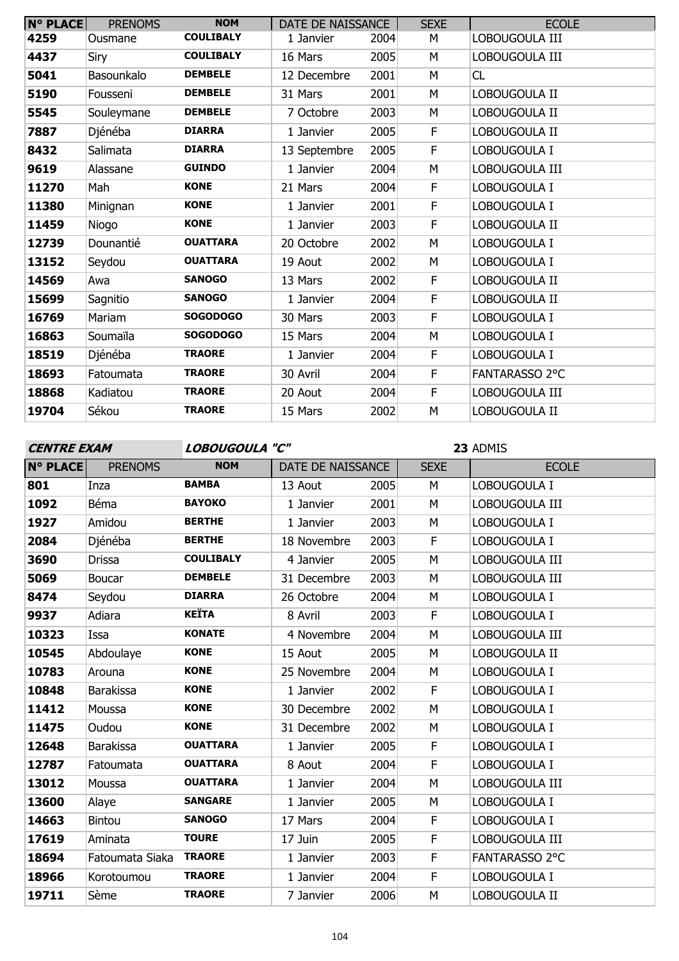| $N^{\circ}$ PLACE | <b>PRENOMS</b> | <b>NOM</b>       | DATE DE NAISSANCE |      | <b>SEXE</b> | <b>ECOLE</b>   |
|-------------------|----------------|------------------|-------------------|------|-------------|----------------|
| 4259              | Ousmane        | <b>COULIBALY</b> | 1 Janvier         | 2004 | М           | LOBOUGOULA III |
| 4437              | Siry           | <b>COULIBALY</b> | 16 Mars           | 2005 | М           | LOBOUGOULA III |
| 5041              | Basounkalo     | <b>DEMBELE</b>   | 12 Decembre       | 2001 | M           | CL             |
| 5190              | Fousseni       | <b>DEMBELE</b>   | 31 Mars           | 2001 | M           | LOBOUGOULA II  |
| 5545              | Souleymane     | <b>DEMBELE</b>   | 7 Octobre         | 2003 | M           | LOBOUGOULA II  |
| 7887              | Djénéba        | <b>DIARRA</b>    | 1 Janvier         | 2005 | F           | LOBOUGOULA II  |
| 8432              | Salimata       | <b>DIARRA</b>    | 13 Septembre      | 2005 | F           | LOBOUGOULA I   |
| 9619              | Alassane       | <b>GUINDO</b>    | 1 Janvier         | 2004 | M           | LOBOUGOULA III |
| 11270             | Mah            | <b>KONE</b>      | 21 Mars           | 2004 | F           | LOBOUGOULA I   |
| 11380             | Minignan       | <b>KONE</b>      | 1 Janvier         | 2001 | F           | LOBOUGOULA I   |
| 11459             | Niogo          | <b>KONE</b>      | 1 Janvier         | 2003 | F           | LOBOUGOULA II  |
| 12739             | Dounantié      | <b>OUATTARA</b>  | 20 Octobre        | 2002 | M           | LOBOUGOULA I   |
| 13152             | Seydou         | <b>OUATTARA</b>  | 19 Aout           | 2002 | M           | LOBOUGOULA I   |
| 14569             | Awa            | <b>SANOGO</b>    | 13 Mars           | 2002 | F           | LOBOUGOULA II  |
| 15699             | Sagnitio       | <b>SANOGO</b>    | 1 Janvier         | 2004 | F           | LOBOUGOULA II  |
| 16769             | Mariam         | <b>SOGODOGO</b>  | 30 Mars           | 2003 | F           | LOBOUGOULA I   |
| 16863             | Soumaïla       | <b>SOGODOGO</b>  | 15 Mars           | 2004 | M           | LOBOUGOULA I   |
| 18519             | Djénéba        | <b>TRAORE</b>    | 1 Janvier         | 2004 | F           | LOBOUGOULA I   |
| 18693             | Fatoumata      | <b>TRAORE</b>    | 30 Avril          | 2004 | F           | FANTARASSO 2°C |
| 18868             | Kadiatou       | <b>TRAORE</b>    | 20 Aout           | 2004 | F           | LOBOUGOULA III |
| 19704             | Sékou          | <b>TRAORE</b>    | 15 Mars           | 2002 | M           | LOBOUGOULA II  |

**CENTRE EXAM LOBOUGOULA "C"**

| <b>N° PLACE</b> | <b>PRENOMS</b>   | <b>NOM</b>       | DATE DE NAISSANCE |      | <b>SEXE</b> | <b>ECOLE</b>   |
|-----------------|------------------|------------------|-------------------|------|-------------|----------------|
| 801             | Inza             | <b>BAMBA</b>     | 13 Aout           | 2005 | M           | LOBOUGOULA I   |
| 1092            | Béma             | <b>BAYOKO</b>    | 1 Janvier         | 2001 | M           | LOBOUGOULA III |
| 1927            | Amidou           | <b>BERTHE</b>    | 1 Janvier         | 2003 | M           | LOBOUGOULA I   |
| 2084            | Djénéba          | <b>BERTHE</b>    | 18 Novembre       | 2003 | $\mathsf F$ | LOBOUGOULA I   |
| 3690            | <b>Drissa</b>    | <b>COULIBALY</b> | 4 Janvier         | 2005 | M           | LOBOUGOULA III |
| 5069            | <b>Boucar</b>    | <b>DEMBELE</b>   | 31 Decembre       | 2003 | M           | LOBOUGOULA III |
| 8474            | Seydou           | <b>DIARRA</b>    | 26 Octobre        | 2004 | M           | LOBOUGOULA I   |
| 9937            | Adiara           | <b>KEÏTA</b>     | 8 Avril           | 2003 | F           | LOBOUGOULA I   |
| 10323           | Issa             | <b>KONATE</b>    | 4 Novembre        | 2004 | M           | LOBOUGOULA III |
| 10545           | Abdoulaye        | <b>KONE</b>      | 15 Aout           | 2005 | M           | LOBOUGOULA II  |
| 10783           | Arouna           | <b>KONE</b>      | 25 Novembre       | 2004 | M           | LOBOUGOULA I   |
| 10848           | <b>Barakissa</b> | <b>KONE</b>      | 1 Janvier         | 2002 | F           | LOBOUGOULA I   |
| 11412           | Moussa           | <b>KONE</b>      | 30 Decembre       | 2002 | M           | LOBOUGOULA I   |
| 11475           | Oudou            | <b>KONE</b>      | 31 Decembre       | 2002 | M           | LOBOUGOULA I   |
| 12648           | <b>Barakissa</b> | <b>OUATTARA</b>  | 1 Janvier         | 2005 | $\mathsf F$ | LOBOUGOULA I   |
| 12787           | Fatoumata        | <b>OUATTARA</b>  | 8 Aout            | 2004 | F           | LOBOUGOULA I   |
| 13012           | Moussa           | <b>OUATTARA</b>  | 1 Janvier         | 2004 | M           | LOBOUGOULA III |
| 13600           | Alaye            | <b>SANGARE</b>   | 1 Janvier         | 2005 | M           | LOBOUGOULA I   |
| 14663           | <b>Bintou</b>    | <b>SANOGO</b>    | 17 Mars           | 2004 | F           | LOBOUGOULA I   |
| 17619           | Aminata          | <b>TOURE</b>     | 17 Juin           | 2005 | F           | LOBOUGOULA III |
| 18694           | Fatoumata Siaka  | <b>TRAORE</b>    | 1 Janvier         | 2003 | F           | FANTARASSO 2°C |
| 18966           | Korotoumou       | <b>TRAORE</b>    | 1 Janvier         | 2004 | F           | LOBOUGOULA I   |
| 19711           | Sème             | <b>TRAORE</b>    | 7 Janvier         | 2006 | M           | LOBOUGOULA II  |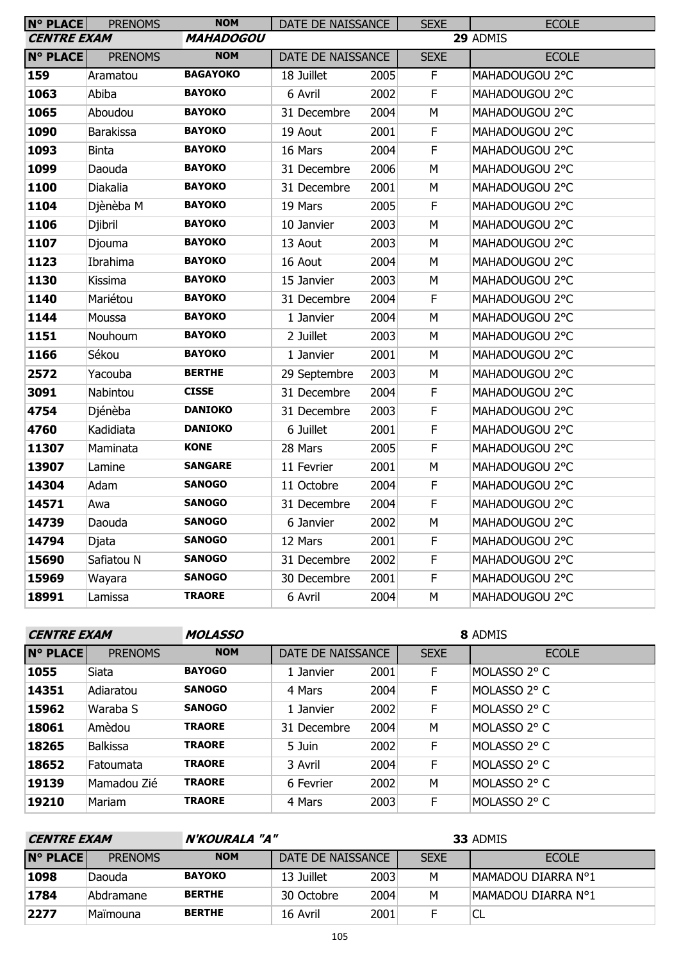| <b>N° PLACE</b>    | <b>PRENOMS</b>   | <b>NOM</b>       | DATE DE NAISSANCE        |      | <b>SEXE</b> | <b>ECOLE</b>   |
|--------------------|------------------|------------------|--------------------------|------|-------------|----------------|
| <b>CENTRE EXAM</b> |                  | <b>MAHADOGOU</b> |                          |      |             | 29 ADMIS       |
| <b>N° PLACE</b>    | <b>PRENOMS</b>   | <b>NOM</b>       | <b>DATE DE NAISSANCE</b> |      | <b>SEXE</b> | <b>ECOLE</b>   |
| 159                | Aramatou         | <b>BAGAYOKO</b>  | 18 Juillet               | 2005 | F           | MAHADOUGOU 2°C |
| 1063               | Abiba            | <b>BAYOKO</b>    | 6 Avril                  | 2002 | F           | MAHADOUGOU 2°C |
| 1065               | Aboudou          | <b>BAYOKO</b>    | 31 Decembre              | 2004 | M           | MAHADOUGOU 2°C |
| 1090               | <b>Barakissa</b> | <b>BAYOKO</b>    | 19 Aout                  | 2001 | F           | MAHADOUGOU 2°C |
| 1093               | <b>Binta</b>     | <b>BAYOKO</b>    | 16 Mars                  | 2004 | F           | MAHADOUGOU 2°C |
| 1099               | Daouda           | <b>BAYOKO</b>    | 31 Decembre              | 2006 | M           | MAHADOUGOU 2°C |
| 1100               | Diakalia         | <b>BAYOKO</b>    | 31 Decembre              | 2001 | M           | MAHADOUGOU 2°C |
| 1104               | Djènèba M        | <b>BAYOKO</b>    | 19 Mars                  | 2005 | F           | MAHADOUGOU 2°C |
| 1106               | Djibril          | <b>BAYOKO</b>    | 10 Janvier               | 2003 | M           | MAHADOUGOU 2°C |
| 1107               | Djouma           | <b>BAYOKO</b>    | 13 Aout                  | 2003 | M           | MAHADOUGOU 2°C |
| 1123               | Ibrahima         | <b>BAYOKO</b>    | 16 Aout                  | 2004 | M           | MAHADOUGOU 2°C |
| 1130               | Kissima          | <b>BAYOKO</b>    | 15 Janvier               | 2003 | М           | MAHADOUGOU 2°C |
| 1140               | Mariétou         | <b>BAYOKO</b>    | 31 Decembre              | 2004 | F           | MAHADOUGOU 2°C |
| 1144               | Moussa           | <b>BAYOKO</b>    | 1 Janvier                | 2004 | M           | MAHADOUGOU 2°C |
| 1151               | Nouhoum          | <b>BAYOKO</b>    | 2 Juillet                | 2003 | M           | MAHADOUGOU 2°C |
| 1166               | Sékou            | <b>BAYOKO</b>    | 1 Janvier                | 2001 | М           | MAHADOUGOU 2°C |
| 2572               | Yacouba          | <b>BERTHE</b>    | 29 Septembre             | 2003 | M           | MAHADOUGOU 2°C |
| 3091               | Nabintou         | <b>CISSE</b>     | 31 Decembre              | 2004 | F           | MAHADOUGOU 2°C |
| 4754               | Djénèba          | <b>DANIOKO</b>   | 31 Decembre              | 2003 | F           | MAHADOUGOU 2°C |
| 4760               | Kadidiata        | <b>DANIOKO</b>   | 6 Juillet                | 2001 | F           | MAHADOUGOU 2°C |
| 11307              | Maminata         | <b>KONE</b>      | 28 Mars                  | 2005 | $\mathsf F$ | MAHADOUGOU 2°C |
| 13907              | Lamine           | <b>SANGARE</b>   | 11 Fevrier               | 2001 | M           | MAHADOUGOU 2°C |
| 14304              | Adam             | <b>SANOGO</b>    | 11 Octobre               | 2004 | F           | MAHADOUGOU 2°C |
| 14571              | Awa              | <b>SANOGO</b>    | 31 Decembre              | 2004 | $\mathsf F$ | MAHADOUGOU 2°C |
| 14739              | Daouda           | <b>SANOGO</b>    | 6 Janvier                | 2002 | ${\sf M}$   | MAHADOUGOU 2°C |
| 14794              | Djata            | <b>SANOGO</b>    | 12 Mars                  | 2001 | F           | MAHADOUGOU 2°C |
| 15690              | Safiatou N       | <b>SANOGO</b>    | 31 Decembre              | 2002 | F           | MAHADOUGOU 2°C |
| 15969              | Wayara           | <b>SANOGO</b>    | 30 Decembre              | 2001 | F           | MAHADOUGOU 2°C |
| 18991              | Lamissa          | <b>TRAORE</b>    | 6 Avril                  | 2004 | М           | MAHADOUGOU 2°C |

| <b>CENTRE EXAM</b> |  |
|--------------------|--|
|--------------------|--|

**CENTRE EXAM MOLASSO**

| <b>N° PLACE</b> | <b>PRENOMS</b>  | <b>NOM</b>    | DATE DE NAISSANCE |      | <b>SEXE</b> | <b>ECOLE</b> |
|-----------------|-----------------|---------------|-------------------|------|-------------|--------------|
| 1055            | Siata           | <b>BAYOGO</b> | 1 Janvier         | 2001 | F           | MOLASSO 2° C |
| 14351           | Adiaratou       | <b>SANOGO</b> | 4 Mars            | 2004 | F           | MOLASSO 2° C |
| 15962           | Waraba S        | <b>SANOGO</b> | 1 Janvier         | 2002 | F           | MOLASSO 2° C |
| 18061           | Amèdou          | <b>TRAORE</b> | 31 Decembre       | 2004 | M           | MOLASSO 2° C |
| 18265           | <b>Balkissa</b> | <b>TRAORE</b> | 5 Juin            | 2002 | F           | MOLASSO 2° C |
| 18652           | Fatoumata       | <b>TRAORE</b> | 3 Avril           | 2004 | F           | MOLASSO 2° C |
| 19139           | Mamadou Zié     | <b>TRAORE</b> | 6 Fevrier         | 2002 | M           | MOLASSO 2° C |
| 19210           | Mariam          | <b>TRAORE</b> | 4 Mars            | 2003 | F           | MOLASSO 2° C |

| N'KOURALA "A"<br><b>CENTRE EXAM</b> |                | 33 ADMIS      |                   |      |             |                    |
|-------------------------------------|----------------|---------------|-------------------|------|-------------|--------------------|
| IN° PLACEI                          | <b>PRENOMS</b> | <b>NOM</b>    | DATE DE NAISSANCE |      | <b>SEXE</b> | <b>ECOLE</b>       |
| 1098                                | 'Daouda        | <b>BAYOKO</b> | 13 Juillet        | 2003 | М           | MAMADOU DIARRA N°1 |
| 1784                                | Abdramane      | <b>BERTHE</b> | 30 Octobre        | 2004 | М           | MAMADOU DIARRA N°1 |
| 2277                                | Maïmouna       | <b>BERTHE</b> | 16 Avril          | 2001 |             | CL                 |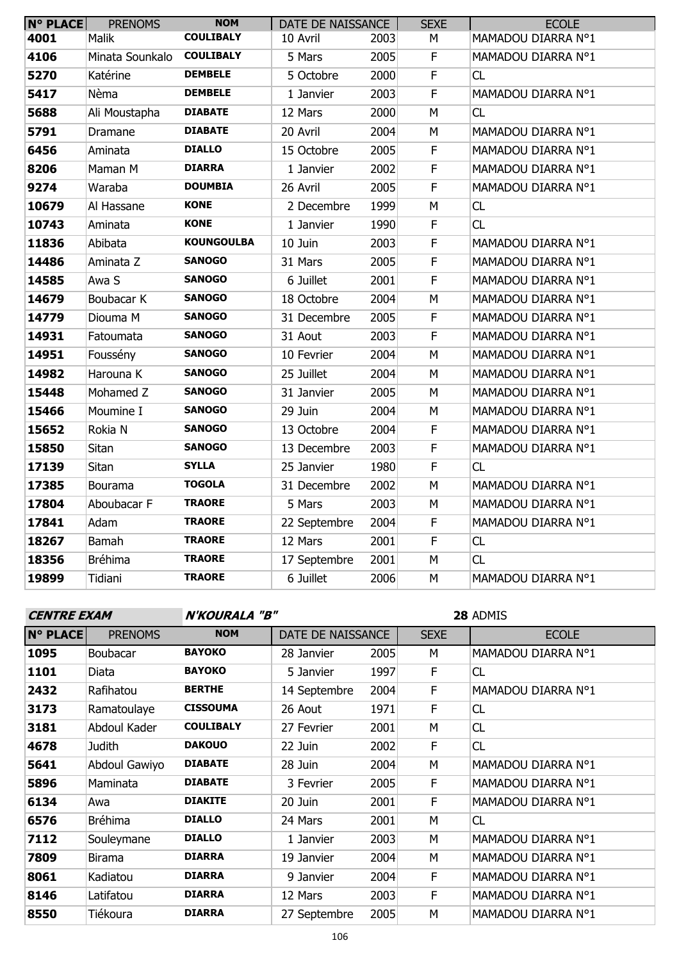| <b>N° PLACE</b> | <b>PRENOMS</b>  | <b>NOM</b>        | DATE DE NAISSANCE |      | <b>SEXE</b>    | <b>ECOLE</b>       |
|-----------------|-----------------|-------------------|-------------------|------|----------------|--------------------|
| 4001            | <b>Malik</b>    | <b>COULIBALY</b>  | 10 Avril          | 2003 | М              | MAMADOU DIARRA Nº1 |
| 4106            | Minata Sounkalo | <b>COULIBALY</b>  | 5 Mars            | 2005 | $\mathsf F$    | MAMADOU DIARRA Nº1 |
| 5270            | Katérine        | <b>DEMBELE</b>    | 5 Octobre         | 2000 | $\mathsf F$    | CL                 |
| 5417            | Nèma            | <b>DEMBELE</b>    | 1 Janvier         | 2003 | $\mathsf F$    | MAMADOU DIARRA Nº1 |
| 5688            | Ali Moustapha   | <b>DIABATE</b>    | 12 Mars           | 2000 | M              | CL                 |
| 5791            | Dramane         | <b>DIABATE</b>    | 20 Avril          | 2004 | M              | MAMADOU DIARRA Nº1 |
| 6456            | Aminata         | <b>DIALLO</b>     | 15 Octobre        | 2005 | F              | MAMADOU DIARRA Nº1 |
| 8206            | Maman M         | <b>DIARRA</b>     | 1 Janvier         | 2002 | $\mathsf F$    | MAMADOU DIARRA Nº1 |
| 9274            | Waraba          | <b>DOUMBIA</b>    | 26 Avril          | 2005 | F              | MAMADOU DIARRA Nº1 |
| 10679           | Al Hassane      | <b>KONE</b>       | 2 Decembre        | 1999 | M              | CL                 |
| 10743           | Aminata         | <b>KONE</b>       | 1 Janvier         | 1990 | $\mathsf F$    | CL                 |
| 11836           | Abibata         | <b>KOUNGOULBA</b> | 10 Juin           | 2003 | $\mathsf F$    | MAMADOU DIARRA Nº1 |
| 14486           | Aminata Z       | <b>SANOGO</b>     | 31 Mars           | 2005 | $\mathsf F$    | MAMADOU DIARRA Nº1 |
| 14585           | Awa S           | <b>SANOGO</b>     | 6 Juillet         | 2001 | $\overline{F}$ | MAMADOU DIARRA Nº1 |
| 14679           | Boubacar K      | <b>SANOGO</b>     | 18 Octobre        | 2004 | M              | MAMADOU DIARRA Nº1 |
| 14779           | Diouma M        | <b>SANOGO</b>     | 31 Decembre       | 2005 | $\mathsf F$    | MAMADOU DIARRA Nº1 |
| 14931           | Fatoumata       | <b>SANOGO</b>     | 31 Aout           | 2003 | $\mathsf F$    | MAMADOU DIARRA Nº1 |
| 14951           | Foussény        | <b>SANOGO</b>     | 10 Fevrier        | 2004 | M              | MAMADOU DIARRA Nº1 |
| 14982           | Harouna K       | <b>SANOGO</b>     | 25 Juillet        | 2004 | M              | MAMADOU DIARRA Nº1 |
| 15448           | Mohamed Z       | <b>SANOGO</b>     | 31 Janvier        | 2005 | M              | MAMADOU DIARRA Nº1 |
| 15466           | Moumine I       | <b>SANOGO</b>     | 29 Juin           | 2004 | M              | MAMADOU DIARRA Nº1 |
| 15652           | Rokia N         | <b>SANOGO</b>     | 13 Octobre        | 2004 | $\mathsf F$    | MAMADOU DIARRA Nº1 |
| 15850           | Sitan           | <b>SANOGO</b>     | 13 Decembre       | 2003 | $\mathsf F$    | MAMADOU DIARRA Nº1 |
| 17139           | Sitan           | <b>SYLLA</b>      | 25 Janvier        | 1980 | $\mathsf F$    | CL                 |
| 17385           | Bourama         | <b>TOGOLA</b>     | 31 Decembre       | 2002 | M              | MAMADOU DIARRA Nº1 |
| 17804           | Aboubacar F     | <b>TRAORE</b>     | 5 Mars            | 2003 | M              | MAMADOU DIARRA Nº1 |
| 17841           | Adam            | <b>TRAORE</b>     | 22 Septembre      | 2004 | $\mathsf F$    | MAMADOU DIARRA Nº1 |
| 18267           | <b>Bamah</b>    | <b>TRAORE</b>     | 12 Mars           | 2001 | $\mathsf F$    | CL                 |
| 18356           | <b>Bréhima</b>  | <b>TRAORE</b>     | 17 Septembre      | 2001 | M              | CL                 |
| 19899           | Tidiani         | <b>TRAORE</b>     | 6 Juillet         | 2006 | M              | MAMADOU DIARRA Nº1 |

| <b>CENTRE EXAM</b> |                 | N'KOURALA "B"    |                   |      | 28 ADMIS    |                    |  |
|--------------------|-----------------|------------------|-------------------|------|-------------|--------------------|--|
| <b>N° PLACE</b>    | <b>PRENOMS</b>  | <b>NOM</b>       | DATE DE NAISSANCE |      | <b>SEXE</b> | <b>ECOLE</b>       |  |
| 1095               | <b>Boubacar</b> | <b>BAYOKO</b>    | 28 Janvier        | 2005 | М           | MAMADOU DIARRA Nº1 |  |
| 1101               | Diata           | <b>BAYOKO</b>    | 5 Janvier         | 1997 | F           | <b>CL</b>          |  |
| 2432               | Rafihatou       | <b>BERTHE</b>    | 14 Septembre      | 2004 | F           | MAMADOU DIARRA Nº1 |  |
| 3173               | Ramatoulaye     | <b>CISSOUMA</b>  | 26 Aout           | 1971 | F           | <b>CL</b>          |  |
| 3181               | Abdoul Kader    | <b>COULIBALY</b> | 27 Fevrier        | 2001 | M           | CL                 |  |
| 4678               | Judith          | <b>DAKOUO</b>    | 22 Juin           | 2002 | F           | <b>CL</b>          |  |
| 5641               | Abdoul Gawiyo   | <b>DIABATE</b>   | 28 Juin           | 2004 | М           | MAMADOU DIARRA Nº1 |  |
| 5896               | Maminata        | <b>DIABATE</b>   | 3 Fevrier         | 2005 | F.          | MAMADOU DIARRA Nº1 |  |
| 6134               | Awa             | <b>DIAKITE</b>   | 20 Juin           | 2001 | F           | MAMADOU DIARRA Nº1 |  |
| 6576               | Bréhima         | <b>DIALLO</b>    | 24 Mars           | 2001 | M           | <b>CL</b>          |  |
| 7112               | Souleymane      | <b>DIALLO</b>    | 1 Janvier         | 2003 | M           | MAMADOU DIARRA Nº1 |  |
| 7809               | Birama          | <b>DIARRA</b>    | 19 Janvier        | 2004 | М           | MAMADOU DIARRA Nº1 |  |
| 8061               | Kadiatou        | <b>DIARRA</b>    | 9 Janvier         | 2004 | F           | MAMADOU DIARRA N°1 |  |
| 8146               | Latifatou       | <b>DIARRA</b>    | 12 Mars           | 2003 | F           | MAMADOU DIARRA Nº1 |  |
| 8550               | Tiékoura        | <b>DIARRA</b>    | 27 Septembre      | 2005 | M           | MAMADOU DIARRA Nº1 |  |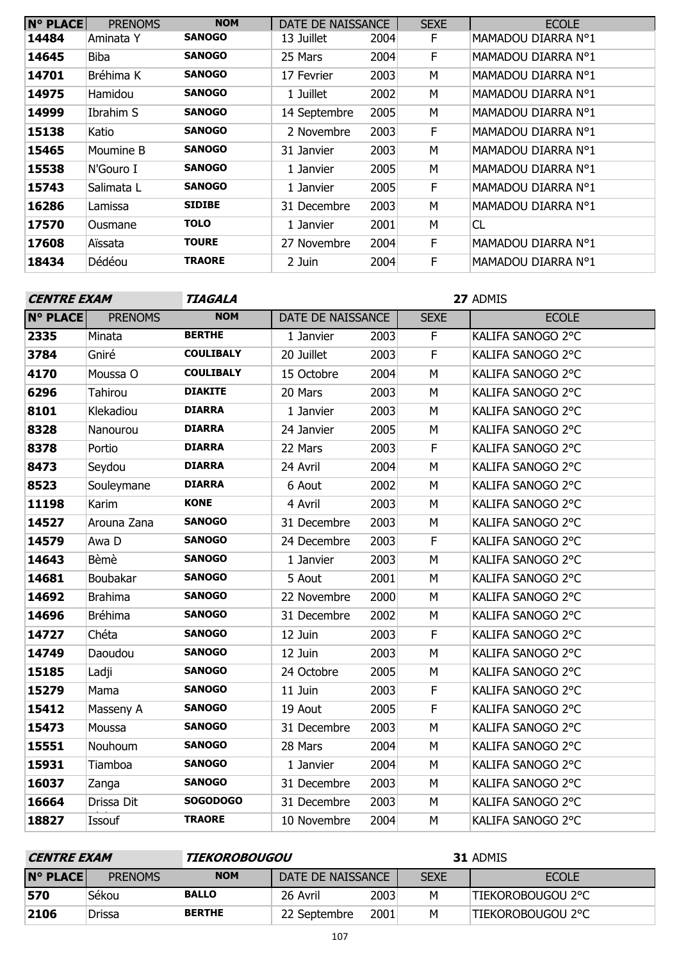| <b>N° PLACE</b> | <b>PRENOMS</b> | <b>NOM</b>    | DATE DE NAISSANCE |      | <b>SEXE</b> | <b>ECOLE</b>       |
|-----------------|----------------|---------------|-------------------|------|-------------|--------------------|
| 14484           | Aminata Y      | <b>SANOGO</b> | 13 Juillet        | 2004 | F.          | MAMADOU DIARRA Nº1 |
| 14645           | Biba           | <b>SANOGO</b> | 25 Mars           | 2004 | F           | MAMADOU DIARRA N°1 |
| 14701           | Bréhima K      | <b>SANOGO</b> | 17 Fevrier        | 2003 | М           | MAMADOU DIARRA N°1 |
| 14975           | Hamidou        | <b>SANOGO</b> | 1 Juillet         | 2002 | М           | MAMADOU DIARRA N°1 |
| 14999           | Ibrahim S      | <b>SANOGO</b> | 14 Septembre      | 2005 | М           | MAMADOU DIARRA N°1 |
| 15138           | Katio          | <b>SANOGO</b> | 2 Novembre        | 2003 | F           | MAMADOU DIARRA N°1 |
| 15465           | Moumine B      | <b>SANOGO</b> | 31 Janvier        | 2003 | М           | MAMADOU DIARRA N°1 |
| 15538           | N'Gouro I      | <b>SANOGO</b> | 1 Janvier         | 2005 | М           | MAMADOU DIARRA N°1 |
| 15743           | Salimata L     | <b>SANOGO</b> | 1 Janvier         | 2005 | F           | MAMADOU DIARRA N°1 |
| 16286           | Lamissa        | <b>SIDIBE</b> | 31 Decembre       | 2003 | М           | MAMADOU DIARRA N°1 |
| 17570           | Ousmane        | <b>TOLO</b>   | 1 Janvier         | 2001 | М           | CL                 |
| 17608           | Aïssata        | <b>TOURE</b>  | 27 Novembre       | 2004 | F           | MAMADOU DIARRA N°1 |
| 18434           | Dédéou         | <b>TRAORE</b> | 2 Juin            | 2004 | F.          | MAMADOU DIARRA N°1 |

| <b>CENTRE EXAM</b> |                | TIAGALA          | 27 ADMIS          |      |             |                   |  |  |
|--------------------|----------------|------------------|-------------------|------|-------------|-------------------|--|--|
| <b>N° PLACE</b>    | <b>PRENOMS</b> | <b>NOM</b>       | DATE DE NAISSANCE |      | <b>SEXE</b> | <b>ECOLE</b>      |  |  |
| 2335               | Minata         | <b>BERTHE</b>    | 1 Janvier         | 2003 | F.          | KALIFA SANOGO 2°C |  |  |
| 3784               | Gniré          | <b>COULIBALY</b> | 20 Juillet        | 2003 | F           | KALIFA SANOGO 2°C |  |  |
| 4170               | Moussa O       | <b>COULIBALY</b> | 15 Octobre        | 2004 | M           | KALIFA SANOGO 2°C |  |  |
| 6296               | <b>Tahirou</b> | <b>DIAKITE</b>   | 20 Mars           | 2003 | M           | KALIFA SANOGO 2°C |  |  |
| 8101               | Klekadiou      | <b>DIARRA</b>    | 1 Janvier         | 2003 | M           | KALIFA SANOGO 2°C |  |  |
| 8328               | Nanourou       | <b>DIARRA</b>    | 24 Janvier        | 2005 | M           | KALIFA SANOGO 2°C |  |  |
| 8378               | Portio         | <b>DIARRA</b>    | 22 Mars           | 2003 | F           | KALIFA SANOGO 2°C |  |  |
| 8473               | Seydou         | <b>DIARRA</b>    | 24 Avril          | 2004 | M           | KALIFA SANOGO 2°C |  |  |
| 8523               | Souleymane     | <b>DIARRA</b>    | 6 Aout            | 2002 | M           | KALIFA SANOGO 2°C |  |  |
| 11198              | Karim          | <b>KONE</b>      | 4 Avril           | 2003 | M           | KALIFA SANOGO 2°C |  |  |
| 14527              | Arouna Zana    | <b>SANOGO</b>    | 31 Decembre       | 2003 | M           | KALIFA SANOGO 2°C |  |  |
| 14579              | Awa D          | <b>SANOGO</b>    | 24 Decembre       | 2003 | F           | KALIFA SANOGO 2°C |  |  |
| 14643              | Bèmè           | <b>SANOGO</b>    | 1 Janvier         | 2003 | M           | KALIFA SANOGO 2°C |  |  |
| 14681              | Boubakar       | <b>SANOGO</b>    | 5 Aout            | 2001 | M           | KALIFA SANOGO 2°C |  |  |
| 14692              | <b>Brahima</b> | <b>SANOGO</b>    | 22 Novembre       | 2000 | M           | KALIFA SANOGO 2°C |  |  |
| 14696              | <b>Bréhima</b> | <b>SANOGO</b>    | 31 Decembre       | 2002 | M           | KALIFA SANOGO 2°C |  |  |
| 14727              | Chéta          | <b>SANOGO</b>    | 12 Juin           | 2003 | F           | KALIFA SANOGO 2°C |  |  |
| 14749              | Daoudou        | <b>SANOGO</b>    | 12 Juin           | 2003 | M           | KALIFA SANOGO 2°C |  |  |
| 15185              | Ladji          | <b>SANOGO</b>    | 24 Octobre        | 2005 | M           | KALIFA SANOGO 2°C |  |  |
| 15279              | Mama           | <b>SANOGO</b>    | 11 Juin           | 2003 | F           | KALIFA SANOGO 2°C |  |  |
| 15412              | Masseny A      | <b>SANOGO</b>    | 19 Aout           | 2005 | F           | KALIFA SANOGO 2°C |  |  |
| 15473              | Moussa         | <b>SANOGO</b>    | 31 Decembre       | 2003 | M           | KALIFA SANOGO 2°C |  |  |
| 15551              | Nouhoum        | <b>SANOGO</b>    | 28 Mars           | 2004 | M           | KALIFA SANOGO 2°C |  |  |
| 15931              | Tiamboa        | <b>SANOGO</b>    | 1 Janvier         | 2004 | М           | KALIFA SANOGO 2°C |  |  |
| 16037              | Zanga          | <b>SANOGO</b>    | 31 Decembre       | 2003 | M           | KALIFA SANOGO 2°C |  |  |
| 16664              | Drissa Dit     | <b>SOGODOGO</b>  | 31 Decembre       | 2003 | M           | KALIFA SANOGO 2°C |  |  |
| 18827              | Issouf         | <b>TRAORE</b>    | 10 Novembre       | 2004 | M           | KALIFA SANOGO 2°C |  |  |
|                    |                |                  |                   |      |             |                   |  |  |

| <i><b>CENTRE EXAM</b></i> |                | TIEKOROBOUGOU |                   |      | <b>31 ADMIS</b> |                    |
|---------------------------|----------------|---------------|-------------------|------|-----------------|--------------------|
| <b>N° PLACE</b>           | <b>PRENOMS</b> | <b>NOM</b>    | DATE DE NAISSANCE |      | <b>SEXE</b>     | <b>ECOLE</b>       |
| 570                       | Sékou          | <b>BALLO</b>  | 26 Avril          | 2003 | M               | itiekorobougou 2°C |
| 2106                      | Drissa         | <b>BERTHE</b> | 22 Septembre      | 2001 | M               | TIEKOROBOUGOU 2°C  |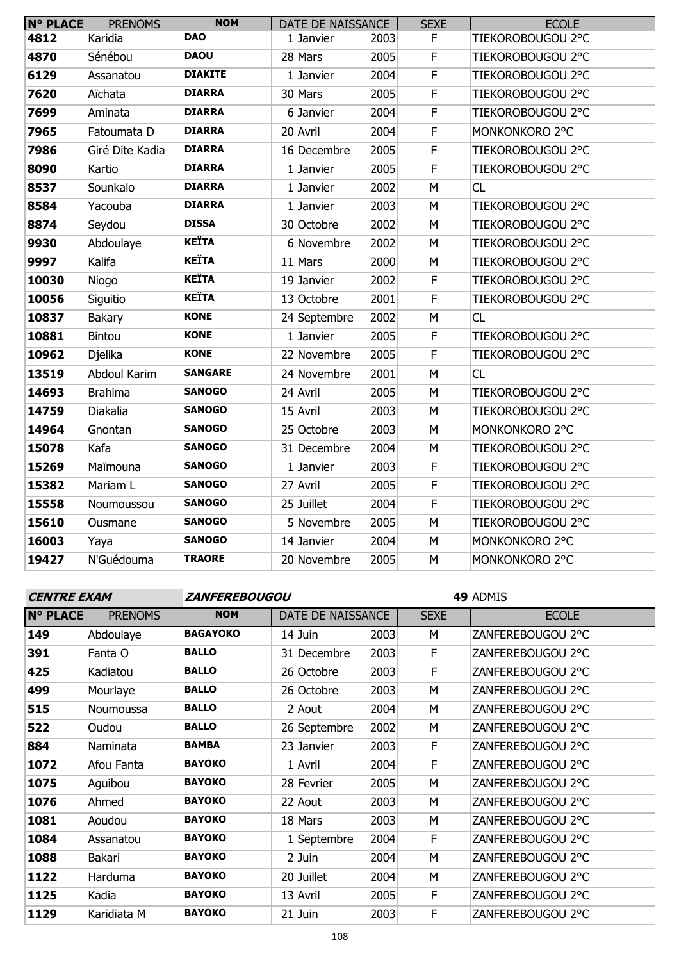| <b>N° PLACE</b> | <b>PRENOMS</b>  | <b>NOM</b>     | DATE DE NAISSANCE |      | <b>SEXE</b>             | <b>ECOLE</b>      |
|-----------------|-----------------|----------------|-------------------|------|-------------------------|-------------------|
| 4812            | Karidia         | <b>DAO</b>     | 1 Janvier         | 2003 | F                       | TIEKOROBOUGOU 2°C |
| 4870            | Sénébou         | <b>DAOU</b>    | 28 Mars           | 2005 | $\overline{\mathsf{F}}$ | TIEKOROBOUGOU 2°C |
| 6129            | Assanatou       | <b>DIAKITE</b> | 1 Janvier         | 2004 | $\mathsf F$             | TIEKOROBOUGOU 2°C |
| 7620            | Aïchata         | <b>DIARRA</b>  | 30 Mars           | 2005 | $\overline{F}$          | TIEKOROBOUGOU 2°C |
| 7699            | Aminata         | <b>DIARRA</b>  | 6 Janvier         | 2004 | $\mathsf F$             | TIEKOROBOUGOU 2°C |
| 7965            | Fatoumata D     | <b>DIARRA</b>  | 20 Avril          | 2004 | F                       | MONKONKORO 2°C    |
| 7986            | Giré Dite Kadia | <b>DIARRA</b>  | 16 Decembre       | 2005 | $\mathsf F$             | TIEKOROBOUGOU 2°C |
| 8090            | Kartio          | <b>DIARRA</b>  | 1 Janvier         | 2005 | F                       | TIEKOROBOUGOU 2°C |
| 8537            | Sounkalo        | <b>DIARRA</b>  | 1 Janvier         | 2002 | M                       | CL                |
| 8584            | Yacouba         | <b>DIARRA</b>  | 1 Janvier         | 2003 | M                       | TIEKOROBOUGOU 2°C |
| 8874            | Seydou          | <b>DISSA</b>   | 30 Octobre        | 2002 | M                       | TIEKOROBOUGOU 2°C |
| 9930            | Abdoulaye       | <b>KEÏTA</b>   | 6 Novembre        | 2002 | M                       | TIEKOROBOUGOU 2°C |
| 9997            | Kalifa          | <b>KEÏTA</b>   | 11 Mars           | 2000 | M                       | TIEKOROBOUGOU 2°C |
| 10030           | Niogo           | <b>KEÏTA</b>   | 19 Janvier        | 2002 | $\mathsf F$             | TIEKOROBOUGOU 2°C |
| 10056           | Siguitio        | <b>KEÏTA</b>   | 13 Octobre        | 2001 | $\mathsf F$             | TIEKOROBOUGOU 2°C |
| 10837           | <b>Bakary</b>   | <b>KONE</b>    | 24 Septembre      | 2002 | M                       | CL                |
| 10881           | <b>Bintou</b>   | <b>KONE</b>    | 1 Janvier         | 2005 | $\mathsf F$             | TIEKOROBOUGOU 2°C |
| 10962           | Djelika         | <b>KONE</b>    | 22 Novembre       | 2005 | $\mathsf F$             | TIEKOROBOUGOU 2°C |
| 13519           | Abdoul Karim    | <b>SANGARE</b> | 24 Novembre       | 2001 | M                       | <b>CL</b>         |
| 14693           | <b>Brahima</b>  | <b>SANOGO</b>  | 24 Avril          | 2005 | M                       | TIEKOROBOUGOU 2°C |
| 14759           | Diakalia        | <b>SANOGO</b>  | 15 Avril          | 2003 | M                       | TIEKOROBOUGOU 2°C |
| 14964           | Gnontan         | <b>SANOGO</b>  | 25 Octobre        | 2003 | M                       | MONKONKORO 2°C    |
| 15078           | Kafa            | <b>SANOGO</b>  | 31 Decembre       | 2004 | M                       | TIEKOROBOUGOU 2°C |
| 15269           | Maïmouna        | <b>SANOGO</b>  | 1 Janvier         | 2003 | $\mathsf F$             | TIEKOROBOUGOU 2°C |
| 15382           | Mariam L        | <b>SANOGO</b>  | 27 Avril          | 2005 | $\mathsf F$             | TIEKOROBOUGOU 2°C |
| 15558           | Noumoussou      | <b>SANOGO</b>  | 25 Juillet        | 2004 | $\mathsf F$             | TIEKOROBOUGOU 2°C |
| 15610           | Ousmane         | <b>SANOGO</b>  | 5 Novembre        | 2005 | M                       | TIEKOROBOUGOU 2°C |
| 16003           | Yaya            | <b>SANOGO</b>  | 14 Janvier        | 2004 | M                       | MONKONKORO 2°C    |
| 19427           | N'Guédouma      | <b>TRAORE</b>  | 20 Novembre       | 2005 | M                       | MONKONKORO 2°C    |

**CENTRE EXAM ZANFEREBOUGOU**

| <b>N° PLACE</b> | <b>PRENOMS</b> | <b>NOM</b>      | DATE DE NAISSANCE |      | <b>SEXE</b> | <b>ECOLE</b>      |
|-----------------|----------------|-----------------|-------------------|------|-------------|-------------------|
| 149             | Abdoulaye      | <b>BAGAYOKO</b> | 14 Juin           | 2003 | M           | ZANFEREBOUGOU 2°C |
| 391             | Fanta O        | <b>BALLO</b>    | 31 Decembre       | 2003 | F           | ZANFEREBOUGOU 2°C |
| 425             | Kadiatou       | <b>BALLO</b>    | 26 Octobre        | 2003 | E           | ZANFEREBOUGOU 2°C |
| 499             | Mourlaye       | <b>BALLO</b>    | 26 Octobre        | 2003 | M           | ZANFEREBOUGOU 2°C |
| 515             | Noumoussa      | <b>BALLO</b>    | 2 Aout            | 2004 | M           | ZANFEREBOUGOU 2°C |
| 522             | Oudou          | <b>BALLO</b>    | 26 Septembre      | 2002 | M           | ZANFEREBOUGOU 2°C |
| 884             | Naminata       | <b>BAMBA</b>    | 23 Janvier        | 2003 | F           | ZANFEREBOUGOU 2°C |
| 1072            | Afou Fanta     | <b>BAYOKO</b>   | 1 Avril           | 2004 | F           | ZANFEREBOUGOU 2°C |
| 1075            | Aguibou        | <b>BAYOKO</b>   | 28 Fevrier        | 2005 | M           | ZANFEREBOUGOU 2°C |
| 1076            | Ahmed          | <b>BAYOKO</b>   | 22 Aout           | 2003 | M           | ZANFEREBOUGOU 2°C |
| 1081            | Aoudou         | <b>BAYOKO</b>   | 18 Mars           | 2003 | M           | ZANFEREBOUGOU 2°C |
| 1084            | Assanatou      | <b>BAYOKO</b>   | 1 Septembre       | 2004 | F           | ZANFEREBOUGOU 2°C |
| 1088            | <b>Bakari</b>  | <b>BAYOKO</b>   | 2 Juin            | 2004 | M           | ZANFEREBOUGOU 2°C |
| 1122            | Harduma        | <b>BAYOKO</b>   | 20 Juillet        | 2004 | М           | ZANFEREBOUGOU 2°C |
| 1125            | Kadia          | <b>BAYOKO</b>   | 13 Avril          | 2005 | F           | ZANFEREBOUGOU 2°C |
| 1129            | Karidiata M    | <b>BAYOKO</b>   | 21 Juin           | 2003 | F           | ZANFEREBOUGOU 2°C |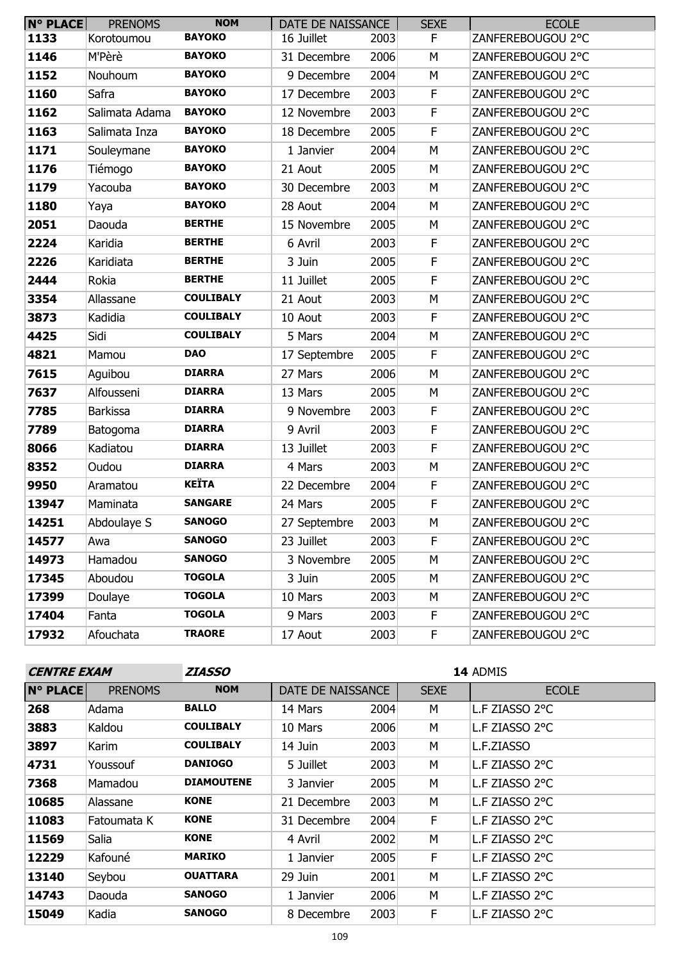| $N^{\circ}$ PLACE | <b>PRENOMS</b>  | <b>NOM</b>       | DATE DE NAISSANCE |      | <b>SEXE</b> | <b>ECOLE</b>      |
|-------------------|-----------------|------------------|-------------------|------|-------------|-------------------|
| 1133              | Korotoumou      | <b>BAYOKO</b>    | 16 Juillet        | 2003 | F           | ZANFEREBOUGOU 2°C |
| 1146              | M'Pèrè          | <b>BAYOKO</b>    | 31 Decembre       | 2006 | М           | ZANFEREBOUGOU 2°C |
| 1152              | Nouhoum         | <b>BAYOKO</b>    | 9 Decembre        | 2004 | M           | ZANFEREBOUGOU 2°C |
| 1160              | Safra           | <b>BAYOKO</b>    | 17 Decembre       | 2003 | F.          | ZANFEREBOUGOU 2°C |
| 1162              | Salimata Adama  | <b>BAYOKO</b>    | 12 Novembre       | 2003 | $\mathsf F$ | ZANFEREBOUGOU 2°C |
| 1163              | Salimata Inza   | <b>BAYOKO</b>    | 18 Decembre       | 2005 | $\mathsf F$ | ZANFEREBOUGOU 2°C |
| 1171              | Souleymane      | <b>BAYOKO</b>    | 1 Janvier         | 2004 | M           | ZANFEREBOUGOU 2°C |
| 1176              | Tiémogo         | <b>BAYOKO</b>    | 21 Aout           | 2005 | M           | ZANFEREBOUGOU 2°C |
| 1179              | Yacouba         | <b>BAYOKO</b>    | 30 Decembre       | 2003 | М           | ZANFEREBOUGOU 2°C |
| 1180              | Yaya            | <b>BAYOKO</b>    | 28 Aout           | 2004 | M           | ZANFEREBOUGOU 2°C |
| 2051              | Daouda          | <b>BERTHE</b>    | 15 Novembre       | 2005 | M           | ZANFEREBOUGOU 2°C |
| 2224              | Karidia         | <b>BERTHE</b>    | 6 Avril           | 2003 | F           | ZANFEREBOUGOU 2°C |
| 2226              | Karidiata       | <b>BERTHE</b>    | 3 Juin            | 2005 | F           | ZANFEREBOUGOU 2°C |
| 2444              | Rokia           | <b>BERTHE</b>    | 11 Juillet        | 2005 | $\mathsf F$ | ZANFEREBOUGOU 2°C |
| 3354              | Allassane       | <b>COULIBALY</b> | 21 Aout           | 2003 | M           | ZANFEREBOUGOU 2°C |
| 3873              | Kadidia         | <b>COULIBALY</b> | 10 Aout           | 2003 | $\mathsf F$ | ZANFEREBOUGOU 2°C |
| 4425              | Sidi            | <b>COULIBALY</b> | 5 Mars            | 2004 | M           | ZANFEREBOUGOU 2°C |
| 4821              | Mamou           | <b>DAO</b>       | 17 Septembre      | 2005 | $\mathsf F$ | ZANFEREBOUGOU 2°C |
| 7615              | Aguibou         | <b>DIARRA</b>    | 27 Mars           | 2006 | M           | ZANFEREBOUGOU 2°C |
| 7637              | Alfousseni      | <b>DIARRA</b>    | 13 Mars           | 2005 | М           | ZANFEREBOUGOU 2°C |
| 7785              | <b>Barkissa</b> | <b>DIARRA</b>    | 9 Novembre        | 2003 | $\mathsf F$ | ZANFEREBOUGOU 2°C |
| 7789              | Batogoma        | <b>DIARRA</b>    | 9 Avril           | 2003 | F           | ZANFEREBOUGOU 2°C |
| 8066              | Kadiatou        | <b>DIARRA</b>    | 13 Juillet        | 2003 | F           | ZANFEREBOUGOU 2°C |
| 8352              | Oudou           | <b>DIARRA</b>    | 4 Mars            | 2003 | M           | ZANFEREBOUGOU 2°C |
| 9950              | Aramatou        | <b>KEÏTA</b>     | 22 Decembre       | 2004 | $\mathsf F$ | ZANFEREBOUGOU 2°C |
| 13947             | Maminata        | <b>SANGARE</b>   | 24 Mars           | 2005 | F           | ZANFEREBOUGOU 2°C |
| 14251             | Abdoulaye S     | <b>SANOGO</b>    | 27 Septembre      | 2003 | М           | ZANFEREBOUGOU 2°C |
| 14577             | Awa             | <b>SANOGO</b>    | 23 Juillet        | 2003 | F.          | ZANFEREBOUGOU 2°C |
| 14973             | Hamadou         | <b>SANOGO</b>    | 3 Novembre        | 2005 | М           | ZANFEREBOUGOU 2°C |
| 17345             | Aboudou         | <b>TOGOLA</b>    | 3 Juin            | 2005 | М           | ZANFEREBOUGOU 2°C |
| 17399             | Doulaye         | <b>TOGOLA</b>    | 10 Mars           | 2003 | М           | ZANFEREBOUGOU 2°C |
| 17404             | Fanta           | <b>TOGOLA</b>    | 9 Mars            | 2003 | F.          | ZANFEREBOUGOU 2°C |
| 17932             | Afouchata       | <b>TRAORE</b>    | 17 Aout           | 2003 | F.          | ZANFEREBOUGOU 2°C |

| <b>CENTRE EXAM</b> |                | <i><b>ZIASSO</b></i> | 14 ADMIS          |      |             |                |
|--------------------|----------------|----------------------|-------------------|------|-------------|----------------|
| <b>N° PLACE</b>    | <b>PRENOMS</b> | <b>NOM</b>           | DATE DE NAISSANCE |      | <b>SEXE</b> | <b>ECOLE</b>   |
| 268                | Adama          | <b>BALLO</b>         | 14 Mars           | 2004 | М           | L.F ZIASSO 2°C |
| 3883               | Kaldou         | <b>COULIBALY</b>     | 10 Mars           | 2006 | M           | L.F ZIASSO 2°C |
| 3897               | Karim          | <b>COULIBALY</b>     | 14 Juin           | 2003 | M           | L.F.ZIASSO     |
| 4731               | Youssouf       | <b>DANIOGO</b>       | 5 Juillet         | 2003 | M           | L.F ZIASSO 2°C |
| 7368               | Mamadou        | <b>DIAMOUTENE</b>    | 3 Janvier         | 2005 | M           | L.F ZIASSO 2°C |
| 10685              | Alassane       | <b>KONE</b>          | 21 Decembre       | 2003 | M           | L.F ZIASSO 2°C |
| 11083              | Fatoumata K    | <b>KONE</b>          | 31 Decembre       | 2004 | F.          | L.F ZIASSO 2°C |
| 11569              | Salia          | <b>KONE</b>          | 4 Avril           | 2002 | M           | L.F ZIASSO 2°C |
| 12229              | Kafouné        | <b>MARIKO</b>        | 1 Janvier         | 2005 | F.          | L.F ZIASSO 2°C |
| 13140              | Seybou         | <b>OUATTARA</b>      | 29 Juin           | 2001 | M           | L.F ZIASSO 2°C |
| 14743              | Daouda         | <b>SANOGO</b>        | 1 Janvier         | 2006 | M           | L.F ZIASSO 2°C |
| 15049              | Kadia          | <b>SANOGO</b>        | 8 Decembre        | 2003 | F           | L.F ZIASSO 2°C |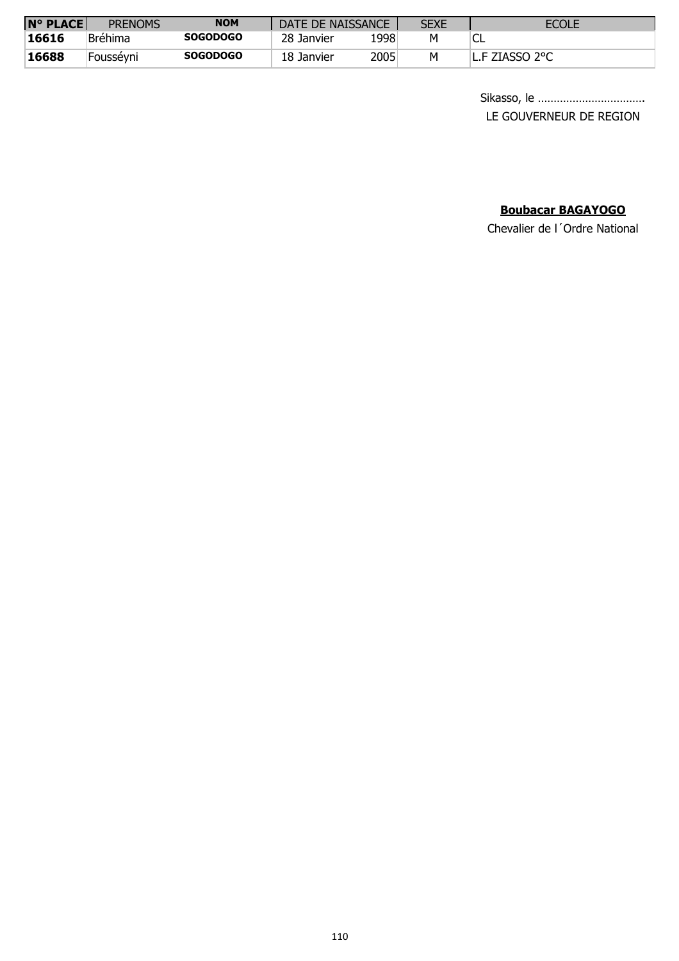| <b>N° PLACE</b> | <b>PRENOMS</b> | <b>NOM</b>      | DATE DE NAISSANCE |       | <b>SEXE</b> | <b>ECOLE</b>   |
|-----------------|----------------|-----------------|-------------------|-------|-------------|----------------|
| 16616           | <b>Bréhima</b> | <b>SOGODOGO</b> | 28 Janvier        | 1998' | Μ           | ⊾باب           |
| 16688           | Foussévni      | <b>SOGODOGO</b> | 18 Janvier        | 2005  | Μ           | L.F ZIASSO 2°C |

Sikasso, le ……………………………. LE GOUVERNEUR DE REGION

## **Boubacar BAGAYOGO**

Chevalier de l´Ordre National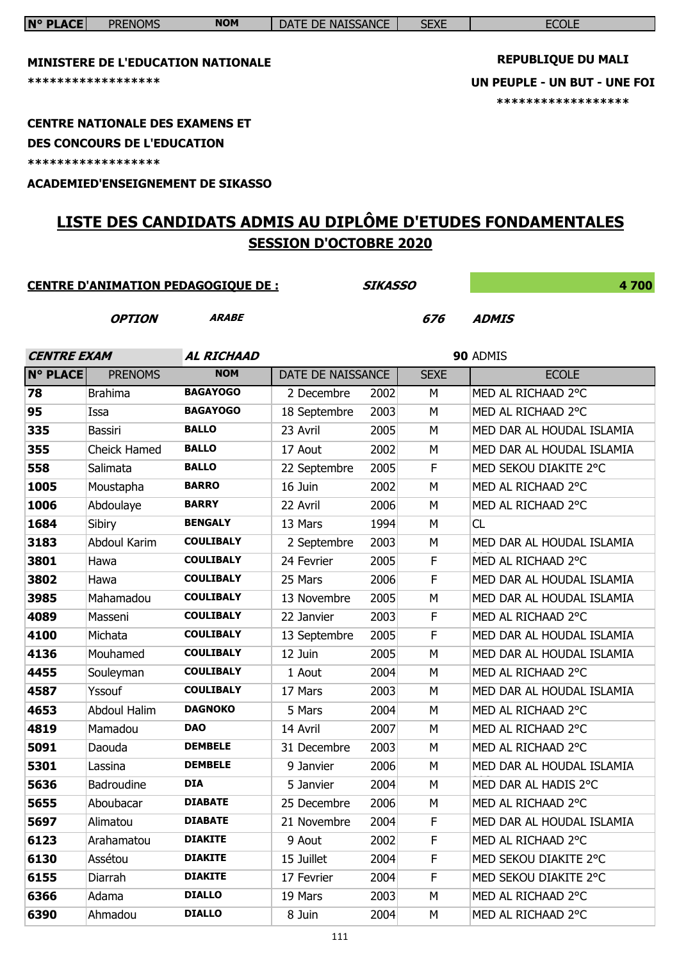| <b>MINISTERE DE L'EDUCATION NATIONALE</b><br>****************** |                                                                                                    |                                            |                               |                |             | <b>REPUBLIQUE DU MALI</b><br>UN PEUPLE - UN BUT - UNE FOI<br>****************** |
|-----------------------------------------------------------------|----------------------------------------------------------------------------------------------------|--------------------------------------------|-------------------------------|----------------|-------------|---------------------------------------------------------------------------------|
|                                                                 | <b>CENTRE NATIONALE DES EXAMENS ET</b><br><b>DES CONCOURS DE L'EDUCATION</b><br>****************** |                                            |                               |                |             |                                                                                 |
|                                                                 |                                                                                                    | <b>ACADEMIED'ENSEIGNEMENT DE SIKASSO</b>   |                               |                |             |                                                                                 |
|                                                                 |                                                                                                    |                                            |                               |                |             | LISTE DES CANDIDATS ADMIS AU DIPLÔME D'ETUDES FONDAMENTALES                     |
|                                                                 |                                                                                                    |                                            |                               |                |             |                                                                                 |
|                                                                 |                                                                                                    |                                            | <b>SESSION D'OCTOBRE 2020</b> |                |             |                                                                                 |
|                                                                 |                                                                                                    |                                            |                               | <b>SIKASSO</b> |             | 4700                                                                            |
|                                                                 |                                                                                                    | <b>CENTRE D'ANIMATION PEDAGOGIQUE DE :</b> |                               |                |             |                                                                                 |
|                                                                 | <b>OPTION</b>                                                                                      | <b>ARABE</b>                               |                               |                | 676         | <b>ADMIS</b>                                                                    |
|                                                                 |                                                                                                    |                                            |                               |                |             |                                                                                 |
| <b>CENTRE EXAM</b>                                              |                                                                                                    | <b>AL RICHAAD</b>                          |                               |                |             | 90 ADMIS                                                                        |
| <b>N° PLACE</b>                                                 | <b>PRENOMS</b>                                                                                     | <b>NOM</b>                                 | DATE DE NAISSANCE             |                | <b>SEXE</b> | <b>ECOLE</b>                                                                    |
| 78                                                              | <b>Brahima</b>                                                                                     | <b>BAGAYOGO</b>                            | 2 Decembre                    | 2002           | М           | MED AL RICHAAD 2°C                                                              |
| 95                                                              | Issa                                                                                               | <b>BAGAYOGO</b>                            | 18 Septembre                  | 2003           | M           | MED AL RICHAAD 2°C                                                              |
| 335                                                             | <b>Bassiri</b>                                                                                     | <b>BALLO</b>                               | 23 Avril                      | 2005           | M           | MED DAR AL HOUDAL ISLAMIA                                                       |
| 355                                                             | <b>Cheick Hamed</b>                                                                                | <b>BALLO</b>                               | 17 Aout                       | 2002           | М           | MED DAR AL HOUDAL ISLAMIA                                                       |
| 558                                                             | Salimata                                                                                           | <b>BALLO</b>                               | 22 Septembre                  | 2005           | F           | MED SEKOU DIAKITE 2°C                                                           |
| 1005                                                            | Moustapha                                                                                          | <b>BARRO</b>                               | 16 Juin                       | 2002           | M           | MED AL RICHAAD 2°C                                                              |
| 1006                                                            | Abdoulaye                                                                                          | <b>BARRY</b>                               | 22 Avril                      | 2006           | M           | MED AL RICHAAD 2°C                                                              |
| 1684                                                            | Sibiry                                                                                             | <b>BENGALY</b>                             | 13 Mars                       | 1994           | M           | CL.                                                                             |
| 3183                                                            | Abdoul Karim                                                                                       | <b>COULIBALY</b>                           | 2 Septembre                   | 2003           | M           | MED DAR AL HOUDAL ISLAMIA                                                       |
| 3801                                                            | Hawa                                                                                               | <b>COULIBALY</b>                           | 24 Fevrier                    | 2005           | F           | MED AL RICHAAD 2°C                                                              |
| 3802                                                            | Hawa                                                                                               | <b>COULIBALY</b>                           | 25 Mars                       | 2006           | F           | MED DAR AL HOUDAL ISLAMIA                                                       |
| 3985                                                            | Mahamadou                                                                                          | <b>COULIBALY</b>                           | 13 Novembre                   | 2005           | M           | MED DAR AL HOUDAL ISLAMIA                                                       |
| 4089                                                            | Masseni                                                                                            | <b>COULIBALY</b>                           | 22 Janvier                    | 2003           | F           | MED AL RICHAAD 2°C                                                              |
| 4100                                                            | Michata                                                                                            | <b>COULIBALY</b>                           | 13 Septembre                  | 2005           | F           | MED DAR AL HOUDAL ISLAMIA                                                       |
| 4136                                                            | Mouhamed                                                                                           | <b>COULIBALY</b>                           | 12 Juin                       | 2005           | М           | MED DAR AL HOUDAL ISLAMIA                                                       |
| 4455                                                            | Souleyman                                                                                          | <b>COULIBALY</b>                           | 1 Aout                        | 2004           | М           | MED AL RICHAAD 2°C                                                              |
| 4587                                                            | Yssouf                                                                                             | <b>COULIBALY</b>                           | 17 Mars                       | 2003           | М           | MED DAR AL HOUDAL ISLAMIA                                                       |
| 4653                                                            | Abdoul Halim                                                                                       | <b>DAGNOKO</b>                             | 5 Mars                        | 2004           | М           | MED AL RICHAAD 2°C                                                              |
| 4819                                                            | Mamadou                                                                                            | <b>DAO</b>                                 | 14 Avril                      | 2007           | М           | MED AL RICHAAD 2°C                                                              |
| 5091                                                            | Daouda                                                                                             | <b>DEMBELE</b>                             | 31 Decembre                   | 2003           | М           | MED AL RICHAAD 2°C                                                              |
| 5301                                                            | Lassina                                                                                            | <b>DEMBELE</b>                             | 9 Janvier                     | 2006           | М           | MED DAR AL HOUDAL ISLAMIA                                                       |
| 5636                                                            | Badroudine                                                                                         | <b>DIA</b>                                 | 5 Janvier                     | 2004           | М           | MED DAR AL HADIS 2°C                                                            |
| 5655                                                            | Aboubacar                                                                                          | <b>DIABATE</b>                             | 25 Decembre                   | 2006           | М           | MED AL RICHAAD 2°C                                                              |
| 5697                                                            | Alimatou                                                                                           | <b>DIABATE</b>                             | 21 Novembre                   | 2004           | F           | MED DAR AL HOUDAL ISLAMIA                                                       |
| 6123                                                            | Arahamatou                                                                                         | <b>DIAKITE</b>                             | 9 Aout                        | 2002           | F           | MED AL RICHAAD 2°C                                                              |
| 6130                                                            | Assétou                                                                                            | <b>DIAKITE</b>                             | 15 Juillet                    | 2004           | F           | MED SEKOU DIAKITE 2°C                                                           |
| 6155                                                            | Diarrah                                                                                            | <b>DIAKITE</b>                             | 17 Fevrier                    | 2004           | F           | MED SEKOU DIAKITE 2°C                                                           |
| 6366                                                            | Adama                                                                                              | <b>DIALLO</b>                              | 19 Mars                       | 2003           | М           | MED AL RICHAAD 2°C                                                              |
| 6390                                                            | Ahmadou                                                                                            | <b>DIALLO</b>                              | 8 Juin                        | 2004           | М           | MED AL RICHAAD 2°C                                                              |

**N° PLACE** PRENOMS **NOM** DATE DE NAISSANCE SEXE SEXE ECOLE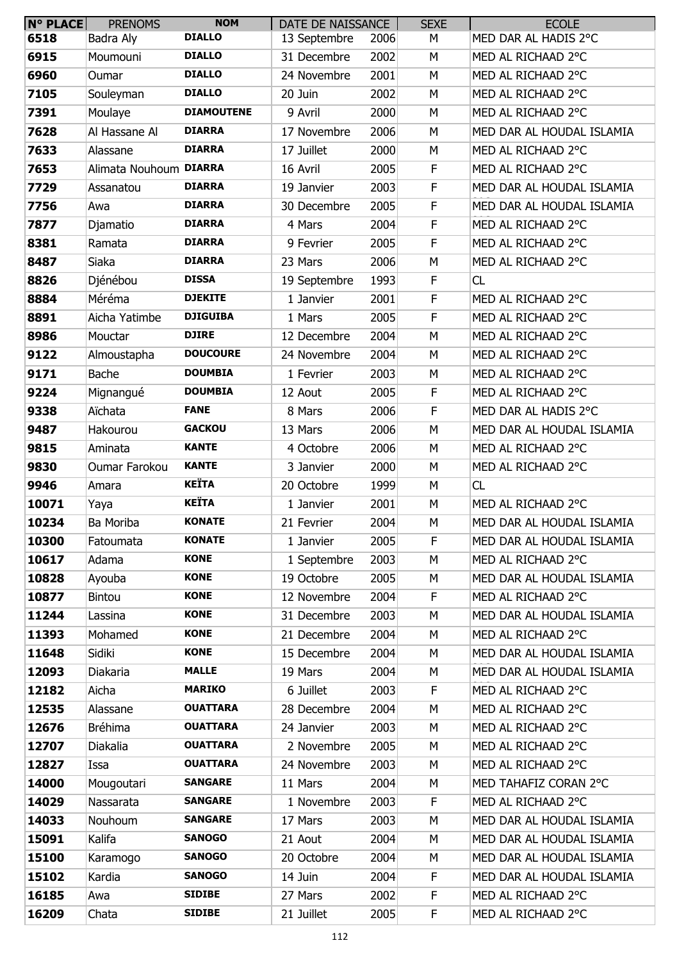| <b>N° PLACE</b> | <b>PRENOMS</b>         | <b>NOM</b>        | DATE DE NAISSANCE |      | <b>SEXE</b> | <b>ECOLE</b>              |
|-----------------|------------------------|-------------------|-------------------|------|-------------|---------------------------|
| 6518            | Badra Aly              | <b>DIALLO</b>     | 13 Septembre      | 2006 | М           | MED DAR AL HADIS 2°C      |
| 6915            | Moumouni               | <b>DIALLO</b>     | 31 Decembre       | 2002 | M           | MED AL RICHAAD 2°C        |
| 6960            | Oumar                  | <b>DIALLO</b>     | 24 Novembre       | 2001 | M           | MED AL RICHAAD 2°C        |
| 7105            | Souleyman              | <b>DIALLO</b>     | 20 Juin           | 2002 | М           | MED AL RICHAAD 2°C        |
| 7391            | Moulaye                | <b>DIAMOUTENE</b> | 9 Avril           | 2000 | М           | MED AL RICHAAD 2°C        |
| 7628            | Al Hassane Al          | <b>DIARRA</b>     | 17 Novembre       | 2006 | M           | MED DAR AL HOUDAL ISLAMIA |
| 7633            | Alassane               | <b>DIARRA</b>     | 17 Juillet        | 2000 | М           | MED AL RICHAAD 2°C        |
| 7653            | Alimata Nouhoum DIARRA |                   | 16 Avril          | 2005 | F           | MED AL RICHAAD 2°C        |
| 7729            | Assanatou              | <b>DIARRA</b>     | 19 Janvier        | 2003 | $\mathsf F$ | MED DAR AL HOUDAL ISLAMIA |
| 7756            | Awa                    | <b>DIARRA</b>     | 30 Decembre       | 2005 | $\mathsf F$ | MED DAR AL HOUDAL ISLAMIA |
| 7877            | Djamatio               | <b>DIARRA</b>     | 4 Mars            | 2004 | $\mathsf F$ | MED AL RICHAAD 2°C        |
| 8381            | Ramata                 | <b>DIARRA</b>     | 9 Fevrier         | 2005 | F           | MED AL RICHAAD 2°C        |
| 8487            | Siaka                  | <b>DIARRA</b>     | 23 Mars           | 2006 | M           | MED AL RICHAAD 2°C        |
| 8826            | Djénébou               | <b>DISSA</b>      | 19 Septembre      | 1993 | $\mathsf F$ | <b>CL</b>                 |
| 8884            | Méréma                 | <b>DJEKITE</b>    | 1 Janvier         | 2001 | F           | MED AL RICHAAD 2°C        |
| 8891            | Aicha Yatimbe          | <b>DJIGUIBA</b>   | 1 Mars            | 2005 | F           | MED AL RICHAAD 2°C        |
| 8986            | Mouctar                | <b>DJIRE</b>      | 12 Decembre       | 2004 | M           | MED AL RICHAAD 2°C        |
| 9122            | Almoustapha            | <b>DOUCOURE</b>   | 24 Novembre       | 2004 | М           | MED AL RICHAAD 2°C        |
| 9171            | <b>Bache</b>           | <b>DOUMBIA</b>    | 1 Fevrier         | 2003 | М           | MED AL RICHAAD 2°C        |
| 9224            | Mignangué              | <b>DOUMBIA</b>    | 12 Aout           | 2005 | F           | MED AL RICHAAD 2°C        |
| 9338            | Aïchata                | <b>FANE</b>       | 8 Mars            | 2006 | $\mathsf F$ | MED DAR AL HADIS 2°C      |
| 9487            | Hakourou               | <b>GACKOU</b>     | 13 Mars           | 2006 | M           | MED DAR AL HOUDAL ISLAMIA |
| 9815            | Aminata                | <b>KANTE</b>      | 4 Octobre         | 2006 | М           | MED AL RICHAAD 2°C        |
| 9830            | Oumar Farokou          | <b>KANTE</b>      | 3 Janvier         | 2000 | M           | MED AL RICHAAD 2°C        |
| 9946            | Amara                  | <b>KEÏTA</b>      | 20 Octobre        | 1999 | М           | CL                        |
| 10071           | Yaya                   | <b>KEÏTA</b>      | 1 Janvier         | 2001 | М           | MED AL RICHAAD 2°C        |
| 10234           | Ba Moriba              | <b>KONATE</b>     | 21 Fevrier        | 2004 | M           | MED DAR AL HOUDAL ISLAMIA |
| 10300           | Fatoumata              | <b>KONATE</b>     | 1 Janvier         | 2005 | $\mathsf F$ | MED DAR AL HOUDAL ISLAMIA |
| 10617           | Adama                  | <b>KONE</b>       | 1 Septembre       | 2003 | М           | MED AL RICHAAD 2°C        |
| 10828           | Ayouba                 | <b>KONE</b>       | 19 Octobre        | 2005 | М           | MED DAR AL HOUDAL ISLAMIA |
| 10877           | Bintou                 | <b>KONE</b>       | 12 Novembre       | 2004 | $\mathsf F$ | MED AL RICHAAD 2°C        |
| 11244           | Lassina                | <b>KONE</b>       | 31 Decembre       | 2003 | M           | MED DAR AL HOUDAL ISLAMIA |
| 11393           | Mohamed                | <b>KONE</b>       | 21 Decembre       | 2004 | М           | MED AL RICHAAD 2°C        |
| 11648           | Sidiki                 | <b>KONE</b>       | 15 Decembre       | 2004 | М           | MED DAR AL HOUDAL ISLAMIA |
| 12093           | Diakaria               | <b>MALLE</b>      | 19 Mars           | 2004 | М           | MED DAR AL HOUDAL ISLAMIA |
| 12182           | Aicha                  | <b>MARIKO</b>     | 6 Juillet         | 2003 | F           | MED AL RICHAAD 2°C        |
| 12535           | Alassane               | <b>OUATTARA</b>   | 28 Decembre       | 2004 | М           | MED AL RICHAAD 2°C        |
| 12676           | <b>Bréhima</b>         | <b>OUATTARA</b>   | 24 Janvier        | 2003 | М           | MED AL RICHAAD 2°C        |
| 12707           | Diakalia               | <b>OUATTARA</b>   | 2 Novembre        | 2005 | М           | MED AL RICHAAD 2°C        |
| 12827           | Issa                   | <b>OUATTARA</b>   | 24 Novembre       | 2003 | М           | MED AL RICHAAD 2°C        |
| 14000           | Mougoutari             | <b>SANGARE</b>    | 11 Mars           | 2004 | М           | MED TAHAFIZ CORAN 2°C     |
| 14029           | Nassarata              | <b>SANGARE</b>    | 1 Novembre        | 2003 | F           | MED AL RICHAAD 2°C        |
| 14033           | Nouhoum                | <b>SANGARE</b>    | 17 Mars           | 2003 | М           | MED DAR AL HOUDAL ISLAMIA |
| 15091           | Kalifa                 | <b>SANOGO</b>     | 21 Aout           | 2004 | М           | MED DAR AL HOUDAL ISLAMIA |
| 15100           | Karamogo               | <b>SANOGO</b>     | 20 Octobre        | 2004 | М           | MED DAR AL HOUDAL ISLAMIA |
| 15102           | Kardia                 | <b>SANOGO</b>     | 14 Juin           | 2004 | F           | MED DAR AL HOUDAL ISLAMIA |
| 16185           | Awa                    | <b>SIDIBE</b>     | 27 Mars           | 2002 | F           | MED AL RICHAAD 2°C        |
| 16209           | Chata                  | <b>SIDIBE</b>     | 21 Juillet        | 2005 | $\mathsf F$ | MED AL RICHAAD 2°C        |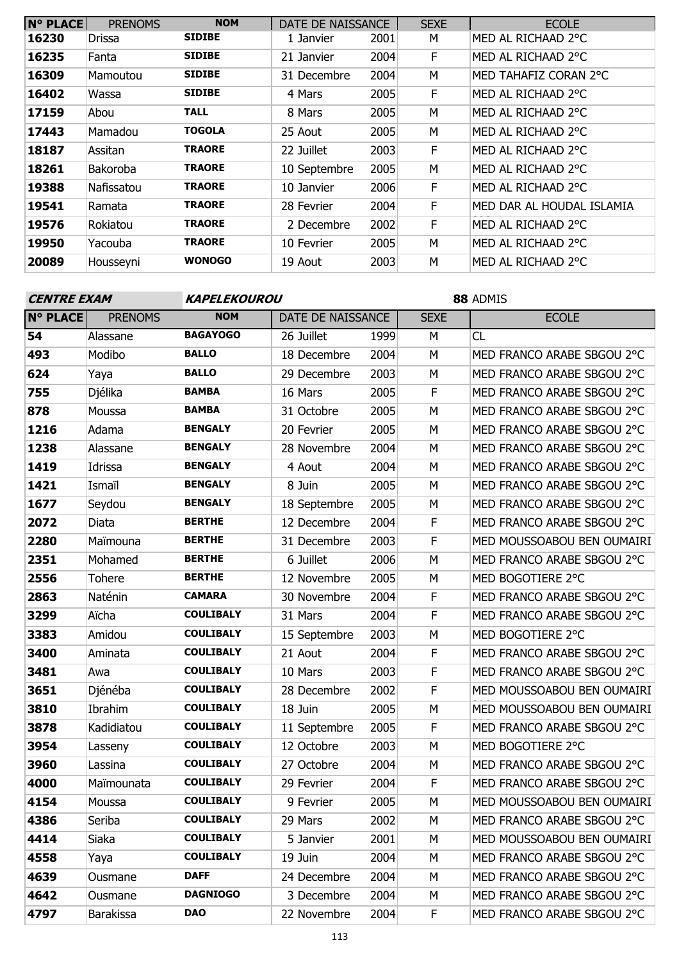| <b>N° PLACE</b> | <b>PRENOMS</b> | <b>NOM</b>    | DATE DE NAISSANCE |      | <b>SEXE</b> | <b>ECOLE</b>              |
|-----------------|----------------|---------------|-------------------|------|-------------|---------------------------|
| 16230           | <b>Drissa</b>  | <b>SIDIBE</b> | 1 Janvier         | 2001 | М           | MED AL RICHAAD 2°C        |
| 16235           | Fanta          | <b>SIDIBE</b> | 21 Janvier        | 2004 | F           | MED AL RICHAAD 2°C        |
| 16309           | Mamoutou       | <b>SIDIBE</b> | 31 Decembre       | 2004 | M           | MED TAHAFIZ CORAN 2°C     |
| 16402           | Wassa          | <b>SIDIBE</b> | 4 Mars            | 2005 | F           | MED AL RICHAAD 2°C        |
| 17159           | Abou           | <b>TALL</b>   | 8 Mars            | 2005 | M           | MED AL RICHAAD 2°C        |
| 17443           | Mamadou        | TOGOLA        | 25 Aout           | 2005 | M           | MED AL RICHAAD 2°C        |
| 18187           | Assitan        | TRAORE        | 22 Juillet        | 2003 | F           | MED AL RICHAAD 2°C        |
| 18261           | Bakoroba       | <b>TRAORE</b> | 10 Septembre      | 2005 | M           | MED AL RICHAAD 2°C        |
| 19388           | Nafissatou     | <b>TRAORE</b> | 10 Janvier        | 2006 | F           | MED AL RICHAAD 2°C        |
| 19541           | Ramata         | <b>TRAORE</b> | 28 Fevrier        | 2004 | F           | MED DAR AL HOUDAL ISLAMIA |
| 19576           | Rokiatou       | TRAORE        | 2 Decembre        | 2002 | F           | MED AL RICHAAD 2°C        |
| 19950           | Yacouba        | <b>TRAORE</b> | 10 Fevrier        | 2005 | M           | MED AL RICHAAD 2°C        |
| 20089           | Housseyni      | <b>WONOGO</b> | 19 Aout           | 2003 | M           | MED AL RICHAAD 2°C        |

| <b>CENTRE EXAM</b> |                  | KAPELEKOUROU     |                   |      | 88 ADMIS    |                            |  |
|--------------------|------------------|------------------|-------------------|------|-------------|----------------------------|--|
| <b>N° PLACE</b>    | <b>PRENOMS</b>   | <b>NOM</b>       | DATE DE NAISSANCE |      | <b>SEXE</b> | <b>ECOLE</b>               |  |
| 54                 | Alassane         | <b>BAGAYOGO</b>  | 26 Juillet        | 1999 | M           | <b>CL</b>                  |  |
| 493                | Modibo           | <b>BALLO</b>     | 18 Decembre       | 2004 | M           | MED FRANCO ARABE SBGOU 2°C |  |
| 624                | Yaya             | <b>BALLO</b>     | 29 Decembre       | 2003 | М           | MED FRANCO ARABE SBGOU 2°C |  |
| 755                | Djélika          | <b>BAMBA</b>     | 16 Mars           | 2005 | F           | MED FRANCO ARABE SBGOU 2°C |  |
| 878                | Moussa           | <b>BAMBA</b>     | 31 Octobre        | 2005 | M           | MED FRANCO ARABE SBGOU 2°C |  |
| 1216               | Adama            | <b>BENGALY</b>   | 20 Fevrier        | 2005 | M           | MED FRANCO ARABE SBGOU 2°C |  |
| 1238               | Alassane         | <b>BENGALY</b>   | 28 Novembre       | 2004 | M           | MED FRANCO ARABE SBGOU 2°C |  |
| 1419               | Idrissa          | <b>BENGALY</b>   | 4 Aout            | 2004 | M           | MED FRANCO ARABE SBGOU 2°C |  |
| 1421               | Ismaïl           | <b>BENGALY</b>   | 8 Juin            | 2005 | M           | MED FRANCO ARABE SBGOU 2°C |  |
| 1677               | Seydou           | <b>BENGALY</b>   | 18 Septembre      | 2005 | M           | MED FRANCO ARABE SBGOU 2°C |  |
| 2072               | Diata            | <b>BERTHE</b>    | 12 Decembre       | 2004 | F           | MED FRANCO ARABE SBGOU 2°C |  |
| 2280               | Maïmouna         | <b>BERTHE</b>    | 31 Decembre       | 2003 | $\mathsf F$ | MED MOUSSOABOU BEN OUMAIRI |  |
| 2351               | Mohamed          | <b>BERTHE</b>    | 6 Juillet         | 2006 | M           | MED FRANCO ARABE SBGOU 2°C |  |
| 2556               | <b>Tohere</b>    | <b>BERTHE</b>    | 12 Novembre       | 2005 | M           | MED BOGOTIERE 2°C          |  |
| 2863               | Naténin          | <b>CAMARA</b>    | 30 Novembre       | 2004 | F           | MED FRANCO ARABE SBGOU 2°C |  |
| 3299               | Aïcha            | <b>COULIBALY</b> | 31 Mars           | 2004 | $\mathsf F$ | MED FRANCO ARABE SBGOU 2°C |  |
| 3383               | Amidou           | <b>COULIBALY</b> | 15 Septembre      | 2003 | M           | MED BOGOTIERE 2°C          |  |
| 3400               | Aminata          | <b>COULIBALY</b> | 21 Aout           | 2004 | F           | MED FRANCO ARABE SBGOU 2°C |  |
| 3481               | Awa              | <b>COULIBALY</b> | 10 Mars           | 2003 | $\mathsf F$ | MED FRANCO ARABE SBGOU 2°C |  |
| 3651               | Djénéba          | <b>COULIBALY</b> | 28 Decembre       | 2002 | F           | MED MOUSSOABOU BEN OUMAIRI |  |
| 3810               | Ibrahim          | <b>COULIBALY</b> | 18 Juin           | 2005 | M           | MED MOUSSOABOU BEN OUMAIRI |  |
| 3878               | Kadidiatou       | <b>COULIBALY</b> | 11 Septembre      | 2005 | F           | MED FRANCO ARABE SBGOU 2°C |  |
| 3954               | Lasseny          | <b>COULIBALY</b> | 12 Octobre        | 2003 | M           | MED BOGOTIERE 2°C          |  |
| 3960               | Lassina          | <b>COULIBALY</b> | 27 Octobre        | 2004 | M           | MED FRANCO ARABE SBGOU 2°C |  |
| 4000               | Maïmounata       | <b>COULIBALY</b> | 29 Fevrier        | 2004 | F           | MED FRANCO ARABE SBGOU 2°C |  |
| 4154               | Moussa           | <b>COULIBALY</b> | 9 Fevrier         | 2005 | M           | MED MOUSSOABOU BEN OUMAIRI |  |
| 4386               | Seriba           | <b>COULIBALY</b> | 29 Mars           | 2002 | M           | MED FRANCO ARABE SBGOU 2°C |  |
| 4414               | Siaka            | <b>COULIBALY</b> | 5 Janvier         | 2001 | М           | MED MOUSSOABOU BEN OUMAIRI |  |
| 4558               | Yaya             | <b>COULIBALY</b> | 19 Juin           | 2004 | М           | MED FRANCO ARABE SBGOU 2°C |  |
| 4639               | Ousmane          | <b>DAFF</b>      | 24 Decembre       | 2004 | М           | MED FRANCO ARABE SBGOU 2°C |  |
| 4642               | Ousmane          | <b>DAGNIOGO</b>  | 3 Decembre        | 2004 | М           | MED FRANCO ARABE SBGOU 2°C |  |
| 4797               | <b>Barakissa</b> | <b>DAO</b>       | 22 Novembre       | 2004 | F           | MED FRANCO ARABE SBGOU 2°C |  |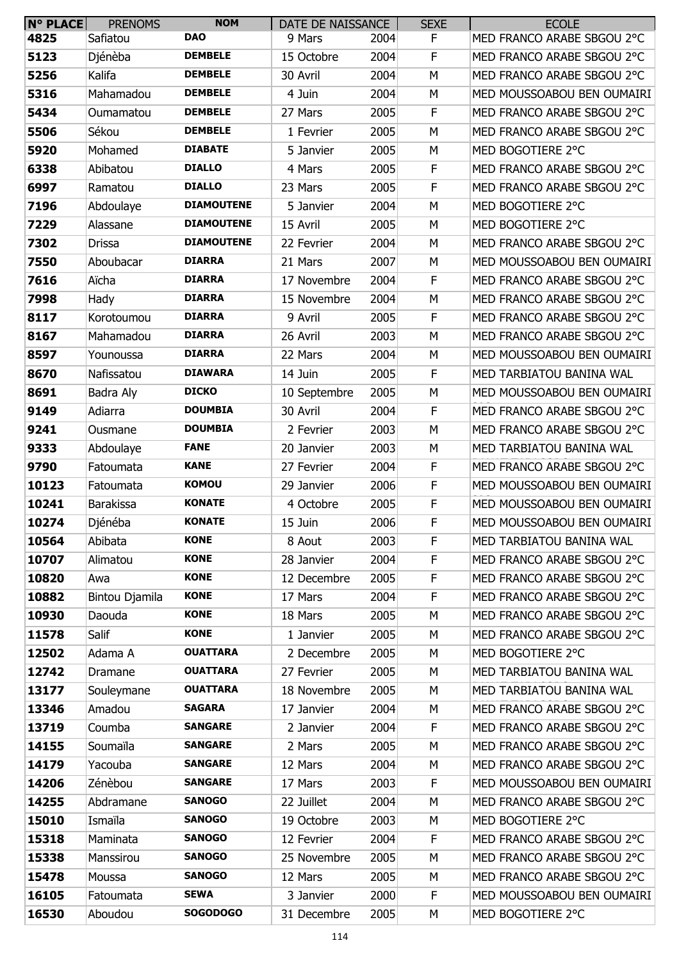| $N^{\circ}$ PLACE | <b>PRENOMS</b>   | <b>NOM</b>        | DATE DE NAISSANCE |      | <b>SEXE</b> | <b>ECOLE</b>               |
|-------------------|------------------|-------------------|-------------------|------|-------------|----------------------------|
| 4825              | Safiatou         | <b>DAO</b>        | 9 Mars            | 2004 | F.          | MED FRANCO ARABE SBGOU 2°C |
| 5123              | Djénèba          | <b>DEMBELE</b>    | 15 Octobre        | 2004 | F           | MED FRANCO ARABE SBGOU 2°C |
| 5256              | Kalifa           | <b>DEMBELE</b>    | 30 Avril          | 2004 | М           | MED FRANCO ARABE SBGOU 2°C |
| 5316              | Mahamadou        | <b>DEMBELE</b>    | 4 Juin            | 2004 | М           | MED MOUSSOABOU BEN OUMAIRI |
| 5434              | Oumamatou        | <b>DEMBELE</b>    | 27 Mars           | 2005 | F           | MED FRANCO ARABE SBGOU 2°C |
| 5506              | Sékou            | <b>DEMBELE</b>    | 1 Fevrier         | 2005 | M           | MED FRANCO ARABE SBGOU 2°C |
| 5920              | Mohamed          | <b>DIABATE</b>    | 5 Janvier         | 2005 | М           | MED BOGOTIERE 2°C          |
| 6338              | Abibatou         | <b>DIALLO</b>     | 4 Mars            | 2005 | F           | MED FRANCO ARABE SBGOU 2°C |
| 6997              | Ramatou          | <b>DIALLO</b>     | 23 Mars           | 2005 | $\mathsf F$ | MED FRANCO ARABE SBGOU 2°C |
| 7196              | Abdoulaye        | <b>DIAMOUTENE</b> | 5 Janvier         | 2004 | M           | MED BOGOTIERE 2°C          |
| 7229              | Alassane         | <b>DIAMOUTENE</b> | 15 Avril          | 2005 | М           | MED BOGOTIERE 2°C          |
| 7302              | Drissa           | <b>DIAMOUTENE</b> | 22 Fevrier        | 2004 | М           | MED FRANCO ARABE SBGOU 2°C |
| 7550              | Aboubacar        | <b>DIARRA</b>     | 21 Mars           | 2007 | М           | MED MOUSSOABOU BEN OUMAIRI |
| 7616              | Aïcha            | <b>DIARRA</b>     | 17 Novembre       | 2004 | F           | MED FRANCO ARABE SBGOU 2°C |
| 7998              | Hady             | <b>DIARRA</b>     | 15 Novembre       | 2004 | М           | MED FRANCO ARABE SBGOU 2°C |
| 8117              | Korotoumou       | <b>DIARRA</b>     | 9 Avril           | 2005 | F           | MED FRANCO ARABE SBGOU 2°C |
| 8167              | Mahamadou        | <b>DIARRA</b>     | 26 Avril          | 2003 | M           | MED FRANCO ARABE SBGOU 2°C |
| 8597              | Younoussa        | <b>DIARRA</b>     | 22 Mars           | 2004 | М           | MED MOUSSOABOU BEN OUMAIRI |
| 8670              | Nafissatou       | <b>DIAWARA</b>    | 14 Juin           | 2005 | F           | MED TARBIATOU BANINA WAL   |
| 8691              | Badra Aly        | <b>DICKO</b>      | 10 Septembre      | 2005 | М           | MED MOUSSOABOU BEN OUMAIRI |
| 9149              | Adiarra          | <b>DOUMBIA</b>    | 30 Avril          | 2004 | F           | MED FRANCO ARABE SBGOU 2°C |
| 9241              | Ousmane          | <b>DOUMBIA</b>    | 2 Fevrier         | 2003 | М           | MED FRANCO ARABE SBGOU 2°C |
| 9333              | Abdoulaye        | <b>FANE</b>       | 20 Janvier        | 2003 | M           | MED TARBIATOU BANINA WAL   |
| 9790              | Fatoumata        | <b>KANE</b>       | 27 Fevrier        | 2004 | F           | MED FRANCO ARABE SBGOU 2°C |
| 10123             | Fatoumata        | <b>KOMOU</b>      | 29 Janvier        | 2006 | F           | MED MOUSSOABOU BEN OUMAIRI |
| 10241             | <b>Barakissa</b> | <b>KONATE</b>     | 4 Octobre         | 2005 | F           | MED MOUSSOABOU BEN OUMAIRI |
| 10274             | Djénéba          | <b>KONATE</b>     | 15 Juin           | 2006 | F           | MED MOUSSOABOU BEN OUMAIRI |
| 10564             | Abibata          | <b>KONE</b>       | 8 Aout            | 2003 | F           | MED TARBIATOU BANINA WAL   |
| 10707             | Alimatou         | <b>KONE</b>       | 28 Janvier        | 2004 | F           | MED FRANCO ARABE SBGOU 2°C |
| 10820             | Awa              | <b>KONE</b>       | 12 Decembre       | 2005 | F           | MED FRANCO ARABE SBGOU 2°C |
| 10882             | Bintou Djamila   | <b>KONE</b>       | 17 Mars           | 2004 | F           | MED FRANCO ARABE SBGOU 2°C |
| 10930             | Daouda           | <b>KONE</b>       | 18 Mars           | 2005 | M           | MED FRANCO ARABE SBGOU 2°C |
| 11578             | Salif            | <b>KONE</b>       | 1 Janvier         | 2005 | М           | MED FRANCO ARABE SBGOU 2°C |
| 12502             | Adama A          | <b>OUATTARA</b>   | 2 Decembre        | 2005 | M           | MED BOGOTIERE 2°C          |
| 12742             | Dramane          | <b>OUATTARA</b>   | 27 Fevrier        | 2005 | M           | MED TARBIATOU BANINA WAL   |
| 13177             | Souleymane       | <b>OUATTARA</b>   | 18 Novembre       | 2005 | M           | MED TARBIATOU BANINA WAL   |
| 13346             | Amadou           | <b>SAGARA</b>     | 17 Janvier        | 2004 | M           | MED FRANCO ARABE SBGOU 2°C |
| 13719             | Coumba           | <b>SANGARE</b>    | 2 Janvier         | 2004 | $\mathsf F$ | MED FRANCO ARABE SBGOU 2°C |
| 14155             | Soumaïla         | <b>SANGARE</b>    | 2 Mars            | 2005 | M           | MED FRANCO ARABE SBGOU 2°C |
| 14179             | Yacouba          | <b>SANGARE</b>    | 12 Mars           | 2004 | M           | MED FRANCO ARABE SBGOU 2°C |
| 14206             | Zénèbou          | <b>SANGARE</b>    | 17 Mars           | 2003 | F           | MED MOUSSOABOU BEN OUMAIRI |
| 14255             | Abdramane        | <b>SANOGO</b>     | 22 Juillet        | 2004 | М           | MED FRANCO ARABE SBGOU 2°C |
| 15010             | Ismaïla          | <b>SANOGO</b>     | 19 Octobre        | 2003 | М           | MED BOGOTIERE 2°C          |
| 15318             | Maminata         | <b>SANOGO</b>     | 12 Fevrier        | 2004 | F           | MED FRANCO ARABE SBGOU 2°C |
| 15338             | Manssirou        | <b>SANOGO</b>     | 25 Novembre       | 2005 | М           | MED FRANCO ARABE SBGOU 2°C |
| 15478             | Moussa           | <b>SANOGO</b>     | 12 Mars           | 2005 | M           | MED FRANCO ARABE SBGOU 2°C |
| 16105             | Fatoumata        | <b>SEWA</b>       | 3 Janvier         | 2000 | F           | MED MOUSSOABOU BEN OUMAIRI |
| 16530             | Aboudou          | <b>SOGODOGO</b>   | 31 Decembre       | 2005 | М           | MED BOGOTIERE 2°C          |
|                   |                  |                   |                   |      |             |                            |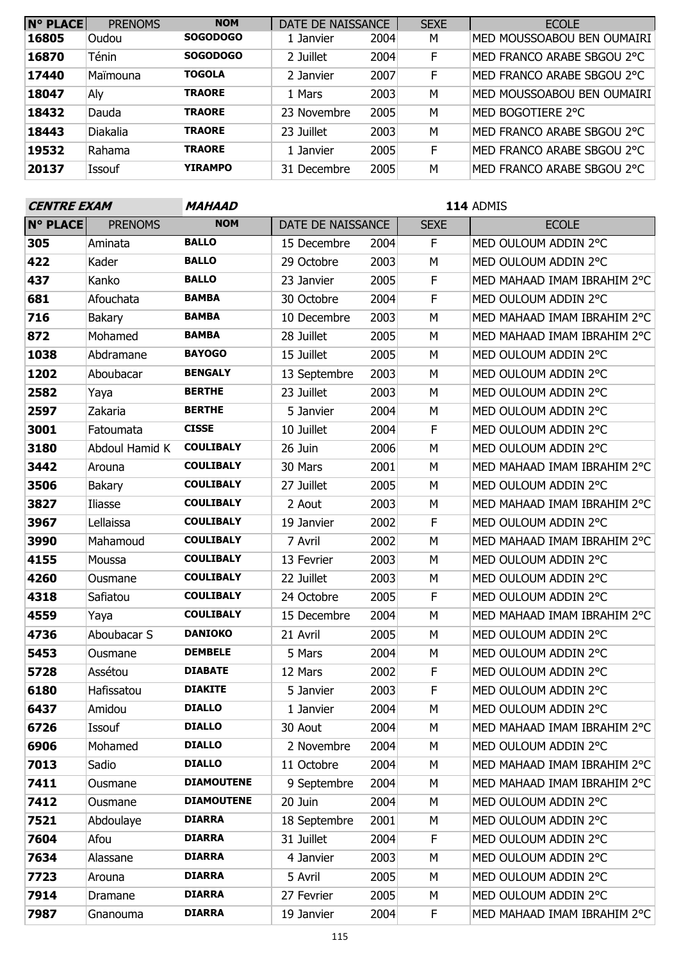| <b>N° PLACE</b> | <b>PRENOMS</b>  | <b>NOM</b>      | DATE DE NAISSANCE |      | <b>SEXE</b> | <b>ECOLE</b>               |
|-----------------|-----------------|-----------------|-------------------|------|-------------|----------------------------|
| 16805           | Oudou           | <b>SOGODOGO</b> | 1 Janvier         | 2004 | М           | MED MOUSSOABOU BEN OUMAIRI |
| 16870           | <b>Ténin</b>    | <b>SOGODOGO</b> | 2 Juillet         | 2004 | F           | MED FRANCO ARABE SBGOU 2°C |
| 17440           | Maïmouna        | <b>TOGOLA</b>   | 2 Janvier         | 2007 | F           | MED FRANCO ARABE SBGOU 2°C |
| 18047           | Aly             | <b>TRAORE</b>   | 1 Mars            | 2003 | М           | MED MOUSSOABOU BEN OUMAIRI |
| 18432           | Dauda           | <b>TRAORE</b>   | 23 Novembre       | 2005 | M           | MED BOGOTIERE 2°C          |
| 18443           | <b>Diakalia</b> | <b>TRAORE</b>   | 23 Juillet        | 2003 | M           | MED FRANCO ARABE SBGOU 2°C |
| 19532           | Rahama          | <b>TRAORE</b>   | 1 Janvier         | 2005 | F           | MED FRANCO ARABE SBGOU 2°C |
| 20137           | Issouf          | <b>YIRAMPO</b>  | 31 Decembre       | 2005 | М           | MED FRANCO ARABE SBGOU 2°C |

| <b>CENTRE EXAM</b> |                | <b>MAHAAD</b>     |                   |      | 114 ADMIS   |                             |  |
|--------------------|----------------|-------------------|-------------------|------|-------------|-----------------------------|--|
| <b>N° PLACE</b>    | <b>PRENOMS</b> | <b>NOM</b>        | DATE DE NAISSANCE |      | <b>SEXE</b> | <b>ECOLE</b>                |  |
| 305                | Aminata        | <b>BALLO</b>      | 15 Decembre       | 2004 | F           | MED OULOUM ADDIN 2°C        |  |
| 422                | Kader          | <b>BALLO</b>      | 29 Octobre        | 2003 | M           | MED OULOUM ADDIN 2°C        |  |
| 437                | Kanko          | <b>BALLO</b>      | 23 Janvier        | 2005 | $\mathsf F$ | MED MAHAAD IMAM IBRAHIM 2°C |  |
| 681                | Afouchata      | <b>BAMBA</b>      | 30 Octobre        | 2004 | F           | MED OULOUM ADDIN 2°C        |  |
| 716                | Bakary         | <b>BAMBA</b>      | 10 Decembre       | 2003 | M           | MED MAHAAD IMAM IBRAHIM 2°C |  |
| 872                | Mohamed        | <b>BAMBA</b>      | 28 Juillet        | 2005 | M           | MED MAHAAD IMAM IBRAHIM 2°C |  |
| 1038               | Abdramane      | <b>BAYOGO</b>     | 15 Juillet        | 2005 | M           | MED OULOUM ADDIN 2°C        |  |
| 1202               | Aboubacar      | <b>BENGALY</b>    | 13 Septembre      | 2003 | M           | MED OULOUM ADDIN 2°C        |  |
| 2582               | Yaya           | <b>BERTHE</b>     | 23 Juillet        | 2003 | M           | MED OULOUM ADDIN 2°C        |  |
| 2597               | Zakaria        | <b>BERTHE</b>     | 5 Janvier         | 2004 | M           | MED OULOUM ADDIN 2°C        |  |
| 3001               | Fatoumata      | <b>CISSE</b>      | 10 Juillet        | 2004 | F           | MED OULOUM ADDIN 2°C        |  |
| 3180               | Abdoul Hamid K | <b>COULIBALY</b>  | 26 Juin           | 2006 | M           | MED OULOUM ADDIN 2°C        |  |
| 3442               | Arouna         | <b>COULIBALY</b>  | 30 Mars           | 2001 | M           | MED MAHAAD IMAM IBRAHIM 2°C |  |
| 3506               | <b>Bakary</b>  | <b>COULIBALY</b>  | 27 Juillet        | 2005 | M           | MED OULOUM ADDIN 2°C        |  |
| 3827               | Iliasse        | <b>COULIBALY</b>  | 2 Aout            | 2003 | M           | MED MAHAAD IMAM IBRAHIM 2°C |  |
| 3967               | Lellaissa      | <b>COULIBALY</b>  | 19 Janvier        | 2002 | F           | MED OULOUM ADDIN 2°C        |  |
| 3990               | Mahamoud       | <b>COULIBALY</b>  | 7 Avril           | 2002 | M           | MED MAHAAD IMAM IBRAHIM 2°C |  |
| 4155               | Moussa         | <b>COULIBALY</b>  | 13 Fevrier        | 2003 | M           | MED OULOUM ADDIN 2°C        |  |
| 4260               | Ousmane        | <b>COULIBALY</b>  | 22 Juillet        | 2003 | M           | MED OULOUM ADDIN 2°C        |  |
| 4318               | Safiatou       | <b>COULIBALY</b>  | 24 Octobre        | 2005 | F           | MED OULOUM ADDIN 2°C        |  |
| 4559               | Yaya           | <b>COULIBALY</b>  | 15 Decembre       | 2004 | M           | MED MAHAAD IMAM IBRAHIM 2°C |  |
| 4736               | Aboubacar S    | <b>DANIOKO</b>    | 21 Avril          | 2005 | M           | MED OULOUM ADDIN 2°C        |  |
| 5453               | Ousmane        | <b>DEMBELE</b>    | 5 Mars            | 2004 | M           | MED OULOUM ADDIN 2°C        |  |
| 5728               | Assétou        | <b>DIABATE</b>    | 12 Mars           | 2002 | F           | MED OULOUM ADDIN 2°C        |  |
| 6180               | Hafissatou     | <b>DIAKITE</b>    | 5 Janvier         | 2003 | F           | MED OULOUM ADDIN 2°C        |  |
| 6437               | Amidou         | <b>DIALLO</b>     | 1 Janvier         | 2004 | M           | MED OULOUM ADDIN 2°C        |  |
| 6726               | Issouf         | <b>DIALLO</b>     | 30 Aout           | 2004 | M           | MED MAHAAD IMAM IBRAHIM 2°C |  |
| 6906               | Mohamed        | <b>DIALLO</b>     | 2 Novembre        | 2004 | M           | MED OULOUM ADDIN 2°C        |  |
| 7013               | Sadio          | <b>DIALLO</b>     | 11 Octobre        | 2004 | M           | MED MAHAAD IMAM IBRAHIM 2°C |  |
| 7411               | Ousmane        | <b>DIAMOUTENE</b> | 9 Septembre       | 2004 | M           | MED MAHAAD IMAM IBRAHIM 2°C |  |
| 7412               | Ousmane        | <b>DIAMOUTENE</b> | 20 Juin           | 2004 | M           | MED OULOUM ADDIN 2°C        |  |
| 7521               | Abdoulaye      | <b>DIARRA</b>     | 18 Septembre      | 2001 | М           | MED OULOUM ADDIN 2°C        |  |
| 7604               | Afou           | <b>DIARRA</b>     | 31 Juillet        | 2004 | F           | MED OULOUM ADDIN 2°C        |  |
| 7634               | Alassane       | <b>DIARRA</b>     | 4 Janvier         | 2003 | М           | MED OULOUM ADDIN 2°C        |  |
| 7723               | Arouna         | <b>DIARRA</b>     | 5 Avril           | 2005 | М           | MED OULOUM ADDIN 2°C        |  |
| 7914               | Dramane        | <b>DIARRA</b>     | 27 Fevrier        | 2005 | M           | MED OULOUM ADDIN 2°C        |  |
| 7987               | Gnanouma       | <b>DIARRA</b>     | 19 Janvier        | 2004 | F           | MED MAHAAD IMAM IBRAHIM 2°C |  |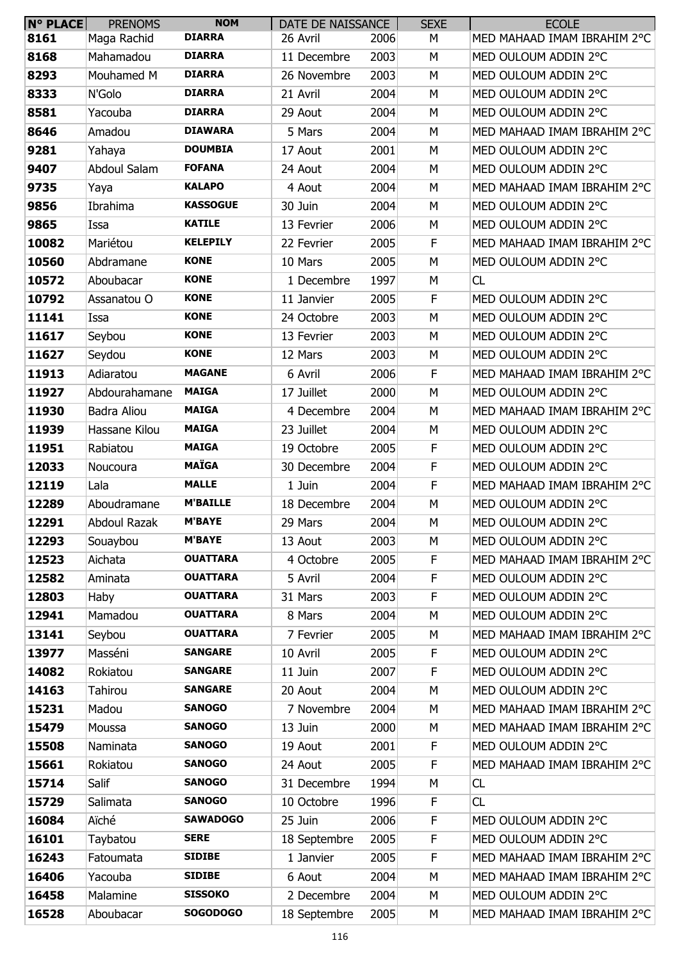| <b>N° PLACE</b> | <b>PRENOMS</b>      | <b>NOM</b>      | DATE DE NAISSANCE |      | <b>SEXE</b> | <b>ECOLE</b>                |
|-----------------|---------------------|-----------------|-------------------|------|-------------|-----------------------------|
| 8161            | Maga Rachid         | <b>DIARRA</b>   | 26 Avril          | 2006 | М           | MED MAHAAD IMAM IBRAHIM 2°C |
| 8168            | Mahamadou           | <b>DIARRA</b>   | 11 Decembre       | 2003 | M           | MED OULOUM ADDIN 2°C        |
| 8293            | Mouhamed M          | <b>DIARRA</b>   | 26 Novembre       | 2003 | М           | MED OULOUM ADDIN 2°C        |
| 8333            | N'Golo              | <b>DIARRA</b>   | 21 Avril          | 2004 | М           | MED OULOUM ADDIN 2°C        |
| 8581            | Yacouba             | <b>DIARRA</b>   | 29 Aout           | 2004 | М           | MED OULOUM ADDIN 2°C        |
| 8646            | Amadou              | <b>DIAWARA</b>  | 5 Mars            | 2004 | М           | MED MAHAAD IMAM IBRAHIM 2°C |
| 9281            | Yahaya              | <b>DOUMBIA</b>  | 17 Aout           | 2001 | М           | MED OULOUM ADDIN 2°C        |
| 9407            | Abdoul Salam        | <b>FOFANA</b>   | 24 Aout           | 2004 | М           | MED OULOUM ADDIN 2°C        |
| 9735            | Yaya                | <b>KALAPO</b>   | 4 Aout            | 2004 | M           | MED MAHAAD IMAM IBRAHIM 2°C |
| 9856            | Ibrahima            | <b>KASSOGUE</b> | 30 Juin           | 2004 | М           | MED OULOUM ADDIN 2°C        |
| 9865            | Issa                | <b>KATILE</b>   | 13 Fevrier        | 2006 | М           | MED OULOUM ADDIN 2°C        |
| 10082           | Mariétou            | <b>KELEPILY</b> | 22 Fevrier        | 2005 | F           | MED MAHAAD IMAM IBRAHIM 2°C |
| 10560           | Abdramane           | <b>KONE</b>     | 10 Mars           | 2005 | М           | MED OULOUM ADDIN 2°C        |
| 10572           | Aboubacar           | <b>KONE</b>     | 1 Decembre        | 1997 | М           | CL                          |
| 10792           | Assanatou O         | <b>KONE</b>     | 11 Janvier        | 2005 | F           | MED OULOUM ADDIN 2°C        |
| 11141           | Issa                | <b>KONE</b>     | 24 Octobre        | 2003 | M           | MED OULOUM ADDIN 2°C        |
| 11617           | Seybou              | <b>KONE</b>     | 13 Fevrier        | 2003 | M           | MED OULOUM ADDIN 2°C        |
| 11627           | Seydou              | <b>KONE</b>     | 12 Mars           | 2003 | М           | MED OULOUM ADDIN 2°C        |
| 11913           | Adiaratou           | <b>MAGANE</b>   | 6 Avril           | 2006 | F           | MED MAHAAD IMAM IBRAHIM 2°C |
| 11927           | Abdourahamane       | <b>MAIGA</b>    | 17 Juillet        | 2000 | M           | MED OULOUM ADDIN 2°C        |
| 11930           | Badra Aliou         | <b>MAIGA</b>    | 4 Decembre        | 2004 | М           | MED MAHAAD IMAM IBRAHIM 2°C |
| 11939           | Hassane Kilou       | <b>MAIGA</b>    | 23 Juillet        | 2004 | M           | MED OULOUM ADDIN 2°C        |
| 11951           | Rabiatou            | <b>MAIGA</b>    | 19 Octobre        | 2005 | F           | MED OULOUM ADDIN 2°C        |
| 12033           | Noucoura            | <b>MAÏGA</b>    | 30 Decembre       | 2004 | F           | MED OULOUM ADDIN 2°C        |
| 12119           | Lala                | <b>MALLE</b>    | 1 Juin            | 2004 | F           | MED MAHAAD IMAM IBRAHIM 2°C |
| 12289           | Aboudramane         | <b>M'BAILLE</b> | 18 Decembre       | 2004 | М           | MED OULOUM ADDIN 2°C        |
| 12291           | <b>Abdoul Razak</b> | <b>M'BAYE</b>   | 29 Mars           | 2004 | M           | MED OULOUM ADDIN 2°C        |
| 12293           | Souaybou            | <b>M'BAYE</b>   | 13 Aout           | 2003 | М           | MED OULOUM ADDIN 2°C        |
| 12523           | Aichata             | <b>OUATTARA</b> | 4 Octobre         | 2005 | F           | MED MAHAAD IMAM IBRAHIM 2°C |
| 12582           | Aminata             | <b>OUATTARA</b> | 5 Avril           | 2004 | F           | MED OULOUM ADDIN 2°C        |
| 12803           | Haby                | <b>OUATTARA</b> | 31 Mars           | 2003 | F           | MED OULOUM ADDIN 2°C        |
| 12941           | Mamadou             | <b>OUATTARA</b> | 8 Mars            | 2004 | M           | MED OULOUM ADDIN 2°C        |
| 13141           | Seybou              | <b>OUATTARA</b> | 7 Fevrier         | 2005 | М           | MED MAHAAD IMAM IBRAHIM 2°C |
| 13977           | Masséni             | <b>SANGARE</b>  | 10 Avril          | 2005 | F           | MED OULOUM ADDIN 2°C        |
| 14082           | Rokiatou            | <b>SANGARE</b>  | 11 Juin           | 2007 | F           | MED OULOUM ADDIN 2°C        |
| 14163           | <b>Tahirou</b>      | <b>SANGARE</b>  | 20 Aout           | 2004 | М           | MED OULOUM ADDIN 2°C        |
| 15231           | Madou               | <b>SANOGO</b>   | 7 Novembre        | 2004 | M           | MED MAHAAD IMAM IBRAHIM 2°C |
| 15479           | Moussa              | <b>SANOGO</b>   | 13 Juin           | 2000 | M           | MED MAHAAD IMAM IBRAHIM 2°C |
| 15508           | Naminata            | <b>SANOGO</b>   | 19 Aout           | 2001 | F           | MED OULOUM ADDIN 2°C        |
| 15661           | Rokiatou            | <b>SANOGO</b>   | 24 Aout           | 2005 | F           | MED MAHAAD IMAM IBRAHIM 2°C |
| 15714           | Salif               | <b>SANOGO</b>   | 31 Decembre       | 1994 | M           | <b>CL</b>                   |
| 15729           | Salimata            | <b>SANOGO</b>   | 10 Octobre        | 1996 | F           | CL                          |
| 16084           | Aïché               | <b>SAWADOGO</b> | 25 Juin           | 2006 | F           | MED OULOUM ADDIN 2°C        |
| 16101           | Taybatou            | <b>SERE</b>     | 18 Septembre      | 2005 | F           | MED OULOUM ADDIN 2°C        |
| 16243           | Fatoumata           | <b>SIDIBE</b>   | 1 Janvier         | 2005 | F           | MED MAHAAD IMAM IBRAHIM 2°C |
| 16406           | Yacouba             | <b>SIDIBE</b>   | 6 Aout            | 2004 | M           | MED MAHAAD IMAM IBRAHIM 2°C |
| 16458           | Malamine            | <b>SISSOKO</b>  | 2 Decembre        | 2004 | М           | MED OULOUM ADDIN 2°C        |
| 16528           | Aboubacar           | <b>SOGODOGO</b> | 18 Septembre      | 2005 | М           | MED MAHAAD IMAM IBRAHIM 2°C |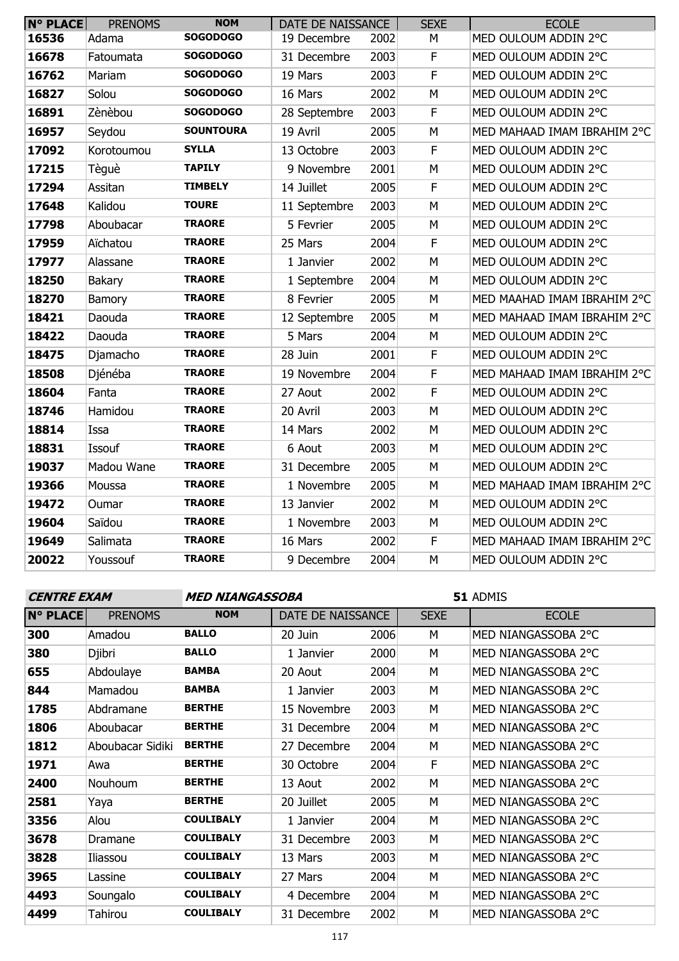| <b>N° PLACE</b> | <b>PRENOMS</b> | <b>NOM</b>       | DATE DE NAISSANCE |      | <b>SEXE</b> | <b>ECOLE</b>                |
|-----------------|----------------|------------------|-------------------|------|-------------|-----------------------------|
| 16536           | Adama          | <b>SOGODOGO</b>  | 19 Decembre       | 2002 | М           | MED OULOUM ADDIN 2°C        |
| 16678           | Fatoumata      | <b>SOGODOGO</b>  | 31 Decembre       | 2003 | $\mathsf F$ | MED OULOUM ADDIN 2°C        |
| 16762           | Mariam         | <b>SOGODOGO</b>  | 19 Mars           | 2003 | F           | MED OULOUM ADDIN 2°C        |
| 16827           | Solou          | <b>SOGODOGO</b>  | 16 Mars           | 2002 | M           | MED OULOUM ADDIN 2°C        |
| 16891           | Zènèbou        | <b>SOGODOGO</b>  | 28 Septembre      | 2003 | $\mathsf F$ | MED OULOUM ADDIN 2°C        |
| 16957           | Seydou         | <b>SOUNTOURA</b> | 19 Avril          | 2005 | M           | MED MAHAAD IMAM IBRAHIM 2°C |
| 17092           | Korotoumou     | <b>SYLLA</b>     | 13 Octobre        | 2003 | $\mathsf F$ | MED OULOUM ADDIN 2°C        |
| 17215           | Tèguè          | <b>TAPILY</b>    | 9 Novembre        | 2001 | M           | MED OULOUM ADDIN 2°C        |
| 17294           | Assitan        | <b>TIMBELY</b>   | 14 Juillet        | 2005 | F           | MED OULOUM ADDIN 2°C        |
| 17648           | Kalidou        | <b>TOURE</b>     | 11 Septembre      | 2003 | M           | MED OULOUM ADDIN 2°C        |
| 17798           | Aboubacar      | <b>TRAORE</b>    | 5 Fevrier         | 2005 | M           | MED OULOUM ADDIN 2°C        |
| 17959           | Aïchatou       | <b>TRAORE</b>    | 25 Mars           | 2004 | F           | MED OULOUM ADDIN 2°C        |
| 17977           | Alassane       | <b>TRAORE</b>    | 1 Janvier         | 2002 | M           | MED OULOUM ADDIN 2°C        |
| 18250           | <b>Bakary</b>  | <b>TRAORE</b>    | 1 Septembre       | 2004 | M           | MED OULOUM ADDIN 2°C        |
| 18270           | Bamory         | <b>TRAORE</b>    | 8 Fevrier         | 2005 | M           | MED MAAHAD IMAM IBRAHIM 2°C |
| 18421           | Daouda         | <b>TRAORE</b>    | 12 Septembre      | 2005 | M           | MED MAHAAD IMAM IBRAHIM 2°C |
| 18422           | Daouda         | <b>TRAORE</b>    | 5 Mars            | 2004 | M           | MED OULOUM ADDIN 2°C        |
| 18475           | Djamacho       | <b>TRAORE</b>    | 28 Juin           | 2001 | $\mathsf F$ | MED OULOUM ADDIN 2°C        |
| 18508           | Djénéba        | <b>TRAORE</b>    | 19 Novembre       | 2004 | $\mathsf F$ | MED MAHAAD IMAM IBRAHIM 2°C |
| 18604           | Fanta          | <b>TRAORE</b>    | 27 Aout           | 2002 | $\mathsf F$ | MED OULOUM ADDIN 2°C        |
| 18746           | Hamidou        | <b>TRAORE</b>    | 20 Avril          | 2003 | M           | MED OULOUM ADDIN 2°C        |
| 18814           | Issa           | <b>TRAORE</b>    | 14 Mars           | 2002 | M           | MED OULOUM ADDIN 2°C        |
| 18831           | Issouf         | <b>TRAORE</b>    | 6 Aout            | 2003 | M           | MED OULOUM ADDIN 2°C        |
| 19037           | Madou Wane     | <b>TRAORE</b>    | 31 Decembre       | 2005 | M           | MED OULOUM ADDIN 2°C        |
| 19366           | Moussa         | <b>TRAORE</b>    | 1 Novembre        | 2005 | M           | MED MAHAAD IMAM IBRAHIM 2°C |
| 19472           | Oumar          | <b>TRAORE</b>    | 13 Janvier        | 2002 | M           | MED OULOUM ADDIN 2°C        |
| 19604           | Saïdou         | <b>TRAORE</b>    | 1 Novembre        | 2003 | M           | MED OULOUM ADDIN 2°C        |
| 19649           | Salimata       | <b>TRAORE</b>    | 16 Mars           | 2002 | F           | MED MAHAAD IMAM IBRAHIM 2°C |
| 20022           | Youssouf       | <b>TRAORE</b>    | 9 Decembre        | 2004 | M           | MED OULOUM ADDIN 2°C        |

**CENTRE EXAM MED NIANGASSOBA**

| <b>N° PLACE</b> | <b>PRENOMS</b>   | <b>NOM</b>       | DATE DE NAISSANCE |      | <b>SEXE</b> | <b>ECOLE</b>        |
|-----------------|------------------|------------------|-------------------|------|-------------|---------------------|
| 300             | Amadou           | <b>BALLO</b>     | 20 Juin           | 2006 | М           | MED NIANGASSOBA 2°C |
| 380             | Djibri           | <b>BALLO</b>     | 1 Janvier         | 2000 | М           | MED NIANGASSOBA 2°C |
| 655             | Abdoulaye        | <b>BAMBA</b>     | 20 Aout           | 2004 | M           | MED NIANGASSOBA 2°C |
| 844             | Mamadou          | <b>BAMBA</b>     | 1 Janvier         | 2003 | M           | MED NIANGASSOBA 2°C |
| 1785            | Abdramane        | <b>BERTHE</b>    | 15 Novembre       | 2003 | M           | MED NIANGASSOBA 2°C |
| 1806            | Aboubacar        | <b>BERTHE</b>    | 31 Decembre       | 2004 | M           | MED NIANGASSOBA 2°C |
| 1812            | Aboubacar Sidiki | <b>BERTHE</b>    | 27 Decembre       | 2004 | М           | MED NIANGASSOBA 2°C |
| 1971            | Awa              | <b>BERTHE</b>    | 30 Octobre        | 2004 | F           | MED NIANGASSOBA 2°C |
| 2400            | Nouhoum          | <b>BERTHE</b>    | 13 Aout           | 2002 | M           | MED NIANGASSOBA 2°C |
| 2581            | Yaya             | <b>BERTHE</b>    | 20 Juillet        | 2005 | M           | MED NIANGASSOBA 2°C |
| 3356            | Alou             | <b>COULIBALY</b> | 1 Janvier         | 2004 | м           | MED NIANGASSOBA 2°C |
| 3678            | Dramane          | <b>COULIBALY</b> | 31 Decembre       | 2003 | M           | MED NIANGASSOBA 2°C |
| 3828            | Iliassou         | <b>COULIBALY</b> | 13 Mars           | 2003 | M           | MED NIANGASSOBA 2°C |
| 3965            | Lassine          | <b>COULIBALY</b> | 27 Mars           | 2004 | M           | MED NIANGASSOBA 2°C |
| 4493            | Soungalo         | <b>COULIBALY</b> | 4 Decembre        | 2004 | M           | MED NIANGASSOBA 2°C |
| 4499            | <b>Tahirou</b>   | <b>COULIBALY</b> | 31 Decembre       | 2002 | М           | MED NIANGASSOBA 2°C |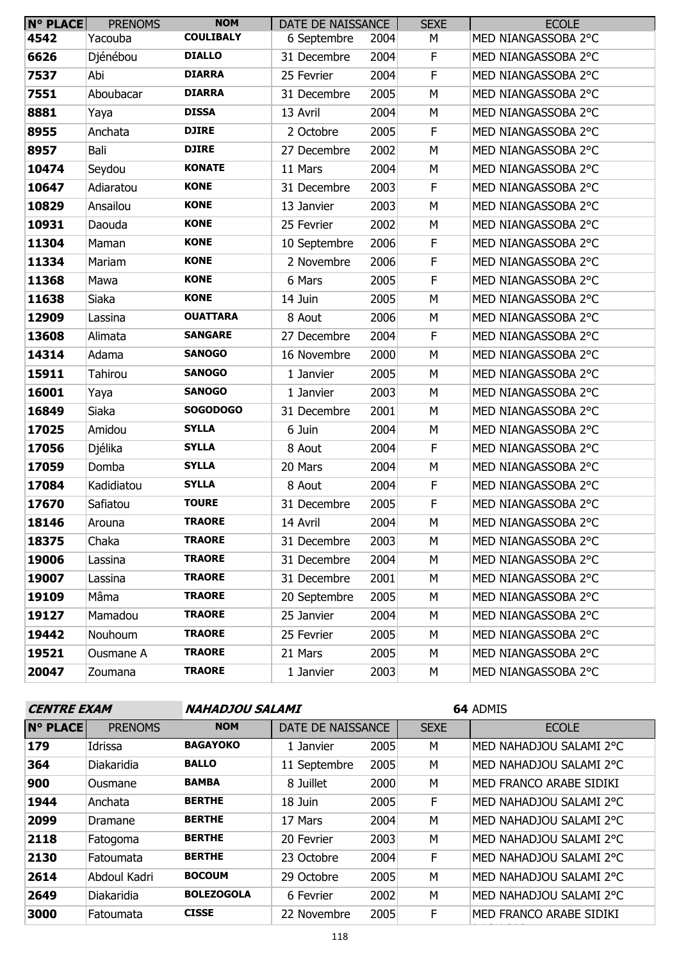| <b>N° PLACE</b> | <b>PRENOMS</b> | <b>NOM</b>       | DATE DE NAISSANCE |      | <b>SEXE</b> | <b>ECOLE</b>        |
|-----------------|----------------|------------------|-------------------|------|-------------|---------------------|
| 4542            | Yacouba        | <b>COULIBALY</b> | 6 Septembre       | 2004 | М           | MED NIANGASSOBA 2°C |
| 6626            | Djénébou       | <b>DIALLO</b>    | 31 Decembre       | 2004 | F           | MED NIANGASSOBA 2°C |
| 7537            | Abi            | <b>DIARRA</b>    | 25 Fevrier        | 2004 | $\mathsf F$ | MED NIANGASSOBA 2°C |
| 7551            | Aboubacar      | <b>DIARRA</b>    | 31 Decembre       | 2005 | M           | MED NIANGASSOBA 2°C |
| 8881            | Yaya           | <b>DISSA</b>     | 13 Avril          | 2004 | M           | MED NIANGASSOBA 2°C |
| 8955            | Anchata        | <b>DJIRE</b>     | 2 Octobre         | 2005 | F           | MED NIANGASSOBA 2°C |
| 8957            | Bali           | <b>DJIRE</b>     | 27 Decembre       | 2002 | M           | MED NIANGASSOBA 2°C |
| 10474           | Seydou         | <b>KONATE</b>    | 11 Mars           | 2004 | M           | MED NIANGASSOBA 2°C |
| 10647           | Adiaratou      | <b>KONE</b>      | 31 Decembre       | 2003 | F           | MED NIANGASSOBA 2°C |
| 10829           | Ansailou       | <b>KONE</b>      | 13 Janvier        | 2003 | M           | MED NIANGASSOBA 2°C |
| 10931           | Daouda         | <b>KONE</b>      | 25 Fevrier        | 2002 | M           | MED NIANGASSOBA 2°C |
| 11304           | Maman          | <b>KONE</b>      | 10 Septembre      | 2006 | F           | MED NIANGASSOBA 2°C |
| 11334           | Mariam         | <b>KONE</b>      | 2 Novembre        | 2006 | F           | MED NIANGASSOBA 2°C |
| 11368           | Mawa           | <b>KONE</b>      | 6 Mars            | 2005 | $\mathsf F$ | MED NIANGASSOBA 2°C |
| 11638           | Siaka          | <b>KONE</b>      | 14 Juin           | 2005 | M           | MED NIANGASSOBA 2°C |
| 12909           | Lassina        | <b>OUATTARA</b>  | 8 Aout            | 2006 | M           | MED NIANGASSOBA 2°C |
| 13608           | Alimata        | <b>SANGARE</b>   | 27 Decembre       | 2004 | F           | MED NIANGASSOBA 2°C |
| 14314           | Adama          | <b>SANOGO</b>    | 16 Novembre       | 2000 | M           | MED NIANGASSOBA 2°C |
| 15911           | <b>Tahirou</b> | <b>SANOGO</b>    | 1 Janvier         | 2005 | M           | MED NIANGASSOBA 2°C |
| 16001           | Yaya           | <b>SANOGO</b>    | 1 Janvier         | 2003 | М           | MED NIANGASSOBA 2°C |
| 16849           | Siaka          | <b>SOGODOGO</b>  | 31 Decembre       | 2001 | M           | MED NIANGASSOBA 2°C |
| 17025           | Amidou         | <b>SYLLA</b>     | 6 Juin            | 2004 | M           | MED NIANGASSOBA 2°C |
| 17056           | Djélika        | <b>SYLLA</b>     | 8 Aout            | 2004 | F           | MED NIANGASSOBA 2°C |
| 17059           | Domba          | <b>SYLLA</b>     | 20 Mars           | 2004 | M           | MED NIANGASSOBA 2°C |
| 17084           | Kadidiatou     | <b>SYLLA</b>     | 8 Aout            | 2004 | F           | MED NIANGASSOBA 2°C |
| 17670           | Safiatou       | <b>TOURE</b>     | 31 Decembre       | 2005 | F           | MED NIANGASSOBA 2°C |
| 18146           | Arouna         | <b>TRAORE</b>    | 14 Avril          | 2004 | М           | MED NIANGASSOBA 2°C |
| 18375           | Chaka          | <b>TRAORE</b>    | 31 Decembre       | 2003 | M           | MED NIANGASSOBA 2°C |
| 19006           | Lassina        | <b>TRAORE</b>    | 31 Decembre       | 2004 | М           | MED NIANGASSOBA 2°C |
| 19007           | Lassina        | <b>TRAORE</b>    | 31 Decembre       | 2001 | М           | MED NIANGASSOBA 2°C |
| 19109           | Mâma           | <b>TRAORE</b>    | 20 Septembre      | 2005 | М           | MED NIANGASSOBA 2°C |
| 19127           | Mamadou        | <b>TRAORE</b>    | 25 Janvier        | 2004 | М           | MED NIANGASSOBA 2°C |
| 19442           | Nouhoum        | <b>TRAORE</b>    | 25 Fevrier        | 2005 | М           | MED NIANGASSOBA 2°C |
| 19521           | Ousmane A      | <b>TRAORE</b>    | 21 Mars           | 2005 | М           | MED NIANGASSOBA 2°C |
| 20047           | Zoumana        | <b>TRAORE</b>    | 1 Janvier         | 2003 | М           | MED NIANGASSOBA 2°C |

| <b>CENTRE EXAM</b> |                |                   | NAHADJOU SALAMI   |      |             | 64 ADMIS                |  |
|--------------------|----------------|-------------------|-------------------|------|-------------|-------------------------|--|
| <b>N° PLACE</b>    | <b>PRENOMS</b> | <b>NOM</b>        | DATE DE NAISSANCE |      | <b>SEXE</b> | <b>ECOLE</b>            |  |
| 179                | Idrissa        | <b>BAGAYOKO</b>   | 1 Janvier         | 2005 | М           | MED NAHADJOU SALAMI 2°C |  |
| 364                | Diakaridia     | <b>BALLO</b>      | 11 Septembre      | 2005 | M           | MED NAHADJOU SALAMI 2°C |  |
| 900                | Ousmane        | <b>BAMBA</b>      | 8 Juillet         | 2000 | M           | MED FRANCO ARABE SIDIKI |  |
| 1944               | Anchata        | <b>BERTHE</b>     | 18 Juin           | 2005 | F.          | MED NAHADJOU SALAMI 2°C |  |
| 2099               | Dramane        | <b>BERTHE</b>     | 17 Mars           | 2004 | M           | MED NAHADJOU SALAMI 2°C |  |
| 2118               | Fatogoma       | <b>BERTHE</b>     | 20 Fevrier        | 2003 | M           | MED NAHADJOU SALAMI 2°C |  |
| 2130               | Fatoumata      | <b>BERTHE</b>     | 23 Octobre        | 2004 | F           | MED NAHADJOU SALAMI 2°C |  |
| 2614               | Abdoul Kadri   | <b>BOCOUM</b>     | 29 Octobre        | 2005 | M           | MED NAHADJOU SALAMI 2°C |  |
| 2649               | Diakaridia     | <b>BOLEZOGOLA</b> | 6 Fevrier         | 2002 | M           | MED NAHADJOU SALAMI 2°C |  |
| 3000               | Fatoumata      | <b>CISSE</b>      | 22 Novembre       | 2005 | F           | MED FRANCO ARABE SIDIKI |  |
| 110                |                |                   |                   |      |             |                         |  |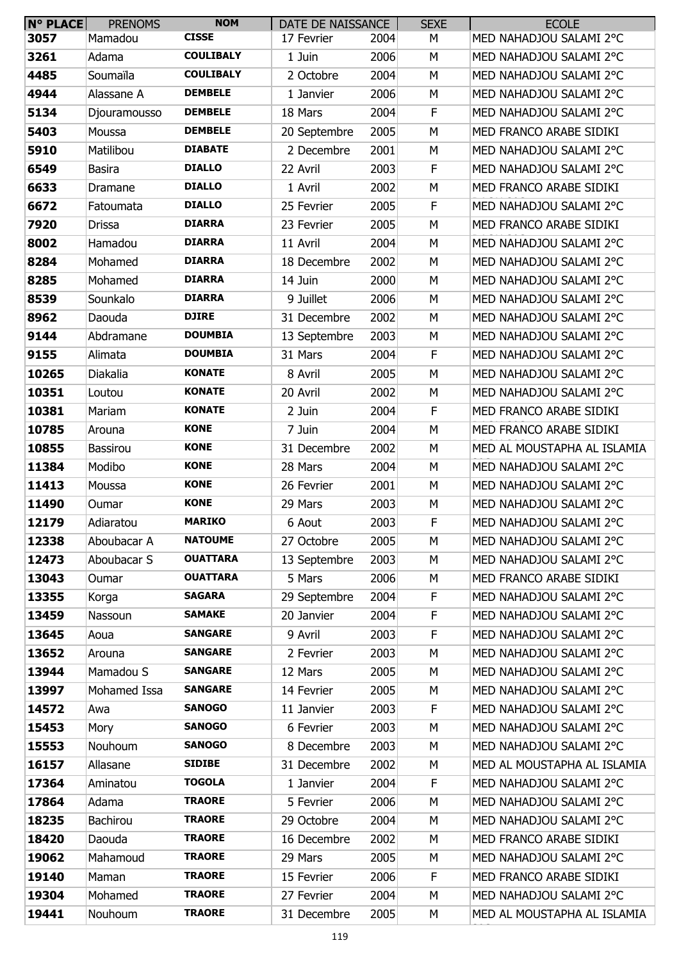| <b>N° PLACE</b> | <b>PRENOMS</b>  | <b>NOM</b>       | DATE DE NAISSANCE |      | <b>SEXE</b> | <b>ECOLE</b>                |
|-----------------|-----------------|------------------|-------------------|------|-------------|-----------------------------|
| 3057            | Mamadou         | <b>CISSE</b>     | 17 Fevrier        | 2004 | М           | MED NAHADJOU SALAMI 2°C     |
| 3261            | Adama           | <b>COULIBALY</b> | 1 Juin            | 2006 | М           | MED NAHADJOU SALAMI 2°C     |
| 4485            | Soumaïla        | <b>COULIBALY</b> | 2 Octobre         | 2004 | M           | MED NAHADJOU SALAMI 2°C     |
| 4944            | Alassane A      | <b>DEMBELE</b>   | 1 Janvier         | 2006 | М           | MED NAHADJOU SALAMI 2°C     |
| 5134            | Djouramousso    | <b>DEMBELE</b>   | 18 Mars           | 2004 | F           | MED NAHADJOU SALAMI 2°C     |
| 5403            | Moussa          | <b>DEMBELE</b>   | 20 Septembre      | 2005 | М           | MED FRANCO ARABE SIDIKI     |
| 5910            | Matilibou       | <b>DIABATE</b>   | 2 Decembre        | 2001 | М           | MED NAHADJOU SALAMI 2°C     |
| 6549            | <b>Basira</b>   | <b>DIALLO</b>    | 22 Avril          | 2003 | F           | MED NAHADJOU SALAMI 2°C     |
| 6633            | Dramane         | <b>DIALLO</b>    | 1 Avril           | 2002 | М           | MED FRANCO ARABE SIDIKI     |
| 6672            | Fatoumata       | <b>DIALLO</b>    | 25 Fevrier        | 2005 | F           | MED NAHADJOU SALAMI 2°C     |
| 7920            | <b>Drissa</b>   | <b>DIARRA</b>    | 23 Fevrier        | 2005 | М           | MED FRANCO ARABE SIDIKI     |
| 8002            | Hamadou         | <b>DIARRA</b>    | 11 Avril          | 2004 | М           | MED NAHADJOU SALAMI 2°C     |
| 8284            | Mohamed         | <b>DIARRA</b>    | 18 Decembre       | 2002 | М           | MED NAHADJOU SALAMI 2°C     |
| 8285            | Mohamed         | <b>DIARRA</b>    | 14 Juin           | 2000 | М           | MED NAHADJOU SALAMI 2°C     |
| 8539            | Sounkalo        | <b>DIARRA</b>    | 9 Juillet         | 2006 | М           | MED NAHADJOU SALAMI 2°C     |
| 8962            | Daouda          | <b>DJIRE</b>     | 31 Decembre       | 2002 | М           | MED NAHADJOU SALAMI 2°C     |
| 9144            | Abdramane       | <b>DOUMBIA</b>   | 13 Septembre      | 2003 | М           | MED NAHADJOU SALAMI 2°C     |
| 9155            | Alimata         | <b>DOUMBIA</b>   | 31 Mars           | 2004 | F           | MED NAHADJOU SALAMI 2°C     |
| 10265           | Diakalia        | <b>KONATE</b>    | 8 Avril           | 2005 | М           | MED NAHADJOU SALAMI 2°C     |
| 10351           | Loutou          | <b>KONATE</b>    | 20 Avril          | 2002 | М           | MED NAHADJOU SALAMI 2°C     |
| 10381           | Mariam          | <b>KONATE</b>    | 2 Juin            | 2004 | F           | MED FRANCO ARABE SIDIKI     |
| 10785           | Arouna          | <b>KONE</b>      | 7 Juin            | 2004 | М           | MED FRANCO ARABE SIDIKI     |
| 10855           | <b>Bassirou</b> | <b>KONE</b>      | 31 Decembre       | 2002 | М           | MED AL MOUSTAPHA AL ISLAMIA |
| 11384           | Modibo          | <b>KONE</b>      | 28 Mars           | 2004 | М           | MED NAHADJOU SALAMI 2°C     |
| 11413           | Moussa          | <b>KONE</b>      | 26 Fevrier        | 2001 | М           | MED NAHADJOU SALAMI 2°C     |
| 11490           | Oumar           | <b>KONE</b>      | 29 Mars           | 2003 | M           | MED NAHADJOU SALAMI 2°C     |
| 12179           | Adiaratou       | <b>MARIKO</b>    | 6 Aout            | 2003 | F           | MED NAHADJOU SALAMI 2°C     |
| 12338           | Aboubacar A     | <b>NATOUME</b>   | 27 Octobre        | 2005 | М           | MED NAHADJOU SALAMI 2°C     |
| 12473           | Aboubacar S     | <b>OUATTARA</b>  | 13 Septembre      | 2003 | М           | MED NAHADJOU SALAMI 2°C     |
| 13043           | Oumar           | <b>OUATTARA</b>  | 5 Mars            | 2006 | М           | MED FRANCO ARABE SIDIKI     |
| 13355           | Korga           | <b>SAGARA</b>    | 29 Septembre      | 2004 | F           | MED NAHADJOU SALAMI 2°C     |
| 13459           | Nassoun         | <b>SAMAKE</b>    | 20 Janvier        | 2004 | F           | MED NAHADJOU SALAMI 2°C     |
| 13645           | Aoua            | <b>SANGARE</b>   | 9 Avril           | 2003 | F           | MED NAHADJOU SALAMI 2°C     |
| 13652           | Arouna          | <b>SANGARE</b>   | 2 Fevrier         | 2003 | M           | MED NAHADJOU SALAMI 2°C     |
| 13944           | Mamadou S       | <b>SANGARE</b>   | 12 Mars           | 2005 | M           | MED NAHADJOU SALAMI 2°C     |
| 13997           | Mohamed Issa    | <b>SANGARE</b>   | 14 Fevrier        | 2005 | М           | MED NAHADJOU SALAMI 2°C     |
| 14572           | Awa             | <b>SANOGO</b>    | 11 Janvier        | 2003 | F           | MED NAHADJOU SALAMI 2°C     |
| 15453           | Mory            | <b>SANOGO</b>    | 6 Fevrier         | 2003 | M           | MED NAHADJOU SALAMI 2°C     |
| 15553           | Nouhoum         | <b>SANOGO</b>    | 8 Decembre        | 2003 | М           | MED NAHADJOU SALAMI 2°C     |
| 16157           | Allasane        | <b>SIDIBE</b>    | 31 Decembre       | 2002 | М           | MED AL MOUSTAPHA AL ISLAMIA |
| 17364           | Aminatou        | <b>TOGOLA</b>    | 1 Janvier         | 2004 | F           | MED NAHADJOU SALAMI 2°C     |
| 17864           | Adama           | <b>TRAORE</b>    | 5 Fevrier         | 2006 | M           | MED NAHADJOU SALAMI 2°C     |
| 18235           | Bachirou        | <b>TRAORE</b>    | 29 Octobre        | 2004 | М           | MED NAHADJOU SALAMI 2°C     |
| 18420           | Daouda          | <b>TRAORE</b>    | 16 Decembre       | 2002 | М           | MED FRANCO ARABE SIDIKI     |
| 19062           | Mahamoud        | <b>TRAORE</b>    | 29 Mars           | 2005 | М           | MED NAHADJOU SALAMI 2°C     |
| 19140           | Maman           | <b>TRAORE</b>    | 15 Fevrier        | 2006 | F           | MED FRANCO ARABE SIDIKI     |
| 19304           | Mohamed         | <b>TRAORE</b>    | 27 Fevrier        | 2004 | М           | MED NAHADJOU SALAMI 2°C     |
| 19441           | Nouhoum         | <b>TRAORE</b>    | 31 Decembre       | 2005 | М           | MED AL MOUSTAPHA AL ISLAMIA |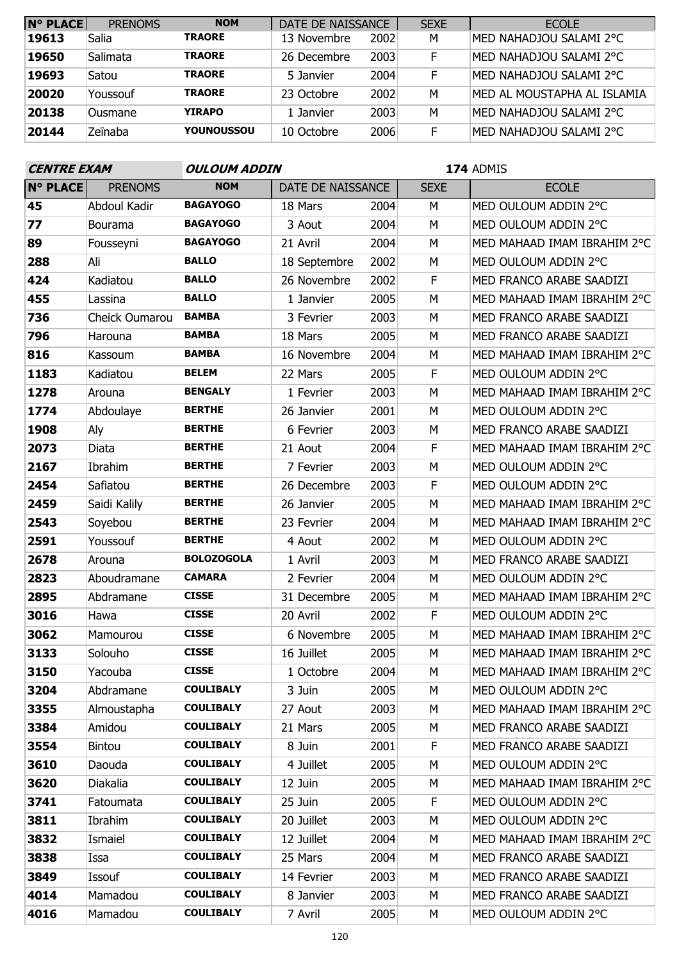| <b>N° PLACE</b> | <b>PRENOMS</b> | <b>NOM</b>    | DATE DE NAISSANCE |      | <b>SEXE</b> | <b>ECOLE</b>                |
|-----------------|----------------|---------------|-------------------|------|-------------|-----------------------------|
| 19613           | Salia          | <b>TRAORE</b> | 13 Novembre       | 2002 | M           | MED NAHADJOU SALAMI 2°C     |
| 19650           | Salimata       | <b>TRAORE</b> | 26 Decembre       | 2003 | F           | MED NAHADJOU SALAMI 2°C     |
| 19693           | Satou          | <b>TRAORE</b> | 5 Janvier         | 2004 | E           | MED NAHADJOU SALAMI 2°C     |
| 20020           | Youssouf       | <b>TRAORE</b> | 23 Octobre        | 2002 | M           | MED AL MOUSTAPHA AL ISLAMIA |
| 20138           | Ousmane        | <b>YIRAPO</b> | 1 Janvier         | 2003 | M           | MED NAHADJOU SALAMI 2°C     |
| 20144           | Zeïnaba        | YOUNOUSSOU    | 10 Octobre        | 2006 | F           | MED NAHADJOU SALAMI 2°C     |

| <b>CENTRE EXAM</b> |                | <b>OULOUM ADDIN</b> |                   |      | 174 ADMIS   |                             |  |  |
|--------------------|----------------|---------------------|-------------------|------|-------------|-----------------------------|--|--|
| <b>N° PLACE</b>    | <b>PRENOMS</b> | <b>NOM</b>          | DATE DE NAISSANCE |      | <b>SEXE</b> | <b>ECOLE</b>                |  |  |
| 45                 | Abdoul Kadir   | <b>BAGAYOGO</b>     | 18 Mars           | 2004 | M           | MED OULOUM ADDIN 2°C        |  |  |
| 77                 | Bourama        | <b>BAGAYOGO</b>     | 3 Aout            | 2004 | М           | MED OULOUM ADDIN 2°C        |  |  |
| 89                 | Fousseyni      | <b>BAGAYOGO</b>     | 21 Avril          | 2004 | М           | MED MAHAAD IMAM IBRAHIM 2°C |  |  |
| 288                | Ali            | <b>BALLO</b>        | 18 Septembre      | 2002 | М           | MED OULOUM ADDIN 2°C        |  |  |
| 424                | Kadiatou       | <b>BALLO</b>        | 26 Novembre       | 2002 | F           | MED FRANCO ARABE SAADIZI    |  |  |
| 455                | Lassina        | <b>BALLO</b>        | 1 Janvier         | 2005 | M           | MED MAHAAD IMAM IBRAHIM 2°C |  |  |
| 736                | Cheick Oumarou | <b>BAMBA</b>        | 3 Fevrier         | 2003 | М           | MED FRANCO ARABE SAADIZI    |  |  |
| 796                | Harouna        | <b>BAMBA</b>        | 18 Mars           | 2005 | M           | MED FRANCO ARABE SAADIZI    |  |  |
| 816                | Kassoum        | <b>BAMBA</b>        | 16 Novembre       | 2004 | М           | MED MAHAAD IMAM IBRAHIM 2°C |  |  |
| 1183               | Kadiatou       | <b>BELEM</b>        | 22 Mars           | 2005 | F           | MED OULOUM ADDIN 2°C        |  |  |
| 1278               | Arouna         | <b>BENGALY</b>      | 1 Fevrier         | 2003 | М           | MED MAHAAD IMAM IBRAHIM 2°C |  |  |
| 1774               | Abdoulaye      | <b>BERTHE</b>       | 26 Janvier        | 2001 | M           | MED OULOUM ADDIN 2°C        |  |  |
| 1908               | Aly            | <b>BERTHE</b>       | 6 Fevrier         | 2003 | М           | MED FRANCO ARABE SAADIZI    |  |  |
| 2073               | Diata          | <b>BERTHE</b>       | 21 Aout           | 2004 | F           | MED MAHAAD IMAM IBRAHIM 2°C |  |  |
| 2167               | Ibrahim        | <b>BERTHE</b>       | 7 Fevrier         | 2003 | M           | MED OULOUM ADDIN 2°C        |  |  |
| 2454               | Safiatou       | <b>BERTHE</b>       | 26 Decembre       | 2003 | F           | MED OULOUM ADDIN 2°C        |  |  |
| 2459               | Saidi Kalily   | <b>BERTHE</b>       | 26 Janvier        | 2005 | М           | MED MAHAAD IMAM IBRAHIM 2°C |  |  |
| 2543               | Soyebou        | <b>BERTHE</b>       | 23 Fevrier        | 2004 | М           | MED MAHAAD IMAM IBRAHIM 2°C |  |  |
| 2591               | Youssouf       | <b>BERTHE</b>       | 4 Aout            | 2002 | М           | MED OULOUM ADDIN 2°C        |  |  |
| 2678               | Arouna         | <b>BOLOZOGOLA</b>   | 1 Avril           | 2003 | M           | MED FRANCO ARABE SAADIZI    |  |  |
| 2823               | Aboudramane    | <b>CAMARA</b>       | 2 Fevrier         | 2004 | М           | MED OULOUM ADDIN 2°C        |  |  |
| 2895               | Abdramane      | <b>CISSE</b>        | 31 Decembre       | 2005 | М           | MED MAHAAD IMAM IBRAHIM 2°C |  |  |
| 3016               | Hawa           | <b>CISSE</b>        | 20 Avril          | 2002 | F           | MED OULOUM ADDIN 2°C        |  |  |
| 3062               | Mamourou       | <b>CISSE</b>        | 6 Novembre        | 2005 | M           | MED MAHAAD IMAM IBRAHIM 2°C |  |  |
| 3133               | Solouho        | <b>CISSE</b>        | 16 Juillet        | 2005 | М           | MED MAHAAD IMAM IBRAHIM 2°C |  |  |
| 3150               | Yacouba        | <b>CISSE</b>        | 1 Octobre         | 2004 | М           | MED MAHAAD IMAM IBRAHIM 2°C |  |  |
| 3204               | Abdramane      | <b>COULIBALY</b>    | 3 Juin            | 2005 | М           | MED OULOUM ADDIN 2°C        |  |  |
| 3355               | Almoustapha    | <b>COULIBALY</b>    | 27 Aout           | 2003 | М           | MED MAHAAD IMAM IBRAHIM 2°C |  |  |
| 3384               | Amidou         | <b>COULIBALY</b>    | 21 Mars           | 2005 | М           | MED FRANCO ARABE SAADIZI    |  |  |
| 3554               | Bintou         | <b>COULIBALY</b>    | 8 Juin            | 2001 | F.          | MED FRANCO ARABE SAADIZI    |  |  |
| 3610               | Daouda         | <b>COULIBALY</b>    | 4 Juillet         | 2005 | М           | MED OULOUM ADDIN 2°C        |  |  |
| 3620               | Diakalia       | <b>COULIBALY</b>    | 12 Juin           | 2005 | М           | MED MAHAAD IMAM IBRAHIM 2°C |  |  |
| 3741               | Fatoumata      | <b>COULIBALY</b>    | 25 Juin           | 2005 | F           | MED OULOUM ADDIN 2°C        |  |  |
| 3811               | Ibrahim        | <b>COULIBALY</b>    | 20 Juillet        | 2003 | М           | MED OULOUM ADDIN 2°C        |  |  |
| 3832               | Ismaiel        | <b>COULIBALY</b>    | 12 Juillet        | 2004 | M           | MED MAHAAD IMAM IBRAHIM 2°C |  |  |
| 3838               | Issa           | <b>COULIBALY</b>    | 25 Mars           | 2004 | М           | MED FRANCO ARABE SAADIZI    |  |  |
| 3849               | Issouf         | <b>COULIBALY</b>    | 14 Fevrier        | 2003 | М           | MED FRANCO ARABE SAADIZI    |  |  |
| 4014               | Mamadou        | <b>COULIBALY</b>    | 8 Janvier         | 2003 | М           | MED FRANCO ARABE SAADIZI    |  |  |
| 4016               | Mamadou        | <b>COULIBALY</b>    | 7 Avril           | 2005 | М           | MED OULOUM ADDIN 2°C        |  |  |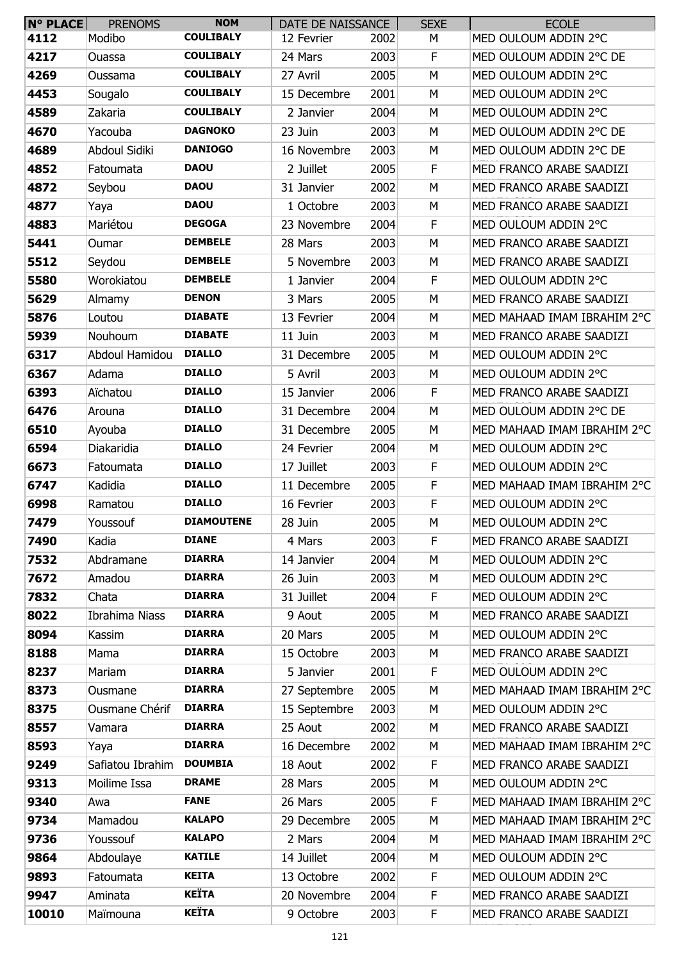| <b>N° PLACE</b> | <b>PRENOMS</b>   | <b>NOM</b>        | DATE DE NAISSANCE |      | <b>SEXE</b> | <b>ECOLE</b>                |
|-----------------|------------------|-------------------|-------------------|------|-------------|-----------------------------|
| 4112            | Modibo           | <b>COULIBALY</b>  | 12 Fevrier        | 2002 | М           | MED OULOUM ADDIN 2°C        |
| 4217            | Ouassa           | <b>COULIBALY</b>  | 24 Mars           | 2003 | F           | MED OULOUM ADDIN 2°C DE     |
| 4269            | Oussama          | <b>COULIBALY</b>  | 27 Avril          | 2005 | М           | MED OULOUM ADDIN 2°C        |
| 4453            | Sougalo          | <b>COULIBALY</b>  | 15 Decembre       | 2001 | М           | MED OULOUM ADDIN 2°C        |
| 4589            | Zakaria          | <b>COULIBALY</b>  | 2 Janvier         | 2004 | М           | MED OULOUM ADDIN 2°C        |
| 4670            | Yacouba          | <b>DAGNOKO</b>    | 23 Juin           | 2003 | М           | MED OULOUM ADDIN 2°C DE     |
| 4689            | Abdoul Sidiki    | <b>DANIOGO</b>    | 16 Novembre       | 2003 | М           | MED OULOUM ADDIN 2°C DE     |
| 4852            | Fatoumata        | <b>DAOU</b>       | 2 Juillet         | 2005 | F           | MED FRANCO ARABE SAADIZI    |
| 4872            | Seybou           | <b>DAOU</b>       | 31 Janvier        | 2002 | M           | MED FRANCO ARABE SAADIZI    |
| 4877            | Yaya             | <b>DAOU</b>       | 1 Octobre         | 2003 | М           | MED FRANCO ARABE SAADIZI    |
| 4883            | Mariétou         | <b>DEGOGA</b>     | 23 Novembre       | 2004 | F           | MED OULOUM ADDIN 2°C        |
| 5441            | Oumar            | <b>DEMBELE</b>    | 28 Mars           | 2003 | М           | MED FRANCO ARABE SAADIZI    |
| 5512            | Seydou           | <b>DEMBELE</b>    | 5 Novembre        | 2003 | М           | MED FRANCO ARABE SAADIZI    |
| 5580            | Worokiatou       | <b>DEMBELE</b>    | 1 Janvier         | 2004 | F           | MED OULOUM ADDIN 2°C        |
| 5629            | Almamy           | <b>DENON</b>      | 3 Mars            | 2005 | М           | MED FRANCO ARABE SAADIZI    |
| 5876            | Loutou           | <b>DIABATE</b>    | 13 Fevrier        | 2004 | М           | MED MAHAAD IMAM IBRAHIM 2°C |
| 5939            | <b>Nouhoum</b>   | <b>DIABATE</b>    | 11 Juin           | 2003 | M           | MED FRANCO ARABE SAADIZI    |
| 6317            | Abdoul Hamidou   | <b>DIALLO</b>     | 31 Decembre       | 2005 | М           | MED OULOUM ADDIN 2°C        |
| 6367            | Adama            | <b>DIALLO</b>     | 5 Avril           | 2003 | М           | MED OULOUM ADDIN 2°C        |
| 6393            | Aïchatou         | <b>DIALLO</b>     | 15 Janvier        | 2006 | F           | MED FRANCO ARABE SAADIZI    |
| 6476            | Arouna           | <b>DIALLO</b>     | 31 Decembre       | 2004 | М           | MED OULOUM ADDIN 2°C DE     |
| 6510            | Ayouba           | <b>DIALLO</b>     | 31 Decembre       | 2005 | М           | MED MAHAAD IMAM IBRAHIM 2°C |
| 6594            | Diakaridia       | <b>DIALLO</b>     | 24 Fevrier        | 2004 | М           | MED OULOUM ADDIN 2°C        |
| 6673            | Fatoumata        | <b>DIALLO</b>     | 17 Juillet        | 2003 | F           | MED OULOUM ADDIN 2°C        |
| 6747            | Kadidia          | <b>DIALLO</b>     | 11 Decembre       | 2005 | F           | MED MAHAAD IMAM IBRAHIM 2°C |
| 6998            | Ramatou          | <b>DIALLO</b>     | 16 Fevrier        | 2003 | F           | MED OULOUM ADDIN 2°C        |
| 7479            | Youssouf         | <b>DIAMOUTENE</b> | 28 Juin           | 2005 | M           | MED OULOUM ADDIN 2°C        |
| 7490            | Kadia            | <b>DIANE</b>      | 4 Mars            | 2003 | F           | MED FRANCO ARABE SAADIZI    |
| 7532            | Abdramane        | <b>DIARRA</b>     | 14 Janvier        | 2004 | М           | MED OULOUM ADDIN 2°C        |
| 7672            | Amadou           | <b>DIARRA</b>     | 26 Juin           | 2003 | М           | MED OULOUM ADDIN 2°C        |
| 7832            | Chata            | <b>DIARRA</b>     | 31 Juillet        | 2004 | F           | MED OULOUM ADDIN 2°C        |
| 8022            | Ibrahima Niass   | <b>DIARRA</b>     | 9 Aout            | 2005 | М           | MED FRANCO ARABE SAADIZI    |
| 8094            | Kassim           | <b>DIARRA</b>     | 20 Mars           | 2005 | М           | MED OULOUM ADDIN 2°C        |
| 8188            | Mama             | <b>DIARRA</b>     | 15 Octobre        | 2003 | М           | MED FRANCO ARABE SAADIZI    |
| 8237            | Mariam           | <b>DIARRA</b>     | 5 Janvier         | 2001 | F           | MED OULOUM ADDIN 2°C        |
| 8373            | Ousmane          | <b>DIARRA</b>     | 27 Septembre      | 2005 | М           | MED MAHAAD IMAM IBRAHIM 2°C |
| 8375            | Ousmane Chérif   | <b>DIARRA</b>     | 15 Septembre      | 2003 | М           | MED OULOUM ADDIN 2°C        |
| 8557            | Vamara           | <b>DIARRA</b>     | 25 Aout           | 2002 | М           | MED FRANCO ARABE SAADIZI    |
| 8593            | Yaya             | <b>DIARRA</b>     | 16 Decembre       | 2002 | М           | MED MAHAAD IMAM IBRAHIM 2°C |
| 9249            | Safiatou Ibrahim | <b>DOUMBIA</b>    | 18 Aout           | 2002 | F           | MED FRANCO ARABE SAADIZI    |
| 9313            | Moilime Issa     | <b>DRAME</b>      | 28 Mars           | 2005 | М           | MED OULOUM ADDIN 2°C        |
| 9340            | Awa              | <b>FANE</b>       | 26 Mars           | 2005 | F           | MED MAHAAD IMAM IBRAHIM 2°C |
| 9734            | Mamadou          | <b>KALAPO</b>     | 29 Decembre       | 2005 | М           | MED MAHAAD IMAM IBRAHIM 2°C |
| 9736            | Youssouf         | <b>KALAPO</b>     | 2 Mars            | 2004 | М           | MED MAHAAD IMAM IBRAHIM 2°C |
| 9864            | Abdoulaye        | <b>KATILE</b>     | 14 Juillet        | 2004 | М           | MED OULOUM ADDIN 2°C        |
| 9893            | Fatoumata        | <b>KEITA</b>      | 13 Octobre        | 2002 | F           | MED OULOUM ADDIN 2°C        |
| 9947            | Aminata          | <b>KEÏTA</b>      | 20 Novembre       | 2004 | F           | MED FRANCO ARABE SAADIZI    |
| 10010           | Maïmouna         | <b>KEÏTA</b>      | 9 Octobre         | 2003 | F           | MED FRANCO ARABE SAADIZI    |
|                 |                  |                   |                   |      |             |                             |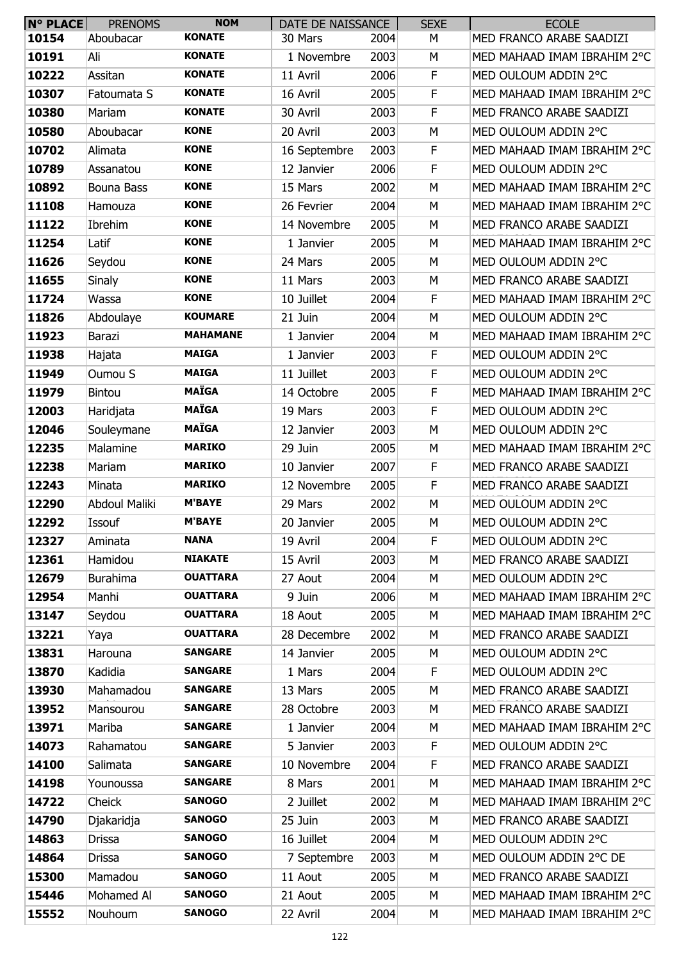| <b>N° PLACE</b> | <b>PRENOMS</b>       | <b>NOM</b>      | DATE DE NAISSANCE |      | <b>SEXE</b> | <b>ECOLE</b>                |
|-----------------|----------------------|-----------------|-------------------|------|-------------|-----------------------------|
| 10154           | Aboubacar            | <b>KONATE</b>   | 30 Mars           | 2004 | М           | MED FRANCO ARABE SAADIZI    |
| 10191           | Ali                  | <b>KONATE</b>   | 1 Novembre        | 2003 | М           | MED MAHAAD IMAM IBRAHIM 2°C |
| 10222           | Assitan              | <b>KONATE</b>   | 11 Avril          | 2006 | F           | MED OULOUM ADDIN 2°C        |
| 10307           | Fatoumata S          | <b>KONATE</b>   | 16 Avril          | 2005 | F           | MED MAHAAD IMAM IBRAHIM 2°C |
| 10380           | Mariam               | <b>KONATE</b>   | 30 Avril          | 2003 | F           | MED FRANCO ARABE SAADIZI    |
| 10580           | Aboubacar            | <b>KONE</b>     | 20 Avril          | 2003 | М           | MED OULOUM ADDIN 2°C        |
| 10702           | Alimata              | <b>KONE</b>     | 16 Septembre      | 2003 | F           | MED MAHAAD IMAM IBRAHIM 2°C |
| 10789           | Assanatou            | <b>KONE</b>     | 12 Janvier        | 2006 | F           | MED OULOUM ADDIN 2°C        |
| 10892           | Bouna Bass           | <b>KONE</b>     | 15 Mars           | 2002 | M           | MED MAHAAD IMAM IBRAHIM 2°C |
| 11108           | Hamouza              | <b>KONE</b>     | 26 Fevrier        | 2004 | M           | MED MAHAAD IMAM IBRAHIM 2°C |
| 11122           | Ibrehim              | <b>KONE</b>     | 14 Novembre       | 2005 | M           | MED FRANCO ARABE SAADIZI    |
| 11254           | Latif                | <b>KONE</b>     | 1 Janvier         | 2005 | M           | MED MAHAAD IMAM IBRAHIM 2°C |
| 11626           | Seydou               | <b>KONE</b>     | 24 Mars           | 2005 | М           | MED OULOUM ADDIN 2°C        |
| 11655           | <b>Sinaly</b>        | <b>KONE</b>     | 11 Mars           | 2003 | М           | MED FRANCO ARABE SAADIZI    |
| 11724           | Wassa                | <b>KONE</b>     | 10 Juillet        | 2004 | F           | MED MAHAAD IMAM IBRAHIM 2°C |
| 11826           | Abdoulaye            | <b>KOUMARE</b>  | 21 Juin           | 2004 | M           | MED OULOUM ADDIN 2°C        |
| 11923           | Barazi               | <b>MAHAMANE</b> | 1 Janvier         | 2004 | М           | MED MAHAAD IMAM IBRAHIM 2°C |
| 11938           | Hajata               | <b>MAIGA</b>    | 1 Janvier         | 2003 | F           | MED OULOUM ADDIN 2°C        |
| 11949           | Oumou S              | <b>MAIGA</b>    | 11 Juillet        | 2003 | F           | MED OULOUM ADDIN 2°C        |
| 11979           | <b>Bintou</b>        | <b>MAÏGA</b>    | 14 Octobre        | 2005 | F           | MED MAHAAD IMAM IBRAHIM 2°C |
| 12003           | Haridjata            | <b>MAÏGA</b>    | 19 Mars           | 2003 | F           | MED OULOUM ADDIN 2°C        |
| 12046           | Souleymane           | <b>MAÏGA</b>    | 12 Janvier        | 2003 | М           | MED OULOUM ADDIN 2°C        |
| 12235           | Malamine             | <b>MARIKO</b>   | 29 Juin           | 2005 | М           | MED MAHAAD IMAM IBRAHIM 2°C |
| 12238           | Mariam               | <b>MARIKO</b>   | 10 Janvier        | 2007 | F           | MED FRANCO ARABE SAADIZI    |
| 12243           | Minata               | <b>MARIKO</b>   | 12 Novembre       | 2005 | $\mathsf F$ | MED FRANCO ARABE SAADIZI    |
| 12290           | <b>Abdoul Maliki</b> | <b>M'BAYE</b>   | 29 Mars           | 2002 | M           | MED OULOUM ADDIN 2°C        |
| 12292           | Issouf               | <b>M'BAYE</b>   | 20 Janvier        | 2005 | M           | MED OULOUM ADDIN 2°C        |
| 12327           | Aminata              | <b>NANA</b>     | 19 Avril          | 2004 | F           | MED OULOUM ADDIN 2°C        |
| 12361           | Hamidou              | <b>NIAKATE</b>  | 15 Avril          | 2003 | М           | MED FRANCO ARABE SAADIZI    |
| 12679           | <b>Burahima</b>      | <b>OUATTARA</b> | 27 Aout           | 2004 | М           | MED OULOUM ADDIN 2°C        |
| 12954           | Manhi                | <b>OUATTARA</b> | 9 Juin            | 2006 | М           | MED MAHAAD IMAM IBRAHIM 2°C |
| 13147           | Seydou               | <b>OUATTARA</b> | 18 Aout           | 2005 | М           | MED MAHAAD IMAM IBRAHIM 2°C |
| 13221           | Yaya                 | <b>OUATTARA</b> | 28 Decembre       | 2002 | M           | MED FRANCO ARABE SAADIZI    |
| 13831           | Harouna              | <b>SANGARE</b>  | 14 Janvier        | 2005 | M           | MED OULOUM ADDIN 2°C        |
| 13870           | Kadidia              | <b>SANGARE</b>  | 1 Mars            | 2004 | F           | MED OULOUM ADDIN 2°C        |
| 13930           | Mahamadou            | <b>SANGARE</b>  | 13 Mars           | 2005 | М           | MED FRANCO ARABE SAADIZI    |
| 13952           | Mansourou            | <b>SANGARE</b>  | 28 Octobre        | 2003 | M           | MED FRANCO ARABE SAADIZI    |
| 13971           | Mariba               | <b>SANGARE</b>  | 1 Janvier         | 2004 | М           | MED MAHAAD IMAM IBRAHIM 2°C |
| 14073           | Rahamatou            | <b>SANGARE</b>  | 5 Janvier         | 2003 | F           | MED OULOUM ADDIN 2°C        |
| 14100           | Salimata             | <b>SANGARE</b>  | 10 Novembre       | 2004 | F           | MED FRANCO ARABE SAADIZI    |
| 14198           | Younoussa            | <b>SANGARE</b>  | 8 Mars            | 2001 | М           | MED MAHAAD IMAM IBRAHIM 2°C |
| 14722           | Cheick               | <b>SANOGO</b>   | 2 Juillet         | 2002 | М           | MED MAHAAD IMAM IBRAHIM 2°C |
| 14790           | Djakaridja           | <b>SANOGO</b>   | 25 Juin           | 2003 | М           | MED FRANCO ARABE SAADIZI    |
| 14863           | Drissa               | <b>SANOGO</b>   | 16 Juillet        | 2004 | M           | MED OULOUM ADDIN 2°C        |
| 14864           | Drissa               | <b>SANOGO</b>   | 7 Septembre       | 2003 | М           | MED OULOUM ADDIN 2°C DE     |
| 15300           | Mamadou              | <b>SANOGO</b>   | 11 Aout           | 2005 | М           | MED FRANCO ARABE SAADIZI    |
| 15446           | Mohamed Al           | <b>SANOGO</b>   | 21 Aout           | 2005 | М           | MED MAHAAD IMAM IBRAHIM 2°C |
| 15552           | Nouhoum              | <b>SANOGO</b>   | 22 Avril          | 2004 | М           | MED MAHAAD IMAM IBRAHIM 2°C |
|                 |                      |                 |                   |      |             |                             |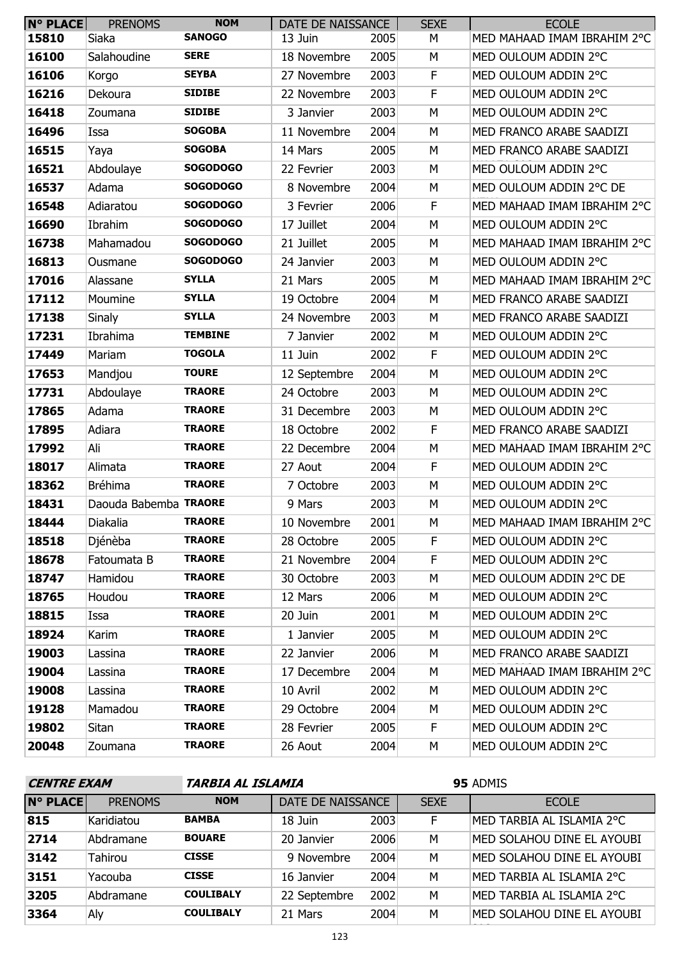| <b>N° PLACE</b> | <b>PRENOMS</b>        | <b>NOM</b>      | DATE DE NAISSANCE |      | <b>SEXE</b> | <b>ECOLE</b>                |
|-----------------|-----------------------|-----------------|-------------------|------|-------------|-----------------------------|
| 15810           | Siaka                 | <b>SANOGO</b>   | 13 Juin           | 2005 | М           | MED MAHAAD IMAM IBRAHIM 2°C |
| 16100           | Salahoudine           | <b>SERE</b>     | 18 Novembre       | 2005 | М           | MED OULOUM ADDIN 2°C        |
| 16106           | Korgo                 | <b>SEYBA</b>    | 27 Novembre       | 2003 | F           | MED OULOUM ADDIN 2°C        |
| 16216           | Dekoura               | <b>SIDIBE</b>   | 22 Novembre       | 2003 | F           | MED OULOUM ADDIN 2°C        |
| 16418           | Zoumana               | <b>SIDIBE</b>   | 3 Janvier         | 2003 | M           | MED OULOUM ADDIN 2°C        |
| 16496           | Issa                  | <b>SOGOBA</b>   | 11 Novembre       | 2004 | М           | MED FRANCO ARABE SAADIZI    |
| 16515           | Yaya                  | <b>SOGOBA</b>   | 14 Mars           | 2005 | M           | MED FRANCO ARABE SAADIZI    |
| 16521           | Abdoulaye             | <b>SOGODOGO</b> | 22 Fevrier        | 2003 | M           | MED OULOUM ADDIN 2°C        |
| 16537           | Adama                 | <b>SOGODOGO</b> | 8 Novembre        | 2004 | М           | MED OULOUM ADDIN 2°C DE     |
| 16548           | Adiaratou             | <b>SOGODOGO</b> | 3 Fevrier         | 2006 | F           | MED MAHAAD IMAM IBRAHIM 2°C |
| 16690           | Ibrahim               | <b>SOGODOGO</b> | 17 Juillet        | 2004 | M           | MED OULOUM ADDIN 2°C        |
| 16738           | Mahamadou             | <b>SOGODOGO</b> | 21 Juillet        | 2005 | M           | MED MAHAAD IMAM IBRAHIM 2°C |
| 16813           | Ousmane               | <b>SOGODOGO</b> | 24 Janvier        | 2003 | М           | MED OULOUM ADDIN 2°C        |
| 17016           | Alassane              | <b>SYLLA</b>    | 21 Mars           | 2005 | M           | MED MAHAAD IMAM IBRAHIM 2°C |
| 17112           | Moumine               | <b>SYLLA</b>    | 19 Octobre        | 2004 | M           | MED FRANCO ARABE SAADIZI    |
| 17138           | <b>Sinaly</b>         | <b>SYLLA</b>    | 24 Novembre       | 2003 | М           | MED FRANCO ARABE SAADIZI    |
| 17231           | Ibrahima              | <b>TEMBINE</b>  | 7 Janvier         | 2002 | M           | MED OULOUM ADDIN 2°C        |
| 17449           | Mariam                | <b>TOGOLA</b>   | 11 Juin           | 2002 | F           | MED OULOUM ADDIN 2°C        |
| 17653           | Mandjou               | <b>TOURE</b>    | 12 Septembre      | 2004 | M           | MED OULOUM ADDIN 2°C        |
| 17731           | Abdoulaye             | <b>TRAORE</b>   | 24 Octobre        | 2003 | М           | MED OULOUM ADDIN 2°C        |
| 17865           | Adama                 | <b>TRAORE</b>   | 31 Decembre       | 2003 | M           | MED OULOUM ADDIN 2°C        |
| 17895           | Adiara                | <b>TRAORE</b>   | 18 Octobre        | 2002 | F           | MED FRANCO ARABE SAADIZI    |
| 17992           | Ali                   | <b>TRAORE</b>   | 22 Decembre       | 2004 | М           | MED MAHAAD IMAM IBRAHIM 2°C |
| 18017           | Alimata               | <b>TRAORE</b>   | 27 Aout           | 2004 | F           | MED OULOUM ADDIN 2°C        |
| 18362           | <b>Bréhima</b>        | <b>TRAORE</b>   | 7 Octobre         | 2003 | M           | MED OULOUM ADDIN 2°C        |
| 18431           | Daouda Babemba TRAORE |                 | 9 Mars            | 2003 | М           | MED OULOUM ADDIN 2°C        |
| 18444           | Diakalia              | <b>TRAORE</b>   | 10 Novembre       | 2001 | M           | MED MAHAAD IMAM IBRAHIM 2°C |
| 18518           | Djénèba               | <b>TRAORE</b>   | 28 Octobre        | 2005 | F           | MED OULOUM ADDIN 2°C        |
| 18678           | Fatoumata B           | <b>TRAORE</b>   | 21 Novembre       | 2004 | F.          | MED OULOUM ADDIN 2°C        |
| 18747           | Hamidou               | <b>TRAORE</b>   | 30 Octobre        | 2003 | М           | MED OULOUM ADDIN 2°C DE     |
| 18765           | Houdou                | <b>TRAORE</b>   | 12 Mars           | 2006 | М           | MED OULOUM ADDIN 2°C        |
| 18815           | Issa                  | <b>TRAORE</b>   | 20 Juin           | 2001 | М           | MED OULOUM ADDIN 2°C        |
| 18924           | Karim                 | <b>TRAORE</b>   | 1 Janvier         | 2005 | М           | MED OULOUM ADDIN 2°C        |
| 19003           | Lassina               | <b>TRAORE</b>   | 22 Janvier        | 2006 | М           | MED FRANCO ARABE SAADIZI    |
| 19004           | Lassina               | <b>TRAORE</b>   | 17 Decembre       | 2004 | М           | MED MAHAAD IMAM IBRAHIM 2°C |
| 19008           | Lassina               | <b>TRAORE</b>   | 10 Avril          | 2002 | M           | MED OULOUM ADDIN 2°C        |
| 19128           | Mamadou               | <b>TRAORE</b>   | 29 Octobre        | 2004 | М           | MED OULOUM ADDIN 2°C        |
| 19802           | Sitan                 | <b>TRAORE</b>   | 28 Fevrier        | 2005 | F.          | MED OULOUM ADDIN 2°C        |
| 20048           | Zoumana               | <b>TRAORE</b>   | 26 Aout           | 2004 | М           | MED OULOUM ADDIN 2°C        |

| <b>CENTRE EXAM</b> |                |                  | TARBIA AL ISLAMIA |      |             | 95 ADMIS                   |  |  |  |
|--------------------|----------------|------------------|-------------------|------|-------------|----------------------------|--|--|--|
| <b>N° PLACE</b>    | <b>PRENOMS</b> | <b>NOM</b>       | DATE DE NAISSANCE |      | <b>SEXE</b> | <b>ECOLE</b>               |  |  |  |
| 815                | Karidiatou     | <b>BAMBA</b>     | 18 Juin           | 2003 | F.          | MED TARBIA AL ISLAMIA 2°C  |  |  |  |
| 2714               | Abdramane      | <b>BOUARE</b>    | 20 Janvier        | 2006 | M           | MED SOLAHOU DINE EL AYOUBI |  |  |  |
| 3142               | Tahirou        | <b>CISSE</b>     | 9 Novembre        | 2004 | M           | MED SOLAHOU DINE EL AYOUBI |  |  |  |
| 3151               | Yacouba        | <b>CISSE</b>     | 16 Janvier        | 2004 | M           | MED TARBIA AL ISLAMIA 2°C  |  |  |  |
| 3205               | Abdramane      | <b>COULIBALY</b> | 22 Septembre      | 2002 | M           | MED TARBIA AL ISLAMIA 2°C  |  |  |  |
| 3364               | Aly            | <b>COULIBALY</b> | 21 Mars           | 2004 | M           | MED SOLAHOU DINE EL AYOUBI |  |  |  |
|                    | 122            |                  |                   |      |             |                            |  |  |  |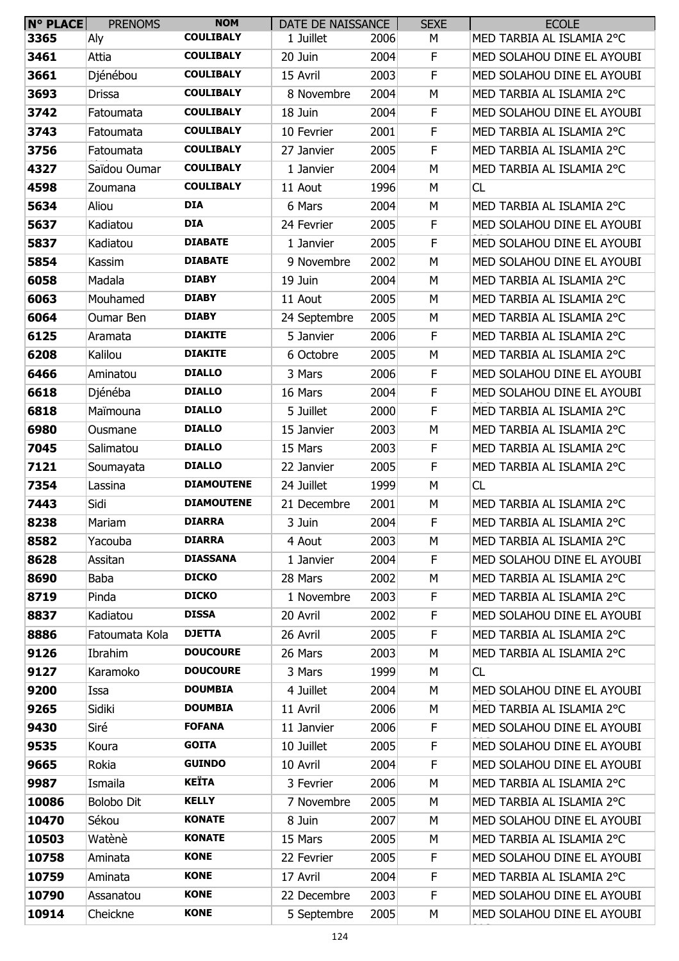| $N^{\circ}$ PLACE | <b>PRENOMS</b>    | <b>NOM</b>        | DATE DE NAISSANCE |      | <b>SEXE</b> | <b>ECOLE</b>               |
|-------------------|-------------------|-------------------|-------------------|------|-------------|----------------------------|
| 3365              | Aly               | <b>COULIBALY</b>  | 1 Juillet         | 2006 | М           | MED TARBIA AL ISLAMIA 2°C  |
| 3461              | Attia             | <b>COULIBALY</b>  | 20 Juin           | 2004 | F           | MED SOLAHOU DINE EL AYOUBI |
| 3661              | Djénébou          | <b>COULIBALY</b>  | 15 Avril          | 2003 | F           | MED SOLAHOU DINE EL AYOUBI |
| 3693              | <b>Drissa</b>     | <b>COULIBALY</b>  | 8 Novembre        | 2004 | M           | MED TARBIA AL ISLAMIA 2°C  |
| 3742              | Fatoumata         | <b>COULIBALY</b>  | 18 Juin           | 2004 | F           | MED SOLAHOU DINE EL AYOUBI |
| 3743              | Fatoumata         | <b>COULIBALY</b>  | 10 Fevrier        | 2001 | F           | MED TARBIA AL ISLAMIA 2°C  |
| 3756              | Fatoumata         | <b>COULIBALY</b>  | 27 Janvier        | 2005 | F           | MED TARBIA AL ISLAMIA 2°C  |
| 4327              | Saïdou Oumar      | <b>COULIBALY</b>  | 1 Janvier         | 2004 | М           | MED TARBIA AL ISLAMIA 2°C  |
| 4598              | Zoumana           | <b>COULIBALY</b>  | 11 Aout           | 1996 | M           | CL                         |
| 5634              | Aliou             | <b>DIA</b>        | 6 Mars            | 2004 | M           | MED TARBIA AL ISLAMIA 2°C  |
| 5637              | Kadiatou          | <b>DIA</b>        | 24 Fevrier        | 2005 | F           | MED SOLAHOU DINE EL AYOUBI |
| 5837              | Kadiatou          | <b>DIABATE</b>    | 1 Janvier         | 2005 | F           | MED SOLAHOU DINE EL AYOUBI |
| 5854              | Kassim            | <b>DIABATE</b>    | 9 Novembre        | 2002 | M           | MED SOLAHOU DINE EL AYOUBI |
| 6058              | Madala            | <b>DIABY</b>      | 19 Juin           | 2004 | M           | MED TARBIA AL ISLAMIA 2°C  |
| 6063              | Mouhamed          | <b>DIABY</b>      | 11 Aout           | 2005 | М           | MED TARBIA AL ISLAMIA 2°C  |
| 6064              | Oumar Ben         | <b>DIABY</b>      | 24 Septembre      | 2005 | M           | MED TARBIA AL ISLAMIA 2°C  |
| 6125              | Aramata           | <b>DIAKITE</b>    | 5 Janvier         | 2006 | F           | MED TARBIA AL ISLAMIA 2°C  |
| 6208              | Kalilou           | <b>DIAKITE</b>    | 6 Octobre         | 2005 | М           | MED TARBIA AL ISLAMIA 2°C  |
| 6466              | Aminatou          | <b>DIALLO</b>     | 3 Mars            | 2006 | F           | MED SOLAHOU DINE EL AYOUBI |
| 6618              | Djénéba           | <b>DIALLO</b>     | 16 Mars           | 2004 | F           | MED SOLAHOU DINE EL AYOUBI |
| 6818              | Maïmouna          | <b>DIALLO</b>     | 5 Juillet         | 2000 | F           | MED TARBIA AL ISLAMIA 2°C  |
| 6980              | Ousmane           | <b>DIALLO</b>     | 15 Janvier        | 2003 | M           | MED TARBIA AL ISLAMIA 2°C  |
| 7045              | Salimatou         | <b>DIALLO</b>     | 15 Mars           | 2003 | F           | MED TARBIA AL ISLAMIA 2°C  |
| 7121              | Soumayata         | <b>DIALLO</b>     | 22 Janvier        | 2005 | F           | MED TARBIA AL ISLAMIA 2°C  |
| 7354              | Lassina           | <b>DIAMOUTENE</b> | 24 Juillet        | 1999 | М           | CL                         |
| 7443              | Sidi              | <b>DIAMOUTENE</b> | 21 Decembre       | 2001 | M           | MED TARBIA AL ISLAMIA 2°C  |
| 8238              | Mariam            | <b>DIARRA</b>     | 3 Juin            | 2004 | F           | MED TARBIA AL ISLAMIA 2°C  |
| 8582              | Yacouba           | <b>DIARRA</b>     | 4 Aout            | 2003 | М           | MED TARBIA AL ISLAMIA 2°C  |
| 8628              | Assitan           | <b>DIASSANA</b>   | 1 Janvier         | 2004 | F           | MED SOLAHOU DINE EL AYOUBI |
| 8690              | <b>Baba</b>       | <b>DICKO</b>      | 28 Mars           | 2002 | M           | MED TARBIA AL ISLAMIA 2°C  |
| 8719              | Pinda             | <b>DICKO</b>      | 1 Novembre        | 2003 | F           | MED TARBIA AL ISLAMIA 2°C  |
| 8837              | Kadiatou          | <b>DISSA</b>      | 20 Avril          | 2002 | F           | MED SOLAHOU DINE EL AYOUBI |
| 8886              | Fatoumata Kola    | <b>DJETTA</b>     | 26 Avril          | 2005 | F           | MED TARBIA AL ISLAMIA 2°C  |
| 9126              | Ibrahim           | <b>DOUCOURE</b>   | 26 Mars           | 2003 | M           | MED TARBIA AL ISLAMIA 2°C  |
| 9127              | Karamoko          | <b>DOUCOURE</b>   | 3 Mars            | 1999 | М           | CL                         |
| 9200              | Issa              | <b>DOUMBIA</b>    | 4 Juillet         | 2004 | M           | MED SOLAHOU DINE EL AYOUBI |
| 9265              | Sidiki            | <b>DOUMBIA</b>    | 11 Avril          | 2006 | M           | MED TARBIA AL ISLAMIA 2°C  |
| 9430              | Siré              | <b>FOFANA</b>     | 11 Janvier        | 2006 | F           | MED SOLAHOU DINE EL AYOUBI |
| 9535              | Koura             | <b>GOITA</b>      | 10 Juillet        | 2005 | F           | MED SOLAHOU DINE EL AYOUBI |
| 9665              | Rokia             | <b>GUINDO</b>     | 10 Avril          | 2004 | F           | MED SOLAHOU DINE EL AYOUBI |
| 9987              | Ismaila           | <b>KEÏTA</b>      | 3 Fevrier         | 2006 | M           | MED TARBIA AL ISLAMIA 2°C  |
| 10086             | <b>Bolobo Dit</b> | <b>KELLY</b>      | 7 Novembre        | 2005 | M           | MED TARBIA AL ISLAMIA 2°C  |
| 10470             | Sékou             | <b>KONATE</b>     | 8 Juin            | 2007 | M           | MED SOLAHOU DINE EL AYOUBI |
| 10503             | Watènè            | <b>KONATE</b>     | 15 Mars           | 2005 | M           | MED TARBIA AL ISLAMIA 2°C  |
| 10758             | Aminata           | <b>KONE</b>       | 22 Fevrier        | 2005 | F           | MED SOLAHOU DINE EL AYOUBI |
| 10759             | Aminata           | <b>KONE</b>       | 17 Avril          | 2004 | F           | MED TARBIA AL ISLAMIA 2°C  |
| 10790             | Assanatou         | <b>KONE</b>       | 22 Decembre       | 2003 | F           | MED SOLAHOU DINE EL AYOUBI |
| 10914             | Cheickne          | <b>KONE</b>       | 5 Septembre       | 2005 | M           | MED SOLAHOU DINE EL AYOUBI |
|                   |                   |                   |                   |      |             |                            |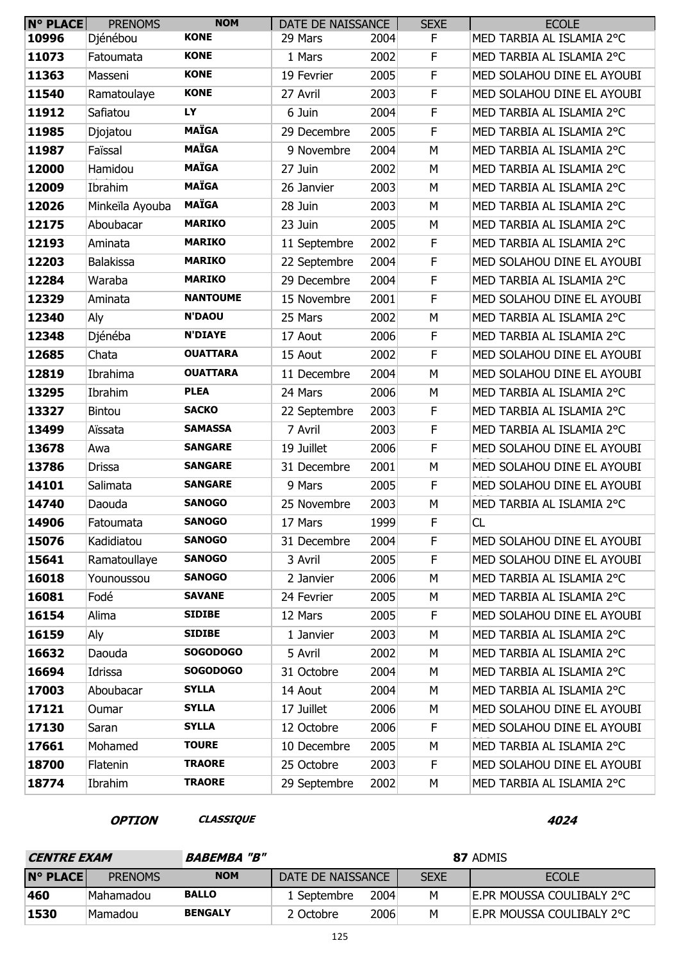| <b>N° PLACE</b> | <b>PRENOMS</b>   | <b>NOM</b>      | DATE DE NAISSANCE |      | <b>SEXE</b> | <b>ECOLE</b>               |
|-----------------|------------------|-----------------|-------------------|------|-------------|----------------------------|
| 10996           | Djénébou         | <b>KONE</b>     | 29 Mars           | 2004 | F           | MED TARBIA AL ISLAMIA 2°C  |
| 11073           | Fatoumata        | <b>KONE</b>     | 1 Mars            | 2002 | F           | MED TARBIA AL ISLAMIA 2°C  |
| 11363           | Masseni          | <b>KONE</b>     | 19 Fevrier        | 2005 | F           | MED SOLAHOU DINE EL AYOUBI |
| 11540           | Ramatoulaye      | <b>KONE</b>     | 27 Avril          | 2003 | F           | MED SOLAHOU DINE EL AYOUBI |
| 11912           | Safiatou         | LY              | 6 Juin            | 2004 | F           | MED TARBIA AL ISLAMIA 2°C  |
| 11985           | Djojatou         | <b>MAÏGA</b>    | 29 Decembre       | 2005 | F           | MED TARBIA AL ISLAMIA 2°C  |
| 11987           | Faïssal          | <b>MAÏGA</b>    | 9 Novembre        | 2004 | M           | MED TARBIA AL ISLAMIA 2°C  |
| 12000           | Hamidou          | <b>MAÏGA</b>    | 27 Juin           | 2002 | М           | MED TARBIA AL ISLAMIA 2°C  |
| 12009           | Ibrahim          | <b>MAÏGA</b>    | 26 Janvier        | 2003 | М           | MED TARBIA AL ISLAMIA 2°C  |
| 12026           | Minkeïla Ayouba  | <b>MAÏGA</b>    | 28 Juin           | 2003 | М           | MED TARBIA AL ISLAMIA 2°C  |
| 12175           | Aboubacar        | <b>MARIKO</b>   | 23 Juin           | 2005 | М           | MED TARBIA AL ISLAMIA 2°C  |
| 12193           | Aminata          | <b>MARIKO</b>   | 11 Septembre      | 2002 | F           | MED TARBIA AL ISLAMIA 2°C  |
| 12203           | <b>Balakissa</b> | <b>MARIKO</b>   | 22 Septembre      | 2004 | F           | MED SOLAHOU DINE EL AYOUBI |
| 12284           | Waraba           | <b>MARIKO</b>   | 29 Decembre       | 2004 | F           | MED TARBIA AL ISLAMIA 2°C  |
| 12329           | Aminata          | <b>NANTOUME</b> | 15 Novembre       | 2001 | F           | MED SOLAHOU DINE EL AYOUBI |
| 12340           | Aly              | <b>N'DAOU</b>   | 25 Mars           | 2002 | М           | MED TARBIA AL ISLAMIA 2°C  |
| 12348           | Djénéba          | <b>N'DIAYE</b>  | 17 Aout           | 2006 | $\mathsf F$ | MED TARBIA AL ISLAMIA 2°C  |
| 12685           | Chata            | <b>OUATTARA</b> | 15 Aout           | 2002 | $\mathsf F$ | MED SOLAHOU DINE EL AYOUBI |
| 12819           | Ibrahima         | <b>OUATTARA</b> | 11 Decembre       | 2004 | М           | MED SOLAHOU DINE EL AYOUBI |
| 13295           | Ibrahim          | <b>PLEA</b>     | 24 Mars           | 2006 | М           | MED TARBIA AL ISLAMIA 2°C  |
| 13327           | <b>Bintou</b>    | <b>SACKO</b>    | 22 Septembre      | 2003 | F           | MED TARBIA AL ISLAMIA 2°C  |
| 13499           | Aïssata          | <b>SAMASSA</b>  | 7 Avril           | 2003 | F           | MED TARBIA AL ISLAMIA 2°C  |
| 13678           | Awa              | <b>SANGARE</b>  | 19 Juillet        | 2006 | $\mathsf F$ | MED SOLAHOU DINE EL AYOUBI |
| 13786           | <b>Drissa</b>    | <b>SANGARE</b>  | 31 Decembre       | 2001 | M           | MED SOLAHOU DINE EL AYOUBI |
| 14101           | Salimata         | <b>SANGARE</b>  | 9 Mars            | 2005 | F           | MED SOLAHOU DINE EL AYOUBI |
| 14740           | Daouda           | <b>SANOGO</b>   | 25 Novembre       | 2003 | М           | MED TARBIA AL ISLAMIA 2°C  |
| 14906           | Fatoumata        | <b>SANOGO</b>   | 17 Mars           | 1999 | F           | <b>CL</b>                  |
| 15076           | Kadidiatou       | <b>SANOGO</b>   | 31 Decembre       | 2004 | F           | MED SOLAHOU DINE EL AYOUBI |
| 15641           | Ramatoullaye     | <b>SANOGO</b>   | 3 Avril           | 2005 | F           | MED SOLAHOU DINE EL AYOUBI |
| 16018           | Younoussou       | <b>SANOGO</b>   | 2 Janvier         | 2006 | М           | MED TARBIA AL ISLAMIA 2°C  |
| 16081           | Fodé             | <b>SAVANE</b>   | 24 Fevrier        | 2005 | М           | MED TARBIA AL ISLAMIA 2°C  |
| 16154           | Alima            | <b>SIDIBE</b>   | 12 Mars           | 2005 | F           | MED SOLAHOU DINE EL AYOUBI |
| 16159           | Aly              | <b>SIDIBE</b>   | 1 Janvier         | 2003 | М           | MED TARBIA AL ISLAMIA 2°C  |
| 16632           | Daouda           | <b>SOGODOGO</b> | 5 Avril           | 2002 | M           | MED TARBIA AL ISLAMIA 2°C  |
| 16694           | Idrissa          | <b>SOGODOGO</b> | 31 Octobre        | 2004 | М           | MED TARBIA AL ISLAMIA 2°C  |
| 17003           | Aboubacar        | <b>SYLLA</b>    | 14 Aout           | 2004 | М           | MED TARBIA AL ISLAMIA 2°C  |
| 17121           | Oumar            | <b>SYLLA</b>    | 17 Juillet        | 2006 | М           | MED SOLAHOU DINE EL AYOUBI |
| 17130           | Saran            | <b>SYLLA</b>    | 12 Octobre        | 2006 | $\mathsf F$ | MED SOLAHOU DINE EL AYOUBI |
| 17661           | Mohamed          | <b>TOURE</b>    | 10 Decembre       | 2005 | М           | MED TARBIA AL ISLAMIA 2°C  |
| 18700           | Flatenin         | <b>TRAORE</b>   | 25 Octobre        | 2003 | F           | MED SOLAHOU DINE EL AYOUBI |
| 18774           | Ibrahim          | <b>TRAORE</b>   | 29 Septembre      | 2002 | М           | MED TARBIA AL ISLAMIA 2°C  |

## **OPTION CLASSIQUE 4024**

| <b>CENTRE EXAM</b> |                | <i><b>BABEMBA "B"</b></i> | 87 ADMIS          |      |             |                           |  |  |
|--------------------|----------------|---------------------------|-------------------|------|-------------|---------------------------|--|--|
| <b>N° PLACE</b>    | <b>PRENOMS</b> | <b>NOM</b>                | DATE DE NAISSANCE |      | <b>SEXE</b> | <b>ECOLE</b>              |  |  |
| 460                | Mahamadou      | <b>BALLO</b>              | 1 Septembre       | 2004 | M           | E.PR MOUSSA COULIBALY 2°C |  |  |
| 1530               | Mamadou        | <b>BENGALY</b>            | 2 Octobre         | 2006 | м           | E.PR MOUSSA COULIBALY 2°C |  |  |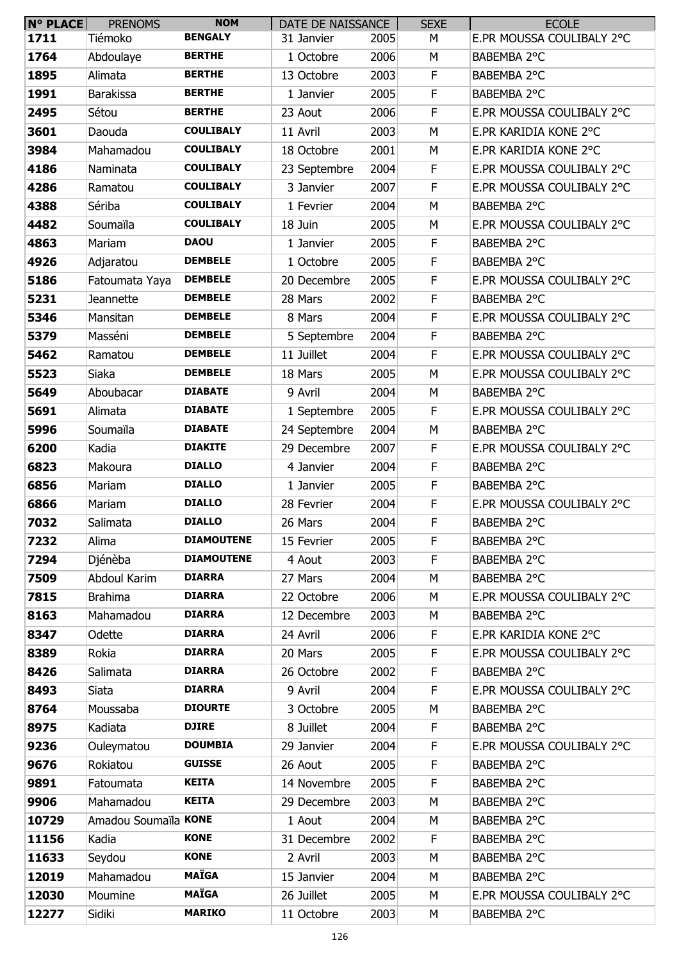| <b>N° PLACE</b> | <b>PRENOMS</b>       | <b>NOM</b>        | DATE DE NAISSANCE |      | <b>SEXE</b> | <b>ECOLE</b>              |
|-----------------|----------------------|-------------------|-------------------|------|-------------|---------------------------|
| 1711            | Tiémoko              | <b>BENGALY</b>    | 31 Janvier        | 2005 | М           | E.PR MOUSSA COULIBALY 2°C |
| 1764            | Abdoulaye            | <b>BERTHE</b>     | 1 Octobre         | 2006 | M           | BABEMBA 2°C               |
| 1895            | Alimata              | <b>BERTHE</b>     | 13 Octobre        | 2003 | F           | BABEMBA 2°C               |
| 1991            | <b>Barakissa</b>     | <b>BERTHE</b>     | 1 Janvier         | 2005 | F           | BABEMBA 2°C               |
| 2495            | Sétou                | <b>BERTHE</b>     | 23 Aout           | 2006 | F           | E.PR MOUSSA COULIBALY 2°C |
| 3601            | Daouda               | <b>COULIBALY</b>  | 11 Avril          | 2003 | M           | E.PR KARIDIA KONE 2°C     |
| 3984            | Mahamadou            | <b>COULIBALY</b>  | 18 Octobre        | 2001 | M           | E.PR KARIDIA KONE 2°C     |
| 4186            | Naminata             | <b>COULIBALY</b>  | 23 Septembre      | 2004 | F           | E.PR MOUSSA COULIBALY 2°C |
| 4286            | Ramatou              | <b>COULIBALY</b>  | 3 Janvier         | 2007 | $\mathsf F$ | E.PR MOUSSA COULIBALY 2°C |
| 4388            | Sériba               | <b>COULIBALY</b>  | 1 Fevrier         | 2004 | M           | BABEMBA 2°C               |
| 4482            | Soumaïla             | <b>COULIBALY</b>  | 18 Juin           | 2005 | M           | E.PR MOUSSA COULIBALY 2°C |
| 4863            | Mariam               | <b>DAOU</b>       | 1 Janvier         | 2005 | F           | BABEMBA 2°C               |
| 4926            | Adjaratou            | <b>DEMBELE</b>    | 1 Octobre         | 2005 | F           | BABEMBA 2°C               |
| 5186            | Fatoumata Yaya       | <b>DEMBELE</b>    | 20 Decembre       | 2005 | F           | E.PR MOUSSA COULIBALY 2°C |
| 5231            | Jeannette            | <b>DEMBELE</b>    | 28 Mars           | 2002 | F           | BABEMBA 2°C               |
| 5346            | Mansitan             | <b>DEMBELE</b>    | 8 Mars            | 2004 | F           | E.PR MOUSSA COULIBALY 2°C |
| 5379            | Masséni              | <b>DEMBELE</b>    | 5 Septembre       | 2004 | F           | BABEMBA 2°C               |
| 5462            | Ramatou              | <b>DEMBELE</b>    | 11 Juillet        | 2004 | F           | E.PR MOUSSA COULIBALY 2°C |
| 5523            | Siaka                | <b>DEMBELE</b>    | 18 Mars           | 2005 | M           | E.PR MOUSSA COULIBALY 2°C |
| 5649            | Aboubacar            | <b>DIABATE</b>    | 9 Avril           | 2004 | M           | BABEMBA 2°C               |
| 5691            | Alimata              | <b>DIABATE</b>    | 1 Septembre       | 2005 | F           | E.PR MOUSSA COULIBALY 2°C |
| 5996            | Soumaïla             | <b>DIABATE</b>    | 24 Septembre      | 2004 | M           | BABEMBA 2°C               |
| 6200            | Kadia                | <b>DIAKITE</b>    | 29 Decembre       | 2007 | F           | E.PR MOUSSA COULIBALY 2°C |
| 6823            | Makoura              | <b>DIALLO</b>     | 4 Janvier         | 2004 | F           | BABEMBA 2°C               |
| 6856            | Mariam               | <b>DIALLO</b>     | 1 Janvier         | 2005 | F           | BABEMBA 2°C               |
| 6866            | Mariam               | <b>DIALLO</b>     | 28 Fevrier        | 2004 | F           | E.PR MOUSSA COULIBALY 2°C |
| 7032            | Salimata             | <b>DIALLO</b>     | 26 Mars           | 2004 | F           | BABEMBA 2°C               |
| 7232            | Alima                | <b>DIAMOUTENE</b> | 15 Fevrier        | 2005 | F           | BABEMBA 2°C               |
| 7294            | Djénèba              | <b>DIAMOUTENE</b> | 4 Aout            | 2003 | F           | BABEMBA 2°C               |
| 7509            | Abdoul Karim         | <b>DIARRA</b>     | 27 Mars           | 2004 | М           | BABEMBA 2°C               |
| 7815            | <b>Brahima</b>       | <b>DIARRA</b>     | 22 Octobre        | 2006 | M           | E.PR MOUSSA COULIBALY 2°C |
| 8163            | Mahamadou            | <b>DIARRA</b>     | 12 Decembre       | 2003 | M           | BABEMBA 2°C               |
| 8347            | Odette               | <b>DIARRA</b>     | 24 Avril          | 2006 | F           | E.PR KARIDIA KONE 2°C     |
| 8389            | Rokia                | <b>DIARRA</b>     | 20 Mars           | 2005 | F           | E.PR MOUSSA COULIBALY 2°C |
| 8426            | Salimata             | <b>DIARRA</b>     | 26 Octobre        | 2002 | F           | BABEMBA 2°C               |
| 8493            | Siata                | <b>DIARRA</b>     | 9 Avril           | 2004 | F           | E.PR MOUSSA COULIBALY 2°C |
| 8764            | Moussaba             | <b>DIOURTE</b>    | 3 Octobre         | 2005 | М           | BABEMBA 2°C               |
| 8975            | Kadiata              | <b>DJIRE</b>      | 8 Juillet         | 2004 | $\mathsf F$ | BABEMBA 2°C               |
| 9236            | Ouleymatou           | <b>DOUMBIA</b>    | 29 Janvier        | 2004 | F           | E.PR MOUSSA COULIBALY 2°C |
| 9676            | Rokiatou             | <b>GUISSE</b>     | 26 Aout           | 2005 | F           | BABEMBA 2°C               |
| 9891            | Fatoumata            | <b>KEITA</b>      | 14 Novembre       | 2005 | F           | BABEMBA 2°C               |
| 9906            | Mahamadou            | <b>KEITA</b>      | 29 Decembre       | 2003 | M           | BABEMBA 2°C               |
| 10729           | Amadou Soumaïla KONE |                   | 1 Aout            | 2004 | M           | BABEMBA 2°C               |
| 11156           | Kadia                | <b>KONE</b>       | 31 Decembre       | 2002 | F           | BABEMBA 2°C               |
| 11633           | Seydou               | <b>KONE</b>       | 2 Avril           | 2003 | M           | BABEMBA 2°C               |
| 12019           | Mahamadou            | <b>MAÏGA</b>      | 15 Janvier        | 2004 | M           | BABEMBA 2°C               |
| 12030           | Moumine              | <b>MAÏGA</b>      | 26 Juillet        | 2005 | М           | E.PR MOUSSA COULIBALY 2°C |
| 12277           | Sidiki               | <b>MARIKO</b>     | 11 Octobre        | 2003 | М           | BABEMBA 2°C               |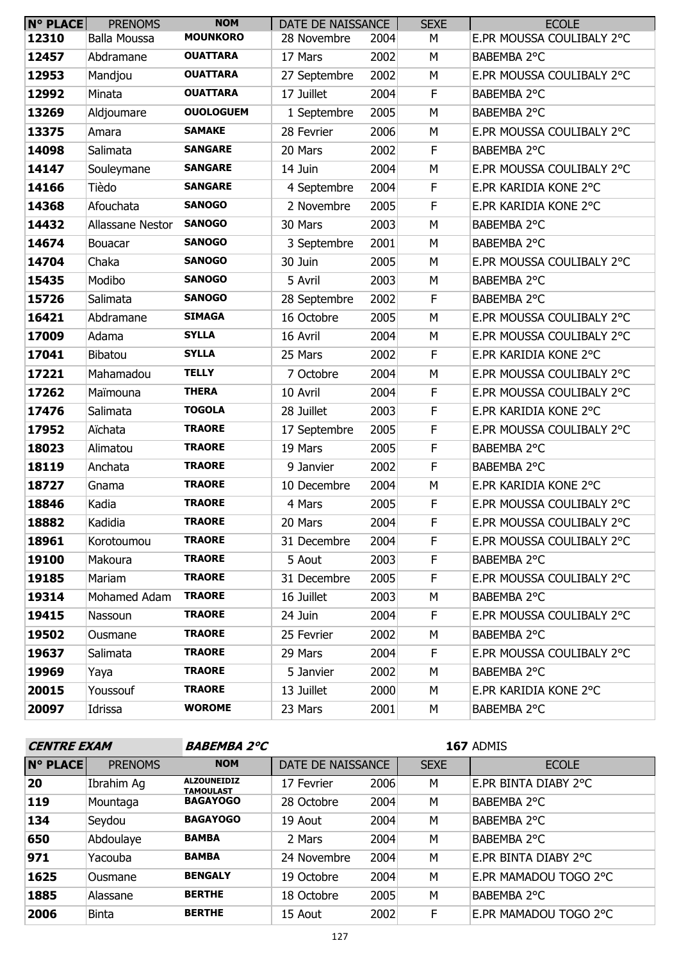| $N^{\circ}$ PLACE | <b>PRENOMS</b>      | <b>NOM</b>       | DATE DE NAISSANCE |      | <b>SEXE</b> | <b>ECOLE</b>              |
|-------------------|---------------------|------------------|-------------------|------|-------------|---------------------------|
| 12310             | <b>Balla Moussa</b> | <b>MOUNKORO</b>  | 28 Novembre       | 2004 | М           | E.PR MOUSSA COULIBALY 2°C |
| 12457             | Abdramane           | <b>OUATTARA</b>  | 17 Mars           | 2002 | М           | BABEMBA 2°C               |
| 12953             | Mandjou             | <b>OUATTARA</b>  | 27 Septembre      | 2002 | M           | E.PR MOUSSA COULIBALY 2°C |
| 12992             | Minata              | <b>OUATTARA</b>  | 17 Juillet        | 2004 | F           | BABEMBA 2°C               |
| 13269             | Aldjoumare          | <b>OUOLOGUEM</b> | 1 Septembre       | 2005 | M           | BABEMBA 2°C               |
| 13375             | Amara               | <b>SAMAKE</b>    | 28 Fevrier        | 2006 | M           | E.PR MOUSSA COULIBALY 2°C |
| 14098             | Salimata            | <b>SANGARE</b>   | 20 Mars           | 2002 | F           | BABEMBA 2°C               |
| 14147             | Souleymane          | <b>SANGARE</b>   | 14 Juin           | 2004 | M           | E.PR MOUSSA COULIBALY 2°C |
| 14166             | Tièdo               | <b>SANGARE</b>   | 4 Septembre       | 2004 | F           | E.PR KARIDIA KONE 2°C     |
| 14368             | Afouchata           | <b>SANOGO</b>    | 2 Novembre        | 2005 | F           | E.PR KARIDIA KONE 2°C     |
| 14432             | Allassane Nestor    | <b>SANOGO</b>    | 30 Mars           | 2003 | M           | BABEMBA 2°C               |
| 14674             | <b>Bouacar</b>      | <b>SANOGO</b>    | 3 Septembre       | 2001 | M           | BABEMBA 2°C               |
| 14704             | Chaka               | <b>SANOGO</b>    | 30 Juin           | 2005 | M           | E.PR MOUSSA COULIBALY 2°C |
| 15435             | Modibo              | <b>SANOGO</b>    | 5 Avril           | 2003 | M           | BABEMBA 2°C               |
| 15726             | Salimata            | <b>SANOGO</b>    | 28 Septembre      | 2002 | F           | BABEMBA 2°C               |
| 16421             | Abdramane           | <b>SIMAGA</b>    | 16 Octobre        | 2005 | M           | E.PR MOUSSA COULIBALY 2°C |
| 17009             | Adama               | <b>SYLLA</b>     | 16 Avril          | 2004 | M           | E.PR MOUSSA COULIBALY 2°C |
| 17041             | Bibatou             | <b>SYLLA</b>     | 25 Mars           | 2002 | $\mathsf F$ | E.PR KARIDIA KONE 2°C     |
| 17221             | Mahamadou           | <b>TELLY</b>     | 7 Octobre         | 2004 | M           | E.PR MOUSSA COULIBALY 2°C |
| 17262             | Maïmouna            | <b>THERA</b>     | 10 Avril          | 2004 | F           | E.PR MOUSSA COULIBALY 2°C |
| 17476             | Salimata            | <b>TOGOLA</b>    | 28 Juillet        | 2003 | $\mathsf F$ | E.PR KARIDIA KONE 2°C     |
| 17952             | Aïchata             | <b>TRAORE</b>    | 17 Septembre      | 2005 | $\mathsf F$ | E.PR MOUSSA COULIBALY 2°C |
| 18023             | Alimatou            | <b>TRAORE</b>    | 19 Mars           | 2005 | F           | BABEMBA 2°C               |
| 18119             | Anchata             | <b>TRAORE</b>    | 9 Janvier         | 2002 | $\mathsf F$ | BABEMBA 2°C               |
| 18727             | Gnama               | <b>TRAORE</b>    | 10 Decembre       | 2004 | M           | E.PR KARIDIA KONE 2°C     |
| 18846             | Kadia               | <b>TRAORE</b>    | 4 Mars            | 2005 | F           | E.PR MOUSSA COULIBALY 2°C |
| 18882             | Kadidia             | <b>TRAORE</b>    | 20 Mars           | 2004 | F           | E.PR MOUSSA COULIBALY 2°C |
| 18961             | Korotoumou          | <b>TRAORE</b>    | 31 Decembre       | 2004 | F           | E.PR MOUSSA COULIBALY 2°C |
| 19100             | Makoura             | <b>TRAORE</b>    | 5 Aout            | 2003 | F.          | BABEMBA 2°C               |
| 19185             | Mariam              | <b>TRAORE</b>    | 31 Decembre       | 2005 | F           | E.PR MOUSSA COULIBALY 2°C |
| 19314             | Mohamed Adam        | <b>TRAORE</b>    | 16 Juillet        | 2003 | М           | BABEMBA 2°C               |
| 19415             | Nassoun             | <b>TRAORE</b>    | 24 Juin           | 2004 | F.          | E.PR MOUSSA COULIBALY 2°C |
| 19502             | Ousmane             | <b>TRAORE</b>    | 25 Fevrier        | 2002 | М           | BABEMBA 2°C               |
| 19637             | Salimata            | <b>TRAORE</b>    | 29 Mars           | 2004 | F.          | E.PR MOUSSA COULIBALY 2°C |
| 19969             | Yaya                | <b>TRAORE</b>    | 5 Janvier         | 2002 | M           | BABEMBA 2°C               |
| 20015             | Youssouf            | <b>TRAORE</b>    | 13 Juillet        | 2000 | М           | E.PR KARIDIA KONE 2°C     |
| 20097             | Idrissa             | <b>WOROME</b>    | 23 Mars           | 2001 | М           | BABEMBA 2°C               |

| <b>CENTRE EXAM</b> |                | <b>BABEMBA 2°C</b>                     | <b>167 ADMIS</b>  |      |             |                       |  |
|--------------------|----------------|----------------------------------------|-------------------|------|-------------|-----------------------|--|
| <b>N° PLACE</b>    | <b>PRENOMS</b> | <b>NOM</b>                             | DATE DE NAISSANCE |      | <b>SEXE</b> | <b>ECOLE</b>          |  |
| 20                 | Ibrahim Aq     | <b>ALZOUNEIDIZ</b><br><b>TAMOULAST</b> | 17 Fevrier        | 2006 | М           | E.PR BINTA DIABY 2°C  |  |
| 119                | Mountaga       | <b>BAGAYOGO</b>                        | 28 Octobre        | 2004 | M           | BABEMBA 2°C           |  |
| 134                | Seydou         | <b>BAGAYOGO</b>                        | 19 Aout           | 2004 | M           | BABEMBA 2°C           |  |
| 650                | Abdoulaye      | <b>BAMBA</b>                           | 2 Mars            | 2004 | M           | BABEMBA 2°C           |  |
| 971                | Yacouba        | <b>BAMBA</b>                           | 24 Novembre       | 2004 | M           | E.PR BINTA DIABY 2°C  |  |
| 1625               | Ousmane        | <b>BENGALY</b>                         | 19 Octobre        | 2004 | M           | E.PR MAMADOU TOGO 2°C |  |
| 1885               | Alassane       | <b>BERTHE</b>                          | 18 Octobre        | 2005 | M           | BABEMBA 2°C           |  |
| 2006               | <b>Binta</b>   | <b>BERTHE</b>                          | 15 Aout           | 2002 | F           | E.PR MAMADOU TOGO 2°C |  |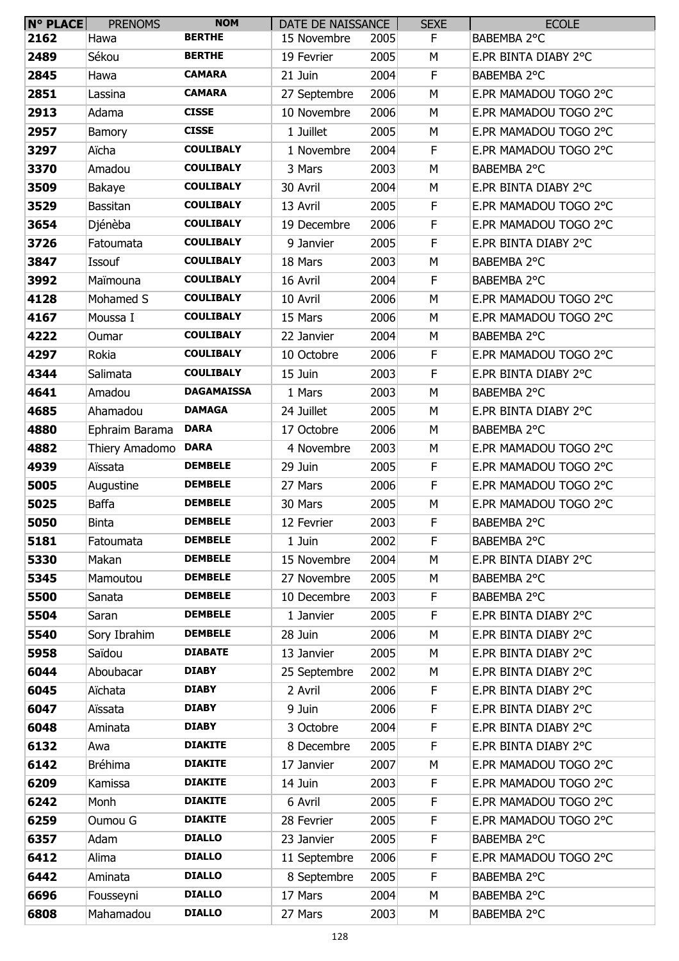| N° PLACE | <b>PRENOMS</b>  | <b>NOM</b>        | DATE DE NAISSANCE |      | <b>SEXE</b> | <b>ECOLE</b>          |
|----------|-----------------|-------------------|-------------------|------|-------------|-----------------------|
| 2162     | Hawa            | <b>BERTHE</b>     | 15 Novembre       | 2005 | F           | BABEMBA 2°C           |
| 2489     | Sékou           | <b>BERTHE</b>     | 19 Fevrier        | 2005 | M           | E.PR BINTA DIABY 2°C  |
| 2845     | Hawa            | <b>CAMARA</b>     | 21 Juin           | 2004 | F           | BABEMBA 2°C           |
| 2851     | Lassina         | <b>CAMARA</b>     | 27 Septembre      | 2006 | M           | E.PR MAMADOU TOGO 2°C |
| 2913     | Adama           | <b>CISSE</b>      | 10 Novembre       | 2006 | М           | E.PR MAMADOU TOGO 2°C |
| 2957     | Bamory          | <b>CISSE</b>      | 1 Juillet         | 2005 | M           | E.PR MAMADOU TOGO 2°C |
| 3297     | Aïcha           | <b>COULIBALY</b>  | 1 Novembre        | 2004 | F           | E.PR MAMADOU TOGO 2°C |
| 3370     | Amadou          | <b>COULIBALY</b>  | 3 Mars            | 2003 | M           | BABEMBA 2°C           |
| 3509     | Bakaye          | <b>COULIBALY</b>  | 30 Avril          | 2004 | М           | E.PR BINTA DIABY 2°C  |
| 3529     | <b>Bassitan</b> | <b>COULIBALY</b>  | 13 Avril          | 2005 | F           | E.PR MAMADOU TOGO 2°C |
| 3654     | Djénèba         | <b>COULIBALY</b>  | 19 Decembre       | 2006 | F           | E.PR MAMADOU TOGO 2°C |
| 3726     | Fatoumata       | <b>COULIBALY</b>  | 9 Janvier         | 2005 | F           | E.PR BINTA DIABY 2°C  |
| 3847     | Issouf          | <b>COULIBALY</b>  | 18 Mars           | 2003 | M           | BABEMBA 2°C           |
| 3992     | Maïmouna        | <b>COULIBALY</b>  | 16 Avril          | 2004 | F           | BABEMBA 2°C           |
| 4128     | Mohamed S       | <b>COULIBALY</b>  | 10 Avril          | 2006 | M           | E.PR MAMADOU TOGO 2°C |
| 4167     | Moussa I        | <b>COULIBALY</b>  | 15 Mars           | 2006 | M           | E.PR MAMADOU TOGO 2°C |
| 4222     | Oumar           | <b>COULIBALY</b>  | 22 Janvier        | 2004 | M           | BABEMBA 2°C           |
| 4297     | Rokia           | <b>COULIBALY</b>  | 10 Octobre        | 2006 | F           | E.PR MAMADOU TOGO 2°C |
| 4344     | Salimata        | <b>COULIBALY</b>  | 15 Juin           | 2003 | F           | E.PR BINTA DIABY 2°C  |
| 4641     | Amadou          | <b>DAGAMAISSA</b> | 1 Mars            | 2003 | M           | BABEMBA 2°C           |
| 4685     | Ahamadou        | <b>DAMAGA</b>     | 24 Juillet        | 2005 | M           | E.PR BINTA DIABY 2°C  |
| 4880     | Ephraim Barama  | <b>DARA</b>       | 17 Octobre        | 2006 | M           | BABEMBA 2°C           |
| 4882     | Thiery Amadomo  | <b>DARA</b>       | 4 Novembre        | 2003 | М           | E.PR MAMADOU TOGO 2°C |
| 4939     | Aïssata         | <b>DEMBELE</b>    | 29 Juin           | 2005 | F           | E.PR MAMADOU TOGO 2°C |
| 5005     | Augustine       | <b>DEMBELE</b>    | 27 Mars           | 2006 | F           | E.PR MAMADOU TOGO 2°C |
| 5025     | <b>Baffa</b>    | <b>DEMBELE</b>    | 30 Mars           | 2005 | М           | E.PR MAMADOU TOGO 2°C |
| 5050     | <b>Binta</b>    | <b>DEMBELE</b>    | 12 Fevrier        | 2003 | F           | BABEMBA 2°C           |
| 5181     | Fatoumata       | <b>DEMBELE</b>    | 1 Juin            | 2002 | F           | BABEMBA 2°C           |
| 5330     | Makan           | <b>DEMBELE</b>    | 15 Novembre       | 2004 | M           | E.PR BINTA DIABY 2°C  |
| 5345     | Mamoutou        | <b>DEMBELE</b>    | 27 Novembre       | 2005 | М           | BABEMBA 2°C           |
| 5500     | Sanata          | <b>DEMBELE</b>    | 10 Decembre       | 2003 | F           | BABEMBA 2°C           |
| 5504     | Saran           | <b>DEMBELE</b>    | 1 Janvier         | 2005 | F.          | E.PR BINTA DIABY 2°C  |
| 5540     | Sory Ibrahim    | <b>DEMBELE</b>    | 28 Juin           | 2006 | М           | E.PR BINTA DIABY 2°C  |
| 5958     | Saïdou          | <b>DIABATE</b>    | 13 Janvier        | 2005 | M           | E.PR BINTA DIABY 2°C  |
| 6044     | Aboubacar       | <b>DIABY</b>      | 25 Septembre      | 2002 | M           | E.PR BINTA DIABY 2°C  |
| 6045     | Aïchata         | <b>DIABY</b>      | 2 Avril           | 2006 | F           | E.PR BINTA DIABY 2°C  |
| 6047     | Aïssata         | <b>DIABY</b>      | 9 Juin            | 2006 | F           | E.PR BINTA DIABY 2°C  |
| 6048     | Aminata         | <b>DIABY</b>      | 3 Octobre         | 2004 | F           | E.PR BINTA DIABY 2°C  |
| 6132     | Awa             | <b>DIAKITE</b>    | 8 Decembre        | 2005 | F           | E.PR BINTA DIABY 2°C  |
| 6142     | Bréhima         | <b>DIAKITE</b>    | 17 Janvier        | 2007 | M           | E.PR MAMADOU TOGO 2°C |
| 6209     | Kamissa         | <b>DIAKITE</b>    | 14 Juin           | 2003 | F.          | E.PR MAMADOU TOGO 2°C |
| 6242     | Monh            | <b>DIAKITE</b>    | 6 Avril           | 2005 | F           | E.PR MAMADOU TOGO 2°C |
| 6259     | Oumou G         | <b>DIAKITE</b>    | 28 Fevrier        | 2005 | F           | E.PR MAMADOU TOGO 2°C |
| 6357     | Adam            | <b>DIALLO</b>     | 23 Janvier        | 2005 | F           | BABEMBA 2°C           |
| 6412     | Alima           | <b>DIALLO</b>     | 11 Septembre      | 2006 | F           | E.PR MAMADOU TOGO 2°C |
| 6442     | Aminata         | <b>DIALLO</b>     | 8 Septembre       | 2005 | F           | BABEMBA 2°C           |
| 6696     | Fousseyni       | <b>DIALLO</b>     | 17 Mars           | 2004 | М           | BABEMBA 2°C           |
| 6808     | Mahamadou       | <b>DIALLO</b>     | 27 Mars           | 2003 | М           | BABEMBA 2°C           |
|          |                 |                   |                   |      |             |                       |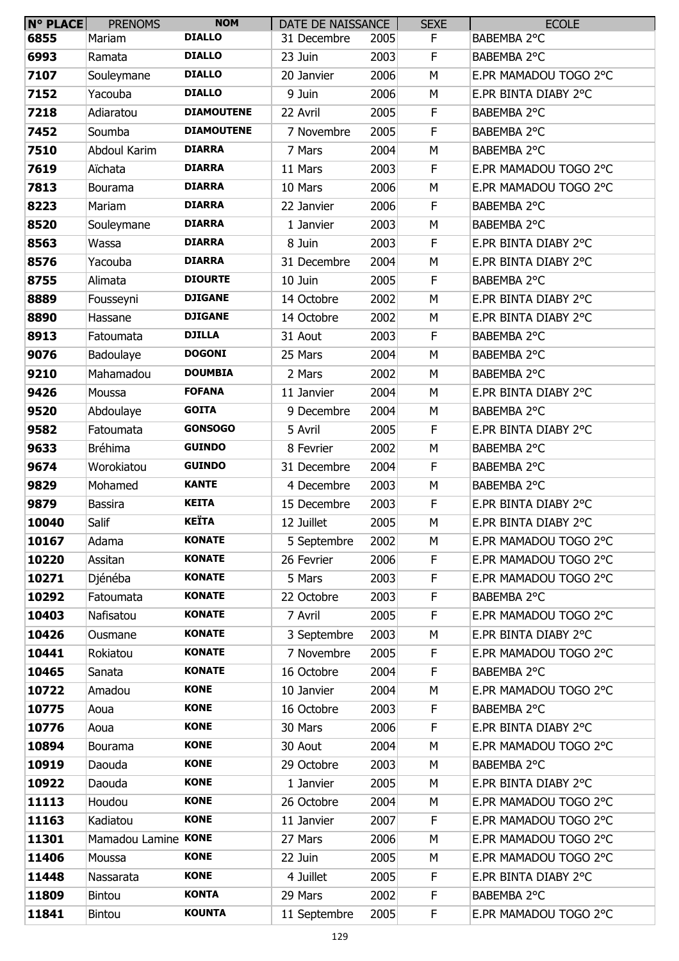| <b>N° PLACE</b> | <b>PRENOMS</b>      | <b>NOM</b>        | DATE DE NAISSANCE |      | <b>SEXE</b> | <b>ECOLE</b>          |
|-----------------|---------------------|-------------------|-------------------|------|-------------|-----------------------|
| 6855            | Mariam              | <b>DIALLO</b>     | 31 Decembre       | 2005 | F           | BABEMBA 2°C           |
| 6993            | Ramata              | <b>DIALLO</b>     | 23 Juin           | 2003 | F           | BABEMBA 2°C           |
| 7107            | Souleymane          | <b>DIALLO</b>     | 20 Janvier        | 2006 | M           | E.PR MAMADOU TOGO 2°C |
| 7152            | Yacouba             | <b>DIALLO</b>     | 9 Juin            | 2006 | M           | E.PR BINTA DIABY 2°C  |
| 7218            | Adiaratou           | <b>DIAMOUTENE</b> | 22 Avril          | 2005 | F           | BABEMBA 2°C           |
| 7452            | Soumba              | <b>DIAMOUTENE</b> | 7 Novembre        | 2005 | F           | BABEMBA 2°C           |
| 7510            | Abdoul Karim        | <b>DIARRA</b>     | 7 Mars            | 2004 | M           | BABEMBA 2°C           |
| 7619            | Aïchata             | <b>DIARRA</b>     | 11 Mars           | 2003 | F           | E.PR MAMADOU TOGO 2°C |
| 7813            | <b>Bourama</b>      | <b>DIARRA</b>     | 10 Mars           | 2006 | M           | E.PR MAMADOU TOGO 2°C |
| 8223            | Mariam              | <b>DIARRA</b>     | 22 Janvier        | 2006 | F           | BABEMBA 2°C           |
| 8520            | Souleymane          | <b>DIARRA</b>     | 1 Janvier         | 2003 | M           | BABEMBA 2°C           |
| 8563            | Wassa               | <b>DIARRA</b>     | 8 Juin            | 2003 | F           | E.PR BINTA DIABY 2°C  |
| 8576            | Yacouba             | <b>DIARRA</b>     | 31 Decembre       | 2004 | M           | E.PR BINTA DIABY 2°C  |
| 8755            | Alimata             | <b>DIOURTE</b>    | 10 Juin           | 2005 | F           | BABEMBA 2°C           |
| 8889            | Fousseyni           | <b>DJIGANE</b>    | 14 Octobre        | 2002 | M           | E.PR BINTA DIABY 2°C  |
| 8890            | Hassane             | <b>DJIGANE</b>    | 14 Octobre        | 2002 | M           | E.PR BINTA DIABY 2°C  |
| 8913            | Fatoumata           | <b>DJILLA</b>     | 31 Aout           | 2003 | F           | BABEMBA 2°C           |
| 9076            | Badoulaye           | <b>DOGONI</b>     | 25 Mars           | 2004 | M           | BABEMBA 2°C           |
| 9210            | Mahamadou           | <b>DOUMBIA</b>    | 2 Mars            | 2002 | М           | BABEMBA 2°C           |
| 9426            | Moussa              | <b>FOFANA</b>     | 11 Janvier        | 2004 | M           | E.PR BINTA DIABY 2°C  |
| 9520            | Abdoulaye           | <b>GOITA</b>      | 9 Decembre        | 2004 | M           | BABEMBA 2°C           |
| 9582            | Fatoumata           | <b>GONSOGO</b>    | 5 Avril           | 2005 | F           | E.PR BINTA DIABY 2°C  |
| 9633            | <b>Bréhima</b>      | <b>GUINDO</b>     | 8 Fevrier         | 2002 | M           | BABEMBA 2°C           |
| 9674            | Worokiatou          | <b>GUINDO</b>     | 31 Decembre       | 2004 | F           | BABEMBA 2°C           |
| 9829            | Mohamed             | <b>KANTE</b>      | 4 Decembre        | 2003 | M           | BABEMBA 2°C           |
| 9879            | <b>Bassira</b>      | <b>KEITA</b>      | 15 Decembre       | 2003 | F           | E.PR BINTA DIABY 2°C  |
| 10040           | Salif               | <b>KEÏTA</b>      | 12 Juillet        | 2005 | M           | E.PR BINTA DIABY 2°C  |
| 10167           | Adama               | <b>KONATE</b>     | 5 Septembre       | 2002 | M           | E.PR MAMADOU TOGO 2°C |
| 10220           | Assitan             | <b>KONATE</b>     | 26 Fevrier        | 2006 | F           | E.PR MAMADOU TOGO 2°C |
| 10271           | Djénéba             | <b>KONATE</b>     | 5 Mars            | 2003 | F           | E.PR MAMADOU TOGO 2°C |
| 10292           | Fatoumata           | <b>KONATE</b>     | 22 Octobre        | 2003 | F           | BABEMBA 2°C           |
| 10403           | Nafisatou           | <b>KONATE</b>     | 7 Avril           | 2005 | F           | E.PR MAMADOU TOGO 2°C |
| 10426           | Ousmane             | <b>KONATE</b>     | 3 Septembre       | 2003 | M           | E.PR BINTA DIABY 2°C  |
| 10441           | Rokiatou            | <b>KONATE</b>     | 7 Novembre        | 2005 | F           | E.PR MAMADOU TOGO 2°C |
| 10465           | Sanata              | <b>KONATE</b>     | 16 Octobre        | 2004 | F           | BABEMBA 2°C           |
| 10722           | Amadou              | <b>KONE</b>       | 10 Janvier        | 2004 | M           | E.PR MAMADOU TOGO 2°C |
| 10775           | Aoua                | <b>KONE</b>       | 16 Octobre        | 2003 | F           | BABEMBA 2°C           |
| 10776           | Aoua                | <b>KONE</b>       | 30 Mars           | 2006 | F           | E.PR BINTA DIABY 2°C  |
| 10894           | Bourama             | <b>KONE</b>       | 30 Aout           | 2004 | M           | E.PR MAMADOU TOGO 2°C |
| 10919           | Daouda              | <b>KONE</b>       | 29 Octobre        | 2003 | M           | BABEMBA 2°C           |
| 10922           | Daouda              | <b>KONE</b>       | 1 Janvier         | 2005 | M           | E.PR BINTA DIABY 2°C  |
| 11113           | Houdou              | <b>KONE</b>       | 26 Octobre        | 2004 | M           | E.PR MAMADOU TOGO 2°C |
| 11163           | Kadiatou            | <b>KONE</b>       | 11 Janvier        | 2007 | F           | E.PR MAMADOU TOGO 2°C |
| 11301           | Mamadou Lamine KONE |                   | 27 Mars           | 2006 | М           | E.PR MAMADOU TOGO 2°C |
| 11406           | Moussa              | <b>KONE</b>       | 22 Juin           | 2005 | M           | E.PR MAMADOU TOGO 2°C |
| 11448           | Nassarata           | <b>KONE</b>       | 4 Juillet         | 2005 | F           | E.PR BINTA DIABY 2°C  |
| 11809           | <b>Bintou</b>       | <b>KONTA</b>      | 29 Mars           | 2002 | F           | BABEMBA 2°C           |
| 11841           | <b>Bintou</b>       | <b>KOUNTA</b>     | 11 Septembre      | 2005 | F           | E.PR MAMADOU TOGO 2°C |
|                 |                     |                   |                   |      |             |                       |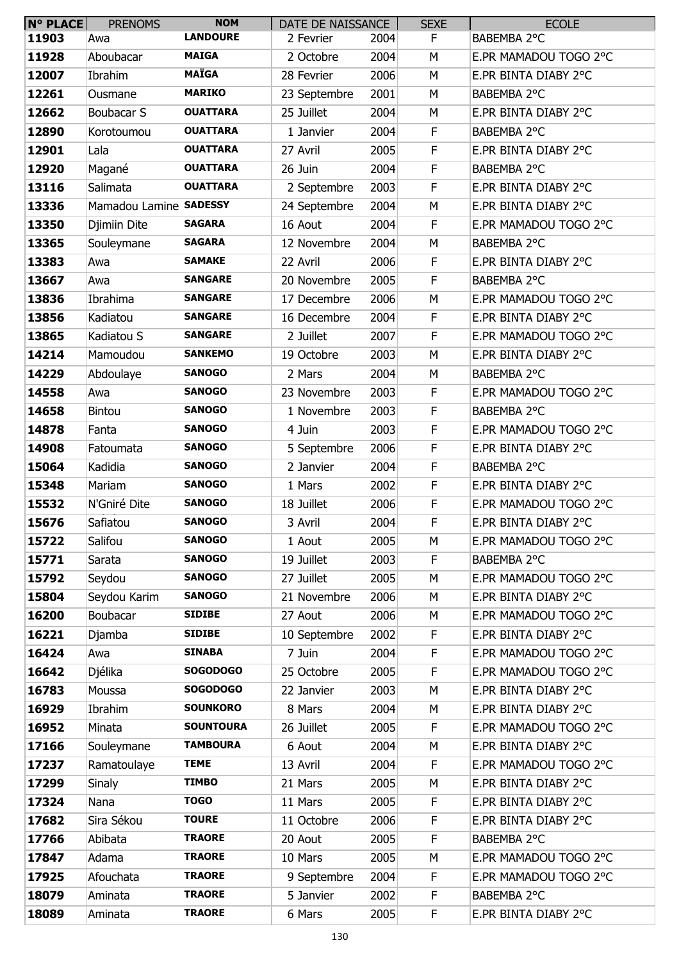| <b>N° PLACE</b> | <b>PRENOMS</b>         | <b>NOM</b>       | DATE DE NAISSANCE |      | <b>SEXE</b> | <b>ECOLE</b>          |
|-----------------|------------------------|------------------|-------------------|------|-------------|-----------------------|
| 11903           | Awa                    | <b>LANDOURE</b>  | 2 Fevrier         | 2004 | F           | BABEMBA 2°C           |
| 11928           | Aboubacar              | <b>MAIGA</b>     | 2 Octobre         | 2004 | M           | E.PR MAMADOU TOGO 2°C |
| 12007           | Ibrahim                | <b>MAÏGA</b>     | 28 Fevrier        | 2006 | M           | E.PR BINTA DIABY 2°C  |
| 12261           | Ousmane                | <b>MARIKO</b>    | 23 Septembre      | 2001 | M           | BABEMBA 2°C           |
| 12662           | Boubacar S             | <b>OUATTARA</b>  | 25 Juillet        | 2004 | М           | E.PR BINTA DIABY 2°C  |
| 12890           | Korotoumou             | <b>OUATTARA</b>  | 1 Janvier         | 2004 | F           | BABEMBA 2°C           |
| 12901           | Lala                   | <b>OUATTARA</b>  | 27 Avril          | 2005 | F           | E.PR BINTA DIABY 2°C  |
| 12920           | Magané                 | <b>OUATTARA</b>  | 26 Juin           | 2004 | F           | BABEMBA 2°C           |
| 13116           | Salimata               | <b>OUATTARA</b>  | 2 Septembre       | 2003 | $\mathsf F$ | E.PR BINTA DIABY 2°C  |
| 13336           | Mamadou Lamine SADESSY |                  | 24 Septembre      | 2004 | M           | E.PR BINTA DIABY 2°C  |
| 13350           | Djimiin Dite           | <b>SAGARA</b>    | 16 Aout           | 2004 | F           | E.PR MAMADOU TOGO 2°C |
| 13365           | Souleymane             | <b>SAGARA</b>    | 12 Novembre       | 2004 | М           | BABEMBA 2°C           |
| 13383           | Awa                    | <b>SAMAKE</b>    | 22 Avril          | 2006 | F           | E.PR BINTA DIABY 2°C  |
| 13667           | Awa                    | <b>SANGARE</b>   | 20 Novembre       | 2005 | F           | BABEMBA 2°C           |
| 13836           | Ibrahima               | <b>SANGARE</b>   | 17 Decembre       | 2006 | M           | E.PR MAMADOU TOGO 2°C |
| 13856           | Kadiatou               | <b>SANGARE</b>   | 16 Decembre       | 2004 | F           | E.PR BINTA DIABY 2°C  |
| 13865           | Kadiatou S             | <b>SANGARE</b>   | 2 Juillet         | 2007 | F           | E.PR MAMADOU TOGO 2°C |
| 14214           | Mamoudou               | <b>SANKEMO</b>   | 19 Octobre        | 2003 | M           | E.PR BINTA DIABY 2°C  |
| 14229           | Abdoulaye              | <b>SANOGO</b>    | 2 Mars            | 2004 | M           | BABEMBA 2°C           |
| 14558           | Awa                    | <b>SANOGO</b>    | 23 Novembre       | 2003 | F           | E.PR MAMADOU TOGO 2°C |
| 14658           | Bintou                 | <b>SANOGO</b>    | 1 Novembre        | 2003 | F           | BABEMBA 2°C           |
| 14878           | Fanta                  | <b>SANOGO</b>    | 4 Juin            | 2003 | F           | E.PR MAMADOU TOGO 2°C |
| 14908           | Fatoumata              | <b>SANOGO</b>    | 5 Septembre       | 2006 | F           | E.PR BINTA DIABY 2°C  |
| 15064           | Kadidia                | <b>SANOGO</b>    | 2 Janvier         | 2004 | F           | BABEMBA 2°C           |
| 15348           | Mariam                 | <b>SANOGO</b>    | 1 Mars            | 2002 | F           | E.PR BINTA DIABY 2°C  |
| 15532           | N'Gniré Dite           | <b>SANOGO</b>    | 18 Juillet        | 2006 | F           | E.PR MAMADOU TOGO 2°C |
| 15676           | Safiatou               | <b>SANOGO</b>    | 3 Avril           | 2004 | F           | E.PR BINTA DIABY 2°C  |
| 15722           | Salifou                | <b>SANOGO</b>    | 1 Aout            | 2005 | M           | E.PR MAMADOU TOGO 2°C |
| 15771           | Sarata                 | <b>SANOGO</b>    | 19 Juillet        | 2003 | F           | BABEMBA 2°C           |
| 15792           | Seydou                 | <b>SANOGO</b>    | 27 Juillet        | 2005 | M           | E.PR MAMADOU TOGO 2°C |
| 15804           | Seydou Karim           | <b>SANOGO</b>    | 21 Novembre       | 2006 | M           | E.PR BINTA DIABY 2°C  |
| 16200           | Boubacar               | <b>SIDIBE</b>    | 27 Aout           | 2006 | M           | E.PR MAMADOU TOGO 2°C |
| 16221           | Djamba                 | <b>SIDIBE</b>    | 10 Septembre      | 2002 | F           | E.PR BINTA DIABY 2°C  |
| 16424           | Awa                    | <b>SINABA</b>    | 7 Juin            | 2004 | F           | E.PR MAMADOU TOGO 2°C |
| 16642           | Djélika                | <b>SOGODOGO</b>  | 25 Octobre        | 2005 | F           | E.PR MAMADOU TOGO 2°C |
| 16783           | Moussa                 | <b>SOGODOGO</b>  | 22 Janvier        | 2003 | M           | E.PR BINTA DIABY 2°C  |
| 16929           | Ibrahim                | <b>SOUNKORO</b>  | 8 Mars            | 2004 | М           | E.PR BINTA DIABY 2°C  |
| 16952           | Minata                 | <b>SOUNTOURA</b> | 26 Juillet        | 2005 | F           | E.PR MAMADOU TOGO 2°C |
| 17166           | Souleymane             | <b>TAMBOURA</b>  | 6 Aout            | 2004 | M           | E.PR BINTA DIABY 2°C  |
| 17237           | Ramatoulaye            | <b>TEME</b>      | 13 Avril          | 2004 | F           | E.PR MAMADOU TOGO 2°C |
| 17299           | <b>Sinaly</b>          | <b>TIMBO</b>     | 21 Mars           | 2005 | M           | E.PR BINTA DIABY 2°C  |
| 17324           | Nana                   | <b>TOGO</b>      | 11 Mars           | 2005 | F           | E.PR BINTA DIABY 2°C  |
| 17682           | Sira Sékou             | <b>TOURE</b>     | 11 Octobre        | 2006 | F           | E.PR BINTA DIABY 2°C  |
| 17766           | Abibata                | <b>TRAORE</b>    | 20 Aout           | 2005 | F           | BABEMBA 2°C           |
| 17847           | Adama                  | <b>TRAORE</b>    | 10 Mars           | 2005 | M           | E.PR MAMADOU TOGO 2°C |
| 17925           | Afouchata              | <b>TRAORE</b>    | 9 Septembre       | 2004 | F           | E.PR MAMADOU TOGO 2°C |
| 18079           | Aminata                | <b>TRAORE</b>    | 5 Janvier         | 2002 | F           | BABEMBA 2°C           |
| 18089           | Aminata                | <b>TRAORE</b>    | 6 Mars            | 2005 | F.          | E.PR BINTA DIABY 2°C  |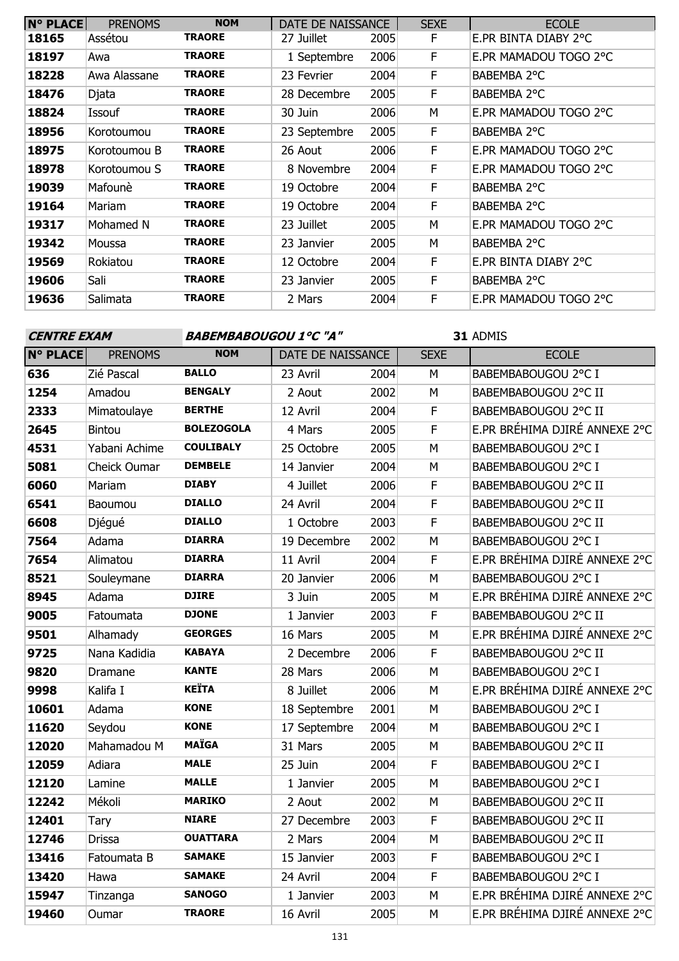| $N^{\circ}$ PLACE | <b>PRENOMS</b> | <b>NOM</b>    | DATE DE NAISSANCE |      | <b>SEXE</b> | <b>ECOLE</b>          |
|-------------------|----------------|---------------|-------------------|------|-------------|-----------------------|
| 18165             | Assétou        | <b>TRAORE</b> | 27 Juillet        | 2005 | E           | E.PR BINTA DIABY 2°C  |
| 18197             | Awa            | <b>TRAORE</b> | 1 Septembre       | 2006 | F           | E.PR MAMADOU TOGO 2°C |
| 18228             | Awa Alassane   | <b>TRAORE</b> | 23 Fevrier        | 2004 | F           | BABEMBA 2°C           |
| 18476             | Djata          | <b>TRAORE</b> | 28 Decembre       | 2005 | F           | BABEMBA 2°C           |
| 18824             | Issouf         | <b>TRAORE</b> | 30 Juin           | 2006 | М           | E.PR MAMADOU TOGO 2°C |
| 18956             | Korotoumou     | <b>TRAORE</b> | 23 Septembre      | 2005 | F           | BABEMBA 2°C           |
| 18975             | Korotoumou B   | <b>TRAORE</b> | 26 Aout           | 2006 | F           | E.PR MAMADOU TOGO 2°C |
| 18978             | Korotoumou S   | <b>TRAORE</b> | 8 Novembre        | 2004 | F           | E.PR MAMADOU TOGO 2°C |
| 19039             | Mafounè        | <b>TRAORE</b> | 19 Octobre        | 2004 | F           | BABEMBA 2°C           |
| 19164             | Mariam         | <b>TRAORE</b> | 19 Octobre        | 2004 | E           | BABEMBA 2°C           |
| 19317             | Mohamed N      | <b>TRAORE</b> | 23 Juillet        | 2005 | M           | E.PR MAMADOU TOGO 2°C |
| 19342             | Moussa         | <b>TRAORE</b> | 23 Janvier        | 2005 | M           | BABEMBA 2°C           |
| 19569             | Rokiatou       | <b>TRAORE</b> | 12 Octobre        | 2004 | F           | E.PR BINTA DIABY 2°C  |
| 19606             | Sali           | <b>TRAORE</b> | 23 Janvier        | 2005 | F           | BABEMBA 2°C           |
| 19636             | Salimata       | <b>TRAORE</b> | 2 Mars            | 2004 | F           | E.PR MAMADOU TOGO 2°C |

### **CENTRE EXAM BABEMBABOUGOU 1°C "A"**

| <b>N° PLACE</b> | <b>PRENOMS</b> | <b>NOM</b>        | DATE DE NAISSANCE |      | <b>SEXE</b>    | <b>ECOLE</b>                  |
|-----------------|----------------|-------------------|-------------------|------|----------------|-------------------------------|
| 636             | Zié Pascal     | <b>BALLO</b>      | 23 Avril          | 2004 | M              | BABEMBABOUGOU 2°C I           |
| 1254            | Amadou         | <b>BENGALY</b>    | 2 Aout            | 2002 | M              | BABEMBABOUGOU 2°C II          |
| 2333            | Mimatoulaye    | <b>BERTHE</b>     | 12 Avril          | 2004 | F              | BABEMBABOUGOU 2°C II          |
| 2645            | Bintou         | <b>BOLEZOGOLA</b> | 4 Mars            | 2005 | F              | E.PR BRÉHIMA DJIRÉ ANNEXE 2°C |
| 4531            | Yabani Achime  | <b>COULIBALY</b>  | 25 Octobre        | 2005 | M              | BABEMBABOUGOU 2°C I           |
| 5081            | Cheick Oumar   | <b>DEMBELE</b>    | 14 Janvier        | 2004 | M              | BABEMBABOUGOU 2°C I           |
| 6060            | Mariam         | <b>DIABY</b>      | 4 Juillet         | 2006 | F              | BABEMBABOUGOU 2°C II          |
| 6541            | Baoumou        | <b>DIALLO</b>     | 24 Avril          | 2004 | $\mathsf F$    | BABEMBABOUGOU 2°C II          |
| 6608            | Djégué         | <b>DIALLO</b>     | 1 Octobre         | 2003 | F              | BABEMBABOUGOU 2°C II          |
| 7564            | Adama          | <b>DIARRA</b>     | 19 Decembre       | 2002 | M              | BABEMBABOUGOU 2°C I           |
| 7654            | Alimatou       | <b>DIARRA</b>     | 11 Avril          | 2004 | F              | E.PR BRÉHIMA DJIRÉ ANNEXE 2°C |
| 8521            | Souleymane     | <b>DIARRA</b>     | 20 Janvier        | 2006 | M              | BABEMBABOUGOU 2°C I           |
| 8945            | Adama          | <b>DJIRE</b>      | 3 Juin            | 2005 | M              | E.PR BRÉHIMA DJIRÉ ANNEXE 2°C |
| 9005            | Fatoumata      | <b>DJONE</b>      | 1 Janvier         | 2003 | $\overline{F}$ | BABEMBABOUGOU 2°C II          |
| 9501            | Alhamady       | <b>GEORGES</b>    | 16 Mars           | 2005 | M              | E.PR BRÉHIMA DJIRÉ ANNEXE 2°C |
| 9725            | Nana Kadidia   | <b>KABAYA</b>     | 2 Decembre        | 2006 | F              | BABEMBABOUGOU 2°C II          |
| 9820            | Dramane        | <b>KANTE</b>      | 28 Mars           | 2006 | M              | BABEMBABOUGOU 2°C I           |
| 9998            | Kalifa I       | <b>KEÏTA</b>      | 8 Juillet         | 2006 | M              | E.PR BRÉHIMA DJIRÉ ANNEXE 2°C |
| 10601           | Adama          | <b>KONE</b>       | 18 Septembre      | 2001 | M              | BABEMBABOUGOU 2°C I           |
| 11620           | Seydou         | <b>KONE</b>       | 17 Septembre      | 2004 | M              | BABEMBABOUGOU 2°C I           |
| 12020           | Mahamadou M    | <b>MAÏGA</b>      | 31 Mars           | 2005 | M              | BABEMBABOUGOU 2°C II          |
| 12059           | Adiara         | <b>MALE</b>       | 25 Juin           | 2004 | F              | BABEMBABOUGOU 2°C I           |
| 12120           | Lamine         | <b>MALLE</b>      | 1 Janvier         | 2005 | M              | BABEMBABOUGOU 2°C I           |
| 12242           | Mékoli         | <b>MARIKO</b>     | 2 Aout            | 2002 | M              | BABEMBABOUGOU 2°C II          |
| 12401           | Tary           | <b>NIARE</b>      | 27 Decembre       | 2003 | F              | BABEMBABOUGOU 2°C II          |
| 12746           | <b>Drissa</b>  | <b>OUATTARA</b>   | 2 Mars            | 2004 | M              | BABEMBABOUGOU 2°C II          |
| 13416           | Fatoumata B    | <b>SAMAKE</b>     | 15 Janvier        | 2003 | $\mathsf F$    | BABEMBABOUGOU 2°C I           |
| 13420           | Hawa           | <b>SAMAKE</b>     | 24 Avril          | 2004 | F              | BABEMBABOUGOU 2°C I           |
| 15947           | Tinzanga       | <b>SANOGO</b>     | 1 Janvier         | 2003 | M              | E.PR BRÉHIMA DJIRÉ ANNEXE 2°C |
| 19460           | Oumar          | <b>TRAORE</b>     | 16 Avril          | 2005 | M              | E.PR BRÉHIMA DJIRÉ ANNEXE 2°C |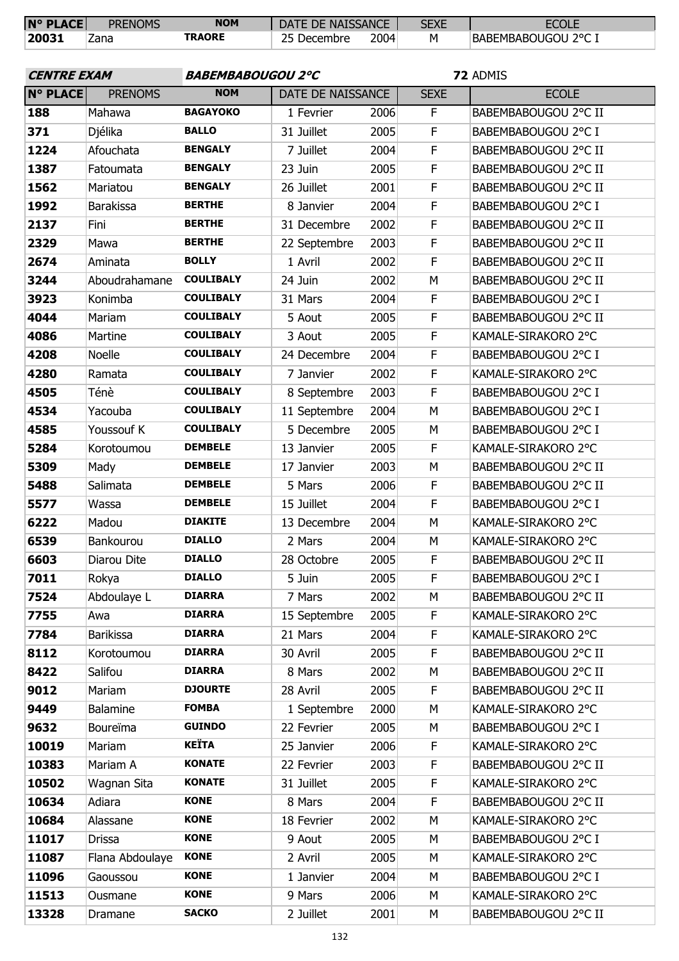| $N^{\circ}$ PLACE | <b>PRENOMS</b> | <b>NOM</b>    | DATE DE NAISSANCE |      | SEXE | <b>ECOLE</b>               |
|-------------------|----------------|---------------|-------------------|------|------|----------------------------|
| 20031             | Zana           | <b>TRAORE</b> | 25<br>Decembre    | 2004 | м    | <b>BABEMBABOUGOU 2°C 1</b> |

| <b>CENTRE EXAM</b> |                  | <b>BABEMBABOUGOU 2°C</b> |                   |      | 72 ADMIS    |                      |  |
|--------------------|------------------|--------------------------|-------------------|------|-------------|----------------------|--|
| <b>N° PLACE</b>    | <b>PRENOMS</b>   | <b>NOM</b>               | DATE DE NAISSANCE |      | <b>SEXE</b> | <b>ECOLE</b>         |  |
| 188                | Mahawa           | <b>BAGAYOKO</b>          | 1 Fevrier         | 2006 | F           | BABEMBABOUGOU 2°C II |  |
| 371                | Djélika          | <b>BALLO</b>             | 31 Juillet        | 2005 | F           | BABEMBABOUGOU 2°C I  |  |
| 1224               | Afouchata        | <b>BENGALY</b>           | 7 Juillet         | 2004 | F           | BABEMBABOUGOU 2°C II |  |
| 1387               | Fatoumata        | <b>BENGALY</b>           | 23 Juin           | 2005 | $\mathsf F$ | BABEMBABOUGOU 2°C II |  |
| 1562               | Mariatou         | <b>BENGALY</b>           | 26 Juillet        | 2001 | F           | BABEMBABOUGOU 2°C II |  |
| 1992               | <b>Barakissa</b> | <b>BERTHE</b>            | 8 Janvier         | 2004 | F           | BABEMBABOUGOU 2°C I  |  |
| 2137               | Fini             | <b>BERTHE</b>            | 31 Decembre       | 2002 | F           | BABEMBABOUGOU 2°C II |  |
| 2329               | Mawa             | <b>BERTHE</b>            | 22 Septembre      | 2003 | F           | BABEMBABOUGOU 2°C II |  |
| 2674               | Aminata          | <b>BOLLY</b>             | 1 Avril           | 2002 | F           | BABEMBABOUGOU 2°C II |  |
| 3244               | Aboudrahamane    | <b>COULIBALY</b>         | 24 Juin           | 2002 | M           | BABEMBABOUGOU 2°C II |  |
| 3923               | Konimba          | <b>COULIBALY</b>         | 31 Mars           | 2004 | F           | BABEMBABOUGOU 2°C I  |  |
| 4044               | Mariam           | <b>COULIBALY</b>         | 5 Aout            | 2005 | F           | BABEMBABOUGOU 2°C II |  |
| 4086               | Martine          | <b>COULIBALY</b>         | 3 Aout            | 2005 | F           | KAMALE-SIRAKORO 2°C  |  |
| 4208               | <b>Noelle</b>    | <b>COULIBALY</b>         | 24 Decembre       | 2004 | F           | BABEMBABOUGOU 2°C I  |  |
| 4280               | Ramata           | <b>COULIBALY</b>         | 7 Janvier         | 2002 | F           | KAMALE-SIRAKORO 2°C  |  |
| 4505               | Ténè             | <b>COULIBALY</b>         | 8 Septembre       | 2003 | F           | BABEMBABOUGOU 2°C I  |  |
| 4534               | Yacouba          | <b>COULIBALY</b>         | 11 Septembre      | 2004 | M           | BABEMBABOUGOU 2°C I  |  |
| 4585               | Youssouf K       | <b>COULIBALY</b>         | 5 Decembre        | 2005 | М           | BABEMBABOUGOU 2°C I  |  |
| 5284               | Korotoumou       | <b>DEMBELE</b>           | 13 Janvier        | 2005 | F           | KAMALE-SIRAKORO 2°C  |  |
| 5309               | Mady             | <b>DEMBELE</b>           | 17 Janvier        | 2003 | M           | BABEMBABOUGOU 2°C II |  |
| 5488               | Salimata         | <b>DEMBELE</b>           | 5 Mars            | 2006 | F           | BABEMBABOUGOU 2°C II |  |
| 5577               | Wassa            | <b>DEMBELE</b>           | 15 Juillet        | 2004 | F           | BABEMBABOUGOU 2°C I  |  |
| 6222               | Madou            | <b>DIAKITE</b>           | 13 Decembre       | 2004 | M           | KAMALE-SIRAKORO 2°C  |  |
| 6539               | Bankourou        | <b>DIALLO</b>            | 2 Mars            | 2004 | M           | KAMALE-SIRAKORO 2°C  |  |
| 6603               | Diarou Dite      | <b>DIALLO</b>            | 28 Octobre        | 2005 | F           | BABEMBABOUGOU 2°C II |  |
| 7011               | Rokya            | <b>DIALLO</b>            | 5 Juin            | 2005 | F           | BABEMBABOUGOU 2°C I  |  |
| 7524               | Abdoulaye L      | <b>DIARRA</b>            | 7 Mars            | 2002 | M           | BABEMBABOUGOU 2°C II |  |
| 7755               | Awa              | <b>DIARRA</b>            | 15 Septembre      | 2005 | F           | KAMALE-SIRAKORO 2°C  |  |
| 7784               | <b>Barikissa</b> | <b>DIARRA</b>            | 21 Mars           | 2004 | F           | KAMALE-SIRAKORO 2°C  |  |
| 8112               | Korotoumou       | <b>DIARRA</b>            | 30 Avril          | 2005 | F           | BABEMBABOUGOU 2°C II |  |
| 8422               | Salifou          | <b>DIARRA</b>            | 8 Mars            | 2002 | M           | BABEMBABOUGOU 2°C II |  |
| 9012               | Mariam           | <b>DJOURTE</b>           | 28 Avril          | 2005 | F           | BABEMBABOUGOU 2°C II |  |
| 9449               | <b>Balamine</b>  | <b>FOMBA</b>             | 1 Septembre       | 2000 | M           | KAMALE-SIRAKORO 2°C  |  |
| 9632               | Boureïma         | <b>GUINDO</b>            | 22 Fevrier        | 2005 | M           | BABEMBABOUGOU 2°C I  |  |
| 10019              | Mariam           | <b>KEÏTA</b>             | 25 Janvier        | 2006 | F           | KAMALE-SIRAKORO 2°C  |  |
| 10383              | Mariam A         | <b>KONATE</b>            | 22 Fevrier        | 2003 | F           | BABEMBABOUGOU 2°C II |  |
| 10502              | Wagnan Sita      | <b>KONATE</b>            | 31 Juillet        | 2005 | F           | KAMALE-SIRAKORO 2°C  |  |
| 10634              | Adiara           | <b>KONE</b>              | 8 Mars            | 2004 | F           | BABEMBABOUGOU 2°C II |  |
| 10684              | Alassane         | <b>KONE</b>              | 18 Fevrier        | 2002 | M           | KAMALE-SIRAKORO 2°C  |  |
| 11017              | <b>Drissa</b>    | <b>KONE</b>              | 9 Aout            | 2005 | M           | BABEMBABOUGOU 2°C I  |  |
| 11087              | Flana Abdoulaye  | <b>KONE</b>              | 2 Avril           | 2005 | M           | KAMALE-SIRAKORO 2°C  |  |
| 11096              | Gaoussou         | <b>KONE</b>              | 1 Janvier         | 2004 | M           | BABEMBABOUGOU 2°C I  |  |
| 11513              | Ousmane          | <b>KONE</b>              | 9 Mars            | 2006 | M           | KAMALE-SIRAKORO 2°C  |  |
| 13328              | Dramane          | <b>SACKO</b>             | 2 Juillet         | 2001 | M           | BABEMBABOUGOU 2°C II |  |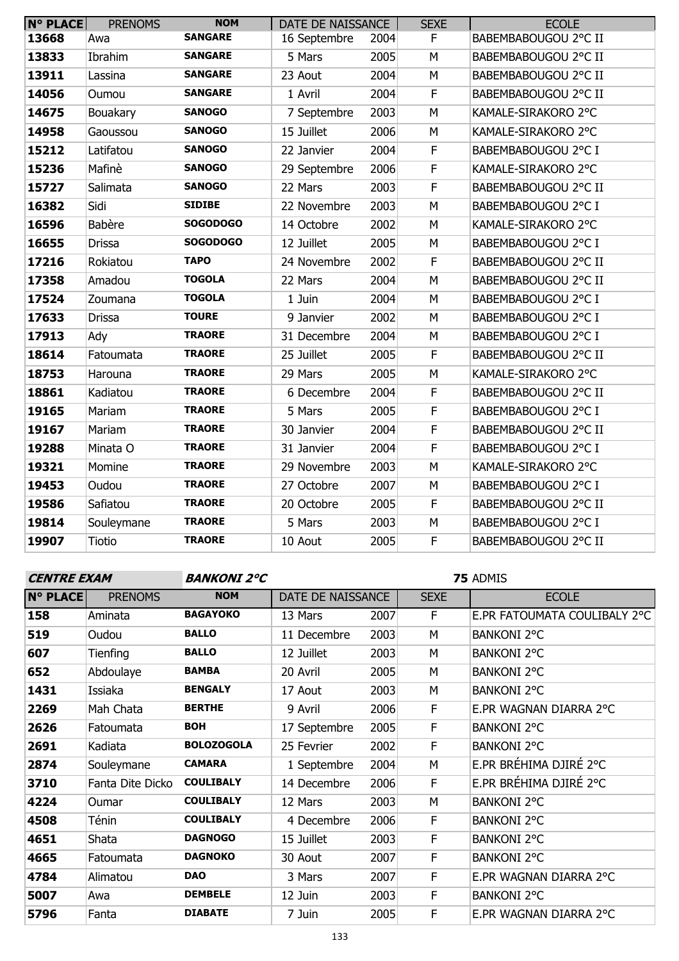| <b>N° PLACE</b> | <b>PRENOMS</b> | <b>NOM</b>      | DATE DE NAISSANCE |      | <b>SEXE</b> | <b>ECOLE</b>         |
|-----------------|----------------|-----------------|-------------------|------|-------------|----------------------|
| 13668           | Awa            | <b>SANGARE</b>  | 16 Septembre      | 2004 | $\mathsf F$ | BABEMBABOUGOU 2°C II |
| 13833           | Ibrahim        | <b>SANGARE</b>  | 5 Mars            | 2005 | M           | BABEMBABOUGOU 2°C II |
| 13911           | Lassina        | <b>SANGARE</b>  | 23 Aout           | 2004 | M           | BABEMBABOUGOU 2°C II |
| 14056           | Oumou          | <b>SANGARE</b>  | 1 Avril           | 2004 | $\mathsf F$ | BABEMBABOUGOU 2°C II |
| 14675           | Bouakary       | <b>SANOGO</b>   | 7 Septembre       | 2003 | M           | KAMALE-SIRAKORO 2°C  |
| 14958           | Gaoussou       | <b>SANOGO</b>   | 15 Juillet        | 2006 | M           | KAMALE-SIRAKORO 2°C  |
| 15212           | Latifatou      | <b>SANOGO</b>   | 22 Janvier        | 2004 | $\mathsf F$ | BABEMBABOUGOU 2°C I  |
| 15236           | Mafinè         | <b>SANOGO</b>   | 29 Septembre      | 2006 | $\mathsf F$ | KAMALE-SIRAKORO 2°C  |
| 15727           | Salimata       | <b>SANOGO</b>   | 22 Mars           | 2003 | $\mathsf F$ | BABEMBABOUGOU 2°C II |
| 16382           | Sidi           | <b>SIDIBE</b>   | 22 Novembre       | 2003 | M           | BABEMBABOUGOU 2°C I  |
| 16596           | Babère         | <b>SOGODOGO</b> | 14 Octobre        | 2002 | M           | KAMALE-SIRAKORO 2°C  |
| 16655           | <b>Drissa</b>  | <b>SOGODOGO</b> | 12 Juillet        | 2005 | M           | BABEMBABOUGOU 2°C I  |
| 17216           | Rokiatou       | <b>TAPO</b>     | 24 Novembre       | 2002 | F           | BABEMBABOUGOU 2°C II |
| 17358           | Amadou         | <b>TOGOLA</b>   | 22 Mars           | 2004 | M           | BABEMBABOUGOU 2°C II |
| 17524           | Zoumana        | <b>TOGOLA</b>   | 1 Juin            | 2004 | M           | BABEMBABOUGOU 2°C I  |
| 17633           | <b>Drissa</b>  | <b>TOURE</b>    | 9 Janvier         | 2002 | M           | BABEMBABOUGOU 2°C I  |
| 17913           | Ady            | <b>TRAORE</b>   | 31 Decembre       | 2004 | M           | BABEMBABOUGOU 2°C I  |
| 18614           | Fatoumata      | <b>TRAORE</b>   | 25 Juillet        | 2005 | $\mathsf F$ | BABEMBABOUGOU 2°C II |
| 18753           | Harouna        | <b>TRAORE</b>   | 29 Mars           | 2005 | M           | KAMALE-SIRAKORO 2°C  |
| 18861           | Kadiatou       | <b>TRAORE</b>   | 6 Decembre        | 2004 | $\mathsf F$ | BABEMBABOUGOU 2°C II |
| 19165           | Mariam         | <b>TRAORE</b>   | 5 Mars            | 2005 | $\mathsf F$ | BABEMBABOUGOU 2°C I  |
| 19167           | Mariam         | <b>TRAORE</b>   | 30 Janvier        | 2004 | $\mathsf F$ | BABEMBABOUGOU 2°C II |
| 19288           | Minata O       | <b>TRAORE</b>   | 31 Janvier        | 2004 | $\mathsf F$ | BABEMBABOUGOU 2°C I  |
| 19321           | Momine         | <b>TRAORE</b>   | 29 Novembre       | 2003 | M           | KAMALE-SIRAKORO 2°C  |
| 19453           | Oudou          | <b>TRAORE</b>   | 27 Octobre        | 2007 | M           | BABEMBABOUGOU 2°C I  |
| 19586           | Safiatou       | <b>TRAORE</b>   | 20 Octobre        | 2005 | $\mathsf F$ | BABEMBABOUGOU 2°C II |
| 19814           | Souleymane     | <b>TRAORE</b>   | 5 Mars            | 2003 | M           | BABEMBABOUGOU 2°C I  |
| 19907           | <b>Tiotio</b>  | <b>TRAORE</b>   | 10 Aout           | 2005 | $\mathsf F$ | BABEMBABOUGOU 2°C II |

### **CENTRE EXAM BANKONI 2°C**

| <b>N° PLACE</b> | <b>PRENOMS</b>   | <b>NOM</b>        | DATE DE NAISSANCE |      | <b>SEXE</b> | <b>ECOLE</b>                 |
|-----------------|------------------|-------------------|-------------------|------|-------------|------------------------------|
| 158             | Aminata          | <b>BAGAYOKO</b>   | 13 Mars           | 2007 | F           | E.PR FATOUMATA COULIBALY 2°C |
| 519             | Oudou            | <b>BALLO</b>      | 11 Decembre       | 2003 | M           | <b>BANKONI 2°C</b>           |
| 607             | Tienfing         | <b>BALLO</b>      | 12 Juillet        | 2003 | M           | <b>BANKONI 2°C</b>           |
| 652             | Abdoulaye        | <b>BAMBA</b>      | 20 Avril          | 2005 | M           | <b>BANKONI 2°C</b>           |
| 1431            | Issiaka          | <b>BENGALY</b>    | 17 Aout           | 2003 | M           | <b>BANKONI 2°C</b>           |
| 2269            | Mah Chata        | <b>BERTHE</b>     | 9 Avril           | 2006 | F           | E.PR WAGNAN DIARRA 2°C       |
| 2626            | Fatoumata        | <b>BOH</b>        | 17 Septembre      | 2005 | F           | <b>BANKONI 2°C</b>           |
| 2691            | Kadiata          | <b>BOLOZOGOLA</b> | 25 Fevrier        | 2002 | F           | <b>BANKONI 2°C</b>           |
| 2874            | Souleymane       | <b>CAMARA</b>     | 1 Septembre       | 2004 | М           | E.PR BRÉHIMA DJIRÉ 2°C       |
| 3710            | Fanta Dite Dicko | <b>COULIBALY</b>  | 14 Decembre       | 2006 | F           | E.PR BRÉHIMA DJIRÉ 2°C       |
| 4224            | <b>Oumar</b>     | <b>COULIBALY</b>  | 12 Mars           | 2003 | М           | <b>BANKONI 2°C</b>           |
| 4508            | Ténin            | <b>COULIBALY</b>  | 4 Decembre        | 2006 | F           | <b>BANKONI 2°C</b>           |
| 4651            | Shata            | <b>DAGNOGO</b>    | 15 Juillet        | 2003 | F           | <b>BANKONI 2°C</b>           |
| 4665            | Fatoumata        | <b>DAGNOKO</b>    | 30 Aout           | 2007 | F           | <b>BANKONI 2°C</b>           |
| 4784            | Alimatou         | <b>DAO</b>        | 3 Mars            | 2007 | F           | E.PR WAGNAN DIARRA 2°C       |
| 5007            | Awa              | <b>DEMBELE</b>    | 12 Juin           | 2003 | F           | <b>BANKONI 2°C</b>           |
| 5796            | Fanta            | <b>DIABATE</b>    | 7 Juin            | 2005 | F           | E.PR WAGNAN DIARRA 2°C       |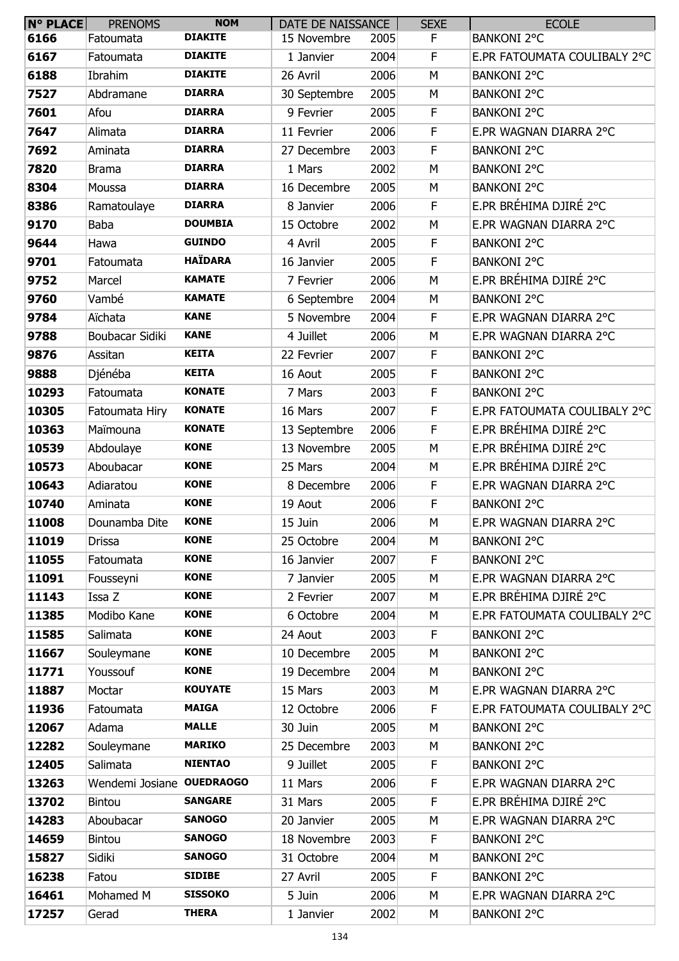| $N^{\circ}$ PLACE | <b>PRENOMS</b>            | <b>NOM</b>     | DATE DE NAISSANCE |      | <b>SEXE</b> | <b>ECOLE</b>                 |
|-------------------|---------------------------|----------------|-------------------|------|-------------|------------------------------|
| 6166              | Fatoumata                 | <b>DIAKITE</b> | 15 Novembre       | 2005 | F           | <b>BANKONI 2°C</b>           |
| 6167              | Fatoumata                 | <b>DIAKITE</b> | 1 Janvier         | 2004 | F           | E.PR FATOUMATA COULIBALY 2°C |
| 6188              | Ibrahim                   | <b>DIAKITE</b> | 26 Avril          | 2006 | M           | <b>BANKONI 2°C</b>           |
| 7527              | Abdramane                 | <b>DIARRA</b>  | 30 Septembre      | 2005 | M           | <b>BANKONI 2°C</b>           |
| 7601              | Afou                      | <b>DIARRA</b>  | 9 Fevrier         | 2005 | F.          | <b>BANKONI 2°C</b>           |
| 7647              | Alimata                   | <b>DIARRA</b>  | 11 Fevrier        | 2006 | $\mathsf F$ | E.PR WAGNAN DIARRA 2°C       |
| 7692              | Aminata                   | <b>DIARRA</b>  | 27 Decembre       | 2003 | F           | <b>BANKONI 2°C</b>           |
| 7820              | <b>Brama</b>              | <b>DIARRA</b>  | 1 Mars            | 2002 | M           | <b>BANKONI 2°C</b>           |
| 8304              | Moussa                    | <b>DIARRA</b>  | 16 Decembre       | 2005 | M           | <b>BANKONI 2°C</b>           |
| 8386              | Ramatoulaye               | <b>DIARRA</b>  | 8 Janvier         | 2006 | F           | E.PR BRÉHIMA DJIRÉ 2°C       |
| 9170              | <b>Baba</b>               | <b>DOUMBIA</b> | 15 Octobre        | 2002 | M           | E.PR WAGNAN DIARRA 2°C       |
| 9644              | Hawa                      | <b>GUINDO</b>  | 4 Avril           | 2005 | F           | <b>BANKONI 2°C</b>           |
| 9701              | Fatoumata                 | <b>HAÏDARA</b> | 16 Janvier        | 2005 | F           | <b>BANKONI 2°C</b>           |
| 9752              | Marcel                    | <b>KAMATE</b>  | 7 Fevrier         | 2006 | M           | E.PR BRÉHIMA DJIRÉ 2°C       |
| 9760              | Vambé                     | <b>KAMATE</b>  | 6 Septembre       | 2004 | M           | <b>BANKONI 2°C</b>           |
| 9784              | Aïchata                   | <b>KANE</b>    | 5 Novembre        | 2004 | F.          | E.PR WAGNAN DIARRA 2°C       |
| 9788              | Boubacar Sidiki           | <b>KANE</b>    | 4 Juillet         | 2006 | M           | E.PR WAGNAN DIARRA 2°C       |
| 9876              | Assitan                   | <b>KEITA</b>   | 22 Fevrier        | 2007 | F           | <b>BANKONI 2°C</b>           |
| 9888              | Djénéba                   | <b>KEITA</b>   | 16 Aout           | 2005 | F           | <b>BANKONI 2°C</b>           |
| 10293             | Fatoumata                 | <b>KONATE</b>  | 7 Mars            | 2003 | $\mathsf F$ | <b>BANKONI 2°C</b>           |
| 10305             | Fatoumata Hiry            | <b>KONATE</b>  | 16 Mars           | 2007 | $\mathsf F$ | E.PR FATOUMATA COULIBALY 2°C |
| 10363             | Maïmouna                  | <b>KONATE</b>  | 13 Septembre      | 2006 | F           | E.PR BRÉHIMA DJIRÉ 2°C       |
| 10539             | Abdoulaye                 | <b>KONE</b>    | 13 Novembre       | 2005 | M           | E.PR BRÉHIMA DJIRÉ 2°C       |
| 10573             | Aboubacar                 | <b>KONE</b>    | 25 Mars           | 2004 | M           | E.PR BRÉHIMA DJIRÉ 2°C       |
| 10643             | Adiaratou                 | <b>KONE</b>    | 8 Decembre        | 2006 | F           | E.PR WAGNAN DIARRA 2°C       |
| 10740             | Aminata                   | <b>KONE</b>    | 19 Aout           | 2006 | F           | <b>BANKONI 2°C</b>           |
| 11008             | Dounamba Dite             | <b>KONE</b>    | 15 Juin           | 2006 | M           | E.PR WAGNAN DIARRA 2°C       |
| 11019             | Drissa                    | <b>KONE</b>    | 25 Octobre        | 2004 | M           | <b>BANKONI 2°C</b>           |
| 11055             | Fatoumata                 | <b>KONE</b>    | 16 Janvier        | 2007 | F.          | <b>BANKONI 2°C</b>           |
| 11091             | Fousseyni                 | <b>KONE</b>    | 7 Janvier         | 2005 | М           | E.PR WAGNAN DIARRA 2°C       |
| 11143             | Issa Z                    | <b>KONE</b>    | 2 Fevrier         | 2007 | M           | E.PR BRÉHIMA DJIRÉ 2°C       |
| 11385             | Modibo Kane               | <b>KONE</b>    | 6 Octobre         | 2004 | M           | E.PR FATOUMATA COULIBALY 2°C |
| 11585             | Salimata                  | <b>KONE</b>    | 24 Aout           | 2003 | F           | <b>BANKONI 2°C</b>           |
| 11667             | Souleymane                | <b>KONE</b>    | 10 Decembre       | 2005 | M           | <b>BANKONI 2°C</b>           |
| 11771             | Youssouf                  | <b>KONE</b>    | 19 Decembre       | 2004 | M           | <b>BANKONI 2°C</b>           |
| 11887             | Moctar                    | <b>KOUYATE</b> | 15 Mars           | 2003 | M           | E.PR WAGNAN DIARRA 2°C       |
| 11936             | Fatoumata                 | <b>MAIGA</b>   | 12 Octobre        | 2006 | F           | E.PR FATOUMATA COULIBALY 2°C |
| 12067             | Adama                     | <b>MALLE</b>   | 30 Juin           | 2005 | M           | <b>BANKONI 2°C</b>           |
| 12282             | Souleymane                | <b>MARIKO</b>  | 25 Decembre       | 2003 | M           | <b>BANKONI 2°C</b>           |
| 12405             | Salimata                  | <b>NIENTAO</b> | 9 Juillet         | 2005 | F           | <b>BANKONI 2°C</b>           |
| 13263             | Wendemi Josiane OUEDRAOGO |                | 11 Mars           | 2006 | F           | E.PR WAGNAN DIARRA 2°C       |
| 13702             | Bintou                    | <b>SANGARE</b> | 31 Mars           | 2005 | F           | E.PR BRÉHIMA DJIRÉ 2°C       |
| 14283             | Aboubacar                 | <b>SANOGO</b>  | 20 Janvier        | 2005 | M           | E.PR WAGNAN DIARRA 2°C       |
| 14659             |                           | <b>SANOGO</b>  | 18 Novembre       | 2003 | F.          | <b>BANKONI 2°C</b>           |
| 15827             | Bintou                    | <b>SANOGO</b>  |                   | 2004 | M           | <b>BANKONI 2°C</b>           |
|                   | Sidiki                    | <b>SIDIBE</b>  | 31 Octobre        |      |             |                              |
| 16238             | Fatou<br>Mohamed M        | <b>SISSOKO</b> | 27 Avril          | 2005 | F           | <b>BANKONI 2°C</b>           |
| 16461             |                           | <b>THERA</b>   | 5 Juin            | 2006 | M           | E.PR WAGNAN DIARRA 2°C       |
| 17257             | Gerad                     |                | 1 Janvier         | 2002 | М           | <b>BANKONI 2°C</b>           |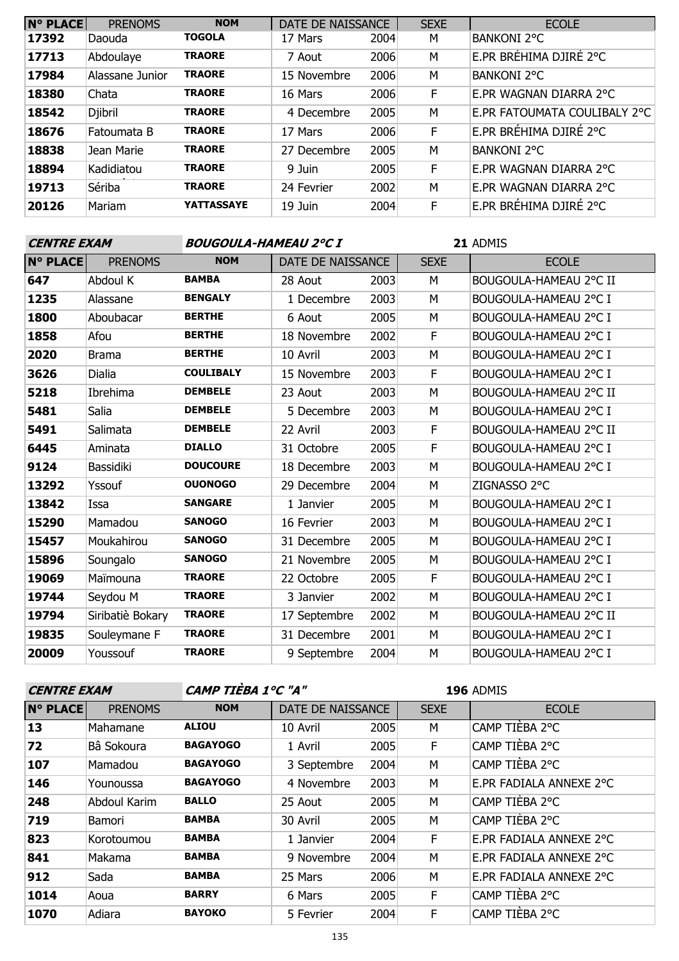| <b>N° PLACE</b> | <b>PRENOMS</b>  | <b>NOM</b>        | DATE DE NAISSANCE |      | <b>SEXE</b> | <b>ECOLE</b>                 |
|-----------------|-----------------|-------------------|-------------------|------|-------------|------------------------------|
| 17392           | Daouda          | <b>TOGOLA</b>     | 17 Mars           | 2004 | M           | <b>BANKONI 2°C</b>           |
| 17713           | Abdoulaye       | <b>TRAORE</b>     | 7 Aout            | 2006 | M           | E.PR BRÉHIMA DJIRÉ 2°C       |
| 17984           | Alassane Junior | <b>TRAORE</b>     | 15 Novembre       | 2006 | M           | <b>BANKONI 2°C</b>           |
| 18380           | Chata           | <b>TRAORE</b>     | 16 Mars           | 2006 | F           | E.PR WAGNAN DIARRA 2°C       |
| 18542           | <b>Djibril</b>  | <b>TRAORE</b>     | 4 Decembre        | 2005 | M           | E.PR FATOUMATA COULIBALY 2°C |
| 18676           | Fatoumata B     | <b>TRAORE</b>     | 17 Mars           | 2006 | F           | E.PR BRÉHIMA DJIRÉ 2°C       |
| 18838           | Jean Marie      | <b>TRAORE</b>     | 27 Decembre       | 2005 | M           | <b>BANKONI 2°C</b>           |
| 18894           | Kadidiatou      | <b>TRAORE</b>     | 9 Juin            | 2005 | F           | E.PR WAGNAN DIARRA 2°C       |
| 19713           | Sériba          | <b>TRAORE</b>     | 24 Fevrier        | 2002 | M           | E.PR WAGNAN DIARRA 2°C       |
| 20126           | Mariam          | <b>YATTASSAYE</b> | 19 Juin           | 2004 | F           | E.PR BRÉHIMA DJIRÉ 2°C       |

| <b>CENTRE EXAM</b> |                  | BOUGOULA-HAMEAU 2°C I |                   |      | 21 ADMIS    |                        |  |
|--------------------|------------------|-----------------------|-------------------|------|-------------|------------------------|--|
| <b>N° PLACE</b>    | <b>PRENOMS</b>   | <b>NOM</b>            | DATE DE NAISSANCE |      | <b>SEXE</b> | <b>ECOLE</b>           |  |
| 647                | Abdoul K         | <b>BAMBA</b>          | 28 Aout           | 2003 | M           | BOUGOULA-HAMEAU 2°C II |  |
| 1235               | Alassane         | <b>BENGALY</b>        | 1 Decembre        | 2003 | M           | BOUGOULA-HAMEAU 2°C I  |  |
| 1800               | Aboubacar        | <b>BERTHE</b>         | 6 Aout            | 2005 | M           | BOUGOULA-HAMEAU 2°C I  |  |
| 1858               | Afou             | <b>BERTHE</b>         | 18 Novembre       | 2002 | E           | BOUGOULA-HAMEAU 2°C I  |  |
| 2020               | <b>Brama</b>     | <b>BERTHE</b>         | 10 Avril          | 2003 | M           | BOUGOULA-HAMEAU 2°C I  |  |
| 3626               | <b>Dialia</b>    | <b>COULIBALY</b>      | 15 Novembre       | 2003 | F           | BOUGOULA-HAMEAU 2°C I  |  |
| 5218               | Ibrehima         | <b>DEMBELE</b>        | 23 Aout           | 2003 | M           | BOUGOULA-HAMEAU 2°C II |  |
| 5481               | Salia            | <b>DEMBELE</b>        | 5 Decembre        | 2003 | М           | BOUGOULA-HAMEAU 2°C I  |  |
| 5491               | Salimata         | <b>DEMBELE</b>        | 22 Avril          | 2003 | F           | BOUGOULA-HAMEAU 2°C II |  |
| 6445               | Aminata          | <b>DIALLO</b>         | 31 Octobre        | 2005 | F           | BOUGOULA-HAMEAU 2°C I  |  |
| 9124               | Bassidiki        | <b>DOUCOURE</b>       | 18 Decembre       | 2003 | М           | BOUGOULA-HAMEAU 2°C I  |  |
| 13292              | Yssouf           | <b>OUONOGO</b>        | 29 Decembre       | 2004 | М           | ZIGNASSO 2°C           |  |
| 13842              | Issa             | <b>SANGARE</b>        | 1 Janvier         | 2005 | М           | BOUGOULA-HAMEAU 2°C I  |  |
| 15290              | Mamadou          | <b>SANOGO</b>         | 16 Fevrier        | 2003 | M           | BOUGOULA-HAMEAU 2°C I  |  |
| 15457              | Moukahirou       | <b>SANOGO</b>         | 31 Decembre       | 2005 | М           | BOUGOULA-HAMEAU 2°C I  |  |
| 15896              | Soungalo         | <b>SANOGO</b>         | 21 Novembre       | 2005 | М           | BOUGOULA-HAMEAU 2°C I  |  |
| 19069              | Maïmouna         | <b>TRAORE</b>         | 22 Octobre        | 2005 | F           | BOUGOULA-HAMEAU 2°C I  |  |
| 19744              | Seydou M         | <b>TRAORE</b>         | 3 Janvier         | 2002 | M           | BOUGOULA-HAMEAU 2°C I  |  |
| 19794              | Siribatiè Bokary | <b>TRAORE</b>         | 17 Septembre      | 2002 | М           | BOUGOULA-HAMEAU 2°C II |  |
| 19835              | Souleymane F     | <b>TRAORE</b>         | 31 Decembre       | 2001 | М           | BOUGOULA-HAMEAU 2°C I  |  |
| 20009              | Youssouf         | <b>TRAORE</b>         | 9 Septembre       | 2004 | М           | BOUGOULA-HAMEAU 2°C I  |  |

| <b>CENTRE EXAM</b> |                |                 | CAMP TIÈBA 1°C "A" |      |             | <b>196 ADMIS</b>        |
|--------------------|----------------|-----------------|--------------------|------|-------------|-------------------------|
| <b>N° PLACE</b>    | <b>PRENOMS</b> | <b>NOM</b>      | DATE DE NAISSANCE  |      | <b>SEXE</b> | <b>ECOLE</b>            |
| 13                 | Mahamane       | <b>ALIOU</b>    | 10 Avril           | 2005 | М           | CAMP TIÈBA 2°C          |
| 72                 | Bâ Sokoura     | <b>BAGAYOGO</b> | 1 Avril            | 2005 | F.          | CAMP TIÈBA 2°C          |
| 107                | Mamadou        | <b>BAGAYOGO</b> | 3 Septembre        | 2004 | M           | CAMP TIÈBA 2°C          |
| 146                | Younoussa      | <b>BAGAYOGO</b> | 4 Novembre         | 2003 | М           | E.PR FADIALA ANNEXE 2°C |
| 248                | Abdoul Karim   | <b>BALLO</b>    | 25 Aout            | 2005 | M           | CAMP TIÈBA 2°C          |
| 719                | Bamori         | <b>BAMBA</b>    | 30 Avril           | 2005 | М           | CAMP TIÈBA 2°C          |
| 823                | Korotoumou     | <b>BAMBA</b>    | 1 Janvier          | 2004 | F.          | E.PR FADIALA ANNEXE 2°C |
| 841                | Makama         | <b>BAMBA</b>    | 9 Novembre         | 2004 | M           | E.PR FADIALA ANNEXE 2°C |
| 912                | Sada           | <b>BAMBA</b>    | 25 Mars            | 2006 | M           | E.PR FADIALA ANNEXE 2°C |
| 1014               | Aoua           | <b>BARRY</b>    | 6 Mars             | 2005 | F.          | CAMP TIÈBA 2°C          |
| 1070               | Adiara         | <b>BAYOKO</b>   | 5 Fevrier          | 2004 | F           | CAMP TIÈBA 2°C          |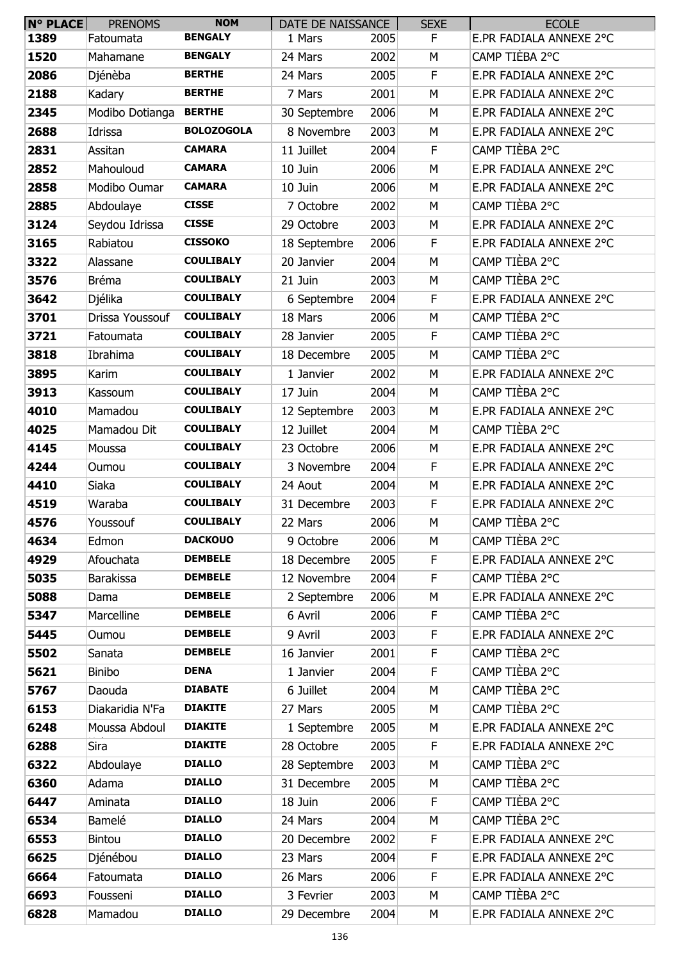| <b>N° PLACE</b> | <b>PRENOMS</b>   | <b>NOM</b>        | DATE DE NAISSANCE |      | <b>SEXE</b> | <b>ECOLE</b>            |
|-----------------|------------------|-------------------|-------------------|------|-------------|-------------------------|
| 1389            | Fatoumata        | <b>BENGALY</b>    | 1 Mars            | 2005 | F           | E.PR FADIALA ANNEXE 2°C |
| 1520            | Mahamane         | <b>BENGALY</b>    | 24 Mars           | 2002 | M           | CAMP TIÈBA 2°C          |
| 2086            | Djénèba          | <b>BERTHE</b>     | 24 Mars           | 2005 | F           | E.PR FADIALA ANNEXE 2°C |
| 2188            | Kadary           | <b>BERTHE</b>     | 7 Mars            | 2001 | M           | E.PR FADIALA ANNEXE 2°C |
| 2345            | Modibo Dotianga  | <b>BERTHE</b>     | 30 Septembre      | 2006 | M           | E.PR FADIALA ANNEXE 2°C |
| 2688            | Idrissa          | <b>BOLOZOGOLA</b> | 8 Novembre        | 2003 | M           | E.PR FADIALA ANNEXE 2°C |
| 2831            | Assitan          | <b>CAMARA</b>     | 11 Juillet        | 2004 | F           | CAMP TIÈBA 2°C          |
| 2852            | Mahouloud        | <b>CAMARA</b>     | 10 Juin           | 2006 | M           | E.PR FADIALA ANNEXE 2°C |
| 2858            | Modibo Oumar     | <b>CAMARA</b>     | 10 Juin           | 2006 | M           | E.PR FADIALA ANNEXE 2°C |
| 2885            | Abdoulaye        | <b>CISSE</b>      | 7 Octobre         | 2002 | M           | CAMP TIÈBA 2°C          |
| 3124            | Seydou Idrissa   | <b>CISSE</b>      | 29 Octobre        | 2003 | M           | E.PR FADIALA ANNEXE 2°C |
| 3165            | Rabiatou         | <b>CISSOKO</b>    | 18 Septembre      | 2006 | F           | E.PR FADIALA ANNEXE 2°C |
| 3322            | Alassane         | <b>COULIBALY</b>  | 20 Janvier        | 2004 | M           | CAMP TIÈBA 2°C          |
| 3576            | <b>Bréma</b>     | <b>COULIBALY</b>  | 21 Juin           | 2003 | M           | CAMP TIÈBA 2°C          |
| 3642            | Djélika          | <b>COULIBALY</b>  | 6 Septembre       | 2004 | F           | E.PR FADIALA ANNEXE 2°C |
| 3701            | Drissa Youssouf  | <b>COULIBALY</b>  | 18 Mars           | 2006 | M           | CAMP TIÈBA 2°C          |
| 3721            | Fatoumata        | <b>COULIBALY</b>  | 28 Janvier        | 2005 | $\mathsf F$ | CAMP TIÈBA 2°C          |
| 3818            | Ibrahima         | <b>COULIBALY</b>  | 18 Decembre       | 2005 | M           | CAMP TIÈBA 2°C          |
| 3895            | Karim            | <b>COULIBALY</b>  | 1 Janvier         | 2002 | M           | E.PR FADIALA ANNEXE 2°C |
| 3913            | Kassoum          | <b>COULIBALY</b>  | 17 Juin           | 2004 | M           | CAMP TIÈBA 2°C          |
| 4010            | Mamadou          | <b>COULIBALY</b>  | 12 Septembre      | 2003 | M           | E.PR FADIALA ANNEXE 2°C |
| 4025            | Mamadou Dit      | <b>COULIBALY</b>  | 12 Juillet        | 2004 | M           | CAMP TIÈBA 2°C          |
| 4145            | Moussa           | <b>COULIBALY</b>  | 23 Octobre        | 2006 | M           | E.PR FADIALA ANNEXE 2°C |
| 4244            | Oumou            | <b>COULIBALY</b>  | 3 Novembre        | 2004 | F           | E.PR FADIALA ANNEXE 2°C |
| 4410            | Siaka            | <b>COULIBALY</b>  | 24 Aout           | 2004 | M           | E.PR FADIALA ANNEXE 2°C |
| 4519            | Waraba           | <b>COULIBALY</b>  | 31 Decembre       | 2003 | F           | E.PR FADIALA ANNEXE 2°C |
| 4576            | Youssouf         | <b>COULIBALY</b>  | 22 Mars           | 2006 | M           | CAMP TIÈBA 2°C          |
| 4634            | Edmon            | <b>DACKOUO</b>    | 9 Octobre         | 2006 | M           | CAMP TIÈBA 2°C          |
| 4929            | Afouchata        | <b>DEMBELE</b>    | 18 Decembre       | 2005 | F           | E.PR FADIALA ANNEXE 2°C |
| 5035            | <b>Barakissa</b> | <b>DEMBELE</b>    | 12 Novembre       | 2004 | F           | CAMP TIÈBA 2°C          |
| 5088            | Dama             | <b>DEMBELE</b>    | 2 Septembre       | 2006 | M           | E.PR FADIALA ANNEXE 2°C |
| 5347            | Marcelline       | <b>DEMBELE</b>    | 6 Avril           | 2006 | F           | CAMP TIÈBA 2°C          |
| 5445            | Oumou            | <b>DEMBELE</b>    | 9 Avril           | 2003 | F           | E.PR FADIALA ANNEXE 2°C |
| 5502            | Sanata           | <b>DEMBELE</b>    | 16 Janvier        | 2001 | F           | CAMP TIÈBA 2°C          |
| 5621            | Binibo           | <b>DENA</b>       | 1 Janvier         | 2004 | F           | CAMP TIÈBA 2°C          |
| 5767            | Daouda           | <b>DIABATE</b>    | 6 Juillet         | 2004 | M           | CAMP TIÈBA 2°C          |
| 6153            | Diakaridia N'Fa  | <b>DIAKITE</b>    | 27 Mars           | 2005 | M           | CAMP TIÈBA 2°C          |
| 6248            | Moussa Abdoul    | <b>DIAKITE</b>    | 1 Septembre       | 2005 | M           | E.PR FADIALA ANNEXE 2°C |
| 6288            | Sira             | <b>DIAKITE</b>    | 28 Octobre        | 2005 | F           | E.PR FADIALA ANNEXE 2°C |
| 6322            | Abdoulaye        | <b>DIALLO</b>     | 28 Septembre      | 2003 | М           | CAMP TIÈBA 2°C          |
| 6360            | Adama            | <b>DIALLO</b>     | 31 Decembre       | 2005 | M           | CAMP TIÈBA 2°C          |
| 6447            | Aminata          | <b>DIALLO</b>     | 18 Juin           | 2006 | F           | CAMP TIÈBA 2°C          |
| 6534            | Bamelé           | <b>DIALLO</b>     | 24 Mars           | 2004 | M           | CAMP TIÈBA 2°C          |
| 6553            | Bintou           | <b>DIALLO</b>     | 20 Decembre       | 2002 | F           | E.PR FADIALA ANNEXE 2°C |
| 6625            | Djénébou         | <b>DIALLO</b>     | 23 Mars           | 2004 | $\mathsf F$ | E.PR FADIALA ANNEXE 2°C |
| 6664            | Fatoumata        | <b>DIALLO</b>     | 26 Mars           | 2006 | $\mathsf F$ | E.PR FADIALA ANNEXE 2°C |
| 6693            | Fousseni         | <b>DIALLO</b>     | 3 Fevrier         | 2003 | M           | CAMP TIÈBA 2°C          |
| 6828            | Mamadou          | <b>DIALLO</b>     | 29 Decembre       | 2004 | М           | E.PR FADIALA ANNEXE 2°C |
|                 |                  |                   |                   |      |             |                         |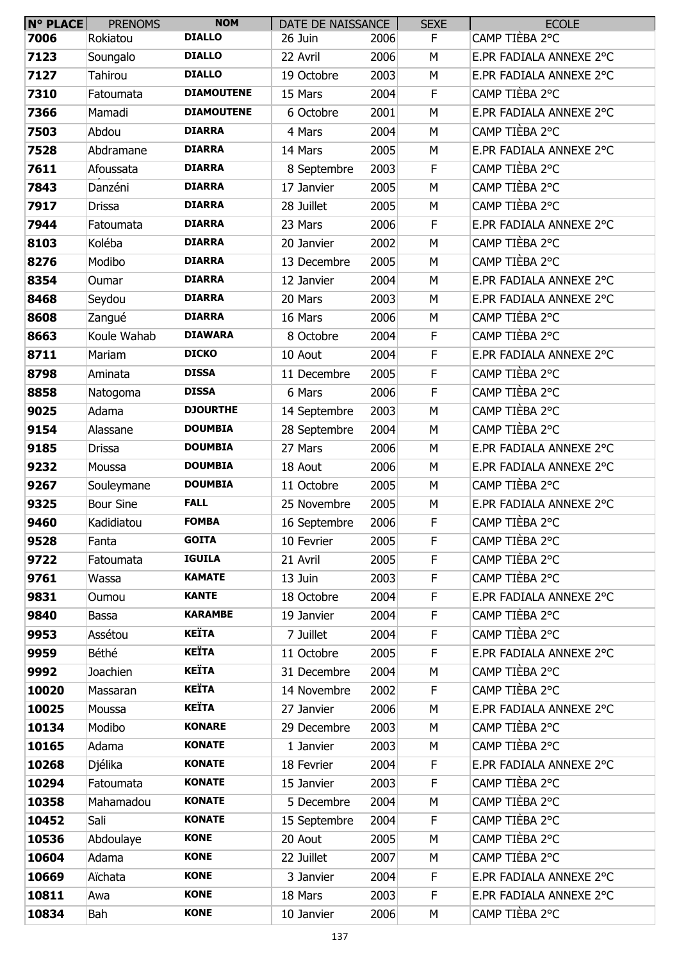| $N^{\circ}$ PLACE | <b>PRENOMS</b>   | <b>NOM</b>        | DATE DE NAISSANCE |      | <b>SEXE</b> | <b>ECOLE</b>            |
|-------------------|------------------|-------------------|-------------------|------|-------------|-------------------------|
| 7006              | Rokiatou         | <b>DIALLO</b>     | 26 Juin           | 2006 | F.          | CAMP TIÈBA 2°C          |
| 7123              | Soungalo         | <b>DIALLO</b>     | 22 Avril          | 2006 | M           | E.PR FADIALA ANNEXE 2°C |
| 7127              | Tahirou          | <b>DIALLO</b>     | 19 Octobre        | 2003 | M           | E.PR FADIALA ANNEXE 2°C |
| 7310              | Fatoumata        | <b>DIAMOUTENE</b> | 15 Mars           | 2004 | F           | CAMP TIÈBA 2°C          |
| 7366              | Mamadi           | <b>DIAMOUTENE</b> | 6 Octobre         | 2001 | M           | E.PR FADIALA ANNEXE 2°C |
| 7503              | Abdou            | <b>DIARRA</b>     | 4 Mars            | 2004 | M           | CAMP TIÈBA 2°C          |
| 7528              | Abdramane        | <b>DIARRA</b>     | 14 Mars           | 2005 | M           | E.PR FADIALA ANNEXE 2°C |
| 7611              | Afoussata        | <b>DIARRA</b>     | 8 Septembre       | 2003 | F.          | CAMP TIÈBA 2°C          |
| 7843              | Danzéni          | <b>DIARRA</b>     | 17 Janvier        | 2005 | M           | CAMP TIÈBA 2°C          |
| 7917              | <b>Drissa</b>    | <b>DIARRA</b>     | 28 Juillet        | 2005 | M           | CAMP TIÈBA 2°C          |
| 7944              | Fatoumata        | <b>DIARRA</b>     | 23 Mars           | 2006 | F           | E.PR FADIALA ANNEXE 2°C |
| 8103              | Koléba           | <b>DIARRA</b>     | 20 Janvier        | 2002 | M           | CAMP TIÈBA 2°C          |
| 8276              | Modibo           | <b>DIARRA</b>     | 13 Decembre       | 2005 | M           | CAMP TIÈBA 2°C          |
| 8354              | Oumar            | <b>DIARRA</b>     | 12 Janvier        | 2004 | M           | E.PR FADIALA ANNEXE 2°C |
| 8468              | Seydou           | <b>DIARRA</b>     | 20 Mars           | 2003 | М           | E.PR FADIALA ANNEXE 2°C |
| 8608              | Zangué           | <b>DIARRA</b>     | 16 Mars           | 2006 | M           | CAMP TIÈBA 2°C          |
| 8663              | Koule Wahab      | <b>DIAWARA</b>    | 8 Octobre         | 2004 | F.          | CAMP TIÈBA 2°C          |
| 8711              | Mariam           | <b>DICKO</b>      | 10 Aout           | 2004 | F           | E.PR FADIALA ANNEXE 2°C |
| 8798              | Aminata          | <b>DISSA</b>      | 11 Decembre       | 2005 | F.          | CAMP TIÈBA 2°C          |
| 8858              | Natogoma         | <b>DISSA</b>      | 6 Mars            | 2006 | F           | CAMP TIÈBA 2°C          |
| 9025              | Adama            | <b>DJOURTHE</b>   | 14 Septembre      | 2003 | M           | CAMP TIÈBA 2°C          |
| 9154              | Alassane         | <b>DOUMBIA</b>    | 28 Septembre      | 2004 | M           | CAMP TIÈBA 2°C          |
| 9185              | <b>Drissa</b>    | <b>DOUMBIA</b>    | 27 Mars           | 2006 | M           | E.PR FADIALA ANNEXE 2°C |
| 9232              | Moussa           | <b>DOUMBIA</b>    | 18 Aout           | 2006 | М           | E.PR FADIALA ANNEXE 2°C |
| 9267              | Souleymane       | <b>DOUMBIA</b>    | 11 Octobre        | 2005 | M           | CAMP TIÈBA 2°C          |
| 9325              | <b>Bour Sine</b> | <b>FALL</b>       | 25 Novembre       | 2005 | М           | E.PR FADIALA ANNEXE 2°C |
| 9460              | Kadidiatou       | <b>FOMBA</b>      | 16 Septembre      | 2006 | F           | CAMP TIÈBA 2°C          |
| 9528              | Fanta            | <b>GOITA</b>      | 10 Fevrier        | 2005 | F.          | CAMP TIÈBA 2°C          |
| 9722              | Fatoumata        | <b>IGUILA</b>     | 21 Avril          | 2005 | F.          | CAMP TIÈBA 2°C          |
| 9761              | Wassa            | <b>KAMATE</b>     | 13 Juin           | 2003 | F           | CAMP TIÈBA 2°C          |
| 9831              | Oumou            | <b>KANTE</b>      | 18 Octobre        | 2004 | F           | E.PR FADIALA ANNEXE 2°C |
| 9840              | Bassa            | <b>KARAMBE</b>    | 19 Janvier        | 2004 | F           | CAMP TIÈBA 2°C          |
| 9953              | Assétou          | <b>KEÏTA</b>      | 7 Juillet         | 2004 | F           | CAMP TIÈBA 2°C          |
| 9959              | Béthé            | <b>KEÏTA</b>      | 11 Octobre        | 2005 | F           | E.PR FADIALA ANNEXE 2°C |
| 9992              | Joachien         | <b>KEÏTA</b>      | 31 Decembre       | 2004 | M           | CAMP TIÈBA 2°C          |
| 10020             | Massaran         | <b>KEÏTA</b>      | 14 Novembre       | 2002 | F           | CAMP TIÈBA 2°C          |
| 10025             | Moussa           | <b>KEÏTA</b>      | 27 Janvier        | 2006 | M           | E.PR FADIALA ANNEXE 2°C |
| 10134             | Modibo           | <b>KONARE</b>     | 29 Decembre       | 2003 | M           | CAMP TIÈBA 2°C          |
| 10165             | Adama            | <b>KONATE</b>     | 1 Janvier         | 2003 | M           | CAMP TIÈBA 2°C          |
| 10268             | Djélika          | <b>KONATE</b>     | 18 Fevrier        | 2004 | F.          | E.PR FADIALA ANNEXE 2°C |
| 10294             | Fatoumata        | <b>KONATE</b>     | 15 Janvier        | 2003 | $\mathsf F$ | CAMP TIÈBA 2°C          |
| 10358             | Mahamadou        | <b>KONATE</b>     | 5 Decembre        | 2004 | M           | CAMP TIÈBA 2°C          |
| 10452             | Sali             | <b>KONATE</b>     | 15 Septembre      | 2004 | F           | CAMP TIÈBA 2°C          |
| 10536             | Abdoulaye        | <b>KONE</b>       | 20 Aout           | 2005 | М           | CAMP TIÈBA 2°C          |
| 10604             | Adama            | <b>KONE</b>       | 22 Juillet        | 2007 | M           | CAMP TIÈBA 2°C          |
| 10669             | Aïchata          | <b>KONE</b>       | 3 Janvier         | 2004 | F           | E.PR FADIALA ANNEXE 2°C |
| 10811             | Awa              | <b>KONE</b>       | 18 Mars           | 2003 | F           | E.PR FADIALA ANNEXE 2°C |
| 10834             | Bah              | <b>KONE</b>       | 10 Janvier        | 2006 | М           | CAMP TIÈBA 2°C          |
|                   |                  |                   |                   |      |             |                         |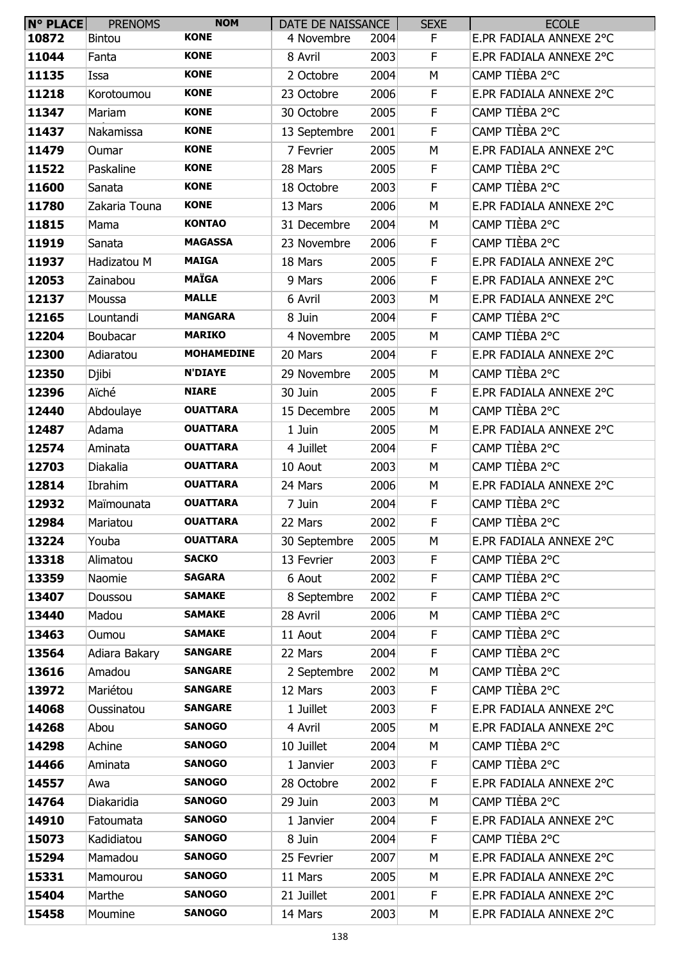| $N°$ PLACE | <b>PRENOMS</b> | <b>NOM</b>        | DATE DE NAISSANCE |      | <b>SEXE</b> | <b>ECOLE</b>            |
|------------|----------------|-------------------|-------------------|------|-------------|-------------------------|
| 10872      | Bintou         | <b>KONE</b>       | 4 Novembre        | 2004 | F           | E.PR FADIALA ANNEXE 2°C |
| 11044      | Fanta          | <b>KONE</b>       | 8 Avril           | 2003 | F           | E.PR FADIALA ANNEXE 2°C |
| 11135      | Issa           | <b>KONE</b>       | 2 Octobre         | 2004 | M           | CAMP TIÈBA 2°C          |
| 11218      | Korotoumou     | <b>KONE</b>       | 23 Octobre        | 2006 | F           | E.PR FADIALA ANNEXE 2°C |
| 11347      | Mariam         | <b>KONE</b>       | 30 Octobre        | 2005 | F           | CAMP TIÈBA 2°C          |
| 11437      | Nakamissa      | <b>KONE</b>       | 13 Septembre      | 2001 | F           | CAMP TIÈBA 2°C          |
| 11479      | Oumar          | <b>KONE</b>       | 7 Fevrier         | 2005 | M           | E.PR FADIALA ANNEXE 2°C |
| 11522      | Paskaline      | <b>KONE</b>       | 28 Mars           | 2005 | F           | CAMP TIÈBA 2°C          |
| 11600      | Sanata         | <b>KONE</b>       | 18 Octobre        | 2003 | F           | CAMP TIÈBA 2°C          |
| 11780      | Zakaria Touna  | <b>KONE</b>       | 13 Mars           | 2006 | M           | E.PR FADIALA ANNEXE 2°C |
| 11815      | Mama           | <b>KONTAO</b>     | 31 Decembre       | 2004 | М           | CAMP TIÈBA 2°C          |
| 11919      | Sanata         | <b>MAGASSA</b>    | 23 Novembre       | 2006 | F           | CAMP TIÈBA 2°C          |
| 11937      | Hadizatou M    | <b>MAIGA</b>      | 18 Mars           | 2005 | F           | E.PR FADIALA ANNEXE 2°C |
| 12053      | Zainabou       | <b>MAÏGA</b>      | 9 Mars            | 2006 | F           | E.PR FADIALA ANNEXE 2°C |
| 12137      | Moussa         | <b>MALLE</b>      | 6 Avril           | 2003 | М           | E.PR FADIALA ANNEXE 2°C |
| 12165      | Lountandi      | <b>MANGARA</b>    | 8 Juin            | 2004 | F           | CAMP TIÈBA 2°C          |
| 12204      | Boubacar       | <b>MARIKO</b>     | 4 Novembre        | 2005 | M           | CAMP TIÈBA 2°C          |
| 12300      | Adiaratou      | <b>MOHAMEDINE</b> | 20 Mars           | 2004 | F           | E.PR FADIALA ANNEXE 2°C |
| 12350      | Djibi          | <b>N'DIAYE</b>    | 29 Novembre       | 2005 | М           | CAMP TIÈBA 2°C          |
| 12396      | Aïché          | <b>NIARE</b>      | 30 Juin           | 2005 | F           | E.PR FADIALA ANNEXE 2°C |
| 12440      | Abdoulaye      | <b>OUATTARA</b>   | 15 Decembre       | 2005 | M           | CAMP TIÈBA 2°C          |
| 12487      | Adama          | <b>OUATTARA</b>   | 1 Juin            | 2005 | М           | E.PR FADIALA ANNEXE 2°C |
| 12574      | Aminata        | <b>OUATTARA</b>   | 4 Juillet         | 2004 | F           | CAMP TIÈBA 2°C          |
| 12703      | Diakalia       | <b>OUATTARA</b>   | 10 Aout           | 2003 | M           | CAMP TIÈBA 2°C          |
| 12814      | Ibrahim        | <b>OUATTARA</b>   | 24 Mars           | 2006 | М           | E.PR FADIALA ANNEXE 2°C |
| 12932      | Maïmounata     | <b>OUATTARA</b>   | 7 Juin            | 2004 | F           | CAMP TIÈBA 2°C          |
| 12984      | Mariatou       | <b>OUATTARA</b>   | 22 Mars           | 2002 | F           | CAMP TIÈBA 2°C          |
| 13224      | Youba          | <b>OUATTARA</b>   | 30 Septembre      | 2005 | М           | E.PR FADIALA ANNEXE 2°C |
| 13318      | Alimatou       | <b>SACKO</b>      | 13 Fevrier        | 2003 | F           | CAMP TIÈBA 2°C          |
| 13359      | Naomie         | <b>SAGARA</b>     | 6 Aout            | 2002 | F           | CAMP TIÈBA 2°C          |
| 13407      | Doussou        | <b>SAMAKE</b>     | 8 Septembre       | 2002 | F           | CAMP TIÈBA 2°C          |
| 13440      | Madou          | <b>SAMAKE</b>     | 28 Avril          | 2006 | M           | CAMP TIÈBA 2°C          |
| 13463      | Oumou          | <b>SAMAKE</b>     | 11 Aout           | 2004 | F           | CAMP TIÈBA 2°C          |
| 13564      | Adiara Bakary  | <b>SANGARE</b>    | 22 Mars           | 2004 | F           | CAMP TIÈBA 2°C          |
| 13616      | Amadou         | <b>SANGARE</b>    | 2 Septembre       | 2002 | M           | CAMP TIÈBA 2°C          |
| 13972      | Mariétou       | <b>SANGARE</b>    | 12 Mars           | 2003 | F           | CAMP TIÈBA 2°C          |
| 14068      | Oussinatou     | <b>SANGARE</b>    | 1 Juillet         | 2003 | F           | E.PR FADIALA ANNEXE 2°C |
| 14268      | Abou           | <b>SANOGO</b>     | 4 Avril           | 2005 | M           | E.PR FADIALA ANNEXE 2°C |
| 14298      | Achine         | <b>SANOGO</b>     | 10 Juillet        | 2004 | M           | CAMP TIÈBA 2°C          |
| 14466      | Aminata        | <b>SANOGO</b>     | 1 Janvier         | 2003 | F           | CAMP TIÈBA 2°C          |
| 14557      | Awa            | <b>SANOGO</b>     | 28 Octobre        | 2002 | F           | E.PR FADIALA ANNEXE 2°C |
| 14764      | Diakaridia     | <b>SANOGO</b>     | 29 Juin           | 2003 | M           | CAMP TIÈBA 2°C          |
| 14910      | Fatoumata      | <b>SANOGO</b>     | 1 Janvier         | 2004 | F           | E.PR FADIALA ANNEXE 2°C |
| 15073      | Kadidiatou     | <b>SANOGO</b>     | 8 Juin            | 2004 | F           | CAMP TIÈBA 2°C          |
| 15294      | Mamadou        | <b>SANOGO</b>     | 25 Fevrier        | 2007 | M           | E.PR FADIALA ANNEXE 2°C |
| 15331      | Mamourou       | <b>SANOGO</b>     | 11 Mars           | 2005 | M           | E.PR FADIALA ANNEXE 2°C |
| 15404      | Marthe         | <b>SANOGO</b>     | 21 Juillet        | 2001 | F           | E.PR FADIALA ANNEXE 2°C |
| 15458      | Moumine        | <b>SANOGO</b>     | 14 Mars           | 2003 | М           | E.PR FADIALA ANNEXE 2°C |
|            |                |                   |                   |      |             |                         |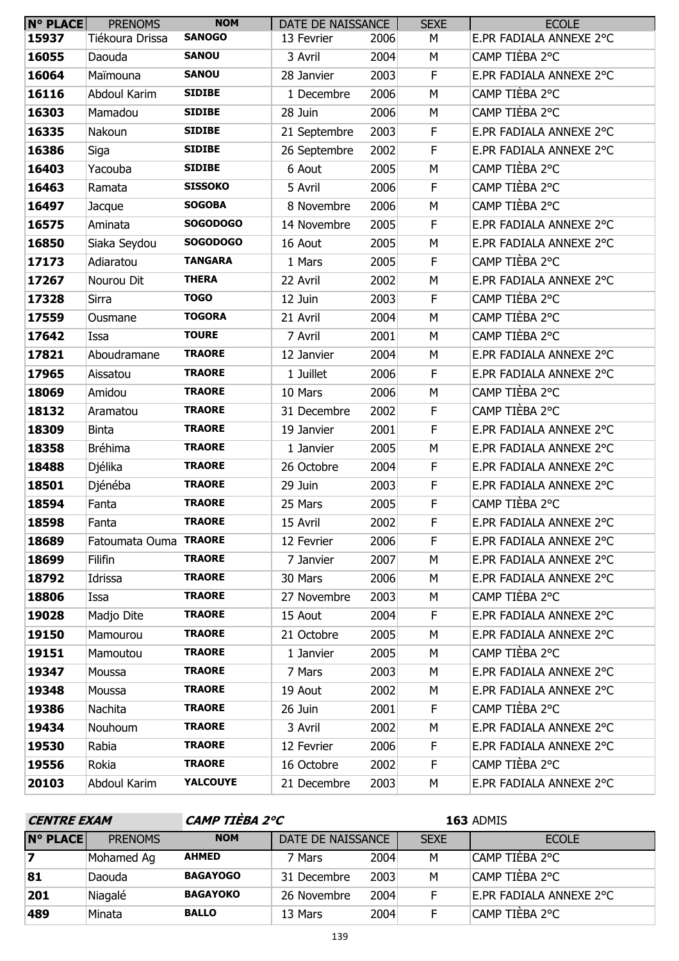| <b>N° PLACE</b> | <b>PRENOMS</b>        | <b>NOM</b>      | DATE DE NAISSANCE |      | <b>SEXE</b> | <b>ECOLE</b>            |
|-----------------|-----------------------|-----------------|-------------------|------|-------------|-------------------------|
| 15937           | Tiékoura Drissa       | <b>SANOGO</b>   | 13 Fevrier        | 2006 | М           | E.PR FADIALA ANNEXE 2°C |
| 16055           | Daouda                | <b>SANOU</b>    | 3 Avril           | 2004 | М           | CAMP TIÈBA 2°C          |
| 16064           | Maïmouna              | <b>SANOU</b>    | 28 Janvier        | 2003 | $\mathsf F$ | E.PR FADIALA ANNEXE 2°C |
| 16116           | Abdoul Karim          | <b>SIDIBE</b>   | 1 Decembre        | 2006 | M           | CAMP TIÈBA 2°C          |
| 16303           | Mamadou               | <b>SIDIBE</b>   | 28 Juin           | 2006 | M           | CAMP TIÈBA 2°C          |
| 16335           | Nakoun                | <b>SIDIBE</b>   | 21 Septembre      | 2003 | $\mathsf F$ | E.PR FADIALA ANNEXE 2°C |
| 16386           | Siga                  | <b>SIDIBE</b>   | 26 Septembre      | 2002 | F           | E.PR FADIALA ANNEXE 2°C |
| 16403           | Yacouba               | <b>SIDIBE</b>   | 6 Aout            | 2005 | M           | CAMP TIÈBA 2°C          |
| 16463           | Ramata                | <b>SISSOKO</b>  | 5 Avril           | 2006 | F           | CAMP TIÈBA 2°C          |
| 16497           | Jacque                | <b>SOGOBA</b>   | 8 Novembre        | 2006 | M           | CAMP TIÈBA 2°C          |
| 16575           | Aminata               | <b>SOGODOGO</b> | 14 Novembre       | 2005 | F           | E.PR FADIALA ANNEXE 2°C |
| 16850           | Siaka Seydou          | <b>SOGODOGO</b> | 16 Aout           | 2005 | M           | E.PR FADIALA ANNEXE 2°C |
| 17173           | Adiaratou             | <b>TANGARA</b>  | 1 Mars            | 2005 | $\mathsf F$ | CAMP TIÈBA 2°C          |
| 17267           | Nourou Dit            | <b>THERA</b>    | 22 Avril          | 2002 | M           | E.PR FADIALA ANNEXE 2°C |
| 17328           | Sirra                 | <b>TOGO</b>     | 12 Juin           | 2003 | F           | CAMP TIÈBA 2°C          |
| 17559           | Ousmane               | <b>TOGORA</b>   | 21 Avril          | 2004 | M           | CAMP TIÈBA 2°C          |
| 17642           | Issa                  | <b>TOURE</b>    | 7 Avril           | 2001 | M           | CAMP TIÈBA 2°C          |
| 17821           | Aboudramane           | <b>TRAORE</b>   | 12 Janvier        | 2004 | M           | E.PR FADIALA ANNEXE 2°C |
| 17965           | Aissatou              | <b>TRAORE</b>   | 1 Juillet         | 2006 | $\mathsf F$ | E.PR FADIALA ANNEXE 2°C |
| 18069           | Amidou                | <b>TRAORE</b>   | 10 Mars           | 2006 | M           | CAMP TIÈBA 2°C          |
| 18132           | Aramatou              | <b>TRAORE</b>   | 31 Decembre       | 2002 | $\mathsf F$ | CAMP TIÈBA 2°C          |
| 18309           | <b>Binta</b>          | <b>TRAORE</b>   | 19 Janvier        | 2001 | $\mathsf F$ | E.PR FADIALA ANNEXE 2°C |
| 18358           | <b>Bréhima</b>        | <b>TRAORE</b>   | 1 Janvier         | 2005 | М           | E.PR FADIALA ANNEXE 2°C |
| 18488           | Djélika               | <b>TRAORE</b>   | 26 Octobre        | 2004 | $\mathsf F$ | E.PR FADIALA ANNEXE 2°C |
| 18501           | Djénéba               | <b>TRAORE</b>   | 29 Juin           | 2003 | F           | E.PR FADIALA ANNEXE 2°C |
| 18594           | Fanta                 | <b>TRAORE</b>   | 25 Mars           | 2005 | F           | CAMP TIÈBA 2°C          |
| 18598           | Fanta                 | <b>TRAORE</b>   | 15 Avril          | 2002 | F           | E.PR FADIALA ANNEXE 2°C |
| 18689           | Fatoumata Ouma TRAORE |                 | 12 Fevrier        | 2006 | F           | E.PR FADIALA ANNEXE 2°C |
| 18699           | Filifin               | <b>TRAORE</b>   | 7 Janvier         | 2007 | М           | E.PR FADIALA ANNEXE 2°C |
| 18792           | Idrissa               | <b>TRAORE</b>   | 30 Mars           | 2006 | М           | E.PR FADIALA ANNEXE 2°C |
| 18806           | Issa                  | <b>TRAORE</b>   | 27 Novembre       | 2003 | М           | CAMP TIÈBA 2°C          |
| 19028           | Madjo Dite            | <b>TRAORE</b>   | 15 Aout           | 2004 | F.          | E.PR FADIALA ANNEXE 2°C |
| 19150           | Mamourou              | <b>TRAORE</b>   | 21 Octobre        | 2005 | М           | E.PR FADIALA ANNEXE 2°C |
| 19151           | Mamoutou              | <b>TRAORE</b>   | 1 Janvier         | 2005 | М           | CAMP TIÈBA 2°C          |
| 19347           | Moussa                | <b>TRAORE</b>   | 7 Mars            | 2003 | M           | E.PR FADIALA ANNEXE 2°C |
| 19348           | Moussa                | <b>TRAORE</b>   | 19 Aout           | 2002 | М           | E.PR FADIALA ANNEXE 2°C |
| 19386           | Nachita               | <b>TRAORE</b>   | 26 Juin           | 2001 | F           | CAMP TIÈBA 2°C          |
| 19434           | Nouhoum               | <b>TRAORE</b>   | 3 Avril           | 2002 | М           | E.PR FADIALA ANNEXE 2°C |
| 19530           | Rabia                 | <b>TRAORE</b>   | 12 Fevrier        | 2006 | F           | E.PR FADIALA ANNEXE 2°C |
| 19556           | Rokia                 | <b>TRAORE</b>   | 16 Octobre        | 2002 | F.          | CAMP TIÈBA 2°C          |
| 20103           | Abdoul Karim          | YALCOUYE        | 21 Decembre       | 2003 | М           | E.PR FADIALA ANNEXE 2°C |

| <b>CENTRE EXAM</b>      |                |                 | CAMP TIEBA 2°C    |      |             | 163 ADMIS               |
|-------------------------|----------------|-----------------|-------------------|------|-------------|-------------------------|
| <b>N° PLACE</b>         | <b>PRENOMS</b> | <b>NOM</b>      | DATE DE NAISSANCE |      | <b>SEXE</b> | ECOLE                   |
| $\overline{\mathbf{z}}$ | Mohamed Ag     | <b>AHMED</b>    | 7 Mars            | 2004 | м           | CAMP TIÈBA 2°C          |
| 81                      | Daouda         | <b>BAGAYOGO</b> | 31 Decembre       | 2003 | M           | CAMP TIÈBA 2°C          |
| 201                     | Niagalé        | <b>BAGAYOKO</b> | 26 Novembre       | 2004 |             | E.PR FADIALA ANNEXE 2°C |
| 489                     | Minata         | <b>BALLO</b>    | 13 Mars           | 2004 |             | CAMP TIÈBA 2°C          |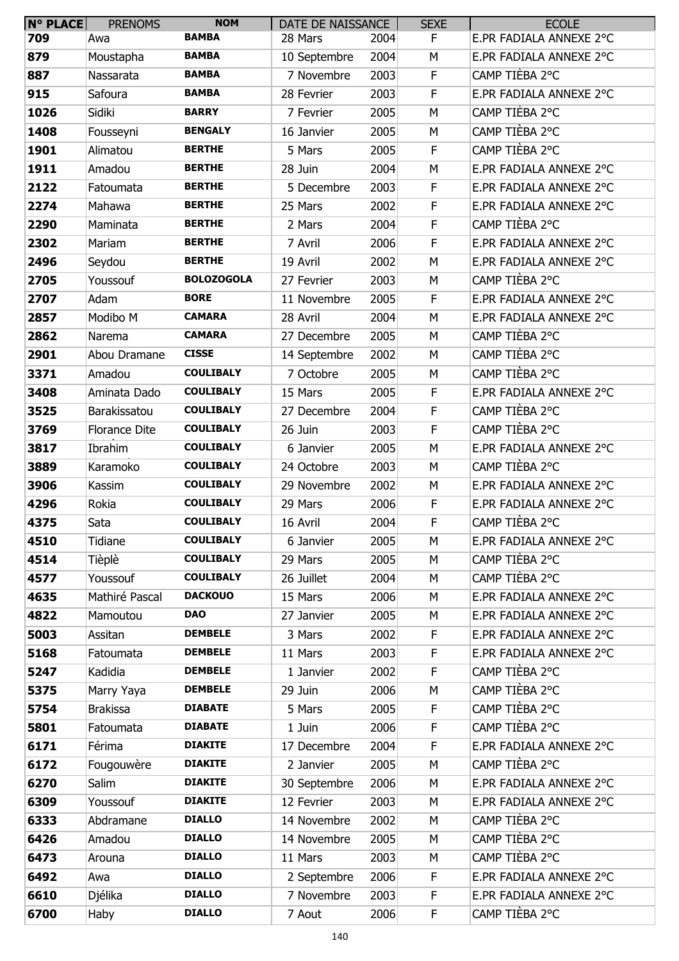| N° PLACE | <b>PRENOMS</b>  | <b>NOM</b>        | DATE DE NAISSANCE |      | <b>SEXE</b> | <b>ECOLE</b>            |
|----------|-----------------|-------------------|-------------------|------|-------------|-------------------------|
| 709      | Awa             | <b>BAMBA</b>      | 28 Mars           | 2004 | F.          | E.PR FADIALA ANNEXE 2°C |
| 879      | Moustapha       | <b>BAMBA</b>      | 10 Septembre      | 2004 | М           | E.PR FADIALA ANNEXE 2°C |
| 887      | Nassarata       | <b>BAMBA</b>      | 7 Novembre        | 2003 | F.          | CAMP TIÈBA 2°C          |
| 915      | Safoura         | <b>BAMBA</b>      | 28 Fevrier        | 2003 | F           | E.PR FADIALA ANNEXE 2°C |
| 1026     | Sidiki          | <b>BARRY</b>      | 7 Fevrier         | 2005 | M           | CAMP TIÈBA 2°C          |
| 1408     | Fousseyni       | <b>BENGALY</b>    | 16 Janvier        | 2005 | M           | CAMP TIÈBA 2°C          |
| 1901     | Alimatou        | <b>BERTHE</b>     | 5 Mars            | 2005 | F           | CAMP TIÈBA 2°C          |
| 1911     | Amadou          | <b>BERTHE</b>     | 28 Juin           | 2004 | М           | E.PR FADIALA ANNEXE 2°C |
| 2122     | Fatoumata       | <b>BERTHE</b>     | 5 Decembre        | 2003 | F           | E.PR FADIALA ANNEXE 2°C |
| 2274     | Mahawa          | <b>BERTHE</b>     | 25 Mars           | 2002 | F           | E.PR FADIALA ANNEXE 2°C |
| 2290     | Maminata        | <b>BERTHE</b>     | 2 Mars            | 2004 | F           | CAMP TIÈBA 2°C          |
| 2302     | Mariam          | <b>BERTHE</b>     | 7 Avril           | 2006 | F           | E.PR FADIALA ANNEXE 2°C |
| 2496     | Seydou          | <b>BERTHE</b>     | 19 Avril          | 2002 | M           | E.PR FADIALA ANNEXE 2°C |
| 2705     | Youssouf        | <b>BOLOZOGOLA</b> | 27 Fevrier        | 2003 | M           | CAMP TIÈBA 2°C          |
| 2707     | Adam            | <b>BORE</b>       | 11 Novembre       | 2005 | F           | E.PR FADIALA ANNEXE 2°C |
| 2857     | Modibo M        | <b>CAMARA</b>     | 28 Avril          | 2004 | M           | E.PR FADIALA ANNEXE 2°C |
| 2862     | Narema          | <b>CAMARA</b>     | 27 Decembre       | 2005 | M           | CAMP TIÈBA 2°C          |
| 2901     | Abou Dramane    | <b>CISSE</b>      | 14 Septembre      | 2002 | M           | CAMP TIÈBA 2°C          |
| 3371     | Amadou          | <b>COULIBALY</b>  | 7 Octobre         | 2005 | М           | CAMP TIÈBA 2°C          |
| 3408     | Aminata Dado    | <b>COULIBALY</b>  | 15 Mars           | 2005 | F           | E.PR FADIALA ANNEXE 2°C |
| 3525     | Barakissatou    | <b>COULIBALY</b>  | 27 Decembre       | 2004 | F           | CAMP TIÈBA 2°C          |
| 3769     | Florance Dite   | <b>COULIBALY</b>  | 26 Juin           | 2003 | F           | CAMP TIÈBA 2°C          |
| 3817     | Ibrahim         | <b>COULIBALY</b>  | 6 Janvier         | 2005 | M           | E.PR FADIALA ANNEXE 2°C |
| 3889     | Karamoko        | <b>COULIBALY</b>  | 24 Octobre        | 2003 | M           | CAMP TIÈBA 2°C          |
| 3906     | Kassim          | <b>COULIBALY</b>  | 29 Novembre       | 2002 | М           | E.PR FADIALA ANNEXE 2°C |
| 4296     | Rokia           | <b>COULIBALY</b>  | 29 Mars           | 2006 | F           | E.PR FADIALA ANNEXE 2°C |
| 4375     | Sata            | <b>COULIBALY</b>  | 16 Avril          | 2004 | F           | CAMP TIÈBA 2°C          |
| 4510     | Tidiane         | <b>COULIBALY</b>  | 6 Janvier         | 2005 | М           | E.PR FADIALA ANNEXE 2°C |
| 4514     | Tièplè          | <b>COULIBALY</b>  | 29 Mars           | 2005 | М           | CAMP TIÈBA 2°C          |
| 4577     | Youssouf        | <b>COULIBALY</b>  | 26 Juillet        | 2004 | M           | CAMP TIÈBA 2°C          |
| 4635     | Mathiré Pascal  | <b>DACKOUO</b>    | 15 Mars           | 2006 | M           | E.PR FADIALA ANNEXE 2°C |
| 4822     | Mamoutou        | <b>DAO</b>        | 27 Janvier        | 2005 | M           | E.PR FADIALA ANNEXE 2°C |
| 5003     | Assitan         | <b>DEMBELE</b>    | 3 Mars            | 2002 | F.          | E.PR FADIALA ANNEXE 2°C |
| 5168     | Fatoumata       | <b>DEMBELE</b>    | 11 Mars           | 2003 | F           | E.PR FADIALA ANNEXE 2°C |
| 5247     | Kadidia         | <b>DEMBELE</b>    | 1 Janvier         | 2002 | F.          | CAMP TIÈBA 2°C          |
| 5375     | Marry Yaya      | <b>DEMBELE</b>    | 29 Juin           | 2006 | М           | CAMP TIÈBA 2°C          |
| 5754     | <b>Brakissa</b> | <b>DIABATE</b>    | 5 Mars            | 2005 | F.          | CAMP TIÈBA 2°C          |
| 5801     | Fatoumata       | <b>DIABATE</b>    | 1 Juin            | 2006 | F           | CAMP TIÈBA 2°C          |
| 6171     | Férima          | <b>DIAKITE</b>    | 17 Decembre       | 2004 | F           | E.PR FADIALA ANNEXE 2°C |
| 6172     | Fougouwère      | <b>DIAKITE</b>    | 2 Janvier         | 2005 | M           | CAMP TIÈBA 2°C          |
| 6270     | Salim           | <b>DIAKITE</b>    | 30 Septembre      | 2006 | M           | E.PR FADIALA ANNEXE 2°C |
| 6309     | Youssouf        | <b>DIAKITE</b>    | 12 Fevrier        | 2003 | M           | E.PR FADIALA ANNEXE 2°C |
| 6333     | Abdramane       | <b>DIALLO</b>     | 14 Novembre       | 2002 | M           | CAMP TIÈBA 2°C          |
| 6426     | Amadou          | <b>DIALLO</b>     | 14 Novembre       | 2005 | М           | CAMP TIÈBA 2°C          |
| 6473     | Arouna          | <b>DIALLO</b>     | 11 Mars           | 2003 | М           | CAMP TIÈBA 2°C          |
| 6492     | Awa             | <b>DIALLO</b>     | 2 Septembre       | 2006 | F.          | E.PR FADIALA ANNEXE 2°C |
| 6610     | Djélika         | <b>DIALLO</b>     | 7 Novembre        | 2003 | F           | E.PR FADIALA ANNEXE 2°C |
|          |                 | <b>DIALLO</b>     |                   |      |             | CAMP TIÈBA 2°C          |
| 6700     | Haby            |                   | 7 Aout            | 2006 | F           |                         |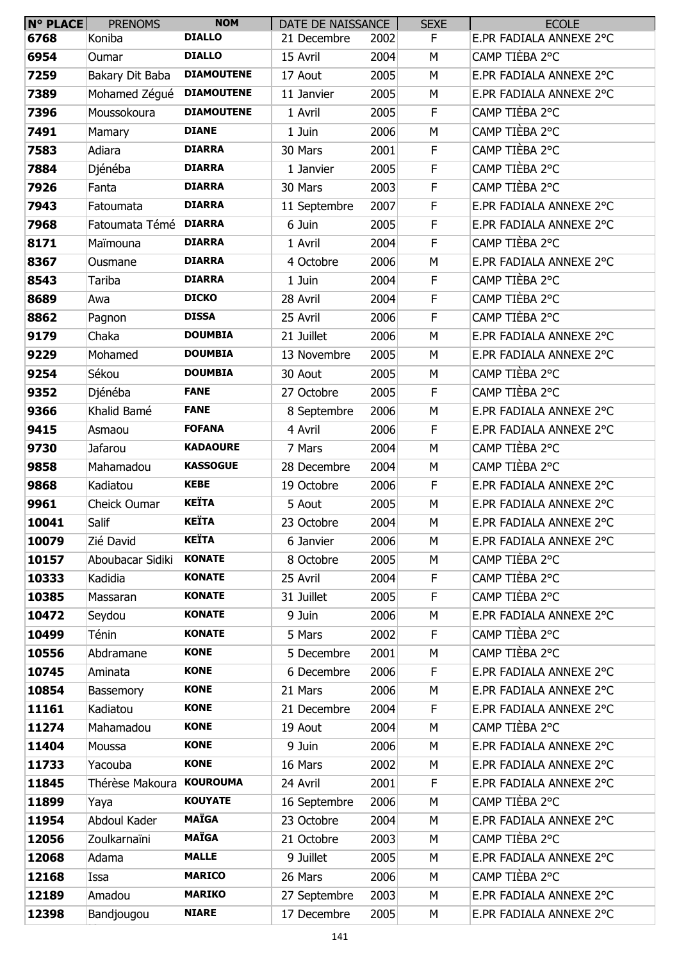| $N°$ PLACE | <b>PRENOMS</b>           | <b>NOM</b>        | DATE DE NAISSANCE |      | <b>SEXE</b> | <b>ECOLE</b>            |
|------------|--------------------------|-------------------|-------------------|------|-------------|-------------------------|
| 6768       | Koniba                   | <b>DIALLO</b>     | 21 Decembre       | 2002 | F.          | E.PR FADIALA ANNEXE 2°C |
| 6954       | Oumar                    | <b>DIALLO</b>     | 15 Avril          | 2004 | M           | CAMP TIÈBA 2°C          |
| 7259       | Bakary Dit Baba          | <b>DIAMOUTENE</b> | 17 Aout           | 2005 | M           | E.PR FADIALA ANNEXE 2°C |
| 7389       | Mohamed Zégué            | <b>DIAMOUTENE</b> | 11 Janvier        | 2005 | М           | E.PR FADIALA ANNEXE 2°C |
| 7396       | Moussokoura              | <b>DIAMOUTENE</b> | 1 Avril           | 2005 | F           | CAMP TIÈBA 2°C          |
| 7491       | <b>Mamary</b>            | <b>DIANE</b>      | 1 Juin            | 2006 | M           | CAMP TIÈBA 2°C          |
| 7583       | Adiara                   | <b>DIARRA</b>     | 30 Mars           | 2001 | F           | CAMP TIÈBA 2°C          |
| 7884       | Djénéba                  | <b>DIARRA</b>     | 1 Janvier         | 2005 | F           | CAMP TIÈBA 2°C          |
| 7926       | Fanta                    | <b>DIARRA</b>     | 30 Mars           | 2003 | $\mathsf F$ | CAMP TIÈBA 2°C          |
| 7943       | Fatoumata                | <b>DIARRA</b>     | 11 Septembre      | 2007 | F           | E.PR FADIALA ANNEXE 2°C |
| 7968       | Fatoumata Témé DIARRA    |                   | 6 Juin            | 2005 | F           | E.PR FADIALA ANNEXE 2°C |
| 8171       | Maïmouna                 | <b>DIARRA</b>     | 1 Avril           | 2004 | F.          | CAMP TIÈBA 2°C          |
| 8367       | Ousmane                  | <b>DIARRA</b>     | 4 Octobre         | 2006 | M           | E.PR FADIALA ANNEXE 2°C |
| 8543       | Tariba                   | <b>DIARRA</b>     | 1 Juin            | 2004 | F           | CAMP TIÈBA 2°C          |
| 8689       | Awa                      | <b>DICKO</b>      | 28 Avril          | 2004 | F           | CAMP TIÈBA 2°C          |
| 8862       | Pagnon                   | <b>DISSA</b>      | 25 Avril          | 2006 | F           | CAMP TIÈBA 2°C          |
| 9179       | Chaka                    | <b>DOUMBIA</b>    | 21 Juillet        | 2006 | M           | E.PR FADIALA ANNEXE 2°C |
| 9229       | Mohamed                  | <b>DOUMBIA</b>    | 13 Novembre       | 2005 | M           | E.PR FADIALA ANNEXE 2°C |
| 9254       | Sékou                    | <b>DOUMBIA</b>    | 30 Aout           | 2005 | М           | CAMP TIÈBA 2°C          |
| 9352       | Djénéba                  | <b>FANE</b>       | 27 Octobre        | 2005 | F           | CAMP TIÈBA 2°C          |
| 9366       | Khalid Bamé              | <b>FANE</b>       | 8 Septembre       | 2006 | M           | E.PR FADIALA ANNEXE 2°C |
| 9415       | Asmaou                   | <b>FOFANA</b>     | 4 Avril           | 2006 | F           | E.PR FADIALA ANNEXE 2°C |
| 9730       | Jafarou                  | <b>KADAOURE</b>   | 7 Mars            | 2004 | M           | CAMP TIÈBA 2°C          |
| 9858       | Mahamadou                | <b>KASSOGUE</b>   | 28 Decembre       | 2004 | М           | CAMP TIÈBA 2°C          |
| 9868       | Kadiatou                 | <b>KEBE</b>       | 19 Octobre        | 2006 | F           | E.PR FADIALA ANNEXE 2°C |
| 9961       | <b>Cheick Oumar</b>      | <b>KEÏTA</b>      | 5 Aout            | 2005 | М           | E.PR FADIALA ANNEXE 2°C |
| 10041      | Salif                    | <b>KEÏTA</b>      | 23 Octobre        | 2004 | M           | E.PR FADIALA ANNEXE 2°C |
| 10079      | Zié David                | <b>KEÏTA</b>      | 6 Janvier         | 2006 | М           | E.PR FADIALA ANNEXE 2°C |
| 10157      | Aboubacar Sidiki         | <b>KONATE</b>     | 8 Octobre         | 2005 | М           | CAMP TIÈBA 2°C          |
| 10333      | Kadidia                  | <b>KONATE</b>     | 25 Avril          | 2004 | $\mathsf F$ | CAMP TIÈBA 2°C          |
| 10385      | Massaran                 | <b>KONATE</b>     | 31 Juillet        | 2005 | F           | CAMP TIÈBA 2°C          |
| 10472      | Seydou                   | <b>KONATE</b>     | 9 Juin            | 2006 | M           | E.PR FADIALA ANNEXE 2°C |
| 10499      | Ténin                    | <b>KONATE</b>     | 5 Mars            | 2002 | F           | CAMP TIÈBA 2°C          |
| 10556      | Abdramane                | <b>KONE</b>       | 5 Decembre        | 2001 | M           | CAMP TIÈBA 2°C          |
| 10745      | Aminata                  | <b>KONE</b>       | 6 Decembre        | 2006 | F.          | E.PR FADIALA ANNEXE 2°C |
| 10854      | Bassemory                | <b>KONE</b>       | 21 Mars           | 2006 | М           | E.PR FADIALA ANNEXE 2°C |
| 11161      | Kadiatou                 | <b>KONE</b>       | 21 Decembre       | 2004 | F.          | E.PR FADIALA ANNEXE 2°C |
| 11274      | Mahamadou                | <b>KONE</b>       | 19 Aout           | 2004 | M           | CAMP TIÈBA 2°C          |
| 11404      | Moussa                   | <b>KONE</b>       | 9 Juin            | 2006 | M           | E.PR FADIALA ANNEXE 2°C |
| 11733      | Yacouba                  | <b>KONE</b>       | 16 Mars           | 2002 | М           | E.PR FADIALA ANNEXE 2°C |
| 11845      | Thérèse Makoura KOUROUMA |                   | 24 Avril          | 2001 | $\mathsf F$ | E.PR FADIALA ANNEXE 2°C |
| 11899      | Yaya                     | <b>KOUYATE</b>    | 16 Septembre      | 2006 | M           | CAMP TIÈBA 2°C          |
| 11954      | Abdoul Kader             | <b>MAÏGA</b>      | 23 Octobre        | 2004 | M           | E.PR FADIALA ANNEXE 2°C |
| 12056      | Zoulkarnaïni             | <b>MAÏGA</b>      | 21 Octobre        | 2003 | М           | CAMP TIÈBA 2°C          |
| 12068      | Adama                    | <b>MALLE</b>      | 9 Juillet         | 2005 | M           | E.PR FADIALA ANNEXE 2°C |
| 12168      | Issa                     | <b>MARICO</b>     | 26 Mars           | 2006 | M           | CAMP TIÈBA 2°C          |
| 12189      | Amadou                   | <b>MARIKO</b>     | 27 Septembre      | 2003 | М           | E.PR FADIALA ANNEXE 2°C |
| 12398      | Bandjougou               | <b>NIARE</b>      | 17 Decembre       | 2005 | М           | E.PR FADIALA ANNEXE 2°C |
|            |                          |                   |                   |      |             |                         |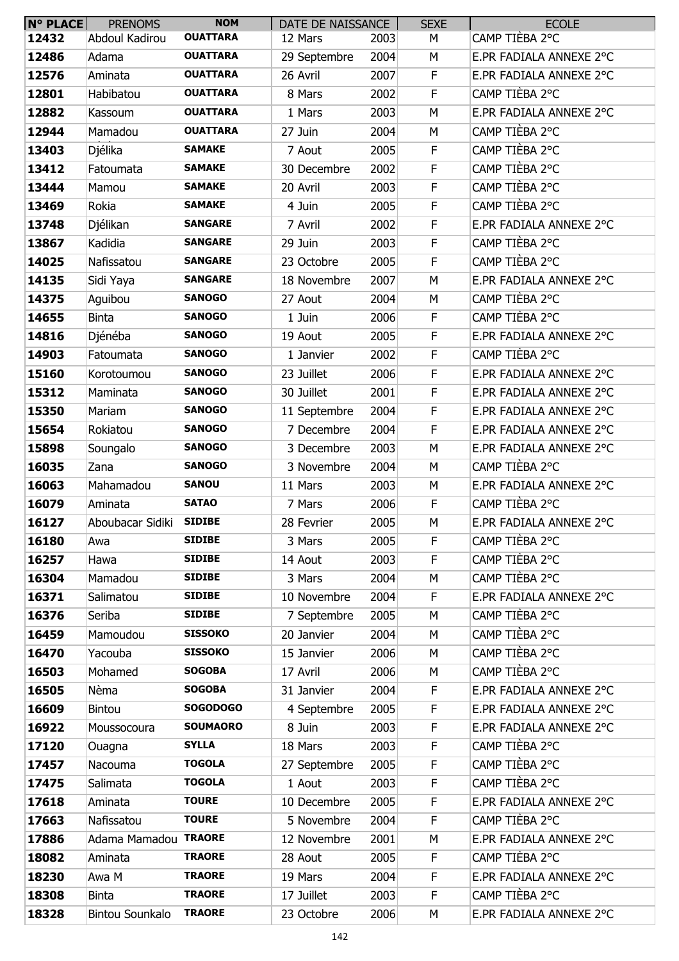| <b>N° PLACE</b> | <b>PRENOMS</b>         | <b>NOM</b>      | DATE DE NAISSANCE |      | <b>SEXE</b> | <b>ECOLE</b>            |
|-----------------|------------------------|-----------------|-------------------|------|-------------|-------------------------|
| 12432           | Abdoul Kadirou         | <b>OUATTARA</b> | 12 Mars           | 2003 | М           | CAMP TIÈBA 2°C          |
| 12486           | Adama                  | <b>OUATTARA</b> | 29 Septembre      | 2004 | M           | E.PR FADIALA ANNEXE 2°C |
| 12576           | Aminata                | <b>OUATTARA</b> | 26 Avril          | 2007 | F           | E.PR FADIALA ANNEXE 2°C |
| 12801           | Habibatou              | <b>OUATTARA</b> | 8 Mars            | 2002 | F           | CAMP TIÈBA 2°C          |
| 12882           | Kassoum                | <b>OUATTARA</b> | 1 Mars            | 2003 | M           | E.PR FADIALA ANNEXE 2°C |
| 12944           | Mamadou                | <b>OUATTARA</b> | 27 Juin           | 2004 | M           | CAMP TIÈBA 2°C          |
| 13403           | Djélika                | <b>SAMAKE</b>   | 7 Aout            | 2005 | F           | CAMP TIÈBA 2°C          |
| 13412           | Fatoumata              | <b>SAMAKE</b>   | 30 Decembre       | 2002 | F           | CAMP TIÈBA 2°C          |
| 13444           | Mamou                  | <b>SAMAKE</b>   | 20 Avril          | 2003 | F           | CAMP TIÈBA 2°C          |
| 13469           | Rokia                  | <b>SAMAKE</b>   | 4 Juin            | 2005 | F           | CAMP TIÈBA 2°C          |
| 13748           | Djélikan               | <b>SANGARE</b>  | 7 Avril           | 2002 | F           | E.PR FADIALA ANNEXE 2°C |
| 13867           | Kadidia                | <b>SANGARE</b>  | 29 Juin           | 2003 | F           | CAMP TIÈBA 2°C          |
| 14025           | Nafissatou             | <b>SANGARE</b>  | 23 Octobre        | 2005 | F           | CAMP TIÈBA 2°C          |
| 14135           | Sidi Yaya              | <b>SANGARE</b>  | 18 Novembre       | 2007 | M           | E.PR FADIALA ANNEXE 2°C |
| 14375           | Aguibou                | <b>SANOGO</b>   | 27 Aout           | 2004 | М           | CAMP TIÈBA 2°C          |
| 14655           | <b>Binta</b>           | <b>SANOGO</b>   | 1 Juin            | 2006 | F           | CAMP TIÈBA 2°C          |
| 14816           | Djénéba                | <b>SANOGO</b>   | 19 Aout           | 2005 | F           | E.PR FADIALA ANNEXE 2°C |
| 14903           | Fatoumata              | <b>SANOGO</b>   | 1 Janvier         | 2002 | F           | CAMP TIÈBA 2°C          |
| 15160           | Korotoumou             | <b>SANOGO</b>   | 23 Juillet        | 2006 | F           | E.PR FADIALA ANNEXE 2°C |
| 15312           | Maminata               | <b>SANOGO</b>   | 30 Juillet        | 2001 | F           | E.PR FADIALA ANNEXE 2°C |
| 15350           | Mariam                 | <b>SANOGO</b>   | 11 Septembre      | 2004 | F           | E.PR FADIALA ANNEXE 2°C |
| 15654           | Rokiatou               | <b>SANOGO</b>   | 7 Decembre        | 2004 | F           | E.PR FADIALA ANNEXE 2°C |
| 15898           | Soungalo               | <b>SANOGO</b>   | 3 Decembre        | 2003 | M           | E.PR FADIALA ANNEXE 2°C |
| 16035           | Zana                   | <b>SANOGO</b>   | 3 Novembre        | 2004 | M           | CAMP TIÈBA 2°C          |
| 16063           | Mahamadou              | <b>SANOU</b>    | 11 Mars           | 2003 | М           | E.PR FADIALA ANNEXE 2°C |
| 16079           | Aminata                | <b>SATAO</b>    | 7 Mars            | 2006 | F           | CAMP TIÈBA 2°C          |
| 16127           | Aboubacar Sidiki       | <b>SIDIBE</b>   | 28 Fevrier        | 2005 | M           | E.PR FADIALA ANNEXE 2°C |
| 16180           | Awa                    | <b>SIDIBE</b>   | 3 Mars            | 2005 | F           | CAMP TIÈBA 2°C          |
| 16257           | Hawa                   | <b>SIDIBE</b>   | 14 Aout           | 2003 | F           | CAMP TIÈBA 2°C          |
| 16304           | Mamadou                | <b>SIDIBE</b>   | 3 Mars            | 2004 | M           | CAMP TIÈBA 2°C          |
| 16371           | Salimatou              | <b>SIDIBE</b>   | 10 Novembre       | 2004 | F           | E.PR FADIALA ANNEXE 2°C |
| 16376           | Seriba                 | <b>SIDIBE</b>   | 7 Septembre       | 2005 | M           | CAMP TIÈBA 2°C          |
| 16459           | Mamoudou               | <b>SISSOKO</b>  | 20 Janvier        | 2004 | М           | CAMP TIÈBA 2°C          |
| 16470           | Yacouba                | <b>SISSOKO</b>  | 15 Janvier        | 2006 | M           | CAMP TIÈBA 2°C          |
| 16503           | Mohamed                | <b>SOGOBA</b>   | 17 Avril          | 2006 | M           | CAMP TIÈBA 2°C          |
| 16505           | Nèma                   | <b>SOGOBA</b>   | 31 Janvier        | 2004 | F           | E.PR FADIALA ANNEXE 2°C |
| 16609           | Bintou                 | <b>SOGODOGO</b> | 4 Septembre       | 2005 | F           | E.PR FADIALA ANNEXE 2°C |
| 16922           | Moussocoura            | <b>SOUMAORO</b> | 8 Juin            | 2003 | F           | E.PR FADIALA ANNEXE 2°C |
| 17120           | Ouagna                 | <b>SYLLA</b>    | 18 Mars           | 2003 | F           | CAMP TIÈBA 2°C          |
| 17457           | Nacouma                | <b>TOGOLA</b>   | 27 Septembre      | 2005 | F           | CAMP TIÈBA 2°C          |
| 17475           | Salimata               | <b>TOGOLA</b>   | 1 Aout            | 2003 | $\mathsf F$ | CAMP TIÈBA 2°C          |
| 17618           | Aminata                | <b>TOURE</b>    | 10 Decembre       | 2005 | F           | E.PR FADIALA ANNEXE 2°C |
| 17663           | Nafissatou             | <b>TOURE</b>    | 5 Novembre        | 2004 | F           | CAMP TIÈBA 2°C          |
| 17886           | Adama Mamadou TRAORE   |                 | 12 Novembre       | 2001 | М           | E.PR FADIALA ANNEXE 2°C |
| 18082           | Aminata                | <b>TRAORE</b>   | 28 Aout           | 2005 | F           | CAMP TIÈBA 2°C          |
| 18230           | Awa M                  | <b>TRAORE</b>   | 19 Mars           | 2004 | F           | E.PR FADIALA ANNEXE 2°C |
| 18308           | <b>Binta</b>           | <b>TRAORE</b>   | 17 Juillet        | 2003 | F           | CAMP TIÈBA 2°C          |
| 18328           | <b>Bintou Sounkalo</b> | <b>TRAORE</b>   | 23 Octobre        | 2006 | М           | E.PR FADIALA ANNEXE 2°C |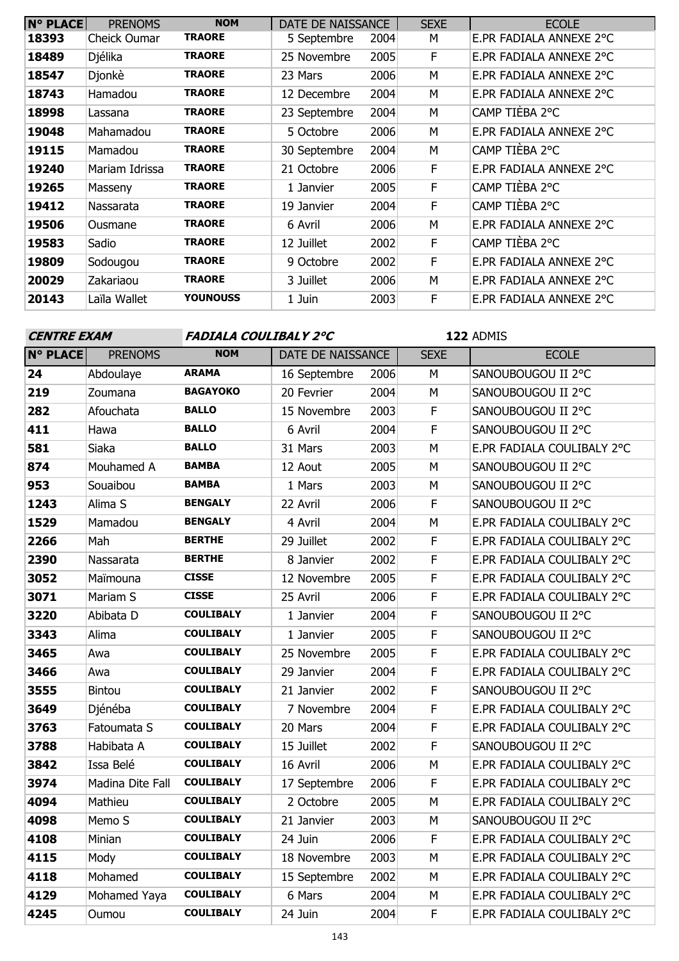| <b>N° PLACE</b> | <b>PRENOMS</b> | <b>NOM</b>      | DATE DE NAISSANCE |      | <b>SEXE</b> | <b>ECOLE</b>            |
|-----------------|----------------|-----------------|-------------------|------|-------------|-------------------------|
| 18393           | Cheick Oumar   | <b>TRAORE</b>   | 5 Septembre       | 2004 | М           | E.PR FADIALA ANNEXE 2°C |
| 18489           | Djélika        | <b>TRAORE</b>   | 25 Novembre       | 2005 | F           | E.PR FADIALA ANNEXE 2°C |
| 18547           | Djonkè         | <b>TRAORE</b>   | 23 Mars           | 2006 | M           | E.PR FADIALA ANNEXE 2°C |
| 18743           | Hamadou        | <b>TRAORE</b>   | 12 Decembre       | 2004 | M           | E.PR FADIALA ANNEXE 2°C |
| 18998           | Lassana        | <b>TRAORE</b>   | 23 Septembre      | 2004 | M           | CAMP TIÈBA 2°C          |
| 19048           | Mahamadou      | <b>TRAORE</b>   | 5 Octobre         | 2006 | M           | E.PR FADIALA ANNEXE 2°C |
| 19115           | Mamadou        | <b>TRAORE</b>   | 30 Septembre      | 2004 | M           | CAMP TIÈBA 2°C          |
| 19240           | Mariam Idrissa | <b>TRAORE</b>   | 21 Octobre        | 2006 | F           | E.PR FADIALA ANNEXE 2°C |
| 19265           | Masseny        | <b>TRAORE</b>   | 1 Janvier         | 2005 | F           | CAMP TIÈBA 2°C          |
| 19412           | Nassarata      | <b>TRAORE</b>   | 19 Janvier        | 2004 | F           | CAMP TIÈBA 2°C          |
| 19506           | Ousmane        | <b>TRAORE</b>   | 6 Avril           | 2006 | M           | E.PR FADIALA ANNEXE 2°C |
| 19583           | Sadio          | <b>TRAORE</b>   | 12 Juillet        | 2002 | F           | CAMP TIÈBA 2°C          |
| 19809           | Sodougou       | <b>TRAORE</b>   | 9 Octobre         | 2002 | F           | E.PR FADIALA ANNEXE 2°C |
| 20029           | Zakariaou      | <b>TRAORE</b>   | 3 Juillet         | 2006 | M           | E.PR FADIALA ANNEXE 2°C |
| 20143           | Laïla Wallet   | <b>YOUNOUSS</b> | 1 Juin            | 2003 | F           | E.PR FADIALA ANNEXE 2°C |

# **CENTRE EXAM FADIALA COULIBALY 2°C**

| <b>N° PLACE</b> | <b>PRENOMS</b>   | <b>NOM</b>       | DATE DE NAISSANCE |      | <b>SEXE</b>             | <b>ECOLE</b>               |
|-----------------|------------------|------------------|-------------------|------|-------------------------|----------------------------|
| 24              | Abdoulaye        | <b>ARAMA</b>     | 16 Septembre      | 2006 | M                       | SANOUBOUGOU II 2°C         |
| 219             | Zoumana          | <b>BAGAYOKO</b>  | 20 Fevrier        | 2004 | M                       | SANOUBOUGOU II 2°C         |
| 282             | Afouchata        | <b>BALLO</b>     | 15 Novembre       | 2003 | $\overline{F}$          | SANOUBOUGOU II 2°C         |
| 411             | Hawa             | <b>BALLO</b>     | 6 Avril           | 2004 | $\mathsf F$             | SANOUBOUGOU II 2°C         |
| 581             | Siaka            | <b>BALLO</b>     | 31 Mars           | 2003 | M                       | E.PR FADIALA COULIBALY 2°C |
| 874             | Mouhamed A       | <b>BAMBA</b>     | 12 Aout           | 2005 | M                       | SANOUBOUGOU II 2°C         |
| 953             | Souaibou         | <b>BAMBA</b>     | 1 Mars            | 2003 | M                       | SANOUBOUGOU II 2°C         |
| 1243            | Alima S          | <b>BENGALY</b>   | 22 Avril          | 2006 | F                       | SANOUBOUGOU II 2°C         |
| 1529            | Mamadou          | <b>BENGALY</b>   | 4 Avril           | 2004 | M                       | E.PR FADIALA COULIBALY 2°C |
| 2266            | Mah              | <b>BERTHE</b>    | 29 Juillet        | 2002 | $\mathsf F$             | E.PR FADIALA COULIBALY 2°C |
| 2390            | Nassarata        | <b>BERTHE</b>    | 8 Janvier         | 2002 | $\overline{\mathsf{F}}$ | E.PR FADIALA COULIBALY 2°C |
| 3052            | Maïmouna         | <b>CISSE</b>     | 12 Novembre       | 2005 | $\mathsf F$             | E.PR FADIALA COULIBALY 2°C |
| 3071            | Mariam S         | <b>CISSE</b>     | 25 Avril          | 2006 | $\mathsf F$             | E.PR FADIALA COULIBALY 2°C |
| 3220            | Abibata D        | <b>COULIBALY</b> | 1 Janvier         | 2004 | $\overline{F}$          | SANOUBOUGOU II 2°C         |
| 3343            | Alima            | <b>COULIBALY</b> | 1 Janvier         | 2005 | $\mathsf F$             | SANOUBOUGOU II 2°C         |
| 3465            | Awa              | <b>COULIBALY</b> | 25 Novembre       | 2005 | $\overline{F}$          | E.PR FADIALA COULIBALY 2°C |
| 3466            | Awa              | <b>COULIBALY</b> | 29 Janvier        | 2004 | $\mathsf F$             | E.PR FADIALA COULIBALY 2°C |
| 3555            | Bintou           | <b>COULIBALY</b> | 21 Janvier        | 2002 | $\mathsf F$             | SANOUBOUGOU II 2°C         |
| 3649            | Djénéba          | <b>COULIBALY</b> | 7 Novembre        | 2004 | $\mathsf F$             | E.PR FADIALA COULIBALY 2°C |
| 3763            | Fatoumata S      | <b>COULIBALY</b> | 20 Mars           | 2004 | $\mathsf F$             | E.PR FADIALA COULIBALY 2°C |
| 3788            | Habibata A       | <b>COULIBALY</b> | 15 Juillet        | 2002 | $\mathsf F$             | SANOUBOUGOU II 2°C         |
| 3842            | Issa Belé        | <b>COULIBALY</b> | 16 Avril          | 2006 | M                       | E.PR FADIALA COULIBALY 2°C |
| 3974            | Madina Dite Fall | <b>COULIBALY</b> | 17 Septembre      | 2006 | $\mathsf F$             | E.PR FADIALA COULIBALY 2°C |
| 4094            | Mathieu          | <b>COULIBALY</b> | 2 Octobre         | 2005 | M                       | E.PR FADIALA COULIBALY 2°C |
| 4098            | Memo S           | <b>COULIBALY</b> | 21 Janvier        | 2003 | M                       | SANOUBOUGOU II 2°C         |
| 4108            | Minian           | <b>COULIBALY</b> | 24 Juin           | 2006 | $\mathsf F$             | E.PR FADIALA COULIBALY 2°C |
| 4115            | Mody             | <b>COULIBALY</b> | 18 Novembre       | 2003 | M                       | E.PR FADIALA COULIBALY 2°C |
| 4118            | Mohamed          | <b>COULIBALY</b> | 15 Septembre      | 2002 | M                       | E.PR FADIALA COULIBALY 2°C |
| 4129            | Mohamed Yaya     | <b>COULIBALY</b> | 6 Mars            | 2004 | M                       | E.PR FADIALA COULIBALY 2°C |
| 4245            | Oumou            | <b>COULIBALY</b> | 24 Juin           | 2004 | F                       | E.PR FADIALA COULIBALY 2°C |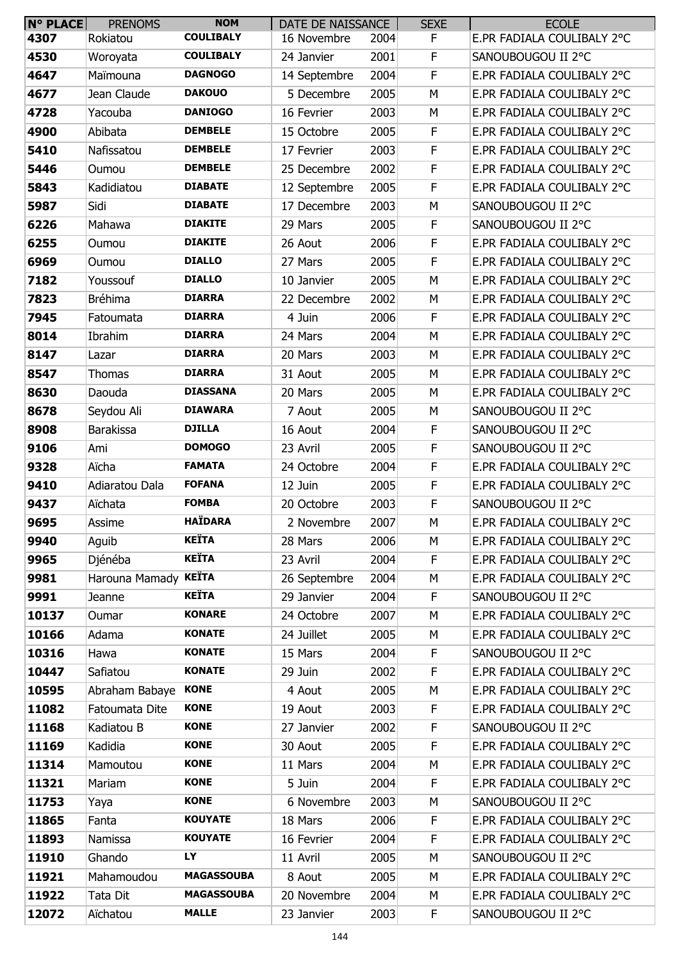| <b>N° PLACE</b> | <b>PRENOMS</b>       | <b>NOM</b>        | DATE DE NAISSANCE |      | <b>SEXE</b> | <b>ECOLE</b>               |
|-----------------|----------------------|-------------------|-------------------|------|-------------|----------------------------|
| 4307            | Rokiatou             | <b>COULIBALY</b>  | 16 Novembre       | 2004 | F.          | E.PR FADIALA COULIBALY 2°C |
| 4530            | Woroyata             | <b>COULIBALY</b>  | 24 Janvier        | 2001 | F           | SANOUBOUGOU II 2°C         |
| 4647            | Maïmouna             | <b>DAGNOGO</b>    | 14 Septembre      | 2004 | F           | E.PR FADIALA COULIBALY 2°C |
| 4677            | Jean Claude          | <b>DAKOUO</b>     | 5 Decembre        | 2005 | M           | E.PR FADIALA COULIBALY 2°C |
| 4728            | Yacouba              | <b>DANIOGO</b>    | 16 Fevrier        | 2003 | M           | E.PR FADIALA COULIBALY 2°C |
| 4900            | Abibata              | <b>DEMBELE</b>    | 15 Octobre        | 2005 | $\mathsf F$ | E.PR FADIALA COULIBALY 2°C |
| 5410            | Nafissatou           | <b>DEMBELE</b>    | 17 Fevrier        | 2003 | F           | E.PR FADIALA COULIBALY 2°C |
| 5446            | Oumou                | <b>DEMBELE</b>    | 25 Decembre       | 2002 | F           | E.PR FADIALA COULIBALY 2°C |
| 5843            | Kadidiatou           | <b>DIABATE</b>    | 12 Septembre      | 2005 | $\mathsf F$ | E.PR FADIALA COULIBALY 2°C |
| 5987            | Sidi                 | <b>DIABATE</b>    | 17 Decembre       | 2003 | M           | SANOUBOUGOU II 2°C         |
| 6226            | Mahawa               | <b>DIAKITE</b>    | 29 Mars           | 2005 | F           | SANOUBOUGOU II 2°C         |
| 6255            | Oumou                | <b>DIAKITE</b>    | 26 Aout           | 2006 | $\mathsf F$ | E.PR FADIALA COULIBALY 2°C |
| 6969            | Oumou                | <b>DIALLO</b>     | 27 Mars           | 2005 | F           | E.PR FADIALA COULIBALY 2°C |
| 7182            | Youssouf             | <b>DIALLO</b>     | 10 Janvier        | 2005 | M           | E.PR FADIALA COULIBALY 2°C |
| 7823            | Bréhima              | <b>DIARRA</b>     | 22 Decembre       | 2002 | M           | E.PR FADIALA COULIBALY 2°C |
| 7945            | Fatoumata            | <b>DIARRA</b>     | 4 Juin            | 2006 | $\mathsf F$ | E.PR FADIALA COULIBALY 2°C |
| 8014            | Ibrahim              | <b>DIARRA</b>     | 24 Mars           | 2004 | M           | E.PR FADIALA COULIBALY 2°C |
| 8147            | Lazar                | <b>DIARRA</b>     | 20 Mars           | 2003 | M           | E.PR FADIALA COULIBALY 2°C |
| 8547            | Thomas               | <b>DIARRA</b>     | 31 Aout           | 2005 | M           | E.PR FADIALA COULIBALY 2°C |
| 8630            | Daouda               | <b>DIASSANA</b>   | 20 Mars           | 2005 | M           | E.PR FADIALA COULIBALY 2°C |
| 8678            | Seydou Ali           | <b>DIAWARA</b>    | 7 Aout            | 2005 | M           | SANOUBOUGOU II 2°C         |
| 8908            | <b>Barakissa</b>     | <b>DJILLA</b>     | 16 Aout           | 2004 | F           | SANOUBOUGOU II 2°C         |
| 9106            | Ami                  | <b>DOMOGO</b>     | 23 Avril          | 2005 | $\mathsf F$ | SANOUBOUGOU II 2°C         |
| 9328            | Aïcha                | <b>FAMATA</b>     | 24 Octobre        | 2004 | F           | E.PR FADIALA COULIBALY 2°C |
| 9410            | Adiaratou Dala       | <b>FOFANA</b>     | 12 Juin           | 2005 | F           | E.PR FADIALA COULIBALY 2°C |
| 9437            | Aïchata              | <b>FOMBA</b>      | 20 Octobre        | 2003 | F           | SANOUBOUGOU II 2°C         |
| 9695            | Assime               | <b>HAÏDARA</b>    | 2 Novembre        | 2007 | M           | E.PR FADIALA COULIBALY 2°C |
| 9940            | Aguib                | <b>KEÏTA</b>      | 28 Mars           | 2006 | M           | E.PR FADIALA COULIBALY 2°C |
| 9965            | Djénéba              | <b>KEÏTA</b>      | 23 Avril          | 2004 | F           | E.PR FADIALA COULIBALY 2°C |
| 9981            | Harouna Mamady KEÏTA |                   | 26 Septembre      | 2004 | M           | E.PR FADIALA COULIBALY 2°C |
| 9991            | Jeanne               | <b>KEÏTA</b>      | 29 Janvier        | 2004 | $\mathsf F$ | SANOUBOUGOU II 2°C         |
| 10137           | Oumar                | <b>KONARE</b>     | 24 Octobre        | 2007 | M           | E.PR FADIALA COULIBALY 2°C |
| 10166           | Adama                | <b>KONATE</b>     | 24 Juillet        | 2005 | M           | E.PR FADIALA COULIBALY 2°C |
| 10316           | Hawa                 | <b>KONATE</b>     | 15 Mars           | 2004 | $\mathsf F$ | SANOUBOUGOU II 2°C         |
| 10447           | Safiatou             | <b>KONATE</b>     | 29 Juin           | 2002 | $\mathsf F$ | E.PR FADIALA COULIBALY 2°C |
| 10595           | Abraham Babaye       | <b>KONE</b>       | 4 Aout            | 2005 | M           | E.PR FADIALA COULIBALY 2°C |
| 11082           | Fatoumata Dite       | <b>KONE</b>       | 19 Aout           | 2003 | F           | E.PR FADIALA COULIBALY 2°C |
| 11168           | Kadiatou B           | <b>KONE</b>       | 27 Janvier        | 2002 | $\mathsf F$ | SANOUBOUGOU II 2°C         |
| 11169           | Kadidia              | <b>KONE</b>       | 30 Aout           | 2005 | F           | E.PR FADIALA COULIBALY 2°C |
| 11314           | Mamoutou             | <b>KONE</b>       | 11 Mars           | 2004 | M           | E.PR FADIALA COULIBALY 2°C |
| 11321           | Mariam               | <b>KONE</b>       | 5 Juin            | 2004 | F           | E.PR FADIALA COULIBALY 2°C |
| 11753           | Yaya                 | <b>KONE</b>       | 6 Novembre        | 2003 | M           | SANOUBOUGOU II 2°C         |
| 11865           | Fanta                | <b>KOUYATE</b>    | 18 Mars           | 2006 | $\mathsf F$ | E.PR FADIALA COULIBALY 2°C |
| 11893           | Namissa              | <b>KOUYATE</b>    | 16 Fevrier        | 2004 | F           | E.PR FADIALA COULIBALY 2°C |
| 11910           | Ghando               | <b>LY</b>         | 11 Avril          | 2005 | M           | SANOUBOUGOU II 2°C         |
| 11921           | Mahamoudou           | <b>MAGASSOUBA</b> | 8 Aout            | 2005 | M           | E.PR FADIALA COULIBALY 2°C |
| 11922           | Tata Dit             | <b>MAGASSOUBA</b> | 20 Novembre       | 2004 | M           | E.PR FADIALA COULIBALY 2°C |
| 12072           | Aïchatou             | <b>MALLE</b>      | 23 Janvier        | 2003 | F           | SANOUBOUGOU II 2°C         |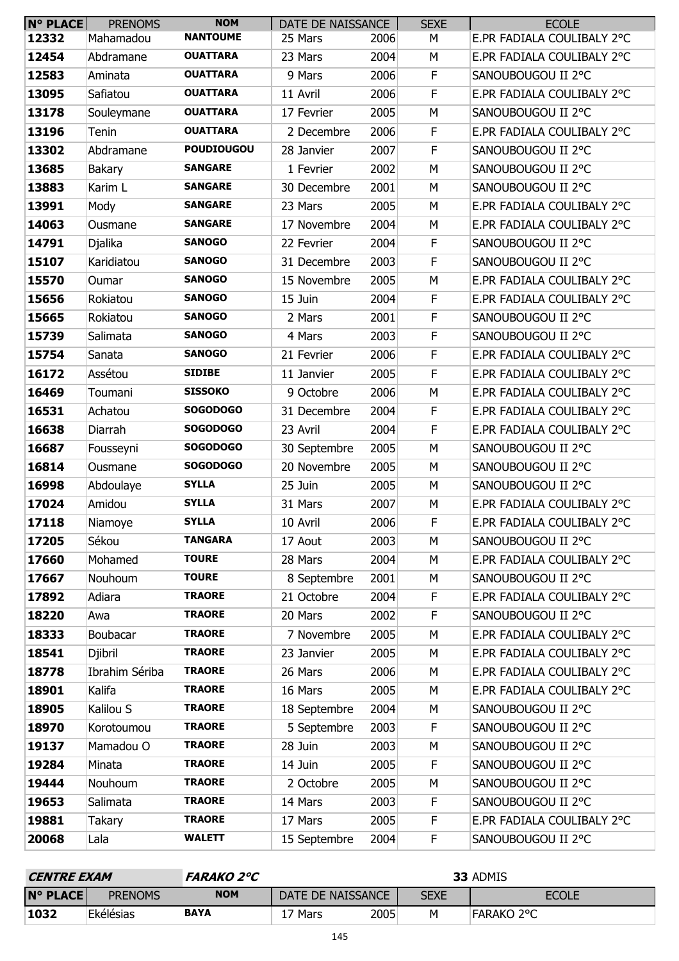| <b>N° PLACE</b> | <b>PRENOMS</b> | <b>NOM</b>        | DATE DE NAISSANCE |      | <b>SEXE</b> | <b>ECOLE</b>               |
|-----------------|----------------|-------------------|-------------------|------|-------------|----------------------------|
| 12332           | Mahamadou      | <b>NANTOUME</b>   | 25 Mars           | 2006 | М           | E.PR FADIALA COULIBALY 2°C |
| 12454           | Abdramane      | <b>OUATTARA</b>   | 23 Mars           | 2004 | M           | E.PR FADIALA COULIBALY 2°C |
| 12583           | Aminata        | <b>OUATTARA</b>   | 9 Mars            | 2006 | F           | SANOUBOUGOU II 2°C         |
| 13095           | Safiatou       | <b>OUATTARA</b>   | 11 Avril          | 2006 | F           | E.PR FADIALA COULIBALY 2°C |
| 13178           | Souleymane     | <b>OUATTARA</b>   | 17 Fevrier        | 2005 | M           | SANOUBOUGOU II 2°C         |
| 13196           | Tenin          | <b>OUATTARA</b>   | 2 Decembre        | 2006 | $\mathsf F$ | E.PR FADIALA COULIBALY 2°C |
| 13302           | Abdramane      | <b>POUDIOUGOU</b> | 28 Janvier        | 2007 | F           | SANOUBOUGOU II 2°C         |
| 13685           | <b>Bakary</b>  | <b>SANGARE</b>    | 1 Fevrier         | 2002 | M           | SANOUBOUGOU II 2°C         |
| 13883           | Karim L        | <b>SANGARE</b>    | 30 Decembre       | 2001 | M           | SANOUBOUGOU II 2°C         |
| 13991           | Mody           | <b>SANGARE</b>    | 23 Mars           | 2005 | M           | E.PR FADIALA COULIBALY 2°C |
| 14063           | Ousmane        | <b>SANGARE</b>    | 17 Novembre       | 2004 | M           | E.PR FADIALA COULIBALY 2°C |
| 14791           | Djalika        | <b>SANOGO</b>     | 22 Fevrier        | 2004 | F           | SANOUBOUGOU II 2°C         |
| 15107           | Karidiatou     | <b>SANOGO</b>     | 31 Decembre       | 2003 | F           | SANOUBOUGOU II 2°C         |
| 15570           | Oumar          | <b>SANOGO</b>     | 15 Novembre       | 2005 | M           | E.PR FADIALA COULIBALY 2°C |
| 15656           | Rokiatou       | <b>SANOGO</b>     | 15 Juin           | 2004 | F           | E.PR FADIALA COULIBALY 2°C |
| 15665           | Rokiatou       | <b>SANOGO</b>     | 2 Mars            | 2001 | $\mathsf F$ | SANOUBOUGOU II 2°C         |
| 15739           | Salimata       | <b>SANOGO</b>     | 4 Mars            | 2003 | $\mathsf F$ | SANOUBOUGOU II 2°C         |
| 15754           | Sanata         | <b>SANOGO</b>     | 21 Fevrier        | 2006 | F           | E.PR FADIALA COULIBALY 2°C |
| 16172           | Assétou        | <b>SIDIBE</b>     | 11 Janvier        | 2005 | $\mathsf F$ | E.PR FADIALA COULIBALY 2°C |
| 16469           | Toumani        | <b>SISSOKO</b>    | 9 Octobre         | 2006 | M           | E.PR FADIALA COULIBALY 2°C |
| 16531           | Achatou        | <b>SOGODOGO</b>   | 31 Decembre       | 2004 | F           | E.PR FADIALA COULIBALY 2°C |
| 16638           | Diarrah        | <b>SOGODOGO</b>   | 23 Avril          | 2004 | F           | E.PR FADIALA COULIBALY 2°C |
| 16687           | Fousseyni      | <b>SOGODOGO</b>   | 30 Septembre      | 2005 | M           | SANOUBOUGOU II 2°C         |
| 16814           | Ousmane        | <b>SOGODOGO</b>   | 20 Novembre       | 2005 | M           | SANOUBOUGOU II 2°C         |
| 16998           | Abdoulaye      | <b>SYLLA</b>      | 25 Juin           | 2005 | M           | SANOUBOUGOU II 2°C         |
| 17024           | Amidou         | <b>SYLLA</b>      | 31 Mars           | 2007 | М           | E.PR FADIALA COULIBALY 2°C |
| 17118           | Niamoye        | <b>SYLLA</b>      | 10 Avril          | 2006 | F           | E.PR FADIALA COULIBALY 2°C |
| 17205           | Sékou          | <b>TANGARA</b>    | 17 Aout           | 2003 | M           | SANOUBOUGOU II 2°C         |
| 17660           | Mohamed        | <b>TOURE</b>      | 28 Mars           | 2004 | М           | E.PR FADIALA COULIBALY 2°C |
| 17667           | Nouhoum        | <b>TOURE</b>      | 8 Septembre       | 2001 | M           | SANOUBOUGOU II 2°C         |
| 17892           | Adiara         | <b>TRAORE</b>     | 21 Octobre        | 2004 | F           | E.PR FADIALA COULIBALY 2°C |
| 18220           | Awa            | <b>TRAORE</b>     | 20 Mars           | 2002 | F           | SANOUBOUGOU II 2°C         |
| 18333           | Boubacar       | <b>TRAORE</b>     | 7 Novembre        | 2005 | М           | E.PR FADIALA COULIBALY 2°C |
| 18541           | Djibril        | <b>TRAORE</b>     | 23 Janvier        | 2005 | M           | E.PR FADIALA COULIBALY 2°C |
| 18778           | Ibrahim Sériba | <b>TRAORE</b>     | 26 Mars           | 2006 | M           | E.PR FADIALA COULIBALY 2°C |
| 18901           | Kalifa         | <b>TRAORE</b>     | 16 Mars           | 2005 | M           | E.PR FADIALA COULIBALY 2°C |
| 18905           | Kalilou S      | <b>TRAORE</b>     | 18 Septembre      | 2004 | М           | SANOUBOUGOU II 2°C         |
| 18970           | Korotoumou     | <b>TRAORE</b>     | 5 Septembre       | 2003 | $\mathsf F$ | SANOUBOUGOU II 2°C         |
| 19137           | Mamadou O      | <b>TRAORE</b>     | 28 Juin           | 2003 | M           | SANOUBOUGOU II 2°C         |
| 19284           | Minata         | <b>TRAORE</b>     | 14 Juin           | 2005 | F           | SANOUBOUGOU II 2°C         |
| 19444           | Nouhoum        | <b>TRAORE</b>     | 2 Octobre         | 2005 | М           | SANOUBOUGOU II 2°C         |
| 19653           | Salimata       | <b>TRAORE</b>     | 14 Mars           | 2003 | F           | SANOUBOUGOU II 2°C         |
| 19881           | Takary         | <b>TRAORE</b>     | 17 Mars           | 2005 | F           | E.PR FADIALA COULIBALY 2°C |
| 20068           | Lala           | <b>WALETT</b>     | 15 Septembre      | 2004 | F           | SANOUBOUGOU II 2°C         |

| <i><b>CENTRE EXAM</b></i> |                | <b>FARAKO 2°C</b> | 33 ADMIS            |      |             |                   |  |
|---------------------------|----------------|-------------------|---------------------|------|-------------|-------------------|--|
| <b>N° PLACE</b>           | <b>PRENOMS</b> | <b>NOM</b>        | DATE DE NAISSANCE   |      | <b>SEXE</b> | <b>ECOLE</b>      |  |
| 1032                      | Ekélésias      | <b>BAYA</b>       | ີ <sup>7</sup> Mars | 2005 | Μ           | <b>FARAKO 2°C</b> |  |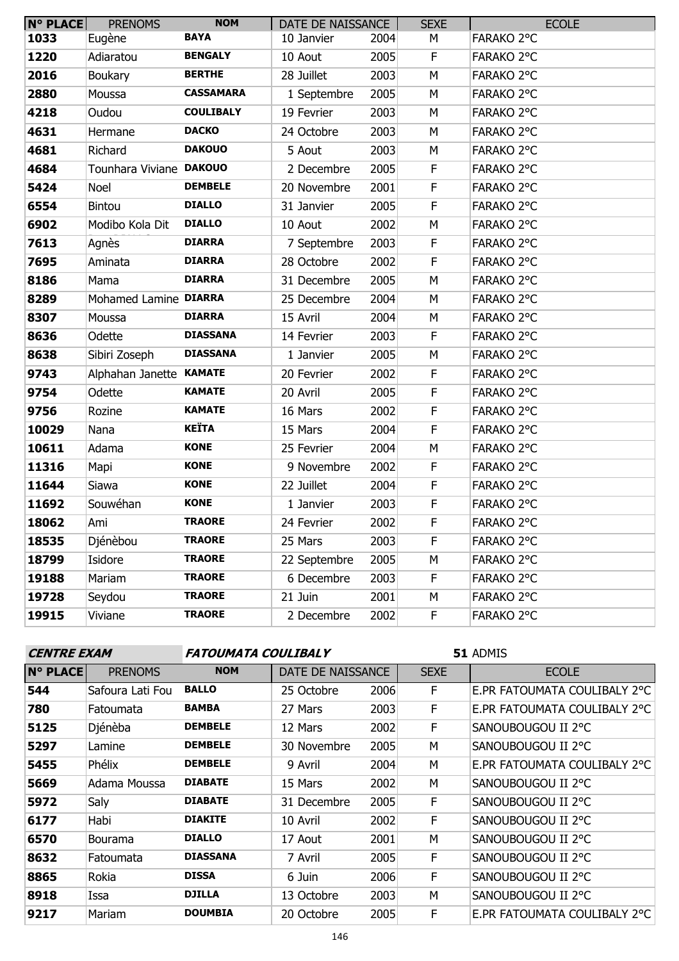| <b>N° PLACE</b> | <b>PRENOMS</b>          | <b>NOM</b>       | DATE DE NAISSANCE |      | <b>SEXE</b> | <b>ECOLE</b> |
|-----------------|-------------------------|------------------|-------------------|------|-------------|--------------|
| 1033            | Eugène                  | <b>BAYA</b>      | 10 Janvier        | 2004 | М           | FARAKO 2°C   |
| 1220            | Adiaratou               | <b>BENGALY</b>   | 10 Aout           | 2005 | F           | FARAKO 2°C   |
| 2016            | Boukary                 | <b>BERTHE</b>    | 28 Juillet        | 2003 | M           | FARAKO 2°C   |
| 2880            | Moussa                  | <b>CASSAMARA</b> | 1 Septembre       | 2005 | M           | FARAKO 2°C   |
| 4218            | Oudou                   | <b>COULIBALY</b> | 19 Fevrier        | 2003 | М           | FARAKO 2°C   |
| 4631            | Hermane                 | <b>DACKO</b>     | 24 Octobre        | 2003 | М           | FARAKO 2°C   |
| 4681            | Richard                 | <b>DAKOUO</b>    | 5 Aout            | 2003 | M           | FARAKO 2°C   |
| 4684            | Tounhara Viviane DAKOUO |                  | 2 Decembre        | 2005 | $\mathsf F$ | FARAKO 2°C   |
| 5424            | Noel                    | <b>DEMBELE</b>   | 20 Novembre       | 2001 | F           | FARAKO 2°C   |
| 6554            | <b>Bintou</b>           | <b>DIALLO</b>    | 31 Janvier        | 2005 | F           | FARAKO 2°C   |
| 6902            | Modibo Kola Dit         | <b>DIALLO</b>    | 10 Aout           | 2002 | M           | FARAKO 2°C   |
| 7613            | Agnès                   | <b>DIARRA</b>    | 7 Septembre       | 2003 | F           | FARAKO 2°C   |
| 7695            | Aminata                 | <b>DIARRA</b>    | 28 Octobre        | 2002 | F           | FARAKO 2°C   |
| 8186            | Mama                    | <b>DIARRA</b>    | 31 Decembre       | 2005 | M           | FARAKO 2°C   |
| 8289            | Mohamed Lamine DIARRA   |                  | 25 Decembre       | 2004 | M           | FARAKO 2°C   |
| 8307            | Moussa                  | <b>DIARRA</b>    | 15 Avril          | 2004 | M           | FARAKO 2°C   |
| 8636            | Odette                  | <b>DIASSANA</b>  | 14 Fevrier        | 2003 | F           | FARAKO 2°C   |
| 8638            | Sibiri Zoseph           | <b>DIASSANA</b>  | 1 Janvier         | 2005 | M           | FARAKO 2°C   |
| 9743            | Alphahan Janette KAMATE |                  | 20 Fevrier        | 2002 | F           | FARAKO 2°C   |
| 9754            | Odette                  | <b>KAMATE</b>    | 20 Avril          | 2005 | F           | FARAKO 2°C   |
| 9756            | Rozine                  | <b>KAMATE</b>    | 16 Mars           | 2002 | $\mathsf F$ | FARAKO 2°C   |
| 10029           | Nana                    | <b>KEÏTA</b>     | 15 Mars           | 2004 | $\mathsf F$ | FARAKO 2°C   |
| 10611           | Adama                   | <b>KONE</b>      | 25 Fevrier        | 2004 | M           | FARAKO 2°C   |
| 11316           | Mapi                    | <b>KONE</b>      | 9 Novembre        | 2002 | F           | FARAKO 2°C   |
| 11644           | Siawa                   | <b>KONE</b>      | 22 Juillet        | 2004 | $\mathsf F$ | FARAKO 2°C   |
| 11692           | Souwéhan                | <b>KONE</b>      | 1 Janvier         | 2003 | F           | FARAKO 2°C   |
| 18062           | Ami                     | <b>TRAORE</b>    | 24 Fevrier        | 2002 | F           | FARAKO 2°C   |
| 18535           | Djénèbou                | <b>TRAORE</b>    | 25 Mars           | 2003 | F           | FARAKO 2°C   |
| 18799           | Isidore                 | <b>TRAORE</b>    | 22 Septembre      | 2005 | М           | FARAKO 2°C   |
| 19188           | Mariam                  | <b>TRAORE</b>    | 6 Decembre        | 2003 | F           | FARAKO 2°C   |
| 19728           | Seydou                  | <b>TRAORE</b>    | 21 Juin           | 2001 | м           | FARAKO 2°C   |
| 19915           | Viviane                 | <b>TRAORE</b>    | 2 Decembre        | 2002 | F           | FARAKO 2°C   |

# **CENTRE EXAM FATOUMATA COULIBALY**

| <b>N° PLACE</b> | <b>PRENOMS</b>   | <b>NOM</b>      | DATE DE NAISSANCE |      | <b>SEXE</b> | <b>ECOLE</b>                 |  |
|-----------------|------------------|-----------------|-------------------|------|-------------|------------------------------|--|
| 544             | Safoura Lati Fou | <b>BALLO</b>    | 25 Octobre        | 2006 | F.          | E.PR FATOUMATA COULIBALY 2°C |  |
| 780             | Fatoumata        | <b>BAMBA</b>    | 27 Mars           | 2003 | F           | E.PR FATOUMATA COULIBALY 2°C |  |
| 5125            | Djénèba          | <b>DEMBELE</b>  | 12 Mars           | 2002 | F           | SANOUBOUGOU II 2°C           |  |
| 5297            | Lamine           | <b>DEMBELE</b>  | 30 Novembre       | 2005 | M           | SANOUBOUGOU II 2°C           |  |
| 5455            | Phélix           | <b>DEMBELE</b>  | 9 Avril           | 2004 | M           | E.PR FATOUMATA COULIBALY 2°C |  |
| 5669            | Adama Moussa     | <b>DIABATE</b>  | 15 Mars           | 2002 | M           | SANOUBOUGOU II 2°C           |  |
| 5972            | Saly             | <b>DIABATE</b>  | 31 Decembre       | 2005 | F           | SANOUBOUGOU II 2°C           |  |
| 6177            | Habi             | <b>DIAKITE</b>  | 10 Avril          | 2002 | F           | SANOUBOUGOU II 2°C           |  |
| 6570            | <b>Bourama</b>   | <b>DIALLO</b>   | 17 Aout           | 2001 | M           | SANOUBOUGOU II 2°C           |  |
| 8632            | Fatoumata        | <b>DIASSANA</b> | 7 Avril           | 2005 | F           | SANOUBOUGOU II 2°C           |  |
| 8865            | Rokia            | <b>DISSA</b>    | 6 Juin            | 2006 | F           | SANOUBOUGOU II 2°C           |  |
| 8918            | Issa             | <b>DJILLA</b>   | 13 Octobre        | 2003 | M           | SANOUBOUGOU II 2°C           |  |
| 9217            | Mariam           | <b>DOUMBIA</b>  | 20 Octobre        | 2005 | F           | E.PR FATOUMATA COULIBALY 2°C |  |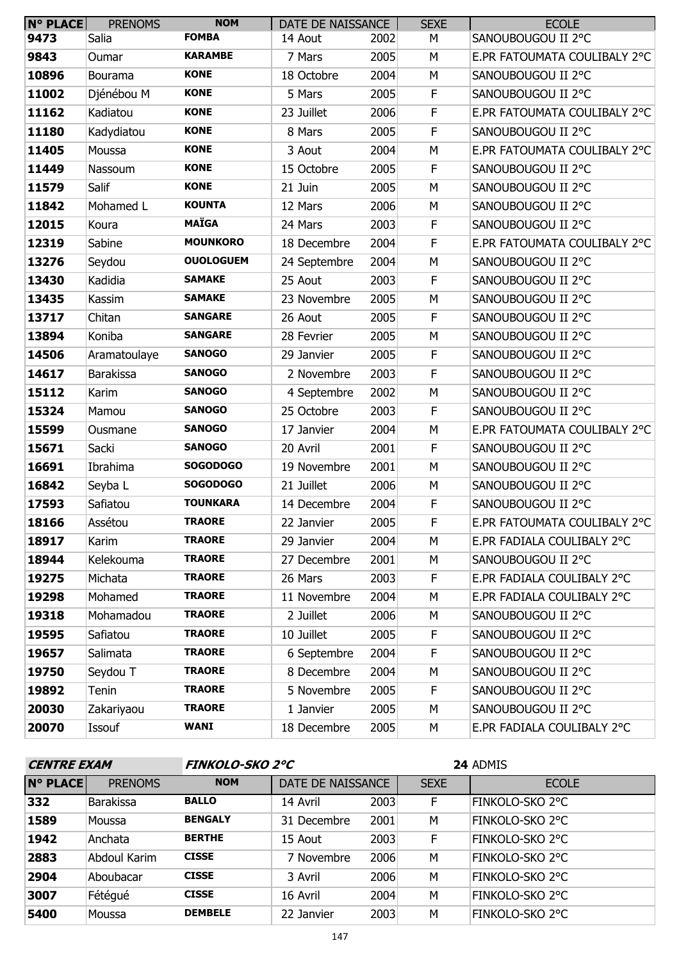| <b>N° PLACE</b> | <b>PRENOMS</b>   | <b>NOM</b>       | DATE DE NAISSANCE |      | <b>SEXE</b> | <b>ECOLE</b>                 |
|-----------------|------------------|------------------|-------------------|------|-------------|------------------------------|
| 9473            | Salia            | <b>FOMBA</b>     | 14 Aout           | 2002 | М           | SANOUBOUGOU II 2°C           |
| 9843            | Oumar            | <b>KARAMBE</b>   | 7 Mars            | 2005 | М           | E.PR FATOUMATA COULIBALY 2°C |
| 10896           | Bourama          | <b>KONE</b>      | 18 Octobre        | 2004 | M           | SANOUBOUGOU II 2°C           |
| 11002           | Djénébou M       | <b>KONE</b>      | 5 Mars            | 2005 | F           | SANOUBOUGOU II 2°C           |
| 11162           | Kadiatou         | <b>KONE</b>      | 23 Juillet        | 2006 | F           | E.PR FATOUMATA COULIBALY 2°C |
| 11180           | Kadydiatou       | <b>KONE</b>      | 8 Mars            | 2005 | F           | SANOUBOUGOU II 2°C           |
| 11405           | Moussa           | <b>KONE</b>      | 3 Aout            | 2004 | M           | E.PR FATOUMATA COULIBALY 2°C |
| 11449           | Nassoum          | <b>KONE</b>      | 15 Octobre        | 2005 | F           | SANOUBOUGOU II 2°C           |
| 11579           | Salif            | <b>KONE</b>      | 21 Juin           | 2005 | М           | SANOUBOUGOU II 2°C           |
| 11842           | Mohamed L        | <b>KOUNTA</b>    | 12 Mars           | 2006 | М           | SANOUBOUGOU II 2°C           |
| 12015           | Koura            | <b>MAÏGA</b>     | 24 Mars           | 2003 | F           | SANOUBOUGOU II 2°C           |
| 12319           | Sabine           | <b>MOUNKORO</b>  | 18 Decembre       | 2004 | F           | E.PR FATOUMATA COULIBALY 2°C |
| 13276           | Seydou           | <b>OUOLOGUEM</b> | 24 Septembre      | 2004 | M           | SANOUBOUGOU II 2°C           |
| 13430           | Kadidia          | <b>SAMAKE</b>    | 25 Aout           | 2003 | F           | SANOUBOUGOU II 2°C           |
| 13435           | Kassim           | <b>SAMAKE</b>    | 23 Novembre       | 2005 | M           | SANOUBOUGOU II 2°C           |
| 13717           | Chitan           | <b>SANGARE</b>   | 26 Aout           | 2005 | F           | SANOUBOUGOU II 2°C           |
| 13894           | Koniba           | <b>SANGARE</b>   | 28 Fevrier        | 2005 | М           | SANOUBOUGOU II 2°C           |
| 14506           | Aramatoulaye     | <b>SANOGO</b>    | 29 Janvier        | 2005 | F           | SANOUBOUGOU II 2°C           |
| 14617           | <b>Barakissa</b> | <b>SANOGO</b>    | 2 Novembre        | 2003 | F           | SANOUBOUGOU II 2°C           |
| 15112           | Karim            | <b>SANOGO</b>    | 4 Septembre       | 2002 | М           | SANOUBOUGOU II 2°C           |
| 15324           | Mamou            | <b>SANOGO</b>    | 25 Octobre        | 2003 | F           | SANOUBOUGOU II 2°C           |
| 15599           | Ousmane          | <b>SANOGO</b>    | 17 Janvier        | 2004 | M           | E.PR FATOUMATA COULIBALY 2°C |
| 15671           | Sacki            | <b>SANOGO</b>    | 20 Avril          | 2001 | F           | SANOUBOUGOU II 2°C           |
| 16691           | Ibrahima         | <b>SOGODOGO</b>  | 19 Novembre       | 2001 | M           | SANOUBOUGOU II 2°C           |
| 16842           | Seyba L          | <b>SOGODOGO</b>  | 21 Juillet        | 2006 | М           | SANOUBOUGOU II 2°C           |
| 17593           | Safiatou         | <b>TOUNKARA</b>  | 14 Decembre       | 2004 | F           | SANOUBOUGOU II 2°C           |
| 18166           | Assétou          | <b>TRAORE</b>    | 22 Janvier        | 2005 | F           | E.PR FATOUMATA COULIBALY 2°C |
| 18917           | Karim            | <b>TRAORE</b>    | 29 Janvier        | 2004 | М           | E.PR FADIALA COULIBALY 2°C   |
| 18944           | Kelekouma        | <b>TRAORE</b>    | 27 Decembre       | 2001 | М           | SANOUBOUGOU II 2°C           |
| 19275           | Michata          | <b>TRAORE</b>    | 26 Mars           | 2003 | F           | E.PR FADIALA COULIBALY 2°C   |
| 19298           | Mohamed          | <b>TRAORE</b>    | 11 Novembre       | 2004 | М           | E.PR FADIALA COULIBALY 2°C   |
| 19318           | Mohamadou        | <b>TRAORE</b>    | 2 Juillet         | 2006 | М           | SANOUBOUGOU II 2°C           |
| 19595           | Safiatou         | <b>TRAORE</b>    | 10 Juillet        | 2005 | F.          | SANOUBOUGOU II 2°C           |
| 19657           | Salimata         | <b>TRAORE</b>    | 6 Septembre       | 2004 | F           | SANOUBOUGOU II 2°C           |
| 19750           | Seydou T         | <b>TRAORE</b>    | 8 Decembre        | 2004 | М           | SANOUBOUGOU II 2°C           |
| 19892           | Tenin            | <b>TRAORE</b>    | 5 Novembre        | 2005 | F           | SANOUBOUGOU II 2°C           |
| 20030           | Zakariyaou       | <b>TRAORE</b>    | 1 Janvier         | 2005 | М           | SANOUBOUGOU II 2°C           |
| 20070           | Issouf           | <b>WANI</b>      | 18 Decembre       | 2005 | М           | E.PR FADIALA COULIBALY 2°C   |

| <b>CENTRE EXAM</b> |                  | <b>FINKOLO-SKO 2°C</b> |                   |      | 24 ADMIS    |                 |  |
|--------------------|------------------|------------------------|-------------------|------|-------------|-----------------|--|
| <b>N° PLACE</b>    | <b>PRENOMS</b>   | <b>NOM</b>             | DATE DE NAISSANCE |      | <b>SEXE</b> | <b>ECOLE</b>    |  |
| 332                | <b>Barakissa</b> | <b>BALLO</b>           | 14 Avril          | 2003 | F           | FINKOLO-SKO 2°C |  |
| 1589               | Moussa           | <b>BENGALY</b>         | 31 Decembre       | 2001 | M           | FINKOLO-SKO 2°C |  |
| 1942               | Anchata          | <b>BERTHE</b>          | 15 Aout           | 2003 | F           | FINKOLO-SKO 2°C |  |
| 2883               | Abdoul Karim     | <b>CISSE</b>           | 7 Novembre        | 2006 | M           | FINKOLO-SKO 2°C |  |
| 2904               | Aboubacar        | <b>CISSE</b>           | 3 Avril           | 2006 | M           | FINKOLO-SKO 2°C |  |
| 3007               | Fétégué          | <b>CISSE</b>           | 16 Avril          | 2004 | M           | FINKOLO-SKO 2°C |  |
| 5400               | Moussa           | <b>DEMBELE</b>         | 22 Janvier        | 2003 | M           | FINKOLO-SKO 2°C |  |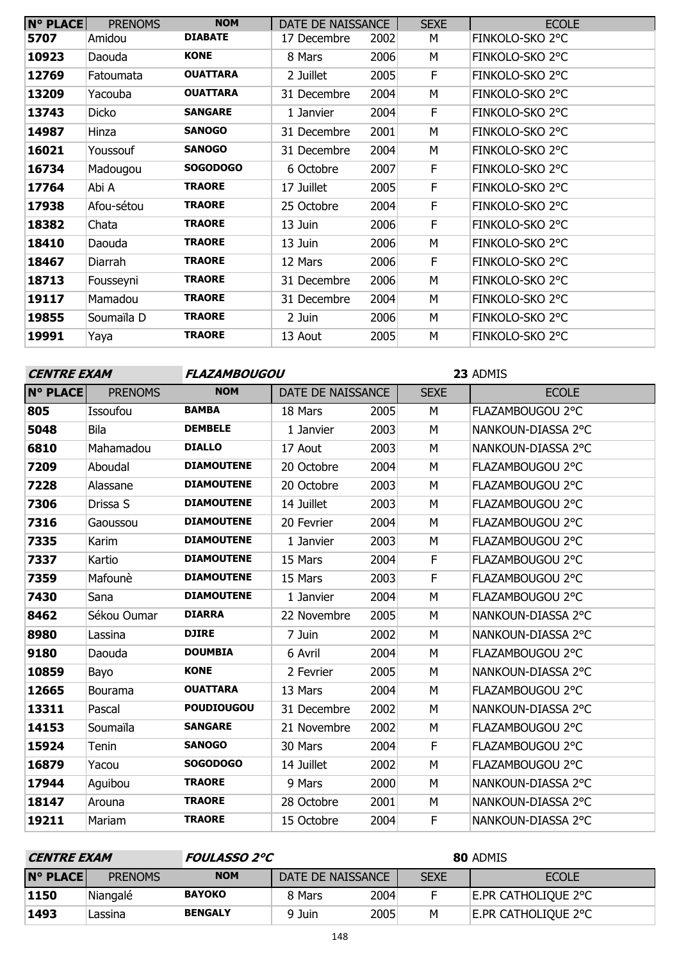| <b>N° PLACE</b> | <b>PRENOMS</b> | <b>NOM</b>      | DATE DE NAISSANCE |      | <b>SEXE</b> | <b>ECOLE</b>    |
|-----------------|----------------|-----------------|-------------------|------|-------------|-----------------|
| 5707            | Amidou         | <b>DIABATE</b>  | 17 Decembre       | 2002 | М           | FINKOLO-SKO 2°C |
| 10923           | Daouda         | <b>KONE</b>     | 8 Mars            | 2006 | М           | FINKOLO-SKO 2°C |
| 12769           | Fatoumata      | <b>OUATTARA</b> | 2 Juillet         | 2005 | F.          | FINKOLO-SKO 2°C |
| 13209           | Yacouba        | <b>OUATTARA</b> | 31 Decembre       | 2004 | М           | FINKOLO-SKO 2°C |
| 13743           | Dicko          | <b>SANGARE</b>  | 1 Janvier         | 2004 | F           | FINKOLO-SKO 2°C |
| 14987           | Hinza          | <b>SANOGO</b>   | 31 Decembre       | 2001 | М           | FINKOLO-SKO 2°C |
| 16021           | Youssouf       | <b>SANOGO</b>   | 31 Decembre       | 2004 | м           | FINKOLO-SKO 2°C |
| 16734           | Madougou       | <b>SOGODOGO</b> | 6 Octobre         | 2007 | F.          | FINKOLO-SKO 2°C |
| 17764           | Abi A          | <b>TRAORE</b>   | 17 Juillet        | 2005 | F           | FINKOLO-SKO 2°C |
| 17938           | Afou-sétou     | <b>TRAORE</b>   | 25 Octobre        | 2004 | F           | FINKOLO-SKO 2°C |
| 18382           | Chata          | <b>TRAORE</b>   | 13 Juin           | 2006 | F           | FINKOLO-SKO 2°C |
| 18410           | Daouda         | <b>TRAORE</b>   | 13 Juin           | 2006 | М           | FINKOLO-SKO 2°C |
| 18467           | Diarrah        | <b>TRAORE</b>   | 12 Mars           | 2006 | F           | FINKOLO-SKO 2°C |
| 18713           | Fousseyni      | <b>TRAORE</b>   | 31 Decembre       | 2006 | М           | FINKOLO-SKO 2°C |
| 19117           | Mamadou        | <b>TRAORE</b>   | 31 Decembre       | 2004 | М           | FINKOLO-SKO 2°C |
| 19855           | Soumaïla D     | <b>TRAORE</b>   | 2 Juin            | 2006 | M           | FINKOLO-SKO 2°C |
| 19991           | Yaya           | <b>TRAORE</b>   | 13 Aout           | 2005 | М           | FINKOLO-SKO 2°C |

| <b>CENTRE EXAM</b> |                | FLAZAMBOUGOU      |                   |      | 23 ADMIS    |                    |  |
|--------------------|----------------|-------------------|-------------------|------|-------------|--------------------|--|
| <b>N° PLACE</b>    | <b>PRENOMS</b> | <b>NOM</b>        | DATE DE NAISSANCE |      | <b>SEXE</b> | <b>ECOLE</b>       |  |
| 805                | Issoufou       | <b>BAMBA</b>      | 18 Mars           | 2005 | M           | FLAZAMBOUGOU 2°C   |  |
| 5048               | Bila           | <b>DEMBELE</b>    | 1 Janvier         | 2003 | M           | NANKOUN-DIASSA 2°C |  |
| 6810               | Mahamadou      | <b>DIALLO</b>     | 17 Aout           | 2003 | M           | NANKOUN-DIASSA 2°C |  |
| 7209               | Aboudal        | <b>DIAMOUTENE</b> | 20 Octobre        | 2004 | M           | FLAZAMBOUGOU 2°C   |  |
| 7228               | Alassane       | <b>DIAMOUTENE</b> | 20 Octobre        | 2003 | M           | FLAZAMBOUGOU 2°C   |  |
| 7306               | Drissa S       | <b>DIAMOUTENE</b> | 14 Juillet        | 2003 | M           | FLAZAMBOUGOU 2°C   |  |
| 7316               | Gaoussou       | <b>DIAMOUTENE</b> | 20 Fevrier        | 2004 | M           | FLAZAMBOUGOU 2°C   |  |
| 7335               | Karim          | <b>DIAMOUTENE</b> | 1 Janvier         | 2003 | M           | FLAZAMBOUGOU 2°C   |  |
| 7337               | Kartio         | <b>DIAMOUTENE</b> | 15 Mars           | 2004 | E           | FLAZAMBOUGOU 2°C   |  |
| 7359               | Mafounè        | <b>DIAMOUTENE</b> | 15 Mars           | 2003 | E           | FLAZAMBOUGOU 2°C   |  |
| 7430               | Sana           | <b>DIAMOUTENE</b> | 1 Janvier         | 2004 | M           | FLAZAMBOUGOU 2°C   |  |
| 8462               | Sékou Oumar    | <b>DIARRA</b>     | 22 Novembre       | 2005 | M           | NANKOUN-DIASSA 2°C |  |
| 8980               | Lassina        | <b>DJIRE</b>      | 7 Juin            | 2002 | M           | NANKOUN-DIASSA 2°C |  |
| 9180               | Daouda         | <b>DOUMBIA</b>    | 6 Avril           | 2004 | M           | FLAZAMBOUGOU 2°C   |  |
| 10859              | Bayo           | <b>KONE</b>       | 2 Fevrier         | 2005 | M           | NANKOUN-DIASSA 2°C |  |
| 12665              | Bourama        | <b>OUATTARA</b>   | 13 Mars           | 2004 | M           | FLAZAMBOUGOU 2°C   |  |
| 13311              | Pascal         | <b>POUDIOUGOU</b> | 31 Decembre       | 2002 | M           | NANKOUN-DIASSA 2°C |  |
| 14153              | Soumaïla       | <b>SANGARE</b>    | 21 Novembre       | 2002 | M           | FLAZAMBOUGOU 2°C   |  |
| 15924              | Tenin          | <b>SANOGO</b>     | 30 Mars           | 2004 | F           | FLAZAMBOUGOU 2°C   |  |
| 16879              | Yacou          | <b>SOGODOGO</b>   | 14 Juillet        | 2002 | M           | FLAZAMBOUGOU 2°C   |  |
| 17944              | Aguibou        | <b>TRAORE</b>     | 9 Mars            | 2000 | M           | NANKOUN-DIASSA 2°C |  |
| 18147              | Arouna         | <b>TRAORE</b>     | 28 Octobre        | 2001 | M           | NANKOUN-DIASSA 2°C |  |
| 19211              | Mariam         | <b>TRAORE</b>     | 15 Octobre        | 2004 | F           | NANKOUN-DIASSA 2°C |  |

| <i><b>CENTRE EXAM</b></i> |                |                | <i>FOULASSO 2°C</i> |      |             | 80 ADMIS                   |
|---------------------------|----------------|----------------|---------------------|------|-------------|----------------------------|
| <b>N° PLACE</b>           | <b>PRENOMS</b> | <b>NOM</b>     | DATE DE NAISSANCE   |      | <b>SEXE</b> | <b>ECOLE</b>               |
| 1150                      | Niangalé       | <b>BAYOKO</b>  | 8 Mars              | 2004 |             | <b>E.PR CATHOLIQUE 2°C</b> |
| 1493                      | Lassina        | <b>BENGALY</b> | 9 Juin              | 2005 | М           | E.PR CATHOLIQUE 2°C        |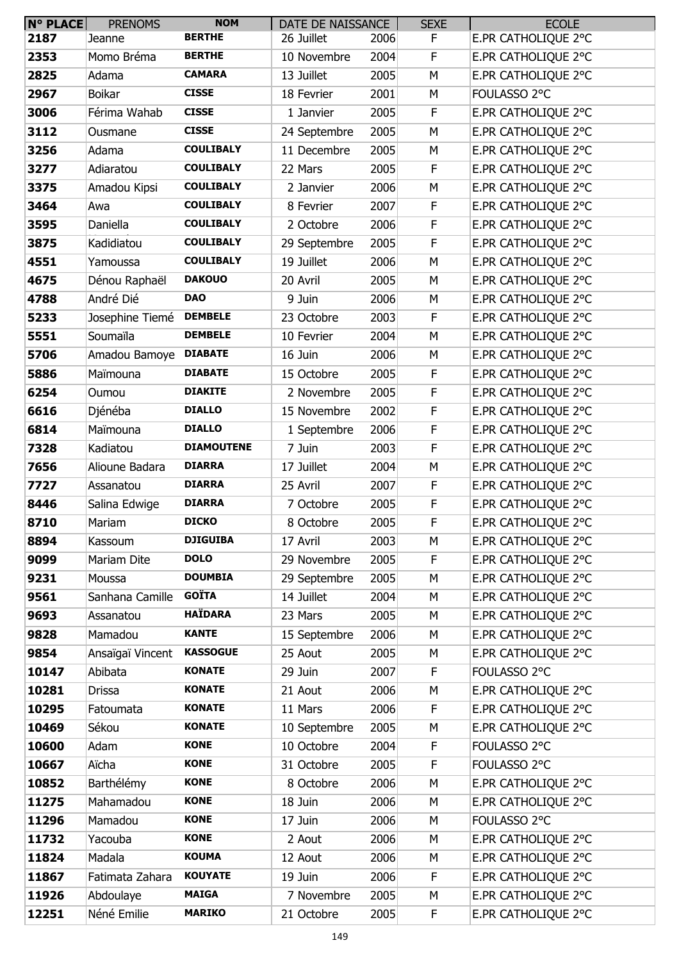| <b>N° PLACE</b> | <b>PRENOMS</b>   | <b>NOM</b>        | DATE DE NAISSANCE |      | <b>SEXE</b> | <b>ECOLE</b>        |
|-----------------|------------------|-------------------|-------------------|------|-------------|---------------------|
| 2187            | Jeanne           | <b>BERTHE</b>     | 26 Juillet        | 2006 | F.          | E.PR CATHOLIQUE 2°C |
| 2353            | Momo Bréma       | <b>BERTHE</b>     | 10 Novembre       | 2004 | F           | E.PR CATHOLIQUE 2°C |
| 2825            | Adama            | <b>CAMARA</b>     | 13 Juillet        | 2005 | M           | E.PR CATHOLIQUE 2°C |
| 2967            | <b>Boikar</b>    | <b>CISSE</b>      | 18 Fevrier        | 2001 | М           | FOULASSO 2°C        |
| 3006            | Férima Wahab     | <b>CISSE</b>      | 1 Janvier         | 2005 | F           | E.PR CATHOLIQUE 2°C |
| 3112            | Ousmane          | <b>CISSE</b>      | 24 Septembre      | 2005 | M           | E.PR CATHOLIQUE 2°C |
| 3256            | Adama            | <b>COULIBALY</b>  | 11 Decembre       | 2005 | M           | E.PR CATHOLIQUE 2°C |
| 3277            | Adiaratou        | <b>COULIBALY</b>  | 22 Mars           | 2005 | F           | E.PR CATHOLIQUE 2°C |
| 3375            | Amadou Kipsi     | <b>COULIBALY</b>  | 2 Janvier         | 2006 | M           | E.PR CATHOLIQUE 2°C |
| 3464            | Awa              | <b>COULIBALY</b>  | 8 Fevrier         | 2007 | F           | E.PR CATHOLIQUE 2°C |
| 3595            | Daniella         | <b>COULIBALY</b>  | 2 Octobre         | 2006 | F           | E.PR CATHOLIQUE 2°C |
| 3875            | Kadidiatou       | <b>COULIBALY</b>  | 29 Septembre      | 2005 | F           | E.PR CATHOLIQUE 2°C |
| 4551            | Yamoussa         | <b>COULIBALY</b>  | 19 Juillet        | 2006 | M           | E.PR CATHOLIQUE 2°C |
| 4675            | Dénou Raphaël    | <b>DAKOUO</b>     | 20 Avril          | 2005 | M           | E.PR CATHOLIQUE 2°C |
| 4788            | André Dié        | <b>DAO</b>        | 9 Juin            | 2006 | М           | E.PR CATHOLIQUE 2°C |
| 5233            | Josephine Tiemé  | <b>DEMBELE</b>    | 23 Octobre        | 2003 | F           | E.PR CATHOLIOUE 2°C |
| 5551            | Soumaïla         | <b>DEMBELE</b>    | 10 Fevrier        | 2004 | M           | E.PR CATHOLIQUE 2°C |
| 5706            | Amadou Bamoye    | <b>DIABATE</b>    | 16 Juin           | 2006 | M           | E.PR CATHOLIQUE 2°C |
| 5886            | Maïmouna         | <b>DIABATE</b>    | 15 Octobre        | 2005 | F           | E.PR CATHOLIQUE 2°C |
| 6254            | Oumou            | <b>DIAKITE</b>    | 2 Novembre        | 2005 | $\mathsf F$ | E.PR CATHOLIQUE 2°C |
| 6616            | Djénéba          | <b>DIALLO</b>     | 15 Novembre       | 2002 | F           | E.PR CATHOLIQUE 2°C |
| 6814            | Maïmouna         | <b>DIALLO</b>     | 1 Septembre       | 2006 | F           | E.PR CATHOLIQUE 2°C |
| 7328            | Kadiatou         | <b>DIAMOUTENE</b> | 7 Juin            | 2003 | F           | E.PR CATHOLIQUE 2°C |
| 7656            | Alioune Badara   | <b>DIARRA</b>     | 17 Juillet        | 2004 | M           | E.PR CATHOLIQUE 2°C |
| 7727            | Assanatou        | <b>DIARRA</b>     | 25 Avril          | 2007 | F           | E.PR CATHOLIQUE 2°C |
| 8446            | Salina Edwige    | <b>DIARRA</b>     | 7 Octobre         | 2005 | F           | E.PR CATHOLIQUE 2°C |
| 8710            | Mariam           | <b>DICKO</b>      | 8 Octobre         | 2005 | F           | E.PR CATHOLIQUE 2°C |
| 8894            | Kassoum          | <b>DJIGUIBA</b>   | 17 Avril          | 2003 | M           | E.PR CATHOLIQUE 2°C |
| 9099            | Mariam Dite      | <b>DOLO</b>       | 29 Novembre       | 2005 | F           | E.PR CATHOLIQUE 2°C |
| 9231            | Moussa           | <b>DOUMBIA</b>    | 29 Septembre      | 2005 | М           | E.PR CATHOLIQUE 2°C |
| 9561            | Sanhana Camille  | <b>GOÏTA</b>      | 14 Juillet        | 2004 | M           | E.PR CATHOLIOUE 2°C |
| 9693            | Assanatou        | <b>HAÏDARA</b>    | 23 Mars           | 2005 | M           | E.PR CATHOLIQUE 2°C |
| 9828            | Mamadou          | <b>KANTE</b>      | 15 Septembre      | 2006 | М           | E.PR CATHOLIQUE 2°C |
| 9854            | Ansaïgaï Vincent | <b>KASSOGUE</b>   | 25 Aout           | 2005 | М           | E.PR CATHOLIQUE 2°C |
| 10147           | Abibata          | <b>KONATE</b>     | 29 Juin           | 2007 | F           | FOULASSO 2°C        |
| 10281           | Drissa           | <b>KONATE</b>     | 21 Aout           | 2006 | M           | E.PR CATHOLIQUE 2°C |
| 10295           | Fatoumata        | <b>KONATE</b>     | 11 Mars           | 2006 | F           | E.PR CATHOLIQUE 2°C |
| 10469           | Sékou            | <b>KONATE</b>     | 10 Septembre      | 2005 | М           | E.PR CATHOLIQUE 2°C |
| 10600           | Adam             | <b>KONE</b>       | 10 Octobre        | 2004 | F           | FOULASSO 2°C        |
| 10667           | Aïcha            | <b>KONE</b>       | 31 Octobre        | 2005 | F           | FOULASSO 2°C        |
| 10852           | Barthélémy       | <b>KONE</b>       | 8 Octobre         | 2006 | M           | E.PR CATHOLIQUE 2°C |
| 11275           | Mahamadou        | <b>KONE</b>       | 18 Juin           | 2006 | M           | E.PR CATHOLIQUE 2°C |
| 11296           | Mamadou          | <b>KONE</b>       | 17 Juin           | 2006 | M           | FOULASSO 2°C        |
| 11732           | Yacouba          | <b>KONE</b>       | 2 Aout            | 2006 | М           | E.PR CATHOLIQUE 2°C |
| 11824           | Madala           | <b>KOUMA</b>      | 12 Aout           | 2006 | M           | E.PR CATHOLIQUE 2°C |
| 11867           | Fatimata Zahara  | <b>KOUYATE</b>    | 19 Juin           | 2006 | F           | E.PR CATHOLIQUE 2°C |
| 11926           | Abdoulaye        | <b>MAIGA</b>      | 7 Novembre        | 2005 | М           | E.PR CATHOLIQUE 2°C |
| 12251           | Néné Emilie      | <b>MARIKO</b>     | 21 Octobre        | 2005 | F           | E.PR CATHOLIQUE 2°C |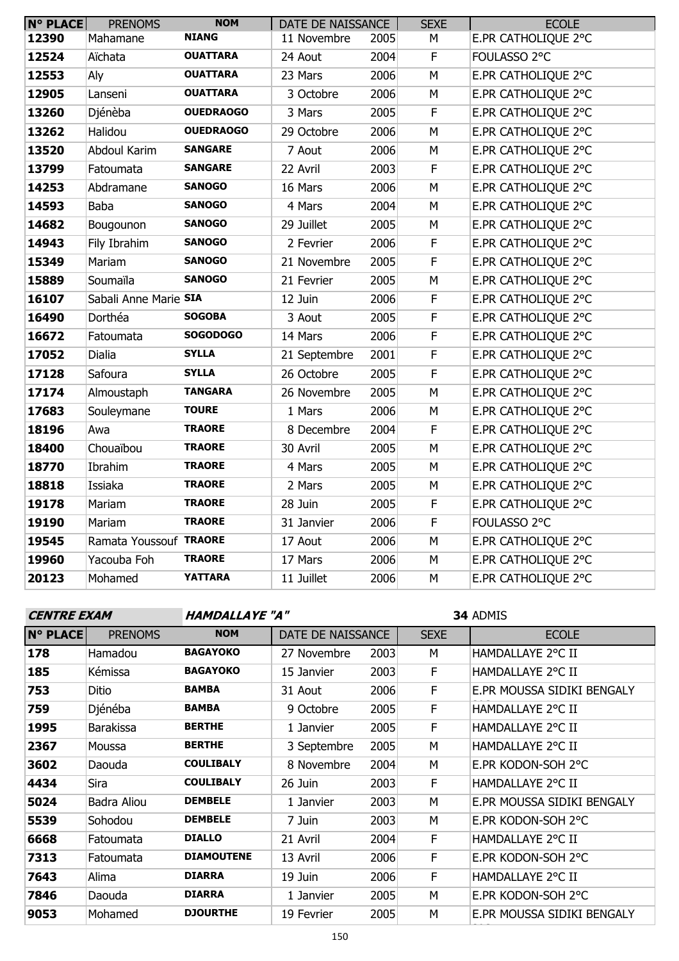| <b>N° PLACE</b> | <b>PRENOMS</b>         | <b>NOM</b>       | DATE DE NAISSANCE |      | <b>SEXE</b> | <b>ECOLE</b>        |
|-----------------|------------------------|------------------|-------------------|------|-------------|---------------------|
| 12390           | Mahamane               | <b>NIANG</b>     | 11 Novembre       | 2005 | М           | E.PR CATHOLIQUE 2°C |
| 12524           | Aïchata                | <b>OUATTARA</b>  | 24 Aout           | 2004 | F           | FOULASSO 2°C        |
| 12553           | Aly                    | <b>OUATTARA</b>  | 23 Mars           | 2006 | M           | E.PR CATHOLIQUE 2°C |
| 12905           | Lanseni                | <b>OUATTARA</b>  | 3 Octobre         | 2006 | M           | E.PR CATHOLIQUE 2°C |
| 13260           | Djénèba                | <b>OUEDRAOGO</b> | 3 Mars            | 2005 | F           | E.PR CATHOLIQUE 2°C |
| 13262           | Halidou                | <b>OUEDRAOGO</b> | 29 Octobre        | 2006 | M           | E.PR CATHOLIQUE 2°C |
| 13520           | Abdoul Karim           | <b>SANGARE</b>   | 7 Aout            | 2006 | М           | E.PR CATHOLIQUE 2°C |
| 13799           | Fatoumata              | <b>SANGARE</b>   | 22 Avril          | 2003 | F           | E.PR CATHOLIQUE 2°C |
| 14253           | Abdramane              | <b>SANOGO</b>    | 16 Mars           | 2006 | M           | E.PR CATHOLIQUE 2°C |
| 14593           | <b>Baba</b>            | <b>SANOGO</b>    | 4 Mars            | 2004 | M           | E.PR CATHOLIQUE 2°C |
| 14682           | Bougounon              | <b>SANOGO</b>    | 29 Juillet        | 2005 | M           | E.PR CATHOLIQUE 2°C |
| 14943           | Fily Ibrahim           | <b>SANOGO</b>    | 2 Fevrier         | 2006 | F           | E.PR CATHOLIQUE 2°C |
| 15349           | Mariam                 | <b>SANOGO</b>    | 21 Novembre       | 2005 | F           | E.PR CATHOLIQUE 2°C |
| 15889           | Soumaïla               | <b>SANOGO</b>    | 21 Fevrier        | 2005 | M           | E.PR CATHOLIQUE 2°C |
| 16107           | Sabali Anne Marie SIA  |                  | 12 Juin           | 2006 | $\mathsf F$ | E.PR CATHOLIQUE 2°C |
| 16490           | Dorthéa                | <b>SOGOBA</b>    | 3 Aout            | 2005 | F           | E.PR CATHOLIQUE 2°C |
| 16672           | Fatoumata              | <b>SOGODOGO</b>  | 14 Mars           | 2006 | F           | E.PR CATHOLIQUE 2°C |
| 17052           | Dialia                 | <b>SYLLA</b>     | 21 Septembre      | 2001 | F           | E.PR CATHOLIQUE 2°C |
| 17128           | Safoura                | <b>SYLLA</b>     | 26 Octobre        | 2005 | F           | E.PR CATHOLIQUE 2°C |
| 17174           | Almoustaph             | <b>TANGARA</b>   | 26 Novembre       | 2005 | M           | E.PR CATHOLIQUE 2°C |
| 17683           | Souleymane             | <b>TOURE</b>     | 1 Mars            | 2006 | M           | E.PR CATHOLIQUE 2°C |
| 18196           | Awa                    | <b>TRAORE</b>    | 8 Decembre        | 2004 | F           | E.PR CATHOLIQUE 2°C |
| 18400           | Chouaïbou              | <b>TRAORE</b>    | 30 Avril          | 2005 | M           | E.PR CATHOLIQUE 2°C |
| 18770           | Ibrahim                | <b>TRAORE</b>    | 4 Mars            | 2005 | M           | E.PR CATHOLIQUE 2°C |
| 18818           | Issiaka                | <b>TRAORE</b>    | 2 Mars            | 2005 | M           | E.PR CATHOLIQUE 2°C |
| 19178           | Mariam                 | <b>TRAORE</b>    | 28 Juin           | 2005 | F           | E.PR CATHOLIQUE 2°C |
| 19190           | Mariam                 | <b>TRAORE</b>    | 31 Janvier        | 2006 | F           | FOULASSO 2°C        |
| 19545           | Ramata Youssouf TRAORE |                  | 17 Aout           | 2006 | M           | E.PR CATHOLIQUE 2°C |
| 19960           | Yacouba Foh            | <b>TRAORE</b>    | 17 Mars           | 2006 | M           | E.PR CATHOLIQUE 2°C |
| 20123           | Mohamed                | <b>YATTARA</b>   | 11 Juillet        | 2006 | M           | E.PR CATHOLIQUE 2°C |
|                 |                        |                  |                   |      |             |                     |

**CENTRE EXAM HAMDALLAYE "A"**

ADMIS

2°C

| <b>N° PLACE</b> | <b>PRENOMS</b>   | <b>NOM</b>        | DATE DE NAISSANCE |      | <b>SEXE</b> | <b>ECOLE</b>               |
|-----------------|------------------|-------------------|-------------------|------|-------------|----------------------------|
| 178             | Hamadou          | <b>BAGAYOKO</b>   | 27 Novembre       | 2003 | M           | HAMDALLAYE 2°C II          |
| 185             | Kémissa          | <b>BAGAYOKO</b>   | 15 Janvier        | 2003 | F           | HAMDALLAYE 2°C II          |
| 753             | Ditio            | <b>BAMBA</b>      | 31 Aout           | 2006 | F           | E.PR MOUSSA SIDIKI BENGALY |
| 759             | Djénéba          | <b>BAMBA</b>      | 9 Octobre         | 2005 | F           | HAMDALLAYE 2°C II          |
| 1995            | <b>Barakissa</b> | <b>BERTHE</b>     | 1 Janvier         | 2005 | F.          | HAMDALLAYE 2°C II          |
| 2367            | Moussa           | <b>BERTHE</b>     | 3 Septembre       | 2005 | M           | HAMDALLAYE 2°C II          |
| 3602            | Daouda           | <b>COULIBALY</b>  | 8 Novembre        | 2004 | M           | E.PR KODON-SOH 2°C         |
| 4434            | Sira             | <b>COULIBALY</b>  | 26 Juin           | 2003 | F           | HAMDALLAYE 2°C II          |
| 5024            | Badra Aliou      | <b>DEMBELE</b>    | 1 Janvier         | 2003 | M           | E.PR MOUSSA SIDIKI BENGALY |
| 5539            | Sohodou          | <b>DEMBELE</b>    | 7 Juin            | 2003 | М           | E.PR KODON-SOH 2°C         |
| 6668            | Fatoumata        | <b>DIALLO</b>     | 21 Avril          | 2004 | F           | HAMDALLAYE 2°C II          |
| 7313            | Fatoumata        | <b>DIAMOUTENE</b> | 13 Avril          | 2006 | F           | E.PR KODON-SOH 2°C         |
| 7643            | Alima            | <b>DIARRA</b>     | 19 Juin           | 2006 | F           | HAMDALLAYE 2°C II          |
| 7846            | Daouda           | <b>DIARRA</b>     | 1 Janvier         | 2005 | M           | E.PR KODON-SOH 2°C         |
| 9053            | Mohamed          | <b>DJOURTHE</b>   | 19 Fevrier        | 2005 | M           | E.PR MOUSSA SIDIKI BENGALY |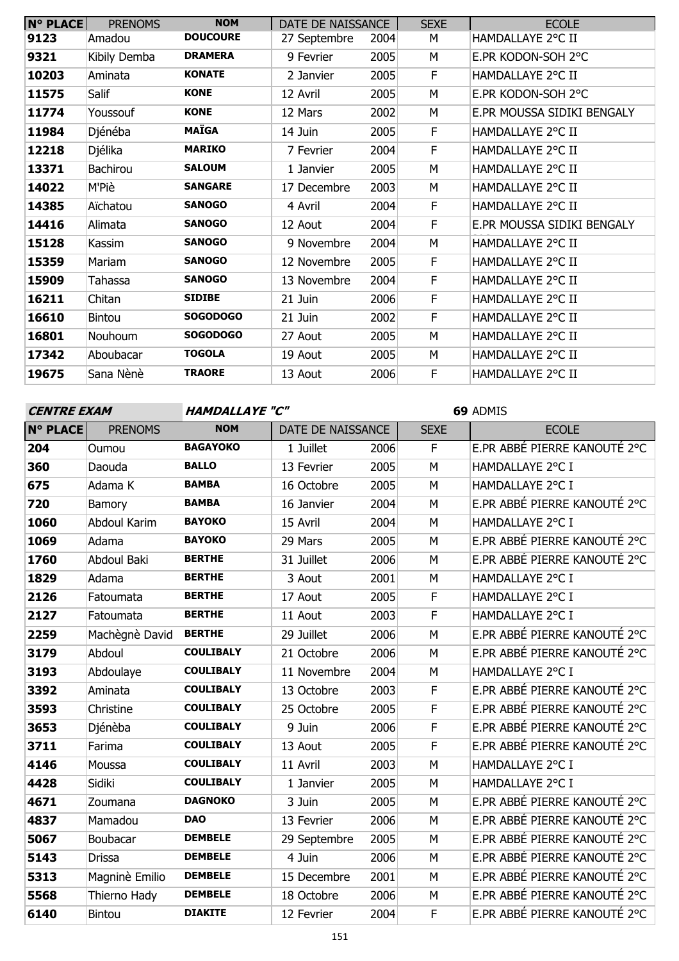| <b>N° PLACE</b> | <b>PRENOMS</b> | <b>NOM</b>      | DATE DE NAISSANCE |      | <b>SEXE</b> | <b>ECOLE</b>               |
|-----------------|----------------|-----------------|-------------------|------|-------------|----------------------------|
| 9123            | Amadou         | <b>DOUCOURE</b> | 27 Septembre      | 2004 | М           | HAMDALLAYE 2°C II          |
| 9321            | Kibily Demba   | <b>DRAMERA</b>  | 9 Fevrier         | 2005 | М           | E.PR KODON-SOH 2°C         |
| 10203           | Aminata        | <b>KONATE</b>   | 2 Janvier         | 2005 | F           | HAMDALLAYE 2°C II          |
| 11575           | <b>Salif</b>   | <b>KONE</b>     | 12 Avril          | 2005 | M           | E.PR KODON-SOH 2°C         |
| 11774           | Youssouf       | <b>KONE</b>     | 12 Mars           | 2002 | М           | E.PR MOUSSA SIDIKI BENGALY |
| 11984           | Djénéba        | <b>MAÏGA</b>    | 14 Juin           | 2005 | F           | HAMDALLAYE 2°C II          |
| 12218           | Djélika        | <b>MARIKO</b>   | 7 Fevrier         | 2004 | F           | HAMDALLAYE 2°C II          |
| 13371           | Bachirou       | <b>SALOUM</b>   | 1 Janvier         | 2005 | M           | HAMDALLAYE 2°C II          |
| 14022           | M'Piè          | <b>SANGARE</b>  | 17 Decembre       | 2003 | М           | HAMDALLAYE 2°C II          |
| 14385           | Aïchatou       | <b>SANOGO</b>   | 4 Avril           | 2004 | F           | HAMDALLAYE 2°C II          |
| 14416           | Alimata        | <b>SANOGO</b>   | 12 Aout           | 2004 | F           | E.PR MOUSSA SIDIKI BENGALY |
| 15128           | Kassim         | <b>SANOGO</b>   | 9 Novembre        | 2004 | М           | HAMDALLAYE 2°C II          |
| 15359           | Mariam         | <b>SANOGO</b>   | 12 Novembre       | 2005 | F           | HAMDALLAYE 2°C II          |
| 15909           | Tahassa        | <b>SANOGO</b>   | 13 Novembre       | 2004 | F           | HAMDALLAYE 2°C II          |
| 16211           | Chitan         | <b>SIDIBE</b>   | 21 Juin           | 2006 | F           | HAMDALLAYE 2°C II          |
| 16610           | <b>Bintou</b>  | <b>SOGODOGO</b> | 21 Juin           | 2002 | F           | HAMDALLAYE 2°C II          |
| 16801           | Nouhoum        | <b>SOGODOGO</b> | 27 Aout           | 2005 | м           | HAMDALLAYE 2°C II          |
| 17342           | Aboubacar      | <b>TOGOLA</b>   | 19 Aout           | 2005 | М           | HAMDALLAYE 2°C II          |
| 19675           | Sana Nènè      | <b>TRAORE</b>   | 13 Aout           | 2006 | F           | HAMDALLAYE 2°C II          |

**HAMDALLAYE "C"** 

| <b>BAGAYOKO</b><br>E.PR ABBÉ PIERRE KANOUTÉ 2°C<br>1 Juillet<br>F<br>Oumou<br>2006<br><b>BALLO</b><br>2005<br>HAMDALLAYE 2°C I<br>360<br>13 Fevrier<br>Daouda<br>M<br><b>BAMBA</b><br>2005<br>HAMDALLAYE 2°C I<br>Adama K<br>16 Octobre<br>M<br>E.PR ABBÉ PIERRE KANOUTÉ 2°C<br><b>BAMBA</b><br>2004<br>720<br>16 Janvier<br>M<br>Bamory<br><b>BAYOKO</b><br>HAMDALLAYE 2°C I<br>1060<br>Abdoul Karim<br>2004<br>15 Avril<br>M<br>E.PR ABBÉ PIERRE KANOUTÉ 2°C<br>1069<br><b>BAYOKO</b><br>2005<br>Adama<br>29 Mars<br>М<br><b>BERTHE</b><br>E.PR ABBÉ PIERRE KANOUTÉ 2°C<br>1760<br>Abdoul Baki<br>31 Juillet<br>2006<br>M<br><b>BERTHE</b><br>HAMDALLAYE 2°C I<br>1829<br>2001<br>Adama<br>3 Aout<br>M<br><b>BERTHE</b><br>2005<br>HAMDALLAYE 2°C I<br>2126<br>17 Aout<br>F<br>Fatoumata<br>2127<br><b>BERTHE</b><br>2003<br>HAMDALLAYE 2°C I<br>11 Aout<br>F<br>Fatoumata<br><b>BERTHE</b><br>E.PR ABBÉ PIERRE KANOUTÉ 2°C<br>2259<br>Machègnè David<br>29 Juillet<br>2006<br>М<br><b>COULIBALY</b><br>E.PR ABBÉ PIERRE KANOUTÉ 2°C<br>3179<br>2006<br>Abdoul<br>21 Octobre<br>М<br><b>COULIBALY</b><br>2004<br>HAMDALLAYE 2°C I<br>3193<br>11 Novembre<br>Abdoulaye<br>М<br>E.PR ABBÉ PIERRE KANOUTÉ 2°C<br><b>COULIBALY</b><br>3392<br>2003<br>Aminata<br>13 Octobre<br>F<br>E.PR ABBÉ PIERRE KANOUTÉ 2°C<br><b>COULIBALY</b><br>3593<br>2005<br>Christine<br>25 Octobre<br>F<br><b>COULIBALY</b><br>E.PR ABBÉ PIERRE KANOUTÉ 2°C<br>3653<br>9 Juin<br>2006<br>$\mathsf F$<br>Djénèba<br>E.PR ABBÉ PIERRE KANOUTÉ 2°C<br><b>COULIBALY</b><br>F<br>3711<br>2005<br>Farima<br>13 Aout<br><b>COULIBALY</b><br>2003<br>HAMDALLAYE 2°C I<br>4146<br>11 Avril<br>M<br>Moussa<br><b>COULIBALY</b><br>2005<br>HAMDALLAYE 2°C I<br>Sidiki<br>1 Janvier<br>M<br><b>DAGNOKO</b><br>E.PR ABBÉ PIERRE KANOUTÉ 2°C<br>2005<br>4671<br>3 Juin<br>Zoumana<br>M<br>E.PR ABBÉ PIERRE KANOUTÉ 2°C<br><b>DAO</b><br>2006<br>Mamadou<br>13 Fevrier<br>М<br><b>DEMBELE</b><br>E.PR ABBÉ PIERRE KANOUTÉ 2°C<br>5067<br>2005<br>29 Septembre<br>M<br>Boubacar<br>E.PR ABBÉ PIERRE KANOUTÉ 2°C<br><b>DEMBELE</b><br>2006<br>5143<br>4 Juin<br>Drissa<br>М<br><b>DEMBELE</b><br>E.PR ABBÉ PIERRE KANOUTÉ 2°C<br>5313<br>Magninè Emilio<br>2001<br>15 Decembre<br>М<br><b>DEMBELE</b><br>E.PR ABBÉ PIERRE KANOUTÉ 2°C<br>5568<br>2006<br>Thierno Hady<br>18 Octobre<br>М | <b>N° PLACE</b> | <b>PRENOMS</b> | <b>NOM</b>     | DATE DE NAISSANCE |      | <b>SEXE</b> | <b>ECOLE</b>                 |
|----------------------------------------------------------------------------------------------------------------------------------------------------------------------------------------------------------------------------------------------------------------------------------------------------------------------------------------------------------------------------------------------------------------------------------------------------------------------------------------------------------------------------------------------------------------------------------------------------------------------------------------------------------------------------------------------------------------------------------------------------------------------------------------------------------------------------------------------------------------------------------------------------------------------------------------------------------------------------------------------------------------------------------------------------------------------------------------------------------------------------------------------------------------------------------------------------------------------------------------------------------------------------------------------------------------------------------------------------------------------------------------------------------------------------------------------------------------------------------------------------------------------------------------------------------------------------------------------------------------------------------------------------------------------------------------------------------------------------------------------------------------------------------------------------------------------------------------------------------------------------------------------------------------------------------------------------------------------------------------------------------------------------------------------------------------------------------------------------------------------------------------------------------------------------------------------------------------------------------------------------------------------------------------------------------------------------------------------------|-----------------|----------------|----------------|-------------------|------|-------------|------------------------------|
|                                                                                                                                                                                                                                                                                                                                                                                                                                                                                                                                                                                                                                                                                                                                                                                                                                                                                                                                                                                                                                                                                                                                                                                                                                                                                                                                                                                                                                                                                                                                                                                                                                                                                                                                                                                                                                                                                                                                                                                                                                                                                                                                                                                                                                                                                                                                                    | 204             |                |                |                   |      |             |                              |
|                                                                                                                                                                                                                                                                                                                                                                                                                                                                                                                                                                                                                                                                                                                                                                                                                                                                                                                                                                                                                                                                                                                                                                                                                                                                                                                                                                                                                                                                                                                                                                                                                                                                                                                                                                                                                                                                                                                                                                                                                                                                                                                                                                                                                                                                                                                                                    |                 |                |                |                   |      |             |                              |
|                                                                                                                                                                                                                                                                                                                                                                                                                                                                                                                                                                                                                                                                                                                                                                                                                                                                                                                                                                                                                                                                                                                                                                                                                                                                                                                                                                                                                                                                                                                                                                                                                                                                                                                                                                                                                                                                                                                                                                                                                                                                                                                                                                                                                                                                                                                                                    | 675             |                |                |                   |      |             |                              |
|                                                                                                                                                                                                                                                                                                                                                                                                                                                                                                                                                                                                                                                                                                                                                                                                                                                                                                                                                                                                                                                                                                                                                                                                                                                                                                                                                                                                                                                                                                                                                                                                                                                                                                                                                                                                                                                                                                                                                                                                                                                                                                                                                                                                                                                                                                                                                    |                 |                |                |                   |      |             |                              |
|                                                                                                                                                                                                                                                                                                                                                                                                                                                                                                                                                                                                                                                                                                                                                                                                                                                                                                                                                                                                                                                                                                                                                                                                                                                                                                                                                                                                                                                                                                                                                                                                                                                                                                                                                                                                                                                                                                                                                                                                                                                                                                                                                                                                                                                                                                                                                    |                 |                |                |                   |      |             |                              |
|                                                                                                                                                                                                                                                                                                                                                                                                                                                                                                                                                                                                                                                                                                                                                                                                                                                                                                                                                                                                                                                                                                                                                                                                                                                                                                                                                                                                                                                                                                                                                                                                                                                                                                                                                                                                                                                                                                                                                                                                                                                                                                                                                                                                                                                                                                                                                    |                 |                |                |                   |      |             |                              |
|                                                                                                                                                                                                                                                                                                                                                                                                                                                                                                                                                                                                                                                                                                                                                                                                                                                                                                                                                                                                                                                                                                                                                                                                                                                                                                                                                                                                                                                                                                                                                                                                                                                                                                                                                                                                                                                                                                                                                                                                                                                                                                                                                                                                                                                                                                                                                    |                 |                |                |                   |      |             |                              |
|                                                                                                                                                                                                                                                                                                                                                                                                                                                                                                                                                                                                                                                                                                                                                                                                                                                                                                                                                                                                                                                                                                                                                                                                                                                                                                                                                                                                                                                                                                                                                                                                                                                                                                                                                                                                                                                                                                                                                                                                                                                                                                                                                                                                                                                                                                                                                    |                 |                |                |                   |      |             |                              |
|                                                                                                                                                                                                                                                                                                                                                                                                                                                                                                                                                                                                                                                                                                                                                                                                                                                                                                                                                                                                                                                                                                                                                                                                                                                                                                                                                                                                                                                                                                                                                                                                                                                                                                                                                                                                                                                                                                                                                                                                                                                                                                                                                                                                                                                                                                                                                    |                 |                |                |                   |      |             |                              |
|                                                                                                                                                                                                                                                                                                                                                                                                                                                                                                                                                                                                                                                                                                                                                                                                                                                                                                                                                                                                                                                                                                                                                                                                                                                                                                                                                                                                                                                                                                                                                                                                                                                                                                                                                                                                                                                                                                                                                                                                                                                                                                                                                                                                                                                                                                                                                    |                 |                |                |                   |      |             |                              |
|                                                                                                                                                                                                                                                                                                                                                                                                                                                                                                                                                                                                                                                                                                                                                                                                                                                                                                                                                                                                                                                                                                                                                                                                                                                                                                                                                                                                                                                                                                                                                                                                                                                                                                                                                                                                                                                                                                                                                                                                                                                                                                                                                                                                                                                                                                                                                    |                 |                |                |                   |      |             |                              |
|                                                                                                                                                                                                                                                                                                                                                                                                                                                                                                                                                                                                                                                                                                                                                                                                                                                                                                                                                                                                                                                                                                                                                                                                                                                                                                                                                                                                                                                                                                                                                                                                                                                                                                                                                                                                                                                                                                                                                                                                                                                                                                                                                                                                                                                                                                                                                    |                 |                |                |                   |      |             |                              |
|                                                                                                                                                                                                                                                                                                                                                                                                                                                                                                                                                                                                                                                                                                                                                                                                                                                                                                                                                                                                                                                                                                                                                                                                                                                                                                                                                                                                                                                                                                                                                                                                                                                                                                                                                                                                                                                                                                                                                                                                                                                                                                                                                                                                                                                                                                                                                    |                 |                |                |                   |      |             |                              |
|                                                                                                                                                                                                                                                                                                                                                                                                                                                                                                                                                                                                                                                                                                                                                                                                                                                                                                                                                                                                                                                                                                                                                                                                                                                                                                                                                                                                                                                                                                                                                                                                                                                                                                                                                                                                                                                                                                                                                                                                                                                                                                                                                                                                                                                                                                                                                    |                 |                |                |                   |      |             |                              |
|                                                                                                                                                                                                                                                                                                                                                                                                                                                                                                                                                                                                                                                                                                                                                                                                                                                                                                                                                                                                                                                                                                                                                                                                                                                                                                                                                                                                                                                                                                                                                                                                                                                                                                                                                                                                                                                                                                                                                                                                                                                                                                                                                                                                                                                                                                                                                    |                 |                |                |                   |      |             |                              |
|                                                                                                                                                                                                                                                                                                                                                                                                                                                                                                                                                                                                                                                                                                                                                                                                                                                                                                                                                                                                                                                                                                                                                                                                                                                                                                                                                                                                                                                                                                                                                                                                                                                                                                                                                                                                                                                                                                                                                                                                                                                                                                                                                                                                                                                                                                                                                    |                 |                |                |                   |      |             |                              |
|                                                                                                                                                                                                                                                                                                                                                                                                                                                                                                                                                                                                                                                                                                                                                                                                                                                                                                                                                                                                                                                                                                                                                                                                                                                                                                                                                                                                                                                                                                                                                                                                                                                                                                                                                                                                                                                                                                                                                                                                                                                                                                                                                                                                                                                                                                                                                    |                 |                |                |                   |      |             |                              |
|                                                                                                                                                                                                                                                                                                                                                                                                                                                                                                                                                                                                                                                                                                                                                                                                                                                                                                                                                                                                                                                                                                                                                                                                                                                                                                                                                                                                                                                                                                                                                                                                                                                                                                                                                                                                                                                                                                                                                                                                                                                                                                                                                                                                                                                                                                                                                    |                 |                |                |                   |      |             |                              |
|                                                                                                                                                                                                                                                                                                                                                                                                                                                                                                                                                                                                                                                                                                                                                                                                                                                                                                                                                                                                                                                                                                                                                                                                                                                                                                                                                                                                                                                                                                                                                                                                                                                                                                                                                                                                                                                                                                                                                                                                                                                                                                                                                                                                                                                                                                                                                    | 4428            |                |                |                   |      |             |                              |
|                                                                                                                                                                                                                                                                                                                                                                                                                                                                                                                                                                                                                                                                                                                                                                                                                                                                                                                                                                                                                                                                                                                                                                                                                                                                                                                                                                                                                                                                                                                                                                                                                                                                                                                                                                                                                                                                                                                                                                                                                                                                                                                                                                                                                                                                                                                                                    |                 |                |                |                   |      |             |                              |
|                                                                                                                                                                                                                                                                                                                                                                                                                                                                                                                                                                                                                                                                                                                                                                                                                                                                                                                                                                                                                                                                                                                                                                                                                                                                                                                                                                                                                                                                                                                                                                                                                                                                                                                                                                                                                                                                                                                                                                                                                                                                                                                                                                                                                                                                                                                                                    | 4837            |                |                |                   |      |             |                              |
|                                                                                                                                                                                                                                                                                                                                                                                                                                                                                                                                                                                                                                                                                                                                                                                                                                                                                                                                                                                                                                                                                                                                                                                                                                                                                                                                                                                                                                                                                                                                                                                                                                                                                                                                                                                                                                                                                                                                                                                                                                                                                                                                                                                                                                                                                                                                                    |                 |                |                |                   |      |             |                              |
|                                                                                                                                                                                                                                                                                                                                                                                                                                                                                                                                                                                                                                                                                                                                                                                                                                                                                                                                                                                                                                                                                                                                                                                                                                                                                                                                                                                                                                                                                                                                                                                                                                                                                                                                                                                                                                                                                                                                                                                                                                                                                                                                                                                                                                                                                                                                                    |                 |                |                |                   |      |             |                              |
|                                                                                                                                                                                                                                                                                                                                                                                                                                                                                                                                                                                                                                                                                                                                                                                                                                                                                                                                                                                                                                                                                                                                                                                                                                                                                                                                                                                                                                                                                                                                                                                                                                                                                                                                                                                                                                                                                                                                                                                                                                                                                                                                                                                                                                                                                                                                                    |                 |                |                |                   |      |             |                              |
|                                                                                                                                                                                                                                                                                                                                                                                                                                                                                                                                                                                                                                                                                                                                                                                                                                                                                                                                                                                                                                                                                                                                                                                                                                                                                                                                                                                                                                                                                                                                                                                                                                                                                                                                                                                                                                                                                                                                                                                                                                                                                                                                                                                                                                                                                                                                                    |                 |                |                |                   |      |             |                              |
|                                                                                                                                                                                                                                                                                                                                                                                                                                                                                                                                                                                                                                                                                                                                                                                                                                                                                                                                                                                                                                                                                                                                                                                                                                                                                                                                                                                                                                                                                                                                                                                                                                                                                                                                                                                                                                                                                                                                                                                                                                                                                                                                                                                                                                                                                                                                                    | 6140            | <b>Bintou</b>  | <b>DIAKITE</b> | 12 Fevrier        | 2004 | F           | E.PR ABBÉ PIERRE KANOUTÉ 2°C |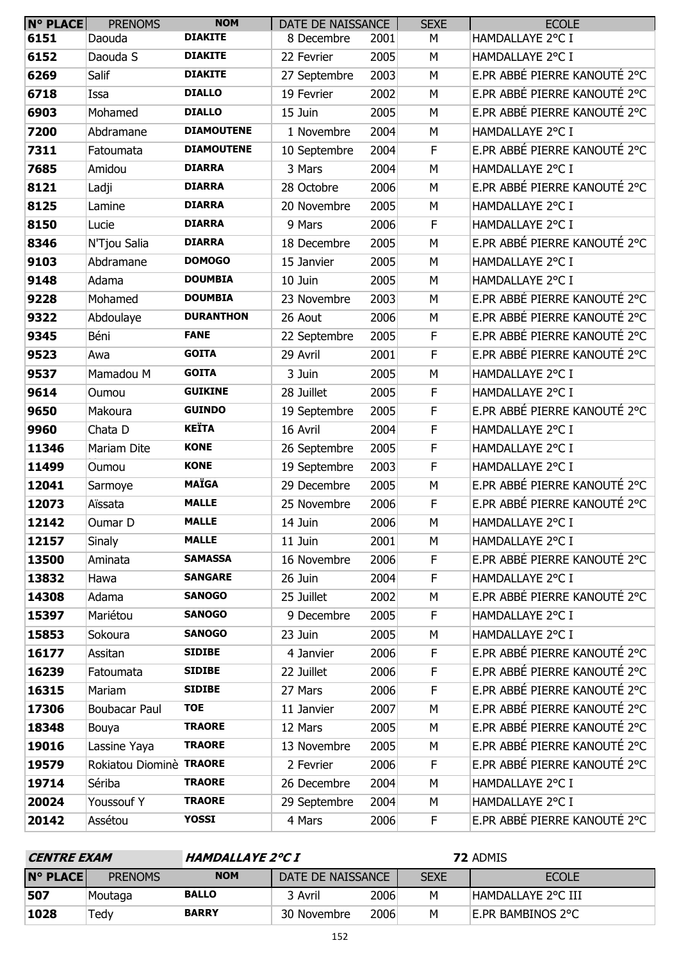| $N^{\circ}$ PLACE | <b>PRENOMS</b>          | <b>NOM</b>        | DATE DE NAISSANCE |      | <b>SEXE</b> | <b>ECOLE</b>                 |
|-------------------|-------------------------|-------------------|-------------------|------|-------------|------------------------------|
| 6151              | Daouda                  | <b>DIAKITE</b>    | 8 Decembre        | 2001 | М           | HAMDALLAYE 2°C I             |
| 6152              | Daouda S                | <b>DIAKITE</b>    | 22 Fevrier        | 2005 | M           | HAMDALLAYE 2°C I             |
| 6269              | Salif                   | <b>DIAKITE</b>    | 27 Septembre      | 2003 | M           | E.PR ABBÉ PIERRE KANOUTÉ 2°C |
| 6718              | Issa                    | <b>DIALLO</b>     | 19 Fevrier        | 2002 | M           | E.PR ABBÉ PIERRE KANOUTÉ 2°C |
| 6903              | Mohamed                 | <b>DIALLO</b>     | 15 Juin           | 2005 | M           | E.PR ABBÉ PIERRE KANOUTÉ 2°C |
| 7200              | Abdramane               | <b>DIAMOUTENE</b> | 1 Novembre        | 2004 | M           | HAMDALLAYE 2°C I             |
| 7311              | Fatoumata               | <b>DIAMOUTENE</b> | 10 Septembre      | 2004 | F           | E.PR ABBÉ PIERRE KANOUTÉ 2°C |
| 7685              | Amidou                  | <b>DIARRA</b>     | 3 Mars            | 2004 | M           | HAMDALLAYE 2°C I             |
| 8121              | Ladji                   | <b>DIARRA</b>     | 28 Octobre        | 2006 | M           | E.PR ABBÉ PIERRE KANOUTÉ 2°C |
| 8125              | Lamine                  | <b>DIARRA</b>     | 20 Novembre       | 2005 | M           | HAMDALLAYE 2°C I             |
| 8150              | Lucie                   | <b>DIARRA</b>     | 9 Mars            | 2006 | F           | HAMDALLAYE 2°C I             |
| 8346              | N'Tjou Salia            | <b>DIARRA</b>     | 18 Decembre       | 2005 | M           | E.PR ABBÉ PIERRE KANOUTÉ 2°C |
| 9103              | Abdramane               | <b>DOMOGO</b>     | 15 Janvier        | 2005 | M           | HAMDALLAYE 2°C I             |
| 9148              | Adama                   | <b>DOUMBIA</b>    | 10 Juin           | 2005 | M           | HAMDALLAYE 2°C I             |
| 9228              | Mohamed                 | <b>DOUMBIA</b>    | 23 Novembre       | 2003 | M           | E.PR ABBÉ PIERRE KANOUTÉ 2°C |
| 9322              | Abdoulaye               | <b>DURANTHON</b>  | 26 Aout           | 2006 | M           | E.PR ABBÉ PIERRE KANOUTÉ 2°C |
| 9345              | Béni                    | <b>FANE</b>       | 22 Septembre      | 2005 | F           | E.PR ABBÉ PIERRE KANOUTÉ 2°C |
| 9523              | Awa                     | <b>GOITA</b>      | 29 Avril          | 2001 | F           | E.PR ABBÉ PIERRE KANOUTÉ 2°C |
| 9537              | Mamadou M               | <b>GOITA</b>      | 3 Juin            | 2005 | M           | HAMDALLAYE 2°C I             |
| 9614              | Oumou                   | <b>GUIKINE</b>    | 28 Juillet        | 2005 | F           | HAMDALLAYE 2°C I             |
| 9650              | Makoura                 | <b>GUINDO</b>     | 19 Septembre      | 2005 | $\mathsf F$ | E.PR ABBÉ PIERRE KANOUTÉ 2°C |
| 9960              | Chata D                 | <b>KEÏTA</b>      | 16 Avril          | 2004 | F           | HAMDALLAYE 2°C I             |
| 11346             | Mariam Dite             | <b>KONE</b>       | 26 Septembre      | 2005 | $\mathsf F$ | HAMDALLAYE 2°C I             |
| 11499             | Oumou                   | <b>KONE</b>       | 19 Septembre      | 2003 | F           | HAMDALLAYE 2°C I             |
| 12041             | Sarmoye                 | <b>MAÏGA</b>      | 29 Decembre       | 2005 | M           | E.PR ABBÉ PIERRE KANOUTÉ 2°C |
| 12073             | Aïssata                 | <b>MALLE</b>      | 25 Novembre       | 2006 | F           | E.PR ABBÉ PIERRE KANOUTÉ 2°C |
| 12142             | Oumar D                 | <b>MALLE</b>      | 14 Juin           | 2006 | M           | HAMDALLAYE 2°C I             |
| 12157             | <b>Sinaly</b>           | <b>MALLE</b>      | 11 Juin           | 2001 | M           | HAMDALLAYE 2°C I             |
| 13500             | Aminata                 | <b>SAMASSA</b>    | 16 Novembre       | 2006 | F           | E.PR ABBÉ PIERRE KANOUTÉ 2°C |
| 13832             | Hawa                    | <b>SANGARE</b>    | 26 Juin           | 2004 | F           | HAMDALLAYE 2°C I             |
| 14308             | Adama                   | <b>SANOGO</b>     | 25 Juillet        | 2002 | M           | E.PR ABBÉ PIERRE KANOUTÉ 2°C |
| 15397             | Mariétou                | <b>SANOGO</b>     | 9 Decembre        | 2005 | F           | HAMDALLAYE 2°C I             |
| 15853             | Sokoura                 | <b>SANOGO</b>     | 23 Juin           | 2005 | M           | HAMDALLAYE 2°C I             |
| 16177             | Assitan                 | <b>SIDIBE</b>     | 4 Janvier         | 2006 | F           | E.PR ABBÉ PIERRE KANOUTÉ 2°C |
| 16239             | Fatoumata               | <b>SIDIBE</b>     | 22 Juillet        | 2006 | F           | E.PR ABBÉ PIERRE KANOUTÉ 2°C |
| 16315             | Mariam                  | <b>SIDIBE</b>     | 27 Mars           | 2006 | F           | E.PR ABBÉ PIERRE KANOUTÉ 2°C |
| 17306             | <b>Boubacar Paul</b>    | <b>TOE</b>        | 11 Janvier        | 2007 | M           | E.PR ABBÉ PIERRE KANOUTÉ 2°C |
| 18348             | Bouya                   | <b>TRAORE</b>     | 12 Mars           | 2005 | M           | E.PR ABBÉ PIERRE KANOUTÉ 2°C |
| 19016             | Lassine Yaya            | <b>TRAORE</b>     | 13 Novembre       | 2005 | M           | E.PR ABBÉ PIERRE KANOUTÉ 2°C |
| 19579             | Rokiatou Diominè TRAORE |                   | 2 Fevrier         | 2006 | F           | E.PR ABBÉ PIERRE KANOUTÉ 2°C |
| 19714             | Sériba                  | <b>TRAORE</b>     | 26 Decembre       | 2004 | M           | HAMDALLAYE 2°C I             |
| 20024             | Youssouf Y              | <b>TRAORE</b>     | 29 Septembre      | 2004 | M           | HAMDALLAYE 2°C I             |
| 20142             | Assétou                 | <b>YOSSI</b>      | 4 Mars            | 2006 | F           | E.PR ABBÉ PIERRE KANOUTÉ 2°C |

| <i><b>HAMDALLAYE 2°C I</b></i><br><b>CENTRE EXAM</b> |                | <b>72 ADMIS</b> |                   |      |             |                           |
|------------------------------------------------------|----------------|-----------------|-------------------|------|-------------|---------------------------|
| <b>N° PLACE</b>                                      | <b>PRENOMS</b> | <b>NOM</b>      | DATE DE NAISSANCE |      | <b>SEXE</b> | <b>ECOLE</b>              |
| 507                                                  | Moutaga        | <b>BALLO</b>    | 3 Avril           | 2006 | м           | <b>HAMDALLAYE 2°C III</b> |
| 1028                                                 | Tedv           | <b>BARRY</b>    | 30 Novembre       | 2006 | м           | <b>E.PR BAMBINOS 2°C</b>  |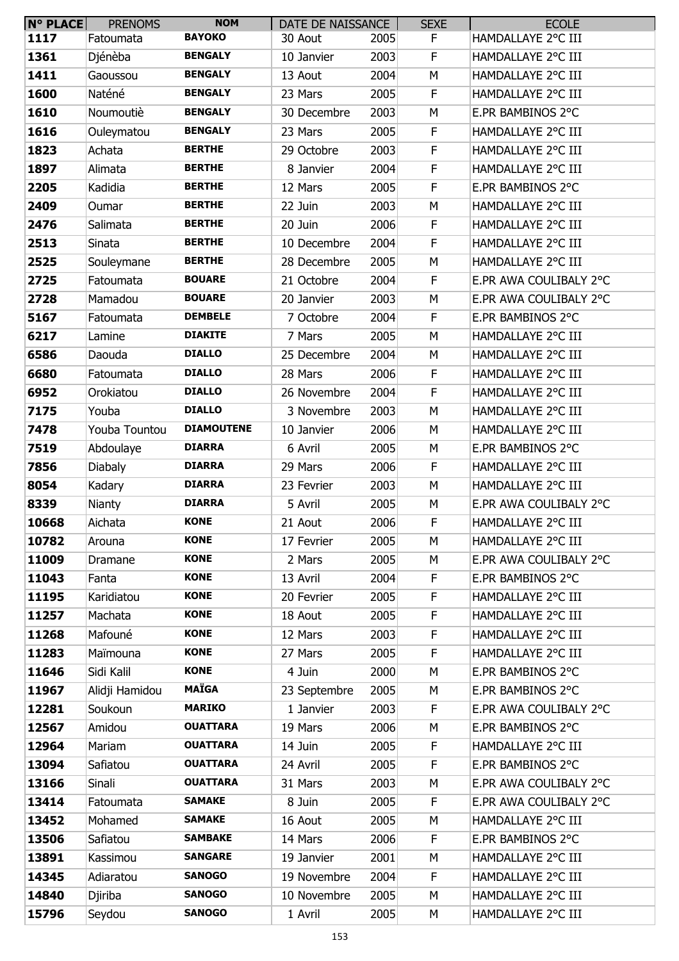| N° PLACE | <b>PRENOMS</b> | <b>NOM</b>        | DATE DE NAISSANCE |      | <b>SEXE</b> | <b>ECOLE</b>           |
|----------|----------------|-------------------|-------------------|------|-------------|------------------------|
| 1117     | Fatoumata      | <b>BAYOKO</b>     | 30 Aout           | 2005 | F.          | HAMDALLAYE 2°C III     |
| 1361     | Djénèba        | <b>BENGALY</b>    | 10 Janvier        | 2003 | F           | HAMDALLAYE 2°C III     |
| 1411     | Gaoussou       | <b>BENGALY</b>    | 13 Aout           | 2004 | M           | HAMDALLAYE 2°C III     |
| 1600     | Naténé         | <b>BENGALY</b>    | 23 Mars           | 2005 | F           | HAMDALLAYE 2°C III     |
| 1610     | Noumoutiè      | <b>BENGALY</b>    | 30 Decembre       | 2003 | M           | E.PR BAMBINOS 2°C      |
| 1616     | Ouleymatou     | <b>BENGALY</b>    | 23 Mars           | 2005 | F           | HAMDALLAYE 2°C III     |
| 1823     | Achata         | <b>BERTHE</b>     | 29 Octobre        | 2003 | F           | HAMDALLAYE 2°C III     |
| 1897     | Alimata        | <b>BERTHE</b>     | 8 Janvier         | 2004 | F           | HAMDALLAYE 2°C III     |
| 2205     | Kadidia        | <b>BERTHE</b>     | 12 Mars           | 2005 | F           | E.PR BAMBINOS 2°C      |
| 2409     | Oumar          | <b>BERTHE</b>     | 22 Juin           | 2003 | M           | HAMDALLAYE 2°C III     |
| 2476     | Salimata       | <b>BERTHE</b>     | 20 Juin           | 2006 | F           | HAMDALLAYE 2°C III     |
| 2513     | Sinata         | <b>BERTHE</b>     | 10 Decembre       | 2004 | F           | HAMDALLAYE 2°C III     |
| 2525     | Souleymane     | <b>BERTHE</b>     | 28 Decembre       | 2005 | M           | HAMDALLAYE 2°C III     |
| 2725     | Fatoumata      | <b>BOUARE</b>     | 21 Octobre        | 2004 | F           | E.PR AWA COULIBALY 2°C |
| 2728     | Mamadou        | <b>BOUARE</b>     | 20 Janvier        | 2003 | М           | E.PR AWA COULIBALY 2°C |
| 5167     | Fatoumata      | <b>DEMBELE</b>    | 7 Octobre         | 2004 | F           | E.PR BAMBINOS 2°C      |
| 6217     | Lamine         | <b>DIAKITE</b>    | 7 Mars            | 2005 | M           | HAMDALLAYE 2°C III     |
| 6586     | Daouda         | <b>DIALLO</b>     | 25 Decembre       | 2004 | М           | HAMDALLAYE 2°C III     |
| 6680     | Fatoumata      | <b>DIALLO</b>     | 28 Mars           | 2006 | F           | HAMDALLAYE 2°C III     |
| 6952     | Orokiatou      | <b>DIALLO</b>     | 26 Novembre       | 2004 | $\mathsf F$ | HAMDALLAYE 2°C III     |
| 7175     | Youba          | <b>DIALLO</b>     | 3 Novembre        | 2003 | M           | HAMDALLAYE 2°C III     |
| 7478     | Youba Tountou  | <b>DIAMOUTENE</b> | 10 Janvier        | 2006 | М           | HAMDALLAYE 2°C III     |
| 7519     | Abdoulaye      | <b>DIARRA</b>     | 6 Avril           | 2005 | М           | E.PR BAMBINOS 2°C      |
| 7856     | <b>Diabaly</b> | <b>DIARRA</b>     | 29 Mars           | 2006 | F           | HAMDALLAYE 2°C III     |
| 8054     | Kadary         | <b>DIARRA</b>     | 23 Fevrier        | 2003 | M           | HAMDALLAYE 2°C III     |
| 8339     | Nianty         | <b>DIARRA</b>     | 5 Avril           | 2005 | М           | E.PR AWA COULIBALY 2°C |
| 10668    | Aichata        | <b>KONE</b>       | 21 Aout           | 2006 | F           | HAMDALLAYE 2°C III     |
| 10782    | Arouna         | <b>KONE</b>       | 17 Fevrier        | 2005 | M           | HAMDALLAYE 2°C III     |
| 11009    | Dramane        | <b>KONE</b>       | 2 Mars            | 2005 | M           | E.PR AWA COULIBALY 2°C |
| 11043    | Fanta          | <b>KONE</b>       | 13 Avril          | 2004 | F           | E.PR BAMBINOS 2°C      |
| 11195    | Karidiatou     | <b>KONE</b>       | 20 Fevrier        | 2005 | F           | HAMDALLAYE 2°C III     |
| 11257    | Machata        | <b>KONE</b>       | 18 Aout           | 2005 | F           | HAMDALLAYE 2°C III     |
| 11268    | Mafouné        | <b>KONE</b>       | 12 Mars           | 2003 | F           | HAMDALLAYE 2°C III     |
| 11283    | Maïmouna       | <b>KONE</b>       | 27 Mars           | 2005 | F           | HAMDALLAYE 2°C III     |
| 11646    | Sidi Kalil     | <b>KONE</b>       | 4 Juin            | 2000 | M           | E.PR BAMBINOS 2°C      |
| 11967    | Alidji Hamidou | <b>MAÏGA</b>      | 23 Septembre      | 2005 | M           | E.PR BAMBINOS 2°C      |
| 12281    | Soukoun        | <b>MARIKO</b>     | 1 Janvier         | 2003 | F           | E.PR AWA COULIBALY 2°C |
| 12567    | Amidou         | <b>OUATTARA</b>   | 19 Mars           | 2006 | M           | E.PR BAMBINOS 2°C      |
| 12964    | Mariam         | <b>OUATTARA</b>   | 14 Juin           | 2005 | F           | HAMDALLAYE 2°C III     |
| 13094    | Safiatou       | <b>OUATTARA</b>   | 24 Avril          | 2005 | F           | E.PR BAMBINOS 2°C      |
| 13166    | Sinali         | <b>OUATTARA</b>   | 31 Mars           | 2003 | M           | E.PR AWA COULIBALY 2°C |
| 13414    | Fatoumata      | <b>SAMAKE</b>     | 8 Juin            | 2005 | F           | E.PR AWA COULIBALY 2°C |
| 13452    | Mohamed        | <b>SAMAKE</b>     | 16 Aout           | 2005 | M           | HAMDALLAYE 2°C III     |
| 13506    | Safiatou       | <b>SAMBAKE</b>    | 14 Mars           | 2006 | F.          | E.PR BAMBINOS 2°C      |
| 13891    | Kassimou       | <b>SANGARE</b>    | 19 Janvier        | 2001 | M           | HAMDALLAYE 2°C III     |
| 14345    | Adiaratou      | <b>SANOGO</b>     | 19 Novembre       | 2004 | F           | HAMDALLAYE 2°C III     |
| 14840    | Djiriba        | <b>SANOGO</b>     | 10 Novembre       | 2005 | М           | HAMDALLAYE 2°C III     |
| 15796    | Seydou         | <b>SANOGO</b>     | 1 Avril           | 2005 | М           | HAMDALLAYE 2°C III     |
|          |                |                   |                   |      |             |                        |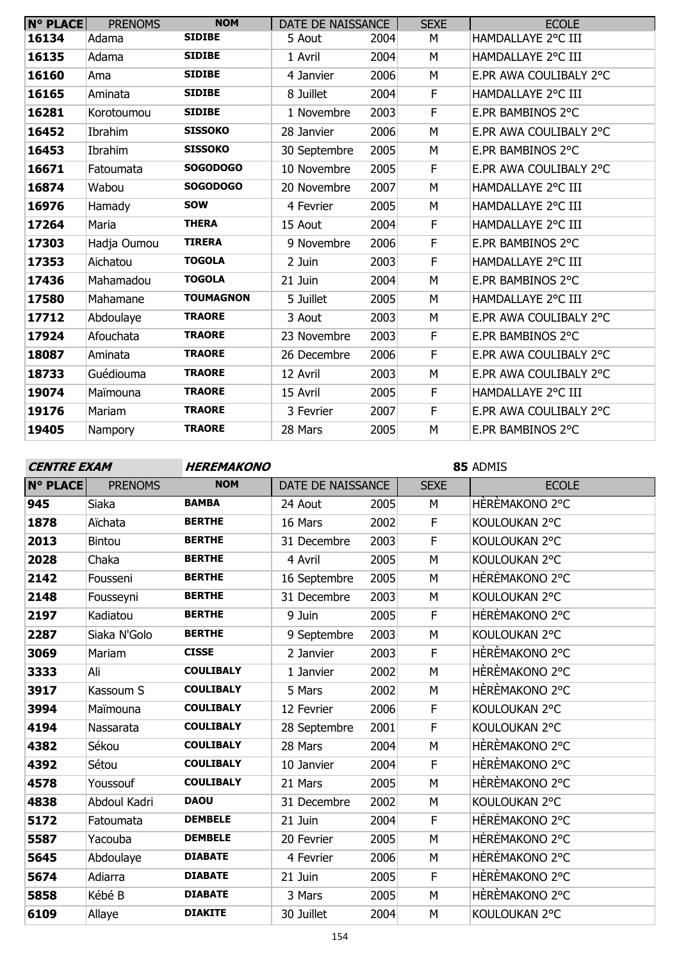| $N°$ PLACE | <b>PRENOMS</b> | <b>NOM</b>       | DATE DE NAISSANCE |      | <b>SEXE</b> | <b>ECOLE</b>           |
|------------|----------------|------------------|-------------------|------|-------------|------------------------|
| 16134      | Adama          | <b>SIDIBE</b>    | 5 Aout            | 2004 | М           | HAMDALLAYE 2°C III     |
| 16135      | Adama          | <b>SIDIBE</b>    | 1 Avril           | 2004 | М           | HAMDALLAYE 2°C III     |
| 16160      | Ama            | <b>SIDIBE</b>    | 4 Janvier         | 2006 | M           | E.PR AWA COULIBALY 2°C |
| 16165      | Aminata        | <b>SIDIBE</b>    | 8 Juillet         | 2004 | $\mathsf F$ | HAMDALLAYE 2°C III     |
| 16281      | Korotoumou     | <b>SIDIBE</b>    | 1 Novembre        | 2003 | F           | E.PR BAMBINOS 2°C      |
| 16452      | Ibrahim        | <b>SISSOKO</b>   | 28 Janvier        | 2006 | M           | E.PR AWA COULIBALY 2°C |
| 16453      | Ibrahim        | <b>SISSOKO</b>   | 30 Septembre      | 2005 | M           | E.PR BAMBINOS 2°C      |
| 16671      | Fatoumata      | <b>SOGODOGO</b>  | 10 Novembre       | 2005 | F           | E.PR AWA COULIBALY 2°C |
| 16874      | Wabou          | <b>SOGODOGO</b>  | 20 Novembre       | 2007 | M           | HAMDALLAYE 2°C III     |
| 16976      | Hamady         | <b>SOW</b>       | 4 Fevrier         | 2005 | М           | HAMDALLAYE 2°C III     |
| 17264      | Maria          | <b>THERA</b>     | 15 Aout           | 2004 | F           | HAMDALLAYE 2°C III     |
| 17303      | Hadja Oumou    | <b>TIRERA</b>    | 9 Novembre        | 2006 | $\mathsf F$ | E.PR BAMBINOS 2°C      |
| 17353      | Aichatou       | <b>TOGOLA</b>    | 2 Juin            | 2003 | F           | HAMDALLAYE 2°C III     |
| 17436      | Mahamadou      | <b>TOGOLA</b>    | 21 Juin           | 2004 | M           | E.PR BAMBINOS 2°C      |
| 17580      | Mahamane       | <b>TOUMAGNON</b> | 5 Juillet         | 2005 | M           | HAMDALLAYE 2°C III     |
| 17712      | Abdoulaye      | <b>TRAORE</b>    | 3 Aout            | 2003 | М           | E.PR AWA COULIBALY 2°C |
| 17924      | Afouchata      | <b>TRAORE</b>    | 23 Novembre       | 2003 | F           | E.PR BAMBINOS 2°C      |
| 18087      | Aminata        | <b>TRAORE</b>    | 26 Decembre       | 2006 | F           | E.PR AWA COULIBALY 2°C |
| 18733      | Guédiouma      | <b>TRAORE</b>    | 12 Avril          | 2003 | M           | E.PR AWA COULIBALY 2°C |
| 19074      | Maïmouna       | <b>TRAORE</b>    | 15 Avril          | 2005 | $\mathsf F$ | HAMDALLAYE 2°C III     |
| 19176      | Mariam         | <b>TRAORE</b>    | 3 Fevrier         | 2007 | F           | E.PR AWA COULIBALY 2°C |
| 19405      | Nampory        | <b>TRAORE</b>    | 28 Mars           | 2005 | М           | E.PR BAMBINOS 2°C      |

**CENTRE EXAM HEREMAKONO**

| <b>N° PLACE</b> | <b>PRENOMS</b> | <b>NOM</b>       | DATE DE NAISSANCE |      | <b>SEXE</b> | <b>ECOLE</b>   |
|-----------------|----------------|------------------|-------------------|------|-------------|----------------|
| 945             | Siaka          | <b>BAMBA</b>     | 24 Aout           | 2005 | M           | HÈRÈMAKONO 2°C |
| 1878            | Aïchata        | <b>BERTHE</b>    | 16 Mars           | 2002 | F           | KOULOUKAN 2°C  |
| 2013            | <b>Bintou</b>  | <b>BERTHE</b>    | 31 Decembre       | 2003 | $\mathsf F$ | KOULOUKAN 2°C  |
| 2028            | Chaka          | <b>BERTHE</b>    | 4 Avril           | 2005 | M           | KOULOUKAN 2°C  |
| 2142            | Fousseni       | <b>BERTHE</b>    | 16 Septembre      | 2005 | M           | HÈRÈMAKONO 2°C |
| 2148            | Fousseyni      | <b>BERTHE</b>    | 31 Decembre       | 2003 | M           | KOULOUKAN 2°C  |
| 2197            | Kadiatou       | <b>BERTHE</b>    | 9 Juin            | 2005 | F           | HÈRÈMAKONO 2°C |
| 2287            | Siaka N'Golo   | <b>BERTHE</b>    | 9 Septembre       | 2003 | M           | KOULOUKAN 2°C  |
| 3069            | Mariam         | <b>CISSE</b>     | 2 Janvier         | 2003 | F           | HÈRÈMAKONO 2°C |
| 3333            | Ali            | <b>COULIBALY</b> | 1 Janvier         | 2002 | M           | HÈRÈMAKONO 2°C |
| 3917            | Kassoum S      | <b>COULIBALY</b> | 5 Mars            | 2002 | M           | HÈRÈMAKONO 2°C |
| 3994            | Maïmouna       | <b>COULIBALY</b> | 12 Fevrier        | 2006 | F           | KOULOUKAN 2°C  |
| 4194            | Nassarata      | <b>COULIBALY</b> | 28 Septembre      | 2001 | F           | KOULOUKAN 2°C  |
| 4382            | Sékou          | <b>COULIBALY</b> | 28 Mars           | 2004 | M           | HÈRÈMAKONO 2°C |
| 4392            | Sétou          | <b>COULIBALY</b> | 10 Janvier        | 2004 | F           | HÈRÈMAKONO 2°C |
| 4578            | Youssouf       | <b>COULIBALY</b> | 21 Mars           | 2005 | M           | HÈRÈMAKONO 2°C |
| 4838            | Abdoul Kadri   | <b>DAOU</b>      | 31 Decembre       | 2002 | M           | KOULOUKAN 2°C  |
| 5172            | Fatoumata      | <b>DEMBELE</b>   | 21 Juin           | 2004 | $\mathsf F$ | HÈRÈMAKONO 2°C |
| 5587            | Yacouba        | <b>DEMBELE</b>   | 20 Fevrier        | 2005 | M           | HÈRÈMAKONO 2°C |
| 5645            | Abdoulaye      | <b>DIABATE</b>   | 4 Fevrier         | 2006 | M           | HÈRÈMAKONO 2°C |
| 5674            | Adiarra        | <b>DIABATE</b>   | 21 Juin           | 2005 | F           | HÈRÈMAKONO 2°C |
| 5858            | Kébé B         | <b>DIABATE</b>   | 3 Mars            | 2005 | M           | HÈRÈMAKONO 2°C |
| 6109            | Allaye         | <b>DIAKITE</b>   | 30 Juillet        | 2004 | M           | KOULOUKAN 2°C  |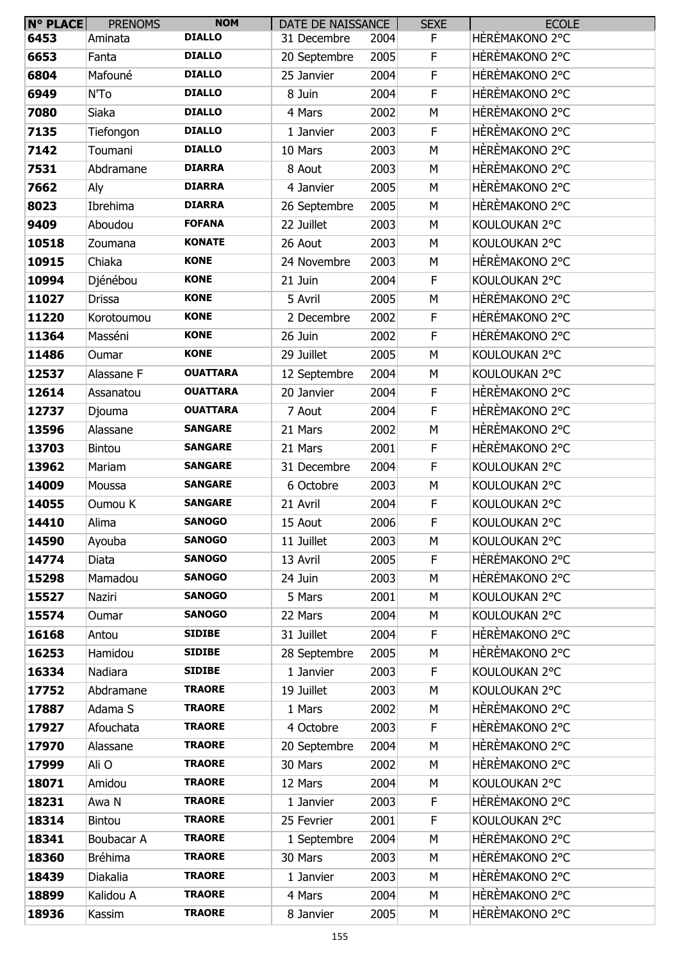| N° PLACE | <b>PRENOMS</b> | <b>NOM</b>      | DATE DE NAISSANCE |      | <b>SEXE</b> | <b>ECOLE</b>   |
|----------|----------------|-----------------|-------------------|------|-------------|----------------|
| 6453     | Aminata        | <b>DIALLO</b>   | 31 Decembre       | 2004 | F.          | HÈRÈMAKONO 2°C |
| 6653     | Fanta          | <b>DIALLO</b>   | 20 Septembre      | 2005 | $\mathsf F$ | HÈRÈMAKONO 2°C |
| 6804     | Mafouné        | <b>DIALLO</b>   | 25 Janvier        | 2004 | $\mathsf F$ | HÈRÈMAKONO 2°C |
| 6949     | N'To           | <b>DIALLO</b>   | 8 Juin            | 2004 | $\mathsf F$ | HÈRÈMAKONO 2°C |
| 7080     | Siaka          | <b>DIALLO</b>   | 4 Mars            | 2002 | M           | HÈRÈMAKONO 2°C |
| 7135     | Tiefongon      | <b>DIALLO</b>   | 1 Janvier         | 2003 | $\mathsf F$ | HÈRÈMAKONO 2°C |
| 7142     | Toumani        | <b>DIALLO</b>   | 10 Mars           | 2003 | M           | HÈRÈMAKONO 2°C |
| 7531     | Abdramane      | <b>DIARRA</b>   | 8 Aout            | 2003 | M           | HÈRÈMAKONO 2°C |
| 7662     | Aly            | <b>DIARRA</b>   | 4 Janvier         | 2005 | M           | HÈRÈMAKONO 2°C |
| 8023     | Ibrehima       | <b>DIARRA</b>   | 26 Septembre      | 2005 | M           | HÈRÈMAKONO 2°C |
| 9409     | Aboudou        | <b>FOFANA</b>   | 22 Juillet        | 2003 | M           | KOULOUKAN 2°C  |
| 10518    | Zoumana        | <b>KONATE</b>   | 26 Aout           | 2003 | М           | KOULOUKAN 2°C  |
| 10915    | Chiaka         | <b>KONE</b>     | 24 Novembre       | 2003 | M           | HÈRÈMAKONO 2°C |
| 10994    | Djénébou       | <b>KONE</b>     | 21 Juin           | 2004 | $\mathsf F$ | KOULOUKAN 2°C  |
| 11027    | <b>Drissa</b>  | <b>KONE</b>     | 5 Avril           | 2005 | M           | HÈRÈMAKONO 2°C |
| 11220    | Korotoumou     | <b>KONE</b>     | 2 Decembre        | 2002 | F           | HÈRÈMAKONO 2°C |
| 11364    | Masséni        | <b>KONE</b>     | 26 Juin           | 2002 | $\mathsf F$ | HÈRÈMAKONO 2°C |
| 11486    | Oumar          | <b>KONE</b>     | 29 Juillet        | 2005 | M           | KOULOUKAN 2°C  |
| 12537    | Alassane F     | <b>OUATTARA</b> | 12 Septembre      | 2004 | M           | KOULOUKAN 2°C  |
| 12614    | Assanatou      | <b>OUATTARA</b> | 20 Janvier        | 2004 | $\mathsf F$ | HÈRÈMAKONO 2°C |
| 12737    | Djouma         | <b>OUATTARA</b> | 7 Aout            | 2004 | $\mathsf F$ | HÈRÈMAKONO 2°C |
| 13596    | Alassane       | <b>SANGARE</b>  | 21 Mars           | 2002 | M           | HÈRÈMAKONO 2°C |
| 13703    | Bintou         | <b>SANGARE</b>  | 21 Mars           | 2001 | F           | HÈRÈMAKONO 2°C |
| 13962    | Mariam         | <b>SANGARE</b>  | 31 Decembre       | 2004 | $\mathsf F$ | KOULOUKAN 2°C  |
| 14009    | Moussa         | <b>SANGARE</b>  | 6 Octobre         | 2003 | M           | KOULOUKAN 2°C  |
| 14055    | Oumou K        | <b>SANGARE</b>  | 21 Avril          | 2004 | F           | KOULOUKAN 2°C  |
| 14410    | Alima          | <b>SANOGO</b>   | 15 Aout           | 2006 | F           | KOULOUKAN 2°C  |
| 14590    | Ayouba         | <b>SANOGO</b>   | 11 Juillet        | 2003 | M           | KOULOUKAN 2°C  |
| 14774    | <b>Diata</b>   | <b>SANOGO</b>   | 13 Avril          | 2005 | F           | HÈRÈMAKONO 2°C |
| 15298    | Mamadou        | <b>SANOGO</b>   | 24 Juin           | 2003 | M           | HÈRÈMAKONO 2°C |
| 15527    | Naziri         | <b>SANOGO</b>   | 5 Mars            | 2001 | M           | KOULOUKAN 2°C  |
| 15574    | Oumar          | <b>SANOGO</b>   | 22 Mars           | 2004 | M           | KOULOUKAN 2°C  |
| 16168    | Antou          | <b>SIDIBE</b>   | 31 Juillet        | 2004 | F           | HÈRÈMAKONO 2°C |
| 16253    | Hamidou        | <b>SIDIBE</b>   | 28 Septembre      | 2005 | M           | HÈRÈMAKONO 2°C |
| 16334    | Nadiara        | <b>SIDIBE</b>   | 1 Janvier         | 2003 | F           | KOULOUKAN 2°C  |
| 17752    | Abdramane      | <b>TRAORE</b>   | 19 Juillet        | 2003 | M           | KOULOUKAN 2°C  |
| 17887    | Adama S        | <b>TRAORE</b>   | 1 Mars            | 2002 | М           | HÈRÈMAKONO 2°C |
| 17927    | Afouchata      | <b>TRAORE</b>   | 4 Octobre         | 2003 | $\mathsf F$ | HÈRÈMAKONO 2°C |
| 17970    | Alassane       | <b>TRAORE</b>   | 20 Septembre      | 2004 | M           | HÈRÈMAKONO 2°C |
| 17999    | Ali O          | <b>TRAORE</b>   | 30 Mars           | 2002 | M           | HÈRÈMAKONO 2°C |
| 18071    | Amidou         | <b>TRAORE</b>   | 12 Mars           | 2004 | М           | KOULOUKAN 2°C  |
| 18231    | Awa N          | <b>TRAORE</b>   | 1 Janvier         | 2003 | F           | HÈRÈMAKONO 2°C |
| 18314    | Bintou         | <b>TRAORE</b>   | 25 Fevrier        | 2001 | F           | KOULOUKAN 2°C  |
| 18341    | Boubacar A     | <b>TRAORE</b>   | 1 Septembre       | 2004 | М           | HÈRÈMAKONO 2°C |
| 18360    | Bréhima        | <b>TRAORE</b>   | 30 Mars           | 2003 | M           | HÈRÈMAKONO 2°C |
| 18439    | Diakalia       | <b>TRAORE</b>   | 1 Janvier         | 2003 | M           | HÈRÈMAKONO 2°C |
| 18899    | Kalidou A      | <b>TRAORE</b>   | 4 Mars            | 2004 | М           | HÈRÈMAKONO 2°C |
| 18936    | Kassim         | <b>TRAORE</b>   | 8 Janvier         | 2005 | М           | HÈRÈMAKONO 2°C |
|          |                |                 |                   |      |             |                |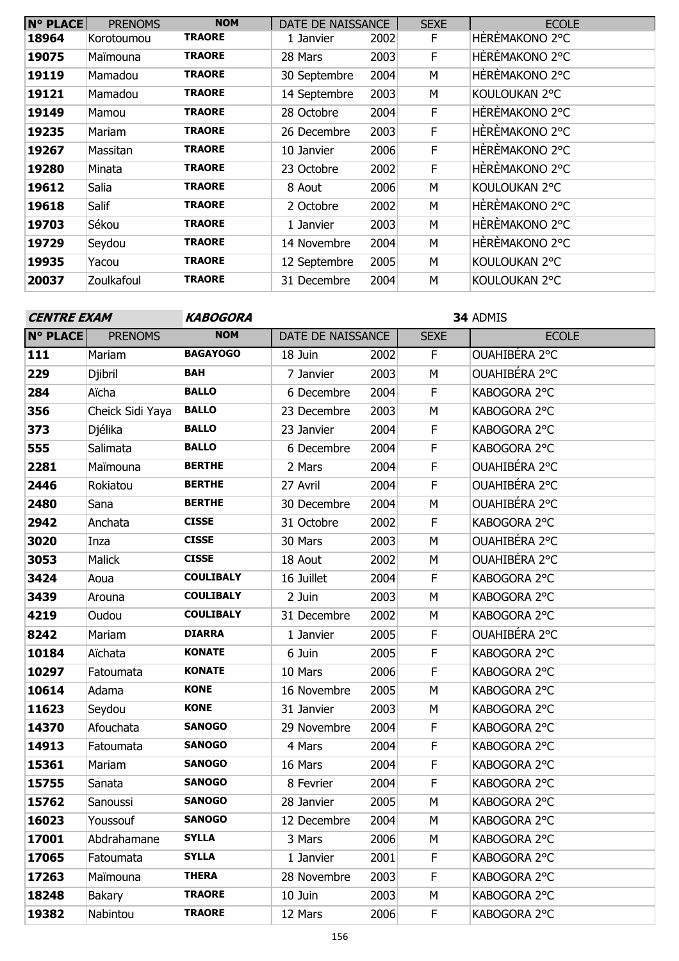| <b>N° PLACE</b> | <b>PRENOMS</b> | <b>NOM</b>    | DATE DE NAISSANCE |      | <b>SEXE</b> | <b>ECOLE</b>   |
|-----------------|----------------|---------------|-------------------|------|-------------|----------------|
| 18964           | Korotoumou     | <b>TRAORE</b> | 1 Janvier         | 2002 | F           | HÈRÈMAKONO 2°C |
| 19075           | Maïmouna       | <b>TRAORE</b> | 28 Mars           | 2003 | F           | HÈRÈMAKONO 2°C |
| 19119           | Mamadou        | <b>TRAORE</b> | 30 Septembre      | 2004 | М           | HÈRÈMAKONO 2°C |
| 19121           | Mamadou        | <b>TRAORE</b> | 14 Septembre      | 2003 | М           | KOULOUKAN 2°C  |
| 19149           | Mamou          | <b>TRAORE</b> | 28 Octobre        | 2004 | F           | HÈRÈMAKONO 2°C |
| 19235           | Mariam         | <b>TRAORE</b> | 26 Decembre       | 2003 | F           | HÈRÈMAKONO 2°C |
| 19267           | Massitan       | <b>TRAORE</b> | 10 Janvier        | 2006 | F           | HÈRÈMAKONO 2°C |
| 19280           | Minata         | <b>TRAORE</b> | 23 Octobre        | 2002 | F           | HÈRÈMAKONO 2°C |
| 19612           | Salia          | <b>TRAORE</b> | 8 Aout            | 2006 | М           | KOULOUKAN 2°C  |
| 19618           | Salif          | <b>TRAORE</b> | 2 Octobre         | 2002 | М           | HÈRÈMAKONO 2°C |
| 19703           | Sékou          | <b>TRAORE</b> | 1 Janvier         | 2003 | М           | HÈRÈMAKONO 2°C |
| 19729           | Seydou         | TRAORE        | 14 Novembre       | 2004 | M           | HÈRÈMAKONO 2°C |
| 19935           | Yacou          | <b>TRAORE</b> | 12 Septembre      | 2005 | М           | KOULOUKAN 2°C  |
| 20037           | Zoulkafoul     | <b>TRAORE</b> | 31 Decembre       | 2004 | М           | KOULOUKAN 2°C  |

 ADMIS **N° PLACE** PRENOMS **NOM** | DATE DE NAISSANCE | SEXE | ECOLE Mariam **BAGAYOGO** 18 Juin 2002 F OUAHIBÉRA 2°C Djibril **BAH** 7 Janvier 2003 M OUAHIBÉRA 2°C Aïcha **BALLO** 6 Decembre 2004 F KABOGORA 2°C Cheick Sidi Yaya **BALLO** 23 Decembre 2003 M KABOGORA 2°C Djélika **BALLO** 23 Janvier 2004 F KABOGORA 2°C Salimata **BALLO** 6 Decembre 2004 F KABOGORA 2°C Maïmouna **BERTHE** 2 Mars 2004 F OUAHIBÉRA 2°C Rokiatou **BERTHE** 27 Avril 2004 F OUAHIBÉRA 2°C Sana **BERTHE** 30 Decembre 2004 M OUAHIBÉRA 2°C Anchata **CISSE** 31 Octobre 2002 F KABOGORA 2°C Inza **CISSE** 30 Mars 2003 M OUAHIBÉRA 2°C Malick **CISSE** 18 Aout 2002 M OUAHIBÉRA 2°C Aoua **COULIBALY** 16 Juillet 2004 F KABOGORA 2°C Arouna **COULIBALY** 2 Juin 2003 M KABOGORA 2°C Oudou **COULIBALY** 31 Decembre 2002 M KABOGORA 2°C Mariam **DIARRA** 1 Janvier 2005 F OUAHIBÉRA 2°C Aïchata **KONATE** 6 Juin 2005 F KABOGORA 2°C Fatoumata **KONATE** 10 Mars 2006 F KABOGORA 2°C Adama **KONE** 16 Novembre 2005 M KABOGORA 2°C Seydou **KONE** 31 Janvier 2003 M KABOGORA 2°C Afouchata **SANOGO** 29 Novembre 2004 F KABOGORA 2°C Fatoumata **SANOGO** 4 Mars 2004 F KABOGORA 2°C Mariam **SANOGO** 16 Mars 2004 F KABOGORA 2°C Sanata **SANOGO** 8 Fevrier 2004 F KABOGORA 2°C Sanoussi **SANOGO** 28 Janvier 2005 M KABOGORA 2°C Youssouf **SANOGO** 12 Decembre 2004 M KABOGORA 2°C Abdrahamane **SYLLA** 3 Mars 2006 M KABOGORA 2°C Fatoumata **SYLLA** 1 Janvier 2001 F KABOGORA 2°C Maïmouna **THERA** 28 Novembre 2003 F KABOGORA 2°C **CENTRE EXAM KABOGORA**

 Bakary **TRAORE** 10 Juin 2003 M KABOGORA 2°C Nabintou **TRAORE** 12 Mars 2006 F KABOGORA 2°C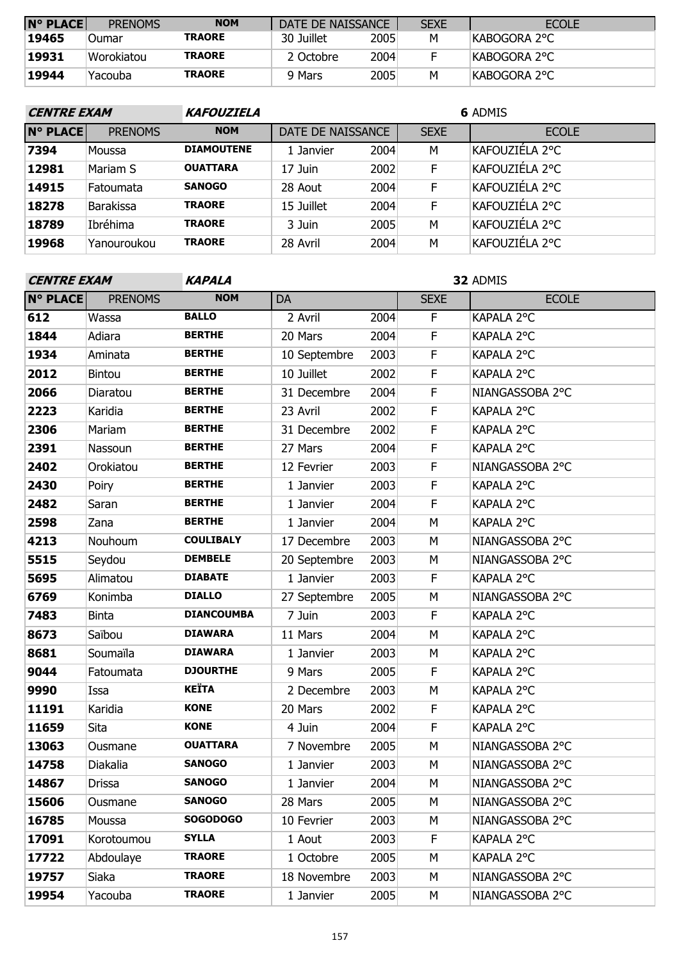| $N^{\circ}$ PLACE | <b>PRENOMS</b> | <b>NOM</b>    | DATE DE NAISSANCE |      | <b>SEXE</b> | <b>ECOLE</b>  |
|-------------------|----------------|---------------|-------------------|------|-------------|---------------|
| <b>19465</b>      | <b>Oumar</b>   | <b>TRAORE</b> | 30 Juillet        | 2005 | M           | IKABOGORA 2°C |
| 19931             | Worokiatou     | <b>TRAORE</b> | 2 Octobre         | 2004 |             | KABOGORA 2°C  |
| 19944             | 'Yacouba       | <b>TRAORE</b> | 9 Mars            | 2005 | М           | KABOGORA 2°C  |

| <b>CENTRE EXAM</b> |                  | <b>KAFOUZIELA</b> | <b>6 ADMIS</b>    |      |             |                |  |  |  |
|--------------------|------------------|-------------------|-------------------|------|-------------|----------------|--|--|--|
| <b>N° PLACE</b>    | <b>PRENOMS</b>   | <b>NOM</b>        | DATE DE NAISSANCE |      | <b>SEXE</b> | <b>ECOLE</b>   |  |  |  |
| 7394               | Moussa           | <b>DIAMOUTENE</b> | 1 Janvier         | 2004 | М           | KAFOUZIÉLA 2°C |  |  |  |
| 12981              | Mariam S         | <b>OUATTARA</b>   | 17 Juin           | 2002 | F           | KAFOUZIÉLA 2°C |  |  |  |
| 14915              | Fatoumata        | <b>SANOGO</b>     | 28 Aout           | 2004 | F           | KAFOUZIÉLA 2°C |  |  |  |
| 18278              | <b>Barakissa</b> | <b>TRAORE</b>     | 15 Juillet        | 2004 | F           | KAFOUZIÉLA 2°C |  |  |  |
| 18789              | Ibréhima         | <b>TRAORE</b>     | 3 Juin            | 2005 | M           | KAFOUZIÉLA 2°C |  |  |  |
| 19968              | Yanouroukou      | <b>TRAORE</b>     | 28 Avril          | 2004 | M           | KAFOUZIÉLA 2°C |  |  |  |

| <b>CENTRE EXAM</b> |                | <b>KAPALA</b>     |              |      |             | 32 ADMIS        |
|--------------------|----------------|-------------------|--------------|------|-------------|-----------------|
| <b>N° PLACE</b>    | <b>PRENOMS</b> | <b>NOM</b>        | DA           |      | <b>SEXE</b> | <b>ECOLE</b>    |
| 612                | Wassa          | <b>BALLO</b>      | 2 Avril      | 2004 | F.          | KAPALA 2°C      |
| 1844               | Adiara         | <b>BERTHE</b>     | 20 Mars      | 2004 | $\mathsf F$ | KAPALA 2°C      |
| 1934               | Aminata        | <b>BERTHE</b>     | 10 Septembre | 2003 | F           | KAPALA 2°C      |
| 2012               | <b>Bintou</b>  | <b>BERTHE</b>     | 10 Juillet   | 2002 | $\mathsf F$ | KAPALA 2°C      |
| 2066               | Diaratou       | <b>BERTHE</b>     | 31 Decembre  | 2004 | $\mathsf F$ | NIANGASSOBA 2°C |
| 2223               | Karidia        | <b>BERTHE</b>     | 23 Avril     | 2002 | F           | KAPALA 2°C      |
| 2306               | Mariam         | <b>BERTHE</b>     | 31 Decembre  | 2002 | F           | KAPALA 2°C      |
| 2391               | Nassoun        | <b>BERTHE</b>     | 27 Mars      | 2004 | $\mathsf F$ | KAPALA 2°C      |
| 2402               | Orokiatou      | <b>BERTHE</b>     | 12 Fevrier   | 2003 | $\mathsf F$ | NIANGASSOBA 2°C |
| 2430               | Poiry          | <b>BERTHE</b>     | 1 Janvier    | 2003 | F           | KAPALA 2°C      |
| 2482               | Saran          | <b>BERTHE</b>     | 1 Janvier    | 2004 | F           | KAPALA 2°C      |
| 2598               | Zana           | <b>BERTHE</b>     | 1 Janvier    | 2004 | M           | KAPALA 2°C      |
| 4213               | Nouhoum        | <b>COULIBALY</b>  | 17 Decembre  | 2003 | M           | NIANGASSOBA 2°C |
| 5515               | Seydou         | <b>DEMBELE</b>    | 20 Septembre | 2003 | М           | NIANGASSOBA 2°C |
| 5695               | Alimatou       | <b>DIABATE</b>    | 1 Janvier    | 2003 | $\mathsf F$ | KAPALA 2°C      |
| 6769               | Konimba        | <b>DIALLO</b>     | 27 Septembre | 2005 | M           | NIANGASSOBA 2°C |
| 7483               | <b>Binta</b>   | <b>DIANCOUMBA</b> | 7 Juin       | 2003 | $\mathsf F$ | KAPALA 2°C      |
| 8673               | Saïbou         | <b>DIAWARA</b>    | 11 Mars      | 2004 | M           | KAPALA 2°C      |
| 8681               | Soumaïla       | <b>DIAWARA</b>    | 1 Janvier    | 2003 | М           | KAPALA 2°C      |
| 9044               | Fatoumata      | <b>DJOURTHE</b>   | 9 Mars       | 2005 | F           | KAPALA 2°C      |
| 9990               | Issa           | <b>KEÏTA</b>      | 2 Decembre   | 2003 | M           | KAPALA 2°C      |
| 11191              | Karidia        | <b>KONE</b>       | 20 Mars      | 2002 | F           | KAPALA 2°C      |
| 11659              | Sita           | <b>KONE</b>       | 4 Juin       | 2004 | $\mathsf F$ | KAPALA 2°C      |
| 13063              | Ousmane        | <b>OUATTARA</b>   | 7 Novembre   | 2005 | M           | NIANGASSOBA 2°C |
| 14758              | Diakalia       | <b>SANOGO</b>     | 1 Janvier    | 2003 | М           | NIANGASSOBA 2°C |
| 14867              | Drissa         | <b>SANOGO</b>     | 1 Janvier    | 2004 | М           | NIANGASSOBA 2°C |
| 15606              | Ousmane        | <b>SANOGO</b>     | 28 Mars      | 2005 | M           | NIANGASSOBA 2°C |
| 16785              | Moussa         | <b>SOGODOGO</b>   | 10 Fevrier   | 2003 | М           | NIANGASSOBA 2°C |
| 17091              | Korotoumou     | <b>SYLLA</b>      | 1 Aout       | 2003 | F           | KAPALA 2°C      |
| 17722              | Abdoulaye      | <b>TRAORE</b>     | 1 Octobre    | 2005 | М           | KAPALA 2°C      |
| 19757              | Siaka          | <b>TRAORE</b>     | 18 Novembre  | 2003 | М           | NIANGASSOBA 2°C |
| 19954              | Yacouba        | <b>TRAORE</b>     | 1 Janvier    | 2005 | М           | NIANGASSOBA 2°C |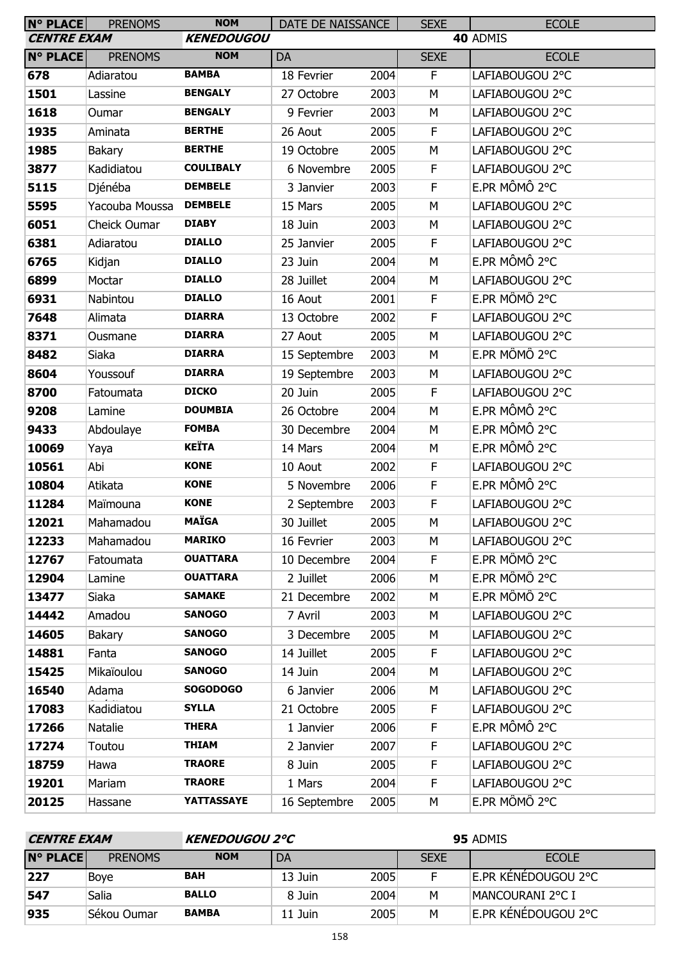| N° PLACE           | <b>PRENOMS</b> | <b>NOM</b>        | DATE DE NAISSANCE |      | <b>SEXE</b> | <b>ECOLE</b>    |  |
|--------------------|----------------|-------------------|-------------------|------|-------------|-----------------|--|
| <b>CENTRE EXAM</b> |                | <b>KENEDOUGOU</b> |                   |      | 40 ADMIS    |                 |  |
| <b>N° PLACE</b>    | <b>PRENOMS</b> | <b>NOM</b>        | DA                |      | <b>SEXE</b> | <b>ECOLE</b>    |  |
| 678                | Adiaratou      | <b>BAMBA</b>      | 18 Fevrier        | 2004 | F           | LAFIABOUGOU 2°C |  |
| 1501               | Lassine        | <b>BENGALY</b>    | 27 Octobre        | 2003 | M           | LAFIABOUGOU 2°C |  |
| 1618               | Oumar          | <b>BENGALY</b>    | 9 Fevrier         | 2003 | M           | LAFIABOUGOU 2°C |  |
| 1935               | Aminata        | <b>BERTHE</b>     | 26 Aout           | 2005 | F           | LAFIABOUGOU 2°C |  |
| 1985               | <b>Bakary</b>  | <b>BERTHE</b>     | 19 Octobre        | 2005 | M           | LAFIABOUGOU 2°C |  |
| 3877               | Kadidiatou     | <b>COULIBALY</b>  | 6 Novembre        | 2005 | F           | LAFIABOUGOU 2°C |  |
| 5115               | Djénéba        | <b>DEMBELE</b>    | 3 Janvier         | 2003 | F           | E.PR MÔMÔ 2°C   |  |
| 5595               | Yacouba Moussa | <b>DEMBELE</b>    | 15 Mars           | 2005 | M           | LAFIABOUGOU 2°C |  |
| 6051               | Cheick Oumar   | <b>DIABY</b>      | 18 Juin           | 2003 | M           | LAFIABOUGOU 2°C |  |
| 6381               | Adiaratou      | <b>DIALLO</b>     | 25 Janvier        | 2005 | F           | LAFIABOUGOU 2°C |  |
| 6765               | Kidjan         | <b>DIALLO</b>     | 23 Juin           | 2004 | M           | E.PR MÔMÔ 2°C   |  |
| 6899               | Moctar         | <b>DIALLO</b>     | 28 Juillet        | 2004 | М           | LAFIABOUGOU 2°C |  |
| 6931               | Nabintou       | <b>DIALLO</b>     | 16 Aout           | 2001 | F           | E.PR MÔMÔ 2°C   |  |
| 7648               | Alimata        | <b>DIARRA</b>     | 13 Octobre        | 2002 | F           | LAFIABOUGOU 2°C |  |
| 8371               | Ousmane        | <b>DIARRA</b>     | 27 Aout           | 2005 | M           | LAFIABOUGOU 2°C |  |
| 8482               | Siaka          | <b>DIARRA</b>     | 15 Septembre      | 2003 | M           | E.PR MÔMÔ 2°C   |  |
| 8604               | Youssouf       | <b>DIARRA</b>     | 19 Septembre      | 2003 | M           | LAFIABOUGOU 2°C |  |
| 8700               | Fatoumata      | <b>DICKO</b>      | 20 Juin           | 2005 | F           | LAFIABOUGOU 2°C |  |
| 9208               | Lamine         | <b>DOUMBIA</b>    | 26 Octobre        | 2004 | M           | E.PR MÔMÔ 2°C   |  |
| 9433               | Abdoulaye      | <b>FOMBA</b>      | 30 Decembre       | 2004 | M           | E.PR MÔMÔ 2°C   |  |
| 10069              | Yaya           | <b>KEÏTA</b>      | 14 Mars           | 2004 | M           | E.PR MÔMÔ 2°C   |  |
| 10561              | Abi            | <b>KONE</b>       | 10 Aout           | 2002 | F           | LAFIABOUGOU 2°C |  |
| 10804              | Atikata        | <b>KONE</b>       | 5 Novembre        | 2006 | F           | E.PR MÔMÔ 2°C   |  |
| 11284              | Maïmouna       | <b>KONE</b>       | 2 Septembre       | 2003 | F           | LAFIABOUGOU 2°C |  |
| 12021              | Mahamadou      | <b>MAÏGA</b>      | 30 Juillet        | 2005 | M           | LAFIABOUGOU 2°C |  |
| 12233              | Mahamadou      | <b>MARIKO</b>     | 16 Fevrier        | 2003 | М           | LAFIABOUGOU 2°C |  |
| 12767              | Fatoumata      | <b>OUATTARA</b>   | 10 Decembre       | 2004 | F           | E.PR MÔMÔ 2°C   |  |
| 12904              | Lamine         | <b>OUATTARA</b>   | 2 Juillet         | 2006 | М           | E.PR MÔMÔ 2°C   |  |
| 13477              | Siaka          | <b>SAMAKE</b>     | 21 Decembre       | 2002 | М           | E.PR MÔMÔ 2°C   |  |
| 14442              | Amadou         | <b>SANOGO</b>     | 7 Avril           | 2003 | М           | LAFIABOUGOU 2°C |  |
| 14605              | Bakary         | <b>SANOGO</b>     | 3 Decembre        | 2005 | М           | LAFIABOUGOU 2°C |  |
| 14881              | Fanta          | <b>SANOGO</b>     | 14 Juillet        | 2005 | F.          | LAFIABOUGOU 2°C |  |
| 15425              | Mikaïoulou     | <b>SANOGO</b>     | 14 Juin           | 2004 | М           | LAFIABOUGOU 2°C |  |
| 16540              | Adama          | <b>SOGODOGO</b>   | 6 Janvier         | 2006 | М           | LAFIABOUGOU 2°C |  |
| 17083              | Kadidiatou     | <b>SYLLA</b>      | 21 Octobre        | 2005 | F           | LAFIABOUGOU 2°C |  |
| 17266              | Natalie        | <b>THERA</b>      | 1 Janvier         | 2006 | F           | E.PR MÔMÔ 2°C   |  |
| 17274              | Toutou         | <b>THIAM</b>      | 2 Janvier         | 2007 | F.          | LAFIABOUGOU 2°C |  |
| 18759              | Hawa           | <b>TRAORE</b>     | 8 Juin            | 2005 | F           | LAFIABOUGOU 2°C |  |
| 19201              | Mariam         | <b>TRAORE</b>     | 1 Mars            | 2004 | F           | LAFIABOUGOU 2°C |  |
| 20125              | Hassane        | <b>YATTASSAYE</b> | 16 Septembre      | 2005 | М           | E.PR MÔMÔ 2°C   |  |

| <b>CENTRE EXAM</b> |                | <b>KENEDOUGOU 2°C</b> |         |      | 95 ADMIS    |                     |
|--------------------|----------------|-----------------------|---------|------|-------------|---------------------|
| <b>N° PLACE</b>    | <b>PRENOMS</b> | <b>NOM</b>            | DA      |      | <b>SEXE</b> | <b>ECOLE</b>        |
| 227                | Boye           | <b>BAH</b>            | 13 Juin | 2005 |             | E.PR KÉNÉDOUGOU 2°C |
| 547                | Salia          | <b>BALLO</b>          | 8 Juin  | 2004 | м           | MANCOURANI 2°C I    |
| 935                | Sékou Oumar    | <b>BAMBA</b>          | 11 Juin | 2005 | м           | E.PR KÉNÉDOUGOU 2°C |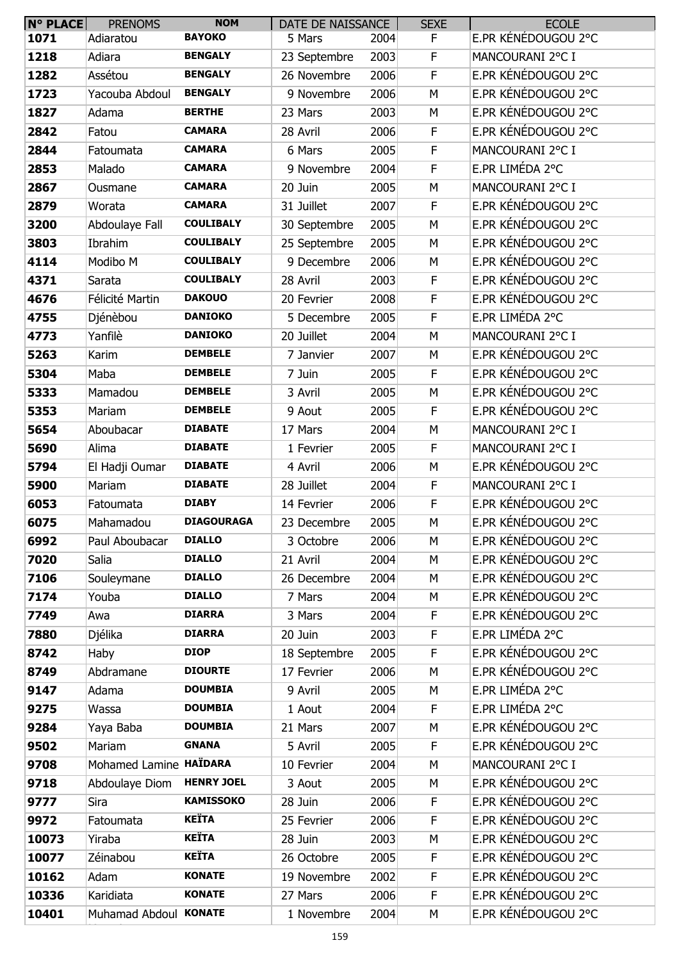| N° PLACE | <b>PRENOMS</b>         | <b>NOM</b>        | DATE DE NAISSANCE |      | <b>SEXE</b> | <b>ECOLE</b>        |
|----------|------------------------|-------------------|-------------------|------|-------------|---------------------|
| 1071     | Adiaratou              | <b>BAYOKO</b>     | 5 Mars            | 2004 | F           | E.PR KÉNÉDOUGOU 2°C |
| 1218     | Adiara                 | <b>BENGALY</b>    | 23 Septembre      | 2003 | F           | MANCOURANI 2°C I    |
| 1282     | Assétou                | <b>BENGALY</b>    | 26 Novembre       | 2006 | F           | E.PR KÉNÉDOUGOU 2°C |
| 1723     | Yacouba Abdoul         | <b>BENGALY</b>    | 9 Novembre        | 2006 | M           | E.PR KÉNÉDOUGOU 2°C |
| 1827     | Adama                  | <b>BERTHE</b>     | 23 Mars           | 2003 | M           | E.PR KÉNÉDOUGOU 2°C |
| 2842     | Fatou                  | <b>CAMARA</b>     | 28 Avril          | 2006 | $\mathsf F$ | E.PR KÉNÉDOUGOU 2°C |
| 2844     | Fatoumata              | <b>CAMARA</b>     | 6 Mars            | 2005 | F           | MANCOURANI 2°C I    |
| 2853     | Malado                 | <b>CAMARA</b>     | 9 Novembre        | 2004 | F           | E.PR LIMÉDA 2°C     |
| 2867     | Ousmane                | <b>CAMARA</b>     | 20 Juin           | 2005 | M           | MANCOURANI 2°C I    |
| 2879     | Worata                 | <b>CAMARA</b>     | 31 Juillet        | 2007 | F           | E.PR KÉNÉDOUGOU 2°C |
| 3200     | Abdoulaye Fall         | <b>COULIBALY</b>  | 30 Septembre      | 2005 | M           | E.PR KÉNÉDOUGOU 2°C |
| 3803     | Ibrahim                | <b>COULIBALY</b>  | 25 Septembre      | 2005 | M           | E.PR KÉNÉDOUGOU 2°C |
| 4114     | Modibo M               | <b>COULIBALY</b>  | 9 Decembre        | 2006 | M           | E.PR KÉNÉDOUGOU 2°C |
| 4371     | Sarata                 | <b>COULIBALY</b>  | 28 Avril          | 2003 | F           | E.PR KÉNÉDOUGOU 2°C |
| 4676     | Félicité Martin        | <b>DAKOUO</b>     | 20 Fevrier        | 2008 | F           | E.PR KÉNÉDOUGOU 2°C |
| 4755     | Djénèbou               | <b>DANIOKO</b>    | 5 Decembre        | 2005 | F           | E.PR LIMÉDA 2°C     |
| 4773     | Yanfilè                | <b>DANIOKO</b>    | 20 Juillet        | 2004 | M           | MANCOURANI 2°C I    |
| 5263     | Karim                  | <b>DEMBELE</b>    | 7 Janvier         | 2007 | M           | E.PR KÉNÉDOUGOU 2°C |
| 5304     | Maba                   | <b>DEMBELE</b>    | 7 Juin            | 2005 | F           | E.PR KÉNÉDOUGOU 2°C |
| 5333     | Mamadou                | <b>DEMBELE</b>    | 3 Avril           | 2005 | M           | E.PR KÉNÉDOUGOU 2°C |
| 5353     | Mariam                 | <b>DEMBELE</b>    | 9 Aout            | 2005 | F           | E.PR KÉNÉDOUGOU 2°C |
| 5654     | Aboubacar              | <b>DIABATE</b>    | 17 Mars           | 2004 | M           | MANCOURANI 2°C I    |
| 5690     | Alima                  | <b>DIABATE</b>    | 1 Fevrier         | 2005 | F           | MANCOURANI 2°C I    |
| 5794     | El Hadji Oumar         | <b>DIABATE</b>    | 4 Avril           | 2006 | M           | E.PR KÉNÉDOUGOU 2°C |
| 5900     | Mariam                 | <b>DIABATE</b>    | 28 Juillet        | 2004 | F.          | MANCOURANI 2°C I    |
| 6053     | Fatoumata              | <b>DIABY</b>      | 14 Fevrier        | 2006 | F           | E.PR KÉNÉDOUGOU 2°C |
| 6075     | Mahamadou              | <b>DIAGOURAGA</b> | 23 Decembre       | 2005 | M           | E.PR KÉNÉDOUGOU 2°C |
| 6992     | Paul Aboubacar         | <b>DIALLO</b>     | 3 Octobre         | 2006 | M           | E.PR KÉNÉDOUGOU 2°C |
| 7020     | Salia                  | <b>DIALLO</b>     | 21 Avril          | 2004 | M           | E.PR KÉNÉDOUGOU 2°C |
| 7106     | Souleymane             | <b>DIALLO</b>     | 26 Decembre       | 2004 | М           | E.PR KÉNÉDOUGOU 2°C |
| 7174     | Youba                  | <b>DIALLO</b>     | 7 Mars            | 2004 | M           | E.PR KÉNÉDOUGOU 2°C |
| 7749     | Awa                    | <b>DIARRA</b>     | 3 Mars            | 2004 | F.          | E.PR KÉNÉDOUGOU 2°C |
| 7880     | Djélika                | <b>DIARRA</b>     | 20 Juin           | 2003 | F           | E.PR LIMÉDA 2°C     |
| 8742     | Haby                   | <b>DIOP</b>       | 18 Septembre      | 2005 | F           | E.PR KÉNÉDOUGOU 2°C |
| 8749     | Abdramane              | <b>DIOURTE</b>    | 17 Fevrier        | 2006 | M           | E.PR KÉNÉDOUGOU 2°C |
| 9147     | Adama                  | <b>DOUMBIA</b>    | 9 Avril           | 2005 | M           | E.PR LIMÉDA 2°C     |
| 9275     | Wassa                  | <b>DOUMBIA</b>    | 1 Aout            | 2004 | F.          | E.PR LIMÉDA 2°C     |
| 9284     | Yaya Baba              | <b>DOUMBIA</b>    | 21 Mars           | 2007 | M           | E.PR KÉNÉDOUGOU 2°C |
| 9502     | Mariam                 | <b>GNANA</b>      | 5 Avril           | 2005 | F           | E.PR KÉNÉDOUGOU 2°C |
| 9708     | Mohamed Lamine HAÏDARA |                   | 10 Fevrier        | 2004 | M           | MANCOURANI 2°C I    |
| 9718     | Abdoulaye Diom         | <b>HENRY JOEL</b> | 3 Aout            | 2005 | М           | E.PR KÉNÉDOUGOU 2°C |
| 9777     | Sira                   | <b>KAMISSOKO</b>  | 28 Juin           | 2006 | F           | E.PR KÉNÉDOUGOU 2°C |
| 9972     | Fatoumata              | <b>KEÏTA</b>      | 25 Fevrier        | 2006 | F           | E.PR KÉNÉDOUGOU 2°C |
| 10073    | Yiraba                 | <b>KEÏTA</b>      | 28 Juin           | 2003 | М           | E.PR KÉNÉDOUGOU 2°C |
| 10077    | Zéinabou               | <b>KEÏTA</b>      | 26 Octobre        | 2005 | F           | E.PR KÉNÉDOUGOU 2°C |
| 10162    | Adam                   | <b>KONATE</b>     | 19 Novembre       | 2002 | F           | E.PR KÉNÉDOUGOU 2°C |
| 10336    | Karidiata              | <b>KONATE</b>     | 27 Mars           | 2006 | F           | E.PR KÉNÉDOUGOU 2°C |
| 10401    | Muhamad Abdoul KONATE  |                   | 1 Novembre        | 2004 | М           | E.PR KÉNÉDOUGOU 2°C |
|          |                        |                   |                   |      |             |                     |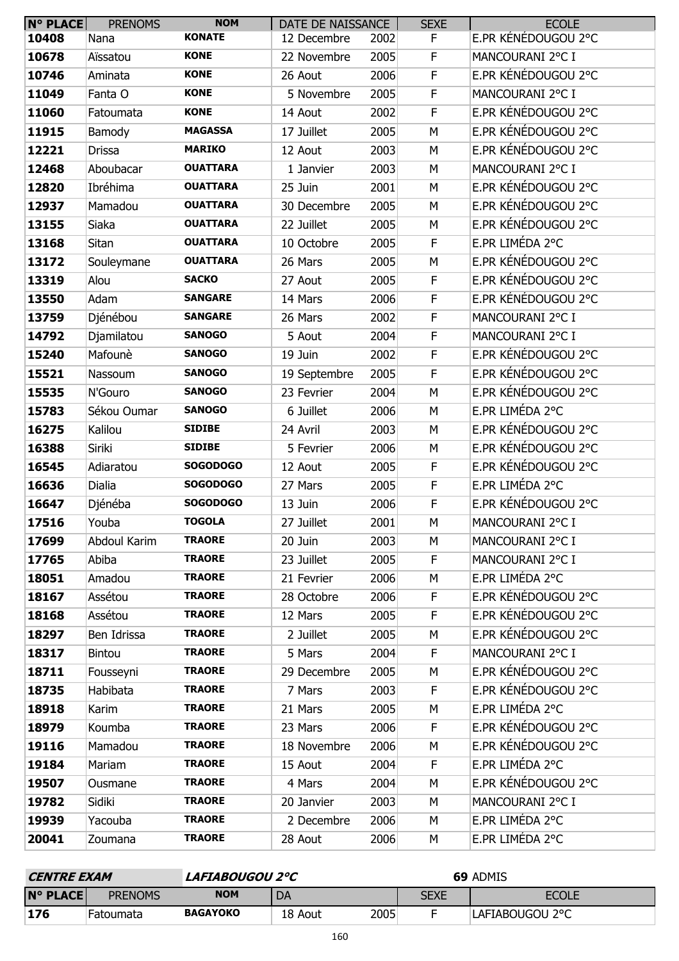| <b>N° PLACE</b> | <b>PRENOMS</b> | <b>NOM</b>      | DATE DE NAISSANCE |      | <b>SEXE</b> | <b>ECOLE</b>        |
|-----------------|----------------|-----------------|-------------------|------|-------------|---------------------|
| 10408           | Nana           | <b>KONATE</b>   | 12 Decembre       | 2002 | F           | E.PR KÉNÉDOUGOU 2°C |
| 10678           | Aïssatou       | <b>KONE</b>     | 22 Novembre       | 2005 | F           | MANCOURANI 2°C I    |
| 10746           | Aminata        | <b>KONE</b>     | 26 Aout           | 2006 | $\mathsf F$ | E.PR KÉNÉDOUGOU 2°C |
| 11049           | Fanta O        | <b>KONE</b>     | 5 Novembre        | 2005 | F           | MANCOURANI 2°C I    |
| 11060           | Fatoumata      | <b>KONE</b>     | 14 Aout           | 2002 | $\mathsf F$ | E.PR KÉNÉDOUGOU 2°C |
| 11915           | Bamody         | <b>MAGASSA</b>  | 17 Juillet        | 2005 | M           | E.PR KÉNÉDOUGOU 2°C |
| 12221           | <b>Drissa</b>  | <b>MARIKO</b>   | 12 Aout           | 2003 | M           | E.PR KÉNÉDOUGOU 2°C |
| 12468           | Aboubacar      | <b>OUATTARA</b> | 1 Janvier         | 2003 | M           | MANCOURANI 2°C I    |
| 12820           | Ibréhima       | <b>OUATTARA</b> | 25 Juin           | 2001 | М           | E.PR KÉNÉDOUGOU 2°C |
| 12937           | Mamadou        | <b>OUATTARA</b> | 30 Decembre       | 2005 | M           | E.PR KÉNÉDOUGOU 2°C |
| 13155           | Siaka          | <b>OUATTARA</b> | 22 Juillet        | 2005 | M           | E.PR KÉNÉDOUGOU 2°C |
| 13168           | Sitan          | <b>OUATTARA</b> | 10 Octobre        | 2005 | F           | E.PR LIMÉDA 2°C     |
| 13172           | Souleymane     | <b>OUATTARA</b> | 26 Mars           | 2005 | M           | E.PR KÉNÉDOUGOU 2°C |
| 13319           | Alou           | <b>SACKO</b>    | 27 Aout           | 2005 | F           | E.PR KÉNÉDOUGOU 2°C |
| 13550           | Adam           | <b>SANGARE</b>  | 14 Mars           | 2006 | F           | E.PR KÉNÉDOUGOU 2°C |
| 13759           | Djénébou       | <b>SANGARE</b>  | 26 Mars           | 2002 | F           | MANCOURANI 2°C I    |
| 14792           | Djamilatou     | <b>SANOGO</b>   | 5 Aout            | 2004 | $\mathsf F$ | MANCOURANI 2°C I    |
| 15240           | Mafounè        | <b>SANOGO</b>   | 19 Juin           | 2002 | F           | E.PR KÉNÉDOUGOU 2°C |
| 15521           | Nassoum        | <b>SANOGO</b>   | 19 Septembre      | 2005 | $\mathsf F$ | E.PR KÉNÉDOUGOU 2°C |
| 15535           | N'Gouro        | <b>SANOGO</b>   | 23 Fevrier        | 2004 | M           | E.PR KÉNÉDOUGOU 2°C |
| 15783           | Sékou Oumar    | <b>SANOGO</b>   | 6 Juillet         | 2006 | M           | E.PR LIMÉDA 2°C     |
| 16275           | Kalilou        | <b>SIDIBE</b>   | 24 Avril          | 2003 | M           | E.PR KÉNÉDOUGOU 2°C |
| 16388           | Siriki         | <b>SIDIBE</b>   | 5 Fevrier         | 2006 | М           | E.PR KÉNÉDOUGOU 2°C |
| 16545           | Adiaratou      | <b>SOGODOGO</b> | 12 Aout           | 2005 | $\mathsf F$ | E.PR KÉNÉDOUGOU 2°C |
| 16636           | Dialia         | <b>SOGODOGO</b> | 27 Mars           | 2005 | F           | E.PR LIMÉDA 2°C     |
| 16647           | Djénéba        | <b>SOGODOGO</b> | 13 Juin           | 2006 | F           | E.PR KÉNÉDOUGOU 2°C |
| 17516           | Youba          | <b>TOGOLA</b>   | 27 Juillet        | 2001 | М           | MANCOURANI 2°C I    |
| 17699           | Abdoul Karim   | <b>TRAORE</b>   | 20 Juin           | 2003 | М           | MANCOURANI 2°C I    |
| 17765           | Abiba          | <b>TRAORE</b>   | 23 Juillet        | 2005 | F.          | MANCOURANI 2°C I    |
| 18051           | Amadou         | <b>TRAORE</b>   | 21 Fevrier        | 2006 | М           | E.PR LIMÉDA 2°C     |
| 18167           | Assétou        | <b>TRAORE</b>   | 28 Octobre        | 2006 | F.          | E.PR KÉNÉDOUGOU 2°C |
| 18168           | Assétou        | <b>TRAORE</b>   | 12 Mars           | 2005 | F           | E.PR KÉNÉDOUGOU 2°C |
| 18297           | Ben Idrissa    | <b>TRAORE</b>   | 2 Juillet         | 2005 | М           | E.PR KÉNÉDOUGOU 2°C |
| 18317           | <b>Bintou</b>  | <b>TRAORE</b>   | 5 Mars            | 2004 | F.          | MANCOURANI 2°C I    |
| 18711           | Fousseyni      | <b>TRAORE</b>   | 29 Decembre       | 2005 | M           | E.PR KÉNÉDOUGOU 2°C |
| 18735           | Habibata       | <b>TRAORE</b>   | 7 Mars            | 2003 | F           | E.PR KÉNÉDOUGOU 2°C |
| 18918           | Karim          | <b>TRAORE</b>   | 21 Mars           | 2005 | М           | E.PR LIMÉDA 2°C     |
| 18979           | Koumba         | <b>TRAORE</b>   | 23 Mars           | 2006 | F.          | E.PR KÉNÉDOUGOU 2°C |
| 19116           | Mamadou        | <b>TRAORE</b>   | 18 Novembre       | 2006 | M           | E.PR KÉNÉDOUGOU 2°C |
| 19184           | Mariam         | <b>TRAORE</b>   | 15 Aout           | 2004 | F.          | E.PR LIMÉDA 2°C     |
| 19507           | Ousmane        | <b>TRAORE</b>   | 4 Mars            | 2004 | М           | E.PR KÉNÉDOUGOU 2°C |
| 19782           | Sidiki         | <b>TRAORE</b>   | 20 Janvier        | 2003 | М           | MANCOURANI 2°C I    |
| 19939           | Yacouba        | <b>TRAORE</b>   | 2 Decembre        | 2006 | М           | E.PR LIMÉDA 2°C     |
| 20041           | Zoumana        | <b>TRAORE</b>   | 28 Aout           | 2006 | М           | E.PR LIMÉDA 2°C     |

| <i><b>CENTRE EXAM</b></i> |                  | LAFIABOUGOU 2°C |         |      | 69 ADMIS |                 |
|---------------------------|------------------|-----------------|---------|------|----------|-----------------|
| $N^{\circ}$ PLACE         | <b>PRENOMS</b>   | NOM             | DA      |      | SEXE     | <b>ECOLE</b>    |
| 176                       | <b>Fatoumata</b> | <b>BAGAYOKO</b> | 18 Aout | 2005 |          | LAFIABOUGOU 2°C |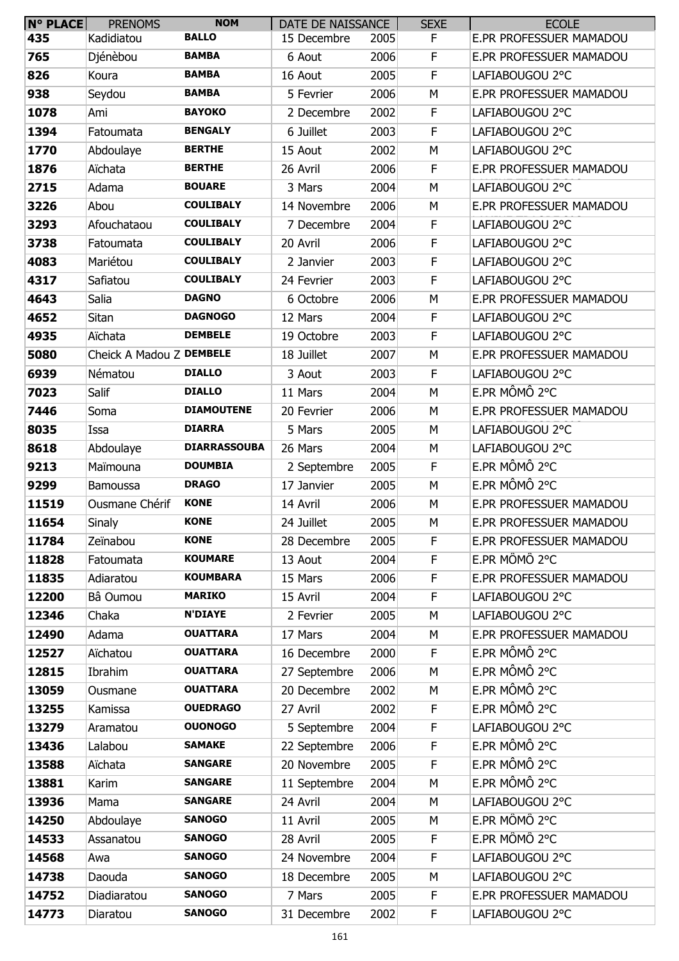| N° PLACE | <b>PRENOMS</b>           | <b>NOM</b>          | DATE DE NAISSANCE |      | <b>SEXE</b> | <b>ECOLE</b>                   |
|----------|--------------------------|---------------------|-------------------|------|-------------|--------------------------------|
| 435      | Kadidiatou               | <b>BALLO</b>        | 15 Decembre       | 2005 | F           | E.PR PROFESSUER MAMADOU        |
| 765      | Djénèbou                 | <b>BAMBA</b>        | 6 Aout            | 2006 | F           | <b>E.PR PROFESSUER MAMADOU</b> |
| 826      | Koura                    | <b>BAMBA</b>        | 16 Aout           | 2005 | F           | LAFIABOUGOU 2°C                |
| 938      | Seydou                   | <b>BAMBA</b>        | 5 Fevrier         | 2006 | M           | E.PR PROFESSUER MAMADOU        |
| 1078     | Ami                      | <b>BAYOKO</b>       | 2 Decembre        | 2002 | F           | LAFIABOUGOU 2°C                |
| 1394     | Fatoumata                | <b>BENGALY</b>      | 6 Juillet         | 2003 | $\mathsf F$ | LAFIABOUGOU 2°C                |
| 1770     | Abdoulaye                | <b>BERTHE</b>       | 15 Aout           | 2002 | M           | LAFIABOUGOU 2°C                |
| 1876     | Aïchata                  | <b>BERTHE</b>       | 26 Avril          | 2006 | F           | <b>E.PR PROFESSUER MAMADOU</b> |
| 2715     | Adama                    | <b>BOUARE</b>       | 3 Mars            | 2004 | M           | LAFIABOUGOU 2°C                |
| 3226     | Abou                     | <b>COULIBALY</b>    | 14 Novembre       | 2006 | М           | E.PR PROFESSUER MAMADOU        |
| 3293     | Afouchataou              | <b>COULIBALY</b>    | 7 Decembre        | 2004 | F           | LAFIABOUGOU 2°C                |
| 3738     | Fatoumata                | <b>COULIBALY</b>    | 20 Avril          | 2006 | $\mathsf F$ | LAFIABOUGOU 2°C                |
| 4083     | Mariétou                 | <b>COULIBALY</b>    | 2 Janvier         | 2003 | F           | LAFIABOUGOU 2°C                |
| 4317     | Safiatou                 | <b>COULIBALY</b>    | 24 Fevrier        | 2003 | $\mathsf F$ | LAFIABOUGOU 2°C                |
| 4643     | Salia                    | <b>DAGNO</b>        | 6 Octobre         | 2006 | M           | E.PR PROFESSUER MAMADOU        |
| 4652     | Sitan                    | <b>DAGNOGO</b>      | 12 Mars           | 2004 | F           | LAFIABOUGOU 2°C                |
| 4935     | Aïchata                  | <b>DEMBELE</b>      | 19 Octobre        | 2003 | F           | LAFIABOUGOU 2°C                |
| 5080     | Cheick A Madou Z DEMBELE |                     | 18 Juillet        | 2007 | M           | E.PR PROFESSUER MAMADOU        |
| 6939     | Nématou                  | <b>DIALLO</b>       | 3 Aout            | 2003 | $\mathsf F$ | LAFIABOUGOU 2°C                |
| 7023     | Salif                    | <b>DIALLO</b>       | 11 Mars           | 2004 | M           | E.PR MÔMÔ 2°C                  |
| 7446     | Soma                     | <b>DIAMOUTENE</b>   | 20 Fevrier        | 2006 | M           | E.PR PROFESSUER MAMADOU        |
| 8035     | Issa                     | <b>DIARRA</b>       | 5 Mars            | 2005 | M           | LAFIABOUGOU 2°C                |
| 8618     | Abdoulaye                | <b>DIARRASSOUBA</b> | 26 Mars           | 2004 | M           | LAFIABOUGOU 2°C                |
| 9213     | Maïmouna                 | <b>DOUMBIA</b>      | 2 Septembre       | 2005 | F           | E.PR MÔMÔ 2°C                  |
| 9299     | <b>Bamoussa</b>          | <b>DRAGO</b>        | 17 Janvier        | 2005 | M           | E.PR MÔMÔ 2°C                  |
| 11519    | Ousmane Chérif           | <b>KONE</b>         | 14 Avril          | 2006 | М           | E.PR PROFESSUER MAMADOU        |
| 11654    | Sinaly                   | <b>KONE</b>         | 24 Juillet        | 2005 | M           | E.PR PROFESSUER MAMADOU        |
| 11784    | Zeïnabou                 | <b>KONE</b>         | 28 Decembre       | 2005 | F           | E.PR PROFESSUER MAMADOU        |
| 11828    | Fatoumata                | <b>KOUMARE</b>      | 13 Aout           | 2004 | F           | E.PR MÔMÔ 2°C                  |
| 11835    | Adiaratou                | <b>KOUMBARA</b>     | 15 Mars           | 2006 | F           | E.PR PROFESSUER MAMADOU        |
| 12200    | Bâ Oumou                 | <b>MARIKO</b>       | 15 Avril          | 2004 | $\mathsf F$ | LAFIABOUGOU 2°C                |
| 12346    | Chaka                    | <b>N'DIAYE</b>      | 2 Fevrier         | 2005 | M           | LAFIABOUGOU 2°C                |
| 12490    | Adama                    | <b>OUATTARA</b>     | 17 Mars           | 2004 | М           | E.PR PROFESSUER MAMADOU        |
| 12527    | Aïchatou                 | <b>OUATTARA</b>     | 16 Decembre       | 2000 | F           | E.PR MÔMÔ 2°C                  |
| 12815    | Ibrahim                  | <b>OUATTARA</b>     | 27 Septembre      | 2006 | M           | E.PR MÔMÔ 2°C                  |
| 13059    | Ousmane                  | <b>OUATTARA</b>     | 20 Decembre       | 2002 | М           | E.PR MÔMÔ 2°C                  |
| 13255    | Kamissa                  | <b>OUEDRAGO</b>     | 27 Avril          | 2002 | F           | E.PR MÔMÔ 2°C                  |
| 13279    | Aramatou                 | <b>OUONOGO</b>      | 5 Septembre       | 2004 | F           | LAFIABOUGOU 2°C                |
| 13436    | Lalabou                  | <b>SAMAKE</b>       | 22 Septembre      | 2006 | F           | E.PR MÔMÔ 2°C                  |
| 13588    | Aïchata                  | <b>SANGARE</b>      | 20 Novembre       | 2005 | F           | E.PR MÔMÔ 2°C                  |
| 13881    | Karim                    | <b>SANGARE</b>      | 11 Septembre      | 2004 | M           | E.PR MÔMÔ 2°C                  |
| 13936    | Mama                     | <b>SANGARE</b>      | 24 Avril          | 2004 | M           | LAFIABOUGOU 2°C                |
| 14250    | Abdoulaye                | <b>SANOGO</b>       | 11 Avril          | 2005 | M           | E.PR MÔMÔ 2°C                  |
| 14533    | Assanatou                | <b>SANOGO</b>       | 28 Avril          | 2005 | F           | E.PR MÔMÔ 2°C                  |
| 14568    | Awa                      | <b>SANOGO</b>       | 24 Novembre       | 2004 | $\mathsf F$ | LAFIABOUGOU 2°C                |
| 14738    | Daouda                   | <b>SANOGO</b>       | 18 Decembre       | 2005 | M           | LAFIABOUGOU 2°C                |
| 14752    | Diadiaratou              | <b>SANOGO</b>       | 7 Mars            | 2005 | F           | E.PR PROFESSUER MAMADOU        |
| 14773    | Diaratou                 | <b>SANOGO</b>       | 31 Decembre       | 2002 | F           | LAFIABOUGOU 2°C                |
|          |                          |                     |                   |      |             |                                |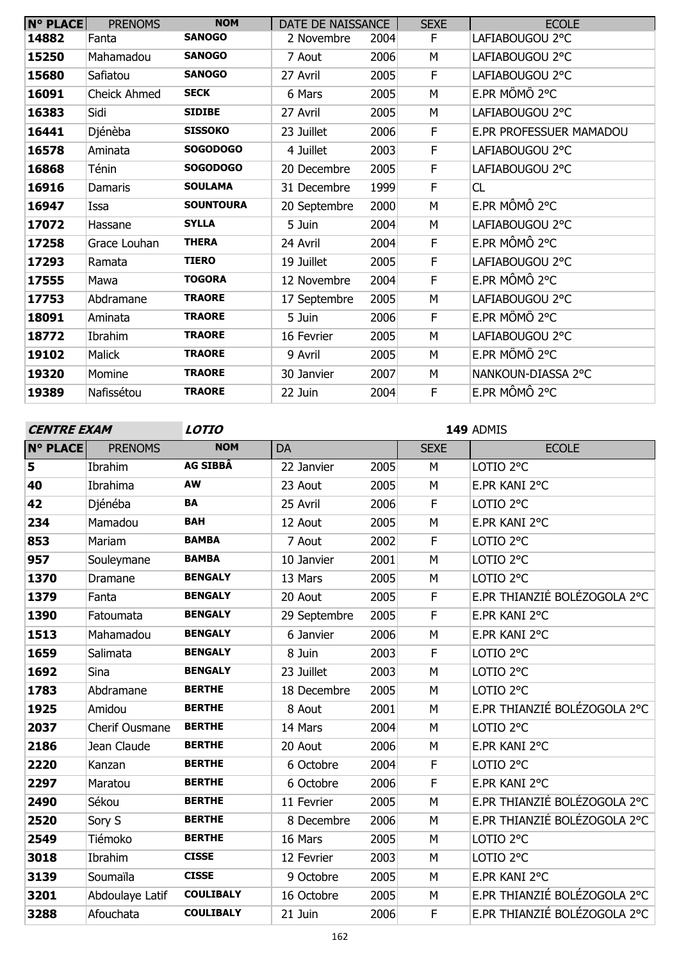| <b>N° PLACE</b> | <b>PRENOMS</b>      | <b>NOM</b>       | DATE DE NAISSANCE |      | <b>SEXE</b> | <b>ECOLE</b>            |
|-----------------|---------------------|------------------|-------------------|------|-------------|-------------------------|
| 14882           | Fanta               | <b>SANOGO</b>    | 2 Novembre        | 2004 | F.          | LAFIABOUGOU 2°C         |
| 15250           | Mahamadou           | <b>SANOGO</b>    | 7 Aout            | 2006 | M           | LAFIABOUGOU 2°C         |
| 15680           | Safiatou            | <b>SANOGO</b>    | 27 Avril          | 2005 | F.          | LAFIABOUGOU 2°C         |
| 16091           | <b>Cheick Ahmed</b> | <b>SECK</b>      | 6 Mars            | 2005 | M           | E.PR MÔMÔ 2°C           |
| 16383           | Sidi                | <b>SIDIBE</b>    | 27 Avril          | 2005 | M           | LAFIABOUGOU 2°C         |
| 16441           | Djénèba             | <b>SISSOKO</b>   | 23 Juillet        | 2006 | F           | E.PR PROFESSUER MAMADOU |
| 16578           | Aminata             | <b>SOGODOGO</b>  | 4 Juillet         | 2003 | F           | LAFIABOUGOU 2°C         |
| 16868           | Ténin               | <b>SOGODOGO</b>  | 20 Decembre       | 2005 | F           | LAFIABOUGOU 2°C         |
| 16916           | Damaris             | <b>SOULAMA</b>   | 31 Decembre       | 1999 | F           | CL                      |
| 16947           | Issa                | <b>SOUNTOURA</b> | 20 Septembre      | 2000 | M           | E.PR MÔMÔ 2°C           |
| 17072           | Hassane             | <b>SYLLA</b>     | 5 Juin            | 2004 | M           | LAFIABOUGOU 2°C         |
| 17258           | Grace Louhan        | <b>THERA</b>     | 24 Avril          | 2004 | F           | E.PR MÔMÔ 2°C           |
| 17293           | Ramata              | <b>TIERO</b>     | 19 Juillet        | 2005 | F           | LAFIABOUGOU 2°C         |
| 17555           | Mawa                | <b>TOGORA</b>    | 12 Novembre       | 2004 | F           | E.PR MÔMÔ 2°C           |
| 17753           | Abdramane           | <b>TRAORE</b>    | 17 Septembre      | 2005 | M           | LAFIABOUGOU 2°C         |
| 18091           | Aminata             | <b>TRAORE</b>    | 5 Juin            | 2006 | F           | E.PR MÔMÔ 2°C           |
| 18772           | Ibrahim             | <b>TRAORE</b>    | 16 Fevrier        | 2005 | M           | LAFIABOUGOU 2°C         |
| 19102           | <b>Malick</b>       | <b>TRAORE</b>    | 9 Avril           | 2005 | M           | E.PR MÔMÔ 2°C           |
| 19320           | Momine              | <b>TRAORE</b>    | 30 Janvier        | 2007 | M           | NANKOUN-DIASSA 2°C      |
| 19389           | Nafissétou          | <b>TRAORE</b>    | 22 Juin           | 2004 | F           | E.PR MÔMÔ 2°C           |

**CENTRE EXAM**

**LOTIO 149** ADMIS

| <b>N° PLACE</b> | <b>PRENOMS</b>  | <b>NOM</b>       | DA           |      | <b>SEXE</b> | <b>ECOLE</b>                 |
|-----------------|-----------------|------------------|--------------|------|-------------|------------------------------|
| 5               | Ibrahim         | <b>AG SIBBÂ</b>  | 22 Janvier   | 2005 | M           | LOTIO <sub>2°C</sub>         |
| 40              | Ibrahima        | AW               | 23 Aout      | 2005 | M           | E.PR KANI 2°C                |
| 42              | Djénéba         | <b>BA</b>        | 25 Avril     | 2006 | F           | LOTIO <sub>2°C</sub>         |
| 234             | Mamadou         | <b>BAH</b>       | 12 Aout      | 2005 | M           | E.PR KANI 2°C                |
| 853             | Mariam          | <b>BAMBA</b>     | 7 Aout       | 2002 | F           | LOTIO <sub>2°C</sub>         |
| 957             | Souleymane      | <b>BAMBA</b>     | 10 Janvier   | 2001 | M           | LOTIO <sub>2°C</sub>         |
| 1370            | Dramane         | <b>BENGALY</b>   | 13 Mars      | 2005 | M           | LOTIO <sub>2°C</sub>         |
| 1379            | Fanta           | <b>BENGALY</b>   | 20 Aout      | 2005 | F           | E.PR THIANZIÉ BOLÉZOGOLA 2°C |
| 1390            | Fatoumata       | <b>BENGALY</b>   | 29 Septembre | 2005 | F           | E.PR KANI 2°C                |
| 1513            | Mahamadou       | <b>BENGALY</b>   | 6 Janvier    | 2006 | M           | E.PR KANI 2°C                |
| 1659            | Salimata        | <b>BENGALY</b>   | 8 Juin       | 2003 | $\mathsf F$ | LOTIO <sub>2°C</sub>         |
| 1692            | Sina            | <b>BENGALY</b>   | 23 Juillet   | 2003 | M           | LOTIO <sub>2°C</sub>         |
| 1783            | Abdramane       | <b>BERTHE</b>    | 18 Decembre  | 2005 | M           | LOTIO <sub>2°C</sub>         |
| 1925            | Amidou          | <b>BERTHE</b>    | 8 Aout       | 2001 | M           | E.PR THIANZIÉ BOLÉZOGOLA 2°C |
| 2037            | Cherif Ousmane  | <b>BERTHE</b>    | 14 Mars      | 2004 | M           | LOTIO <sub>2°C</sub>         |
| 2186            | Jean Claude     | <b>BERTHE</b>    | 20 Aout      | 2006 | M           | E.PR KANI 2°C                |
| 2220            | Kanzan          | <b>BERTHE</b>    | 6 Octobre    | 2004 | F           | LOTIO <sub>2°C</sub>         |
| 2297            | Maratou         | <b>BERTHE</b>    | 6 Octobre    | 2006 | F           | E.PR KANI 2°C                |
| 2490            | Sékou           | <b>BERTHE</b>    | 11 Fevrier   | 2005 | M           | E.PR THIANZIÉ BOLÉZOGOLA 2°C |
| 2520            | Sory S          | <b>BERTHE</b>    | 8 Decembre   | 2006 | M           | E.PR THIANZIÉ BOLÉZOGOLA 2°C |
| 2549            | Tiémoko         | <b>BERTHE</b>    | 16 Mars      | 2005 | M           | LOTIO <sub>2°C</sub>         |
| 3018            | Ibrahim         | <b>CISSE</b>     | 12 Fevrier   | 2003 | M           | LOTIO <sub>2°C</sub>         |
| 3139            | Soumaïla        | <b>CISSE</b>     | 9 Octobre    | 2005 | M           | E.PR KANI 2°C                |
| 3201            | Abdoulaye Latif | <b>COULIBALY</b> | 16 Octobre   | 2005 | M           | E.PR THIANZIÉ BOLÉZOGOLA 2°C |
| 3288            | Afouchata       | <b>COULIBALY</b> | 21 Juin      | 2006 | F           | E.PR THIANZIÉ BOLÉZOGOLA 2°C |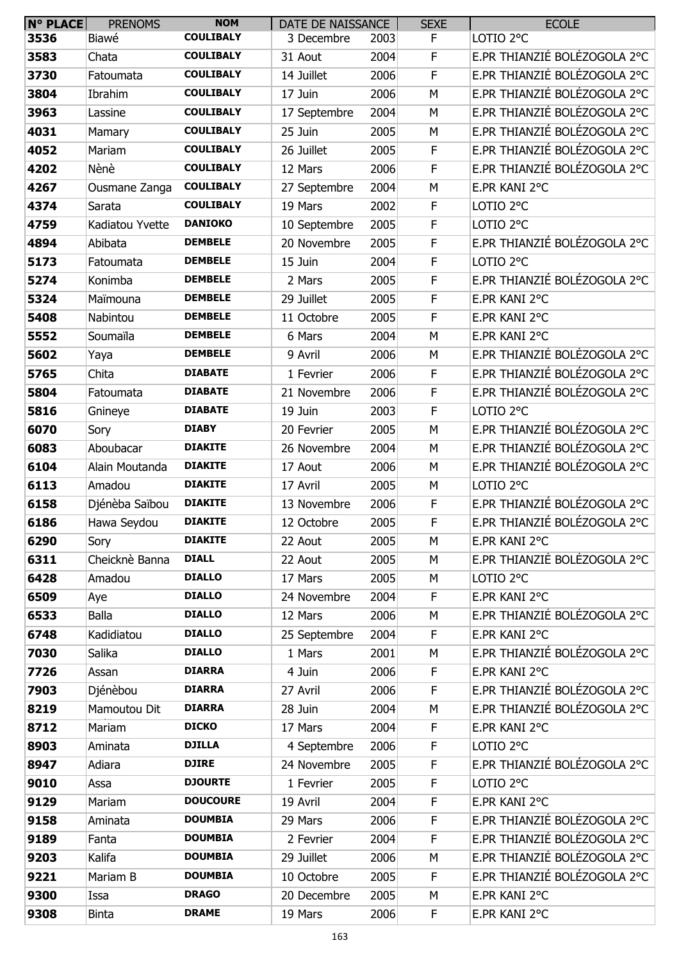| <b>N° PLACE</b> | <b>PRENOMS</b>  | <b>NOM</b>       | DATE DE NAISSANCE |      | <b>SEXE</b> | <b>ECOLE</b>                                  |
|-----------------|-----------------|------------------|-------------------|------|-------------|-----------------------------------------------|
| 3536            | Biawé           | <b>COULIBALY</b> | 3 Decembre        | 2003 | F           | LOTIO <sub>2°C</sub>                          |
| 3583            | Chata           | <b>COULIBALY</b> | 31 Aout           | 2004 | F           | E.PR THIANZIÉ BOLÉZOGOLA 2°C                  |
| 3730            | Fatoumata       | <b>COULIBALY</b> | 14 Juillet        | 2006 | F           | E.PR THIANZIÉ BOLÉZOGOLA 2°C                  |
| 3804            | Ibrahim         | <b>COULIBALY</b> | 17 Juin           | 2006 | M           | E.PR THIANZIÉ BOLÉZOGOLA 2°C                  |
| 3963            | Lassine         | <b>COULIBALY</b> | 17 Septembre      | 2004 | М           | E.PR THIANZIÉ BOLÉZOGOLA 2°C                  |
| 4031            | Mamary          | <b>COULIBALY</b> | 25 Juin           | 2005 | М           | E.PR THIANZIÉ BOLÉZOGOLA 2°C                  |
| 4052            | Mariam          | <b>COULIBALY</b> | 26 Juillet        | 2005 | F           | E.PR THIANZIÉ BOLÉZOGOLA 2°C                  |
| 4202            | Nènè            | <b>COULIBALY</b> | 12 Mars           | 2006 | F           | E.PR THIANZIÉ BOLÉZOGOLA 2°C                  |
| 4267            | Ousmane Zanga   | <b>COULIBALY</b> | 27 Septembre      | 2004 | M           | E.PR KANI 2°C                                 |
| 4374            | Sarata          | <b>COULIBALY</b> | 19 Mars           | 2002 | F           | LOTIO <sub>2°C</sub>                          |
| 4759            | Kadiatou Yvette | <b>DANIOKO</b>   | 10 Septembre      | 2005 | F           | LOTIO <sub>2°C</sub>                          |
| 4894            | Abibata         | <b>DEMBELE</b>   | 20 Novembre       | 2005 | F           | E.PR THIANZIÉ BOLÉZOGOLA 2°C                  |
| 5173            | Fatoumata       | <b>DEMBELE</b>   | 15 Juin           | 2004 | F           | LOTIO <sub>2°C</sub>                          |
| 5274            | Konimba         | <b>DEMBELE</b>   | 2 Mars            | 2005 | F           | E.PR THIANZIÉ BOLÉZOGOLA 2°C                  |
| 5324            | Maïmouna        | <b>DEMBELE</b>   | 29 Juillet        | 2005 | F           | E.PR KANI 2°C                                 |
| 5408            | Nabintou        | <b>DEMBELE</b>   | 11 Octobre        | 2005 | F           | E.PR KANI 2°C                                 |
| 5552            | Soumaïla        | <b>DEMBELE</b>   | 6 Mars            | 2004 | M           | E.PR KANI 2°C                                 |
| 5602            | Yaya            | <b>DEMBELE</b>   | 9 Avril           | 2006 | М           | E.PR THIANZIÉ BOLÉZOGOLA 2°C                  |
| 5765            | Chita           | <b>DIABATE</b>   | 1 Fevrier         | 2006 | $\mathsf F$ | E.PR THIANZIÉ BOLÉZOGOLA 2°C                  |
| 5804            | Fatoumata       | <b>DIABATE</b>   | 21 Novembre       | 2006 | F           | E.PR THIANZIÉ BOLÉZOGOLA 2°C                  |
| 5816            | Gnineye         | <b>DIABATE</b>   | 19 Juin           | 2003 | F           | LOTIO <sub>2°C</sub>                          |
| 6070            | Sory            | <b>DIABY</b>     | 20 Fevrier        | 2005 | M           | E.PR THIANZIÉ BOLÉZOGOLA 2°C                  |
| 6083            | Aboubacar       | <b>DIAKITE</b>   | 26 Novembre       | 2004 | M           | E.PR THIANZIÉ BOLÉZOGOLA 2°C                  |
| 6104            | Alain Moutanda  | <b>DIAKITE</b>   | 17 Aout           | 2006 | М           | E.PR THIANZIÉ BOLÉZOGOLA 2°C                  |
| 6113            | Amadou          | <b>DIAKITE</b>   | 17 Avril          | 2005 | М           | LOTIO <sub>2°C</sub>                          |
| 6158            | Djénèba Saïbou  | <b>DIAKITE</b>   | 13 Novembre       | 2006 | F           | E.PR THIANZIÉ BOLÉZOGOLA 2°C                  |
| 6186            | Hawa Seydou     | <b>DIAKITE</b>   | 12 Octobre        | 2005 | F           | E.PR THIANZIÉ BOLÉZOGOLA 2°C                  |
| 6290            | Sory            | <b>DIAKITE</b>   | 22 Aout           | 2005 | М           | E.PR KANI 2°C                                 |
| 6311            | Cheicknè Banna  | <b>DIALL</b>     | 22 Aout           | 2005 | М           | E.PR THIANZIÉ BOLÉZOGOLA 2°C                  |
| 6428            | Amadou          | <b>DIALLO</b>    | 17 Mars           | 2005 | М           | LOTIO <sub>2°C</sub>                          |
| 6509            | Aye             | <b>DIALLO</b>    | 24 Novembre       | 2004 | F           | E.PR KANI 2°C                                 |
| 6533            | <b>Balla</b>    | <b>DIALLO</b>    | 12 Mars           | 2006 | М           | E.PR THIANZIÉ BOLÉZOGOLA 2°C                  |
| 6748            | Kadidiatou      | <b>DIALLO</b>    | 25 Septembre      | 2004 | F           | E.PR KANI 2°C                                 |
| 7030            | Salika          | <b>DIALLO</b>    | 1 Mars            | 2001 | M           | E.PR THIANZIÉ BOLÉZOGOLA 2°C                  |
| 7726            | Assan           | <b>DIARRA</b>    | 4 Juin            | 2006 | F           | E.PR KANI 2°C                                 |
| 7903            | Djénèbou        | <b>DIARRA</b>    | 27 Avril          | 2006 | F           | E.PR THIANZIÉ BOLÉZOGOLA 2°C                  |
| 8219            | Mamoutou Dit    | <b>DIARRA</b>    | 28 Juin           | 2004 | М           | E.PR THIANZIÉ BOLÉZOGOLA 2°C                  |
| 8712            | Mariam          | <b>DICKO</b>     | 17 Mars           | 2004 | F           | E.PR KANI 2°C                                 |
| 8903            | Aminata         | <b>DJILLA</b>    | 4 Septembre       | 2006 | F           | LOTIO <sub>2°C</sub>                          |
| 8947            | Adiara          | <b>DJIRE</b>     | 24 Novembre       | 2005 | F           | E.PR THIANZIÉ BOLÉZOGOLA 2°C                  |
| 9010            |                 | <b>DJOURTE</b>   | 1 Fevrier         | 2005 | F           | LOTIO <sub>2°C</sub>                          |
|                 | Assa            | <b>DOUCOURE</b>  |                   |      |             |                                               |
| 9129            | Mariam          | <b>DOUMBIA</b>   | 19 Avril          | 2004 | F           | E.PR KANI 2°C<br>E.PR THIANZIÉ BOLÉZOGOLA 2°C |
| 9158            | Aminata         | <b>DOUMBIA</b>   | 29 Mars           | 2006 | F           |                                               |
| 9189            | Fanta           | <b>DOUMBIA</b>   | 2 Fevrier         | 2004 | $\mathsf F$ | E.PR THIANZIÉ BOLÉZOGOLA 2°C                  |
| 9203            | Kalifa          |                  | 29 Juillet        | 2006 | М           | E.PR THIANZIÉ BOLÉZOGOLA 2°C                  |
| 9221            | Mariam B        | <b>DOUMBIA</b>   | 10 Octobre        | 2005 | F           | E.PR THIANZIÉ BOLÉZOGOLA 2°C                  |
| 9300            | Issa            | <b>DRAGO</b>     | 20 Decembre       | 2005 | М           | E.PR KANI 2°C                                 |
| 9308            | <b>Binta</b>    | <b>DRAME</b>     | 19 Mars           | 2006 | F           | E.PR KANI 2°C                                 |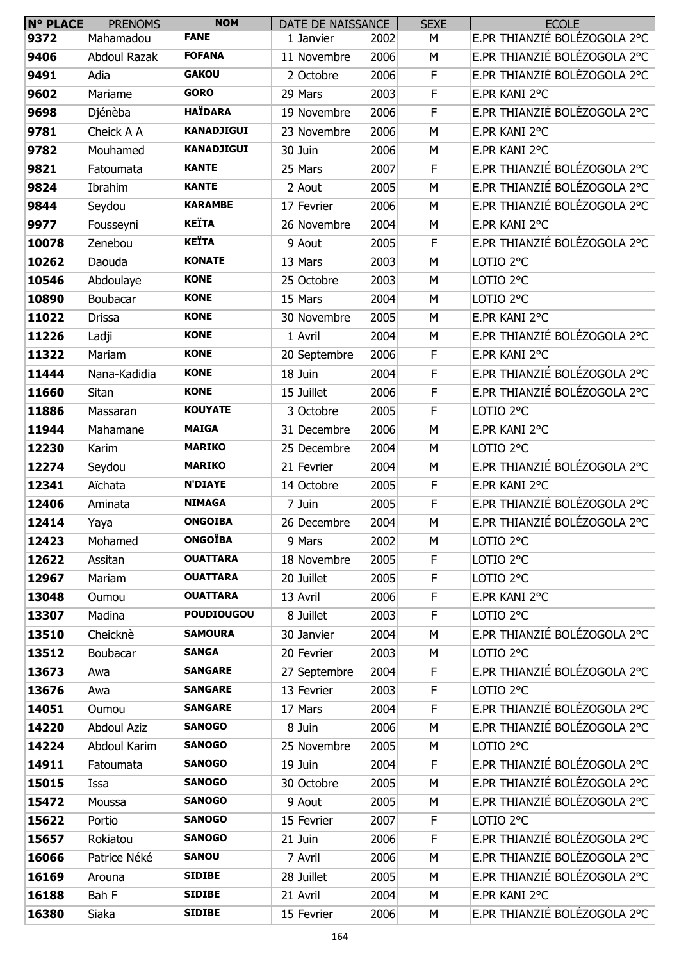| <b>N° PLACE</b> | <b>PRENOMS</b>      | <b>NOM</b>        | DATE DE NAISSANCE |      | <b>SEXE</b> | <b>ECOLE</b>                 |
|-----------------|---------------------|-------------------|-------------------|------|-------------|------------------------------|
| 9372            | Mahamadou           | <b>FANE</b>       | 1 Janvier         | 2002 | М           | E.PR THIANZIÉ BOLÉZOGOLA 2°C |
| 9406            | <b>Abdoul Razak</b> | <b>FOFANA</b>     | 11 Novembre       | 2006 | M           | E.PR THIANZIÉ BOLÉZOGOLA 2°C |
| 9491            | Adia                | <b>GAKOU</b>      | 2 Octobre         | 2006 | $\mathsf F$ | E.PR THIANZIÉ BOLÉZOGOLA 2°C |
| 9602            | Mariame             | <b>GORO</b>       | 29 Mars           | 2003 | F           | E.PR KANI 2°C                |
| 9698            | Djénèba             | <b>HAÏDARA</b>    | 19 Novembre       | 2006 | $\mathsf F$ | E.PR THIANZIÉ BOLÉZOGOLA 2°C |
| 9781            | Cheick A A          | <b>KANADJIGUI</b> | 23 Novembre       | 2006 | M           | E.PR KANI 2°C                |
| 9782            | Mouhamed            | <b>KANADJIGUI</b> | 30 Juin           | 2006 | М           | E.PR KANI 2°C                |
| 9821            | Fatoumata           | <b>KANTE</b>      | 25 Mars           | 2007 | F           | E.PR THIANZIÉ BOLÉZOGOLA 2°C |
| 9824            | Ibrahim             | <b>KANTE</b>      | 2 Aout            | 2005 | M           | E.PR THIANZIÉ BOLÉZOGOLA 2°C |
| 9844            | Seydou              | <b>KARAMBE</b>    | 17 Fevrier        | 2006 | M           | E.PR THIANZIÉ BOLÉZOGOLA 2°C |
| 9977            | Fousseyni           | <b>KEÏTA</b>      | 26 Novembre       | 2004 | M           | E.PR KANI 2°C                |
| 10078           | Zenebou             | <b>KEÏTA</b>      | 9 Aout            | 2005 | F           | E.PR THIANZIÉ BOLÉZOGOLA 2°C |
| 10262           | Daouda              | <b>KONATE</b>     | 13 Mars           | 2003 | M           | LOTIO <sub>2°C</sub>         |
| 10546           | Abdoulaye           | <b>KONE</b>       | 25 Octobre        | 2003 | M           | LOTIO 2°C                    |
| 10890           | Boubacar            | <b>KONE</b>       | 15 Mars           | 2004 | M           | LOTIO <sub>2°C</sub>         |
| 11022           | <b>Drissa</b>       | <b>KONE</b>       | 30 Novembre       | 2005 | М           | E.PR KANI 2°C                |
| 11226           | Ladji               | <b>KONE</b>       | 1 Avril           | 2004 | M           | E.PR THIANZIÉ BOLÉZOGOLA 2°C |
| 11322           | Mariam              | <b>KONE</b>       | 20 Septembre      | 2006 | F           | E.PR KANI 2°C                |
| 11444           | Nana-Kadidia        | <b>KONE</b>       | 18 Juin           | 2004 | $\mathsf F$ | E.PR THIANZIÉ BOLÉZOGOLA 2°C |
| 11660           | Sitan               | <b>KONE</b>       | 15 Juillet        | 2006 | $\mathsf F$ | E.PR THIANZIÉ BOLÉZOGOLA 2°C |
| 11886           | Massaran            | <b>KOUYATE</b>    | 3 Octobre         | 2005 | $\mathsf F$ | LOTIO <sub>2°C</sub>         |
| 11944           | Mahamane            | <b>MAIGA</b>      | 31 Decembre       | 2006 | M           | E.PR KANI 2°C                |
| 12230           | Karim               | <b>MARIKO</b>     | 25 Decembre       | 2004 | M           | LOTIO <sub>2°C</sub>         |
| 12274           | Seydou              | <b>MARIKO</b>     | 21 Fevrier        | 2004 | M           | E.PR THIANZIÉ BOLÉZOGOLA 2°C |
| 12341           | Aïchata             | <b>N'DIAYE</b>    | 14 Octobre        | 2005 | F           | E.PR KANI 2°C                |
| 12406           | Aminata             | <b>NIMAGA</b>     | 7 Juin            | 2005 | F           | E.PR THIANZIÉ BOLÉZOGOLA 2°C |
| 12414           | Yaya                | <b>ONGOIBA</b>    | 26 Decembre       | 2004 | M           | E.PR THIANZIÉ BOLÉZOGOLA 2°C |
| 12423           | Mohamed             | <b>ONGOÏBA</b>    | 9 Mars            | 2002 | М           | LOTIO 2°C                    |
| 12622           | Assitan             | <b>OUATTARA</b>   | 18 Novembre       | 2005 | F           | LOTIO <sub>2°C</sub>         |
| 12967           | Mariam              | <b>OUATTARA</b>   | 20 Juillet        | 2005 | F           | LOTIO 2°C                    |
| 13048           | Oumou               | <b>OUATTARA</b>   | 13 Avril          | 2006 | $\mathsf F$ | E.PR KANI 2°C                |
| 13307           | Madina              | <b>POUDIOUGOU</b> | 8 Juillet         | 2003 | $\mathsf F$ | LOTIO <sub>2°C</sub>         |
| 13510           | Cheicknè            | <b>SAMOURA</b>    | 30 Janvier        | 2004 | М           | E.PR THIANZIÉ BOLÉZOGOLA 2°C |
| 13512           | Boubacar            | <b>SANGA</b>      | 20 Fevrier        | 2003 | М           | LOTIO <sub>2°C</sub>         |
| 13673           | Awa                 | <b>SANGARE</b>    | 27 Septembre      | 2004 | $\mathsf F$ | E.PR THIANZIÉ BOLÉZOGOLA 2°C |
| 13676           | Awa                 | <b>SANGARE</b>    | 13 Fevrier        | 2003 | F           | LOTIO <sub>2°C</sub>         |
| 14051           | Oumou               | <b>SANGARE</b>    | 17 Mars           | 2004 | $\mathsf F$ | E.PR THIANZIÉ BOLÉZOGOLA 2°C |
| 14220           | <b>Abdoul Aziz</b>  | <b>SANOGO</b>     | 8 Juin            | 2006 | M           | E.PR THIANZIÉ BOLÉZOGOLA 2°C |
| 14224           | Abdoul Karim        | <b>SANOGO</b>     | 25 Novembre       | 2005 | М           | LOTIO 2°C                    |
| 14911           | Fatoumata           | <b>SANOGO</b>     | 19 Juin           | 2004 | F           | E.PR THIANZIÉ BOLÉZOGOLA 2°C |
| 15015           | Issa                | <b>SANOGO</b>     | 30 Octobre        | 2005 | М           | E.PR THIANZIÉ BOLÉZOGOLA 2°C |
| 15472           | Moussa              | <b>SANOGO</b>     | 9 Aout            | 2005 | М           | E.PR THIANZIÉ BOLÉZOGOLA 2°C |
| 15622           | Portio              | <b>SANOGO</b>     | 15 Fevrier        | 2007 | F           | LOTIO 2°C                    |
| 15657           | Rokiatou            | <b>SANOGO</b>     | 21 Juin           | 2006 | $\mathsf F$ | E.PR THIANZIÉ BOLÉZOGOLA 2°C |
| 16066           | Patrice Néké        | <b>SANOU</b>      | 7 Avril           | 2006 | M           | E.PR THIANZIÉ BOLÉZOGOLA 2°C |
| 16169           | Arouna              | <b>SIDIBE</b>     | 28 Juillet        | 2005 | М           | E.PR THIANZIÉ BOLÉZOGOLA 2°C |
| 16188           | Bah F               | <b>SIDIBE</b>     | 21 Avril          | 2004 | М           | E.PR KANI 2°C                |
| 16380           | Siaka               | <b>SIDIBE</b>     | 15 Fevrier        | 2006 | М           | E.PR THIANZIÉ BOLÉZOGOLA 2°C |
|                 |                     |                   |                   |      |             |                              |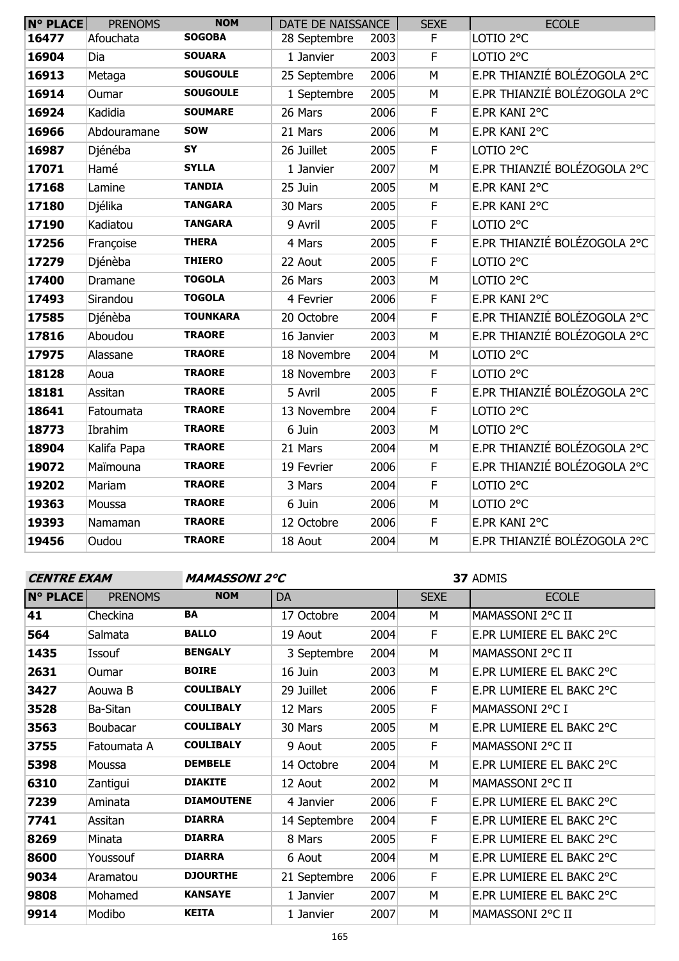| <b>N° PLACE</b> | <b>PRENOMS</b> | <b>NOM</b>      | DATE DE NAISSANCE |      | <b>SEXE</b> | <b>ECOLE</b>                 |
|-----------------|----------------|-----------------|-------------------|------|-------------|------------------------------|
| 16477           | Afouchata      | <b>SOGOBA</b>   | 28 Septembre      | 2003 | F           | LOTIO <sub>2°C</sub>         |
| 16904           | Dia            | <b>SOUARA</b>   | 1 Janvier         | 2003 | $\mathsf F$ | LOTIO <sub>2°C</sub>         |
| 16913           | Metaga         | <b>SOUGOULE</b> | 25 Septembre      | 2006 | M           | E.PR THIANZIÉ BOLÉZOGOLA 2°C |
| 16914           | Oumar          | <b>SOUGOULE</b> | 1 Septembre       | 2005 | M           | E.PR THIANZIÉ BOLÉZOGOLA 2°C |
| 16924           | Kadidia        | <b>SOUMARE</b>  | 26 Mars           | 2006 | F           | E.PR KANI 2°C                |
| 16966           | Abdouramane    | <b>SOW</b>      | 21 Mars           | 2006 | M           | E.PR KANI 2°C                |
| 16987           | Djénéba        | SY              | 26 Juillet        | 2005 | $\mathsf F$ | LOTIO <sub>2°C</sub>         |
| 17071           | Hamé           | <b>SYLLA</b>    | 1 Janvier         | 2007 | M           | E.PR THIANZIÉ BOLÉZOGOLA 2°C |
| 17168           | Lamine         | <b>TANDIA</b>   | 25 Juin           | 2005 | M           | E.PR KANI 2°C                |
| 17180           | Djélika        | <b>TANGARA</b>  | 30 Mars           | 2005 | F           | E.PR KANI 2°C                |
| 17190           | Kadiatou       | <b>TANGARA</b>  | 9 Avril           | 2005 | F           | LOTIO <sub>2°C</sub>         |
| 17256           | Françoise      | <b>THERA</b>    | 4 Mars            | 2005 | $\mathsf F$ | E.PR THIANZIÉ BOLÉZOGOLA 2°C |
| 17279           | Djénèba        | <b>THIERO</b>   | 22 Aout           | 2005 | $\mathsf F$ | LOTIO <sub>2°C</sub>         |
| 17400           | Dramane        | <b>TOGOLA</b>   | 26 Mars           | 2003 | M           | LOTIO <sub>2°C</sub>         |
| 17493           | Sirandou       | <b>TOGOLA</b>   | 4 Fevrier         | 2006 | F           | E.PR KANI 2°C                |
| 17585           | Djénèba        | <b>TOUNKARA</b> | 20 Octobre        | 2004 | $\mathsf F$ | E.PR THIANZIÉ BOLÉZOGOLA 2°C |
| 17816           | Aboudou        | <b>TRAORE</b>   | 16 Janvier        | 2003 | M           | E.PR THIANZIÉ BOLÉZOGOLA 2°C |
| 17975           | Alassane       | <b>TRAORE</b>   | 18 Novembre       | 2004 | M           | LOTIO <sub>2°C</sub>         |
| 18128           | Aoua           | <b>TRAORE</b>   | 18 Novembre       | 2003 | $\mathsf F$ | LOTIO <sub>2°C</sub>         |
| 18181           | Assitan        | <b>TRAORE</b>   | 5 Avril           | 2005 | F           | E.PR THIANZIÉ BOLÉZOGOLA 2°C |
| 18641           | Fatoumata      | <b>TRAORE</b>   | 13 Novembre       | 2004 | F           | LOTIO <sub>2°C</sub>         |
| 18773           | Ibrahim        | <b>TRAORE</b>   | 6 Juin            | 2003 | M           | LOTIO <sub>2°C</sub>         |
| 18904           | Kalifa Papa    | <b>TRAORE</b>   | 21 Mars           | 2004 | M           | E.PR THIANZIÉ BOLÉZOGOLA 2°C |
| 19072           | Maïmouna       | <b>TRAORE</b>   | 19 Fevrier        | 2006 | F           | E.PR THIANZIÉ BOLÉZOGOLA 2°C |
| 19202           | Mariam         | <b>TRAORE</b>   | 3 Mars            | 2004 | $\mathsf F$ | LOTIO <sub>2°C</sub>         |
| 19363           | Moussa         | <b>TRAORE</b>   | 6 Juin            | 2006 | M           | LOTIO <sub>2°C</sub>         |
| 19393           | Namaman        | <b>TRAORE</b>   | 12 Octobre        | 2006 | F           | E.PR KANI 2°C                |
| 19456           | Oudou          | <b>TRAORE</b>   | 18 Aout           | 2004 | M           | E.PR THIANZIÉ BOLÉZOGOLA 2°C |

**CENTRE EXAM MAMASSONI 2°C**

| <b>N° PLACE</b> | <b>PRENOMS</b> | <b>NOM</b>        | DA           |      | <b>SEXE</b> | <b>ECOLE</b>             |
|-----------------|----------------|-------------------|--------------|------|-------------|--------------------------|
| 41              | Checkina       | BA                | 17 Octobre   | 2004 | M           | MAMASSONI 2°C II         |
| 564             | Salmata        | <b>BALLO</b>      | 19 Aout      | 2004 | F           | E.PR LUMIERE EL BAKC 2°C |
| 1435            | Issouf         | <b>BENGALY</b>    | 3 Septembre  | 2004 | M           | MAMASSONI 2°C II         |
| 2631            | Oumar          | <b>BOIRE</b>      | 16 Juin      | 2003 | M           | E.PR LUMIERE EL BAKC 2°C |
| 3427            | Aouwa B        | <b>COULIBALY</b>  | 29 Juillet   | 2006 | F           | E.PR LUMIERE EL BAKC 2°C |
| 3528            | Ba-Sitan       | <b>COULIBALY</b>  | 12 Mars      | 2005 | F           | MAMASSONI 2°C I          |
| 3563            | Boubacar       | <b>COULIBALY</b>  | 30 Mars      | 2005 | M           | E.PR LUMIERE EL BAKC 2°C |
| 3755            | Fatoumata A    | <b>COULIBALY</b>  | 9 Aout       | 2005 | F           | MAMASSONI 2°C II         |
| 5398            | Moussa         | <b>DEMBELE</b>    | 14 Octobre   | 2004 | M           | E.PR LUMIERE EL BAKC 2°C |
| 6310            | Zantigui       | <b>DIAKITE</b>    | 12 Aout      | 2002 | M           | MAMASSONI 2°C II         |
| 7239            | Aminata        | <b>DIAMOUTENE</b> | 4 Janvier    | 2006 | F           | E.PR LUMIERE EL BAKC 2°C |
| 7741            | Assitan        | <b>DIARRA</b>     | 14 Septembre | 2004 | F           | E.PR LUMIERE EL BAKC 2°C |
| 8269            | Minata         | <b>DIARRA</b>     | 8 Mars       | 2005 | F           | E.PR LUMIERE EL BAKC 2°C |
| 8600            | Youssouf       | <b>DIARRA</b>     | 6 Aout       | 2004 | M           | E.PR LUMIERE EL BAKC 2°C |
| 9034            | Aramatou       | <b>DJOURTHE</b>   | 21 Septembre | 2006 | F           | E.PR LUMIERE EL BAKC 2°C |
| 9808            | Mohamed        | <b>KANSAYE</b>    | 1 Janvier    | 2007 | M           | E.PR LUMIERE EL BAKC 2°C |
| 9914            | Modibo         | <b>KEITA</b>      | 1 Janvier    | 2007 | M           | MAMASSONI 2°C II         |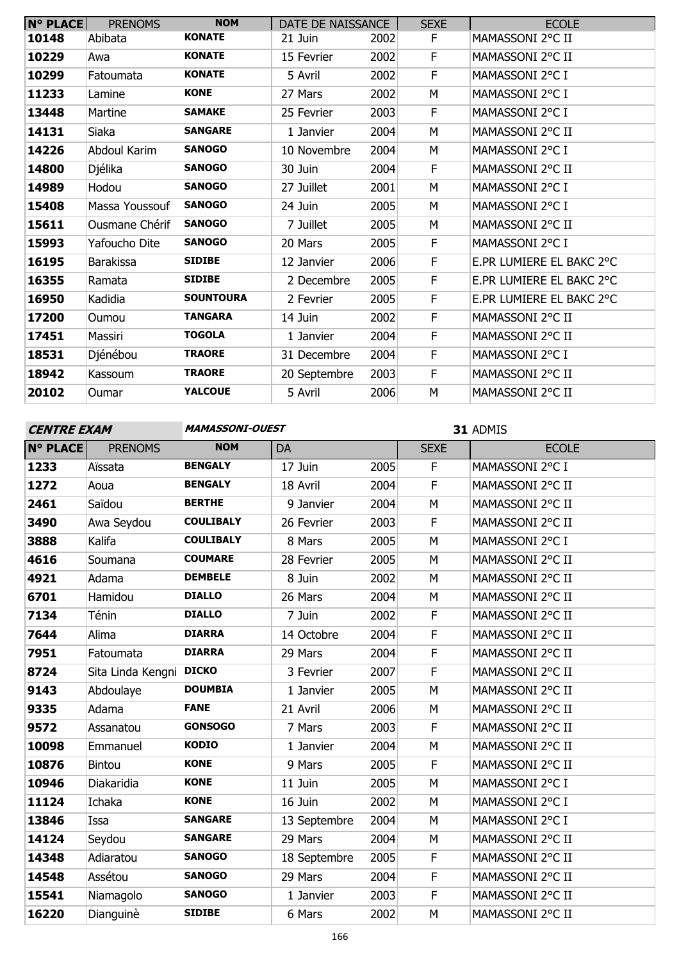| <b>N° PLACE</b> | <b>PRENOMS</b>   | <b>NOM</b>       | DATE DE NAISSANCE |      | <b>SEXE</b> | <b>ECOLE</b>             |
|-----------------|------------------|------------------|-------------------|------|-------------|--------------------------|
| 10148           | Abibata          | <b>KONATE</b>    | 21 Juin           | 2002 | F           | MAMASSONI 2°C II         |
| 10229           | Awa              | <b>KONATE</b>    | 15 Fevrier        | 2002 | F           | MAMASSONI 2°C II         |
| 10299           | Fatoumata        | <b>KONATE</b>    | 5 Avril           | 2002 | F           | MAMASSONI 2°C I          |
| 11233           | Lamine           | <b>KONE</b>      | 27 Mars           | 2002 | М           | MAMASSONI 2°C I          |
| 13448           | Martine          | <b>SAMAKE</b>    | 25 Fevrier        | 2003 | F           | MAMASSONI 2°C I          |
| 14131           | Siaka            | <b>SANGARE</b>   | 1 Janvier         | 2004 | М           | MAMASSONI 2°C II         |
| 14226           | Abdoul Karim     | <b>SANOGO</b>    | 10 Novembre       | 2004 | М           | MAMASSONI 2°C I          |
| 14800           | Djélika          | <b>SANOGO</b>    | 30 Juin           | 2004 | F           | MAMASSONI 2°C II         |
| 14989           | Hodou            | <b>SANOGO</b>    | 27 Juillet        | 2001 | М           | MAMASSONI 2°C I          |
| 15408           | Massa Youssouf   | <b>SANOGO</b>    | 24 Juin           | 2005 | М           | MAMASSONI 2°C I          |
| 15611           | Ousmane Chérif   | <b>SANOGO</b>    | 7 Juillet         | 2005 | М           | MAMASSONI 2°C II         |
| 15993           | Yafoucho Dite    | <b>SANOGO</b>    | 20 Mars           | 2005 | F           | MAMASSONI 2°C I          |
| 16195           | <b>Barakissa</b> | <b>SIDIBE</b>    | 12 Janvier        | 2006 | F           | E.PR LUMIERE EL BAKC 2°C |
| 16355           | Ramata           | <b>SIDIBE</b>    | 2 Decembre        | 2005 | F           | E.PR LUMIERE EL BAKC 2°C |
| 16950           | Kadidia          | <b>SOUNTOURA</b> | 2 Fevrier         | 2005 | F           | E.PR LUMIERE EL BAKC 2°C |
| 17200           | Oumou            | <b>TANGARA</b>   | 14 Juin           | 2002 | F           | MAMASSONI 2°C II         |
| 17451           | Massiri          | <b>TOGOLA</b>    | 1 Janvier         | 2004 | F           | MAMASSONI 2°C II         |
| 18531           | Djénébou         | <b>TRAORE</b>    | 31 Decembre       | 2004 | F           | MAMASSONI 2°C I          |
| 18942           | Kassoum          | <b>TRAORE</b>    | 20 Septembre      | 2003 | F           | MAMASSONI 2°C II         |
| 20102           | Oumar            | <b>YALCOUE</b>   | 5 Avril           | 2006 | М           | MAMASSONI 2°C II         |

## **CENTRE EXAM MAMASSONI-OUEST**

| <b>N° PLACE</b> | <b>PRENOMS</b>          | <b>NOM</b>       | DA           |      | <b>SEXE</b> | <b>ECOLE</b>     |
|-----------------|-------------------------|------------------|--------------|------|-------------|------------------|
| 1233            | Aïssata                 | <b>BENGALY</b>   | 17 Juin      | 2005 | F           | MAMASSONI 2°C I  |
| 1272            | Aoua                    | <b>BENGALY</b>   | 18 Avril     | 2004 | F           | MAMASSONI 2°C II |
| 2461            | Saïdou                  | <b>BERTHE</b>    | 9 Janvier    | 2004 | M           | MAMASSONI 2°C II |
| 3490            | Awa Seydou              | <b>COULIBALY</b> | 26 Fevrier   | 2003 | $\mathsf F$ | MAMASSONI 2°C II |
| 3888            | Kalifa                  | <b>COULIBALY</b> | 8 Mars       | 2005 | M           | MAMASSONI 2°C I  |
| 4616            | Soumana                 | <b>COUMARE</b>   | 28 Fevrier   | 2005 | M           | MAMASSONI 2°C II |
| 4921            | Adama                   | <b>DEMBELE</b>   | 8 Juin       | 2002 | M           | MAMASSONI 2°C II |
| 6701            | Hamidou                 | <b>DIALLO</b>    | 26 Mars      | 2004 | M           | MAMASSONI 2°C II |
| 7134            | Ténin                   | <b>DIALLO</b>    | 7 Juin       | 2002 | F           | MAMASSONI 2°C II |
| 7644            | Alima                   | <b>DIARRA</b>    | 14 Octobre   | 2004 | F           | MAMASSONI 2°C II |
| 7951            | Fatoumata               | <b>DIARRA</b>    | 29 Mars      | 2004 | F           | MAMASSONI 2°C II |
| 8724            | Sita Linda Kengni DICKO |                  | 3 Fevrier    | 2007 | F           | MAMASSONI 2°C II |
| 9143            | Abdoulaye               | <b>DOUMBIA</b>   | 1 Janvier    | 2005 | M           | MAMASSONI 2°C II |
| 9335            | Adama                   | <b>FANE</b>      | 21 Avril     | 2006 | M           | MAMASSONI 2°C II |
| 9572            | Assanatou               | <b>GONSOGO</b>   | 7 Mars       | 2003 | F           | MAMASSONI 2°C II |
| 10098           | Emmanuel                | <b>KODIO</b>     | 1 Janvier    | 2004 | М           | MAMASSONI 2°C II |
| 10876           | <b>Bintou</b>           | <b>KONE</b>      | 9 Mars       | 2005 | F           | MAMASSONI 2°C II |
| 10946           | Diakaridia              | <b>KONE</b>      | 11 Juin      | 2005 | M           | MAMASSONI 2°C I  |
| 11124           | Ichaka                  | <b>KONE</b>      | 16 Juin      | 2002 | M           | MAMASSONI 2°C I  |
| 13846           | Issa                    | <b>SANGARE</b>   | 13 Septembre | 2004 | M           | MAMASSONI 2°C I  |
| 14124           | Seydou                  | <b>SANGARE</b>   | 29 Mars      | 2004 | M           | MAMASSONI 2°C II |
| 14348           | Adiaratou               | <b>SANOGO</b>    | 18 Septembre | 2005 | F           | MAMASSONI 2°C II |
| 14548           | Assétou                 | <b>SANOGO</b>    | 29 Mars      | 2004 | F           | MAMASSONI 2°C II |
| 15541           | Niamagolo               | <b>SANOGO</b>    | 1 Janvier    | 2003 | $\mathsf F$ | MAMASSONI 2°C II |
| 16220           | Dianguinè               | <b>SIDIBE</b>    | 6 Mars       | 2002 | M           | MAMASSONI 2°C II |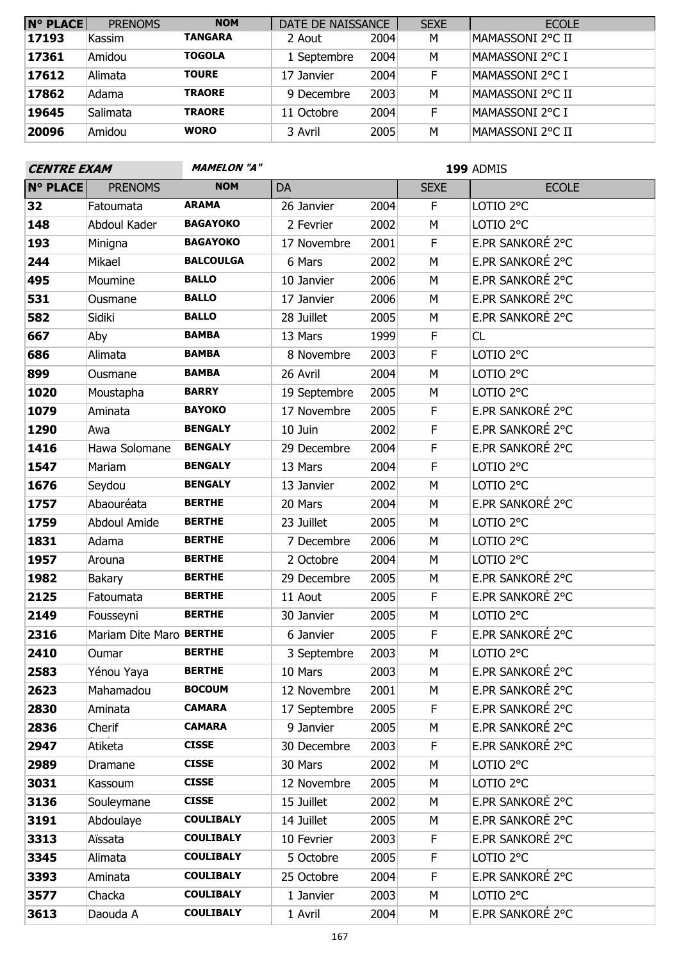| <b>N° PLACE</b> | <b>PRENOMS</b> | <b>NOM</b>     | DATE DE NAISSANCE |      | <b>SEXE</b> | <b>ECOLE</b>      |
|-----------------|----------------|----------------|-------------------|------|-------------|-------------------|
| 17193           | Kassim         | <b>TANGARA</b> | 2 Aout            | 2004 | M           | MAMASSONI 2°C II  |
| 17361           | Amidou         | <b>TOGOLA</b>  | 1 Septembre       | 2004 | M           | MAMASSONI 2°C I   |
| 17612           | Alimata        | <b>TOURE</b>   | 17 Janvier        | 2004 | F           | MAMASSONI 2°C I   |
| 17862           | Adama          | <b>TRAORE</b>  | 9 Decembre        | 2003 | М           | MAMASSONI 2°C II  |
| 19645           | Salimata       | <b>TRAORE</b>  | 11 Octobre        | 2004 | F           | MAMASSONI 2°C I   |
| 20096           | Amidou         | <b>WORO</b>    | 3 Avril           | 2005 | м           | IMAMASSONI 2°C II |

| <b>CENTRE EXAM</b> |                         | <b>MAMELON "A"</b> | 199 ADMIS    |      |             |                      |  |  |
|--------------------|-------------------------|--------------------|--------------|------|-------------|----------------------|--|--|
| <b>N° PLACE</b>    | <b>PRENOMS</b>          | <b>NOM</b>         | DA           |      | <b>SEXE</b> | <b>ECOLE</b>         |  |  |
| 32                 | Fatoumata               | <b>ARAMA</b>       | 26 Janvier   | 2004 | F           | LOTIO <sub>2°C</sub> |  |  |
| 148                | Abdoul Kader            | <b>BAGAYOKO</b>    | 2 Fevrier    | 2002 | M           | LOTIO <sub>2°C</sub> |  |  |
| 193                | Minigna                 | <b>BAGAYOKO</b>    | 17 Novembre  | 2001 | F           | E.PR SANKORÉ 2°C     |  |  |
| 244                | Mikael                  | <b>BALCOULGA</b>   | 6 Mars       | 2002 | M           | E.PR SANKORÉ 2°C     |  |  |
| 495                | Moumine                 | <b>BALLO</b>       | 10 Janvier   | 2006 | M           | E.PR SANKORÉ 2°C     |  |  |
| 531                | Ousmane                 | <b>BALLO</b>       | 17 Janvier   | 2006 | M           | E.PR SANKORÉ 2°C     |  |  |
| 582                | Sidiki                  | <b>BALLO</b>       | 28 Juillet   | 2005 | M           | E.PR SANKORÉ 2°C     |  |  |
| 667                | Aby                     | <b>BAMBA</b>       | 13 Mars      | 1999 | F           | CL                   |  |  |
| 686                | Alimata                 | <b>BAMBA</b>       | 8 Novembre   | 2003 | F           | LOTIO <sub>2°C</sub> |  |  |
| 899                | Ousmane                 | <b>BAMBA</b>       | 26 Avril     | 2004 | M           | LOTIO <sub>2°C</sub> |  |  |
| 1020               | Moustapha               | <b>BARRY</b>       | 19 Septembre | 2005 | М           | LOTIO <sub>2°C</sub> |  |  |
| 1079               | Aminata                 | <b>BAYOKO</b>      | 17 Novembre  | 2005 | F           | E.PR SANKORÉ 2°C     |  |  |
| 1290               | Awa                     | <b>BENGALY</b>     | 10 Juin      | 2002 | F           | E.PR SANKORÉ 2°C     |  |  |
| 1416               | Hawa Solomane           | <b>BENGALY</b>     | 29 Decembre  | 2004 | F           | E.PR SANKORÉ 2°C     |  |  |
| 1547               | Mariam                  | <b>BENGALY</b>     | 13 Mars      | 2004 | F           | LOTIO <sub>2°C</sub> |  |  |
| 1676               | Seydou                  | <b>BENGALY</b>     | 13 Janvier   | 2002 | M           | LOTIO <sub>2°C</sub> |  |  |
| 1757               | Abaouréata              | <b>BERTHE</b>      | 20 Mars      | 2004 | M           | E.PR SANKORÉ 2°C     |  |  |
| 1759               | Abdoul Amide            | <b>BERTHE</b>      | 23 Juillet   | 2005 | M           | LOTIO <sub>2°C</sub> |  |  |
| 1831               | Adama                   | <b>BERTHE</b>      | 7 Decembre   | 2006 | M           | LOTIO 2°C            |  |  |
| 1957               | Arouna                  | <b>BERTHE</b>      | 2 Octobre    | 2004 | M           | LOTIO 2°C            |  |  |
| 1982               | Bakary                  | <b>BERTHE</b>      | 29 Decembre  | 2005 | M           | E.PR SANKORÉ 2°C     |  |  |
| 2125               | Fatoumata               | <b>BERTHE</b>      | 11 Aout      | 2005 | F           | E.PR SANKORÉ 2°C     |  |  |
| 2149               | Fousseyni               | <b>BERTHE</b>      | 30 Janvier   | 2005 | M           | LOTIO <sub>2°C</sub> |  |  |
| 2316               | Mariam Dite Maro BERTHE |                    | 6 Janvier    | 2005 | F           | E.PR SANKORÉ 2°C     |  |  |
| 2410               | Oumar                   | <b>BERTHE</b>      | 3 Septembre  | 2003 | M           | LOTIO <sub>2°C</sub> |  |  |
| 2583               | Yénou Yaya              | <b>BERTHE</b>      | 10 Mars      | 2003 | M           | E.PR SANKORÉ 2°C     |  |  |
| 2623               | Mahamadou               | <b>BOCOUM</b>      | 12 Novembre  | 2001 | М           | E.PR SANKORÉ 2°C     |  |  |
| 2830               | Aminata                 | <b>CAMARA</b>      | 17 Septembre | 2005 | F           | E.PR SANKORÉ 2°C     |  |  |
| 2836               | Cherif                  | <b>CAMARA</b>      | 9 Janvier    | 2005 | М           | E.PR SANKORÉ 2°C     |  |  |
| 2947               | Atiketa                 | <b>CISSE</b>       | 30 Decembre  | 2003 | F           | E.PR SANKORÉ 2°C     |  |  |
| 2989               | Dramane                 | <b>CISSE</b>       | 30 Mars      | 2002 | M           | LOTIO 2°C            |  |  |
| 3031               | Kassoum                 | <b>CISSE</b>       | 12 Novembre  | 2005 | М           | LOTIO 2°C            |  |  |
| 3136               | Souleymane              | <b>CISSE</b>       | 15 Juillet   | 2002 | М           | E.PR SANKORÉ 2°C     |  |  |
| 3191               | Abdoulaye               | <b>COULIBALY</b>   | 14 Juillet   | 2005 | M           | E.PR SANKORÉ 2°C     |  |  |
| 3313               | Aïssata                 | <b>COULIBALY</b>   | 10 Fevrier   | 2003 | F           | E.PR SANKORÉ 2°C     |  |  |
| 3345               | Alimata                 | <b>COULIBALY</b>   | 5 Octobre    | 2005 | F           | LOTIO 2°C            |  |  |
| 3393               | Aminata                 | <b>COULIBALY</b>   | 25 Octobre   | 2004 | F           | E.PR SANKORÉ 2°C     |  |  |
| 3577               | Chacka                  | <b>COULIBALY</b>   | 1 Janvier    | 2003 | M           | LOTIO 2°C            |  |  |
| 3613               | Daouda A                | <b>COULIBALY</b>   | 1 Avril      | 2004 | М           | E.PR SANKORÉ 2°C     |  |  |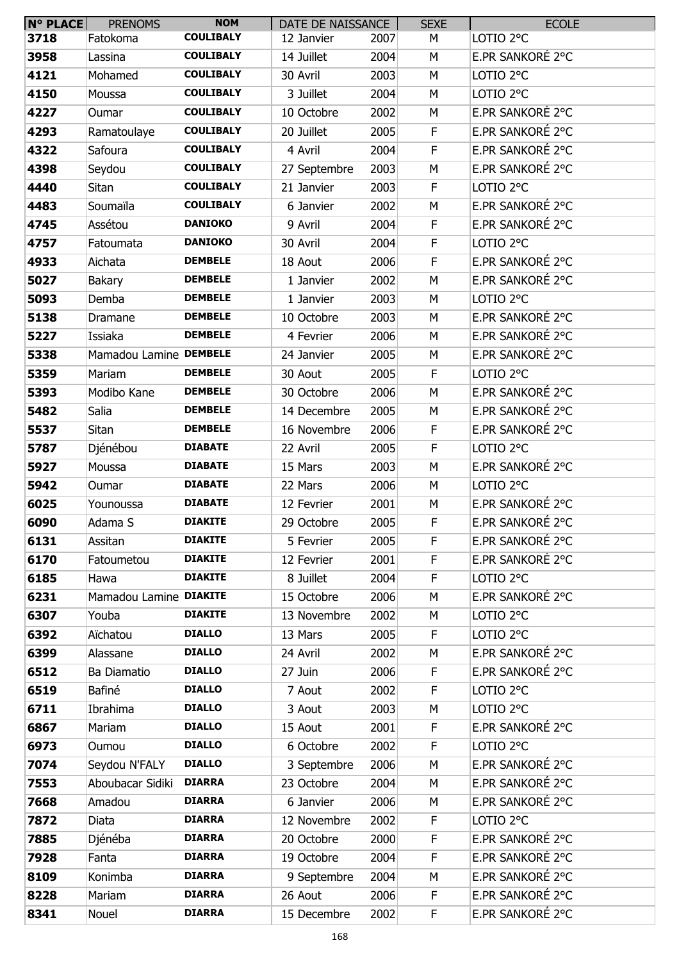| $N^{\circ}$ PLACE | <b>PRENOMS</b>         | <b>NOM</b>       | DATE DE NAISSANCE |      | <b>SEXE</b> | <b>ECOLE</b>         |
|-------------------|------------------------|------------------|-------------------|------|-------------|----------------------|
| 3718              | Fatokoma               | <b>COULIBALY</b> | 12 Janvier        | 2007 | М           | LOTIO <sub>2°C</sub> |
| 3958              | Lassina                | <b>COULIBALY</b> | 14 Juillet        | 2004 | M           | E.PR SANKORÉ 2°C     |
| 4121              | Mohamed                | <b>COULIBALY</b> | 30 Avril          | 2003 | M           | LOTIO <sub>2°C</sub> |
| 4150              | Moussa                 | <b>COULIBALY</b> | 3 Juillet         | 2004 | М           | LOTIO <sub>2°C</sub> |
| 4227              | Oumar                  | <b>COULIBALY</b> | 10 Octobre        | 2002 | М           | E.PR SANKORÉ 2°C     |
| 4293              | Ramatoulaye            | <b>COULIBALY</b> | 20 Juillet        | 2005 | F           | E.PR SANKORÉ 2°C     |
| 4322              | Safoura                | <b>COULIBALY</b> | 4 Avril           | 2004 | F           | E.PR SANKORÉ 2°C     |
| 4398              | Seydou                 | <b>COULIBALY</b> | 27 Septembre      | 2003 | М           | E.PR SANKORÉ 2°C     |
| 4440              | Sitan                  | <b>COULIBALY</b> | 21 Janvier        | 2003 | F           | LOTIO 2°C            |
| 4483              | Soumaïla               | <b>COULIBALY</b> | 6 Janvier         | 2002 | M           | E.PR SANKORÉ 2°C     |
| 4745              | Assétou                | <b>DANIOKO</b>   | 9 Avril           | 2004 | F           | E.PR SANKORÉ 2°C     |
| 4757              | Fatoumata              | <b>DANIOKO</b>   | 30 Avril          | 2004 | F.          | LOTIO <sub>2°C</sub> |
| 4933              | Aichata                | <b>DEMBELE</b>   | 18 Aout           | 2006 | F           | E.PR SANKORÉ 2°C     |
| 5027              | Bakary                 | <b>DEMBELE</b>   | 1 Janvier         | 2002 | M           | E.PR SANKORÉ 2°C     |
| 5093              | Demba                  | <b>DEMBELE</b>   | 1 Janvier         | 2003 | М           | LOTIO 2°C            |
| 5138              | Dramane                | <b>DEMBELE</b>   | 10 Octobre        | 2003 | M           | E.PR SANKORÉ 2°C     |
| 5227              | Issiaka                | <b>DEMBELE</b>   | 4 Fevrier         | 2006 | M           | E.PR SANKORÉ 2°C     |
| 5338              | Mamadou Lamine DEMBELE |                  | 24 Janvier        | 2005 | М           | E.PR SANKORÉ 2°C     |
| 5359              | Mariam                 | <b>DEMBELE</b>   | 30 Aout           | 2005 | F           | LOTIO <sub>2°C</sub> |
| 5393              | Modibo Kane            | <b>DEMBELE</b>   | 30 Octobre        | 2006 | M           | E.PR SANKORÉ 2°C     |
| 5482              | Salia                  | <b>DEMBELE</b>   | 14 Decembre       | 2005 | M           | E.PR SANKORÉ 2°C     |
| 5537              | Sitan                  | <b>DEMBELE</b>   | 16 Novembre       | 2006 | F           | E.PR SANKORÉ 2°C     |
| 5787              | Djénébou               | <b>DIABATE</b>   | 22 Avril          | 2005 | $\mathsf F$ | LOTIO 2°C            |
| 5927              | Moussa                 | <b>DIABATE</b>   | 15 Mars           | 2003 | М           | E.PR SANKORÉ 2°C     |
| 5942              | Oumar                  | <b>DIABATE</b>   | 22 Mars           | 2006 | М           | LOTIO <sub>2°C</sub> |
| 6025              | Younoussa              | <b>DIABATE</b>   | 12 Fevrier        | 2001 | М           | E.PR SANKORÉ 2°C     |
| 6090              | Adama S                | <b>DIAKITE</b>   | 29 Octobre        | 2005 | F           | E.PR SANKORÉ 2°C     |
| 6131              | Assitan                | <b>DIAKITE</b>   | 5 Fevrier         | 2005 | F           | E.PR SANKORÉ 2°C     |
| 6170              | Fatoumetou             | <b>DIAKITE</b>   | 12 Fevrier        | 2001 | F           | E.PR SANKORÉ 2°C     |
| 6185              | Hawa                   | <b>DIAKITE</b>   | 8 Juillet         | 2004 | F           | LOTIO 2°C            |
| 6231              | Mamadou Lamine DIAKITE |                  | 15 Octobre        | 2006 | M           | E.PR SANKORÉ 2°C     |
| 6307              | Youba                  | <b>DIAKITE</b>   | 13 Novembre       | 2002 | M           | LOTIO <sub>2°C</sub> |
| 6392              | Aïchatou               | <b>DIALLO</b>    | 13 Mars           | 2005 | F.          | LOTIO <sub>2°C</sub> |
| 6399              | Alassane               | <b>DIALLO</b>    | 24 Avril          | 2002 | M           | E.PR SANKORÉ 2°C     |
| 6512              | Ba Diamatio            | <b>DIALLO</b>    | 27 Juin           | 2006 | F           | E.PR SANKORÉ 2°C     |
| 6519              | Bafiné                 | <b>DIALLO</b>    | 7 Aout            | 2002 | F           | LOTIO 2°C            |
| 6711              | Ibrahima               | <b>DIALLO</b>    | 3 Aout            | 2003 | М           | LOTIO 2°C            |
| 6867              | Mariam                 | <b>DIALLO</b>    | 15 Aout           | 2001 | F           | E.PR SANKORÉ 2°C     |
| 6973              | Oumou                  | <b>DIALLO</b>    | 6 Octobre         | 2002 | F           | LOTIO 2°C            |
| 7074              | Seydou N'FALY          | <b>DIALLO</b>    | 3 Septembre       | 2006 | M           | E.PR SANKORÉ 2°C     |
| 7553              | Aboubacar Sidiki       | <b>DIARRA</b>    | 23 Octobre        | 2004 | M           | E.PR SANKORÉ 2°C     |
| 7668              | Amadou                 | <b>DIARRA</b>    | 6 Janvier         | 2006 | M           | E.PR SANKORÉ 2°C     |
| 7872              | Diata                  | <b>DIARRA</b>    | 12 Novembre       | 2002 | F           | LOTIO 2°C            |
| 7885              | Djénéba                | <b>DIARRA</b>    | 20 Octobre        | 2000 | F           | E.PR SANKORÉ 2°C     |
| 7928              | Fanta                  | <b>DIARRA</b>    | 19 Octobre        | 2004 | F           | E.PR SANKORÉ 2°C     |
| 8109              | Konimba                | <b>DIARRA</b>    | 9 Septembre       | 2004 | M           | E.PR SANKORÉ 2°C     |
| 8228              | Mariam                 | <b>DIARRA</b>    | 26 Aout           | 2006 | F           | E.PR SANKORÉ 2°C     |
| 8341              | Nouel                  | <b>DIARRA</b>    | 15 Decembre       | 2002 | F           | E.PR SANKORÉ 2°C     |
|                   |                        |                  |                   |      |             |                      |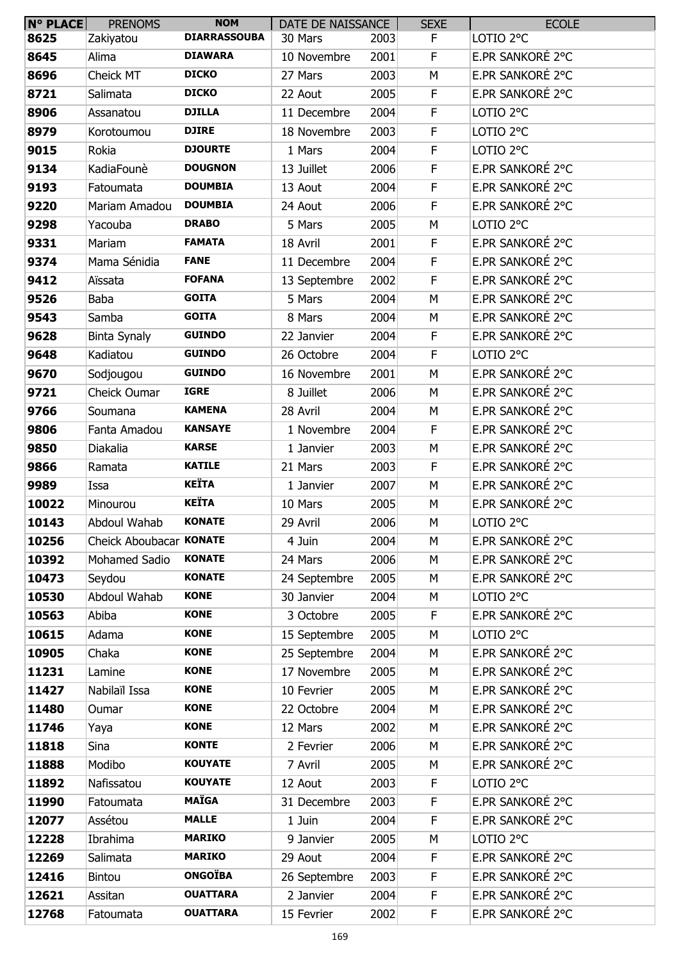| N° PLACE | <b>PRENOMS</b>          | <b>NOM</b>          | DATE DE NAISSANCE |      | <b>SEXE</b> | <b>ECOLE</b>         |
|----------|-------------------------|---------------------|-------------------|------|-------------|----------------------|
| 8625     | Zakiyatou               | <b>DIARRASSOUBA</b> | 30 Mars           | 2003 | F.          | LOTIO <sub>2°C</sub> |
| 8645     | Alima                   | <b>DIAWARA</b>      | 10 Novembre       | 2001 | F           | E.PR SANKORÉ 2°C     |
| 8696     | Cheick MT               | <b>DICKO</b>        | 27 Mars           | 2003 | M           | E.PR SANKORÉ 2°C     |
| 8721     | Salimata                | <b>DICKO</b>        | 22 Aout           | 2005 | F           | E.PR SANKORÉ 2°C     |
| 8906     | Assanatou               | <b>DJILLA</b>       | 11 Decembre       | 2004 | F           | LOTIO <sub>2°C</sub> |
| 8979     | Korotoumou              | <b>DJIRE</b>        | 18 Novembre       | 2003 | $\mathsf F$ | LOTIO <sub>2°C</sub> |
| 9015     | Rokia                   | <b>DJOURTE</b>      | 1 Mars            | 2004 | F           | LOTIO <sub>2°C</sub> |
| 9134     | KadiaFounè              | <b>DOUGNON</b>      | 13 Juillet        | 2006 | F           | E.PR SANKORÉ 2°C     |
| 9193     | Fatoumata               | <b>DOUMBIA</b>      | 13 Aout           | 2004 | F           | E.PR SANKORÉ 2°C     |
| 9220     | Mariam Amadou           | <b>DOUMBIA</b>      | 24 Aout           | 2006 | F           | E.PR SANKORÉ 2°C     |
| 9298     | Yacouba                 | <b>DRABO</b>        | 5 Mars            | 2005 | M           | LOTIO <sub>2°C</sub> |
| 9331     | Mariam                  | <b>FAMATA</b>       | 18 Avril          | 2001 | F           | E.PR SANKORÉ 2°C     |
| 9374     | Mama Sénidia            | <b>FANE</b>         | 11 Decembre       | 2004 | F           | E.PR SANKORÉ 2°C     |
| 9412     | Aïssata                 | <b>FOFANA</b>       | 13 Septembre      | 2002 | F           | E.PR SANKORÉ 2°C     |
| 9526     | <b>Baba</b>             | <b>GOITA</b>        | 5 Mars            | 2004 | M           | E.PR SANKORÉ 2°C     |
| 9543     | Samba                   | <b>GOITA</b>        | 8 Mars            | 2004 | M           | E.PR SANKORÉ 2°C     |
| 9628     | Binta Synaly            | <b>GUINDO</b>       | 22 Janvier        | 2004 | F           | E.PR SANKORÉ 2°C     |
| 9648     | Kadiatou                | <b>GUINDO</b>       | 26 Octobre        | 2004 | F           | LOTIO <sub>2°C</sub> |
| 9670     | Sodjougou               | <b>GUINDO</b>       | 16 Novembre       | 2001 | M           | E.PR SANKORÉ 2°C     |
| 9721     | Cheick Oumar            | <b>IGRE</b>         | 8 Juillet         | 2006 | M           | E.PR SANKORÉ 2°C     |
| 9766     | Soumana                 | <b>KAMENA</b>       | 28 Avril          | 2004 | M           | E.PR SANKORÉ 2°C     |
| 9806     | Fanta Amadou            | <b>KANSAYE</b>      | 1 Novembre        | 2004 | F           | E.PR SANKORÉ 2°C     |
| 9850     | Diakalia                | <b>KARSE</b>        | 1 Janvier         | 2003 | M           | E.PR SANKORÉ 2°C     |
| 9866     | Ramata                  | <b>KATILE</b>       | 21 Mars           | 2003 | F           | E.PR SANKORÉ 2°C     |
| 9989     | Issa                    | <b>KEÏTA</b>        | 1 Janvier         | 2007 | M           | E.PR SANKORÉ 2°C     |
| 10022    | Minourou                | <b>KEÏTA</b>        | 10 Mars           | 2005 | М           | E.PR SANKORÉ 2°C     |
| 10143    | Abdoul Wahab            | <b>KONATE</b>       | 29 Avril          | 2006 | M           | LOTIO <sub>2°C</sub> |
| 10256    | Cheick Aboubacar KONATE |                     | 4 Juin            | 2004 | M           | E.PR SANKORÉ 2°C     |
| 10392    | Mohamed Sadio           | <b>KONATE</b>       | 24 Mars           | 2006 | M           | E.PR SANKORÉ 2°C     |
| 10473    | Seydou                  | <b>KONATE</b>       | 24 Septembre      | 2005 | M           | E.PR SANKORÉ 2°C     |
| 10530    | Abdoul Wahab            | <b>KONE</b>         | 30 Janvier        | 2004 | M           | LOTIO 2°C            |
| 10563    | Abiba                   | <b>KONE</b>         | 3 Octobre         | 2005 | F           | E.PR SANKORÉ 2°C     |
| 10615    | Adama                   | <b>KONE</b>         | 15 Septembre      | 2005 | М           | LOTIO 2°C            |
| 10905    | Chaka                   | <b>KONE</b>         | 25 Septembre      | 2004 | M           | E.PR SANKORÉ 2°C     |
| 11231    | Lamine                  | <b>KONE</b>         | 17 Novembre       | 2005 | M           | E.PR SANKORÉ 2°C     |
| 11427    | Nabilaïl Issa           | <b>KONE</b>         | 10 Fevrier        | 2005 | M           | E.PR SANKORÉ 2°C     |
| 11480    | Oumar                   | <b>KONE</b>         | 22 Octobre        | 2004 | M           | E.PR SANKORÉ 2°C     |
| 11746    | Yaya                    | <b>KONE</b>         | 12 Mars           | 2002 | M           | E.PR SANKORÉ 2°C     |
| 11818    | Sina                    | <b>KONTE</b>        | 2 Fevrier         | 2006 | M           | E.PR SANKORÉ 2°C     |
| 11888    | Modibo                  | <b>KOUYATE</b>      | 7 Avril           | 2005 | M           | E.PR SANKORÉ 2°C     |
| 11892    | Nafissatou              | <b>KOUYATE</b>      | 12 Aout           | 2003 | F           | LOTIO 2°C            |
| 11990    | Fatoumata               | <b>MAÏGA</b>        | 31 Decembre       | 2003 | F           | E.PR SANKORÉ 2°C     |
| 12077    | Assétou                 | <b>MALLE</b>        | 1 Juin            | 2004 | F           | E.PR SANKORÉ 2°C     |
| 12228    | Ibrahima                | <b>MARIKO</b>       | 9 Janvier         | 2005 | M           | LOTIO <sub>2°C</sub> |
| 12269    | Salimata                | <b>MARIKO</b>       | 29 Aout           | 2004 | F           | E.PR SANKORÉ 2°C     |
| 12416    | <b>Bintou</b>           | <b>ONGOÏBA</b>      | 26 Septembre      | 2003 | F           | E.PR SANKORÉ 2°C     |
| 12621    | Assitan                 | <b>OUATTARA</b>     | 2 Janvier         | 2004 | F           | E.PR SANKORÉ 2°C     |
| 12768    | Fatoumata               | <b>OUATTARA</b>     |                   |      | F.          | E.PR SANKORÉ 2°C     |
|          |                         |                     | 15 Fevrier        | 2002 |             |                      |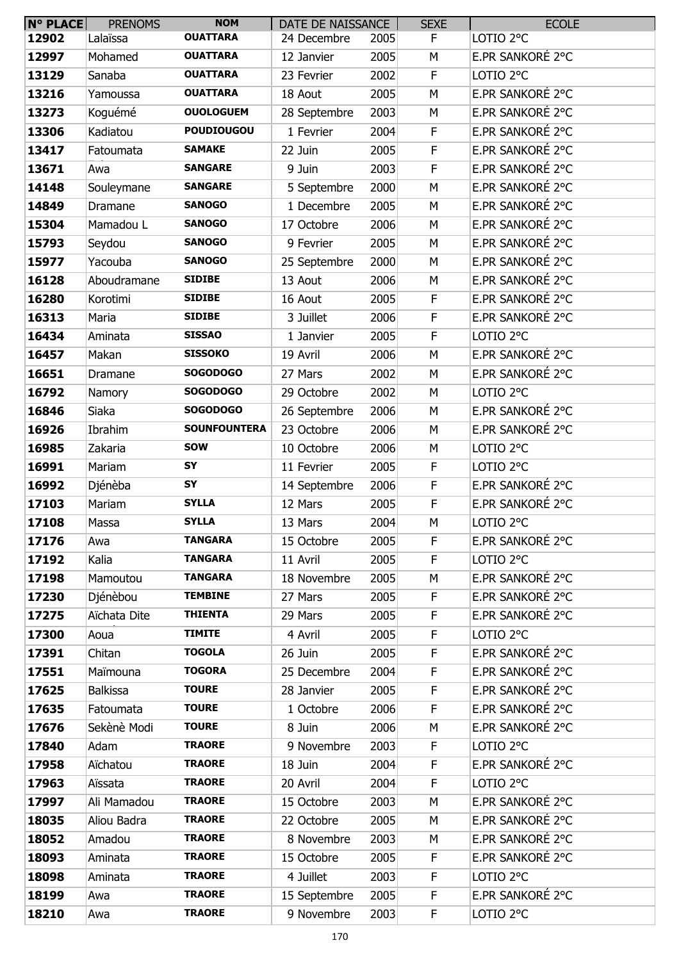| <b>N° PLACE</b> | <b>PRENOMS</b>  | <b>NOM</b>          | DATE DE NAISSANCE |      | <b>SEXE</b> | <b>ECOLE</b>         |
|-----------------|-----------------|---------------------|-------------------|------|-------------|----------------------|
| 12902           | Lalaïssa        | <b>OUATTARA</b>     | 24 Decembre       | 2005 | F.          | LOTIO <sub>2°C</sub> |
| 12997           | Mohamed         | <b>OUATTARA</b>     | 12 Janvier        | 2005 | M           | E.PR SANKORÉ 2°C     |
| 13129           | Sanaba          | <b>OUATTARA</b>     | 23 Fevrier        | 2002 | F           | LOTIO <sub>2°C</sub> |
| 13216           | Yamoussa        | <b>OUATTARA</b>     | 18 Aout           | 2005 | M           | E.PR SANKORÉ 2°C     |
| 13273           | Koguémé         | <b>OUOLOGUEM</b>    | 28 Septembre      | 2003 | M           | E.PR SANKORÉ 2°C     |
| 13306           | Kadiatou        | <b>POUDIOUGOU</b>   | 1 Fevrier         | 2004 | F           | E.PR SANKORÉ 2°C     |
| 13417           | Fatoumata       | <b>SAMAKE</b>       | 22 Juin           | 2005 | F           | E.PR SANKORÉ 2°C     |
| 13671           | Awa             | <b>SANGARE</b>      | 9 Juin            | 2003 | F           | E.PR SANKORÉ 2°C     |
| 14148           | Souleymane      | <b>SANGARE</b>      | 5 Septembre       | 2000 | M           | E.PR SANKORÉ 2°C     |
| 14849           | Dramane         | <b>SANOGO</b>       | 1 Decembre        | 2005 | M           | E.PR SANKORÉ 2°C     |
| 15304           | Mamadou L       | <b>SANOGO</b>       | 17 Octobre        | 2006 | M           | E.PR SANKORÉ 2°C     |
| 15793           | Seydou          | <b>SANOGO</b>       | 9 Fevrier         | 2005 | M           | E.PR SANKORÉ 2°C     |
| 15977           | Yacouba         | <b>SANOGO</b>       | 25 Septembre      | 2000 | M           | E.PR SANKORÉ 2°C     |
| 16128           | Aboudramane     | <b>SIDIBE</b>       | 13 Aout           | 2006 | M           | E.PR SANKORÉ 2°C     |
| 16280           | Korotimi        | <b>SIDIBE</b>       | 16 Aout           | 2005 | F           | E.PR SANKORÉ 2°C     |
| 16313           | Maria           | <b>SIDIBE</b>       | 3 Juillet         | 2006 | F           | E.PR SANKORÉ 2°C     |
| 16434           | Aminata         | <b>SISSAO</b>       | 1 Janvier         | 2005 | F           | LOTIO 2°C            |
| 16457           | Makan           | <b>SISSOKO</b>      | 19 Avril          | 2006 | M           | E.PR SANKORÉ 2°C     |
| 16651           | Dramane         | <b>SOGODOGO</b>     | 27 Mars           | 2002 | M           | E.PR SANKORÉ 2°C     |
| 16792           | Namory          | <b>SOGODOGO</b>     | 29 Octobre        | 2002 | M           | LOTIO 2°C            |
| 16846           | Siaka           | <b>SOGODOGO</b>     | 26 Septembre      | 2006 | M           | E.PR SANKORÉ 2°C     |
| 16926           | Ibrahim         | <b>SOUNFOUNTERA</b> | 23 Octobre        | 2006 | M           | E.PR SANKORÉ 2°C     |
| 16985           | Zakaria         | <b>SOW</b>          | 10 Octobre        | 2006 | M           | LOTIO 2°C            |
| 16991           | Mariam          | SY                  | 11 Fevrier        | 2005 | F           | LOTIO <sub>2°C</sub> |
| 16992           | Djénèba         | SY                  | 14 Septembre      | 2006 | $\mathsf F$ | E.PR SANKORÉ 2°C     |
| 17103           | Mariam          | <b>SYLLA</b>        | 12 Mars           | 2005 | F           | E.PR SANKORÉ 2°C     |
| 17108           | Massa           | <b>SYLLA</b>        | 13 Mars           | 2004 | M           | LOTIO <sub>2°C</sub> |
| 17176           | Awa             | <b>TANGARA</b>      | 15 Octobre        | 2005 | F           | E.PR SANKORÉ 2°C     |
| 17192           | Kalia           | <b>TANGARA</b>      | 11 Avril          | 2005 | F           | LOTIO <sub>2°C</sub> |
| 17198           | Mamoutou        | <b>TANGARA</b>      | 18 Novembre       | 2005 | M           | E.PR SANKORÉ 2°C     |
| 17230           | Djénèbou        | <b>TEMBINE</b>      | 27 Mars           | 2005 | F           | E.PR SANKORÉ 2°C     |
| 17275           | Aïchata Dite    | <b>THIENTA</b>      | 29 Mars           | 2005 | F           | E.PR SANKORÉ 2°C     |
| 17300           | Aoua            | <b>TIMITE</b>       | 4 Avril           | 2005 | F           | LOTIO 2°C            |
| 17391           | Chitan          | <b>TOGOLA</b>       | 26 Juin           | 2005 | F           | E.PR SANKORÉ 2°C     |
| 17551           | Maïmouna        | <b>TOGORA</b>       | 25 Decembre       | 2004 | F           | E.PR SANKORÉ 2°C     |
| 17625           | <b>Balkissa</b> | <b>TOURE</b>        | 28 Janvier        | 2005 | F           | E.PR SANKORÉ 2°C     |
| 17635           | Fatoumata       | <b>TOURE</b>        | 1 Octobre         | 2006 | F           | E.PR SANKORÉ 2°C     |
| 17676           | Sekènè Modi     | <b>TOURE</b>        | 8 Juin            | 2006 | M           | E.PR SANKORÉ 2°C     |
| 17840           | Adam            | <b>TRAORE</b>       | 9 Novembre        | 2003 | F           | LOTIO 2°C            |
| 17958           | Aïchatou        | <b>TRAORE</b>       | 18 Juin           | 2004 | F           | E.PR SANKORÉ 2°C     |
| 17963           | Aïssata         | <b>TRAORE</b>       | 20 Avril          | 2004 | F           | LOTIO 2°C            |
| 17997           | Ali Mamadou     | <b>TRAORE</b>       | 15 Octobre        | 2003 | M           | E.PR SANKORÉ 2°C     |
| 18035           | Aliou Badra     | <b>TRAORE</b>       | 22 Octobre        | 2005 | M           | E.PR SANKORÉ 2°C     |
| 18052           | Amadou          | <b>TRAORE</b>       | 8 Novembre        | 2003 | М           | E.PR SANKORÉ 2°C     |
| 18093           | Aminata         | <b>TRAORE</b>       | 15 Octobre        | 2005 | F           | E.PR SANKORÉ 2°C     |
| 18098           | Aminata         | <b>TRAORE</b>       | 4 Juillet         | 2003 | F           | LOTIO 2°C            |
| 18199           | Awa             | <b>TRAORE</b>       | 15 Septembre      | 2005 | F           | E.PR SANKORÉ 2°C     |
| 18210           | Awa             | <b>TRAORE</b>       | 9 Novembre        | 2003 | F           | LOTIO 2°C            |
|                 |                 |                     |                   |      |             |                      |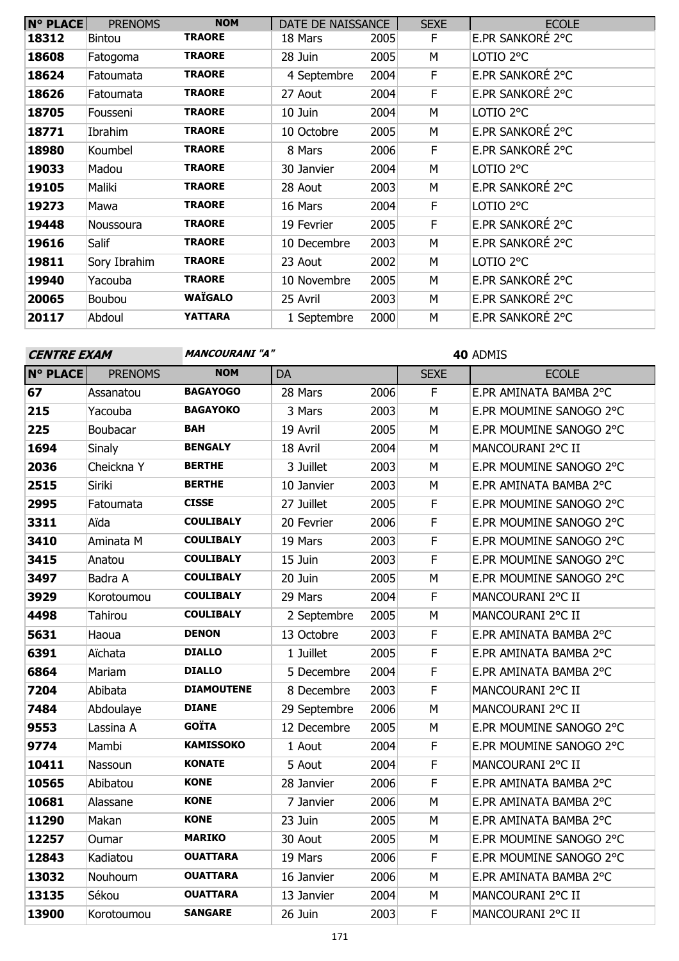| <b>N° PLACE</b> | <b>PRENOMS</b> | <b>NOM</b>     | DATE DE NAISSANCE |      | <b>SEXE</b> | <b>ECOLE</b>     |
|-----------------|----------------|----------------|-------------------|------|-------------|------------------|
| 18312           | <b>Bintou</b>  | <b>TRAORE</b>  | 18 Mars           | 2005 | E           | E.PR SANKORÉ 2°C |
| 18608           | Fatogoma       | <b>TRAORE</b>  | 28 Juin           | 2005 | М           | LOTIO 2°C        |
| 18624           | Fatoumata      | <b>TRAORE</b>  | 4 Septembre       | 2004 | F.          | E.PR SANKORÉ 2°C |
| 18626           | Fatoumata      | <b>TRAORE</b>  | 27 Aout           | 2004 | F           | E.PR SANKORÉ 2°C |
| 18705           | Fousseni       | <b>TRAORE</b>  | 10 Juin           | 2004 | M           | LOTIO 2°C        |
| 18771           | Ibrahim        | <b>TRAORE</b>  | 10 Octobre        | 2005 | М           | E.PR SANKORÉ 2°C |
| 18980           | Koumbel        | <b>TRAORE</b>  | 8 Mars            | 2006 | F           | E.PR SANKORÉ 2°C |
| 19033           | Madou          | <b>TRAORE</b>  | 30 Janvier        | 2004 | М           | LOTIO 2°C        |
| 19105           | Maliki         | <b>TRAORE</b>  | 28 Aout           | 2003 | М           | E.PR SANKORÉ 2°C |
| 19273           | Mawa           | <b>TRAORE</b>  | 16 Mars           | 2004 | F           | LOTIO 2°C        |
| 19448           | Noussoura      | <b>TRAORE</b>  | 19 Fevrier        | 2005 | F           | E.PR SANKORÉ 2°C |
| 19616           | Salif          | <b>TRAORE</b>  | 10 Decembre       | 2003 | M           | E.PR SANKORÉ 2°C |
| 19811           | Sory Ibrahim   | <b>TRAORE</b>  | 23 Aout           | 2002 | М           | LOTIO 2°C        |
| 19940           | Yacouba        | <b>TRAORE</b>  | 10 Novembre       | 2005 | М           | E.PR SANKORÉ 2°C |
| 20065           | Boubou         | <b>WAÏGALO</b> | 25 Avril          | 2003 | M           | E.PR SANKORÉ 2°C |
| 20117           | Abdoul         | <b>YATTARA</b> | 1 Septembre       | 2000 | M           | E.PR SANKORÉ 2°C |

**CENTRE EXAM MANCOURANI** "A"

| $N^{\circ}$ PLACE | <b>PRENOMS</b> | <b>NOM</b>        | DA           |      | <b>SEXE</b> | <b>ECOLE</b>            |
|-------------------|----------------|-------------------|--------------|------|-------------|-------------------------|
| 67                | Assanatou      | <b>BAGAYOGO</b>   | 28 Mars      | 2006 | F           | E.PR AMINATA BAMBA 2°C  |
| 215               | Yacouba        | <b>BAGAYOKO</b>   | 3 Mars       | 2003 | M           | E.PR MOUMINE SANOGO 2°C |
| 225               | Boubacar       | <b>BAH</b>        | 19 Avril     | 2005 | M           | E.PR MOUMINE SANOGO 2°C |
| 1694              | Sinaly         | <b>BENGALY</b>    | 18 Avril     | 2004 | M           | MANCOURANI 2°C II       |
| 2036              | Cheickna Y     | <b>BERTHE</b>     | 3 Juillet    | 2003 | ${\sf M}$   | E.PR MOUMINE SANOGO 2°C |
| 2515              | Siriki         | <b>BERTHE</b>     | 10 Janvier   | 2003 | M           | E.PR AMINATA BAMBA 2°C  |
| 2995              | Fatoumata      | <b>CISSE</b>      | 27 Juillet   | 2005 | $\mathsf F$ | E.PR MOUMINE SANOGO 2°C |
| 3311              | Aïda           | <b>COULIBALY</b>  | 20 Fevrier   | 2006 | F           | E.PR MOUMINE SANOGO 2°C |
| 3410              | Aminata M      | <b>COULIBALY</b>  | 19 Mars      | 2003 | $\mathsf F$ | E.PR MOUMINE SANOGO 2°C |
| 3415              | Anatou         | <b>COULIBALY</b>  | 15 Juin      | 2003 | $\mathsf F$ | E.PR MOUMINE SANOGO 2°C |
| 3497              | Badra A        | <b>COULIBALY</b>  | 20 Juin      | 2005 | M           | E.PR MOUMINE SANOGO 2°C |
| 3929              | Korotoumou     | <b>COULIBALY</b>  | 29 Mars      | 2004 | F           | MANCOURANI 2°C II       |
| 4498              | Tahirou        | <b>COULIBALY</b>  | 2 Septembre  | 2005 | M           | MANCOURANI 2°C II       |
| 5631              | Haoua          | <b>DENON</b>      | 13 Octobre   | 2003 | F           | E.PR AMINATA BAMBA 2°C  |
| 6391              | Aïchata        | <b>DIALLO</b>     | 1 Juillet    | 2005 | F           | E.PR AMINATA BAMBA 2°C  |
| 6864              | Mariam         | <b>DIALLO</b>     | 5 Decembre   | 2004 | $\mathsf F$ | E.PR AMINATA BAMBA 2°C  |
| 7204              | Abibata        | <b>DIAMOUTENE</b> | 8 Decembre   | 2003 | F           | MANCOURANI 2°C II       |
| 7484              | Abdoulaye      | <b>DIANE</b>      | 29 Septembre | 2006 | M           | MANCOURANI 2°C II       |
| 9553              | Lassina A      | <b>GOÏTA</b>      | 12 Decembre  | 2005 | M           | E.PR MOUMINE SANOGO 2°C |
| 9774              | Mambi          | <b>KAMISSOKO</b>  | 1 Aout       | 2004 | $\mathsf F$ | E.PR MOUMINE SANOGO 2°C |
| 10411             | Nassoun        | <b>KONATE</b>     | 5 Aout       | 2004 | $\mathsf F$ | MANCOURANI 2°C II       |
| 10565             | Abibatou       | <b>KONE</b>       | 28 Janvier   | 2006 | F           | E.PR AMINATA BAMBA 2°C  |
| 10681             | Alassane       | <b>KONE</b>       | 7 Janvier    | 2006 | M           | E.PR AMINATA BAMBA 2°C  |
| 11290             | Makan          | <b>KONE</b>       | 23 Juin      | 2005 | M           | E.PR AMINATA BAMBA 2°C  |
| 12257             | Oumar          | <b>MARIKO</b>     | 30 Aout      | 2005 | M           | E.PR MOUMINE SANOGO 2°C |
| 12843             | Kadiatou       | <b>OUATTARA</b>   | 19 Mars      | 2006 | $\mathsf F$ | E.PR MOUMINE SANOGO 2°C |
| 13032             | Nouhoum        | <b>OUATTARA</b>   | 16 Janvier   | 2006 | M           | E.PR AMINATA BAMBA 2°C  |
| 13135             | Sékou          | <b>OUATTARA</b>   | 13 Janvier   | 2004 | M           | MANCOURANI 2°C II       |
| 13900             | Korotoumou     | <b>SANGARE</b>    | 26 Juin      | 2003 | $\mathsf F$ | MANCOURANI 2°C II       |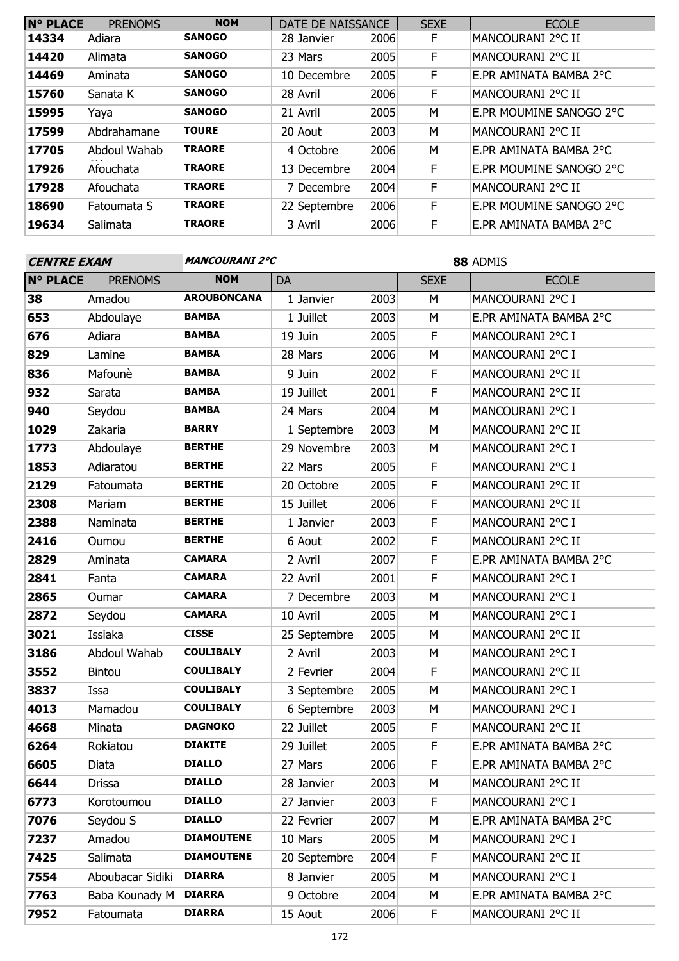| <b>N° PLACE</b> | <b>PRENOMS</b> | <b>NOM</b>    | DATE DE NAISSANCE |      | <b>SEXE</b> | <b>ECOLE</b>            |
|-----------------|----------------|---------------|-------------------|------|-------------|-------------------------|
| 14334           | Adiara         | <b>SANOGO</b> | 28 Janvier        | 2006 | F           | MANCOURANI 2°C II       |
| 14420           | Alimata        | SANOGO        | 23 Mars           | 2005 | F           | MANCOURANI 2°C II       |
| 14469           | Aminata        | <b>SANOGO</b> | 10 Decembre       | 2005 | F           | E.PR AMINATA BAMBA 2°C  |
| 15760           | Sanata K       | <b>SANOGO</b> | 28 Avril          | 2006 | F           | MANCOURANI 2°C II       |
| 15995           | Yaya           | SANOGO        | 21 Avril          | 2005 | M           | E.PR MOUMINE SANOGO 2°C |
| 17599           | Abdrahamane    | <b>TOURE</b>  | 20 Aout           | 2003 | M           | MANCOURANI 2°C II       |
| 17705           | Abdoul Wahab   | <b>TRAORE</b> | 4 Octobre         | 2006 | M           | E.PR AMINATA BAMBA 2°C  |
| 17926           | Afouchata      | <b>TRAORE</b> | 13 Decembre       | 2004 | F           | E.PR MOUMINE SANOGO 2°C |
| 17928           | Afouchata      | <b>TRAORE</b> | 7 Decembre        | 2004 | F           | MANCOURANI 2°C II       |
| 18690           | Fatoumata S    | <b>TRAORE</b> | 22 Septembre      | 2006 | F           | E.PR MOUMINE SANOGO 2°C |
| 19634           | Salimata       | <b>TRAORE</b> | 3 Avril           | 2006 | F           | E.PR AMINATA BAMBA 2°C  |

| <b>CENTRE EXAM</b> |                  | <b>MANCOURANI 2°C</b> |              |      | 88 ADMIS    |                        |  |
|--------------------|------------------|-----------------------|--------------|------|-------------|------------------------|--|
| <b>N° PLACE</b>    | <b>PRENOMS</b>   | <b>NOM</b>            | <b>DA</b>    |      | <b>SEXE</b> | <b>ECOLE</b>           |  |
| 38                 | Amadou           | <b>AROUBONCANA</b>    | 1 Janvier    | 2003 | M           | MANCOURANI 2°C I       |  |
| 653                | Abdoulaye        | <b>BAMBA</b>          | 1 Juillet    | 2003 | M           | E.PR AMINATA BAMBA 2°C |  |
| 676                | Adiara           | <b>BAMBA</b>          | 19 Juin      | 2005 | F           | MANCOURANI 2°C I       |  |
| 829                | Lamine           | <b>BAMBA</b>          | 28 Mars      | 2006 | M           | MANCOURANI 2°C I       |  |
| 836                | Mafounè          | <b>BAMBA</b>          | 9 Juin       | 2002 | F           | MANCOURANI 2°C II      |  |
| 932                | Sarata           | <b>BAMBA</b>          | 19 Juillet   | 2001 | F           | MANCOURANI 2°C II      |  |
| 940                | Seydou           | <b>BAMBA</b>          | 24 Mars      | 2004 | M           | MANCOURANI 2°C I       |  |
| 1029               | Zakaria          | <b>BARRY</b>          | 1 Septembre  | 2003 | M           | MANCOURANI 2°C II      |  |
| 1773               | Abdoulaye        | <b>BERTHE</b>         | 29 Novembre  | 2003 | M           | MANCOURANI 2°C I       |  |
| 1853               | Adiaratou        | <b>BERTHE</b>         | 22 Mars      | 2005 | F           | MANCOURANI 2°C I       |  |
| 2129               | Fatoumata        | <b>BERTHE</b>         | 20 Octobre   | 2005 | $\mathsf F$ | MANCOURANI 2°C II      |  |
| 2308               | Mariam           | <b>BERTHE</b>         | 15 Juillet   | 2006 | F           | MANCOURANI 2°C II      |  |
| 2388               | Naminata         | <b>BERTHE</b>         | 1 Janvier    | 2003 | F           | MANCOURANI 2°C I       |  |
| 2416               | Oumou            | <b>BERTHE</b>         | 6 Aout       | 2002 | F           | MANCOURANI 2°C II      |  |
| 2829               | Aminata          | <b>CAMARA</b>         | 2 Avril      | 2007 | F           | E.PR AMINATA BAMBA 2°C |  |
| 2841               | Fanta            | <b>CAMARA</b>         | 22 Avril     | 2001 | F           | MANCOURANI 2°C I       |  |
| 2865               | Oumar            | <b>CAMARA</b>         | 7 Decembre   | 2003 | M           | MANCOURANI 2°C I       |  |
| 2872               | Seydou           | <b>CAMARA</b>         | 10 Avril     | 2005 | M           | MANCOURANI 2°C I       |  |
| 3021               | Issiaka          | <b>CISSE</b>          | 25 Septembre | 2005 | M           | MANCOURANI 2°C II      |  |
| 3186               | Abdoul Wahab     | <b>COULIBALY</b>      | 2 Avril      | 2003 | M           | MANCOURANI 2°C I       |  |
| 3552               | <b>Bintou</b>    | <b>COULIBALY</b>      | 2 Fevrier    | 2004 | F           | MANCOURANI 2°C II      |  |
| 3837               | Issa             | <b>COULIBALY</b>      | 3 Septembre  | 2005 | M           | MANCOURANI 2°C I       |  |
| 4013               | Mamadou          | <b>COULIBALY</b>      | 6 Septembre  | 2003 | M           | MANCOURANI 2°C I       |  |
| 4668               | Minata           | <b>DAGNOKO</b>        | 22 Juillet   | 2005 | F           | MANCOURANI 2°C II      |  |
| 6264               | Rokiatou         | <b>DIAKITE</b>        | 29 Juillet   | 2005 | F           | E.PR AMINATA BAMBA 2°C |  |
| 6605               | Diata            | <b>DIALLO</b>         | 27 Mars      | 2006 | $\mathsf F$ | E.PR AMINATA BAMBA 2°C |  |
| 6644               | Drissa           | <b>DIALLO</b>         | 28 Janvier   | 2003 | М           | MANCOURANI 2°C II      |  |
| 6773               | Korotoumou       | <b>DIALLO</b>         | 27 Janvier   | 2003 | F           | MANCOURANI 2°C I       |  |
| 7076               | Seydou S         | <b>DIALLO</b>         | 22 Fevrier   | 2007 | M           | E.PR AMINATA BAMBA 2°C |  |
| 7237               | Amadou           | <b>DIAMOUTENE</b>     | 10 Mars      | 2005 | M           | MANCOURANI 2°C I       |  |
| 7425               | Salimata         | <b>DIAMOUTENE</b>     | 20 Septembre | 2004 | F           | MANCOURANI 2°C II      |  |
| 7554               | Aboubacar Sidiki | <b>DIARRA</b>         | 8 Janvier    | 2005 | M           | MANCOURANI 2°C I       |  |
| 7763               | Baba Kounady M   | <b>DIARRA</b>         | 9 Octobre    | 2004 | M           | E.PR AMINATA BAMBA 2°C |  |
| 7952               | Fatoumata        | <b>DIARRA</b>         | 15 Aout      | 2006 | F.          | MANCOURANI 2°C II      |  |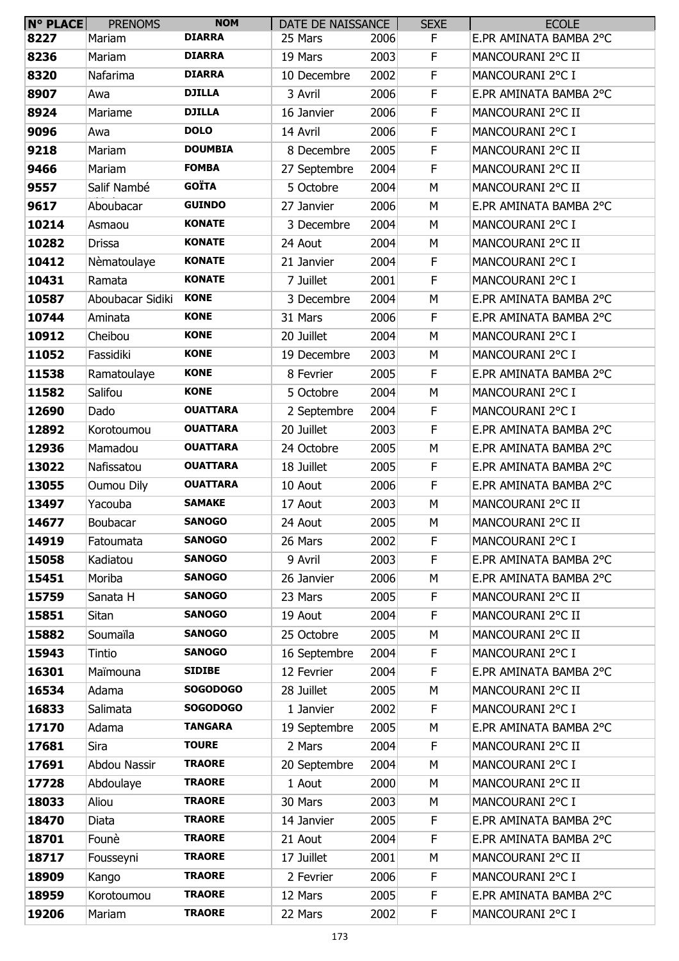| N° PLACE | <b>PRENOMS</b>    | <b>NOM</b>      | DATE DE NAISSANCE |      | <b>SEXE</b> | <b>ECOLE</b>           |
|----------|-------------------|-----------------|-------------------|------|-------------|------------------------|
| 8227     | Mariam            | <b>DIARRA</b>   | 25 Mars           | 2006 | F           | E.PR AMINATA BAMBA 2°C |
| 8236     | Mariam            | <b>DIARRA</b>   | 19 Mars           | 2003 | F           | MANCOURANI 2°C II      |
| 8320     | Nafarima          | <b>DIARRA</b>   | 10 Decembre       | 2002 | F           | MANCOURANI 2°C I       |
| 8907     | Awa               | <b>DJILLA</b>   | 3 Avril           | 2006 | F           | E.PR AMINATA BAMBA 2°C |
| 8924     | Mariame           | <b>DJILLA</b>   | 16 Janvier        | 2006 | F           | MANCOURANI 2°C II      |
| 9096     | Awa               | <b>DOLO</b>     | 14 Avril          | 2006 | F           | MANCOURANI 2°C I       |
| 9218     | Mariam            | <b>DOUMBIA</b>  | 8 Decembre        | 2005 | F           | MANCOURANI 2°C II      |
| 9466     | Mariam            | <b>FOMBA</b>    | 27 Septembre      | 2004 | F           | MANCOURANI 2°C II      |
| 9557     | Salif Nambé       | <b>GOÏTA</b>    | 5 Octobre         | 2004 | M           | MANCOURANI 2°C II      |
| 9617     | Aboubacar         | <b>GUINDO</b>   | 27 Janvier        | 2006 | M           | E.PR AMINATA BAMBA 2°C |
| 10214    | Asmaou            | <b>KONATE</b>   | 3 Decembre        | 2004 | M           | MANCOURANI 2°C I       |
| 10282    | <b>Drissa</b>     | <b>KONATE</b>   | 24 Aout           | 2004 | М           | MANCOURANI 2°C II      |
| 10412    | Nèmatoulaye       | <b>KONATE</b>   | 21 Janvier        | 2004 | F           | MANCOURANI 2°C I       |
| 10431    | Ramata            | <b>KONATE</b>   | 7 Juillet         | 2001 | F           | MANCOURANI 2°C I       |
| 10587    | Aboubacar Sidiki  | <b>KONE</b>     | 3 Decembre        | 2004 | М           | E.PR AMINATA BAMBA 2°C |
| 10744    | Aminata           | <b>KONE</b>     | 31 Mars           | 2006 | F           | E.PR AMINATA BAMBA 2°C |
| 10912    | Cheibou           | <b>KONE</b>     | 20 Juillet        | 2004 | M           | MANCOURANI 2°C I       |
| 11052    | Fassidiki         | <b>KONE</b>     | 19 Decembre       | 2003 | M           | MANCOURANI 2°C I       |
| 11538    | Ramatoulaye       | <b>KONE</b>     | 8 Fevrier         | 2005 | F           | E.PR AMINATA BAMBA 2°C |
| 11582    | Salifou           | <b>KONE</b>     | 5 Octobre         | 2004 | M           | MANCOURANI 2°C I       |
| 12690    | Dado              | <b>OUATTARA</b> | 2 Septembre       | 2004 | F           | MANCOURANI 2°C I       |
| 12892    | Korotoumou        | <b>OUATTARA</b> | 20 Juillet        | 2003 | F           | E.PR AMINATA BAMBA 2°C |
| 12936    | Mamadou           | <b>OUATTARA</b> | 24 Octobre        | 2005 | M           | E.PR AMINATA BAMBA 2°C |
| 13022    | Nafissatou        | <b>OUATTARA</b> | 18 Juillet        | 2005 | F           | E.PR AMINATA BAMBA 2°C |
| 13055    | <b>Oumou Dily</b> | <b>OUATTARA</b> | 10 Aout           | 2006 | F           | E.PR AMINATA BAMBA 2°C |
| 13497    | Yacouba           | <b>SAMAKE</b>   | 17 Aout           | 2003 | M           | MANCOURANI 2°C II      |
| 14677    | Boubacar          | <b>SANOGO</b>   | 24 Aout           | 2005 | M           | MANCOURANI 2°C II      |
| 14919    | Fatoumata         | <b>SANOGO</b>   | 26 Mars           | 2002 | F           | MANCOURANI 2°C I       |
| 15058    | Kadiatou          | <b>SANOGO</b>   | 9 Avril           | 2003 | F           | E.PR AMINATA BAMBA 2°C |
| 15451    | Moriba            | <b>SANOGO</b>   | 26 Janvier        | 2006 | M           | E.PR AMINATA BAMBA 2°C |
| 15759    | Sanata H          | <b>SANOGO</b>   | 23 Mars           | 2005 | F           | MANCOURANI 2°C II      |
| 15851    | Sitan             | <b>SANOGO</b>   | 19 Aout           | 2004 | F           | MANCOURANI 2°C II      |
| 15882    | Soumaïla          | <b>SANOGO</b>   | 25 Octobre        | 2005 | М           | MANCOURANI 2°C II      |
| 15943    | Tintio            | <b>SANOGO</b>   | 16 Septembre      | 2004 | F           | MANCOURANI 2°C I       |
| 16301    | Maïmouna          | <b>SIDIBE</b>   | 12 Fevrier        | 2004 | F           | E.PR AMINATA BAMBA 2°C |
| 16534    | Adama             | <b>SOGODOGO</b> | 28 Juillet        | 2005 | M           | MANCOURANI 2°C II      |
| 16833    | Salimata          | <b>SOGODOGO</b> | 1 Janvier         | 2002 | F           | MANCOURANI 2°C I       |
| 17170    | Adama             | <b>TANGARA</b>  | 19 Septembre      | 2005 | M           | E.PR AMINATA BAMBA 2°C |
| 17681    | Sira              | <b>TOURE</b>    | 2 Mars            | 2004 | F           | MANCOURANI 2°C II      |
| 17691    | Abdou Nassir      | <b>TRAORE</b>   | 20 Septembre      | 2004 | M           | MANCOURANI 2°C I       |
| 17728    | Abdoulaye         | <b>TRAORE</b>   | 1 Aout            | 2000 | M           | MANCOURANI 2°C II      |
| 18033    | Aliou             | <b>TRAORE</b>   | 30 Mars           | 2003 | M           | MANCOURANI 2°C I       |
| 18470    | Diata             | <b>TRAORE</b>   | 14 Janvier        | 2005 | F           | E.PR AMINATA BAMBA 2°C |
| 18701    | Founè             | <b>TRAORE</b>   | 21 Aout           | 2004 | F           | E.PR AMINATA BAMBA 2°C |
| 18717    | Fousseyni         | <b>TRAORE</b>   | 17 Juillet        | 2001 | M           | MANCOURANI 2°C II      |
| 18909    | Kango             | <b>TRAORE</b>   | 2 Fevrier         | 2006 | F           | MANCOURANI 2°C I       |
| 18959    | Korotoumou        | <b>TRAORE</b>   | 12 Mars           | 2005 | F           | E.PR AMINATA BAMBA 2°C |
| 19206    | Mariam            | <b>TRAORE</b>   | 22 Mars           | 2002 | F           | MANCOURANI 2°C I       |
|          |                   |                 |                   |      |             |                        |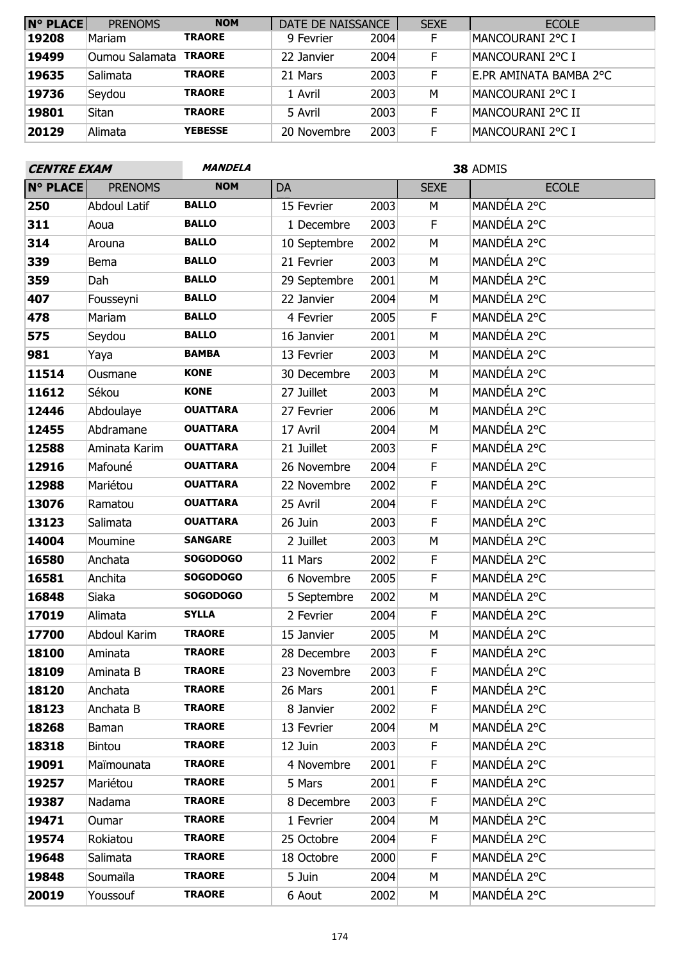| N° PLACE | <b>PRENOMS</b> | <b>NOM</b>     | DATE DE NAISSANCE |      | <b>SEXE</b> | <b>ECOLE</b>           |
|----------|----------------|----------------|-------------------|------|-------------|------------------------|
| 19208    | Mariam         | <b>TRAORE</b>  | 9 Fevrier         | 2004 | F.          | MANCOURANI 2°C I       |
| 19499    | Oumou Salamata | <b>TRAORE</b>  | 22 Janvier        | 2004 | F           | MANCOURANI 2°C I       |
| 19635    | Salimata       | <b>TRAORE</b>  | 21 Mars           | 2003 | F           | E.PR AMINATA BAMBA 2°C |
| 19736    | Seydou         | <b>TRAORE</b>  | 1 Avril           | 2003 | M           | IMANCOURANI 2°C I      |
| 19801    | Sitan          | <b>TRAORE</b>  | 5 Avril           | 2003 | F           | MANCOURANI 2°C II      |
| 20129    | Alimata        | <b>YEBESSE</b> | 20 Novembre       | 2003 | F           | MANCOURANI 2°C I       |

 $C = C$ 

| <b>CENTRE EXAM</b> |                     | <i><b>MANDELA</b></i> |              |      | 38 ADMIS    |              |  |
|--------------------|---------------------|-----------------------|--------------|------|-------------|--------------|--|
| <b>N° PLACE</b>    | <b>PRENOMS</b>      | <b>NOM</b>            | DA           |      | <b>SEXE</b> | <b>ECOLE</b> |  |
| 250                | <b>Abdoul Latif</b> | <b>BALLO</b>          | 15 Fevrier   | 2003 | M           | MANDÉLA 2°C  |  |
| 311                | Aoua                | <b>BALLO</b>          | 1 Decembre   | 2003 | $\mathsf F$ | MANDÉLA 2°C  |  |
| 314                | Arouna              | <b>BALLO</b>          | 10 Septembre | 2002 | M           | MANDÉLA 2°C  |  |
| 339                | Bema                | <b>BALLO</b>          | 21 Fevrier   | 2003 | M           | MANDÉLA 2°C  |  |
| 359                | Dah                 | <b>BALLO</b>          | 29 Septembre | 2001 | M           | MANDÉLA 2°C  |  |
| 407                | Fousseyni           | <b>BALLO</b>          | 22 Janvier   | 2004 | M           | MANDÉLA 2°C  |  |
| 478                | Mariam              | <b>BALLO</b>          | 4 Fevrier    | 2005 | F           | MANDÉLA 2°C  |  |
| 575                | Seydou              | <b>BALLO</b>          | 16 Janvier   | 2001 | M           | MANDÉLA 2°C  |  |
| 981                | Yaya                | <b>BAMBA</b>          | 13 Fevrier   | 2003 | M           | MANDÉLA 2°C  |  |
| 11514              | Ousmane             | <b>KONE</b>           | 30 Decembre  | 2003 | M           | MANDÉLA 2°C  |  |
| 11612              | Sékou               | <b>KONE</b>           | 27 Juillet   | 2003 | М           | MANDÉLA 2°C  |  |
| 12446              | Abdoulaye           | <b>OUATTARA</b>       | 27 Fevrier   | 2006 | M           | MANDÉLA 2°C  |  |
| 12455              | Abdramane           | <b>OUATTARA</b>       | 17 Avril     | 2004 | M           | MANDÉLA 2°C  |  |
| 12588              | Aminata Karim       | <b>OUATTARA</b>       | 21 Juillet   | 2003 | F           | MANDÉLA 2°C  |  |
| 12916              | Mafouné             | <b>OUATTARA</b>       | 26 Novembre  | 2004 | F           | MANDÉLA 2°C  |  |
| 12988              | Mariétou            | <b>OUATTARA</b>       | 22 Novembre  | 2002 | F           | MANDÉLA 2°C  |  |
| 13076              | Ramatou             | <b>OUATTARA</b>       | 25 Avril     | 2004 | F           | MANDÉLA 2°C  |  |
| 13123              | Salimata            | <b>OUATTARA</b>       | 26 Juin      | 2003 | F           | MANDÉLA 2°C  |  |
| 14004              | Moumine             | <b>SANGARE</b>        | 2 Juillet    | 2003 | M           | MANDÉLA 2°C  |  |
| 16580              | Anchata             | <b>SOGODOGO</b>       | 11 Mars      | 2002 | F           | MANDÉLA 2°C  |  |
| 16581              | Anchita             | <b>SOGODOGO</b>       | 6 Novembre   | 2005 | F           | MANDÉLA 2°C  |  |
| 16848              | Siaka               | <b>SOGODOGO</b>       | 5 Septembre  | 2002 | M           | MANDÉLA 2°C  |  |
| 17019              | Alimata             | <b>SYLLA</b>          | 2 Fevrier    | 2004 | F           | MANDÉLA 2°C  |  |
| 17700              | Abdoul Karim        | <b>TRAORE</b>         | 15 Janvier   | 2005 | M           | MANDÉLA 2°C  |  |
| 18100              | Aminata             | <b>TRAORE</b>         | 28 Decembre  | 2003 | F           | MANDÉLA 2°C  |  |
| 18109              | Aminata B           | <b>TRAORE</b>         | 23 Novembre  | 2003 | F           | MANDÉLA 2°C  |  |
| 18120              | Anchata             | <b>TRAORE</b>         | 26 Mars      | 2001 | F           | MANDÉLA 2°C  |  |
| 18123              | Anchata B           | <b>TRAORE</b>         | 8 Janvier    | 2002 | F           | MANDÉLA 2°C  |  |
| 18268              | <b>Baman</b>        | <b>TRAORE</b>         | 13 Fevrier   | 2004 | М           | MANDÉLA 2°C  |  |
| 18318              | Bintou              | <b>TRAORE</b>         | 12 Juin      | 2003 | F           | MANDÉLA 2°C  |  |
| 19091              | Maïmounata          | <b>TRAORE</b>         | 4 Novembre   | 2001 | F           | MANDÉLA 2°C  |  |
| 19257              | Mariétou            | <b>TRAORE</b>         | 5 Mars       | 2001 | F           | MANDÉLA 2°C  |  |
| 19387              | Nadama              | <b>TRAORE</b>         | 8 Decembre   | 2003 | F           | MANDÉLA 2°C  |  |
| 19471              | Oumar               | <b>TRAORE</b>         | 1 Fevrier    | 2004 | М           | MANDÉLA 2°C  |  |
| 19574              | Rokiatou            | <b>TRAORE</b>         | 25 Octobre   | 2004 | F           | MANDÉLA 2°C  |  |
| 19648              | Salimata            | <b>TRAORE</b>         | 18 Octobre   | 2000 | F           | MANDÉLA 2°C  |  |
| 19848              | Soumaïla            | <b>TRAORE</b>         | 5 Juin       | 2004 | М           | MANDÉLA 2°C  |  |
| 20019              | Youssouf            | <b>TRAORE</b>         | 6 Aout       | 2002 | М           | MANDÉLA 2°C  |  |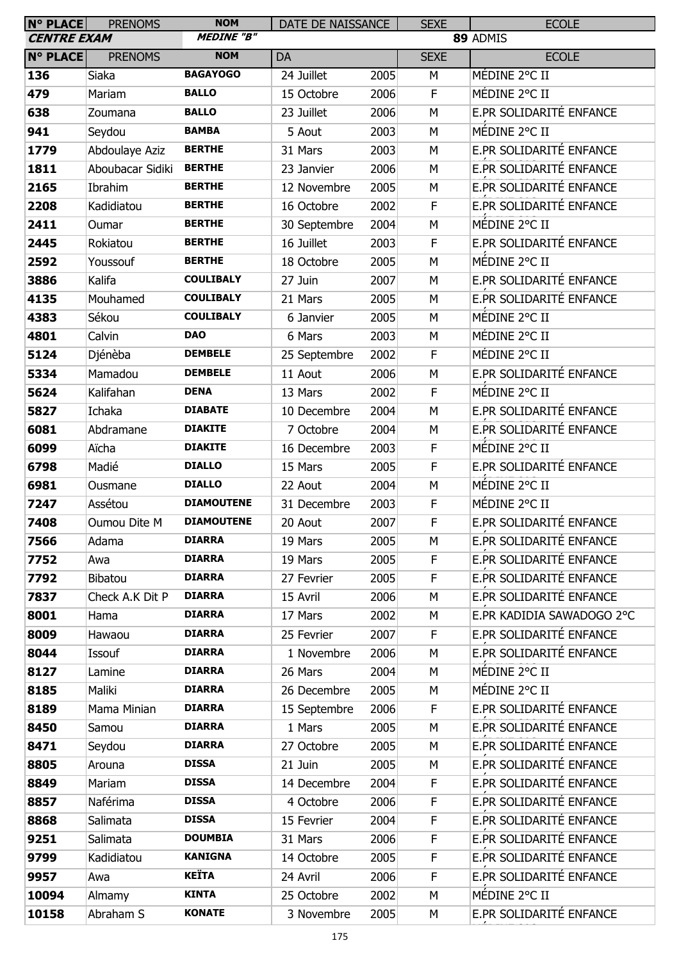| N° PLACE<br><b>CENTRE EXAM</b> | <b>PRENOMS</b>        | <b>NOM</b><br><b>MEDINE "B"</b> | DATE DE NAISSANCE          |              | <b>SEXE</b>      | <b>ECOLE</b><br>89 ADMIS  |
|--------------------------------|-----------------------|---------------------------------|----------------------------|--------------|------------------|---------------------------|
| <b>N° PLACE</b>                | <b>PRENOMS</b>        | <b>NOM</b>                      | DA                         |              | <b>SEXE</b>      | <b>ECOLE</b>              |
| 136                            | Siaka                 | <b>BAGAYOGO</b>                 | 24 Juillet                 | 2005         | M                | MÉDINE 2°C II             |
| 479                            | Mariam                | <b>BALLO</b>                    | 15 Octobre                 | 2006         | $\mathsf F$      | MÉDINE 2°C II             |
| 638                            |                       | <b>BALLO</b>                    |                            | 2006         | M                | E.PR SOLIDARITÉ ENFANCE   |
|                                | Zoumana               | <b>BAMBA</b>                    | 23 Juillet                 |              |                  | MÉDINE 2°C II             |
| 941                            | Seydou                | <b>BERTHE</b>                   | 5 Aout                     | 2003         | M                | E.PR SOLIDARITÉ ENFANCE   |
| 1779                           | Abdoulaye Aziz        | <b>BERTHE</b>                   | 31 Mars                    | 2003         | M                | E.PR SOLIDARITÉ ENFANCE   |
| 1811<br>2165                   | Aboubacar Sidiki      | <b>BERTHE</b>                   | 23 Janvier                 | 2006<br>2005 | M                | E.PR SOLIDARITÉ ENFANCE   |
| 2208                           | Ibrahim<br>Kadidiatou | <b>BERTHE</b>                   | 12 Novembre<br>16 Octobre  | 2002         | М<br>$\mathsf F$ | E.PR SOLIDARITÉ ENFANCE   |
| 2411                           |                       | <b>BERTHE</b>                   |                            | 2004         | M                | MÉDINE 2°C II             |
|                                | Oumar<br>Rokiatou     | <b>BERTHE</b>                   | 30 Septembre<br>16 Juillet |              | $\mathsf F$      | E.PR SOLIDARITÉ ENFANCE   |
| 2445<br>2592                   |                       | <b>BERTHE</b>                   |                            | 2003<br>2005 | M                | MÉDINE 2°C II             |
|                                | Youssouf              | <b>COULIBALY</b>                | 18 Octobre                 |              |                  | E.PR SOLIDARITÉ ENFANCE   |
| 3886<br>4135                   | Kalifa<br>Mouhamed    | <b>COULIBALY</b>                | 27 Juin<br>21 Mars         | 2007<br>2005 | M<br>M           | E.PR SOLIDARITÉ ENFANCE   |
| 4383                           | Sékou                 | <b>COULIBALY</b>                |                            | 2005         | M                | MÉDINE 2°C II             |
| 4801                           | Calvin                | <b>DAO</b>                      | 6 Janvier<br>6 Mars        | 2003         | M                | MÉDINE 2°C II             |
| 5124                           | Djénèba               | <b>DEMBELE</b>                  |                            | 2002         | F                | MÉDINE 2°C II             |
| 5334                           | Mamadou               | <b>DEMBELE</b>                  | 25 Septembre<br>11 Aout    | 2006         | M                | E.PR SOLIDARITÉ ENFANCE   |
| 5624                           | Kalifahan             | <b>DENA</b>                     | 13 Mars                    | 2002         | F                | MÉDINE 2°C II             |
| 5827                           | Ichaka                | <b>DIABATE</b>                  | 10 Decembre                | 2004         | M                | E.PR SOLIDARITÉ ENFANCE   |
| 6081                           | Abdramane             | <b>DIAKITE</b>                  | 7 Octobre                  | 2004         | M                | E.PR SOLIDARITÉ ENFANCE   |
|                                |                       | <b>DIAKITE</b>                  |                            | 2003         | F                | MÉDINE 2°C II             |
| 6099<br>6798                   | Aïcha<br>Madié        | <b>DIALLO</b>                   | 16 Decembre<br>15 Mars     | 2005         | $\mathsf F$      | E.PR SOLIDARITÉ ENFANCE   |
|                                | Ousmane               | <b>DIALLO</b>                   | 22 Aout                    | 2004         | M                | MÉDINE 2°C II             |
| 6981<br>7247                   | Assétou               | <b>DIAMOUTENE</b>               | 31 Decembre                | 2003         | F                | MÉDINE 2°C II             |
| 7408                           | Oumou Dite M          | <b>DIAMOUTENE</b>               | 20 Aout                    | 2007         | F                | E.PR SOLIDARITÉ ENFANCE   |
| 7566                           | Adama                 | <b>DIARRA</b>                   | 19 Mars                    | 2005         | М                | E.PR SOLIDARITÉ ENFANCE   |
| 7752                           | Awa                   | <b>DIARRA</b>                   | 19 Mars                    | 2005         | F                | E.PR SOLIDARITÉ ENFANCE   |
| 7792                           | Bibatou               | <b>DIARRA</b>                   | 27 Fevrier                 | 2005         | F                | E.PR SOLIDARITÉ ENFANCE   |
| 7837                           | Check A.K Dit P       | <b>DIARRA</b>                   | 15 Avril                   | 2006         | М                | E.PR SOLIDARITÉ ENFANCE   |
| 8001                           | Hama                  | <b>DIARRA</b>                   | 17 Mars                    | 2002         | М                | E.PR KADIDIA SAWADOGO 2°C |
| 8009                           | Hawaou                | <b>DIARRA</b>                   | 25 Fevrier                 | 2007         | F.               | E.PR SOLIDARITÉ ENFANCE   |
| 8044                           | Issouf                | <b>DIARRA</b>                   | 1 Novembre                 | 2006         | М                | E.PR SOLIDARITÉ ENFANCE   |
| 8127                           | Lamine                | <b>DIARRA</b>                   | 26 Mars                    | 2004         | М                | MÉDINE 2°C II             |
| 8185                           | Maliki                | <b>DIARRA</b>                   | 26 Decembre                | 2005         | М                | MÉDINE 2°C II             |
| 8189                           | Mama Minian           | <b>DIARRA</b>                   | 15 Septembre               | 2006         | F                | E.PR SOLIDARITÉ ENFANCE   |
| 8450                           | Samou                 | <b>DIARRA</b>                   | 1 Mars                     | 2005         | М                | E.PR SOLIDARITÉ ENFANCE   |
| 8471                           | Seydou                | <b>DIARRA</b>                   | 27 Octobre                 | 2005         | М                | E.PR SOLIDARITÉ ENFANCE   |
| 8805                           | Arouna                | <b>DISSA</b>                    | 21 Juin                    | 2005         | М                | E.PR SOLIDARITÉ ENFANCE   |
| 8849                           | Mariam                | <b>DISSA</b>                    | 14 Decembre                | 2004         | F                | E.PR SOLIDARITÉ ENFANCE   |
| 8857                           | Naférima              | <b>DISSA</b>                    | 4 Octobre                  | 2006         | F                | E.PR SOLIDARITÉ ENFANCE   |
| 8868                           | Salimata              | <b>DISSA</b>                    | 15 Fevrier                 | 2004         | F                | E.PR SOLIDARITÉ ENFANCE   |
| 9251                           | Salimata              | <b>DOUMBIA</b>                  | 31 Mars                    | 2006         | F                | E.PR SOLIDARITÉ ENFANCE   |
| 9799                           | Kadidiatou            | <b>KANIGNA</b>                  | 14 Octobre                 | 2005         | F                | E.PR SOLIDARITÉ ENFANCE   |
| 9957                           | Awa                   | <b>KEÏTA</b>                    | 24 Avril                   | 2006         | F                | E.PR SOLIDARITÉ ENFANCE   |
| 10094                          | Almamy                | <b>KINTA</b>                    | 25 Octobre                 | 2002         | M                | MÉDINE 2°C II             |
| 10158                          | Abraham S             | <b>KONATE</b>                   | 3 Novembre                 | 2005         | М                | E.PR SOLIDARITÉ ENFANCE   |
|                                |                       |                                 |                            |              |                  |                           |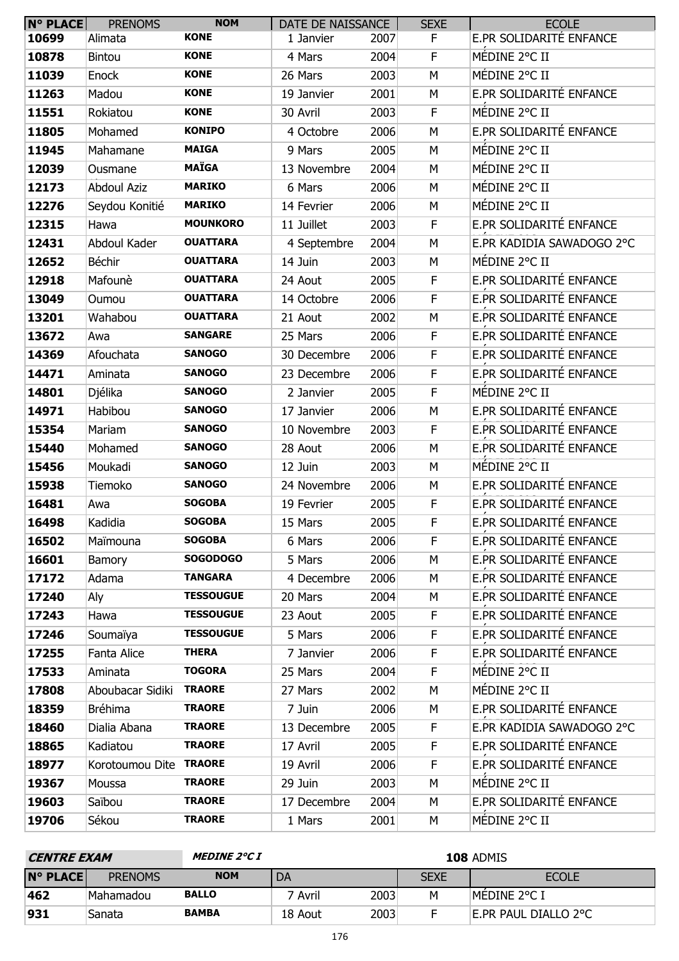| <b>N° PLACE</b> | <b>PRENOMS</b>     | <b>NOM</b>       | DATE DE NAISSANCE |      | <b>SEXE</b> | <b>ECOLE</b>              |
|-----------------|--------------------|------------------|-------------------|------|-------------|---------------------------|
| 10699           | Alimata            | <b>KONE</b>      | 1 Janvier         | 2007 | F.          | E.PR SOLIDARITÉ ENFANCE   |
| 10878           | <b>Bintou</b>      | <b>KONE</b>      | 4 Mars            | 2004 | F           | MÉDINE 2°C II             |
| 11039           | Enock              | <b>KONE</b>      | 26 Mars           | 2003 | M           | MÉDINE 2°C II             |
| 11263           | Madou              | <b>KONE</b>      | 19 Janvier        | 2001 | M           | E.PR SOLIDARITÉ ENFANCE   |
| 11551           | Rokiatou           | <b>KONE</b>      | 30 Avril          | 2003 | F.          | MÉDINE 2°C II             |
| 11805           | Mohamed            | <b>KONIPO</b>    | 4 Octobre         | 2006 | M           | E.PR SOLIDARITÉ ENFANCE   |
| 11945           | Mahamane           | <b>MAIGA</b>     | 9 Mars            | 2005 | M           | MÉDINE 2°C II             |
| 12039           | Ousmane            | <b>MAÏGA</b>     | 13 Novembre       | 2004 | M           | MÉDINE 2°C II             |
| 12173           | <b>Abdoul Aziz</b> | <b>MARIKO</b>    | 6 Mars            | 2006 | M           | MÉDINE 2°C II             |
| 12276           | Seydou Konitié     | <b>MARIKO</b>    | 14 Fevrier        | 2006 | M           | MÉDINE 2°C II             |
| 12315           | Hawa               | <b>MOUNKORO</b>  | 11 Juillet        | 2003 | F           | E.PR SOLIDARITÉ ENFANCE   |
| 12431           | Abdoul Kader       | <b>OUATTARA</b>  | 4 Septembre       | 2004 | M           | E.PR KADIDIA SAWADOGO 2°C |
| 12652           | Béchir             | <b>OUATTARA</b>  | 14 Juin           | 2003 | M           | MÉDINE 2°C II             |
| 12918           | Mafounè            | <b>OUATTARA</b>  | 24 Aout           | 2005 | F           | E.PR SOLIDARITÉ ENFANCE   |
| 13049           | Oumou              | <b>OUATTARA</b>  | 14 Octobre        | 2006 | F           | E.PR SOLIDARITÉ ENFANCE   |
| 13201           | Wahabou            | <b>OUATTARA</b>  | 21 Aout           | 2002 | M           | E.PR SOLIDARITÉ ENFANCE   |
| 13672           | Awa                | <b>SANGARE</b>   | 25 Mars           | 2006 | F           | E.PR SOLIDARITÉ ENFANCE   |
| 14369           | Afouchata          | <b>SANOGO</b>    | 30 Decembre       | 2006 | F           | E.PR SOLIDARITÉ ENFANCE   |
| 14471           | Aminata            | <b>SANOGO</b>    | 23 Decembre       | 2006 | F           | E.PR SOLIDARITÉ ENFANCE   |
| 14801           | Djélika            | <b>SANOGO</b>    | 2 Janvier         | 2005 | F           | MÉDINE 2°C II             |
| 14971           | Habibou            | <b>SANOGO</b>    | 17 Janvier        | 2006 | M           | E.PR SOLIDARITÉ ENFANCE   |
| 15354           | Mariam             | <b>SANOGO</b>    | 10 Novembre       | 2003 | F           | E.PR SOLIDARITÉ ENFANCE   |
| 15440           | Mohamed            | <b>SANOGO</b>    | 28 Aout           | 2006 | M           | E.PR SOLIDARITÉ ENFANCE   |
| 15456           | Moukadi            | <b>SANOGO</b>    | 12 Juin           | 2003 | M           | MÉDINE 2°C II             |
| 15938           | Tiemoko            | <b>SANOGO</b>    | 24 Novembre       | 2006 | M           | E.PR SOLIDARITÉ ENFANCE   |
| 16481           | Awa                | <b>SOGOBA</b>    | 19 Fevrier        | 2005 | F           | E.PR SOLIDARITÉ ENFANCE   |
| 16498           | Kadidia            | <b>SOGOBA</b>    | 15 Mars           | 2005 | F           | E.PR SOLIDARITÉ ENFANCE   |
| 16502           | Maïmouna           | <b>SOGOBA</b>    | 6 Mars            | 2006 | F           | E.PR SOLIDARITÉ ENFANCE   |
| 16601           | Bamory             | <b>SOGODOGO</b>  | 5 Mars            | 2006 | М           | E.PR SOLIDARITÉ ENFANCE   |
| 17172           | Adama              | <b>TANGARA</b>   | 4 Decembre        | 2006 | М           | E.PR SOLIDARITÉ ENFANCE   |
| 17240           | Aly                | <b>TESSOUGUE</b> | 20 Mars           | 2004 | M           | E.PR SOLIDARITÉ ENFANCE   |
| 17243           | Hawa               | <b>TESSOUGUE</b> | 23 Aout           | 2005 | F           | E.PR SOLIDARITÉ ENFANCE   |
| 17246           | Soumaïya           | <b>TESSOUGUE</b> | 5 Mars            | 2006 | F           | E.PR SOLIDARITÉ ENFANCE   |
| 17255           | Fanta Alice        | <b>THERA</b>     | 7 Janvier         | 2006 | F           | E.PR SOLIDARITÉ ENFANCE   |
| 17533           | Aminata            | <b>TOGORA</b>    | 25 Mars           | 2004 | F           | MÉDINE 2°C II             |
| 17808           | Aboubacar Sidiki   | <b>TRAORE</b>    | 27 Mars           | 2002 | M           | MÉDINE 2°C II             |
| 18359           | <b>Bréhima</b>     | <b>TRAORE</b>    | 7 Juin            | 2006 | М           | E.PR SOLIDARITÉ ENFANCE   |
| 18460           | Dialia Abana       | <b>TRAORE</b>    | 13 Decembre       | 2005 | F           | E.PR KADIDIA SAWADOGO 2°C |
| 18865           | Kadiatou           | <b>TRAORE</b>    | 17 Avril          | 2005 | F           | E.PR SOLIDARITÉ ENFANCE   |
| 18977           | Korotoumou Dite    | <b>TRAORE</b>    | 19 Avril          | 2006 | F           | E.PR SOLIDARITÉ ENFANCE   |
| 19367           | Moussa             | <b>TRAORE</b>    | 29 Juin           | 2003 | M           | MÉDINE 2°C II             |
| 19603           | Saïbou             | <b>TRAORE</b>    | 17 Decembre       | 2004 | M           | E.PR SOLIDARITÉ ENFANCE   |
| 19706           | Sékou              | <b>TRAORE</b>    | 1 Mars            | 2001 | М           | MÉDINE 2°C II             |

| <i><b>CENTRE EXAM</b></i> |                | <i>MEDINE 2°C I</i> | <b>108 ADMIS</b> |      |             |                      |  |  |
|---------------------------|----------------|---------------------|------------------|------|-------------|----------------------|--|--|
| <b>N° PLACE</b>           | <b>PRENOMS</b> | <b>NOM</b>          | DA               |      | <b>SEXE</b> | <b>ECOLE</b>         |  |  |
| 462                       | Mahamadou      | <b>BALLO</b>        | ' Avril          | 2003 | м           | MEDINE 2°C I         |  |  |
| 931                       | Sanata         | <b>BAMBA</b>        | 18 Aout          | 2003 |             | E.PR PAUL DIALLO 2°C |  |  |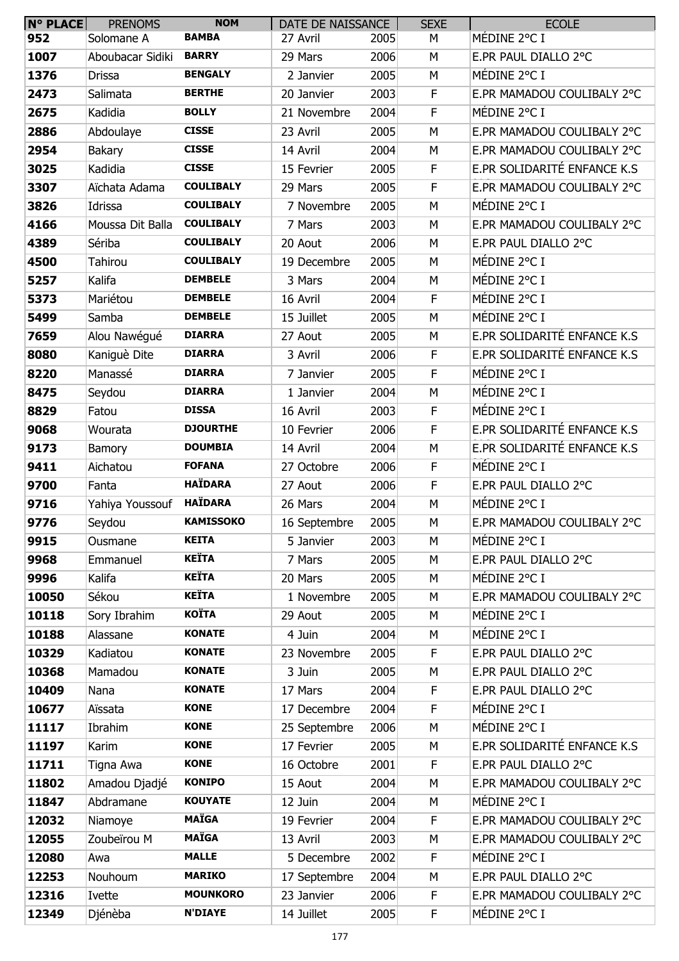| $N^{\circ}$ PLACE | <b>PRENOMS</b>   | <b>NOM</b>       | DATE DE NAISSANCE |      | <b>SEXE</b> | <b>ECOLE</b>                |
|-------------------|------------------|------------------|-------------------|------|-------------|-----------------------------|
| 952               | Solomane A       | <b>BAMBA</b>     | 27 Avril          | 2005 | М           | MÉDINE 2°C I                |
| 1007              | Aboubacar Sidiki | <b>BARRY</b>     | 29 Mars           | 2006 | M           | E.PR PAUL DIALLO 2°C        |
| 1376              | Drissa           | <b>BENGALY</b>   | 2 Janvier         | 2005 | M           | MÉDINE 2°C I                |
| 2473              | Salimata         | <b>BERTHE</b>    | 20 Janvier        | 2003 | F           | E.PR MAMADOU COULIBALY 2°C  |
| 2675              | Kadidia          | <b>BOLLY</b>     | 21 Novembre       | 2004 | F.          | MÉDINE 2°C I                |
| 2886              | Abdoulaye        | <b>CISSE</b>     | 23 Avril          | 2005 | M           | E.PR MAMADOU COULIBALY 2°C  |
| 2954              | <b>Bakary</b>    | <b>CISSE</b>     | 14 Avril          | 2004 | M           | E.PR MAMADOU COULIBALY 2°C  |
| 3025              | Kadidia          | <b>CISSE</b>     | 15 Fevrier        | 2005 | F           | E.PR SOLIDARITÉ ENFANCE K.S |
| 3307              | Aïchata Adama    | <b>COULIBALY</b> | 29 Mars           | 2005 | $\mathsf F$ | E.PR MAMADOU COULIBALY 2°C  |
| 3826              | Idrissa          | <b>COULIBALY</b> | 7 Novembre        | 2005 | M           | MÉDINE 2°C I                |
| 4166              | Moussa Dit Balla | <b>COULIBALY</b> | 7 Mars            | 2003 | M           | E.PR MAMADOU COULIBALY 2°C  |
| 4389              | Sériba           | <b>COULIBALY</b> | 20 Aout           | 2006 | М           | E.PR PAUL DIALLO 2°C        |
| 4500              | Tahirou          | <b>COULIBALY</b> | 19 Decembre       | 2005 | M           | MÉDINE 2°C I                |
| 5257              | Kalifa           | <b>DEMBELE</b>   | 3 Mars            | 2004 | M           | MÉDINE 2°C I                |
| 5373              | Mariétou         | <b>DEMBELE</b>   | 16 Avril          | 2004 | F           | MÉDINE 2°C I                |
| 5499              | Samba            | <b>DEMBELE</b>   | 15 Juillet        | 2005 | M           | MÉDINE 2°C I                |
| 7659              | Alou Nawégué     | <b>DIARRA</b>    | 27 Aout           | 2005 | M           | E.PR SOLIDARITÉ ENFANCE K.S |
| 8080              | Kaniguè Dite     | <b>DIARRA</b>    | 3 Avril           | 2006 | F           | E.PR SOLIDARITÉ ENFANCE K.S |
| 8220              | Manassé          | <b>DIARRA</b>    | 7 Janvier         | 2005 | F           | MÉDINE 2°C I                |
| 8475              | Seydou           | <b>DIARRA</b>    | 1 Janvier         | 2004 | M           | MÉDINE 2°C I                |
| 8829              | Fatou            | <b>DISSA</b>     | 16 Avril          | 2003 | F           | MÉDINE 2°C I                |
| 9068              | Wourata          | <b>DJOURTHE</b>  | 10 Fevrier        | 2006 | F           | E.PR SOLIDARITÉ ENFANCE K.S |
| 9173              | Bamory           | <b>DOUMBIA</b>   | 14 Avril          | 2004 | M           | E.PR SOLIDARITÉ ENFANCE K.S |
| 9411              | Aichatou         | <b>FOFANA</b>    | 27 Octobre        | 2006 | F           | MÉDINE 2°C I                |
| 9700              | Fanta            | <b>HAÏDARA</b>   | 27 Aout           | 2006 | F           | E.PR PAUL DIALLO 2°C        |
| 9716              | Yahiya Youssouf  | <b>HAÏDARA</b>   | 26 Mars           | 2004 | М           | MÉDINE 2°C I                |
| 9776              | Seydou           | <b>KAMISSOKO</b> | 16 Septembre      | 2005 | M           | E.PR MAMADOU COULIBALY 2°C  |
| 9915              | Ousmane          | <b>KEITA</b>     | 5 Janvier         | 2003 | M           | MÉDINE 2°C I                |
| 9968              | Emmanuel         | <b>KEÏTA</b>     | 7 Mars            | 2005 | M           | E.PR PAUL DIALLO 2°C        |
| 9996              | Kalifa           | <b>KEÏTA</b>     | 20 Mars           | 2005 | M           | MÉDINE 2°C I                |
| 10050             | Sékou            | <b>KEÏTA</b>     | 1 Novembre        | 2005 | M           | E.PR MAMADOU COULIBALY 2°C  |
| 10118             | Sory Ibrahim     | <b>KOÏTA</b>     | 29 Aout           | 2005 | M           | MÉDINE 2°C I                |
| 10188             | Alassane         | <b>KONATE</b>    | 4 Juin            | 2004 | M           | MÉDINE 2°C I                |
| 10329             | Kadiatou         | <b>KONATE</b>    | 23 Novembre       | 2005 | F           | E.PR PAUL DIALLO 2°C        |
| 10368             | Mamadou          | <b>KONATE</b>    | 3 Juin            | 2005 | M           | E.PR PAUL DIALLO 2°C        |
| 10409             | Nana             | <b>KONATE</b>    | 17 Mars           | 2004 | F           | E.PR PAUL DIALLO 2°C        |
| 10677             | Aïssata          | <b>KONE</b>      | 17 Decembre       | 2004 | $\mathsf F$ | MÉDINE 2°C I                |
| 11117             | Ibrahim          | <b>KONE</b>      | 25 Septembre      | 2006 | M           | MÉDINE 2°C I                |
| 11197             | Karim            | <b>KONE</b>      | 17 Fevrier        | 2005 | M           | E.PR SOLIDARITÉ ENFANCE K.S |
| 11711             | Tigna Awa        | <b>KONE</b>      | 16 Octobre        | 2001 | F.          | E.PR PAUL DIALLO 2°C        |
| 11802             | Amadou Djadjé    | <b>KONIPO</b>    | 15 Aout           | 2004 | M           | E.PR MAMADOU COULIBALY 2°C  |
| 11847             | Abdramane        | <b>KOUYATE</b>   | 12 Juin           | 2004 | M           | MÉDINE 2°C I                |
| 12032             | Niamoye          | <b>MAÏGA</b>     | 19 Fevrier        | 2004 | F           | E.PR MAMADOU COULIBALY 2°C  |
| 12055             | Zoubeïrou M      | <b>MAÏGA</b>     | 13 Avril          | 2003 | M           | E.PR MAMADOU COULIBALY 2°C  |
| 12080             | Awa              | <b>MALLE</b>     | 5 Decembre        | 2002 | F           | MÉDINE 2°C I                |
| 12253             | Nouhoum          | <b>MARIKO</b>    | 17 Septembre      | 2004 | M           | E.PR PAUL DIALLO 2°C        |
| 12316             | Ivette           | <b>MOUNKORO</b>  | 23 Janvier        | 2006 | F           | E.PR MAMADOU COULIBALY 2°C  |
| 12349             | Djénèba          | <b>N'DIAYE</b>   | 14 Juillet        | 2005 | F.          | MÉDINE 2°C I                |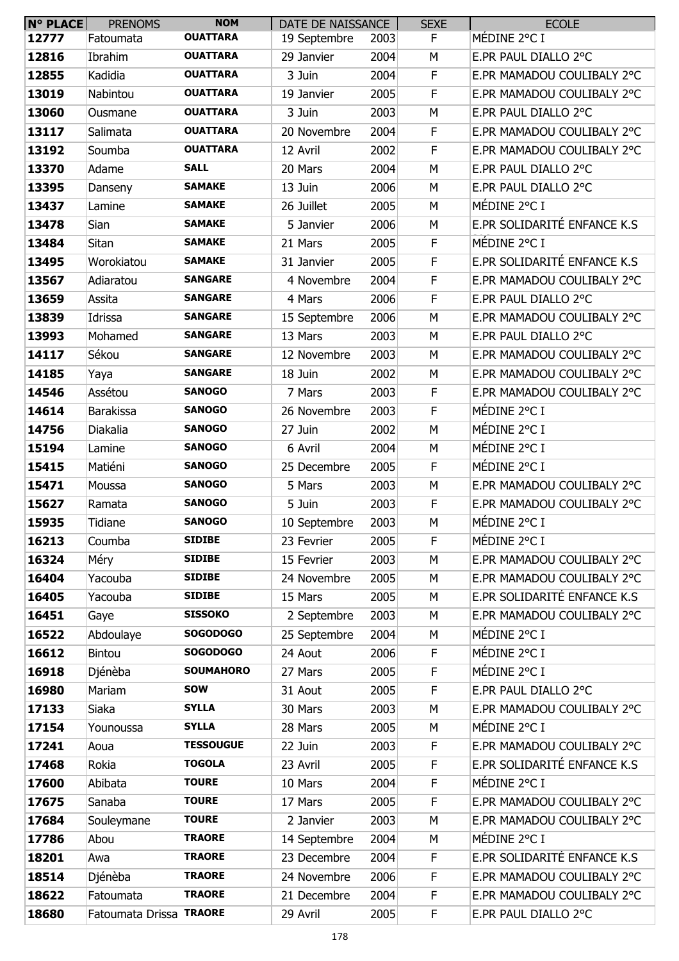| <b>N° PLACE</b> | <b>PRENOMS</b>          | <b>NOM</b>       | DATE DE NAISSANCE |      | <b>SEXE</b> | <b>ECOLE</b>                |
|-----------------|-------------------------|------------------|-------------------|------|-------------|-----------------------------|
| 12777           | Fatoumata               | <b>OUATTARA</b>  | 19 Septembre      | 2003 | F           | MÉDINE 2°C I                |
| 12816           | Ibrahim                 | <b>OUATTARA</b>  | 29 Janvier        | 2004 | М           | E.PR PAUL DIALLO 2°C        |
| 12855           | Kadidia                 | <b>OUATTARA</b>  | 3 Juin            | 2004 | F           | E.PR MAMADOU COULIBALY 2°C  |
| 13019           | Nabintou                | <b>OUATTARA</b>  | 19 Janvier        | 2005 | F           | E.PR MAMADOU COULIBALY 2°C  |
| 13060           | Ousmane                 | <b>OUATTARA</b>  | 3 Juin            | 2003 | M           | E.PR PAUL DIALLO 2°C        |
| 13117           | Salimata                | <b>OUATTARA</b>  | 20 Novembre       | 2004 | F           | E.PR MAMADOU COULIBALY 2°C  |
| 13192           | Soumba                  | <b>OUATTARA</b>  | 12 Avril          | 2002 | F           | E.PR MAMADOU COULIBALY 2°C  |
| 13370           | Adame                   | <b>SALL</b>      | 20 Mars           | 2004 | М           | E.PR PAUL DIALLO 2°C        |
| 13395           | Danseny                 | <b>SAMAKE</b>    | 13 Juin           | 2006 | M           | E.PR PAUL DIALLO 2°C        |
| 13437           | Lamine                  | <b>SAMAKE</b>    | 26 Juillet        | 2005 | М           | MÉDINE 2°C I                |
| 13478           | Sian                    | <b>SAMAKE</b>    | 5 Janvier         | 2006 | M           | E.PR SOLIDARITÉ ENFANCE K.S |
| 13484           | Sitan                   | <b>SAMAKE</b>    | 21 Mars           | 2005 | F           | MÉDINE 2°C I                |
| 13495           | Worokiatou              | <b>SAMAKE</b>    | 31 Janvier        | 2005 | F           | E.PR SOLIDARITÉ ENFANCE K.S |
| 13567           | Adiaratou               | <b>SANGARE</b>   | 4 Novembre        | 2004 | F           | E.PR MAMADOU COULIBALY 2°C  |
| 13659           | Assita                  | <b>SANGARE</b>   | 4 Mars            | 2006 | F           | E.PR PAUL DIALLO 2°C        |
| 13839           | Idrissa                 | <b>SANGARE</b>   | 15 Septembre      | 2006 | M           | E.PR MAMADOU COULIBALY 2°C  |
| 13993           | Mohamed                 | <b>SANGARE</b>   | 13 Mars           | 2003 | М           | E.PR PAUL DIALLO 2°C        |
| 14117           | Sékou                   | <b>SANGARE</b>   | 12 Novembre       | 2003 | М           | E.PR MAMADOU COULIBALY 2°C  |
| 14185           | Yaya                    | <b>SANGARE</b>   | 18 Juin           | 2002 | M           | E.PR MAMADOU COULIBALY 2°C  |
| 14546           | Assétou                 | <b>SANOGO</b>    | 7 Mars            | 2003 | F           | E.PR MAMADOU COULIBALY 2°C  |
| 14614           | <b>Barakissa</b>        | <b>SANOGO</b>    | 26 Novembre       | 2003 | F           | MÉDINE 2°C I                |
| 14756           | Diakalia                | <b>SANOGO</b>    | 27 Juin           | 2002 | М           | MÉDINE 2°C I                |
| 15194           | Lamine                  | <b>SANOGO</b>    | 6 Avril           | 2004 | M           | MÉDINE 2°C I                |
| 15415           | Matiéni                 | <b>SANOGO</b>    | 25 Decembre       | 2005 | F           | MÉDINE 2°C I                |
| 15471           | Moussa                  | <b>SANOGO</b>    | 5 Mars            | 2003 | M           | E.PR MAMADOU COULIBALY 2°C  |
| 15627           | Ramata                  | <b>SANOGO</b>    | 5 Juin            | 2003 | F           | E.PR MAMADOU COULIBALY 2°C  |
| 15935           | Tidiane                 | <b>SANOGO</b>    | 10 Septembre      | 2003 | M           | MÉDINE 2°C I                |
| 16213           | Coumba                  | <b>SIDIBE</b>    | 23 Fevrier        | 2005 | F           | MÉDINE 2°C I                |
| 16324           | Méry                    | <b>SIDIBE</b>    | 15 Fevrier        | 2003 | M           | E.PR MAMADOU COULIBALY 2°C  |
| 16404           | Yacouba                 | <b>SIDIBE</b>    | 24 Novembre       | 2005 | M           | E.PR MAMADOU COULIBALY 2°C  |
| 16405           | Yacouba                 | <b>SIDIBE</b>    | 15 Mars           | 2005 | M           | E.PR SOLIDARITÉ ENFANCE K.S |
| 16451           | Gaye                    | <b>SISSOKO</b>   | 2 Septembre       | 2003 | M           | E.PR MAMADOU COULIBALY 2°C  |
| 16522           | Abdoulaye               | <b>SOGODOGO</b>  | 25 Septembre      | 2004 | М           | MÉDINE 2°C I                |
| 16612           | Bintou                  | <b>SOGODOGO</b>  | 24 Aout           | 2006 | F           | MÉDINE 2°C I                |
| 16918           | Djénèba                 | <b>SOUMAHORO</b> | 27 Mars           | 2005 | F           | MÉDINE 2°C I                |
| 16980           | Mariam                  | <b>SOW</b>       | 31 Aout           | 2005 | F           | E.PR PAUL DIALLO 2°C        |
| 17133           | Siaka                   | <b>SYLLA</b>     | 30 Mars           | 2003 | M           | E.PR MAMADOU COULIBALY 2°C  |
| 17154           | Younoussa               | <b>SYLLA</b>     | 28 Mars           | 2005 | M           | MÉDINE 2°C I                |
| 17241           | Aoua                    | <b>TESSOUGUE</b> | 22 Juin           | 2003 | F           | E.PR MAMADOU COULIBALY 2°C  |
| 17468           | Rokia                   | <b>TOGOLA</b>    | 23 Avril          | 2005 | F           | E.PR SOLIDARITÉ ENFANCE K.S |
| 17600           | Abibata                 | <b>TOURE</b>     | 10 Mars           | 2004 | $\mathsf F$ | MÉDINE 2°C I                |
| 17675           | Sanaba                  | <b>TOURE</b>     | 17 Mars           | 2005 | F           | E.PR MAMADOU COULIBALY 2°C  |
| 17684           | Souleymane              | <b>TOURE</b>     | 2 Janvier         | 2003 | M           | E.PR MAMADOU COULIBALY 2°C  |
| 17786           | Abou                    | <b>TRAORE</b>    | 14 Septembre      | 2004 | М           | MÉDINE 2°C I                |
| 18201           | Awa                     | <b>TRAORE</b>    | 23 Decembre       | 2004 | F           | E.PR SOLIDARITÉ ENFANCE K.S |
| 18514           | Djénèba                 | <b>TRAORE</b>    | 24 Novembre       | 2006 | F           | E.PR MAMADOU COULIBALY 2°C  |
| 18622           | Fatoumata               | <b>TRAORE</b>    | 21 Decembre       | 2004 | F           | E.PR MAMADOU COULIBALY 2°C  |
| 18680           | Fatoumata Drissa TRAORE |                  | 29 Avril          | 2005 | F           | E.PR PAUL DIALLO 2°C        |
|                 |                         |                  |                   |      |             |                             |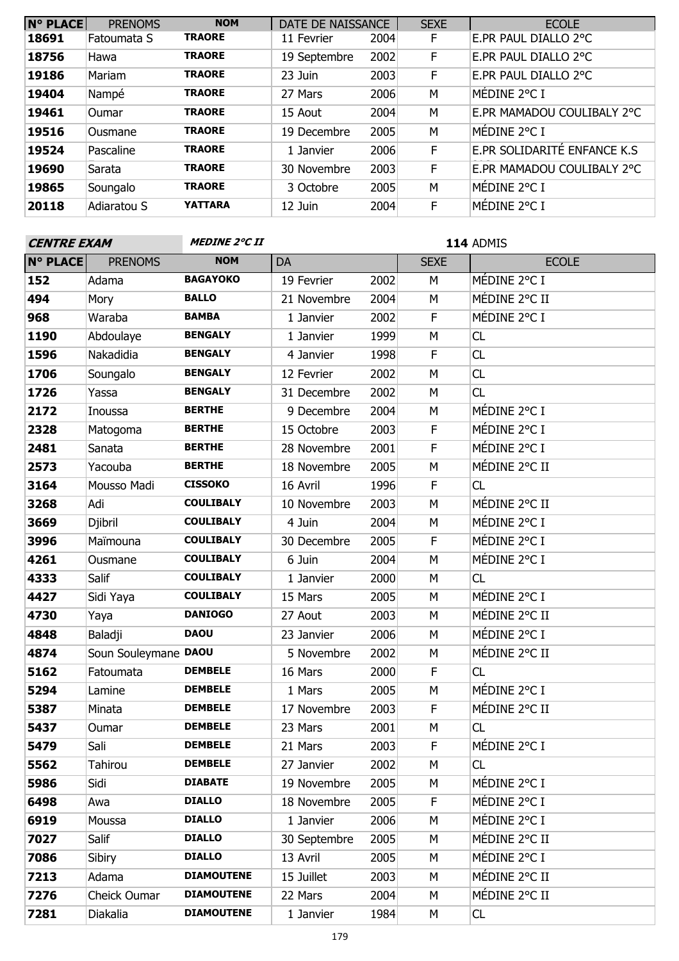| <b>N° PLACE</b> | <b>PRENOMS</b> | <b>NOM</b>     | DATE DE NAISSANCE |      | <b>SEXE</b> | <b>ECOLE</b>                |
|-----------------|----------------|----------------|-------------------|------|-------------|-----------------------------|
| 18691           | Fatoumata S    | <b>TRAORE</b>  | 11 Fevrier        | 2004 | F           | E.PR PAUL DIALLO 2°C        |
| 18756           | Hawa           | <b>TRAORE</b>  | 19 Septembre      | 2002 | F           | E.PR PAUL DIALLO 2°C        |
| 19186           | Mariam         | <b>TRAORE</b>  | 23 Juin           | 2003 | F           | E.PR PAUL DIALLO 2°C        |
| 19404           | Nampé          | <b>TRAORE</b>  | 27 Mars           | 2006 | M           | MÉDINE 2°C I                |
| 19461           | <b>Oumar</b>   | <b>TRAORE</b>  | 15 Aout           | 2004 | M           | E.PR MAMADOU COULIBALY 2°C  |
| 19516           | Ousmane        | <b>TRAORE</b>  | 19 Decembre       | 2005 | M           | MÉDINE 2°C I                |
| 19524           | Pascaline      | <b>TRAORE</b>  | 1 Janvier         | 2006 | F           | E.PR SOLIDARITÉ ENFANCE K.S |
| 19690           | Sarata         | <b>TRAORE</b>  | 30 Novembre       | 2003 | F           | E.PR MAMADOU COULIBALY 2°C  |
| 19865           | Soungalo       | <b>TRAORE</b>  | 3 Octobre         | 2005 | M           | MÉDINE 2°C I                |
| 20118           | Adiaratou S    | <b>YATTARA</b> | 12 Juin           | 2004 | F           | MÉDINE 2°C I                |

| <b>CENTRE EXAM</b> |                      | <i><b>MEDINE 2°C II</b></i> |              |      | 114 ADMIS   |               |  |
|--------------------|----------------------|-----------------------------|--------------|------|-------------|---------------|--|
| <b>N° PLACE</b>    | <b>PRENOMS</b>       | <b>NOM</b>                  | DA           |      | <b>SEXE</b> | <b>ECOLE</b>  |  |
| 152                | Adama                | <b>BAGAYOKO</b>             | 19 Fevrier   | 2002 | M           | MÉDINE 2°C I  |  |
| 494                | Mory                 | <b>BALLO</b>                | 21 Novembre  | 2004 | M           | MÉDINE 2°C II |  |
| 968                | Waraba               | <b>BAMBA</b>                | 1 Janvier    | 2002 | F           | MÉDINE 2°C I  |  |
| 1190               | Abdoulaye            | <b>BENGALY</b>              | 1 Janvier    | 1999 | M           | <b>CL</b>     |  |
| 1596               | Nakadidia            | <b>BENGALY</b>              | 4 Janvier    | 1998 | $\mathsf F$ | CL            |  |
| 1706               | Soungalo             | <b>BENGALY</b>              | 12 Fevrier   | 2002 | M           | CL            |  |
| 1726               | Yassa                | <b>BENGALY</b>              | 31 Decembre  | 2002 | M           | CL            |  |
| 2172               | Inoussa              | <b>BERTHE</b>               | 9 Decembre   | 2004 | M           | MÉDINE 2°C I  |  |
| 2328               | Matogoma             | <b>BERTHE</b>               | 15 Octobre   | 2003 | $\mathsf F$ | MÉDINE 2°C I  |  |
| 2481               | Sanata               | <b>BERTHE</b>               | 28 Novembre  | 2001 | F           | MÉDINE 2°C I  |  |
| 2573               | Yacouba              | <b>BERTHE</b>               | 18 Novembre  | 2005 | M           | MÉDINE 2°C II |  |
| 3164               | Mousso Madi          | <b>CISSOKO</b>              | 16 Avril     | 1996 | $\mathsf F$ | CL            |  |
| 3268               | Adi                  | <b>COULIBALY</b>            | 10 Novembre  | 2003 | M           | MÉDINE 2°C II |  |
| 3669               | Djibril              | <b>COULIBALY</b>            | 4 Juin       | 2004 | M           | MÉDINE 2°C I  |  |
| 3996               | Maïmouna             | <b>COULIBALY</b>            | 30 Decembre  | 2005 | F           | MÉDINE 2°C I  |  |
| 4261               | Ousmane              | <b>COULIBALY</b>            | 6 Juin       | 2004 | M           | MÉDINE 2°C I  |  |
| 4333               | Salif                | <b>COULIBALY</b>            | 1 Janvier    | 2000 | M           | CL            |  |
| 4427               | Sidi Yaya            | <b>COULIBALY</b>            | 15 Mars      | 2005 | M           | MÉDINE 2°C I  |  |
| 4730               | Yaya                 | <b>DANIOGO</b>              | 27 Aout      | 2003 | M           | MÉDINE 2°C II |  |
| 4848               | Baladji              | <b>DAOU</b>                 | 23 Janvier   | 2006 | M           | MÉDINE 2°C I  |  |
| 4874               | Soun Souleymane DAOU |                             | 5 Novembre   | 2002 | M           | MÉDINE 2°C II |  |
| 5162               | Fatoumata            | <b>DEMBELE</b>              | 16 Mars      | 2000 | F           | <b>CL</b>     |  |
| 5294               | Lamine               | <b>DEMBELE</b>              | 1 Mars       | 2005 | M           | MÉDINE 2°C I  |  |
| 5387               | Minata               | <b>DEMBELE</b>              | 17 Novembre  | 2003 | F           | MÉDINE 2°C II |  |
| 5437               | Oumar                | <b>DEMBELE</b>              | 23 Mars      | 2001 | M           | CL            |  |
| 5479               | Sali                 | <b>DEMBELE</b>              | 21 Mars      | 2003 | F           | MÉDINE 2°C I  |  |
| 5562               | Tahirou              | <b>DEMBELE</b>              | 27 Janvier   | 2002 | M           | CL.           |  |
| 5986               | Sidi                 | <b>DIABATE</b>              | 19 Novembre  | 2005 | M           | MÉDINE 2°C I  |  |
| 6498               | Awa                  | <b>DIALLO</b>               | 18 Novembre  | 2005 | F           | MÉDINE 2°C I  |  |
| 6919               | Moussa               | <b>DIALLO</b>               | 1 Janvier    | 2006 | M           | MÉDINE 2°C I  |  |
| 7027               | Salif                | <b>DIALLO</b>               | 30 Septembre | 2005 | M           | MÉDINE 2°C II |  |
| 7086               | Sibiry               | <b>DIALLO</b>               | 13 Avril     | 2005 | M           | MÉDINE 2°C I  |  |
| 7213               | Adama                | <b>DIAMOUTENE</b>           | 15 Juillet   | 2003 | М           | MÉDINE 2°C II |  |
| 7276               | Cheick Oumar         | <b>DIAMOUTENE</b>           | 22 Mars      | 2004 | M           | MÉDINE 2°C II |  |
| 7281               | Diakalia             | <b>DIAMOUTENE</b>           | 1 Janvier    | 1984 | М           | CL            |  |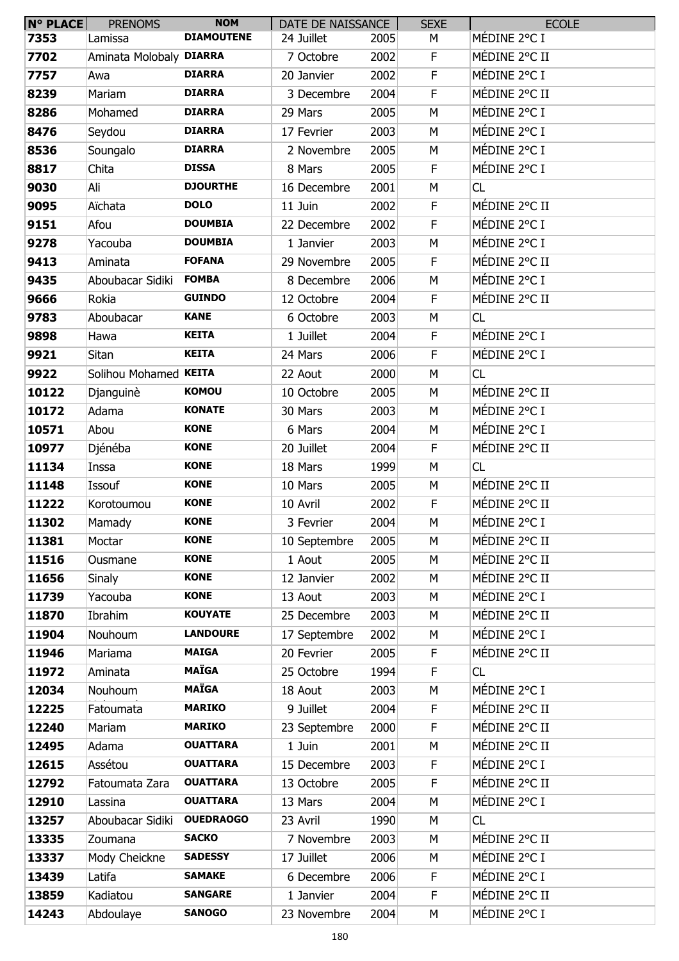| N° PLACE | <b>PRENOMS</b>          | <b>NOM</b>        | DATE DE NAISSANCE       |      | <b>SEXE</b> | <b>ECOLE</b>  |
|----------|-------------------------|-------------------|-------------------------|------|-------------|---------------|
| 7353     | Lamissa                 | <b>DIAMOUTENE</b> | 24 Juillet              | 2005 | М           | MÉDINE 2°C I  |
| 7702     | Aminata Molobaly DIARRA |                   | 7 Octobre               | 2002 | F.          | MÉDINE 2°C II |
| 7757     | Awa                     | <b>DIARRA</b>     | 20 Janvier              | 2002 | F           | MÉDINE 2°C I  |
| 8239     | Mariam                  | <b>DIARRA</b>     | 3 Decembre              | 2004 | F           | MÉDINE 2°C II |
| 8286     | Mohamed                 | <b>DIARRA</b>     | 29 Mars                 | 2005 | M           | MÉDINE 2°C I  |
| 8476     | Seydou                  | <b>DIARRA</b>     | 17 Fevrier              | 2003 | M           | MÉDINE 2°C I  |
| 8536     | Soungalo                | <b>DIARRA</b>     | 2 Novembre              | 2005 | M           | MÉDINE 2°C I  |
| 8817     | Chita                   | <b>DISSA</b>      | 8 Mars                  | 2005 | F           | MÉDINE 2°C I  |
| 9030     | Ali                     | <b>DJOURTHE</b>   | 16 Decembre             | 2001 | M           | CL            |
| 9095     | Aïchata                 | <b>DOLO</b>       | 11 Juin                 | 2002 | F           | MÉDINE 2°C II |
| 9151     | Afou                    | <b>DOUMBIA</b>    | 22 Decembre             | 2002 | F           | MÉDINE 2°C I  |
| 9278     | Yacouba                 | <b>DOUMBIA</b>    | 1 Janvier               | 2003 | M           | MÉDINE 2°C I  |
| 9413     | Aminata                 | <b>FOFANA</b>     | 29 Novembre             | 2005 | F           | MÉDINE 2°C II |
| 9435     | Aboubacar Sidiki        | <b>FOMBA</b>      | 8 Decembre              | 2006 | M           | MÉDINE 2°C I  |
| 9666     | Rokia                   | <b>GUINDO</b>     | 12 Octobre              | 2004 | F.          | MÉDINE 2°C II |
| 9783     | Aboubacar               | <b>KANE</b>       | 6 Octobre               | 2003 | M           | CL            |
| 9898     | Hawa                    | <b>KEITA</b>      | 1 Juillet               | 2004 | F           | MÉDINE 2°C I  |
| 9921     | Sitan                   | <b>KEITA</b>      | 24 Mars                 | 2006 | F           | MÉDINE 2°C I  |
| 9922     | Solihou Mohamed KEITA   |                   | 22 Aout                 | 2000 | M           | CL            |
| 10122    | Djanguinè               | <b>KOMOU</b>      | 10 Octobre              | 2005 | M           | MÉDINE 2°C II |
| 10172    | Adama                   | <b>KONATE</b>     | 30 Mars                 | 2003 | M           | MÉDINE 2°C I  |
| 10571    | Abou                    | <b>KONE</b>       | 6 Mars                  | 2004 | M           | MÉDINE 2°C I  |
| 10977    | Djénéba                 | <b>KONE</b>       | 20 Juillet              | 2004 | F           | MÉDINE 2°C II |
| 11134    | Inssa                   | <b>KONE</b>       | 18 Mars                 | 1999 | M           | CL            |
| 11148    | Issouf                  | <b>KONE</b>       | 10 Mars                 | 2005 | M           | MÉDINE 2°C II |
| 11222    | Korotoumou              | <b>KONE</b>       | 10 Avril                | 2002 | F           | MÉDINE 2°C II |
| 11302    | Mamady                  | <b>KONE</b>       | 3 Fevrier               | 2004 | M           | MÉDINE 2°C I  |
| 11381    | Moctar                  | <b>KONE</b>       | 10 Septembre            | 2005 | M           | MÉDINE 2°C II |
| 11516    | Ousmane                 | <b>KONE</b>       | 1 Aout                  | 2005 | M           | MÉDINE 2°C II |
| 11656    | Sinaly                  | <b>KONE</b>       | 12 Janvier              | 2002 | M           | MÉDINE 2°C II |
| 11739    | Yacouba                 | <b>KONE</b>       | 13 Aout                 | 2003 | M           | MÉDINE 2°C I  |
| 11870    | Ibrahim                 | <b>KOUYATE</b>    | 25 Decembre             | 2003 | M           | MÉDINE 2°C II |
| 11904    | Nouhoum                 | <b>LANDOURE</b>   | 17 Septembre            | 2002 | М           | MÉDINE 2°C I  |
| 11946    | Mariama                 | <b>MAIGA</b>      | 20 Fevrier              | 2005 | F           | MÉDINE 2°C II |
| 11972    | Aminata                 | <b>MAÏGA</b>      | 25 Octobre              | 1994 | F           | CL            |
| 12034    | Nouhoum                 | <b>MAÏGA</b>      | 18 Aout                 | 2003 | M           | MÉDINE 2°C I  |
| 12225    | Fatoumata               | <b>MARIKO</b>     | 9 Juillet               | 2004 | F.          | MÉDINE 2°C II |
| 12240    | Mariam                  | <b>MARIKO</b>     | 23 Septembre            | 2000 | F           | MÉDINE 2°C II |
| 12495    | Adama                   | <b>OUATTARA</b>   | 1 Juin                  | 2001 | M           | MÉDINE 2°C II |
| 12615    | Assétou                 | <b>OUATTARA</b>   | 15 Decembre             | 2003 | F.          | MÉDINE 2°C I  |
| 12792    | Fatoumata Zara          | <b>OUATTARA</b>   | 13 Octobre              | 2005 | F           | MÉDINE 2°C II |
| 12910    | Lassina                 | <b>OUATTARA</b>   | 13 Mars                 | 2004 | M           | MÉDINE 2°C I  |
| 13257    | Aboubacar Sidiki        | <b>OUEDRAOGO</b>  | 23 Avril                | 1990 | M           | CL            |
| 13335    | Zoumana                 | <b>SACKO</b>      | 7 Novembre              | 2003 | М           | MÉDINE 2°C II |
| 13337    | Mody Cheickne           | <b>SADESSY</b>    | 17 Juillet              | 2006 | M           | MÉDINE 2°C I  |
| 13439    | Latifa                  | <b>SAMAKE</b>     |                         | 2006 | F.          | MÉDINE 2°C I  |
| 13859    | Kadiatou                | <b>SANGARE</b>    | 6 Decembre<br>1 Janvier | 2004 | F           | MÉDINE 2°C II |
|          |                         | <b>SANOGO</b>     |                         |      |             | MÉDINE 2°C I  |
| 14243    | Abdoulaye               |                   | 23 Novembre             | 2004 | M           |               |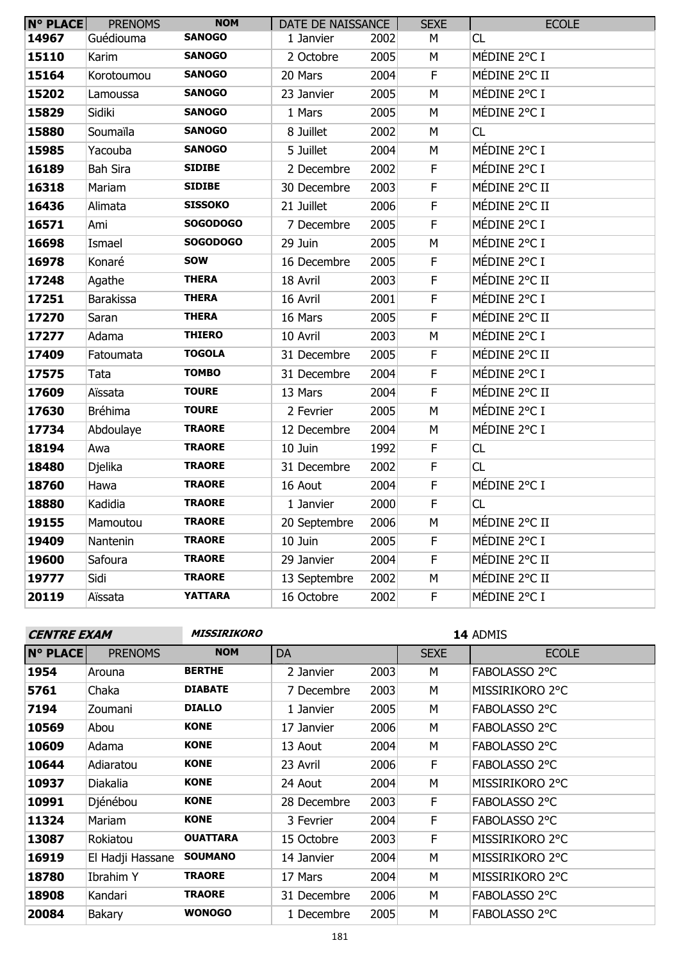| <b>N° PLACE</b> | <b>PRENOMS</b>   | <b>NOM</b>      | DATE DE NAISSANCE |      | <b>SEXE</b> | <b>ECOLE</b>  |
|-----------------|------------------|-----------------|-------------------|------|-------------|---------------|
| 14967           | Guédiouma        | <b>SANOGO</b>   | 1 Janvier         | 2002 | М           | CL            |
| 15110           | Karim            | <b>SANOGO</b>   | 2 Octobre         | 2005 | М           | MÉDINE 2°C I  |
| 15164           | Korotoumou       | <b>SANOGO</b>   | 20 Mars           | 2004 | F.          | MÉDINE 2°C II |
| 15202           | Lamoussa         | <b>SANOGO</b>   | 23 Janvier        | 2005 | M           | MÉDINE 2°C I  |
| 15829           | Sidiki           | <b>SANOGO</b>   | 1 Mars            | 2005 | M           | MÉDINE 2°C I  |
| 15880           | Soumaïla         | <b>SANOGO</b>   | 8 Juillet         | 2002 | М           | CL            |
| 15985           | Yacouba          | <b>SANOGO</b>   | 5 Juillet         | 2004 | М           | MÉDINE 2°C I  |
| 16189           | <b>Bah Sira</b>  | <b>SIDIBE</b>   | 2 Decembre        | 2002 | F           | MÉDINE 2°C I  |
| 16318           | Mariam           | <b>SIDIBE</b>   | 30 Decembre       | 2003 | F           | MÉDINE 2°C II |
| 16436           | Alimata          | <b>SISSOKO</b>  | 21 Juillet        | 2006 | $\mathsf F$ | MÉDINE 2°C II |
| 16571           | Ami              | <b>SOGODOGO</b> | 7 Decembre        | 2005 | $\mathsf F$ | MÉDINE 2°C I  |
| 16698           | Ismael           | <b>SOGODOGO</b> | 29 Juin           | 2005 | M           | MÉDINE 2°C I  |
| 16978           | Konaré           | <b>SOW</b>      | 16 Decembre       | 2005 | F.          | MÉDINE 2°C I  |
| 17248           | Agathe           | <b>THERA</b>    | 18 Avril          | 2003 | $\mathsf F$ | MÉDINE 2°C II |
| 17251           | <b>Barakissa</b> | <b>THERA</b>    | 16 Avril          | 2001 | F           | MÉDINE 2°C I  |
| 17270           | Saran            | <b>THERA</b>    | 16 Mars           | 2005 | F           | MÉDINE 2°C II |
| 17277           | Adama            | <b>THIERO</b>   | 10 Avril          | 2003 | M           | MÉDINE 2°C I  |
| 17409           | Fatoumata        | <b>TOGOLA</b>   | 31 Decembre       | 2005 | F           | MÉDINE 2°C II |
| 17575           | Tata             | <b>TOMBO</b>    | 31 Decembre       | 2004 | F           | MÉDINE 2°C I  |
| 17609           | Aïssata          | <b>TOURE</b>    | 13 Mars           | 2004 | F           | MÉDINE 2°C II |
| 17630           | <b>Bréhima</b>   | <b>TOURE</b>    | 2 Fevrier         | 2005 | M           | MÉDINE 2°C I  |
| 17734           | Abdoulaye        | <b>TRAORE</b>   | 12 Decembre       | 2004 | M           | MÉDINE 2°C I  |
| 18194           | Awa              | <b>TRAORE</b>   | 10 Juin           | 1992 | F           | CL            |
| 18480           | Djelika          | <b>TRAORE</b>   | 31 Decembre       | 2002 | F.          | CL            |
| 18760           | Hawa             | <b>TRAORE</b>   | 16 Aout           | 2004 | $\mathsf F$ | MÉDINE 2°C I  |
| 18880           | Kadidia          | <b>TRAORE</b>   | 1 Janvier         | 2000 | $\mathsf F$ | CL            |
| 19155           | Mamoutou         | <b>TRAORE</b>   | 20 Septembre      | 2006 | M           | MÉDINE 2°C II |
| 19409           | Nantenin         | <b>TRAORE</b>   | 10 Juin           | 2005 | F.          | MÉDINE 2°C I  |
| 19600           | Safoura          | <b>TRAORE</b>   | 29 Janvier        | 2004 | F           | MÉDINE 2°C II |
| 19777           | Sidi             | <b>TRAORE</b>   | 13 Septembre      | 2002 | М           | MÉDINE 2°C II |
| 20119           | Aïssata          | <b>YATTARA</b>  | 16 Octobre        | 2002 | F.          | MÉDINE 2°C I  |
|                 |                  |                 |                   |      |             |               |

**MISSIRIKORO 14** ADMIS

| <b>N° PLACE</b> | <b>PRENOMS</b>   | <b>NOM</b>      | <b>DA</b>   |      | <b>SEXE</b> | <b>ECOLE</b>    |
|-----------------|------------------|-----------------|-------------|------|-------------|-----------------|
| 1954            | Arouna           | <b>BERTHE</b>   | 2 Janvier   | 2003 | М           | FABOLASSO 2°C   |
| 5761            | Chaka            | <b>DIABATE</b>  | 7 Decembre  | 2003 | M           | MISSIRIKORO 2°C |
| 7194            | Zoumani          | <b>DIALLO</b>   | 1 Janvier   | 2005 | М           | FABOLASSO 2°C   |
| 10569           | Abou             | <b>KONE</b>     | 17 Janvier  | 2006 | M           | FABOLASSO 2°C   |
| 10609           | Adama            | <b>KONE</b>     | 13 Aout     | 2004 | M           | FABOLASSO 2°C   |
| 10644           | Adiaratou        | <b>KONE</b>     | 23 Avril    | 2006 | F.          | FABOLASSO 2°C   |
| 10937           | Diakalia         | <b>KONE</b>     | 24 Aout     | 2004 | M           | MISSIRIKORO 2°C |
| 10991           | Djénébou         | <b>KONE</b>     | 28 Decembre | 2003 | F.          | FABOLASSO 2°C   |
| 11324           | Mariam           | <b>KONE</b>     | 3 Fevrier   | 2004 | F           | FABOLASSO 2°C   |
| 13087           | Rokiatou         | <b>OUATTARA</b> | 15 Octobre  | 2003 | F.          | MISSIRIKORO 2°C |
| 16919           | El Hadji Hassane | <b>SOUMANO</b>  | 14 Janvier  | 2004 | М           | MISSIRIKORO 2°C |
| 18780           | Ibrahim Y        | <b>TRAORE</b>   | 17 Mars     | 2004 | м           | MISSIRIKORO 2°C |
| 18908           | Kandari          | <b>TRAORE</b>   | 31 Decembre | 2006 | М           | FABOLASSO 2°C   |
| 20084           | Bakary           | <b>WONOGO</b>   | 1 Decembre  | 2005 | м           | FABOLASSO 2°C   |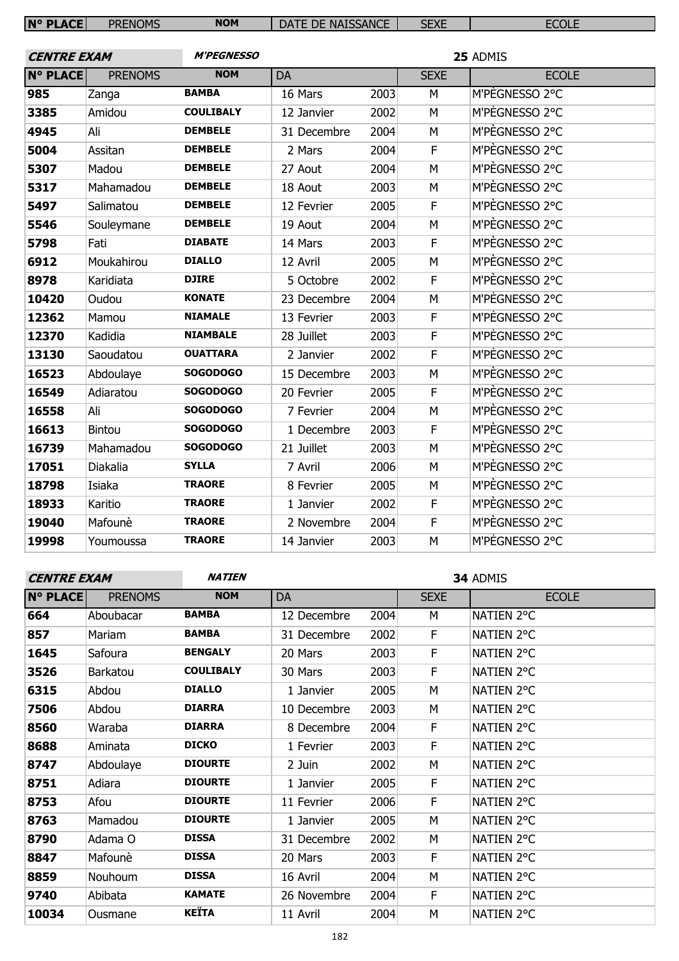| <b>N° PLACE</b>    | <b>PRENOMS</b> | <b>NOM</b>        | DATE DE NAISSANCE |      | <b>SEXE</b>             | <b>ECOLE</b>   |  |
|--------------------|----------------|-------------------|-------------------|------|-------------------------|----------------|--|
|                    |                |                   |                   |      |                         |                |  |
| <b>CENTRE EXAM</b> |                | <b>M'PEGNESSO</b> |                   |      | 25 ADMIS                |                |  |
| <b>N° PLACE</b>    | <b>PRENOMS</b> | <b>NOM</b>        | <b>DA</b>         |      | <b>SEXE</b>             | <b>ECOLE</b>   |  |
| 985                | Zanga          | <b>BAMBA</b>      | 16 Mars           | 2003 | M                       | M'PÈGNESSO 2°C |  |
| 3385               | Amidou         | <b>COULIBALY</b>  | 12 Janvier        | 2002 | M                       | M'PÈGNESSO 2°C |  |
| 4945               | Ali            | <b>DEMBELE</b>    | 31 Decembre       | 2004 | M                       | M'PÈGNESSO 2°C |  |
| 5004               | Assitan        | <b>DEMBELE</b>    | 2 Mars            | 2004 | F                       | M'PEGNESSO 2°C |  |
| 5307               | Madou          | <b>DEMBELE</b>    | 27 Aout           | 2004 | M                       | M'PÈGNESSO 2°C |  |
| 5317               | Mahamadou      | <b>DEMBELE</b>    | 18 Aout           | 2003 | ${\sf M}$               | M'PÈGNESSO 2°C |  |
| 5497               | Salimatou      | <b>DEMBELE</b>    | 12 Fevrier        | 2005 | F                       | M'PÈGNESSO 2°C |  |
| 5546               | Souleymane     | <b>DEMBELE</b>    | 19 Aout           | 2004 | M                       | M'PÈGNESSO 2°C |  |
| 5798               | Fati           | <b>DIABATE</b>    | 14 Mars           | 2003 | F                       | M'PÈGNESSO 2°C |  |
| 6912               | Moukahirou     | <b>DIALLO</b>     | 12 Avril          | 2005 | M                       | M'PEGNESSO 2°C |  |
| 8978               | Karidiata      | <b>DJIRE</b>      | 5 Octobre         | 2002 | F                       | M'PÈGNESSO 2°C |  |
| 10420              | Oudou          | <b>KONATE</b>     | 23 Decembre       | 2004 | M                       | M'PÈGNESSO 2°C |  |
| 12362              | Mamou          | <b>NIAMALE</b>    | 13 Fevrier        | 2003 | F                       | M'PÈGNESSO 2°C |  |
| 12370              | Kadidia        | <b>NIAMBALE</b>   | 28 Juillet        | 2003 | $\overline{\mathsf{F}}$ | M'PÈGNESSO 2°C |  |
| 13130              | Saoudatou      | <b>OUATTARA</b>   | 2 Janvier         | 2002 | F                       | M'PÈGNESSO 2°C |  |
| 16523              | Abdoulaye      | <b>SOGODOGO</b>   | 15 Decembre       | 2003 | M                       | M'PÈGNESSO 2°C |  |
| 16549              | Adiaratou      | <b>SOGODOGO</b>   | 20 Fevrier        | 2005 | F                       | M'PÈGNESSO 2°C |  |
| 16558              | Ali            | <b>SOGODOGO</b>   | 7 Fevrier         | 2004 | M                       | M'PÈGNESSO 2°C |  |
| 16613              | Bintou         | <b>SOGODOGO</b>   | 1 Decembre        | 2003 | F                       | M'PÈGNESSO 2°C |  |
| 16739              | Mahamadou      | <b>SOGODOGO</b>   | 21 Juillet        | 2003 | M                       | M'PÈGNESSO 2°C |  |
| 17051              | Diakalia       | <b>SYLLA</b>      | 7 Avril           | 2006 | M                       | M'PÈGNESSO 2°C |  |
| 18798              | Isiaka         | <b>TRAORE</b>     | 8 Fevrier         | 2005 | M                       | M'PÈGNESSO 2°C |  |
| 18933              | Karitio        | <b>TRAORE</b>     | 1 Janvier         | 2002 | $\mathsf F$             | M'PÈGNESSO 2°C |  |
| 19040              | Mafounè        | <b>TRAORE</b>     | 2 Novembre        | 2004 | F                       | M'PÈGNESSO 2°C |  |
| 19998              | Youmoussa      | <b>TRAORE</b>     | 14 Janvier        | 2003 | M                       | M'PÈGNESSO 2°C |  |

**NATIEN 34** ADMIS

| <b>N° PLACE</b> | <b>PRENOMS</b> | <b>NOM</b>       | DA          |      | <b>SEXE</b> | <b>ECOLE</b> |
|-----------------|----------------|------------------|-------------|------|-------------|--------------|
| 664             | Aboubacar      | <b>BAMBA</b>     | 12 Decembre | 2004 | М           | NATIEN 2°C   |
| 857             | Mariam         | <b>BAMBA</b>     | 31 Decembre | 2002 | F           | NATIEN 2°C   |
| 1645            | Safoura        | <b>BENGALY</b>   | 20 Mars     | 2003 | F           | NATIEN 2°C   |
| 3526            | Barkatou       | <b>COULIBALY</b> | 30 Mars     | 2003 | F           | NATIEN 2°C   |
| 6315            | Abdou          | <b>DIALLO</b>    | 1 Janvier   | 2005 | М           | NATIEN 2°C   |
| 7506            | Abdou          | <b>DIARRA</b>    | 10 Decembre | 2003 | М           | NATIEN 2°C   |
| 8560            | Waraba         | <b>DIARRA</b>    | 8 Decembre  | 2004 | F           | NATIEN 2°C   |
| 8688            | Aminata        | <b>DICKO</b>     | 1 Fevrier   | 2003 | F           | NATIEN 2°C   |
| 8747            | Abdoulaye      | <b>DIOURTE</b>   | 2 Juin      | 2002 | М           | NATIEN 2°C   |
| 8751            | Adiara         | <b>DIOURTE</b>   | 1 Janvier   | 2005 | F           | NATIEN 2°C   |
| 8753            | Afou           | <b>DIOURTE</b>   | 11 Fevrier  | 2006 | F           | NATIEN 2°C   |
| 8763            | Mamadou        | <b>DIOURTE</b>   | 1 Janvier   | 2005 | M           | NATIEN 2°C   |
| 8790            | Adama O        | <b>DISSA</b>     | 31 Decembre | 2002 | М           | NATIEN 2°C   |
| 8847            | Mafounè        | <b>DISSA</b>     | 20 Mars     | 2003 | F           | NATIEN 2°C   |
| 8859            | Nouhoum        | <b>DISSA</b>     | 16 Avril    | 2004 | М           | NATIEN 2°C   |
| 9740            | Abibata        | <b>KAMATE</b>    | 26 Novembre | 2004 | F           | NATIEN 2°C   |
| 10034           | Ousmane        | <b>KEÏTA</b>     | 11 Avril    | 2004 | M           | NATIEN 2°C   |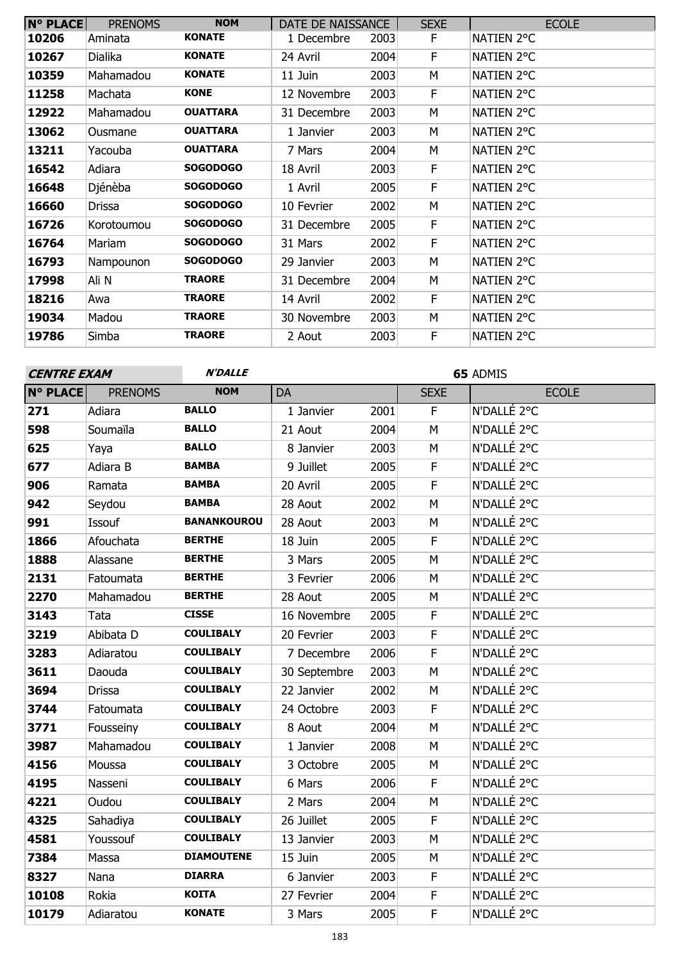| <b>N° PLACE</b> | <b>PRENOMS</b> | <b>NOM</b>      | DATE DE NAISSANCE |      | <b>SEXE</b> | <b>ECOLE</b> |
|-----------------|----------------|-----------------|-------------------|------|-------------|--------------|
| 10206           | Aminata        | <b>KONATE</b>   | 1 Decembre        | 2003 | F           | NATIEN 2°C   |
| 10267           | Dialika        | <b>KONATE</b>   | 24 Avril          | 2004 | F.          | NATIEN 2°C   |
| 10359           | Mahamadou      | <b>KONATE</b>   | 11 Juin           | 2003 | M           | NATIEN 2°C   |
| 11258           | Machata        | <b>KONE</b>     | 12 Novembre       | 2003 | F           | NATIEN 2°C   |
| 12922           | Mahamadou      | <b>OUATTARA</b> | 31 Decembre       | 2003 | М           | NATIEN 2°C   |
| 13062           | Ousmane        | <b>OUATTARA</b> | 1 Janvier         | 2003 | М           | NATIEN 2°C   |
| 13211           | Yacouba        | <b>OUATTARA</b> | 7 Mars            | 2004 | М           | NATIEN 2°C   |
| 16542           | Adiara         | <b>SOGODOGO</b> | 18 Avril          | 2003 | F.          | NATIEN 2°C   |
| 16648           | Djénèba        | <b>SOGODOGO</b> | 1 Avril           | 2005 | F.          | NATIEN 2°C   |
| 16660           | <b>Drissa</b>  | <b>SOGODOGO</b> | 10 Fevrier        | 2002 | М           | NATIEN 2°C   |
| 16726           | Korotoumou     | <b>SOGODOGO</b> | 31 Decembre       | 2005 | F           | NATIEN 2°C   |
| 16764           | Mariam         | <b>SOGODOGO</b> | 31 Mars           | 2002 | F           | NATIEN 2°C   |
| 16793           | Nampounon      | <b>SOGODOGO</b> | 29 Janvier        | 2003 | M           | NATIEN 2°C   |
| 17998           | ali N          | <b>TRAORE</b>   | 31 Decembre       | 2004 | м           | NATIEN 2°C   |
| 18216           | Awa            | <b>TRAORE</b>   | 14 Avril          | 2002 | F           | NATIEN 2°C   |
| 19034           | Madou          | <b>TRAORE</b>   | 30 Novembre       | 2003 | М           | NATIEN 2°C   |
| 19786           | Simba          | <b>TRAORE</b>   | 2 Aout            | 2003 | F           | NATIEN 2°C   |

| <b>CENTRE EXAM</b> | <b>N'DALLE</b> |                    |              | 65 ADMIS |             |              |  |
|--------------------|----------------|--------------------|--------------|----------|-------------|--------------|--|
| <b>N° PLACE</b>    | <b>PRENOMS</b> | <b>NOM</b>         | <b>DA</b>    |          | <b>SEXE</b> | <b>ECOLE</b> |  |
| 271                | Adiara         | <b>BALLO</b>       | 1 Janvier    | 2001     | F.          | N'DALLÉ 2°C  |  |
| 598                | Soumaïla       | <b>BALLO</b>       | 21 Aout      | 2004     | M           | N'DALLÉ 2°C  |  |
| 625                | Yaya           | <b>BALLO</b>       | 8 Janvier    | 2003     | M           | N'DALLÉ 2°C  |  |
| 677                | Adiara B       | <b>BAMBA</b>       | 9 Juillet    | 2005     | F           | N'DALLÉ 2°C  |  |
| 906                | Ramata         | <b>BAMBA</b>       | 20 Avril     | 2005     | F           | N'DALLÉ 2°C  |  |
| 942                | Seydou         | <b>BAMBA</b>       | 28 Aout      | 2002     | M           | N'DALLÉ 2°C  |  |
| 991                | <b>Issouf</b>  | <b>BANANKOUROU</b> | 28 Aout      | 2003     | M           | N'DALLÉ 2°C  |  |
| 1866               | Afouchata      | <b>BERTHE</b>      | 18 Juin      | 2005     | F           | N'DALLÉ 2°C  |  |
| 1888               | Alassane       | <b>BERTHE</b>      | 3 Mars       | 2005     | M           | N'DALLÉ 2°C  |  |
| 2131               | Fatoumata      | <b>BERTHE</b>      | 3 Fevrier    | 2006     | M           | N'DALLÉ 2°C  |  |
| 2270               | Mahamadou      | <b>BERTHE</b>      | 28 Aout      | 2005     | M           | N'DALLÉ 2°C  |  |
| 3143               | Tata           | <b>CISSE</b>       | 16 Novembre  | 2005     | $\mathsf F$ | N'DALLÉ 2°C  |  |
| 3219               | Abibata D      | <b>COULIBALY</b>   | 20 Fevrier   | 2003     | F           | N'DALLÉ 2°C  |  |
| 3283               | Adiaratou      | <b>COULIBALY</b>   | 7 Decembre   | 2006     | $\mathsf F$ | N'DALLÉ 2°C  |  |
| 3611               | Daouda         | <b>COULIBALY</b>   | 30 Septembre | 2003     | M           | N'DALLÉ 2°C  |  |
| 3694               | <b>Drissa</b>  | <b>COULIBALY</b>   | 22 Janvier   | 2002     | M           | N'DALLÉ 2°C  |  |
| 3744               | Fatoumata      | <b>COULIBALY</b>   | 24 Octobre   | 2003     | F           | N'DALLÉ 2°C  |  |
| 3771               | Fousseiny      | <b>COULIBALY</b>   | 8 Aout       | 2004     | M           | N'DALLÉ 2°C  |  |
| 3987               | Mahamadou      | <b>COULIBALY</b>   | 1 Janvier    | 2008     | M           | N'DALLÉ 2°C  |  |
| 4156               | Moussa         | <b>COULIBALY</b>   | 3 Octobre    | 2005     | M           | N'DALLÉ 2°C  |  |
| 4195               | Nasseni        | <b>COULIBALY</b>   | 6 Mars       | 2006     | $\mathsf F$ | N'DALLÉ 2°C  |  |
| 4221               | Oudou          | <b>COULIBALY</b>   | 2 Mars       | 2004     | M           | N'DALLÉ 2°C  |  |
| 4325               | Sahadiya       | <b>COULIBALY</b>   | 26 Juillet   | 2005     | F.          | N'DALLÉ 2°C  |  |
| 4581               | Youssouf       | <b>COULIBALY</b>   | 13 Janvier   | 2003     | M           | N'DALLÉ 2°C  |  |
| 7384               | Massa          | <b>DIAMOUTENE</b>  | 15 Juin      | 2005     | M           | N'DALLÉ 2°C  |  |
| 8327               | Nana           | <b>DIARRA</b>      | 6 Janvier    | 2003     | $\mathsf F$ | N'DALLÉ 2°C  |  |
| 10108              | Rokia          | <b>KOITA</b>       | 27 Fevrier   | 2004     | F           | N'DALLÉ 2°C  |  |
| 10179              | Adiaratou      | <b>KONATE</b>      | 3 Mars       | 2005     | F           | N'DALLÉ 2°C  |  |
|                    |                |                    |              |          |             |              |  |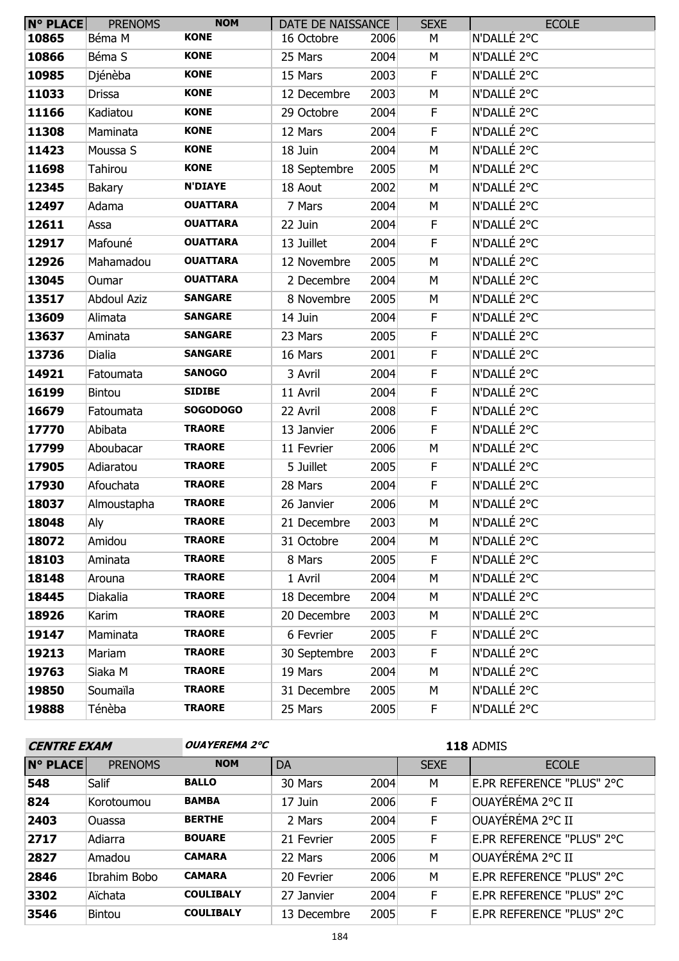| $N^{\circ}$ PLACE | <b>PRENOMS</b>     | <b>NOM</b>      | DATE DE NAISSANCE |      | <b>SEXE</b> | <b>ECOLE</b> |
|-------------------|--------------------|-----------------|-------------------|------|-------------|--------------|
| 10865             | Béma M             | <b>KONE</b>     | 16 Octobre        | 2006 | М           | N'DALLÉ 2°C  |
| 10866             | Béma S             | <b>KONE</b>     | 25 Mars           | 2004 | M           | N'DALLÉ 2°C  |
| 10985             | Djénèba            | <b>KONE</b>     | 15 Mars           | 2003 | F           | N'DALLÉ 2°C  |
| 11033             | <b>Drissa</b>      | <b>KONE</b>     | 12 Decembre       | 2003 | M           | N'DALLÉ 2°C  |
| 11166             | Kadiatou           | <b>KONE</b>     | 29 Octobre        | 2004 | F.          | N'DALLÉ 2°C  |
| 11308             | Maminata           | <b>KONE</b>     | 12 Mars           | 2004 | $\mathsf F$ | N'DALLÉ 2°C  |
| 11423             | Moussa S           | <b>KONE</b>     | 18 Juin           | 2004 | M           | N'DALLÉ 2°C  |
| 11698             | Tahirou            | <b>KONE</b>     | 18 Septembre      | 2005 | M           | N'DALLÉ 2°C  |
| 12345             | Bakary             | <b>N'DIAYE</b>  | 18 Aout           | 2002 | M           | N'DALLÉ 2°C  |
| 12497             | Adama              | <b>OUATTARA</b> | 7 Mars            | 2004 | M           | N'DALLÉ 2°C  |
| 12611             | Assa               | <b>OUATTARA</b> | 22 Juin           | 2004 | F           | N'DALLÉ 2°C  |
| 12917             | Mafouné            | <b>OUATTARA</b> | 13 Juillet        | 2004 | F           | N'DALLÉ 2°C  |
| 12926             | Mahamadou          | <b>OUATTARA</b> | 12 Novembre       | 2005 | M           | N'DALLÉ 2°C  |
| 13045             | Oumar              | <b>OUATTARA</b> | 2 Decembre        | 2004 | M           | N'DALLÉ 2°C  |
| 13517             | <b>Abdoul Aziz</b> | <b>SANGARE</b>  | 8 Novembre        | 2005 | M           | N'DALLÉ 2°C  |
| 13609             | Alimata            | <b>SANGARE</b>  | 14 Juin           | 2004 | F           | N'DALLÉ 2°C  |
| 13637             | Aminata            | <b>SANGARE</b>  | 23 Mars           | 2005 | $\mathsf F$ | N'DALLÉ 2°C  |
| 13736             | Dialia             | <b>SANGARE</b>  | 16 Mars           | 2001 | F           | N'DALLÉ 2°C  |
| 14921             | Fatoumata          | <b>SANOGO</b>   | 3 Avril           | 2004 | F           | N'DALLÉ 2°C  |
| 16199             | Bintou             | <b>SIDIBE</b>   | 11 Avril          | 2004 | $\mathsf F$ | N'DALLÉ 2°C  |
| 16679             | Fatoumata          | <b>SOGODOGO</b> | 22 Avril          | 2008 | F           | N'DALLÉ 2°C  |
| 17770             | Abibata            | <b>TRAORE</b>   | 13 Janvier        | 2006 | $\mathsf F$ | N'DALLÉ 2°C  |
| 17799             | Aboubacar          | <b>TRAORE</b>   | 11 Fevrier        | 2006 | M           | N'DALLÉ 2°C  |
| 17905             | Adiaratou          | <b>TRAORE</b>   | 5 Juillet         | 2005 | F           | N'DALLÉ 2°C  |
| 17930             | Afouchata          | <b>TRAORE</b>   | 28 Mars           | 2004 | F           | N'DALLÉ 2°C  |
| 18037             | Almoustapha        | <b>TRAORE</b>   | 26 Janvier        | 2006 | M           | N'DALLÉ 2°C  |
| 18048             | Aly                | <b>TRAORE</b>   | 21 Decembre       | 2003 | M           | N'DALLÉ 2°C  |
| 18072             | Amidou             | <b>TRAORE</b>   | 31 Octobre        | 2004 | М           | N'DALLÉ 2°C  |
| 18103             | Aminata            | <b>TRAORE</b>   | 8 Mars            | 2005 | F           | N'DALLÉ 2°C  |
| 18148             | Arouna             | <b>TRAORE</b>   | 1 Avril           | 2004 | М           | N'DALLÉ 2°C  |
| 18445             | Diakalia           | <b>TRAORE</b>   | 18 Decembre       | 2004 | М           | N'DALLÉ 2°C  |
| 18926             | Karim              | <b>TRAORE</b>   | 20 Decembre       | 2003 | М           | N'DALLÉ 2°C  |
| 19147             | Maminata           | <b>TRAORE</b>   | 6 Fevrier         | 2005 | F           | N'DALLÉ 2°C  |
| 19213             | Mariam             | <b>TRAORE</b>   | 30 Septembre      | 2003 | F           | N'DALLÉ 2°C  |
| 19763             | Siaka M            | <b>TRAORE</b>   | 19 Mars           | 2004 | M           | N'DALLÉ 2°C  |
| 19850             | Soumaïla           | <b>TRAORE</b>   | 31 Decembre       | 2005 | М           | N'DALLÉ 2°C  |
| 19888             | Ténèba             | <b>TRAORE</b>   | 25 Mars           | 2005 | F.          | N'DALLÉ 2°C  |

**CENTRE EXAMPLE 2°C** 

ADMIS

| <b>N° PLACE</b> | <b>PRENOMS</b> | <b>NOM</b>       | DA          |      | <b>SEXE</b> | <b>ECOLE</b>              |
|-----------------|----------------|------------------|-------------|------|-------------|---------------------------|
| 548             | Salif          | <b>BALLO</b>     | 30 Mars     | 2004 | M           | E.PR REFERENCE "PLUS" 2°C |
| 824             | Korotoumou     | <b>BAMBA</b>     | 17 Juin     | 2006 | F           | ∣OUAYÉRÉMA 2°C II         |
| 2403            | Ouassa         | <b>BERTHE</b>    | 2 Mars      | 2004 | F           | OUAYÉRÉMA 2°C II          |
| 2717            | Adiarra        | <b>BOUARE</b>    | 21 Fevrier  | 2005 | F           | E.PR REFERENCE "PLUS" 2°C |
| 2827            | Amadou         | <b>CAMARA</b>    | 22 Mars     | 2006 | M           | OUAYÉRÉMA 2°C II          |
| 2846            | Ibrahim Bobo   | <b>CAMARA</b>    | 20 Fevrier  | 2006 | M           | E.PR REFERENCE "PLUS" 2°C |
| 3302            | Aïchata        | <b>COULIBALY</b> | 27 Janvier  | 2004 | F           | E.PR REFERENCE "PLUS" 2°C |
| 3546            | <b>Bintou</b>  | <b>COULIBALY</b> | 13 Decembre | 2005 | F           | E.PR REFERENCE "PLUS" 2°C |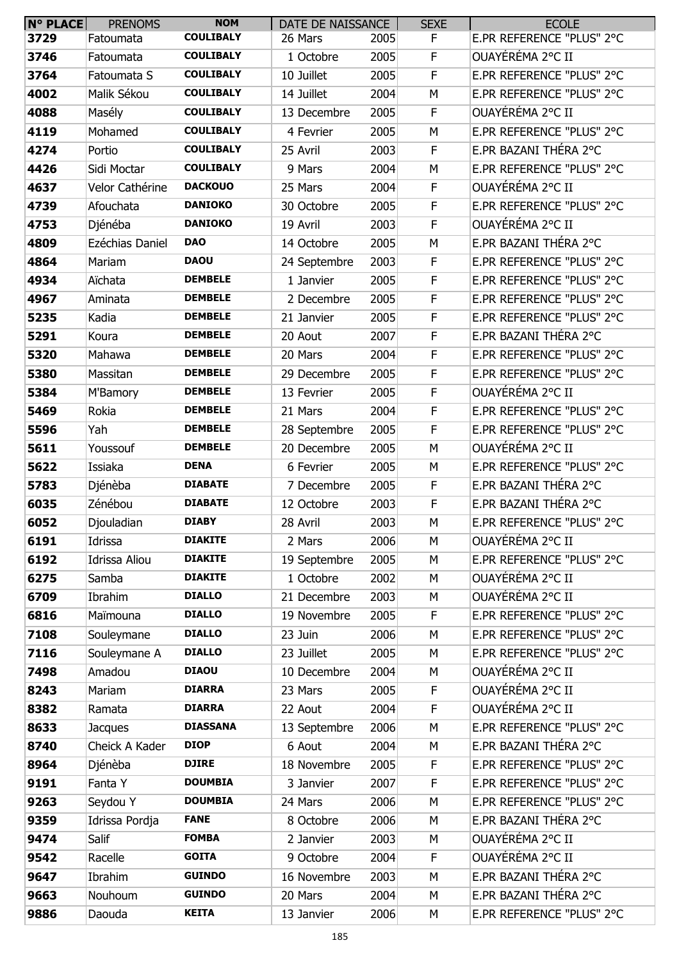| <b>N° PLACE</b> | <b>PRENOMS</b>       | <b>NOM</b>       | DATE DE NAISSANCE |      | <b>SEXE</b> | <b>ECOLE</b>              |
|-----------------|----------------------|------------------|-------------------|------|-------------|---------------------------|
| 3729            | Fatoumata            | <b>COULIBALY</b> | 26 Mars           | 2005 | F           | E.PR REFERENCE "PLUS" 2°C |
| 3746            | Fatoumata            | <b>COULIBALY</b> | 1 Octobre         | 2005 | F           | OUAYÉRÉMA 2°C II          |
| 3764            | Fatoumata S          | <b>COULIBALY</b> | 10 Juillet        | 2005 | F           | E.PR REFERENCE "PLUS" 2°C |
| 4002            | Malik Sékou          | <b>COULIBALY</b> | 14 Juillet        | 2004 | M           | E.PR REFERENCE "PLUS" 2°C |
| 4088            | Masély               | <b>COULIBALY</b> | 13 Decembre       | 2005 | F           | OUAYÉRÉMA 2°C II          |
| 4119            | Mohamed              | <b>COULIBALY</b> | 4 Fevrier         | 2005 | M           | E.PR REFERENCE "PLUS" 2°C |
| 4274            | Portio               | <b>COULIBALY</b> | 25 Avril          | 2003 | F           | E.PR BAZANI THÉRA 2°C     |
| 4426            | Sidi Moctar          | <b>COULIBALY</b> | 9 Mars            | 2004 | M           | E.PR REFERENCE "PLUS" 2°C |
| 4637            | Velor Cathérine      | <b>DACKOUO</b>   | 25 Mars           | 2004 | F           | OUAYÉRÉMA 2°C II          |
| 4739            | Afouchata            | <b>DANIOKO</b>   | 30 Octobre        | 2005 | F           | E.PR REFERENCE "PLUS" 2°C |
| 4753            | Djénéba              | <b>DANIOKO</b>   | 19 Avril          | 2003 | F           | OUAYÉRÉMA 2°C II          |
| 4809            | Ezéchias Daniel      | <b>DAO</b>       | 14 Octobre        | 2005 | M           | E.PR BAZANI THÉRA 2°C     |
| 4864            | Mariam               | <b>DAOU</b>      | 24 Septembre      | 2003 | F           | E.PR REFERENCE "PLUS" 2°C |
| 4934            | Aïchata              | <b>DEMBELE</b>   | 1 Janvier         | 2005 | F           | E.PR REFERENCE "PLUS" 2°C |
| 4967            | Aminata              | <b>DEMBELE</b>   | 2 Decembre        | 2005 | F           | E.PR REFERENCE "PLUS" 2°C |
| 5235            | Kadia                | <b>DEMBELE</b>   | 21 Janvier        | 2005 | F           | E.PR REFERENCE "PLUS" 2°C |
| 5291            | Koura                | <b>DEMBELE</b>   | 20 Aout           | 2007 | F           | E.PR BAZANI THÉRA 2°C     |
| 5320            | Mahawa               | <b>DEMBELE</b>   | 20 Mars           | 2004 | F           | E.PR REFERENCE "PLUS" 2°C |
| 5380            | Massitan             | <b>DEMBELE</b>   | 29 Decembre       | 2005 | F           | E.PR REFERENCE "PLUS" 2°C |
| 5384            | M'Bamory             | <b>DEMBELE</b>   | 13 Fevrier        | 2005 | F           | OUAYÉRÉMA 2°C II          |
| 5469            | Rokia                | <b>DEMBELE</b>   | 21 Mars           | 2004 | F           | E.PR REFERENCE "PLUS" 2°C |
| 5596            | Yah                  | <b>DEMBELE</b>   | 28 Septembre      | 2005 | F           | E.PR REFERENCE "PLUS" 2°C |
| 5611            | Youssouf             | <b>DEMBELE</b>   | 20 Decembre       | 2005 | M           | OUAYÉRÉMA 2°C II          |
| 5622            | Issiaka              | <b>DENA</b>      | 6 Fevrier         | 2005 | M           | E.PR REFERENCE "PLUS" 2°C |
| 5783            | Djénèba              | <b>DIABATE</b>   | 7 Decembre        | 2005 | F           | E.PR BAZANI THÉRA 2°C     |
| 6035            | Zénébou              | <b>DIABATE</b>   | 12 Octobre        | 2003 | F           | E.PR BAZANI THÉRA 2°C     |
| 6052            | Djouladian           | <b>DIABY</b>     | 28 Avril          | 2003 | М           | E.PR REFERENCE "PLUS" 2°C |
| 6191            | Idrissa              | <b>DIAKITE</b>   | 2 Mars            | 2006 | M           | OUAYÉRÉMA 2°C II          |
| 6192            | <b>Idrissa Aliou</b> | <b>DIAKITE</b>   | 19 Septembre      | 2005 | M           | E.PR REFERENCE "PLUS" 2°C |
| 6275            | Samba                | <b>DIAKITE</b>   | 1 Octobre         | 2002 | M           | OUAYÉRÉMA 2°C II          |
| 6709            | Ibrahim              | <b>DIALLO</b>    | 21 Decembre       | 2003 | M           | OUAYÉRÉMA 2°C II          |
| 6816            | Maïmouna             | <b>DIALLO</b>    | 19 Novembre       | 2005 | F           | E.PR REFERENCE "PLUS" 2°C |
| 7108            | Souleymane           | <b>DIALLO</b>    | 23 Juin           | 2006 | M           | E.PR REFERENCE "PLUS" 2°C |
| 7116            | Souleymane A         | <b>DIALLO</b>    | 23 Juillet        | 2005 | M           | E.PR REFERENCE "PLUS" 2°C |
| 7498            | Amadou               | <b>DIAOU</b>     | 10 Decembre       | 2004 | M           | OUAYÉRÉMA 2°C II          |
| 8243            | Mariam               | <b>DIARRA</b>    | 23 Mars           | 2005 | F           | OUAYÉRÉMA 2°C II          |
| 8382            | Ramata               | <b>DIARRA</b>    | 22 Aout           | 2004 | F           | OUAYÉRÉMA 2°C II          |
| 8633            | <b>Jacques</b>       | <b>DIASSANA</b>  | 13 Septembre      | 2006 | M           | E.PR REFERENCE "PLUS" 2°C |
| 8740            | Cheick A Kader       | <b>DIOP</b>      | 6 Aout            | 2004 | M           | E.PR BAZANI THÉRA 2°C     |
| 8964            | Djénèba              | <b>DJIRE</b>     | 18 Novembre       | 2005 | F           | E.PR REFERENCE "PLUS" 2°C |
| 9191            | Fanta Y              | <b>DOUMBIA</b>   | 3 Janvier         | 2007 | F           | E.PR REFERENCE "PLUS" 2°C |
| 9263            | Seydou Y             | <b>DOUMBIA</b>   | 24 Mars           | 2006 | M           | E.PR REFERENCE "PLUS" 2°C |
| 9359            | Idrissa Pordja       | <b>FANE</b>      | 8 Octobre         | 2006 | M           | E.PR BAZANI THÉRA 2°C     |
| 9474            | Salif                | <b>FOMBA</b>     | 2 Janvier         | 2003 | M           | OUAYÉRÉMA 2°C II          |
| 9542            | Racelle              | <b>GOITA</b>     | 9 Octobre         | 2004 | F           | OUAYÉRÉMA 2°C II          |
| 9647            | Ibrahim              | <b>GUINDO</b>    | 16 Novembre       | 2003 | M           | E.PR BAZANI THÉRA 2°C     |
| 9663            | Nouhoum              | <b>GUINDO</b>    | 20 Mars           | 2004 | M           | E.PR BAZANI THÉRA 2°C     |
| 9886            | Daouda               | <b>KEITA</b>     | 13 Janvier        | 2006 | М           | E.PR REFERENCE "PLUS" 2°C |
|                 |                      |                  |                   |      |             |                           |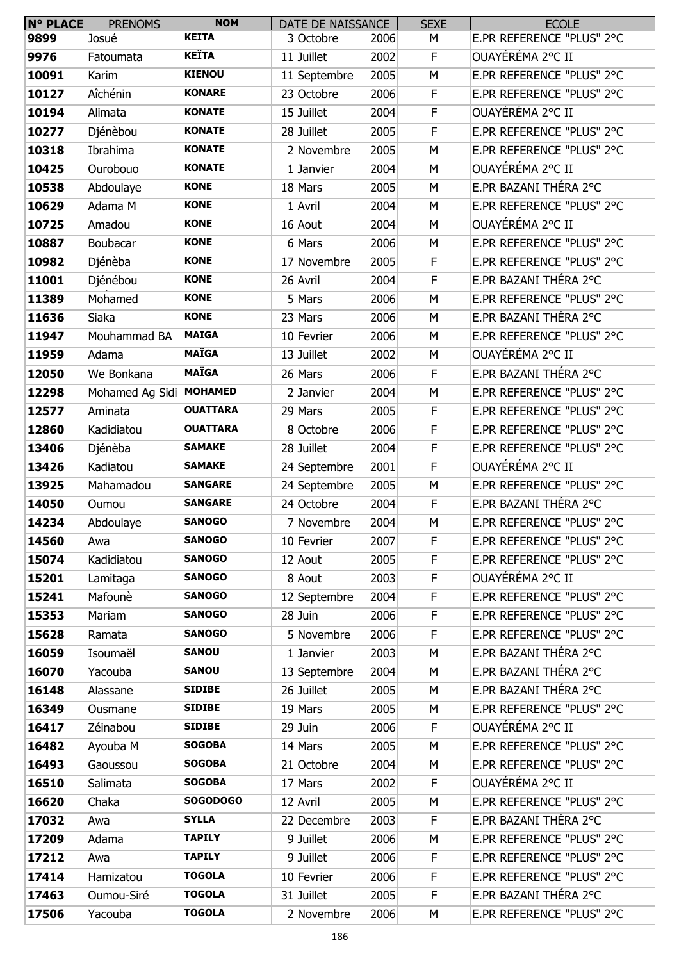| <b>N° PLACE</b> | <b>PRENOMS</b>          | <b>NOM</b>      | DATE DE NAISSANCE |      | <b>SEXE</b> | <b>ECOLE</b>              |
|-----------------|-------------------------|-----------------|-------------------|------|-------------|---------------------------|
| 9899            | Josué                   | <b>KEITA</b>    | 3 Octobre         | 2006 | М           | E.PR REFERENCE "PLUS" 2°C |
| 9976            | Fatoumata               | <b>KEÏTA</b>    | 11 Juillet        | 2002 | F           | OUAYÉRÉMA 2°C II          |
| 10091           | Karim                   | <b>KIENOU</b>   | 11 Septembre      | 2005 | M           | E.PR REFERENCE "PLUS" 2°C |
| 10127           | Aîchénin                | <b>KONARE</b>   | 23 Octobre        | 2006 | F           | E.PR REFERENCE "PLUS" 2°C |
| 10194           | Alimata                 | <b>KONATE</b>   | 15 Juillet        | 2004 | F           | OUAYÉRÉMA 2°C II          |
| 10277           | Djénèbou                | <b>KONATE</b>   | 28 Juillet        | 2005 | $\mathsf F$ | E.PR REFERENCE "PLUS" 2°C |
| 10318           | Ibrahima                | <b>KONATE</b>   | 2 Novembre        | 2005 | M           | E.PR REFERENCE "PLUS" 2°C |
| 10425           | Ourobouo                | <b>KONATE</b>   | 1 Janvier         | 2004 | М           | OUAYÉRÉMA 2°C II          |
| 10538           | Abdoulaye               | <b>KONE</b>     | 18 Mars           | 2005 | M           | E.PR BAZANI THÉRA 2°C     |
| 10629           | Adama M                 | <b>KONE</b>     | 1 Avril           | 2004 | M           | E.PR REFERENCE "PLUS" 2°C |
| 10725           | Amadou                  | <b>KONE</b>     | 16 Aout           | 2004 | M           | OUAYÉRÉMA 2°C II          |
| 10887           | Boubacar                | <b>KONE</b>     | 6 Mars            | 2006 | М           | E.PR REFERENCE "PLUS" 2°C |
| 10982           | Djénèba                 | <b>KONE</b>     | 17 Novembre       | 2005 | F           | E.PR REFERENCE "PLUS" 2°C |
| 11001           | Djénébou                | <b>KONE</b>     | 26 Avril          | 2004 | F           | E.PR BAZANI THÉRA 2°C     |
| 11389           | Mohamed                 | <b>KONE</b>     | 5 Mars            | 2006 | М           | E.PR REFERENCE "PLUS" 2°C |
| 11636           | Siaka                   | <b>KONE</b>     | 23 Mars           | 2006 | M           | E.PR BAZANI THÉRA 2°C     |
| 11947           | Mouhammad BA            | <b>MAIGA</b>    | 10 Fevrier        | 2006 | M           | E.PR REFERENCE "PLUS" 2°C |
| 11959           | Adama                   | <b>MAÏGA</b>    | 13 Juillet        | 2002 | M           | OUAYÉRÉMA 2°C II          |
| 12050           | We Bonkana              | <b>MAÏGA</b>    | 26 Mars           | 2006 | F           | E.PR BAZANI THÉRA 2°C     |
| 12298           | Mohamed Ag Sidi MOHAMED |                 | 2 Janvier         | 2004 | M           | E.PR REFERENCE "PLUS" 2°C |
| 12577           | Aminata                 | <b>OUATTARA</b> | 29 Mars           | 2005 | $\mathsf F$ | E.PR REFERENCE "PLUS" 2°C |
| 12860           | Kadidiatou              | <b>OUATTARA</b> | 8 Octobre         | 2006 | F           | E.PR REFERENCE "PLUS" 2°C |
| 13406           | Djénèba                 | <b>SAMAKE</b>   | 28 Juillet        | 2004 | F           | E.PR REFERENCE "PLUS" 2°C |
| 13426           | Kadiatou                | <b>SAMAKE</b>   | 24 Septembre      | 2001 | F           | OUAYÉRÉMA 2°C II          |
| 13925           | Mahamadou               | <b>SANGARE</b>  | 24 Septembre      | 2005 | M           | E.PR REFERENCE "PLUS" 2°C |
| 14050           | Oumou                   | <b>SANGARE</b>  | 24 Octobre        | 2004 | F           | E.PR BAZANI THÉRA 2°C     |
| 14234           | Abdoulaye               | <b>SANOGO</b>   | 7 Novembre        | 2004 | M           | E.PR REFERENCE "PLUS" 2°C |
| 14560           | Awa                     | <b>SANOGO</b>   | 10 Fevrier        | 2007 | F.          | E.PR REFERENCE "PLUS" 2°C |
| 15074           | Kadidiatou              | <b>SANOGO</b>   | 12 Aout           | 2005 | F.          | E.PR REFERENCE "PLUS" 2°C |
| 15201           | Lamitaga                | <b>SANOGO</b>   | 8 Aout            | 2003 | F           | OUAYÉRÉMA 2°C II          |
| 15241           | Mafounè                 | <b>SANOGO</b>   | 12 Septembre      | 2004 | F           | E.PR REFERENCE "PLUS" 2°C |
| 15353           | Mariam                  | <b>SANOGO</b>   | 28 Juin           | 2006 | F           | E.PR REFERENCE "PLUS" 2°C |
| 15628           | Ramata                  | <b>SANOGO</b>   | 5 Novembre        | 2006 | F           | E.PR REFERENCE "PLUS" 2°C |
| 16059           | Isoumaël                | <b>SANOU</b>    | 1 Janvier         | 2003 | M           | E.PR BAZANI THÉRA 2°C     |
| 16070           | Yacouba                 | <b>SANOU</b>    | 13 Septembre      | 2004 | M           | E.PR BAZANI THÉRA 2°C     |
| 16148           | Alassane                | <b>SIDIBE</b>   | 26 Juillet        | 2005 | M           | E.PR BAZANI THÉRA 2°C     |
| 16349           | Ousmane                 | <b>SIDIBE</b>   | 19 Mars           | 2005 | М           | E.PR REFERENCE "PLUS" 2°C |
| 16417           | Zéinabou                | <b>SIDIBE</b>   | 29 Juin           | 2006 | F.          | OUAYÉRÉMA 2°C II          |
| 16482           | Ayouba M                | <b>SOGOBA</b>   | 14 Mars           | 2005 | M           | E.PR REFERENCE "PLUS" 2°C |
| 16493           | Gaoussou                | <b>SOGOBA</b>   | 21 Octobre        | 2004 | M           | E.PR REFERENCE "PLUS" 2°C |
| 16510           | Salimata                | <b>SOGOBA</b>   | 17 Mars           | 2002 | F.          | OUAYÉRÉMA 2°C II          |
| 16620           | Chaka                   | <b>SOGODOGO</b> | 12 Avril          | 2005 | M           | E.PR REFERENCE "PLUS" 2°C |
| 17032           | Awa                     | <b>SYLLA</b>    | 22 Decembre       | 2003 | F           | E.PR BAZANI THÉRA 2°C     |
| 17209           | Adama                   | <b>TAPILY</b>   | 9 Juillet         | 2006 | М           | E.PR REFERENCE "PLUS" 2°C |
| 17212           | Awa                     | <b>TAPILY</b>   | 9 Juillet         | 2006 | F.          | E.PR REFERENCE "PLUS" 2°C |
| 17414           | Hamizatou               | <b>TOGOLA</b>   | 10 Fevrier        | 2006 | F           | E.PR REFERENCE "PLUS" 2°C |
| 17463           | Oumou-Siré              | <b>TOGOLA</b>   | 31 Juillet        | 2005 | F           | E.PR BAZANI THÉRA 2°C     |
| 17506           | Yacouba                 | <b>TOGOLA</b>   | 2 Novembre        | 2006 | М           | E.PR REFERENCE "PLUS" 2°C |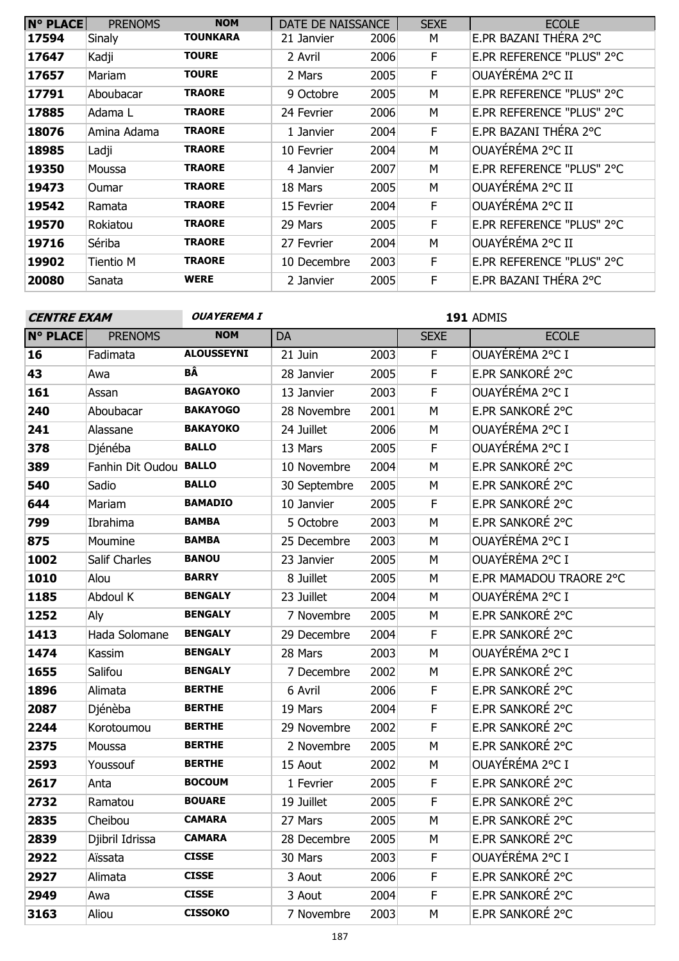| <b>N° PLACE</b> | <b>PRENOMS</b> | <b>NOM</b>    | DATE DE NAISSANCE |      | <b>SEXE</b> | <b>ECOLE</b>              |
|-----------------|----------------|---------------|-------------------|------|-------------|---------------------------|
| 17594           | Sinaly         | TOUNKARA      | 21 Janvier        | 2006 | М           | E.PR BAZANI THÉRA 2°C     |
| 17647           | Kadji          | <b>TOURE</b>  | 2 Avril           | 2006 | F           | E.PR REFERENCE "PLUS" 2°C |
| 17657           | Mariam         | <b>TOURE</b>  | 2 Mars            | 2005 | F           | OUAYÉRÉMA 2°C II          |
| 17791           | Aboubacar      | <b>TRAORE</b> | 9 Octobre         | 2005 | М           | E.PR REFERENCE "PLUS" 2°C |
| 17885           | Adama L        | <b>TRAORE</b> | 24 Fevrier        | 2006 | M           | E.PR REFERENCE "PLUS" 2°C |
| 18076           | Amina Adama    | <b>TRAORE</b> | 1 Janvier         | 2004 | F           | E.PR BAZANI THÉRA 2°C     |
| 18985           | Ladji          | <b>TRAORE</b> | 10 Fevrier        | 2004 | M           | OUAYEREMA 2°C II          |
| 19350           | Moussa         | <b>TRAORE</b> | 4 Janvier         | 2007 | М           | E.PR REFERENCE "PLUS" 2°C |
| 19473           | <b>Oumar</b>   | <b>TRAORE</b> | 18 Mars           | 2005 | м           | OUAYÉRÉMA 2°C II          |
| 19542           | Ramata         | <b>TRAORE</b> | 15 Fevrier        | 2004 | F           | OUAYÉRÉMA 2°C II          |
| 19570           | Rokiatou       | <b>TRAORE</b> | 29 Mars           | 2005 | F           | E.PR REFERENCE "PLUS" 2°C |
| 19716           | Sériba         | <b>TRAORE</b> | 27 Fevrier        | 2004 | M           | OUAYÉRÉMA 2°C II          |
| 19902           | Tientio M      | <b>TRAORE</b> | 10 Decembre       | 2003 | F           | E.PR REFERENCE "PLUS" 2°C |
| 20080           | Sanata         | <b>WERE</b>   | 2 Janvier         | 2005 | F           | E.PR BAZANI THERA 2°C     |

**OUAYEREMA I 191** ADMIS

| <b>N° PLACE</b> | <b>PRENOMS</b>         | <b>NOM</b>        | DA           |      | <b>SEXE</b> | <b>ECOLE</b>            |
|-----------------|------------------------|-------------------|--------------|------|-------------|-------------------------|
| 16              | Fadimata               | <b>ALOUSSEYNI</b> | 21 Juin      | 2003 | $\mathsf F$ | OUAYÉRÉMA 2°C I         |
| 43              | Awa                    | BÂ                | 28 Janvier   | 2005 | F           | E.PR SANKORÉ 2°C        |
| 161             | Assan                  | <b>BAGAYOKO</b>   | 13 Janvier   | 2003 | F           | OUAYÉRÉMA 2°C I         |
| 240             | Aboubacar              | <b>BAKAYOGO</b>   | 28 Novembre  | 2001 | M           | E.PR SANKORÉ 2°C        |
| 241             | Alassane               | <b>BAKAYOKO</b>   | 24 Juillet   | 2006 | M           | OUAYÉRÉMA 2°C I         |
| 378             | Djénéba                | <b>BALLO</b>      | 13 Mars      | 2005 | $\mathsf F$ | OUAYÉRÉMA 2°C I         |
| 389             | Fanhin Dit Oudou BALLO |                   | 10 Novembre  | 2004 | M           | E.PR SANKORÉ 2°C        |
| 540             | Sadio                  | <b>BALLO</b>      | 30 Septembre | 2005 | M           | E.PR SANKORÉ 2°C        |
| 644             | Mariam                 | <b>BAMADIO</b>    | 10 Janvier   | 2005 | $\mathsf F$ | E.PR SANKORÉ 2°C        |
| 799             | Ibrahima               | <b>BAMBA</b>      | 5 Octobre    | 2003 | M           | E.PR SANKORÉ 2°C        |
| 875             | Moumine                | <b>BAMBA</b>      | 25 Decembre  | 2003 | M           | OUAYÉRÉMA 2°C I         |
| 1002            | Salif Charles          | <b>BANOU</b>      | 23 Janvier   | 2005 | M           | OUAYÉRÉMA 2°C I         |
| 1010            | Alou                   | <b>BARRY</b>      | 8 Juillet    | 2005 | M           | E.PR MAMADOU TRAORE 2°C |
| 1185            | Abdoul K               | <b>BENGALY</b>    | 23 Juillet   | 2004 | M           | OUAYÉRÉMA 2°C I         |
| 1252            | Aly                    | <b>BENGALY</b>    | 7 Novembre   | 2005 | M           | E.PR SANKORÉ 2°C        |
| 1413            | Hada Solomane          | <b>BENGALY</b>    | 29 Decembre  | 2004 | F           | E.PR SANKORÉ 2°C        |
| 1474            | Kassim                 | <b>BENGALY</b>    | 28 Mars      | 2003 | M           | OUAYÉRÉMA 2°C I         |
| 1655            | Salifou                | <b>BENGALY</b>    | 7 Decembre   | 2002 | M           | E.PR SANKORÉ 2°C        |
| 1896            | Alimata                | <b>BERTHE</b>     | 6 Avril      | 2006 | $\mathsf F$ | E.PR SANKORÉ 2°C        |
| 2087            | Djénèba                | <b>BERTHE</b>     | 19 Mars      | 2004 | $\mathsf F$ | E.PR SANKORÉ 2°C        |
| 2244            | Korotoumou             | <b>BERTHE</b>     | 29 Novembre  | 2002 | F           | E.PR SANKORÉ 2°C        |
| 2375            | Moussa                 | <b>BERTHE</b>     | 2 Novembre   | 2005 | M           | E.PR SANKORÉ 2°C        |
| 2593            | Youssouf               | <b>BERTHE</b>     | 15 Aout      | 2002 | M           | OUAYÉRÉMA 2°C I         |
| 2617            | Anta                   | <b>BOCOUM</b>     | 1 Fevrier    | 2005 | F           | E.PR SANKORÉ 2°C        |
| 2732            | Ramatou                | <b>BOUARE</b>     | 19 Juillet   | 2005 | F           | E.PR SANKORÉ 2°C        |
| 2835            | Cheibou                | <b>CAMARA</b>     | 27 Mars      | 2005 | M           | E.PR SANKORÉ 2°C        |
| 2839            | Djibril Idrissa        | <b>CAMARA</b>     | 28 Decembre  | 2005 | М           | E.PR SANKORÉ 2°C        |
| 2922            | Aïssata                | <b>CISSE</b>      | 30 Mars      | 2003 | F.          | OUAYÉRÉMA 2°C I         |
| 2927            | Alimata                | <b>CISSE</b>      | 3 Aout       | 2006 | F           | E.PR SANKORÉ 2°C        |
| 2949            | Awa                    | <b>CISSE</b>      | 3 Aout       | 2004 | F           | E.PR SANKORÉ 2°C        |
| 3163            | Aliou                  | <b>CISSOKO</b>    | 7 Novembre   | 2003 | М           | E.PR SANKORÉ 2°C        |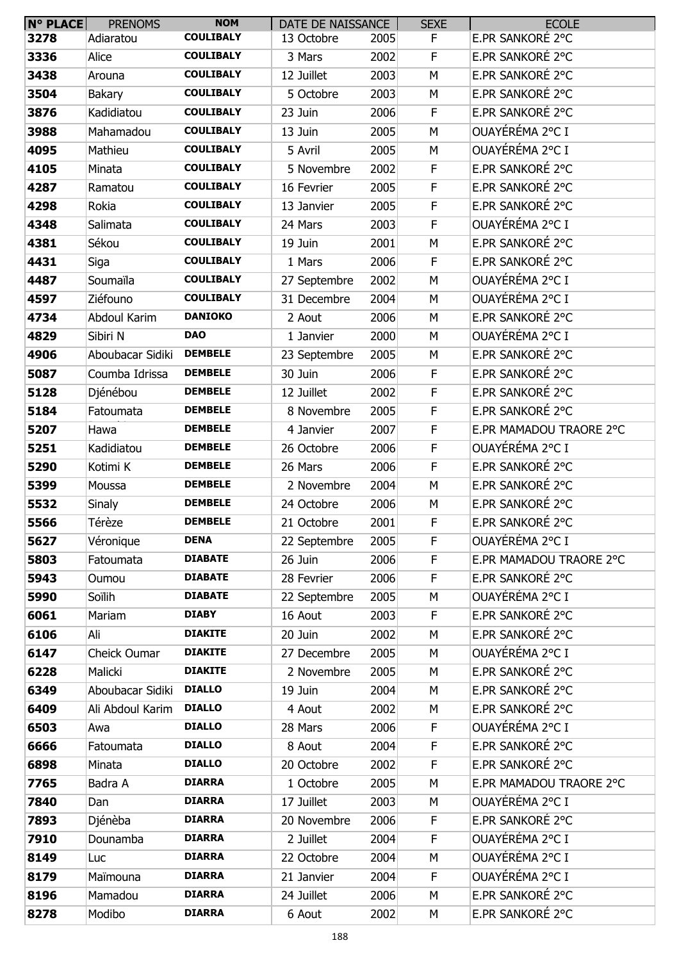| N° PLACE | <b>PRENOMS</b>   | <b>NOM</b>       | DATE DE NAISSANCE |      | <b>SEXE</b> | <b>ECOLE</b>            |
|----------|------------------|------------------|-------------------|------|-------------|-------------------------|
| 3278     | Adiaratou        | <b>COULIBALY</b> | 13 Octobre        | 2005 | F.          | E.PR SANKORÉ 2°C        |
| 3336     | Alice            | <b>COULIBALY</b> | 3 Mars            | 2002 | F           | E.PR SANKORÉ 2°C        |
| 3438     | Arouna           | <b>COULIBALY</b> | 12 Juillet        | 2003 | M           | E.PR SANKORÉ 2°C        |
| 3504     | <b>Bakary</b>    | <b>COULIBALY</b> | 5 Octobre         | 2003 | M           | E.PR SANKORÉ 2°C        |
| 3876     | Kadidiatou       | <b>COULIBALY</b> | 23 Juin           | 2006 | F.          | E.PR SANKORÉ 2°C        |
| 3988     | Mahamadou        | <b>COULIBALY</b> | 13 Juin           | 2005 | M           | OUAYÉRÉMA 2°C I         |
| 4095     | Mathieu          | <b>COULIBALY</b> | 5 Avril           | 2005 | M           | OUAYÉRÉMA 2°C I         |
| 4105     | Minata           | <b>COULIBALY</b> | 5 Novembre        | 2002 | F           | E.PR SANKORÉ 2°C        |
| 4287     | Ramatou          | <b>COULIBALY</b> | 16 Fevrier        | 2005 | F           | E.PR SANKORÉ 2°C        |
| 4298     | Rokia            | <b>COULIBALY</b> | 13 Janvier        | 2005 | F           | E.PR SANKORÉ 2°C        |
| 4348     | Salimata         | <b>COULIBALY</b> | 24 Mars           | 2003 | F           | OUAYÉRÉMA 2°C I         |
| 4381     | Sékou            | <b>COULIBALY</b> | 19 Juin           | 2001 | M           | E.PR SANKORÉ 2°C        |
| 4431     | Siga             | <b>COULIBALY</b> | 1 Mars            | 2006 | F           | E.PR SANKORÉ 2°C        |
| 4487     | Soumaïla         | <b>COULIBALY</b> | 27 Septembre      | 2002 | M           | OUAYÉRÉMA 2°C I         |
| 4597     | Ziéfouno         | <b>COULIBALY</b> | 31 Decembre       | 2004 | M           | OUAYÉRÉMA 2°C I         |
| 4734     | Abdoul Karim     | <b>DANIOKO</b>   | 2 Aout            | 2006 | M           | E.PR SANKORÉ 2°C        |
| 4829     | Sibiri N         | <b>DAO</b>       | 1 Janvier         | 2000 | M           | OUAYÉRÉMA 2°C I         |
| 4906     | Aboubacar Sidiki | <b>DEMBELE</b>   | 23 Septembre      | 2005 | M           | E.PR SANKORÉ 2°C        |
| 5087     | Coumba Idrissa   | <b>DEMBELE</b>   | 30 Juin           | 2006 | F.          | E.PR SANKORÉ 2°C        |
| 5128     | Djénébou         | <b>DEMBELE</b>   | 12 Juillet        | 2002 | $\mathsf F$ | E.PR SANKORÉ 2°C        |
| 5184     | Fatoumata        | <b>DEMBELE</b>   | 8 Novembre        | 2005 | F           | E.PR SANKORÉ 2°C        |
| 5207     | Hawa             | <b>DEMBELE</b>   | 4 Janvier         | 2007 | F           | E.PR MAMADOU TRAORE 2°C |
| 5251     | Kadidiatou       | <b>DEMBELE</b>   | 26 Octobre        | 2006 | F           | OUAYÉRÉMA 2°C I         |
| 5290     | Kotimi K         | <b>DEMBELE</b>   | 26 Mars           | 2006 | F           | E.PR SANKORÉ 2°C        |
| 5399     | Moussa           | <b>DEMBELE</b>   | 2 Novembre        | 2004 | M           | E.PR SANKORÉ 2°C        |
| 5532     | Sinaly           | <b>DEMBELE</b>   | 24 Octobre        | 2006 | M           | E.PR SANKORÉ 2°C        |
| 5566     | Térèze           | <b>DEMBELE</b>   | 21 Octobre        | 2001 | F           | E.PR SANKORÉ 2°C        |
| 5627     | Véronique        | <b>DENA</b>      | 22 Septembre      | 2005 | F           | OUAYÉRÉMA 2°C I         |
| 5803     | Fatoumata        | <b>DIABATE</b>   | 26 Juin           | 2006 | F           | E.PR MAMADOU TRAORE 2°C |
| 5943     | Oumou            | <b>DIABATE</b>   | 28 Fevrier        | 2006 | F           | E.PR SANKORÉ 2°C        |
| 5990     | Soïlih           | <b>DIABATE</b>   | 22 Septembre      | 2005 | М           | OUAYÉRÉMA 2°C I         |
| 6061     | Mariam           | <b>DIABY</b>     | 16 Aout           | 2003 | F           | E.PR SANKORÉ 2°C        |
| 6106     | Ali              | <b>DIAKITE</b>   | 20 Juin           | 2002 | М           | E.PR SANKORÉ 2°C        |
| 6147     | Cheick Oumar     | <b>DIAKITE</b>   | 27 Decembre       | 2005 | M           | OUAYÉRÉMA 2°C I         |
| 6228     | Malicki          | <b>DIAKITE</b>   | 2 Novembre        | 2005 | M           | E.PR SANKORÉ 2°C        |
| 6349     | Aboubacar Sidiki | <b>DIALLO</b>    | 19 Juin           | 2004 | М           | E.PR SANKORÉ 2°C        |
| 6409     | Ali Abdoul Karim | <b>DIALLO</b>    | 4 Aout            | 2002 | М           | E.PR SANKORÉ 2°C        |
| 6503     | Awa              | <b>DIALLO</b>    | 28 Mars           | 2006 | F           | OUAYÉRÉMA 2°C I         |
| 6666     | Fatoumata        | <b>DIALLO</b>    | 8 Aout            | 2004 | F.          | E.PR SANKORÉ 2°C        |
| 6898     | Minata           | <b>DIALLO</b>    | 20 Octobre        | 2002 | F           | E.PR SANKORÉ 2°C        |
| 7765     | Badra A          | <b>DIARRA</b>    | 1 Octobre         | 2005 | M           | E.PR MAMADOU TRAORE 2°C |
| 7840     | Dan              | <b>DIARRA</b>    | 17 Juillet        | 2003 | M           | OUAYÉRÉMA 2°C I         |
| 7893     | Djénèba          | <b>DIARRA</b>    | 20 Novembre       | 2006 | F           | E.PR SANKORÉ 2°C        |
| 7910     | Dounamba         | <b>DIARRA</b>    | 2 Juillet         | 2004 | F           | OUAYÉRÉMA 2°C I         |
| 8149     | Luc              | <b>DIARRA</b>    | 22 Octobre        | 2004 | M           | OUAYÉRÉMA 2°C I         |
| 8179     | Maïmouna         | <b>DIARRA</b>    | 21 Janvier        | 2004 | F.          | OUAYÉRÉMA 2°C I         |
| 8196     | Mamadou          | <b>DIARRA</b>    | 24 Juillet        | 2006 | М           | E.PR SANKORÉ 2°C        |
| 8278     | Modibo           | <b>DIARRA</b>    | 6 Aout            | 2002 | М           | E.PR SANKORÉ 2°C        |
|          |                  |                  |                   |      |             |                         |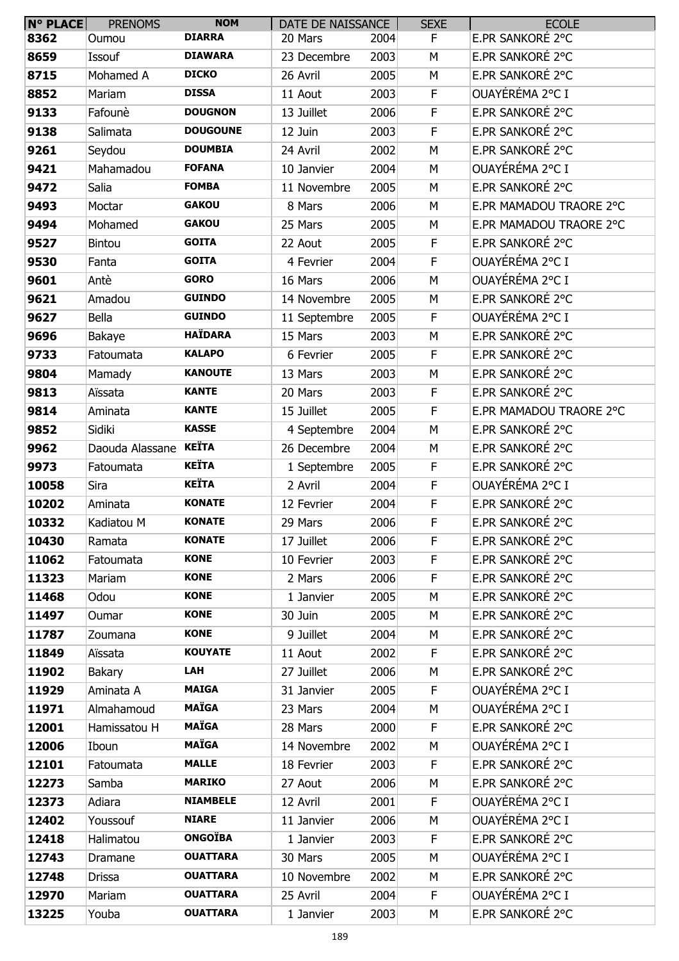| $N^{\circ}$ PLACE | <b>PRENOMS</b>  | <b>NOM</b>      | DATE DE NAISSANCE |      | <b>SEXE</b> | <b>ECOLE</b>            |
|-------------------|-----------------|-----------------|-------------------|------|-------------|-------------------------|
| 8362              | Oumou           | <b>DIARRA</b>   | 20 Mars           | 2004 | F.          | E.PR SANKORÉ 2°C        |
| 8659              | Issouf          | <b>DIAWARA</b>  | 23 Decembre       | 2003 | М           | E.PR SANKORÉ 2°C        |
| 8715              | Mohamed A       | <b>DICKO</b>    | 26 Avril          | 2005 | M           | E.PR SANKORÉ 2°C        |
| 8852              | Mariam          | <b>DISSA</b>    | 11 Aout           | 2003 | F.          | OUAYÉRÉMA 2°C I         |
| 9133              | Fafounè         | <b>DOUGNON</b>  | 13 Juillet        | 2006 | F           | E.PR SANKORÉ 2°C        |
| 9138              | Salimata        | <b>DOUGOUNE</b> | 12 Juin           | 2003 | F           | E.PR SANKORÉ 2°C        |
| 9261              | Seydou          | <b>DOUMBIA</b>  | 24 Avril          | 2002 | M           | E.PR SANKORÉ 2°C        |
| 9421              | Mahamadou       | <b>FOFANA</b>   | 10 Janvier        | 2004 | M           | OUAYÉRÉMA 2°C I         |
| 9472              | Salia           | <b>FOMBA</b>    | 11 Novembre       | 2005 | M           | E.PR SANKORÉ 2°C        |
| 9493              | Moctar          | <b>GAKOU</b>    | 8 Mars            | 2006 | M           | E.PR MAMADOU TRAORE 2°C |
| 9494              | Mohamed         | <b>GAKOU</b>    | 25 Mars           | 2005 | М           | E.PR MAMADOU TRAORE 2°C |
| 9527              | <b>Bintou</b>   | <b>GOITA</b>    | 22 Aout           | 2005 | F.          | E.PR SANKORÉ 2°C        |
| 9530              | Fanta           | <b>GOITA</b>    | 4 Fevrier         | 2004 | F           | OUAYÉRÉMA 2°C I         |
| 9601              | Antè            | <b>GORO</b>     | 16 Mars           | 2006 | M           | OUAYÉRÉMA 2°C I         |
| 9621              | Amadou          | <b>GUINDO</b>   | 14 Novembre       | 2005 | М           | E.PR SANKORÉ 2°C        |
| 9627              | Bella           | <b>GUINDO</b>   | 11 Septembre      | 2005 | F           | OUAYÉRÉMA 2°C I         |
| 9696              | Bakaye          | <b>HAÏDARA</b>  | 15 Mars           | 2003 | M           | E.PR SANKORÉ 2°C        |
| 9733              | Fatoumata       | <b>KALAPO</b>   | 6 Fevrier         | 2005 | F           | E.PR SANKORÉ 2°C        |
| 9804              | Mamady          | <b>KANOUTE</b>  | 13 Mars           | 2003 | M           | E.PR SANKORÉ 2°C        |
| 9813              | Aïssata         | <b>KANTE</b>    | 20 Mars           | 2003 | F           | E.PR SANKORÉ 2°C        |
| 9814              | Aminata         | <b>KANTE</b>    | 15 Juillet        | 2005 | F.          | E.PR MAMADOU TRAORE 2°C |
| 9852              | Sidiki          | <b>KASSE</b>    | 4 Septembre       | 2004 | M           | E.PR SANKORÉ 2°C        |
| 9962              | Daouda Alassane | KEÏTA           | 26 Decembre       | 2004 | M           | E.PR SANKORÉ 2°C        |
| 9973              | Fatoumata       | <b>KEÏTA</b>    | 1 Septembre       | 2005 | F           | E.PR SANKORÉ 2°C        |
| 10058             | Sira            | <b>KEÏTA</b>    | 2 Avril           | 2004 | F           | OUAYÉRÉMA 2°C I         |
| 10202             | Aminata         | <b>KONATE</b>   | 12 Fevrier        | 2004 | F.          | E.PR SANKORÉ 2°C        |
| 10332             | Kadiatou M      | <b>KONATE</b>   | 29 Mars           | 2006 | F           | E.PR SANKORÉ 2°C        |
| 10430             | Ramata          | <b>KONATE</b>   | 17 Juillet        | 2006 | F.          | E.PR SANKORÉ 2°C        |
| 11062             | Fatoumata       | <b>KONE</b>     | 10 Fevrier        | 2003 | F.          | E.PR SANKORÉ 2°C        |
| 11323             | Mariam          | <b>KONE</b>     | 2 Mars            | 2006 | F           | E.PR SANKORÉ 2°C        |
| 11468             | Odou            | <b>KONE</b>     | 1 Janvier         | 2005 | М           | E.PR SANKORÉ 2°C        |
| 11497             | Oumar           | <b>KONE</b>     | 30 Juin           | 2005 | М           | E.PR SANKORÉ 2°C        |
| 11787             | Zoumana         | <b>KONE</b>     | 9 Juillet         | 2004 | М           | E.PR SANKORÉ 2°C        |
| 11849             | Aïssata         | <b>KOUYATE</b>  | 11 Aout           | 2002 | F.          | E.PR SANKORÉ 2°C        |
| 11902             | Bakary          | LAH             | 27 Juillet        | 2006 | M           | E.PR SANKORÉ 2°C        |
| 11929             | Aminata A       | <b>MAIGA</b>    | 31 Janvier        | 2005 | F.          | OUAYÉRÉMA 2°C I         |
| 11971             | Almahamoud      | <b>MAÏGA</b>    | 23 Mars           | 2004 | М           | OUAYÉRÉMA 2°C I         |
| 12001             | Hamissatou H    | <b>MAÏGA</b>    | 28 Mars           | 2000 | F.          | E.PR SANKORÉ 2°C        |
| 12006             | Iboun           | <b>MAÏGA</b>    | 14 Novembre       | 2002 | М           | OUAYÉRÉMA 2°C I         |
| 12101             | Fatoumata       | <b>MALLE</b>    | 18 Fevrier        | 2003 | F.          | E.PR SANKORÉ 2°C        |
| 12273             | Samba           | <b>MARIKO</b>   | 27 Aout           | 2006 | М           | E.PR SANKORÉ 2°C        |
| 12373             | Adiara          | <b>NIAMBELE</b> | 12 Avril          | 2001 | F.          | OUAYÉRÉMA 2°C I         |
| 12402             | Youssouf        | <b>NIARE</b>    | 11 Janvier        | 2006 | M           | OUAYÉRÉMA 2°C I         |
| 12418             | Halimatou       | <b>ONGOÏBA</b>  | 1 Janvier         | 2003 | F.          | E.PR SANKORÉ 2°C        |
| 12743             | Dramane         | <b>OUATTARA</b> | 30 Mars           | 2005 | М           | OUAYÉRÉMA 2°C I         |
| 12748             | Drissa          | <b>OUATTARA</b> | 10 Novembre       | 2002 | М           | E.PR SANKORÉ 2°C        |
| 12970             | Mariam          | <b>OUATTARA</b> | 25 Avril          | 2004 | F           | OUAYÉRÉMA 2°C I         |
| 13225             | Youba           | <b>OUATTARA</b> | 1 Janvier         | 2003 | М           | E.PR SANKORÉ 2°C        |
|                   |                 |                 |                   |      |             |                         |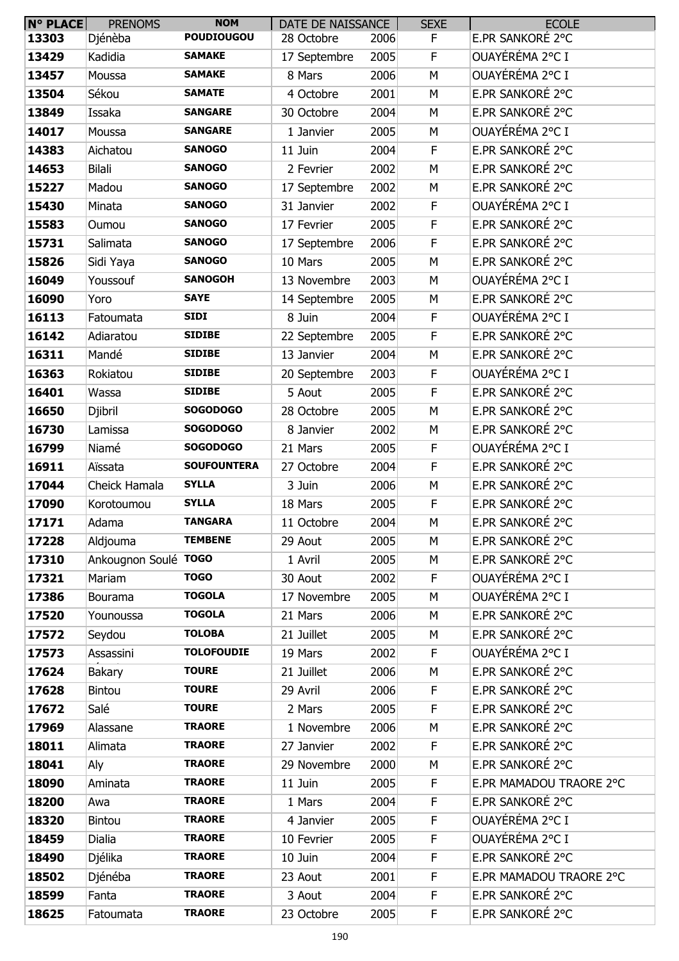| N° PLACE | <b>PRENOMS</b>       | <b>NOM</b>         | DATE DE NAISSANCE |      | <b>SEXE</b> | <b>ECOLE</b>            |
|----------|----------------------|--------------------|-------------------|------|-------------|-------------------------|
| 13303    | Djénèba              | <b>POUDIOUGOU</b>  | 28 Octobre        | 2006 | F.          | E.PR SANKORÉ 2°C        |
| 13429    | Kadidia              | <b>SAMAKE</b>      | 17 Septembre      | 2005 | $\mathsf F$ | OUAYÉRÉMA 2°C I         |
| 13457    | Moussa               | <b>SAMAKE</b>      | 8 Mars            | 2006 | M           | OUAYÉRÉMA 2°C I         |
| 13504    | Sékou                | <b>SAMATE</b>      | 4 Octobre         | 2001 | M           | E.PR SANKORÉ 2°C        |
| 13849    | Issaka               | <b>SANGARE</b>     | 30 Octobre        | 2004 | M           | E.PR SANKORÉ 2°C        |
| 14017    | Moussa               | <b>SANGARE</b>     | 1 Janvier         | 2005 | M           | OUAYÉRÉMA 2°C I         |
| 14383    | Aichatou             | <b>SANOGO</b>      | 11 Juin           | 2004 | $\mathsf F$ | E.PR SANKORÉ 2°C        |
| 14653    | <b>Bilali</b>        | <b>SANOGO</b>      | 2 Fevrier         | 2002 | M           | E.PR SANKORÉ 2°C        |
| 15227    | Madou                | <b>SANOGO</b>      | 17 Septembre      | 2002 | M           | E.PR SANKORÉ 2°C        |
| 15430    | Minata               | <b>SANOGO</b>      | 31 Janvier        | 2002 | F           | OUAYÉRÉMA 2°C I         |
| 15583    | Oumou                | <b>SANOGO</b>      | 17 Fevrier        | 2005 | $\mathsf F$ | E.PR SANKORÉ 2°C        |
| 15731    | Salimata             | <b>SANOGO</b>      | 17 Septembre      | 2006 | $\mathsf F$ | E.PR SANKORÉ 2°C        |
| 15826    | Sidi Yaya            | <b>SANOGO</b>      | 10 Mars           | 2005 | M           | E.PR SANKORÉ 2°C        |
| 16049    | Youssouf             | <b>SANOGOH</b>     | 13 Novembre       | 2003 | M           | OUAYÉRÉMA 2°C I         |
| 16090    | Yoro                 | <b>SAYE</b>        | 14 Septembre      | 2005 | М           | E.PR SANKORÉ 2°C        |
| 16113    | Fatoumata            | <b>SIDI</b>        | 8 Juin            | 2004 | F           | OUAYÉRÉMA 2°C I         |
| 16142    | Adiaratou            | <b>SIDIBE</b>      | 22 Septembre      | 2005 | F           | E.PR SANKORÉ 2°C        |
| 16311    | Mandé                | <b>SIDIBE</b>      | 13 Janvier        | 2004 | M           | E.PR SANKORÉ 2°C        |
| 16363    | Rokiatou             | <b>SIDIBE</b>      | 20 Septembre      | 2003 | $\mathsf F$ | OUAYÉRÉMA 2°C I         |
| 16401    | Wassa                | <b>SIDIBE</b>      | 5 Aout            | 2005 | $\mathsf F$ | E.PR SANKORÉ 2°C        |
| 16650    | Djibril              | <b>SOGODOGO</b>    | 28 Octobre        | 2005 | M           | E.PR SANKORÉ 2°C        |
| 16730    | Lamissa              | <b>SOGODOGO</b>    | 8 Janvier         | 2002 | M           | E.PR SANKORÉ 2°C        |
| 16799    | Niamé                | <b>SOGODOGO</b>    | 21 Mars           | 2005 | F           | OUAYÉRÉMA 2°C I         |
| 16911    | Aïssata              | <b>SOUFOUNTERA</b> | 27 Octobre        | 2004 | F           | E.PR SANKORÉ 2°C        |
| 17044    | Cheick Hamala        | <b>SYLLA</b>       | 3 Juin            | 2006 | M           | E.PR SANKORÉ 2°C        |
| 17090    | Korotoumou           | <b>SYLLA</b>       | 18 Mars           | 2005 | F           | E.PR SANKORÉ 2°C        |
| 17171    | Adama                | <b>TANGARA</b>     | 11 Octobre        | 2004 | M           | E.PR SANKORÉ 2°C        |
| 17228    | Aldjouma             | <b>TEMBENE</b>     | 29 Aout           | 2005 | M           | E.PR SANKORÉ 2°C        |
| 17310    | Ankougnon Soulé TOGO |                    | 1 Avril           | 2005 | M           | E.PR SANKORÉ 2°C        |
| 17321    | Mariam               | <b>TOGO</b>        | 30 Aout           | 2002 | F.          | OUAYÉRÉMA 2°C I         |
| 17386    | Bourama              | <b>TOGOLA</b>      | 17 Novembre       | 2005 | M           | OUAYÉRÉMA 2°C I         |
| 17520    | Younoussa            | <b>TOGOLA</b>      | 21 Mars           | 2006 | M           | E.PR SANKORÉ 2°C        |
| 17572    | Seydou               | <b>TOLOBA</b>      | 21 Juillet        | 2005 | M           | E.PR SANKORÉ 2°C        |
| 17573    | Assassini            | <b>TOLOFOUDIE</b>  | 19 Mars           | 2002 | F           | OUAYÉRÉMA 2°C I         |
| 17624    | Bakary               | <b>TOURE</b>       | 21 Juillet        | 2006 | M           | E.PR SANKORÉ 2°C        |
| 17628    | <b>Bintou</b>        | <b>TOURE</b>       | 29 Avril          | 2006 | $\mathsf F$ | E.PR SANKORÉ 2°C        |
| 17672    | Salé                 | <b>TOURE</b>       | 2 Mars            | 2005 | F           | E.PR SANKORÉ 2°C        |
| 17969    | Alassane             | <b>TRAORE</b>      | 1 Novembre        | 2006 | M           | E.PR SANKORÉ 2°C        |
| 18011    | Alimata              | <b>TRAORE</b>      | 27 Janvier        | 2002 | F           | E.PR SANKORÉ 2°C        |
| 18041    | Aly                  | <b>TRAORE</b>      | 29 Novembre       | 2000 | M           | E.PR SANKORÉ 2°C        |
| 18090    | Aminata              | <b>TRAORE</b>      | 11 Juin           | 2005 | F           | E.PR MAMADOU TRAORE 2°C |
| 18200    | Awa                  | <b>TRAORE</b>      | 1 Mars            | 2004 | $\mathsf F$ | E.PR SANKORÉ 2°C        |
| 18320    | <b>Bintou</b>        | <b>TRAORE</b>      | 4 Janvier         | 2005 | $\mathsf F$ | OUAYÉRÉMA 2°C I         |
| 18459    | Dialia               | <b>TRAORE</b>      | 10 Fevrier        | 2005 | F           | OUAYÉRÉMA 2°C I         |
| 18490    | Djélika              | <b>TRAORE</b>      | 10 Juin           | 2004 | $\mathsf F$ | E.PR SANKORÉ 2°C        |
| 18502    | Djénéba              | <b>TRAORE</b>      | 23 Aout           | 2001 | $\mathsf F$ | E.PR MAMADOU TRAORE 2°C |
| 18599    | Fanta                | <b>TRAORE</b>      | 3 Aout            | 2004 | F           | E.PR SANKORÉ 2°C        |
| 18625    | Fatoumata            | <b>TRAORE</b>      | 23 Octobre        | 2005 | F           | E.PR SANKORÉ 2°C        |
|          |                      |                    |                   |      |             |                         |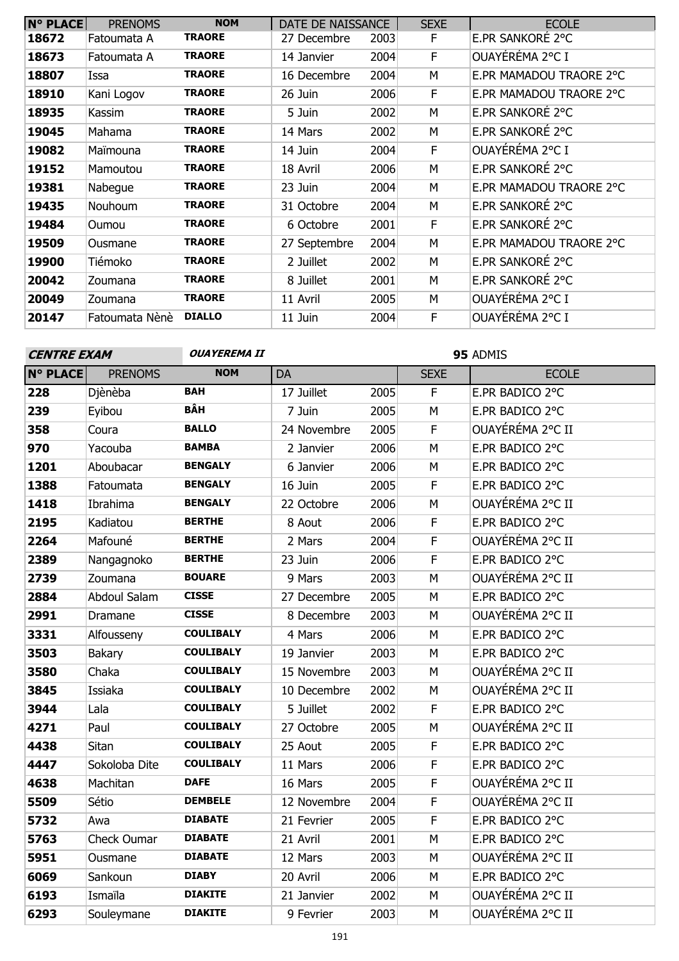| <b>N° PLACE</b> | <b>PRENOMS</b> | <b>NOM</b>    | DATE DE NAISSANCE |      | <b>SEXE</b> | <b>ECOLE</b>            |
|-----------------|----------------|---------------|-------------------|------|-------------|-------------------------|
| 18672           | Fatoumata A    | <b>TRAORE</b> | 27 Decembre       | 2003 | F.          | E.PR SANKORÉ 2°C        |
| 18673           | Fatoumata A    | <b>TRAORE</b> | 14 Janvier        | 2004 | F           | OUAYÉRÉMA 2°C I         |
| 18807           | Issa           | <b>TRAORE</b> | 16 Decembre       | 2004 | М           | E.PR MAMADOU TRAORE 2°C |
| 18910           | Kani Logov     | <b>TRAORE</b> | 26 Juin           | 2006 | F           | E.PR MAMADOU TRAORE 2°C |
| 18935           | Kassim         | <b>TRAORE</b> | 5 Juin            | 2002 | М           | E.PR SANKORÉ 2°C        |
| 19045           | Mahama         | <b>TRAORE</b> | 14 Mars           | 2002 | М           | E.PR SANKORÉ 2°C        |
| 19082           | Maïmouna       | <b>TRAORE</b> | 14 Juin           | 2004 | F.          | OUAYÉRÉMA 2°C I         |
| 19152           | Mamoutou       | <b>TRAORE</b> | 18 Avril          | 2006 | M           | E.PR SANKORÉ 2°C        |
| 19381           | Nabeque        | <b>TRAORE</b> | 23 Juin           | 2004 | М           | E.PR MAMADOU TRAORE 2°C |
| 19435           | Nouhoum        | <b>TRAORE</b> | 31 Octobre        | 2004 | М           | E.PR SANKORÉ 2°C        |
| 19484           | Oumou          | <b>TRAORE</b> | 6 Octobre         | 2001 | F           | E.PR SANKORÉ 2°C        |
| 19509           | Ousmane        | <b>TRAORE</b> | 27 Septembre      | 2004 | M           | E.PR MAMADOU TRAORE 2°C |
| 19900           | Tiémoko        | <b>TRAORE</b> | 2 Juillet         | 2002 | M           | E.PR SANKORÉ 2°C        |
| 20042           | Zoumana        | <b>TRAORE</b> | 8 Juillet         | 2001 | М           | E.PR SANKORÉ 2°C        |
| 20049           | Zoumana        | <b>TRAORE</b> | 11 Avril          | 2005 | M           | OUAYÉRÉMA 2°C I         |
| 20147           | Fatoumata Nènè | <b>DIALLO</b> | 11 Juin           | 2004 | F           | OUAYÉRÉMA 2°C I         |

### **OUAYEREMA II 95** ADMIS **N° PLACE** PRENOMS **NOM** DA 17 Juillet SEXE ECOLE Djènèba **BAH** 17 Juillet 2005 F E.PR BADICO 2°C Eyibou **BÂH** 7 Juin 2005 M E.PR BADICO 2°C Coura **BALLO** 24 Novembre 2005 F OUAYÉRÉMA 2°C II Yacouba **BAMBA** 2 Janvier 2006 M E.PR BADICO 2°C Aboubacar **BENGALY** 6 Janvier 2006 M E.PR BADICO 2°C Fatoumata **BENGALY** 16 Juin 2005 F E.PR BADICO 2°C Ibrahima **BENGALY** 22 Octobre 2006 M OUAYÉRÉMA 2°C II Kadiatou **BERTHE** 8 Aout 2006 F E.PR BADICO 2°C Mafouné **BERTHE** 2 Mars 2004 F OUAYÉRÉMA 2°C II Nangagnoko **BERTHE** 23 Juin 2006 F E.PR BADICO 2°C Zoumana **BOUARE** 9 Mars 2003 M OUAYÉRÉMA 2°C II Abdoul Salam **CISSE** 27 Decembre 2005 M E.PR BADICO 2°C Dramane **CISSE** 8 Decembre 2003 M OUAYÉRÉMA 2°C II Alfousseny **COULIBALY** 4 Mars 2006 M E.PR BADICO 2°C Bakary **COULIBALY** 19 Janvier 2003 M E.PR BADICO 2°C Chaka **COULIBALY** 15 Novembre 2003 M OUAYÉRÉMA 2°C II Issiaka **COULIBALY** 10 Decembre 2002 M OUAYÉRÉMA 2°C II Lala **COULIBALY** 5 Juillet 2002 F E.PR BADICO 2°C Paul **COULIBALY** 27 Octobre 2005 M OUAYÉRÉMA 2°C II Sitan **COULIBALY** 25 Aout 2005 F E.PR BADICO 2°C Sokoloba Dite Machitan **COULIBALY** 11 Mars 2006 F E.PR BADICO 2°C Machitan **DAFE** 16 Mars 2005 F OUAYÉRÉMA 2°C II Sétio **DEMBELE** 12 Novembre 2004 F OUAYÉRÉMA 2°C II Awa **DIABATE** 21 Fevrier 2005 F E.PR BADICO 2°C Check Oumar **DIABATE** 21 Avril 2001 M E.PR BADICO 2°C Ousmane Sankoun **DIABATE** 12 Mars 2003 M OUAYÉRÉMA 2°C II Sankoun **DIABY** 20 Avril 2006 M E.PR BADICO 2°C Ismaïla **DIAKITE** 21 Janvier 2002 M OUAYÉRÉMA 2°C II **CENTRE EXAM**

Souleymane **DIAKITE** 9 Fevrier 2003 M OUAYÉRÉMA 2°C II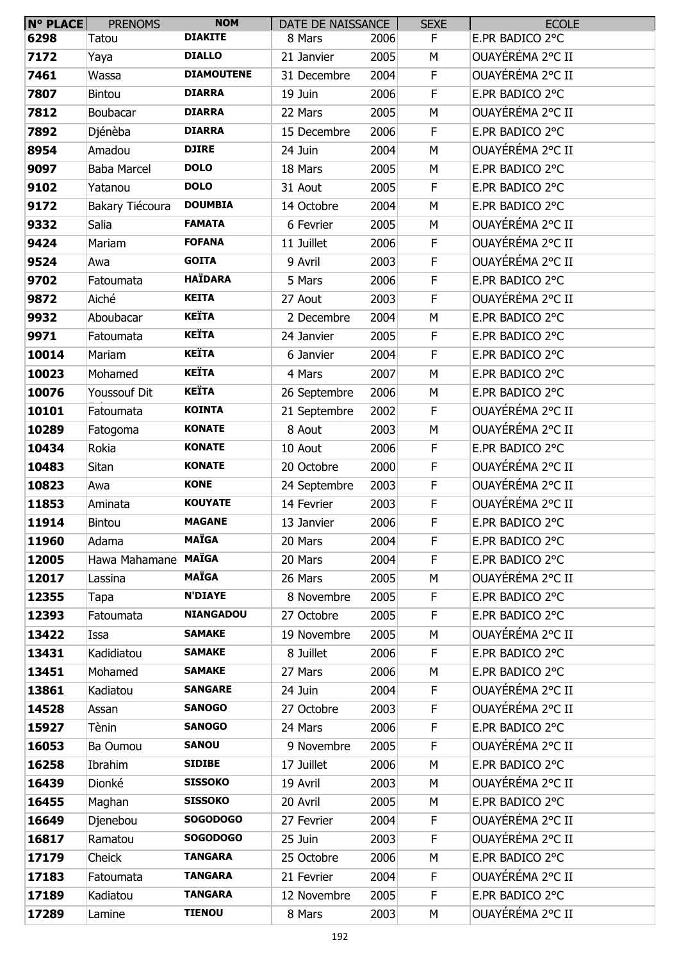| $N^{\circ}$ PLACE | <b>PRENOMS</b>  | <b>NOM</b>        | DATE DE NAISSANCE |      | <b>SEXE</b> | <b>ECOLE</b>     |
|-------------------|-----------------|-------------------|-------------------|------|-------------|------------------|
| 6298              | Tatou           | <b>DIAKITE</b>    | 8 Mars            | 2006 | F           | E.PR BADICO 2°C  |
| 7172              | Yaya            | <b>DIALLO</b>     | 21 Janvier        | 2005 | M           | OUAYÉRÉMA 2°C II |
| 7461              | Wassa           | <b>DIAMOUTENE</b> | 31 Decembre       | 2004 | F           | OUAYÉRÉMA 2°C II |
| 7807              | Bintou          | <b>DIARRA</b>     | 19 Juin           | 2006 | F           | E.PR BADICO 2°C  |
| 7812              | Boubacar        | <b>DIARRA</b>     | 22 Mars           | 2005 | M           | OUAYÉRÉMA 2°C II |
| 7892              | Djénèba         | <b>DIARRA</b>     | 15 Decembre       | 2006 | F           | E.PR BADICO 2°C  |
| 8954              | Amadou          | <b>DJIRE</b>      | 24 Juin           | 2004 | M           | OUAYÉRÉMA 2°C II |
| 9097              | Baba Marcel     | <b>DOLO</b>       | 18 Mars           | 2005 | M           | E.PR BADICO 2°C  |
| 9102              | Yatanou         | <b>DOLO</b>       | 31 Aout           | 2005 | F           | E.PR BADICO 2°C  |
| 9172              | Bakary Tiécoura | <b>DOUMBIA</b>    | 14 Octobre        | 2004 | M           | E.PR BADICO 2°C  |
| 9332              | Salia           | <b>FAMATA</b>     | 6 Fevrier         | 2005 | M           | OUAYÉRÉMA 2°C II |
| 9424              | Mariam          | <b>FOFANA</b>     | 11 Juillet        | 2006 | F           | OUAYÉRÉMA 2°C II |
| 9524              | Awa             | <b>GOITA</b>      | 9 Avril           | 2003 | F           | OUAYÉRÉMA 2°C II |
| 9702              | Fatoumata       | <b>HAÏDARA</b>    | 5 Mars            | 2006 | $\mathsf F$ | E.PR BADICO 2°C  |
| 9872              | Aiché           | <b>KEITA</b>      | 27 Aout           | 2003 | F           | OUAYÉRÉMA 2°C II |
| 9932              | Aboubacar       | <b>KEÏTA</b>      | 2 Decembre        | 2004 | M           | E.PR BADICO 2°C  |
| 9971              | Fatoumata       | <b>KEÏTA</b>      | 24 Janvier        | 2005 | F           | E.PR BADICO 2°C  |
| 10014             | Mariam          | <b>KEÏTA</b>      | 6 Janvier         | 2004 | F           | E.PR BADICO 2°C  |
| 10023             | Mohamed         | <b>KEÏTA</b>      | 4 Mars            | 2007 | M           | E.PR BADICO 2°C  |
| 10076             | Youssouf Dit    | <b>KEÏTA</b>      | 26 Septembre      | 2006 | M           | E.PR BADICO 2°C  |
| 10101             | Fatoumata       | <b>KOINTA</b>     | 21 Septembre      | 2002 | F           | OUAYÉRÉMA 2°C II |
| 10289             | Fatogoma        | <b>KONATE</b>     | 8 Aout            | 2003 | M           | OUAYÉRÉMA 2°C II |
| 10434             | Rokia           | <b>KONATE</b>     | 10 Aout           | 2006 | F           | E.PR BADICO 2°C  |
| 10483             | Sitan           | <b>KONATE</b>     | 20 Octobre        | 2000 | F           | OUAYÉRÉMA 2°C II |
| 10823             | Awa             | <b>KONE</b>       | 24 Septembre      | 2003 | F           | OUAYÉRÉMA 2°C II |
| 11853             | Aminata         | <b>KOUYATE</b>    | 14 Fevrier        | 2003 | F           | OUAYÉRÉMA 2°C II |
| 11914             | Bintou          | <b>MAGANE</b>     | 13 Janvier        | 2006 | F           | E.PR BADICO 2°C  |
| 11960             | Adama           | <b>MAÏGA</b>      | 20 Mars           | 2004 | F           | E.PR BADICO 2°C  |
| 12005             | Hawa Mahamane   | <b>MAÏGA</b>      | 20 Mars           | 2004 | F           | E.PR BADICO 2°C  |
| 12017             | Lassina         | <b>MAÏGA</b>      | 26 Mars           | 2005 | M           | OUAYÉRÉMA 2°C II |
| 12355             | Tapa            | <b>N'DIAYE</b>    | 8 Novembre        | 2005 | F           | E.PR BADICO 2°C  |
| 12393             | Fatoumata       | <b>NIANGADOU</b>  | 27 Octobre        | 2005 | F           | E.PR BADICO 2°C  |
| 13422             | Issa            | <b>SAMAKE</b>     | 19 Novembre       | 2005 | М           | OUAYÉRÉMA 2°C II |
| 13431             | Kadidiatou      | <b>SAMAKE</b>     | 8 Juillet         | 2006 | F           | E.PR BADICO 2°C  |
| 13451             | Mohamed         | <b>SAMAKE</b>     | 27 Mars           | 2006 | M           | E.PR BADICO 2°C  |
| 13861             | Kadiatou        | <b>SANGARE</b>    | 24 Juin           | 2004 | F           | OUAYÉRÉMA 2°C II |
| 14528             | Assan           | <b>SANOGO</b>     | 27 Octobre        | 2003 | F           | OUAYÉRÉMA 2°C II |
| 15927             | Tènin           | <b>SANOGO</b>     | 24 Mars           | 2006 | F           | E.PR BADICO 2°C  |
| 16053             | Ba Oumou        | <b>SANOU</b>      | 9 Novembre        | 2005 | F           | OUAYÉRÉMA 2°C II |
| 16258             | Ibrahim         | <b>SIDIBE</b>     | 17 Juillet        | 2006 | М           | E.PR BADICO 2°C  |
| 16439             | Dionké          | <b>SISSOKO</b>    | 19 Avril          | 2003 | M           | OUAYÉRÉMA 2°C II |
| 16455             | Maghan          | <b>SISSOKO</b>    | 20 Avril          | 2005 | М           | E.PR BADICO 2°C  |
| 16649             | Djenebou        | <b>SOGODOGO</b>   | 27 Fevrier        | 2004 | F           | OUAYÉRÉMA 2°C II |
| 16817             | Ramatou         | <b>SOGODOGO</b>   | 25 Juin           | 2003 | F           | OUAYÉRÉMA 2°C II |
| 17179             | Cheick          | <b>TANGARA</b>    | 25 Octobre        | 2006 | M           | E.PR BADICO 2°C  |
| 17183             | Fatoumata       | <b>TANGARA</b>    | 21 Fevrier        | 2004 | F           | OUAYÉRÉMA 2°C II |
| 17189             | Kadiatou        | <b>TANGARA</b>    | 12 Novembre       | 2005 | F           | E.PR BADICO 2°C  |
| 17289             | Lamine          | <b>TIENOU</b>     | 8 Mars            | 2003 | М           | OUAYÉRÉMA 2°C II |
|                   |                 |                   |                   |      |             |                  |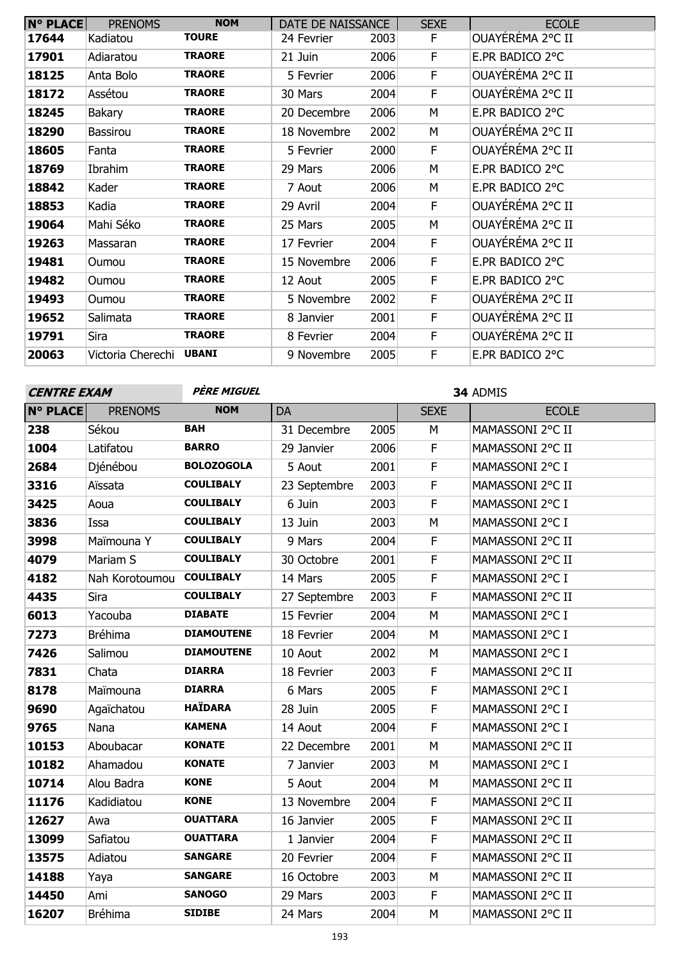| <b>N° PLACE</b> | <b>PRENOMS</b>    | <b>NOM</b>    | DATE DE NAISSANCE |      | <b>SEXE</b> | <b>ECOLE</b>     |
|-----------------|-------------------|---------------|-------------------|------|-------------|------------------|
| 17644           | Kadiatou          | <b>TOURE</b>  | 24 Fevrier        | 2003 | F           | OUAYÉRÉMA 2°C II |
| 17901           | Adiaratou         | <b>TRAORE</b> | 21 Juin           | 2006 | F           | E.PR BADICO 2°C  |
| 18125           | Anta Bolo         | <b>TRAORE</b> | 5 Fevrier         | 2006 | F           | OUAYÉRÉMA 2°C II |
| 18172           | Assétou           | <b>TRAORE</b> | 30 Mars           | 2004 | F           | OUAYÉRÉMA 2°C II |
| 18245           | Bakary            | <b>TRAORE</b> | 20 Decembre       | 2006 | М           | E.PR BADICO 2°C  |
| 18290           | Bassirou          | <b>TRAORE</b> | 18 Novembre       | 2002 | М           | OUAYÉRÉMA 2°C II |
| 18605           | Fanta             | <b>TRAORE</b> | 5 Fevrier         | 2000 | F.          | OUAYEREMA 2°C II |
| 18769           | Ibrahim           | <b>TRAORE</b> | 29 Mars           | 2006 | М           | E.PR BADICO 2°C  |
| 18842           | Kader             | <b>TRAORE</b> | 7 Aout            | 2006 | М           | E.PR BADICO 2°C  |
| 18853           | Kadia             | <b>TRAORE</b> | 29 Avril          | 2004 | F.          | OUAYÉRÉMA 2°C II |
| 19064           | Mahi Séko         | <b>TRAORE</b> | 25 Mars           | 2005 | М           | OUAYÉRÉMA 2°C II |
| 19263           | Massaran          | <b>TRAORE</b> | 17 Fevrier        | 2004 | E           | OUAYÉRÉMA 2°C II |
| 19481           | Oumou             | <b>TRAORE</b> | 15 Novembre       | 2006 | F           | E.PR BADICO 2°C  |
| 19482           | Oumou             | <b>TRAORE</b> | 12 Aout           | 2005 | F           | E.PR BADICO 2°C  |
| 19493           | Oumou             | <b>TRAORE</b> | 5 Novembre        | 2002 | F           | OUAYÉRÉMA 2°C II |
| 19652           | Salimata          | <b>TRAORE</b> | 8 Janvier         | 2001 | F           | OUAYÉRÉMA 2°C II |
| 19791           | Sira              | <b>TRAORE</b> | 8 Fevrier         | 2004 | F           | OUAYÉRÉMA 2°C II |
| 20063           | Victoria Cherechi | <b>UBANI</b>  | 9 Novembre        | 2005 | F           | E.PR BADICO 2°C  |

| <b>CENTRE EXAM</b> |                | PÈRE MIGUEL       | 34 ADMIS     |      |             |                  |  |  |
|--------------------|----------------|-------------------|--------------|------|-------------|------------------|--|--|
| <b>N° PLACE</b>    | <b>PRENOMS</b> | <b>NOM</b>        | <b>DA</b>    |      | <b>SEXE</b> | <b>ECOLE</b>     |  |  |
| 238                | Sékou          | <b>BAH</b>        | 31 Decembre  | 2005 | М           | MAMASSONI 2°C II |  |  |
| 1004               | Latifatou      | <b>BARRO</b>      | 29 Janvier   | 2006 | F           | MAMASSONI 2°C II |  |  |
| 2684               | Djénébou       | <b>BOLOZOGOLA</b> | 5 Aout       | 2001 | F           | MAMASSONI 2°C I  |  |  |
| 3316               | Aïssata        | <b>COULIBALY</b>  | 23 Septembre | 2003 | $\mathsf F$ | MAMASSONI 2°C II |  |  |
| 3425               | Aoua           | <b>COULIBALY</b>  | 6 Juin       | 2003 | F           | MAMASSONI 2°C I  |  |  |
| 3836               | Issa           | <b>COULIBALY</b>  | 13 Juin      | 2003 | M           | MAMASSONI 2°C I  |  |  |
| 3998               | Maïmouna Y     | <b>COULIBALY</b>  | 9 Mars       | 2004 | F           | MAMASSONI 2°C II |  |  |
| 4079               | Mariam S       | <b>COULIBALY</b>  | 30 Octobre   | 2001 | F           | MAMASSONI 2°C II |  |  |
| 4182               | Nah Korotoumou | <b>COULIBALY</b>  | 14 Mars      | 2005 | $\mathsf F$ | MAMASSONI 2°C I  |  |  |
| 4435               | Sira           | <b>COULIBALY</b>  | 27 Septembre | 2003 | $\mathsf F$ | MAMASSONI 2°C II |  |  |
| 6013               | Yacouba        | <b>DIABATE</b>    | 15 Fevrier   | 2004 | M           | MAMASSONI 2°C I  |  |  |
| 7273               | <b>Bréhima</b> | <b>DIAMOUTENE</b> | 18 Fevrier   | 2004 | M           | MAMASSONI 2°C I  |  |  |
| 7426               | Salimou        | <b>DIAMOUTENE</b> | 10 Aout      | 2002 | M           | MAMASSONI 2°C I  |  |  |
| 7831               | Chata          | <b>DIARRA</b>     | 18 Fevrier   | 2003 | F           | MAMASSONI 2°C II |  |  |
| 8178               | Maïmouna       | <b>DIARRA</b>     | 6 Mars       | 2005 | F           | MAMASSONI 2°C I  |  |  |
| 9690               | Agaïchatou     | <b>HAÏDARA</b>    | 28 Juin      | 2005 | $\mathsf F$ | MAMASSONI 2°C I  |  |  |
| 9765               | Nana           | <b>KAMENA</b>     | 14 Aout      | 2004 | F           | MAMASSONI 2°C I  |  |  |
| 10153              | Aboubacar      | <b>KONATE</b>     | 22 Decembre  | 2001 | M           | MAMASSONI 2°C II |  |  |
| 10182              | Ahamadou       | <b>KONATE</b>     | 7 Janvier    | 2003 | M           | MAMASSONI 2°C I  |  |  |
| 10714              | Alou Badra     | <b>KONE</b>       | 5 Aout       | 2004 | М           | MAMASSONI 2°C II |  |  |
| 11176              | Kadidiatou     | <b>KONE</b>       | 13 Novembre  | 2004 | F           | MAMASSONI 2°C II |  |  |
| 12627              | Awa            | <b>OUATTARA</b>   | 16 Janvier   | 2005 | F           | MAMASSONI 2°C II |  |  |
| 13099              | Safiatou       | <b>OUATTARA</b>   | 1 Janvier    | 2004 | $\mathsf F$ | MAMASSONI 2°C II |  |  |
| 13575              | Adiatou        | <b>SANGARE</b>    | 20 Fevrier   | 2004 | F           | MAMASSONI 2°C II |  |  |
| 14188              | Yaya           | <b>SANGARE</b>    | 16 Octobre   | 2003 | M           | MAMASSONI 2°C II |  |  |
| 14450              | Ami            | <b>SANOGO</b>     | 29 Mars      | 2003 | F           | MAMASSONI 2°C II |  |  |
| 16207              | <b>Bréhima</b> | <b>SIDIBE</b>     | 24 Mars      | 2004 | M           | MAMASSONI 2°C II |  |  |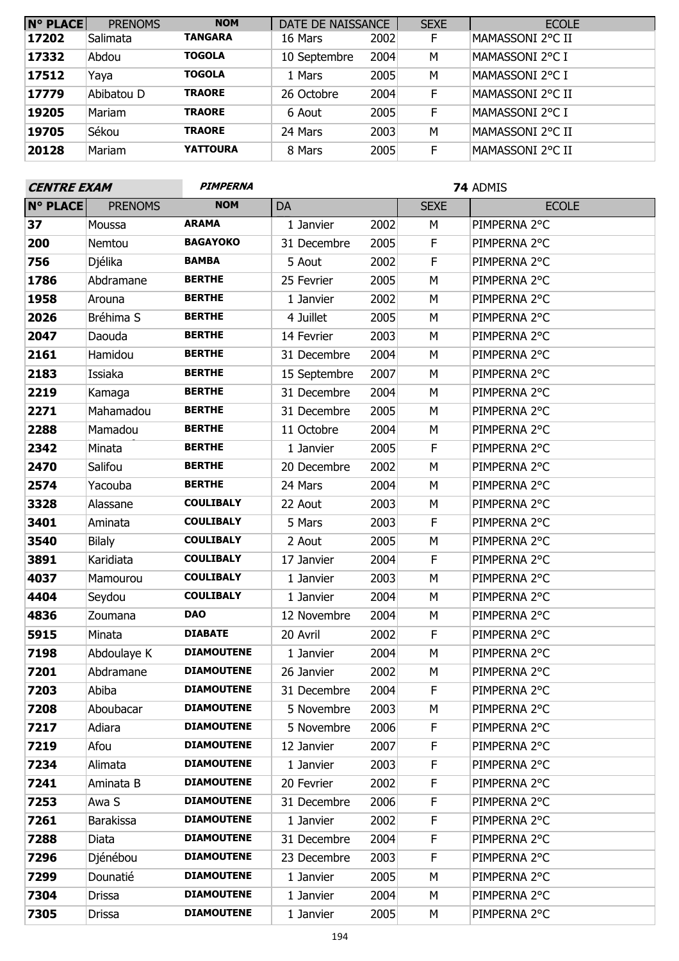| N° PLACE | <b>PRENOMS</b> | <b>NOM</b>      | DATE DE NAISSANCE |      | <b>SEXE</b> | <b>ECOLE</b>     |
|----------|----------------|-----------------|-------------------|------|-------------|------------------|
| 17202    | Salimata       | <b>TANGARA</b>  | 16 Mars           | 2002 | F           | MAMASSONI 2°C II |
| 17332    | Abdou          | <b>TOGOLA</b>   | 10 Septembre      | 2004 | M           | MAMASSONI 2°C I  |
| 17512    | Yaya           | <b>TOGOLA</b>   | 1 Mars            | 2005 | M           | MAMASSONI 2°C I  |
| 17779    | Abibatou D     | <b>TRAORE</b>   | 26 Octobre        | 2004 | F           | MAMASSONI 2°C II |
| 19205    | Mariam         | <b>TRAORE</b>   | 6 Aout            | 2005 | F           | MAMASSONI 2°C I  |
| 19705    | Sékou          | <b>TRAORE</b>   | 24 Mars           | 2003 | M           | MAMASSONI 2°C II |
| 20128    | Mariam         | <b>YATTOURA</b> | 8 Mars            | 2005 | F           | MAMASSONI 2°C II |

| <b>CENTRE EXAM</b> |                  | <b>PIMPERNA</b>   |              |      | 74 ADMIS    |              |
|--------------------|------------------|-------------------|--------------|------|-------------|--------------|
| <b>N° PLACE</b>    | <b>PRENOMS</b>   | <b>NOM</b>        | DA           |      | <b>SEXE</b> | <b>ECOLE</b> |
| 37                 | Moussa           | <b>ARAMA</b>      | 1 Janvier    | 2002 | M           | PIMPERNA 2°C |
| 200                | Nemtou           | <b>BAGAYOKO</b>   | 31 Decembre  | 2005 | $\mathsf F$ | PIMPERNA 2°C |
| 756                | Djélika          | <b>BAMBA</b>      | 5 Aout       | 2002 | F           | PIMPERNA 2°C |
| 1786               | Abdramane        | <b>BERTHE</b>     | 25 Fevrier   | 2005 | M           | PIMPERNA 2°C |
| 1958               | Arouna           | <b>BERTHE</b>     | 1 Janvier    | 2002 | M           | PIMPERNA 2°C |
| 2026               | Bréhima S        | <b>BERTHE</b>     | 4 Juillet    | 2005 | M           | PIMPERNA 2°C |
| 2047               | Daouda           | <b>BERTHE</b>     | 14 Fevrier   | 2003 | M           | PIMPERNA 2°C |
| 2161               | Hamidou          | <b>BERTHE</b>     | 31 Decembre  | 2004 | M           | PIMPERNA 2°C |
| 2183               | Issiaka          | <b>BERTHE</b>     | 15 Septembre | 2007 | M           | PIMPERNA 2°C |
| 2219               | Kamaga           | <b>BERTHE</b>     | 31 Decembre  | 2004 | M           | PIMPERNA 2°C |
| 2271               | Mahamadou        | <b>BERTHE</b>     | 31 Decembre  | 2005 | M           | PIMPERNA 2°C |
| 2288               | Mamadou          | <b>BERTHE</b>     | 11 Octobre   | 2004 | M           | PIMPERNA 2°C |
| 2342               | Minata           | <b>BERTHE</b>     | 1 Janvier    | 2005 | $\mathsf F$ | PIMPERNA 2°C |
| 2470               | Salifou          | <b>BERTHE</b>     | 20 Decembre  | 2002 | M           | PIMPERNA 2°C |
| 2574               | Yacouba          | <b>BERTHE</b>     | 24 Mars      | 2004 | M           | PIMPERNA 2°C |
| 3328               | Alassane         | <b>COULIBALY</b>  | 22 Aout      | 2003 | M           | PIMPERNA 2°C |
| 3401               | Aminata          | <b>COULIBALY</b>  | 5 Mars       | 2003 | $\mathsf F$ | PIMPERNA 2°C |
| 3540               | <b>Bilaly</b>    | <b>COULIBALY</b>  | 2 Aout       | 2005 | M           | PIMPERNA 2°C |
| 3891               | Karidiata        | <b>COULIBALY</b>  | 17 Janvier   | 2004 | F           | PIMPERNA 2°C |
| 4037               | Mamourou         | <b>COULIBALY</b>  | 1 Janvier    | 2003 | M           | PIMPERNA 2°C |
| 4404               | Seydou           | <b>COULIBALY</b>  | 1 Janvier    | 2004 | M           | PIMPERNA 2°C |
| 4836               | Zoumana          | <b>DAO</b>        | 12 Novembre  | 2004 | M           | PIMPERNA 2°C |
| 5915               | Minata           | <b>DIABATE</b>    | 20 Avril     | 2002 | $\mathsf F$ | PIMPERNA 2°C |
| 7198               | Abdoulaye K      | <b>DIAMOUTENE</b> | 1 Janvier    | 2004 | M           | PIMPERNA 2°C |
| 7201               | Abdramane        | <b>DIAMOUTENE</b> | 26 Janvier   | 2002 | M           | PIMPERNA 2°C |
| 7203               | Abiba            | <b>DIAMOUTENE</b> | 31 Decembre  | 2004 | F           | PIMPERNA 2°C |
| 7208               | Aboubacar        | <b>DIAMOUTENE</b> | 5 Novembre   | 2003 | М           | PIMPERNA 2°C |
| 7217               | Adiara           | <b>DIAMOUTENE</b> | 5 Novembre   | 2006 | F.          | PIMPERNA 2°C |
| 7219               | Afou             | <b>DIAMOUTENE</b> | 12 Janvier   | 2007 | F           | PIMPERNA 2°C |
| 7234               | Alimata          | <b>DIAMOUTENE</b> | 1 Janvier    | 2003 | F           | PIMPERNA 2°C |
| 7241               | Aminata B        | <b>DIAMOUTENE</b> | 20 Fevrier   | 2002 | F           | PIMPERNA 2°C |
| 7253               | Awa S            | <b>DIAMOUTENE</b> | 31 Decembre  | 2006 | F           | PIMPERNA 2°C |
| 7261               | <b>Barakissa</b> | <b>DIAMOUTENE</b> | 1 Janvier    | 2002 | F           | PIMPERNA 2°C |
| 7288               | Diata            | <b>DIAMOUTENE</b> | 31 Decembre  | 2004 | $\mathsf F$ | PIMPERNA 2°C |
| 7296               | Djénébou         | <b>DIAMOUTENE</b> | 23 Decembre  | 2003 | F           | PIMPERNA 2°C |
| 7299               | Dounatié         | <b>DIAMOUTENE</b> | 1 Janvier    | 2005 | M           | PIMPERNA 2°C |
| 7304               | Drissa           | <b>DIAMOUTENE</b> | 1 Janvier    | 2004 | M           | PIMPERNA 2°C |
| 7305               | <b>Drissa</b>    | <b>DIAMOUTENE</b> | 1 Janvier    | 2005 | М           | PIMPERNA 2°C |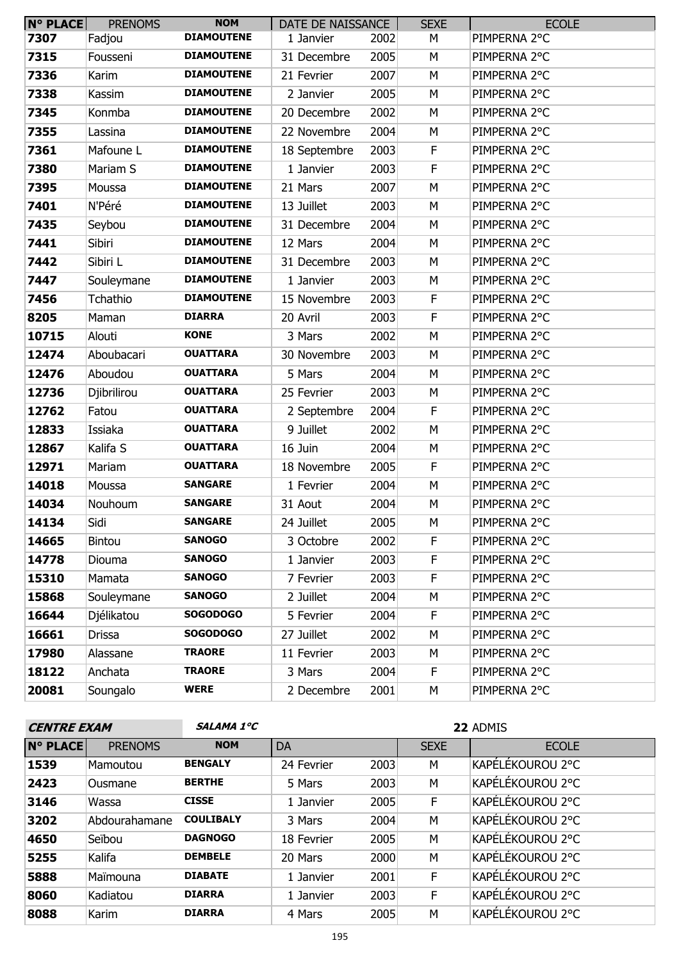| $N^{\circ}$ PLACE | <b>PRENOMS</b> | <b>NOM</b>        | DATE DE NAISSANCE |      | <b>SEXE</b> | <b>ECOLE</b> |
|-------------------|----------------|-------------------|-------------------|------|-------------|--------------|
| 7307              | Fadjou         | <b>DIAMOUTENE</b> | 1 Janvier         | 2002 | М           | PIMPERNA 2°C |
| 7315              | Fousseni       | <b>DIAMOUTENE</b> | 31 Decembre       | 2005 | М           | PIMPERNA 2°C |
| 7336              | Karim          | <b>DIAMOUTENE</b> | 21 Fevrier        | 2007 | M           | PIMPERNA 2°C |
| 7338              | Kassim         | <b>DIAMOUTENE</b> | 2 Janvier         | 2005 | M           | PIMPERNA 2°C |
| 7345              | Konmba         | <b>DIAMOUTENE</b> | 20 Decembre       | 2002 | M           | PIMPERNA 2°C |
| 7355              | Lassina        | <b>DIAMOUTENE</b> | 22 Novembre       | 2004 | M           | PIMPERNA 2°C |
| 7361              | Mafoune L      | <b>DIAMOUTENE</b> | 18 Septembre      | 2003 | F           | PIMPERNA 2°C |
| 7380              | Mariam S       | <b>DIAMOUTENE</b> | 1 Janvier         | 2003 | $\mathsf F$ | PIMPERNA 2°C |
| 7395              | Moussa         | <b>DIAMOUTENE</b> | 21 Mars           | 2007 | М           | PIMPERNA 2°C |
| 7401              | N'Péré         | <b>DIAMOUTENE</b> | 13 Juillet        | 2003 | M           | PIMPERNA 2°C |
| 7435              | Seybou         | <b>DIAMOUTENE</b> | 31 Decembre       | 2004 | M           | PIMPERNA 2°C |
| 7441              | Sibiri         | <b>DIAMOUTENE</b> | 12 Mars           | 2004 | M           | PIMPERNA 2°C |
| 7442              | Sibiri L       | <b>DIAMOUTENE</b> | 31 Decembre       | 2003 | M           | PIMPERNA 2°C |
| 7447              | Souleymane     | <b>DIAMOUTENE</b> | 1 Janvier         | 2003 | M           | PIMPERNA 2°C |
| 7456              | Tchathio       | <b>DIAMOUTENE</b> | 15 Novembre       | 2003 | F           | PIMPERNA 2°C |
| 8205              | Maman          | <b>DIARRA</b>     | 20 Avril          | 2003 | F           | PIMPERNA 2°C |
| 10715             | Alouti         | <b>KONE</b>       | 3 Mars            | 2002 | M           | PIMPERNA 2°C |
| 12474             | Aboubacari     | <b>OUATTARA</b>   | 30 Novembre       | 2003 | M           | PIMPERNA 2°C |
| 12476             | Aboudou        | <b>OUATTARA</b>   | 5 Mars            | 2004 | M           | PIMPERNA 2°C |
| 12736             | Djibrilirou    | <b>OUATTARA</b>   | 25 Fevrier        | 2003 | М           | PIMPERNA 2°C |
| 12762             | Fatou          | <b>OUATTARA</b>   | 2 Septembre       | 2004 | $\mathsf F$ | PIMPERNA 2°C |
| 12833             | Issiaka        | <b>OUATTARA</b>   | 9 Juillet         | 2002 | M           | PIMPERNA 2°C |
| 12867             | Kalifa S       | <b>OUATTARA</b>   | 16 Juin           | 2004 | М           | PIMPERNA 2°C |
| 12971             | Mariam         | <b>OUATTARA</b>   | 18 Novembre       | 2005 | F           | PIMPERNA 2°C |
| 14018             | Moussa         | <b>SANGARE</b>    | 1 Fevrier         | 2004 | M           | PIMPERNA 2°C |
| 14034             | Nouhoum        | <b>SANGARE</b>    | 31 Aout           | 2004 | M           | PIMPERNA 2°C |
| 14134             | Sidi           | <b>SANGARE</b>    | 24 Juillet        | 2005 | М           | PIMPERNA 2°C |
| 14665             | Bintou         | <b>SANOGO</b>     | 3 Octobre         | 2002 | F           | PIMPERNA 2°C |
| 14778             | Diouma         | <b>SANOGO</b>     | 1 Janvier         | 2003 | F           | PIMPERNA 2°C |
| 15310             | Mamata         | <b>SANOGO</b>     | 7 Fevrier         | 2003 | F           | PIMPERNA 2°C |
| 15868             | Souleymane     | <b>SANOGO</b>     | 2 Juillet         | 2004 | М           | PIMPERNA 2°C |
| 16644             | Djélikatou     | <b>SOGODOGO</b>   | 5 Fevrier         | 2004 | F.          | PIMPERNA 2°C |
| 16661             | Drissa         | <b>SOGODOGO</b>   | 27 Juillet        | 2002 | М           | PIMPERNA 2°C |
| 17980             | Alassane       | <b>TRAORE</b>     | 11 Fevrier        | 2003 | М           | PIMPERNA 2°C |
| 18122             | Anchata        | <b>TRAORE</b>     | 3 Mars            | 2004 | F           | PIMPERNA 2°C |
| 20081             | Soungalo       | <b>WERE</b>       | 2 Decembre        | 2001 | М           | PIMPERNA 2°C |

| <b>CENTRE EXAM</b> |                | <b>SALAMA 1°C</b> | 22 ADMIS   |      |             |                  |
|--------------------|----------------|-------------------|------------|------|-------------|------------------|
| <b>N° PLACE</b>    | <b>PRENOMS</b> | <b>NOM</b>        | DA         |      | <b>SEXE</b> | <b>ECOLE</b>     |
| 1539               | Mamoutou       | <b>BENGALY</b>    | 24 Fevrier | 2003 | М           | KAPÉLÉKOUROU 2°C |
| 2423               | Ousmane        | <b>BERTHE</b>     | 5 Mars     | 2003 | M           | KAPÉLÉKOUROU 2°C |
| 3146               | Wassa          | <b>CISSE</b>      | 1 Janvier  | 2005 | F           | KAPÉLÉKOUROU 2°C |
| 3202               | Abdourahamane  | <b>COULIBALY</b>  | 3 Mars     | 2004 | M           | KAPÉLÉKOUROU 2°C |
| 4650               | Seïbou         | <b>DAGNOGO</b>    | 18 Fevrier | 2005 | M           | KAPÉLÉKOUROU 2°C |
| 5255               | Kalifa         | <b>DEMBELE</b>    | 20 Mars    | 2000 | M           | KAPÉLÉKOUROU 2°C |
| 5888               | Maïmouna       | <b>DIABATE</b>    | 1 Janvier  | 2001 | F           | KAPÉLÉKOUROU 2°C |
| 8060               | Kadiatou       | <b>DIARRA</b>     | 1 Janvier  | 2003 | F           | KAPÉLÉKOUROU 2°C |
| 8088               | Karim          | <b>DIARRA</b>     | 4 Mars     | 2005 | М           | KAPÉLÉKOUROU 2°C |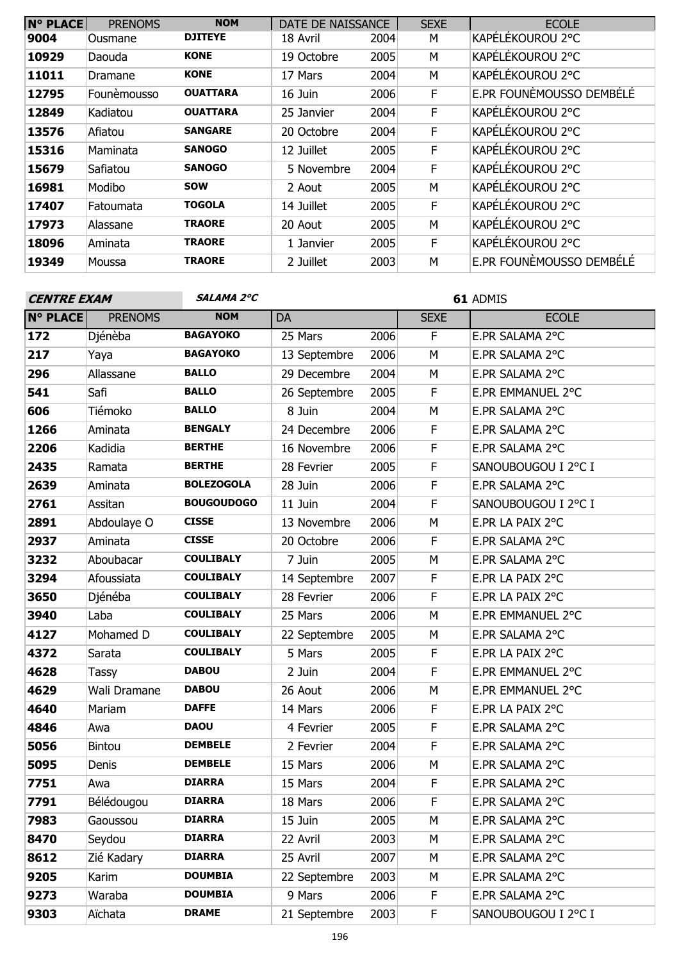| <b>N° PLACE</b> | <b>PRENOMS</b> | <b>NOM</b>      | DATE DE NAISSANCE |      | <b>SEXE</b> | <b>ECOLE</b>             |
|-----------------|----------------|-----------------|-------------------|------|-------------|--------------------------|
| 9004            | Ousmane        | <b>DJITEYE</b>  | 18 Avril          | 2004 | М           | KAPÉLÉKOUROU 2°C         |
| 10929           | Daouda         | <b>KONE</b>     | 19 Octobre        | 2005 | M           | KAPELEKOUROU 2°C         |
| 11011           | Dramane        | <b>KONE</b>     | 17 Mars           | 2004 | M           | KAPÉLÉKOUROU 2°C         |
| 12795           | Founèmousso    | <b>OUATTARA</b> | 16 Juin           | 2006 | F           | E.PR FOUNÈMOUSSO DEMBÉLÉ |
| 12849           | Kadiatou       | <b>OUATTARA</b> | 25 Janvier        | 2004 | F           | KAPÉLÉKOUROU 2°C         |
| 13576           | Afiatou        | <b>SANGARE</b>  | 20 Octobre        | 2004 | F           | KAPÉLÉKOUROU 2°C         |
| 15316           | Maminata       | <b>SANOGO</b>   | 12 Juillet        | 2005 | F           | KAPELEKOUROU 2°C         |
| 15679           | Safiatou       | <b>SANOGO</b>   | 5 Novembre        | 2004 | F           | KAPÉLÉKOUROU 2°C         |
| 16981           | Modibo         | <b>SOW</b>      | 2 Aout            | 2005 | M           | KAPÉLÉKOUROU 2°C         |
| 17407           | Fatoumata      | <b>TOGOLA</b>   | 14 Juillet        | 2005 | F           | KAPÉLÉKOUROU 2°C         |
| 17973           | Alassane       | <b>TRAORE</b>   | 20 Aout           | 2005 | M           | KAPÉLÉKOUROU 2°C         |
| 18096           | Aminata        | <b>TRAORE</b>   | 1 Janvier         | 2005 | F           | KAPÉLÉKOUROU 2°C         |
| 19349           | Moussa         | <b>TRAORE</b>   | 2 Juillet         | 2003 | M           | E.PR FOUNEMOUSSO DEMBÉLÉ |
|                 |                |                 |                   |      |             |                          |

| <b>CENTRE EXAM</b> |                | SALAMA 2°C        | 61 ADMIS     |      |             |                     |  |
|--------------------|----------------|-------------------|--------------|------|-------------|---------------------|--|
| <b>N° PLACE</b>    | <b>PRENOMS</b> | <b>NOM</b>        | DA           |      | <b>SEXE</b> | <b>ECOLE</b>        |  |
| 172                | Djénèba        | <b>BAGAYOKO</b>   | 25 Mars      | 2006 | F.          | E.PR SALAMA 2°C     |  |
| 217                | Yaya           | <b>BAGAYOKO</b>   | 13 Septembre | 2006 | M           | E.PR SALAMA 2°C     |  |
| 296                | Allassane      | <b>BALLO</b>      | 29 Decembre  | 2004 | M           | E.PR SALAMA 2°C     |  |
| 541                | Safi           | <b>BALLO</b>      | 26 Septembre | 2005 | F           | E.PR EMMANUEL 2°C   |  |
| 606                | Tiémoko        | <b>BALLO</b>      | 8 Juin       | 2004 | M           | E.PR SALAMA 2°C     |  |
| 1266               | Aminata        | <b>BENGALY</b>    | 24 Decembre  | 2006 | F           | E.PR SALAMA 2°C     |  |
| 2206               | Kadidia        | <b>BERTHE</b>     | 16 Novembre  | 2006 | F           | E.PR SALAMA 2°C     |  |
| 2435               | Ramata         | <b>BERTHE</b>     | 28 Fevrier   | 2005 | F           | SANOUBOUGOU I 2°C I |  |
| 2639               | Aminata        | <b>BOLEZOGOLA</b> | 28 Juin      | 2006 | F           | E.PR SALAMA 2°C     |  |
| 2761               | Assitan        | <b>BOUGOUDOGO</b> | 11 Juin      | 2004 | F           | SANOUBOUGOU I 2°C I |  |
| 2891               | Abdoulaye O    | <b>CISSE</b>      | 13 Novembre  | 2006 | M           | E.PR LA PAIX 2°C    |  |
| 2937               | Aminata        | <b>CISSE</b>      | 20 Octobre   | 2006 | F           | E.PR SALAMA 2°C     |  |
| 3232               | Aboubacar      | <b>COULIBALY</b>  | 7 Juin       | 2005 | M           | E.PR SALAMA 2°C     |  |
| 3294               | Afoussiata     | <b>COULIBALY</b>  | 14 Septembre | 2007 | F           | E.PR LA PAIX 2°C    |  |
| 3650               | Djénéba        | <b>COULIBALY</b>  | 28 Fevrier   | 2006 | F           | E.PR LA PAIX 2°C    |  |
| 3940               | Laba           | <b>COULIBALY</b>  | 25 Mars      | 2006 | M           | E.PR EMMANUEL 2°C   |  |
| 4127               | Mohamed D      | <b>COULIBALY</b>  | 22 Septembre | 2005 | M           | E.PR SALAMA 2°C     |  |
| 4372               | Sarata         | <b>COULIBALY</b>  | 5 Mars       | 2005 | F           | E.PR LA PAIX 2°C    |  |
| 4628               | Tassy          | <b>DABOU</b>      | 2 Juin       | 2004 | F           | E.PR EMMANUEL 2°C   |  |
| 4629               | Wali Dramane   | <b>DABOU</b>      | 26 Aout      | 2006 | M           | E.PR EMMANUEL 2°C   |  |
| 4640               | Mariam         | <b>DAFFE</b>      | 14 Mars      | 2006 | F           | E.PR LA PAIX 2°C    |  |
| 4846               | Awa            | <b>DAOU</b>       | 4 Fevrier    | 2005 | F           | E.PR SALAMA 2°C     |  |
| 5056               | <b>Bintou</b>  | <b>DEMBELE</b>    | 2 Fevrier    | 2004 | F           | E.PR SALAMA 2°C     |  |
| 5095               | Denis          | <b>DEMBELE</b>    | 15 Mars      | 2006 | M           | E.PR SALAMA 2°C     |  |
| 7751               | Awa            | <b>DIARRA</b>     | 15 Mars      | 2004 | F           | E.PR SALAMA 2°C     |  |
| 7791               | Bélédougou     | <b>DIARRA</b>     | 18 Mars      | 2006 | F           | E.PR SALAMA 2°C     |  |
| 7983               | Gaoussou       | <b>DIARRA</b>     | 15 Juin      | 2005 | M           | E.PR SALAMA 2°C     |  |
| 8470               | Seydou         | <b>DIARRA</b>     | 22 Avril     | 2003 | М           | E.PR SALAMA 2°C     |  |
| 8612               | Zié Kadary     | <b>DIARRA</b>     | 25 Avril     | 2007 | М           | E.PR SALAMA 2°C     |  |
| 9205               | Karim          | <b>DOUMBIA</b>    | 22 Septembre | 2003 | М           | E.PR SALAMA 2°C     |  |
| 9273               | Waraba         | <b>DOUMBIA</b>    | 9 Mars       | 2006 | F           | E.PR SALAMA 2°C     |  |
| 9303               | Aïchata        | <b>DRAME</b>      | 21 Septembre | 2003 | F           | SANOUBOUGOU I 2°C I |  |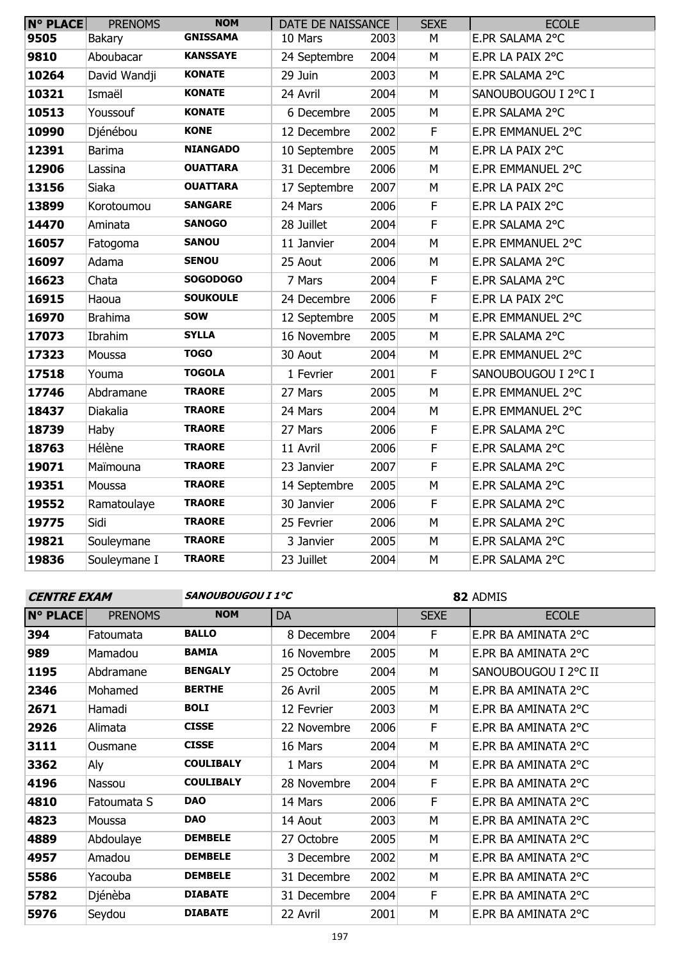| $N^{\circ}$ PLACE | <b>PRENOMS</b> | <b>NOM</b>      | DATE DE NAISSANCE |      | <b>SEXE</b>             | <b>ECOLE</b>        |
|-------------------|----------------|-----------------|-------------------|------|-------------------------|---------------------|
| 9505              | <b>Bakary</b>  | <b>GNISSAMA</b> | 10 Mars           | 2003 | M                       | E.PR SALAMA 2°C     |
| 9810              | Aboubacar      | <b>KANSSAYE</b> | 24 Septembre      | 2004 | M                       | E.PR LA PAIX 2°C    |
| 10264             | David Wandji   | <b>KONATE</b>   | 29 Juin           | 2003 | M                       | E.PR SALAMA 2°C     |
| 10321             | Ismaël         | <b>KONATE</b>   | 24 Avril          | 2004 | M                       | SANOUBOUGOU I 2°C I |
| 10513             | Youssouf       | <b>KONATE</b>   | 6 Decembre        | 2005 | M                       | E.PR SALAMA 2°C     |
| 10990             | Djénébou       | <b>KONE</b>     | 12 Decembre       | 2002 | $\overline{F}$          | E.PR EMMANUEL 2°C   |
| 12391             | <b>Barima</b>  | <b>NIANGADO</b> | 10 Septembre      | 2005 | M                       | E.PR LA PAIX 2°C    |
| 12906             | Lassina        | <b>OUATTARA</b> | 31 Decembre       | 2006 | M                       | E.PR EMMANUEL 2°C   |
| 13156             | Siaka          | <b>OUATTARA</b> | 17 Septembre      | 2007 | M                       | E.PR LA PAIX 2°C    |
| 13899             | Korotoumou     | <b>SANGARE</b>  | 24 Mars           | 2006 | F                       | E.PR LA PAIX 2°C    |
| 14470             | Aminata        | <b>SANOGO</b>   | 28 Juillet        | 2004 | F                       | E.PR SALAMA 2°C     |
| 16057             | Fatogoma       | <b>SANOU</b>    | 11 Janvier        | 2004 | M                       | E.PR EMMANUEL 2°C   |
| 16097             | Adama          | <b>SENOU</b>    | 25 Aout           | 2006 | M                       | E.PR SALAMA 2°C     |
| 16623             | Chata          | <b>SOGODOGO</b> | 7 Mars            | 2004 | F                       | E.PR SALAMA 2°C     |
| 16915             | Haoua          | <b>SOUKOULE</b> | 24 Decembre       | 2006 | F                       | E.PR LA PAIX 2°C    |
| 16970             | <b>Brahima</b> | <b>SOW</b>      | 12 Septembre      | 2005 | M                       | E.PR EMMANUEL 2°C   |
| 17073             | Ibrahim        | <b>SYLLA</b>    | 16 Novembre       | 2005 | M                       | E.PR SALAMA 2°C     |
| 17323             | Moussa         | <b>TOGO</b>     | 30 Aout           | 2004 | M                       | E.PR EMMANUEL 2°C   |
| 17518             | Youma          | <b>TOGOLA</b>   | 1 Fevrier         | 2001 | $\overline{\mathsf{F}}$ | SANOUBOUGOU I 2°C I |
| 17746             | Abdramane      | <b>TRAORE</b>   | 27 Mars           | 2005 | M                       | E.PR EMMANUEL 2°C   |
| 18437             | Diakalia       | <b>TRAORE</b>   | 24 Mars           | 2004 | M                       | E.PR EMMANUEL 2°C   |
| 18739             | Haby           | <b>TRAORE</b>   | 27 Mars           | 2006 | F                       | E.PR SALAMA 2°C     |
| 18763             | Hélène         | <b>TRAORE</b>   | 11 Avril          | 2006 | F                       | E.PR SALAMA 2°C     |
| 19071             | Maïmouna       | <b>TRAORE</b>   | 23 Janvier        | 2007 | F                       | E.PR SALAMA 2°C     |
| 19351             | Moussa         | <b>TRAORE</b>   | 14 Septembre      | 2005 | M                       | E.PR SALAMA 2°C     |
| 19552             | Ramatoulaye    | <b>TRAORE</b>   | 30 Janvier        | 2006 | F                       | E.PR SALAMA 2°C     |
| 19775             | Sidi           | <b>TRAORE</b>   | 25 Fevrier        | 2006 | M                       | E.PR SALAMA 2°C     |
| 19821             | Souleymane     | <b>TRAORE</b>   | 3 Janvier         | 2005 | M                       | E.PR SALAMA 2°C     |
| 19836             | Souleymane I   | <b>TRAORE</b>   | 23 Juillet        | 2004 | M                       | E.PR SALAMA 2°C     |
|                   |                |                 |                   |      |                         |                     |

**CENTRE EXAM SANOUBOUGOU I 1°C**

ADMIS

| <b>N° PLACE</b> | <b>PRENOMS</b> | <b>NOM</b>       | DA          |      | <b>SEXE</b> | <b>ECOLE</b>         |
|-----------------|----------------|------------------|-------------|------|-------------|----------------------|
| 394             | Fatoumata      | <b>BALLO</b>     | 8 Decembre  | 2004 | F           | E.PR BA AMINATA 2°C  |
| 989             | Mamadou        | <b>BAMIA</b>     | 16 Novembre | 2005 | M           | E.PR BA AMINATA 2°C  |
| 1195            | Abdramane      | <b>BENGALY</b>   | 25 Octobre  | 2004 | M           | SANOUBOUGOU I 2°C II |
| 2346            | Mohamed        | <b>BERTHE</b>    | 26 Avril    | 2005 | M           | E.PR BA AMINATA 2°C  |
| 2671            | Hamadi         | <b>BOLI</b>      | 12 Fevrier  | 2003 | M           | E.PR BA AMINATA 2°C  |
| 2926            | Alimata        | <b>CISSE</b>     | 22 Novembre | 2006 | F           | E.PR BA AMINATA 2°C  |
| 3111            | Ousmane        | <b>CISSE</b>     | 16 Mars     | 2004 | M           | E.PR BA AMINATA 2°C  |
| 3362            | Aly            | <b>COULIBALY</b> | 1 Mars      | 2004 | M           | E.PR BA AMINATA 2°C  |
| 4196            | Nassou         | <b>COULIBALY</b> | 28 Novembre | 2004 | F           | E.PR BA AMINATA 2°C  |
| 4810            | Fatoumata S    | <b>DAO</b>       | 14 Mars     | 2006 | F           | E.PR BA AMINATA 2°C  |
| 4823            | Moussa         | <b>DAO</b>       | 14 Aout     | 2003 | M           | E.PR BA AMINATA 2°C  |
| 4889            | Abdoulaye      | <b>DEMBELE</b>   | 27 Octobre  | 2005 | M           | E.PR BA AMINATA 2°C  |
| 4957            | Amadou         | <b>DEMBELE</b>   | 3 Decembre  | 2002 | M           | E.PR BA AMINATA 2°C  |
| 5586            | Yacouba        | <b>DEMBELE</b>   | 31 Decembre | 2002 | M           | E.PR BA AMINATA 2°C  |
| 5782            | Djénèba        | <b>DIABATE</b>   | 31 Decembre | 2004 | F           | E.PR BA AMINATA 2°C  |
| 5976            | Seydou         | <b>DIABATE</b>   | 22 Avril    | 2001 | M           | E.PR BA AMINATA 2°C  |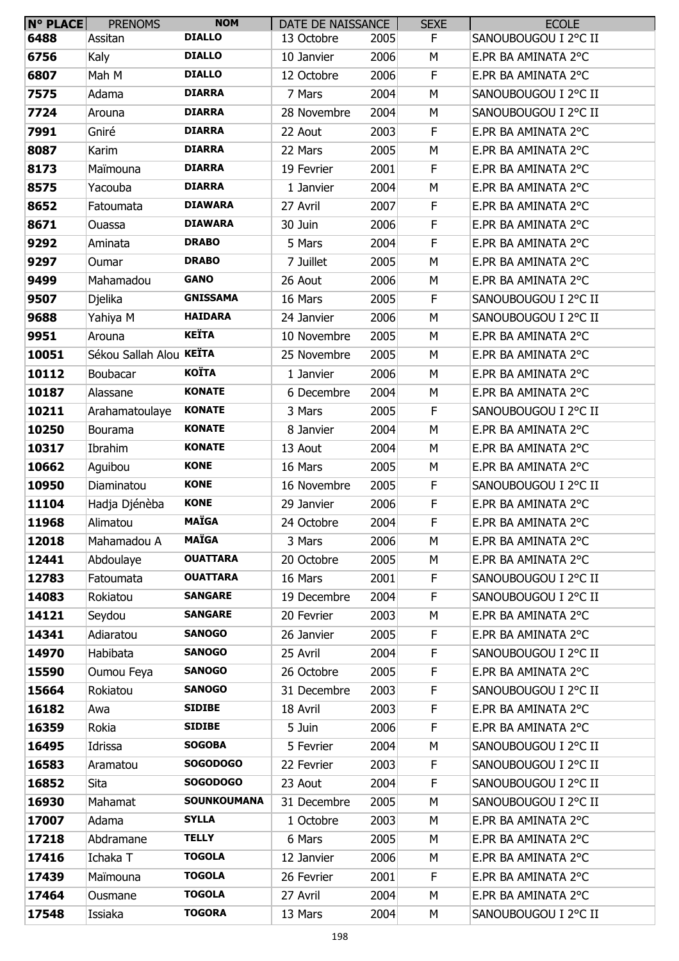| N° PLACE | <b>PRENOMS</b>          | <b>NOM</b>         | DATE DE NAISSANCE |      | <b>SEXE</b> | <b>ECOLE</b>         |
|----------|-------------------------|--------------------|-------------------|------|-------------|----------------------|
| 6488     | Assitan                 | <b>DIALLO</b>      | 13 Octobre        | 2005 | F.          | SANOUBOUGOU I 2°C II |
| 6756     | Kaly                    | <b>DIALLO</b>      | 10 Janvier        | 2006 | М           | E.PR BA AMINATA 2°C  |
| 6807     | Mah M                   | <b>DIALLO</b>      | 12 Octobre        | 2006 | F           | E.PR BA AMINATA 2°C  |
| 7575     | Adama                   | <b>DIARRA</b>      | 7 Mars            | 2004 | М           | SANOUBOUGOU I 2°C II |
| 7724     | Arouna                  | <b>DIARRA</b>      | 28 Novembre       | 2004 | М           | SANOUBOUGOU I 2°C II |
| 7991     | Gniré                   | <b>DIARRA</b>      | 22 Aout           | 2003 | F           | E.PR BA AMINATA 2°C  |
| 8087     | Karim                   | <b>DIARRA</b>      | 22 Mars           | 2005 | М           | E.PR BA AMINATA 2°C  |
| 8173     | Maïmouna                | <b>DIARRA</b>      | 19 Fevrier        | 2001 | F           | E.PR BA AMINATA 2°C  |
| 8575     | Yacouba                 | <b>DIARRA</b>      | 1 Janvier         | 2004 | М           | E.PR BA AMINATA 2°C  |
| 8652     | Fatoumata               | <b>DIAWARA</b>     | 27 Avril          | 2007 | F           | E.PR BA AMINATA 2°C  |
| 8671     | Ouassa                  | <b>DIAWARA</b>     | 30 Juin           | 2006 | F           | E.PR BA AMINATA 2°C  |
| 9292     | Aminata                 | <b>DRABO</b>       | 5 Mars            | 2004 | F           | E.PR BA AMINATA 2°C  |
| 9297     | Oumar                   | <b>DRABO</b>       | 7 Juillet         | 2005 | M           | E.PR BA AMINATA 2°C  |
| 9499     | Mahamadou               | <b>GANO</b>        | 26 Aout           | 2006 | M           | E.PR BA AMINATA 2°C  |
| 9507     | Djelika                 | <b>GNISSAMA</b>    | 16 Mars           | 2005 | F           | SANOUBOUGOU I 2°C II |
| 9688     | Yahiya M                | <b>HAIDARA</b>     | 24 Janvier        | 2006 | М           | SANOUBOUGOU I 2°C II |
| 9951     | Arouna                  | <b>KEÏTA</b>       | 10 Novembre       | 2005 | M           | E.PR BA AMINATA 2°C  |
| 10051    | Sékou Sallah Alou KEÏTA |                    | 25 Novembre       | 2005 | M           | E.PR BA AMINATA 2°C  |
| 10112    | Boubacar                | <b>KOÏTA</b>       | 1 Janvier         | 2006 | М           | E.PR BA AMINATA 2°C  |
| 10187    | Alassane                | <b>KONATE</b>      | 6 Decembre        | 2004 | М           | E.PR BA AMINATA 2°C  |
| 10211    | Arahamatoulaye          | <b>KONATE</b>      | 3 Mars            | 2005 | F           | SANOUBOUGOU I 2°C II |
| 10250    | Bourama                 | <b>KONATE</b>      | 8 Janvier         | 2004 | М           | E.PR BA AMINATA 2°C  |
| 10317    | Ibrahim                 | <b>KONATE</b>      | 13 Aout           | 2004 | М           | E.PR BA AMINATA 2°C  |
| 10662    | Aguibou                 | <b>KONE</b>        | 16 Mars           | 2005 | М           | E.PR BA AMINATA 2°C  |
| 10950    | Diaminatou              | <b>KONE</b>        | 16 Novembre       | 2005 | F           | SANOUBOUGOU I 2°C II |
| 11104    | Hadja Djénèba           | <b>KONE</b>        | 29 Janvier        | 2006 | F           | E.PR BA AMINATA 2°C  |
| 11968    | Alimatou                | <b>MAÏGA</b>       | 24 Octobre        | 2004 | F           | E.PR BA AMINATA 2°C  |
| 12018    | Mahamadou A             | <b>MAÏGA</b>       | 3 Mars            | 2006 | М           | E.PR BA AMINATA 2°C  |
| 12441    | Abdoulaye               | <b>OUATTARA</b>    | 20 Octobre        | 2005 | М           | E.PR BA AMINATA 2°C  |
| 12783    | Fatoumata               | <b>OUATTARA</b>    | 16 Mars           | 2001 | F           | SANOUBOUGOU I 2°C II |
| 14083    | Rokiatou                | <b>SANGARE</b>     | 19 Decembre       | 2004 | F           | SANOUBOUGOU I 2°C II |
| 14121    | Seydou                  | <b>SANGARE</b>     | 20 Fevrier        | 2003 | M           | E.PR BA AMINATA 2°C  |
| 14341    | Adiaratou               | <b>SANOGO</b>      | 26 Janvier        | 2005 | F           | E.PR BA AMINATA 2°C  |
| 14970    | Habibata                | <b>SANOGO</b>      | 25 Avril          | 2004 | F           | SANOUBOUGOU I 2°C II |
| 15590    | Oumou Feya              | <b>SANOGO</b>      | 26 Octobre        | 2005 | F           | E.PR BA AMINATA 2°C  |
| 15664    | Rokiatou                | <b>SANOGO</b>      | 31 Decembre       | 2003 | F           | SANOUBOUGOU I 2°C II |
| 16182    | Awa                     | <b>SIDIBE</b>      | 18 Avril          | 2003 | F.          | E.PR BA AMINATA 2°C  |
| 16359    | Rokia                   | <b>SIDIBE</b>      | 5 Juin            | 2006 | F           | E.PR BA AMINATA 2°C  |
| 16495    | Idrissa                 | <b>SOGOBA</b>      | 5 Fevrier         | 2004 | M           | SANOUBOUGOU I 2°C II |
| 16583    | Aramatou                | <b>SOGODOGO</b>    | 22 Fevrier        | 2003 | F           | SANOUBOUGOU I 2°C II |
| 16852    | Sita                    | <b>SOGODOGO</b>    | 23 Aout           | 2004 | F.          | SANOUBOUGOU I 2°C II |
| 16930    | Mahamat                 | <b>SOUNKOUMANA</b> | 31 Decembre       | 2005 | М           | SANOUBOUGOU I 2°C II |
| 17007    | Adama                   | <b>SYLLA</b>       | 1 Octobre         | 2003 | М           | E.PR BA AMINATA 2°C  |
| 17218    | Abdramane               | <b>TELLY</b>       | 6 Mars            | 2005 | М           | E.PR BA AMINATA 2°C  |
| 17416    | Ichaka T                | <b>TOGOLA</b>      | 12 Janvier        | 2006 | М           | E.PR BA AMINATA 2°C  |
| 17439    | Maïmouna                | <b>TOGOLA</b>      | 26 Fevrier        | 2001 | F           | E.PR BA AMINATA 2°C  |
| 17464    | Ousmane                 | <b>TOGOLA</b>      | 27 Avril          | 2004 | М           | E.PR BA AMINATA 2°C  |
| 17548    | Issiaka                 | <b>TOGORA</b>      | 13 Mars           | 2004 | М           | SANOUBOUGOU I 2°C II |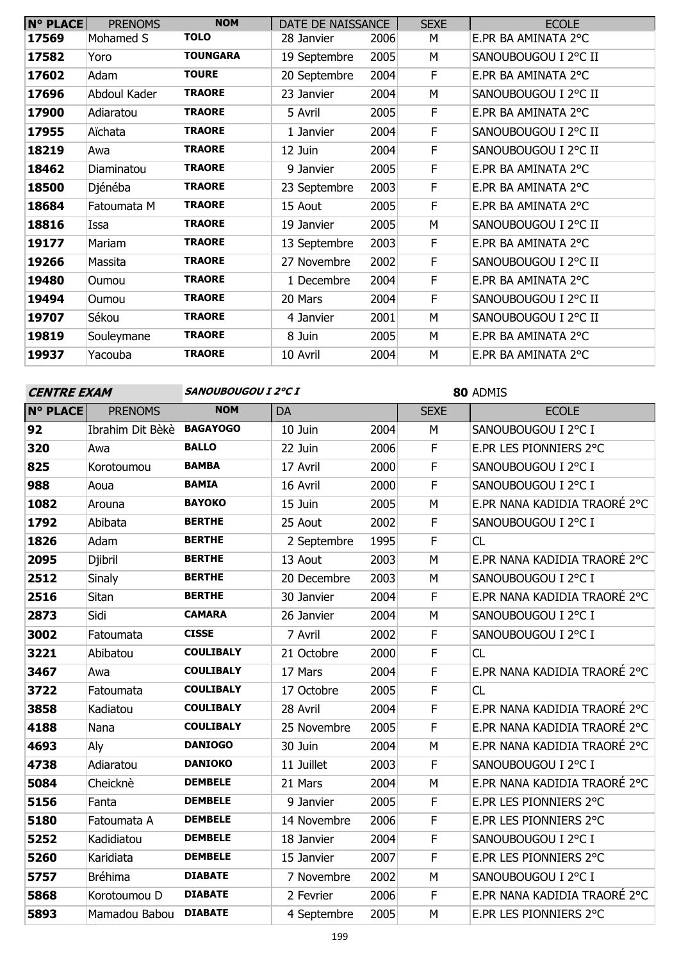| <b>N° PLACE</b> | <b>PRENOMS</b> | <b>NOM</b>      | DATE DE NAISSANCE |      | <b>SEXE</b> | <b>ECOLE</b>         |
|-----------------|----------------|-----------------|-------------------|------|-------------|----------------------|
| 17569           | Mohamed S      | <b>TOLO</b>     | 28 Janvier        | 2006 | м           | E.PR BA AMINATA 2°C  |
| 17582           | Yoro           | <b>TOUNGARA</b> | 19 Septembre      | 2005 | M           | Sanoubougou I 2°C II |
| 17602           | Adam           | <b>TOURE</b>    | 20 Septembre      | 2004 | F           | E.PR BA AMINATA 2°C  |
| 17696           | Abdoul Kader   | <b>TRAORE</b>   | 23 Janvier        | 2004 | M           | SANOUBOUGOU I 2°C II |
| 17900           | Adiaratou      | <b>TRAORE</b>   | 5 Avril           | 2005 | F           | E.PR BA AMINATA 2°C  |
| 17955           | Aïchata        | <b>TRAORE</b>   | 1 Janvier         | 2004 | F           | SANOUBOUGOU I 2°C II |
| 18219           | Awa            | <b>TRAORE</b>   | 12 Juin           | 2004 | F           | SANOUBOUGOU I 2°C II |
| 18462           | Diaminatou     | <b>TRAORE</b>   | 9 Janvier         | 2005 | F           | E.PR BA AMINATA 2°C  |
| 18500           | Djénéba        | <b>TRAORE</b>   | 23 Septembre      | 2003 | F           | E.PR BA AMINATA 2°C  |
| 18684           | Fatoumata M    | <b>TRAORE</b>   | 15 Aout           | 2005 | F           | E.PR BA AMINATA 2°C  |
| 18816           | Issa           | <b>TRAORE</b>   | 19 Janvier        | 2005 | М           | SANOUBOUGOU I 2°C II |
| 19177           | Mariam         | <b>TRAORE</b>   | 13 Septembre      | 2003 | F           | E.PR BA AMINATA 2°C  |
| 19266           | Massita        | <b>TRAORE</b>   | 27 Novembre       | 2002 | F           | SANOUBOUGOU I 2°C II |
| 19480           | Oumou          | <b>TRAORE</b>   | 1 Decembre        | 2004 | F           | E.PR BA AMINATA 2°C  |
| 19494           | Oumou          | <b>TRAORE</b>   | 20 Mars           | 2004 | F           | SANOUBOUGOU I 2°C II |
| 19707           | Sékou          | <b>TRAORE</b>   | 4 Janvier         | 2001 | М           | SANOUBOUGOU I 2°C II |
| 19819           | Souleymane     | <b>TRAORE</b>   | 8 Juin            | 2005 | М           | E.PR BA AMINATA 2°C  |
| 19937           | Yacouba        | <b>TRAORE</b>   | 10 Avril          | 2004 | M           | E.PR BA AMINATA 2°C  |

| <b>CENTRE EXAM</b> |                  | SANOUBOUGOU I 2°C I |             |      | 80 ADMIS    |                              |  |
|--------------------|------------------|---------------------|-------------|------|-------------|------------------------------|--|
| <b>N° PLACE</b>    | <b>PRENOMS</b>   | <b>NOM</b>          | <b>DA</b>   |      | <b>SEXE</b> | <b>ECOLE</b>                 |  |
| 92                 | Ibrahim Dit Bèkè | <b>BAGAYOGO</b>     | 10 Juin     | 2004 | M           | SANOUBOUGOU I 2°C I          |  |
| 320                | Awa              | <b>BALLO</b>        | 22 Juin     | 2006 | $\mathsf F$ | E.PR LES PIONNIERS 2°C       |  |
| 825                | Korotoumou       | <b>BAMBA</b>        | 17 Avril    | 2000 | F           | SANOUBOUGOU I 2°C I          |  |
| 988                | Aoua             | <b>BAMIA</b>        | 16 Avril    | 2000 | $\mathsf F$ | SANOUBOUGOU I 2°C I          |  |
| 1082               | Arouna           | <b>BAYOKO</b>       | 15 Juin     | 2005 | M           | E.PR NANA KADIDIA TRAORÉ 2°C |  |
| 1792               | Abibata          | <b>BERTHE</b>       | 25 Aout     | 2002 | F           | SANOUBOUGOU I 2°C I          |  |
| 1826               | Adam             | <b>BERTHE</b>       | 2 Septembre | 1995 | F           | CL                           |  |
| 2095               | Djibril          | <b>BERTHE</b>       | 13 Aout     | 2003 | M           | E.PR NANA KADIDIA TRAORÉ 2°C |  |
| 2512               | Sinaly           | <b>BERTHE</b>       | 20 Decembre | 2003 | M           | SANOUBOUGOU I 2°C I          |  |
| 2516               | Sitan            | <b>BERTHE</b>       | 30 Janvier  | 2004 | F           | E.PR NANA KADIDIA TRAORÉ 2°C |  |
| 2873               | Sidi             | <b>CAMARA</b>       | 26 Janvier  | 2004 | M           | SANOUBOUGOU I 2°C I          |  |
| 3002               | Fatoumata        | <b>CISSE</b>        | 7 Avril     | 2002 | F           | SANOUBOUGOU I 2°C I          |  |
| 3221               | Abibatou         | <b>COULIBALY</b>    | 21 Octobre  | 2000 | $\mathsf F$ | CL                           |  |
| 3467               | Awa              | <b>COULIBALY</b>    | 17 Mars     | 2004 | $\mathsf F$ | E.PR NANA KADIDIA TRAORÉ 2°C |  |
| 3722               | Fatoumata        | <b>COULIBALY</b>    | 17 Octobre  | 2005 | F           | CL                           |  |
| 3858               | Kadiatou         | <b>COULIBALY</b>    | 28 Avril    | 2004 | F           | E.PR NANA KADIDIA TRAORÉ 2°C |  |
| 4188               | Nana             | <b>COULIBALY</b>    | 25 Novembre | 2005 | F           | E.PR NANA KADIDIA TRAORÉ 2°C |  |
| 4693               | Aly              | <b>DANIOGO</b>      | 30 Juin     | 2004 | M           | E.PR NANA KADIDIA TRAORÉ 2°C |  |
| 4738               | Adiaratou        | <b>DANIOKO</b>      | 11 Juillet  | 2003 | F           | SANOUBOUGOU I 2°C I          |  |
| 5084               | Cheicknè         | <b>DEMBELE</b>      | 21 Mars     | 2004 | M           | E.PR NANA KADIDIA TRAORÉ 2°C |  |
| 5156               | Fanta            | <b>DEMBELE</b>      | 9 Janvier   | 2005 | F           | E.PR LES PIONNIERS 2°C       |  |
| 5180               | Fatoumata A      | <b>DEMBELE</b>      | 14 Novembre | 2006 | F           | E.PR LES PIONNIERS 2°C       |  |
| 5252               | Kadidiatou       | <b>DEMBELE</b>      | 18 Janvier  | 2004 | F           | SANOUBOUGOU I 2°C I          |  |
| 5260               | Karidiata        | <b>DEMBELE</b>      | 15 Janvier  | 2007 | F           | E.PR LES PIONNIERS 2°C       |  |
| 5757               | <b>Bréhima</b>   | <b>DIABATE</b>      | 7 Novembre  | 2002 | M           | SANOUBOUGOU I 2°C I          |  |
| 5868               | Korotoumou D     | <b>DIABATE</b>      | 2 Fevrier   | 2006 | F           | E.PR NANA KADIDIA TRAORÉ 2°C |  |
| 5893               | Mamadou Babou    | <b>DIABATE</b>      | 4 Septembre | 2005 | M           | E.PR LES PIONNIERS 2°C       |  |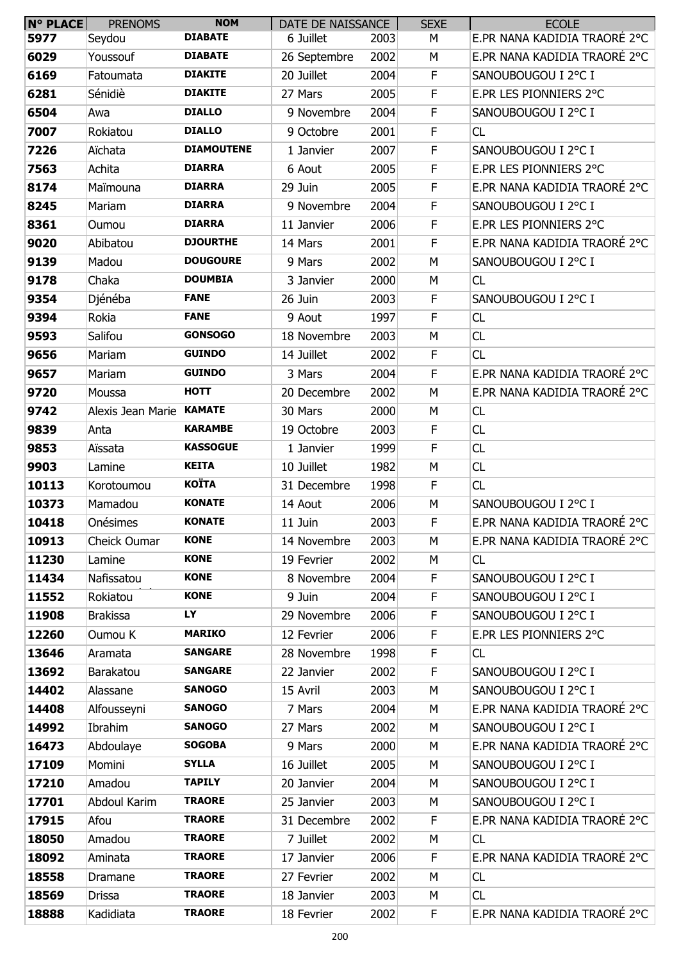| <b>N° PLACE</b> | <b>PRENOMS</b>           | <b>NOM</b>        | DATE DE NAISSANCE |      | <b>SEXE</b> | <b>ECOLE</b>                 |
|-----------------|--------------------------|-------------------|-------------------|------|-------------|------------------------------|
| 5977            | Seydou                   | <b>DIABATE</b>    | 6 Juillet         | 2003 | М           | E.PR NANA KADIDIA TRAORÉ 2°C |
| 6029            | Youssouf                 | <b>DIABATE</b>    | 26 Septembre      | 2002 | M           | E.PR NANA KADIDIA TRAORÉ 2°C |
| 6169            | Fatoumata                | <b>DIAKITE</b>    | 20 Juillet        | 2004 | F           | SANOUBOUGOU I 2°C I          |
| 6281            | Sénidiè                  | <b>DIAKITE</b>    | 27 Mars           | 2005 | F           | E.PR LES PIONNIERS 2°C       |
| 6504            | Awa                      | <b>DIALLO</b>     | 9 Novembre        | 2004 | F           | SANOUBOUGOU I 2°C I          |
| 7007            | Rokiatou                 | <b>DIALLO</b>     | 9 Octobre         | 2001 | F           | CL                           |
| 7226            | Aïchata                  | <b>DIAMOUTENE</b> | 1 Janvier         | 2007 | F           | SANOUBOUGOU I 2°C I          |
| 7563            | Achita                   | <b>DIARRA</b>     | 6 Aout            | 2005 | F           | E.PR LES PIONNIERS 2°C       |
| 8174            | Maïmouna                 | <b>DIARRA</b>     | 29 Juin           | 2005 | $\mathsf F$ | E.PR NANA KADIDIA TRAORÉ 2°C |
| 8245            | Mariam                   | <b>DIARRA</b>     | 9 Novembre        | 2004 | F           | SANOUBOUGOU I 2°C I          |
| 8361            | Oumou                    | <b>DIARRA</b>     | 11 Janvier        | 2006 | F           | E.PR LES PIONNIERS 2°C       |
| 9020            | Abibatou                 | <b>DJOURTHE</b>   | 14 Mars           | 2001 | $\mathsf F$ | E.PR NANA KADIDIA TRAORÉ 2°C |
| 9139            | Madou                    | <b>DOUGOURE</b>   | 9 Mars            | 2002 | M           | SANOUBOUGOU I 2°C I          |
| 9178            | Chaka                    | <b>DOUMBIA</b>    | 3 Janvier         | 2000 | M           | CL                           |
| 9354            | Djénéba                  | <b>FANE</b>       | 26 Juin           | 2003 | F           | SANOUBOUGOU I 2°C I          |
| 9394            | Rokia                    | <b>FANE</b>       | 9 Aout            | 1997 | $\mathsf F$ | <b>CL</b>                    |
| 9593            | Salifou                  | <b>GONSOGO</b>    | 18 Novembre       | 2003 | М           | CL                           |
| 9656            | Mariam                   | <b>GUINDO</b>     | 14 Juillet        | 2002 | F           | CL                           |
| 9657            | Mariam                   | <b>GUINDO</b>     | 3 Mars            | 2004 | $\mathsf F$ | E.PR NANA KADIDIA TRAORÉ 2°C |
| 9720            | Moussa                   | <b>HOTT</b>       | 20 Decembre       | 2002 | M           | E.PR NANA KADIDIA TRAORÉ 2°C |
| 9742            | Alexis Jean Marie KAMATE |                   | 30 Mars           | 2000 | М           | CL                           |
| 9839            | Anta                     | <b>KARAMBE</b>    | 19 Octobre        | 2003 | F           | CL                           |
| 9853            | Aïssata                  | <b>KASSOGUE</b>   | 1 Janvier         | 1999 | F           | CL                           |
| 9903            | Lamine                   | <b>KEITA</b>      | 10 Juillet        | 1982 | М           | CL                           |
| 10113           | Korotoumou               | <b>KOÏTA</b>      | 31 Decembre       | 1998 | F           | CL                           |
| 10373           | Mamadou                  | <b>KONATE</b>     | 14 Aout           | 2006 | M           | SANOUBOUGOU I 2°C I          |
| 10418           | Onésimes                 | <b>KONATE</b>     | 11 Juin           | 2003 | F           | E.PR NANA KADIDIA TRAORÉ 2°C |
| 10913           | Cheick Oumar             | <b>KONE</b>       | 14 Novembre       | 2003 | М           | E.PR NANA KADIDIA TRAORÉ 2°C |
| 11230           | Lamine                   | <b>KONE</b>       | 19 Fevrier        | 2002 | М           | CL                           |
| 11434           | Nafissatou               | <b>KONE</b>       | 8 Novembre        | 2004 | F           | SANOUBOUGOU I 2°C I          |
| 11552           | Rokiatou                 | <b>KONE</b>       | 9 Juin            | 2004 | F           | SANOUBOUGOU I 2°C I          |
| 11908           | <b>Brakissa</b>          | LY                | 29 Novembre       | 2006 | F           | SANOUBOUGOU I 2°C I          |
| 12260           | Oumou K                  | <b>MARIKO</b>     | 12 Fevrier        | 2006 | F           | E.PR LES PIONNIERS 2°C       |
| 13646           | Aramata                  | <b>SANGARE</b>    | 28 Novembre       | 1998 | F           | CL                           |
| 13692           | Barakatou                | <b>SANGARE</b>    | 22 Janvier        | 2002 | F           | SANOUBOUGOU I 2°C I          |
| 14402           | Alassane                 | <b>SANOGO</b>     | 15 Avril          | 2003 | M           | SANOUBOUGOU I 2°C I          |
| 14408           | Alfousseyni              | <b>SANOGO</b>     | 7 Mars            | 2004 | M           | E.PR NANA KADIDIA TRAORÉ 2°C |
| 14992           | Ibrahim                  | <b>SANOGO</b>     | 27 Mars           | 2002 | M           | SANOUBOUGOU I 2°C I          |
| 16473           | Abdoulaye                | <b>SOGOBA</b>     | 9 Mars            | 2000 | M           | E.PR NANA KADIDIA TRAORÉ 2°C |
| 17109           | Momini                   | <b>SYLLA</b>      | 16 Juillet        | 2005 | M           | SANOUBOUGOU I 2°C I          |
| 17210           | Amadou                   | <b>TAPILY</b>     | 20 Janvier        | 2004 | M           | SANOUBOUGOU I 2°C I          |
| 17701           | Abdoul Karim             | <b>TRAORE</b>     | 25 Janvier        | 2003 | М           | SANOUBOUGOU I 2°C I          |
| 17915           | Afou                     | <b>TRAORE</b>     | 31 Decembre       | 2002 | F           | E.PR NANA KADIDIA TRAORÉ 2°C |
| 18050           | Amadou                   | <b>TRAORE</b>     | 7 Juillet         | 2002 | M           | CL                           |
| 18092           | Aminata                  | <b>TRAORE</b>     | 17 Janvier        | 2006 | F           | E.PR NANA KADIDIA TRAORÉ 2°C |
| 18558           | Dramane                  | <b>TRAORE</b>     | 27 Fevrier        | 2002 | М           | CL                           |
| 18569           | <b>Drissa</b>            | <b>TRAORE</b>     | 18 Janvier        | 2003 | M           | CL                           |
| 18888           | Kadidiata                | <b>TRAORE</b>     | 18 Fevrier        | 2002 | F           | E.PR NANA KADIDIA TRAORÉ 2°C |
|                 |                          |                   |                   |      |             |                              |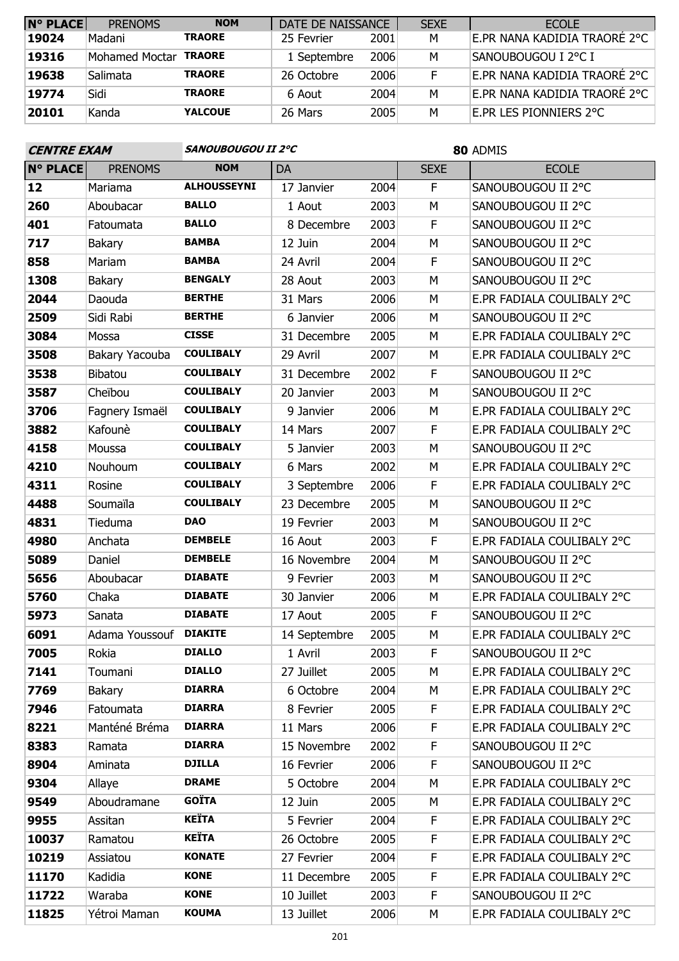| <b>N° PLACE</b> | <b>PRENOMS</b> | <b>NOM</b>     | DATE DE NAISSANCE |      | <b>SEXE</b> | <b>ECOLE</b>                 |
|-----------------|----------------|----------------|-------------------|------|-------------|------------------------------|
| 19024           | Madani         | <b>TRAORE</b>  | 25 Fevrier        | 2001 | M           | E.PR NANA KADIDIA TRAORÉ 2°C |
| 19316           | Mohamed Moctar | <b>TRAORE</b>  | 1 Septembre       | 2006 | м           | Sanoubougou I 2°C I          |
| 19638           | Salimata       | <b>TRAORE</b>  | 26 Octobre        | 2006 |             | E.PR NANA KADIDIA TRAORÉ 2°C |
| 19774           | Sidi           | <b>TRAORE</b>  | 6 Aout            | 2004 | М           | E.PR NANA KADIDIA TRAORÉ 2°C |
| 20101           | Kanda          | <b>YALCOUE</b> | 26 Mars           | 2005 | М           | e.pr les pionniers 2°C       |

| <b>CENTRE EXAM</b> |                | SANOUBOUGOU II 2°C |              |      | 80 ADMIS    |                            |  |  |
|--------------------|----------------|--------------------|--------------|------|-------------|----------------------------|--|--|
| <b>N° PLACE</b>    | <b>PRENOMS</b> | <b>NOM</b>         | DA           |      | <b>SEXE</b> | <b>ECOLE</b>               |  |  |
| 12                 | Mariama        | <b>ALHOUSSEYNI</b> | 17 Janvier   | 2004 | F           | SANOUBOUGOU II 2°C         |  |  |
| 260                | Aboubacar      | <b>BALLO</b>       | 1 Aout       | 2003 | M           | SANOUBOUGOU II 2°C         |  |  |
| 401                | Fatoumata      | <b>BALLO</b>       | 8 Decembre   | 2003 | F           | SANOUBOUGOU II 2°C         |  |  |
| 717                | Bakary         | <b>BAMBA</b>       | 12 Juin      | 2004 | M           | SANOUBOUGOU II 2°C         |  |  |
| 858                | Mariam         | <b>BAMBA</b>       | 24 Avril     | 2004 | F           | SANOUBOUGOU II 2°C         |  |  |
| 1308               | <b>Bakary</b>  | <b>BENGALY</b>     | 28 Aout      | 2003 | M           | SANOUBOUGOU II 2°C         |  |  |
| 2044               | Daouda         | <b>BERTHE</b>      | 31 Mars      | 2006 | М           | E.PR FADIALA COULIBALY 2°C |  |  |
| 2509               | Sidi Rabi      | <b>BERTHE</b>      | 6 Janvier    | 2006 | M           | SANOUBOUGOU II 2°C         |  |  |
| 3084               | Mossa          | <b>CISSE</b>       | 31 Decembre  | 2005 | M           | E.PR FADIALA COULIBALY 2°C |  |  |
| 3508               | Bakary Yacouba | <b>COULIBALY</b>   | 29 Avril     | 2007 | М           | E.PR FADIALA COULIBALY 2°C |  |  |
| 3538               | Bibatou        | <b>COULIBALY</b>   | 31 Decembre  | 2002 | F           | SANOUBOUGOU II 2°C         |  |  |
| 3587               | Cheïbou        | <b>COULIBALY</b>   | 20 Janvier   | 2003 | M           | SANOUBOUGOU II 2°C         |  |  |
| 3706               | Fagnery Ismaël | <b>COULIBALY</b>   | 9 Janvier    | 2006 | M           | E.PR FADIALA COULIBALY 2°C |  |  |
| 3882               | Kafounè        | <b>COULIBALY</b>   | 14 Mars      | 2007 | F           | E.PR FADIALA COULIBALY 2°C |  |  |
| 4158               | Moussa         | <b>COULIBALY</b>   | 5 Janvier    | 2003 | M           | SANOUBOUGOU II 2°C         |  |  |
| 4210               | Nouhoum        | <b>COULIBALY</b>   | 6 Mars       | 2002 | M           | E.PR FADIALA COULIBALY 2°C |  |  |
| 4311               | Rosine         | <b>COULIBALY</b>   | 3 Septembre  | 2006 | F           | E.PR FADIALA COULIBALY 2°C |  |  |
| 4488               | Soumaïla       | <b>COULIBALY</b>   | 23 Decembre  | 2005 | М           | SANOUBOUGOU II 2°C         |  |  |
| 4831               | Tieduma        | <b>DAO</b>         | 19 Fevrier   | 2003 | M           | SANOUBOUGOU II 2°C         |  |  |
| 4980               | Anchata        | <b>DEMBELE</b>     | 16 Aout      | 2003 | F           | E.PR FADIALA COULIBALY 2°C |  |  |
| 5089               | Daniel         | <b>DEMBELE</b>     | 16 Novembre  | 2004 | М           | SANOUBOUGOU II 2°C         |  |  |
| 5656               | Aboubacar      | <b>DIABATE</b>     | 9 Fevrier    | 2003 | М           | SANOUBOUGOU II 2°C         |  |  |
| 5760               | Chaka          | <b>DIABATE</b>     | 30 Janvier   | 2006 | M           | E.PR FADIALA COULIBALY 2°C |  |  |
| 5973               | Sanata         | <b>DIABATE</b>     | 17 Aout      | 2005 | F           | SANOUBOUGOU II 2°C         |  |  |
| 6091               | Adama Youssouf | <b>DIAKITE</b>     | 14 Septembre | 2005 | M           | E.PR FADIALA COULIBALY 2°C |  |  |
| 7005               | Rokia          | <b>DIALLO</b>      | 1 Avril      | 2003 | F           | SANOUBOUGOU II 2°C         |  |  |
| 7141               | Toumani        | <b>DIALLO</b>      | 27 Juillet   | 2005 | М           | E.PR FADIALA COULIBALY 2°C |  |  |
| 7769               | <b>Bakary</b>  | <b>DIARRA</b>      | 6 Octobre    | 2004 | М           | E.PR FADIALA COULIBALY 2°C |  |  |
| 7946               | Fatoumata      | <b>DIARRA</b>      | 8 Fevrier    | 2005 | F           | E.PR FADIALA COULIBALY 2°C |  |  |
| 8221               | Manténé Bréma  | <b>DIARRA</b>      | 11 Mars      | 2006 | F           | E.PR FADIALA COULIBALY 2°C |  |  |
| 8383               | Ramata         | <b>DIARRA</b>      | 15 Novembre  | 2002 | F           | SANOUBOUGOU II 2°C         |  |  |
| 8904               | Aminata        | <b>DJILLA</b>      | 16 Fevrier   | 2006 | F           | SANOUBOUGOU II 2°C         |  |  |
| 9304               | Allaye         | <b>DRAME</b>       | 5 Octobre    | 2004 | М           | E.PR FADIALA COULIBALY 2°C |  |  |
| 9549               | Aboudramane    | <b>GOÏTA</b>       | 12 Juin      | 2005 | М           | E.PR FADIALA COULIBALY 2°C |  |  |
| 9955               | Assitan        | <b>KEÏTA</b>       | 5 Fevrier    | 2004 | F           | E.PR FADIALA COULIBALY 2°C |  |  |
| 10037              | Ramatou        | <b>KEÏTA</b>       | 26 Octobre   | 2005 | F           | E.PR FADIALA COULIBALY 2°C |  |  |
| 10219              | Assiatou       | <b>KONATE</b>      | 27 Fevrier   | 2004 | F           | E.PR FADIALA COULIBALY 2°C |  |  |
| 11170              | Kadidia        | <b>KONE</b>        | 11 Decembre  | 2005 | F           | E.PR FADIALA COULIBALY 2°C |  |  |
| 11722              | Waraba         | <b>KONE</b>        | 10 Juillet   | 2003 | F           | SANOUBOUGOU II 2°C         |  |  |
| 11825              | Yétroi Maman   | <b>KOUMA</b>       | 13 Juillet   | 2006 | М           | E.PR FADIALA COULIBALY 2°C |  |  |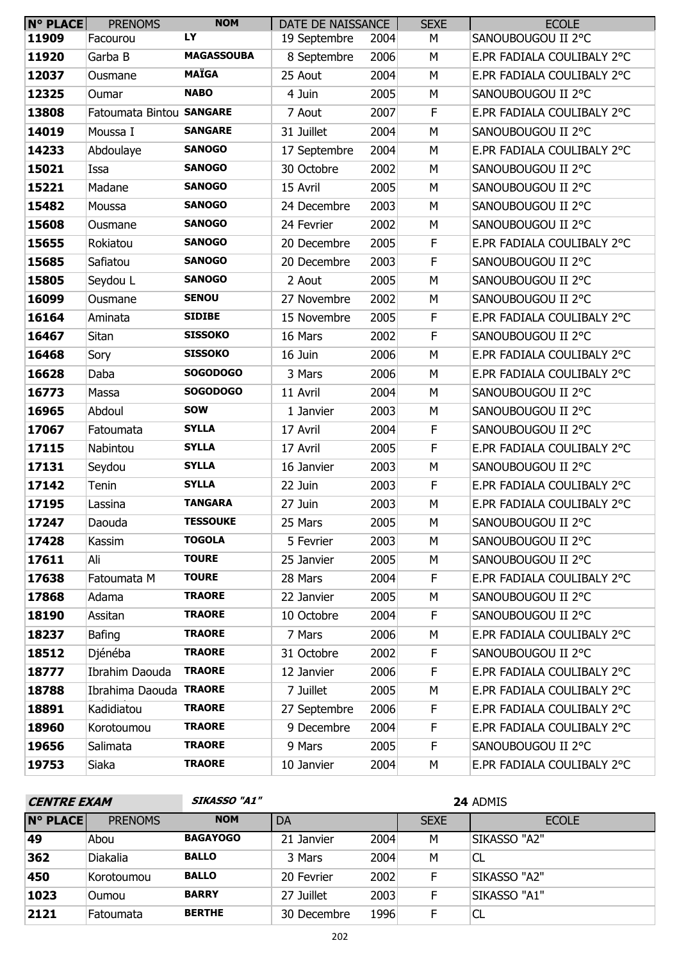| <b>N° PLACE</b> | <b>PRENOMS</b>           | <b>NOM</b>        | DATE DE NAISSANCE |      | <b>SEXE</b> | <b>ECOLE</b>               |
|-----------------|--------------------------|-------------------|-------------------|------|-------------|----------------------------|
| 11909           | Facourou                 | LY                | 19 Septembre      | 2004 | М           | SANOUBOUGOU II 2°C         |
| 11920           | Garba B                  | <b>MAGASSOUBA</b> | 8 Septembre       | 2006 | M           | E.PR FADIALA COULIBALY 2°C |
| 12037           | Ousmane                  | <b>MAÏGA</b>      | 25 Aout           | 2004 | M           | E.PR FADIALA COULIBALY 2°C |
| 12325           | Oumar                    | <b>NABO</b>       | 4 Juin            | 2005 | M           | SANOUBOUGOU II 2°C         |
| 13808           | Fatoumata Bintou SANGARE |                   | 7 Aout            | 2007 | F           | E.PR FADIALA COULIBALY 2°C |
| 14019           | Moussa I                 | <b>SANGARE</b>    | 31 Juillet        | 2004 | M           | SANOUBOUGOU II 2°C         |
| 14233           | Abdoulaye                | <b>SANOGO</b>     | 17 Septembre      | 2004 | M           | E.PR FADIALA COULIBALY 2°C |
| 15021           | Issa                     | <b>SANOGO</b>     | 30 Octobre        | 2002 | M           | SANOUBOUGOU II 2°C         |
| 15221           | Madane                   | <b>SANOGO</b>     | 15 Avril          | 2005 | M           | SANOUBOUGOU II 2°C         |
| 15482           | Moussa                   | <b>SANOGO</b>     | 24 Decembre       | 2003 | М           | SANOUBOUGOU II 2°C         |
| 15608           | Ousmane                  | <b>SANOGO</b>     | 24 Fevrier        | 2002 | М           | SANOUBOUGOU II 2°C         |
| 15655           | Rokiatou                 | <b>SANOGO</b>     | 20 Decembre       | 2005 | F           | E.PR FADIALA COULIBALY 2°C |
| 15685           | Safiatou                 | <b>SANOGO</b>     | 20 Decembre       | 2003 | F           | SANOUBOUGOU II 2°C         |
| 15805           | Seydou L                 | <b>SANOGO</b>     | 2 Aout            | 2005 | M           | SANOUBOUGOU II 2°C         |
| 16099           | Ousmane                  | <b>SENOU</b>      | 27 Novembre       | 2002 | M           | SANOUBOUGOU II 2°C         |
| 16164           | Aminata                  | <b>SIDIBE</b>     | 15 Novembre       | 2005 | F           | E.PR FADIALA COULIBALY 2°C |
| 16467           | Sitan                    | <b>SISSOKO</b>    | 16 Mars           | 2002 | F           | SANOUBOUGOU II 2°C         |
| 16468           | Sory                     | <b>SISSOKO</b>    | 16 Juin           | 2006 | M           | E.PR FADIALA COULIBALY 2°C |
| 16628           | Daba                     | <b>SOGODOGO</b>   | 3 Mars            | 2006 | M           | E.PR FADIALA COULIBALY 2°C |
| 16773           | Massa                    | <b>SOGODOGO</b>   | 11 Avril          | 2004 | М           | SANOUBOUGOU II 2°C         |
| 16965           | Abdoul                   | <b>SOW</b>        | 1 Janvier         | 2003 | M           | SANOUBOUGOU II 2°C         |
| 17067           | Fatoumata                | <b>SYLLA</b>      | 17 Avril          | 2004 | F           | SANOUBOUGOU II 2°C         |
| 17115           | Nabintou                 | <b>SYLLA</b>      | 17 Avril          | 2005 | F           | E.PR FADIALA COULIBALY 2°C |
| 17131           | Seydou                   | <b>SYLLA</b>      | 16 Janvier        | 2003 | М           | SANOUBOUGOU II 2°C         |
| 17142           | Tenin                    | <b>SYLLA</b>      | 22 Juin           | 2003 | F           | E.PR FADIALA COULIBALY 2°C |
| 17195           | Lassina                  | <b>TANGARA</b>    | 27 Juin           | 2003 | M           | E.PR FADIALA COULIBALY 2°C |
| 17247           | Daouda                   | <b>TESSOUKE</b>   | 25 Mars           | 2005 | M           | SANOUBOUGOU II 2°C         |
| 17428           | Kassim                   | <b>TOGOLA</b>     | 5 Fevrier         | 2003 | M           | SANOUBOUGOU II 2°C         |
| 17611           | Ali                      | <b>TOURE</b>      | 25 Janvier        | 2005 | М           | SANOUBOUGOU II 2°C         |
| 17638           | Fatoumata M              | <b>TOURE</b>      | 28 Mars           | 2004 | F           | E.PR FADIALA COULIBALY 2°C |
| 17868           | Adama                    | <b>TRAORE</b>     | 22 Janvier        | 2005 | М           | SANOUBOUGOU II 2°C         |
| 18190           | Assitan                  | <b>TRAORE</b>     | 10 Octobre        | 2004 | F.          | SANOUBOUGOU II 2°C         |
| 18237           | Bafing                   | <b>TRAORE</b>     | 7 Mars            | 2006 | М           | E.PR FADIALA COULIBALY 2°C |
| 18512           | Djénéba                  | <b>TRAORE</b>     | 31 Octobre        | 2002 | F           | SANOUBOUGOU II 2°C         |
| 18777           | Ibrahim Daouda           | <b>TRAORE</b>     | 12 Janvier        | 2006 | F.          | E.PR FADIALA COULIBALY 2°C |
| 18788           | Ibrahima Daouda TRAORE   |                   | 7 Juillet         | 2005 | М           | E.PR FADIALA COULIBALY 2°C |
| 18891           | Kadidiatou               | <b>TRAORE</b>     | 27 Septembre      | 2006 | F.          | E.PR FADIALA COULIBALY 2°C |
| 18960           | Korotoumou               | <b>TRAORE</b>     | 9 Decembre        | 2004 | F           | E.PR FADIALA COULIBALY 2°C |
| 19656           | Salimata                 | <b>TRAORE</b>     | 9 Mars            | 2005 | F           | SANOUBOUGOU II 2°C         |
| 19753           | Siaka                    | <b>TRAORE</b>     | 10 Janvier        | 2004 | М           | E.PR FADIALA COULIBALY 2°C |

| <b>CENTRE EXAM</b> |                | <b>SIKASSO "A1"</b> |             |      | 24 ADMIS    |                     |  |
|--------------------|----------------|---------------------|-------------|------|-------------|---------------------|--|
| <b>N° PLACE</b>    | <b>PRENOMS</b> | <b>NOM</b>          | DA          |      | <b>SEXE</b> | <b>ECOLE</b>        |  |
| 49                 | Abou           | <b>BAGAYOGO</b>     | 21 Janvier  | 2004 | М           | <b>SIKASSO "A2"</b> |  |
| 362                | Diakalia       | <b>BALLO</b>        | 3 Mars      | 2004 | M           | CL                  |  |
| 450                | Korotoumou     | <b>BALLO</b>        | 20 Fevrier  | 2002 | F           | SIKASSO "A2"        |  |
| 1023               | <b>Oumou</b>   | <b>BARRY</b>        | 27 Juillet  | 2003 | F           | SIKASSO "A1"        |  |
| 2121               | Fatoumata      | <b>BERTHE</b>       | 30 Decembre | 1996 | F           | CL                  |  |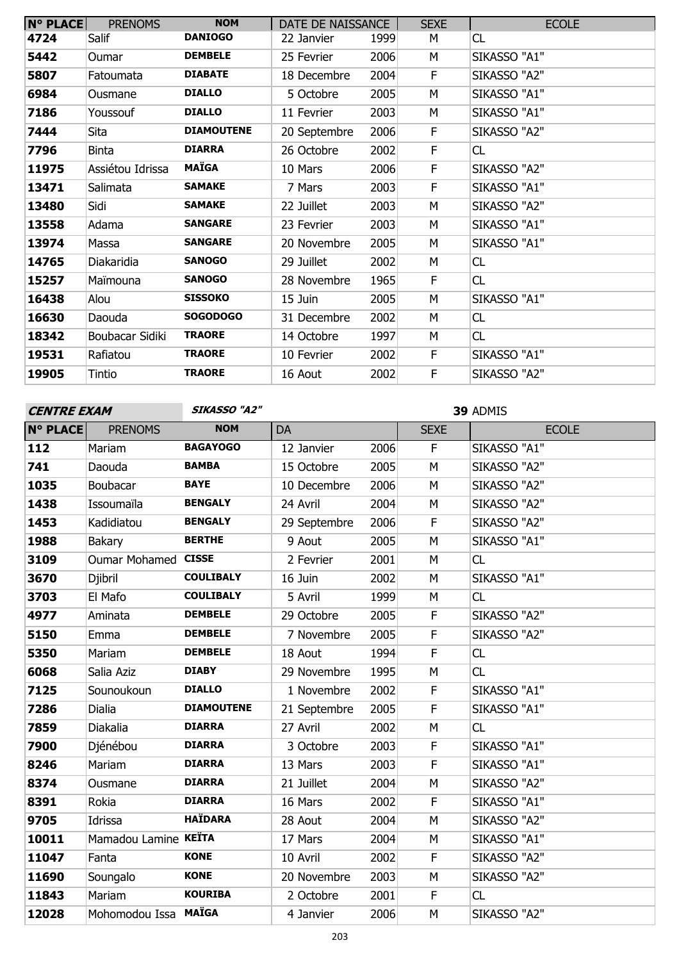| <b>N° PLACE</b> | <b>PRENOMS</b>   | <b>NOM</b>        | DATE DE NAISSANCE |      | <b>SEXE</b> | <b>ECOLE</b> |
|-----------------|------------------|-------------------|-------------------|------|-------------|--------------|
| 4724            | Salif            | <b>DANIOGO</b>    | 22 Janvier        | 1999 | М           | CL           |
| 5442            | <b>Oumar</b>     | <b>DEMBELE</b>    | 25 Fevrier        | 2006 | M           | SIKASSO "A1" |
| 5807            | Fatoumata        | <b>DIABATE</b>    | 18 Decembre       | 2004 | F.          | SIKASSO "A2" |
| 6984            | Ousmane          | <b>DIALLO</b>     | 5 Octobre         | 2005 | M           | SIKASSO "A1" |
| 7186            | Youssouf         | <b>DIALLO</b>     | 11 Fevrier        | 2003 | М           | SIKASSO "A1" |
| 7444            | Sita             | <b>DIAMOUTENE</b> | 20 Septembre      | 2006 | F           | SIKASSO "A2" |
| 7796            | <b>Binta</b>     | <b>DIARRA</b>     | 26 Octobre        | 2002 | F           | CL           |
| 11975           | Assiétou Idrissa | <b>MAÏGA</b>      | 10 Mars           | 2006 | F           | SIKASSO "A2" |
| 13471           | Salimata         | <b>SAMAKE</b>     | 7 Mars            | 2003 | F           | SIKASSO "A1" |
| 13480           | Sidi             | <b>SAMAKE</b>     | 22 Juillet        | 2003 | M           | SIKASSO "A2" |
| 13558           | Adama            | <b>SANGARE</b>    | 23 Fevrier        | 2003 | М           | SIKASSO "A1" |
| 13974           | Massa            | <b>SANGARE</b>    | 20 Novembre       | 2005 | М           | SIKASSO "A1" |
| 14765           | Diakaridia       | <b>SANOGO</b>     | 29 Juillet        | 2002 | M           | CL           |
| 15257           | Maïmouna         | <b>SANOGO</b>     | 28 Novembre       | 1965 | F.          | CL           |
| 16438           | Alou             | <b>SISSOKO</b>    | 15 Juin           | 2005 | M           | SIKASSO "A1" |
| 16630           | Daouda           | <b>SOGODOGO</b>   | 31 Decembre       | 2002 | М           | CL           |
| 18342           | Boubacar Sidiki  | <b>TRAORE</b>     | 14 Octobre        | 1997 | М           | CL           |
| 19531           | Rafiatou         | <b>TRAORE</b>     | 10 Fevrier        | 2002 | F           | SIKASSO "A1" |
| 19905           | Tintio           | <b>TRAORE</b>     | 16 Aout           | 2002 | F           | SIKASSO "A2" |

**SIKASSO "A2" 39** ADMIS

| <b>N° PLACE</b> | <b>PRENOMS</b>       | <b>NOM</b>        | DA           |      | <b>SEXE</b> | <b>ECOLE</b> |
|-----------------|----------------------|-------------------|--------------|------|-------------|--------------|
| 112             | Mariam               | <b>BAGAYOGO</b>   | 12 Janvier   | 2006 | F.          | SIKASSO "A1" |
| 741             | Daouda               | <b>BAMBA</b>      | 15 Octobre   | 2005 | M           | SIKASSO "A2" |
| 1035            | Boubacar             | <b>BAYE</b>       | 10 Decembre  | 2006 | M           | SIKASSO "A2" |
| 1438            | Issoumaïla           | <b>BENGALY</b>    | 24 Avril     | 2004 | M           | SIKASSO "A2" |
| 1453            | Kadidiatou           | <b>BENGALY</b>    | 29 Septembre | 2006 | F           | SIKASSO "A2" |
| 1988            | Bakary               | <b>BERTHE</b>     | 9 Aout       | 2005 | M           | SIKASSO "A1" |
| 3109            | Oumar Mohamed CISSE  |                   | 2 Fevrier    | 2001 | M           | CL           |
| 3670            | Djibril              | <b>COULIBALY</b>  | 16 Juin      | 2002 | M           | SIKASSO "A1" |
| 3703            | El Mafo              | <b>COULIBALY</b>  | 5 Avril      | 1999 | M           | CL           |
| 4977            | Aminata              | <b>DEMBELE</b>    | 29 Octobre   | 2005 | F           | SIKASSO "A2" |
| 5150            | Emma                 | <b>DEMBELE</b>    | 7 Novembre   | 2005 | F           | SIKASSO "A2" |
| 5350            | Mariam               | <b>DEMBELE</b>    | 18 Aout      | 1994 | F           | CL           |
| 6068            | Salia Aziz           | <b>DIABY</b>      | 29 Novembre  | 1995 | M           | CL           |
| 7125            | Sounoukoun           | <b>DIALLO</b>     | 1 Novembre   | 2002 | F           | SIKASSO "A1" |
| 7286            | Dialia               | <b>DIAMOUTENE</b> | 21 Septembre | 2005 | F           | SIKASSO "A1" |
| 7859            | Diakalia             | <b>DIARRA</b>     | 27 Avril     | 2002 | M           | CL           |
| 7900            | Djénébou             | <b>DIARRA</b>     | 3 Octobre    | 2003 | F           | SIKASSO "A1" |
| 8246            | Mariam               | <b>DIARRA</b>     | 13 Mars      | 2003 | $\mathsf F$ | SIKASSO "A1" |
| 8374            | Ousmane              | <b>DIARRA</b>     | 21 Juillet   | 2004 | ${\sf M}$   | SIKASSO "A2" |
| 8391            | Rokia                | <b>DIARRA</b>     | 16 Mars      | 2002 | $\mathsf F$ | SIKASSO "A1" |
| 9705            | Idrissa              | <b>HAÏDARA</b>    | 28 Aout      | 2004 | M           | SIKASSO "A2" |
| 10011           | Mamadou Lamine KEÏTA |                   | 17 Mars      | 2004 | M           | SIKASSO "A1" |
| 11047           | Fanta                | <b>KONE</b>       | 10 Avril     | 2002 | F           | SIKASSO "A2" |
| 11690           | Soungalo             | <b>KONE</b>       | 20 Novembre  | 2003 | M           | SIKASSO "A2" |
| 11843           | Mariam               | <b>KOURIBA</b>    | 2 Octobre    | 2001 | F.          | CL           |
| 12028           | Mohomodou Issa MAÏGA |                   | 4 Janvier    | 2006 | M           | SIKASSO "A2" |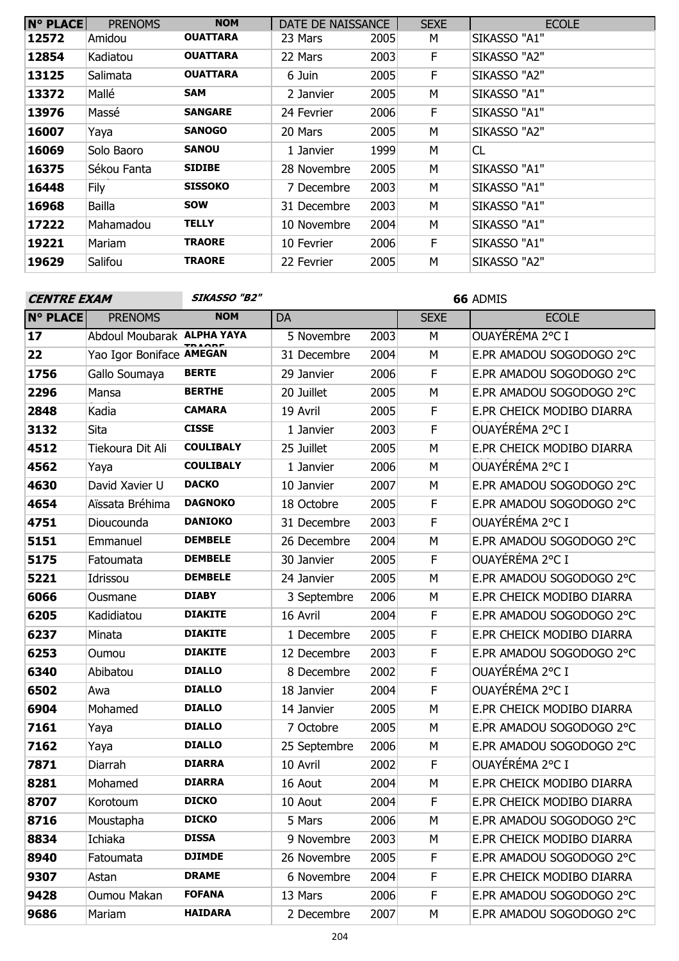| <b>N° PLACE</b> | <b>PRENOMS</b> | <b>NOM</b>      | DATE DE NAISSANCE |      | <b>SEXE</b> | <b>ECOLE</b> |
|-----------------|----------------|-----------------|-------------------|------|-------------|--------------|
| 12572           | Amidou         | <b>OUATTARA</b> | 23 Mars           | 2005 | M           | SIKASSO "A1" |
| 12854           | Kadiatou       | <b>OUATTARA</b> | 22 Mars           | 2003 | F           | SIKASSO "A2" |
| 13125           | Salimata       | <b>OUATTARA</b> | 6 Juin            | 2005 | F           | SIKASSO "A2" |
| 13372           | Mallé          | SAM             | 2 Janvier         | 2005 | М           | SIKASSO "A1" |
| 13976           | Massé          | <b>SANGARE</b>  | 24 Fevrier        | 2006 | F           | SIKASSO "A1" |
| 16007           | Yaya           | SANOGO          | 20 Mars           | 2005 | M           | SIKASSO "A2" |
| 16069           | Solo Baoro     | <b>SANOU</b>    | 1 Janvier         | 1999 | М           | CL           |
| 16375           | Sékou Fanta    | <b>SIDIBE</b>   | 28 Novembre       | 2005 | М           | SIKASSO "A1" |
| 16448           | Fily           | <b>SISSOKO</b>  | 7 Decembre        | 2003 | М           | SIKASSO "A1" |
| 16968           | <b>Bailla</b>  | <b>SOW</b>      | 31 Decembre       | 2003 | М           | SIKASSO "A1" |
| 17222           | Mahamadou      | <b>TELLY</b>    | 10 Novembre       | 2004 | М           | SIKASSO "A1" |
| 19221           | Mariam         | <b>TRAORE</b>   | 10 Fevrier        | 2006 | F.          | SIKASSO "A1" |
| 19629           | Salifou        | <b>TRAORE</b>   | 22 Fevrier        | 2005 | М           | SIKASSO "A2" |

**SIKASSO "B2" 66** ADMIS

| <b>N° PLACE</b> | <b>PRENOMS</b>             | <b>NOM</b>       | DA           |      | <b>SEXE</b> | <b>ECOLE</b>              |
|-----------------|----------------------------|------------------|--------------|------|-------------|---------------------------|
| 17              | Abdoul Moubarak ALPHA YAYA |                  | 5 Novembre   | 2003 | M           | OUAYÉRÉMA 2°C I           |
| 22              | Yao Igor Boniface AMEGAN   |                  | 31 Decembre  | 2004 | M           | E.PR AMADOU SOGODOGO 2°C  |
| 1756            | Gallo Soumaya              | <b>BERTE</b>     | 29 Janvier   | 2006 | $\mathsf F$ | E.PR AMADOU SOGODOGO 2°C  |
| 2296            | Mansa                      | <b>BERTHE</b>    | 20 Juillet   | 2005 | М           | E.PR AMADOU SOGODOGO 2°C  |
| 2848            | Kadia                      | <b>CAMARA</b>    | 19 Avril     | 2005 | F           | E.PR CHEICK MODIBO DIARRA |
| 3132            | Sita                       | <b>CISSE</b>     | 1 Janvier    | 2003 | F           | OUAYÉRÉMA 2°C I           |
| 4512            | Tiekoura Dit Ali           | <b>COULIBALY</b> | 25 Juillet   | 2005 | M           | E.PR CHEICK MODIBO DIARRA |
| 4562            | Yaya                       | <b>COULIBALY</b> | 1 Janvier    | 2006 | M           | OUAYÉRÉMA 2°C I           |
| 4630            | David Xavier U             | <b>DACKO</b>     | 10 Janvier   | 2007 | М           | E.PR AMADOU SOGODOGO 2°C  |
| 4654            | Aïssata Bréhima            | <b>DAGNOKO</b>   | 18 Octobre   | 2005 | F           | E.PR AMADOU SOGODOGO 2°C  |
| 4751            | Dioucounda                 | <b>DANIOKO</b>   | 31 Decembre  | 2003 | $\mathsf F$ | OUAYÉRÉMA 2°C I           |
| 5151            | Emmanuel                   | <b>DEMBELE</b>   | 26 Decembre  | 2004 | М           | E.PR AMADOU SOGODOGO 2°C  |
| 5175            | Fatoumata                  | <b>DEMBELE</b>   | 30 Janvier   | 2005 | $\mathsf F$ | OUAYÉRÉMA 2°C I           |
| 5221            | Idrissou                   | <b>DEMBELE</b>   | 24 Janvier   | 2005 | M           | E.PR AMADOU SOGODOGO 2°C  |
| 6066            | Ousmane                    | <b>DIABY</b>     | 3 Septembre  | 2006 | M           | E.PR CHEICK MODIBO DIARRA |
| 6205            | Kadidiatou                 | <b>DIAKITE</b>   | 16 Avril     | 2004 | F           | E.PR AMADOU SOGODOGO 2°C  |
| 6237            | Minata                     | <b>DIAKITE</b>   | 1 Decembre   | 2005 | F           | E.PR CHEICK MODIBO DIARRA |
| 6253            | Oumou                      | <b>DIAKITE</b>   | 12 Decembre  | 2003 | $\mathsf F$ | E.PR AMADOU SOGODOGO 2°C  |
| 6340            | Abibatou                   | <b>DIALLO</b>    | 8 Decembre   | 2002 | $\mathsf F$ | OUAYÉRÉMA 2°C I           |
| 6502            | Awa                        | <b>DIALLO</b>    | 18 Janvier   | 2004 | F           | OUAYÉRÉMA 2°C I           |
| 6904            | Mohamed                    | <b>DIALLO</b>    | 14 Janvier   | 2005 | M           | E.PR CHEICK MODIBO DIARRA |
| 7161            | Yaya                       | <b>DIALLO</b>    | 7 Octobre    | 2005 | М           | E.PR AMADOU SOGODOGO 2°C  |
| 7162            | Yaya                       | <b>DIALLO</b>    | 25 Septembre | 2006 | М           | E.PR AMADOU SOGODOGO 2°C  |
| 7871            | Diarrah                    | <b>DIARRA</b>    | 10 Avril     | 2002 | F           | OUAYÉRÉMA 2°C I           |
| 8281            | Mohamed                    | <b>DIARRA</b>    | 16 Aout      | 2004 | M           | E.PR CHEICK MODIBO DIARRA |
| 8707            | Korotoum                   | <b>DICKO</b>     | 10 Aout      | 2004 | F           | E.PR CHEICK MODIBO DIARRA |
| 8716            | Moustapha                  | <b>DICKO</b>     | 5 Mars       | 2006 | M           | E.PR AMADOU SOGODOGO 2°C  |
| 8834            | Ichiaka                    | <b>DISSA</b>     | 9 Novembre   | 2003 | M.          | E.PR CHEICK MODIBO DIARRA |
| 8940            | Fatoumata                  | <b>DJIMDE</b>    | 26 Novembre  | 2005 | F.          | E.PR AMADOU SOGODOGO 2°C  |
| 9307            | Astan                      | <b>DRAME</b>     | 6 Novembre   | 2004 | F.          | E.PR CHEICK MODIBO DIARRA |
| 9428            | Oumou Makan                | <b>FOFANA</b>    | 13 Mars      | 2006 | F.          | E.PR AMADOU SOGODOGO 2°C  |
| 9686            | Mariam                     | <b>HAIDARA</b>   | 2 Decembre   | 2007 | М           | E.PR AMADOU SOGODOGO 2°C  |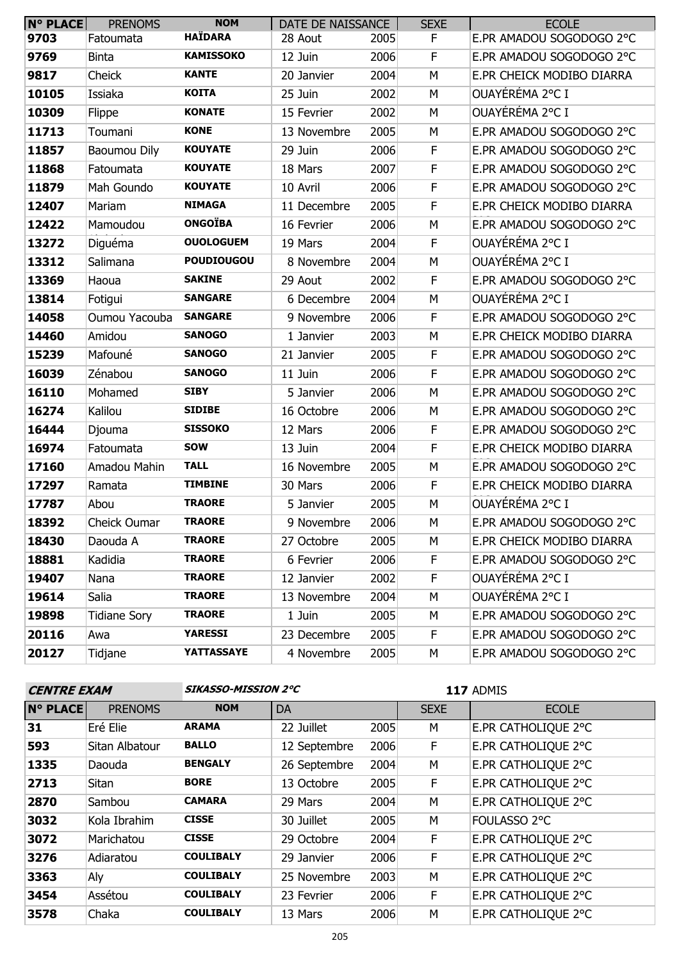| <b>N° PLACE</b> | <b>PRENOMS</b>      | <b>NOM</b>        | DATE DE NAISSANCE |      | <b>SEXE</b> | <b>ECOLE</b>              |
|-----------------|---------------------|-------------------|-------------------|------|-------------|---------------------------|
| 9703            | Fatoumata           | <b>HAÏDARA</b>    | 28 Aout           | 2005 | F           | E.PR AMADOU SOGODOGO 2°C  |
| 9769            | <b>Binta</b>        | <b>KAMISSOKO</b>  | 12 Juin           | 2006 | F           | E.PR AMADOU SOGODOGO 2°C  |
| 9817            | Cheick              | <b>KANTE</b>      | 20 Janvier        | 2004 | M           | E.PR CHEICK MODIBO DIARRA |
| 10105           | Issiaka             | <b>KOITA</b>      | 25 Juin           | 2002 | М           | OUAYÉRÉMA 2°C I           |
| 10309           | Flippe              | <b>KONATE</b>     | 15 Fevrier        | 2002 | M           | OUAYÉRÉMA 2°C I           |
| 11713           | Toumani             | <b>KONE</b>       | 13 Novembre       | 2005 | М           | E.PR AMADOU SOGODOGO 2°C  |
| 11857           | Baoumou Dily        | <b>KOUYATE</b>    | 29 Juin           | 2006 | F           | E.PR AMADOU SOGODOGO 2°C  |
| 11868           | Fatoumata           | <b>KOUYATE</b>    | 18 Mars           | 2007 | F           | E.PR AMADOU SOGODOGO 2°C  |
| 11879           | Mah Goundo          | <b>KOUYATE</b>    | 10 Avril          | 2006 | F           | E.PR AMADOU SOGODOGO 2°C  |
| 12407           | Mariam              | <b>NIMAGA</b>     | 11 Decembre       | 2005 | F           | E.PR CHEICK MODIBO DIARRA |
| 12422           | Mamoudou            | <b>ONGOÏBA</b>    | 16 Fevrier        | 2006 | М           | E.PR AMADOU SOGODOGO 2°C  |
| 13272           | Diguéma             | <b>OUOLOGUEM</b>  | 19 Mars           | 2004 | F           | OUAYÉRÉMA 2°C I           |
| 13312           | Salimana            | <b>POUDIOUGOU</b> | 8 Novembre        | 2004 | М           | OUAYÉRÉMA 2°C I           |
| 13369           | Haoua               | <b>SAKINE</b>     | 29 Aout           | 2002 | $\mathsf F$ | E.PR AMADOU SOGODOGO 2°C  |
| 13814           | Fotigui             | <b>SANGARE</b>    | 6 Decembre        | 2004 | М           | OUAYÉRÉMA 2°C I           |
| 14058           | Oumou Yacouba       | <b>SANGARE</b>    | 9 Novembre        | 2006 | F           | E.PR AMADOU SOGODOGO 2°C  |
| 14460           | Amidou              | <b>SANOGO</b>     | 1 Janvier         | 2003 | М           | E.PR CHEICK MODIBO DIARRA |
| 15239           | Mafouné             | <b>SANOGO</b>     | 21 Janvier        | 2005 | F           | E.PR AMADOU SOGODOGO 2°C  |
| 16039           | Zénabou             | <b>SANOGO</b>     | 11 Juin           | 2006 | F           | E.PR AMADOU SOGODOGO 2°C  |
| 16110           | Mohamed             | <b>SIBY</b>       | 5 Janvier         | 2006 | М           | E.PR AMADOU SOGODOGO 2°C  |
| 16274           | Kalilou             | <b>SIDIBE</b>     | 16 Octobre        | 2006 | M           | E.PR AMADOU SOGODOGO 2°C  |
| 16444           | Djouma              | <b>SISSOKO</b>    | 12 Mars           | 2006 | F           | E.PR AMADOU SOGODOGO 2°C  |
| 16974           | Fatoumata           | <b>SOW</b>        | 13 Juin           | 2004 | F           | E.PR CHEICK MODIBO DIARRA |
| 17160           | Amadou Mahin        | <b>TALL</b>       | 16 Novembre       | 2005 | М           | E.PR AMADOU SOGODOGO 2°C  |
| 17297           | Ramata              | <b>TIMBINE</b>    | 30 Mars           | 2006 | F           | E.PR CHEICK MODIBO DIARRA |
| 17787           | Abou                | <b>TRAORE</b>     | 5 Janvier         | 2005 | M           | OUAYÉRÉMA 2°C I           |
| 18392           | Cheick Oumar        | <b>TRAORE</b>     | 9 Novembre        | 2006 | М           | E.PR AMADOU SOGODOGO 2°C  |
| 18430           | Daouda A            | <b>TRAORE</b>     | 27 Octobre        | 2005 | M           | E.PR CHEICK MODIBO DIARRA |
| 18881           | Kadidia             | <b>TRAORE</b>     | 6 Fevrier         | 2006 | F.          | E.PR AMADOU SOGODOGO 2°C  |
| 19407           | Nana                | <b>TRAORE</b>     | 12 Janvier        | 2002 | F           | OUAYÉRÉMA 2°C I           |
| 19614           | Salia               | <b>TRAORE</b>     | 13 Novembre       | 2004 | М           | OUAYÉRÉMA 2°C I           |
| 19898           | <b>Tidiane Sory</b> | <b>TRAORE</b>     | 1 Juin            | 2005 | М           | E.PR AMADOU SOGODOGO 2°C  |
| 20116           | Awa                 | <b>YARESSI</b>    | 23 Decembre       | 2005 | F           | E.PR AMADOU SOGODOGO 2°C  |
| 20127           | Tidjane             | YATTASSAYE        | 4 Novembre        | 2005 | М           | E.PR AMADOU SOGODOGO 2°C  |

| <b>CENTRE EXAM</b> |                | SIKASSO-MISSION 2°C |              | 117 ADMIS |             |                     |
|--------------------|----------------|---------------------|--------------|-----------|-------------|---------------------|
| <b>N° PLACE</b>    | <b>PRENOMS</b> | <b>NOM</b>          | <b>DA</b>    |           | <b>SEXE</b> | <b>ECOLE</b>        |
| 31                 | Eré Elie       | <b>ARAMA</b>        | 22 Juillet   | 2005      | М           | E.PR CATHOLIQUE 2°C |
| 593                | Sitan Albatour | <b>BALLO</b>        | 12 Septembre | 2006      | F           | E.PR CATHOLIQUE 2°C |
| 1335               | Daouda         | <b>BENGALY</b>      | 26 Septembre | 2004      | М           | E.PR CATHOLIQUE 2°C |
| 2713               | <b>Sitan</b>   | <b>BORE</b>         | 13 Octobre   | 2005      | F           | E.PR CATHOLIQUE 2°C |
| 2870               | Sambou         | <b>CAMARA</b>       | 29 Mars      | 2004      | M           | E.PR CATHOLIQUE 2°C |
| 3032               | Kola Ibrahim   | <b>CISSE</b>        | 30 Juillet   | 2005      | М           | FOULASSO 2°C        |
| 3072               | Marichatou     | <b>CISSE</b>        | 29 Octobre   | 2004      | F           | E.PR CATHOLIQUE 2°C |
| 3276               | Adiaratou      | <b>COULIBALY</b>    | 29 Janvier   | 2006      | F           | E.PR CATHOLIQUE 2°C |
| 3363               | Aly            | <b>COULIBALY</b>    | 25 Novembre  | 2003      | M           | E.PR CATHOLIQUE 2°C |
| 3454               | Assétou        | <b>COULIBALY</b>    | 23 Fevrier   | 2006      | F.          | E.PR CATHOLIQUE 2°C |
| 3578               | Chaka          | <b>COULIBALY</b>    | 13 Mars      | 2006      | M           | E.PR CATHOLIQUE 2°C |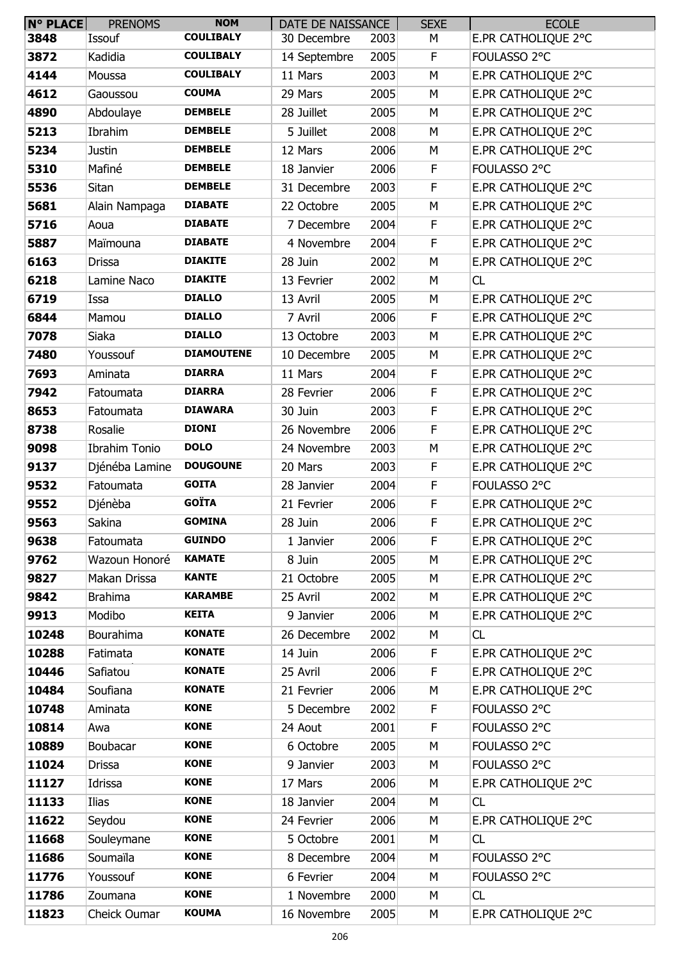| N° PLACE | <b>PRENOMS</b>       | <b>NOM</b>        | DATE DE NAISSANCE |      | <b>SEXE</b> | <b>ECOLE</b>        |
|----------|----------------------|-------------------|-------------------|------|-------------|---------------------|
| 3848     | Issouf               | <b>COULIBALY</b>  | 30 Decembre       | 2003 | М           | E.PR CATHOLIQUE 2°C |
| 3872     | Kadidia              | <b>COULIBALY</b>  | 14 Septembre      | 2005 | F           | FOULASSO 2°C        |
| 4144     | Moussa               | <b>COULIBALY</b>  | 11 Mars           | 2003 | M           | E.PR CATHOLIQUE 2°C |
| 4612     | Gaoussou             | <b>COUMA</b>      | 29 Mars           | 2005 | М           | E.PR CATHOLIQUE 2°C |
| 4890     | Abdoulaye            | <b>DEMBELE</b>    | 28 Juillet        | 2005 | M           | E.PR CATHOLIQUE 2°C |
| 5213     | Ibrahim              | <b>DEMBELE</b>    | 5 Juillet         | 2008 | M           | E.PR CATHOLIQUE 2°C |
| 5234     | <b>Justin</b>        | <b>DEMBELE</b>    | 12 Mars           | 2006 | М           | E.PR CATHOLIQUE 2°C |
| 5310     | Mafiné               | <b>DEMBELE</b>    | 18 Janvier        | 2006 | F           | FOULASSO 2°C        |
| 5536     | Sitan                | <b>DEMBELE</b>    | 31 Decembre       | 2003 | F           | E.PR CATHOLIQUE 2°C |
| 5681     | Alain Nampaga        | <b>DIABATE</b>    | 22 Octobre        | 2005 | M           | E.PR CATHOLIQUE 2°C |
| 5716     | Aoua                 | <b>DIABATE</b>    | 7 Decembre        | 2004 | F           | E.PR CATHOLIQUE 2°C |
| 5887     | Maïmouna             | <b>DIABATE</b>    | 4 Novembre        | 2004 | F           | E.PR CATHOLIQUE 2°C |
| 6163     | <b>Drissa</b>        | <b>DIAKITE</b>    | 28 Juin           | 2002 | M           | E.PR CATHOLIQUE 2°C |
| 6218     | Lamine Naco          | <b>DIAKITE</b>    | 13 Fevrier        | 2002 | M           | CL                  |
| 6719     | Issa                 | <b>DIALLO</b>     | 13 Avril          | 2005 | М           | E.PR CATHOLIQUE 2°C |
| 6844     | Mamou                | <b>DIALLO</b>     | 7 Avril           | 2006 | F           | E.PR CATHOLIQUE 2°C |
| 7078     | Siaka                | <b>DIALLO</b>     | 13 Octobre        | 2003 | M           | E.PR CATHOLIQUE 2°C |
| 7480     | Youssouf             | <b>DIAMOUTENE</b> | 10 Decembre       | 2005 | М           | E.PR CATHOLIQUE 2°C |
| 7693     | Aminata              | <b>DIARRA</b>     | 11 Mars           | 2004 | F           | E.PR CATHOLIQUE 2°C |
| 7942     | Fatoumata            | <b>DIARRA</b>     | 28 Fevrier        | 2006 | F           | E.PR CATHOLIQUE 2°C |
| 8653     | Fatoumata            | <b>DIAWARA</b>    | 30 Juin           | 2003 | F           | E.PR CATHOLIQUE 2°C |
| 8738     | Rosalie              | <b>DIONI</b>      | 26 Novembre       | 2006 | F           | E.PR CATHOLIQUE 2°C |
| 9098     | <b>Ibrahim Tonio</b> | <b>DOLO</b>       | 24 Novembre       | 2003 | M           | E.PR CATHOLIQUE 2°C |
| 9137     | Djénéba Lamine       | <b>DOUGOUNE</b>   | 20 Mars           | 2003 | F           | E.PR CATHOLIQUE 2°C |
| 9532     | Fatoumata            | <b>GOITA</b>      | 28 Janvier        | 2004 | F           | FOULASSO 2°C        |
| 9552     | Djénèba              | <b>GOÏTA</b>      | 21 Fevrier        | 2006 | F           | E.PR CATHOLIQUE 2°C |
| 9563     | Sakina               | <b>GOMINA</b>     | 28 Juin           | 2006 | F           | E.PR CATHOLIQUE 2°C |
| 9638     | Fatoumata            | <b>GUINDO</b>     | 1 Janvier         | 2006 | F           | E.PR CATHOLIQUE 2°C |
| 9762     | Wazoun Honoré        | <b>KAMATE</b>     | 8 Juin            | 2005 | M           | E.PR CATHOLIOUE 2°C |
| 9827     | Makan Drissa         | <b>KANTE</b>      | 21 Octobre        | 2005 | M           | E.PR CATHOLIQUE 2°C |
| 9842     | <b>Brahima</b>       | <b>KARAMBE</b>    | 25 Avril          | 2002 | M           | E.PR CATHOLIQUE 2°C |
| 9913     | Modibo               | <b>KEITA</b>      | 9 Janvier         | 2006 | M           | E.PR CATHOLIQUE 2°C |
| 10248    | Bourahima            | <b>KONATE</b>     | 26 Decembre       | 2002 | М           | CL                  |
| 10288    | Fatimata             | <b>KONATE</b>     | 14 Juin           | 2006 | F           | E.PR CATHOLIQUE 2°C |
| 10446    | Safiatou             | <b>KONATE</b>     | 25 Avril          | 2006 | $\mathsf F$ | E.PR CATHOLIQUE 2°C |
| 10484    | Soufiana             | <b>KONATE</b>     | 21 Fevrier        | 2006 | M           | E.PR CATHOLIQUE 2°C |
| 10748    | Aminata              | <b>KONE</b>       | 5 Decembre        | 2002 | F           | FOULASSO 2°C        |
| 10814    | Awa                  | <b>KONE</b>       | 24 Aout           | 2001 | F           | FOULASSO 2°C        |
| 10889    | Boubacar             | <b>KONE</b>       | 6 Octobre         | 2005 | M           | FOULASSO 2°C        |
| 11024    | <b>Drissa</b>        | <b>KONE</b>       | 9 Janvier         | 2003 | М           | FOULASSO 2°C        |
| 11127    | Idrissa              | <b>KONE</b>       | 17 Mars           | 2006 | M           | E.PR CATHOLIQUE 2°C |
| 11133    | Ilias                | <b>KONE</b>       | 18 Janvier        | 2004 | М           | CL                  |
| 11622    | Seydou               | <b>KONE</b>       | 24 Fevrier        | 2006 | М           | E.PR CATHOLIQUE 2°C |
| 11668    | Souleymane           | <b>KONE</b>       | 5 Octobre         | 2001 | М           | CL                  |
| 11686    | Soumaïla             | <b>KONE</b>       | 8 Decembre        | 2004 | M           | FOULASSO 2°C        |
| 11776    | Youssouf             | <b>KONE</b>       | 6 Fevrier         | 2004 | M           | FOULASSO 2°C        |
| 11786    | Zoumana              | <b>KONE</b>       | 1 Novembre        | 2000 | М           | CL                  |
| 11823    | Cheick Oumar         | <b>KOUMA</b>      | 16 Novembre       | 2005 | М           | E.PR CATHOLIQUE 2°C |
|          |                      |                   |                   |      |             |                     |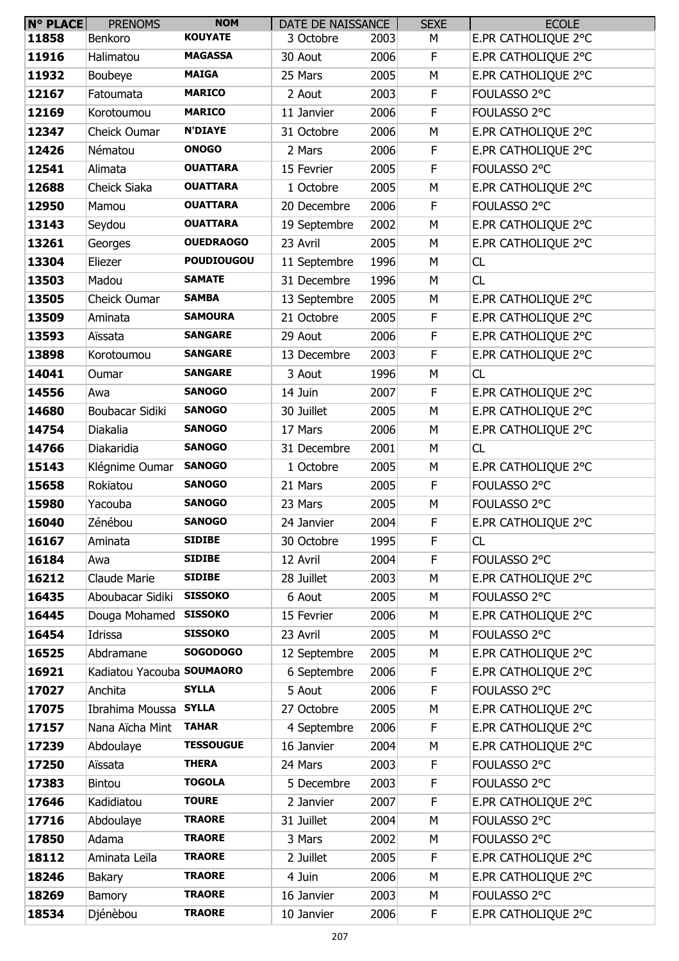| <b>N° PLACE</b> | <b>PRENOMS</b>            | <b>NOM</b>        | DATE DE NAISSANCE |      | <b>SEXE</b> | <b>ECOLE</b>        |
|-----------------|---------------------------|-------------------|-------------------|------|-------------|---------------------|
| 11858           | Benkoro                   | <b>KOUYATE</b>    | 3 Octobre         | 2003 | М           | E.PR CATHOLIQUE 2°C |
| 11916           | Halimatou                 | <b>MAGASSA</b>    | 30 Aout           | 2006 | F           | E.PR CATHOLIQUE 2°C |
| 11932           | Boubeye                   | <b>MAIGA</b>      | 25 Mars           | 2005 | M           | E.PR CATHOLIQUE 2°C |
| 12167           | Fatoumata                 | <b>MARICO</b>     | 2 Aout            | 2003 | F           | FOULASSO 2°C        |
| 12169           | Korotoumou                | <b>MARICO</b>     | 11 Janvier        | 2006 | F           | FOULASSO 2°C        |
| 12347           | Cheick Oumar              | <b>N'DIAYE</b>    | 31 Octobre        | 2006 | M           | E.PR CATHOLIQUE 2°C |
| 12426           | Nématou                   | <b>ONOGO</b>      | 2 Mars            | 2006 | F           | E.PR CATHOLIQUE 2°C |
| 12541           | Alimata                   | <b>OUATTARA</b>   | 15 Fevrier        | 2005 | F.          | FOULASSO 2°C        |
| 12688           | Cheick Siaka              | <b>OUATTARA</b>   | 1 Octobre         | 2005 | M           | E.PR CATHOLIQUE 2°C |
| 12950           | Mamou                     | <b>OUATTARA</b>   | 20 Decembre       | 2006 | F           | FOULASSO 2°C        |
| 13143           | Seydou                    | <b>OUATTARA</b>   | 19 Septembre      | 2002 | M           | E.PR CATHOLIQUE 2°C |
| 13261           | Georges                   | <b>OUEDRAOGO</b>  | 23 Avril          | 2005 | М           | E.PR CATHOLIQUE 2°C |
| 13304           | Eliezer                   | <b>POUDIOUGOU</b> | 11 Septembre      | 1996 | М           | CL                  |
| 13503           | Madou                     | <b>SAMATE</b>     | 31 Decembre       | 1996 | M           | CL                  |
| 13505           | Cheick Oumar              | <b>SAMBA</b>      | 13 Septembre      | 2005 | М           | E.PR CATHOLIQUE 2°C |
| 13509           | Aminata                   | <b>SAMOURA</b>    | 21 Octobre        | 2005 | $\mathsf F$ | E.PR CATHOLIQUE 2°C |
| 13593           | Aïssata                   | <b>SANGARE</b>    | 29 Aout           | 2006 | F           | E.PR CATHOLIQUE 2°C |
| 13898           | Korotoumou                | <b>SANGARE</b>    | 13 Decembre       | 2003 | F           | E.PR CATHOLIQUE 2°C |
| 14041           | Oumar                     | <b>SANGARE</b>    | 3 Aout            | 1996 | M           | <b>CL</b>           |
| 14556           | Awa                       | <b>SANOGO</b>     | 14 Juin           | 2007 | F           | E.PR CATHOLIQUE 2°C |
| 14680           | Boubacar Sidiki           | <b>SANOGO</b>     | 30 Juillet        | 2005 | M           | E.PR CATHOLIQUE 2°C |
| 14754           | Diakalia                  | <b>SANOGO</b>     | 17 Mars           | 2006 | М           | E.PR CATHOLIQUE 2°C |
| 14766           | Diakaridia                | <b>SANOGO</b>     | 31 Decembre       | 2001 | М           | <b>CL</b>           |
| 15143           | Klégnime Oumar            | <b>SANOGO</b>     | 1 Octobre         | 2005 | М           | E.PR CATHOLIQUE 2°C |
| 15658           | Rokiatou                  | <b>SANOGO</b>     | 21 Mars           | 2005 | F           | FOULASSO 2°C        |
| 15980           | Yacouba                   | <b>SANOGO</b>     | 23 Mars           | 2005 | М           | FOULASSO 2°C        |
| 16040           | Zénébou                   | <b>SANOGO</b>     | 24 Janvier        | 2004 | F           | E.PR CATHOLIQUE 2°C |
| 16167           | Aminata                   | <b>SIDIBE</b>     | 30 Octobre        | 1995 | F           | CL                  |
| 16184           | Awa                       | <b>SIDIBE</b>     | 12 Avril          | 2004 | F           | FOULASSO 2°C        |
| 16212           | Claude Marie              | <b>SIDIBE</b>     | 28 Juillet        | 2003 | М           | E.PR CATHOLIQUE 2°C |
| 16435           | Aboubacar Sidiki          | <b>SISSOKO</b>    | 6 Aout            | 2005 | М           | FOULASSO 2°C        |
| 16445           | Douga Mohamed             | <b>SISSOKO</b>    | 15 Fevrier        | 2006 | M           | E.PR CATHOLIQUE 2°C |
| 16454           | Idrissa                   | <b>SISSOKO</b>    | 23 Avril          | 2005 | М           | FOULASSO 2°C        |
| 16525           | Abdramane                 | <b>SOGODOGO</b>   | 12 Septembre      | 2005 | М           | E.PR CATHOLIQUE 2°C |
| 16921           | Kadiatou Yacouba SOUMAORO |                   | 6 Septembre       | 2006 | F           | E.PR CATHOLIQUE 2°C |
| 17027           | Anchita                   | <b>SYLLA</b>      | 5 Aout            | 2006 | F           | FOULASSO 2°C        |
| 17075           | Ibrahima Moussa           | <b>SYLLA</b>      | 27 Octobre        | 2005 | M           | E.PR CATHOLIQUE 2°C |
| 17157           | Nana Aïcha Mint           | <b>TAHAR</b>      | 4 Septembre       | 2006 | $\mathsf F$ | E.PR CATHOLIQUE 2°C |
| 17239           | Abdoulaye                 | <b>TESSOUGUE</b>  | 16 Janvier        | 2004 | М           | E.PR CATHOLIQUE 2°C |
| 17250           | Aïssata                   | <b>THERA</b>      | 24 Mars           | 2003 | F           | FOULASSO 2°C        |
| 17383           | Bintou                    | <b>TOGOLA</b>     | 5 Decembre        | 2003 | F           | FOULASSO 2°C        |
| 17646           | Kadidiatou                | <b>TOURE</b>      | 2 Janvier         | 2007 | F           | E.PR CATHOLIQUE 2°C |
| 17716           | Abdoulaye                 | <b>TRAORE</b>     | 31 Juillet        | 2004 | M           | FOULASSO 2°C        |
| 17850           | Adama                     | <b>TRAORE</b>     | 3 Mars            | 2002 | М           | FOULASSO 2°C        |
| 18112           | Aminata Leïla             | <b>TRAORE</b>     | 2 Juillet         | 2005 | $\mathsf F$ | E.PR CATHOLIQUE 2°C |
| 18246           | Bakary                    | <b>TRAORE</b>     | 4 Juin            | 2006 | M           | E.PR CATHOLIQUE 2°C |
| 18269           | Bamory                    | <b>TRAORE</b>     | 16 Janvier        | 2003 | М           | FOULASSO 2°C        |
| 18534           | Djénèbou                  | <b>TRAORE</b>     | 10 Janvier        | 2006 | F           | E.PR CATHOLIQUE 2°C |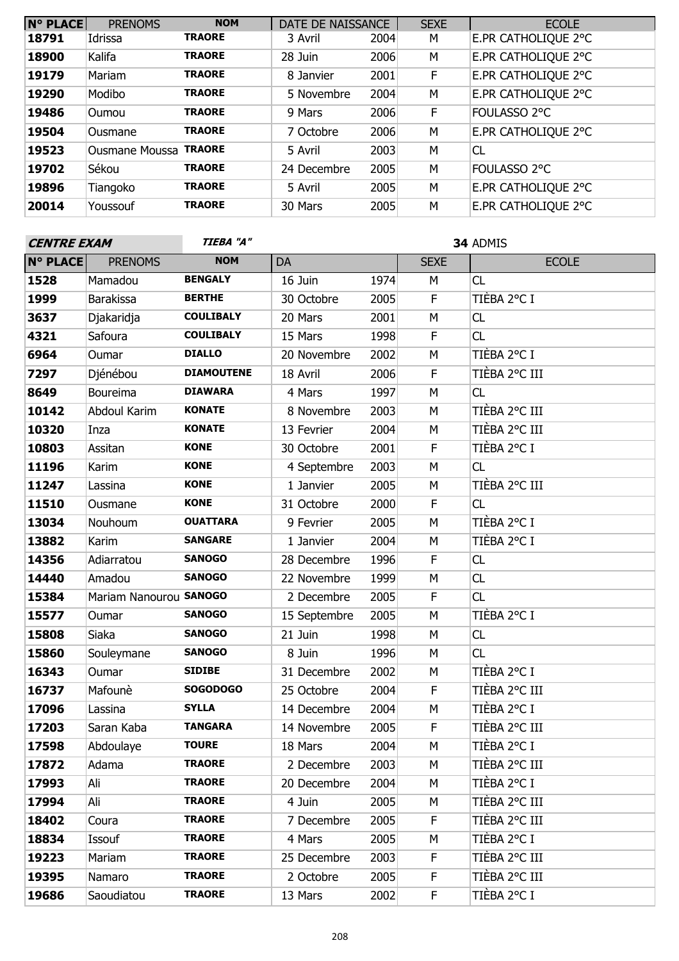| <b>N° PLACE</b> | <b>PRENOMS</b>        | <b>NOM</b>    | DATE DE NAISSANCE |      | <b>SEXE</b> | <b>ECOLE</b>        |
|-----------------|-----------------------|---------------|-------------------|------|-------------|---------------------|
| 18791           | Idrissa               | <b>TRAORE</b> | 3 Avril           | 2004 | М           | E.PR CATHOLIQUE 2°C |
| 18900           | Kalifa                | <b>TRAORE</b> | 28 Juin           | 2006 | М           | E.PR CATHOLIQUE 2°C |
| 19179           | Mariam                | <b>TRAORE</b> | 8 Janvier         | 2001 | F           | E.PR CATHOLIQUE 2°C |
| 19290           | Modibo                | <b>TRAORE</b> | 5 Novembre        | 2004 | M           | E.PR CATHOLIQUE 2°C |
| 19486           | <b>Oumou</b>          | <b>TRAORE</b> | 9 Mars            | 2006 | F           | FOULASSO 2°C        |
| 19504           | Ousmane               | <b>TRAORE</b> | 7 Octobre         | 2006 | M           | E.PR CATHOLIQUE 2°C |
| 19523           | Ousmane Moussa TRAORE |               | 5 Avril           | 2003 | M           | <b>CL</b>           |
| 19702           | Sékou                 | <b>TRAORE</b> | 24 Decembre       | 2005 | M           | FOULASSO 2°C        |
| 19896           | Tiangoko              | <b>TRAORE</b> | 5 Avril           | 2005 | M           | E.PR CATHOLIQUE 2°C |
| 20014           | Youssouf              | <b>TRAORE</b> | 30 Mars           | 2005 | M           | E.PR CATHOLIQUE 2°C |

| <b>CENTRE EXAM</b> |                        | TIEBA "A"         | 34 ADMIS     |      |                         |               |
|--------------------|------------------------|-------------------|--------------|------|-------------------------|---------------|
| <b>N° PLACE</b>    | <b>PRENOMS</b>         | <b>NOM</b>        | DA           |      | <b>SEXE</b>             | <b>ECOLE</b>  |
| 1528               | Mamadou                | <b>BENGALY</b>    | 16 Juin      | 1974 | M                       | CL            |
| 1999               | <b>Barakissa</b>       | <b>BERTHE</b>     | 30 Octobre   | 2005 | $\overline{\mathsf{F}}$ | TIÈBA 2°C I   |
| 3637               | Djakaridja             | <b>COULIBALY</b>  | 20 Mars      | 2001 | M                       | CL            |
| 4321               | Safoura                | <b>COULIBALY</b>  | 15 Mars      | 1998 | F                       | CL            |
| 6964               | Oumar                  | <b>DIALLO</b>     | 20 Novembre  | 2002 | M                       | TIÈBA 2°C I   |
| 7297               | Djénébou               | <b>DIAMOUTENE</b> | 18 Avril     | 2006 | F                       | TIÈBA 2°C III |
| 8649               | Boureima               | <b>DIAWARA</b>    | 4 Mars       | 1997 | М                       | CL            |
| 10142              | Abdoul Karim           | <b>KONATE</b>     | 8 Novembre   | 2003 | М                       | TIÈBA 2°C III |
| 10320              | Inza                   | <b>KONATE</b>     | 13 Fevrier   | 2004 | M                       | TIÈBA 2°C III |
| 10803              | Assitan                | <b>KONE</b>       | 30 Octobre   | 2001 | F                       | TIÈBA 2°C I   |
| 11196              | Karim                  | <b>KONE</b>       | 4 Septembre  | 2003 | М                       | CL            |
| 11247              | Lassina                | <b>KONE</b>       | 1 Janvier    | 2005 | M                       | TIÈBA 2°C III |
| 11510              | Ousmane                | <b>KONE</b>       | 31 Octobre   | 2000 | F                       | CL            |
| 13034              | Nouhoum                | <b>OUATTARA</b>   | 9 Fevrier    | 2005 | М                       | TIÈBA 2°C I   |
| 13882              | Karim                  | <b>SANGARE</b>    | 1 Janvier    | 2004 | М                       | TIÈBA 2°C I   |
| 14356              | Adiarratou             | <b>SANOGO</b>     | 28 Decembre  | 1996 | F                       | CL            |
| 14440              | Amadou                 | <b>SANOGO</b>     | 22 Novembre  | 1999 | М                       | CL            |
| 15384              | Mariam Nanourou SANOGO |                   | 2 Decembre   | 2005 | F                       | CL            |
| 15577              | Oumar                  | <b>SANOGO</b>     | 15 Septembre | 2005 | M                       | TIÈBA 2°C I   |
| 15808              | Siaka                  | <b>SANOGO</b>     | 21 Juin      | 1998 | M                       | CL            |
| 15860              | Souleymane             | <b>SANOGO</b>     | 8 Juin       | 1996 | M                       | CL            |
| 16343              | Oumar                  | <b>SIDIBE</b>     | 31 Decembre  | 2002 | М                       | TIÈBA 2°C I   |
| 16737              | Mafounè                | <b>SOGODOGO</b>   | 25 Octobre   | 2004 | F                       | TIÈBA 2°C III |
| 17096              | Lassina                | <b>SYLLA</b>      | 14 Decembre  | 2004 | M                       | TIÈBA 2°C I   |
| 17203              | Saran Kaba             | <b>TANGARA</b>    | 14 Novembre  | 2005 | F                       | TIÈBA 2°C III |
| 17598              | Abdoulaye              | <b>TOURE</b>      | 18 Mars      | 2004 | M                       | TIÈBA 2°C I   |
| 17872              | Adama                  | <b>TRAORE</b>     | 2 Decembre   | 2003 | М                       | TIÈBA 2°C III |
| 17993              | Ali                    | <b>TRAORE</b>     | 20 Decembre  | 2004 | М                       | TIÈBA 2°C I   |
| 17994              | Ali                    | <b>TRAORE</b>     | 4 Juin       | 2005 | М                       | TIÈBA 2°C III |
| 18402              | Coura                  | <b>TRAORE</b>     | 7 Decembre   | 2005 | F                       | TIÈBA 2°C III |
| 18834              | Issouf                 | <b>TRAORE</b>     | 4 Mars       | 2005 | М                       | TIÈBA 2°C I   |
| 19223              | Mariam                 | <b>TRAORE</b>     | 25 Decembre  | 2003 | F                       | TIÈBA 2°C III |
| 19395              | Namaro                 | <b>TRAORE</b>     | 2 Octobre    | 2005 | F                       | TIÈBA 2°C III |
| 19686              | Saoudiatou             | <b>TRAORE</b>     | 13 Mars      | 2002 | F                       | TIÈBA 2°C I   |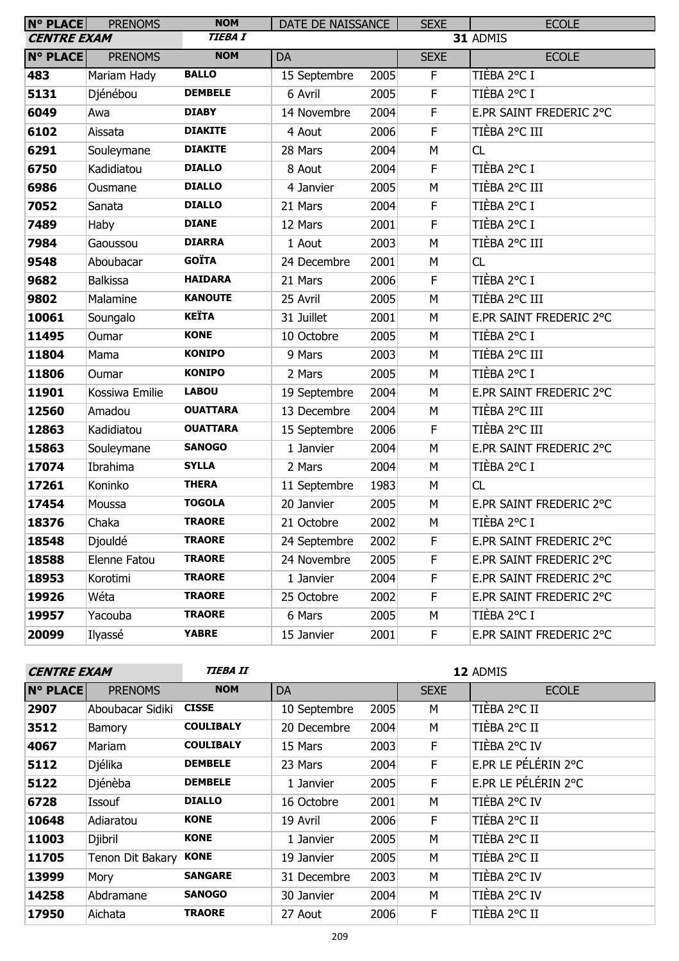| N° PLACE           | <b>PRENOMS</b>  | <b>NOM</b>      | DATE DE NAISSANCE |      | <b>SEXE</b> | <b>ECOLE</b>            |  |
|--------------------|-----------------|-----------------|-------------------|------|-------------|-------------------------|--|
| <b>CENTRE EXAM</b> |                 | <b>TIEBA I</b>  |                   |      |             | 31 ADMIS                |  |
| <b>N° PLACE</b>    | <b>PRENOMS</b>  | <b>NOM</b>      | DA                |      | <b>SEXE</b> | <b>ECOLE</b>            |  |
| 483                | Mariam Hady     | <b>BALLO</b>    | 15 Septembre      | 2005 | F.          | TIÈBA 2°C I             |  |
| 5131               | Djénébou        | <b>DEMBELE</b>  | 6 Avril           | 2005 | $\mathsf F$ | TIÈBA 2°C I             |  |
| 6049               | Awa             | <b>DIABY</b>    | 14 Novembre       | 2004 | $\mathsf F$ | E.PR SAINT FREDERIC 2°C |  |
| 6102               | Aissata         | <b>DIAKITE</b>  | 4 Aout            | 2006 | $\mathsf F$ | TIÈBA 2°C III           |  |
| 6291               | Souleymane      | <b>DIAKITE</b>  | 28 Mars           | 2004 | M           | CL                      |  |
| 6750               | Kadidiatou      | <b>DIALLO</b>   | 8 Aout            | 2004 | $\mathsf F$ | TIÈBA 2°C I             |  |
| 6986               | Ousmane         | <b>DIALLO</b>   | 4 Janvier         | 2005 | M           | TIÈBA 2°C III           |  |
| 7052               | Sanata          | <b>DIALLO</b>   | 21 Mars           | 2004 | F           | TIÈBA 2°C I             |  |
| 7489               | Haby            | <b>DIANE</b>    | 12 Mars           | 2001 | $\mathsf F$ | TIÈBA 2°C I             |  |
| 7984               | Gaoussou        | <b>DIARRA</b>   | 1 Aout            | 2003 | M           | TIÈBA 2°C III           |  |
| 9548               | Aboubacar       | <b>GOÏTA</b>    | 24 Decembre       | 2001 | M           | CL                      |  |
| 9682               | <b>Balkissa</b> | <b>HAIDARA</b>  | 21 Mars           | 2006 | F           | TIÈBA 2°C I             |  |
| 9802               | Malamine        | <b>KANOUTE</b>  | 25 Avril          | 2005 | M           | TIÈBA 2°C III           |  |
| 10061              | Soungalo        | <b>KEÏTA</b>    | 31 Juillet        | 2001 | M           | E.PR SAINT FREDERIC 2°C |  |
| 11495              | Oumar           | <b>KONE</b>     | 10 Octobre        | 2005 | M           | TIÈBA 2°C I             |  |
| 11804              | Mama            | <b>KONIPO</b>   | 9 Mars            | 2003 | M           | TIÈBA 2°C III           |  |
| 11806              | Oumar           | <b>KONIPO</b>   | 2 Mars            | 2005 | M           | TIÈBA 2°C I             |  |
| 11901              | Kossiwa Emilie  | <b>LABOU</b>    | 19 Septembre      | 2004 | M           | E.PR SAINT FREDERIC 2°C |  |
| 12560              | Amadou          | <b>OUATTARA</b> | 13 Decembre       | 2004 | M           | TIÈBA 2°C III           |  |
| 12863              | Kadidiatou      | <b>OUATTARA</b> | 15 Septembre      | 2006 | $\mathsf F$ | TIÈBA 2°C III           |  |
| 15863              | Souleymane      | <b>SANOGO</b>   | 1 Janvier         | 2004 | M           | E.PR SAINT FREDERIC 2°C |  |
| 17074              | Ibrahima        | <b>SYLLA</b>    | 2 Mars            | 2004 | M           | TIÈBA 2°C I             |  |
| 17261              | Koninko         | <b>THERA</b>    | 11 Septembre      | 1983 | М           | CL                      |  |
| 17454              | Moussa          | <b>TOGOLA</b>   | 20 Janvier        | 2005 | M           | E.PR SAINT FREDERIC 2°C |  |
| 18376              | Chaka           | <b>TRAORE</b>   | 21 Octobre        | 2002 | M           | TIÈBA 2°C I             |  |
| 18548              | Djouldé         | <b>TRAORE</b>   | 24 Septembre      | 2002 | F           | E.PR SAINT FREDERIC 2°C |  |
| 18588              | Elenne Fatou    | <b>TRAORE</b>   | 24 Novembre       | 2005 | F           | E.PR SAINT FREDERIC 2°C |  |
| 18953              | Korotimi        | <b>TRAORE</b>   | 1 Janvier         | 2004 | F           | E.PR SAINT FREDERIC 2°C |  |
| 19926              | Wéta            | <b>TRAORE</b>   | 25 Octobre        | 2002 | F           | E.PR SAINT FREDERIC 2°C |  |
| 19957              | Yacouba         | <b>TRAORE</b>   | 6 Mars            | 2005 | М           | TIÈBA 2°C I             |  |
| 20099              | Ilyassé         | <b>YABRE</b>    | 15 Janvier        | 2001 | F           | E.PR SAINT FREDERIC 2°C |  |

| <b>CENTRE EXAM</b> |                  | <b>TIEBA II</b>  | 12 ADMIS     |      |             |                     |
|--------------------|------------------|------------------|--------------|------|-------------|---------------------|
| <b>N° PLACE</b>    | <b>PRENOMS</b>   | <b>NOM</b>       | <b>DA</b>    |      | <b>SEXE</b> | <b>ECOLE</b>        |
| 2907               | Aboubacar Sidiki | <b>CISSE</b>     | 10 Septembre | 2005 | м           | TIÈBA 2°C II        |
| 3512               | Bamory           | <b>COULIBALY</b> | 20 Decembre  | 2004 | М           | TIÈBA 2°C II        |
| 4067               | Mariam           | <b>COULIBALY</b> | 15 Mars      | 2003 | F.          | TIÈBA 2°C IV        |
| 5112               | Djélika          | <b>DEMBELE</b>   | 23 Mars      | 2004 | F           | E.PR LE PÉLÉRIN 2°C |
| 5122               | Djénèba          | <b>DEMBELE</b>   | 1 Janvier    | 2005 | F           | E.PR LE PÉLÉRIN 2°C |
| 6728               | Issouf           | <b>DIALLO</b>    | 16 Octobre   | 2001 | M           | TIÈBA 2°C IV        |
| 10648              | Adiaratou        | <b>KONE</b>      | 19 Avril     | 2006 | F           | TIÈBA 2°C II        |
| 11003              | Djibril          | <b>KONE</b>      | 1 Janvier    | 2005 | M           | TIÈBA 2°C II        |
| 11705              | Tenon Dit Bakary | <b>KONE</b>      | 19 Janvier   | 2005 | M           | TIÈBA 2°C II        |
| 13999              | Mory             | <b>SANGARE</b>   | 31 Decembre  | 2003 | M           | TIÈBA 2°C IV        |
| 14258              | Abdramane        | <b>SANOGO</b>    | 30 Janvier   | 2004 | М           | TIÈBA 2°C IV        |
| 17950              | Aichata          | <b>TRAORE</b>    | 27 Aout      | 2006 | E           | TIÈBA 2°C II        |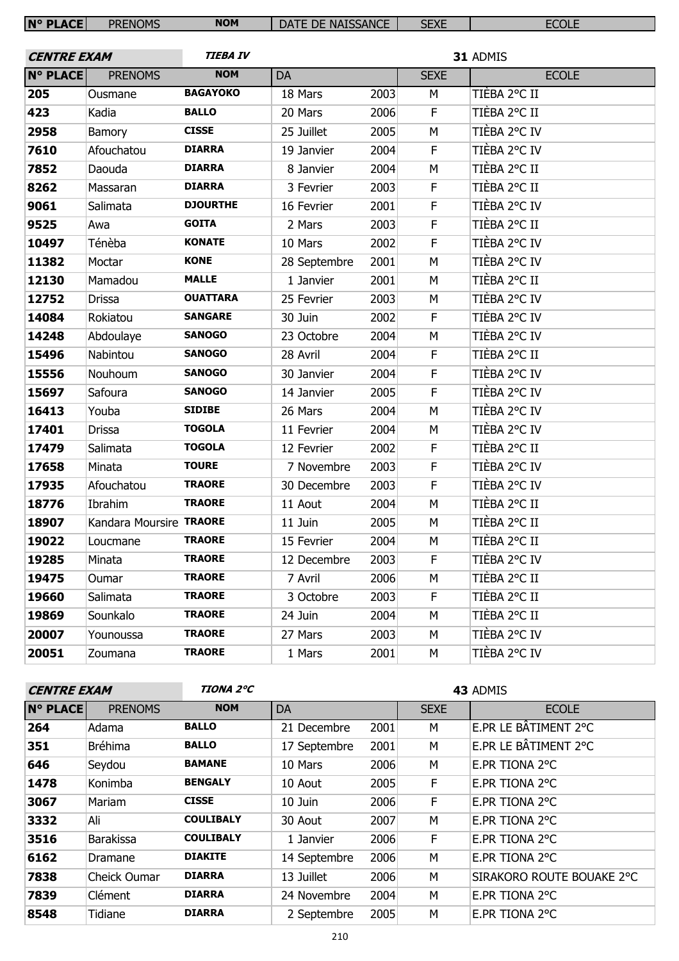| <b>N° PLACE</b>    | <b>PRENOMS</b>          | <b>NOM</b>      | DATE DE NAISSANCE |      | <b>SEXE</b> | <b>ECOLE</b> |
|--------------------|-------------------------|-----------------|-------------------|------|-------------|--------------|
|                    |                         |                 |                   |      |             |              |
| <b>CENTRE EXAM</b> |                         | <b>TIEBA IV</b> |                   |      |             | 31 ADMIS     |
| <b>N° PLACE</b>    | <b>PRENOMS</b>          | <b>NOM</b>      | DA                |      | <b>SEXE</b> | <b>ECOLE</b> |
| 205                | Ousmane                 | <b>BAGAYOKO</b> | 18 Mars           | 2003 | M           | TIÈBA 2°C II |
| 423                | Kadia                   | <b>BALLO</b>    | 20 Mars           | 2006 | F           | TIÈBA 2°C II |
| 2958               | Bamory                  | <b>CISSE</b>    | 25 Juillet        | 2005 | M           | TIÈBA 2°C IV |
| 7610               | Afouchatou              | <b>DIARRA</b>   | 19 Janvier        | 2004 | F           | TIÈBA 2°C IV |
| 7852               | Daouda                  | <b>DIARRA</b>   | 8 Janvier         | 2004 | M           | TIÈBA 2°C II |
| 8262               | Massaran                | <b>DIARRA</b>   | 3 Fevrier         | 2003 | F           | TIÈBA 2°C II |
| 9061               | Salimata                | <b>DJOURTHE</b> | 16 Fevrier        | 2001 | F           | TIÈBA 2°C IV |
| 9525               | Awa                     | <b>GOITA</b>    | 2 Mars            | 2003 | F           | TIÈBA 2°C II |
| 10497              | Ténèba                  | <b>KONATE</b>   | 10 Mars           | 2002 | F           | TIÈBA 2°C IV |
| 11382              | Moctar                  | <b>KONE</b>     | 28 Septembre      | 2001 | M           | TIÈBA 2°C IV |
| 12130              | Mamadou                 | <b>MALLE</b>    | 1 Janvier         | 2001 | M           | TIÈBA 2°C II |
| 12752              | <b>Drissa</b>           | <b>OUATTARA</b> | 25 Fevrier        | 2003 | M           | TIÈBA 2°C IV |
| 14084              | Rokiatou                | <b>SANGARE</b>  | 30 Juin           | 2002 | F           | TIÈBA 2°C IV |
| 14248              | Abdoulaye               | <b>SANOGO</b>   | 23 Octobre        | 2004 | M           | TIÈBA 2°C IV |
| 15496              | Nabintou                | <b>SANOGO</b>   | 28 Avril          | 2004 | F           | TIÈBA 2°C II |
| 15556              | Nouhoum                 | <b>SANOGO</b>   | 30 Janvier        | 2004 | F           | TIÈBA 2°C IV |
| 15697              | Safoura                 | <b>SANOGO</b>   | 14 Janvier        | 2005 | F           | TIÈBA 2°C IV |
| 16413              | Youba                   | <b>SIDIBE</b>   | 26 Mars           | 2004 | M           | TIÈBA 2°C IV |
| 17401              | <b>Drissa</b>           | <b>TOGOLA</b>   | 11 Fevrier        | 2004 | М           | TIÈBA 2°C IV |
| 17479              | Salimata                | <b>TOGOLA</b>   | 12 Fevrier        | 2002 | F           | TIÈBA 2°C II |
| 17658              | Minata                  | <b>TOURE</b>    | 7 Novembre        | 2003 | F           | TIÈBA 2°C IV |
| 17935              | Afouchatou              | <b>TRAORE</b>   | 30 Decembre       | 2003 | F           | TIÈBA 2°C IV |
| 18776              | Ibrahim                 | <b>TRAORE</b>   | 11 Aout           | 2004 | M           | TIÈBA 2°C II |
| 18907              | Kandara Moursire TRAORE |                 | 11 Juin           | 2005 | M           | TIÈBA 2°C II |
| 19022              | Loucmane                | <b>TRAORE</b>   | 15 Fevrier        | 2004 | M           | TIÈBA 2°C II |
| 19285              | Minata                  | <b>TRAORE</b>   | 12 Decembre       | 2003 | F           | TIÈBA 2°C IV |
| 19475              | Oumar                   | <b>TRAORE</b>   | 7 Avril           | 2006 | M           | TIÈBA 2°C II |
| 19660              | Salimata                | <b>TRAORE</b>   | 3 Octobre         | 2003 | F           | TIÈBA 2°C II |
| 19869              | Sounkalo                | <b>TRAORE</b>   | 24 Juin           | 2004 | М           | TIÈBA 2°C II |
| 20007              | Younoussa               | <b>TRAORE</b>   | 27 Mars           | 2003 | M           | TIÈBA 2°C IV |
| 20051              | Zoumana                 | <b>TRAORE</b>   | 1 Mars            | 2001 | М           | TIÈBA 2°C IV |
|                    |                         |                 |                   |      |             |              |

| <b>CENTRE EXAM</b> |                  | TIONA 2°C        | 43 ADMIS     |      |             |                           |  |
|--------------------|------------------|------------------|--------------|------|-------------|---------------------------|--|
| <b>N° PLACE</b>    | <b>PRENOMS</b>   | <b>NOM</b>       | DA           |      | <b>SEXE</b> | <b>ECOLE</b>              |  |
| 264                | Adama            | <b>BALLO</b>     | 21 Decembre  | 2001 | м           | E.PR LE BÂTIMENT 2°C      |  |
| 351                | <b>Bréhima</b>   | <b>BALLO</b>     | 17 Septembre | 2001 | м           | E.PR LE BÂTIMENT 2°C      |  |
| 646                | Seydou           | <b>BAMANE</b>    | 10 Mars      | 2006 | M           | E.PR TIONA 2°C            |  |
| 1478               | Konimba          | <b>BENGALY</b>   | 10 Aout      | 2005 | F.          | E.PR TIONA 2°C            |  |
| 3067               | Mariam           | <b>CISSE</b>     | 10 Juin      | 2006 | F.          | E.PR TIONA 2°C            |  |
| 3332               | Ali              | <b>COULIBALY</b> | 30 Aout      | 2007 | М           | E.PR TIONA 2°C            |  |
| 3516               | <b>Barakissa</b> | <b>COULIBALY</b> | 1 Janvier    | 2006 | F           | E.PR TIONA 2°C            |  |
| 6162               | Dramane          | <b>DIAKITE</b>   | 14 Septembre | 2006 | M           | E.PR TIONA 2°C            |  |
| 7838               | Cheick Oumar     | <b>DIARRA</b>    | 13 Juillet   | 2006 | M           | SIRAKORO ROUTE BOUAKE 2°C |  |
| 7839               | Clément          | <b>DIARRA</b>    | 24 Novembre  | 2004 | м           | E.PR TIONA 2°C            |  |
| 8548               | Tidiane          | <b>DIARRA</b>    | 2 Septembre  | 2005 | М           | E.PR TIONA 2°C            |  |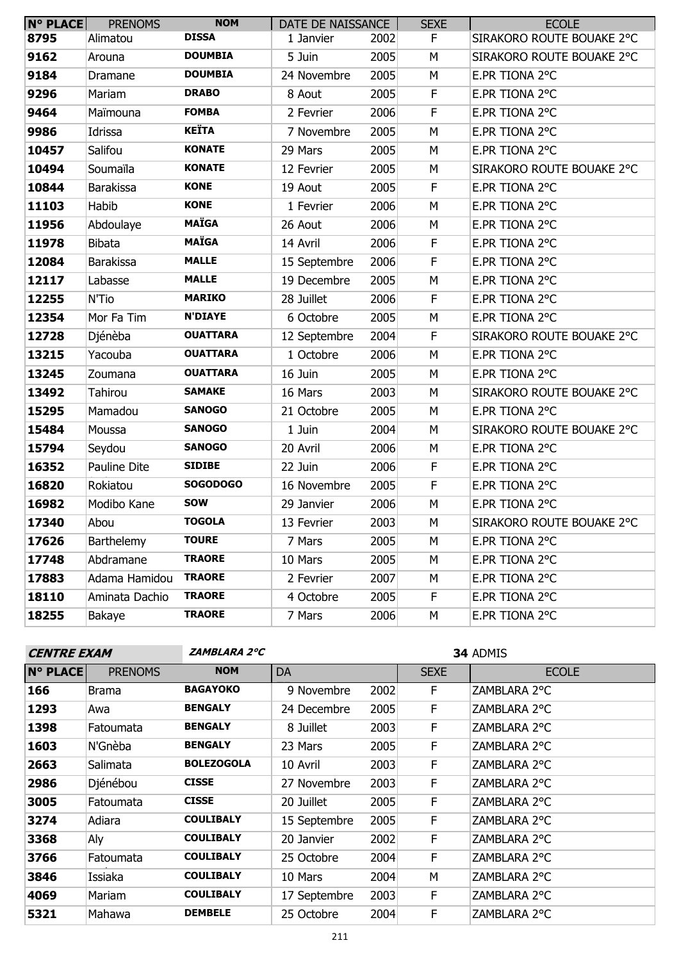| <b>N° PLACE</b> | <b>PRENOMS</b>   | <b>NOM</b>      | DATE DE NAISSANCE |      | <b>SEXE</b> | <b>ECOLE</b>              |
|-----------------|------------------|-----------------|-------------------|------|-------------|---------------------------|
| 8795            | Alimatou         | <b>DISSA</b>    | 1 Janvier         | 2002 | F.          | SIRAKORO ROUTE BOUAKE 2°C |
| 9162            | Arouna           | <b>DOUMBIA</b>  | 5 Juin            | 2005 | М           | SIRAKORO ROUTE BOUAKE 2°C |
| 9184            | Dramane          | <b>DOUMBIA</b>  | 24 Novembre       | 2005 | M           | E.PR TIONA 2°C            |
| 9296            | Mariam           | <b>DRABO</b>    | 8 Aout            | 2005 | F           | E.PR TIONA 2°C            |
| 9464            | Maïmouna         | <b>FOMBA</b>    | 2 Fevrier         | 2006 | $\mathsf F$ | E.PR TIONA 2°C            |
| 9986            | Idrissa          | <b>KEÏTA</b>    | 7 Novembre        | 2005 | М           | E.PR TIONA 2°C            |
| 10457           | Salifou          | <b>KONATE</b>   | 29 Mars           | 2005 | M           | E.PR TIONA 2°C            |
| 10494           | Soumaïla         | <b>KONATE</b>   | 12 Fevrier        | 2005 | M           | SIRAKORO ROUTE BOUAKE 2°C |
| 10844           | <b>Barakissa</b> | <b>KONE</b>     | 19 Aout           | 2005 | F           | E.PR TIONA 2°C            |
| 11103           | Habib            | <b>KONE</b>     | 1 Fevrier         | 2006 | M           | E.PR TIONA 2°C            |
| 11956           | Abdoulaye        | <b>MAÏGA</b>    | 26 Aout           | 2006 | M           | E.PR TIONA 2°C            |
| 11978           | <b>Bibata</b>    | <b>MAÏGA</b>    | 14 Avril          | 2006 | F           | E.PR TIONA 2°C            |
| 12084           | <b>Barakissa</b> | <b>MALLE</b>    | 15 Septembre      | 2006 | F           | E.PR TIONA 2°C            |
| 12117           | Labasse          | <b>MALLE</b>    | 19 Decembre       | 2005 | M           | E.PR TIONA 2°C            |
| 12255           | N'Tio            | <b>MARIKO</b>   | 28 Juillet        | 2006 | $\mathsf F$ | E.PR TIONA 2°C            |
| 12354           | Mor Fa Tim       | <b>N'DIAYE</b>  | 6 Octobre         | 2005 | M           | E.PR TIONA 2°C            |
| 12728           | Djénèba          | <b>OUATTARA</b> | 12 Septembre      | 2004 | F           | SIRAKORO ROUTE BOUAKE 2°C |
| 13215           | Yacouba          | <b>OUATTARA</b> | 1 Octobre         | 2006 | M           | E.PR TIONA 2°C            |
| 13245           | Zoumana          | <b>OUATTARA</b> | 16 Juin           | 2005 | M           | E.PR TIONA 2°C            |
| 13492           | Tahirou          | <b>SAMAKE</b>   | 16 Mars           | 2003 | М           | SIRAKORO ROUTE BOUAKE 2°C |
| 15295           | Mamadou          | <b>SANOGO</b>   | 21 Octobre        | 2005 | M           | E.PR TIONA 2°C            |
| 15484           | Moussa           | <b>SANOGO</b>   | 1 Juin            | 2004 | M           | SIRAKORO ROUTE BOUAKE 2°C |
| 15794           | Seydou           | <b>SANOGO</b>   | 20 Avril          | 2006 | М           | E.PR TIONA 2°C            |
| 16352           | Pauline Dite     | <b>SIDIBE</b>   | 22 Juin           | 2006 | F           | E.PR TIONA 2°C            |
| 16820           | Rokiatou         | <b>SOGODOGO</b> | 16 Novembre       | 2005 | $\mathsf F$ | E.PR TIONA 2°C            |
| 16982           | Modibo Kane      | <b>SOW</b>      | 29 Janvier        | 2006 | M           | E.PR TIONA 2°C            |
| 17340           | Abou             | <b>TOGOLA</b>   | 13 Fevrier        | 2003 | М           | SIRAKORO ROUTE BOUAKE 2°C |
| 17626           | Barthelemy       | <b>TOURE</b>    | 7 Mars            | 2005 | M           | E.PR TIONA 2°C            |
| 17748           | Abdramane        | <b>TRAORE</b>   | 10 Mars           | 2005 | М           | E.PR TIONA 2°C            |
| 17883           | Adama Hamidou    | <b>TRAORE</b>   | 2 Fevrier         | 2007 | М           | E.PR TIONA 2°C            |
| 18110           | Aminata Dachio   | <b>TRAORE</b>   | 4 Octobre         | 2005 | F.          | E.PR TIONA 2°C            |
| 18255           | Bakaye           | <b>TRAORE</b>   | 7 Mars            | 2006 | М           | E.PR TIONA 2°C            |

| <b>CENTRE EXAM</b> |                |                   | ZAMBLARA 2°C |      |             | 34 ADMIS     |  |
|--------------------|----------------|-------------------|--------------|------|-------------|--------------|--|
| <b>N° PLACE</b>    | <b>PRENOMS</b> | <b>NOM</b>        | <b>DA</b>    |      | <b>SEXE</b> | E            |  |
| 166                | <b>Brama</b>   | <b>BAGAYOKO</b>   | 9 Novembre   | 2002 | F           | ZAMBLARA 2°C |  |
| 1293               | Awa            | <b>BENGALY</b>    | 24 Decembre  | 2005 | F           | ZAMBLARA 2°C |  |
| 1398               | Fatoumata      | <b>BENGALY</b>    | 8 Juillet    | 2003 | F           | ZAMBLARA 2°C |  |
| 1603               | N'Gnèba        | <b>BENGALY</b>    | 23 Mars      | 2005 | F           | ZAMBLARA 2°C |  |
| 2663               | Salimata       | <b>BOLEZOGOLA</b> | 10 Avril     | 2003 | F           | ZAMBLARA 2°C |  |
| 2986               | Djénébou       | <b>CISSE</b>      | 27 Novembre  | 2003 | F.          | ZAMBLARA 2°C |  |
| 3005               | Fatoumata      | <b>CISSE</b>      | 20 Juillet   | 2005 | F           | ZAMBLARA 2°C |  |
| 3274               | Adiara         | <b>COULIBALY</b>  | 15 Septembre | 2005 | F           | ZAMBLARA 2°C |  |
| 3368               | Aly            | <b>COULIBALY</b>  | 20 Janvier   | 2002 | F           | ZAMBLARA 2°C |  |
| 3766               | Fatoumata      | <b>COULIBALY</b>  | 25 Octobre   | 2004 | F           | ZAMBLARA 2°C |  |
| 3846               | Issiaka        | <b>COULIBALY</b>  | 10 Mars      | 2004 | M           | ZAMBLARA 2°C |  |

 Mariam **COULIBALY** 17 Septembre 2003 F ZAMBLARA 2°C Mahawa **DEMBELE** 25 Octobre 2004 F ZAMBLARA 2°C

**ECOLE**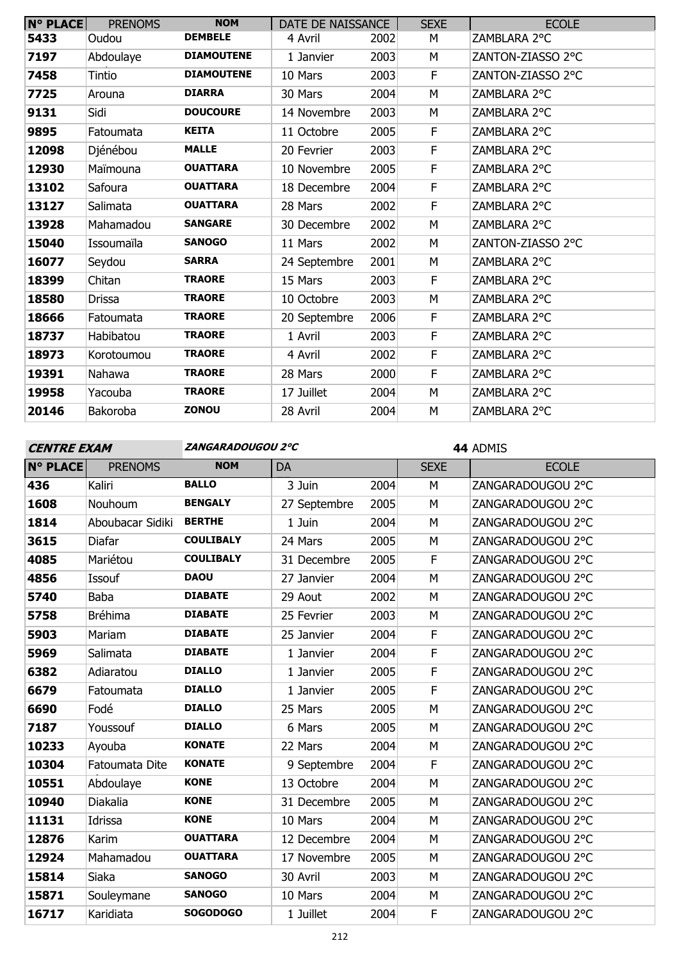| <b>N° PLACE</b> | <b>PRENOMS</b> | <b>NOM</b>        | DATE DE NAISSANCE |      | <b>SEXE</b> | <b>ECOLE</b>      |
|-----------------|----------------|-------------------|-------------------|------|-------------|-------------------|
| 5433            | Oudou          | <b>DEMBELE</b>    | 4 Avril           | 2002 | M           | ZAMBLARA 2°C      |
| 7197            | Abdoulaye      | <b>DIAMOUTENE</b> | 1 Janvier         | 2003 | M           | ZANTON-ZIASSO 2°C |
| 7458            | Tintio         | <b>DIAMOUTENE</b> | 10 Mars           | 2003 | F           | ZANTON-ZIASSO 2°C |
| 7725            | Arouna         | <b>DIARRA</b>     | 30 Mars           | 2004 | M           | ZAMBLARA 2°C      |
| 9131            | Sidi           | <b>DOUCOURE</b>   | 14 Novembre       | 2003 | M           | ZAMBLARA 2°C      |
| 9895            | Fatoumata      | <b>KEITA</b>      | 11 Octobre        | 2005 | F           | ZAMBLARA 2°C      |
| 12098           | Djénébou       | <b>MALLE</b>      | 20 Fevrier        | 2003 | F           | ZAMBLARA 2°C      |
| 12930           | Maïmouna       | <b>OUATTARA</b>   | 10 Novembre       | 2005 | F           | ZAMBLARA 2°C      |
| 13102           | Safoura        | <b>OUATTARA</b>   | 18 Decembre       | 2004 | F           | ZAMBLARA 2°C      |
| 13127           | Salimata       | <b>OUATTARA</b>   | 28 Mars           | 2002 | F           | ZAMBLARA 2°C      |
| 13928           | Mahamadou      | <b>SANGARE</b>    | 30 Decembre       | 2002 | M           | ZAMBLARA 2°C      |
| 15040           | Issoumaïla     | <b>SANOGO</b>     | 11 Mars           | 2002 | M           | ZANTON-ZIASSO 2°C |
| 16077           | Seydou         | <b>SARRA</b>      | 24 Septembre      | 2001 | M           | ZAMBLARA 2°C      |
| 18399           | Chitan         | <b>TRAORE</b>     | 15 Mars           | 2003 | F           | ZAMBLARA 2°C      |
| 18580           | <b>Drissa</b>  | <b>TRAORE</b>     | 10 Octobre        | 2003 | M           | ZAMBLARA 2°C      |
| 18666           | Fatoumata      | <b>TRAORE</b>     | 20 Septembre      | 2006 | F           | ZAMBLARA 2°C      |
| 18737           | Habibatou      | <b>TRAORE</b>     | 1 Avril           | 2003 | F           | ZAMBLARA 2°C      |
| 18973           | Korotoumou     | <b>TRAORE</b>     | 4 Avril           | 2002 | F           | ZAMBLARA 2°C      |
| 19391           | Nahawa         | <b>TRAORE</b>     | 28 Mars           | 2000 | F           | ZAMBLARA 2°C      |
| 19958           | Yacouba        | <b>TRAORE</b>     | 17 Juillet        | 2004 | M           | ZAMBLARA 2°C      |
| 20146           | Bakoroba       | ZONOU             | 28 Avril          | 2004 | M           | ZAMBLARA 2°C      |

**CENTRE EXAM ZANGARADOUGOU 2°C**

ADMIS

| <b>N° PLACE</b> | <b>PRENOMS</b>   | <b>NOM</b>       | <b>DA</b>    |      | <b>SEXE</b> | <b>ECOLE</b>      |
|-----------------|------------------|------------------|--------------|------|-------------|-------------------|
| 436             | Kaliri           | <b>BALLO</b>     | 3 Juin       | 2004 | M           | ZANGARADOUGOU 2°C |
| 1608            | Nouhoum          | <b>BENGALY</b>   | 27 Septembre | 2005 | M           | ZANGARADOUGOU 2°C |
| 1814            | Aboubacar Sidiki | <b>BERTHE</b>    | 1 Juin       | 2004 | M           | ZANGARADOUGOU 2°C |
| 3615            | Diafar           | <b>COULIBALY</b> | 24 Mars      | 2005 | M           | ZANGARADOUGOU 2°C |
| 4085            | Mariétou         | <b>COULIBALY</b> | 31 Decembre  | 2005 | F           | ZANGARADOUGOU 2°C |
| 4856            | Issouf           | <b>DAOU</b>      | 27 Janvier   | 2004 | M           | ZANGARADOUGOU 2°C |
| 5740            | <b>Baba</b>      | <b>DIABATE</b>   | 29 Aout      | 2002 | M           | ZANGARADOUGOU 2°C |
| 5758            | <b>Bréhima</b>   | <b>DIABATE</b>   | 25 Fevrier   | 2003 | M           | ZANGARADOUGOU 2°C |
| 5903            | Mariam           | <b>DIABATE</b>   | 25 Janvier   | 2004 | F           | ZANGARADOUGOU 2°C |
| 5969            | Salimata         | <b>DIABATE</b>   | 1 Janvier    | 2004 | F           | ZANGARADOUGOU 2°C |
| 6382            | Adiaratou        | <b>DIALLO</b>    | 1 Janvier    | 2005 | F           | ZANGARADOUGOU 2°C |
| 6679            | Fatoumata        | <b>DIALLO</b>    | 1 Janvier    | 2005 | F           | ZANGARADOUGOU 2°C |
| 6690            | Fodé             | <b>DIALLO</b>    | 25 Mars      | 2005 | M           | ZANGARADOUGOU 2°C |
| 7187            | Youssouf         | <b>DIALLO</b>    | 6 Mars       | 2005 | M           | ZANGARADOUGOU 2°C |
| 10233           | Ayouba           | <b>KONATE</b>    | 22 Mars      | 2004 | M           | ZANGARADOUGOU 2°C |
| 10304           | Fatoumata Dite   | <b>KONATE</b>    | 9 Septembre  | 2004 | F           | ZANGARADOUGOU 2°C |
| 10551           | Abdoulaye        | <b>KONE</b>      | 13 Octobre   | 2004 | M           | ZANGARADOUGOU 2°C |
| 10940           | Diakalia         | <b>KONE</b>      | 31 Decembre  | 2005 | M           | ZANGARADOUGOU 2°C |
| 11131           | Idrissa          | <b>KONE</b>      | 10 Mars      | 2004 | M           | ZANGARADOUGOU 2°C |
| 12876           | Karim            | <b>OUATTARA</b>  | 12 Decembre  | 2004 | M           | ZANGARADOUGOU 2°C |
| 12924           | Mahamadou        | <b>OUATTARA</b>  | 17 Novembre  | 2005 | M           | ZANGARADOUGOU 2°C |
| 15814           | Siaka            | <b>SANOGO</b>    | 30 Avril     | 2003 | M           | ZANGARADOUGOU 2°C |
| 15871           | Souleymane       | <b>SANOGO</b>    | 10 Mars      | 2004 | M           | ZANGARADOUGOU 2°C |
| 16717           | Karidiata        | <b>SOGODOGO</b>  | 1 Juillet    | 2004 | $\mathsf F$ | ZANGARADOUGOU 2°C |